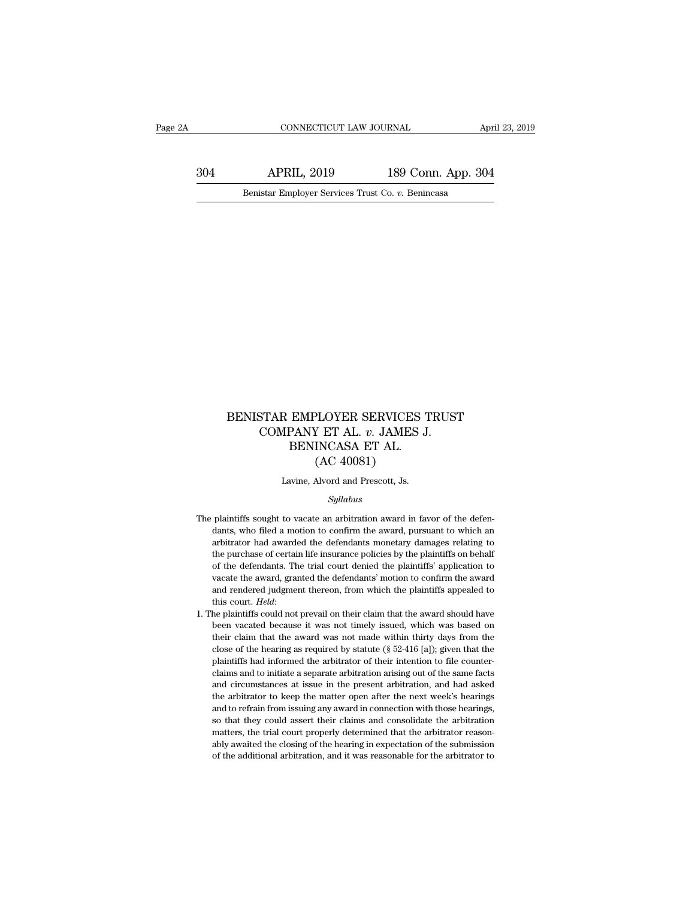CONNECTICUT LAW JOURNAL April 23, 2019<br>304 APRIL, 2019 189 Conn. App. 304<br>Benistar Employer Services Trust Co. v. Benincasa EXECUTE CONNECTICUT LAW JOURNAL AT AN AND MARKETICUT LAW JOURNAL APPRIL, 2019 189 Conn. App. 30<br>Benistar Employer Services Trust Co. *v.* Benincasa

### BENISTAR EMPLOYER SERVICES TRUST<br>COMPANY ET AL. v. JAMES J.<br>RENINCASA ET AL STAR EMPLOYER SERVICES TRUST<br>COMPANY ET AL. *v.* JAMES J.<br>BENINCASA ET AL.<br>(AC 40081)  $\begin{array}{lll} \textbf{EMPLOYER SERVICES} \textbf{1} \\ \textbf{PANY ET AL. } v. \textbf{ JAMES J} \\ \textbf{BENNICASA ET AL.} \\ \textbf{(AC 40081)} \end{array}$ PLOYER SERVICES<br>
Y ET AL. v. JAMES<br>
INCASA ET AL.<br>(AC 40081)<br>
Alvord and Prescott, Js. BENISTAR EMPLOYER SERVICES TRUST<br>COMPANY ET AL. v. JAMES J.<br>BENINCASA ET AL.<br>(AC 40081)<br>Lavine, Alvord and Prescott, Js.

### *Syllabus*

- $(AC 40081)$ <br>Lavine, Alvord and Prescott, Js.<br> $Syllabus$ <br>The plaintiffs sought to vacate an arbitration award in favor of the defen-<br>dants, who filed a motion to confirm the award, pursuant to which an Lavine, Alvord and Prescott, Js.<br>Syllabus<br>plaintiffs sought to vacate an arbitration award in favor of the defen-<br>dants, who filed a motion to confirm the award, pursuant to which an<br>arbitrator had awarded the defendants m Lavine, Alvord and Prescott, Js.<br>
Syllabus<br>
plaintiffs sought to vacate an arbitration award in favor of the defendants, who filed a motion to confirm the award, pursuant to which an<br>
arbitrator had awarded the defendants  $Syllabus$ <br>plaintiffs sought to vacate an arbitration award in favor of the defen-<br>dants, who filed a motion to confirm the award, pursuant to which an<br>arbitrator had awarded the defendants monetary damages relating to<br>the pu *Syllabus*<br>plaintiffs sought to vacate an arbitration award in favor of the defen-<br>dants, who filed a motion to confirm the award, pursuant to which an<br>arbitrator had awarded the defendants monetary damages relating to<br>the plaintiffs sought to vacate an arbitration award in favor of the defendants, who filed a motion to confirm the award, pursuant to which an arbitrator had awarded the defendants monetary damages relating to the purchase of dants, who filed a motion to confirm the award, pursuant to which an arbitrator had awarded the defendants monetary damages relating to the purchase of certain life insurance policies by the plaintiffs on behalf of the def and a warded the defendants monetary damages relating to arbitrator had awarded the defendants monetary damages relating to the purchase of certain life insurance policies by the plaintiffs on behalf of the defendants. The for the defendants. The trial court denied the plaintiffs' application to vacate the award, granted the defendants' motion to confirm the award and rendered judgment thereon, from which the plaintiffs appealed to this cour
- of a was not made variable the award, granted the defendants' motion to confirm the award and rendered judgment thereon, from which the plaintiffs appealed to this court. *Held*:<br>the plaintiffs could not prevail on their c and rendered judgment thereon, from which the plaintiffs appealed to this court. *Held*: the plaintiffs could not prevail on their claim that the award should have been vacated because it was not timely issued, which was and rendered judgment thereon, from which the plaintiffs appealed to<br>this court. Held:<br>1. The plaintiffs could not prevail on their claim that the award should have<br>been vacated because it was not timely issued, which was he plaintiffs could not prevail on their claim that the award should have been vacated because it was not timely issued, which was based on their claim that the award was not made within thirty days from the close of the been vacated because it was not timely issued, which was based on their claim that the award was not made within thirty days from the close of the hearing as required by statute  $(\S 52-416 \text{ [a]})$ ; given that the plaintif their claim that the award was not made within thirty days from the close of the hearing as required by statute ( $\S$  52-416 [a]); given that the plaintiffs had informed the arbitrator of their intention to file countercla close of the hearing as required by statute ( $\S$  52-416 [a]); given that the plaintiffs had informed the arbitrator of their intention to file counterclaims and to initiate a separate arbitration arising out of the same f plaintiffs had informed the arbitrator of their intention to file counter-<br>claims and to initiate a separate arbitration arising out of the same facts<br>and circumstances at issue in the present arbitration, and had asked<br>th claims and to initiate a separate arbitration arising out of the same facts and circumstances at issue in the present arbitration, and had asked the arbitrator to keep the matter open after the next week's hearings and to and circumstances at issue in the present arbitration, and had asked<br>the arbitrator to keep the matter open after the next week's hearings<br>and to refrain from issuing any award in connection with those hearings,<br>so that th the arbitrator to keep the matter open after the next week's hearings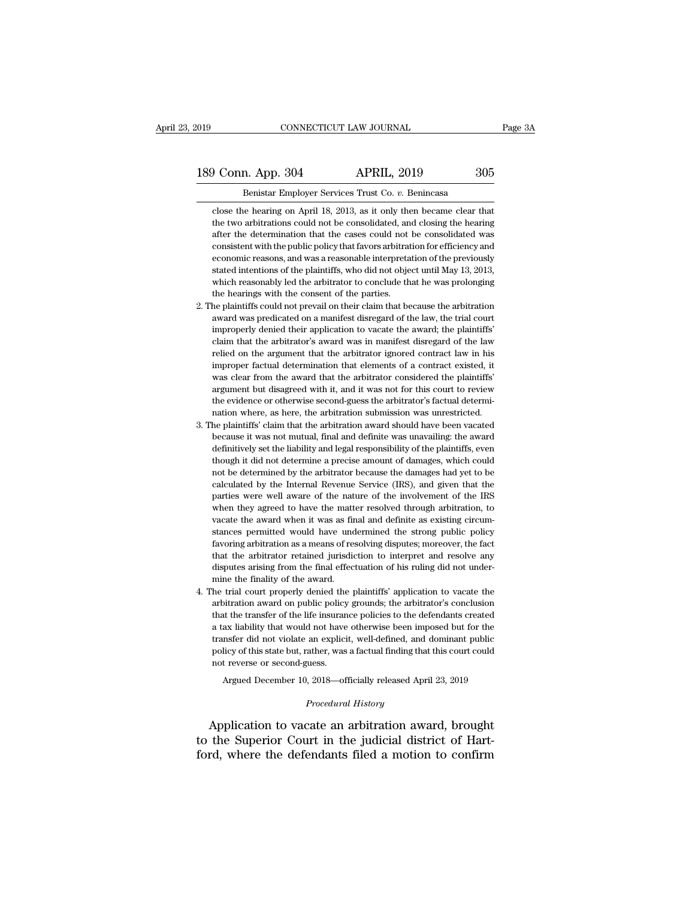189 Conn. App. 304 APRIL, 2019 205<br>Benistar Employer Services Trust Co. v. Benincasa

Benistar Employer Services Trust Co. *v.* Benincasa **Conn. App. 304 Connect APRIL, 2019 Connect APRIL, 2019 Conserved Benistar Employer Services Trust Co. v. Benincasa**<br> **Close the hearing on April 18, 2013, as it only then became clear that**<br>
the two arbitrations cou The two arbitrations could not be consolidated, and closing the hearing after the determination that the cases could not be consolidated was after the determination that the cases could not be consolidated was after the determination that the cases could not be consolidated, and closing the hearing of April 18, 2013, as it only then became clear that the two arbitrations could not be consolidated, and closing the hearing after t Example 19 Ferrical Services Trust Co. v. Benincasa<br>close the hearing on April 18, 2013, as it only then became clear that<br>the two arbitrations could not be consolidated, and closing the hearing<br>after the determination tha Benistar Employer Services Trust Co.  $v$ . Benincasa<br>close the hearing on April 18, 2013, as it only then became clear that<br>the two arbitrations could not be consolidated, and closing the hearing<br>after the determination th close the hearing on April 18, 2013, as it only then became clear that<br>the two arbitrations could not be consolidated, and closing the hearing<br>after the determination that the cases could not be consolidated was<br>consistent the two arbitrations could not be consolidated, and closing the hearing after the determination that the cases could not be consolidated was consistent with the public policy that favors arbitration for efficiency and econ the two arbitrations could not be consolidated, and closing the hearing<br>after the determination that the cases could not be consolidated was<br>consistent with the public policy that favors arbitration for efficiency and<br>econ consistent with the public policy that favors arbitration for efficiency and economic reasons, and was a reasonable interpretation of the previously stated intentions of the plaintiffs, who did not object until May 13, 201 economic reasons, and was a reasonable interpretation of the previously stated intentions of the plaintiffs, who did not object until May 13, 2013, which reasonably led the arbitrator to conclude that he was prolonging the

- stated intentions of the plaintiffs, who did not object until May 13, 2013, which reasonably led the arbitrator to conclude that he was prolonging the hearings with the consent of the parties.<br>He plaintiffs could not preva which reasonably led the arbitrator to conclude that he was prolonging<br>the hearings with the consent of the parties.<br>he plaintiffs could not prevail on their claim that because the arbitration<br>award was predicated on a man the hearings with the consent of the parties.<br>
the hearings with the consent of the parties.<br>
the plaintiffs could not prevail on their claim that because the arbitration<br>
award was predicated on a manifest disregard of th he plaintiffs could not prevail on their claim that because the arbitration award was predicated on a manifest disregard of the law, the trial court improperly denied their application to vacate the award; the plaintiffs' ward was predicated on a manifest disregard of the law, the trial court<br>improperly denied their application to vacate the award; the plaintiffs'<br>claim that the arbitrator's award was in manifest disregard of the law<br>relied improperly denied their application to vacate the award; the plaintiffs' claim that the arbitrator's award was in manifest disregard of the law relied on the argument that the arbitrator ignored contract law in his imprope improperly denied their application to vacate the award; the plaintiffs' claim that the arbitrator's award was in manifest disregard of the law relied on the argument that the arbitrator ignored contract law in his imprope improper factual determination that elements of a contract existed, it was clear from the award that the arbitrator considered the plaintiffs' argument but disagreed with it, and it was not for this court to review the evi was clear from the award that the arbitrator considered the plaintiffs' argument but disagreed with it, and it was not for this court to review the evidence or otherwise second-guess the arbitrator's factual determination
- 3. The plaintiffs' claim that the arbitration award should have been vacated because it was not mutual, final and definite was unavailing: the award argument but disagreed with it, and it was not for this court to review<br>the evidence or otherwise second-guess the arbitrator's factual determi-<br>nation where, as here, the arbitration submission was unrestricted.<br>he plaint the evidence or otherwise second-guess the arbitrator's factual determination where, as here, the arbitration submission was unrestricted.<br>he plaintiffs' claim that the arbitration award should have been vacated<br>because it nation where, as here, the arbitration submission was unrestricted.<br>he plaintiffs' claim that the arbitration award should have been vacated<br>because it was not mutual, final and definite was unavailing: the award<br>definitiv he plaintiffs' claim that the arbitration award should have been vacated because it was not mutual, final and definite was unavailing: the award definitively set the liability and legal responsibility of the plaintiffs, ev because it was not mutual, final and definite was unavailing: the award definitively set the liability and legal responsibility of the plaintiffs, even though it did not determine a precise amount of damages, which could n definitively set the liability and legal responsibility of the plaintiffs, even<br>though it did not determine a precise amount of damages, which could<br>not be determined by the arbitrator because the damages had yet to be<br>cal definitively set the liability and legal responsibility of the plaintiffs, even<br>though it did not determine a precise amount of damages, which could<br>not be determined by the arbitrator because the damages had yet to be<br>cal not be determined by the arbitrator because the damages had yet to be calculated by the Internal Revenue Service (IRS), and given that the parties were well aware of the nature of the involvement of the IRS when they agree realculated by the Internal Revenue Service (IRS), and given that the parties were well aware of the nature of the involvement of the IRS when they agreed to have the matter resolved through arbitration, to vacate the awar parties were well aware of the nature of the involvement of the IRS when they agreed to have the matter resolved through arbitration, to vacate the award when it was as final and definite as existing circumstances permitte favoring arbitration as a means of resolving disputes; moreover, the fact<br>that the arbitrator retained jurisdiction to interpret and resolve any<br>disputes arising from the final effectuation of his ruling did not under-<br>min stances permitted would have undermined the strong public policy<br>stances permitted would have undermined the strong public policy<br>favoring arbitration as a means of resolving disputes; moreover, the fact<br>that the arbitrato favoring arbitration as a means of resolving disputes; moreover, the fact that the arbitrator retained jurisdiction to interpret and resolve any disputes arising from the final effectuation of his ruling did not under-<br>min
- 4. The trial court properly denied the plaintiffs' application to vacate the that the arbitrator retained jurisdiction to interpret and resolve any disputes arising from the final effectuation of his ruling did not under-<br>mine the finality of the award.<br>he trial court properly denied the plaintiffs disputes arising from the final effectuation of his ruling did not under-<br>mine the finality of the award.<br>he trial court properly denied the plaintiffs' application to vacate the<br>arbitration award on public policy grounds; mine the finality of the award.<br>
the trial court properly denied the plaintiffs' application to vacate the<br>
arbitration award on public policy grounds; the arbitrator's conclusion<br>
that the transfer of the life insurance p he trial court properly denied the plaintiffs' application to vacate the arbitration award on public policy grounds; the arbitrator's conclusion that the transfer of the life insurance policies to the defendants created a arbitration award on public policy grounds; the arbitrator's conclusion<br>that the transfer of the life insurance policies to the defendants created<br>a tax liability that would not have otherwise been imposed but for the<br>tran It the transfer of the life insurance policies to the defendants created ax liability that would not have otherwise been imposed but for the nsfer did not violate an explicit, well-defined, and dominant publice licy of thi transfer did not violate an explicit, well-defined, and dominant public<br>policy of this state but, rather, was a factual finding that this court could<br>not reverse or second-guess.<br>Argued December 10, 2018—officially release

Argued December 10, 2018—officially released April 23, 2019<br>*Procedural History*<br>Application to vacate an arbitration award, brought policy of this state but, rather, was a factual finding that this court could<br>not reverse or second-guess.<br>Argued December 10, 2018—officially released April 23, 2019<br>*Procedural History*<br>Application to vacate an arbitrati not reverse or second-guess.<br>Argued December 10, 2018—officially released April 23, 2019<br>*Procedural History*<br>Application to vacate an arbitration award, brought<br>to the Superior Court in the judicial district of Hart-<br>ford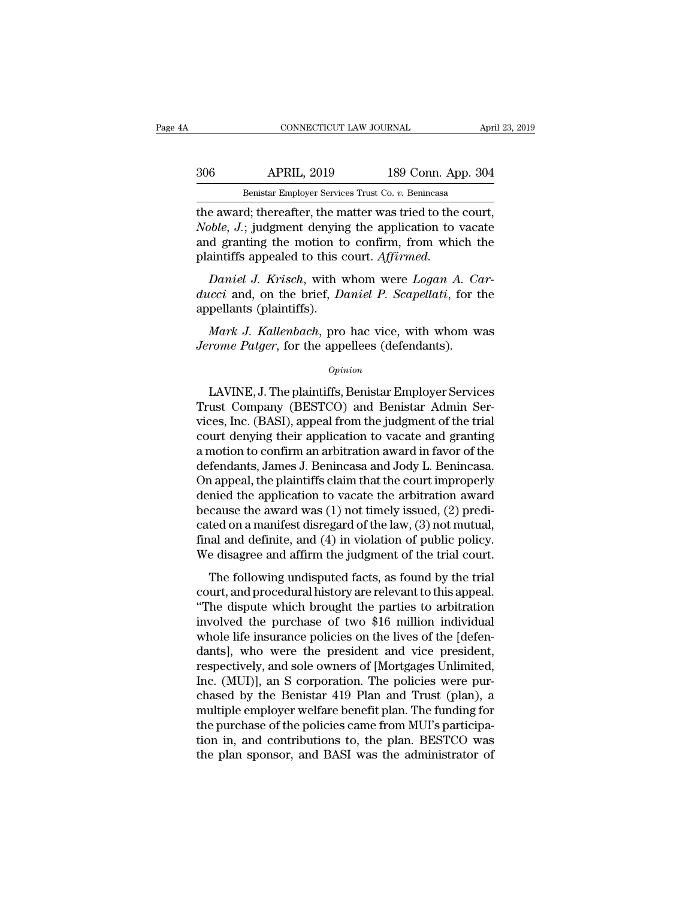## EXECUTE CONNECTICUT LAW JOURNAL April 23, 2019<br>306 APRIL, 2019 189 Conn. App. 304<br>Benistar Employer Services Trust Co. v. Benincasa CONNECTICUT LAW JOURNAL April 23, 2019<br>Benistar Employer Services Trust Co. *v.* Benincasa<br>The award; thereafter, the matter was tried to the court,

CONNECTICUT LAW JOURNAL April 23, 2<br>
306 APRIL, 2019 189 Conn. App. 304<br>
Benistar Employer Services Trust Co. v. Benincasa<br>
the award; thereafter, the matter was tried to the court,<br> *Noble*, J.; judgment denying the appli *Noble*, *Noble*, *Noble*, *Noble*, *Noble*, *Noble*, *Noble*, *Noble*, *Noble*, *Noble*, *Noble*, *Noble*, *Noble*, *Noble*, *Noble*, *Noble*, *Noble*, *Noble*, *Noble*, *Noble*, *Noble*, *Noble*, *Noble*, *Noble*, *Noble* and and the motion of the motion of the motion of the motion of the award; thereafter, the matter was tried to the court, *Noble*, *J*.; judgment denying the application to vacate and granting the motion to confirm, from w 306 **APRIL**, 2019 189 Conn. Appear of the award; thereafter, the matter was tried to the *Noble*, *J*.; judgment denying the application to vand granting the motion to confirm, from whic plaintiffs appealed to this court. *Benistar Employer Services Trust Co. v. Benincasa*<br> *e award*; thereafter, the matter was tried to the court,<br> *pble*, *J*.; judgment denying the application to vacate<br> *d* granting the motion to confirm, from which the<br> *duckieral in the award; thereafter, the matter was tried to the court, Noble, J.; judgment denying the application to vacate and granting the motion to confirm, from which the plaintiffs appealed to this court. <i>Affirmed.* Fig. 3.1. Sudgment denying<br> *Noble, J.*; judgment denying<br>
and granting the motion to<br>
plaintiffs appealed to this compared by Daniel J. Krisch, with v<br> *ducci* and, on the brief, Dappellants (plaintiffs).<br> *Mark J. Kallen* 

*d* granting the motion to confirm, from which the<br>aintiffs appealed to this court. *Affirmed.*<br>Daniel J. Krisch, with whom were Logan A. Car-<br>icci and, on the brief, Daniel P. Scapellati, for the<br>pellants (plaintiffs).<br>Ma plaintiffs appealed to this court. *Affirmed.*<br> *Daniel J. Krisch*, with whom were *Logan A. Co*<br> *ducci* and, on the brief, *Daniel P. Scapellati*, for t<br>
appellants (plaintiffs).<br> *Mark J. Kallenbach*, pro hac vice, with

### *Opinion*

LAVINE, J. The plaintiffs, Benistar Employer Services and *Mark J. Kallenbach*, pro hac vice, with whom was<br>
rome Patger, for the appellees (defendants).<br> *Opinion*<br>
LAVINE, J. The plaintiffs, Benistar Employer Services<br>
u appellants (plaintiffs).<br>
Mark J. Kallenbach, pro hac vice, with whom was<br>
Jerome Patger, for the appellees (defendants).<br>
opinion<br>
LAVINE, J. The plaintiffs, Benistar Employer Services<br>
Trust Company (BESTCO) and Benistar Mark J. Kallenbach, pro hac vice, with whom was<br>Jerome Patger, for the appellees (defendants).<br>Opinion<br>LAVINE, J. The plaintiffs, Benistar Employer Services<br>Trust Company (BESTCO) and Benistar Admin Services, Inc. (BASI), *Jerome Patger*, for the appellees (defendants).<br> *Opinion*<br>
LAVINE, J. The plaintiffs, Benistar Employer Services<br>
Trust Company (BESTCO) and Benistar Admin Services, Inc. (BASI), appeal from the judgment of the trial<br>
co opinion<br>
LAVINE, J. The plaintiffs, Benistar Employer Services<br>
Trust Company (BESTCO) and Benistar Admin Services, Inc. (BASI), appeal from the judgment of the trial<br>
court denying their application to vacate and granting LAVINE, J. The plaintiffs, Benistar Employer Services<br>Trust Company (BESTCO) and Benistar Admin Services, Inc. (BASI), appeal from the judgment of the trial<br>court denying their application to vacate and granting<br>a motion t LAVINE, J. The plaintiffs, Benistar Employer Services<br>Trust Company (BESTCO) and Benistar Admin Services, Inc. (BASI), appeal from the judgment of the trial<br>court denying their application to vacate and granting<br>a motion t Trust Company (BESTCO) and Benistar Admin Services, Inc. (BASI), appeal from the judgment of the trial<br>court denying their application to vacate and granting<br>a motion to confirm an arbitration award in favor of the<br>defenda vices, Inc. (BASI), appeal from the judgment of the trial<br>court denying their application to vacate and granting<br>a motion to confirm an arbitration award in favor of the<br>defendants, James J. Benincasa and Jody L. Benincasa court denying their application to vacate and granting<br>a motion to confirm an arbitration award in favor of the<br>defendants, James J. Benincasa and Jody L. Benincasa.<br>On appeal, the plaintiffs claim that the court improperl a motion to confirm an arbitration award in favor of the<br>defendants, James J. Benincasa and Jody L. Benincasa.<br>On appeal, the plaintiffs claim that the court improperly<br>denied the application to vacate the arbitration awar defendants, James J. Benincasa and Jody L. Benincasa.<br>On appeal, the plaintiffs claim that the court improperly<br>denied the application to vacate the arbitration award<br>because the award was (1) not timely issued, (2) predirappear, are planting claim that the court improperty<br>mied the application to vacate the arbitration award<br>cause the award was  $(1)$  not timely issued,  $(2)$  predi-<br>ted on a manifest disregard of the law,  $(3)$  not mutual defined the approad. The victorial of the law, (2) predicated on a manifest disregard of the law, (3) not mutual, final and definite, and (4) in violation of public policy. We disagree and affirm the judgment of the trial

because the award was  $(1)$  hot timely issued,  $(2)$  predicated on a manifest disregard of the law,  $(3)$  not mutual, final and definite, and  $(4)$  in violation of public policy.<br>We disagree and affirm the judgment of the Final and definite, and (4) in violation of public policy.<br>We disagree and affirm the judgment of the trial court.<br>The following undisputed facts, as found by the trial<br>court, and procedural history are relevant to this a We disagree and affirm the judgment of the trial court.<br>
The following undisputed facts, as found by the trial<br>
court, and procedural history are relevant to this appeal.<br>
"The dispute which brought the parties to arbitra The following undisputed facts, as found by the trial<br>court, and procedural history are relevant to this appeal.<br>"The dispute which brought the parties to arbitration<br>involved the purchase of two \$16 million individual<br>who The following undisputed facts, as found by the trial<br>court, and procedural history are relevant to this appeal.<br>"The dispute which brought the parties to arbitration<br>involved the purchase of two \$16 million individual<br>who court, and procedural history are relevant to this appeal.<br>
"The dispute which brought the parties to arbitration<br>
involved the purchase of two \$16 million individual<br>
whole life insurance policies on the lives of the [def "The dispute which brought the parties to arbitration<br>involved the purchase of two \$16 million individual<br>whole life insurance policies on the lives of the [defen-<br>dants], who were the president and vice president,<br>respec involved the purchase of two \$16 million individual<br>whole life insurance policies on the lives of the [defen-<br>dants], who were the president and vice president,<br>respectively, and sole owners of [Mortgages Unlimited,<br>Inc. ( whole life insurance policies on the lives of the [defendants], who were the president and vice president, respectively, and sole owners of [Mortgages Unlimited, Inc. (MUI)], an S corporation. The policies were purchased b dants], who were the president and vice president,<br>respectively, and sole owners of [Mortgages Unlimited,<br>Inc. (MUI)], an S corporation. The policies were pur-<br>chased by the Benistar 419 Plan and Trust (plan), a<br>multiple e respectively, and sole owners of [Mortgages Unlimited, Inc. (MUI)], an S corporation. The policies were purchased by the Benistar 419 Plan and Trust (plan), a multiple employer welfare benefit plan. The funding for the pur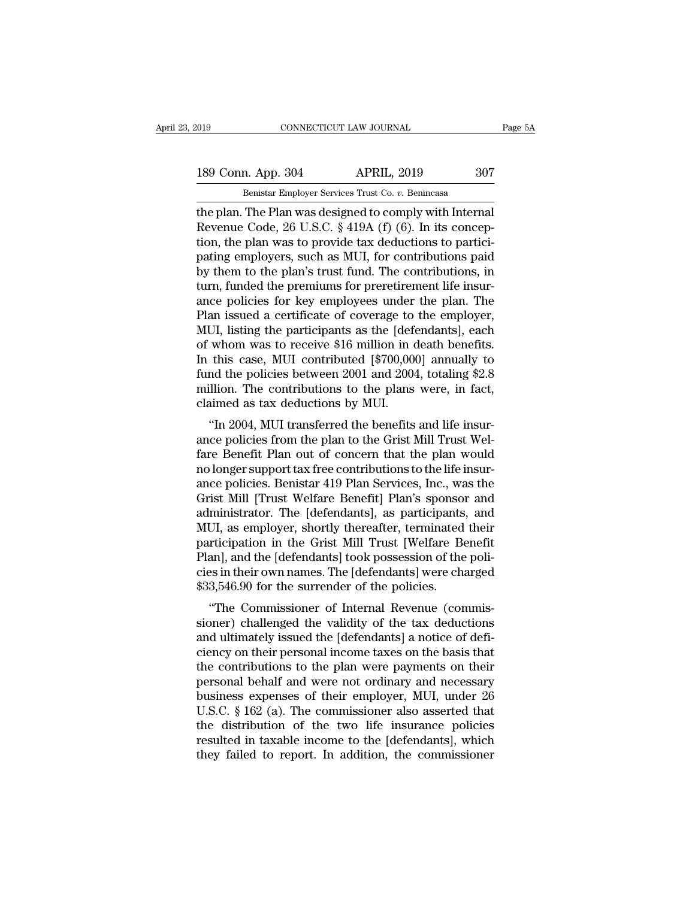189 Conn. App. 304 APRIL, 2019 2017<br>Benistar Employer Services Trust Co. v. Benincasa

EXECUTE 2019 CONNECTICUT LAW JOURNAL<br>189 Conn. App. 304 APRIL, 2019 307<br>Benistar Employer Services Trust Co. *v.* Benincasa<br>the plan. The Plan was designed to comply with Internal The plan. The plan was designed to comply with Internal<br>The plan. The Plan was designed to comply with Internal<br>The plan. The Plan was designed to comply with Internal<br>Revenue Code, 26 U.S.C. § 419A (f) (6). In its concep-189 Conn. App. 304 APRIL, 2019 307<br>
Benistar Employer Services Trust Co. v. Benincasa<br>
the plan. The Plan was designed to comply with Internal<br>
Revenue Code, 26 U.S.C. § 419A (f) (6). In its concep-<br>
tion, the plan was to 189 Conn. App. 304 APRIL, 2019 307<br>
Benistar Employer Services Trust Co. v. Benincasa<br>
the plan. The Plan was designed to comply with Internal<br>
Revenue Code, 26 U.S.C. § 419A (f) (6). In its concep-<br>
tion, the plan was to 189 Conn. App. 304 APRIL, 2019 307<br>
Benistar Employer Services Trust Co. v. Benincasa<br>
the plan. The Plan was designed to comply with Internal<br>
Revenue Code, 26 U.S.C. § 419A (f) (6). In its concep-<br>
tion, the plan was to Benistar Employer Services Trust Co.  $v$ . Benincasa<br>the plan. The Plan was designed to comply with Internal<br>Revenue Code, 26 U.S.C. § 419A (f) (6). In its concep-<br>tion, the plan was to provide tax deductions to partici-<br>p Benistar Employer Services Trust Co.  $v$ . Benincasa<br>the plan. The Plan was designed to comply with Internal<br>Revenue Code, 26 U.S.C. § 419A (f) (6). In its concep-<br>tion, the plan was to provide tax deductions to partici-<br>p the plan. The Plan was designed to comply with Internal<br>Revenue Code, 26 U.S.C. § 419A (f) (6). In its concep-<br>tion, the plan was to provide tax deductions to partici-<br>pating employers, such as MUI, for contributions paid<br> Revenue Code, 26 U.S.C. § 419A (f) (6). In its conception, the plan was to provide tax deductions to participating employers, such as MUI, for contributions paid by them to the plan's trust fund. The contributions, in tur tion, the plan was to provide tax deductions to partici-<br>pating employers, such as MUI, for contributions paid<br>by them to the plan's trust fund. The contributions, in<br>turn, funded the premiums for preretirement life insurpating employers, such as MUI, for contributions paid<br>by them to the plan's trust fund. The contributions, in<br>turn, funded the premiums for preretirement life insur-<br>ance policies for key employees under the plan. The<br>Plan by them to the plan's trust fund. The contributions, in<br>turn, funded the premiums for preretirement life insur-<br>ance policies for key employees under the plan. The<br>Plan issued a certificate of coverage to the employer,<br>MUI turn, funded the premiums for preretirement life insur-<br>ance policies for key employees under the plan. The<br>Plan issued a certificate of coverage to the employer,<br>MUI, listing the participants as the [defendants], each<br>of ance policies for key employees under the plan. The<br>Plan issued a certificate of coverage to the employer,<br>MUI, listing the participants as the [defendants], each<br>of whom was to receive \$16 million in death benefits.<br>In th Plan issued a certificate of coverage to<br>MUI, listing the participants as the [defect<br>of whom was to receive \$16 million in a<br>In this case, MUI contributed [\$700,000<br>fund the policies between 2001 and 2004<br>million. The con  $\sigma$ , issuig the participants as the [defendants], each<br>whom was to receive \$16 million in death benefits.<br>this case, MUI contributed [\$700,000] annually to<br>nd the policies between 2001 and 2004, totaling \$2.8<br>llion. The or whom was to receive \$10 minion in death benefits.<br>In this case, MUI contributed [\$700,000] annually to<br>fund the policies between 2001 and 2004, totaling \$2.8<br>million. The contributions to the plans were, in fact,<br>claime

In this case, MCI contributed [ $\phi$ 100,000] antitally to<br>fund the policies between 2001 and 2004, totaling \$2.8<br>million. The contributions to the plans were, in fact,<br>claimed as tax deductions by MUI.<br>"In 2004, MUI transf nullion. The contributions to the plans were, in fact,<br>claimed as tax deductions by MUI.<br>"In 2004, MUI transferred the benefits and life insur-<br>ance policies from the plan to the Grist Mill Trust Wel-<br>fare Benefit Plan out minon. The contributions to the plans were, in fact,<br>claimed as tax deductions by MUI.<br>"In 2004, MUI transferred the benefits and life insur-<br>ance policies from the plan to the Grist Mill Trust Wel-<br>fare Benefit Plan out o "In 2004, MUI transferred the benefits and life insur-<br>"In 2004, MUI transferred the benefits and life insur-<br>ance policies from the plan to the Grist Mill Trust Wel-<br>fare Benefit Plan out of concern that the plan would<br>no "In 2004, MUI transferred the benefits and life insur-<br>ance policies from the plan to the Grist Mill Trust Wel-<br>fare Benefit Plan out of concern that the plan would<br>no longer support tax free contributions to the life insu ance policies from the plan to the Grist Mill Trust Welfare Benefit Plan out of concern that the plan would<br>no longer support tax free contributions to the life insur-<br>ance policies. Benistar 419 Plan Services, Inc., was t fare Benefit Plan out of concern that the plan would<br>no longer support tax free contributions to the life insur-<br>ance policies. Benistar 419 Plan Services, Inc., was the<br>Grist Mill [Trust Welfare Benefit] Plan's sponsor an no longer support tax free contributions to the life insurance policies. Benistar 419 Plan Services, Inc., was the Grist Mill [Trust Welfare Benefit] Plan's sponsor and administrator. The [defendants], as participants, and ance policies. Benistar 419 Plan Services, Inc., was the Grist Mill [Trust Welfare Benefit] Plan's sponsor and administrator. The [defendants], as participants, and MUI, as employer, shortly thereafter, terminated their pa Grist Mill [Trust Welfare Benefit] Plan's sponsonedministrator. The [defendants], as participants MUI, as employer, shortly thereafter, terminated participation in the Grist Mill Trust [Welfare Bellan], and the [defendants ministrator. The [defendants], as participatis, and<br>CII, as employer, shortly thereafter, terminated their<br>rticipation in the Grist Mill Trust [Welfare Benefit<br>an], and the [defendants] took possession of the poli-<br>es in t mor, as employer, shortly thereafter, terminated then<br>participation in the Grist Mill Trust [Welfare Benefit<br>Plan], and the [defendants] took possession of the poli-<br>cies in their own names. The [defendants] were charged<br>\$

participation in the Grist Min Trust [weitare Benefit<br>Plan], and the [defendants] took possession of the poli-<br>cies in their own names. The [defendants] were charged<br>\$33,546.90 for the surrender of the policies.<br>"The Commi r large in their own names. The [defendants] were charged<br>\$33,546.90 for the surrender of the policies.<br>\*The Commissioner of Internal Revenue (commis-<br>sioner) challenged the validity of the tax deductions<br>and ultimately is the commissioner of the policies.<br>
Sacrossimal were charged<br>
Sacrossimer) challenged the validity of the tax deductions<br>
and ultimately issued the [defendants] a notice of defi-<br>
ciency on their personal income taxes on th  $\phi$ 55,540.50 for the surfender of the poncies.<br>
"The Commissioner of Internal Revenue (commissioner) challenged the validity of the tax deductions<br>
and ultimately issued the [defendants] a notice of defi-<br>
ciency on thei "The Commissioner of Internal Revenue (commissioner) challenged the validity of the tax deductions<br>and ultimately issued the [defendants] a notice of defi-<br>ciency on their personal income taxes on the basis that<br>the contr sioner) challenged the validity of the tax deductions<br>and ultimately issued the [defendants] a notice of defi-<br>ciency on their personal income taxes on the basis that<br>the contributions to the plan were payments on their<br>pe and ultimately issued the [defendants] a notice of defi-<br>ciency on their personal income taxes on the basis that<br>the contributions to the plan were payments on their<br>personal behalf and were not ordinary and necessary<br>busi ciency on their personal income taxes on the basis that<br>the contributions to the plan were payments on their<br>personal behalf and were not ordinary and necessary<br>business expenses of their employer, MUI, under 26<br>U.S.C. § 1 the contributions to the plan were payments on their<br>personal behalf and were not ordinary and necessary<br>business expenses of their employer, MUI, under 26<br>U.S.C. § 162 (a). The commissioner also asserted that<br>the distribu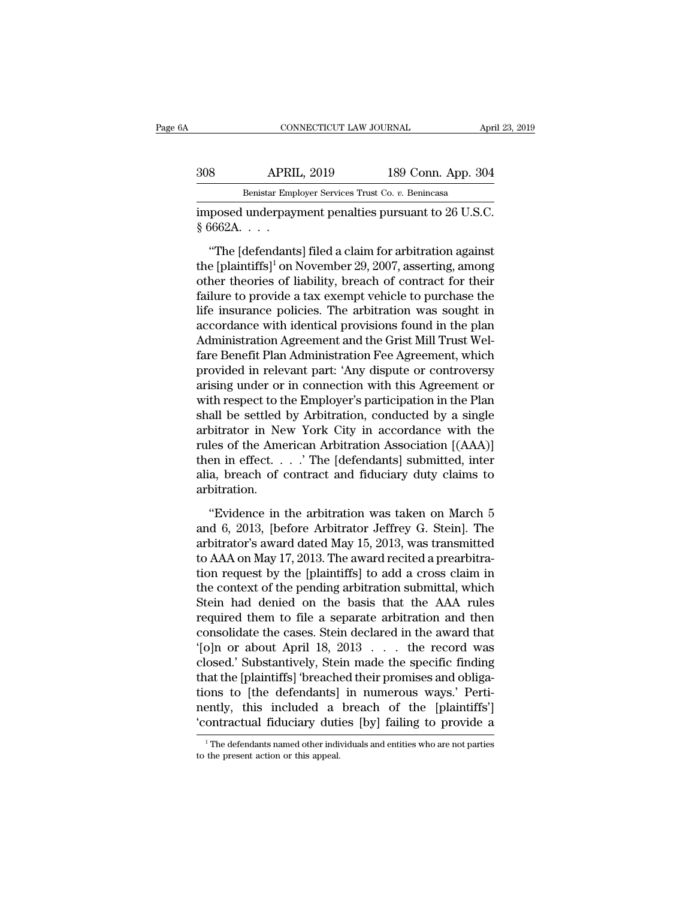### EXECUTE CONNECTICUT LAW JOURNAL April 23, 2019<br>308 APRIL, 2019 189 Conn. App. 304<br>Benistar Employer Services Trust Co. v. Benincasa EXECTICUT LAW JOURNAL AT AN ANTINUES AND MARKETICUT LAW JOURNAL APPORTED APPORT OF A PRIMA SERVICE TRUST CO. *v.* Benincasa<br>Benistar Employer Services Trust Co. *v.* Benincasa

CONNECTICUT LAW JOURNAL April 23, 2<br>
308 APRIL, 2019 189 Conn. App. 304<br>
Benistar Employer Services Trust Co. v. Benincasa<br>
imposed underpayment penalties pursuant to 26 U.S.C.<br>
§ 6662A. . . . Example 1888<br>
Senistar Emp<br>
imposed underpay:<br>
8 6662A. . . . .<br>
"The [defendants

8 APRIL, 2019 189 Conn. App. 304<br>
Benistar Employer Services Trust Co. v. Benincasa<br>
posed underpayment penalties pursuant to 26 U.S.C.<br>
"The [defendants] filed a claim for arbitration against<br>
e [plaintiffs]<sup>1</sup> on Novembe 308 APRIL, 2019 189 Conn. App. 304<br>
Benistar Employer Services Trust Co. v. Benincasa<br>
imposed underpayment penalties pursuant to 26 U.S.C.<br>
§ 6662A. . . .<br>
"The [defendants] filed a claim for arbitration against<br>
the [pl Benistar Employer Services Trust Co.  $v$ . Benincasa<br>
imposed underpayment penalties pursuant to 26 U.S.C.<br>
§ 6662A....<br>
"The [defendants] filed a claim for arbitration against<br>
the [plaintiffs]<sup>1</sup> on November 29, 2007, as imposed underpayment penalties pursuant to 26 U.S.C.<br>
§ 6662A.  $\ldots$ <br>
"The [defendants] filed a claim for arbitration against<br>
the [plaintiffs]<sup>1</sup> on November 29, 2007, asserting, among<br>
other theories of liability, breac  $\frac{1}{8}$  6662A....<br>  $\frac{1}{8}$  6662A....<br>
"The [defendants] filed a claim for arbitration against<br>
the [plaintiffs]<sup>1</sup> on November 29, 2007, asserting, among<br>
other theories of liability, breach of contract for their<br>
fai The [defendants] filed a claim for arbitration against<br>the [plaintiffs]<sup>1</sup> on November 29, 2007, asserting, among<br>other theories of liability, breach of contract for their<br>failure to provide a tax exempt vehicle to purcha "The [defendants] filed a claim for arbitration against<br>the [plaintiffs]<sup>1</sup> on November 29, 2007, asserting, among<br>other theories of liability, breach of contract for their<br>failure to provide a tax exempt vehicle to purch the [plaintiffs]<sup>1</sup> on November 29, 2007, asserting, among<br>other theories of liability, breach of contract for their<br>failure to provide a tax exempt vehicle to purchase the<br>life insurance policies. The arbitration was soug other theories of liability, breach of contract for their<br>failure to provide a tax exempt vehicle to purchase the<br>life insurance policies. The arbitration was sought in<br>accordance with identical provisions found in the pla failure to provide a tax exempt vehicle to purchase the<br>life insurance policies. The arbitration was sought in<br>accordance with identical provisions found in the plan<br>Administration Agreement and the Grist Mill Trust Wel-<br>f life insurance policies. The arbitration was sought in<br>accordance with identical provisions found in the plan<br>Administration Agreement and the Grist Mill Trust Wel-<br>fare Benefit Plan Administration Fee Agreement, which<br>pro accordance with identical provisions found in the plan<br>Administration Agreement and the Grist Mill Trust Wel-<br>fare Benefit Plan Administration Fee Agreement, which<br>provided in relevant part: 'Any dispute or controversy<br>ari Administration Agreement and the Grist Mill Trust Welfare Benefit Plan Administration Fee Agreement, which<br>provided in relevant part: 'Any dispute or controversy<br>arising under or in connection with this Agreement or<br>with r fare Benefit Plan Administration Fee Agreement, which<br>provided in relevant part: 'Any dispute or controversy<br>arising under or in connection with this Agreement or<br>with respect to the Employer's participation in the Plan<br>sh provided in relevant part: 'Any dispute or controversy<br>arising under or in connection with this Agreement or<br>with respect to the Employer's participation in the Plan<br>shall be settled by Arbitration, conducted by a single<br>a arising under or in connection with this Agreement or<br>with respect to the Employer's participation in the Plan<br>shall be settled by Arbitration, conducted by a single<br>arbitrator in New York City in accordance with the<br>rule arbitration. bitrator in New York City in accordance with the<br>
les of the American Arbitration Association [(AAA)]<br>
en in effect. . . . 'The [defendants] submitted, inter<br>
a, breach of contract and fiduciary duty claims to<br>
bitration. rules of the American Arbitration Association [(AAA)]<br>then in effect....' The [defendants] submitted, inter<br>alia, breach of contract and fiduciary duty claims to<br>arbitration.<br>"Evidence in the arbitration was taken on Marc

From in effect.  $\ldots$  The [defendants] submitted, inter<br>alia, breach of contract and fiduciary duty claims to<br>arbitration.<br>"Evidence in the arbitration was taken on March 5<br>and 6, 2013, [before Arbitrator Jeffrey G. Stein The abit of contract and fiduciary duty claims to<br>arbitration.<br>"Evidence in the arbitration was taken on March 5<br>and 6, 2013, [before Arbitrator Jeffrey G. Stein]. The<br>arbitrator's award dated May 15, 2013, was transmitted The arbitration.<br>
"Evidence in the arbitration was taken on March 5<br>
and 6, 2013, [before Arbitrator Jeffrey G. Stein]. The<br>
arbitrator's award dated May 15, 2013, was transmitted<br>
to AAA on May 17, 2013. The award recite "Evidence in the arbitration was taken on March 5<br>and 6, 2013, [before Arbitrator Jeffrey G. Stein]. The<br>arbitrator's award dated May 15, 2013, was transmitted<br>to AAA on May 17, 2013. The award recited a prearbitra-<br>tion "Evidence in the arbitration was taken on March 5<br>and 6, 2013, [before Arbitrator Jeffrey G. Stein]. The<br>arbitrator's award dated May 15, 2013, was transmitted<br>to AAA on May 17, 2013. The award recited a prearbitra-<br>tion and 6, 2013, [before Arbitrator Jeffrey G. Stein]. The<br>arbitrator's award dated May 15, 2013, was transmitted<br>to AAA on May 17, 2013. The award recited a prearbitra-<br>tion request by the [plaintiffs] to add a cross claim in arbitrator's award dated May 15, 2013, was transmitted<br>to AAA on May 17, 2013. The award recited a prearbitra-<br>tion request by the [plaintiffs] to add a cross claim in<br>the context of the pending arbitration submittal, whic to AAA on May 17, 2013. The award recited a prearbitration request by the [plaintiffs] to add a cross claim in the context of the pending arbitration submittal, which Stein had denied on the basis that the AAA rules requir tion request by the [plaintiffs] to add a cross claim in<br>the context of the pending arbitration submittal, which<br>Stein had denied on the basis that the AAA rules<br>required them to file a separate arbitration and then<br>consol the context of the pending arbitration submittal, which<br>Stein had denied on the basis that the AAA rules<br>required them to file a separate arbitration and then<br>consolidate the cases. Stein declared in the award that<br>'[o]n o Stein had denied on the basis that the AAA rules<br>required them to file a separate arbitration and then<br>consolidate the cases. Stein declared in the award that<br>'[o]n or about April 18, 2013 . . . the record was<br>closed.' Sub required them to file a separate arbitration and then<br>consolidate the cases. Stein declared in the award that<br>'[o]n or about April 18, 2013 . . . the record was<br>closed.' Substantively, Stein made the specific finding<br>that consolidate the cases. Stein declared in the award that '[o]n or about April 18, 2013 . . . the record was closed.' Substantively, Stein made the specific finding that the [plaintiffs] 'breached their promises and obligat that the [plaintiffs] 'breached their promises and obligations to [the defendants] in numerous ways.' Pertinently, this included a breach of the [plaintiffs'] 'contractual fiduciary duties [by] failing to provide a Trentin to the fourth actual fiduciary duties [by] failing to provide a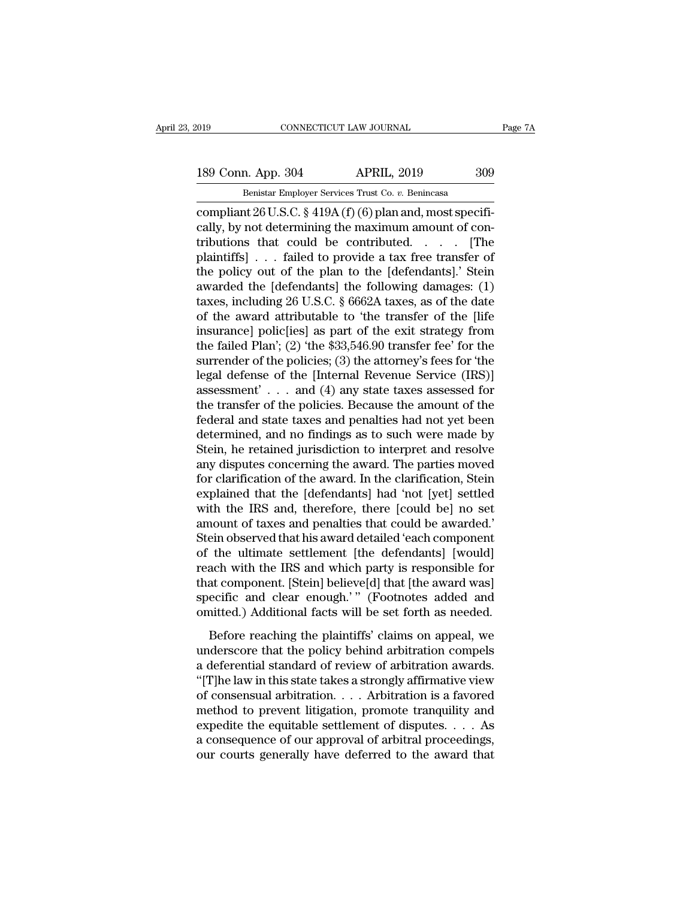# 189 Conn. App. 304 APRIL, 2019 309<br>Benistar Employer Services Trust Co. v. Benincasa

EXECUTE 2019 CONNECTICUT LAW JOURNAL<br>189 Conn. App. 304 APRIL, 2019 309<br><del>Benistar Employer Services Trust Co. *v*. Benincasa<br>Compliant 26 U.S.C. § 419A (f) (6) plan and, most specifi-</del> connectricut LAW JOURNAL<br>
189 Conn. App. 304 APRIL, 2019 309<br>
Benistar Employer Services Trust Co. v. Benincasa<br>
compliant 26 U.S.C. § 419A (f) (6) plan and, most specifi-<br>
cally, by not determining the maximum amount of c 189 Conn. App. 304 APRIL, 2019 309<br>
Benistar Employer Services Trust Co. v. Benincasa<br>
compliant 26 U.S.C. § 419A (f) (6) plan and, most specifi-<br>
cally, by not determining the maximum amount of con-<br>
tributions that could 189 Conn. App. 304 APRIL, 2019 309<br>
Benistar Employer Services Trust Co. v. Benincasa<br>
compliant 26 U.S.C. § 419A (f) (6) plan and, most specifi-<br>
cally, by not determining the maximum amount of con-<br>
tributions that coul 189 Conn. App. 304 APRIL, 2019 309<br>
Benistar Employer Services Trust Co. v. Benincasa<br>
compliant 26 U.S.C. § 419A (f) (6) plan and, most specifically, by not determining the maximum amount of contributions that could be c Benistar Employer Services Trust Co. v. Benincasa<br>
compliant 26 U.S.C. § 419A (f) (6) plan and, most specifi-<br>
cally, by not determining the maximum amount of con-<br>
tributions that could be contributed. . . . . [The<br>
plai Benistar Employer Services Trust Co. v. Benincasa<br>
compliant 26 U.S.C. § 419A (f) (6) plan and, most specifi-<br>
cally, by not determining the maximum amount of con-<br>
tributions that could be contributed. . . . . [The<br>
plai compliant 26 U.S.C. § 419A (f) (6) plan and, most specifically, by not determining the maximum amount of contributions that could be contributed. . . . . [The plaintiffs] . . . failed to provide a tax free transfer of the cally, by not determining the maximum amount of con-<br>tributions that could be contributed. . . . . [The<br>plaintiffs] . . . failed to provide a tax free transfer of<br>the policy out of the plan to the [defendants].' Stein<br>awa tributions that could be contributed. . . . . [The<br>plaintiffs] . . . failed to provide a tax free transfer of<br>the policy out of the plan to the [defendants].' Stein<br>awarded the [defendants] the following damages: (1)<br>taxe plaintiffs] . . . failed to provide a tax free transfer of<br>the policy out of the plan to the [defendants].' Stein<br>awarded the [defendants] the following damages: (1)<br>taxes, including 26 U.S.C. § 6662A taxes, as of the date the policy out of the plan to the [defendants].' Stein<br>awarded the [defendants] the following damages: (1)<br>taxes, including 26 U.S.C. § 6662A taxes, as of the date<br>of the award attributable to 'the transfer of the [life<br>in awarded the [defendants] the following damages:  $(1)$ <br>taxes, including 26 U.S.C. § 6662A taxes, as of the date<br>of the award attributable to 'the transfer of the [life<br>insurance] polic[ies] as part of the exit strategy fro taxes, including 26 U.S.C. § 6662A taxes, as of the date<br>of the award attributable to 'the transfer of the [life<br>insurance] polic[ies] as part of the exit strategy from<br>the failed Plan'; (2) 'the \$33,546.90 transfer fee' of the award attributable to 'the transfer of the [life insurance] polic[ies] as part of the exit strategy from the failed Plan'; (2) 'the \$33,546.90 transfer fee' for the surrender of the policies; (3) the attorney's fee insurance] polic[ies] as part of the exit strategy from<br>the failed Plan'; (2) 'the \$33,546.90 transfer fee' for the<br>surrender of the policies; (3) the attorney's fees for 'the<br>legal defense of the [Internal Revenue Service the failed Plan'; (2) 'the \$33,546.90 transfer fee' for the surrender of the policies; (3) the attorney's fees for 'the legal defense of the [Internal Revenue Service (IRS)] assessment' . . . and (4) any state taxes asses surrender of the policies; (3) the attorney's fees for 'the<br>legal defense of the [Internal Revenue Service (IRS)]<br>assessment' . . . and (4) any state taxes assessed for<br>the transfer of the policies. Because the amount of t legal defense of the [Internal Revenue Service (IRS)]<br>assessment'...and (4) any state taxes assessed for<br>the transfer of the policies. Because the amount of the<br>federal and state taxes and penalties had not yet been<br>determ assessment'... and (4) any state taxes assessed for<br>the transfer of the policies. Because the amount of the<br>federal and state taxes and penalties had not yet been<br>determined, and no findings as to such were made by<br>Stein, the transfer of the policies. Because the amount of the federal and state taxes and penalties had not yet been determined, and no findings as to such were made by Stein, he retained jurisdiction to interpret and resolve an federal and state taxes and penalties had not yet been<br>determined, and no findings as to such were made by<br>Stein, he retained jurisdiction to interpret and resolve<br>any disputes concerning the award. The parties moved<br>for c determined, and no findings as to such were made by<br>Stein, he retained jurisdiction to interpret and resolve<br>any disputes concerning the award. The parties moved<br>for clarification of the award. In the clarification, Stein<br> Stein, he retained jurisdiction to interpret and resolve<br>any disputes concerning the award. The parties moved<br>for clarification of the award. In the clarification, Stein<br>explained that the [defendants] had 'not [yet] settl any disputes concerning the award. The parties moved<br>for clarification of the award. In the clarification, Stein<br>explained that the [defendants] had 'not [yet] settled<br>with the IRS and, therefore, there [could be] no set<br>a for clarification of the award. In the clarification, Stein<br>explained that the [defendants] had 'not [yet] settled<br>with the IRS and, therefore, there [could be] no set<br>amount of taxes and penalties that could be awarded.'<br> explained that the [defendants] had 'not [yet] settled<br>with the IRS and, therefore, there [could be] no set<br>amount of taxes and penalties that could be awarded.'<br>Stein observed that his award detailed 'each component<br>of th with the IRS and, therefore, there [could be] no set<br>amount of taxes and penalties that could be awarded.'<br>Stein observed that his award detailed 'each component<br>of the ultimate settlement [the defendants] [would]<br>reach wi amount of taxes and penalties that could be awarded.'<br>Stein observed that his award detailed 'each component<br>of the ultimate settlement [the defendants] [would]<br>reach with the IRS and which party is responsible for<br>that co Ent observed that his award detailed each component<br>the ultimate settlement [the defendants] [would]<br>ach with the IRS and which party is responsible for<br>at component. [Stein] believe[d] that [the award was]<br>ecific and clea of any diamage beddeniant [are detendance] [would]<br>reach with the IRS and which party is responsible for<br>that component. [Stein] believe[d] that [the award was]<br>specific and clear enough.'" (Footnotes added and<br>omitted.) A

reaction what are this direct which party is responsible to<br>that component. [Stein] believe[d] that [the award was]<br>specific and clear enough.'" (Footnotes added and<br>omitted.) Additional facts will be set forth as needed.<br> specific and clear enough.'" (Footnotes added and omitted.) Additional facts will be set forth as needed.<br>Before reaching the plaintiffs' claims on appeal, we underscore that the policy behind arbitration compels a deferen omitted.) Additional facts will be set forth as needed.<br>Before reaching the plaintiffs' claims on appeal, we underscore that the policy behind arbitration compels<br>a deferential standard of review of arbitration awards.<br>"[ Before reaching the plaintiffs' claims on appeal, we<br>underscore that the policy behind arbitration compels<br>a deferential standard of review of arbitration awards.<br>"[T]he law in this state takes a strongly affirmative view Before reaching the plaintiffs' claims on appeal, we<br>underscore that the policy behind arbitration compels<br>a deferential standard of review of arbitration awards.<br>"[T]he law in this state takes a strongly affirmative view underscore that the policy behind arbitration compels<br>a deferential standard of review of arbitration awards.<br>"[T]he law in this state takes a strongly affirmative view<br>of consensual arbitration.... Arbitration is a favor a deferential standard of review of arbitration awards.<br>"[T]he law in this state takes a strongly affirmative view<br>of consensual arbitration.... Arbitration is a favored<br>method to prevent litigation, promote tranquility a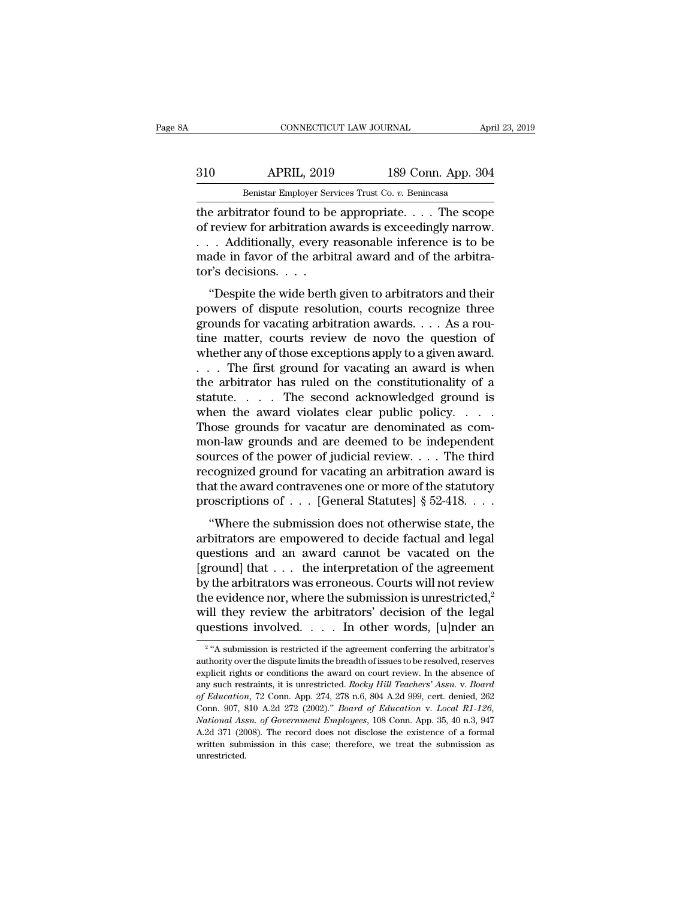## EXECUTE CONNECTICUT LAW JOURNAL April 23, 2019<br>310 APRIL, 2019 189 Conn. App. 304<br>Benistar Employer Services Trust Co. v. Benincasa CONNECTICUT LAW JOURNAL April 23, 2019<br>Benistar Employer Services Trust Co. *v.* Benincasa<br>The arbitrator found to be appropriate. . . . The scope

CONNECTICUT LAW JOURNAL April 23, 2019<br>
310 APRIL, 2019 189 Conn. App. 304<br>
Benistar Employer Services Trust Co. v. Benincasa<br>
the arbitrator found to be appropriate. . . . . The scope<br>
of review for arbitration awards is 310 APRIL, 2019 189 Conn. App. 304<br>Benistar Employer Services Trust Co. v. Benincasa<br>the arbitrator found to be appropriate. . . . The scope<br>of review for arbitration awards is exceedingly narrow.<br>. . . Additionally, every 310 APRIL, 2019 189 Conn. App. 304<br>
Benistar Employer Services Trust Co. v. Benincasa<br>
the arbitrator found to be appropriate. . . . The scope<br>
of review for arbitration awards is exceedingly narrow.<br>
. . . Additionally, made in favor of the arbitral award and of the arbitra-Benistar Employer Servetter<br>The arbitrator found to be<br>of review for arbitration a<br>. . . Additionally, every 1<br>made in favor of the arbitor's decisions. . . .<br>"Despite the wide berth Example arbitrator found to be appropriate.  $\ldots$  The scope<br>
review for arbitration awards is exceedingly narrow.<br>
Additionally, every reasonable inference is to be<br>
ade in favor of the arbitral award and of the arbitra-<br> France and the disputation awards is exceedingly narrow.<br>
... Additionally, every reasonable inference is to be<br>
made in favor of the arbitral award and of the arbitra-<br>
tor's decisions....<br>
"Despite the wide berth given t

grounds for a significant awards is exectedingly narrow.<br>  $\ldots$  Additionally, every reasonable inference is to be<br>
made in favor of the arbitral award and of the arbitra-<br>
tor's decisions.<br>  $\ldots$ <br>
"Despite the wide berth the matter matter is to be made in favor of the arbitral award and of the arbitrator's decisions. . . .<br>"Despite the wide berth given to arbitrators and their powers of dispute resolution, courts recognize three grounds f tor's decisions. . . .<br>"Despite the wide berth given to arbitrators and their<br>powers of dispute resolution, courts recognize three<br>grounds for vacating arbitration awards. . . . As a rou-<br>tine matter, courts review de novo "Despite the wide berth given to arbitrators and their<br>powers of dispute resolution, courts recognize three<br>grounds for vacating arbitration awards.  $\dots$  As a rou-<br>tine matter, courts review de novo the question of<br>whethe "Despite the wide berth given to arbitrators and their<br>powers of dispute resolution, courts recognize three<br>grounds for vacating arbitration awards. . . . As a rou-<br>tine matter, courts review de novo the question of<br>wheth powers of dispute resolution, courts recognize three<br>grounds for vacating arbitration awards. . . . As a rou-<br>tine matter, courts review de novo the question of<br>whether any of those exceptions apply to a given award.<br>. . grounds for vacating arbitration awards. . . . As a routine matter, courts review de novo the question of whether any of those exceptions apply to a given award.<br>. . . The first ground for vacating an award is when the ar tine matter, courts review de novo the question of<br>whether any of those exceptions apply to a given award.<br> $\ldots$  The first ground for vacating an award is when<br>the arbitrator has ruled on the constitutionality of a<br>statut whether any of those exceptions apply to a given award.<br>  $\dots$  The first ground for vacating an award is when<br>
the arbitrator has ruled on the constitutionality of a<br>
statute.  $\dots$  The second acknowledged ground is<br>
when t sources of the first ground for vacating an award is when<br>the arbitrator has ruled on the constitutionality of a<br>statute. . . . The second acknowledged ground is<br>when the award violates clear public policy. . . .<br>Those gr the arbitrator has ruled on the constitutionality of a<br>statute.... The second acknowledged ground is<br>when the award violates clear public policy....<br>Those grounds for vacatur are denominated as com-<br>mon-law grounds and ar statute. . . . The second acknowledged ground is<br>when the award violates clear public policy. . . . Those grounds for vacatur are denominated as com-<br>mon-law grounds and are deemed to be independent<br>sources of the power o when the award violates clear public policy. . . . . Those grounds for vacatur are denominated as common-law grounds and are deemed to be independent sources of the power of judicial review. . . . The third recognized gro obse grounds for vacadar are denominated as compon-<br>
on-law grounds and are deemed to be independent<br>
urces of the power of judicial review.... The third<br>
cognized ground for vacating an arbitration award is<br>
at the award sources of the power of judicial review.... The third<br>recognized ground for vacating an arbitration award is<br>that the award contravenes one or more of the statutory<br>proscriptions of ... [General Statutes]  $\S 52-418$ ....<br>"

recognized ground for vacating an arbitration award is<br>that the award contravenes one or more of the statutory<br>proscriptions of  $\dots$  [General Statutes]  $\S~52-418.\dots$ <br>"Where the submission does not otherwise state, the<br>arbi From that the award contravenes one or more of the statutory<br>proscriptions of . . . [General Statutes]  $\S$  52-418. . . .<br>"Where the submission does not otherwise state, the<br>arbitrators are empowered to decide factual and proscriptions of  $\ldots$  [General Statutes] § 52-418.  $\ldots$ <br>
"Where the submission does not otherwise state, the<br>
arbitrators are empowered to decide factual and legal<br>
questions and an award cannot be vacated on the<br>
[grou "Where the submission does not otherwise state, the<br>arbitrators are empowered to decide factual and legal<br>questions and an award cannot be vacated on the<br>[ground] that . . . the interpretation of the agreement<br>by the arbi "Where the submission does not otherwise state, the arbitrators are empowered to decide factual and legal questions and an award cannot be vacated on the [ground] that . . . the interpretation of the agreement by the arbi arbitrators are empowered to decide factual and legal<br>questions and an award cannot be vacated on the<br>[ground] that . . . the interpretation of the agreement<br>by the arbitrators was erroneous. Courts will not review<br>the ev by the arbitrators was erroneous. Courts will not review<br>the evidence nor, where the submission is unrestricted,<sup>2</sup><br>will they review the arbitrators' decision of the legal<br>questions involved. . . . In other words, [u]nder the evidence nor, where the submission is unrestricted,<sup>2</sup> will they review the arbitrators' decision of the legal questions involved. . . . In other words, [u]nder an  $\frac{2}{4}$  "A submission is restricted if the agreemen

 $2$  "  $\Delta$  en will they review the arbitrators' decision of the legal questions involved. . . . . In other words, [u]nder an  $\frac{1}{2}$ "A submission is restricted if the agreement conferring the arbitrator's authority over the dispute l questions involved. . . . In other words, [u]nder an<br><sup>2</sup> "A submission is restricted if the agreement conferring the arbitrator's<br>authority over the dispute limits the breadth of issues to be resolved, reserves<br>explicit ri <sup>2</sup> "A submission is restricted if the agreement conferring the arbitrator's authority over the dispute limits the breadth of issues to be resolved, reserves explicit rights or conditions the award on court review. In the <sup>2</sup> "A submission is restricted if the agreement conferring the arbitrator's authority over the dispute limits the breadth of issues to be resolved, reserves explicit rights or conditions the award on court review. In the *National Assn. of Government Employees*, 108 Conn. App. 35, 947<br>*National Assn. of Government Employeesis 100 n.43, 108 n.43, 108 conn.* App. 274, 278 n.6, 804 A.2d 999, cert. denied, 262<br>Conn. 907, 810 A.2d 272 (2002)." explicit rights or conditions the award on court review. In the absence of any such restraints, it is unrestricted. *Rocky Hill Teachers' Assn.* v. *Board* of *Education*, 72 Conn. App. 274, 278 n.6, 804 A.2d 999, cert. de enpose Lignace Lignace in this unrestricted. Rocky Hill Teachers' Assn. v. Board<br>of Education, 72 Conn. App. 274, 278 n.6, 804 A.2d 999, cert. denied, 262<br>Conn. 907, 810 A.2d 272 (2002)." Board of Education v. Local R1-126 unrestricted.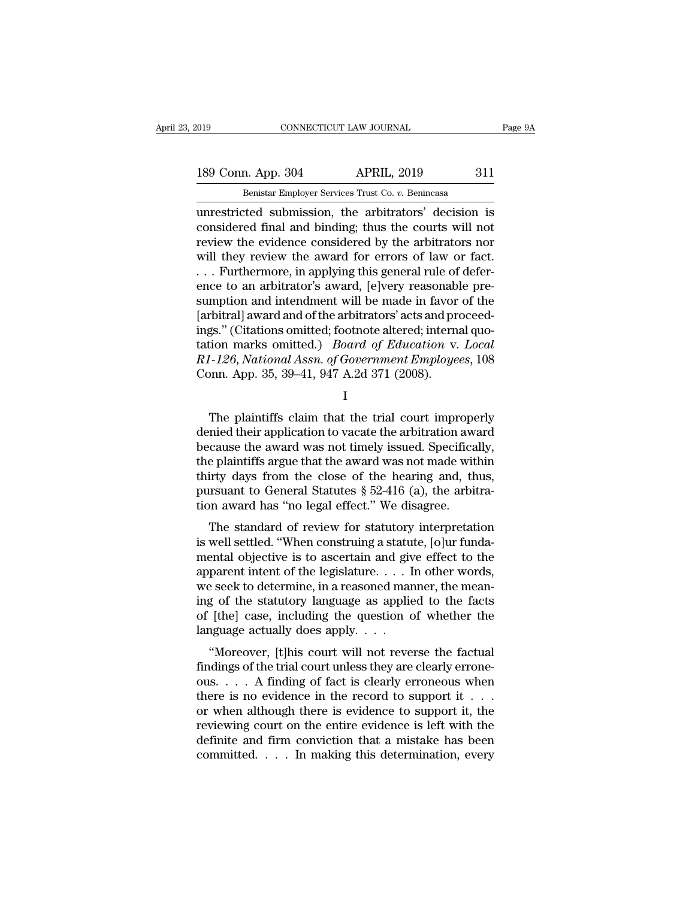189 Conn. App. 304 APRIL, 2019 311<br>Benistar Employer Services Trust Co. v. Benincasa

EMBED 19 CONNECTICUT LAW JOURNAL<br>
189 Conn. App. 304 APRIL, 2019 311<br>
Benistar Employer Services Trust Co. *v.* Benincasa<br>
unrestricted submission, the arbitrators' decision is CONNECTICUT LAW JOURNAL Page 9A<br>
189 Conn. App. 304 APRIL, 2019 311<br>
Benistar Employer Services Trust Co. v. Benincasa<br>
Unrestricted submission, the arbitrators' decision is<br>
considered final and binding; thus the courts w 189 Conn. App. 304 APRIL, 2019 311<br>
Benistar Employer Services Trust Co. v. Benincasa<br>
unrestricted submission, the arbitrators' decision is<br>
considered final and binding; thus the courts will not<br>
review the evidence cons 189 Conn. App. 304 APRIL, 2019 311<br>
Benistar Employer Services Trust Co.  $v$ . Benincasa<br>
unrestricted submission, the arbitrators' decision is<br>
considered final and binding; thus the courts will not<br>
review the evidence c 189 Conn. App. 304 APRIL, 2019 311<br>
Benistar Employer Services Trust Co. v. Benincasa<br>
unrestricted submission, the arbitrators' decision is<br>
considered final and binding; thus the courts will not<br>
review the evidence cons Benistar Employer Services Trust Co. v. Benincasa<br>
unrestricted submission, the arbitrators' decision is<br>
considered final and binding; thus the courts will not<br>
review the evidence considered by the arbitrators nor<br>
will Benistar Employer Services Trust Co.  $v$ . Benincasa<br>unrestricted submission, the arbitrators' decision is<br>considered final and binding; thus the courts will not<br>review the evidence considered by the arbitrators nor<br>will t unrestricted submission, the arbitrators' decision is<br>considered final and binding; thus the courts will not<br>review the evidence considered by the arbitrators nor<br>will they review the award for errors of law or fact.<br>... F considered final and binding; thus the courts will not<br>review the evidence considered by the arbitrators nor<br>will they review the award for errors of law or fact.<br> $\dots$  Furthermore, in applying this general rule of defer-<br> review the evidence considered by the arbitrators nor<br>will they review the award for errors of law or fact.<br>... Furthermore, in applying this general rule of defer-<br>ence to an arbitrator's award, [e]very reasonable pre-<br>s will they review the award for errors of law or fact.<br>
... Furthermore, in applying this general rule of defer-<br>
ence to an arbitrator's award, [e]very reasonable pre-<br>
sumption and intendment will be made in favor of the<br> *RET Assayer Comparent Senarent Comparent Comparence to an arbitrator's award, [e]very reasonable presumption and intendment will be made in favor of the [arbitral] award and of the arbitrators' acts and proceedings." (Cit* ence to an arbitrator's award, [e]very reasonables<br>sumption and intendment will be made in favor<br>[arbitral] award and of the arbitrators' acts and precings." (Citations omitted; footnote altered; internation marks omitted. gs." (Citations omitted; footnote altered; internal quotion marks omitted.) *Board of Education v. Local*<br>1-126, *National Assn. of Government Employees*, 108<br>1 I<br>The plaintiffs claim that the trial court improperly<br>nied t

I and the set of  $\mathbf I$ 

tation marks omitted.) *Board of Education v. Local*<br> *R1-126, National Assn. of Government Employees,* 108<br>
Conn. App. 35, 39–41, 947 A.2d 371 (2008).<br>
I<br>
The plaintiffs claim that the trial court improperly<br>
denied their  $R1-126$ , National Assn. of Government Employees, 108<br>Conn. App. 35, 39–41, 947 A.2d 371 (2008).<br>I<br>The plaintiffs claim that the trial court improperly<br>denied their application to vacate the arbitration award<br>because the Conn. App. 35, 39–41, 947 A.2d 371 (2008).<br>
I<br>
The plaintiffs claim that the trial court improperly<br>
denied their application to vacate the arbitration award<br>
because the award was not timely issued. Specifically,<br>
the pl I<br>
The plaintiffs claim that the trial court improperly<br>
denied their application to vacate the arbitration award<br>
because the award was not timely issued. Specifically,<br>
the plaintiffs argue that the award was not made w The plaintiffs claim that the trial court improperly<br>denied their application to vacate the arbitration award<br>because the award was not timely issued. Specifically,<br>the plaintiffs argue that the award was not made within<br> The plaintiffs claim that the trial court imprope<br>denied their application to vacate the arbitration away<br>because the award was not timely issued. Specifica<br>the plaintiffs argue that the award was not made wit<br>thirty days rhed then application to vacate the arbitration award<br>cause the award was not timely issued. Specifically,<br>e plaintiffs argue that the award was not made within<br>irty days from the close of the hearing and, thus,<br>rsuant to because the award was not timely issued. Specifically,<br>the plaintiffs argue that the award was not made within<br>thirty days from the close of the hearing and, thus,<br>pursuant to General Statutes  $\S 52-416$  (a), the arbitra-

the plantins argue that the award was not hade whill<br>thirty days from the close of the hearing and, thus,<br>pursuant to General Statutes § 52-416 (a), the arbitra-<br>tion award has "no legal effect." We disagree.<br>The standard thutly days from the close of the hearing and, thus,<br>pursuant to General Statutes § 52-416 (a), the arbitra-<br>tion award has "no legal effect." We disagree.<br>The standard of review for statutory interpretation<br>is well settl pursuant to defier a statutes  $\frac{1}{2}$  of  $\frac{1}{2}$ , the arbitration award has "no legal effect." We disagree.<br>The standard of review for statutory interpretation is well settled. "When construing a statute, [o]ur fundam The standard of review for statutory interpretation<br>is well settled. "When construing a statute, [o]ur funda-<br>mental objective is to ascertain and give effect to the<br>apparent intent of the legislature.... In other words,<br> The standard of review for statutory interpretation<br>is well settled. "When construing a statute, [o]ur funda-<br>mental objective is to ascertain and give effect to the<br>apparent intent of the legislature.... In other words,<br> is well settled. "When construing a statu<br>mental objective is to ascertain and giv<br>apparent intent of the legislature. . . . I<br>we seek to determine, in a reasoned mar<br>ing of the statutory language as applie<br>of [the] case, Example in the determine in a reasoned manner, the mean-<br>
g seek to determine, in a reasoned manner, the mean-<br>
g of the statutory language as applied to the facts<br>
[the] case, including the question of whether the<br>
nguag apparent intent of the registature. . . . . In other words,<br>we seek to determine, in a reasoned manner, the mean-<br>ing of the statutory language as applied to the facts<br>of [the] case, including the question of whether the<br>l

we seek to determine, in a reasoned manner, the mean-<br>ing of the statutory language as applied to the facts<br>of [the] case, including the question of whether the<br>language actually does apply....<br>"Moreover, [t]his court will Ing of the statutory language as applied to the facts<br>of [the] case, including the question of whether the<br>language actually does apply. . . .<br>"Moreover, [t]his court will not reverse the factual<br>findings of the trial cou or [the] case, including the question or whether the<br>language actually does apply....<br>"Moreover, [t]his court will not reverse the factual<br>findings of the trial court unless they are clearly errone-<br>ous.... A finding of f reviewing court will not reverse the factual<br>findings of the trial court will not reverse the factual<br>findings of the trial court unless they are clearly errone-<br>ous.... A finding of fact is clearly erroneous when<br>there i "Moreover, [t]his court will not reverse the factual findings of the trial court unless they are clearly errone-<br>ous. . . . A finding of fact is clearly erroneous when<br>there is no evidence in the record to support it . . findings of the trial court unless they are clearly errone-<br>ous. . . . A finding of fact is clearly erroneous when<br>there is no evidence in the record to support it . . .<br>or when although there is evidence to support it, t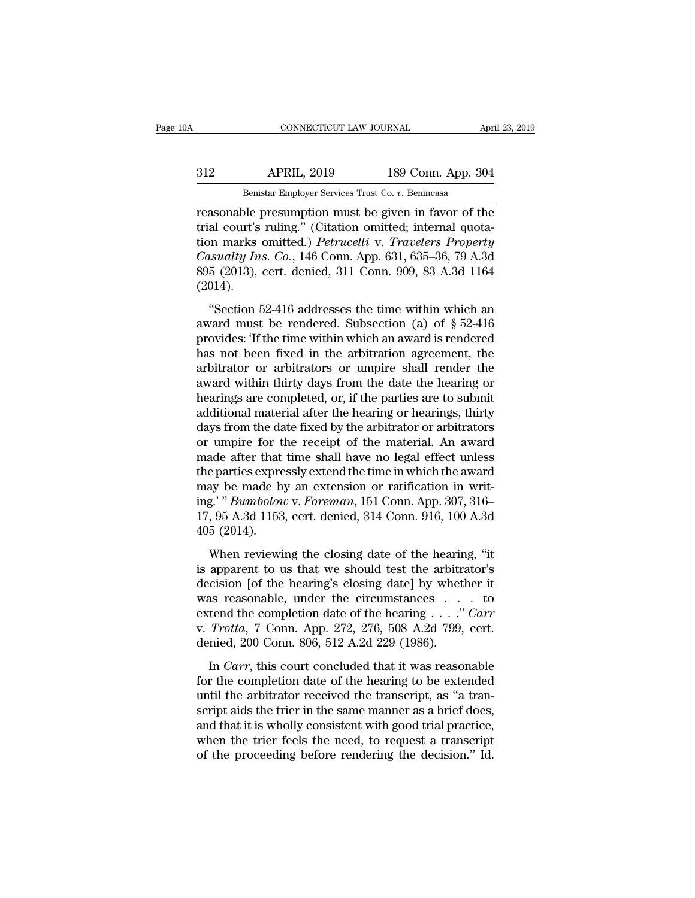## EXECUTE CONNECTICUT LAW JOURNAL April 23, 2019<br>312 APRIL, 2019 189 Conn. App. 304<br>Benistar Employer Services Trust Co. v. Benincasa CONNECTICUT LAW JOURNAL April 23, 2019<br>Benistar Employer Services Trust Co. *v.* Benincasa<br>Treasonable presumption must be given in favor of the

reasonable presumption must be given in favor of the<br>
reasonable presumption must be given in favor of the<br>
trial court's ruling." (Citation omitted; internal quotation marks emitted) *Petrusellis v. Treaselers Premerty* Salter Marketter Court of the Benistar Employer Services Trust Co. v. Benincasa<br>
Teation omitted; internal quota-<br>
Teation omitted; internal quota-<br>
tion marks omitted.) Petrucelli v. Travelers Property<br>
Casualty Ins. Co., APRIL, 2019 189 Conn. App. 304<br> **Benistar Employer Services Trust Co. v. Benincasa**<br> **Peasonable presumption must be given in favor of the**<br> **Petrucelli** v. *Travelers Property*<br> *Casualty Ins. Co.*, 146 Conn. App. 631, 63 *COLLET APRIL, 2019* 189 Conn. App. 304<br> *Co. Remistar Employer Services Trust Co. v. Benincasa*<br> *Casualter's ruling."* (Citation omitted; internal quotation marks omitted.) *Petrucelli v. Travelers Property Casualty* Benistar Employer Services Trust Co. v. Benincasa<br>
reasonable presumption must be given in favor of the<br>
trial court's ruling." (Citation omitted; internal quota-<br>
tion marks omitted.) *Petrucelli* v. *Travelers Property*<br> (2014). asonable presumption mast be given in favor of the<br>al court's ruling." (Citation omitted; internal quota-<br>on marks omitted.) *Petrucelli* v. Travelers Property<br>issualty Ins. Co., 146 Conn. App. 631, 635–36, 79 A.3d<br>5 (201 and coarts raing. (character ondiced, internal quotation marks omitted.) *Petrucelli* v. *Travelers Property*<br>Casualty Ins. Co., 146 Conn. App. 631, 635–36, 79 A.3d<br>895 (2013), cert. denied, 311 Conn. 909, 83 A.3d 1164<br>(2

Casualty Ins. Co., 146 Conn. App. 631, 635–36, 79 A.3d<br>
895 (2013), cert. denied, 311 Conn. 909, 83 A.3d 1164<br>
(2014).<br>
"Section 52-416 addresses the time within which an<br>
award must be rendered. Subsection (a) of § 52-41 basiantly ras. co., The contri-ripp. cor, cose so, to rised<br>895 (2013), cert. denied, 311 Conn. 909, 83 A.3d 1164<br>(2014).<br>"Section 52-416 addresses the time within which an<br>award must be rendered. Subsection (a) of  $\S$  52 (2014).<br>
"Section 52-416 addresses the time within which an<br>
award must be rendered. Subsection (a) of  $\S$  52-416<br>
provides: 'If the time within which an award is rendered<br>
has not been fixed in the arbitration agreement, "Section 52-416 addresses the time within which an award must be rendered. Subsection (a) of  $\S$  52-416 provides: 'If the time within which an award is rendered has not been fixed in the arbitration agreement, the arbitra "Section 52-416 addresses the time within which an award must be rendered. Subsection (a) of  $\S$  52-416 provides: 'If the time within which an award is rendered has not been fixed in the arbitration agreement, the arbitra award must be rendered. Subsection (a) of  $\S$  52-416<br>provides: 'If the time within which an award is rendered<br>has not been fixed in the arbitration agreement, the<br>arbitrator or arbitrators or umpire shall render the<br>award provides: 'If the time within which an award is rendered<br>has not been fixed in the arbitration agreement, the<br>arbitrator or arbitrators or umpire shall render the<br>award within thirty days from the date the hearing or<br>heari has not been fixed in the arbitration agreement, the<br>arbitrator or arbitrators or umpire shall render the<br>award within thirty days from the date the hearing or<br>hearings are completed, or, if the parties are to submit<br>addit arbitrator or arbitrators or umpire shall render the<br>award within thirty days from the date the hearing or<br>hearings are completed, or, if the parties are to submit<br>additional material after the hearing or hearings, thirty<br> award within thirty days from the date the hearing or<br>hearings are completed, or, if the parties are to submit<br>additional material after the hearing or hearings, thirty<br>days from the date fixed by the arbitrator or arbitra hearings are completed, or, if the parties are to submit<br>additional material after the hearing or hearings, thirty<br>days from the date fixed by the arbitrator or arbitrators<br>or umpire for the receipt of the material. An aw additional material after the hearing or hearings, thirty<br>days from the date fixed by the arbitrator or arbitrators<br>or umpire for the receipt of the material. An award<br>made after that time shall have no legal effect unless days from the date fixed by the arbitrator or arbitrators<br>or umpire for the receipt of the material. An award<br>made after that time shall have no legal effect unless<br>the parties expressly extend the time in which the award<br> or umpire for t<br>made after that<br>the parties expre<br>may be made b<br>ing.' "Bumbolou<br>17, 95 A.3d 1153<br>405 (2014).<br>When reviewi Example 18 and the start have no logar circle thress<br>e parties expressly extend the time in which the award<br>ay be made by an extension or ratification in writ-<br>g.' "Bumbolow v. Foreman, 151 Conn. App. 307, 316-<br>, 95 A.3d 1 ince parace expressity extension or ratification in writ-<br>ing.'" *Bumbolow v. Foreman*, 151 Conn. App. 307, 316-<br>17, 95 A.3d 1153, cert. denied, 314 Conn. 916, 100 A.3d<br>405 (2014).<br>When reviewing the closing date of the he

ing.' "Bumbolow v. Foreman, 151 Conn. App. 307, 316–17, 95 A.3d 1153, cert. denied, 314 Conn. 916, 100 A.3d 405 (2014).<br>When reviewing the closing date of the hearing, "it is apparent to us that we should test the arbitra 17, 95 A.3d 1153, cert. denied, 314 Conn. 916, 100 A.3d<br>405 (2014).<br>When reviewing the closing date of the hearing, "it<br>is apparent to us that we should test the arbitrator's<br>decision [of the hearing's closing date] by wh 405 (2014).<br>When reviewing the closing date of the hearing, "it<br>is apparent to us that we should test the arbitrator's<br>decision [of the hearing's closing date] by whether it<br>was reasonable, under the circumstances . . . t When reviewing the closing date of the hearing, "it<br>is apparent to us that we should test the arbitrator's<br>decision [of the hearing's closing date] by whether it<br>was reasonable, under the circumstances . . . to<br>extend the When reviewing the closing date of the hearing<br>is apparent to us that we should test the arbitral<br>decision [of the hearing's closing date] by whet<br>was reasonable, under the circumstances . . .<br>extend the completion date o Explorering to the hearing's closing date] by whether it<br>as reasonable, under the circumstances . . . to<br>tend the completion date of the hearing . . . . " *Carr*<br>Trotta, 7 Conn. App. 272, 276, 508 A.2d 799, cert.<br>nied, 20 was reasonable, under the circumstances  $\ldots$  to<br>extend the completion date of the hearing  $\ldots$ ." Carr<br>v. Trotta, 7 Conn. App. 272, 276, 508 A.2d 799, cert.<br>denied, 200 Conn. 806, 512 A.2d 229 (1986).<br>In Carr, this court

was reasonable, and the chrominal<br>extend the completion date of the hearing . . . ." Carr<br>v. Trotta, 7 Conn. App. 272, 276, 508 A.2d 799, cert.<br>denied, 200 Conn. 806, 512 A.2d 229 (1986).<br>In Carr, this court concluded tha v. Trotta, 7 Conn. App. 272, 276, 508 A.2d 799, cert.<br>denied, 200 Conn. 806, 512 A.2d 229 (1986).<br>In *Carr*, this court concluded that it was reasonable<br>for the completion date of the hearing to be extended<br>until the arbi and that it is wholly consistent with good trial resolution.<br>
In Carr, this court concluded that it was reasonable<br>
for the completion date of the hearing to be extended<br>
until the arbitrator received the transcript, as " In *Carr*, this court concluded that it was reasonable<br>for the completion date of the hearing to be extended<br>until the arbitrator received the transcript, as "a tran-<br>script aids the trier in the same manner as a brief do In *Carr*, this court concluded that it was reasonable<br>for the completion date of the hearing to be extended<br>until the arbitrator received the transcript, as "a tran-<br>script aids the trier in the same manner as a brief do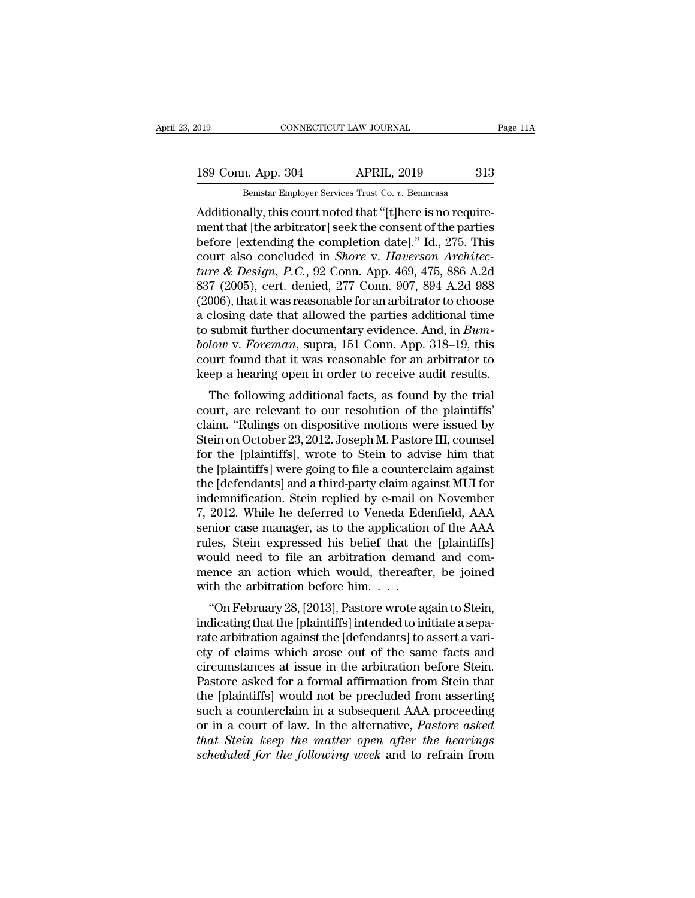189 Conn. App. 304 APRIL, 2019 313<br>Benistar Employer Services Trust Co. v. Benincasa

EXECUTE 2019 CONNECTICUT LAW JOURNAL<br>189 Conn. App. 304 APRIL, 2019 313<br>Benistar Employer Services Trust Co. *v.* Benincasa<br>Additionally, this court noted that "[t]here is no require-CONNECTICUT LAW JOURNAL<br>
189 Conn. App. 304 APRIL, 2019 313<br>
Benistar Employer Services Trust Co. v. Benincasa<br>
Additionally, this court noted that "[t]here is no require-<br>
ment that [the arbitrator] seek the consent of th 189 Conn. App. 304 APRIL, 2019 313<br>
Benistar Employer Services Trust Co. v. Benincasa<br>
Additionally, this court noted that "[t]here is no require-<br>
ment that [the arbitrator] seek the consent of the parties<br>
before [extend 189 Conn. App. 304 APRIL, 2019 313<br>
Benistar Employer Services Trust Co. v. Benincasa<br>
Additionally, this court noted that "[t]here is no require-<br>
ment that [the arbitrator] seek the consent of the parties<br>
before [extend 189 Conn. App. 304 APRIL, 2019 313<br>
Benistar Employer Services Trust Co. *v.* Benincasa<br>
Additionally, this court noted that "[t]here is no require-<br>
ment that [the arbitrator] seek the consent of the parties<br>
before [exte **Example 120 Constant Property of All 1997**<br> **Example Benistar Employer Services Trust Co. v. Benincasa**<br> **Additionally, this court noted that "[t]here is no require-**<br> **ment that [the arbitrator] seek the consent of the p** Benistar Employer Services Trust Co.  $v$ . Benincasa<br>Additionally, this court noted that "[t]here is no require-<br>ment that [the arbitrator] seek the consent of the parties<br>before [extending the completion date]." Id., 275. Additionally, this court noted that "[t]here is no requirement that [the arbitrator] seek the consent of the parties<br>before [extending the completion date]." Id., 275. This<br>court also concluded in *Shore v. Haverson Archi* ment that [the arbitrator] seek the consent of the parties<br>before [extending the completion date]." Id., 275. This<br>court also concluded in *Shore v. Haverson Architec-<br>ture & Design*, *P.C.*, 92 Conn. App. 469, 475, 886 A before [extending the completion date]." Id., 275. This<br>court also concluded in *Shore v. Haverson Architec-<br>ture & Design, P.C.*, 92 Conn. App. 469, 475, 886 A.2d<br>837 (2005), cert. denied, 277 Conn. 907, 894 A.2d 988<br>(200 court also concluded in *Shore* v. *Haverson Architecture & Design, P.C., 92 Conn. App. 469, 475, 886 A.2d* 837 (2005), cert. denied, 277 Conn. 907, 894 A.2d 988 (2006), that it was reasonable for an arbitrator to choose a ture & Design, P.C., 92 Conn. App. 469, 475, 886 A.2d<br>837 (2005), cert. denied, 277 Conn. 907, 894 A.2d 988<br>(2006), that it was reasonable for an arbitrator to choose<br>a closing date that allowed the parties additional time 837 (2005), cert. denied, 277 Conn. 907, 894 A.2d 988 (2006), that it was reasonable for an arbitrator to choose a closing date that allowed the parties additional time to submit further documentary evidence. And, in *Bum* boo), that it was reasonable for an arbitrator to choose<br>closing date that allowed the parties additional time<br>submit further documentary evidence. And, in  $Bum-$ <br>*low* v. Foreman, supra, 151 Conn. App. 318–19, this<br>urt fo a closing date that ahowed the parties additional three to submit further documentary evidence. And, in *Bum-*<br>bolow v. *Foreman*, supra, 151 Conn. App. 318–19, this<br>court found that it was reasonable for an arbitrator to

to subtitutionally evidence. And, in Dam-<br>bolow v. Foreman, supra, 151 Conn. App. 318–19, this<br>court found that it was reasonable for an arbitrator to<br>keep a hearing open in order to receive audit results.<br>The following a bolow v. Foreman, supra, 151 Collit. App. 318–19, this<br>court found that it was reasonable for an arbitrator to<br>keep a hearing open in order to receive audit results.<br>The following additional facts, as found by the trial<br>co Fourt found that it was reasonable for an arbitrator to<br>keep a hearing open in order to receive audit results.<br>The following additional facts, as found by the trial<br>court, are relevant to our resolution of the plaintiffs'<br> Keep a nearing open in order to receive addit results.<br>The following additional facts, as found by the trial<br>court, are relevant to our resolution of the plaintiffs'<br>claim. "Rulings on dispositive motions were issued by<br>St The following additional facts, as found by the trial<br>court, are relevant to our resolution of the plaintiffs'<br>claim. "Rulings on dispositive motions were issued by<br>Stein on October 23, 2012. Joseph M. Pastore III, counsel court, are relevant to our resolution of the plaintiffs'<br>claim. "Rulings on dispositive motions were issued by<br>Stein on October 23, 2012. Joseph M. Pastore III, counsel<br>for the [plaintiffs], wrote to Stein to advise him th claim. "Rulings on dispositive motions were issued by<br>Stein on October 23, 2012. Joseph M. Pastore III, counsel<br>for the [plaintiffs], wrote to Stein to advise him that<br>the [plaintiffs] were going to file a counterclaim aga Stein on October 23, 2012. Joseph M. Pastore III, counsel<br>for the [plaintiffs], wrote to Stein to advise him that<br>the [plaintiffs] were going to file a counterclaim against<br>the [defendants] and a third-party claim against for the [plaintiffs], wrote to Stein to advise him that<br>the [plaintiffs] were going to file a counterclaim against<br>the [defendants] and a third-party claim against MUI for<br>indemnification. Stein replied by e-mail on Novemb the [plaintiffs] were going to file a counterclaim against<br>the [defendants] and a third-party claim against MUI for<br>indemnification. Stein replied by e-mail on November<br>7, 2012. While he deferred to Veneda Edenfield, AAA<br>s the [defendants] and a third-party claim against MUI for<br>indemnification. Stein replied by e-mail on November<br>7, 2012. While he deferred to Veneda Edenfield, AAA<br>senior case manager, as to the application of the AAA<br>rules, indemnification. Stein replied by e-mail of<br>7, 2012. While he deferred to Veneda Ede<br>senior case manager, as to the application<br>rules, Stein expressed his belief that the<br>would need to file an arbitration deman<br>mence an a 2012. While he deferred to veneta Edenheid, AAA<br>
hior case manager, as to the application of the AAA<br>
les, Stein expressed his belief that the [plaintiffs]<br>
build need to file an arbitration demand and com-<br>
ence an action senior case manager, as to the application of the AAA<br>rules, Stein expressed his belief that the [plaintiffs]<br>would need to file an arbitration demand and com-<br>mence an action which would, thereafter, be joined<br>with the ar

rates, stem expressed ins benef that the [plantins]<br>would need to file an arbitration demand and com-<br>mence an action which would, thereafter, be joined<br>with the arbitration before him....<br>"On February 28, [2013], Pastore would heed to the art arbitration dentation and com-<br>mence an action which would, thereafter, be joined<br>with the arbitration before him.  $\dots$ <br>"On February 28, [2013], Pastore wrote again to Stein,<br>indicating that the [pla mence an action which would, thereafter, be joined<br>with the arbitration before him. . . .<br>"On February 28, [2013], Pastore wrote again to Stein,<br>indicating that the [plaintiffs] intended to initiate a sepa-<br>rate arbitratio with the arbitration before film.  $\ldots$ <br>
"On February 28, [2013], Pastore wrote again to Stein,<br>
indicating that the [plaintiffs] intended to initiate a sepa-<br>
rate arbitration against the [defendants] to assert a vari-<br> "On February 28, [2013], Pastore wrote again to Stein,<br>indicating that the [plaintiffs] intended to initiate a sepa-<br>rate arbitration against the [defendants] to assert a vari-<br>ety of claims which arose out of the same fa indicating that the [plaintiffs] intended to initiate a separate arbitration against the [defendants] to assert a variety of claims which arose out of the same facts and circumstances at issue in the arbitration before Ste rate arbitration against the [defendants] to assert a vari-<br>ety of claims which arose out of the same facts and<br>circumstances at issue in the arbitration before Stein.<br>Pastore asked for a formal affirmation from Stein that ety of claims which arose out of the same facts and<br>circumstances at issue in the arbitration before Stein.<br>Pastore asked for a formal affirmation from Stein that<br>the [plaintiffs] would not be precluded from asserting<br>such circumstances at issue in the arbitration before Stein.<br>Pastore asked for a formal affirmation from Stein that<br>the [plaintiffs] would not be precluded from asserting<br>such a counterclaim in a subsequent AAA proceeding<br>or in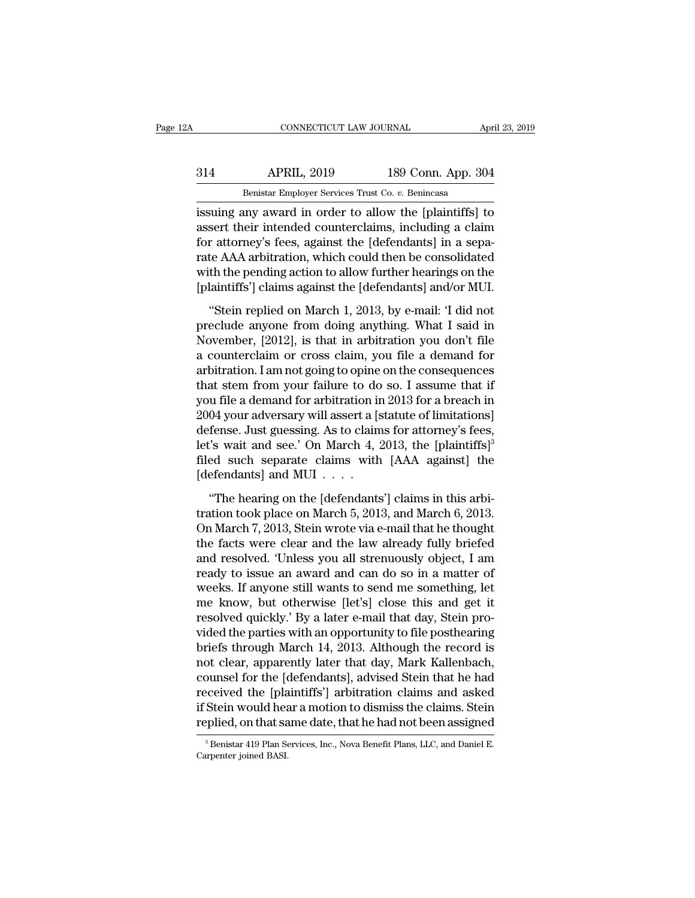## EXECUTE CONNECTICUT LAW JOURNAL April 23, 2019<br>314 APRIL, 2019 189 Conn. App. 304<br>Benistar Employer Services Trust Co. v. Benincasa CONNECTICUT LAW JOURNAL April 23, 2019<br>Benistar Employer Services Trust Co. *v.* Benincasa<br>Issuing any award in order to allow the [plaintiffs] to

CONNECTICUT LAW JOURNAL April 23, 2019<br>
314 APRIL, 2019 189 Conn. App. 304<br>
Benistar Employer Services Trust Co. v. Benincasa<br>
issuing any award in order to allow the [plaintiffs] to<br>
assert their intended counterclaims, i 314 APRIL, 2019 189 Conn. App. 304<br>
Benistar Employer Services Trust Co. v. Benincasa<br>
issuing any award in order to allow the [plaintiffs] to<br>
assert their intended counterclaims, including a claim<br>
for attorney's fees, a  $\frac{\text{APRIL}}{\text{Benistar Employee Services Trust Co. } v. \text{ Benincasa}}$ <br>
issuing any award in order to allow the [plaintiffs] to assert their intended counterclaims, including a claim for attorney's fees, against the [defendants] in a separate AAA arbitration, **EXECUTE:** APRIL, 2019 189 Conn. App. 304<br> **EXECUTE:** Benistar Employer Services Trust Co. *v.* Benincasa<br> **EXECUTE:** is assert their intended counterclaims, including a claim<br>
for attorney's fees, against the [defendants Benistar Employer Services Trust Co. v. Benincasa<br>issuing any award in order to allow the [plaintiffs] to<br>assert their intended counterclaims, including a claim<br>for attorney's fees, against the [defendants] in a sepa-<br>rate Benistar Employer Services Trust Co. *v.* Benincasa<br>
issuing any award in order to allow the [plaintiffs] to<br>
assert their intended counterclaims, including a claim<br>
for attorney's fees, against the [defendants] in a sepa-Example any and a related to the model (planting) to<br>sert their intended counterclaims, including a claim<br>r attorney's fees, against the [defendants] in a sepa-<br>te AAA arbitration, which could then be consolidated<br>th the p assert and architect connected any, increasing a chain<br>for attorney's fees, against the [defendants] in a sepa-<br>rate AAA arbitration, which could then be consolidated<br>with the pending action to allow further hearings on th

For about a string of the performance of probability in a separate distribution, which could then be consolidated with the pending action to allow further hearings on the [plaintiffs'] claims against the [defendants] and/ and the pending action to allow further hearings on the [plaintiffs'] claims against the [defendants] and/or MUI.<br>
"Stein replied on March 1, 2013, by e-mail: 'I did not<br>
preclude anyone from doing anything. What I said i [plaintiffs'] claims against the [defendants] and/or MUI.<br>
"Stein replied on March 1, 2013, by e-mail: 'I did not<br>
preclude anyone from doing anything. What I said in<br>
November, [2012], is that in arbitration you don't fi "Stein replied on March 1, 2013, by e-mail: 'I did not<br>preclude anyone from doing anything. What I said in<br>November, [2012], is that in arbitration you don't file<br>a counterclaim or cross claim, you file a demand for<br>arbit "Stein replied on March 1, 2013, by e-mail: 'I did not<br>preclude anyone from doing anything. What I said in<br>November, [2012], is that in arbitration you don't file<br>a counterclaim or cross claim, you file a demand for<br>arbit preclude anyone from doing anything. What I said in<br>November, [2012], is that in arbitration you don't file<br>a counterclaim or cross claim, you file a demand for<br>arbitration. I am not going to opine on the consequences<br>that November, [2012], is that in arbitration you don't file<br>a counterclaim or cross claim, you file a demand for<br>arbitration. I am not going to opine on the consequences<br>that stem from your failure to do so. I assume that if<br>y a counterclaim or cross claim, you file a demand for<br>arbitration. I am not going to opine on the consequences<br>that stem from your failure to do so. I assume that if<br>you file a demand for arbitration in 2013 for a breach in arbitration. I am not going to opine on the consequences<br>that stem from your failure to do so. I assume that if<br>you file a demand for arbitration in 2013 for a breach in<br>2004 your adversary will assert a [statute of limit that stem from your failure to do<br>you file a demand for arbitration ir<br>2004 your adversary will assert a [s<br>defense. Just guessing. As to clain<br>let's wait and see.' On March 4, {<br>filed such separate claims with<br>[defendants (a) the distribution in the left of limitations)<br>
(d) your adversary will assert a [statute of limitations]<br>
fense. Just guessing. As to claims for attorney's fees,<br>
i's wait and see.' On March 4, 2013, the [plaintiffs]<sup>3</sup> Every on March 7, 2013, and March 7, 2013, and March 5, 2013, and March 6, 2013.<br>
The hearing on the [defendants] claims in this arbitration took place on March 5, 2013, and March 6, 2013.<br>
On March 7, 2013, Stein wrote vi

Let's wait and see.' On March 4, 2013, the [plaintiffs]<sup>3</sup><br>filed such separate claims with [AAA against] the<br>[defendants] and MUI . . . .<br>"The hearing on the [defendants'] claims in this arbi-<br>tration took place on March filed such separate claims with [AAA against] the<br>[defendants] and MUI  $\dots$ .<br>"The hearing on the [defendants'] claims in this arbi-<br>tration took place on March 5, 2013, and March 6, 2013.<br>On March 7, 2013, Stein wrote via [defendants] and MUI . . . .<br>
"The hearing on the [defendants'] claims in this arbitration took place on March 5, 2013, and March 6, 2013.<br>
On March 7, 2013, Stein wrote via e-mail that he thought<br>
the facts were clear and "The hearing on the [defendants'] claims in this arbitration took place on March 5, 2013, and March 6, 2013.<br>On March 7, 2013, Stein wrote via e-mail that he thought<br>the facts were clear and the law already fully briefed<br> "The hearing on the [defendants'] claims in this arbitration took place on March 5, 2013, and March 6, 2013.<br>On March 7, 2013, Stein wrote via e-mail that he thought<br>the facts were clear and the law already fully briefed<br> tration took place on March 5, 2013, and March 6, 2013.<br>On March 7, 2013, Stein wrote via e-mail that he thought<br>the facts were clear and the law already fully briefed<br>and resolved. 'Unless you all strenuously object, I am On March 7, 2013, Stein wrote via e-mail that he thought<br>the facts were clear and the law already fully briefed<br>and resolved. 'Unless you all strenuously object, I am<br>ready to issue an award and can do so in a matter of<br>we the facts were clear and the law already fully briefed<br>and resolved. 'Unless you all strenuously object, I am<br>ready to issue an award and can do so in a matter of<br>weeks. If anyone still wants to send me something, let<br>me k and resolved. 'Unless you all strenuously object, I am<br>ready to issue an award and can do so in a matter of<br>weeks. If anyone still wants to send me something, let<br>me know, but otherwise [let's] close this and get it<br>resolv ready to issue an award and can do so in a matter of<br>weeks. If anyone still wants to send me something, let<br>me know, but otherwise [let's] close this and get it<br>resolved quickly.' By a later e-mail that day, Stein pro-<br>vid weeks. If anyone still wants to send me something, let<br>me know, but otherwise [let's] close this and get it<br>resolved quickly.' By a later e-mail that day, Stein pro-<br>vided the parties with an opportunity to file posthearin me know, but otherwise [let's] close this and get it<br>resolved quickly.' By a later e-mail that day, Stein pro-<br>vided the parties with an opportunity to file posthearing<br>briefs through March 14, 2013. Although the record is resolved quickly.' By a later e-mail that day, Stein provided the parties with an opportunity to file posthearing<br>briefs through March 14, 2013. Although the record is<br>not clear, apparently later that day, Mark Kallenbach, vided the parties with an opportunity to file posthearing<br>briefs through March 14, 2013. Although the record is<br>not clear, apparently later that day, Mark Kallenbach,<br>counsel for the [defendants], advised Stein that he had counsel for the [defendants], advised Stein that he had<br>received the [plaintiffs'] arbitration claims and asked<br>if Stein would hear a motion to dismiss the claims. Stein<br>replied, on that same date, that he had not been ass replied, on that same date, that he had not been assigned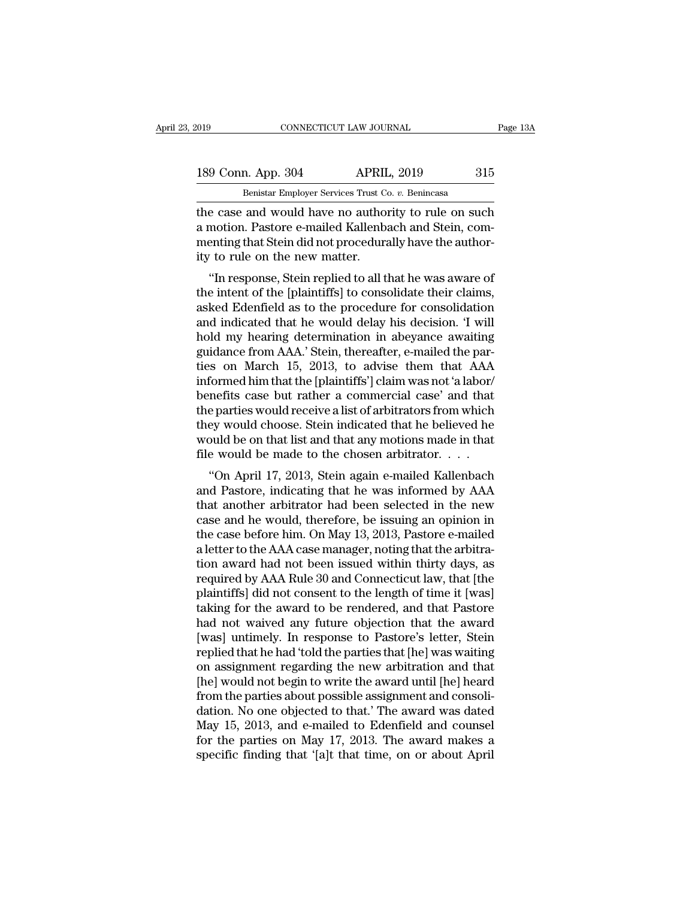189 Conn. App. 304 APRIL, 2019 315<br>Benistar Employer Services Trust Co. v. Benincasa

EXECUTE 2019 CONNECTICUT LAW JOURNAL<br>
189 Conn. App. 304 APRIL, 2019 315<br>
Benistar Employer Services Trust Co. *v.* Benincasa<br>
the case and would have no authority to rule on such The connective connective connective and the case and would have no authority to rule on such<br>a motion. Pastore e-mailed Kallenbach and Stein, component that Stein did not proceedurally have the authority of the con-189 Conn. App. 304 APRIL, 2019 315<br>
Benistar Employer Services Trust Co. v. Benincasa<br>
the case and would have no authority to rule on such<br>
a motion. Pastore e-mailed Kallenbach and Stein, com-<br>
menting that Stein did not 189 Conn. App. 304 APRIL, 2019 315<br>
Benistar Employer Services Trust Co. v. Benincasa<br>
the case and would have no authority to rule on such<br>
a motion. Pastore e-mailed Kallenbach and Stein, com-<br>
menting that Stein did not 189 Conn. App. 304 APRII<br>
Benistar Employer Services Trust Cornel<br>
the case and would have no author<br>
a motion. Pastore e-mailed Kallenba<br>
menting that Stein did not procedura<br>
ity to rule on the new matter.<br>
"In response, Benistar Employer Services Trust Co. *v.* Benincasa<br>
e case and would have no authority to rule on such<br>
motion. Pastore e-mailed Kallenbach and Stein, com-<br>
enting that Stein did not procedurally have the author-<br>
to rule the case and would have no authority to rule on such<br>a motion. Pastore e-mailed Kallenbach and Stein, com-<br>menting that Stein did not procedurally have the author-<br>ity to rule on the new matter.<br>"In response, Stein replied

the case and would have no authority to rule on such<br>a motion. Pastore e-mailed Kallenbach and Stein, com-<br>menting that Stein did not procedurally have the author-<br>ity to rule on the new matter.<br>"In response, Stein replied a motion. I astore e-mailed Kalienbach and stent, com-<br>menting that Stein did not procedurally have the author-<br>ity to rule on the new matter.<br>"In response, Stein replied to all that he was aware of<br>the intent of the [pla menting that stein und not procedurally have the authority to rule on the new matter.<br>
"In response, Stein replied to all that he was aware of the intent of the [plaintiffs] to consolidate their claims, asked Edenfield as ity to rule on the new matter.<br>
"In response, Stein replied to all that he was aware of<br>
the intent of the [plaintiffs] to consolidate their claims,<br>
asked Edenfield as to the procedure for consolidation<br>
and indicated tha "In response, Stein replied to all that he was aware of<br>the intent of the [plaintiffs] to consolidate their claims,<br>asked Edenfield as to the procedure for consolidation<br>and indicated that he would delay his decision. 'I w the intent of the [plaintiffs] to consolidate their claims,<br>asked Edenfield as to the procedure for consolidation<br>and indicated that he would delay his decision. 'I will<br>hold my hearing determination in abeyance awaiting<br>g asked Edenfield as to the procedure for consolidation<br>and indicated that he would delay his decision. 'I will<br>hold my hearing determination in abeyance awaiting<br>guidance from AAA.' Stein, thereafter, e-mailed the par-<br>ties and indicated that he would delay his decision. 'I will<br>hold my hearing determination in abeyance awaiting<br>guidance from AAA.' Stein, thereafter, e-mailed the par-<br>ties on March 15, 2013, to advise them that AAA<br>informed h hold my hearing determination in abeyance awaiting<br>guidance from AAA.' Stein, thereafter, e-mailed the par-<br>ties on March 15, 2013, to advise them that AAA<br>informed him that the [plaintiffs'] claim was not 'a labor/<br>benefi guidance from AAA.' Stein, thereafter, e-mailed the parties on March 15, 2013, to advise them that AAA informed him that the [plaintiffs'] claim was not 'a labor/<br>benefits case but rather a commercial case' and that the pa ties on March 15, 2013, to advise them that AAA informed him that the [plaintiffs'] claim was not 'a labor/<br>benefits case but rather a commercial case' and that<br>the parties would receive a list of arbitrators from which<br>t ormed min that the [plaintins ] claim was not a labor/<br>
nefits case but rather a commercial case' and that<br>
e parties would choose. Stein indicated that he believed he<br>
buld be on that list and that any motions made in tha benents case but rather a commercian case and that<br>the parties would receive a list of arbitrators from which<br>they would choose. Stein indicated that he believed he<br>would be on that list and that any motions made in that<br>f

they would choose. Stein indicated that he believed he<br>would be on that list and that any motions made in that<br>file would be made to the chosen arbitrator. . . .<br>"On April 17, 2013, Stein again e-mailed Kallenbach<br>and Pas they would choose. Stent indicated that he believed he<br>would be on that list and that any motions made in that<br>file would be made to the chosen arbitrator. . . .<br>"On April 17, 2013, Stein again e-mailed Kallenbach<br>and Past would be on that list and that any motions made in that<br>file would be made to the chosen arbitrator. . . .<br>"On April 17, 2013, Stein again e-mailed Kallenbach<br>and Pastore, indicating that he was informed by AAA<br>that anothe a "On April 17, 2013, Stein again e-mailed Kallenbach<br>"On April 17, 2013, Stein again e-mailed Kallenbach<br>and Pastore, indicating that he was informed by AAA<br>that another arbitrator had been selected in the new<br>case and h "On April 17, 2013, Stein again e-mailed Kallenbach<br>and Pastore, indicating that he was informed by AAA<br>that another arbitrator had been selected in the new<br>case and he would, therefore, be issuing an opinion in<br>the case and Pastore, indicating that he was informed by AAA<br>that another arbitrator had been selected in the new<br>case and he would, therefore, be issuing an opinion in<br>the case before him. On May 13, 2013, Pastore e-mailed<br>a lette that another arbitrator had been selected in the new<br>case and he would, therefore, be issuing an opinion in<br>the case before him. On May 13, 2013, Pastore e-mailed<br>a letter to the AAA case manager, noting that the arbitra-<br> case and he would, therefore, be issuing an opinion in<br>the case before him. On May 13, 2013, Pastore e-mailed<br>a letter to the AAA case manager, noting that the arbitra-<br>tion award had not been issued within thirty days, as the case before him. On May 13, 2013, Pastore e-mailed<br>a letter to the AAA case manager, noting that the arbitra-<br>tion award had not been issued within thirty days, as<br>required by AAA Rule 30 and Connecticut law, that [the a letter to the AAA case manager, noting that the arbitration award had not been issued within thirty days, as<br>required by AAA Rule 30 and Connecticut law, that [the<br>plaintiffs] did not consent to the length of time it [wa tion award had not been issued within thirty days, as<br>required by AAA Rule 30 and Connecticut law, that [the<br>plaintiffs] did not consent to the length of time it [was]<br>taking for the award to be rendered, and that Pastore<br> required by AAA Rule 30 and Connecticut law, that [the<br>plaintiffs] did not consent to the length of time it [was]<br>taking for the award to be rendered, and that Pastore<br>had not waived any future objection that the award<br>[wa plaintiffs] did not consent to the length of time it [was]<br>taking for the award to be rendered, and that Pastore<br>had not waived any future objection that the award<br>[was] untimely. In response to Pastore's letter, Stein<br>rep taking for the award to be rendered, and that Pastore<br>had not waived any future objection that the award<br>[was] untimely. In response to Pastore's letter, Stein<br>replied that he had 'told the parties that [he] was waiting<br>on had not waived any future objection that the award<br>[was] untimely. In response to Pastore's letter, Stein<br>replied that he had 'told the parties that [he] was waiting<br>on assignment regarding the new arbitration and that<br>[he [was] untimely. In response to Pastore's letter, Stein<br>replied that he had 'told the parties that [he] was waiting<br>on assignment regarding the new arbitration and that<br>[he] would not begin to write the award until [he] hea replied that he had 'told the parties that [he] was waiting<br>on assignment regarding the new arbitration and that<br>[he] would not begin to write the award until [he] heard<br>from the parties about possible assignment and conso on assignment regarding the new arbitration and that<br>
[he] would not begin to write the award until [he] heard<br>
from the parties about possible assignment and consoli-<br>
dation. No one objected to that.' The award was dated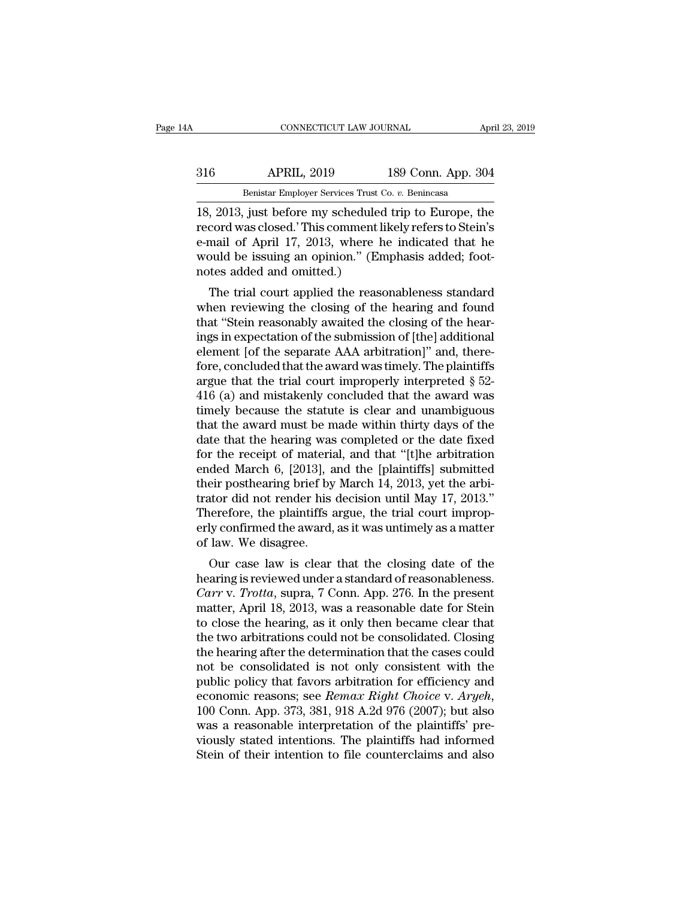## EXECUTE CONNECTICUT LAW JOURNAL April 23, 2019<br>316 APRIL, 2019 189 Conn. App. 304<br>Benistar Employer Services Trust Co. v. Benincasa CONNECTICUT LAW JOURNAL April 23, 2019<br>Benistar Employer Services Trust Co. *v.* Benincasa<br>18, 2013, just before my scheduled trip to Europe, the

CONNECTICUT LAW JOURNAL April 23, 2019<br>
316 APRIL, 2019 189 Conn. App. 304<br>
Benistar Employer Services Trust Co. v. Benincasa<br>
18, 2013, just before my scheduled trip to Europe, the<br>
record was closed.' This comment likely Frem 189 Conn. App. 304<br>
Benistar Employer Services Trust Co. v. Benincasa<br>
18, 2013, just before my scheduled trip to Europe, the<br>
record was closed.' This comment likely refers to Stein's<br>
e-mail of April 17, 2013, where APRIL, 2019 189 Conn. App. 304<br>
Benistar Employer Services Trust Co. v. Benincasa<br>
18, 2013, just before my scheduled trip to Europe, the<br>
record was closed.' This comment likely refers to Stein's<br>
e-mail of April 17, 2013 APRIL, 2019 189 Conn. App. 304<br>
Benistar Employer Services Trust Co. v. Benincasa<br>
18, 2013, just before my scheduled trip to Europe, the<br>
record was closed.' This comment likely refers to Stein's<br>
e-mail of April 17, 2013 Benistar Employer Services Trust C<br>18, 2013, just before my scheduled<br>record was closed.' This comment li<br>e-mail of April 17, 2013, where h<br>would be issuing an opinion." (En<br>notes added and omitted.)<br>The trial court applie  $\frac{1}{2}$ , 2013, just before my scheduled trip to Europe, the<br>cord was closed.' This comment likely refers to Stein's<br>mail of April 17, 2013, where he indicated that he<br>puld be issuing an opinion." (Emphasis added; foot-<br> 18, 2015, Just before hiy scheduled trip to Europe, the<br>record was closed.' This comment likely refers to Stein's<br>e-mail of April 17, 2013, where he indicated that he<br>would be issuing an opinion." (Emphasis added; foot-<br>no

tecord was crosed. This continent intery refers to stem s<br>e-mail of April 17, 2013, where he indicated that he<br>would be issuing an opinion." (Emphasis added; foot-<br>notes added and omitted.)<br>The trial court applied the rea e-inan of April 17, 2015, where he indicated that he<br>would be issuing an opinion." (Emphasis added; foot-<br>notes added and omitted.)<br>The trial court applied the reasonableness standard<br>when reviewing the closing of the hear would be issuing an opinion. (Enliphasis added, 100t-<br>notes added and omitted.)<br>The trial court applied the reasonableness standard<br>when reviewing the closing of the hearing and found<br>that "Stein reasonably awaited the cl The trial court applied the reasonableness standard<br>when reviewing the closing of the hearing and found<br>that "Stein reasonably awaited the closing of the hear-<br>ings in expectation of the submission of [the] additional<br>ele The trial court applied the reasonableness standard<br>when reviewing the closing of the hearing and found<br>that "Stein reasonably awaited the closing of the hear-<br>ings in expectation of the submission of [the] additional<br>ele when reviewing the closing of the hearing and found<br>that "Stein reasonably awaited the closing of the hear-<br>ings in expectation of the submission of [the] additional<br>element [of the separate AAA arbitration]" and, there-<br> that "Stein reasonably awaited the closing of the hear-<br>ings in expectation of the submission of [the] additional<br>element [of the separate AAA arbitration]" and, there-<br>fore, concluded that the award was timely. The plain ings in expectation of the submission of [the] additional<br>element [of the separate AAA arbitration]" and, there-<br>fore, concluded that the award was timely. The plaintiffs<br>argue that the trial court improperly interpreted § element [of the separate AAA arbitration]" and, therefore, concluded that the award was timely. The plaintiffs<br>argue that the trial court improperly interpreted  $\S$  52-<br>416 (a) and mistakenly concluded that the award was<br> fore, concluded that the award was timely. The plaintiffs<br>argue that the trial court improperly interpreted  $\S$  52-<br>416 (a) and mistakenly concluded that the award was<br>timely because the statute is clear and unambiguous<br>t argue that the trial court improperly interpreted  $\S$  52-416 (a) and mistakenly concluded that the award was<br>timely because the statute is clear and unambiguous<br>that the award must be made within thirty days of the<br>date t 416 (a) and mistakenly concluded that the award was<br>timely because the statute is clear and unambiguous<br>that the award must be made within thirty days of the<br>date that the hearing was completed or the date fixed<br>for the r timely because the statute is clear and unambiguous<br>that the award must be made within thirty days of the<br>date that the hearing was completed or the date fixed<br>for the receipt of material, and that "[t]he arbitration<br>ended that the award must be made within thirty days of the<br>date that the hearing was completed or the date fixed<br>for the receipt of material, and that "[t]he arbitration<br>ended March 6, [2013], and the [plaintiffs] submitted<br>the date that the hearing was completed or the date fixed<br>for the receipt of material, and that "[t]he arbitration<br>ended March 6, [2013], and the [plaintiffs] submitted<br>their posthearing brief by March 14, 2013, yet the arbi-<br> for the receipt of materia<br>ended March 6, [2013], a<br>their posthearing brief by<br>trator did not render his<br>Therefore, the plaintiffs a<br>erly confirmed the award,<br>of law. We disagree.<br>Our case law is clear ded march 0, [2015], and the [plaintins] subhitted<br>eir posthearing brief by March 14, 2013, yet the arbi-<br>ator did not render his decision until May 17, 2013."<br>erefore, the plaintiffs argue, the trial court improp-<br>ly con trator did not render his decision until May 17, 2013."<br>Therefore, the plaintiffs argue, the trial court improp-<br>erly confirmed the award, as it was untimely as a matter<br>of law. We disagree.<br>Our case law is clear that the

*Carre* is used in the tender in the tender in the trial court improperly confirmed the award, as it was untimely as a matter of law. We disagree.<br>
Our case law is clear that the closing date of the hearing is reviewed und Therefore, the plaintins argue, the that court improperly confirmed the award, as it was untimely as a matter<br>of law. We disagree.<br>Our case law is clear that the closing date of the<br>hearing is reviewed under a standard of Erly committed the award, as it was untimely as a matter<br>of law. We disagree.<br>Our case law is clear that the closing date of the<br>hearing is reviewed under a standard of reasonableness.<br>Carr v. Trotta, supra, 7 Conn. App. 2 or raw. we usagree.<br>
Our case law is clear that the closing date of the<br>
hearing is reviewed under a standard of reasonableness.<br>
Carr v. Trotta, supra, 7 Conn. App. 276. In the present<br>
matter, April 18, 2013, was a reaso Our case law is clear that the closing date of the<br>hearing is reviewed under a standard of reasonableness.<br>Carr v. Trotta, supra, 7 Conn. App. 276. In the present<br>matter, April 18, 2013, was a reasonable date for Stein<br>to hearing is reviewed under a standard of reasonableness.<br> *Carr* v. *Trotta*, supra, 7 Conn. App. 276. In the present<br>
matter, April 18, 2013, was a reasonable date for Stein<br>
to close the hearing, as it only then became cl Carr v. Trotta, supra, 7 Conn. App. 276. In the present<br>matter, April 18, 2013, was a reasonable date for Stein<br>to close the hearing, as it only then became clear that<br>the two arbitrations could not be consolidated. Closi matter, April 18, 2013, was a reasonable date for Stein<br>to close the hearing, as it only then became clear that<br>the two arbitrations could not be consolidated. Closing<br>the hearing after the determination that the cases cou the two arbitrations could not be consolidated. Closing<br>the hearing after the determination that the cases could<br>not be consolidated is not only consistent with the<br>public policy that favors arbitration for efficiency and<br> the hearing after the determination that the cases could<br>not be consolidated is not only consistent with the<br>public policy that favors arbitration for efficiency and<br>economic reasons; see *Remax Right Choice* v. *Aryeh*,<br>1 not be consolidated is not only consistent with the<br>public policy that favors arbitration for efficiency and<br>economic reasons; see *Remax Right Choice* v. *Aryeh*,<br>100 Conn. App. 373, 381, 918 A.2d 976 (2007); but also<br>was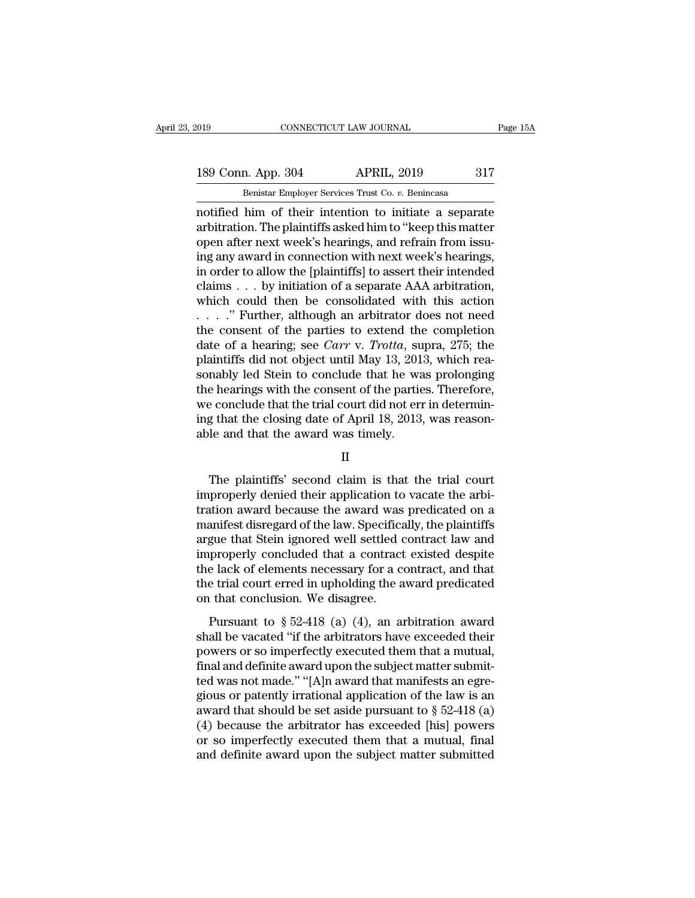189 Conn. App. 304 APRIL, 2019 317<br>Benistar Employer Services Trust Co. v. Benincasa

EXECUTE 2019 CONNECTICUT LAW JOURNAL<br>
189 Conn. App. 304 APRIL, 2019 317<br>
Benistar Employer Services Trust Co. *v.* Benincasa<br>
notified him of their intention to initiate a separate notified him of their intention to initiate a separate<br>
and their intention to initiate a separate<br>
and the plaintiffs asked him to "keep this matter"<br>
and their nort week's begings and refrain from issues 189 Conn. App. 304 APRIL, 2019 317<br>
Benistar Employer Services Trust Co. v. Benincasa<br>
notified him of their intention to initiate a separate<br>
arbitration. The plaintiffs asked him to "keep this matter<br>
open after next wee 189 Conn. App. 304 APRIL, 2019 317<br>
Benistar Employer Services Trust Co. v. Benincasa<br>
notified him of their intention to initiate a separate<br>
arbitration. The plaintiffs asked him to "keep this matter<br>
open after next wee 189 Conn. App. 304 APRIL, 2019 317<br>
Benistar Employer Services Trust Co. v. Benincasa<br>
notified him of their intention to initiate a separate<br>
arbitration. The plaintiffs asked him to "keep this matter<br>
open after next wee Benistar Employer Services Trust Co. *v.* Benincasa<br>
notified him of their intention to initiate a separate<br>
arbitration. The plaintiffs asked him to "keep this matter<br>
open after next week's hearings, and refrain from iss Benistar Employer Services Trust Co. *v.* Benincasa<br>
motified him of their intention to initiate a separate<br>
arbitration. The plaintiffs asked him to "keep this matter<br>
open after next week's hearings, and refrain from iss notified him of their intention to initiate a separate<br>arbitration. The plaintiffs asked him to "keep this matter<br>open after next week's hearings, and refrain from issu-<br>ing any award in connection with next week's hearin arbitration. The plaintiffs asked him to "keep this matter<br>open after next week's hearings, and refrain from issu-<br>ing any award in connection with next week's hearings,<br>in order to allow the [plaintiffs] to assert their open after next week's hearings, and refrain from issu-<br>ing any award in connection with next week's hearings,<br>in order to allow the [plaintiffs] to assert their intended<br>claims . . . by initiation of a separate AAA arbit ing any award in connection with next week's hearings,<br>in order to allow the [plaintiffs] to assert their intended<br>claims . . . by initiation of a separate AAA arbitration,<br>which could then be consolidated with this action in order to allow the [plaintiffs] to assert their intended<br>claims . . . by initiation of a separate AAA arbitration,<br>which could then be consolidated with this action<br> $\ldots$ ." Further, although an arbitrator does not need claims . . . by initiation of a separate AAA arbitration,<br>which could then be consolidated with this action<br>. . . . . " Further, although an arbitrator does not need<br>the consent of the parties to extend the completion<br>dat which could then be consolidated with this action<br>  $\ldots$   $\ldots$  " Further, although an arbitrator does not need<br>
the consent of the parties to extend the completion<br>
date of a hearing; see *Carr v. Trotta*, supra, 275; the  $\dots$  ". Further, although an arbitrator does not need the consent of the parties to extend the completion date of a hearing; see *Carr v. Trotta*, supra, 275; the plaintiffs did not object until May 13, 2013, which reason the consent of the parties to extend the completion<br>date of a hearing; see *Carr v. Trotta*, supra, 275; the<br>plaintiffs did not object until May 13, 2013, which reasonably led Stein to conclude that he was prolonging<br>the date of a hearing; see *Carr* v. *Trotta*, suplaintiffs did not object until May 13, 201 sonably led Stein to conclude that he was the hearings with the consent of the partie we conclude that the trial court did not ern i Exercise e hearings with the consent of the parties. Therefore,<br>
Exercite e conclude that the trial court did not err in determin-<br>
g that the closing date of April 18, 2013, was reason-<br>
le and that the award was timely.<br>

### II

we conclude that the trial court did not err in determin-<br>ing that the closing date of April 18, 2013, was reason-<br>able and that the award was timely.<br>II<br>The plaintiffs' second claim is that the trial court<br>improperly deni ing that the closing date of April 18, 2013, was reasonable and that the award was timely.<br>
II<br>
The plaintiffs' second claim is that the trial court<br>
improperly denied their application to vacate the arbitration<br>
award bec able and that the award was timely.<br>
II<br>
The plaintiffs' second claim is that the trial court<br>
improperly denied their application to vacate the arbi-<br>
tration award because the award was predicated on a<br>
manifest disregar II<br>
The plaintiffs' second claim is that the trial court<br>
improperly denied their application to vacate the arbi-<br>
tration award because the award was predicated on a<br>
manifest disregard of the law. Specifically, the plain The plaintiffs' second claim is that the trial court<br>improperly denied their application to vacate the arbi-<br>tration award because the award was predicated on a<br>manifest disregard of the law. Specifically, the plaintiffs<br>a The plaintiffs' second claim is that the trial court<br>improperly denied their application to vacate the arbi-<br>tration award because the award was predicated on a<br>manifest disregard of the law. Specifically, the plaintiffs<br>a improperly denied their application to vacate the arbitration award because the award was predicated on a manifest disregard of the law. Specifically, the plaintiffs argue that Stein ignored well settled contract law and i tration award because the award was<br>manifest disregard of the law. Specifica<br>argue that Stein ignored well settled  $\alpha$ <br>improperly concluded that a contract<br>the lack of elements necessary for a co<br>the trial court erred in rances distegara of are faw. Specifically, are plantinum<br>gue that Stein ignored well settled contract law and<br>properly concluded that a contract existed despite<br>e lack of elements necessary for a contract, and that<br>e tria improperly concluded that a contract existed despite<br>the lack of elements necessary for a contract, and that<br>the trial court erred in upholding the award predicated<br>on that conclusion. We disagree.<br>Pursuant to § 52-418 (a

maproperty concruded that a contract existed despite<br>the lack of elements necessary for a contract, and that<br>the trial court erred in upholding the award predicated<br>on that conclusion. We disagree.<br>Pursuant to § 52-418 (a fine that of clear and decays and definite award predicated<br>the trial court erred in upholding the award predicated<br>on that conclusion. We disagree.<br>Pursuant to § 52-418 (a) (4), an arbitration award<br>shall be vacated "if on that coal of the all applicating are award predicated<br>on that conclusion. We disagree.<br>Pursuant to § 52-418 (a) (4), an arbitration award<br>shall be vacated "if the arbitrators have exceeded their<br>powers or so imperfectl Pursuant to  $\S$  52-418 (a) (4), an arbitration award<br>shall be vacated "if the arbitrators have exceeded their<br>powers or so imperfectly executed them that a mutual,<br>final and definite award upon the subject matter submit-<br> Pursuant to § 52-418 (a) (4), an arbitration award<br>shall be vacated "if the arbitrators have exceeded their<br>powers or so imperfectly executed them that a mutual,<br>final and definite award upon the subject matter submit-<br>te shall be vacated "if the arbitrators have exceeded their<br>powers or so imperfectly executed them that a mutual,<br>final and definite award upon the subject matter submit-<br>ted was not made." "[A]n award that manifests an egre powers or so imperfectly executed them that a mutual,<br>final and definite award upon the subject matter submit-<br>ted was not made." "[A]n award that manifests an egre-<br>gious or patently irrational application of the law is a final and definite award upon the subject matter submitted was not made." "[A]n award that manifests an egregious or patently irrational application of the law is an award that should be set aside pursuant to  $\S 52-418$  (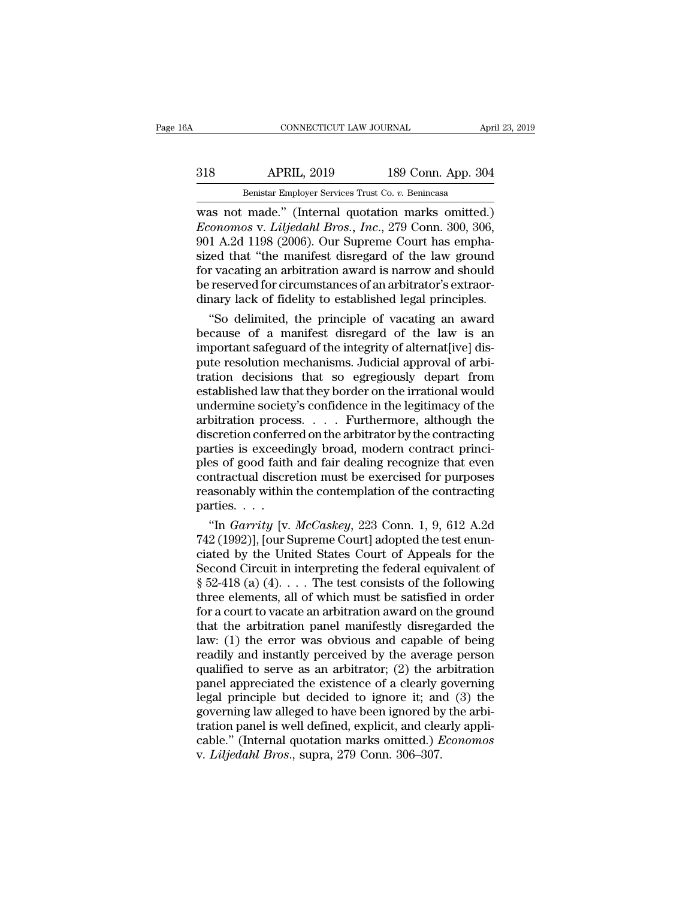## EXECUTE CONNECTICUT LAW JOURNAL April 23, 2019<br>318 APRIL, 2019 189 Conn. App. 304<br>Benistar Employer Services Trust Co. v. Benincasa CONNECTICUT LAW JOURNAL April 23, 2019<br>Benistar Employer Services Trust Co. *v.* Benincasa<br>Was not made." (Internal quotation marks omitted.)

CONNECTICUT LAW JOURNAL April 23, 2019<br>
318 APRIL, 2019 189 Conn. App. 304<br>
Benistar Employer Services Trust Co. v. Benincasa<br>
was not made.'' (Internal quotation marks omitted.)<br> *Economos v. Liljedahl Bros., Inc.*, 279 C *Economos* v. *Liljedahl Bros., Inc.*, 279 Conn. App. 304<br>*Economos* v. *Liljedahl Bros., Inc.*, 279 Conn. 300, 306, 301 A.2d 1198 (2006). Our Supreme Court has emphasized that "the manifest disregard of the law ground MBIL, 2019 189 Conn. App. 304<br>
Benistar Employer Services Trust Co. v. Benincasa<br>
was not made." (Internal quotation marks omitted.)<br> *Economos v. Liljedahl Bros., Inc.*, 279 Conn. 300, 306,<br>
901 A.2d 1198 (2006). Our Supr SI8 APRIL, 2019 189 Conn. App. 304<br>
Benistar Employer Services Trust Co. v. Benincasa<br>
was not made." (Internal quotation marks omitted.)<br> *Economos* v. *Liljedahl Bros., Inc.*, 279 Conn. 300, 306,<br>
901 A.2d 1198 (2006). O For Vid Corea, 1991<br>
Benistar Employer Services Trust Co. v. Benincasa<br>
was not made." (Internal quotation marks omitted.)<br> *Economos* v. *Liljedahl Bros., Inc.*, 279 Conn. 300, 306,<br>
901 A.2d 1198 (2006). Our Supreme Cour Benistar Employer Services Trust Co. v. Benincasa<br>
was not made." (Internal quotation marks omitted.)<br> *Economos* v. *Liljedahl Bros.*, *Inc.*, 279 Conn. 300, 306,<br>
901 A.2d 1198 (2006). Our Supreme Court has empha-<br>
sized was not made." (Internal quotation marks omitted.)<br> *Economos* v. *Liljedahl Bros.*, *Inc.*, 279 Conn. 300, 306,<br>
901 A.2d 1198 (2006). Our Supreme Court has empha-<br>
sized that "the manifest disregard of the law ground<br>
fo conomos v. *Liljedahl Bros.*, *Inc.*, 279 Conn. 300, 306,<br>1 A.2d 1198 (2006). Our Supreme Court has empha-<br>ted that "the manifest disregard of the law ground<br>r vacating an arbitration award is narrow and should<br>reserved fo 901 A.2d 1198 (2006). Our Supreme Court has emphasized that "the manifest disregard of the law ground<br>for vacating an arbitration award is narrow and should<br>be reserved for circumstances of an arbitrator's extraor-<br>dinary

sized that "the manifest disregard of the law ground<br>for vacating an arbitration award is narrow and should<br>be reserved for circumstances of an arbitrator's extraor-<br>dinary lack of fidelity to established legal principles. for vacating an arbitration award is narrow and should<br>be reserved for circumstances of an arbitrator's extraor-<br>dinary lack of fidelity to established legal principles.<br>"So delimited, the principle of vacating an award<br>be be reserved for circumstances of an arbitrator's extraordinary lack of fidelity to established legal principles.<br>
"So delimited, the principle of vacating an award<br>
because of a manifest disregard of the law is an<br>
importa dinary lack of fidelity to established legal principles.<br>
"So delimited, the principle of vacating an award<br>
because of a manifest disregard of the law is an<br>
important safeguard of the integrity of alternat[ive] dis-<br>
put "So delimited, the principle of vacating an award<br>because of a manifest disregard of the law is an<br>important safeguard of the integrity of alternat[ive] dis-<br>pute resolution mechanisms. Judicial approval of arbi-<br>tration because of a manifest disregard of the law is an important safeguard of the integrity of alternat[ive] dis-<br>pute resolution mechanisms. Judicial approval of arbitration decisions that so egregiously depart from<br>established important safeguard of the integrity of alternat[ive] dis-<br>pute resolution mechanisms. Judicial approval of arbitration decisions that so egregiously depart from<br>established law that they border on the irrational would<br>und pute resolution mechanisms. Judicial approval of arbitration decisions that so egregiously depart from established law that they border on the irrational would undermine society's confidence in the legitimacy of the arbitr ration decisions that so egregiously depart from<br>established law that they border on the irrational would<br>undermine society's confidence in the legitimacy of the<br>arbitration process. . . . Furthermore, although the<br>discret established law that they border on the irrational would<br>undermine society's confidence in the legitimacy of the<br>arbitration process. . . . Furthermore, although the<br>discretion conferred on the arbitrator by the contractin undermine society's confidence in the legitimacy of the<br>arbitration process.  $\dots$  Furthermore, although the<br>discretion conferred on the arbitrator by the contracting<br>parties is exceedingly broad, modern contract princi-<br>p arbitration proces<br>discretion conferr<br>parties is exceedi<br>ples of good faith<br>contractual discre<br>reasonably within<br>parties. . . . .<br>"In *Garrity* [v. scretion conferred on the arbitrator by the contracting<br>
rties is exceedingly broad, modern contract princi-<br>
es of good faith and fair dealing recognize that even<br>
intractual discretion must be exercised for purposes<br>
ass parties is exceedingly broad, modern contract princi-<br>ples of good faith and fair dealing recognize that even<br>contractual discretion must be exercised for purposes<br>reasonably within the contemplation of the contracting<br>pa

ples of good faith and fair dealing recognize that even<br>contractual discretion must be exercised for purposes<br>reasonably within the contemplation of the contracting<br>parties....<br>"In *Garrity* [v. *McCaskey*, 223 Conn. 1, 9 contractual discretion must be exercised for purposes<br>reasonably within the contemplation of the contracting<br>parties....<br>"In *Garrity* [v. *McCaskey*, 223 Conn. 1, 9, 612 A.2d<br>742 (1992)], [our Supreme Court] adopted the reasonably within the contemplation of the contracting<br>parties. . . .<br>"In *Garrity* [v. *McCaskey*, 223 Conn. 1, 9, 612 A.2d<br>742 (1992)], [our Supreme Court] adopted the test enun-<br>ciated by the United States Court of App parties. . . .<br>
"In *Garrity* [v. *McCaskey*, 223 Conn. 1, 9, 612 A.2d<br>
742 (1992)], [our Supreme Court] adopted the test enun-<br>
ciated by the United States Court of Appeals for the<br>
Second Circuit in interpreting the fed "In *Garrity* [v. *McCaskey*, 223 Conn. 1, 9, 612 A.2d<br>742 (1992)], [our Supreme Court] adopted the test enun-<br>ciated by the United States Court of Appeals for the<br>Second Circuit in interpreting the federal equivalent of<br> 742 (1992)], [our Supreme Court] adopted the test enunciated by the United States Court of Appeals for the<br>Second Circuit in interpreting the federal equivalent of<br> $\S 52-418$  (a) (4).... The test consists of the following ciated by the United States Court of Appeals for the<br>Second Circuit in interpreting the federal equivalent of<br> $\S 52-418$  (a) (4).... The test consists of the following<br>three elements, all of which must be satisfied in ord Second Circuit in interpreting the federal equivalent of<br>
§ 52-418 (a) (4).... The test consists of the following<br>
three elements, all of which must be satisfied in order<br>
for a court to vacate an arbitration award on the  $\S$  52-418 (a) (4).... The test consists of the following<br>three elements, all of which must be satisfied in order<br>for a court to vacate an arbitration award on the ground<br>that the arbitration panel manifestly disregarded three elements, all of which must be satisfied in order<br>for a court to vacate an arbitration award on the ground<br>that the arbitration panel manifestly disregarded the<br>law: (1) the error was obvious and capable of being<br>rea for a court to vacate an arbitration award on the ground<br>that the arbitration panel manifestly disregarded the<br>law: (1) the error was obvious and capable of being<br>readily and instantly perceived by the average person<br>quali that the arbitration panel manifestly disregarded the<br>law: (1) the error was obvious and capable of being<br>readily and instantly perceived by the average person<br>qualified to serve as an arbitrator; (2) the arbitration<br>pane law: (1) the error was obvious and capable of being<br>readily and instantly perceived by the average person<br>qualified to serve as an arbitrator; (2) the arbitration<br>panel appreciated the existence of a clearly governing<br>leg readily and instantly perceived by the average person<br>qualified to serve as an arbitrator; (2) the arbitration<br>panel appreciated the existence of a clearly governing<br>legal principle but decided to ignore it; and (3) the<br>go qualified to serve as an arbitrator; (2) the a<br>panel appreciated the existence of a clearly g<br>legal principle but decided to ignore it; an<br>governing law alleged to have been ignored by<br>tration panel is well defined, explic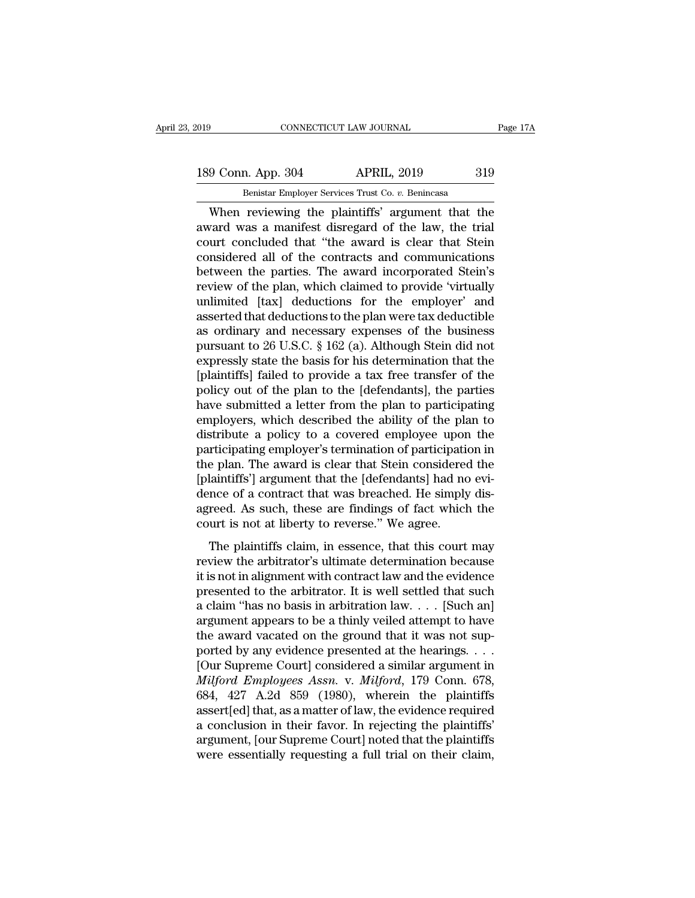189 Conn. App. 304 APRIL, 2019 319<br>Benistar Employer Services Trust Co. v. Benincasa

EXECUTE THE SOURNAL TRISS CONNECTICUT LAW JOURNAL<br>
Benistar Employer Services Trust Co. *v.* Benincasa<br>
When reviewing the plaintiffs' argument that the CONNECTICUT LAW JOURNAL Page 17A<br>
9 Conn. App. 304 APRIL, 2019 319<br>
Benistar Employer Services Trust Co. v. Benincasa<br>
When reviewing the plaintiffs' argument that the<br>
vard was a manifest disregard of the law, the trial<br> 189 Conn. App. 304 APRIL, 2019 319<br>
Benistar Employer Services Trust Co. v. Benincasa<br>
When reviewing the plaintiffs' argument that the award was a manifest disregard of the law, the trial<br>
court concluded that "the award 189 Conn. App. 304 APRIL, 2019 319<br>
Benistar Employer Services Trust Co.  $v$ . Benincasa<br>
When reviewing the plaintiffs' argument that the<br>
award was a manifest disregard of the law, the trial<br>
court concluded that "the aw 189 Conn. App. 304 APRIL, 2019 319<br>
Benistar Employer Services Trust Co. v. Benincasa<br>
When reviewing the plaintiffs' argument that the<br>
award was a manifest disregard of the law, the trial<br>
court concluded that "the award Benistar Employer Services Trust Co. *v.* Benincasa<br>When reviewing the plaintiffs' argument that the<br>award was a manifest disregard of the law, the trial<br>court concluded that "the award is clear that Stein<br>considered all o Benistar Employer Services Trust Co.  $v$ . Benincasa<br>When reviewing the plaintiffs' argument that the<br>award was a manifest disregard of the law, the trial<br>court concluded that "the award is clear that Stein<br>considered all When reviewing the plaintiffs' argument that the<br>award was a manifest disregard of the law, the trial<br>court concluded that "the award is clear that Stein<br>considered all of the contracts and communications<br>between the parti award was a manifest disregard of the law, the trial<br>court concluded that "the award is clear that Stein<br>considered all of the contracts and communications<br>between the parties. The award incorporated Stein's<br>review of the court concluded that "the award is clear that Stein<br>considered all of the contracts and communications<br>between the parties. The award incorporated Stein's<br>review of the plan, which claimed to provide 'virtually<br>unlimited [ considered all of the contracts and communications<br>between the parties. The award incorporated Stein's<br>review of the plan, which claimed to provide 'virtually<br>unlimited [tax] deductions for the employer' and<br>asserted that between the parties. The award incorporated Stein's<br>review of the plan, which claimed to provide 'virtually<br>unlimited [tax] deductions for the employer' and<br>asserted that deductions to the plan were tax deductible<br>as ordin review of the plan, which claimed to provide 'virtually<br>unlimited [tax] deductions for the employer' and<br>asserted that deductions to the plan were tax deductible<br>as ordinary and necessary expenses of the business<br>pursuant unlimited [tax] deductions for the employer' and<br>asserted that deductions to the plan were tax deductible<br>as ordinary and necessary expenses of the business<br>pursuant to 26 U.S.C. § 162 (a). Although Stein did not<br>expressly asserted that deductions to the plan were tax deductible<br>as ordinary and necessary expenses of the business<br>pursuant to 26 U.S.C. § 162 (a). Although Stein did not<br>expressly state the basis for his determination that the<br>[ as ordinary and necessary expenses of the business<br>pursuant to 26 U.S.C. § 162 (a). Although Stein did not<br>expressly state the basis for his determination that the<br>[plaintiffs] failed to provide a tax free transfer of the<br> pursuant to 26 U.S.C. § 162 (a). Although Stein did not<br>expressly state the basis for his determination that the<br>[plaintiffs] failed to provide a tax free transfer of the<br>policy out of the plan to the [defendants], the par expressly state the basis for his determination that the [plaintiffs] failed to provide a tax free transfer of the policy out of the plan to the [defendants], the parties have submitted a letter from the plan to participat [plaintiffs] failed to provide a tax free transfer of the<br>policy out of the plan to the [defendants], the parties<br>have submitted a letter from the plan to participating<br>employers, which described the ability of the plan to policy out of the plan to the [defendants], the parties<br>have submitted a letter from the plan to participating<br>employers, which described the ability of the plan to<br>distribute a policy to a covered employee upon the<br>partic have submitted a letter from the plan to participating<br>employers, which described the ability of the plan to<br>distribute a policy to a covered employee upon the<br>participating employer's termination of participation in<br>the p employers, which described the ability of the plan to<br>distribute a policy to a covered employee upon the<br>participating employer's termination of participation in<br>the plan. The award is clear that Stein considered the<br>[plai distribute a policy to a covered employee upor<br>participating employer's termination of participation<br>the plan. The award is clear that Stein considered<br>[plaintiffs'] argument that the [defendants] had no<br>dence of a contrac racipality employers of commutation of paracipation in<br>e plan. The award is clear that Stein considered the<br>laintiffs'] argument that the [defendants] had no evi-<br>nce of a contract that was breached. He simply dis-<br>reed. A review the arbitrator's during the steady and the plaintiffs'] argument that the [defendants] had no evidence of a contract that was breached. He simply disagreed. As such, these are findings of fact which the court is not

Example 1 againer what the particular of the simply dis-<br>dence of a contract that was breached. He simply dis-<br>agreed. As such, these are findings of fact which the<br>court is not at liberty to reverse." We agree.<br>The plain agreed. As such, these are findings of fact which the<br>court is not at liberty to reverse." We agree.<br>The plaintiffs claim, in essence, that this court may<br>review the arbitrator's ultimate determination because<br>it is not i agreed. The satel, also dre mainless of fact which are<br>court is not at liberty to reverse." We agree.<br>The plaintiffs claim, in essence, that this court may<br>review the arbitrator's ultimate determination because<br>it is not The plaintiffs claim, in essence, that this court may<br>review the arbitrator's ultimate determination because<br>it is not in alignment with contract law and the evidence<br>presented to the arbitrator. It is well settled that s The plaintiffs claim, in essence, that this court may<br>review the arbitrator's ultimate determination because<br>it is not in alignment with contract law and the evidence<br>presented to the arbitrator. It is well settled that s review the arbitrator's ultimate determination because<br>it is not in alignment with contract law and the evidence<br>presented to the arbitrator. It is well settled that such<br>a claim "has no basis in arbitration law.... [Such it is not in alignment with contract law and the evidence<br>presented to the arbitrator. It is well settled that such<br>a claim "has no basis in arbitration law.... [Such an]<br>argument appears to be a thinly veiled attempt to presented to the arbitrator. It is well settled that such<br>a claim "has no basis in arbitration law. . . . [Such an]<br>argument appears to be a thinly veiled attempt to have<br>the award vacated on the ground that it was not sup a claim "has no basis in arbitration law.... [Such an]<br>argument appears to be a thinly veiled attempt to have<br>the award vacated on the ground that it was not sup-<br>ported by any evidence presented at the hearings....<br>[Our argument appears to be a thinly veiled attempt to have<br>the award vacated on the ground that it was not sup-<br>ported by any evidence presented at the hearings. . . .<br>[Our Supreme Court] considered a similar argument in<br>*Milf* the award vacated on the ground that it was not sup-<br>ported by any evidence presented at the hearings. . . .<br>[Our Supreme Court] considered a similar argument in<br> $Milford\ Employees Assn. v. Milford, 179 \ Conn. 678,$ <br>684, 427 A.2d 859 (1980), whe ported by any evidence presented at the hearings. . . .<br>[Our Supreme Court] considered a similar argument in<br> $Milford\ Employees Assn. v. Milford, 179 \ Conn. 678,$ <br> $684, 427$  A.2d  $859$  (1980), wherein the plaintiffs<br>assert[ed] that, as a matter [Our Supreme Court] considered a similar argument in *Milford Employees Assn.* v. *Milford*, 179 Conn. 678, 684, 427 A.2d 859 (1980), wherein the plaintiffs assert[ed] that, as a matter of law, the evidence required a conc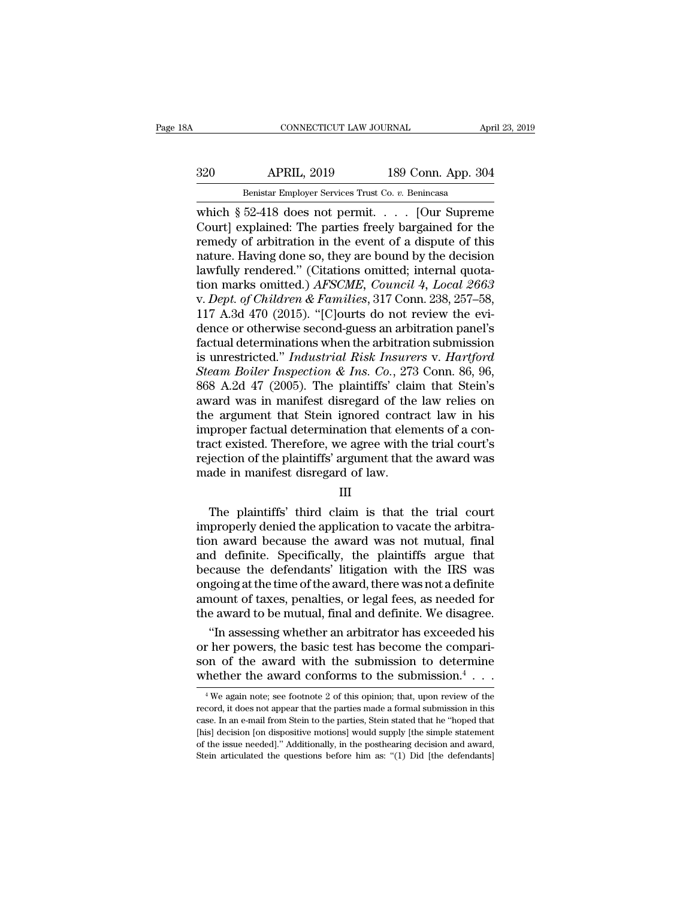### EXECUTE CONNECTICUT LAW JOURNAL April 23, 2019<br>320 APRIL, 2019 189 Conn. App. 304<br>Benistar Employer Services Trust Co. v. Benincasa EXECTICUT LAW JOURNAL AT AN ANTINUES AND MARKETICUT LAW JOURNAL APPORTED APPORT OF APPORTUNITY OF A SERVICE TRUST CO. *v.* Benincasa 52-418 does not permit [Our Suprem

CONNECTICUT LAW JOURNAL April 23, 2019<br>
320 APRIL, 2019 189 Conn. App. 304<br>
Benistar Employer Services Trust Co. v. Benincasa<br>
which § 52-418 does not permit. . . . . [Our Supreme<br>
Court] explained: The parties freely barg Samman Harley (1998)<br>
2009 Mark (1998) Mark (1998) Mark (1998) Mark (1999) Mark (1999) Mark (1999) Mark (1999) Mark (1999) Mark (1999) Mark (1999) Mark (1999) Mark (1999) Mark (1999) Mark (1999) Mark (1999) Mark (1999) Mar  $\begin{tabular}{ c c c c} \multicolumn{1}{c}{{\bf APRIL, 2019}} & {\bf 189 Conn. App. 304} \end{tabular} \vspace{-.05in} \begin{tabular}{ c c c c} \multicolumn{1}{c}{{\bf Benistar Employee Services Trust Co. $v. Benincasa}} \\ \multicolumn{1}{c}{{\bf which $\S$ 52-418 does not permit. . . . [Our Supreme Court] explained: The parties freely bargaining of the remedy of arbitrary and the event of a dispute of this nature. Having done so, they are bound by the decision lawfully rendered " (Citations omitted: internal, quotable) and the event of a layer. \end{tabular} \vspace{-.05in}$ 320 APRIL, 2019 189 Conn. App. 304<br>
Benistar Employer Services Trust Co. v. Benincasa<br>
which § 52-418 does not permit. . . . . [Our Supreme<br>
Court] explained: The parties freely bargained for the<br>
remedy of arbitration in Benistar Employer Services Trust Co. v. Benincasa<br>
which § 52-418 does not permit. . . . . [Our Supreme<br>
Court] explained: The parties freely bargained for the<br>
remedy of arbitration in the event of a dispute of this<br>
nat Benistar Employer Services Trust Co. *v.* Benincasa<br>
which § 52-418 does not permit. . . . [Our Supreme<br>
Court] explained: The parties freely bargained for the<br>
remedy of arbitration in the event of a dispute of this<br>
natu which § 52-418 does not permit. . . . . [Our Supreme<br>Court] explained: The parties freely bargained for the<br>remedy of arbitration in the event of a dispute of this<br>nature. Having done so, they are bound by the decision<br>law Court] explained: The parties freely bargained for the remedy of arbitration in the event of a dispute of this nature. Having done so, they are bound by the decision lawfully rendered." (Citations omitted; internal quotati remedy of arbitration in the event of a dispute of this<br>nature. Having done so, they are bound by the decision<br>lawfully rendered." (Citations omitted; internal quota-<br>tion marks omitted.) *AFSCME*, *Council 4*, *Local 2663* nature. Having done so, they are bound by the decision<br>lawfully rendered." (Citations omitted; internal quota-<br>tion marks omitted.)  $AFSCME$ ,  $Council$  4,  $Local$  2663<br>v.  $Depth$  of Children & Families, 317 Conn. 238, 257–58,<br>117 A.3d 4 lawfully rendered." (Citations omitted; internal quotation marks omitted.) *AFSCME*, *Council 4*, *Local 2663*<br>v. *Dept. of Children & Families*, 317 Conn. 238, 257–58,<br>117 A.3d 470 (2015). "[C]ourts do not review the evition marks omitted.) *AFSCME*, *Council 4*, *Local 2663*<br>*v. Dept. of Children & Families*, 317 Conn. 238, 257–58,<br>117 A.3d 470 (2015). "[C]ourts do not review the evi-<br>dence or otherwise second-guess an arbitration panel' v. *Dept. of Children & Families*, 317 Conn. 238, 257–58,<br>117 A.3d 470 (2015). "[C]ourts do not review the evi-<br>dence or otherwise second-guess an arbitration panel's<br>factual determinations when the arbitration submission<br> 117 A.3d 470 (2015). "[C]ourts do not review the evidence or otherwise second-guess an arbitration panel's<br>factual determinations when the arbitration submission<br>is unrestricted." *Industrial Risk Insurers v. Hartford*<br>*S* dence or otherwise second-guess an arbitration panel's<br>factual determinations when the arbitration submission<br>is unrestricted." Industrial Risk Insurers v. Hartford<br>Steam Boiler Inspection & Ins. Co., 273 Conn. 86, 96,<br>868 factual determinations when the arbitration submission<br>is unrestricted." *Industrial Risk Insurers v. Hartford*<br>*Steam Boiler Inspection & Ins. Co.*, 273 Conn. 86, 96,<br>868 A.2d 47 (2005). The plaintiffs' claim that Stein's is unrestricted." *Industrial Risk Insurers v. Hartford*<br>Steam Boiler Inspection & Ins. Co., 273 Conn. 86, 96,<br>868 A.2d 47 (2005). The plaintiffs' claim that Stein's<br>award was in manifest disregard of the law relies on<br>the Steam Boiler Inspection & Ins. Co., 273 Conn. 86, 96, 96, 868 A.2d 47 (2005). The plaintiffs' claim that Stein's award was in manifest disregard of the law relies on the argument that Stein ignored contract law in his imp 868 A.2d 47 (2005). The plaintiffs' claim<br>award was in manifest disregard of the<br>the argument that Stein ignored contra<br>improper factual determination that elen<br>tract existed. Therefore, we agree with the<br>rejection of the re argument and been ignored contract in the trial<br>proper factual determination that elements of a con-<br>act existed. Therefore, we agree with the trial court's<br>jection of the plaintiffs' argument that the award was<br>ade in

### III

improper include determination that elements of a contract existed. Therefore, we agree with the trial court's<br>rejection of the plaintiffs' argument that the award was<br>made in manifest disregard of law.<br>III<br>The plaintiffs' tract existed. Therefore, we agree what the article contest<br>rejection of the plaintiffs' argument that the award was<br>made in manifest disregard of law.<br>III<br>The plaintiffs' third claim is that the trial court<br>improperly den rejection of the plaintins argument that the trial court<br>
III<br>
The plaintiffs' third claim is that the trial court<br>
improperly denied the application to vacate the arbitra-<br>
tion award because the award was not mutual, fin III<br>
The plaintiffs' third claim is that the trial court<br>
improperly denied the application to vacate the arbitra-<br>
tion award because the award was not mutual, final<br>
and definite. Specifically, the plaintiffs argue that<br> III<br>The plaintiffs' third claim is that the trial court<br>improperly denied the application to vacate the arbitra-<br>tion award because the award was not mutual, final<br>and definite. Specifically, the plaintiffs argue that<br>beca The plaintiffs' third claim is that the trial court<br>improperly denied the application to vacate the arbitra-<br>tion award because the award was not mutual, final<br>and definite. Specifically, the plaintiffs argue that<br>because improperly denied the application to vacate the arbitration award because the award was not mutual, final and definite. Specifically, the plaintiffs argue that because the defendants' litigation with the IRS was ongoing at In a ward because the award was not mutual, final<br>
d definite. Specifically, the plaintiffs argue that<br>
cause the defendants' litigation with the IRS was<br>
going at the time of the award, there was not a definite<br>
nount of and definite. Specifically, the plaintiffs argue that<br>because the defendants' litigation with the IRS was<br>ongoing at the time of the award, there was not a definite<br>amount of taxes, penalties, or legal fees, as needed for

because the defendants' litigation with the IRS was<br>ongoing at the time of the award, there was not a definite<br>amount of taxes, penalties, or legal fees, as needed for<br>the award to be mutual, final and definite. We disagr ongoing at the time of the award, there was not a definite<br>amount of taxes, penalties, or legal fees, as needed for<br>the award to be mutual, final and definite. We disagree.<br>"In assessing whether an arbitrator has exceeded . . . "In assessing whether an arbitrator has exceeded his<br>r her powers, the basic test has become the compari-<br>on of the award with the submission to determine<br>hether the award conforms to the submission.<sup>4</sup>  $\ldots$ <br><sup>4</sup> We again or her powers, the basic test has become the comparison of the award with the submission to determine whether the award conforms to the submission.<sup>4</sup>  $\cdots$  <sup>4</sup> We again note; see footnote 2 of this opinion; that, upon re

son of the award with the submission to determine<br>whether the award conforms to the submission.<sup>4</sup>  $\cdots$ <br><sup>4</sup>We again note; see footnote 2 of this opinion; that, upon review of the<br>record, it does not appear that the parti **Whether the award conforms to the submission.**<sup>4</sup>  $\cdots$   $\overline{ }$ <br><sup>4</sup> We again note; see footnote 2 of this opinion; that, upon review of the record, it does not appear that the parties made a formal submission in this cas WHELHET LIFE AWATU COHLOTHIS LO LIFE SUDHISSION.  $\cdot \cdot \cdot$ <br>
<sup>4</sup> We again note; see footnote 2 of this opinion; that, upon review of the record, it does not appear that the parties made a formal submission in this case. In <sup>4</sup> We again note; see footnote 2 of this opinion; that, upon review of the record, it does not appear that the parties made a formal submission in this case. In an e-mail from Stein to the parties, Stein stated that he "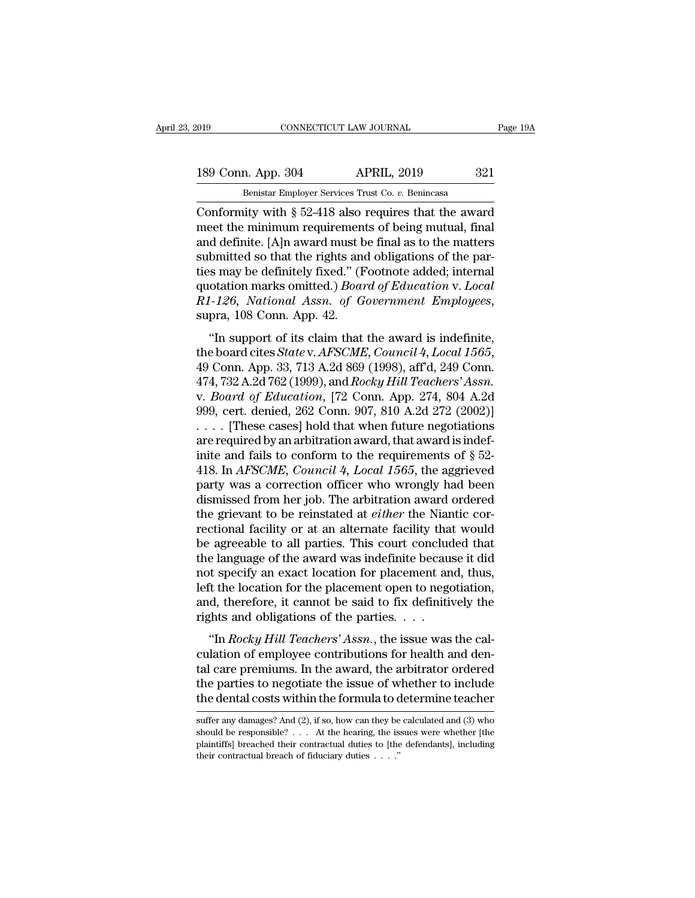CONNECTICUT LAW JOURNAL Page 19A<br>
189 Conn. App. 304 APRIL, 2019 321<br>
Benistar Employer Services Trust Co. v. Benincasa<br>
Conformity with § 52-418 also requires that the award<br>
meet the minimum requirements of being mutual, 189 Conn. App. 304 APRIL, 2019 321<br>
Benistar Employer Services Trust Co. v. Benincasa<br>
Conformity with  $\S$  52-418 also requires that the award<br>
meet the minimum requirements of being mutual, final<br>
and definite. [A]n awar 189 Conn. App. 304 APRIL, 2019 321<br>
Benistar Employer Services Trust Co. v. Benincasa<br>
Conformity with § 52-418 also requires that the award<br>
meet the minimum requirements of being mutual, final<br>
and definite. [A]n award 189 Conn. App. 304 APRIL, 2019 321<br>
Benistar Employer Services Trust Co. v. Benincasa<br>
Conformity with § 52-418 also requires that the award<br>
meet the minimum requirements of being mutual, final<br>
and definite. [A]n award Benistar Employer Services Trust Co. v. Benincasa<br>
Conformity with § 52-418 also requires that the award<br>
meet the minimum requirements of being mutual, final<br>
and definite. [A]n award must be final as to the matters<br>
sub Benistar Employer Services Trust Co. *v.* Benincasa<br>Conformity with § 52-418 also requires that the award<br>meet the minimum requirements of being mutual, final<br>and definite. [A]n award must be final as to the matters<br>submit Conformity with § 52-418 also requires that the award<br>meet the minimum requirements of being mutual, final<br>and definite. [A]n award must be final as to the matters<br>submitted so that the rights and obligations of the par-<br>t of definited so that the rights and obligations of the par-<br>
is may be definitely fixed." (Footnote added; internal<br>
otation marks omitted.) *Board of Education v. Local*<br>
1-126, *National Assn. of Government Employees*,<br>

submitted so that the rights and obligations of the parties may be definitely fixed." (Footnote added; internal quotation marks omitted.) *Board of Education* v. *Local R1-126*, *National Assn. of Government Employees*, quotation marks omitted.*f Doura of Education v. Local*<br> *R1-126, National Assn. of Government Employees,*<br>
supra, 108 Conn. App. 42.<br>
"In support of its claim that the award is indefinite,<br>
the board cites *State v. AFS K1-120, Nuttonia Assn. 6) Government Emproyees,*<br>supra, 108 Conn. App. 42.<br>"In support of its claim that the award is indefinite,<br>the board cites *State* v. *AFSCME*, *Council 4, Local 1565*,<br>49 Conn. App. 33, 713 A.2d 86 "In support of its claim that the award is indefinite,<br>the board cites *State* v. *AFSCME*, *Council 4*, *Local 1565*,<br>49 Conn. App. 33, 713 A.2d 869 (1998), aff'd, 249 Conn.<br>474, 732 A.2d 762 (1999), and *Rocky Hill Teac* "In support of its claim that the award is indefinite,<br>the board cites *State* v. *AFSCME*, *Council* 4, *Local* 1565,<br>49 Conn. App. 33, 713 A.2d 869 (1998), aff'd, 249 Conn.<br>474, 732 A.2d 762 (1999), and *Rocky Hill Teac* the board cites *State* v. *AFSCME*, *Council 4*, *Local 1565*, 49 Conn. App. 33, 713 A.2d 869 (1998), aff'd, 249 Conn. 474, 732 A.2d 762 (1999), and *Rocky Hill Teachers' Assn.* v. *Board of Education*, [72 Conn. App. 27 49 Conn. App. 33, 713 A.2d 869 (1998), aff'd, 249 Conn.<br>474, 732 A.2d 762 (1999), and *Rocky Hill Teachers' Assn.*<br>v. *Board of Education*, [72 Conn. App. 274, 804 A.2d<br>999, cert. denied, 262 Conn. 907, 810 A.2d 272 (2002 474, 732 A.2d 762 (1999), and *Rocky Hill Teachers' Assn.*<br>v. *Board of Education*, [72 Conn. App. 274, 804 A.2d<br>999, cert. denied, 262 Conn. 907, 810 A.2d 272 (2002)]<br>.... [These cases] hold that when future negotiations<br> v. *Board of Education*, [72 Conn. App. 274, 804 A.2d<br>999, cert. denied, 262 Conn. 907, 810 A.2d 272 (2002)]<br>.... [These cases] hold that when future negotiations<br>are required by an arbitration award, that award is indef-999, cert. denied, 262 Conn. 907, 810 A.2d 272 (2002)]<br>
.... [These cases] hold that when future negotiations<br>
are required by an arbitration award, that award is indef-<br>
inite and fails to conform to the requirements of .... [These cases] hold that when future negotiations<br>are required by an arbitration award, that award is indef-<br>inite and fails to conform to the requirements of  $\S$  52-<br>418. In *AFSCME*, *Council* 4, *Local 1565*, the a are required by an arbitration award, that award is indefinite and fails to conform to the requirements of  $\S$  52-418. In *AFSCME*, *Council 4*, *Local 1565*, the aggrieved party was a correction officer who wrongly had b inite and fails to conform to the requirements of  $\S$  52-418. In *AFSCME*, *Council* 4, *Local 1565*, the aggrieved party was a correction officer who wrongly had been dismissed from her job. The arbitration award ordered 418. In *AFSCME*, *Council 4*, *Local 1565*, the aggrieved party was a correction officer who wrongly had been dismissed from her job. The arbitration award ordered the grievant to be reinstated at *either* the Niantic co party was a correction officer who wrongly had been<br>dismissed from her job. The arbitration award ordered<br>the grievant to be reinstated at *either* the Niantic cor-<br>rectional facility or at an alternate facility that would dismissed from her job. The arbitration award ordered<br>the grievant to be reinstated at *either* the Niantic cor-<br>rectional facility or at an alternate facility that would<br>be agreeable to all parties. This court concluded t the grievant to be reinstated at *either* the Niantic correctional facility or at an alternate facility that would<br>be agreeable to all parties. This court concluded that<br>the language of the award was indefinite because it rectional facility or at an alternate facility tha<br>be agreeable to all parties. This court conclude<br>the language of the award was indefinite becaus<br>not specify an exact location for placement an<br>left the location for the <sup>2</sup> agreeable to an parties. This court concruded that<br>
e language of the award was indefinite because it did<br>
it specify an exact location for placement and, thus,<br>
it the location for the placement open to negotiation,<br> and mot specify an exact location for placement and, thus,<br>left the location for the placement open to negotiation,<br>and, therefore, it cannot be said to fix definitively the<br>rights and obligations of the parties. . . .<br>"In

the location of placement and, thus,<br>left the location for the placement open to negotiation,<br>and, therefore, it cannot be said to fix definitively the<br>rights and obligations of the parties.<br>...<br>"In *Rocky Hill Teachers' A* the full the focation for the pacement open to hegotiation,<br>and, therefore, it cannot be said to fix definitively the<br>rights and obligations of the parties. . . .<br>"In *Rocky Hill Teachers' Assn*., the issue was the cal-<br>cu rights and obligations of the parties. . . .<br>
"In *Rocky Hill Teachers' Assn.*, the issue was the calculation of employee contributions for health and dental care premiums. In the award, the arbitrator ordered the parties culation of employee contributions for health and dental care premiums. In the award, the arbitrator ordered the parties to negotiate the issue of whether to include the dental costs within the formula to determine teacher tal care premiums. In the award, the arbitrator ordered<br>the parties to negotiate the issue of whether to include<br>the dental costs within the formula to determine teacher<br>suffer any damages? And (2), if so, how can they be

the parties to negotiate the issue of whether to include<br>the dental costs within the formula to determine teacher<br>suffer any damages? And (2), if so, how can they be calculated and (3) who<br>should be responsible? . . . At the dental costs within the formula to dental costs within the formula to dental costs within the formula to dental and the should be responsible? . . . . At the hearing, the issplaintiffs] breached their contractual dutie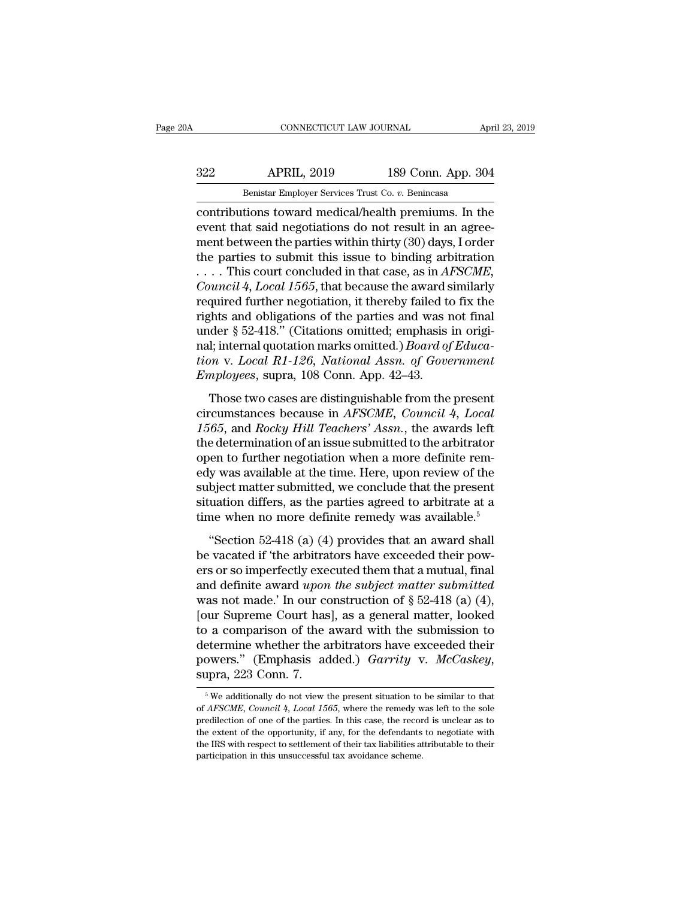# EXECUTE CONNECTICUT LAW JOURNAL April 23, 2019<br>322 APRIL, 2019 189 Conn. App. 304<br>Benistar Employer Services Trust Co. v. Benincasa

CONNECTICUT LAW JOURNAL<br>
Benistar Employer Services Trust Co. *v.* Benincasa<br>
contributions toward medical/health premiums. In the<br>
event that said negotiations do not result in an agree-<br>
ment between the parties within t connectricut LAW JOURNAL April 23, 2019<br>
232 APRIL, 2019 189 Conn. App. 304<br>
231 Benistar Employer Services Trust Co. v. Benincasa<br>
2011 Contributions toward medical/health premiums. In the<br>
event that said negotiations do 322 APRIL, 2019 189 Conn. App. 304<br>
Benistar Employer Services Trust Co. v. Benincasa<br>
contributions toward medical/health premiums. In the<br>
event that said negotiations do not result in an agree-<br>
ment between the partie 322 APRIL, 2019 189 Conn. App. 304<br>
Benistar Employer Services Trust Co. v. Benincasa<br>
contributions toward medical/health premiums. In the<br>
event that said negotiations do not result in an agree-<br>
ment between the partie Benistar Employer Services Trust Co. *v.* Benincasa<br>
contributions toward medical/health premiums. In the<br>
event that said negotiations do not result in an agree-<br>
ment between the parties within thirty (30) days, I order<br> *Benistar Employer Services Trust Co. v. Benincasa*<br>
contributions toward medical/health premiums. In the<br>
event that said negotiations do not result in an agree-<br>
ment between the parties within thirty (30) days, I order<br> contributions toward medical/health premiums. In the event that said negotiations do not result in an agreement between the parties within thirty (30) days, I order the parties to submit this issue to binding arbitration event that said negotiations do not result in an agreement between the parties within thirty (30) days, I order<br>the parties to submit this issue to binding arbitration<br>.... This court concluded in that case, as in *AFSCME* ment between the parties within thirty (30) days, I order<br>the parties to submit this issue to binding arbitration<br>.... This court concluded in that case, as in *AFSCME*,<br>*Council 4, Local 1565*, that because the award sim the parties to submit this issue to binding arbitration<br>
.... This court concluded in that case, as in *AFSCME*,<br> *Council* 4, *Local* 1565, that because the award similarly<br>
required further negotiation, it thereby failed *there in that case, as in AFSCME, Council 4, Local 1565, that because the award similarly required further negotiation, it thereby failed to fix the rights and obligations of the parties and was not final under § 52-418." Council 4, Local 1565,* that because the award s<br>required further negotiation, it thereby failed to<br>rights and obligations of the parties and was r<br>under § 52-418." (Citations omitted, emphasis<br>nal; internal quotation mar ghts and obligations of the parties and was not final<br>der § 52-418." (Citations omitted; emphasis in origi-<br>l; internal quotation marks omitted.) *Board of Educa-*<br>m v. *Local R1-126*, *National Assn. of Government*<br>mploy rights and obtigations of the parties and was not final<br>under § 52-418." (Citations omitted; emphasis in origi-<br>nal; internal quotation marks omitted.) *Board of Educa-*<br>tion v. Local R1-126, National Assn. of Government<br>E

ral; internal quotations marks omitted, emphasis in original; internal quotation marks omitted.) *Board of Education v. Local R1-126*, *National Assn. of Government Employees*, supra, 108 Conn. App. 42–43.<br>Those two cases tion v. Local R1-126, National Assn. of Government<br>Employees, supra, 108 Conn. App. 42–43.<br>Those two cases are distinguishable from the present<br>circumstances because in *AFSCME*, *Council 4, Local*<br>1565, and *Rocky Hill T* Employees, supra, 108 Conn. App. 42–43.<br>Those two cases are distinguishable from the present<br>circumstances because in *AFSCME*, *Council 4*, *Local*<br>1565, and *Rocky Hill Teachers' Assn.*, the awards left<br>the determinatio Those two cases are distinguishable from the present<br>circumstances because in *AFSCME*, *Council 4*, *Local*<br>1565, and *Rocky Hill Teachers' Assn.*, the awards left<br>the determination of an issue submitted to the arbitrato Those two cases are distinguishable from the present<br>circumstances because in *AFSCME*, *Council* 4, *Local*<br>1565, and *Rocky Hill Teachers' Assn.*, the awards left<br>the determination of an issue submitted to the arbitrato circumstances because in *AFSCME*, *Council 4*, *Local* 1565, and *Rocky Hill Teachers' Assn.*, the awards left the determination of an issue submitted to the arbitrator open to further negotiation when a more definite re 1565, and *Rocky Hill Teachers' Assn*., the awards left<br>the determination of an issue submitted to the arbitrator<br>open to further negotiation when a more definite rem-<br>edy was available at the time. Here, upon review of t of the metallical states of the distribution<br>
en to further negotiation when a more definite rem-<br>
y was available at the time. Here, upon review of the<br>
bject matter submitted, we conclude that the present<br>
uation differs open to further negotiation when a more definite remedy was available at the time. Here, upon review of the subject matter submitted, we conclude that the present situation differs, as the parties agreed to arbitrate at a

subject matter submitted, we conclude that the present<br>situation differs, as the parties agreed to arbitrate at a<br>time when no more definite remedy was available.<sup>5</sup><br>"Section 52-418 (a) (4) provides that an award shall<br>be station differs, as the parties agreed to arbitrate at a<br>situation differs, as the parties agreed to arbitrate at a<br>time when no more definite remedy was available.<sup>5</sup><br>"Section 52-418 (a) (4) provides that an award shall<br> when no more definite remedy was available.<sup>5</sup><br>
"Section 52-418 (a) (4) provides that an award shall<br>
be vacated if 'the arbitrators have exceeded their pow-<br>
ers or so imperfectly executed them that a mutual, final<br>
and "Section 52-418 (a) (4) provides that an award shall<br>be vacated if 'the arbitrators have exceeded their pow-<br>ers or so imperfectly executed them that a mutual, final<br>and definite award *upon the subject matter submitted*<br> "Section 52-418 (a) (4) provides that an award shall<br>be vacated if 'the arbitrators have exceeded their pow-<br>ers or so imperfectly executed them that a mutual, final<br>and definite award *upon the subject matter submitted*<br> be vacated if 'the arbitrators have exceeded their pow-<br>ers or so imperfectly executed them that a mutual, final<br>and definite award *upon the subject matter submitted*<br>was not made.' In our construction of  $\S 52-418$  (a) ers or so imperfectly executed them that a mutual, final<br>and definite award *upon the subject matter submitted*<br>was not made.' In our construction of § 52-418 (a) (4),<br>[our Supreme Court has], as a general matter, looked<br>t Following a comparison of the award with the submission to<br>etermine whether the arbitrators have exceeded their<br>owers." (Emphasis added.) *Garrity* v. *McCaskey*,<br>pra, 223 Conn. 7.<br> $\frac{5}{3}$  We additionally do not view th determine whether the arbitrators have exceeded their<br>powers." (Emphasis added.) *Garrity* v. *McCaskey*,<br>supra, 223 Conn. 7.<br><sup>5</sup> We additionally do not view the present situation to be similar to that<br>of *AFSCME*, *Counci* 

powers." (Emphasis added.) *Garrity* v. *McCaskey*,<br>supra, 223 Conn. 7.<br><sup>5</sup>We additionally do not view the present situation to be similar to that<br>of *AFSCME*, *Council* 4, *Local 1565*, where the remedy was left to the so supra, 223 Conn. 7.<br>
<sup>5</sup> We additionally do not view the present situation to be similar to that of *AFSCME*, *Council 4*, *Local 1565*, where the remedy was left to the sole predilection of one of the parties. In this ca Supra,  $225$  COIII.  $\cdot$ .<br>
<sup>5</sup> We additionally do not view the present situation to be similar to that of *AFSCME*, *Council* 4, *Local 1565*, where the remedy was left to the sole predilection of one of the parties. In t <sup>5</sup> We additionally do not view the present situation to of *AFSCME*, *Council* 4, *Local* 1565, where the remedy were dilection of one of the parties. In this case, the record the extent of the opportunity, if any, for t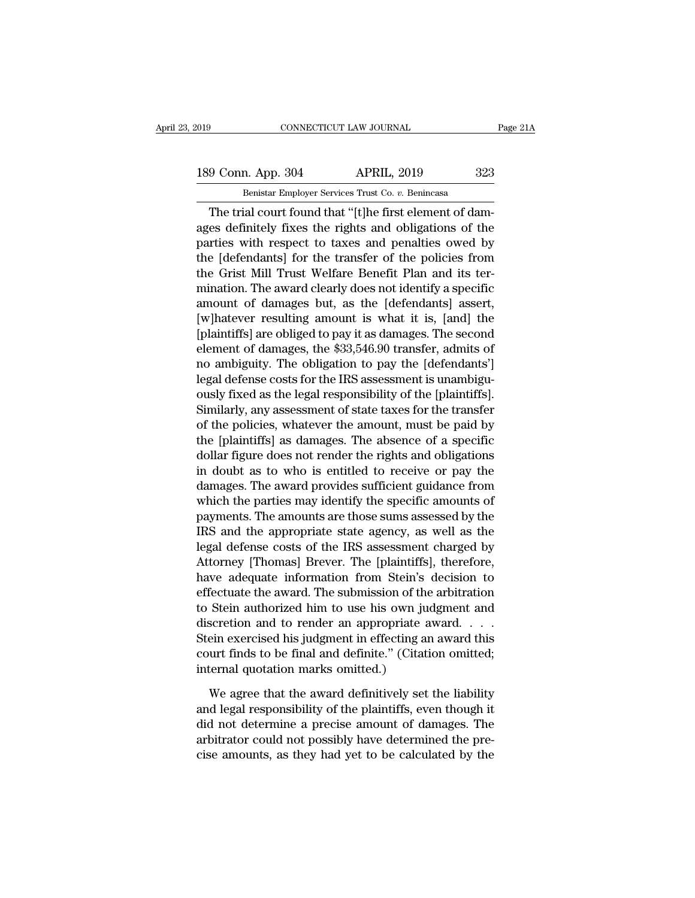## 189 Conn. App. 304 APRIL, 2019 223<br>Benistar Employer Services Trust Co. v. Benincasa EXECUTE THE SOURNAL CONNECTICUT LAW JOURNAL<br>
Benistar Employer Services Trust Co. *v.* Benincasa<br>
The trial court found that "[t]he first element of dam-

CONNECTICUT LAW JOURNAL<br>
9 Conn. App. 304 APRIL, 2019 323<br>
Benistar Employer Services Trust Co. v. Benincasa<br>
The trial court found that "[t]he first element of dam-<br>
es definitely fixes the rights and obligations of the<br> 189 Conn. App. 304 APRIL, 2019 323<br>
Benistar Employer Services Trust Co. v. Benincasa<br>
The trial court found that "[t]he first element of damages definitely fixes the rights and obligations of the parties with respect to t 189 Conn. App. 304 APRIL, 2019 323<br>
Benistar Employer Services Trust Co. v. Benincasa<br>
The trial court found that "[t]he first element of dam-<br>
ages definitely fixes the rights and obligations of the<br>
parties with respect 189 Conn. App. 304 APRIL, 2019 323<br>
Benistar Employer Services Trust Co.  $v$ . Benincasa<br>
The trial court found that "[t]he first element of dam-<br>
ages definitely fixes the rights and obligations of the<br>
parties with respe ages definitely fixes the rights and obligations of the parties with respect to taxes and penalties owed by the [defendants] for the transfer of the policies from the Grist Mill Trust Welfare Benefit Plan and its terminati metrical court found that "[t]he first element of damages definitely fixes the rights and obligations of the parties with respect to taxes and penalties owed by the [defendants] for the transfer of the policies from the G The trial court found that "[t]he first element of dam-<br>ages definitely fixes the rights and obligations of the<br>parties with respect to taxes and penalties owed by<br>the [defendants] for the transfer of the policies from<br>the ages definitely fixes the rights and obligations of the<br>parties with respect to taxes and penalties owed by<br>the [defendants] for the transfer of the policies from<br>the Grist Mill Trust Welfare Benefit Plan and its ter-<br>mina parties with respect to taxes and penalties owed by<br>the [defendants] for the transfer of the policies from<br>the Grist Mill Trust Welfare Benefit Plan and its ter-<br>mination. The award clearly does not identify a specific<br>amo the [defendants] for the transfer of the policies from<br>the Grist Mill Trust Welfare Benefit Plan and its ter-<br>mination. The award clearly does not identify a specific<br>amount of damages but, as the [defendants] assert,<br>[w]h the Grist Mill Trust Welfare Benefit Plan and its ter-<br>mination. The award clearly does not identify a specific<br>amount of damages but, as the [defendants] assert,<br>[w]hatever resulting amount is what it is, [and] the<br>[plain mination. The award clearly does not identify a specific<br>amount of damages but, as the [defendants] assert,<br>[w]hatever resulting amount is what it is, [and] the<br>[plaintiffs] are obliged to pay it as damages. The second<br>ele amount of damages but, as the [defendants] assert,<br>[w]hatever resulting amount is what it is, [and] the<br>[plaintiffs] are obliged to pay it as damages. The second<br>element of damages, the \$33,546.90 transfer, admits of<br>no am [w]hatever resulting amount is what it is, [and] the<br>[plaintiffs] are obliged to pay it as damages. The second<br>element of damages, the \$33,546.90 transfer, admits of<br>no ambiguity. The obligation to pay the [defendants']<br>le [plaintiffs] are obliged to pay it as damages. The second<br>element of damages, the \$33,546.90 transfer, admits of<br>no ambiguity. The obligation to pay the [defendants']<br>legal defense costs for the IRS assessment is unambiguelement of damages, the \$33,546.90 transfer, admits of<br>no ambiguity. The obligation to pay the [defendants']<br>legal defense costs for the IRS assessment is unambigu-<br>ously fixed as the legal responsibility of the [plaintiff no ambiguity. The obligation to pay the [defendants']<br>legal defense costs for the IRS assessment is unambigu-<br>ously fixed as the legal responsibility of the [plaintiffs].<br>Similarly, any assessment of state taxes for the tr legal defense costs for the IRS assessment is unambiguously fixed as the legal responsibility of the [plaintiffs].<br>Similarly, any assessment of state taxes for the transfer<br>of the policies, whatever the amount, must be pai ously fixed as the legal responsibility of the [plaintiffs].<br>Similarly, any assessment of state taxes for the transfer<br>of the policies, whatever the amount, must be paid by<br>the [plaintiffs] as damages. The absence of a spe Similarly, any assessment of state taxes for the transfer<br>of the policies, whatever the amount, must be paid by<br>the [plaintiffs] as damages. The absence of a specific<br>dollar figure does not render the rights and obligation of the policies, whatever the amount, must be paid by<br>the [plaintiffs] as damages. The absence of a specific<br>dollar figure does not render the rights and obligations<br>in doubt as to who is entitled to receive or pay the<br>dam the [plaintiffs] as damages. The absence of a specific<br>dollar figure does not render the rights and obligations<br>in doubt as to who is entitled to receive or pay the<br>damages. The award provides sufficient guidance from<br>whic dollar figure does not render the rights and obligations<br>in doubt as to who is entitled to receive or pay the<br>damages. The award provides sufficient guidance from<br>which the parties may identify the specific amounts of<br>paym in doubt as to who is entitled to receive or pay the<br>damages. The award provides sufficient guidance from<br>which the parties may identify the specific amounts of<br>payments. The amounts are those sums assessed by the<br>IRS and damages. The award provides sufficient guidance from<br>which the parties may identify the specific amounts of<br>payments. The amounts are those sums assessed by the<br>IRS and the appropriate state agency, as well as the<br>legal de which the parties may identify the specific amounts of<br>payments. The amounts are those sums assessed by the<br>IRS and the appropriate state agency, as well as the<br>legal defense costs of the IRS assessment charged by<br>Attorney payments. The amounts are those sums assessed by the<br>IRS and the appropriate state agency, as well as the<br>legal defense costs of the IRS assessment charged by<br>Attorney [Thomas] Brever. The [plaintiffs], therefore,<br>have ade IRS and the appropriate state agency, as well as the<br>legal defense costs of the IRS assessment charged by<br>Attorney [Thomas] Brever. The [plaintiffs], therefore,<br>have adequate information from Stein's decision to<br>effectuate legal defense costs of the IRS assessment charged by<br>Attorney [Thomas] Brever. The [plaintiffs], therefore,<br>have adequate information from Stein's decision to<br>effectuate the award. The submission of the arbitration<br>to Stei Attorney [Thomas] Brever. The [plaintiffs], therefore,<br>have adequate information from Stein's decision to<br>effectuate the award. The submission of the arbitration<br>to Stein authorized him to use his own judgment and<br>discreti have adequate information from Stein's<br>effectuate the award. The submission of the<br>to Stein authorized him to use his own judiscretion and to render an appropriate a<br>Stein exercised his judgment in effecting ar<br>court finds Stein authorized him to use his own judgment and<br>scretion and to render an appropriate award. . . .<br>ein exercised his judgment in effecting an award this<br>urt finds to be final and definite." (Citation omitted;<br>ternal quot discretion and to render an appropriate award. . . . .<br>Stein exercised his judgment in effecting an award this<br>court finds to be final and definite." (Citation omitted;<br>internal quotation marks omitted.)<br>We agree that the

Stein exercised his judgment in effecting an award this<br>court finds to be final and definite." (Citation omitted;<br>internal quotation marks omitted.)<br>We agree that the award definitively set the liability<br>and legal responsi court finds to be final and definite." (Citation omitted;<br>internal quotation marks omitted.)<br>We agree that the award definitively set the liability<br>and legal responsibility of the plaintiffs, even though it<br>did not determi internal quotation marks omitted.)<br>We agree that the award definitively set the liability<br>and legal responsibility of the plaintiffs, even though it<br>did not determine a precise amount of damages. The<br>arbitrator could not p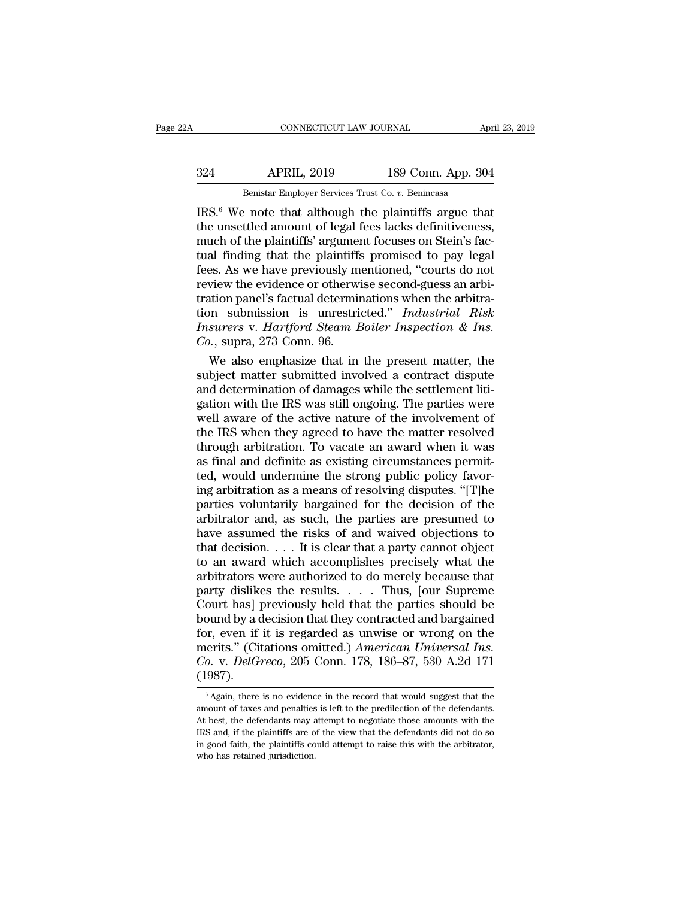### EXECUTE CONNECTICUT LAW JOURNAL April 23, 2019<br>324 APRIL, 2019 189 Conn. App. 304<br>Benistar Employer Services Trust Co. v. Benincasa CONNECTICUT LAW JOURNAL A<sub>I</sub><br>APRIL, 2019 189 Conn. App. 30<br>Benistar Employer Services Trust Co. *v.* Benincasa

CONNECTICUT LAW JOURNAL April 23, 2019<br>
324 APRIL, 2019 189 Conn. App. 304<br>
Benistar Employer Services Trust Co. v. Benincasa<br>
IRS.<sup>6</sup> We note that although the plaintiffs argue that<br>
the unsettled amount of legal fees lac 324 APRIL, 2019 189 Conn. App. 304<br>Benistar Employer Services Trust Co. v. Benincasa<br>IRS.<sup>6</sup> We note that although the plaintiffs argue that<br>the unsettled amount of legal fees lacks definitiveness,<br>much of the plaintiffs'  $\frac{\text{Benistar}_1}{\text{Benistar}_2}$  and  $\frac{\text{Benistar}_2}{\text{Benistar}_2}$  and  $\frac{\text{Benistar}_2}{\text{Benistar}_2}$  are  $\frac{\text{Benistar}_3}{\text{Ben勠}_3}$  are  $\frac{\text{Ben非}_3}{\text{Benith }2}$  and  $\frac{\text{Benistr}}{\text{Benith }2}$  argument focuses on Stein's factual finding that the plaintiffs' p  $\frac{324}{\text{Benistar Employee Services Trust Co. } v. \text{ Benincasa}}$ <br>
IRS.<sup>6</sup> We note that although the plaintiffs argue that<br>
the unsettled amount of legal fees lacks definitiveness,<br>
much of the plaintiffs' argument focuses on Stein's fac-<br>
tual finding that Ferita, 2019<br>
Benistar Employer Services Trust Co. v. Benincasa<br>
IRS.<sup>6</sup> We note that although the plaintiffs argue that<br>
the unsettled amount of legal fees lacks definitiveness,<br>
much of the plaintiffs' argument focuses o Benistar Employer Services Trust Co.  $v$ . Benincasa<br>IRS.<sup>6</sup> We note that although the plaintiffs argue that<br>the unsettled amount of legal fees lacks definitiveness,<br>much of the plaintiffs' argument focuses on Stein's fac-IRS.<sup>6</sup> We note that although the plaintiffs argue that<br>the unsettled amount of legal fees lacks definitiveness,<br>much of the plaintiffs' argument focuses on Stein's fac-<br>tual finding that the plaintiffs promised to pay le the unsettled amount of legal fees lacks definitiveness,<br>much of the plaintiffs' argument focuses on Stein's fac-<br>tual finding that the plaintiffs promised to pay legal<br>fees. As we have previously mentioned, "courts do not much of the plaintiffs' argument focuses on Stein's factual finding that the plaintiffs promised to pay legal fees. As we have previously mentioned, "courts do not review the evidence or otherwise second-guess an arbitrati tual finding that the plaintiffs<br>fees. As we have previously m<br>review the evidence or otherwi<br>tration panel's factual determin<br>tion submission is unrestric<br>*Insurers v. Hartford Steam E*<br>*Co.*, supra, 273 Conn. 96.<br>We also es. As we have previously mentioned, "courts do not<br>view the evidence or otherwise second-guess an arbi-<br>ation panel's factual determinations when the arbitra-<br>n submission is unrestricted." Industrial Risk<br>surers v. Hartf review the evidence or otherwise second-guess an arbi-<br>tration panel's factual determinations when the arbitra-<br>tion submission is unrestricted." Industrial Risk<br>Insurers v. Hartford Steam Boiler Inspection & Ins.<br>Co., sup

tration panel's factual determinations when the arbitration<br>tion submission is unrestricted." Industrial Risk<br>Insurers v. Hartford Steam Boiler Inspection & Ins.<br>Co., supra, 273 Conn. 96.<br>We also emphasize that in the pres tion submission is unrestricted." Industrial Risk<br>Insurers v. Hartford Steam Boiler Inspection & Ins.<br>Co., supra, 273 Conn. 96.<br>We also emphasize that in the present matter, the<br>subject matter submitted involved a contract Insurers v. Hartford Steam Boiler Inspection & Ins.<br>Co., supra, 273 Conn. 96.<br>We also emphasize that in the present matter, the<br>subject matter submitted involved a contract dispute<br>and determination of damages while the se  $Co$ , supra, 273 Conn. 96.<br>We also emphasize that in the present matter, the subject matter submitted involved a contract dispute and determination of damages while the settlement litigation with the IRS was still ongoing. We also emphasize that in the present matter, the<br>subject matter submitted involved a contract dispute<br>and determination of damages while the settlement liti-<br>gation with the IRS was still ongoing. The parties were<br>well aw subject matter submitted involved a contract dispute<br>and determination of damages while the settlement liti-<br>gation with the IRS was still ongoing. The parties were<br>well aware of the active nature of the involvement of<br>the and determination of damages while the settlement litigation with the IRS was still ongoing. The parties were<br>well aware of the active nature of the involvement of<br>the IRS when they agreed to have the matter resolved<br>throu gation with the IRS was still ongoing. The parties were<br>well aware of the active nature of the involvement of<br>the IRS when they agreed to have the matter resolved<br>through arbitration. To vacate an award when it was<br>as fina well aware of the active nature of the involvement of<br>the IRS when they agreed to have the matter resolved<br>through arbitration. To vacate an award when it was<br>as final and definite as existing circumstances permit-<br>ted, wo the IRS when they agreed to have the matter resolved<br>through arbitration. To vacate an award when it was<br>as final and definite as existing circumstances permit-<br>ted, would undermine the strong public policy favor-<br>ing arbi through arbitration. To vacate an award when it was<br>as final and definite as existing circumstances permit-<br>ted, would undermine the strong public policy favor-<br>ing arbitration as a means of resolving disputes. "[T]<br>he pa as final and definite as existing circumstances permitted, would undermine the strong public policy favoring arbitration as a means of resolving disputes. "[T]he parties voluntarily bargained for the decision of the arbitr ted, would undermine the strong public policy favoring arbitration as a means of resolving disputes. "[T]he parties voluntarily bargained for the decision of the arbitrator and, as such, the parties are presumed to have as ing arbitration as a means of resolving disputes. "[T]he<br>parties voluntarily bargained for the decision of the<br>arbitrator and, as such, the parties are presumed to<br>have assumed the risks of and waived objections to<br>that d parties voluntarily bargained for the decision of the arbitrator and, as such, the parties are presumed to have assumed the risks of and waived objections to that decision. . . . It is clear that a party cannot object to arbitrator and, as such, the parties are presumed to<br>have assumed the risks of and waived objections to<br>that decision.... It is clear that a party cannot object<br>to an award which accomplishes precisely what the<br>arbitrator have assumed the risks of and waived objections to<br>that decision.... It is clear that a party cannot object<br>to an award which accomplishes precisely what the<br>arbitrators were authorized to do merely because that<br>party dis that decision. . . . It is clear that a party cannot object<br>to an award which accomplishes precisely what the<br>arbitrators were authorized to do merely because that<br>party dislikes the results. . . . Thus, [our Supreme<br>Cour to an award which accomplishes precisely what the<br>arbitrators were authorized to do merely because that<br>party dislikes the results. . . . Thus, [our Supreme<br>Court has] previously held that the parties should be<br>bound by a arbitrators were authorized to do merely because that<br>party dislikes the results. . . . Thus, [our Supreme<br>Court has] previously held that the parties should be<br>bound by a decision that they contracted and bargained<br>for, e (1987). or, even if it is regarded as unwise or wrong on the erits." (Citations omitted.) *American Universal Ins.*<br>
6. v. *DelGreco*, 205 Conn. 178, 186–87, 530 A.2d 171<br>
<sup>6</sup> Again, there is no evidence in the record that would s merits." (Citations omitted.) *American Universal Ins.*<br>Co. v. *DelGreco*, 205 Conn. 178, 186–87, 530 A.2d 171<br>(1987).<br><sup>6</sup> Again, there is no evidence in the record that would suggest that the<br>amount of taxes and penalties

Co. v. DelGreco, 205 Conn. 178, 186–87, 530 A.2d 171 (1987).<br>  $\frac{4}{\sqrt{3}}$  (Again, there is no evidence in the record that would suggest that the amount of taxes and penalties is left to the predilection of the defendants (1987).<br>  $\begin{array}{l}\n\text{6.1:} \text{6.2:} \text{6.3:} \text{6.4:} \text{6.4:} \text{6.4:} \text{6.4:} \text{6.4:} \text{6.4:} \text{6.4:} \text{6.4:} \text{6.4:} \text{6.4:} \text{6.4:} \text{6.4:} \text{6.4:} \text{6.4:} \text{6.4:} \text{6.4:} \text{6.4:} \text{6.4:} \text{6.4:} \text{6.4:} \text{6.4:} \text{6.4:} \text{$ (1907).<br>  $\delta$  Again, there is no evidence in the record that would suggest that the amount of taxes and penalties is left to the predilection of the defendants.<br>
At best, the defendants may attempt to regotiate those amou  $\epsilon$  Again, there is no evidence amount of taxes and penalties At best, the defendants may  $\epsilon$  IRS and, if the plaintiffs are on good faith, the plaintiffs co who has retained jurisdiction.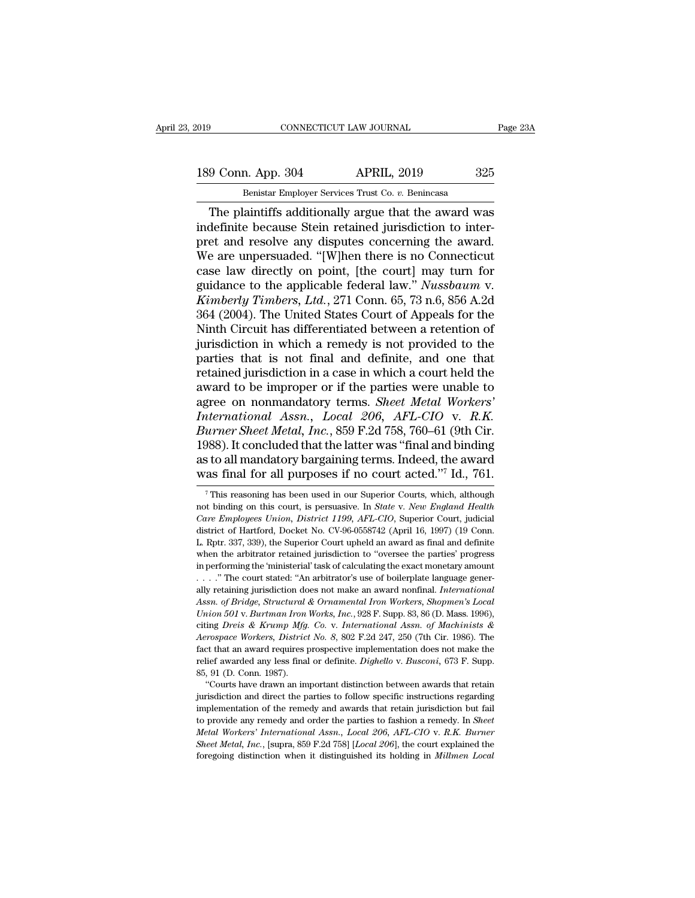189 Conn. App. 304 APRIL, 2019 235<br>Benistar Employer Services Trust Co. v. Benincasa

EXECUTE THE SOURNAL CONNECTICUT LAW JOURNAL 189 Conn. App. 304 APRIL, 2019 325<br>Benistar Employer Services Trust Co. *v.* Benincasa<br>The plaintiffs additionally argue that the award was Fage 23A<br>
9 Conn. App. 304 APRIL, 2019 325<br>
Benistar Employer Services Trust Co. v. Benincasa<br>
The plaintiffs additionally argue that the award was<br>
definite because Stein retained jurisdiction to inter-<br>
and resolve any d 189 Conn. App. 304 APRIL, 2019 325<br>
Benistar Employer Services Trust Co. v. Benincasa<br>
The plaintiffs additionally argue that the award was<br>
indefinite because Stein retained jurisdiction to inter-<br>
pret and resolve any di 189 Conn. App. 304 APRIL, 2019 325<br>
Benistar Employer Services Trust Co. v. Benincasa<br>
The plaintiffs additionally argue that the award was<br>
indefinite because Stein retained jurisdiction to inter-<br>
pret and resolve any di 189 Conn. App. 304 APRIL, 2019 325<br>
Benistar Employer Services Trust Co. v. Benincasa<br>
The plaintiffs additionally argue that the award was<br>
indefinite because Stein retained jurisdiction to inter-<br>
pret and resolve any di Benistar Employer Services Trust Co. v. Benincasa<br>
The plaintiffs additionally argue that the award was<br>
indefinite because Stein retained jurisdiction to inter-<br>
pret and resolve any disputes concerning the award.<br>
We ar Benistar Employer Services Trust Co. *v.* Benincasa<br>
The plaintiffs additionally argue that the award was<br>
indefinite because Stein retained jurisdiction to inter-<br>
pret and resolve any disputes concerning the award.<br>
We a The plaintiffs additionally argue that the award was<br>indefinite because Stein retained jurisdiction to inter-<br>pret and resolve any disputes concerning the award.<br>We are unpersuaded. "[W]hen there is no Connecticut<br>case law indefinite because Stein retained jurisdiction to inter-<br>pret and resolve any disputes concerning the award.<br>We are unpersuaded. "[W]hen there is no Connecticut<br>case law directly on point, [the court] may turn for<br>guidance pret and resolve any disputes concerning the award.<br>We are unpersuaded. "[W]hen there is no Connecticut<br>case law directly on point, [the court] may turn for<br>guidance to the applicable federal law." *Nussbaum* v.<br>*Kimberly* We are unpersuaded. "[W]hen there is no Connecticut<br>case law directly on point, [the court] may turn for<br>guidance to the applicable federal law." Nussbaum v.<br>Kimberly Timbers, Ltd., 271 Conn. 65, 73 n.6, 856 A.2d<br>364 (2004 case law directly on point, [the court] may turn for<br>guidance to the applicable federal law." Nussbaum v.<br>Kimberly Timbers, Ltd., 271 Conn. 65, 73 n.6, 856 A.2d<br>364 (2004). The United States Court of Appeals for the<br>Ninth guidance to the applicable federal law." Nussbaum v.<br>Kimberly Timbers, Ltd., 271 Conn. 65, 73 n.6, 856 A.2d<br>364 (2004). The United States Court of Appeals for the<br>Ninth Circuit has differentiated between a retention of<br>jur *Kimberly Timbers, Ltd.*, 271 Conn. 65, 73 n.6, 856 A.2d<br>364 (2004). The United States Court of Appeals for the<br>Ninth Circuit has differentiated between a retention of<br>jurisdiction in which a remedy is not provided to the 364 (2004). The United States Court of Appeals for the<br>Ninth Circuit has differentiated between a retention of<br>jurisdiction in which a remedy is not provided to the<br>parties that is not final and definite, and one that<br>reta *Ninth Circuit has differentiated between a retention of* jurisdiction in which a remedy is not provided to the parties that is not final and definite, and one that retained jurisdiction in a case in which a court held the jurisdiction in which a remedy is not provided to the parties that is not final and definite, and one that retained jurisdiction in a case in which a court held the award to be improper or if the parties were unable to agr parties that is not final and definite, and one that<br>retained jurisdiction in a case in which a court held the<br>award to be improper or if the parties were unable to<br>agree on nonmandatory terms. *Sheet Metal Workers'*<br>*Int* retained jurisdiction in a case in which a court held the<br>award to be improper or if the parties were unable to<br>agree on nonmandatory terms. *Sheet Metal Workers'*<br>*International Assn.*, *Local 206*, *AFL-CIO* v. *R.K.*<br>Bu award to be improper or if the parties were unable to<br>agree on nonmandatory terms. *Sheet Metal Workers'*<br>*International Assn., Local 206, AFL-CIO* v. *R.K.*<br>*Burner Sheet Metal, Inc.*, 859 F.2d 758, 760–61 (9th Cir.<br>1988) urner Sheet Metal, Inc., 859 F.2d 758, 760–61 (9th Cir.<br>988). It concluded that the latter was "final and binding<br>s to all mandatory bargaining terms. Indeed, the award<br>as final for all purposes if no court acted."<sup>7</sup> Id., 1988). It concluded that the latter was "final and binding<br>as to all mandatory bargaining terms. Indeed, the award<br>was final for all purposes if no court acted."<sup>7</sup> Id., 761.<br><sup>7</sup> This reasoning has been used in our Superio

as to all mandatory bargaining terms. Indeed, the award<br>was final for all purposes if no court acted."<sup>7</sup> Id., 761.<br><sup>7</sup> This reasoning has been used in our Superior Courts, which, although<br>not binding on this court, is per was final for all purposes if no court acted."<sup>7</sup> Id., 761.<br>
<sup>7</sup> This reasoning has been used in our Superior Courts, which, although<br>
not binding on this court, is persuasive. In *State v. New England Health*<br> *Care Empl* WAS IIIRI IOF AII purposes II NO COURT Acted. Id., 701.<br>
<sup>7</sup> This reasoning has been used in our Superior Courts, which, although<br>
not binding on this court, is persuasive. In *State v. New England Health*<br> *Care Employee* <sup>7</sup> This reasoning has been used in our Superior Courts, which, although not binding on this court, is persuasive. In *State v. New England Health Care Employees Union, District 1199, AFL-CIO*, Superior Court, judicial di not binding on this court, is persuasive. In *State v. New England Health* Care Employees Union, District 1199, AFL-CIO, Superior Court, judicial district of Hartford, Docket No. CV-96-0558742 (April 16, 1997) (19 Conn. L. *Care Employees Union, District 1199, AFL-CIO,* Superior Court, judicial<br>district of Hartford, Docket No. CV-96-0558742 (April 16, 1997) (19 Conn.<br>L. Rptr. 337, 339), the Superior Court upheld an award as final and definit district of Hartford, Docket No. CV-96-0558742 (April 16, 1997) (19 Conn.<br>L. Rptr. 337, 339), the Superior Court upheld an award as final and definite<br>when the arbitrator retained jurisdiction to "oversee the parties" prog *Assn.* of *Assn.* of *Assn.* of *Assn. Assn. Assn. Assn. Assn. Assn. Assn. Assn. Assn. Assn. Assn. Assn. Assn. Assn. Assn. Assn. Assn. Assn. Assn. Assn. Assn. Assn. Assn. Assn Union 501, Sootherman Iron Works, Inc.*, 928 F. Supp. 83, 86 (D. Mass. 1996), The court stated: "An arbitrator's use of boilerplate language generally retaining jurisdiction does not make an award nonfinal. *International* in performing the 'ministerial' task of calculating the exact monetary amount<br>
...." The court stated: "An arbitrator's use of boilerplate language generally retaining jurisdiction does not make an award nonfinal. *Interna Aerospace Workers, District No. 8*, 802 F.2d 247, 250 (7th Cir. 1986). The Fact that an award requires prospective implementation does not make an award nonfinal. *International* Assn. of Bridge, Structural & Ornamental Iron Workers, Shopmen's Local Union 501 v. Burtman Iron Works, Inc., 928 F. S relief awarded any less final or definite. *Dighello* v. *Busconic Christian* of *Bridge*, *Structural & Ornamental Iron Workers*, *Shopmen's Local Union 501 v. Burtman Iron Works*, *Inc.*, 928 F. Supp. 83, 86 (D. Mass. 19 Union 501 v. Burtman Iron<br>
citing Dreis & Krump Mfg.<br>
Aerospace Workers, District<br>
fact that an award requires prelief awarded any less final<br>
85, 91 (D. Conn. 1987).<br>
"Courts have drawn an im ing *Dreis* & Krump *Mfg.* Co. v. International Assn. of Machinists & errospace Workers, District No. 8, 802 F.2d 247, 250 (7th Cir. 1986). The et that an award requires prospective implementation does not make the lief a La and Merospace Workers, District No. 8, 802 F.2d 247, 250 (7th Cir. 1986). The fact that an award requires prospective implementation does not make the relief awarded any less final or definite. Dighello v. Busconi, 673

Fact that an award requires prospective implementation does not make the free relief awarded any less final or definite.  $Digitblock$   $Dischi$ ,  $673$  F. Supp. 85, 91 (D. Conn. 1987).<br>"Courts have drawn an important distinction betwee The remeasured any less final or definite. *Dighello* v. *Busconi*, 673 F. Supp.<br>
85, 91 (D. Conn. 1987).<br>
"Courts have drawn an important distinction between awards that retain<br>
jurisdiction and direct the parties to foll *Metal Workers' International Assn., Local 206, AFL-CIO v. R.K. Burner Sheet Metal, Inc.*, [supp., 85, 91 (D. Conn. 1987).<br>
"Courts have drawn an important distinction between awards that retain jurisdiction and direct the <sup>92</sup> Courts have drawn an important distinction between awards that retain jurisdiction and direct the parties to follow specific instructions regarding implementation of the remedy and awards that retain jurisdiction but foregoing distinction when it distinguished its holding in *Millmen Local*<br>foregoing implementation of the remedy and awards that retain jurisdiction but fail<br>to provide any remedy and order the parties to fashion a remedy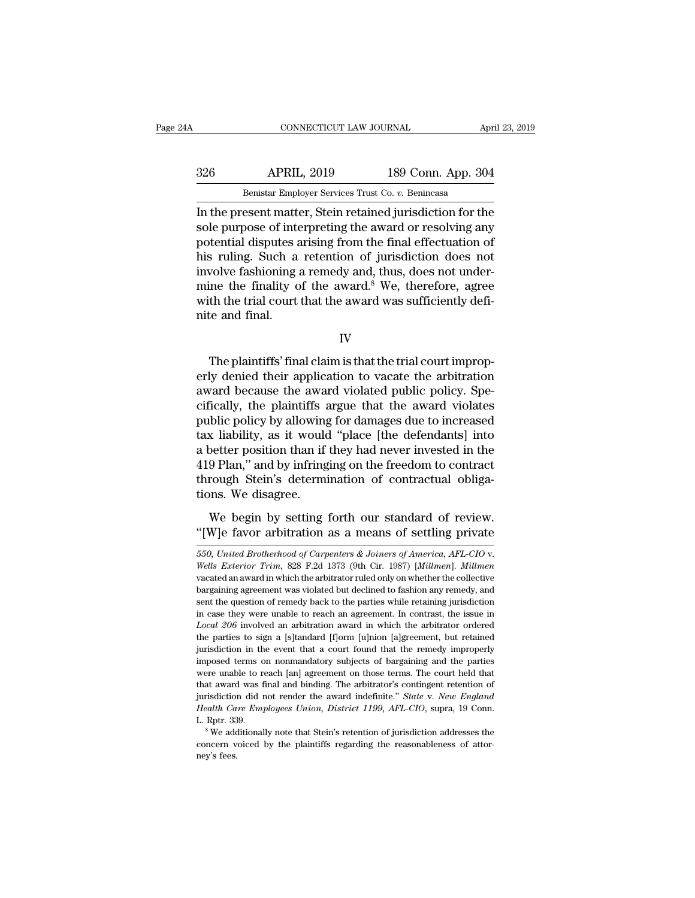EN CONNECTICUT LAW JOURNAL April 23, 2019<br>326 APRIL, 2019 189 Conn. App. 304<br>Benistar Employer Services Trust Co. v. Benincasa CONNECTICUT LAW JOURNAL April 23, 2019<br>Benistar Employer Services Trust Co. *v.* Benincasa<br>In the present matter, Stein retained jurisdiction for the

CONNECTICUT LAW JOURNAL April 23, 2019<br>
326 APRIL, 2019 189 Conn. App. 304<br>
Benistar Employer Services Trust Co. v. Benincasa<br>
In the present matter, Stein retained jurisdiction for the<br>
sole purpose of interpreting the aw Sole Mark 2019 189 Conn. App. 304<br>
Benistar Employer Services Trust Co. v. Benincasa<br>
In the present matter, Stein retained jurisdiction for the<br>
sole purpose of interpreting the award or resolving any<br>
potential disputes Benistar Employer Services Trust Co. v. Benincasa<br>
In the present matter, Stein retained jurisdiction for the<br>
sole purpose of interpreting the award or resolving any<br>
potential disputes arising from the final effectuation  $\frac{326}{Benistar Employer}$  Services Trust Co. v. Benincasa<br>In the present matter, Stein retained jurisdiction for the<br>sole purpose of interpreting the award or resolving any<br>potential disputes arising from the final effectuation Benistar Employer Services Trust Co. v. Benincasa<br>In the present matter, Stein retained jurisdiction for the<br>sole purpose of interpreting the award or resolving any<br>potential disputes arising from the final effectuation of Benistar Employer Services Trust Co.  $v$ . Benincasa<br>In the present matter, Stein retained jurisdiction for the<br>sole purpose of interpreting the award or resolving any<br>potential disputes arising from the final effectuation In the present matter, Stein retained jurisdiction for the sole purpose of interpreting the award or resolving any potential disputes arising from the final effectuation of his ruling. Such a retention of jurisdiction does sole purpose of inte<br>potential disputes a<br>his ruling. Such a<br>involve fashioning<br>mine the finality o<br>with the trial court<br>nite and final. volve fashioning a remedy and, thus, does not under-<br>ine the finality of the award.<sup>8</sup> We, therefore, agree<br>th the trial court that the award was sufficiently defi-<br>te and final.<br>IV<br>The plaintiffs' final claim is that the

IV

mine the finality of the award.<sup>8</sup> We, therefore, agree<br>with the trial court that the award was sufficiently defi-<br>nite and final.<br>IV<br>The plaintiffs' final claim is that the trial court improp-<br>erly denied their applicatio with the trial court that the award was sufficiently definite and final.<br>IV<br>IV<br>The plaintiffs' final claim is that the trial court improp-<br>erly denied their application to vacate the arbitration<br>award because the award vio IV<br>IV<br>The plaintiffs' final claim is that the trial court improp-<br>erly denied their application to vacate the arbitration<br>award because the award violated public policy. Spe-<br>cifically, the plaintiffs argue that the award IV<br>IV<br>The plaintiffs' final claim is that the trial court improp-<br>erly denied their application to vacate the arbitration<br>award because the award violated public policy. Spe-<br>cifically, the plaintiffs argue that the award The plaintiffs' final claim is that the trial court improp-<br>erly denied their application to vacate the arbitration<br>award because the award violated public policy. Spe-<br>cifically, the plaintiffs argue that the award violat The plaintiffs' final claim is that the trial court improperly denied their application to vacate the arbitration<br>award because the award violated public policy. Spe-<br>cifically, the plaintiffs argue that the award violates erly denied their application to vacate the arbitration<br>award because the award violated public policy. Spe-<br>cifically, the plaintiffs argue that the award violates<br>public policy by allowing for damages due to increased<br>ta award because the award violated public policy. Specifically, the plaintiffs argue that the award violates public policy by allowing for damages due to increased tax liability, as it would "place [the defendants] into a be cifically, the plaintiffs a<br>public policy by allowing<br>tax liability, as it would<br>a better position than if<br>419 Plan," and by infring<br>through Stein's determi<br>tions. We disagree.<br>We begin by setting We begin by setting for damages due to increased<br>a liability, as it would "place [the defendants] into<br>better position than if they had never invested in the<br>9 Plan," and by infringing on the freedom to contract<br>rough Stei a better position than if they had never invested in the 419 Plan," and by infringing on the freedom to contract through Stein's determination of contractual obligations. We disagree.<br>We begin by setting forth our standar

*<sup>550,</sup> United Brotherhood of Carpenters & Joiners of America, AFL-CIO v. <i>Wells Exterior Trim,* 828 F.2d 1373 (9th Cir. 1987) [*Millmen*]. *Millmen* vacated an award in which the arbitrator ruled only on whether the collect We begin by setting forth our standard of review.<br>
"[W]e favor arbitration as a means of settling private<br>  $\frac{550}{550}$ , United Brotherhood of Carpenters & Joiners of America, AFL-CIO v.<br>
Wells Exterior Trim, 828 F.2d 13 "[W]e favor arbitration as a means of settling private  $\frac{550}{550}$ , United Brotherhood of Carpenters & Joiners of America, AFL-CIO v. Wells Exterior Trim, 828 F.2d 1373 (9th Cir. 1987) [Millmen]. Millmen vacated an awar EVALUATE THE CONTROLLATION AS A THEATLE DISCUTE PHYATE 550, United Brotherhood of Carpenters & Joiners of America, AFL-CIO v.<br>Wells Exterior Trim, 828 F.2d 1373 (9th Cir. 1987) [Millmen]. Millmen<br>vacated an award in which 550, United Brotherhood of Carpenters & Joiners of America, AFL-CIO v.<br>Wells Exterior Trim, 828 F.2d 1373 (9th Cir. 1987) [Millmen]. Millmen<br>vacated an award in which the arbitrator ruled only on whether the collective<br>ba *Local 206* involved an arbitration award in which the arbitrator (*BST*) [*Millmen*]. *Millmen* vacated an award in which the arbitrator ruled only on whether the collective bargaining agreement was violated but declined wacated an award in which the arbitrator ruled only on whether the collective bargaining agreement was violated but declined to fashion any remedy, and sent the question of remedy back to the parties while retaining juris bargaining agreement was violated but declined to fashion any remedy, and sent the question of remedy back to the parties while retaining jurisdiction in case they were unable to reach an agreement. In contrast, the issue imposed terms of remedy back to the parties while retaining jurisdiction<br>in case they were unable to reach an agreement. In contrast, the issue in<br> $Local\ 206$  involved an arbitration award in which the arbitrator ordered<br>the in case they were unable to reach an agreement. In contrast, the issue in  $Local\ 206$  involved an arbitration award in which the arbitrator ordered the parties to sign a [s]tandard [f]orm [u]nion [a]greement, but retained ju Local 206 involved an arbitration award in which the arbitrator ordered the parties to sign a [s]tandard [f]orm [u]nion [a]greement, but retained jurisdiction in the event that a court found that the remedy improperly impo the parties to sign a [s]tandard [f]orm [u]nion [a]greement, but retained jurisdiction in the event that a court found that the remedy improperly imposed terms on nonmandatory subjects of bargaining and the parties were un jurisdiction in the event that a court found that the remedy improperly imposed terms on nonmandatory subjects of bargaining and the parties were unable to reach [an] agreement on those terms. The court held that that awar Imposed terms on nonmandatory subjects of bargaining and the parties<br>were unable to reach [an] agreement on those terms. The court held that<br>that award was final and binding. The arbitrator's contingent retention of<br>jurisd that award was final and binding. The arbitrator's contingent retention of jurisdiction did not render the award indefinite." State v. New England Health Care Employees Union, District 1199, AFL-CIO, supra, 19 Conn. L. Rp Health Care Employees Union, District 1199, AFL-CIO, supra, 19 Conn.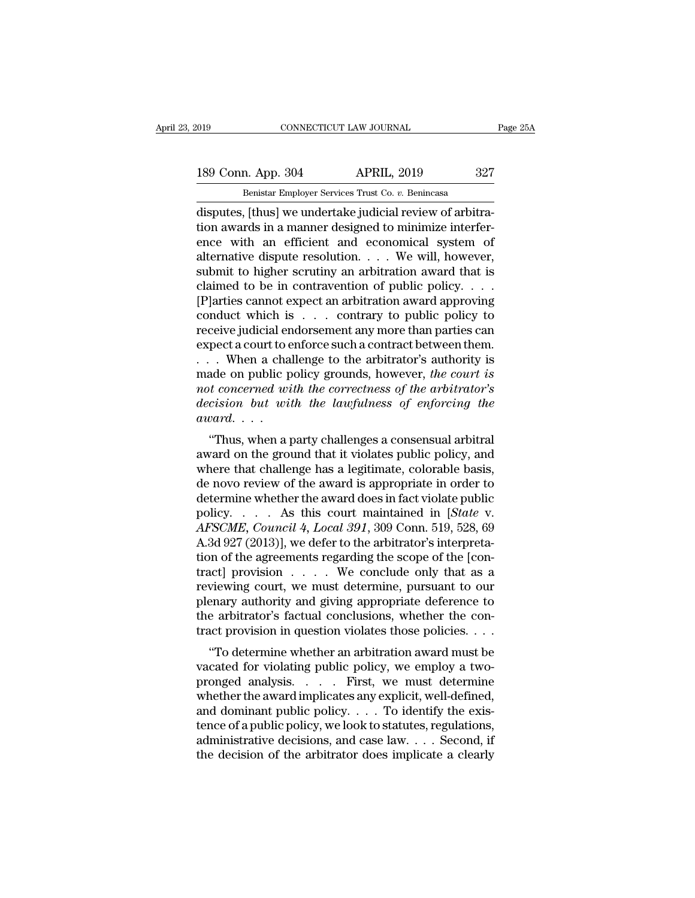# 189 Conn. App. 304 APRIL, 2019 25A<br>Benistar Employer Services Trust Co. v. Benincasa

EXECUTE 2019 CONNECTICUT LAW JOURNAL<br>
189 Conn. App. 304 APRIL, 2019 327<br>
Benistar Employer Services Trust Co. *v.* Benincasa<br>
disputes, [thus] we undertake judicial review of arbitraconnectricut LAW JOURNAL<br>
189 Conn. App. 304 APRIL, 2019 327<br>
Benistar Employer Services Trust Co. v. Benincasa<br>
disputes, [thus] we undertake judicial review of arbitra-<br>
tion awards in a manner designed to minimize inter 189 Conn. App. 304 APRIL, 2019 327<br>
Benistar Employer Services Trust Co. v. Benincasa<br>
disputes, [thus] we undertake judicial review of arbitra-<br>
tion awards in a manner designed to minimize interfer-<br>
ence with an efficie 189 Conn. App. 304 APRIL, 2019 327<br>
Benistar Employer Services Trust Co. v. Benincasa<br>
disputes, [thus] we undertake judicial review of arbitra-<br>
tion awards in a manner designed to minimize interfer-<br>
ence with an effici 189 Conn. App. 304 APRIL, 2019 327<br>
Benistar Employer Services Trust Co. v. Benincasa<br>
disputes, [thus] we undertake judicial review of arbitra-<br>
tion awards in a manner designed to minimize interfer-<br>
ence with an efficie Benistar Employer Services Trust Co. v. Benincasa<br>disputes, [thus] we undertake judicial review of arbitra-<br>tion awards in a manner designed to minimize interfer-<br>ence with an efficient and economical system of<br>alternativ Benistar Employer Services Trust Co.  $v$ . Benincasa<br>disputes, [thus] we undertake judicial review of arbitra-<br>tion awards in a manner designed to minimize interfer-<br>ence with an efficient and economical system of<br>alternat disputes, [thus] we undertake judicial review of arbitration awards in a manner designed to minimize interference with an efficient and economical system of alternative dispute resolution. . . . We will, however, submit to tion awards in a manner designed to minimize interfer-<br>ence with an efficient and economical system of<br>alternative dispute resolution.... We will, however,<br>submit to higher scrutiny an arbitration award that is<br>claimed to ence with an efficient and economical system of<br>alternative dispute resolution. . . . We will, however,<br>submit to higher scrutiny an arbitration award that is<br>claimed to be in contravention of public policy. . . .<br>[P]arti alternative dispute resolution. . . . We will, however,<br>submit to higher scrutiny an arbitration award that is<br>claimed to be in contravention of public policy. . . .<br>[P]arties cannot expect an arbitration award approving<br> submit to higher scrutiny an arbitration award that is<br>claimed to be in contravention of public policy. . . .<br>[P]arties cannot expect an arbitration award approving<br>conduct which is . . . contrary to public policy to<br>rece claimed to be in contravention of public policy.  $\dots$  [P] arties cannot expect an arbitration award approving<br>conduct which is  $\dots$  contrary to public policy to<br>receive judicial endorsement any more than parties can<br>expec [P]arties cannot expect an arbitration award approving<br>conduct which is . . . contrary to public policy to<br>receive judicial endorsement any more than parties can<br>expect a court to enforce such a contract between them.<br>. . *conduct which is* . . . contrary to public policy to receive judicial endorsement any more than parties can expect a court to enforce such a contract between them. . . . When a challenge to the arbitrator's authority is m receive judicial er<br>expect a court to  $\epsilon$ <br>. . . . When a cha<br>made on public p<br>*not concerned widecision but wi*<br>award. . . .<br>"Thus, when a j pect a court to emore such a contract between them.<br>
. When a challenge to the arbitrator's authority is<br>
ade on public policy grounds, however, the court is<br> *t concerned with the correctness of the arbitrator's*<br> *cision* and is a change to the arbitrator's authority is<br>made on public policy grounds, however, the court is<br>not concerned with the correctness of the arbitrator's<br>decision but with the lawfulness of enforcing the<br>award....<br>"Thu

made on public policy grounds, however, the coart is<br>not concerned with the correctness of the arbitrator's<br>decision but with the lawfulness of enforcing the<br>award....<br>"Thus, when a party challenges a consensual arbitral<br> not concerned with the correctness of the drottrator's<br>decision but with the lawfulness of enforcing the<br>award....<br>"Thus, when a party challenges a consensual arbitral<br>award on the ground that it violates public policy, a determine when a party challenges a consensual arbitral<br>award....<br>"Thus, when a party challenges a consensual arbitral<br>award on the ground that it violates public policy, and<br>where that challenge has a legitimate, colorab "Thus, when a party challenges a consensual arbitral<br>award on the ground that it violates public policy, and<br>where that challenge has a legitimate, colorable basis,<br>de novo review of the award is appropriate in order to<br>de "Thus, when a party challenges a consensual arbitral<br>award on the ground that it violates public policy, and<br>where that challenge has a legitimate, colorable basis,<br>de novo review of the award is appropriate in order to<br>de award on the ground that it violates public policy, and<br>where that challenge has a legitimate, colorable basis,<br>de novo review of the award is appropriate in order to<br>determine whether the award does in fact violate publi where that challenge has a legitimate, colorable basis,<br>de novo review of the award is appropriate in order to<br>determine whether the award does in fact violate public<br>policy..... As this court maintained in [*State v.*<br> $AF$ de novo review of the award is appropriate in order to<br>determine whether the award does in fact violate public<br>policy..... As this court maintained in [*State* v.<br> $AFSCME$ ,  $Council$  4,  $Local$  391, 309 Conn. 519, 528, 69<br>A.3d 927 ( determine whether the award does in fact violate public<br>policy..... As this court maintained in [*State* v.<br>AFSCME, Council 4, Local 391, 309 Conn. 519, 528, 69<br>A.3d 927 (2013)], we defer to the arbitrator's interpreta-<br>t policy.... As this court maintained in [*State v.*<br>AFSCME, Council 4, Local 391, 309 Conn. 519, 528, 69<br>A.3d 927 (2013)], we defer to the arbitrator's interpreta-<br>tion of the agreements regarding the scope of the [con-<br>tr AFSCME, Council 4, Local 391, 309 Conn. 519, 528, 69<br>A.3d 927 (2013)], we defer to the arbitrator's interpreta-<br>tion of the agreements regarding the scope of the [con-<br>tract] provision . . . . . We conclude only that as a A.3d 927 (2013)], we defer to the arbitrator's interpretation of the agreements regarding the scope of the [contract] provision  $\dots$ . We conclude only that as a reviewing court, we must determine, pursuant to our plenary The of the agreements regarding the scope of the [con-<br>
act] provision  $\dots$  . We conclude only that as a<br>
viewing court, we must determine, pursuant to our<br>
enary authority and giving appropriate deference to<br>
e arbitrato ract] provision  $\ldots$  we conclude only that as a<br>reviewing court, we must determine, pursuant to our<br>plenary authority and giving appropriate deference to<br>the arbitrator's factual conclusions, whether the con-<br>tract provi

pronged analysis. . . . First, we must determine plenary authority and giving appropriate deference to<br>the arbitrator's factual conclusions, whether the con-<br>tract provision in question violates those policies. . . .<br>"To determine whether an arbitration award must be<br>vac the and domination statuar conclusions, whener the contract provision in question violates those policies. . . .<br>"To determine whether an arbitration award must be vacated for violating public policy, we employ a two-<br>pron The determine whether an arbitration award must be vacated for violating public policy, we employ a two-<br>pronged analysis. . . . . First, we must determine whether the award implicates any explicit, well-defined,<br>and domi "To determine whether an arbitration award must be vacated for violating public policy, we employ a two-<br>pronged analysis. . . . . First, we must determine whether the award implicates any explicit, well-defined,<br>and domi vacated for violating public policy, we employ a two-<br>pronged analysis. . . . . First, we must determine<br>whether the award implicates any explicit, well-defined,<br>and dominant public policy. . . . To identify the exis-<br>ten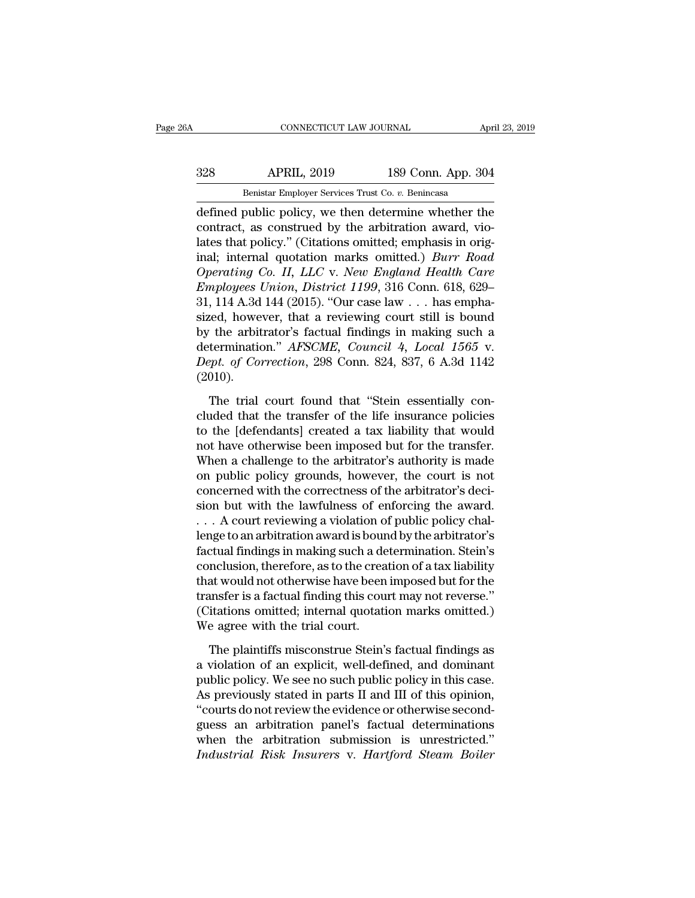## EXECUTE CONNECTICUT LAW JOURNAL April 23, 2019<br>328 APRIL, 2019 189 Conn. App. 304<br>Benistar Employer Services Trust Co. v. Benincasa CONNECTICUT LAW JOURNAL April 23, 2019<br>Benistar Employer Services Trust Co. *v.* Benincasa<br>defined public policy, we then determine whether the

CONNECTICUT LAW JOURNAL April 23, 2019<br>
328 APRIL, 2019 189 Conn. App. 304<br>
Benistar Employer Services Trust Co. v. Benincasa<br>
defined public policy, we then determine whether the<br>
contract, as construed by the arbitration Samman Hall, 2019 189 Conn. App. 304<br>
Benistar Employer Services Trust Co. v. Benincasa<br>
defined public policy, we then determine whether the<br>
contract, as construed by the arbitration award, vio-<br>
lates that policy." (Cit  $\begin{tabular}{ll} \multicolumn{1}{l}{{\bf 328}} & {\bf APRIL, 2019} & {\bf 189 Conn. App. 304} \\ \hline \multicolumn{1}{l}{\bf 189} Conn. App. 304 \\ \hline \end{tabular}$  defined public policy, we then determine whether the contract, as construed by the arbitration award, violates that policy." (C **Example 189 Conn. App. 304**<br> **Example 189 Conn. App. 304**<br> **Example 189 Conn. App. 304**<br> **Example 189 Conn. App. 304**<br> **Example 189 Conn. App. 304**<br> **Example:** policy, we then determine whether the<br>
contract, as construed *Denistar Employer Services Trust Co. v. Benincasa*<br> *Operation* defined public policy, we then determine whether the<br>
contract, as construed by the arbitration award, vio-<br>
lates that policy." (Citations omitted; emphasis *Emistar Employer Services Trust Co. v. Benincasa*<br> *defined public policy, we then determine whether the*<br>
contract, as construed by the arbitration award, vio-<br>
lates that policy." (Citations omitted; emphasis in origina defined public policy, we then determine whether the contract, as construed by the arbitration award, violates that policy." (Citations omitted; emphasis in original; internal quotation marks omitted.) *Burr Road Operating* contract, as construed by the arbitration award, vio-<br>lates that policy." (Citations omitted; emphasis in original; internal quotation marks omitted.) *Burr Road*<br>*Operating Co. II, LLC v. New England Health Care*<br>*Employ* lates that policy." (Citations omitted; emphasis in original; internal quotation marks omitted.) *Burr Road* Operating Co. II, LLC v. New England Health Care Employees Union, District 1199, 316 Conn. 618, 629–31, 114 A.3d inal; internal quotation marks omitted.) *Burr Road*<br>Operating Co. II, LLC v. New England Health Care<br>Employees Union, District 1199, 316 Conn. 618, 629–<br>31, 114 A.3d 144 (2015). "Our case law . . . has empha-<br>sized, howev *Operating Co. II, LLC v. New England Health Care Employees Union, District 1199, 316 Conn. 618, 629–31, 114 A.3d 144 (2015). "Our case law ... has emphasized, however, that a reviewing court still is bound by the arbitrat* (2010). red, however, that a reviewing court still is bound<br>the arbitrator's factual findings in making such a<br>termination." *AFSCME*, *Council 4*, *Local 1565* v.<br>ppt. of *Correction*, 298 Conn. 824, 837, 6 A.3d 1142<br>010).<br>The tr by the arbitrator's factual findings in making such a<br>determination." *AFSCME*, *Council* 4, *Local* 1565 v.<br>*Dept. of Correction*, 298 Conn. 824, 837, 6 A.3d 1142<br>(2010).<br>The trial court found that "Stein essentially con-

determination." *AFSCME*, *Council 4*, *Local 1565* v.<br> *Dept. of Correction*, 298 Conn. 824, 837, 6 A.3d 1142<br>
(2010).<br>
The trial court found that "Stein essentially con-<br>
cluded that the transfer of the life insurance po Dept. of Correction, 298 Conn. 824, 837, 6 A.3d 1142<br>(2010).<br>The trial court found that "Stein essentially con-<br>cluded that the transfer of the life insurance policies<br>to the [defendants] created a tax liability that would (2010).<br>The trial court found that "Stein essentially concluded that the transfer of the life insurance policies<br>to the [defendants] created a tax liability that would<br>not have otherwise been imposed but for the transfer. The trial court found that "Stein essentially con-<br>cluded that the transfer of the life insurance policies<br>to the [defendants] created a tax liability that would<br>not have otherwise been imposed but for the transfer.<br>When a The trial court found that "Stein essentially concluded that the transfer of the life insurance policies<br>to the [defendants] created a tax liability that would<br>not have otherwise been imposed but for the transfer.<br>When a c cluded that the transfer of the life insurance policies<br>to the [defendants] created a tax liability that would<br>not have otherwise been imposed but for the transfer.<br>When a challenge to the arbitrator's authority is made<br>on to the [defendants] created a tax liability that would<br>not have otherwise been imposed but for the transfer.<br>When a challenge to the arbitrator's authority is made<br>on public policy grounds, however, the court is not<br>concer not have otherwise been imposed but for the transfer.<br>When a challenge to the arbitrator's authority is made<br>on public policy grounds, however, the court is not<br>concerned with the correctness of the arbitrator's deci-<br>sion When a challenge to the arbitrator's authority is made<br>on public policy grounds, however, the court is not<br>concerned with the correctness of the arbitrator's deci-<br>sion but with the lawfulness of enforcing the award.<br>. . . on public policy grounds, however, the court is not concerned with the correctness of the arbitrator's decision but with the lawfulness of enforcing the award.<br>  $\ldots$  A court reviewing a violation of public policy challen concerned with the correctness of the arbitrator's decision but with the lawfulness of enforcing the award.<br>  $\ldots$  A court reviewing a violation of public policy challenge to an arbitration award is bound by the arbitrato sion but with the lawfulness of enforcing the award.<br>  $\ldots$  A court reviewing a violation of public policy chal-<br>
lenge to an arbitration award is bound by the arbitrator's<br>
factual findings in making such a determination ... A court reviewing a violation of public policy challenge to an arbitration award is bound by the arbitrator's factual findings in making such a determination. Stein's conclusion, therefore, as to the creation of a tax lenge to an arbitration award is bour<br>factual findings in making such a de<br>conclusion, therefore, as to the crea<br>that would not otherwise have been<br>transfer is a factual finding this cou<br>(Citations omitted; internal quotat nclusion, therefore, as to the creation of a tax liability<br>at would not otherwise have been imposed but for the<br>ansfer is a factual finding this court may not reverse."<br>itations omitted; internal quotation marks omitted.)<br> that would not otherwise have been imposed but for the<br>transfer is a factual finding this court may not reverse."<br>(Citations omitted; internal quotation marks omitted.)<br>We agree with the trial court.<br>The plaintiffs miscons

transfer is a factual finding this court may not reverse."<br>(Citations omitted; internal quotation marks omitted.)<br>We agree with the trial court.<br>The plaintiffs misconstrue Stein's factual findings as<br>a violation of an expl (Citations omitted; internal quotation marks omitted.)<br>We agree with the trial court.<br>The plaintiffs misconstrue Stein's factual findings as<br>a violation of an explicit, well-defined, and dominant<br>public policy. We see no s We agree with the trial court.<br>
The plaintiffs misconstrue Stein's factual findings as<br>
a violation of an explicit, well-defined, and dominant<br>
public policy. We see no such public policy in this case.<br>
As previously state The plaintiffs misconstrue Stein's factual findings as<br>a violation of an explicit, well-defined, and dominant<br>public policy. We see no such public policy in this case.<br>As previously stated in parts II and III of this opini The plaintiffs misconstrue Stein's factual findings as<br>a violation of an explicit, well-defined, and dominant<br>public policy. We see no such public policy in this case.<br>As previously stated in parts II and III of this opini a violation of an explicit, well-defined, and dominant<br>public policy. We see no such public policy in this case.<br>As previously stated in parts II and III of this opinion,<br>"courts do not review the evidence or otherwise sec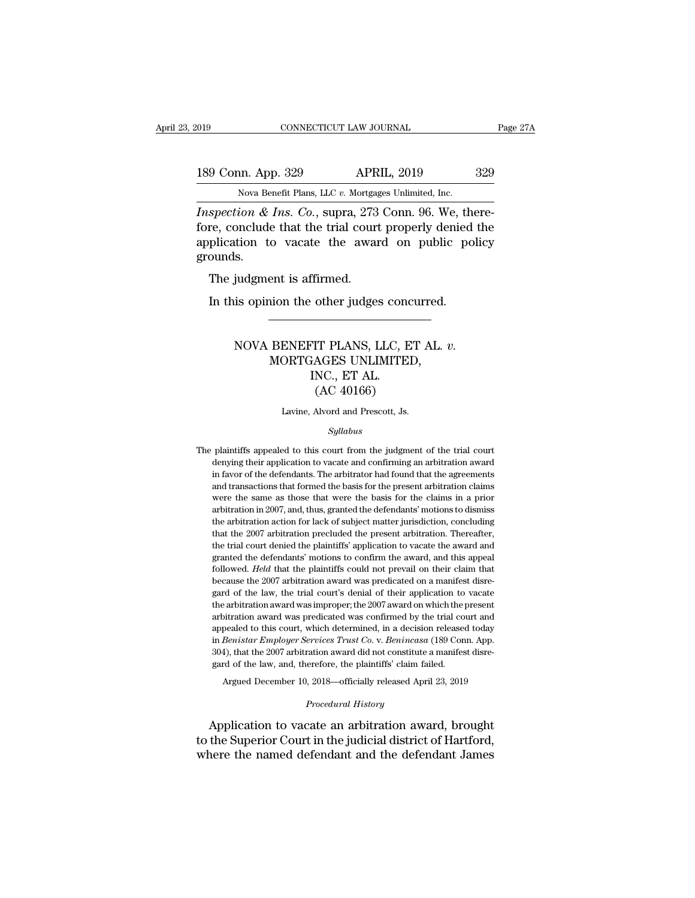Eq. 189 Conn. App. 329 APRIL, 2019 329<br>Nova Benefit Plans, LLC *v.* Mortgages Unlimited, Inc.<br>*Inspection & Ins. Co.*, supra, 273 Conn. 96. We, there-*IS9* Conn. App. 329 *APRIL, 2019* 329<br> *IS9* Conn. App. 329 *APRIL, 2019* 329<br> *Nova Benefit Plans, LLC v. Mortgages Unlimited, Inc.*<br> *Inspection & Ins. Co.*, supra, 273 Conn. 96. We, there-<br>
fore, conclude that the tria 189 Conn. App. 329 APRIL, 2019 329<br>Nova Benefit Plans, LLC v. Mortgages Unlimited, Inc.<br>Inspection & Ins. Co., supra, 273 Conn. 96. We, there-<br>fore, conclude that the trial court properly denied the<br>application to vacate t 189 Conn. App. 329 APRIL, 2019 329<br>Nova Benefit Plans, LLC v. Mortgages Unlimited, Inc.<br>*Inspection & Ins. Co.*, supra, 273 Conn. 96. We, there-<br>fore, conclude that the trial court properly denied the<br>application to vacat grounds. Nova Benefit Plans, LLC v. Mortgag<br>spection & Ins. Co., supra, 273<br>re, conclude that the trial court<br>plication to vacate the awar<br>ounds.<br>The judgment is affirmed.<br>In this opinion the other judge: spection & Ins. Co., supra, 273 Conn. 96. We, then the conclude that the trial court properly denied plication to vacate the award on public popularity.<br>The judgment is affirmed.<br>In this opinion the other judges concurred

### NOVA BENEFIT PLANS, LLC, ET AL. *v.* ent is affirmed.<br>
ion the other judges concurred.<br>
BENEFIT PLANS, LLC, ET AL.<br>
MORTGAGES UNLIMITED,<br>
INC., ET AL.<br>
(AC 40166) THET PLANS, LLC, IT PLANS, LLC, IT AL.<br>FAGES UNLIMITE<br>INC., ET AL.<br>(AC 40166) other judges concu<br>
IT PLANS, LLC, ET<br>
AGES UNLIMITED,<br>
NC., ET AL.<br>
(AC 40166)<br>
Alvord and Prescott, Js. NOVA BENEFIT PLANS, LLC, ET AL. *v.*<br>MORTGAGES UNLIMITED,<br>INC., ET AL.<br>(AC 40166)<br>Lavine, Alvord and Prescott, Js.

### *Syllabus*

 $(AC 40166)$ <br>Lavine, Alvord and Prescott, Js.<br> $Syllabus$ <br>The plaintiffs appealed to this court from the judgment of the trial court denying their application to vacate and confirming an arbitration award Lavine, Alvord and Prescott, Js.<br>
Syllabus<br>
plaintiffs appealed to this court from the judgment of the trial court<br>
denying their application to vacate and confirming an arbitration award<br>
in favor of the defendants. The a in favore and Prescott, Js.<br>Syllabus<br>plaintiffs appealed to this court from the judgment of the trial court<br>denying their application to vacate and confirming an arbitration award<br>in favor of the defendants. The arbitrator Syllabus<br>
plaintiffs appealed to this court from the judgment of the trial court<br>
denying their application to vacate and confirming an arbitration award<br>
in favor of the defendants. The arbitrator had found that the agree *Syllabus*<br>plaintiffs appealed to this court from the judgment of the trial court<br>denying their application to vacate and confirming an arbitration award<br>in favor of the defendants. The arbitrator had found that the agreem plaintiffs appealed to this court from the judgment of the trial court<br>denying their application to vacate and confirming an arbitration award<br>in favor of the defendants. The arbitrator had found that the agreements<br>and tr Framing their application to vacate and confirming an arbitration award<br>in favor of the defendants. The arbitrator had found that the agreements<br>and transactions that formed the basis for the present arbitration claims<br>wer araly super arbitration for the defendants. The arbitrator had found that the agreements and transactions that formed the basis for the present arbitration claims were the same as those that were the basis for the claims i and transactions that formed the basis for the present arbitration claims<br>were the same as those that were the basis for the claims in a prior<br>arbitration in 2007, and, thus, granted the defendants' motions to dismiss<br>the were the same as those that were the basis for the claims in a prior<br>arbitration in 2007, and, thus, granted the defendants' motions to dismiss<br>the arbitration action for lack of subject matter jurisdiction, concluding<br>tha arbitration in 2007, and, thus, granted the defendants' motions to dismiss<br>the arbitration action for lack of subject matter jurisdiction, concluding<br>that the 2007 arbitration precluded the present arbitration. Thereafter, the arbitration action for lack of subject matter jurisdiction, concluding that the 2007 arbitration precluded the present arbitration. Thereafter, the trial court denied the plaintiffs' application to vacate the award an that the 2007 arbitration precluded the present arbitration. Thereafter, that the 2007 arbitration precluded the present arbitration. Thereafter, the trial court denied the plaintiffs' application to vacate the award and g the trial court denied the plaintiffs' application to vacate the award and granted the defendants' motions to confirm the award, and this appeal followed. *Held* that the plaintiffs could not prevail on their claim that be granted the defendants' motions to confirm the award, and this appeal<br>followed. *Held* that the plaintiffs could not prevail on their claim that<br>because the 2007 arbitration award was predicated on a manifest disre-<br>gard o followed. Held that the plaintiffs could not prevail on their claim that because the 2007 arbitration award was predicated on a manifest disregard of the law, the trial court's denial of their application to vacate the arb because the 2007 arbitration award was predicated on a manifest disregard of the law, the trial court's denial of their application to vacate the arbitration award was improper; the 2007 award on which the present arbitrat gard of the law, the trial court's denial of their application to vacate<br>the arbitration award was improper; the 2007 award on which the present<br>arbitration award was predicated was confirmed by the trial court and<br>appeal the arbitration award was improper; the 2007 award on which the present arbitration award was predicated was confirmed by the trial court and appealed to this court, which determined, in a decision released today in *Beni* itration award was predicated was confirmed by the trial court and pealed to this court, which determined, in a decision released today *Benistar Employer Services Trust Co. v. Benincasa* (189 Conn. App. 4), that the 2007 in *Benistar Employer Services Trust Co.* v. *Benincasa* (189 Conn. App. 304), that the 2007 arbitration award did not constitute a manifest disregard of the law, and, therefore, the plaintiffs' claim failed.<br>Argued Decemb in *Benistar Employer Services Trust Co.* v. *Benincasa* (189 Conn. App. 304), that the 2007 arbitration award did not constitute a manifest disregard of the law, and, therefore, the plaintiffs' claim failed.<br>Argued Decemb

204), that the 2007 arbitration award did not constitute a manifest disregard of the law, and, therefore, the plaintiffs' claim failed.<br>Argued December 10, 2018—officially released April 23, 2019<br>*Procedural History*<br>Appli gard of the law, and, therefore, the plaintiffs' claim failed.<br>Argued December 10, 2018—officially released April 23, 2019<br>*Procedural History*<br>Application to vacate an arbitration award, brought<br>to the Superior Court in t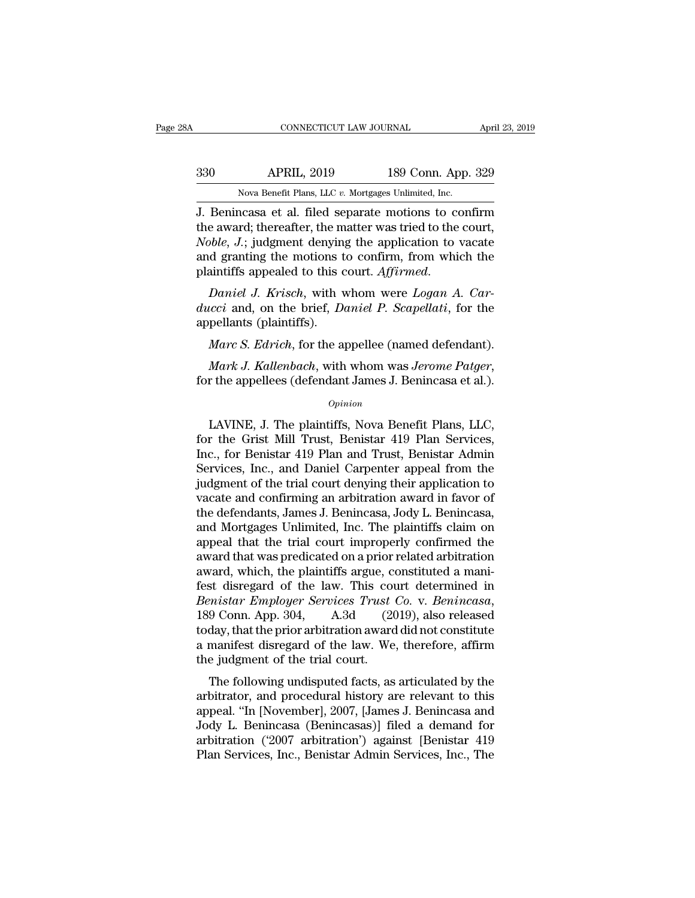| ЗA  | CONNECTICUT LAW JOURNAL                                 |                    | April 23, 2019 |
|-----|---------------------------------------------------------|--------------------|----------------|
| 330 | <b>APRIL, 2019</b>                                      | 189 Conn. App. 329 |                |
|     | Nova Benefit Plans, LLC $v$ . Mortgages Unlimited, Inc. |                    |                |
|     | I Benincasa et al filed senarate motions to confirm     |                    |                |

CONNECTICUT LAW JOURNAL April 23, 2019<br>
330 APRIL, 2019 189 Conn. App. 329<br>
Nova Benefit Plans, LLC v. Mortgages Unlimited, Inc.<br>
J. Benincasa et al. filed separate motions to confirm<br>
the award; thereafter, the matter was 189 Conn. App. 329<br>
Nova Benefit Plans, LLC v. Mortgages Unlimited, Inc.<br>
1. Benincasa et al. filed separate motions to confirm<br>
the award; thereafter, the matter was tried to the court,<br>
Noble, J.; judgment denying the ap *Nova Benefit Plans, LLC v. Mortgages Unlimited, Inc.*<br>*J.* Benincasa et al. filed separate motions to confirm<br>the award; thereafter, the matter was tried to the court,<br>*Noble, J.*; judgment denying the application to vaca  $\frac{330}{189}$  APRIL, 2019 189 Conn. App. 329<br>
Nova Benefit Plans, LLC v. Mortgages Unlimited, Inc.<br>
J. Benincasa et al. filed separate motions to confirm<br>
the award; thereafter, the matter was tried to the court,<br>
Noble, Nova Benefit Plans, LLC v. Mortgages Unlimited, Inc.<br> **J.** Benincasa et al. filed separate motions to confirm<br>
the award; thereafter, the matter was tried to the court,<br> *Noble*, *J*.; judgment denying the application to v *duccions* and *duccions* are all the award; thereafter, the matter was tried to the court, *Noble, J.*; judgment denying the application to vacate and granting the motions to confirm, from which the plaintiffs appealed to Figure award, thereater, the mobile, J.; judgment denying<br>and granting the motions to<br>plaintiffs appealed to this contained by Daniel J. Krisch, with v<br>ducci and, on the brief, Dappellants (plaintiffs).<br>Marc S. Edrich, for

*d* granting the motions to confirm, from which the<br>aintiffs appealed to this court. *Affirmed.*<br>*Daniel J. Krisch*, with whom were *Logan A. Car-*<br>*ccci* and, on the brief, *Daniel P. Scapellati*, for the<br>pellants (plaint *Mark J. Krisch*, with whom were *Logan A. Carducci* and, on the brief, *Daniel P. Scapellati*, for the appellants (plaintiffs).<br> *Marc S. Edrich*, for the appellee (named defendant).<br> *Mark J. Kallenbach*, with whom was

*Opinion*

Marc S. Edrich, for the appellee (named defendant).<br>
Mark J. Kallenbach, with whom was Jerome Patger,<br>
r the appellees (defendant James J. Benincasa et al.).<br>
Opinion<br>
LAVINE, J. The plaintiffs, Nova Benefit Plans, LLC,<br>
r *Mark J. Kallenbach*, with whom was *Jerome Patger*,<br>for the appellees (defendant James J. Benincasa et al.).<br>*Opinion*<br>LAVINE, J. The plaintiffs, Nova Benefit Plans, LLC,<br>for the Grist Mill Trust, Benistar 419 Plan Servic Mark J. Kallenbach, with whom was Jerome Patger,<br>for the appellees (defendant James J. Benincasa et al.).<br> $opinion$ <br>LAVINE, J. The plaintiffs, Nova Benefit Plans, LLC,<br>for the Grist Mill Trust, Benistar 419 Plan Services,<br>Inc., for the appellees (defendant James J. Benincasa et al.).<br>
opinion<br>
LAVINE, J. The plaintiffs, Nova Benefit Plans, LLC,<br>
for the Grist Mill Trust, Benistar 419 Plan Services,<br>
Inc., for Benistar 419 Plan and Trust, Benistar opinion<br>
LAVINE, J. The plaintiffs, Nova Benefit Plans, LLC,<br>
for the Grist Mill Trust, Benistar 419 Plan Services,<br>
Inc., for Benistar 419 Plan and Trust, Benistar Admin<br>
Services, Inc., and Daniel Carpenter appeal from t UAVINE, J. The plaintiffs, Nova Benefit Plans, LLC,<br>for the Grist Mill Trust, Benistar 419 Plan Services,<br>Inc., for Benistar 419 Plan and Trust, Benistar Admin<br>Services, Inc., and Daniel Carpenter appeal from the<br>judgment LAVINE, J. The plaintiffs, Nova Benefit Plans, LLC,<br>for the Grist Mill Trust, Benistar 419 Plan Services,<br>Inc., for Benistar 419 Plan and Trust, Benistar Admin<br>Services, Inc., and Daniel Carpenter appeal from the<br>judgment for the Grist Mill Trust, Benistar 419 Plan Services,<br>Inc., for Benistar 419 Plan and Trust, Benistar Admin<br>Services, Inc., and Daniel Carpenter appeal from the<br>judgment of the trial court denying their application to<br>vaca Inc., for Benistar 419 Plan and Trust, Benistar Admin<br>Services, Inc., and Daniel Carpenter appeal from the<br>judgment of the trial court denying their application to<br>vacate and confirming an arbitration award in favor of<br>the Services, Inc., and Daniel Carpenter appeal from the<br>judgment of the trial court denying their application to<br>vacate and confirming an arbitration award in favor of<br>the defendants, James J. Benincasa, Jody L. Benincasa,<br>an judgment of the trial court denying their application to vacate and confirming an arbitration award in favor of the defendants, James J. Benincasa, Jody L. Benincasa, and Mortgages Unlimited, Inc. The plaintiffs claim on a vacate and confirming an arbitration award in favor of<br>the defendants, James J. Benincasa, Jody L. Benincasa,<br>and Mortgages Unlimited, Inc. The plaintiffs claim on<br>appeal that the trial court improperly confirmed the<br>awar the defendants, James J. Benincasa, Jody L. Benincasa,<br>and Mortgages Unlimited, Inc. The plaintiffs claim on<br>appeal that the trial court improperly confirmed the<br>award that was predicated on a prior related arbitration<br>awa appeal that the trial court improperly confirmed the<br>award that was predicated on a prior related arbitration<br>award, which, the plaintiffs argue, constituted a mani-<br>fest disregard of the law. This court determined in<br>*Ben* award that was predicated on a prior related arbitration<br>award, which, the plaintiffs argue, constituted a mani-<br>fest disregard of the law. This court determined in<br>*Benistar Employer Services Trust Co.* v. *Benincasa*,<br>18 award, which, the plaintiffs argue, completed the trial content of the law. This court of the trial court.<br>
Benistar Employer Services Trust 189 Conn. App. 304, A.3d (20 today, that the prior arbitration award a manifest d of ustegard of the faw. This court determined in<br>mistar Employer Services Trust Co. v. Benincasa,<br>9 Conn. App. 304, A.3d (2019), also released<br>day, that the prior arbitration award did not constitute<br>manifest disregard of Bentstar Emptoger Services Trust Co. v. Benthcasa,<br>189 Conn. App. 304, A.3d (2019), also released<br>today, that the prior arbitration award did not constitute<br>a manifest disregard of the law. We, therefore, affirm<br>the judgme

Foat Collin, App. 304, A.50 (2013), also released<br>today, that the prior arbitration award did not constitute<br>a manifest disregard of the law. We, therefore, affirm<br>the judgment of the trial court.<br>The following undisputed boday, that the prior arbitration award did not constitute<br>a manifest disregard of the law. We, therefore, affirm<br>the judgment of the trial court.<br>The following undisputed facts, as articulated by the<br>arbitrator, and proce a mannest ustegard of the faw. we, therefore, and the judgment of the trial court.<br>The following undisputed facts, as articulated by the arbitrator, and procedural history are relevant to this<br>appeal. "In [November], 2007, The following undisputed facts, as articulated by the arbitrator, and procedural history are relevant to this appeal. "In [November], 2007, [James J. Benincasa and Jody L. Benincasa (Benincasas)] filed a demand for arbitra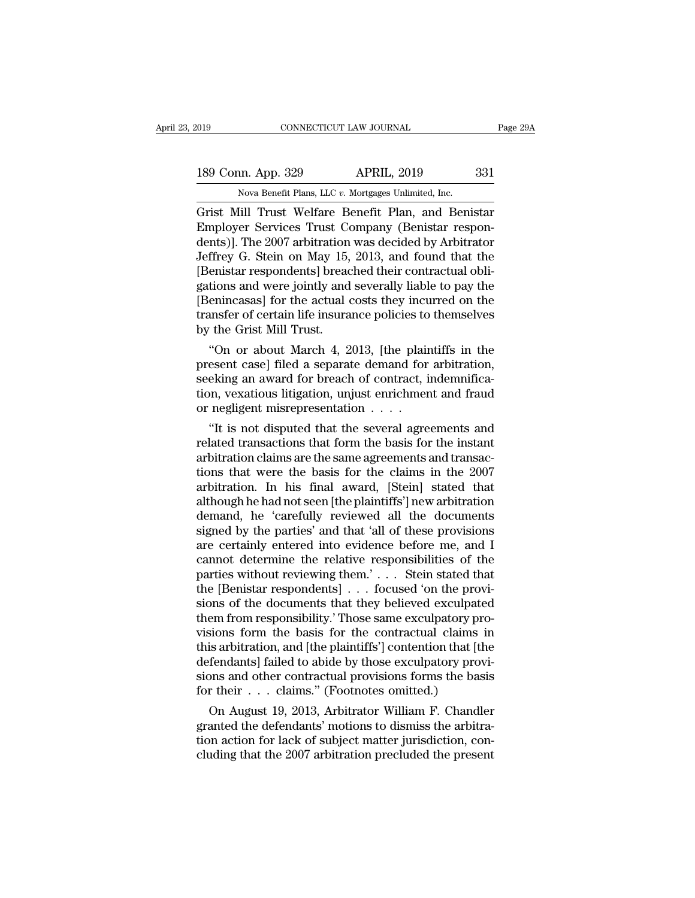EXTEMBED 19 CONNECTICUT LAW JOURNAL<br>
189 Conn. App. 329 APRIL, 2019 331<br>
Nova Benefit Plans, LLC *v.* Mortgages Unlimited, Inc.<br>
Grist Mill Trust Welfare Benefit Plan, and Benistar CONNECTICUT LAW JOURNAL Page 29A<br>
189 Conn. App. 329 APRIL, 2019 331<br>
Nova Benefit Plans, LLC v. Mortgages Unlimited, Inc.<br>
Grist Mill Trust Welfare Benefit Plan, and Benistar<br>
Employer Services Trust Company (Benistar res 189 Conn. App. 329 APRIL, 2019 331<br>
Nova Benefit Plans, LLC v. Mortgages Unlimited, Inc.<br>
Grist Mill Trust Welfare Benefit Plan, and Benistar<br>
Employer Services Trust Company (Benistar respon-<br>
dents)]. The 2007 arbitratio 189 Conn. App. 329 APRIL, 2019 331<br>
Nova Benefit Plans, LLC v. Mortgages Unlimited, Inc.<br>
Grist Mill Trust Welfare Benefit Plan, and Benistar<br>
Employer Services Trust Company (Benistar respondents)]. The 2007 arbitration w 189 Conn. App. 329 APRIL, 2019 331<br>
Nova Benefit Plans, LLC v. Mortgages Unlimited, Inc.<br>
Grist Mill Trust Welfare Benefit Plan, and Benistar<br>
Employer Services Trust Company (Benistar respondents)]. The 2007 arbitration w Nova Benefit Plans, LLC v. Mortgages Unlimited, Inc.<br>
Grist Mill Trust Welfare Benefit Plan, and Benistar<br>
Employer Services Trust Company (Benistar respondents)]. The 2007 arbitration was decided by Arbitrator<br>
Jeffrey G. Nova Benefit Plans, LLC  $v$ . Mortgages Unlimited, Inc.<br>
Grist Mill Trust Welfare Benefit Plan, and Benistar<br>
Employer Services Trust Company (Benistar respon-<br>
dents)]. The 2007 arbitration was decided by Arbitrator<br>
Jeff Grist Mill Trust Welfare Benefit Plan, and Benistar<br>Employer Services Trust Company (Benistar respondents)]. The 2007 arbitration was decided by Arbitrator<br>Jeffrey G. Stein on May 15, 2013, and found that the<br>[Benistar res Employer Services Trust Company (Benistar respondents)]. The 2007 arbitration was decided by Arbitrator Jeffrey G. Stein on May 15, 2013, and found that the [Benistar respondents] breached their contractual obligations and dents)]. The 2007 arbitration<br>Jeffrey G. Stein on May 15,<br>[Benistar respondents] bread<br>gations and were jointly and<br>[Benincasas] for the actual dransfer of certain life insura<br>by the Grist Mill Trust.<br>"On or about March 4, They G. Stein on May 15, 2013, and found that the<br>
enistar respondents] breached their contractual obli-<br>
tions and were jointly and severally liable to pay the<br>
enincasas] for the actual costs they incurred on the<br>
unsfer present case] for a severally liable to pay the<br>gations and were jointly and severally liable to pay the<br>[Benincasas] for the actual costs they incurred on the<br>transfer of certain life insurance policies to themselves<br>by t

gations and were jointly and severally hable to pay the<br>[Benincasas] for the actual costs they incurred on the<br>transfer of certain life insurance policies to themselves<br>by the Grist Mill Trust.<br>"On or about March 4, 2013, [Benncasas] for the actual costs they incurred on the<br>transfer of certain life insurance policies to themselves<br>by the Grist Mill Trust.<br>"On or about March 4, 2013, [the plaintiffs in the<br>present case] filed a separate de transier or certain life insurance policies to<br>by the Grist Mill Trust.<br>"On or about March 4, 2013, [the plain<br>present case] filed a separate demand for<br>seeking an award for breach of contract, i<br>tion, vexatious litigation "On or about March 4, 2013, [the plaintiffs in the esent case] filed a separate demand for arbitration, eking an award for breach of contract, indemnifica-<br>on, vexatious litigation, unjust enrichment and fraud negligent m On or about march 4, 2013, [the plaintins in the<br>present case] filed a separate demand for arbitration,<br>seeking an award for breach of contract, indemnifica-<br>tion, vexatious litigation, unjust enrichment and fraud<br>or negl

present case] med a separate demand for arbitration,<br>seeking an award for breach of contract, indemnifica-<br>tion, vexatious litigation, unjust enrichment and fraud<br>or negligent misrepresentation . . . .<br>"It is not disputed seeking an award for breach of contract, indemnification, vexatious litigation, unjust enrichment and fraud<br>or negligent misrepresentation  $\ldots$ .<br>"It is not disputed that the several agreements and<br>related transactions th arbitration. In his final award,  $\mu$  is also disputed that the several agreements and related transactions that form the basis for the instant arbitration claims are the same agreements and transactions that were the bas or negligent misrepresentation . . . .<br>
"It is not disputed that the several agreements and<br>
related transactions that form the basis for the instant<br>
arbitration claims are the same agreements and transac-<br>
tions that wer "It is not disputed that the several agreements and<br>related transactions that form the basis for the instant<br>arbitration claims are the same agreements and transac-<br>tions that were the basis for the claims in the 2007<br>arbi related transactions that form the basis for the instant<br>arbitration claims are the same agreements and transac-<br>tions that were the basis for the claims in the 2007<br>arbitration. In his final award, [Stein] stated that<br>alt arbitration claims are the same agreements and transactions that were the basis for the claims in the 2007 arbitration. In his final award, [Stein] stated that although he had not seen [the plaintiffs'] new arbitration dem tions that were the basis for the claims in the 2007<br>arbitration. In his final award, [Stein] stated that<br>although he had not seen [the plaintiffs'] new arbitration<br>demand, he 'carefully reviewed all the documents<br>signed arbitration. In his final award, [Stein] stated that<br>although he had not seen [the plaintiffs'] new arbitration<br>demand, he 'carefully reviewed all the documents<br>signed by the parties' and that 'all of these provisions<br>are although he had not seen [the plaintiffs'] new arbitration<br>demand, he 'carefully reviewed all the documents<br>signed by the parties' and that 'all of these provisions<br>are certainly entered into evidence before me, and I<br>cann demand, he 'carefully reviewed all the documents<br>signed by the parties' and that 'all of these provisions<br>are certainly entered into evidence before me, and I<br>cannot determine the relative responsibilities of the<br>parties w signed by the parties' and that 'all of these provisions<br>are certainly entered into evidence before me, and I<br>cannot determine the relative responsibilities of the<br>parties without reviewing them.'... Stein stated that<br>the are certainly entered into evidence before me, and I<br>cannot determine the relative responsibilities of the<br>parties without reviewing them.'... Stein stated that<br>the [Benistar respondents] ... focused 'on the provi-<br>sions cannot determine the relative responsibilities of the<br>parties without reviewing them.' . . . Stein stated that<br>the [Benistar respondents] . . . focused 'on the provi-<br>sions of the documents that they believed exculpated<br>t parties without reviewing them.' . . . Stein stated that<br>the [Benistar respondents] . . . focused 'on the provi-<br>sions of the documents that they believed exculpated<br>them from responsibility.' Those same exculpatory pro-<br> the [Benistar respondents] . . . focused 'on the provisions of the documents that they believed exculpated<br>them from responsibility.' Those same exculpatory provisions form the basis for the contractual claims in<br>this arbi sions of the documents that they believed exculpat<br>them from responsibility.' Those same exculpatory pr<br>visions form the basis for the contractual claims<br>this arbitration, and [the plaintiffs'] contention that [t<br>defendant em from responsibility. Those same exculpatory prosions form the basis for the contractual claims in<br>is arbitration, and [the plaintiffs'] contention that [the<br>fendants] failed to abide by those exculpatory provi-<br>ons and visions form the basis for the contractual claims in<br>this arbitration, and [the plaintiffs'] contention that [the<br>defendants] failed to abide by those exculpatory provi-<br>sions and other contractual provisions forms the ba

this arbitration, and [the plaintiffs] contention that [the defendants] failed to abide by those exculpatory provisions and other contractual provisions forms the basis for their  $\ldots$  claims." (Footnotes omitted.)<br>On Aug defendants] railed to abide by those excupatory provisions and other contractual provisions forms the basis<br>for their . . . claims." (Footnotes omitted.)<br>On August 19, 2013, Arbitrator William F. Chandler<br>granted the defen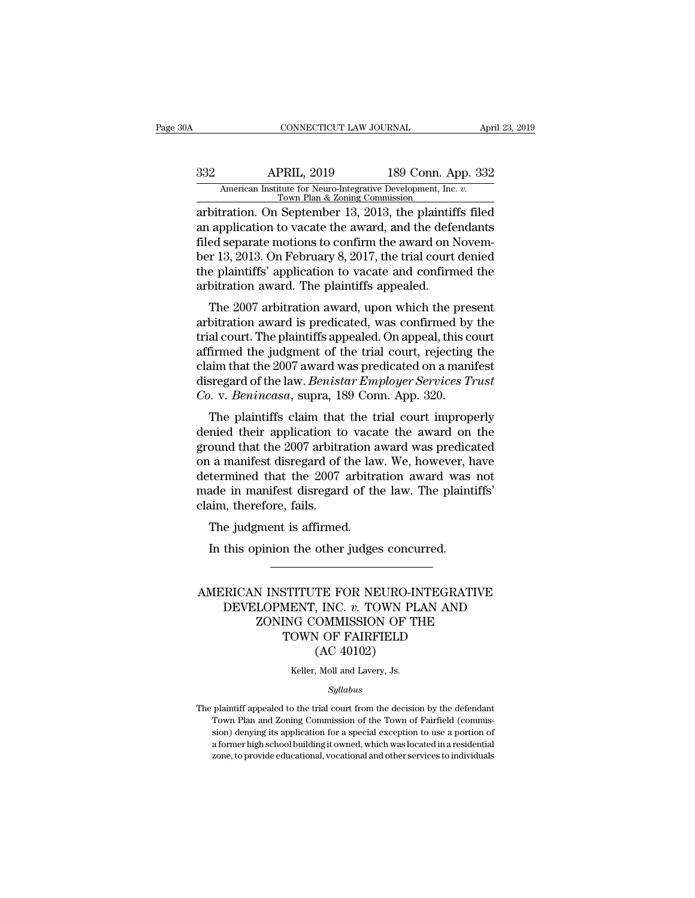# CONNECTICUT LAW JOURNAL April 23, 2019<br>332 APRIL, 2019 189 Conn. App. 332<br>American Institute for Neuro-Integrative Development, Inc. v.<br>Town Plan & Zoning Commission CONNECTICUT LAW JOURNAL April 23, 2019<br>
332 APRIL, 2019 189 Conn. App. 332<br>
American Institute for Neuro-Integrative Development, Inc. *v.*<br>
Town Plan & Zoning Commission<br>
arbitration. On September 13, 2013, the plaintiffs

CONNECTICUT LAW JOURNAL April 23, 2019<br>
332 APRIL, 2019 189 Conn. App. 332<br>
American Institute for Neuro-Integrative Development, Inc. *v.*<br>
Town Plan & Zoning Commission<br>
arbitration. On September 13, 2013, the plaintiffs an application to vacate the award on New Marian Apple 332<br>
American Institute for Neuro-Integrative Development, Inc. *v.*<br>
Town Plan & Zoning Commission<br>
arbitration. On September 13, 2013, the plaintiffs filed<br>
an appli  $\frac{332}{\text{American Institute for Neuro-Integrative Development, Inc. } v. \frac{7 \text{ own Plan & Zoning Commission}}{13, 2013, the plaintiff's filed an application to vacate the award, and the defendant of the first field. On February 8, 2017, the trial court denied the plaintiff's' application to vacate and confirmed the plaintext.$ Ber 13, 2019<br>
American Institute for Neuro-Integrative Development, Inc. *v.*<br>
Town Plan & Zoning Commission<br>
arbitration. On September 13, 2013, the plaintiffs filed<br>
an application to vacate the award, and the defendants American Institute for Neuro-Integrative Development, Inc. v.<br>Town Plan & Zoning Commission<br>arbitration. On September 13, 2013, the plaintiffs filed<br>an application to vacate the award, and the defendants<br>filed separate mot Town Plan & Zoning Commission<br>arbitration. On September 13, 2013, the plaintif<br>an application to vacate the award, and the defe<br>filed separate motions to confirm the award on N<br>ber 13, 2013. On February 8, 2017, the trial old application consequently, 2013, the plaintins mediate application to vacate the award, and the defendants<br>ed separate motions to confirm the award on Novem-<br>r 13, 2013. On February 8, 2017, the trial court denied<br>e pla an application to vacate the award; and the defendants<br>filed separate motions to confirm the award on Novem-<br>ber 13, 2013. On February 8, 2017, the trial court denied<br>the plaintiffs' application to vacate and confirmed the

the plaintiffs' application to vacate and confirmed the plaintiffs' application to vacate and confirmed the arbitration award. The plaintiffs appealed.<br>The 2007 arbitration award, upon which the present arbitration award i ber 15, 2015. On February 8, 2017, the trial court defiled<br>the plaintiffs' application to vacate and confirmed the<br>arbitration award. The plaintiffs appealed.<br>The 2007 arbitration award, upon which the present<br>arbitration the plaintins application to vacate and committed the<br>arbitration award. The plaintiffs appealed.<br>The 2007 arbitration award, upon which the present<br>arbitration award is predicated, was confirmed by the<br>trial court. The pl arbitration award. The plaintins appeared.<br>The 2007 arbitration award, upon which the present<br>arbitration award is predicated, was confirmed by the<br>trial court. The plaintiffs appealed. On appeal, this court<br>affirmed the j The 2007 arbitration award, upon which the presentintation award is predicated, was confirmed by trial court. The plaintiffs appealed. On appeal, this confirmed the judgment of the trial court, rejecting claim that the 200 ontration award is predicated, was commined by the<br>al court. The plaintiffs appealed. On appeal, this court<br>firmed the judgment of the trial court, rejecting the<br>aim that the 2007 award was predicated on a manifest<br>sregar denied the judgment of the trial court, rejecting the<br>daim that the 2007 award was predicated on a manifest<br>disregard of the law. *Benistar Employer Services Trust*<br>Co. v. *Benincasa*, supra, 189 Conn. App. 320.<br>The plaint

diam that the 2007 award was predicated on a manifest<br>disregard of the law. *Benistar Employer Services Trust*<br>Co. v. *Benincasa*, supra, 189 Conn. App. 320.<br>The plaintiffs claim that the trial court improperly<br>denied thei claim that the 2007 award was predicated on a mannest<br>disregard of the law. *Benistar Employer Services Trust*<br>*Co.* v. *Benincasa*, supra, 189 Conn. App. 320.<br>The plaintiffs claim that the trial court improperly<br>denied th Co. v. *Benincasa*, supra, 189 Conn. App. 320.<br>The plaintiffs claim that the trial court improperly<br>denied their application to vacate the award on the<br>ground that the 2007 arbitration award was predicated<br>on a manifest d Co. v. *Benincusu*, supra, 189 Collii. App. 320.<br>The plaintiffs claim that the trial court improperly<br>denied their application to vacate the award on the<br>ground that the 2007 arbitration award was predicated<br>on a manifest The plaintiffs claim that<br>denied their application to<br>ground that the 2007 arbitra<br>on a manifest disregard of<br>determined that the 2007<br>made in manifest disregard<br>claim, therefore, fails.<br>The judgment is affirmed ned their application to vacational<br>ound that the 2007 arbitration at<br>a manifest disregard of the lave<br>termined that the 2007 arbitration<br>ade in manifest disregard of the<br>im, therefore, fails.<br>The judgment is affirmed.<br>In In a manifest disregard of the law. We, however, heremined that the 2007 arbitration award was ade in manifest disregard of the law. The plaint aim, therefore, fails.<br>The judgment is affirmed.<br>In this opinion the other jud

### claim, therefore, fails.<br>
The judgment is affirmed.<br>
In this opinion the other judges concurred.<br>
AMERICAN INSTITUTE FOR NEURO-INTEGRATIVE<br>
DEVELOPMENT, INC. v. TOWN PLAN AND<br>
ZONING COMMISSION OF THE DEVELOPMENT, INC. *v.* TOWN PLAN AND ZONING COMMISSION OF THE In the other judges concurred.<br>  $\fbox{\parbox{3.5cm} {\begin{tabular}{l} \hline \textbf{STITUTE} \textbf{FOR NEURO-INTERATIVI} \textbf{MENT, INC. }v. \textbf{TOWN PLAN AND} \textbf{ING COMMISSION OF THE} \textbf{TNEW OF FAIRFIELD} \end{tabular}}}}\end{array}$ TE FOR NEURO-IN, INC. *v*. TOWN PL<br>
(AC *v*. TOWN PL<br>
(AC 40102)<br>
(AC 40102)<br>
(Moll and Lavery, Js. DEVELOPMENT, INC. *v*. TOWN PLAN AND<br>
ZONING COMMISSION OF THE<br>
TOWN OF FAIRFIELD<br>
(AC 40102)<br>
Keller, Moll and Lavery, Js.

### *Syllabus*

 $(AC 40102)$ <br>  $Keller, Moll and Lavery, Js.$ <br>  $Syllabus$ <br>
The plaintiff appealed to the trial court from the decision by the defendant<br>
Town Plan and Zoning Commission of the Town of Fairfield (commis-(AC 40102)<br>
Keller, Moll and Lavery, Js.<br>
Syllabus<br>
plaintiff appealed to the trial court from the decision by the defendant<br>
Town Plan and Zoning Commission of the Town of Fairfield (commis-<br>
sion) denying its application Syllabus<br>Syllabus<br>Syllabus<br>plaintiff appealed to the trial court from the decision by the defendant<br>Town Plan and Zoning Commission of the Town of Fairfield (commis-<br>sion) denying its application for a special exception to Syllabus<br>plaintiff appealed to the trial court from the decision by the defendant<br>Town Plan and Zoning Commission of the Town of Fairfield (commis-<br>sion) denying its application for a special exception to use a portion of<br> *Syltabus*<br>plaintiff appealed to the trial court from the decision by the defendant<br>Town Plan and Zoning Commission of the Town of Fairfield (commis-<br>sion) denying its application for a special exception to use a portion o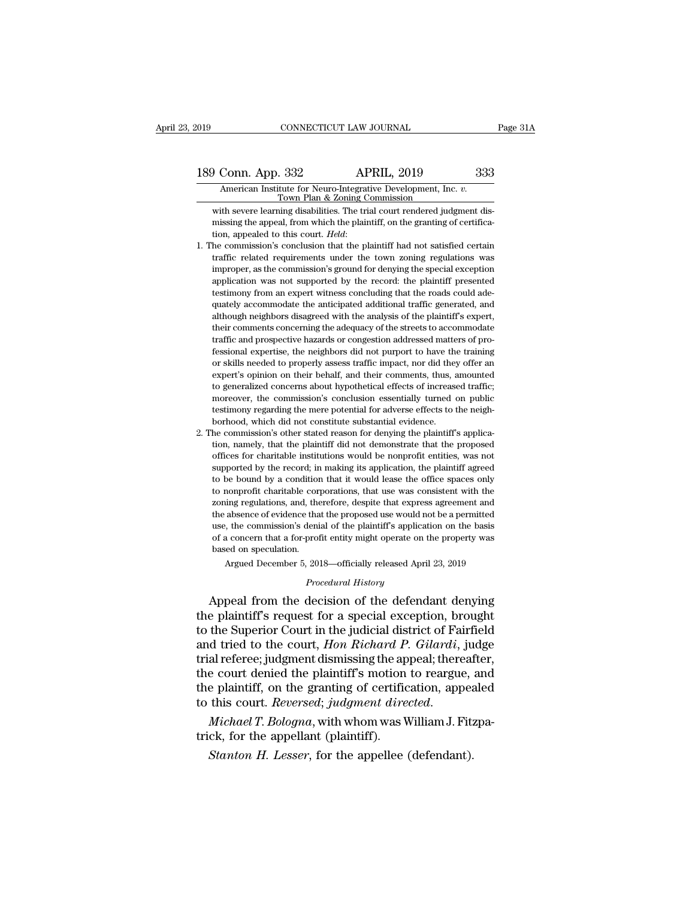189 Conn. App. 332 APRIL, 2019 233<br>American Institute for Neuro-Integrative Development, Inc. v.<br>Town Plan & Zoning Commission XOONNECTICUT LAW JOURNAL<br>
Conn. App. 332 APRIL, 2019 333<br>
American Institute for Neuro-Integrative Development, Inc. *v.*<br>
Town Plan & Zoning Commission<br>
tih severe learning disabilities. The trial court rendered judgment

Whence Corner (May 1992)<br>
Where the severe learning disabilities. The trial court rendered judgment dis-<br>
Which severe learning disabilities. The trial court rendered judgment dis-<br>
Which the plaintiff, on the granting of **Missim Solution 1988** Conn. App. 332 APRIL, 2019 333<br>American Institute for Neuro-Integrative Development, Inc. *v.*<br>Town Plan & Zoning Commission<br>with severe learning disabilities. The trial court rendered judgment dis-189 Conn. App. 332 **APRIL, 2019** 333<br>American Institute for Neuro-Integrative Development, Inc. *v.*<br>Town Plan & Zoning Commission<br>with severe learning disabilities. The trial court rendered judgment dis-<br>missing the appea

- Town Plan & Zoning Commission<br>Town Plan & Zoning Commission<br>with severe learning disabilities. The trial court rendered judgment dis-<br>missing the appeal, from which the plaintiff, on the granting of certifica-<br>tion, appeal with severe learning disabilities. The trial court rendered judgment dis-<br>missing the appeal, from which the plaintiff, on the granting of certifica-<br>tion, appealed to this court. *Held*:<br>he commission's conclusion that th mai severe realing distabilities. The rank code rendered judgment dis-<br>missing the appeal, from which the plaintiff, on the granting of certifica-<br>tion, appealed to this court. *Held*:<br>he commission's conclusion that the p the muslim and this court. Held:<br>the commission's conclusion that the plaintiff had not satisfied certain<br>traffic related requirements under the town zoning regulations was<br>improper, as the commission's ground for denying accommodate the anticipately accommodate the analysis of the plaintiff had not satisfied certain traffic related requirements under the town zoning regulations was improper, as the commission's ground for denying the speci reflict related requirements under the town zoning regulations was improper, as the commission's ground for denying the special exception application was not supported by the record: the plaintiff presented testimony from traffic and prospective hazards or congestion addressed matters of pro-<br>the streets the commission's ground for denying the special exception<br>application was not supported by the record: the plaintiff presented<br>equately ac application was not supported by the record: the plaintiff presented testimony from an expert witness concluding that the roads could adequately accommodate the anticipated additional traffic generated, and although neighb dependent was not supported by the record, the plantam presented restimony from an expert witness concluding that the roads could adequately accommodate the anticipated additional traffic generated, and although neighbors or skills needed to properly assess traffic impact and they different and although neighbors disagreed with the analysis of the plaintiff's expert, their comments concerning the adequacy of the streets to accommodate traff plancy accommodate are analytical attained and the generated, and<br>although neighbors disagreed with the analysis of the plaintiff's expert,<br>their comments concerning the adequacy of the streets to accommodate<br>traffic and p their comments concerning the adequacy of the streets to accommodate traffic and prospective hazards or congestion addressed matters of professional expertise, the neighbors did not purport to have the training or skills n traffic and prospective hazards or congestion addressed matters of pro-<br>fessional expertise, the neighbors did not purport to have the training<br>or skills needed to properly assess traffic impact, nor did they offer an<br>expe the mere and prospective mazards of congestion data essed matters of professional expertise, the neighbors did not purport to have the training or skills needed to properly assess traffic impact, nor did they offer an expe borhood, which did not constitute substantial evidence.<br>
bor skills needed to properly assess traffic impact, nor did the<br>
expert's opinion on their behalf, and their comments, thus, a<br>
to generalized concerns about hypoth 2. The commission's other stated reason for denying the plaintiff's applicated to generalized concerns about hypothetical effects of increased traffic; moreover, the commission's conclusion essentially turned on public tes Expert's opmort of their behalt, and their comments, thus, and the constraints of peneralized concerns about hypothetical effects of increased traffic; moreover, the commission's conclusion essentially turned on public tes
- to generalized concerns about hypothectical enteres of increased traint, moreover, the commission's conclusion essentially turned on public testimony regarding the mere potential for adverse effects to the neighborhood, wh supported by the conduitions is conclusion essentially duried on public<br>testimony regarding the mere potential for adverse effects to the neigh-<br>borhood, which did not constitute substantial evidence.<br>the commission's othe testimony regarding the interepotential for adverse enects to the neighborhood, which did not constitute substantial evidence.<br>he commission's other stated reason for denying the plaintiff's applica-<br>tion, namely, that the formood, which du not constant estostant evidence.<br>The commission's other stated reason for denying the plaintiff's applica-<br>tion, namely, that the plaintiff did not demonstrate that the proposed<br>offices for charitable ins recommission's outer stated reason for deriying the plantum's apprection, namely, that the plaintiff did not demonstrate that the proposed offices for charitable institutions would be nonprofit entities, was not supported filters for charitable institutions would be nonprofit entities, was not supported by the record; in making its application, the plaintiff agreed to be bound by a condition that it would lease the office spaces only to non supported by the record; in making its application, the plaintiff agreed to be bound by a condition that it would lease the office spaces only to nonprofit charitable corporations, that use was consistent with the zoning r supported by the record, in making its application, the plaintin agreed to be bound by a condition that it would lease the office spaces only to nonprofit charitable corporations, that use was consistent with the zoning re to be bound by a condition that it would lease the office spaces only to nonprofit charitable corporations, that use was consistent with the zoning regulations, and, therefore, despite that express agreement and the absen ing regulations, and, therefore, despite that express agreement and<br>absence of evidence that the proposed use would not be a permitted<br>b, the commission's denial of the plaintiff's application on the basis<br>a concern that a of a concern that a for-profit entity might operate on the property was<br>based on speculation.<br>Argued December 5, 2018—officially released April 23, 2019<br>*Procedural History*<br>Appeal from the decision of the defendant denyin the absence of evidence that the proposed use would not be a permitted<br>use, the commission's denial of the plaintiff's application on the basis<br>of a concern that a for-profit entity might operate on the property was<br>based

use, the commission's denial of the plaintiff's application on the basis<br>of a concern that a for-profit entity might operate on the property was<br>based on speculation.<br>Argued December 5, 2018—officially released April 23, 2 of a concern that a for-profit entity might operate on the property was<br>based on speculation.<br>Argued December 5, 2018—officially released April 23, 2019<br>*Procedural History*<br>Appeal from the decision of the defendant denyin and December 5, 2018—officially released April 23, 2019<br>*Procedural History*<br>**Appeal from the decision of the defendant denying<br>the plaintiff's request for a special exception, brought<br>to the Superior Court in the judicial** Frocedural History<br>
Procedural History<br>
Procedural History<br>
the plaintiff's request for a special exception, brought<br>
to the Superior Court in the judicial district of Fairfield<br>
and tried to the court, Hon Richard P. Gila *Procedural History*<br>Appeal from the decision of the defendant denying<br>the plaintiff's request for a special exception, brought<br>to the Superior Court in the judicial district of Fairfield<br>and tried to the court, *Hon Richa* Appeal from the decision of the defendant denying<br>the plaintiff's request for a special exception, brought<br>to the Superior Court in the judicial district of Fairfield<br>and tried to the court, *Hon Richard P. Gilardi*, judge the plaintiff's request for a special exception, brought<br>to the Superior Court in the judicial district of Fairfield<br>and tried to the court, *Hon Richard P. Gilardi*, judge<br>trial referee; judgment dismissing the appeal; th and tried to the court, *Hon Richard P*<br>trial referee; judgment dismissing the ap<br>the court denied the plaintiff's motion<br>the plaintiff, on the granting of certific<br>to this court. *Reversed*; *judgment dire*<br>*Michael T. Bo* a referrect, Judgment dishussing the appear, therease e court denied the plaintiff's motion to reargue, be plaintiff, on the granting of certification, appear this court. *Reversed*; *judgment directed.*<br>*Michael T. Bologn*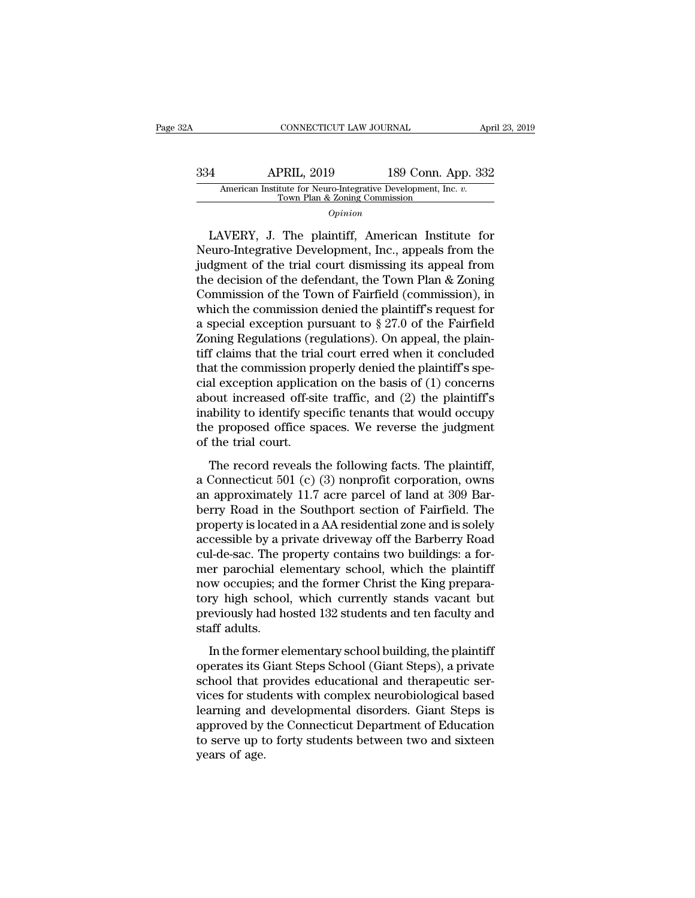# CONNECTICUT LAW JOURNAL April 23, 2019<br>334 APRIL, 2019 189 Conn. App. 332<br>American Institute for Neuro-Integrative Development, Inc. v.<br>Town Plan & Zoning Commission CONNECTICUT LAW JOURNAL<br>App. 33:<br>American Institute for Neuro-Integrative Development, Inc. *v.*<br>Town Plan & Zoning Commission<br>*Opinion*

*Opinion*

APRIL, 2019 189 Conn. App. 332<br>
American Institute for Neuro-Integrative Development, Inc. *v.*<br>
Town Plan & Zoning Commission<br> *Opinion*<br>
LAVERY, J. The plaintiff, American Institute for<br>
euro-Integrative Development, Inc Neuro-Integrative Development, Inc., appeals from the  $\frac{334}{\text{American Institute for Neuro-Integrative Development, Inc. } v.$ Town Plan & Zoning Commission<br>  $\frac{1}{\text{Down Plan } \& \text{ Zoning Commission}}$ <br>  $\frac{1}{\text{AvERY}}$ , J. The plaintiff, American Institute for<br>
Neuro-Integrative Development, Inc., appeals from the<br>
judgment of the trial co American Institute for Neuro-Integrative Development, Inc. *v.*<br>
Town Plan & Zoning Commission<br> *Opinion*<br>
LAVERY, J. The plaintiff, American Institute for<br>
Neuro-Integrative Development, Inc., appeals from the<br>
judgment o Commission of the plaintiff, American Institute for<br>Neuro-Integrative Development, Inc., appeals from the<br>judgment of the trial court dismissing its appeal from<br>the decision of the defendant, the Town Plan & Zoning<br>Commis LAVERY, J. The plaintiff, American Institute for<br>Neuro-Integrative Development, Inc., appeals from the<br>judgment of the trial court dismissing its appeal from<br>the decision of the defendant, the Town Plan & Zoning<br>Commissio LAVERY, J. The plaintiff, American Institute for<br>Neuro-Integrative Development, Inc., appeals from the<br>judgment of the trial court dismissing its appeal from<br>the decision of the defendant, the Town Plan & Zoning<br>Commissio Neuro-Integrative Development, Inc., appeals from the judgment of the trial court dismissing its appeal from the decision of the defendant, the Town Plan & Zoning Commission of the Town of Fairfield (commission), in which judgment of the trial court dismissing its appeal from<br>the decision of the defendant, the Town Plan & Zoning<br>Commission of the Town of Fairfield (commission), in<br>which the commission denied the plaintiff's request for<br>a sp the decision of the defendant, the Town Plan & Zoning<br>Commission of the Town of Fairfield (commission), in<br>which the commission denied the plaintiff's request for<br>a special exception pursuant to  $\S 27.0$  of the Fairfield<br> Commission of the Town of Fairfield (commission), in<br>which the commission denied the plaintiff's request for<br>a special exception pursuant to  $\S 27.0$  of the Fairfield<br>Zoning Regulations (regulations). On appeal, the plain which the commission denied the plaintiff's request for<br>a special exception pursuant to  $\S 27.0$  of the Fairfield<br>Zoning Regulations (regulations). On appeal, the plain-<br>tiff claims that the trial court erred when it conc a special exception pursuant to § 27.0 of the Fairfield<br>Zoning Regulations (regulations). On appeal, the plain-<br>tiff claims that the trial court erred when it concluded<br>that the commission properly denied the plaintiff's s Zoning Regulations (regulations). On appeal, the plaintiff claims that the trial court erred when it concluded that the commission properly denied the plaintiff's special exception application on the basis of (1) concerns tiff claims that the tria<br>that the commission pr<br>cial exception applicat<br>about increased off-sii<br>inability to identify spe<br>the proposed office sp<br>of the trial court.<br>The record reveals t and all exception application on the basis of (1) concerns<br>out increased off-site traffic, and (2) the plaintiff's<br>ability to identify specific tenants that would occupy<br>e proposed office spaces. We reverse the judgment<br>t about increased off-site traffic, and (2) the plaintiff's<br>inability to identify specific tenants that would occupy<br>the proposed office spaces. We reverse the judgment<br>of the trial court.<br>The record reveals the following f

inability to identify specific tenants that would occupy<br>the proposed office spaces. We reverse the judgment<br>of the trial court.<br>The record reveals the following facts. The plaintiff,<br>a Connecticut 501 (c) (3) nonprofit c masing to identify specific entails and would occupy<br>the proposed office spaces. We reverse the judgment<br>of the trial court.<br>The record reveals the following facts. The plaintiff,<br>a Connecticut 501 (c) (3) nonprofit corpor are proposed office spaces. We reverse are jadgmant<br>of the trial court.<br>The record reveals the following facts. The plaintiff,<br>a Connecticut 501 (c) (3) nonprofit corporation, owns<br>an approximately 11.7 acre parcel of land The record reveals the following facts. The plaintiff,<br>a Connecticut 501 (c) (3) nonprofit corporation, owns<br>an approximately 11.7 acre parcel of land at 309 Bar-<br>berry Road in the Southport section of Fairfield. The<br>prope The record reveals the following facts. The plaintiff,<br>a Connecticut 501 (c) (3) nonprofit corporation, owns<br>an approximately 11.7 acre parcel of land at 309 Bar-<br>berry Road in the Southport section of Fairfield. The<br>prope a Connecticut 501 (c) (3) nonprofit corporation, owns<br>an approximately 11.7 acre parcel of land at 309 Bar-<br>berry Road in the Southport section of Fairfield. The<br>property is located in a AA residential zone and is solely<br>a an approximately 11.7 acre parcel of land at 309 Barberry Road in the Southport section of Fairfield. The property is located in a AA residential zone and is solely accessible by a private driveway off the Barberry Road cu berry Road in the Southport section of Fairfield. The<br>property is located in a AA residential zone and is solely<br>accessible by a private driveway off the Barberry Road<br>cul-de-sac. The property contains two buildings: a for property is located in a AA residential zone and is solely<br>accessible by a private driveway off the Barberry Road<br>cul-de-sac. The property contains two buildings: a for-<br>mer parochial elementary school, which the plaintiff accessible by a p<br>cul-de-sac. The p<br>mer parochial el<br>now occupies; ar<br>tory high school<br>previously had he<br>staff adults.<br>In the former el In the sact The property contains two buildings, a rot<br>er parochial elementary school, which the plaintiff<br>wo occupies; and the former Christ the King prepara-<br>ry high school, which currently stands vacant but<br>eviously had now occupies; and the former Christ the King prepara-<br>tory high school, which currently stands vacant but<br>previously had hosted 132 students and ten faculty and<br>staff adults.<br>In the former elementary school building, the p

school, which currently stands vacant but<br>tory high school, which currently stands vacant but<br>previously had hosted 132 students and ten faculty and<br>staff adults.<br>In the former elementary school building, the plaintiff<br>ope very right sensor, which currently stands vacant bat<br>previously had hosted 132 students and ten faculty and<br>staff adults.<br>In the former elementary school building, the plaintiff<br>operates its Giant Steps School (Giant Steps staff adults.<br>
In the former elementary school building, the plaintiff<br>
operates its Giant Steps School (Giant Steps), a private<br>
school that provides educational and therapeutic ser-<br>
vices for students with complex neuro In the former elementary school building, the plaintiff<br>operates its Giant Steps School (Giant Steps), a private<br>school that provides educational and therapeutic ser-<br>vices for students with complex neurobiological based<br>l In the former elementary school building, the plaintiff<br>operates its Giant Steps School (Giant Steps), a private<br>school that provides educational and therapeutic ser-<br>vices for students with complex neurobiological based<br>l operates its Giant Steps School (Giant Steps), a private<br>school that provides educational and therapeutic ser-<br>vices for students with complex neurobiological based<br>learning and developmental disorders. Giant Steps is<br>appr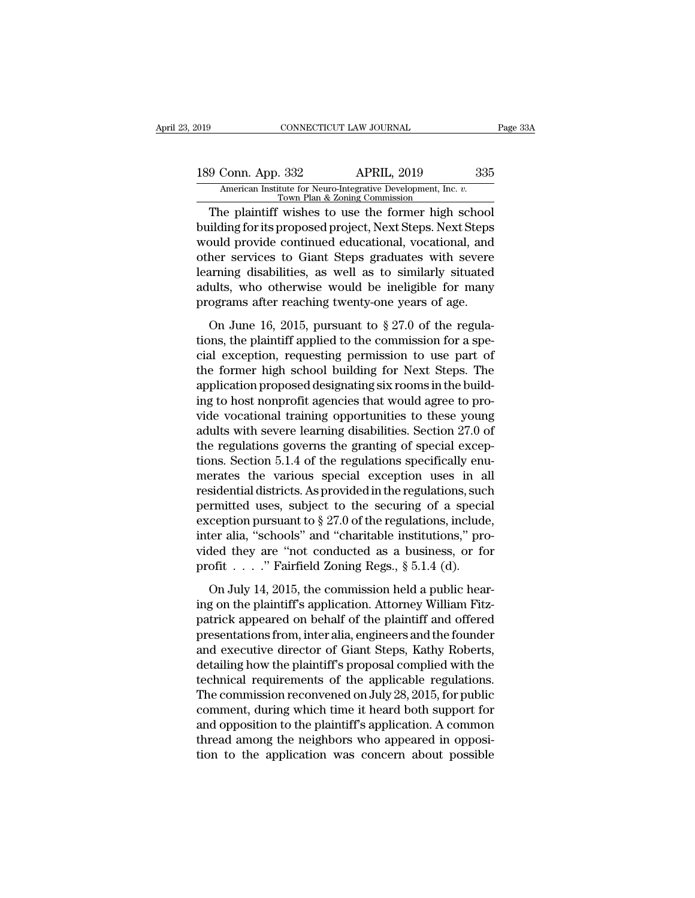## 189 Connectricut LAW JOURNAL Page 33A<br>
189 Conn. App. 332 APRIL, 2019 335<br>
American Institute for Neuro-Integrative Development, Inc. v.<br>
Town Plan & Zoning Commission Xamerican Institute for Neuro-Integrative Development, Inc. *v.* Town Plan & Zoning Commission<br>The plaintiff wishes to use the former high school

Fage 3:<br>
9 Conn. App. 332 APRIL, 2019 335<br>
American Institute for Neuro-Integrative Development, Inc. *v.*<br>
The plaintiff wishes to use the former high school<br>
ilding for its proposed project, Next Steps. Next Steps<br>
and p 189 Conn. App. 332 APRIL, 2019 335<br>American Institute for Neuro-Integrative Development, Inc. *v.*<br>Town Plan & Zoning Commission<br>Duilding for its proposed project, Next Steps. Next Steps<br>would provide continued educational 189 Conn. App. 332 APRIL, 2019 335<br>American Institute for Neuro-Integrative Development, Inc. v.<br>The plaintiff wishes to use the former high school<br>building for its proposed project, Next Steps. Next Steps<br>would provide co 189 Conn. App. 332 APRIL, 2019 335<br>American Institute for Neuro-Integrative Development, Inc. *v.*<br>Town Plan & Zoning Commission<br>The plaintiff wishes to use the former high school<br>building for its proposed project, Next St American Institute for Neuro-Integrative Development, Inc. *v.*<br>
Town Plan & Zoning Commission<br>
The plaintiff wishes to use the former high school<br>
building for its proposed project, Next Steps. Next Steps<br>
would provide c Town Plan & Zoning Commission<br>The plaintiff wishes to use the former high school<br>building for its proposed project, Next Steps. Next Steps<br>would provide continued educational, vocational, and<br>other services to Giant Steps The plaintiff wishes to use the former high school<br>building for its proposed project, Next Steps. Next Steps<br>would provide continued educational, vocational, and<br>other services to Giant Steps graduates with severe<br>learnin nancy of the proposed project, remember found and<br>ould provide continued educational, vocational, and<br>her services to Giant Steps graduates with severe<br>arming disabilities, as well as to similarly situated<br>ults, who otherw the province conducted calculations, the solid of the response dearning disabilities, as well as to similarly situated adults, who otherwise would be ineligible for many programs after reaching twenty-one years of age.<br>On

bearning disabilities, as well as to similarly situated<br>adults, who otherwise would be ineligible for many<br>programs after reaching twenty-one years of age.<br>On June 16, 2015, pursuant to  $\S 27.0$  of the regula-<br>tions, the adults, who otherwise would be ineligible for many<br>programs after reaching twenty-one years of age.<br>On June 16, 2015, pursuant to  $\S 27.0$  of the regula-<br>tions, the plaintiff applied to the commission for a spe-<br>cial exce programs after reaching twenty-one years of age.<br>On June 16, 2015, pursuant to  $\S 27.0$  of the regulations, the plaintiff applied to the commission for a special exception, requesting permission to use part of the former on June 16, 2015, pursuant to  $\S 27.0$  of the regulations, the plaintiff applied to the commission for a special exception, requesting permission to use part of the former high school building for Next Steps. The applicat On June 16, 2015, pursuant to  $\S 27.0$  of the regulations, the plaintiff applied to the commission for a special exception, requesting permission to use part of the former high school building for Next Steps. The applicat tions, the plaintiff applied to the commission for a special exception, requesting permission to use part of<br>the former high school building for Next Steps. The<br>application proposed designating six rooms in the build-<br>ing cial exception, requesting permission to use part of<br>the former high school building for Next Steps. The<br>application proposed designating six rooms in the build-<br>ing to host nonprofit agencies that would agree to pro-<br>vide the former high school building for Next Steps. The<br>application proposed designating six rooms in the build-<br>ing to host nonprofit agencies that would agree to pro-<br>vide vocational training opportunities to these young<br>adu application proposed designating six rooms in the building to host nonprofit agencies that would agree to provide vocational training opportunities to these young adults with severe learning disabilities. Section 27.0 of t ing to host nonprofit agencies that would agree to pro-<br>vide vocational training opportunities to these young<br>adults with severe learning disabilities. Section 27.0 of<br>the regulations governs the granting of special excep vide vocational training opportunities to these young<br>adults with severe learning disabilities. Section 27.0 of<br>the regulations governs the granting of special excep-<br>tions. Section 5.1.4 of the regulations specifically en adults with severe learning disabilities. Section 27.0 of<br>the regulations governs the granting of special excep-<br>tions. Section 5.1.4 of the regulations specifically enu-<br>merates the various special exception uses in all<br>r the regulations governs the granting of special exceptions. Section 5.1.4 of the regulations specifically enumerates the various special exception uses in all residential districts. As provided in the regulations, such pe tions. Section 5.1.4 of the regulations specifically enumerates the various special exception uses in all residential districts. As provided in the regulations, such permitted uses, subject to the securing of a special ex merates the various special exception uses in a<br>residential districts. As provided in the regulations, suc<br>permitted uses, subject to the securing of a specia<br>exception pursuant to § 27.0 of the regulations, include<br>inter rmitted uses, subject to the securing of a special<br>ception pursuant to  $\S 27.0$  of the regulations, include,<br>ter alia, "schools" and "charitable institutions," pro-<br>ded they are "not conducted as a business, or for<br>ofit . Exception pursuant to § 27.0 of the regulations, include,<br>inter alia, "schools" and "charitable institutions," pro-<br>vided they are "not conducted as a business, or for<br>profit  $\ldots$ ." Fairfield Zoning Regs., § 5.1.4 (d).<br>O

inter alia, "schools" and "charitable institutions," provided they are "not conducted as a business, or for profit . . . . ." Fairfield Zoning Regs.,  $\S 5.1.4$  (d).<br>On July 14, 2015, the commission held a public hearing o vided they are "not conducted as a business, or for<br>profit . . . . " Fairfield Zoning Regs.,  $\S 5.1.4$  (d).<br>On July 14, 2015, the commission held a public hear-<br>ing on the plaintiff's application. Attorney William Fitz-<br>p profit  $\dots$  " Fairfield Zoning Regs., § 5.1.4 (d).<br>
On July 14, 2015, the commission held a public hear-<br>
ing on the plaintiff's application. Attorney William Fitz-<br>
patrick appeared on behalf of the plaintiff and offered on July 14, 2015, the commission held a public hear-<br>ing on the plaintiff's application. Attorney William Fitz-<br>patrick appeared on behalf of the plaintiff and offered<br>presentations from, inter alia, engineers and the fou On July 14, 2015, the commission held a public hear-<br>ing on the plaintiff's application. Attorney William Fitz-<br>patrick appeared on behalf of the plaintiff and offered<br>presentations from, inter alia, engineers and the foun ing on the plaintiff's application. Attorney William Fitz-<br>patrick appeared on behalf of the plaintiff and offered<br>presentations from, inter alia, engineers and the founder<br>and executive director of Giant Steps, Kathy Robe patrick appeared on behalf of the plaintiff and offered<br>presentations from, inter alia, engineers and the founder<br>and executive director of Giant Steps, Kathy Roberts,<br>detailing how the plaintiff's proposal complied with t presentations from, inter alia, engineers and the founder<br>and executive director of Giant Steps, Kathy Roberts,<br>detailing how the plaintiff's proposal complied with the<br>technical requirements of the applicable regulations. and executive director of Giant Steps, Kathy Roberts, detailing how the plaintiff's proposal complied with the technical requirements of the applicable regulations. The commission reconvened on July 28, 2015, for public co detailing how the plaintiff's proposal complied with the<br>technical requirements of the applicable regulations.<br>The commission reconvened on July 28, 2015, for public<br>comment, during which time it heard both support for<br>and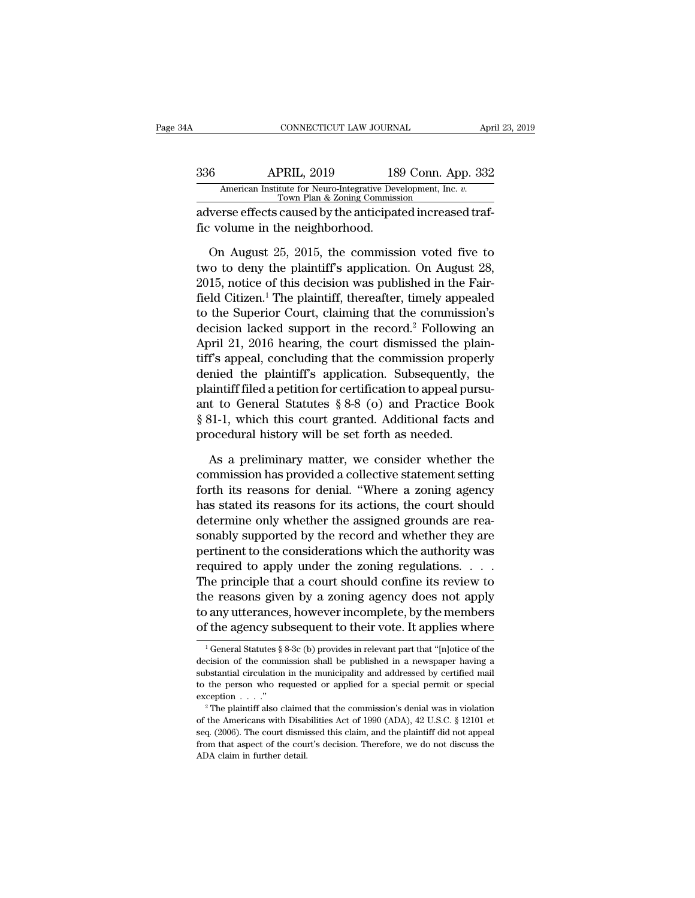### CONNECTICUT LAW JOURNAL April 23, 2019<br>336 APRIL, 2019 189 Conn. App. 332<br>American Institute for Neuro-Integrative Development, Inc. v.<br>Town Plan & Zoning Commission CONNECTICUT LAW JOURNAL April 23, 2019<br>
336 APRIL, 2019 189 Conn. App. 332<br>
American Institute for Neuro-Integrative Development, Inc. *v.*<br>
Town Plan & Zoning Commission<br>
adverse effects caused by the anticipated increase CONNECTICUT LAW JOURNAL Apr<br>
336 APRIL, 2019 189 Conn. App. 332<br>
American Institute for Neuro-Integrative Development, Inc. v.<br>
Town Plan & Zoning Commission<br>
adverse effects caused by the anticipated increased traf-<br>
fic Fig. 2019<br>
American Institute for Neuro-Integrative Development<br>
Town Plan & Zoning Commissi<br>
adverse effects caused by the anticipat<br>
fic volume in the neighborhood.<br>
On August 25, 2015, the commissi

 $\frac{\text{APRIL, 2019}}{\text{American Institute for Neuro-Integrative Development, Inc. } v. \ \frac{\text{Tom Plan & Zoning Commission}}{\text{Down Plan & Zoning Commission}}$ <br>verse effects caused by the anticipated increased traf-<br>volume in the neighborhood.<br>On August 25, 2015, the commission voted five to<br>to to deny the plaintiff'  $\frac{109}{109}$  COIII. App. 332<br>
American Institute for Neuro-Integrative Development, Inc. v.<br>
Town Plan & Zoning Commission<br>
adverse effects caused by the anticipated increased traf-<br>
fic volume in the neighborhood.<br>
On A American institute for Neuro-Integrative Development, Inc. v.<br>
Town Plan & Zoning Commission<br>
adverse effects caused by the anticipated increased traf-<br>
fic volume in the neighborhood.<br>
On August 25, 2015, the commission v adverse effects caused by the anticipated increased traf-<br>fic volume in the neighborhood.<br>On August 25, 2015, the commission voted five to<br>two to deny the plaintiff's application. On August 28,<br>2015, notice of this decisio fic volume in the neighborhood.<br>
On August 25, 2015, the commission voted five to<br>
two to deny the plaintiff's application. On August 28,<br>
2015, notice of this decision was published in the Fair-<br>
field Citizen.<sup>1</sup> The pl On August 25, 2015, the commission voted five to<br>two to deny the plaintiff's application. On August 28,<br>2015, notice of this decision was published in the Fair-<br>field Citizen.<sup>1</sup> The plaintiff, thereafter, timely appealed On August 25, 2015, the commission voted five to<br>two to deny the plaintiff's application. On August 28,<br>2015, notice of this decision was published in the Fair-<br>field Citizen.<sup>1</sup> The plaintiff, thereafter, timely appealed two to deny the plaintiff's application. On August 28,<br>2015, notice of this decision was published in the Fair-<br>field Citizen.<sup>1</sup> The plaintiff, thereafter, timely appealed<br>to the Superior Court, claiming that the commissi 2015, notice of this decision was published in the Fair-<br>field Citizen.<sup>1</sup> The plaintiff, thereafter, timely appealed<br>to the Superior Court, claiming that the commission's<br>decision lacked support in the record.<sup>2</sup> Followi field Citizen.<sup>1</sup> The plaintiff, thereafter, timely appealed<br>to the Superior Court, claiming that the commission's<br>decision lacked support in the record.<sup>2</sup> Following an<br>April 21, 2016 hearing, the court dismissed the plai to the Superior Court, claiming that the commission's<br>decision lacked support in the record.<sup>2</sup> Following an<br>April 21, 2016 hearing, the court dismissed the plain-<br>tiff's appeal, concluding that the commission properly<br>den decision lacked support in the record.<sup>2</sup> Following an April 21, 2016 hearing, the court dismissed the plaintiff's appeal, concluding that the commission properly denied the plaintiff's application. Subsequently, the plain April 21, 2016 hearing, the court dismissed the pla<br>tiff's appeal, concluding that the commission prope:<br>denied the plaintiff's application. Subsequently, t<br>plaintiff filed a petition for certification to appeal purs<br>ant t mied the plaintiff's application. Subsequently, the aintiff filed a petition for certification to appeal pursu-<br>t to General Statutes  $\S 8-8$  (o) and Practice Book<br>31-1, which this court granted. Additional facts and<br>oced plaintiff filed a petition for certification to appeal pursu-<br>ant to General Statutes § 8-8 (o) and Practice Book<br>§ 81-1, which this court granted. Additional facts and<br>procedural history will be set forth as needed.<br>As a

ant to General Statutes  $\S 8-8$  (o) and Practice Book<br>  $\S 81-1$ , which this court granted. Additional facts and<br>
procedural history will be set forth as needed.<br>
As a preliminary matter, we consider whether the<br>
commissio § 81-1, which this court granted. Additional facts and<br>procedural history will be set forth as needed.<br>As a preliminary matter, we consider whether the<br>commission has provided a collective statement setting<br>forth its reaso procedural history will be set forth as needed.<br>As a preliminary matter, we consider whether the<br>commission has provided a collective statement setting<br>forth its reasons for denial. "Where a zoning agency<br>has stated its re As a preliminary matter, we consider whether the commission has provided a collective statement setting forth its reasons for denial. "Where a zoning agency has stated its reasons for its actions, the court should determin As a preliminary matter, we consider whether the<br>commission has provided a collective statement setting<br>forth its reasons for denial. "Where a zoning agency<br>has stated its reasons for its actions, the court should<br>determi commission has provided a collective statement setting<br>forth its reasons for denial. "Where a zoning agency<br>has stated its reasons for its actions, the court should<br>determine only whether the assigned grounds are rea-<br>sona forth its reasons for denial. "Where a zoning agency<br>has stated its reasons for its actions, the court should<br>determine only whether the assigned grounds are rea-<br>sonably supported by the record and whether they are<br>pertin has stated its reasons for its actions, the court should<br>determine only whether the assigned grounds are rea-<br>sonably supported by the record and whether they are<br>pertinent to the considerations which the authority was<br>req determine only whether the assigned grounds are rea-<br>sonably supported by the record and whether they are<br>pertinent to the considerations which the authority was<br>required to apply under the zoning regulations. . . .<br>The pr sonably supported by the record and whether they are<br>pertinent to the considerations which the authority was<br>required to apply under the zoning regulations. . . .<br>The principle that a court should confine its review to<br>th the principle that a court should columne its review to<br>the reasons given by a zoning agency does not apply<br>of any utterances, however incomplete, by the members<br>of the agency subsequent to their vote. It applies where<br> $\$ the reasons given by a zoning agency does not apply<br>to any utterances, however incomplete, by the members<br>of the agency subsequent to their vote. It applies where<br> $\frac{1}{1}$  General Statutes § 8-3c (b) provides in relevant

to any utterances, however incomplete, by the members<br>of the agency subsequent to their vote. It applies where<br> $\frac{1}{1}$  General Statutes § 8-3c (b) provides in relevant part that "[n]otice of the<br>decision of the commissi of the agency subsequent to their vote. It applies where<br>  $\frac{1}{1}$  General Statutes § 8-3c (b) provides in relevant part that "[n]otice of the<br>
decision of the commission shall be published in a newspaper having a<br>
subst The example of the american status  $\frac{1}{2}$  also claimed that the published in a newspaper having a substantial circulation in the municipality and addressed by certified mail to the person who requested or applied for a decision of the commission shall be published in a newspaper having a substantial circulation in the municipality and addressed by certified mail to the person who requested or applied for a special permit or special exce

substantial circulation in the municipality and addressed by certified mail to the person who requested or applied for a special permit or special exception . . . ."<br> <sup>2</sup> The plaintiff also claimed that the commission's d from that aspects of the person who requested or applied for a special permit or special exception . . . ."<br>
<sup>2</sup> The plaintiff also claimed that the commission's denial was in violation of the Americans with Disabilities  $\alpha$  exception  $\dots$ ."<br>  $\alpha$  are plaintiff also claimed<br>  $\alpha$  of the Americans with Disalseq. (2006). The court dismistration that aspect of the court ADA claim in further detail.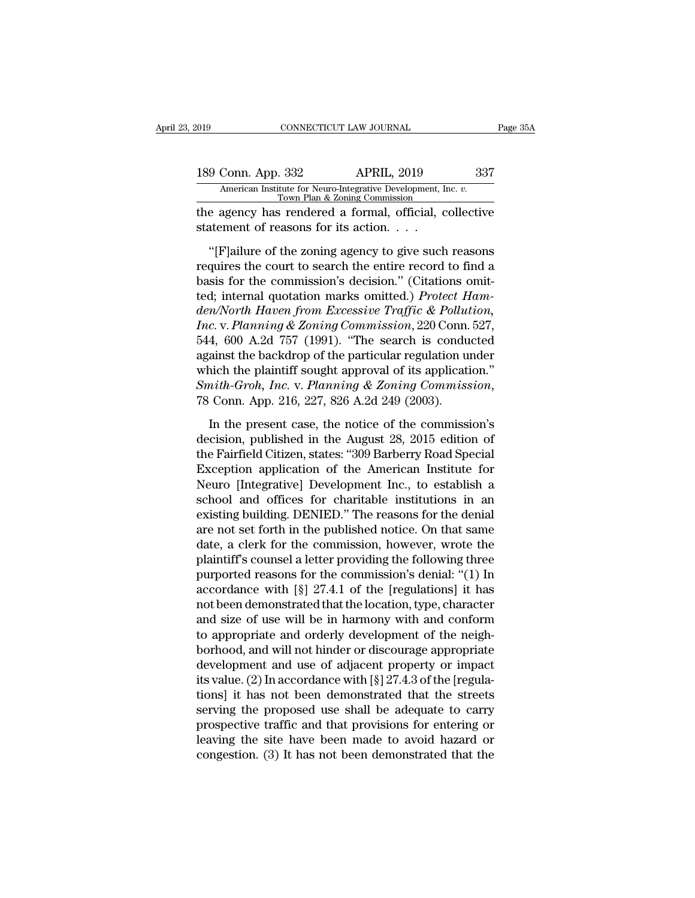| 2019 |                                     | CONNECTICUT LAW JOURNAL                                                                 | Page 35A |
|------|-------------------------------------|-----------------------------------------------------------------------------------------|----------|
|      | 189 Conn. App. 332                  | <b>APRIL, 2019</b><br>American Institute for Neuro-Integrative Development, Inc. v.     | 337      |
|      |                                     | Town Plan & Zoning Commission<br>the agency has rendered a formal, official, collective |          |
|      | statement of reasons for its action |                                                                                         |          |
|      |                                     | "[F] ailure of the zoning agency to give such reasons"                                  |          |

9 Conn. App. 332 APRIL, 2019 337<br>
American Institute for Neuro-Integrative Development, Inc. *v.*<br>
Town Plan & Zoning Commission<br>
e agency has rendered a formal, official, collective<br>
attement of reasons for its action. . 189 Conn. App. 332 APRIL, 2019 337<br>
American Institute for Neuro-Integrative Development, Inc. v.<br>
Town Plan & Zoning Commission<br>
the agency has rendered a formal, official, collective<br>
statement of reasons for its action American Institute for Neuro-Integrative Development, Inc. *v.*<br>Town Plan & Zoning Commission<br>the agency has rendered a formal, official, collective<br>statement of reasons for its action. . . .<br>"[F]ailure of the zoning agenc the agency has rendered a formal, official, collective<br>statement of reasons for its action. . . .<br>"[F]ailure of the zoning agency to give such reasons<br>requires the court to search the entire record to find a<br>basis for the *die ugency has rendered a rormal, emeral, eshecare*<br>
statement of reasons for its action. . . .<br>
"[F]ailure of the zoning agency to give such reasons<br>
requires the court to search the entire record to find a<br>
basis for th *Inc. Inc. Inc. Inc. Inc. Inc. Inc. Inc. Inc. Inc. Inc. Inc. Inc. Inc. Inc. Inc. Inc. Inc. Inc. Internal quotation marks omitted.) <i>Protect Hamden/North Haven from Excessive Traffic &* "[F]ailure of the zoning agency to give such reasons<br>requires the court to search the entire record to find a<br>basis for the commission's decision." (Citations omit-<br>ted; internal quotation marks omitted.) *Protect Ham-<br>de* requires the court to search the entire record to find a<br>basis for the commission's decision." (Citations omit-<br>ted; internal quotation marks omitted.) *Protect Ham-*<br>den/North Haven from Excessive Traffic & Pollution,<br>Inc basis for the commission's decision." (Citations omit-<br>ted; internal quotation marks omitted.) *Protect Ham-*<br>den/North Haven from Excessive Traffic & Pollution,<br>Inc. v. Planning & Zoning Commission, 220 Conn. 527,<br>544, 6 *Smitted: Protect Ham-den/North Haven from Excessive Traffic & Pollution,*<br> *Inc.* v. *Planning & Zoning Commission*, 220 Conn. 527,<br>
544, 600 A.2d 757 (1991). "The search is conducted<br>
against the backdrop of the partic 4, 600 A.2d 757 (1991). "The search is conducted<br>ainst the backdrop of the particular regulation under<br>nich the plaintiff sought approval of its application."<br>mith-Groh, Inc. v. Planning & Zoning Commission,<br>Conn. App. 21 decision, published in the American Institute for<br>
method in the plaintiff sought approval of its application."<br>
Smith-Groh, Inc. v. Planning & Zoning Commission,<br>
78 Conn. App. 216, 227, 826 A.2d 249 (2003).<br>
In the prese

which the plaintiff sought approval of its application."<br>
Smith-Groh, Inc. v. Planning & Zoning Commission,<br>
78 Conn. App. 216, 227, 826 A.2d 249 (2003).<br>
In the present case, the notice of the commission's<br>
decision, pub Smith-Groh, Inc. v. Planning & Zoning Commission,<br>78 Conn. App. 216, 227, 826 A.2d 249 (2003).<br>In the present case, the notice of the commission's<br>decision, published in the August 28, 2015 edition of<br>the Fairfield Citize 78 Conn. App. 216, 227, 826 A.2d 249 (2003).<br>
In the present case, the notice of the commission's<br>
decision, published in the August 28, 2015 edition of<br>
the Fairfield Citizen, states: "309 Barberry Road Special<br>
Exceptio In the present case, the notice of the commission's<br>decision, published in the August 28, 2015 edition of<br>the Fairfield Citizen, states: "309 Barberry Road Special<br>Exception application of the American Institute for<br>Neuro In the present case, the notice of the commission's<br>decision, published in the August 28, 2015 edition of<br>the Fairfield Citizen, states: "309 Barberry Road Special<br>Exception application of the American Institute for<br>Neuro decision, published in the August 28, 2015 edition of<br>the Fairfield Citizen, states: "309 Barberry Road Special<br>Exception application of the American Institute for<br>Neuro [Integrative] Development Inc., to establish a<br>schoo the Fairfield Citizen, states: "309 Barberry Road Special<br>Exception application of the American Institute for<br>Neuro [Integrative] Development Inc., to establish a<br>school and offices for charitable institutions in an<br>existi Exception application of the American Institute for<br>Neuro [Integrative] Development Inc., to establish a<br>school and offices for charitable institutions in an<br>existing building. DENIED." The reasons for the denial<br>are not s Neuro [Integrative] Development Inc., to establish a<br>school and offices for charitable institutions in an<br>existing building. DENIED." The reasons for the denial<br>are not set forth in the published notice. On that same<br>date, school and offices for charitable institutions in an<br>existing building. DENIED." The reasons for the denial<br>are not set forth in the published notice. On that same<br>date, a clerk for the commission, however, wrote the<br>plain existing building. DENIED." The reasons for the denial<br>are not set forth in the published notice. On that same<br>date, a clerk for the commission, however, wrote the<br>plaintiff's counsel a letter providing the following three are not set forth in the published notice. On that same<br>date, a clerk for the commission, however, wrote the<br>plaintiff's counsel a letter providing the following three<br>purported reasons for the commission's denial: "(1) In date, a clerk for the commission, however, wrote the<br>plaintiff's counsel a letter providing the following three<br>purported reasons for the commission's denial: "(1) In<br>accordance with [§] 27.4.1 of the [regulations] it has<br> plaintiff's counsel a letter providing the following three<br>purported reasons for the commission's denial: "(1) In<br>accordance with [§] 27.4.1 of the [regulations] it has<br>not been demonstrated that the location, type, charac purported reasons for the commission's denial: "(1) In<br>accordance with [§] 27.4.1 of the [regulations] it has<br>not been demonstrated that the location, type, character<br>and size of use will be in harmony with and conform<br>to accordance with [§] 27.4.1 of the [regulations] it has<br>not been demonstrated that the location, type, character<br>and size of use will be in harmony with and conform<br>to appropriate and orderly development of the neigh-<br>borh not been demonstrated that the location, type, character<br>and size of use will be in harmony with and conform<br>to appropriate and orderly development of the neigh-<br>borhood, and will not hinder or discourage appropriate<br>devel and size of use will be in harmony with and conform<br>to appropriate and orderly development of the neigh-<br>borhood, and will not hinder or discourage appropriate<br>development and use of adjacent property or impact<br>its value. to appropriate and orderly development of the neighborhood, and will not hinder or discourage appropriate<br>development and use of adjacent property or impact<br>its value. (2) In accordance with [§] 27.4.3 of the [regula-<br>tio borhood, and will not hinder or discourage appropriate<br>development and use of adjacent property or impact<br>its value. (2) In accordance with  $[\S]$  27.4.3 of the [regula-<br>tions] it has not been demonstrated that the streets development and use of adjacent property or impact<br>its value. (2) In accordance with  $[\S]$  27.4.3 of the [regula-<br>tions] it has not been demonstrated that the streets<br>serving the proposed use shall be adequate to carry<br>pr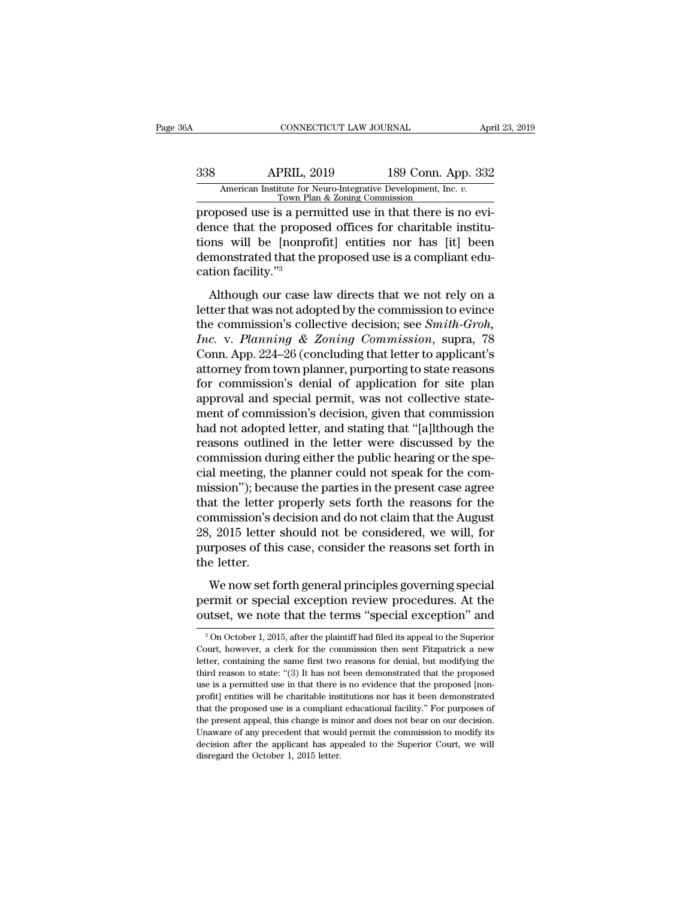## CONNECTICUT LAW JOURNAL April 23, 2019<br>338 APRIL, 2019 189 Conn. App. 332<br>American Institute for Neuro-Integrative Development, Inc. v.<br>Town Plan & Zoning Commission CONNECTICUT LAW JOURNAL April 23, 2019<br>
338 APRIL, 2019 189 Conn. App. 332<br>
American Institute for Neuro-Integrative Development, Inc. *v.*<br>
Town Plan & Zoning Commission<br>
proposed use is a permitted use in that there is n

cONNECTICUT LAW JOURNAL Appr<br>
338 APRIL, 2019 189 Conn. App. 332<br>
American Institute for Neuro-Integrative Development, Inc. *v.*<br>
Town Plan & Zoning Commission<br>
proposed use is a permitted use in that there is no evi-<br>
de dence that the proposed use is a permitted that the proposed use is a permitted use in that there is no evidence that the proposed offices for charitable institutions will be [nonprofit] entities nor has [it] been demonstr 338 APRIL, 2019 189 Conn. App. 332<br>American Institute for Neuro-Integrative Development, Inc.  $v$ .<br>Town Plan & Zoning Commission<br>proposed use is a permitted use in that there is no evi-<br>dence that the proposed offices for  $\begin{tabular}{ll} \multicolumn{1}{l}{{\bf A}l} & {\bf A}l & {\bf Bl} & {\bf Bl} & {\bf Bl} & {\bf Bl} & {\bf Bl} & {\bf Conn} & {\bf Ap} & {\bf Bl} \\ \hline {\multicolumn{1}{l}{{\bf A}l} & {\bf Bu} & {\bf Bu} & {\bf Bu} & {\bf Bu} & {\bf Bu} & {\bf Bu} & {\bf Bu} & {\bf Bu} & {\bf Bu} \\ \hline \multicolumn{1}{l}{\bf Av} & {\bf Bv} & {\bf Bv} & {\bf Bv} & {\bf Bv} & {\bf Bv} & {\bf Bv} & {\bf Bv} & {\bf Bv} \\$ American Institute for N<br>
Town Pla<br>
proposed use is a perr<br>
dence that the propos<br>
tions will be [nonpr<br>
demonstrated that the<br>
cation facility."<sup>3</sup><br>
Although our case l oposed use is a permitted use in that there is no evi-<br>nce that the proposed offices for charitable institu-<br>nns will be [nonprofit] entities nor has [it] been<br>monstrated that the proposed use is a compliant edu-<br>tion fac dence that the proposed disc in that there is no evidence that the proposed offices for charitable institu-<br>tions will be [nonprofit] entities nor has [it] been<br>demonstrated that the proposed use is a compliant edu-<br>catio

tions will be [nonprofit] entities nor has [it] been<br>demonstrated that the proposed use is a compliant edu-<br>cation facility."<sup>3</sup><br>Although our case law directs that we not rely on a<br>letter that was not adopted by the commis *Inc. Planning Commission and Perfection facility.*<sup>73</sup><br> *Increase Admonstrated that the proposed use is a compliant education facility.*<sup>73</sup><br> *Although our case law directs that we not rely on a letter that was not adop* cation facility."<sup>3</sup><br>
Although our case law directs that we not rely on a<br>
letter that was not adopted by the commission to evince<br>
the commission's collective decision; see *Smith-Groh*,<br> *Inc.* v. *Planning & Zoning Comm* Although our case law directs that we not rely on a<br>letter that was not adopted by the commission to evince<br>the commission's collective decision; see *Smith-Groh*,<br>*Inc.* v. *Planning & Zoning Commission*, supra, 78<br>Conn. Although our case law directs that we not rely on a<br>letter that was not adopted by the commission to evince<br>the commission's collective decision; see *Smith-Groh*,<br>*Inc.* v. *Planning* & *Zoning Commission*, supra, 78<br>Conn letter that was not adopted by the commission to evince<br>the commission's collective decision; see *Smith-Groh*,<br>*Inc.* v. *Planning & Zoning Commission*, supra, 78<br>Conn. App. 224–26 (concluding that letter to applicant's<br>a the commission's collective decision; see *Smith-Groh*,<br> *Inc.* v. Planning & Zoning Commission, supra, 78<br>
Conn. App. 224–26 (concluding that letter to applicant's<br>
attorney from town planner, purporting to state reasons<br> Inc. v. Planning & Zoning Commission, supra, 78<br>Conn. App. 224–26 (concluding that letter to applicant's<br>attorney from town planner, purporting to state reasons<br>for commission's denial of application for site plan<br>approval Conn. App. 224–26 (concluding that letter to applicant's<br>attorney from town planner, purporting to state reasons<br>for commission's denial of application for site plan<br>approval and special permit, was not collective state-<br>m attorney from town planner, purporting to state reasons<br>for commission's denial of application for site plan<br>approval and special permit, was not collective state-<br>ment of commission's decision, given that commission<br>had n for commission's denial of application for site plan<br>approval and special permit, was not collective state-<br>ment of commission's decision, given that commission<br>had not adopted letter, and stating that "[a]lthough the<br>reas approval and special permit, was not collective statement of commission's decision, given that commission<br>had not adopted letter, and stating that "[a]lthough the<br>reasons outlined in the letter were discussed by the<br>commis ment of commission's decision, given that commission<br>had not adopted letter, and stating that "[a]lthough the<br>reasons outlined in the letter were discussed by the<br>commission during either the public hearing or the spe-<br>cia had not adopted letter, and stating that "[a]lthough the reasons outlined in the letter were discussed by the commission during either the public hearing or the special meeting, the planner could not speak for the commissi reasons outlined in the letter were discussed by the commission during either the public hearing or the special meeting, the planner could not speak for the commission"); because the parties in the present case agree that commission during either the public hearing or the special meeting, the planner could not speak for the commission"); because the parties in the present case agree that the letter properly sets forth the reasons for the co cial meeting, the<br>mission"); beca<br>that the letter<br>commission's d<br>28, 2015 letter<br>purposes of thi<br>the letter.<br>We now set f SECT 3, Secular the parties in the present case agree<br>at the letter properly sets forth the reasons for the<br>mmission's decision and do not claim that the August<br>, 2015 letter should not be considered, we will, for<br>reposes rada and leadst property sees total are reasons for all<br>commission's decision and do not claim that the August<br>28, 2015 letter should not be considered, we will, for<br>purposes of this case, consider the reasons set forth in 28, 2015 letter should not be considered, we will, for<br>purposes of this case, consider the reasons set forth in<br>the letter.<br>We now set forth general principles governing special<br>permit or special exception review procedur

We now set forth general principles governing special<br>permit or special exception review procedures. At the<br>outset, we note that the terms "special exception" and<br> $\frac{3}{100}$  October 1, 2015, after the plaintiff had filed We now set forth general principles governing special<br>permit or special exception review procedures. At the<br>outset, we note that the terms "special exception" and<br> $\frac{3}{100}$  October 1, 2015, after the plaintiff had filed

permit or special exception review procedures. At the outset, we note that the terms "special exception" and  $\frac{3}{100}$  October 1, 2015, after the plaintiff had filed its appeal to the Superior Court, however, a clerk for outset, we note that the terms "special exception" and<br>
<sup>3</sup> On October 1, 2015, after the plaintiff had filed its appeal to the Superior<br>
Court, however, a clerk for the commission then sent Fitzpatrick a new<br>
letter, con outset, we note that the terms spectar exception and  $\frac{1}{3}$  on October 1, 2015, after the plaintiff had filed its appeal to the Superior Court, however, a clerk for the commission then sent Fitzpatrick a new letter, co <sup>3</sup> On October 1, 2015, after the plaintiff had filed its appeal to the Superior Court, however, a clerk for the commission then sent Fitzpatrick a new letter, containing the same first two reasons for denial, but modifyi Court, however, a clerk for the commission then sent Fitzpatrick a new<br>letter, containing the same first two reasons for denial, but modifying the<br>third reason to state: "(3) It has not been demonstrated that the proposed Letter, containing the same first two reasons for denial, but modifying the letter, containing the same first two reasons for denial, but modifying the third reason to state: "(3) It has not been demonstrated that the prop Unity reason to state: "(3) It has not been demonstrated that the proposed use is a permitted use in that there is no evidence that the proposed [non-profit] entities will be charitable institutions nor has it been demons also use is a permitted use in that there is no evidence that the proposed [non-<br>profit] entities will be charitable institutions nor has it been demonstrated<br>that the proposed use is a compliant educational facility." For are the proposed use in a compliant<br>profit] entities will be charitable insitiant the proposed use is a compliant<br>the present appeal, this change is mi<br>Unaware of any precedent that would<br>decision after the applicant has a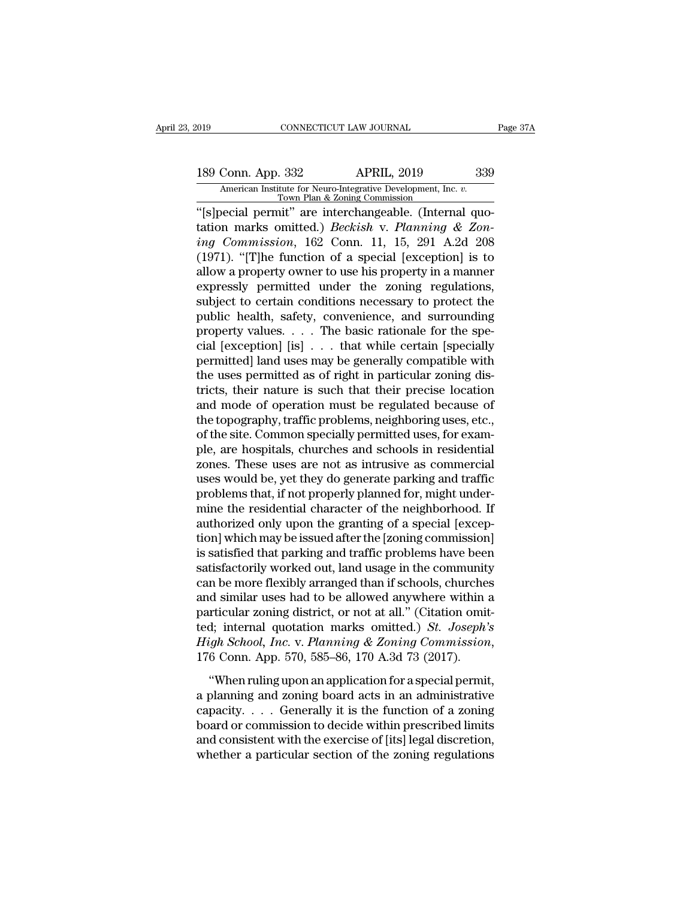# 189 Connectricut LAW JOURNAL Page 37A<br>
189 Conn. App. 332 APRIL, 2019 339<br>
American Institute for Neuro-Integrative Development, Inc. v.<br>
Town Plan & Zoning Commission Xalis Conn. App. 332 APRIL, 2019 339<br>
American Institute for Neuro-Integrative Development, Inc. *v.* Town Plan & Zoning Commission<br>
"[s]pecial permit" are interchangeable. (Internal quo-

CONNECTICUT LAW JOURNAL<br>
189 Conn. App. 332 APRIL, 2019 339<br>
American Institute for Neuro-Integrative Development, Inc. v.<br>
Town Plan & Zoning Commission<br>
"[s]pecial permit" are interchangeable. (Internal quotation marks o 189 Conn. App. 332 APRIL, 2019 339<br>
American Institute for Neuro-Integrative Development, Inc. *v.*<br>
Town Plan & Zoning Commission<br>
"[s]pecial permit" are interchangeable. (Internal quotation marks omitted.) *Beckish* v. **189 Conn. App. 332** APRIL, 2019 339<br> *American Institute for Neuro-Integrative Development, Inc. v.***<br>
<u>Town Plan & Zoning Commission</u><br>
<b>ii** (s) pecial permit" are interchangeable. (Internal quotation marks omitted.) *Bec* 189 Conn. App. 332 APRIL, 2019 339<br>
American Institute for Neuro-Integrative Development, Inc. v.<br>
Town Plan & Zoning Commission<br>
"[s]pecial permit" are interchangeable. (Internal quo-<br>
tation marks omitted.) *Beckish* v. American Institute for Neuro-Integrative Development, Inc. v.<br>
Town Plan & Zoning Commission<br>
"[s]pecial permit" are interchangeable. (Internal quo-<br>
tation marks omitted.) *Beckish* v. *Planning & Zon-*<br> *ing Commission*, Town Plan & Zoning Commission<br>
"[s]pecial permit" are interchangeable. (Internal quotation marks omitted.) *Beckish v. Planning & Zoning Commission*, 162 Conn. 11, 15, 291 A.2d 208<br>
(1971). "[T]he function of a special [e "[s]pecial permit" are interchangeable. (Internal quotation marks omitted.) *Beckish* v. *Planning* & Zon-<br>*ing Commission*, 162 Conn. 11, 15, 291 A.2d 208<br>(1971). "[T]he function of a special [exception] is to<br>allow a pr tation marks omitted.) *Beckish* v. *Planning* & *Zon-*<br>*ing Commission*, 162 Conn. 11, 15, 291 A.2d 208<br>(1971). "[T]he function of a special [exception] is to<br>allow a property owner to use his property in a manner<br>expres ing Commission, 162 Conn. 11, 15, 291 A.2d 208 (1971). "[T]he function of a special [exception] is to allow a property owner to use his property in a manner expressly permitted under the zoning regulations, subject to cert (1971). "[T]he function of a special [exception] is to allow a property owner to use his property in a manner expressly permitted under the zoning regulations, subject to certain conditions necessary to protect the public allow a property owner to use his property in a manner<br>expressly permitted under the zoning regulations,<br>subject to certain conditions necessary to protect the<br>public health, safety, convenience, and surrounding<br>property v expressly permitted under the zoning regulations,<br>subject to certain conditions necessary to protect the<br>public health, safety, convenience, and surrounding<br>property values.... The basic rationale for the spe-<br>cial [excep subject to certain conditions necessary to protect the<br>public health, safety, convenience, and surrounding<br>property values.... The basic rationale for the spe-<br>cial [exception] [is] ... that while certain [specially<br>permit public health, safety, convenience, and surrounding<br>property values.... The basic rationale for the spe-<br>cial [exception] [is] ... that while certain [specially<br>permitted] land uses may be generally compatible with<br>the us property values.  $\dots$  The basic rationale for the special [exception] [is]  $\dots$  that while certain [specially permitted] land uses may be generally compatible with the uses permitted as of right in particular zoning distr cial [exception] [is] . . . that while certain [specially permitted] land uses may be generally compatible with the uses permitted as of right in particular zoning districts, their nature is such that their precise locatio permitted] land uses may be generally compatible with<br>the uses permitted as of right in particular zoning dis-<br>tricts, their nature is such that their precise location<br>and mode of operation must be regulated because of<br>the the uses permitted as of right in particular zoning districts, their nature is such that their precise location<br>and mode of operation must be regulated because of<br>the topography, traffic problems, neighboring uses, etc.,<br>o tricts, their nature is such that their precise location<br>and mode of operation must be regulated because of<br>the topography, traffic problems, neighboring uses, etc.,<br>of the site. Common specially permitted uses, for exam-<br> and mode of operation must be regulated because of<br>the topography, traffic problems, neighboring uses, etc.,<br>of the site. Common specially permitted uses, for exam-<br>ple, are hospitals, churches and schools in residential<br>z the topography, traffic problems, neighboring uses, etc.,<br>of the site. Common specially permitted uses, for exam-<br>ple, are hospitals, churches and schools in residential<br>zones. These uses are not as intrusive as commercial of the site. Common specially permitted uses, for example, are hospitals, churches and schools in residential zones. These uses are not as intrusive as commercial uses would be, yet they do generate parking and traffic pro ple, are hospitals, churches and schools in residential<br>zones. These uses are not as intrusive as commercial<br>uses would be, yet they do generate parking and traffic<br>problems that, if not properly planned for, might under-<br> zones. These uses are not as intrusive as commercial<br>uses would be, yet they do generate parking and traffic<br>problems that, if not properly planned for, might under-<br>mine the residential character of the neighborhood. If<br>a uses would be, yet they do generate parking and traffic<br>problems that, if not properly planned for, might under-<br>mine the residential character of the neighborhood. If<br>authorized only upon the granting of a special [excepproblems that, if not properly planned for, might under-<br>mine the residential character of the neighborhood. If<br>authorized only upon the granting of a special [excep-<br>tion] which may be issued after the [zoning commission] mine the residential character of the neighborhood. If<br>authorized only upon the granting of a special [exception] which may be issued after the [zoning commission]<br>is satisfied that parking and traffic problems have been<br> authorized only upon the granting of a special [exception] which may be issued after the [zoning commission]<br>is satisfied that parking and traffic problems have been<br>satisfactorily worked out, land usage in the community<br>c tion] which may be issued after the [zoning commission]<br>is satisfied that parking and traffic problems have been<br>satisfactorily worked out, land usage in the community<br>can be more flexibly arranged than if schools, churche is satisfied that parking and traffic problems have been<br>satisfactorily worked out, land usage in the community<br>can be more flexibly arranged than if schools, churches<br>and similar uses had to be allowed anywhere within a<br>p It se more nemety arranged and in seriescal, end are distinct district district and arrive in a reflection constitution in a reflection consider the special permit, internal quotation marks omitted.) *St. Joseph's* is gh particular zoning district, or not at all." (Citation omit-<br>ted; internal quotation marks omitted.) *St. Joseph's*<br>*High School, Inc.* v. *Planning & Zoning Commission*,<br>176 Conn. App. 570, 585–86, 170 A.3d 73 (2017).<br>"W

paracular bonding district, or not at all. (creation of the<br>ted; internal quotation marks omitted.) *St. Joseph's*<br>*High School, Inc.* v. *Planning & Zoning Commission*,<br>176 Conn. App. 570, 585–86, 170 A.3d 73 (2017).<br>"W board or commission to decide within prescribed limits The consistent with the exercise of [18] (2017).<br>
"When ruling upon an application for a special permit,<br>
a planning and zoning board acts in an administrative<br>
capacity.... Generally it is the function of a zoning<br>
board When ruling upon an application for a special permit,<br>a planning and zoning board acts in an administrative<br>capacity....Generally it is the function of a zoning<br>board or commission to decide within prescribed limits<br>and c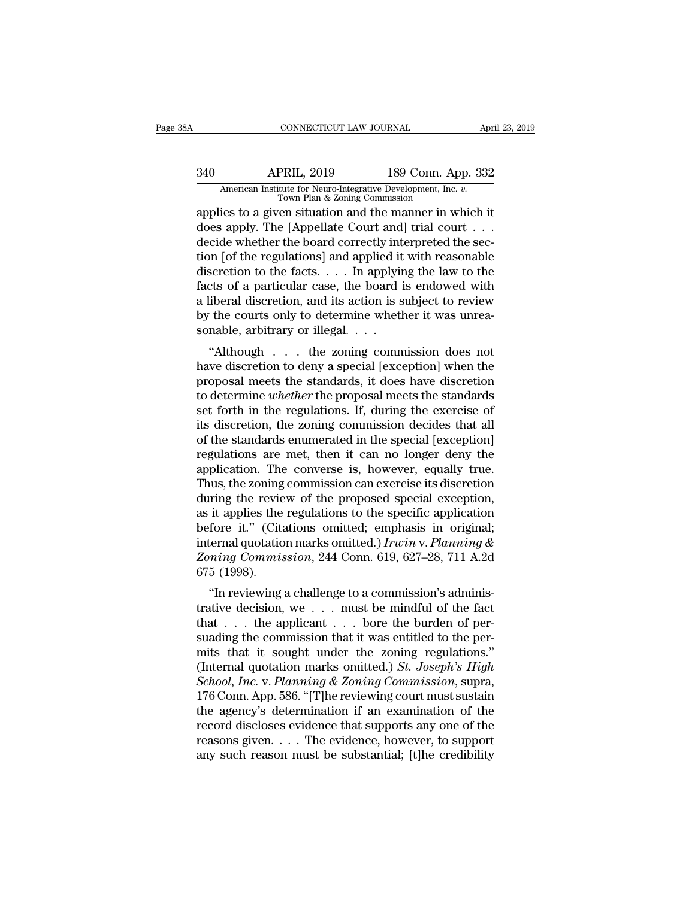# CONNECTICUT LAW JOURNAL April 23, 2019<br>340 APRIL, 2019 189 Conn. App. 332<br>American Institute for Neuro-Integrative Development, Inc. v.<br>Town Plan & Zoning Commission CONNECTICUT LAW JOURNAL April 23, 2019<br>
APRIL, 2019 189 Conn. App. 332<br>
American Institute for Neuro-Integrative Development, Inc. *v.*<br>
Town Plan & Zoning Commission<br>
applies to a given situation and the manner in which i

CONNECTICUT LAW JOURNAL April 23, 2019<br>
340 APRIL, 2019 189 Conn. App. 332<br>
American Institute for Neuro-Integrative Development, Inc. v.<br>
Town Plan & Zoning Commission<br>
applies to a given situation and the manner in which Marican Institute for Neuro-Integrative Development, Inc. *v.*<br>
Town Plan & Zoning Commission<br>
applies to a given situation and the manner in which it<br>
does apply. The [Appellate Court and] trial court . . .<br>
decide whethe  $\frac{\text{APRIL}}{\text{American Institute for Neuro-Integrative Development, Inc. } v. \frac{\text{Tom} \cdot \text{Tom}}{\text{Down Plan & Zoning Commission}}$ <br>
applies to a given situation and the manner in which it does apply. The [Appellate Court and] trial court . . . decide whether the board correctly interpreted the s  $\frac{\text{APRIL}}{\text{American Institute for Neuro-Integrative Development, Inc. } v. \frac{\text{Down Plan & Zoning Commission}}{\text{1000}}$ <br>
applies to a given situation and the manner in which it<br>
does apply. The [Appellate Court and] trial court . . .<br>
decide whether the board correctly interpreted the sec American Institute for Neuro-Integrative Development, Inc. v.<br>
Town Plan & Zoning Commission<br>
applies to a given situation and the manner in which it<br>
does apply. The [Appellate Court and] trial court . . .<br>
decide whether Fown Plan & Zoning Commission<br>applies to a given situation and the manner in which it<br>does apply. The [Appellate Court and] trial court . . .<br>decide whether the board correctly interpreted the sec-<br>tion [of the regulation applies to a given situation and the manner in which it<br>does apply. The [Appellate Court and] trial court  $\dots$ <br>decide whether the board correctly interpreted the sec-<br>tion [of the regulations] and applied it with reasonab does apply. The [Appellate Court and] trial court . . . decide whether the board correctly interpreted the section [of the regulations] and applied it with reasonable discretion to the facts. . . . In applying the law to decide whether the board correctly int<br>tion [of the regulations] and applied it<br>discretion to the facts. . . . In applyir<br>facts of a particular case, the board i<br>a liberal discretion, and its action is s<br>by the courts onl In for the regulations] and applied it with reasonable<br>scretion to the facts. . . . In applying the law to the<br>cts of a particular case, the board is endowed with<br>liberal discretion, and its action is subject to review<br>the discretion to the facts.  $\ldots$  in applying the faw to the facts of a particular case, the board is endowed with a liberal discretion, and its action is subject to review by the courts only to determine whether it was unre

racts of a particular case, the board is endowed with<br>a liberal discretion, and its action is subject to review<br>by the courts only to determine whether it was unrea-<br>sonable, arbitrary or illegal.  $\dots$ <br>"Although  $\dots$  the a meeta uscretion, and its action is subject to review<br>by the courts only to determine whether it was unrea-<br>sonable, arbitrary or illegal. . . .<br>"Although . . . the zoning commission does not<br>have discretion to deny a spe by the courts only to determine whether it was unleased<br>sonable, arbitrary or illegal.  $\ldots$ <br>"Although  $\ldots$  the zoning commission does not<br>have discretion to deny a special [exception] when the<br>proposal meets the standar "Although  $\ldots$  the zoning commission does not<br>"Although  $\ldots$  the zoning commission does not<br>have discretion to deny a special [exception] when the<br>proposal meets the standards, it does have discretion<br>to determine *whet* "Although  $\ldots$  the zoning commission does not<br>have discretion to deny a special [exception] when the<br>proposal meets the standards, it does have discretion<br>to determine *whether* the proposal meets the standards<br>set forth have discretion to deny a special [exception] when the<br>proposal meets the standards, it does have discretion<br>to determine *whether* the proposal meets the standards<br>set forth in the regulations. If, during the exercise of<br> proposal meets the standards, it does have discretion<br>to determine *whether* the proposal meets the standards<br>set forth in the regulations. If, during the exercise of<br>its discretion, the zoning commission decides that all<br> to determine *whether* the proposal meets the standards<br>set forth in the regulations. If, during the exercise of<br>its discretion, the zoning commission decides that all<br>of the standards enumerated in the special [exception] set forth in the regulations. If, during the exercise of<br>its discretion, the zoning commission decides that all<br>of the standards enumerated in the special [exception]<br>regulations are met, then it can no longer deny the<br>app its discretion, the zoning commission decides that all<br>of the standards enumerated in the special [exception]<br>regulations are met, then it can no longer deny the<br>application. The converse is, however, equally true.<br>Thus, of the standards enumerated in the special [exception]<br>regulations are met, then it can no longer deny the<br>application. The converse is, however, equally true.<br>Thus, the zoning commission can exercise its discretion<br>durin regulations are met, then it can no longer deny the<br>application. The converse is, however, equally true.<br>Thus, the zoning commission can exercise its discretion<br>during the review of the proposed special exception,<br>as it ap application. The converse is, however, equally true.<br>Thus, the zoning commission can exercise its discretion<br>during the review of the proposed special exception,<br>as it applies the regulations to the specific application<br>be Thus, the zoning<br>during the revie<br>as it applies the<br>before it." (Cita<br>internal quotatio<br>Zoning Commis<br>675 (1998).<br>"In reviewing The review of the proposed spectal exception,<br>
it applies the regulations to the specific application<br>
fore it." (Citations omitted; emphasis in original;<br>
ternal quotation marks omitted.) Irwin v. Planning &<br>
ming Commis as it applies the regulations to the specific application<br>before it." (Citations omitted, emphasis in original;<br>internal quotation marks omitted.) Irwin v. Planning &<br>Zoning Commission, 244 Conn. 619, 627–28, 711 A.2d<br>675

before it. (Chanons onlifted, enfiphasis in original,<br>internal quotation marks omitted.) Irwin v. Planning &<br>Zoning Commission, 244 Conn. 619, 627–28, 711 A.2d<br>675 (1998).<br>"In reviewing a challenge to a commission's admin suading Commission, 244 Conn. 619, 627–28, 711 A.2d<br>
675 (1998).<br>
"In reviewing a challenge to a commission's administrative decision, we . . . must be mindful of the fact<br>
that . . . the applicant . . . bore the burden o EXAMP COMMISSION, 244 COMI. 019, 027–28, 711 A.2d<br>675 (1998).<br>
"In reviewing a challenge to a commission's administrative decision, we . . . must be mindful of the fact<br>
that . . . the applicant . . . bore the burden of p (1990).<br>
"In reviewing a challenge to a commission's administrative decision, we . . . must be mindful of the fact<br>
that . . . the applicant . . . bore the burden of per-<br>
suading the commission that it was entitled to the "In reviewing a challenge to a commission's administrative decision, we  $\ldots$  must be mindful of the fact that  $\ldots$  the applicant  $\ldots$  bore the burden of persuading the commission that it was entitled to the permits tha trative decision, we . . . must be mindful of the fact<br>that . . . the applicant . . . bore the burden of per-<br>suading the commission that it was entitled to the per-<br>mits that it sought under the zoning regulations."<br>(Int that . . . the applicant . . . bore the burden of per-<br>suading the commission that it was entitled to the per-<br>mits that it sought under the zoning regulations."<br>(Internal quotation marks omitted.) *St. Joseph's High*<br>*Sc* suading the commission that it was entitled to the permits that it sought under the zoning regulations."<br>(Internal quotation marks omitted.) *St. Joseph's High*<br>*School, Inc.* v. *Planning & Zoning Commission*, supra,<br>176 mits that it sought under the zoning regulations."<br>(Internal quotation marks omitted.) *St. Joseph's High*<br>*School, Inc.* v. *Planning & Zoning Commission*, supra,<br>176 Conn. App. 586. "[T]he reviewing court must sustain<br>t (Internal quotation marks omitted.) *St. Joseph's High School, Inc. v. Planning & Zoning Commission*, supra, 176 Conn. App. 586. "[T]he reviewing court must sustain the agency's determination if an examination of the re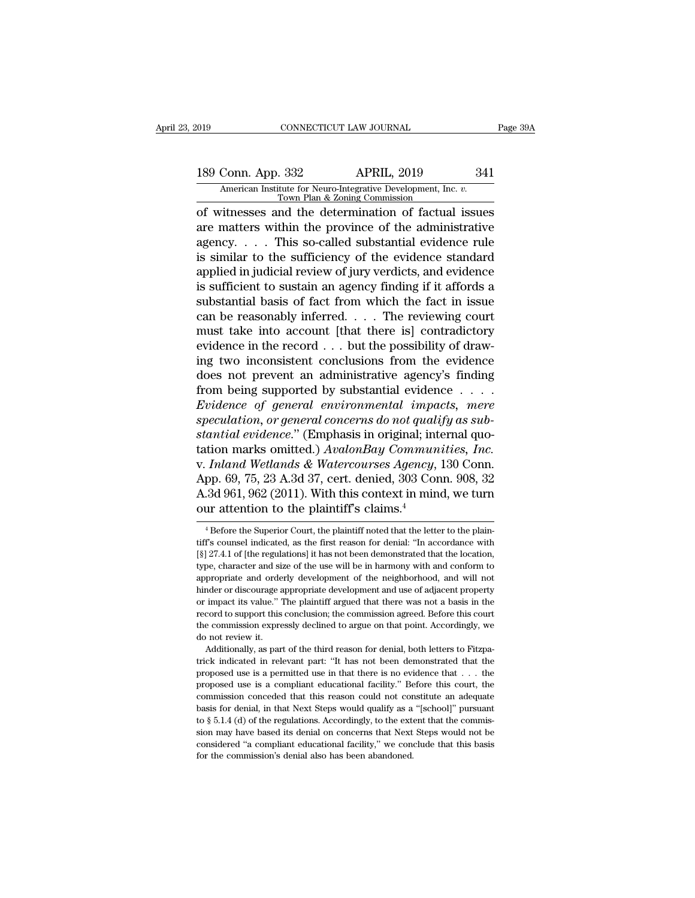# 189 Connectricut LAW JOURNAL Page 39A<br>
189 Conn. App. 332 APRIL, 2019 341<br>
American Institute for Neuro-Integrative Development, Inc. v.<br>
Town Plan & Zoning Commission Xalis Conn. App. 332 APRIL, 2019<br>
American Institute for Neuro-Integrative Development, Inc. *v.* Town Plan & Zoning Commission<br>
of witnesses and the determination of factual issues

CONNECTICUT LAW JOURNAL Page 39A<br>
189 Conn. App. 332 APRIL, 2019 341<br>
American Institute for Neuro-Integrative Development, Inc. v.<br>
Town Plan & Zoning Commission<br>
of witnesses and the determination of factual issues<br>
are 189 Conn. App. 332 APRIL, 2019 341<br>American Institute for Neuro-Integrative Development, Inc. *v.*<br>Town Plan & Zoning Commission<br>of witnesses and the determination of factual issues<br>are matters within the province of the a 189 Conn. App. 332 APRIL, 2019 341<br>American Institute for Neuro-Integrative Development, Inc.  $\overline{v}$ .<br>Town Plan & Zoning Commission<br>of witnesses and the determination of factual issues<br>are matters within the province of 189 Conn. App. 332 APRIL, 2019 341<br>
American Institute for Neuro-Integrative Development, Inc.  $v$ .<br>
Town Plan & Zoning Commission<br>
of witnesses and the determination of factual issues<br>
are matters within the province of American Institute for Neuro-Integrative Development, Inc. *v*.<br>
Town Plan & Zoning Commission<br>
and the determination of factual issues<br>
are matters within the province of the administrative<br>
agency. . . . This so-called s Fown Plan & Zoning Commission<br>
of witnesses and the determination of factual issues<br>
are matters within the province of the administrative<br>
agency.... This so-called substantial evidence rule<br>
is similar to the sufficienc of witnesses and the determination of factual issues<br>are matters within the province of the administrative<br>agency. . . . This so-called substantial evidence rule<br>is similar to the sufficiency of the evidence standard<br>appl are matters within the province of the administrative<br>agency.... This so-called substantial evidence rule<br>is similar to the sufficiency of the evidence standard<br>applied in judicial review of jury verdicts, and evidence<br>is agency. . . . This so-called substantial evidence rule<br>is similar to the sufficiency of the evidence standard<br>applied in judicial review of jury verdicts, and evidence<br>is sufficient to sustain an agency finding if it affo is similar to the sufficiency of the evidence standard<br>applied in judicial review of jury verdicts, and evidence<br>is sufficient to sustain an agency finding if it affords a<br>substantial basis of fact from which the fact in applied in judicial review of jury verdicts, and evidence<br>is sufficient to sustain an agency finding if it affords a<br>substantial basis of fact from which the fact in issue<br>can be reasonably inferred. . . . The reviewing co is sufficient to sustain an agency finding if it affords a<br>substantial basis of fact from which the fact in issue<br>can be reasonably inferred. . . . The reviewing court<br>must take into account [that there is] contradictory<br> substantial basis of fact from which the fact in issue<br>can be reasonably inferred.... The reviewing court<br>must take into account [that there is] contradictory<br>evidence in the record ... but the possibility of draw-<br>ing tw can be reasonably inferred.  $\ldots$  The reviewing court<br>must take into account [that there is] contradictory<br>evidence in the record  $\ldots$  but the possibility of draw-<br>ing two inconsistent conclusions from the evidence<br>does must take into account [that there is] contradictory<br>evidence in the record . . . but the possibility of draw-<br>ing two inconsistent conclusions from the evidence<br>does not prevent an administrative agency's finding<br>from bei evidence in the record . . . but the possibility of drawing two inconsistent conclusions from the evidence does not prevent an administrative agency's finding from being supported by substantial evidence . . . . *Evidence* ing two inconsistent conclusions from the evidence<br>does not prevent an administrative agency's finding<br>from being supported by substantial evidence . . . .<br>*Evidence of general environmental impacts, mere*<br>speculation, or does not prevent an administrative agency's finding<br>from being supported by substantial evidence . . . .<br>*Evidence of general environmental impacts, mere*<br>speculation, or general concerns do not qualify as sub-<br>stantial ev from being supported by substantial evidence  $\dots$ <br> *Evidence of general environmental impacts, mere*<br>
speculation, or general concerns do not qualify as sub-<br>
stantial evidence." (Emphasis in original; internal quo-<br>
tati Evidence of general environmental impacts, mere<br>speculation, or general concerns do not qualify as sub-<br>stantial evidence." (Emphasis in original; internal quo-<br>tation marks omitted.) AvalonBay Communities, Inc.<br>v. Inland speculation, or general concerns do not quali<br>stantial evidence." (Emphasis in original; int<br>tation marks omitted.) AvalonBay Commun<br>v. Inland Wetlands & Watercourses Agency,<br>App. 69, 75, 23 A.3d 37, cert. denied, 303 Cor<br> v. Inland Wetlands & Watercourses Agency, 130 Conn.<br>App. 69, 75, 23 A.3d 37, cert. denied, 303 Conn. 908, 32<br>A.3d 961, 962 (2011). With this context in mind, we turn<br>our attention to the plaintiff's claims.<sup>4</sup><br><sup>4</sup> Before App. 69, 75, 23 A.3d 37, cert. denied, 303 Conn. 908, 32<br>A.3d 961, 962 (2011). With this context in mind, we turn<br>our attention to the plaintiff's claims.<sup>4</sup><br><sup>4</sup> Before the Superior Court, the plaintiff noted that the lett

A.3d 961, 962 (2011). With this context in mind, we turn<br>our attention to the plaintiff's claims.<sup>4</sup><br><sup>4</sup> Before the Superior Court, the plaintiff noted that the letter to the plaintiff's counsel indicated, as the first re our attention to the plaintiff's claims.<sup>4</sup><br>
<sup>4</sup> Before the Superior Court, the plaintiff noted that the letter to the plaintiff's counsel indicated, as the first reason for denial: "In accordance with [§] 27.4.1 of [the r <sup>4</sup> Before the Superior Court, the plaintiff noted that the letter to the plaintiff's counsel indicated, as the first reason for denial: "In accordance with  $[\S]$  27.4.1 of [the regulations] it has not been demonstrated t <sup>4</sup> Before the Superior Court, the plaintiff noted that the letter to the plaintiff's counsel indicated, as the first reason for denial: "In accordance with  $[\S]$  27.4.1 of [the regulations] it has not been demonstrated t tiff's counsel indicated, as the first reason for denial: "In accordance with [§] 27.4.1 of [the regulations] it has not been demonstrated that the location, type, character and size of the use will be in harmony with and If  $\S$ ] 27.4.1 of [the regulations] it has not been demonstrated that the location, type, character and size of the use will be in harmony with and conform to appropriate and orderly development of the neighborhood, and w type, character and size of the use will be in harmony with and conform to appropriate and orderly development of the neighborhood, and will not hinder or discourage appropriate development and use of adjacent property or appropriate and orderly development of the neighborhood, and will not hinder or discourage appropriate development and use of adjacent property or impact its value." The plaintiff argued that there was not a basis in the Frepret of the third reason for denial, both letters to Fitzpa-<br>hader or discourage appropriate development and use of adjacent property<br>impact its value." The plaintiff argued that there was not a basis in the<br>cord to sup or impact its value." The plaintiff argued that there was not a basis in the record to support this conclusion; the commission agreed. Before this court the commission expressly declined to argue on that point. Accordingly

precord to support this conclusion; the commission agreed. Before this court<br>the commission expressly declined to argue on that point. Accordingly, we<br>do not review it.<br>Additionally, as part of the third reason for denial, the commission expressly declined to argue on that point. Accordingly, we do not review it.<br>Additionally, as part of the third reason for denial, both letters to Fitzpatrick indicated in relevant part: "It has not been dem do not review it.<br>
Additionally, as part of the third reason for denial, both letters to Fitzpatrick indicated in relevant part: "It has not been demonstrated that the<br>
proposed use is a permitted use in that there is no e Additionally, as part of the third reason for denial, both letters to Fitzpatrick indicated in relevant part: "It has not been demonstrated that the proposed use is a permitted use in that there is no evidence that  $\dots$  t trick indicated in relevant part: "It has not been demonstrated that the proposed use is a permitted use in that there is no evidence that  $\ldots$  the proposed use is a compliant educational facility." Before this court, th proposed use is a permitted use in that there is no evidence that  $\dots$  the proposed use is a compliant educational facility." Before this court, the commission conceded that this reason could not constitute an adequate ba proposed use is a compliant educational facility." Before this court, the commission conceded that this reason could not constitute an adequate basis for denial, in that Next Steps would qualify as a "[school]" pursuant to for the commission conceded that this reason could not commission conceded that this reason could qualify as a to § 5.1.4 (d) of the regulations. Accordingly, to the extsion may have based its denial on concerns that Next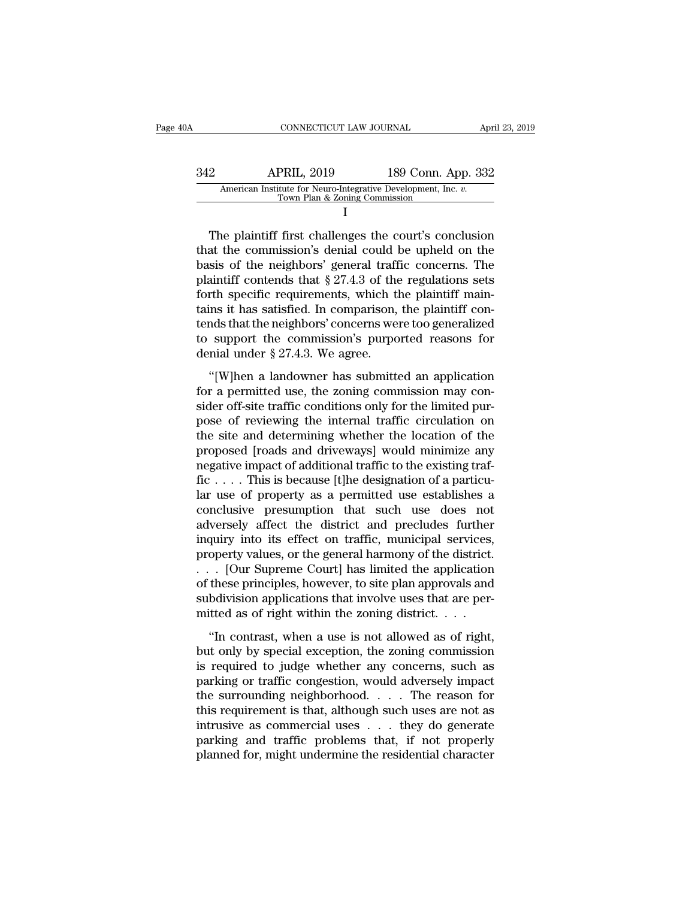## CONNECTICUT LAW JOURNAL April 23, 2019<br>342 APRIL, 2019 189 Conn. App. 332<br>American Institute for Neuro-Integrative Development, Inc. v.<br>Town Plan & Zoning Commission EXECUT LAW JOURNAL AP<br>APRIL, 2019 189 Conn. App. 332<br>American Institute for Neuro-Integrative Development, Inc. *v.* Town Plan & Zoning Commission<br>I I and the set of  $\mathbf I$ 2 APRIL, 2019 189 Conn. App. 332<br>American Institute for Neuro-Integrative Development, Inc. v.<br>Town Plan & Zoning Commission<br>I<br>The plaintiff first challenges the court's conclusion<br>at the commission's denial could be uphel

 $\begin{array}{r} \n 342 \quad \text{APRIL, 2019} \quad \text{189 Conn. App. 332} \n \end{array}$ American Institute for Neuro-Integrative Development, Inc. v.<br>
Town Plan & Zoning Commission<br>
I<br>
The plaintiff first challenges the court's conclusion<br>
that the commi  $\frac{342}{\text{American Institute for Neuro-Integrative Development, Inc. } v.}$ <br>Town Plan & Zoning Commission<br>I<br>The plaintiff first challenges the court's conclusion<br>that the commission's denial could be upheld on the<br>basis of the neighbors' general traffic concerns. The<br> American Institute for Neuro-Integrative Development, Inc. v.<br>
Town Plan & Zoning Commission<br>
I<br>
The plaintiff first challenges the court's conclusion<br>
that the commission's denial could be upheld on the<br>
basis of the neig Forth specific requirements in the plaintiff first challenges the court's conclusion<br>that the commission's denial could be upheld on the<br>basis of the neighbors' general traffic concerns. The<br>plaintiff contends that  $\S 27.$ The plaintiff first challenges the court's conclusion<br>that the commission's denial could be upheld on the<br>basis of the neighbors' general traffic concerns. The<br>plaintiff contends that  $\S 27.4.3$  of the regulations sets<br>fo The plaintiff first challenges the court's conclusion<br>that the commission's denial could be upheld on the<br>basis of the neighbors' general traffic concerns. The<br>plaintiff contends that  $\S 27.4.3$  of the regulations sets<br>fo that the commission's denial could be upheld on the<br>basis of the neighbors' general traffic concerns. The<br>plaintiff contends that  $\S 27.4.3$  of the regulations sets<br>forth specific requirements, which the plaintiff main-<br>t basis of the neighbors' general traff<br>plaintiff contends that  $\S 27.4.3$  of the<br>forth specific requirements, which the<br>tains it has satisfied. In comparison,<br>tends that the neighbors' concerns we<br>to support the commission The specific requirements, which the plaintiff main-<br>
ins it has satisfied. In comparison, the plaintiff con-<br>
and that the neighbors' concerns were too generalized<br>
support the commission's purported reasons for<br>
mial un for a permitted use, then are plantific contains it has satisfied. In comparison, the plaintiff con-<br>tends that the neighbors' concerns were too generalized<br>to support the commission's purported reasons for<br>denial under

sider of the neighbors' concerns were too generalized<br>to support the commission's purported reasons for<br>denial under  $\S 27.4.3$ . We agree.<br>"[W]hen a landowner has submitted an application<br>for a permitted use, the zoning c to support the commission's purported reasons for<br>denial under  $\S 27.4.3$ . We agree.<br>"[W]hen a landowner has submitted an application<br>for a permitted use, the zoning commission may con-<br>sider off-site traffic conditions o the support are commissions purported reasons for<br>denial under § 27.4.3. We agree.<br>"[W]hen a landowner has submitted an application<br>for a permitted use, the zoning commission may con-<br>sider off-site traffic conditions only "[W]hen a landowner has submitted an application<br>for a permitted use, the zoning commission may consider off-site traffic conditions only for the limited pur-<br>pose of reviewing the internal traffic circulation on<br>the site "[W]hen a landowner has submitted an application<br>for a permitted use, the zoning commission may con-<br>sider off-site traffic conditions only for the limited pur-<br>pose of reviewing the internal traffic circulation on<br>the si for a permitted use, the zoning commission may consider off-site traffic conditions only for the limited purpose of reviewing the internal traffic circulation on the site and determining whether the location of the propos sider off-site traffic conditions only for the limited pur-<br>pose of reviewing the internal traffic circulation on<br>the site and determining whether the location of the<br>proposed [roads and driveways] would minimize any<br>negat pose of reviewing the internal traffic circulation on<br>the site and determining whether the location of the<br>proposed [roads and driveways] would minimize any<br>negative impact of additional traffic to the existing traf-<br>fic . the site and determining whether the location of the proposed [roads and driveways] would minimize any megative impact of additional traffic to the existing traffic  $\ldots$ . This is because [t]he designation of a particular proposed [roads and driveways] would minimize any<br>negative impact of additional traffic to the existing traf-<br>fic.....This is because [t]he designation of a particu-<br>lar use of property as a permitted use establishes a<br>co negative impact of additional traffic to the existing traffice . . . . This is because [t]he designation of a particular use of property as a permitted use establishes a conclusive presumption that such use does not advers fic . . . . This is because [t]he designation of a particular use of property as a permitted use establishes a conclusive presumption that such use does not adversely affect the district and precludes further inquiry into lar use of property as a permitted use establishes a<br>conclusive presumption that such use does not<br>adversely affect the district and precludes further<br>inquiry into its effect on traffic, municipal services,<br>property values conclusive presumption that such use does not<br>adversely affect the district and precludes further<br>inquiry into its effect on traffic, municipal services,<br>property values, or the general harmony of the district.<br> $\ldots$  [Our adversely affect the district and precludes further<br>inquiry into its effect on traffic, municipal services,<br>property values, or the general harmony of the district.<br>. . . [Our Supreme Court] has limited the application<br>of "In contrast, when a use is not allowed as of right,<br>
"In contrast, however, to site plan approvals and be principles, however, to site plan approvals and<br>
be principles, however, to site plan approvals and<br>
be be princip but only by specifical exception of these principles, however, to site plan approvals and subdivision applications that involve uses that are permitted as of right within the zoning district.  $\dots$  "In contrast, when a use

 $\cdots$  four suppreme country mas infinited are approvals and<br>of these principles, however, to site plan approvals and<br>subdivision applications that involve uses that are per-<br>mitted as of right within the zoning district. parally and subdivision applications that involve uses that are permitted as of right within the zoning district. . . .<br>
"In contrast, when a use is not allowed as of right,<br>
but only by special exception, the zoning commi the surrounding main invertice as state are permitted as of right within the zoning district. . . .<br>
"In contrast, when a use is not allowed as of right,<br>
but only by special exception, the zoning commission<br>
is required The contrast, when a use is not allowed as of right,<br>
that only by special exception, the zoning commission<br>
is required to judge whether any concerns, such as<br>
parking or traffic congestion, would adversely impact<br>
the s "In contrast, when a use is not allowed as of right,<br>but only by special exception, the zoning commission<br>is required to judge whether any concerns, such as<br>parking or traffic congestion, would adversely impact<br>the surrou but only by special exception, the zoning commission<br>is required to judge whether any concerns, such as<br>parking or traffic congestion, would adversely impact<br>the surrounding neighborhood. . . . The reason for<br>this requirem is required to judge whether any concerns, such as<br>parking or traffic congestion, would adversely impact<br>the surrounding neighborhood.  $\dots$  The reason for<br>this requirement is that, although such uses are not as<br>intrusive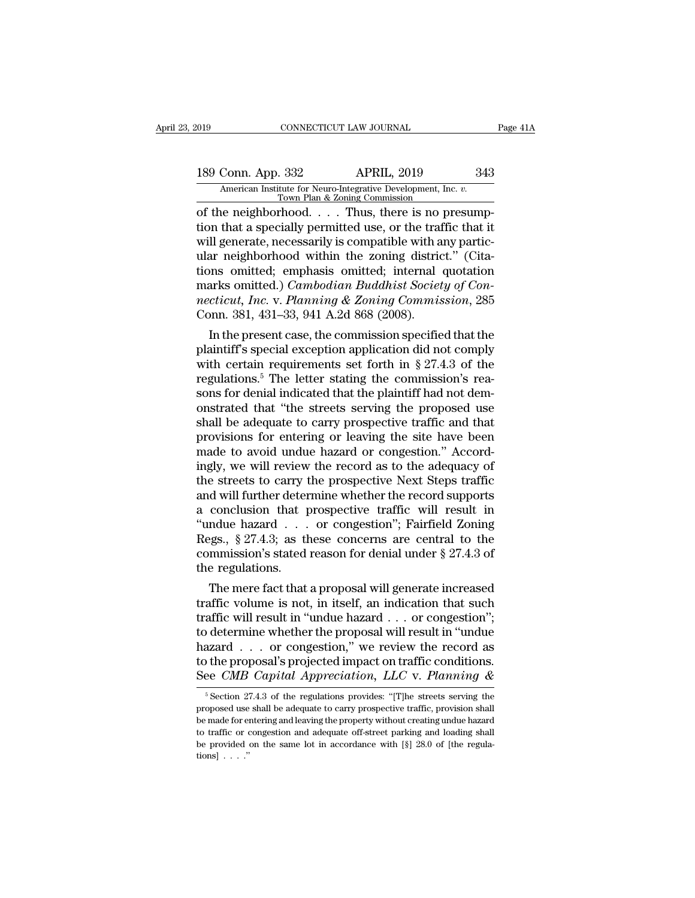189 Connectricut LAW JOURNAL Page 41A<br>
189 Conn. App. 332 APRIL, 2019 343<br>
American Institute for Neuro-Integrative Development, Inc. v.<br>
Town Plan & Zoning Commission Xelpedia American Institute for Neuro-Integrative Development, Inc. *v.* Town Plan & Zoning Commission<br>
of the neighborhood. . . . Thus, there is no presump-

CONNECTICUT LAW JOURNAL<br>
189 Conn. App. 332 APRIL, 2019 343<br>
American Institute for Neuro-Integrative Development, Inc. *v.*<br>
Town Plan & Zoning Commission<br>
of the neighborhood. . . . Thus, there is no presump-<br>
tion that 189 Conn. App. 332 APRIL, 2019 343<br>American Institute for Neuro-Integrative Development, Inc.  $v$ .<br>Town Plan & Zoning Commission<br>of the neighborhood.... Thus, there is no presump-<br>tion that a specially permitted use, or t 189 Conn. App. 332 APRIL, 2019 343<br>
American Institute for Neuro-Integrative Development, Inc.  $v$ .<br>
Town Plan & Zoning Commission<br>
of the neighborhood. . . . Thus, there is no presump-<br>
tion that a specially permitted us 189 Conn. App. 332 APRIL, 2019 343<br>
American Institute for Neuro-Integrative Development, Inc. v.<br>
Town Plan & Zoning Commission<br>
of the neighborhood.... Thus, there is no presump-<br>
tion that a specially permitted use, or The Magnetics of the merican institute for Neuro-Integrative Development, Inc. v.<br>Town Plan & Zoning Commission<br>of the neighborhood.... Thus, there is no presump-<br>tion that a specially permitted use, or the traffic that i Town Plan & Zoning Commission<br>
of the neighborhood. . . . Thus, there is no presump-<br>
tion that a specially permitted use, or the traffic that it<br>
will generate, necessarily is compatible with any partic-<br>
ular neighborhoo of the neighborhood. . . . Thus, there is no presumption that a specially permitted use, or the traffic that it will generate, necessarily is compatible with any particular neighborhood within the zoning district." (Citati tion that a specially permitted use, or the trat<br>will generate, necessarily is compatible with a<br>ular neighborhood within the zoning distric<br>tions omitted; emphasis omitted; internal<br>marks omitted.) *Cambodian Buddhist Soc* In generate, necessarily is compatible with any partic-<br>ar neighborhood within the zoning district." (Cita-<br>ons omitted; emphasis omitted; internal quotation<br>arks omitted.) *Cambodian Buddhist Society of Con-*<br>*ceticut, I* mark metasted; emphasis omitted; internal quotation<br>marks omitted.) Cambodian Buddhist Society of Con-<br>necticut, Inc. v. Planning & Zoning Commission, 285<br>Conn. 381, 431–33, 941 A.2d 868 (2008).<br>In the present case, the c

tions omitted; emphasis omitted; internal quotation<br>marks omitted.) *Cambodian Buddhist Society of Con-*<br>necticut, Inc. v. Planning & Zoning Commission, 285<br>Conn. 381, 431–33, 941 A.2d 868 (2008).<br>In the present case, the marks omitted.) Camoodian Buddhist Society of Connecticut, Inc. v. Planning & Zoning Commission, 285<br>Conn. 381, 431–33, 941 A.2d 868 (2008).<br>In the present case, the commission specified that the<br>plaintiff's special excep mecticut, Inc. v. Pianning & Zoning Commission, 285<br>Conn. 381, 431–33, 941 A.2d 868 (2008).<br>In the present case, the commission specified that the<br>plaintiff's special exception application did not comply<br>with certain requi Conn. 381, 431–33, 941 A.2d 868 (2008).<br>
In the present case, the commission specified that the<br>
plaintiff's special exception application did not comply<br>
with certain requirements set forth in § 27.4.3 of the<br>
regulation In the present case, the commission specified that the plaintiff's special exception application did not comply with certain requirements set forth in  $\S$  27.4.3 of the regulations.<sup>5</sup> The letter stating the commission's plaintiff's special exception application did not comply<br>with certain requirements set forth in § 27.4.3 of the<br>regulations.<sup>5</sup> The letter stating the commission's rea-<br>sons for denial indicated that the plaintiff had not with certain requirements set forth in § 27.4.3 of the regulations.<sup>5</sup> The letter stating the commission's reasons for denial indicated that the plaintiff had not demonstrated that "the streets serving the proposed use sha regulations.<sup>5</sup> The letter stating the commission's reasons for denial indicated that the plaintiff had not demonstrated that "the streets serving the proposed use shall be adequate to carry prospective traffic and that pr sons for denial indicated that the plaintiff had not demonstrated that "the streets serving the proposed use<br>shall be adequate to carry prospective traffic and that<br>provisions for entering or leaving the site have been<br>mad onstrated that "the streets serving the proposed use<br>shall be adequate to carry prospective traffic and that<br>provisions for entering or leaving the site have been<br>made to avoid undue hazard or congestion." Accord-<br>ingly, w shall be adequate to carry prospective traffic and that<br>provisions for entering or leaving the site have been<br>made to avoid undue hazard or congestion." Accord-<br>ingly, we will review the record as to the adequacy of<br>the s provisions for entering or leaving the site have been<br>
made to avoid undue hazard or congestion." Accord-<br>
ingly, we will review the record as to the adequacy of<br>
the streets to carry the prospective Next Steps traffic<br>
a made to avoid undue hazard or congestion." Accordingly, we will review the record as to the adequacy of the streets to carry the prospective Next Steps traffic and will further determine whether the record supports a conc ingly, we will review the record as to the adequacy of<br>the streets to carry the prospective Next Steps traffic<br>and will further determine whether the record supports<br>a conclusion that prospective traffic will result in<br>"u the streets to carry t<br>and will further deter<br>a conclusion that  $\mu$ <br>"undue hazard . . .<br>Regs., § 27.4.3; as the<br>commission's stated<br>the regulations.<br>The mere fact that d will further determine whether the record supports<br>conclusion that prospective traffic will result in<br>ndue hazard . . . or congestion"; Fairfield Zoning<br>ggs., § 27.4.3; as these concerns are central to the<br>mmission's st a conclusion that prospective trainc will result in<br>
"undue hazard . . . or congestion"; Fairfield Zoning<br>
Regs., § 27.4.3; as these concerns are central to the<br>
commission's stated reason for denial under § 27.4.3 of<br>
th

undue nazard . . . or congestion ; Fairfield Zoning<br>Regs., § 27.4.3; as these concerns are central to the<br>commission's stated reason for denial under § 27.4.3 of<br>the regulations.<br>The mere fact that a proposal will generat Regs.,  $\S 27.4.3$ ; as these concerns are central to the<br>commission's stated reason for denial under  $\S 27.4.3$  of<br>the regulations.<br>The mere fact that a proposal will generate increased<br>traffic volume is not, in itself, an commission's stated reason for denial under  $\S 27.4.3$  of<br>the regulations.<br>The mere fact that a proposal will generate increased<br>traffic volume is not, in itself, an indication that such<br>traffic will result in "undue haza the regulations.<br>The mere fact that a proposal will generate increased<br>traffic volume is not, in itself, an indication that such<br>traffic will result in "undue hazard  $\ldots$  or congestion";<br>to determine whether the proposal The mere fact that a proposal will generate increased<br>traffic volume is not, in itself, an indication that such<br>traffic will result in "undue hazard . . . or congestion";<br>to determine whether the proposal will result in "u of determine whether the proposal will result in "undue azard . . . or congestion," we review the record as the proposal's projected impact on traffic conditions.<br>See *CMB Capital Appreciation*, *LLC* v. *Planning &*  $\frac{$ hazard . . . or congestion," we review the record as<br>to the proposal's projected impact on traffic conditions.<br>See *CMB Capital Appreciation*, *LLC* v. *Planning &*<br> $\frac{1}{100}$ <br> $\frac{1}{100}$ <br> $\frac{1}{100}$  section 27.4.3 of th

to the proposal's projected impact on traffic conditions.<br>See *CMB Capital Appreciation*, *LLC* v. *Planning &*<br> $\frac{1}{2}$ <br> $\frac{1}{2}$ <br> $\frac{1}{2}$  cection 27.4.3 of the regulations provides: "[T]he streets serving the<br>proposed See *CMB Capital Appreciation, LLC* v. *Planning &*<br>
<sup>5</sup> Section 27.4.3 of the regulations provides: "[T]he streets serving the proposed use shall be adequate to carry prospective traffic, provision shall be made for ente be CMD Captual Apprecutation, LEC V. Fuantiting  $\alpha$ <br>
<sup>5</sup> Section 27.4.3 of the regulations provides: "[T]he streets serving the<br>
proposed use shall be adequate to carry prospective traffic, provision shall<br>
be made for e  $\frac{1}{2}$  is Section 2<br>proposed use<br>be made for exto traffic or contraffice or  $\frac{1}{2}$ <br>be provided  $\frac{1}{2}$ <br>tions] ......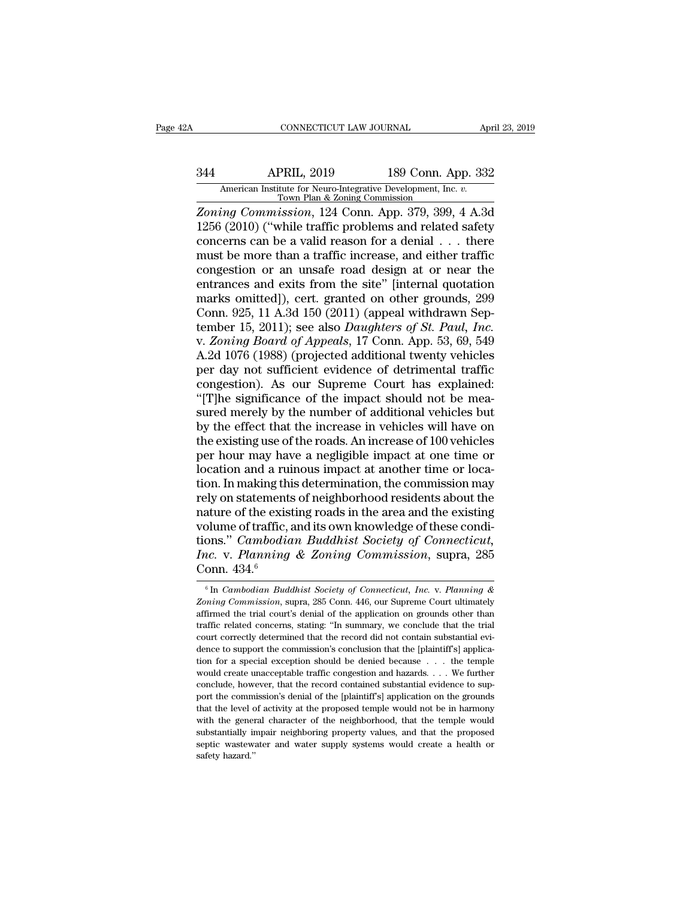# CONNECTICUT LAW JOURNAL April 23, 2019<br>344 APRIL, 2019 189 Conn. App. 332<br>314 American Institute for Neuro-Integrative Development, Inc. v.<br>Town Plan & Zoning Commission EXECUTE CONNECTICUT LAW JOURNAL April 23, 2019<br>
American Institute for Neuro-Integrative Development, Inc. *v.*<br>
<u>Town Plan & Zoning Commission</u><br>
Zoning Commission, 124 Conn. App. 379, 399, 4 A.3d

*Z*ONNECTICUT LAW JOURNAL April 23, 2019<br> *Zoning Commission*, 124 Conn. App. 379, 399, 4 A.3d<br> *Zoning Commission*, 124 Conn. App. 379, 399, 4 A.3d<br> *Zoning Commission*, 124 Conn. App. 379, 399, 4 A.3d<br>
1256 (2010) ("whil 1244 APRIL, 2019 189 Conn. App. 332<br>
American Institute for Neuro-Integrative Development, Inc. v.<br>
12010 (''while traffic problems and related safety<br>
2010) (''while traffic problems and related safety<br>
1256 (2010) (''whi 344 APRIL, 2019 189 Conn. App. 332<br>American Institute for Neuro-Integrative Development, Inc. v.<br>Town Plan & Zoning Commission<br>Zoning Commission, 124 Conn. App. 379, 399, 4 A.3d<br>1256 (2010) ("while traffic problems and re 344 APRIL, 2019 189 Conn. App. 332<br>
American Institute for Neuro-Integrative Development, Inc. *v.*<br>
Town Plan & Zoning Commission<br> *Zoning Commission*, 124 Conn. App. 379, 399, 4 A.3d<br>
1256 (2010) ("while traffic problem American Institute for Neuro-Integrative Development, Inc. v.<br>
Town Plan & Zoning Commission<br>
Zoning Commission, 124 Conn. App. 379, 399, 4 A.3d<br>
1256 (2010) ("while traffic problems and related safety<br>
concerns can be a v From Plan & Zoning Commission.<br>
Zoning Commission, 124 Conn. App. 379, 399, 4 A.3d<br>
1256 (2010) ("while traffic problems and related safety<br>
concerns can be a valid reason for a denial . . . there<br>
must be more than a tra Zoning Commission, 124 Conn. App. 379, 399, 4 A.3d<br>1256 (2010) ("while traffic problems and related safety<br>concerns can be a valid reason for a denial . . . there<br>must be more than a traffic increase, and either traffic<br>c 1256 (2010) ("while traffic problems and related safety<br>concerns can be a valid reason for a denial  $\ldots$  there<br>must be more than a traffic increase, and either traffic<br>congestion or an unsafe road design at or near the<br>e concerns can be a valid reason for a denial . . . there<br>must be more than a traffic increase, and either traffic<br>congestion or an unsafe road design at or near the<br>entrances and exits from the site" [internal quotation<br>mar must be more than a traffic increase, and either traffic<br>congestion or an unsafe road design at or near the<br>entrances and exits from the site" [internal quotation<br>marks omitted]), cert. granted on other grounds, 299<br>Conn. congestion or an unsafe road design at or near the<br>entrances and exits from the site" [internal quotation<br>marks omitted]), cert. granted on other grounds, 299<br>Conn. 925, 11 A.3d 150 (2011) (appeal withdrawn Sep-<br>tember 15, entrances and exits from the site" [internal quotation<br>marks omitted]), cert. granted on other grounds, 299<br>Conn. 925, 11 A.3d 150 (2011) (appeal withdrawn Sep-<br>tember 15, 2011); see also *Daughters of St. Paul, Inc.*<br>v. Z marks omitted]), cert. granted on other grounds, 299<br>Conn. 925, 11 A.3d 150 (2011) (appeal withdrawn Sep-<br>tember 15, 2011); see also *Daughters of St. Paul, Inc.*<br>v. *Zoning Board of Appeals*, 17 Conn. App. 53, 69, 549<br>A.2 Conn. 925, 11 A.3d 150 (2011) (appeal withdrawn September 15, 2011); see also *Daughters of St. Paul, Inc.*<br>v. Zoning Board of Appeals, 17 Conn. App. 53, 69, 549<br>A.2d 1076 (1988) (projected additional twenty vehicles<br>per tember 15, 2011); see also *Daughters of St. Paul, Inc.*<br>v. Zoning Board of Appeals, 17 Conn. App. 53, 69, 549<br>A.2d 1076 (1988) (projected additional twenty vehicles<br>per day not sufficient evidence of detrimental traffic<br> v. Zoning Board of Appeals, 17 Conn. App. 53, 69, 549<br>A.2d 1076 (1988) (projected additional twenty vehicles<br>per day not sufficient evidence of detrimental traffic<br>congestion). As our Supreme Court has explained:<br>"[T]he s A.2d 1076 (1988) (projected additional twenty vehicles<br>per day not sufficient evidence of detrimental traffic<br>congestion). As our Supreme Court has explained:<br>"[T]he significance of the impact should not be mea-<br>sured mere per day not sufficient evidence of detrimental traffic<br>congestion). As our Supreme Court has explained:<br>"[T]he significance of the impact should not be mea-<br>sured merely by the number of additional vehicles but<br>by the effe congestion). As our Supreme Court has explained:<br>"[T]he significance of the impact should not be measured merely by the number of additional vehicles but<br>by the effect that the increase in vehicles will have on<br>the existin "[T]he significance of the impact should not be mea-<br>sured merely by the number of additional vehicles but<br>by the effect that the increase in vehicles will have on<br>the existing use of the roads. An increase of 100 vehicles sured merely by the number of additional vehicles but<br>by the effect that the increase in vehicles will have on<br>the existing use of the roads. An increase of 100 vehicles<br>per hour may have a negligible impact at one time or by the effect that the increase in vehicles will have on<br>the existing use of the roads. An increase of 100 vehicles<br>per hour may have a negligible impact at one time or<br>location and a ruinous impact at another time or loca the existing use of the roads. An increase of 100 vehicles<br>per hour may have a negligible impact at one time or<br>location and a ruinous impact at another time or loca-<br>tion. In making this determination, the commission may<br> per hour may have a negligible impact at one time or<br>location and a ruinous impact at another time or loca-<br>tion. In making this determination, the commission may<br>rely on statements of neighborhood residents about the<br>natu Iocation and a ruinous impact at another time or location. In making this determination, the commission may rely on statements of neighborhood residents about the nature of the existing roads in the area and the existing v tion. In making thin<br>rely on statements<br>nature of the exis<br>volume of traffic,<br>tions." *Cambodia*<br>Inc. v. Planning<br>Conn. 434.<sup>6</sup> blume of traffic, and its own knowledge of these condi-<br>ons." *Cambodian Buddhist Society of Connecticut*,<br>*ic.* v. *Planning & Zoning Commission*, supra, 285<br>onn. 434.<sup>6</sup><br><sup>6</sup> In *Cambodian Buddhist Society of Connecticut Zoming & Zoning Commission*, supra, 285<br>*Zonn. 434.<sup>6</sup>*<br><sup>6</sup> In *Cambodian Buddhist Society of Connecticut, Inc. v. Planning &<br><i>Zoning Commission*, supra, 285 Conn. 446, our Supreme Court ultimately<br>affirmed the trial cour

Inc. v. Planning & Zoning Commission, supra, 285<br>Conn. 434.<sup>6</sup><br><sup>6</sup>In Cambodian Buddhist Society of Connecticut, Inc. v. Planning &<br>Zoning Commission, supra, 285 Conn. 446, our Supreme Court ultimately<br>affirmed the trial co Frace v. Fundalely  $\alpha$  *Zooting Commussion,* suppla, 200<br>Conn. 434.<sup>6</sup><br><sup>6</sup> In *Cambodian Buddhist Society of Connecticut, Inc. v. Planning &<br><i>Zoning Commission*, supra, 285 Conn. 446, our Supreme Court ultimately<br>affirme **Conn.** 434.<sup>6</sup><br>
<sup>6</sup> In *Cambodian Buddhist Society of Connecticut, Inc.* v. *Planning & Zoning Commission*, supra, 285 Conn. 446, our Supreme Court ultimately affirmed the trial court's denial of the application on groun <sup>6</sup> In *Cambodian Buddhist Society of Connecticut, Inc. v. Planning & Zoning Commission, suppra, 285 Conn. 446, our Supreme Court ultimately affirmed the trial court's denial of the application on grounds other than traff* Zoning Commission, supra, 285 Conn. 446, our Supreme Court ultimately affirmed the trial court's denial of the application on grounds other than traffic related concerns, stating: "In summary, we conclude that the trial c affirmed the trial court's denial of the application on grounds other than traffic related concerns, stating: "In summary, we conclude that the trial court correctly determined that the record did not contain substantial e traffic related concerns, stating: "In summary, we conclude that the trial court correctly determined that the record did not contain substantial evidence to support the commission's conclusion that the [plaintiff's] appl court correctly determined that the record did not contain substantial evidence to support the commission's conclusion that the [plaintiff's] application for a special exception should be denied because . . . the temple wo dence to support the commission's conclusion that the [plaintiff's] application for a special exception should be denied because . . . the temple would create unacceptable traffic congestion and hazards. . . . We further c tion for a special exception should be denied because . . . the temple would create unacceptable traffic congestion and hazards. . . . We further conclude, however, that the record contained substantial evidence to suppor substantially impair increases in the substantial evidence to support the conclude, however, that the record contained substantial evidence to support the commission's denial of the [plaintiff's] application on the ground would create unacceptable traffic congestion and hazards. . . . We further conclude, however, that the record contained substantial evidence to support the commission's denial of the [plaintiff's] application on the groun port the commission's denial of the [plaintiff's] application on the grounds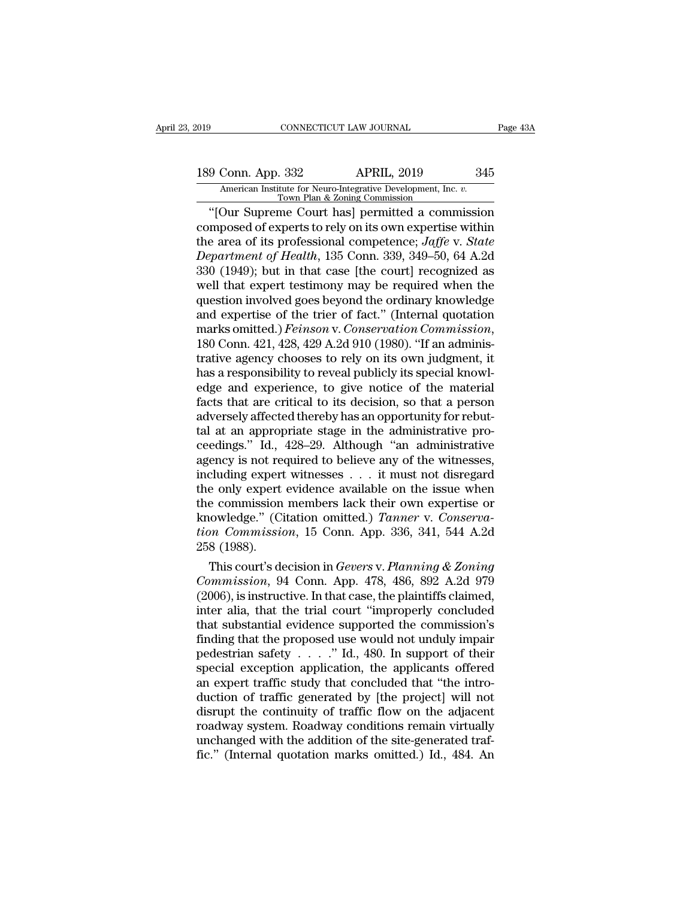# 189 Conn. App. 332 APRIL, 2019 345<br>American Institute for Neuro-Integrative Development, Inc. v.<br>Town Plan & Zoning Commission Xamerican Institute for Neuro-Integrative Development, Inc. *v.* Town Plan & Zoning Commission<br>Town Plan & Zoning Commission<br>Town Plan & Zoning Commission<br>Town Plan & Zoning Commission

Fage 43A<br>
9 Conn. App. 332 APRIL, 2019 345<br>
American Institute for Neuro-Integrative Development, Inc. v.<br>
Town Plan & Zoning Commission<br>
"[Our Supreme Court has] permitted a commission<br>
mposed of experts to rely on its ow 189 Conn. App. 332 APRIL, 2019 345<br>American Institute for Neuro-Integrative Development, Inc. *v.*<br>Town Plan & Zoning Commission<br>"[Our Supreme Court has] permitted a commission<br>composed of experts to rely on its own expert 189 Conn. App. 332 APRIL, 2019 345<br>American Institute for Neuro-Integrative Development, Inc. *v.*<br>Town Plan & Zoning Commission<br>"[Our Supreme Court has] permitted a commission<br>composed of experts to rely on its own expert 189 Conn. App. 332 APRIL, 2019 345<br> *American Institute for Neuro-Integrative Development, Inc. v.*<br> *Town Plan & Zoning Commission*<br>
"[Our Supreme Court has] permitted a commission<br>
composed of experts to rely on its own South Tept 332<br>
American Institute for Neuro-Integrative Development, Inc. v.<br>
Town Plan & Zoning Commission<br>
"[Our Supreme Court has] permitted a commission<br>
composed of experts to rely on its own expertise within<br>
the ar Town Plan & Zoning Commission<br>
"Town Plan & Zoning Commission"<br>
"[Our Supreme Court has] permitted a commission<br>
the area of its professional competence; *Jaffe* v. *State*<br> *Department of Health*, 135 Conn. 339, 349–50, "[Our Supreme Court has] permitted a commission<br>composed of experts to rely on its own expertise within<br>the area of its professional competence; *Jaffe v. State*<br>*Department of Health*, 135 Conn. 339, 349–50, 64 A.2d<br>330 composed of experts to rely on its own expertise within<br>the area of its professional competence; Jaffe v. State<br>Department of Health, 135 Conn. 339, 349–50, 64 A.2d<br>330 (1949); but in that case [the court] recognized as<br>we the area of its professional competence; *Jaffe* v. *State*<br>Department of Health, 135 Conn. 339, 349–50, 64 A.2d<br>330 (1949); but in that case [the court] recognized as<br>well that expert testimony may be required when the<br>qu 330 (1949); but in that case [the court] recognized as<br>well that expert testimony may be required when the<br>question involved goes beyond the ordinary knowledge<br>and expertise of the trier of fact." (Internal quotation<br>mark well that expert testimony may be required when the<br>question involved goes beyond the ordinary knowledge<br>and expertise of the trier of fact." (Internal quotation<br>marks omitted.) *Feinson* v. Conservation Commission,<br>180 Co question involved goes beyond the ordinary knowledge<br>and expertise of the trier of fact." (Internal quotation<br>marks omitted.) *Feinson* v. Conservation Commission,<br>180 Conn. 421, 428, 429 A.2d 910 (1980). "If an adminis-<br>t and expertise of the trier of fact." (Internal quotation<br>marks omitted.) *Feinson* v. Conservation Commission,<br>180 Conn. 421, 428, 429 A.2d 910 (1980). "If an adminis-<br>trative agency chooses to rely on its own judgment, it marks omitted.) *Feinson* v. Conservation Commission,<br>180 Conn. 421, 428, 429 A.2d 910 (1980). "If an adminis-<br>trative agency chooses to rely on its own judgment, it<br>has a responsibility to reveal publicly its special know 180 Conn. 421, 428, 429 A.2d 910 (1980). "If an administrative agency chooses to rely on its own judgment, it has a responsibility to reveal publicly its special knowledge and experience, to give notice of the material fa trative agency chooses to rely on its own judgment, it<br>has a responsibility to reveal publicly its special knowl-<br>edge and experience, to give notice of the material<br>facts that are critical to its decision, so that a perso has a responsibility to reveal publicly its special knowledge and experience, to give notice of the material facts that are critical to its decision, so that a person adversely affected thereby has an opportunity for rebu edge and experience, to give notice of the material facts that are critical to its decision, so that a person adversely affected thereby has an opportunity for rebuttal at an appropriate stage in the administrative proceed facts that are critical to its decision, so that a person<br>adversely affected thereby has an opportunity for rebut-<br>tal at an appropriate stage in the administrative pro-<br>ceedings." Id., 428–29. Although "an administrative adversely affected thereby has an opportunity for rebut-<br>tal at an appropriate stage in the administrative pro-<br>ceedings." Id., 428–29. Although "an administrative<br>agency is not required to believe any of the witnesses,<br>in tal at an appropriate stage in the administrative proceedings." Id., 428–29. Although "an administrative agency is not required to believe any of the witnesses, including expert witnesses . . . it must not disregard the on ceedings." Id., 428–29. Although "an administrative agency is not required to believe any of the witnesses, including expert witnesses . . . it must not disregard the only expert evidence available on the issue when the co agency is not reincluding expert<br>the only expert<br>the commission<br>knowledge." (Ci<br>tion Commissio<br>258 (1988).<br>This court's de cluding expert witnesses . . . it must not disregard<br>e only expert evidence available on the issue when<br>e commission members lack their own expertise or<br>owledge." (Citation omitted.) *Tanner* v. *Conserva-*<br>on *Commission* the only expert evidence available on the issue when<br>
the commission members lack their own expertise or<br>
knowledge." (Citation omitted.) *Tanner v. Conserva-*<br> *Commission*, 15 Conn. App. 336, 341, 544 A.2d<br>
258 (1988).<br>

the commission members lack their own expertise or<br>knowledge." (Citation omitted.) *Tanner v. Conserva-<br>tion Commission*, 15 Conn. App. 336, 341, 544 A.2d<br>258 (1988).<br>This court's decision in *Gevers v. Planning & Zoning<br>* knowledge." (Citation omitted.) Tanner v. Conserva-<br>tion Commission, 15 Conn. App. 336, 341, 544 A.2d<br>258 (1988).<br>This court's decision in Gevers v. Planning & Zoning<br>Commission, 94 Conn. App. 478, 486, 892 A.2d 979<br>(2006 tron Commission, 15 Conn. App. 336, 341, 544 A.2d<br>258 (1988).<br>This court's decision in *Gevers v. Planning & Zoning*<br>*Commission*, 94 Conn. App. 478, 486, 892 A.2d 979<br>(2006), is instructive. In that case, the plaintiffs 258 (1988).<br>
This court's decision in *Gevers v. Planning & Zoning*<br> *Commission*, 94 Conn. App. 478, 486, 892 A.2d 979<br>
(2006), is instructive. In that case, the plaintiffs claimed,<br>
inter alia, that the trial court "imp This court's decision in *Gevers v. Planning & Zoning*<br>Commission, 94 Conn. App. 478, 486, 892 A.2d 979<br>(2006), is instructive. In that case, the plaintiffs claimed,<br>inter alia, that the trial court "improperly concluded<br> Commission, 94 Conn. App. 478, 486, 892 A.2d 979 (2006), is instructive. In that case, the plaintiffs claimed, inter alia, that the trial court "improperly concluded that substantial evidence supported the commission's fi (2006), is instructive. In that case, the plaintiffs claimed,<br>inter alia, that the trial court "improperly concluded<br>that substantial evidence supported the commission's<br>finding that the proposed use would not unduly impa inter alia, that the trial court "improperly concluded<br>that substantial evidence supported the commission's<br>finding that the proposed use would not unduly impair<br>pedestrian safety  $\ldots$ ." Id., 480. In support of their<br>spe that substantial evidence supported the commission's<br>finding that the proposed use would not unduly impair<br>pedestrian safety  $\ldots$ ." Id., 480. In support of their<br>special exception application, the applicants offered<br>an e finding that the proposed use would not unduly impair<br>pedestrian safety  $\ldots$  ." Id., 480. In support of their<br>special exception application, the applicants offered<br>an expert traffic study that concluded that "the intro-<br> pedestrian safety . . . . ." Id., 480. In support of their special exception application, the applicants offered an expert traffic study that concluded that "the introduction of traffic generated by [the project] will not special exception application, the applicants offered<br>an expert traffic study that concluded that "the intro-<br>duction of traffic generated by [the project] will not<br>disrupt the continuity of traffic flow on the adjacent<br>ro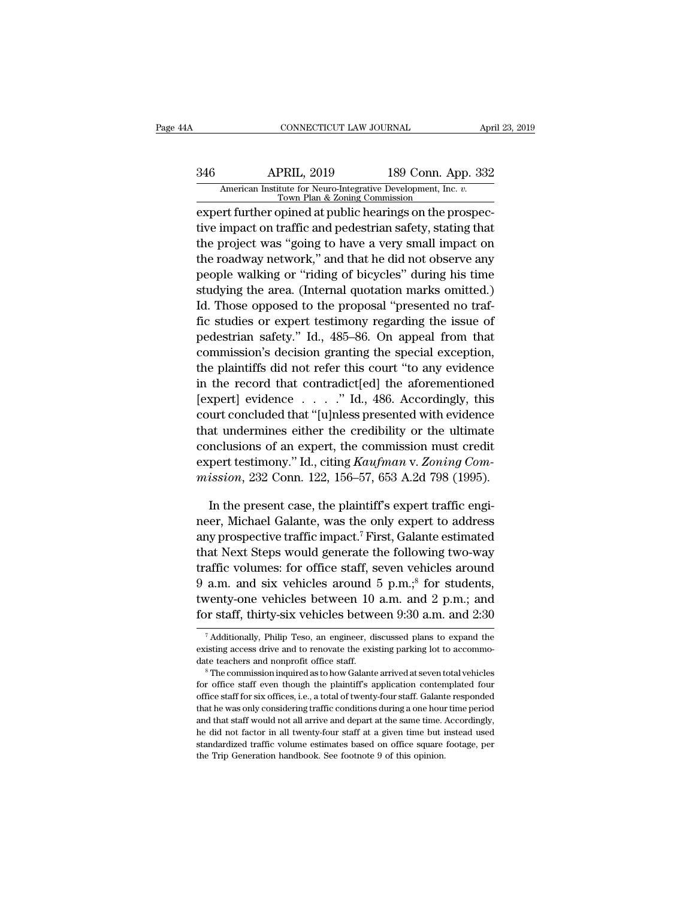# CONNECTICUT LAW JOURNAL April 23, 2019<br>346 APRIL, 2019 189 Conn. App. 332<br>American Institute for Neuro-Integrative Development, Inc. v.<br>Town Plan & Zoning Commission CONNECTICUT LAW JOURNAL April 23, 2019<br>
American Institute for Neuro-Integrative Development, Inc. *v.*<br>
Town Plan & Zoning Commission<br>
expert further opined at public hearings on the prospec-

EXPERIE CONNECTICUT LAW JOURNAL<br>
2019 189 Conn. App. 332<br>
2019 189 Conn. App. 332<br>
2019 189 Conn. App. 332<br>
2019 189 Conn. App. 332<br>
2019 189 Conn. App. 332<br>
2019 Town Plan & Zoning Commission<br>
2019 Expert further opined a 189 Conn. App. 332<br>
American Institute for Neuro-Integrative Development, Inc. *v.*<br>
Town Plan & Zoning Commission<br>
expert further opined at public hearings on the prospec-<br>
tive impact on traffic and pedestrian safety, st  $\frac{346}{\text{American Institute for Neuro-Integrate Development, Inc. } v. \frac{7}{\text{Down Plan & Zoning Commission}}$ <br>
expert further opined at public hearings on the prospective impact on traffic and pedestrian safety, stating that<br>
the project was "going to have a very small impact on<br>
the ro  $\frac{346}{\text{American Institute for Neuro-Integrative Development, Inc. } v. \frac{7}{\text{Down Plan & Zoning Commission}}$ <br>  $\frac{7}{\text{Down Plan & Zoning Commission}}$ <br>  $\frac{189}{\text{Comm. } v. \frac{1}{\text{Down}} \cdot \text{Poisson}}$ <br>  $\frac{189}{\text{exp. } v. \frac{1}{\text{Down Plan & Zoning Commission}}}$ <br>  $\frac{189}{\text{com. } v. \frac{1}{\text{Down}} \cdot \text{Poisson}}$ <br>  $\frac{189}{\text{exp. } v. \frac{1}{\text{Down}} \cdot \text{Poisson}}$ <br>  $\frac$ American Institute for Neuro-Integrative Development, Inc. *v.*<br>
Town Plan & Zoning Commission<br>
expert further opined at public hearings on the prospec-<br>
tive impact on traffic and pedestrian safety, stating that<br>
the proj Town Plan & Zoning Commission<br>
expert further opined at public hearings on the prospec-<br>
tive impact on traffic and pedestrian safety, stating that<br>
the project was "going to have a very small impact on<br>
the roadway networ expert further opined at public nearings on the prospective impact on traffic and pedestrian safety, stating that<br>the project was "going to have a very small impact on<br>the roadway network," and that he did not observe any<br> tive impact on trainc and pedestrian sarety, stating that<br>the project was "going to have a very small impact on<br>the roadway network," and that he did not observe any<br>people walking or "riding of bicycles" during his time<br>s the project was going to have a very sinan impact on<br>the roadway network," and that he did not observe any<br>people walking or "riding of bicycles" during his time<br>studying the area. (Internal quotation marks omitted.)<br>Id. T the roadway network, and that ne did not observe any<br>people walking or "riding of bicycles" during his time<br>studying the area. (Internal quotation marks omitted.)<br>Id. Those opposed to the proposal "presented no traf-<br>fic s people walking or riding of bicycles during his time<br>studying the area. (Internal quotation marks omitted.)<br>Id. Those opposed to the proposal "presented no traf-<br>fic studies or expert testimony regarding the issue of<br>pedes studying the area. (Internal quotation marks ontited.)<br>Id. Those opposed to the proposal "presented no traf-<br>fic studies or expert testimony regarding the issue of<br>pedestrian safety." Id., 485–86. On appeal from that<br>comm Id. Those opposed to the proposal presented no traffic studies or expert testimony regarding the issue of pedestrian safety." Id., 485–86. On appeal from that commission's decision granting the special exception, the plain nc studies or expert testimony regarding the issue of<br>pedestrian safety." Id., 485–86. On appeal from that<br>commission's decision granting the special exception,<br>the plaintiffs did not refer this court "to any evidence<br>in t pedestrian safety. Td., 485–80. On appear from that<br>commission's decision granting the special exception,<br>the plaintiffs did not refer this court "to any evidence<br>in the record that contradict[ed] the aforementioned<br>[exper commission s decision granting the special exception,<br>the plaintiffs did not refer this court "to any evidence<br>in the record that contradict[ed] the aforementioned<br>[expert] evidence . . . . ." Id., 486. Accordingly, this<br> the plaintiffs did not refer this court "to any evidence<br>in the record that contradict[ed] the aforementioned<br>[expert] evidence . . . . . " Id., 486. Accordingly, this<br>court concluded that "[u]nless presented with evidence *m* the record that contradict edj the aforementioned [expert] evidence . . . . ." Id., 486. Accordingly, this court concluded that "[u]nless presented with evidence that undermines either the credibility or the ultimate c urt concluded that "[u]nless presented with evidence<br>at undermines either the credibility or the ultimate<br>nclusions of an expert, the commission must credit<br>pert testimony." Id., citing Kaufman v. Zoning Com-<br>ission, 232 C that undermines either the credibility or the ultimate<br>conclusions of an expert, the commission must credit<br>expert testimony." Id., citing *Kaufman v. Zoning Com-*<br>mission, 232 Conn. 122, 156–57, 653 A.2d 798 (1995).<br>In t

conclusions of an expert, the commission must credit<br>expert testimony." Id., citing Kaufman v. Zoning Com-<br>mission, 232 Conn. 122, 156–57, 653 A.2d 798 (1995).<br>In the present case, the plaintiff's expert traffic engi-<br>neer expert testimony." Id., citing Kaufman v. Zoning Commission, 232 Conn. 122, 156–57, 653 A.2d 798 (1995).<br>
In the present case, the plaintiff's expert traffic engi-<br>
neer, Michael Galante, was the only expert to address<br>
a mission, 232 Conn. 122, 156–57, 653 A.2d 798 (1995).<br>
In the present case, the plaintiff's expert traffic engi-<br>
neer, Michael Galante, was the only expert to address<br>
any prospective traffic impact.<sup>7</sup> First, Galante est In the present case, the plaintiff's expert traffic engi-<br>neer, Michael Galante, was the only expert to address<br>any prospective traffic impact.<sup>7</sup> First, Galante estimated<br>that Next Steps would generate the following two-In the present case, the plaintiff sexpert traince engineer, Michael Galante, was the only expert to address<br>any prospective traffic impact.<sup>7</sup> First, Galante estimated<br>that Next Steps would generate the following two-way meer, Michael Galante, was the only expert to address<br>any prospective traffic impact.<sup>7</sup> First, Galante estimated<br>that Next Steps would generate the following two-way<br>traffic volumes: for office staff, seven vehicles aroun traffic volumes: for office staff, seven vehicles around 9 a.m. and six vehicles around 5 p.m.;<sup>8</sup> for students, twenty-one vehicles between 10 a.m. and 2 p.m.; and for staff, thirty-six vehicles between 9:30 a.m. and 2:3 9 a.m. and six vehicles around 5 p.m.;<sup>8</sup> for students, twenty-one vehicles between 10 a.m. and 2 p.m.; and for staff, thirty-six vehicles between 9:30 a.m. and 2:30  $\frac{1}{7}$  Additionally, Philip Teso, an engineer, discu

twenty-one vehicles between 10 a.m. and 2 p.m.; and<br>for staff, thirty-six vehicles between 9:30 a.m. and 2:30<br> $\frac{1}{4}$  Additionally, Philip Teso, an engineer, discussed plans to expand the<br>existing access drive and to re

For stari, trirty-six verticles between  $5.50$  a.i.f. and  $2.50$ <br>
<sup>7</sup> Additionally, Philip Teso, an engineer, discussed plans to expand the existing access drive and to renovate the existing parking lot to accommodate tea The additionally, Philip Teso, an engineer, discussed plans to expand the existing access drive and to renovate the existing parking lot to accommodate teachers and nonprofit office staff. Subsemination in a station of th existing access drive and to renovate the existing parking lot to accommodate teachers and nonprofit office staff.<br><sup>8</sup> The commission inquired as to how Galante arrived at seven total vehicles<br>for office staff even though date teachers and nonprofit office staff.<br>
<sup>8</sup> The commission inquired as to how Galante arrived at seven total vehicles<br>
for office staff even though the plaintiff's application contemplated four<br>
office staff for six off <sup>as</sup> The commission inquired as to how Galante arrived at seven total vehicles<br>for office staff even though the plaintiff's application contemplated four<br>office staff for six offices, i.e., a total of twenty-four staff. Ga for office staff even though the plaintiff's application contemplated four office staff for six offices, i.e., a total of twenty-four staff. Galante responded that he was only considering traffic conditions during a one ho office staff for six offices, i.e., a total of twenty-four staff. Galante responded that he was only considering traffic conditions during a one hour time period and that staff would not all arrive and depart at the same t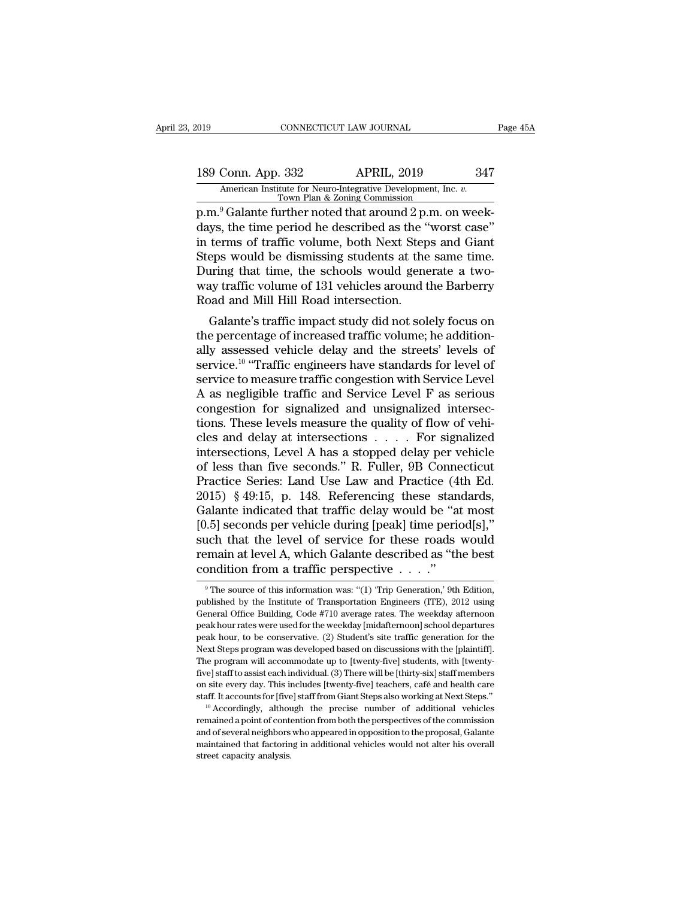# 189 Conn. App. 332 APRIL, 2019 347<br>American Institute for Neuro-Integrative Development, Inc. v.<br>Town Plan & Zoning Commission

FRIL, 2019<br>
American Institute for Neuro-Integrative Development, Inc. *v.*<br>
Town Plan & Zoning Commission<br>
p.m.<sup>9</sup> Galante further noted that around 2 p.m. on week-<br>
days, the time period he described as the "worst case"<br> 189 Conn. App. 332 APRIL, 2019 347<br>American Institute for Neuro-Integrative Development, Inc. *v.*<br>Town Plan & Zoning Commission<br>p.m.<sup>9</sup> Galante further noted that around 2 p.m. on week-<br>days, the time period he described 189 Conn. App. 332 APRIL, 2019 347<br>American Institute for Neuro-Integrative Development, Inc.  $\overline{v}$ .<br>Town Plan & Zoning Commission<br>p.m.<sup>9</sup> Galante further noted that around 2 p.m. on week-<br>days, the time period he desc 189 Conn. App. 332 APRIL, 2019 347<br>
American Institute for Neuro-Integrative Development, Inc. *v.*<br>
Town Plan & Zoning Commission<br>
p.m.<sup>9</sup> Galante further noted that around 2 p.m. on week-<br>
days, the time period he descr Merican Institute for Neuro-Integrative Development, Inc. v.<br>Town Plan & Zoning Commission<br>D.m.<sup>9</sup> Galante further noted that around 2 p.m. on week-<br>days, the time period he described as the "worst case"<br>in terms of traffi Town Plan & Zoning Commission<br>
Town Plan & Zoning Commission<br>
days, the time period he described as the "worst case"<br>
in terms of traffic volume, both Next Steps and Giant<br>
Steps would be dismissing students at the same ti p.m.<sup>9</sup> Galante further noted that around 2 p.<br>days, the time period he described as the "<br>in terms of traffic volume, both Next Step<br>Steps would be dismissing students at the<br>During that time, the schools would gene<br>way t ys, the three period ne described as the worst case<br>terms of traffic volume, both Next Steps and Giant<br>eps would be dismissing students at the same time.<br>ting that time, the schools would generate a two-<br>ay traffic volume In terms of traffic volume, both Next Steps and Glant<br>Steps would be dismissing students at the same time.<br>During that time, the schools would generate a two-<br>way traffic volume of 131 vehicles around the Barberry<br>Road and

steps would be distinssing students at the same time.<br>During that time, the schools would generate a two-<br>way traffic volume of 131 vehicles around the Barberry<br>Road and Mill Hill Road intersection.<br>Galante's traffic impac During that time, the schools would generate a two-<br>way traffic volume of 131 vehicles around the Barberry<br>Road and Mill Hill Road intersection.<br>Galante's traffic impact study did not solely focus on<br>the percentage of incr way trainc volume of 131 venicles around the Barberry<br>Road and Mill Hill Road intersection.<br>Galante's traffic impact study did not solely focus on<br>the percentage of increased traffic volume; he addition-<br>ally assessed vehi Road and Mill Hill Road intersection.<br>
Galante's traffic impact study did not solely focus on<br>
the percentage of increased traffic volume; he addition-<br>
ally assessed vehicle delay and the streets' levels of<br>
service <sup>10</sup> Galante's traffic impact study did not solely focus on<br>the percentage of increased traffic volume; he addition-<br>ally assessed vehicle delay and the streets' levels of<br>service.<sup>10</sup> "Traffic engineers have standards for lev the percentage of increased traffic volume; he additionally assessed vehicle delay and the streets' levels of service.<sup>10</sup> "Traffic engineers have standards for level of service to measure traffic congestion with Service ally assessed vehicle delay and the streets' levels of<br>service.<sup>10</sup> "Traffic engineers have standards for level of<br>service to measure traffic congestion with Service Level<br>A as negligible traffic and Service Level F as ser service.<sup>10</sup> "Traffic engineers have standards for level of<br>service to measure traffic congestion with Service Level<br>A as negligible traffic and Service Level F as serious<br>congestion for signalized and unsignalized inters service to measure traffic congestion with Service Level<br>A as negligible traffic and Service Level F as serious<br>congestion for signalized and unsignalized intersec-<br>tions. These levels measure the quality of flow of vehi-<br> A as negligible traffic and Service Level F as serious<br>congestion for signalized and unsignalized intersec-<br>tions. These levels measure the quality of flow of vehi-<br>cles and delay at intersections  $\ldots$ . For signalized<br>in congestion for signalized and unsignalized intersections. These levels measure the quality of flow of vehicles and delay at intersections  $\ldots$ . For signalized intersections, Level A has a stopped delay per vehicle of les tions. These levels measure the quality of flow of vehicles and delay at intersections . . . . For signalized intersections, Level A has a stopped delay per vehicle of less than five seconds." R. Fuller, 9B Connecticut Pr cles and delay at intersections . . . . . For signalized<br>intersections, Level A has a stopped delay per vehicle<br>of less than five seconds." R. Fuller, 9B Connecticut<br>Practice Series: Land Use Law and Practice (4th Ed.<br>2015 intersections, Level A has a stopped delay per vehicle<br>of less than five seconds." R. Fuller, 9B Connecticut<br>Practice Series: Land Use Law and Practice (4th Ed.<br>2015) § 49:15, p. 148. Referencing these standards,<br>Galante i of less than five seconds." R. Fuller, 9B Connecticut<br>Practice Series: Land Use Law and Practice (4th Ed.<br>2015) § 49:15, p. 148. Referencing these standards,<br>Galante indicated that traffic delay would be "at most<br>[0.5] se Practice Series: Land Use Law and Practice (4<br>2015) § 49:15, p. 148. Referencing these stan<br>Galante indicated that traffic delay would be "at<br>[0.5] seconds per vehicle during [peak] time peric<br>such that the level of servi 0.5] seconds per vehicle during [peak] time period[s],"<br>
1ch that the level of service for these roads would<br>
1cmain at level A, which Galante described as "the best<br>
1condition from a traffic perspective . . . ."<br>
<sup>9</sup>The such that the level of service for these roads would<br>remain at level A, which Galante described as "the best<br>condition from a traffic perspective  $\dots$ ."<br><sup>9</sup>The source of this information was: "(1) 'Trip Generation,' 9th E

remain at level A, which Galante described as "the best<br>condition from a traffic perspective . . . ."<br> $\cdot$ "<br>The source of this information was: "(1) Trip Generation, 9th Edition,<br>published by the Institute of Transportati condition from a traffic perspective  $\ldots$ ."<br>
The source of this information was: "(1) "Trip Generation, 9th Edition,<br>
published by the Institute of Transportation Engineers (ITE), 2012 using<br>
General Office Building, Cod **PERENT CONCULTED FRAME CONCULTED TO THE SET OF CONCULTED THE STATE STATE STATE STATE STATE STATE STATE STATE STATE STATE STATE STATE SPACE SPACE THE SPACE SPACE SPACE SPACE SPACE SPACE SPACE SPACE SPACE SPACE SPACE SPACE** <sup>9</sup> The source of this information was: "(1) "Trip Generation," 9th Edition, published by the Institute of Transportation Engineers (ITE), 2012 using General Office Building, Code #710 average rates. The weekday afternoon published by the Institute of Transportation Engineers (ITE), 2012 using<br>General Office Building, Code #710 average rates. The weekday afternoon<br>peak hour rates were used for the weekday [midafternoon] school departures<br>pe General Office Building, Code #710 average rates. The weekday afternoon<br>peak hour rates were used for the weekday [midafternoon] school departures<br>peak hour, to be conservative. (2) Student's site traffic generation for th peak hour rates were used for the weekday [midafternoon] school departures<br>peak hour, to be conservative. (2) Student's site traffic generation for the<br>Next Steps program was developed based on discussions with the [plaint peak hour, to be conservative. (2) Student's site traffic generation for the Next Steps program was developed based on discussions with the [plaintiff]. The program will accommodate up to [twenty-five] students, with [twen The program will accommodate up to [twenty-five] students, with [twenty-five] staff to assist each individual. (3) There will be [thirty-six] staff members on site every day. This includes [twenty-five] teachers, café and staff. It accounts for [five] staff from Giant Steps also working at Next Steps."

The program is a seach individual. (3) There will be [thirty-six] staff members on site every day. This includes [twenty-five] teachers, café and health care staff. It accounts for [five] staff from Giant Steps also workin five] staff to assist each individual. (3) There will be [thirty-six] staff members<br>on site every day. This includes [twenty-five] teachers, café and health care<br>staff. It accounts for [five] staff from Giant Steps also w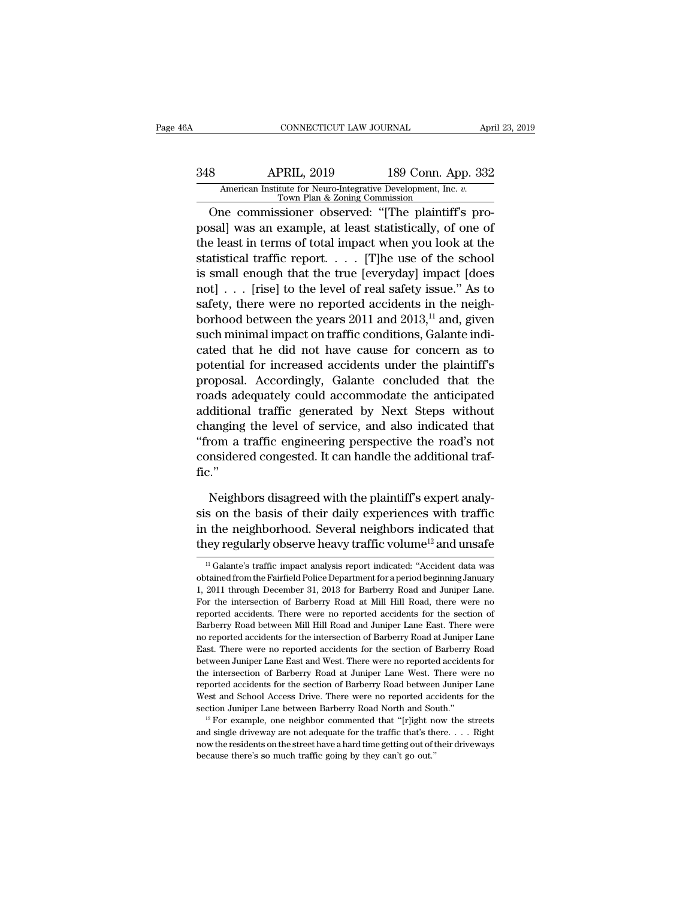# CONNECTICUT LAW JOURNAL April 23, 2019<br>348 APRIL, 2019 189 Conn. App. 332<br>American Institute for Neuro-Integrative Development, Inc. v.<br>Town Plan & Zoning Commission CONNECTICUT LAW JOURNAL April 23, 2019<br>
APRIL, 2019 189 Conn. App. 332<br>
American Institute for Neuro-Integrative Development, Inc. *v.*<br>
Town Plan & Zoning Commission<br>
One commissioner observed: "[The plaintiff's pro-

CONNECTICUT LAW JOURNAL<br>
Apr<br>
8 APRIL, 2019 189 Conn. App. 332<br>
American Institute for Neuro-Integrative Development, Inc. *v.*<br>
Town Plan & Zoning Commission<br>
One commissioner observed: "[The plaintiff's pro-<br>
sal] was an **Example 189 Conn.** App. 332<br>
American Institute for Neuro-Integrative Development, Inc. *v.*<br>
Town Plan & Zoning Commission<br>
One commissioner observed: "[The plaintiff's proposal] was an example, at least statistically, o 189 Conn. App. 332<br>
American Institute for Neuro-Integrative Development, Inc. *v.*<br>
Town Plan & Zoning Commission<br>
One commissioner observed: "[The plaintiff's pro-<br>
posal] was an example, at least statistically, of one o 348 APRIL, 2019 189 Conn. App. 332<br>American Institute for Neuro-Integrative Development, Inc. *v.*<br>Town Plan & Zoning Commission<br>One commissioner observed: "[The plaintiff's pro-<br>posal] was an example, at least statistica American Institute for Neuro-Integrative Development, Inc. *v.*<br>
Town Plan & Zoning Commission<br>
One commissioner observed: "[The plaintiff's pro-<br>
posal] was an example, at least statistically, of one of<br>
the least in term Town Plan & Zoning Commission<br>
One commissioner observed: "[The plaintiff's pro-<br>
posal] was an example, at least statistically, of one of<br>
the least in terms of total impact when you look at the<br>
statistical traffic repo One commissioner observed: "[The plaintiff's pro-<br>posal] was an example, at least statistically, of one of<br>the least in terms of total impact when you look at the<br>statistical traffic report. . . . . [T]he use of the schoo posal] was an example, at least statistically, of one of<br>the least in terms of total impact when you look at the<br>statistical traffic report. . . . [T]he use of the school<br>is small enough that the true [everyday] impact [d the least in terms of total impact when you look at the statistical traffic report. . . . . [T]he use of the school is small enough that the true [everyday] impact [does not] . . . [rise] to the level of real safety issue statistical traffic report. . . . . [T]he use of the school<br>is small enough that the true [everyday] impact [does<br>not] . . . [rise] to the level of real safety issue." As to<br>safety, there were no reported accidents in the is small enough that the true [everyday] impact [does<br>not] . . . [rise] to the level of real safety issue." As to<br>safety, there were no reported accidents in the neigh-<br>borhood between the years 2011 and 2013,<sup>11</sup> and, gi not] . . . [rise] to the level of real safety issue." As to<br>safety, there were no reported accidents in the neigh-<br>borhood between the years 2011 and 2013,<sup>11</sup> and, given<br>such minimal impact on traffic conditions, Galante safety, there were no reported accidents in the neigh-<br>borhood between the years 2011 and 2013,<sup>11</sup> and, given<br>such minimal impact on traffic conditions, Galante indi-<br>cated that he did not have cause for concern as to<br>pot borhood between the years 2011 and 2013," and, given<br>such minimal impact on traffic conditions, Galante indi-<br>cated that he did not have cause for concern as to<br>potential for increased accidents under the plaintiff's<br>propo such minimal impact on traffic conditions, Galante indi-<br>cated that he did not have cause for concern as to<br>potential for increased accidents under the plaintiff's<br>proposal. Accordingly, Galante concluded that the<br>roads ad cated that he did not have cause for concern as to<br>potential for increased accidents under the plaintiff's<br>proposal. Accordingly, Galante concluded that the<br>roads adequately could accommodate the anticipated<br>additional tra potential for increased accidents under the plaintiff's<br>proposal. Accordingly, Galante concluded that the<br>roads adequately could accommodate the anticipated<br>additional traffic generated by Next Steps without<br>changing the l fic.'' ditional traffic generated by Next Steps without<br>anging the level of service, and also indicated that<br>com a traffic engineering perspective the road's not<br>nsidered congested. It can handle the additional traf-<br>..."<br>Neighbo changing the level of service, and also indicated that<br>
"from a traffic engineering perspective the road's not<br>
considered congested. It can handle the additional traf-<br>
fic."<br>
Neighbors disagreed with the plaintiff's expe

"from a traffic engineering perspective the road's not<br>considered congested. It can handle the additional traf-<br>fic."<br>Neighbors disagreed with the plaintiff's expert analy-<br>sis on the basis of their daily experiences with considered congested. It can handle the additional traffic."<br>
Neighbors disagreed with the plaintiff's expert analy-<br>
sis on the basis of their daily experiences with traffic<br>
in the neighborhood. Several neighbors indicat 11 Sextember 11 Galante's traffic impact analysis report indicated that the neighborhood. Several neighbors indicated that they regularly observe heavy traffic volume<sup>12</sup> and unsafe  $\frac{11}{11}$  Galante's traffic impact an sis on the basis of their daily experiences with traffic<br>in the neighborhood. Several neighbors indicated that<br>they regularly observe heavy traffic volume<sup>12</sup> and unsafe<br> $\frac{1}{1}$  Galante's traffic impact analysis report

in the neighborhood. Several neighbors indicated that<br>they regularly observe heavy traffic volume<sup>12</sup> and unsafe<br> $\frac{10}{1}$  Galante's traffic impact analysis report indicated: "Accident data was<br>obtained from the Fairfiel they regularly observe heavy traffic volume<sup>12</sup> and unsafe<br>
<sup>11</sup> Galante's traffic impact analysis report indicated: "Accident data was<br>
obtained from the Fairfield Police Department for a period beginning January<br>
1, 2011 They regularly observe heavy traffic volume and disade<br>
<sup>11</sup> Galante's traffic impact analysis report indicated: "Accident data was<br>
obtained from the Fairfield Police Department for a period beginning January<br>
1, 2011 thr <sup>11</sup> Galante's traffic impact analysis report indicated: "Accident data was obtained from the Fairfield Police Department for a period beginning January 1, 2011 through December 31, 2013 for Barberry Road and Juniper Lane obtained from the Fairfield Police Department for a period beginning January<br>1, 2011 through December 31, 2013 for Barberry Road and Juniper Lane.<br>For the intersection of Barberry Road at Mill Hill Road, there were no<br>repo East. There were no reported accidents for the section of Barberry Road and Juniper Lane.<br>For the intersection of Barberry Road at Mill Hill Road, there were no<br>reported accidents. There were no reported accidents for the 1, 2011 through December 31, 2013 for Barberry Road and Juniper Lane. For the intersection of Barberry Road at Mill Hill Road, there were no reported accidents. There were no reported accidents for the section of Barberry reported accidents. There were no reported accidents for the section of Barberry Road between Mill Hill Road and Juniper Lane East. There were no reported accidents for the intersection of Barberry Road at Juniper Lane Eas Barberry Road between Mill Hill Road and Juniper Lane East. There were no reported accidents for the intersection of Barberry Road at Juniper Lane East. There were no reported accidents for the section of Barberry Road bet no reported accidents for the intersection of Barberry Road at Juniper Lane East. There were no reported accidents for the section of Barberry Road between Juniper Lane East and West. There were no reported accidents for t East. There were no reported accidents for the section of Barberry Road between Juniper Lane East and West. There were no reported accidents for the intersection of Barberry Road at Juniper Lane West. There were no report the intersection of Barberry Road at Juniper Lane West. There were no<br>reported accidents for the section of Barberry Road between Juniper Lane<br>West and School Access Drive. There were no reported accidents for the<br>section West and School Access Drive. There were no reported accidents for the

reported accidents for the section of Barberry Road between Juniper Lane<br>West and School Access Drive. There were no reported accidents for the<br>section Juniper Lane between Barberry Road North and South."<br> $^{12}$  For examp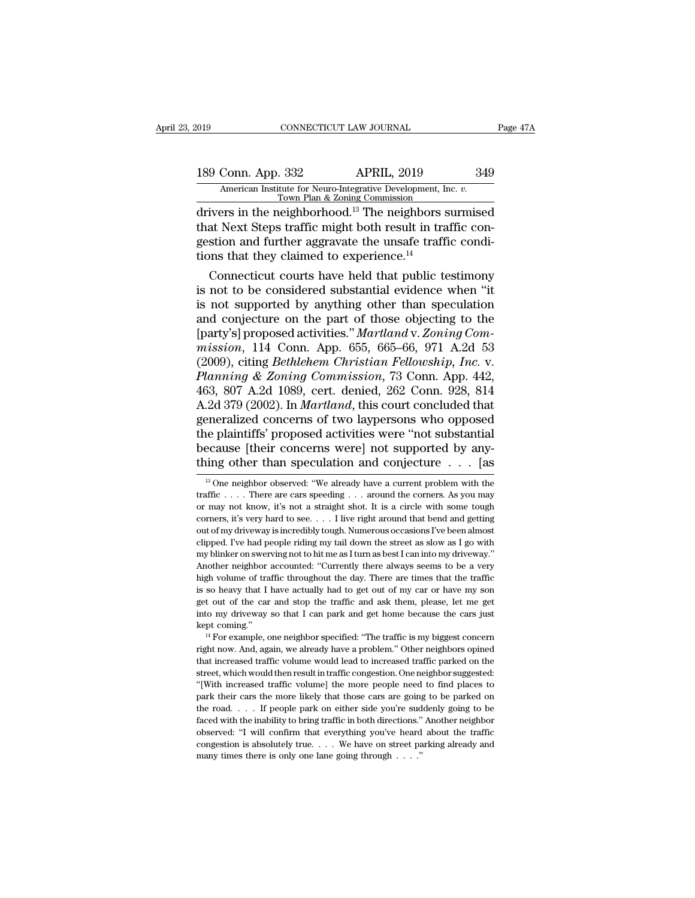# 189 CONNECTICUT LAW JOURNAL Page 47A<br>
189 Conn. App. 332 APRIL, 2019 349<br>
American Institute for Neuro-Integrative Development, Inc. v.<br>
Town Plan & Zoning Commission Xelpha Connectricut Law Journal<br>
189 Conn. App. 332 APRIL, 2019 349<br>
American Institute for Neuro-Integrative Development, Inc. *v.*<br>
Town Plan & Zoning Commission<br>
drivers in the neighborhood.<sup>13</sup> The neighbors surmised

connectricut LAW JOURNAL Page 47A<br>
189 Conn. App. 332 APRIL, 2019 349<br>
American Institute for Neuro-Integrative Development, Inc. v.<br>
Town Plan & Zoning Commission<br>
drivers in the neighborhood.<sup>13</sup> The neighbors surmised<br> 189 Conn. App. 332 APRIL, 2019 349<br>American Institute for Neuro-Integrative Development, Inc.  $v$ .<br>Town Plan & Zoning Commission<br>drivers in the neighborhood.<sup>13</sup> The neighbors surmised<br>that Next Steps traffic might both r 189 Conn. App. 332 APRIL, 2019 349<br>American Institute for Neuro-Integrative Development, Inc. *v.*<br>Town Plan & Zoning Commission<br>drivers in the neighborhood.<sup>13</sup> The neighbors surmised<br>that Next Steps traffic might both r  $\begin{tabular}{ c c c c} 189 \text{ Conn. App. } 332 & APRIL, 2019 \\ \hline \hline \text{American Institute for Neuro-Integrative Development, I} \\ \hline \text{Tour Plan & Zoning Commission} \\ \hline \text{drivers in the neighborhood.}^{13} \text{ The neighbors of that Next Steps traffic might both result in the test function and further aggregate the unsafe traffic} \\ \hline \text{dissim} & \text{Hessim} \\ \text{dissim} & \text{Hessim} \\ \hline \text{Hessim} & \text{Hessim} \\ \text{dissim} & \text{Hessim} \\ \hline \text{Hessim} & \text{Hessim} \\ \hline \text{Hessim} & \text{Hess$ American Institute for Neuro-Integrative Development, Inc.  $v$ .<br>Town Plan & Zoning Commission<br>ivers in the neighborhood.<sup>13</sup> The neighbors surmised<br>at Next Steps traffic might both result in traffic condi-<br>stion and furth Town Plan & Zoning Commission<br>
drivers in the neighborhood.<sup>13</sup> The neighbors surmised<br>
that Next Steps traffic might both result in traffic con-<br>
gestion and further aggravate the unsafe traffic condi-<br>
tions that they c

drivers in the neighborhood.<sup>15</sup> The neighbors surmised<br>that Next Steps traffic might both result in traffic condi-<br>gestion and further aggravate the unsafe traffic condi-<br>tions that they claimed to experience.<sup>14</sup><br>Connec that Next Steps traffic might both result in traffic condi-<br>gestion and further aggravate the unsafe traffic condi-<br>tions that they claimed to experience.<sup>14</sup><br>Connecticut courts have held that public testimony<br>is not to b gestion and further aggravate the unsafe traffic conditions that they claimed to experience.<sup>14</sup><br>Connecticut courts have held that public testimony<br>is not to be considered substantial evidence when "it<br>is not supported by tions that they claimed to experience.<sup>14</sup><br>Connecticut courts have held that public testimony<br>is not to be considered substantial evidence when "it<br>is not supported by anything other than speculation<br>and conjecture on the Connecticut courts have held that public testimony<br>is not to be considered substantial evidence when "it<br>is not supported by anything other than speculation<br>and conjecture on the part of those objecting to the<br>[party's] pr is not to be considered substantial evidence when "it<br>is not supported by anything other than speculation<br>and conjecture on the part of those objecting to the<br>[party's] proposed activities." *Martland* v. Zoning Com-<br>*miss* is not supported by anything other than speculation<br>and conjecture on the part of those objecting to the<br>[party's] proposed activities." *Martland* v. Zoning Com-<br>mission, 114 Conn. App. 655, 665–66, 971 A.2d 53<br>(2009), ci and conjecture on the part of those objecting to the<br>[party's] proposed activities." *Martland* v. Zoning Com-<br>mission, 114 Conn. App. 655, 665–66, 971 A.2d 53<br>(2009), citing *Bethlehem Christian Fellowship, Inc.* v.<br>*Plan* [party's] proposed activities." *Martland v. Zoning Commission*, 114 Conn. App. 655, 665–66, 971 A.2d 53 (2009), citing *Bethlehem Christian Fellowship, Inc. v. Planning & Zoning Commission*, 73 Conn. App. 442, 463, 807 mission, 114 Conn. App. 655, 665–66, 971 A.2d 53<br>(2009), citing *Bethlehem Christian Fellowship, Inc.* v.<br>*Planning & Zoning Commission*, 73 Conn. App. 442,<br>463, 807 A.2d 1089, cert. denied, 262 Conn. 928, 814<br>A.2d 379 (2 (2009), citing *Bethlehem Christian Fellowship, Inc. v.* Planning & Zoning Commission, 73 Conn. App. 442, 463, 807 A.2d 1089, cert. denied, 262 Conn. 928, 814 A.2d 379 (2002). In *Martland*, this court concluded that gene Planning & Zoning Commission, 73 Conn. App. 442,<br>463, 807 A.2d 1089, cert. denied, 262 Conn. 928, 814<br>A.2d 379 (2002). In *Martland*, this court concluded that<br>generalized concerns of two laypersons who opposed<br>the plaint eneralized concerns of two laypersons who opposed<br>he plaintiffs' proposed activities were "not substantial<br>ecause [their concerns were] not supported by any-<br>ing other than speculation and conjecture  $\dots$  [as<br> $\frac{13}{10}$  the plaintiffs' proposed activities were "not substantial<br>because [their concerns were] not supported by any-<br>thing other than speculation and conjecture . . . [as<br> $\frac{1}{3}$  One neighbor observed: "We already have a curre

because [their concerns were] not supported by any-<br>thing other than speculation and conjecture . . . [as<br> $\frac{1}{10}$  one neighbor observed: "We already have a current problem with the<br>traffic . . . . There are cars speedi thing other than speculation and conjecture . . . [as<br>
<sup>13</sup> One neighbor observed: "We already have a current problem with the<br>
traffic . . . . There are cars speeding . . . around the corners. As you may<br>
or may not know out of my driveway is incredibly tough. Numerous occasions I've been almost <sup>13</sup> One neighbor observed: "We already have a current problem with the traffic . . . . There are cars speeding . . . around the corners. As you may or may not know, it's not a straight shot. It is a circle with some toug traffic . . . . There are cars speeding . . . around the corners. As you may or may not know, it's not a straight shot. It is a circle with some tough corners, it's very hard to see. . . . I live right around that bend an or may not know, it's not a straight shot. It is a circle with some tough corners, it's very hard to see. . . . I live right around that bend and getting out of my driveway is incredibly tough. Numerous occasions I've been corners, it's very hard to see. . . . I live right around that bend and getting out of my driveway is incredibly tough. Numerous occasions I've been almost clipped. I've had people riding my tail down the street as slow a out of my driveway is incredibly tough. Numerous occasions I've been almost<br>clipped. I've had people riding my tail down the street as slow as I go with<br>my blinker on swerving not to hit me as I turn as best I can into my elipped. I've had people riding my tail down the street as slow as I go with my blinker on swerving not to hit me as I turn as best I can into my driveway."<br>Another neighbor accounted: "Currently there always seems to be a into my blinker on swerving not to hit me as I turn as best I can into my driveway."<br>Another neighbor accounted: "Currently there always seems to be a very<br>high volume of traffic throughout the day. There are times that th Another neighbor accounted: "Currently there always seems to be a very<br>Another neighbor accounted: "Currently there always seems to be a very<br>high volume of traffic throughout the day. There are times that the traffic<br>is s right now. And, again, we already have a problem." Other neighbors opined that increased traffic and ask them, please, let me get into my drivewy so that I can park and get home because the cars just kept coming."<br><sup>14</sup> For

get out of the car and stop the traffic and ask them, please, let me get<br>into my driveway so that I can park and get home because the cars just<br>kept coming."<br> $^{14}$  For example, one neighbor specified: "The traffic is my get out of the car and stop the traffic and ask them, please, let me get<br>into my driveway so that I can park and get home because the cars just<br>kept coming."<br> $^{14}$  For example, one neighbor specified: "The traffic is my kept coming."<br>
<sup>14</sup> For example, one neighbor specified: "The traffic is my biggest concern<br>
right now. And, again, we already have a problem." Other neighbors opined<br>
that increased traffic volume would lead to increased <sup>14</sup> For example, one neighbor specified: "The traffic is my biggest concern<br>right now. And, again, we already have a problem." Other neighbors opined<br>that increased traffic volume would lead to increased traffic parked o Fight now. And, again, we already have a problem." Other neighbors opined that increased traffic volume would lead to increased traffic parked on the street, which would then result in traffic congestion. One neighbor sug that increased traffic volume would lead to increased traffic parked on the street, which would then result in traffic congestion. One neighbor suggested: "[With increased traffic volume] the more people need to find plac street, which would then result in traffic congestion. One neighbor suggested:<br>"[With increased traffic volume] the more people need to find places to<br>park their cars the more likely that those cars are going to be parked "(With increased traffic volume) the more people need to find places to park their cars the more likely that those cars are going to be parked on the road. . . . If people park on either side you're suddenly going to be f park their cars the more likely that those cars are going to be parked on the road. . . . If people park on either side you're suddenly going to be faced with the inability to bring traffic in both directions." Another ne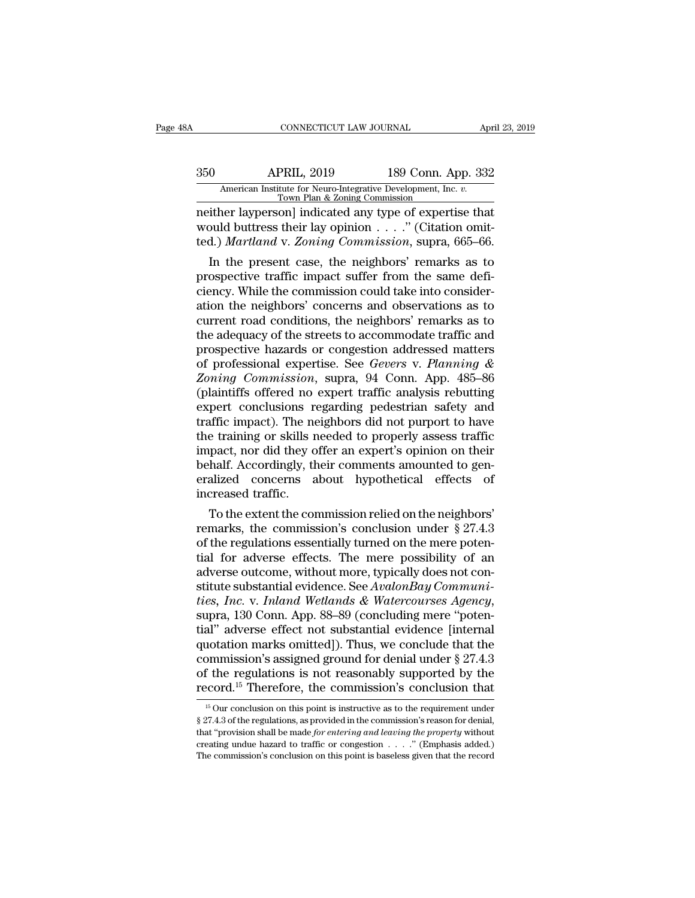# CONNECTICUT LAW JOURNAL April 23, 2019<br>350 APRIL, 2019 189 Conn. App. 332<br>American Institute for Neuro-Integrative Development, Inc. v.<br>Town Plan & Zoning Commission CONNECTICUT LAW JOURNAL April 23, 2019<br>
350 APRIL, 2019 189 Conn. App. 332<br>
American Institute for Neuro-Integrative Development, Inc. *v.*<br>
Town Plan & Zoning Commission<br>
neither layperson] indicated any type of expertise

CONNECTICUT LAW JOURNAL April 23, 2019<br>
350 APRIL, 2019 189 Conn. App. 332<br>
American Institute for Neuro-Integrative Development, Inc. v.<br>
Town Plan & Zoning Commission<br>
neither layperson] indicated any type of expertise t 350 APRIL, 2019 189 Conn. App. 332<br>American Institute for Neuro-Integrative Development, Inc. v.<br>Town Plan & Zoning Commission<br>neither layperson] indicated any type of expertise that<br>would buttress their lay opinion . . . Apartle, 2019 189 Conn. App. 332<br>
<u>American Institute for Neuro-Integrative Development, Inc. v.</u><br>
Town Plan & Zoning Commission<br>
meither layperson] indicated any type of expertise that<br>
would buttress their lay opinion .  $\frac{189}{189}$  Conn. App. 332<br>
American Institute for Neuro-Integrative Development, Inc. *v.*<br>
Town Plan & Zoning Commission<br>
ither layperson] indicated any type of expertise that<br>
buld buttress their lay opinion . . . .

American Institute for Neuro-Integrative Development, Inc. v.<br>
Town Plan & Zoning Commission<br>
meither layperson] indicated any type of expertise that<br>
would buttress their lay opinion . . . . " (Citation omit-<br>
ted.) *Mar* From Plan & Zoning Commission<br>neither layperson] indicated any type of expertise that<br>would buttress their lay opinion  $\ldots$ ." (Citation omit-<br>ted.) *Martland* v. Zoning Commission, supra, 665–66.<br>In the present case, the metther layperson] indicated any type of expertise that<br>would buttress their lay opinion  $\dots$ ." (Citation omit-<br>ted.) *Martland* v. *Zoning Commission*, supra, 665–66.<br>In the present case, the neighbors' remarks as to<br>pro would buttress their lay opinion  $\ldots$  (Citation omit-<br>ted.) *Martland* v. *Zoning Commission*, supra, 665–66.<br>In the present case, the neighbors' remarks as to<br>prospective traffic impact suffer from the same defi-<br>ciency ted.) *Martiana* v. *Zonting Commission*, supra, 000–00.<br>
In the present case, the neighbors' remarks as to<br>
prospective traffic impact suffer from the same defi-<br>
ciency. While the commission could take into consider-<br>
a In the present case, the neighbors' remarks as to<br>prospective traffic impact suffer from the same defi-<br>ciency. While the commission could take into consider-<br>ation the neighbors' concerns and observations as to<br>current r prospective traffic impact suffer from the same deficiency. While the commission could take into consideration the neighbors' concerns and observations as to current road conditions, the neighbors' remarks as to the adequa ciency. While the commission could take into consideration the neighbors' concerns and observations as to current road conditions, the neighbors' remarks as to the adequacy of the streets to accommodate traffic and prospec ation the neighbors' concerns and observations as to<br>current road conditions, the neighbors' remarks as to<br>the adequacy of the streets to accommodate traffic and<br>prospective hazards or congestion addressed matters<br>of profe current road conditions, the neighbors' remarks as to<br>the adequacy of the streets to accommodate traffic and<br>prospective hazards or congestion addressed matters<br>of professional expertise. See *Gevers v. Planning &<br>Zoning C* the adequacy of the streets to accommodate traffic and<br>prospective hazards or congestion addressed matters<br>of professional expertise. See *Gevers* v. Planning &<br>Zoning Commission, supra, 94 Conn. App. 485–86<br>(plaintiffs of prospective hazards or congestion addressed matters<br>of professional expertise. See *Gevers* v. Planning &<br>Zoning Commission, supra, 94 Conn. App. 485–86<br>(plaintiffs offered no expert traffic analysis rebutting<br>expert concl of professional expertise. See *Gevers* v. *Planning &*<br>
Zoning Commission, supra, 94 Conn. App. 485–86<br>
(plaintiffs offered no expert traffic analysis rebutting<br>
expert conclusions regarding pedestrian safety and<br>
traffic Zoning Commission, supra, 94 Conn. App. 485–86 (plaintiffs offered no expert traffic analysis rebutting expert conclusions regarding pedestrian safety and traffic impact). The neighbors did not purport to have the training (plaintiffs offered no expert traffic analysis rebutting<br>expert conclusions regarding pedestrian safety and<br>traffic impact). The neighbors did not purport to have<br>the training or skills needed to properly assess traffic<br>im expert conclusions reductions<br>traffic impact). The net<br>the training or skills r<br>impact, nor did they of<br>behalf. Accordingly, the<br>railzed concerns a<br>increased traffic.<br>To the extent the con Finally increases the property assess traffic<br>e training or skills needed to properly assess traffic<br>pact, nor did they offer an expert's opinion on their<br>half. Accordingly, their comments amounted to gen-<br>alized concerns the training or skills needed to properly assess traffic<br>impact, nor did they offer an expert's opinion on their<br>behalf. Accordingly, their comments amounted to gen-<br>eralized concerns about hypothetical effects of<br>increas

mpact, nor did they offer an expert's opinion on their<br>behalf. Accordingly, their comments amounted to generalized concerns about hypothetical effects of<br>increased traffic.<br>To the extent the commission relied on the neigh behalt. Accordingly, their comments amounted to generalized concerns about hypothetical effects of increased traffic.<br>To the extent the commission relied on the neighbors' remarks, the commission's conclusion under  $\S 27.$ eralized concerns about hypothetical effects of<br>increased traffic.<br>To the extent the commission relied on the neighbors'<br>remarks, the commission's conclusion under § 27.4.3<br>of the regulations essentially turned on the mer To the extent the commission relied on the neighbors'<br>remarks, the commission's conclusion under § 27.4.3<br>of the regulations essentially turned on the mere poten-<br>tial for adverse effects. The mere possibility of an<br>advers *To the extent the commission relied on the neighbors'*<br>remarks, the commission's conclusion under § 27.4.3<br>of the regulations essentially turned on the mere poten-<br>tial for adverse effects. The mere possibility of an<br>adve of the regulations essentially turned on the mere potential for adverse effects. The mere possibility of an adverse outcome, without more, typically does not constitute substantial evidence. See AvalonBay Communities, Inc. tial for adverse effects. The mere possibility of an adverse outcome, without more, typically does not constitute substantial evidence. See AvalonBay Communities, Inc. v. Inland Wetlands & Watercourses Agency, supra, 130 adverse outcome, without more, typically does not constitute substantial evidence. See *AvalonBay Communities, Inc.* v. *Inland Wetlands & Watercourses Agency*, supra, 130 Conn. App. 88–89 (concluding mere "potential" adve stitute substantial evidence. See AvalonBay Communi-<br>ties, Inc. v. Inland Wetlands & Watercourses Agency,<br>supra, 130 Conn. App. 88–89 (concluding mere "poten-<br>tial" adverse effect not substantial evidence [internal<br>quotati ties, Inc. v. Inland Wetlands & Watercourses Agency,<br>supra, 130 Conn. App. 88–89 (concluding mere "potential" adverse effect not substantial evidence [internal<br>quotation marks omitted]). Thus, we conclude that the<br>commiss 15 our conclude that the pommission's assigned ground for denial under § 27.4.3 f the regulations is not reasonably supported by the ecord.<sup>15</sup> Therefore, the commission's conclusion that  $\frac{15}{10}$  Our conclusion on thi commission's assigned ground for denial under § 27.4.3 of the regulations is not reasonably supported by the record.<sup>15</sup> Therefore, the commission's conclusion that  $\frac{15}{5}$  Our conclusion on this point is instructive a

of the regulations is not reasonably supported by the record.<sup>15</sup> Therefore, the commission's conclusion that  $\frac{15}{5}$  Our conclusion on this point is instructive as to the requirement under § 27.4.3 of the regulations, creating undue hazard to traffic or congestion. The requirement under  $\frac{15}{15}$  Our conclusion on this point is instructive as to the requirement under  $\frac{8}{27.4.3}$  of the regulations, as provided in the commission's <sup>15</sup> Our conclusion on this point is instructive as to the requirement under § 27.4.3 of the regulations, as provided in the commission's reason for denial, that "provision shall be made *for entering and leaving the prop*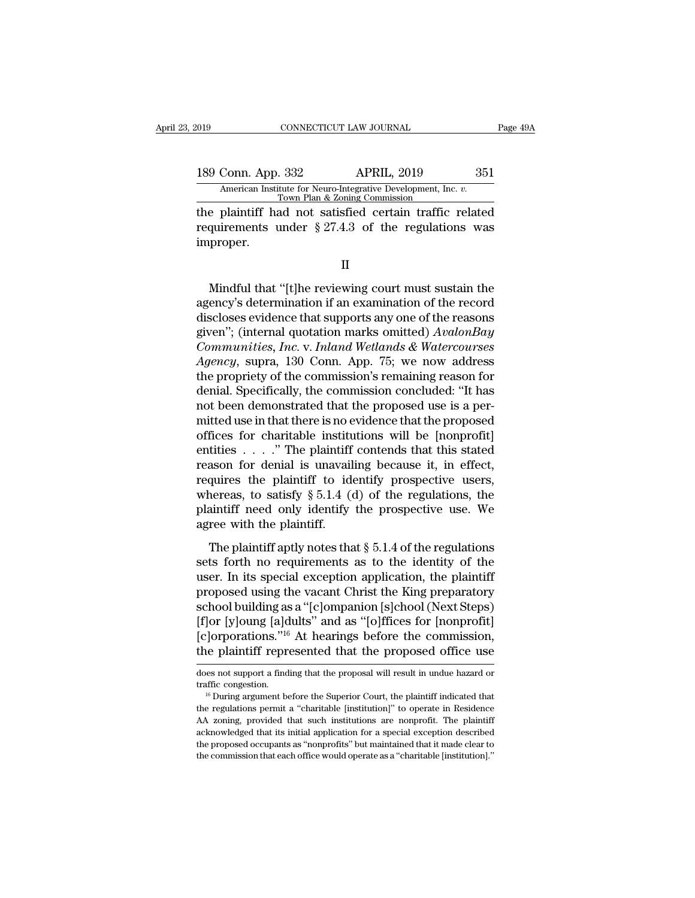189 Conn. App. 332 APRIL, 2019 251<br>American Institute for Neuro-Integrative Development, Inc. v.<br>Town Plan & Zoning Commission Xamerican Institute for Neuro-Integrative Development, Inc. *v.* Town Plan & Zoning Commission<br>The plaintiff had not satisfied certain traffic related

The plaintiff had not satisfied certain traffic related<br>
the plaintiff had not satisfied certain traffic related<br>
the plaintiff had not satisfied certain traffic related<br>
requirements under § 27.4.3 of the regulations was<br> 189 Conn. App. 332 APRIL, 2019 351<br>American Institute for Neuro-Integrative Development, Inc. *v.*<br>Town Plan & Zoning Commission<br>the plaintiff had not satisfied certain traffic related<br>requirements under § 27.4.3 of the re improper. Town Plan & Zoning Commission<br>
e plaintiff had not satisfied certain traffic related<br>
quirements under  $\S 27.4.3$  of the regulations was<br>
proper.<br>  $\Pi$ <br>
Mindful that "[t]he reviewing court must sustain the<br>
ency's determi

II

the plaintiff had not satisfied certain traffic related<br>requirements under  $\S 27.4.3$  of the regulations was<br>improper.<br>II<br>Mindful that "[t]he reviewing court must sustain the<br>agency's determination if an examination of th requirements under § 27.4.3 of the regulations was<br>improper.<br> $\quad$  II<br>Mindful that "[t]he reviewing court must sustain the<br>agency's determination if an examination of the record<br>discloses evidence that supports any one of II<br>
Mindful that "[t]he reviewing court must sustain the<br>
agency's determination if an examination of the record<br>
discloses evidence that supports any one of the reasons<br>
given''; (internal quotation marks omitted) *Avalon* II<br> *Community Windful that "*[t]he reviewing court must sustain the<br>
agency's determination if an examination of the record<br>
discloses evidence that supports any one of the reasons<br>
given''; (internal quotation marks omit *After Mindful that "*[t]he reviewing court must sustain the agency's determination if an examination of the record discloses evidence that supports any one of the reasons given"; (internal quotation marks omitted) *Avalon* Mindful that "[t]he reviewing court must sustain the<br>agency's determination if an examination of the record<br>discloses evidence that supports any one of the reasons<br>given''; (internal quotation marks omitted) AvalonBay<br>Comm agency's determination if an examination of the record<br>discloses evidence that supports any one of the reasons<br>given''; (internal quotation marks omitted) AvalonBay<br>Communities, Inc. v. Inland Wetlands & Watercourses<br>Agenc discloses evidence that supports any one of the reasons<br>given"; (internal quotation marks omitted) AvalonBay<br>Communities, Inc. v. Inland Wetlands & Watercourses<br>Agency, supra, 130 Conn. App. 75; we now address<br>the propriet given"; (internal quotation marks omitted) AvalonBay<br>Communities, Inc. v. Inland Wetlands & Watercourses<br>Agency, supra, 130 Conn. App. 75; we now address<br>the propriety of the commission's remaining reason for<br>denial. Speci *Communities, Inc.* v. *Inland Wetlands & Watercourses*<br>*Agency*, supra, 130 Conn. App. 75; we now address<br>the propriety of the commission's remaining reason for<br>denial. Specifically, the commission concluded: "It has<br>not Agency, supra, 130 Conn. App. 75; we now address<br>the propriety of the commission's remaining reason for<br>denial. Specifically, the commission concluded: "It has<br>not been demonstrated that the proposed use is a per-<br>mitted the propriety of the commission's remaining reason for<br>denial. Specifically, the commission concluded: "It has<br>not been demonstrated that the proposed use is a per-<br>mitted use in that there is no evidence that the propose denial. Specifically, the commission concluded: "It has<br>not been demonstrated that the proposed use is a per-<br>mitted use in that there is no evidence that the proposed<br>offices for charitable institutions will be [nonprofi not been demonstrated that the proposed use is a per-<br>mitted use in that there is no evidence that the proposed<br>offices for charitable institutions will be [nonprofit]<br>entities . . . . " The plaintiff contends that this s mitted use in that there is no evidence that the proposed offices for charitable institutions will be [nonprofit] entities . . . ." The plaintiff contends that this stated reason for denial is unavailing because it, in ef % offices for charitable institutentities . . . ." The plaintiff reason for denial is unavail requires the plaintiff to identify  $\S 5.1.4$  (eplaintiff need only identify agree with the plaintiff.<br>The plaintiff aptly notes For the plaintiff aptly notes that § 5.1.4 of the regulations, the region of the plaintiff to identify prospective users, are ass, to satisfy § 5.1.4 (d) of the regulations, the aintiff need only identify the prospective requires the plaintiff to identify prospective users,<br>whereas, to satisfy  $\S 5.1.4$  (d) of the regulations, the<br>plaintiff need only identify the prospective use. We<br>agree with the plaintiff.<br>The plaintiff aptly notes that

requires are plantin to facturity prospective users,<br>whereas, to satisfy § 5.1.4 (d) of the regulations, the<br>plaintiff need only identify the prospective use. We<br>agree with the plaintiff.<br>The plaintiff aptly notes that § plaintiff need only identify the prospective use. We<br>plaintiff need only identify the prospective use. We<br>agree with the plaintiff.<br>The plaintiff aptly notes that § 5.1.4 of the regulations<br>sets forth no requirements as t plantant riced only identify are prospective asset we<br>agree with the plaintiff.<br>The plaintiff aptly notes that § 5.1.4 of the regulations<br>sets forth no requirements as to the identity of the<br>user. In its special exception The plaintiff aptly notes that  $\S$  5.1.4 of the regulations<br>sets forth no requirements as to the identity of the<br>user. In its special exception application, the plaintiff<br>proposed using the vacant Christ the King preparat The plaintiff aptly notes that  $\S$  5.1.4 of the regulations<br>sets forth no requirements as to the identity of the<br>user. In its special exception application, the plaintiff<br>proposed using the vacant Christ the King preparat sets forth no requirements as to the identity of the<br>user. In its special exception application, the plaintiff<br>proposed using the vacant Christ the King preparatory<br>school building as a "[c]ompanion [s]chool (Next Steps)<br>[ school building as a "[c]ompanion [s]chool (Next Steps)<br>[f]or [y]oung [a]dults" and as "[o]ffices for [nonprofit]<br>[c]orporations."<sup>16</sup> At hearings before the commission,<br>the plaintiff represented that the proposed office [f] or [y] oung [a] dults" and as "[o] ffices for [nonprofit]<br>[c] or portions."<sup>16</sup> At hearings before the commission,<br>the plaintiff represented that the proposed office use<br>does not support a finding that the proposal wi

the plaintiff represented that the proposed office use<br>does not support a finding that the proposal will result in undue hazard or<br>traffic congestion.<br><sup>16</sup> During argument before the Superior Court, the plaintiff indicated the plaintiff represented that the proposed office use<br>does not support a finding that the proposal will result in undue hazard or<br>traffic congestion.<br><sup>16</sup> During argument before the Superior Court, the plaintiff indicated does not support a finding that the proposal will result in undue hazard or traffic congestion.<br>  $^{16}$  During argument before the Superior Court, the plaintiff indicated that the regulations permit a "charitable [institu traffic congestion.<br>
<sup>16</sup> During argument before the Superior Court, the plaintiff indicated that<br>
the regulations permit a "charitable [institution]" to operate in Residence<br>
AA zoning, provided that such institutions ar the regulations permit a "charitable [institution]" to operate in Residence AA zoning, provided that such institutions are nonprofit. The plaintiff acknowledged that its initial application for a special exception describe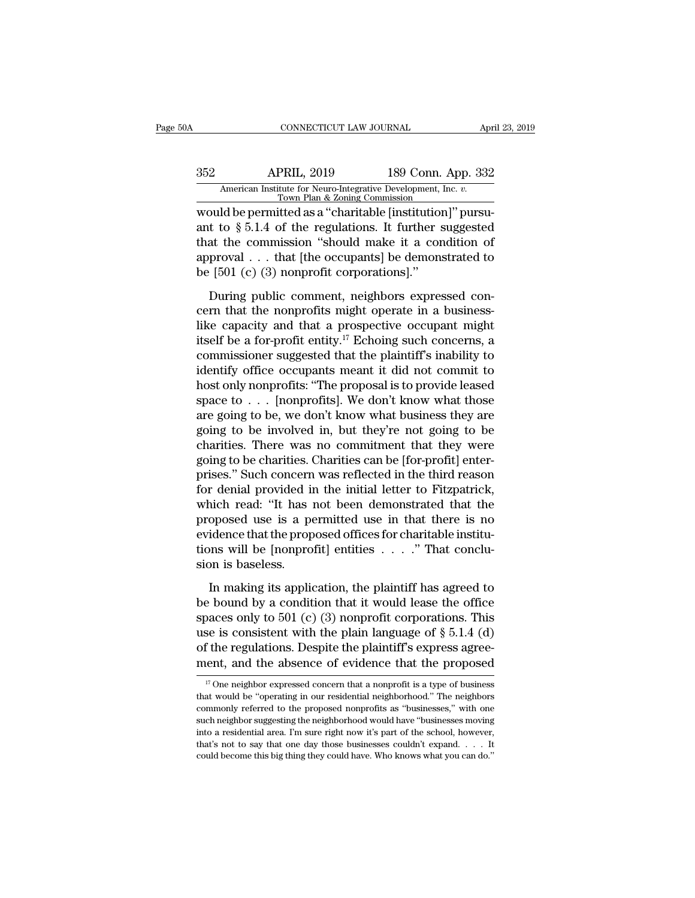# CONNECTICUT LAW JOURNAL April 23, 2019<br>352 APRIL, 2019 189 Conn. App. 332<br>American Institute for Neuro-Integrative Development, Inc. v.<br>Town Plan & Zoning Commission CONNECTICUT LAW JOURNAL April 23, 2019<br>
APRIL, 2019 189 Conn. App. 332<br>
American Institute for Neuro-Integrative Development, Inc. *v.*<br>
Town Plan & Zoning Commission<br>
would be permitted as a "charitable [institution]" pur

CONNECTICUT LAW JOURNAL Appr<br>
352 APRIL, 2019 189 Conn. App. 332<br>
American Institute for Neuro-Integrative Development, Inc. *v.*<br>
Town Plan & Zoning Commission<br>
would be permitted as a "charitable [institution]" pursu-<br>
a ant to § 5.1.4 of the regulations. It further suggested<br>that the commission issues at "charitable [institution]" pursu-<br>ant to § 5.1.4 of the regulations. It further suggested<br>that the commission "should make it a conditio 352 APRIL, 2019 189 Conn. App. 332<br>American Institute for Neuro-Integrative Development, Inc. v.<br>Town Plan & Zoning Commission<br>would be permitted as a "charitable [institution]" pursu-<br>ant to § 5.1.4 of the regulations. I 352 APRIL, 2019 189 Conn. App. 332<br>American Institute for Neuro-Integrative Development, Inc. v.<br>Town Plan & Zoning Commission<br>would be permitted as a "charitable [institution]" pursu-<br>ant to § 5.1.4 of the regulations. I American Institute for Neuro-Integrative Development,<br>
Town Plan & Zoning Commission<br>
would be permitted as a "charitable [institution<br>
ant to § 5.1.4 of the regulations. It further s<br>
that the commission "should make it a build be permitted as a "charitable [institution]" pursu-<br>t to  $\S$  5.1.4 of the regulations. It further suggested<br>at the commission "should make it a condition of<br>proval . . . that [the occupants] be demonstrated to<br>[501 cern to § 5.1.4 of the regulations. It further suggested<br>that the commission "should make it a condition of<br>approval . . . that [the occupants] be demonstrated to<br>be [501 (c) (3) nonprofit corporations]."<br>During public co

that the commission "should make it a condition of<br>approval . . . that [the occupants] be demonstrated to<br>be [501 (c) (3) nonprofit corporations]."<br>During public comment, neighbors expressed con-<br>cern that the nonprofits approval . . . that [the occupants] be demonstrated to<br>be [501 (c) (3) nonprofit corporations]."<br>During public comment, neighbors expressed con-<br>cern that the nonprofits might operate in a business-<br>like capacity and that be [501 (c) (3) nonprofit corporations]."<br>
During public comment, neighbors expressed concern that the nonprofits might operate in a business-<br>
like capacity and that a prospective occupant might<br>
itself be a for-profit e During public comment, neighbors expressed concern that the nonprofits might operate in a business-<br>like capacity and that a prospective occupant might<br>itself be a for-profit entity.<sup>17</sup> Echoing such concerns, a<br>commissio During public comment, neighbors expressed concern that the nonprofits might operate in a business-<br>like capacity and that a prospective occupant might<br>itself be a for-profit entity.<sup>17</sup> Echoing such concerns, a<br>commissio cern that the nonprofits might operate in a business-<br>like capacity and that a prospective occupant might<br>itself be a for-profit entity.<sup>17</sup> Echoing such concerns, a<br>commissioner suggested that the plaintiff's inability t like capacity and that a prospective occupant might<br>itself be a for-profit entity.<sup>17</sup> Echoing such concerns, a<br>commissioner suggested that the plaintiff's inability to<br>identify office occupants meant it did not commit to itself be a for-profit entity.<sup>17</sup> Echoing such concerns, a<br>commissioner suggested that the plaintiff's inability to<br>identify office occupants meant it did not commit to<br>host only nonprofits: "The proposal is to provide l commissioner suggested that the plaintiff's inability to<br>identify office occupants meant it did not commit to<br>host only nonprofits: "The proposal is to provide leased<br>space to  $\dots$  [nonprofits]. We don't know what those<br>a identify office occupants meant it did not commit to<br>host only nonprofits: "The proposal is to provide leased<br>space to  $\ldots$  [nonprofits]. We don't know what those<br>are going to be, we don't know what business they are<br>goi host only nonprofits: "The proposal is to provide leased<br>space to  $\ldots$  [nonprofits]. We don't know what those<br>are going to be, we don't know what business they are<br>going to be involved in, but they're not going to be<br>cha space to  $\ldots$  [nonprofits]. We don't know what those are going to be, we don't know what business they are going to be involved in, but they're not going to be charities. There was no commitment that they were going to b are going to be, we don't know what business they are<br>going to be involved in, but they're not going to be<br>charities. There was no commitment that they were<br>going to be charities. Charities can be [for-profit] enter-<br>prise going to be involved in, but they're not going to be charities. There was no commitment that they were going to be charities. Charities can be [for-profit] enter-prises." Such concern was reflected in the third reason for charities. There was no commitment that they were<br>going to be charities. Charities can be [for-profit] enter-<br>prises." Such concern was reflected in the third reason<br>for denial provided in the initial letter to Fitzpatrick going to be charities. Charities can be [for-profit] enter-prises." Such concern was reflected in the third reason for denial provided in the initial letter to Fitzpatrick, which read: "It has not been demonstrated that th prises." Such concern<br>for denial provided in<br>which read: "It has<br>proposed use is a p<br>evidence that the prop<br>tions will be [nonpro<br>sion is baseless.<br>In making its applic In making is a permitted use in that there is no<br>idence that the proposed use in that there is no<br>idence that the proposed offices for charitable institu-<br>ons will be [nonprofit] entities  $\dots$ ." That conclu-<br>on is baseles proposed use is a permitted use in that there is no<br>evidence that the proposed offices for charitable institu-<br>tions will be [nonprofit] entities . . . . " That conclu-<br>sion is baseless.<br>In making its application, the pla

proposed also to 4 permitted also in that diverges its to<br>evidence that the proposed offices for charitable institu-<br>tions will be [nonprofit] entities . . . ." That conclu-<br>sion is baseless.<br>In making its application, th tions will be [nonprofit] entities  $\ldots$  ." That conclusion is baseless.<br>In making its application, the plaintiff has agreed to<br>be bound by a condition that it would lease the office<br>spaces only to 501 (c) (3) nonprofit c For the regulation, the plaintiff has agreed to<br>be bound by a condition that it would lease the office<br>spaces only to 501 (c) (3) nonprofit corporations. This<br>use is consistent with the plain language of  $\S 5.1.4$  (d)<br>of In making its application, the plaintiff has agreed to<br>be bound by a condition that it would lease the office<br>spaces only to 501 (c) (3) nonprofit corporations. This<br>use is consistent with the plain language of  $\S 5.1.4$  baces only to 501 (c) (3) nonprofit corporations. This<br>se is consistent with the plain language of § 5.1.4 (d)<br>f the regulations. Despite the plaintiff's express agree-<br>ent, and the absence of evidence that the proposed<br>use is consistent with the plain language of § 5.1.4 (d) of the regulations. Despite the plaintiff's express agreement, and the absence of evidence that the proposed  $\frac{17}{17}$  One neighbor expressed concern that a nonpr

of the regulations. Despite the plaintiff's express agreement, and the absence of evidence that the proposed  $\overline{w}$  one neighbor expressed concern that a nonprofit is a type of business that would be "operating in our r ment, and the absence of evidence that the proposed<br>
<sup>17</sup> One neighbor expressed concern that a nonprofit is a type of business<br>
that would be "operating in our residential neighborhood." The neighbors<br>
commonly referred If  $\overline{a}$  and the absence of evidence that the proposed  $\overline{a}$  is a type of business that would be "operating in our residential neighborhood." The neighbors commonly referred to the proposed nonprofits as "businesses <sup>17</sup> One neighbor expressed concern that a nonprofit is a type of business that would be "operating in our residential neighborhood." The neighbors commonly referred to the proposed nonprofits as "businesses," with one su that would be "operating in our residential neighborhood." The neighbors commonly referred to the proposed nonprofits as "businesses," with one such neighbor suggesting the neighborhood would have "businesses moving into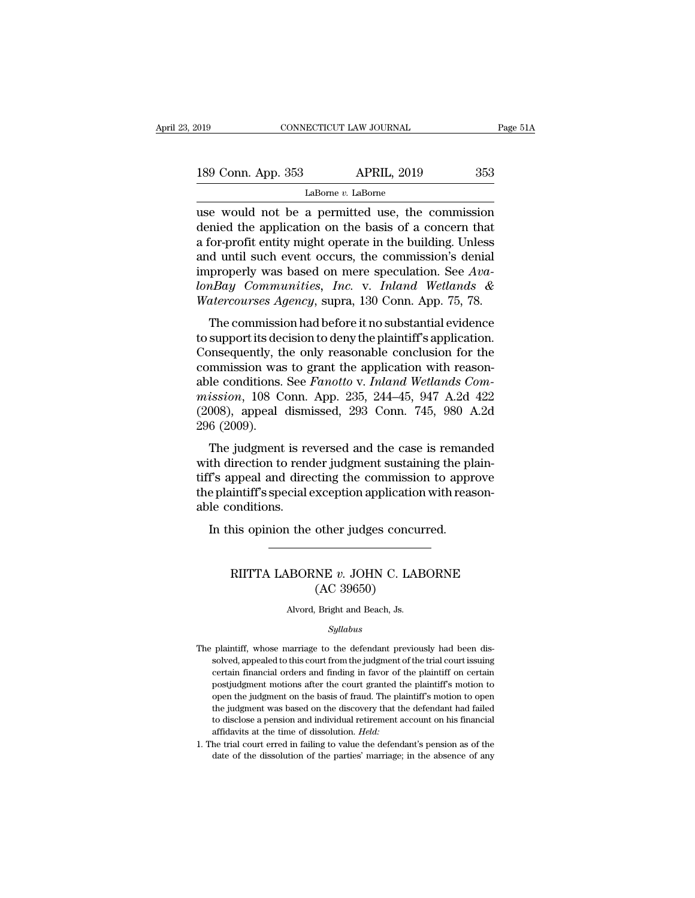| 2019               | CONNECTICUT LAW JOURNAL | Page 51A |
|--------------------|-------------------------|----------|
| 189 Conn. App. 353 | <b>APRIL, 2019</b>      | 353      |
|                    | LaBorne v. LaBorne      |          |

CONNECTICUT LAW JOURNAL Page 51A<br>
189 Conn. App. 353 APRIL, 2019 353<br>
LaBorne v. LaBorne<br>
use would not be a permitted use, the commission<br>
denied the application on the basis of a concern that<br>
a for profit optity might o 189 Conn. App. 353 APRIL, 2019 353<br>
LaBorne *v*. LaBorne<br>
use would not be a permitted use, the commission<br>
denied the application on the basis of a concern that<br>
a for-profit entity might operate in the building. Unless 189 Conn. App. 353 APRIL, 2019 353<br>
LaBorne *v*. LaBorne<br>
use would not be a permitted use, the commission<br>
denied the application on the basis of a concern that<br>
a for-profit entity might operate in the building. Unless<br> 189 Conn. App. 353 APRIL, 2019 353<br>
LaBorne *v*. LaBorne<br>
use would not be a permitted use, the commission<br>
denied the application on the basis of a concern that<br>
a for-profit entity might operate in the building. Unless<br> LaBorne *v*. LaBorne<br>
use would not be a permitted use, the commission<br>
denied the application on the basis of a concern that<br>
a for-profit entity might operate in the building. Unless<br>
and until such event occurs, the com LaBorne *v*. LaBorne<br>
use would not be a permitted use, the commission<br>
denied the application on the basis of a concern that<br>
a for-profit entity might operate in the building. Unless<br>
and until such event occurs, the com *Watercourses Agency*, supra, 130 Conn. App. 75, 78.<br>The commission and until such event occurs, the commission's denial improperly was based on mere speculation. See *AvalonBay Communities, Inc.* v. *Inland Wetlands & Wat* The commission of the basis of a concern that<br>for-profit entity might operate in the building. Unless<br>d until such event occurs, the commission's denial<br>properly was based on mere speculation. See  $Ava-  
Bay: Communities, Inc. v. Inland Wetlands &<$ a for-profit entity hight operate in the bunding. Chiess<br>and until such event occurs, the commission's denial<br>improperly was based on mere speculation. See Ava-<br>lonBay Communities, Inc. v. Inland Wetlands &<br>Watercourses Ag

and didn't such event occurs, the commission's deniation<br>improperly was based on mere speculation. See Ava-<br>lonBay Communities, Inc. v. Inland Wetlands &<br>Watercourses Agency, supra, 130 Conn. App. 75, 78.<br>The commission ha miproperly was based on filere speculation. See *Rea-*<br>lonBay Communities, Inc. v. Inland Wetlands &<br>Watercourses Agency, supra, 130 Conn. App. 75, 78.<br>The commission had before it no substantial evidence<br>to support its d Matercourses Agency, supra, 130 Conn. App. 75, 78.<br>
The commission had before it no substantial evidence<br>
to support its decision to deny the plaintiff's application.<br>
Consequently, the only reasonable conclusion for the<br> *materourses Agency*, supra, 100 Conn. App. 10, 10.<br>
The commission had before it no substantial evidence<br>
to support its decision to deny the plaintiff's application.<br>
Consequently, the only reasonable conclusion for the<br> The commission had before it no substantial evidence<br>to support its decision to deny the plaintiff's application.<br>Consequently, the only reasonable conclusion for the<br>commission was to grant the application with reason-<br>ab to support its deconsequently, the conditions able conditions.<br>
able conditions.<br>
mission, 108 C<br>
(2008), appeal<br>
296 (2009).<br>
The judgment mention was to grant the application with reason-<br>le conditions. See *Fanotto* v. *Inland Wetlands Com-*<br>ission, 108 Conn. App. 235, 244–45, 947 A.2d 422<br>008), appeal dismissed, 293 Conn. 745, 980 A.2d<br>6 (2009).<br>The judgme commission was to grant the application which reason-<br>able conditions. See *Fanotto v. Inland Wetlands Com-*<br>mission, 108 Conn. App. 235, 244–45, 947 A.2d 422<br>(2008), appeal dismissed, 293 Conn. 745, 980 A.2d<br>296 (2009).<br>T

able conditions. See *Fundito* v. *Intuita welcome-*<br>mission, 108 Conn. App. 235, 244–45, 947 A.2d 422<br>(2008), appeal dismissed, 293 Conn. 745, 980 A.2d<br>296 (2009).<br>The judgment is reversed and the case is remanded<br>with di the plantiff's speed dismissed, 293 Conn. 745, 980 A.2d (2008), appeal dismissed, 293 Conn. 745, 980 A.2d 296 (2009).<br>The judgment is reversed and the case is remanded with direction to render judgment sustaining the plai  $296 (2009)$ .<br>The judgment is re<br>with direction to renorm tiff's appeal and direction<br>the plaintiff's special cable conditions.<br>In this opinion the The judgment is reversed and the case is reman<br>th direction to render judgment sustaining the pl<br>f's appeal and directing the commission to appr<br>e plaintiff's special exception application with reas<br>le conditions.<br>In this Figure and directing the commission to approve<br>intiff's special exception application with reason-<br>onditions.<br>his opinion the other judges concurred.<br>RIITTA LABORNE *v*. JOHN C. LABORNE (AC 39650)

## other judges concu<br>ME v. JOHN C. LAI<br>(AC 39650)<br>Bright and Beach, Js. RIITTA LABORNE *v*. JOHN C. LABORNE<br>(AC 39650)<br>Alvord, Bright and Beach, Js.

## *Syllabus*

- The plaintiff, whose marriage to the defendant previously had been dis-Alvord, Bright and Beach, Js.<br>Syllabus<br>plaintiff, whose marriage to the defendant previously had been dis-<br>solved, appealed to this court from the judgment of the trial court issuing<br>certain financial orders and finding in Alvord, Bright and Beach, Js.<br>
Syllabus<br>
plaintiff, whose marriage to the defendant previously had been dis-<br>
solved, appealed to this court from the judgment of the trial court issuing<br>
certain financial orders and findin  $Syllabus$ <br>plaintiff, whose marriage to the defendant previously had been dis-<br>solved, appealed to this court from the judgment of the trial court issuing<br>certain financial orders and finding in favor of the plaintiff's motio *Syltabus*<br>plaintiff, whose marriage to the defendant previously had been dis-<br>solved, appealed to this court from the judgment of the trial court issuing<br>certain financial orders and finding in favor of the plaintiff's mo plaintiff, whose marriage to the defendant previously had been dis-<br>solved, appealed to this court from the judgment of the trial court issuing<br>certain financial orders and finding in favor of the plaintiff on certain<br>post solved, appealed to this court from the judgment of the trial court issuing<br>certain financial orders and finding in favor of the plaintiff on certain<br>postjudgment motions after the court granted the plaintiff's motion to<br> certain financial orders and finding in favor of the plaintiff on certain postjudgment motions after the court granted the plaintiff's motion to open the judgment on the basis of fraud. The plaintiff's motion to open the j postjudgment motions after the court granted the plaintiff's motion to open the judgment on the basis of fraud. The plaintiff's motion to open the judgment was based on the discovery that the defendant had failed to discl open the judgment on the basis of fraud. The plaintiff's motion to open
-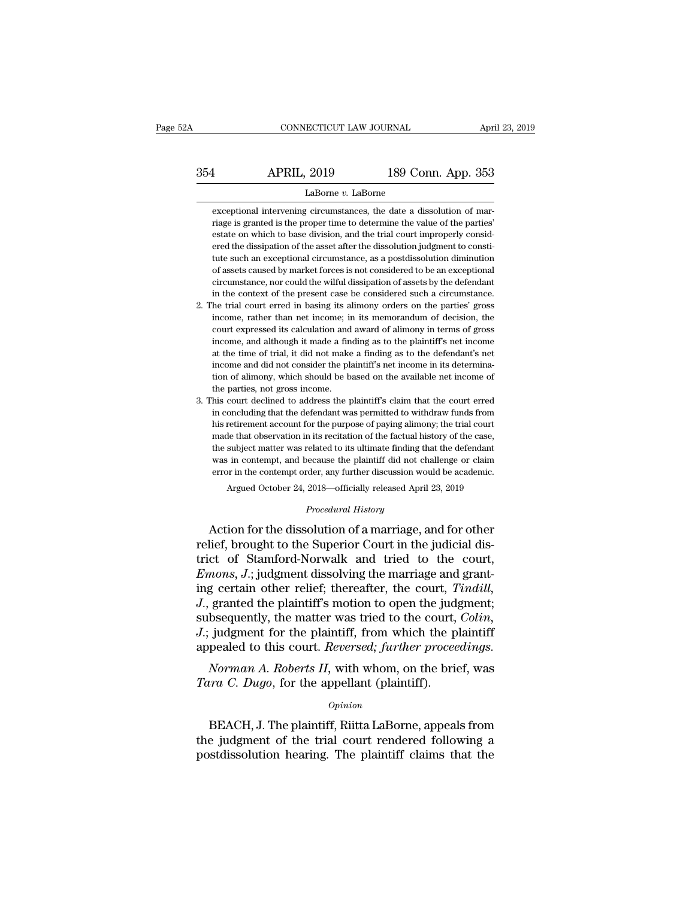# CONNECTICUT LAW JOURNAL April 23, 2019<br>354 APRIL, 2019 189 Conn. App. 353<br>LaBorne v. LaBorne

## LaBorne *v.* LaBorne

**EXECUTE:** APRIL, 2019 189 Conn. App. 353<br>LaBorne *v*. LaBorne<br>exceptional intervening circumstances, the date a dissolution of mar-<br>riage is granted is the proper time to determine the value of the parties' **EXECUTE:** 189 Conn. App. 353<br>
LaBorne *v*. LaBorne<br>
exceptional intervening circumstances, the date a dissolution of mar-<br>
riage is granted is the proper time to determine the value of the parties'<br>
estate on which to bas EVALUE 189 Conn. App. 353<br>
LaBorne v. LaBorne<br>
exceptional intervening circumstances, the date a dissolution of mar-<br>
riage is granted is the proper time to determine the value of the parties'<br>
estate on which to base divi LaBorne  $v$ . LaBorne<br>exceptional intervening circumstances, the date a dissolution of mar-<br>riage is granted is the proper time to determine the value of the parties'<br>estate on which to base division, and the trial court i LaBorne  $v$ . LaBorne<br>exceptional intervening circumstances, the date a dissolution of mar-<br>riage is granted is the proper time to determine the value of the parties'<br>estate on which to base division, and the trial court i exceptional intervening circumstances, the date a dissolution of mariage is granted is the proper time to determine the value of the parties' estate on which to base division, and the trial court improperly considered the riage is granted is the proper time to determine the value of the parties'<br>estate on which to base division, and the trial court improperly consid-<br>ered the dissipation of the asset after the dissolution judgment to consti in the context of the context of the context of the context on which to base division, and the trial court improperly considered the dissipation of the asset after the dissolution judgment to constitute such an exceptional ered the dissipation of the asset after the dissolution judgment to constitute such an exceptional circumstance, as a postdissolution diminution of assets caused by market forces is not considered to be an exceptional circ First than a reactional circumstance, as a postdissolution diminution of assets caused by market forces is not considered to be an exceptional circumstance, nor could the wilful dissipation of assets by the defendant in th

- of assets caused by market forces is not considered to be an exceptional circumstance, nor could the wilful dissipation of assets by the defendant in the context of the present case be considered such a circumstance. The t circumstance, nor could the wilful dissipation of assets by the defendant<br>in the context of the present case be considered such a circumstance.<br>he trial court erred in basing its alimony orders on the parties' gross<br>income in the context of the present case be considered such a circumstance.<br>he trial court erred in basing its alimony orders on the parties' gross<br>income, rather than net income; in its memorandum of decision, the<br>court express in the context of the present case be considered such a circumstance.<br>
2. The trial court erred in basing its alimony orders on the parties' gross<br>
income, rather than net income; in its memorandum of decision, the<br>
court the mome, rather than net income; in its memorandum of decision, the court expressed its calculation and award of alimony in terms of gross income, and although it made a finding as to the plaintiff's net income at the tim court expressed its calculation and award of alimony in terms of gross income, and although it made a finding as to the plaintiff's net income at the time of trial, it did not make a finding as to the defendant's net inco 3. This court declined to address the plaintiff's claim that the court erred at the time of trial, it did not make a finding as to the defendant's net income and did not consider the plaintiff's net income in its determina in a the time of trial, it did not make a finding as to the defendant's net income and did not consider the plaintiff's net income in its determination of alimony, which should be based on the available net income of the p
- in come and did not consider the plaintiff's net income in its determination of alimony, which should be based on the available net income of the parties, not gross income.<br>his court declined to address the plaintiff's cla made that observation is because the available net income of the parties, not gross income.<br>This court declined to address the plaintiff's claim that the court erred<br>in concluding that the defendant was permitted to withdr the parties, not gross income.<br>
the parties, not gross income.<br>
this court declined to address the plaintiff's claim that the court erred<br>
in concluding that the defendant was permitted to withdraw funds from<br>
his retireme his court declined to address the plaintiff's claim that the court erred<br>in concluding that the defendant was permitted to withdraw funds from<br>his retirement account for the purpose of paying alimony; the trial court<br>made in concluding that the defendant was permitted to withdraw funds from<br>his retirement account for the purpose of paying alimony; the trial court<br>made that observation in its recitation of the factual history of the case,<br>th made that observation in its recitation of the factual history of the case, the subject matter was related to its ultimate finding that the defendant was in contempt, and because the plaintiff did not challenge or claim e the subject matter was related to its ultimate finding that the defendant was in contempt, and because the plaintiff did not challenge or claim error in the contempt order, any further discussion would be academic. Argued made that observation in its recitation of the ractual mistory of the case,<br>the subject matter was related to its ultimate finding that the defendant<br>was in contempt, and because the plaintiff did not challenge or claim<br>er

relief, brought to the Superior Court in the judicial dis-<br>transfer and because the plaintiff did not challenge or claim<br>error in the contempt order, any further discussion would be academic.<br>Argued October 24, 2018—offici error in the contempt order, any further discussion would be academic.<br>Argued October 24, 2018—officially released April 23, 2019<br>Procedural History<br>Action for the dissolution of a marriage, and for other<br>relief, brought t *Argued October 24, 2018—officially released April 23, 2019<br>
<i>Procedural History*<br> *Procedural History*<br> *Emons, J.*; judgment dissolving the marriage and grant-<br> *Emons, J.*; judgment dissolving the marriage and grant-<br> Frocedural History<br>Action for the dissolution of a marriage, and for other<br>relief, brought to the Superior Court in the judicial dis-<br>trict of Stamford-Norwalk and tried to the court,<br>*Emons*, *J*.; judgment dissolving the *Procedural History*<br>
Action for the dissolution of a marriage, and for other<br>
relief, brought to the Superior Court in the judicial dis-<br>
trict of Stamford-Norwalk and tried to the court,<br> *Emons*, *J*.; judgment dissolvi Action for the dissolution of a marriage, and for other relief, brought to the Superior Court in the judicial district of Stamford-Norwalk and tried to the court, *Emons*, *J*.; judgment dissolving the marriage and grantin relief, brought to the Superior Court in the judicial district of Stamford-Norwalk and tried to the court, *Emons*, *J*.; judgment dissolving the marriage and granting certain other relief; thereafter, the court, *Tindill* trict of Stamford-Norwalk and tried to the court, *Emons*, *J*.; judgment dissolving the marriage and granting certain other relief; thereafter, the court, *Tindill*, *J.*, granted the plaintiff's motion to open the judgme *Norman, J.*; judgment dissolving the marriage and grant-<br>g certain other relief; thereafter, the court, *Tindill*,<br>granted the plaintiff's motion to open the judgment;<br>bsequently, the matter was tried to the court, *Colin T<sub>ra</sub>* general point of the plaintiff's motion to open the judges absequently, the matter was tried to the court, *J*<sub>r</sub>; judgment for the plaintiff, from which the pappealed to this court. *Reversed*; *further procee* No

## *Opinion*

Judgment for the plaintiff, from which the plaintiff<br>pealed to this court. *Reversed; further proceedings.*<br>Norman A. Roberts II, with whom, on the brief, was<br>ura C. Dugo, for the appellant (plaintiff).<br>Opinion<br>BEACH, J. T appealed to this court. *Reversed*; *Jurther proceeaings.*<br> *Norman A. Roberts II*, with whom, on the brief, was<br> *Tara C. Dugo*, for the appellant (plaintiff).<br> *Opinion*<br>
BEACH, J. The plaintiff, Riitta LaBorne, appeals Norman A. Roberts II, with whom, on the brief, was<br>Tara C. Dugo, for the appellant (plaintiff).<br>Opinion<br>BEACH, J. The plaintiff, Riitta LaBorne, appeals from<br>the judgment of the trial court rendered following a<br>postdissolu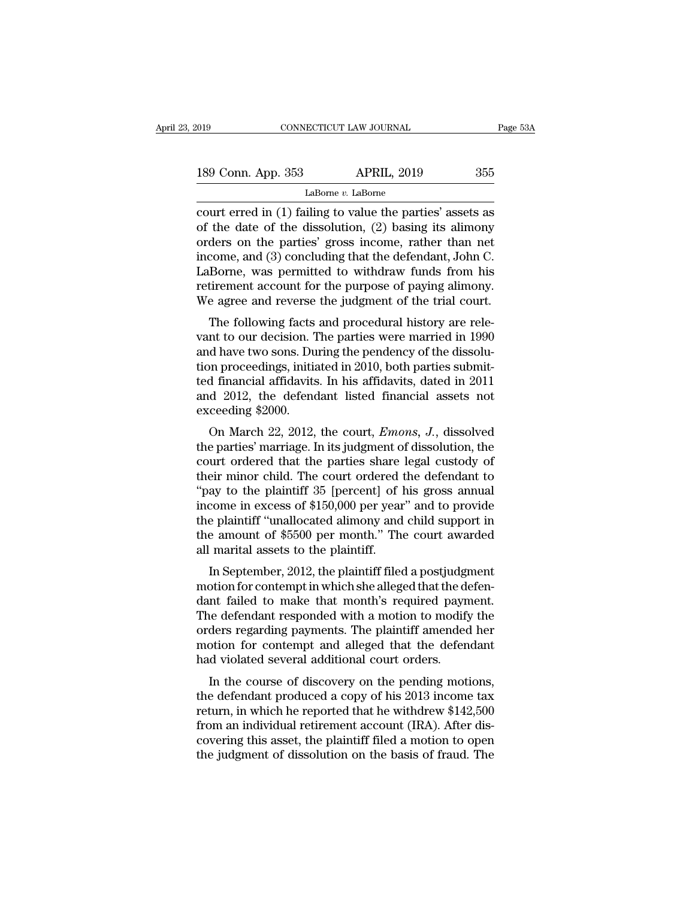| 019                | CONNECTICUT LAW JOURNAL | Page 53A |  |
|--------------------|-------------------------|----------|--|
|                    |                         |          |  |
| 189 Conn. App. 353 | <b>APRIL, 2019</b>      | 355      |  |
|                    | LaBorne v. LaBorne      |          |  |

connectricut LAW JOURNAL Page 53A<br>
189 Conn. App. 353 APRIL, 2019 355<br>
LaBorne v. LaBorne<br>
court erred in (1) failing to value the parties' assets as<br>
of the date of the dissolution, (2) basing its alimony<br>
orders on the p 189 Conn. App. 353 APRIL, 2019 355<br>
LaBorne *v*. LaBorne<br>
court erred in (1) failing to value the parties' assets as<br>
of the date of the dissolution, (2) basing its alimony<br>
orders on the parties' gross income, rather tha 189 Conn. App. 353 APRIL, 2019 355<br>
LaBorne *v*. LaBorne<br>
court erred in (1) failing to value the parties' assets as<br>
of the date of the dissolution, (2) basing its alimony<br>
orders on the parties' gross income, rather tha 189 Conn. App. 353 APRIL, 2019 355<br>
LaBorne *v*. LaBorne<br>
court erred in (1) failing to value the parties' assets as<br>
of the date of the dissolution, (2) basing its alimony<br>
orders on the parties' gross income, rather tha LaBorne v. LaBorne<br>
LaBorne v. LaBorne<br>
court erred in (1) failing to value the parties' assets as<br>
of the date of the dissolution, (2) basing its alimony<br>
orders on the parties' gross income, rather than net<br>
income, and LaBorne *v*. LaBorne<br>court erred in (1) failing to value the parties' assets as<br>of the date of the dissolution, (2) basing its alimony<br>orders on the parties' gross income, rather than net<br>income, and (3) concluding that t court erred in (1) failing to value the parties' assets as<br>of the date of the dissolution, (2) basing its alimony<br>orders on the parties' gross income, rather than net<br>income, and (3) concluding that the defendant, John C.<br> the taste of the ussolution,  $(2)$  basing its anthony<br>ders on the parties' gross income, rather than net<br>come, and  $(3)$  concluding that the defendant, John C.<br>Borne, was permitted to withdraw funds from his<br>tirement acco bruers on the parties gross income, rather than het<br>income, and (3) concluding that the defendant, John C.<br>LaBorne, was permitted to withdraw funds from his<br>retirement account for the purpose of paying alimony.<br>We agree an

The same two sons. During that the detendant, some of<br>LaBorne, was permitted to withdraw funds from his<br>retirement account for the purpose of paying alimony.<br>We agree and reverse the judgment of the trial court.<br>The follow Eaborne, was permitted to whild aw full is retirement account for the purpose of paying alimony.<br>We agree and reverse the judgment of the trial court.<br>The following facts and procedural history are rele-<br>vant to our decisi Ferrement account for the purpose of paying anthony.<br>We agree and reverse the judgment of the trial court.<br>The following facts and procedural history are rele-<br>vant to our decision. The parties were married in 1990<br>and hav We agree and reverse the judgment of the trial court.<br>The following facts and procedural history are relevant to our decision. The parties were married in 1990<br>and have two sons. During the pendency of the dissolu-<br>tion pr The following facts<br>vant to our decision. T<br>and have two sons. Du<br>tion proceedings, initia<br>ted financial affidavits<br>and 2012, the defend<br>exceeding \$2000.<br>On March 22, 2012, In to our decision. The parties were married in 1550<br>d have two sons. During the pendency of the dissolu-<br>on proceedings, initiated in 2010, both parties submit-<br>d financial affidavits. In his affidavits, dated in 2011<br>d 2 and nave two sons. During the pendenty of the ussolution proceedings, initiated in 2010, both parties submitted financial affidavits. In his affidavits, dated in 2011 and 2012, the defendant listed financial assets not exc

con proceedings, initiated in 2010, both parties short<br>ted financial affidavits. In his affidavits, dated in 2011<br>and 2012, the defendant listed financial assets not<br>exceeding \$2000.<br>On March 22, 2012, the court, *Emons*, their minicial anticours. In his anticours, dated in 2011<br>and 2012, the defendant listed financial assets not<br>exceeding \$2000.<br>On March 22, 2012, the court, *Emons*, *J*., dissolved<br>the parties' marriage. In its judgment o and 2012, the defendant listed inflantiar assets not<br>exceeding \$2000.<br>On March 22, 2012, the court, *Emons*, *J*., dissolved<br>the parties' marriage. In its judgment of dissolution, the<br>court ordered that the parties share l on March 22, 2012, the court, *Emons*, *J*., dissolved<br>the parties' marriage. In its judgment of dissolution, the<br>court ordered that the parties share legal custody of<br>their minor child. The court ordered the defendant to On March 22, 2012, the court, *Emons*, *J.*, dissolved<br>the parties' marriage. In its judgment of dissolution, the<br>court ordered that the parties share legal custody of<br>their minor child. The court ordered the defendant to the parties' marriage. In its judgment of dissolution, the<br>court ordered that the parties share legal custody of<br>their minor child. The court ordered the defendant to<br>"pay to the plaintiff 35 [percent] of his gross annual<br> court ordered that the parties share<br>their minor child. The court ordered t<br>"pay to the plaintiff 35 [percent] of l<br>income in excess of \$150,000 per year<br>the plaintiff "unallocated alimony and<br>the amount of \$5500 per month En ninor child. The court ordered the defendant to<br>ay to the plaintiff 35 [percent] of his gross annual<br>come in excess of \$150,000 per year" and to provide<br>e plaintiff "unallocated alimony and child support in<br>e amount of pay to the plantiff 35 [percent] of his gross annual<br>income in excess of \$150,000 per year" and to provide<br>the plaintiff "unallocated alimony and child support in<br>the amount of \$5500 per month." The court awarded<br>all marit

mcome in excess of  $\phi$ 150,000 per year and to provide<br>the plaintiff "unallocated alimony and child support in<br>the amount of \$5500 per month." The court awarded<br>all marital assets to the plaintiff.<br>In September, 2012, the the amount of \$5500 per month." The court awarded<br>all marital assets to the plaintiff.<br>In September, 2012, the plaintiff filed a postjudgment<br>motion for contempt in which she alleged that the defen-<br>dant failed to make tha all marital assets to the plaintiff.<br>In September, 2012, the plaintiff filed a postjudgment<br>motion for contempt in which she alleged that the defen-<br>dant failed to make that month's required payment.<br>The defendant responde an mantar assets to the plantiff filed a postjudgment<br>motion for contempt in which she alleged that the defen-<br>dant failed to make that month's required payment.<br>The defendant responded with a motion to modify the<br>orders r In September, 2012, the plaintiff filed a postjudg<br>motion for contempt in which she alleged that the domatrical court of dant failed to make that month's required payn<br>The defendant responded with a motion to modify<br>orders Duon for contempt in which site alleged that the deferment<br>the defendant responded with a motion to modify the<br>ders regarding payments. The plaintiff amended her<br>otion for contempt and alleged that the defendant<br>d violated The defendant responded with a motion to modify the<br>orders regarding payments. The plaintiff amended her<br>motion for contempt and alleged that the defendant<br>had violated several additional court orders.<br>In the course of di

rhe defendant responded while a flooton to modify the<br>orders regarding payments. The plaintiff amended her<br>motion for contempt and alleged that the defendant<br>had violated several additional court orders.<br>In the course of d from an individual retirement account (IRA). After discovering this asset, the plaintiff filed a motions, the defendant produced a copy of his 2013 income tax return, in which he reported that he withdrew \$142,500 from an motion for contempt and aneged that the defendant<br>had violated several additional court orders.<br>In the course of discovery on the pending motions,<br>the defendant produced a copy of his 2013 income tax<br>return, in which he re The fraud violated several additional court ofders.<br>In the course of discovery on the pending motions,<br>the defendant produced a copy of his 2013 income tax<br>return, in which he reported that he withdrew \$142,500<br>from an ind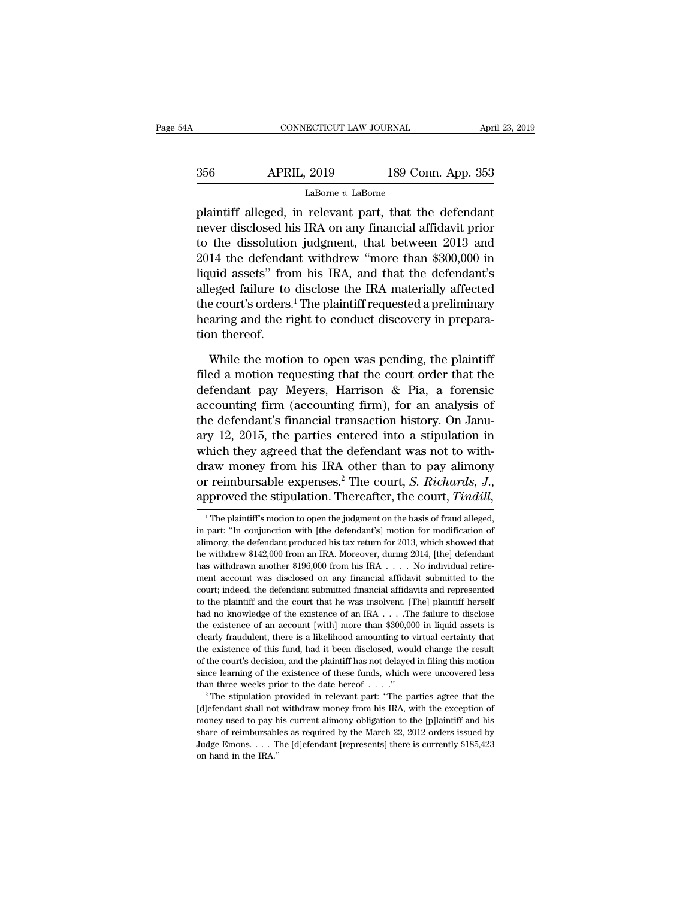| 54A | CONNECTICUT LAW JOURNAL |                    | April 23, 2019 |
|-----|-------------------------|--------------------|----------------|
| 356 | <b>APRIL, 2019</b>      | 189 Conn. App. 353 |                |
|     | LaBorne v. LaBorne      |                    |                |

cONNECTICUT LAW JOURNAL April 23, 2019<br>
356 APRIL, 2019 189 Conn. App. 353<br>
LaBome v. LaBome<br>
plaintiff alleged, in relevant part, that the defendant<br>
never disclosed his IRA on any financial affidavit prior<br>
the discoluti 356 APRIL, 2019 189 Conn. App. 353<br>LaBorne *v*. LaBorne<br>plaintiff alleged, in relevant part, that the defendant<br>never disclosed his IRA on any financial affidavit prior<br>to the dissolution judgment, that between 2013 and<br>20  $\frac{189}{2019}$  189 Conn. App. 353<br>
LaBome v. LaBome<br>
plaintiff alleged, in relevant part, that the defendant<br>
never disclosed his IRA on any financial affidavit prior<br>
to the dissolution judgment, that between 2013 and<br>
2  $\frac{\text{Labome }v}{\text{Labome }v \cdot \text{Labone}}$ <br>
LaBorne v. LaBorne<br>
plaintiff alleged, in relevant part, that the defendant<br>
never disclosed his IRA on any financial affidavit prior<br>
to the dissolution judgment, that between 2013 and<br>
20 LaBorne *v*. LaBorne<br>
plaintiff alleged, in relevant part, that the defendant<br>
never disclosed his IRA on any financial affidavit prior<br>
to the dissolution judgment, that between 2013 and<br>
2014 the defendant withdrew "mor  $\begin{array}{l} \text{Example 2:} \text{Labone} \\ \text{plaintiff alleged, in relevant part, that the defendant never disclosed his IRA on any financial affidavit prior to the dissolution judgment, that between 2013 and 2014 the defendant withdraw "more than $300,000 in liquid assets" from his IRA, and that the defendant's alleged failure to disclose the IRA materially affected the court's orders.<sup>1</sup> The plaintiff requested a preliminary bearing and the right to conduct discovery in response. \end{array}$ plaintiff alleged, in relevant part, that the defendant<br>never disclosed his IRA on any financial affidavit prior<br>to the dissolution judgment, that between 2013 and<br>2014 the defendant withdrew "more than \$300,000 in<br>liquid never disclosed his IRA on any financial affidavit prior<br>to the dissolution judgment, that between 2013 and<br>2014 the defendant withdrew "more than \$300,000 in<br>liquid assets" from his IRA, and that the defendant's<br>alleged f to the dissolution<br>2014 the defenda<br>liquid assets" from<br>alleged failure to<br>the court's orders.<br>hearing and the ri<br>tion thereof.<br>While the motic uid assets" from his IRA, and that the defendant's<br>eged failure to disclose the IRA materially affected<br>e court's orders.<sup>1</sup> The plaintiff requested a preliminary<br>aring and the right to conduct discovery in prepara-<br>m ther alleged failure to disclose the IRA materially affected<br>the court's orders.<sup>1</sup> The plaintiff requested a preliminary<br>hearing and the right to conduct discovery in prepara-<br>tion thereof.<br>While the motion to open was pending

the court's orders.<sup>1</sup> The plaintiff requested a preliminary<br>hearing and the right to conduct discovery in prepara-<br>tion thereof.<br>While the motion to open was pending, the plaintiff<br>filed a motion requesting that the court hearing and the right to conduct discovery in preparation thereof.<br>
While the motion to open was pending, the plaintiff<br>
filed a motion requesting that the court order that the<br>
defendant pay Meyers, Harrison & Pia, a fore tion thereof.<br>While the motion to open was pending, the plaintiff<br>filed a motion requesting that the court order that the<br>defendant pay Meyers, Harrison & Pia, a forensic<br>accounting firm (accounting firm), for an analysis While the motion to open was pending, the plaintiff<br>filed a motion requesting that the court order that the<br>defendant pay Meyers, Harrison & Pia, a forensic<br>accounting firm (accounting firm), for an analysis of<br>the defend While the motion to open was pending, the plaintiff<br>filed a motion requesting that the court order that the<br>defendant pay Meyers, Harrison & Pia, a forensic<br>accounting firm (accounting firm), for an analysis of<br>the defend filed a motion requesting that the court order that the<br>defendant pay Meyers, Harrison & Pia, a forensic<br>accounting firm (accounting firm), for an analysis of<br>the defendant's financial transaction history. On Janu-<br>ary 12 defendant pay Meyers, Harrison & Pia, a forensic<br>accounting firm (accounting firm), for an analysis of<br>the defendant's financial transaction history. On Janu-<br>ary 12, 2015, the parties entered into a stipulation in<br>which t ntent they agreed that the defendant was not to with-<br>raw money from his IRA other than to pay alimony<br>r reimbursable expenses.<sup>2</sup> The court, *S. Richards*, *J.*,<br>pproved the stipulation. Thereafter, the court, *Tindill*,<br> draw money from his IRA other than to pay alimony<br>or reimbursable expenses.<sup>2</sup> The court, *S. Richards*, *J.*,<br>approved the stipulation. Thereafter, the court, *Tindill*,<br><sup>1</sup> The plaintiff's motion to open the judgment on

or reimbursable expenses.<sup>2</sup> The court, *S. Richards*, *J.*,<br>approved the stipulation. Thereafter, the court, *Tindill*,<br><sup>1</sup> The plaintiff's motion to open the judgment on the basis of fraud alleged,<br>in part: "In conjunct approved the stipulation. Thereafter, the court, *Tindill*,<br>
<sup>1</sup> The plaintiff's motion to open the judgment on the basis of fraud alleged,<br>
in part: "In conjunction with [the defendant's] motion for modification of<br>
alim approved the stipulation. Thereafter, the Court, Timenti,  $\frac{1}{2}$  . The plaintiff's motion to open the judgment on the basis of fraud alleged, in part: "In conjunction with [the defendant's] motion for modification of a <sup>1</sup> The plaintiff's motion to open the judgment on the basis of fraud alleged, in part: "In conjunction with [the defendant's] motion for modification of alimony, the defendant produced his tax return for 2013, which show in part: "In conjunction with [the defendant's] motion for modification of alimony, the defendant produced his tax return for 2013, which showed that he withdrew \$142,000 from an IRA. Moreover, during 2014, [the] defendan The method is the the plaintiff and the court in the plainting in the withdrew \$142,000 from an IRA. Moreover, during 2014, [the] defendant has withdrawn another \$196,000 from his IRA  $\dots$  No individual retirement account had no knowledge of the existence of an IRA . . . . No individual retirement account was disclosed on any financial affidavit submitted to the court; indeed, the defendant submitted financial affidavits and represented to The existence of an account [with] more than \$300,000 in liquid are existence of an account was disclosed on any financial affidavit submitted to the court; indeed, the defendant submitted financial affidavits and represe ment account was disclosed on any financial affidavit submitted to the court; indeed, the defendant submitted financial affidavits and represented to the plaintiff and the court that he was insolvent. [The] plaintiff herse court; indeed, the defendant submitted financial affidavits and represented to the plaintiff and the court that he was insolvent. [The] plaintiff herself had no knowledge of the existence of an IRA  $\ldots$ . The failure to d to the plaintiff and the court that he was insolvent. [The] plaintiff herself had no knowledge of the existence of an IRA  $\ldots$ . The failure to disclose the existence of an account [with] more than \$300,000 in liquid asse had no knowledge of the existence of an IRA  $\ldots$ . The failure to disclose the existence of an account [with] more than \$300,000 in liquid assets is clearly fraudulent, there is a likelihood amounting to virtual certainty the existence of an account [with] more than \$300,000 in liquid assets is clearly fraudulent, there is a likelihood amounting to virtual certainty that the existence of this fund, had it been disclosed, would change the r the existence of this fund, had it been disclosed, would change the result of the court's decision, and the plaintiff has not delayed in filing this motion since learning of the existence of these funds, which were uncove

<sup>%</sup> of the court's decision, and the plaintiff has not delayed in filing this motion since learning of the existence of these funds, which were uncovered less than three weeks prior to the date hereof  $\ldots$ ."<br>
<sup>2</sup> The stipu since learning of the existence of these funds, which were uncovered less<br>than three weeks prior to the date hereof . . . ."<br><sup>2</sup> The stipulation provided in relevant part: "The parties agree that the<br>[d]efendant shall not Judge Emons. . . . The [d]efendant [represents] there is currently \$185,423 [d]<br>efendant shall not withdraw money from his IRA, with the exception of money used to pay his current a<br>limony obligation to the [p]<br>laintiff and his share of reimbursables as required by the March 22, 2012 orders issue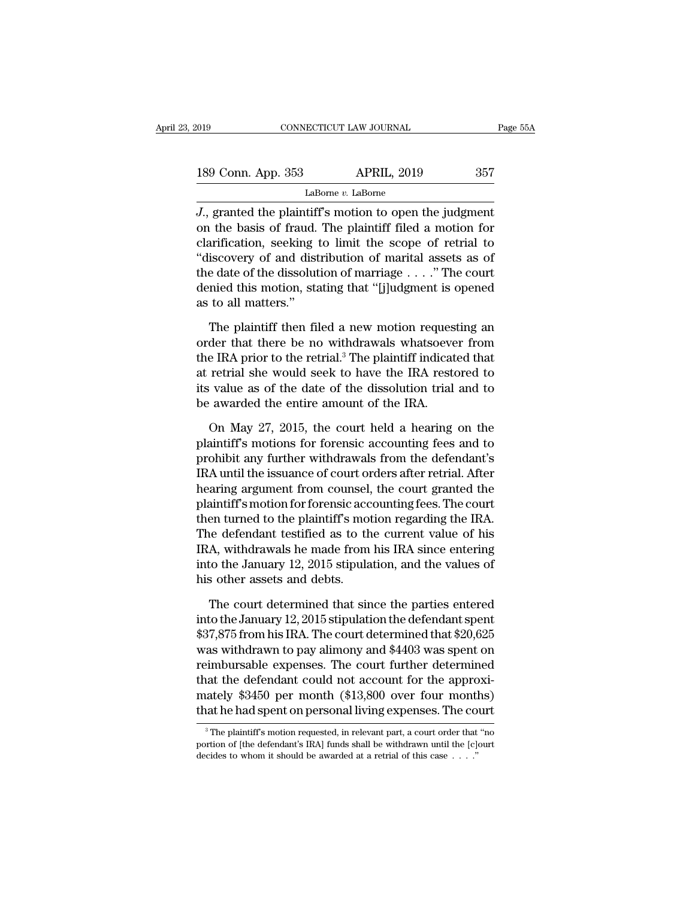| 019                | CONNECTICUT LAW JOURNAL | Page 55A |  |
|--------------------|-------------------------|----------|--|
|                    |                         |          |  |
| 189 Conn. App. 353 | <b>APRIL, 2019</b>      | 357      |  |
|                    | LaBorne v. LaBorne      |          |  |

<sup>2019</sup> CONNECTICUT LAW JOURNAL Page 55.<br> **J.**, granted the plaintiff's motion to open the judgment<br>
2., granted the plaintiff's motion to open the judgment<br>
2., granted the plaintiff's motion to open the judgment<br>
2. alori 189 Conn. App. 353 APRIL, 2019 357<br>
LaBorne *v*. LaBorne<br>
J., granted the plaintiff's motion to open the judgment<br>
on the basis of fraud. The plaintiff filed a motion for<br>
clarification, seeking to limit the scope of retr 189 Conn. App. 353 APRIL, 2019 357<br>
LaBome v. LaBome<br>
J., granted the plaintiff's motion to open the judgment<br>
on the basis of fraud. The plaintiff filed a motion for<br>
clarification, seeking to limit the scope of retrial 189 Conn. App. 353 APRIL, 2019 357<br>
LaBome *v*. LaBome<br>
J., granted the plaintiff's motion to open the judgment<br>
on the basis of fraud. The plaintiff filed a motion for<br>
clarification, seeking to limit the scope of retria LaBorne *v*. LaBorne<br> *J.*, granted the plaintiff's motion to open the judgment<br>
on the basis of fraud. The plaintiff filed a motion for<br>
clarification, seeking to limit the scope of retrial to<br>
"discovery of and distribu Labome *v*. Labome<br>*J.*, granted the plaintiff's motion to open the judgment<br>on the basis of fraud. The plaintiff filed a motion for<br>clarification, seeking to limit the scope of retrial to<br>"discovery of and distribution o J., granted the plaintifi<br>on the basis of fraud.<br>clarification, seeking<br>''discovery of and dist<br>the date of the dissolut<br>denied this motion, sta<br>as to all matters.''<br>The plaintiff then fil arification, seeking to limit the scope of retrial to<br>iscovery of and distribution of marital assets as of<br>e date of the dissolution of marriage . . . ." The court<br>nied this motion, stating that "[j]udgment is opened<br>to a "discovery of and distribution of marital assets as of<br>the date of the dissolution of marriage  $\dots$ ." The court<br>denied this motion, stating that "[j]udgment is opened<br>as to all matters."<br>The plaintiff then filed a new mot

the date of the dissolution of marriage  $\ldots$ ." The court<br>denied this motion, stating that "[j]udgment is opened<br>as to all matters."<br>The plaintiff then filed a new motion requesting an<br>order that there be no withdrawals w denied this motion, stating that "[j]udgment is opened<br>as to all matters."<br>The plaintiff then filed a new motion requesting an<br>order that there be no withdrawals whatsoever from<br>the IRA prior to the retrial.<sup>3</sup> The plainti is as to all matters."<br>The plaintiff then filed a new motion requesting an<br>order that there be no withdrawals whatsoever from<br>the IRA prior to the retrial.<sup>3</sup> The plaintiff indicated that<br>at retrial she would seek to have The plaintiff then filed a new motion reques<br>order that there be no withdrawals whatsoeve<br>the IRA prior to the retrial.<sup>3</sup> The plaintiff indicat<br>at retrial she would seek to have the IRA rest<br>its value as of the date of th der that there be no withdrawals whatsoever from<br>e IRA prior to the retrial.<sup>3</sup> The plaintiff indicated that<br>retrial she would seek to have the IRA restored to<br>value as of the date of the dissolution trial and to<br>awarded t the IRA prior to the retrial.<sup>3</sup> The plaintiff indicated that<br>at retrial she would seek to have the IRA restored to<br>its value as of the date of the dissolution trial and to<br>be awarded the entire amount of the IRA.<br>On May 2

at retrial she would seek to have the IRA restored to<br>its value as of the date of the dissolution trial and to<br>be awarded the entire amount of the IRA.<br>On May 27, 2015, the court held a hearing on the<br>plaintiff's motions f its value as of the date of the dissolution trial and to<br>be awarded the entire amount of the IRA.<br>On May 27, 2015, the court held a hearing on the<br>plaintiff's motions for forensic accounting fees and to<br>prohibit any furthe be awarded the entire amount of the IRA.<br>
On May 27, 2015, the court held a hearing on the<br>
plaintiff's motions for forensic accounting fees and to<br>
prohibit any further withdrawals from the defendant's<br>
IRA until the issu On May 27, 2015, the court held a hearing on the plaintiff's motions for forensic accounting fees and to prohibit any further withdrawals from the defendant's IRA until the issuance of court orders after retrial. After hea On May 27, 2015, the court held a hearing on the<br>plaintiff's motions for forensic accounting fees and to<br>prohibit any further withdrawals from the defendant's<br>IRA until the issuance of court orders after retrial. After<br>hea plaintiff's motions for forensic accounting fees and to<br>prohibit any further withdrawals from the defendant's<br>IRA until the issuance of court orders after retrial. After<br>hearing argument from counsel, the court granted the prohibit any further withdrawals from the defendant's<br>IRA until the issuance of court orders after retrial. After<br>hearing argument from counsel, the court granted the<br>plaintiff's motion for forensic accounting fees. The co IRA until the issuance of court orders after retrial. After<br>hearing argument from counsel, the court granted the<br>plaintiff's motion for forensic accounting fees. The court<br>then turned to the plaintiff's motion regarding th hearing argument from counsel,<br>plaintiff's motion for forensic acc<br>then turned to the plaintiff's mot<br>The defendant testified as to th<br>IRA, withdrawals he made from<br>into the January 12, 2015 stipula<br>his other assets and de en turned to the plaintiff's motion regarding the IRA.<br>
He defendant testified as to the current value of his<br>
A, withdrawals he made from his IRA since entering<br>
to the January 12, 2015 stipulation, and the values of<br>
s The defendant testified as to the current value of his<br>IRA, withdrawals he made from his IRA since entering<br>into the January 12, 2015 stipulation, and the values of<br>his other assets and debts.<br>The court determined that si

IRA, withdrawals he made from his IRA since entering<br>into the January 12, 2015 stipulation, and the values of<br>his other assets and debts.<br>The court determined that since the parties entered<br>into the January 12, 2015 stipul into the January 12, 2015 stipulation, and the values of<br>his other assets and debts.<br>The court determined that since the parties entered<br>into the January 12, 2015 stipulation the defendant spent<br>\$37,875 from his IRA. The c his other assets and debts.<br>The court determined that since the parties entered<br>into the January 12, 2015 stipulation the defendant spent<br> $$37,875$  from his IRA. The court determined that  $$20,625$ <br>was withdrawn to pay al The court determined that since the parties entered<br>into the January 12, 2015 stipulation the defendant spent<br> $$37,875$  from his IRA. The court determined that  $$20,625$ <br>was withdrawn to pay alimony and  $$4403$  was spent The court determined that since the parties entered<br>into the January 12, 2015 stipulation the defendant spent<br>\$37,875 from his IRA. The court determined that \$20,625<br>was withdrawn to pay alimony and \$4403 was spent on<br>reim into the January 12, 2015 stipulation the defendant spent<br>\$37,875 from his IRA. The court determined that \$20,625<br>was withdrawn to pay alimony and \$4403 was spent on<br>reimbursable expenses. The court further determined<br>tha reimbursable expenses. The court further determined<br>that the defendant could not account for the approxi-<br>mately \$3450 per month (\$13,800 over four months)<br>that he had spent on personal living expenses. The court<br> $\frac{}{\hbar}$ that the defendant could not account for the approximately \$3450 per month (\$13,800 over four months) that he had spent on personal living expenses. The court  $\frac{3}{100}$  The plaintiff's motion requested, in relevant part

mately \$3450 per month (\$13,800 over four montl<br>that he had spent on personal living expenses. The co<br> $^3$ The plaintiff's motion requested, in relevant part, a court order that<br>portion of [the defendant's IRA] funds shall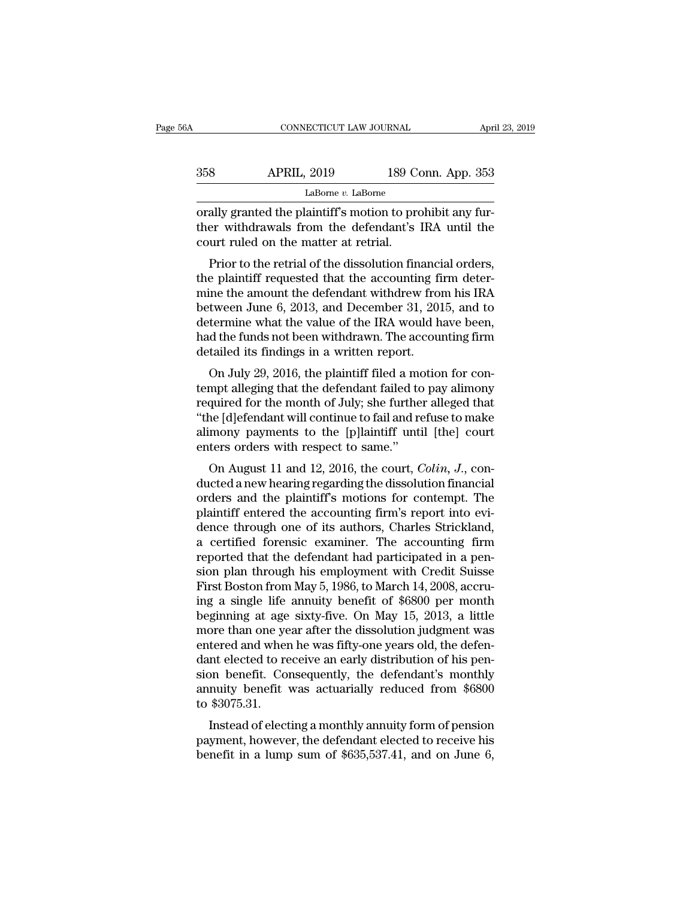| 6A  | CONNECTICUT LAW JOURNAL |                    | April 23, 2019 |
|-----|-------------------------|--------------------|----------------|
| 358 | <b>APRIL, 2019</b>      | 189 Conn. App. 353 |                |
|     | LaBorne $v$ . LaBorne   |                    |                |

CONNECTICUT LAW JOURNAL Apr<br>
358 APRIL, 2019 189 Conn. App. 353<br>
LaBorne *v*. LaBorne<br>
orally granted the plaintiff's motion to prohibit any fur-<br>
ther withdrawals from the defendant's IRA until the<br>
court ruled on the mat APRIL, 2019 189 Conn. App. 353<br>LaBorne v. LaBorne<br>orally granted the plaintiff's motion to prohibit any fur-<br>ther withdrawals from the defendant's IRA until the<br>court ruled on the matter at retrial.  $\begin{array}{r} \text{358}\qquad \qquad \text{APRIL, 2019}\qquad \qquad \text{189 C4}\ \text{orally granted the plaintiff's motion to pre-  
orally granted the plaintiff's motion to pre-  
tevevithdrawals from the defendant's  
court ruled on the matter at retrial. \text{Prior to the retrial of the dissolution fin R$  APRIL, 2019 189 Conn. App. 353<br>
LaBorne *v*. LaBorne<br>
ally granted the plaintiff's motion to prohibit any fur-<br>
er withdrawals from the defendant's IRA until the<br>
urt ruled on the matter at retrial.<br>
Prior to the retr

LaBorne *v*. LaBorne<br>
orally granted the plaintiff's motion to prohibit any fur-<br>
ther withdrawals from the defendant's IRA until the<br>
court ruled on the matter at retrial.<br>
Prior to the retrial of the dissolution financi orally granted the plaintiff's motion to prohibit any fur-<br>ther withdrawals from the defendant's IRA until the<br>court ruled on the matter at retrial.<br>Prior to the retrial of the dissolution financial orders,<br>the plaintiff r between June 6, 2013, and December 31, 2015, and to<br>ther withdrawals from the defendant's IRA until the<br>court ruled on the matter at retrial.<br>Prior to the retrial of the dissolution financial orders,<br>the plaintiff requeste determine what the matter at retrial.<br>
Prior to the retrial of the dissolution financial orders,<br>
the plaintiff requested that the accounting firm deter-<br>
mine the amount the defendant withdrew from his IRA<br>
between June 6 Frior to the retrial of the dissolution financial orders,<br>the plaintiff requested that the accounting firm deter-<br>mine the amount the defendant withdrew from his IRA<br>between June 6, 2013, and December 31, 2015, and to<br>dete Prior to the retrial of the dissolution financi<br>the plaintiff requested that the accounting fi<br>mine the amount the defendant withdrew from<br>between June 6, 2013, and December 31, 201<br>determine what the value of the IRA woul replaintin requested diat the accounting firm deter-<br>ine the amount the defendant withdrew from his IRA<br>tween June 6, 2013, and December 31, 2015, and to<br>termine what the value of the IRA would have been,<br>d the funds not b the different alleger and the defendant with the wholit his fixed<br>between June 6, 2013, and December 31, 2015, and to<br>determine what the value of the IRA would have been,<br>had the funds not been withdrawn. The accounting fi

between sure 0, 2015, and December 31, 2015, and to<br>determine what the value of the IRA would have been,<br>had the funds not been withdrawn. The accounting firm<br>detailed its findings in a written report.<br>On July 29, 2016, th determine what the value of the fixA would have been,<br>had the funds not been withdrawn. The accounting firm<br>detailed its findings in a written report.<br>On July 29, 2016, the plaintiff filed a motion for con-<br>tempt alleging rad the funds not been withdrawn. The accounting firm<br>detailed its findings in a written report.<br>On July 29, 2016, the plaintiff filed a motion for con-<br>tempt alleging that the defendant failed to pay alimony<br>required for detailed its findings in a written report.<br>
On July 29, 2016, the plaintiff filed a movement alleging that the defendant failed to<br>
required for the month of July; she furthe<br>
"the [d]efendant will continue to fail and re<br> On Jury 25, 2010, the plantiff field to pay alimony<br>mpt alleging that the defendant failed to pay alimony<br>quired for the month of July; she further alleged that<br>ne [d]efendant will continue to fail and refuse to make<br>mony definite differentially that the defendant ranea to pay antitotly<br>required for the month of July; she further alleged that<br>"the [d]efendant will continue to fail and refuse to make<br>alimony payments to the [p]laintiff unti

required for the month of July, she further aneged that<br>
"the [d]efendant will continue to fail and refuse to make<br>
alimony payments to the [p]laintiff until [the] court<br>
enters orders with respect to same."<br>
On August 11 alimony payments to the [p]laintiff until [the] court<br>alimony payments to the [p]laintiff until [the] court<br>enters orders with respect to same."<br>On August 11 and 12, 2016, the court, *Colin*, J., con-<br>ducted a new hearing all and the plant of the court, Colin, J., conducted a new hearing regarding the dissolution financial<br>orders and the plaintiff's motions for contempt. The<br>plaintiff entered the accounting firm's report into evi-<br>dence thr on August 11 and 12, 2016, the court, *Colin*, *J*., conducted a new hearing regarding the dissolution financial<br>orders and the plaintiff's motions for contempt. The<br>plaintiff entered the accounting firm's report into evi-On August 11 and 12, 2016, the court, *Colin*, *J.*, conducted a new hearing regarding the dissolution financial orders and the plaintiff's motions for contempt. The plaintiff entered the accounting firm's report into evi ducted a new hearing regarding the dissolution financial<br>orders and the plaintiff's motions for contempt. The<br>plaintiff entered the accounting firm's report into evi-<br>dence through one of its authors, Charles Strickland,<br>a orders and the plaintiff's motions for contempt. The plaintiff entered the accounting firm's report into evidence through one of its authors, Charles Strickland, a certified forensic examiner. The accounting firm reported plaintiff entered the accounting firm's report into evidence through one of its authors, Charles Strickland,<br>a certified forensic examiner. The accounting firm<br>reported that the defendant had participated in a pen-<br>sion pl dence through one of its authors, Charles Strickland,<br>a certified forensic examiner. The accounting firm<br>reported that the defendant had participated in a pen-<br>sion plan through his employment with Credit Suisse<br>First Bost a certified forensic examiner. The accounting firm<br>reported that the defendant had participated in a pen-<br>sion plan through his employment with Credit Suisse<br>First Boston from May 5, 1986, to March 14, 2008, accru-<br>ing a s reported that the defendant had participated in a pension plan through his employment with Credit Suisse<br>First Boston from May 5, 1986, to March 14, 2008, accru-<br>ing a single life annuity benefit of \$6800 per month<br>beginni sion plan through his employment with Credit Suisse<br>First Boston from May 5, 1986, to March 14, 2008, accru-<br>ing a single life annuity benefit of \$6800 per month<br>beginning at age sixty-five. On May 15, 2013, a little<br>more First Boston from May 5, 1986, to March 14, 2008, accru-<br>ing a single life annuity benefit of \$6800 per month<br>beginning at age sixty-five. On May 15, 2013, a little<br>more than one year after the dissolution judgment was<br>en ing a single life annuity benefit of \$6800 per month<br>beginning at age sixty-five. On May 15, 2013, a little<br>more than one year after the dissolution judgment was<br>entered and when he was fifty-one years old, the defen-<br>dant beginning at age<br>more than one ye<br>entered and wher<br>dant elected to re<br>sion benefit. Co:<br>annuity benefit<br>to \$3075.31.<br>Instead of elect Instead and when he was fifty-one years old, the defen-<br>
Intered and when he was fifty-one years old, the defen-<br>
Intered to receive an early distribution of his pen-<br>
Instead to receive an actuarially reduced from \$6800<br> entered and when he was mty-one years old, the defendant elected to receive an early distribution of his pension benefit. Consequently, the defendant's monthly annuity benefit was actuarially reduced from \$6800 to \$3075.31 benefit. Consequently, the defendant's monthly<br>annuity benefit. Consequently, the defendant's monthly<br>annuity benefit was actuarially reduced from \$6800<br>to \$3075.31.<br>Instead of electing a monthly annuity form of pension<br>pa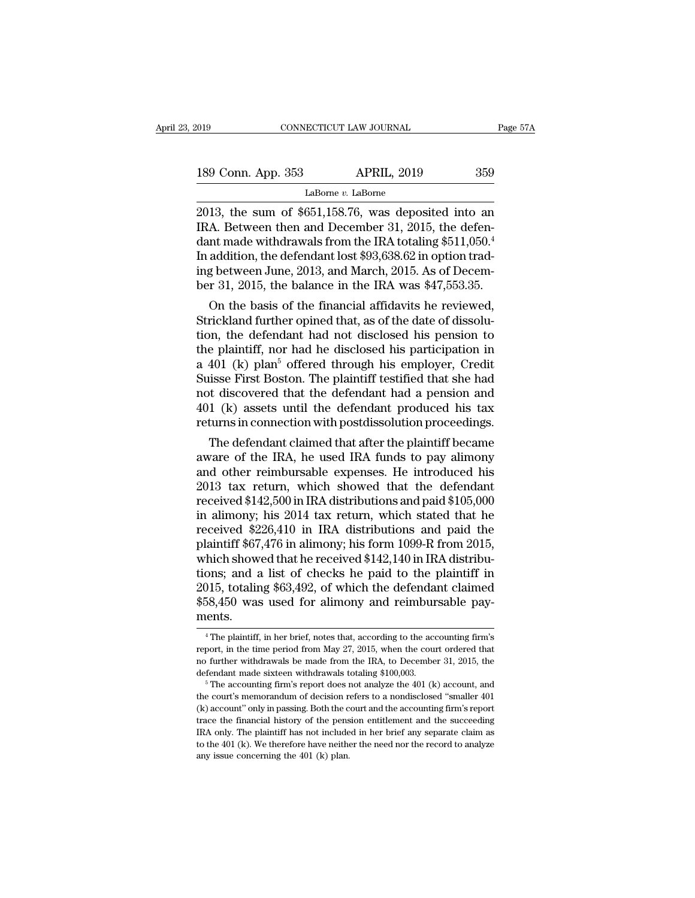189 Conn. App. 353 APRIL, 2019 359<br>LaBorne v. LaBorne

LaBorne *v.* LaBorne

2013<br>
2013, the sum of \$651,158.76, was deposited into an<br>
2013, the sum of \$651,158.76, was deposited into an<br>
2013, the sum of \$651,158.76, was deposited into an<br>
2013, the sum of \$651,158.76, was deposited into an<br>
2015 189 Conn. App. 353 APRIL, 2019 359<br>
LaBorne *v*. LaBorne<br>
2013, the sum of \$651,158.76, was deposited into an<br>
IRA. Between then and December 31, 2015, the defen-<br>
dant made withdrawals from the IRA totaling \$511,050.<sup>4</sup><br> 189 Conn. App. 353 APRIL, 2019 359<br>LaBome v. LaBome<br>2013, the sum of \$651,158.76, was deposited into an<br>IRA. Between then and December 31, 2015, the defen-<br>dant made withdrawals from the IRA totaling \$511,050.<sup>4</sup><br>In addit 189 Conn. App. 353 APRIL, 2019 359<br>
LaBorne *v*. LaBorne<br>
2013, the sum of \$651,158.76, was deposited into an<br>
IRA. Between then and December 31, 2015, the defendant made withdrawals from the IRA totaling \$511,050.<sup>4</sup><br>
In LaBorne v. LaBorne<br>LaBorne v. LaBorne<br>2013, the sum of \$651,158.76, was deposited into an<br>IRA. Between then and December 31, 2015, the defen-<br>dant made withdrawals from the IRA totaling \$511,050.<sup>4</sup><br>In addition, the defen LaBorne *v*. LaBorne<br>2013, the sum of \$651,158.76, was deposited into an<br>IRA. Between then and December 31, 2015, the defen-<br>dant made withdrawals from the IRA totaling \$511,050.<sup>4</sup><br>In addition, the defendant lost \$93,638 13, the sum of  $\ast$ 051,158.76, was deposited into an<br>A. Between then and December 31, 2015, the defen-<br>nt made withdrawals from the IRA totaling \$511,050.<sup>4</sup><br>addition, the defendant lost \$93,638.62 in option trad-<br>g betwe IRA. Between then and December 31, 2015, the defendant made withdrawals from the IRA totaling \$511,050.<sup>4</sup> In addition, the defendant lost \$93,638.62 in option trading between June, 2013, and March, 2015. As of December 31

dant made withdrawals from the IRA totaling \$511,050.<br>
In addition, the defendant lost \$93,638.62 in option trad-<br>
ing between June, 2013, and March, 2015. As of Decem-<br>
ber 31, 2015, the balance in the IRA was \$47,553.35 In addition, the defendant lost \$93,638.62 in option trad-<br>ing between June, 2013, and March, 2015. As of Decem-<br>ber 31, 2015, the balance in the IRA was \$47,553.35.<br>On the basis of the financial affidavits he reviewed,<br>S mg between June, 2013, and March, 2015. As of December 31, 2015, the balance in the IRA was \$47,553.35.<br>On the basis of the financial affidavits he reviewed, Strickland further opined that, as of the date of dissolution, ber 31, 2015, the balance in the IRA was  $\ast$ 47,553.35.<br>
On the basis of the financial affidavits he reviewed,<br>
Strickland further opined that, as of the date of dissolu-<br>
tion, the defendant had not disclosed his pension On the basis of the financial affidavits he reviewed,<br>Strickland further opined that, as of the date of dissolu-<br>tion, the defendant had not disclosed his pension to<br>the plaintiff, nor had he disclosed his participation i Strickland further opined that, as of the date of dissolution, the defendant had not disclosed his pension to the plaintiff, nor had he disclosed his participation in a 401 (k) plan<sup>5</sup> offered through his employer, Credit tion, the defendant had not disclosed his pension to<br>the plaintiff, nor had he disclosed his participation in<br>a 401 (k) plan<sup>5</sup> offered through his employer, Credit<br>Suisse First Boston. The plaintiff testified that she ha e plaintiff, nor nad ne disclosed his participation in<br>401 (k) plan<sup>5</sup> offered through his employer, Credit<br>iisse First Boston. The plaintiff testified that she had<br>t discovered that the defendant had a pension and<br>1 (k) a a 401 (K) pian<sup>5</sup> offered through his employer, Credit<br>Suisse First Boston. The plaintiff testified that she had<br>not discovered that the defendant had a pension and<br>401 (k) assets until the defendant produced his tax<br>retur

suisse First Boston. The plaintiff testined that she had<br>not discovered that the defendant had a pension and<br>401 (k) assets until the defendant produced his tax<br>returns in connection with postdissolution proceedings.<br>The not discovered that the defendant had a pension and<br>401 (k) assets until the defendant produced his tax<br>returns in connection with postdissolution proceedings.<br>The defendant claimed that after the plaintiff became<br>aware of 401 (K) assets until the defendant produced his tax<br>returns in connection with postdissolution proceedings.<br>The defendant claimed that after the plaintiff became<br>aware of the IRA, he used IRA funds to pay alimony<br>and othe returns in connection with postaissolution proceedings.<br>
The defendant claimed that after the plaintiff became<br>
aware of the IRA, he used IRA funds to pay alimony<br>
and other reimbursable expenses. He introduced his<br>
2013 t The defendant claimed that after the plaintiff became<br>aware of the IRA, he used IRA funds to pay alimony<br>and other reimbursable expenses. He introduced his<br>2013 tax return, which showed that the defendant<br>received \$142,500 aware of the IRA, he used IRA funds to pay alimony<br>and other reimbursable expenses. He introduced his<br>2013 tax return, which showed that the defendant<br>received \$142,500 in IRA distributions and paid \$105,000<br>in alimony; hi and other reimbursable expenses. He introduced his 2013 tax return, which showed that the defendant received \$142,500 in IRA distributions and paid \$105,000 in alimony; his 2014 tax return, which stated that he received \$ 2013 tax return, which showed that the defendant<br>received \$142,500 in IRA distributions and paid \$105,000<br>in alimony; his 2014 tax return, which stated that he<br>received \$226,410 in IRA distributions and paid the<br>plaintiff received \$142,500 in IRA distributions and paid \$105,000<br>in alimony; his 2014 tax return, which stated that he<br>received \$226,410 in IRA distributions and paid the<br>plaintiff \$67,476 in alimony; his form 1099-R from 2015,<br>wh in alimony; his 2014 tax return, which stated that he received \$226,410 in IRA distributions and paid the plaintiff \$67,476 in alimony; his form 1099-R from 2015, which showed that he received \$142,140 in IRA distributions ments. ons; and a list of checks he paid to the plaintiff in<br>
115, totaling \$63,492, of which the defendant claimed<br>
58,450 was used for alimony and reimbursable pay-<br>
ents.<br>
<sup>4</sup>The plaintiff, in her brief, notes that, according 2015, totaling \$63,492, of which the defendant claimed \$58,450 was used for alimony and reimbursable payments.<br>  $\frac{4 \text{ The plaintiff, in her brief, notes that, according to the accounting firm's report, in the time period from May 27, 2015, when the court ordered that no further withdrawals be made from the IRA, to December 31, 2015, the$ 

<sup>\$58,450</sup> was used for alimony and reimbursable payments.<br>
"The plaintiff, in her brief, notes that, according to the accounting firm's report, in the time period from May 27, 2015, when the court ordered that no further wi ments.<br>
<sup>4</sup> The plaintiff, in her brief, notes that, according to the accounting firm's report, in the time period from May 27, 2015, when the court ordered that no further withdrawals be made from the IRA, to December 31 <sup>4</sup> The plaintiff, in her brief, notes that, according to the accounting firm's report, in the time period from May 27, 2015, when the court ordered that no further withdrawals be made from the IRA, to December 31, 2015,

report, in the time period from May 27, 2015, when the court ordered that no further withdrawals be made from the IRA, to December 31, 2015, the defendant made sixteen withdrawals totaling \$100,003.<br><sup>5</sup> The accounting fir trace the withdrawals be made from the IRA, to December 31, 2015, the defendant made sixteen withdrawals totaling \$100,003.<br>
<sup>5</sup> The accounting firm's report does not analyze the 401 (k) account, and the court's memorandu In the plant in ande sixteen withdrawals totaling \$100,003.<br>
<sup>5</sup> The accounting firm's report does not analyze the 401 (k) account, and<br>
the court's memorandum of decision refers to a nondisclosed "smaller 401<br>
(k) accoun <sup>5</sup> The accounting firm's report does not analyze the 401 (k) account, and the court's memorandum of decision refers to a nondisclosed "smaller 401 (k) account" only in passing. Both the court and the accounting firm's re From the court's memorandum of decision  $\Gamma$  (k) account'' only in passing. Both the c<br>trace the financial history of the pense trace the financial history of the pense.<br>IRA only. The plaintiff has not include<br>to the 401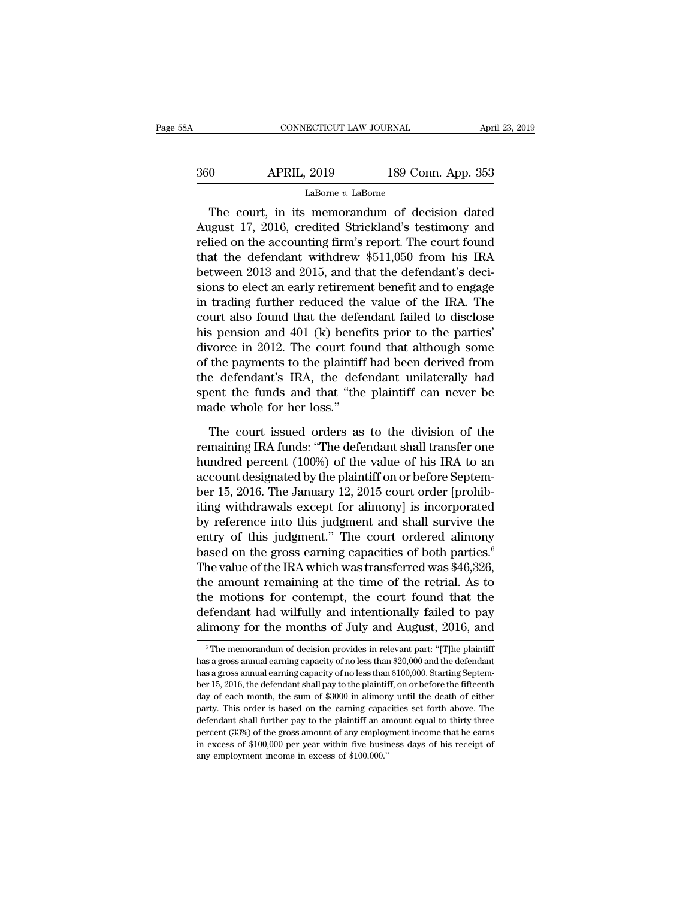| 58A | CONNECTICUT LAW JOURNAL |                    | April 23, 2019 |
|-----|-------------------------|--------------------|----------------|
| 360 | <b>APRIL, 2019</b>      | 189 Conn. App. 353 |                |
|     | LaBorne v. LaBorne      |                    |                |

CONNECTICUT LAW JOURNAL April 23, 2019<br>
0 APRIL, 2019 189 Conn. App. 353<br>
LaBorne *v*. LaBorne<br>
The court, in its memorandum of decision dated<br>
ugust 17, 2016, credited Strickland's testimony and<br>
lied on the accounting fi APRIL, 2019 189 Conn. App. 353<br>
LaBorne *v.* LaBorne<br>
The court, in its memorandum of decision dated<br>
August 17, 2016, credited Strickland's testimony and<br>
relied on the accounting firm's report. The court found<br>
that the Religional Marting of the accounting firm is memoranted on the accounting firm's report. The court found<br>that the defendant withdrew \$511,050 from his IRA<br>between 2013 and 2015, and that the defendant's doci- $\frac{\text{Labore }v\text{. LaBorne}}{\text{LaBome }v\text{. LaBorne}}$ <br>The court, in its memorandum of decision dated<br>August 17, 2016, credited Strickland's testimony and<br>relied on the accounting firm's report. The court found<br>that the defendant withdrew LaBorne *v*. LaBorne<br>
The court, in its memorandum of decision dated<br>
August 17, 2016, credited Strickland's testimony and<br>
relied on the accounting firm's report. The court found<br>
that the defendant withdrew \$511,050 fro Easome v. Lasome<br>The court, in its memorandum of decision dated<br>August 17, 2016, credited Strickland's testimony and<br>relied on the accounting firm's report. The court found<br>that the defendant withdrew \$511,050 from his IR The court, in its memorandum of decision dated<br>August 17, 2016, credited Strickland's testimony and<br>relied on the accounting firm's report. The court found<br>that the defendant withdrew \$511,050 from his IRA<br>between 2013 an August 17, 2016, credited Strickland's testimony and<br>relied on the accounting firm's report. The court found<br>that the defendant withdrew \$511,050 from his IRA<br>between 2013 and 2015, and that the defendant's deci-<br>sions to relied on the accounting firm's report. The court found<br>that the defendant withdrew \$511,050 from his IRA<br>between 2013 and 2015, and that the defendant's deci-<br>sions to elect an early retirement benefit and to engage<br>in tr that the defendant withdrew \$511,050 from his IRA<br>between 2013 and 2015, and that the defendant's deci-<br>sions to elect an early retirement benefit and to engage<br>in trading further reduced the value of the IRA. The<br>court a between 2013 and 2015, and that the defendant's decisions to elect an early retirement benefit and to engage<br>in trading further reduced the value of the IRA. The<br>court also found that the defendant failed to disclose<br>his p sions to elect an early retirement benefit and to engage<br>in trading further reduced the value of the IRA. The<br>court also found that the defendant failed to disclose<br>his pension and 401 (k) benefits prior to the parties'<br>di in trading further reduced the value of the IRA. The<br>court also found that the defendant failed to disclose<br>his pension and 401 (k) benefits prior to the parties'<br>divorce in 2012. The court found that although some<br>of the court also found that the defe<br>his pension and 401 (k) benef<br>divorce in 2012. The court fou<br>of the payments to the plaintiff<br>the defendant's IRA, the defe<br>spent the funds and that "the<br>made whole for her loss."<br>The court i worce in 2012. The court found that although some<br>the payments to the plaintiff had been derived from<br>e defendant's IRA, the defendant unilaterally had<br>ent the funds and that "the plaintiff can never be<br>ade whole for her of the payments to the plaintiff had been derived from<br>the defendant's IRA, the defendant unilaterally had<br>spent the funds and that "the plaintiff can never be<br>made whole for her loss."<br>The court issued orders as to the di

the defendant's IRA, the defendant unilaterally had<br>spent the funds and that "the plaintiff can never be<br>made whole for her loss."<br>The court issued orders as to the division of the<br>remaining IRA funds: "The defendant shal spent the funds and that "the plaintiff can never be<br>made whole for her loss."<br>The court issued orders as to the division of the<br>remaining IRA funds: "The defendant shall transfer one<br>hundred percent (100%) of the value of made whole for her loss."<br>The court issued orders as to the division of the<br>remaining IRA funds: "The defendant shall transfer one<br>hundred percent (100%) of the value of his IRA to an<br>account designated by the plaintiff on The court issued orders as to the division of the<br>remaining IRA funds: "The defendant shall transfer one<br>hundred percent (100%) of the value of his IRA to an<br>account designated by the plaintiff on or before Septem-<br>ber 15, The court issued orders as to the division of the<br>remaining IRA funds: "The defendant shall transfer one<br>hundred percent  $(100\%)$  of the value of his IRA to an<br>account designated by the plaintiff on or before Septem-<br>ber remaining IRA funds: "The defendant shall transfer one<br>hundred percent (100%) of the value of his IRA to an<br>account designated by the plaintiff on or before Septem-<br>ber 15, 2016. The January 12, 2015 court order [prohib-<br>i hundred percent (100%) of the value of his IRA to an<br>account designated by the plaintiff on or before Septem-<br>ber 15, 2016. The January 12, 2015 court order [prohib-<br>iting withdrawals except for alimony] is incorporated<br>by account designated by the plaintiff on or before Septem-<br>ber 15, 2016. The January 12, 2015 court order [prohib-<br>iting withdrawals except for alimony] is incorporated<br>by reference into this judgment and shall survive the<br>e ber 15, 2016. The January 12, 2015 court order [prohibiting withdrawals except for alimony] is incorporated<br>by reference into this judgment and shall survive the<br>entry of this judgment." The court ordered alimony<br>based on iting withdrawals except for alimony] is incorporated<br>by reference into this judgment and shall survive the<br>entry of this judgment." The court ordered alimony<br>based on the gross earning capacities of both parties.<sup>6</sup><br>The by reference into this judgment and shall survive the<br>entry of this judgment." The court ordered alimony<br>based on the gross earning capacities of both parties.<sup>6</sup><br>The value of the IRA which was transferred was \$46,326,<br>th entry of this judgment." The court ordered alimony<br>based on the gross earning capacities of both parties.<sup>6</sup><br>The value of the IRA which was transferred was \$46,326,<br>the amount remaining at the time of the retrial. As to<br>th ie amount remaining at the time of the retrial. As to<br>the motions for contempt, the court found that the<br>efendant had wilfully and intentionally failed to pay<br>imony for the months of July and August, 2016, and<br><sup>6</sup>The memor the motions for contempt, the court found that the<br>defendant had wilfully and intentionally failed to pay<br>alimony for the months of July and August, 2016, and<br><sup>6</sup>The memorandum of decision provides in relevant part: "[T]he

defendant had wilfully and intentionally failed to pay<br>alimony for the months of July and August, 2016, and<br><sup>6</sup>The memorandum of decision provides in relevant part: "[T]he plaintiff<br>has a gross annual earning capacity of n alimony for the months of July and August, 2016, and<br>
<sup>6</sup> The memorandum of decision provides in relevant part: "[T]he plaintiff<br>
has a gross annual earning capacity of no less than \$20,000 and the defendant<br>
has a gross a has a gross annual earning capacity of no less than \$20,000 and the defendant<br>has a gross annual earning capacity of no less than \$100,000. Starting Septem-<br>ber 15, 2016, the defendant shall pay to the plaintiff, on or bef  $^\circ$  The memorandum of decision provides in relevant part: "[T]he plaintiff has a gross annual earning capacity of no less than \$20,000 and the defendant has a gross annual earning capacity of no less than \$100,000. Start has a gross annual earning capacity of no less than \$20,000 and the defendant<br>has a gross annual earning capacity of no less than \$20,000 and the defendant<br>has a gross annual earning capacity of no less than \$100,000. Star has a gross annual earning capacity of no less than \$100,000. Starting September 15, 2016, the defendant shall pay to the plaintiff, on or before the fifteenth day of each month, the sum of \$3000 in alimony until the deat ber 15, 2016, the defendant shall pay to the plaintiff, on or before the fifteenth party. This order is based on the earning capacities set forth above. The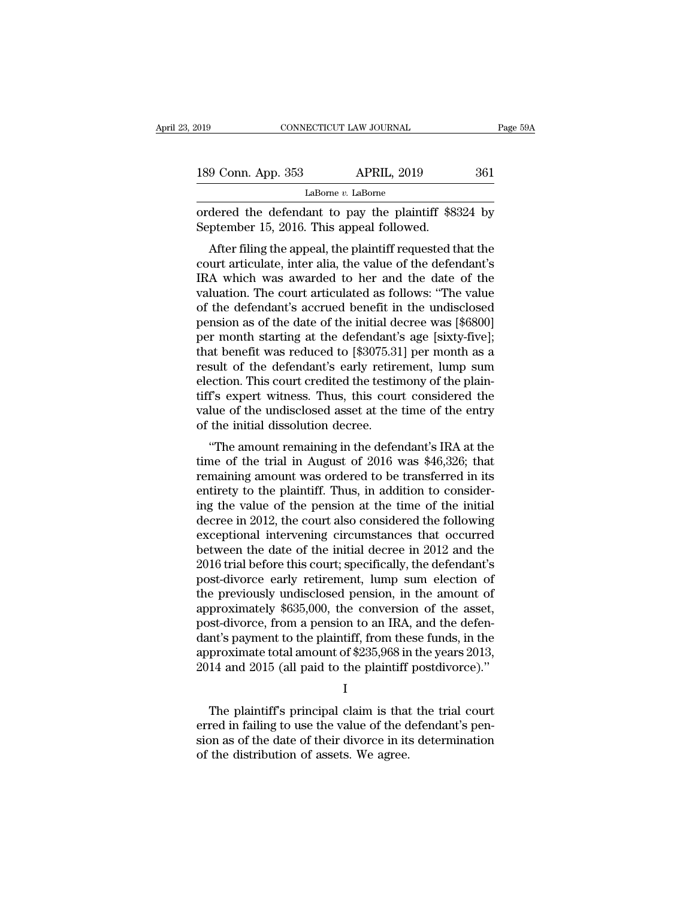| 019                | CONNECTICUT LAW JOURNAL | Page 59A |  |
|--------------------|-------------------------|----------|--|
|                    |                         |          |  |
| 189 Conn. App. 353 | <b>APRIL, 2019</b>      | 361      |  |
|                    | LaBorne v. LaBorne      |          |  |

CONNECTICUT LAW JOURNAL Page 59A<br>
189 Conn. App. 353 APRIL, 2019 361<br>
LaBorne v. LaBorne<br>
ordered the defendant to pay the plaintiff \$8324 by<br>
September 15, 2016. This appeal followed. 189 Conn. App. 353 APRIL, 2019<br>LaBorne v. LaBorne<br>ordered the defendant to pay the plaintiff \$83<br>September 15, 2016. This appeal followed.<br>After filing the appeal, the plaintiff requested t

9 Conn. App. 353 APRIL, 2019 361<br>
LaBorne *v*. LaBorne<br>
dered the defendant to pay the plaintiff \$8324 by<br>
ptember 15, 2016. This appeal followed.<br>
After filing the appeal, the plaintiff requested that the<br>
urt articulate 189 Conn. App. 353 APRIL, 2019 361<br>
LaBorne *v*. LaBorne<br>
ordered the defendant to pay the plaintiff \$8324 by<br>
September 15, 2016. This appeal followed.<br>
After filing the appeal, the plaintiff requested that the<br>
court ar LaBorne  $v$ . LaBorne<br>
ordered the defendant to pay the plaintiff \$8324 by<br>
September 15, 2016. This appeal followed.<br>
After filing the appeal, the plaintiff requested that the<br>
court articulate, inter alia, the value of t ordered the defendant to pay the plaintiff \$8324 by<br>September 15, 2016. This appeal followed.<br>After filing the appeal, the plaintiff requested that the<br>court articulate, inter alia, the value of the defendant's<br>IRA which w ordered the defendant to pay the plaintiff  $\frac{36524}{100}$  September 15, 2016. This appeal followed.<br>After filing the appeal, the plaintiff requested that the court articulate, inter alia, the value of the defendant's IRA September 15, 2010. This appear nonowed.<br>
After filing the appeal, the plaintiff requested that the<br>
court articulate, inter alia, the value of the defendant's<br>
IRA which was awarded to her and the date of the<br>
valuation. After filing the appeal, the plaintiff requested that the court articulate, inter alia, the value of the defendant's IRA which was awarded to her and the date of the valuation. The court articulated as follows: "The value court articulate, inter alia, the value of the defendant's<br>IRA which was awarded to her and the date of the<br>valuation. The court articulated as follows: "The value<br>of the defendant's accrued benefit in the undisclosed<br>pens IRA which was awarded to her and the date of the<br>valuation. The court articulated as follows: "The value<br>of the defendant's accrued benefit in the undisclosed<br>pension as of the date of the initial decree was [\$6800]<br>per mo valuation. The court articulated as follows: "The value<br>of the defendant's accrued benefit in the undisclosed<br>pension as of the date of the initial decree was [\$6800]<br>per month starting at the defendant's age [sixty-five]; of the defendant's accrued benefit in the undisclosed<br>pension as of the date of the initial decree was [\$6800]<br>per month starting at the defendant's age [sixty-five];<br>that benefit was reduced to [\$3075.31] per month as a<br>r pension as of the date of the initial decree was [\$6800]<br>per month starting at the defendant's age [sixty-five];<br>that benefit was reduced to [\$3075.31] per month as a<br>result of the defendant's early retirement, lump sum<br>el per month starting at the defendant'<br>that benefit was reduced to [\$3075.3]<br>result of the defendant's early retire<br>election. This court credited the testir<br>tiff's expert witness. Thus, this cour<br>value of the undisclosed ass at benefit was reduced to  $\lceil \phi$ 5073.51] per montri as a<br>sult of the defendant's early retirement, lump sum<br>ection. This court credited the testimony of the plain-<br>f's expert witness. Thus, this court considered the<br>lue result of the defendant's early retirement, hunp sum<br>election. This court credited the testimony of the plain-<br>tiff's expert witness. Thus, this court considered the<br>value of the undisclosed asset at the time of the entry<br>

election. This court credited the testimoly of the plant-<br>tiff's expert witness. Thus, this court considered the<br>value of the undisclosed asset at the time of the entry<br>of the initial dissolution decree.<br>"The amount remain the expert whitess. Thus, this court considered the<br>value of the undisclosed asset at the time of the entry<br>of the initial dissolution decree.<br>"The amount remaining in the defendant's IRA at the<br>time of the trial in Augus value of the undisclosed asset at the time of the entry<br>of the initial dissolution decree.<br>"The amount remaining in the defendant's IRA at the<br>time of the trial in August of 2016 was \$46,326; that<br>remaining amount was orde The amount remaining in the defendant's IRA at the<br>time of the trial in August of 2016 was \$46,326; that<br>remaining amount was ordered to be transferred in its<br>entirety to the plaintiff. Thus, in addition to consider-<br>ing "The amount remaining in the defendant's IRA at the<br>time of the trial in August of 2016 was \$46,326; that<br>remaining amount was ordered to be transferred in its<br>entirety to the plaintiff. Thus, in addition to consider-<br>ing time of the trial in August of 2016 was \$46,326; that<br>remaining amount was ordered to be transferred in its<br>entirety to the plaintiff. Thus, in addition to consider-<br>ing the value of the pension at the time of the initial<br> remaining amount was ordered to be transferred in its<br>entirety to the plaintiff. Thus, in addition to consider-<br>ing the value of the pension at the time of the initial<br>decree in 2012, the court also considered the followin entirety to the plaintiff. Thus, in addition to consider-<br>ing the value of the pension at the time of the initial<br>decree in 2012, the court also considered the following<br>exceptional intervening circumstances that occurred<br> ing the value of the pension at the time of the initial<br>decree in 2012, the court also considered the following<br>exceptional intervening circumstances that occurred<br>between the date of the initial decree in 2012 and the<br>20 decree in 2012, the court also considered the following<br>exceptional intervening circumstances that occurred<br>between the date of the initial decree in 2012 and the<br>2016 trial before this court; specifically, the defendant's exceptional intervening circumstances that occurred<br>between the date of the initial decree in 2012 and the<br>2016 trial before this court; specifically, the defendant's<br>post-divorce early retirement, lump sum election of<br>th between the date of the initial decree in 2012 and the<br>2016 trial before this court; specifically, the defendant's<br>post-divorce early retirement, lump sum election of<br>the previously undisclosed pension, in the amount of<br>ap 2016 trial before this court; specifically, the defendant's post-divorce early retirement, lump sum election of the previously undisclosed pension, in the amount of approximately \$635,000, the conversion of the asset, post post-divorce early retirement, lump sum election of<br>the previously undisclosed pension, in the amount of<br>approximately \$635,000, the conversion of the asset,<br>post-divorce, from a pension to an IRA, and the defen-<br>dant's pa st-divorce, from a pension to an IRA, and the defen-<br>nt's payment to the plaintiff, from these funds, in the<br>proximate total amount of \$235,968 in the years 2013,<br>14 and 2015 (all paid to the plaintiff postdivorce)."<br>I<br>The

I and the set of  $\mathbf{I}$ 

dant's payment to the plaintiff, from these funds, in the approximate total amount of \$235,968 in the years 2013, 2014 and 2015 (all paid to the plaintiff postdivorce)."<br>
I<br>
The plaintiff's principal claim is that the tria approximate total amount of \$235,968 in the years 2013,<br>2014 and 2015 (all paid to the plaintiff postdivorce)."<br>I<br>The plaintiff's principal claim is that the trial court<br>erred in failing to use the value of the defendant's 2014 and 2015 (all paid to the plaintiff<br>I<br>I<br>The plaintiff's principal claim is that<br>erred in failing to use the value of the d<br>sion as of the date of their divorce in its<br>of the distribution of assets. We agree.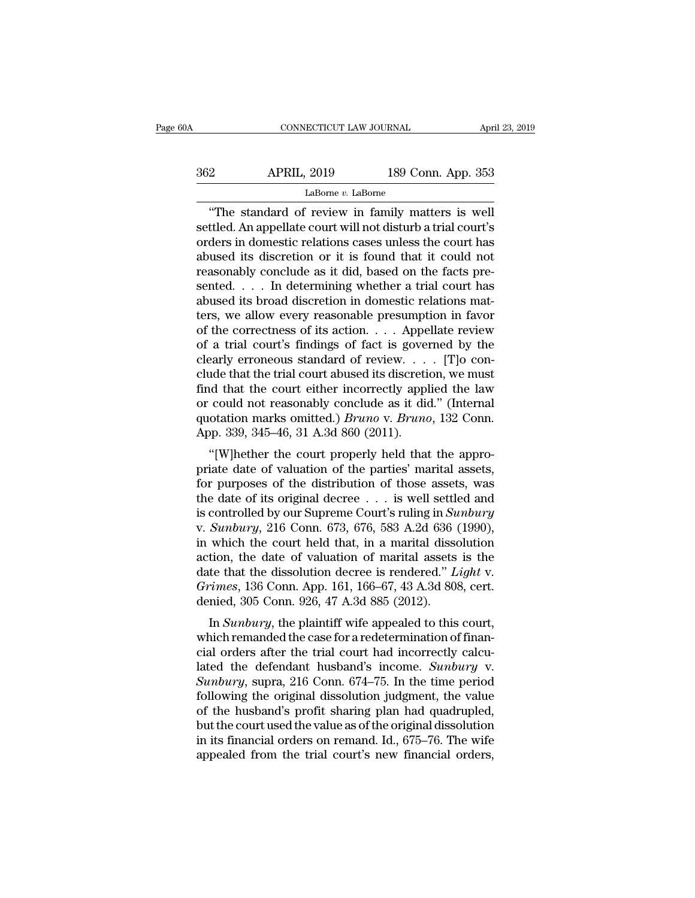| 30A | CONNECTICUT LAW JOURNAL |                    | April 23, 2019 |
|-----|-------------------------|--------------------|----------------|
| 362 | <b>APRIL, 2019</b>      | 189 Conn. App. 353 |                |
|     | LaBorne v. LaBorne      |                    |                |

CONNECTICUT LAW JOURNAL April 23, 20<br>
2<br>
APRIL, 2019 189 Conn. App. 353<br>
LaBorne v. LaBorne<br>
"The standard of review in family matters is well<br>
ttled. An appellate court will not disturb a trial court's<br>
dors in domostic r Settled. An appellate court will not disturb a trial court's<br>
settled. An appellate court will not disturb a trial court's<br>
settled. An appellate court will not disturb a trial court's<br>
orders in domestic relations cases u  $\frac{\text{APRIL, 2019}}{\text{Labome } v. \text{ Laborne}}$ <br>  $\frac{\text{Labome } v. \text{ Laborne}}{\text{The standard of review in family matters is well} \text{settled. An appellate court will not disturb a trial court's} \text{orders in domestic relations cases unless the court has \text{abused its discretion or it is found that it could not \nreversonably conclude as it did based on the facts are.}$  $\frac{\text{APRIL, 2019}}{\text{Labome } v. \text{ LaBorne}}$ <br>
"The standard of review in family matters is well<br>
settled. An appellate court will not disturb a trial court's<br>
orders in domestic relations cases unless the court has<br>
abused its discr LaBorne v. LaBorne<br>LaBorne v. LaBorne<br>
"The standard of review in family matters is well<br>settled. An appellate court will not disturb a trial court's<br>orders in domestic relations cases unless the court has<br>abused its disc LaBorne v. LaBorne<br>
"The standard of review in family matters is well<br>
settled. An appellate court will not disturb a trial court's<br>
orders in domestic relations cases unless the court has<br>
abused its discretion or it is "The standard of review in family matters is well<br>settled. An appellate court will not disturb a trial court's<br>orders in domestic relations cases unless the court has<br>abused its discretion or it is found that it could not settled. An appellate court will not disturb a trial court's<br>orders in domestic relations cases unless the court has<br>abused its discretion or it is found that it could not<br>reasonably conclude as it did, based on the facts orders in domestic relations cases unless the court has<br>abused its discretion or it is found that it could not<br>reasonably conclude as it did, based on the facts pre-<br>sented. . . . In determining whether a trial court has<br> abused its discretion or it is found that it could not<br>reasonably conclude as it did, based on the facts pre-<br>sented.... In determining whether a trial court has<br>abused its broad discretion in domestic relations mat-<br>ters reasonably conclude as it did, based on the facts presented. . . . In determining whether a trial court has abused its broad discretion in domestic relations matters, we allow every reasonable presumption in favor of the sented. . . . In determining whether a trial court has<br>abused its broad discretion in domestic relations mat-<br>ters, we allow every reasonable presumption in favor<br>of the correctness of its action. . . . Appellate review<br>o abused its broad discretion in domestic relations mat-<br>ters, we allow every reasonable presumption in favor<br>of the correctness of its action. . . . Appellate review<br>of a trial court's findings of fact is governed by the<br>c ters, we allow every reasonable presumption in favor<br>of the correctness of its action. . . . Appellate review<br>of a trial court's findings of fact is governed by the<br>clearly erroneous standard of review. . . . [T]o con-<br>cl of the correctness of its action. . . . Appellate review<br>of a trial court's findings of fact is governed by the<br>clearly erroneous standard of review. . . . [T]o con-<br>clude that the trial court abused its discretion, we mu % of a trial court's findings of fact is goven<br>clearly erroneous standard of review....<br>clude that the trial court abused its discretiar find that the court either incorrectly appl<br>or could not reasonably conclude as it d Early erforeous standard of review.  $\ldots$  [1] of con-<br>
ide that the trial court abused its discretion, we must<br>
d that the court either incorrectly applied the law<br>
could not reasonably conclude as it did." (Internal<br>
ota Find that the court either incorrectly applied the law<br>or could not reasonably conclude as it did." (Internal<br>quotation marks omitted.) *Bruno* v. *Bruno*, 132 Conn.<br>App. 339, 345–46, 31 A.3d 860 (2011).<br>"[W]hether the co

for could not reasonably conclude as it did." (Internal<br>quotation marks omitted.) *Bruno* v. *Bruno*, 132 Conn.<br>App. 339, 345–46, 31 A.3d 860 (2011).<br>"[W]hether the court properly held that the appro-<br>priate date of valua or could not reasonably conclude as it did. (internat<br>quotation marks omitted.) *Bruno* v. *Bruno*, 132 Conn.<br>App. 339, 345–46, 31 A.3d 860 (2011).<br>"[W]hether the court properly held that the appro-<br>priate date of valuati quotation marks omitted.) *Brano* v. *Brano*, 132 Court.<br>App. 339, 345–46, 31 A.3d 860 (2011).<br>"[W]hether the court properly held that the appro-<br>priate date of valuation of the parties' marital assets,<br>for purposes of the xpp. 339, 343–40, 31 A.3d 800 (2011).<br>
"[W]hether the court properly held that the appro-<br>
priate date of valuation of the parties' marital assets,<br>
for purposes of the distribution of those assets, was<br>
the date of its or "[W]hether the court properly held that the appropriate date of valuation of the parties' marital assets, for purposes of the distribution of those assets, was the date of its original decree  $\ldots$  is well settled and is priate date of valuation of the parties' marital assets,<br>for purposes of the distribution of those assets, was<br>the date of its original decree  $\ldots$  is well settled and<br>is controlled by our Supreme Court's ruling in *Sunb* for purposes of the distribution of those assets, was<br>the date of its original decree  $\ldots$  is well settled and<br>is controlled by our Supreme Court's ruling in *Sunbury*<br>v. *Sunbury*, 216 Conn. 673, 676, 583 A.2d 636 (1990 the date of its original decree . . . is well settled and<br>is controlled by our Supreme Court's ruling in *Sunbury*<br>v. *Sunbury*, 216 Conn. 673, 676, 583 A.2d 636 (1990),<br>in which the court held that, in a marital dissoluti is controlled by our Supreme Court's ruling in Su<br>v. Sunbury, 216 Conn. 673, 676, 583 A.2d 636 (<br>in which the court held that, in a marital disso<br>action, the date of valuation of marital assets<br>date that the dissolution d *Sunbury*, 210 Colin. 075, 070, 383 A.2d 030 (1990),<br>which the court held that, in a marital dissolution<br>tion, the date of valuation of marital assets is the<br>te that the dissolution decree is rendered." *Light* v.<br>*imes*, In which the court held that, in a marital assets is the<br>date that the dissolution decree is rendered." *Light* v.<br>Grimes, 136 Conn. App. 161, 166–67, 43 A.3d 808, cert.<br>denied, 305 Conn. 926, 47 A.3d 885 (2012).<br>In *Sunbu* 

action, the date of valuation of maritar assets is the<br>date that the dissolution decree is rendered." *Light* v.<br>Grimes, 136 Conn. App. 161, 166–67, 43 A.3d 808, cert.<br>denied, 305 Conn. 926, 47 A.3d 885 (2012).<br>In Sunbury date that the dissolution decree is rendered. *Light v.*<br>Grimes, 136 Conn. App. 161, 166–67, 43 A.3d 808, cert.<br>denied, 305 Conn. 926, 47 A.3d 885 (2012).<br>In *Sunbury*, the plaintiff wife appealed to this court,<br>which rema *Sunhes*, 150 Conn. App. 101, 100–07, 45 A.5d 806, Cert.<br>
denied, 305 Conn. 926, 47 A.3d 885 (2012).<br>
In *Sunbury*, the plaintiff wife appealed to this court,<br>
which remanded the case for a redetermination of finan-<br>
cial In Sunbury, the plaintiff wife appealed to this court,<br>which remanded the case for a redetermination of finan-<br>cial orders after the trial court had incorrectly calcu-<br>lated the defendant husband's income. Sunbury v.<br>Sunb In *Sunbury*, the plaintiff wife appealed to this court,<br>which remanded the case for a redetermination of finan-<br>cial orders after the trial court had incorrectly calcu-<br>lated the defendant husband's income. *Sunbury* v.<br> which remanded the case for a redetermination of financial orders after the trial court had incorrectly calculated the defendant husband's income. *Sunbury* v.<br> *Sunbury*, supra, 216 Conn. 674–75. In the time period follow cial orders after the trial court had incorrectly calculated the defendant husband's income. *Sunbury* v. *Sunbury*, supra, 216 Conn. 674–75. In the time period following the original dissolution judgment, the value of the lated the defendant husband's income. *Sunbury* v. *Sunbury*, supra, 216 Conn. 674–75. In the time period following the original dissolution judgment, the value of the husband's profit sharing plan had quadrupled, but the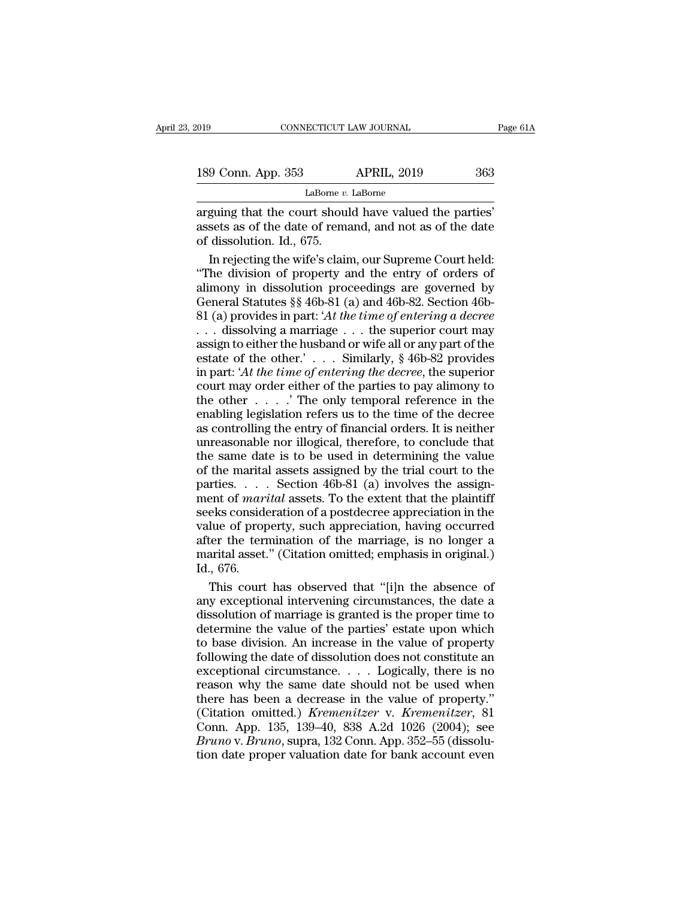LaBorne *v.* LaBorne

connecticut LAW JOURNAL Page<br>
189 Conn. App. 353 APRIL, 2019 363<br>
LaBorne v. LaBorne<br>
arguing that the court should have valued the parties'<br>
assets as of the date of remand, and not as of the date<br>
of dissolution Id. 675 189 Conn. App. 353 APRIL, 2019 363<br>
LaBorne *v*. LaBorne<br>
arguing that the court should have valued the parties'<br>
assets as of the date of remand, and not as of the date<br>
of dissolution. Id., 675. 189 Conn. App. 353<br>  $\frac{\text{Labome }v}{\text{Labome }v}$ <br>
arguing that the court shoul<br>
assets as of the date of rema<br>
of dissolution. Id., 675.<br>
In rejecting the wife's clair 9 Conn. App. 353 APRIL, 2019 363<br>
LaBorne *v*. LaBorne<br>
guing that the court should have valued the parties'<br>
sets as of the date of remand, and not as of the date<br>
dissolution. Id., 675.<br>
In rejecting the wife's claim, o

LaBorne *v*. LaBorne<br>
arguing that the court should have valued the parties'<br>
assets as of the date of remand, and not as of the date<br>
of dissolution. Id., 675.<br>
In rejecting the wife's claim, our Supreme Court held:<br>
"Th Labome *v*. Labome<br>arguing that the court should have valued the parties'<br>assets as of the date of remand, and not as of the date<br>of dissolution. Id., 675.<br>In rejecting the wife's claim, our Supreme Court held:<br>"The divis arguing that the court should have valued the parties' assets as of the date of remand, and not as of the date of dissolution. Id., 675.<br>In rejecting the wife's claim, our Supreme Court held: "The division of property and assets as of the date of remand, and not as of the date<br>of dissolution. Id., 675.<br>In rejecting the wife's claim, our Supreme Court held:<br>"The division of property and the entry of orders of<br>alimony in dissolution proceedin of dissolution. Id., 675.<br>
In rejecting the wife's claim, our Supreme Court held:<br>
"The division of property and the entry of orders of<br>
alimony in dissolution proceedings are governed by<br>
General Statutes §§ 46b-81 (a) a In rejecting the wife's claim, our Supreme Court held:<br>
"The division of property and the entry of orders of<br>
alimony in dissolution proceedings are governed by<br>
General Statutes §§ 46b-81 (a) and 46b-82. Section 46b-<br>
81 "The division of property and the entry of orders of<br>alimony in dissolution proceedings are governed by<br>General Statutes §§ 46b-81 (a) and 46b-82. Section 46b-<br>81 (a) provides in part: 'At the time of entering a decree<br> $\d$ in particular or property and are stray of enterty<br>alimony in dissolution proceedings are governed by<br>General Statutes §§ 46b-81 (a) and 46b-82. Section 46b-<br>81 (a) provides in part: 'At the time of entering a decree<br>... d General Statutes §§ 46b-81 (a) and 46b-82. Section 46b-81 (a) provides in part: 'At the time of entering a decree<br>
... dissolving a marriage ... the superior court may<br>
assign to either the husband or wife all or any part 81 (a) provides in part: 'At the time of entering a decree<br>
... dissolving a marriage ... the superior court may<br>
assign to either the husband or wife all or any part of the<br>
estate of the other.'... Similarly, § 46b-82 p  $\alpha$  different contribution referred to the superior court may assign to either the husband or wife all or any part of the estate of the other.'  $\ldots$  Similarly, § 46b-82 provides in part: 'At the time of entering the dec assign to either the husband or wife all or any part of the estate of the other.'... Similarly, § 46b-82 provides in part: 'At the time of entering the decree, the superior court may order either of the parties to pay ali estate of the other.'.... Similarly, § 46b-82 provides<br>in part: 'At the time of entering the decree, the superior<br>court may order either of the parties to pay alimony to<br>the other .....' The only temporal reference in the in part: 'At the time of entering the decree, the superior<br>court may order either of the parties to pay alimony to<br>the other  $\dots$ . 'The only temporal reference in the<br>enabling legislation refers us to the time of the decr from the mary order either of the parties to pay alimony to<br>the other  $\dots$  . The only temporal reference in the<br>enabling legislation refers us to the time of the decree<br>as controlling the entry of financial orders. It is bead of the section 46b particle is pay allowed the other  $\ldots$ . The only temporal reference in the enabling legislation refers us to the time of the decree as controlling the entry of financial orders. It is neither unre mentaling legislation refers us to the time of the decree<br>as controlling the entry of financial orders. It is neither<br>unreasonable nor illogical, therefore, to conclude that<br>the same date is to be used in determining the v as controlling the entry of financial orders. It is neither<br>as controlling the entry of financial orders. It is neither<br>unreasonable nor illogical, therefore, to conclude that<br>the same date is to be used in determining th as controlling are ritry of therefore, to conclude that<br>the same date is to be used in determining the value<br>of the marital assets assigned by the trial court to the<br>parties.... Section 46b-81 (a) involves the assign-<br>men and cases and the magretal, and cases the magretal, the same date is to be used in determining the value of the marrital assets assigned by the trial court to the parties.  $\ldots$  Section 46b-81 (a) involves the assignment marital assets assigned by the trial court to the parties..... Section 46b-81 (a) involves the assignment of *marital* assets. To the extent that the plaintiff seeks consideration of a postdecree appreciation in the value parties....<br>parties....<br>ment of *mari*<br>seeks conside<br>value of prop<br>after the tern<br>marital asset.<br>Id., 676.<br>This court eks consideration of a postdecree appreciation in the<br>eks consideration of a postdecree appreciation in the<br>lue of property, such appreciation, having occurred<br>ter the termination of the marriage, is no longer a<br>arital ass seeks consideration of a postdecree appreciation in the value of property, such appreciation, having occurred<br>after the termination of the marriage, is no longer a<br>marital asset." (Citation omitted; emphasis in original.)<br>

value of property, such appreciation, having occurred<br>after the termination of the marriage, is no longer a<br>marital asset." (Citation omitted; emphasis in original.)<br>Id., 676.<br>This court has observed that "[i]n the absence after the termination of the marriage, is no longer a<br>marital asset." (Citation omitted; emphasis in original.)<br>Id., 676.<br>This court has observed that "[i]n the absence of<br>any exceptional intervening circumstances, the dat marital asset." (Citation omitted; emphasis in original.)<br>Id., 676.<br>This court has observed that "[i]n the absence of<br>any exceptional intervening circumstances, the date a<br>dissolution of marriage is granted is the proper t Id., 676.<br>This court has observed that "[i]n the absence of<br>any exceptional intervening circumstances, the date a<br>dissolution of marriage is granted is the proper time to<br>determine the value of the parties' estate upon whi This court has observed that "[i]n the absence of<br>any exceptional intervening circumstances, the date a<br>dissolution of marriage is granted is the proper time to<br>determine the value of the parties' estate upon which<br>to bas any exceptional intervening circumstances, the date a<br>dissolution of marriage is granted is the proper time to<br>determine the value of the parties' estate upon which<br>to base division. An increase in the value of property<br>f dissolution of marriage is granted is the proper time to<br>determine the value of the parties' estate upon which<br>to base division. An increase in the value of property<br>following the date of dissolution does not constitute a determine the value of the parties' estate upon which<br>to base division. An increase in the value of property<br>following the date of dissolution does not constitute an<br>exceptional circumstance. . . . Logically, there is no<br>r The value of the plants state appentivation<br>to base division. An increase in the value of property<br>following the date of dissolution does not constitute an<br>exceptional circumstance.... Logically, there is no<br>reason why the *Brunoing* the date of dissolution does not constitute an exceptional circumstance. . . . Logically, there is no reason why the same date should not be used when there has been a decrease in the value of property." (Citati Exercity and circumstance.... Logically, there is no<br>reason why the same date should not be used when<br>there has been a decrease in the value of property."<br>(Citation omitted.) *Kremenitzer* v. *Kremenitzer*, 81<br>Conn. App. 1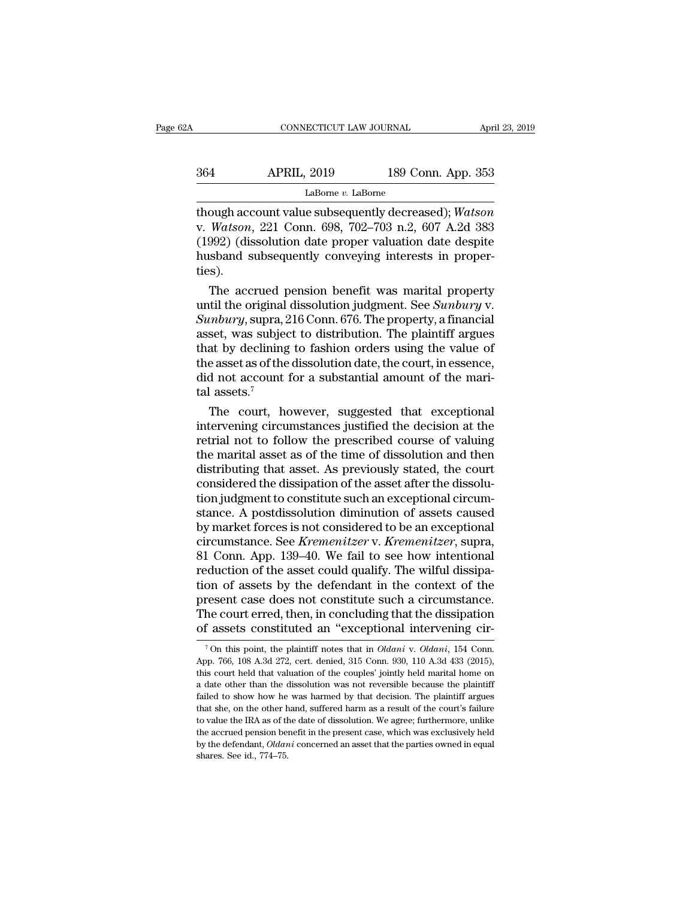| 2A  | CONNECTICUT LAW JOURNAL |                    | April 23, 2019 |
|-----|-------------------------|--------------------|----------------|
|     |                         |                    |                |
| 364 | <b>APRIL, 2019</b>      | 189 Conn. App. 353 |                |
|     | LaBorne $v$ . LaBorne   |                    |                |

THOUGHE CONSIDERTICUT LAW JOURNAL April 23, 2019<br>
364 APRIL, 2019 189 Conn. App. 353<br>
LaBorne v. LaBorne<br>
though account value subsequently decreased); *Watson*<br>
v. *Watson*, 221 Conn. 698, 702–703 n.2, 607 A.2d 383<br>
(1002 v. *APRIL*, 2019 189 Conn. App. 353<br>
LaBorne *v*. LaBorne<br>
though account value subsequently decreased); *Watson*<br>
v. *Watson*, 221 Conn. 698, 702–703 n.2, 607 A.2d 383<br>
(1992) (dissolution date proper valuation date despi (1992) (dissolution date proper valuation date despite<br>though account value subsequently decreased); Watson<br>in Watson, 221 Conn. 698, 702–703 n.2, 607 A.2d 383<br>(1992) (dissolution date proper valuation date despite<br>husband APRIL, 2019 189 Conn. App. 353<br>
LaBorne v. LaBorne<br>
though account value subsequently decreased); Watson<br>
v. Watson, 221 Conn. 698, 702–703 n.2, 607 A.2d 383<br>
(1992) (dissolution date proper valuation date despite<br>
husband ties). ough account value subsequently decreased); Watson<br>Watson, 221 Conn. 698, 702–703 n.2, 607 A.2d 383<br>992) (dissolution date proper valuation date despite<br>sband subsequently conveying interests in proper-<br>s).<br>The accrued pen though account value subsequently decreased); *Watson*<br>v. *Watson*, 221 Conn. 698, 702–703 n.2, 607 A.2d 383<br>(1992) (dissolution date proper valuation date despite<br>husband subsequently conveying interests in proper-<br>ties).

*Sunday*, 221 Conn. 698, 702–703 n.2, 607 A.2d 383<br>
(1992) (dissolution date proper valuation date despite<br>
husband subsequently conveying interests in proper-<br>
ties).<br>
The accrued pension benefit was marital property<br>
unt (1992) (dissolution date proper valuation date despite<br>husband subsequently conveying interests in proper-<br>ties).<br>The accrued pension benefit was marital property<br>until the original dissolution judgment. See *Sunbury* v.<br> husband subsequently conveying interests in proper-<br>ties).<br>The accrued pension benefit was marital property<br>until the original dissolution judgment. See *Sunbury* v.<br>*Sunbury*, supra, 216 Conn. 676. The property, a financi the accrued pension benefit was marital property<br>until the original dissolution judgment. See *Sunbury* v.<br>*Sunbury*, supra, 216 Conn. 676. The property, a financial<br>asset, was subject to distribution. The plaintiff argue The accrued pension benefit was marital property<br>until the original dissolution judgment. See *Sunbury* v.<br>Sunbury, supra, 216 Conn. 676. The property, a financial<br>asset, was subject to distribution. The plaintiff argues<br> until the original<br>Sunbury, supra, 2<br>asset, was subject<br>that by declining<br>the asset as of the<br>did not account<br>tal assets.<sup>7</sup><br>The court, he mbury, supra, 216 Conn. 676. The property, a financial<br>set, was subject to distribution. The plaintiff argues<br>at by declining to fashion orders using the value of<br>e asset as of the dissolution date, the court, in essence, asset, was subject to distribution. The plaintiff argues<br>that by declining to fashion orders using the value of<br>the asset as of the dissolution date, the court, in essence,<br>did not account for a substantial amount of the m

that by declining to fashion orders using the value of<br>the asset as of the dissolution date, the court, in essence,<br>did not account for a substantial amount of the mari-<br>tal assets.<sup>7</sup><br>The court, however, suggested that e the asset as of the dissolution date, the court, in essence,<br>did not account for a substantial amount of the mari-<br>tal assets.<sup>7</sup><br>The court, however, suggested that exceptional<br>intervening circumstances justified the decis did not account for a substantial amount of the mari-<br>tal assets.<sup>7</sup><br>The court, however, suggested that exceptional<br>intervening circumstances justified the decision at the<br>retrial not to follow the prescribed course of val tal assets.<br>
The court, however, suggested that exceptional<br>
intervening circumstances justified the decision at the<br>
retrial not to follow the prescribed course of valuing<br>
the marital asset as of the time of dissolution The court, however, suggested that exceptional<br>intervening circumstances justified the decision at the<br>retrial not to follow the prescribed course of valuing<br>the marital asset as of the time of dissolution and then<br>distrib intervening circumstances justified the decision at the<br>retrial not to follow the prescribed course of valuing<br>the marital asset as of the time of dissolution and then<br>distributing that asset. As previously stated, the cou retrial not to follow the prescribed course of valuing<br>the marital asset as of the time of dissolution and then<br>distributing that asset. As previously stated, the court<br>considered the dissipation of the asset after the dis the marital asset as of the time of dissolution and then<br>distributing that asset. As previously stated, the court<br>considered the dissipation of the asset after the dissolu-<br>tion judgment to constitute such an exceptional c distributing that asset. As previously stated, the court considered the dissipation of the asset after the dissolution judgment to constitute such an exceptional circumstance. A postdissolution diminution of assets caused considered the dissipation of the asset after the dissolution judgment to constitute such an exceptional circumstance. A postdissolution diminution of assets caused by market forces is not considered to be an exceptional c tion judgment to constitute such an exceptional circumstance. A postdissolution diminution of assets caused<br>by market forces is not considered to be an exceptional<br>circumstance. See *Kremenitzer* v. *Kremenitzer*, supra,<br>8 stance. A postdissolution diminution of assets caused<br>by market forces is not considered to be an exceptional<br>circumstance. See *Kremenitzer* v. *Kremenitzer*, supra,<br>81 Conn. App. 139–40. We fail to see how intentional<br>re by market forces is not considered to be an exceptional circumstance. See *Kremenitzer* v. *Kremenitzer*, supra, 81 Conn. App. 139–40. We fail to see how intentional reduction of the asset could qualify. The wilful dissipa circumstance. See *Kremenitzer* v. *Kremenitzer*, supra, 81 Conn. App. 139–40. We fail to see how intentional reduction of the asset could qualify. The wilful dissipation of assets by the defendant in the context of the pr on of assets by the defendant in the context of the resent case does not constitute such a circumstance.<br>he court erred, then, in concluding that the dissipation f assets constituted an "exceptional intervening cir-<br><sup>7</sup>On present case does not constitute such a circumstance.<br>The court erred, then, in concluding that the dissipation<br>of assets constituted an "exceptional intervening cir-<br><sup>7</sup>On this point, the plaintiff notes that in *Oldani*

The court erred, then, in concluding that the dissipation of assets constituted an "exceptional intervening cir-<br><sup>7</sup>On this point, the plaintiff notes that in *Oldani* v. *Oldani*, 154 Conn.<br>App. 766, 108 A.3d 272, cert. a date other than the plaintiff notes that in *Oldani* v. *Oldani*, 154 Conn.  $\gamma$  On this point, the plaintiff notes that in *Oldani* v. *Oldani*, 154 Conn. App. 766, 108 A.3d 272, cert. denied, 315 Conn. 930, 110 A.3d 4 <sup>7</sup> On this point, the plaintiff notes that in *Oldani* v. *Oldani*, 154 Conn. App. 766, 108 A.3d 272, cert. denied, 315 Conn. 930, 110 A.3d 433 (2015), this court held that valuation of the couples' jointly held marital <sup>7</sup> On this point, the plaintiff notes that in *Oldani* v. *Oldani*, 154 Conn.<br>App. 766, 108 A.3d 272, cert. denied, 315 Conn. 930, 110 A.3d 433 (2015),<br>this court held that valuation of the couples' jointly held marital App. 766, 108 A.3d 272, cert. denied, 315 Conn. 930, 110 A.3d 433 (2015), this court held that valuation of the couples' jointly held marital home on a date other than the dissolution was not reversible because the plainti The court held that valuation of the couples' jointly held marital home on<br>this court held that valuation of the couples' jointly held marital home on<br>a date other than the dissolution was not reversible because the plain a date other than the dissolution was not reversible because the plaintiff failed to show how he was harmed by that decision. The plaintiff argues that she, on the other hand, suffered harm as a result of the court's fail failed to show how he was harmed by that decision. The plaintiff argues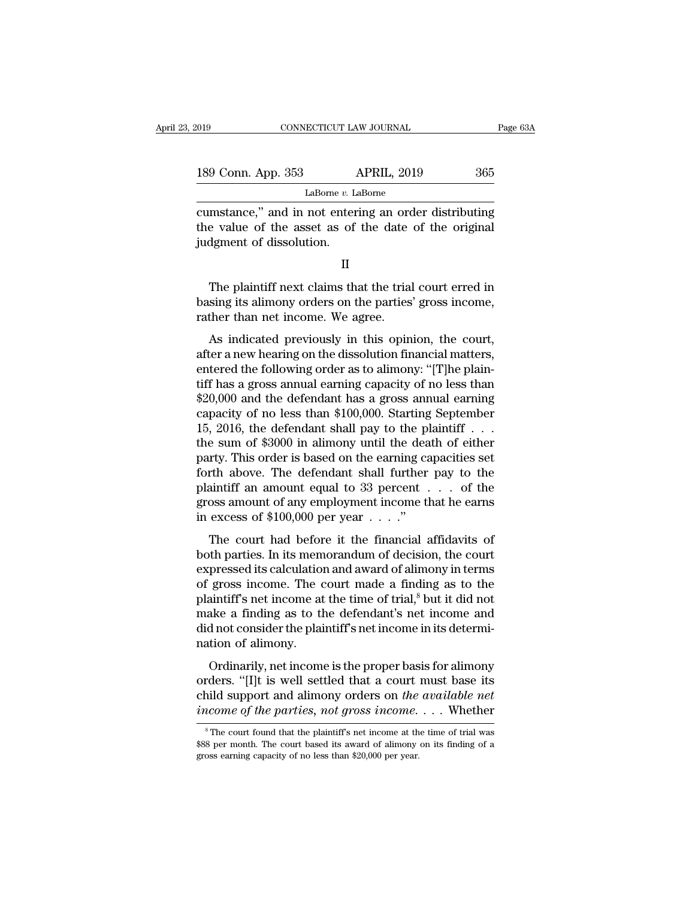| :019                     | CONNECTICUT LAW JOURNAL                                                                                        | Page 63A |
|--------------------------|----------------------------------------------------------------------------------------------------------------|----------|
| 189 Conn. App. 353       | <b>APRIL, 2019</b>                                                                                             | 365      |
|                          | LaBorne v. LaBorne                                                                                             |          |
| judgment of dissolution. | cumstance," and in not entering an order distributing<br>the value of the asset as of the date of the original |          |
|                          |                                                                                                                |          |

189 Conn. App. 353 APRIL, 2019 365<br>
LaBorne *v*. LaBorne<br>
cumstance," and in not entering an order distributing<br>
the value of the asset as of the date of the original<br>
judgment of dissolution.  $\begin{array}{r}\n \text{Laborie}\n \text{M}}\n \text{mstance,}^{\text{M}}\n \text{and in not entering an order distributing}\n \text{e value of the asset as of the date of the original\n \text{dgment of dissolution.}\n \text{II}\n \end{array}\n \begin{array}{r}\n \text{I}\n \text{The plaintiff next claims that the trial court erred in}\n \text{sing its alimony orders on the parties' gross income,}\n \text{the then net income. We agree.} \end{array}$ 

cumstance," and in not entering an order distributing<br>the value of the asset as of the date of the original<br>judgment of dissolution.<br>II<br>The plaintiff next claims that the trial court erred in<br>basing its alimony orders on t the value of the asset as of the date<br>judgment of dissolution.<br>II<br>The plaintiff next claims that the trial<br>basing its alimony orders on the parties<br>rather than net income. We agree.<br>As indicated previously in this opin II<br>II<br>The plaintiff next claims that the trial court erred in<br>sing its alimony orders on the parties' gross income,<br>ther than net income. We agree.<br>As indicated previously in this opinion, the court,<br>ter a new hearing on t

II<br>The plaintiff next claims that the trial court erred in<br>basing its alimony orders on the parties' gross income,<br>rather than net income. We agree.<br>As indicated previously in this opinion, the court,<br>after a new hearing o The plaintiff next claims that the trial court erred in<br>basing its alimony orders on the parties' gross income,<br>rather than net income. We agree.<br>As indicated previously in this opinion, the court,<br>after a new hearing on t The plantati field claims that the trial court cried in<br>basing its alimony orders on the parties' gross income,<br>rather than net income. We agree.<br>As indicated previously in this opinion, the court,<br>after a new hearing on t busing its almony orders on the parties gross income,<br>rather than net income. We agree.<br>As indicated previously in this opinion, the court,<br>after a new hearing on the dissolution financial matters,<br>entered the following o As indicated previously in this opinion, the court,<br>after a new hearing on the dissolution financial matters,<br>entered the following order as to alimony: "[T]he plain-<br>tiff has a gross annual earning capacity of no less th As indicated previously in this opinion, the court,<br>after a new hearing on the dissolution financial matters,<br>entered the following order as to alimony: "[T]he plain-<br>tiff has a gross annual earning capacity of no less th after a new hearing on the dissolution financial matters,<br>entered the following order as to alimony: "[T]he plain-<br>tiff has a gross annual earning capacity of no less than<br>\$20,000 and the defendant has a gross annual earni entered the following order as to alimony: "[T]he plaintiff has a gross annual earning capacity of no less than \$20,000 and the defendant has a gross annual earning capacity of no less than \$100,000. Starting September 15 tiff has a gross annual earning capacity of no less than  $$20,000$  and the defendant has a gross annual earning capacity of no less than  $$100,000$ . Starting September 15, 2016, the defendant shall pay to the plaintiff . \$20,000 and the defendant has a gross annual earning<br>capacity of no less than \$100,000. Starting September<br>15, 2016, the defendant shall pay to the plaintiff . . .<br>the sum of \$3000 in alimony until the death of either<br>par capacity of no less than \$100,000. Starting September 15, 2016, the defendant shall pay to the plaintiff . . . the sum of \$3000 in alimony until the death of either party. This order is based on the earning capacities set 15, 2016, the defendant shall pay to the pl<br>the sum of \$3000 in alimony until the dea<br>party. This order is based on the earning ca<br>forth above. The defendant shall further<br>plaintiff an amount equal to 33 percent .<br>gross a The court is based on the earning capacities set<br>the above. The defendant shall further pay to the<br>aintiff an amount equal to 33 percent  $\dots$  of the<br>oss amount of any employment income that he earns<br>excess of \$100,000 per party. This order is based on the earning expactnes set<br>forth above. The defendant shall further pay to the<br>plaintiff an amount equal to 33 percent  $\dots$  of the<br>gross amount of any employment income that he earns<br>in excess

plaintiff an amount equal to 33 percent  $\ldots$  of the<br>gross amount of any employment income that he earns<br>in excess of \$100,000 per year  $\ldots$ ."<br>The court had before it the financial affidavits of<br>both parties. In its memo plantari an antount equal to so percent  $\ldots$  or the gross amount of any employment income that he earns<br>in excess of \$100,000 per year  $\ldots$ ."<br>The court had before it the financial affidavits of<br>both parties. In its memo in excess of \$100,000 per year  $\dots$ ."<br>The court had before it the financial affidavits of<br>both parties. In its memorandum of decision, the court<br>expressed its calculation and award of alimony in terms<br>of gross income. The The court had before it the financial affidavits of<br>both parties. In its memorandum of decision, the court<br>expressed its calculation and award of alimony in terms<br>of gross income. The court made a finding as to the<br>plaint The court had before it the financial affidavits of<br>both parties. In its memorandum of decision, the court<br>expressed its calculation and award of alimony in terms<br>of gross income. The court made a finding as to the<br>plainti both parties. In its mem<br>expressed its calculation<br>of gross income. The c<br>plaintiff's net income at<br>make a finding as to th<br>did not consider the plain<br>nation of alimony.<br>Ordinarily, net income pressed as calculation and award of all inority in terms<br>gross income. The court made a finding as to the<br>aintiff's net income at the time of trial,<sup>8</sup> but it did not<br>ake a finding as to the defendant's net income and<br>a no or gross meane. The court made a miding as to the<br>plaintiff's net income at the time of trial,<sup>8</sup> but it did not<br>make a finding as to the defendant's net income and<br>did not consider the plaintiff's net income in its deter

plantificant such the different at the different of that, but it did not consider the plaintiff's net income in its determination of alimony.<br>Ordinarily, net income is the proper basis for alimony orders. "[I]t is well set *income of the parties, not gross income and*  $\alpha$  income of alimony.<br> *Ordinarily, net income is the proper basis for alimony* orders. "[I]t is well settled that a court must base its child support and alimony orders on Ordinarily, net income is the proper basis for allmony<br>rders. "[I]t is well settled that a court must base its<br>nild support and alimony orders on the available net<br>icome of the parties, not gross income.... Whether<br> $\frac{1}{$ orders. "[I]t is well settled that a court must base its child support and alimony orders on *the available net* income of the parties, not gross income. . . . Whether  $\frac{}{\ }$  \* The court found that the plaintiff's net in

child support and alimony orders on the<br>income of the parties, not gross income.<br><sup>8</sup>The court found that the plaintiff's net income at th<br>\$88 per month. The court based its award of alimony<br>gross earning capacity of no les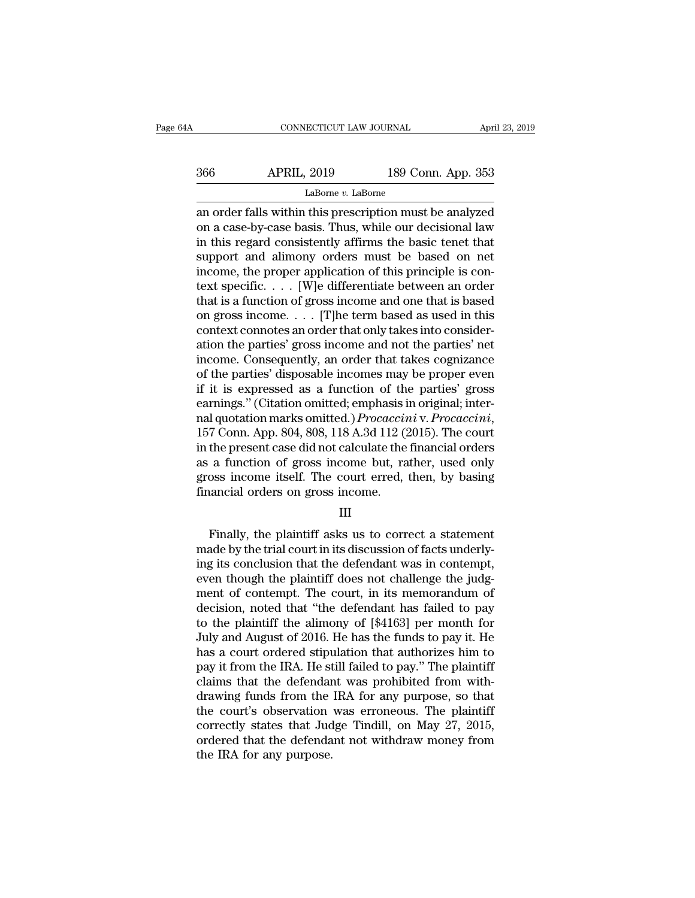| łΑ  | CONNECTICUT LAW JOURNAL |                    | April 23, 2019 |
|-----|-------------------------|--------------------|----------------|
| 366 | <b>APRIL, 2019</b>      | 189 Conn. App. 353 |                |
|     | LaBorne $v$ . LaBorne   |                    |                |

CONNECTICUT LAW JOURNAL April 23, 2019<br>
366 APRIL, 2019 189 Conn. App. 353<br>
LaBorne v. LaBorne<br>
an order falls within this prescription must be analyzed<br>
on a case-by-case basis. Thus, while our decisional law<br>
in this reg Society APRIL, 2019 189 Conn. App. 353<br>
LaBorne v. LaBorne<br>
an order falls within this prescription must be analyzed<br>
on a case-by-case basis. Thus, while our decisional law<br>
in this regard consistently affirms the basic t  $\frac{\text{APRIL, 2019}}{\text{Labome } v. \text{ Labome}}$ <br>
LaBorne *v.* LaBorne<br>
an order falls within this prescription must be analyzed<br>
on a case-by-case basis. Thus, while our decisional law<br>
in this regard consistently affirms the basic ten  $\frac{\text{ABRIL, 2019}}{\text{Labome } v. \text{ Laborne}}$ <br>
LaBorne *v.* LaBorne<br>
an order falls within this prescription must be analyzed<br>
on a case-by-case basis. Thus, while our decisional law<br>
in this regard consistently affirms the basic tene LaBorne v. LaBorne<br>LaBorne v. LaBorne<br>an order falls within this prescription must be analyzed<br>on a case-by-case basis. Thus, while our decisional law<br>in this regard consistently affirms the basic tenet that<br>support and a LaBorne *v*. LaBorne<br>an order falls within this prescription must be analyzed<br>on a case-by-case basis. Thus, while our decisional law<br>in this regard consistently affirms the basic tenet that<br>support and alimony orders mus an order falls within this prescription must be analyzed<br>on a case-by-case basis. Thus, while our decisional law<br>in this regard consistently affirms the basic tenet that<br>support and alimony orders must be based on net<br>inc on a case-by-case basis. Thus, while our decisional law<br>in this regard consistently affirms the basic tenet that<br>support and alimony orders must be based on net<br>income, the proper application of this principle is con-<br>tex in this regard consistently affirms the basic tenet that<br>support and alimony orders must be based on net<br>income, the proper application of this principle is con-<br>text specific. . . . [W]e differentiate between an order<br>th support and alimony orders must be based on net<br>income, the proper application of this principle is con-<br>text specific. . . . [W]e differentiate between an order<br>that is a function of gross income and one that is based<br>on income, the proper application of this principle is context specific. . . . [W]e differentiate between an order that is a function of gross income and one that is based on gross income. . . . [T]he term based as used in t text specific. . . . [W]e differentiate between an order<br>that is a function of gross income and one that is based<br>on gross income. . . . [T]he term based as used in this<br>context connotes an order that only takes into cons that is a function of gross income and one that is based<br>on gross income. . . . [T]he term based as used in this<br>context connotes an order that only takes into consider-<br>ation the parties' gross income and not the parties on gross income. . . . . [T]he term based as used in this context connotes an order that only takes into consideration the parties' gross income and not the parties' net income. Consequently, an order that takes cognizanc context connotes an order that only takes into consideration the parties' gross income and not the parties' net<br>income. Consequently, an order that takes cognizance<br>of the parties' disposable incomes may be proper even<br>if income. Consequently, an order that takes cognizance<br>of the parties' disposable incomes may be proper even<br>if it is expressed as a function of the parties' gross<br>earnings." (Citation omitted; emphasis in original; inter-<br>n of the parties' disposable incomes may be proper even<br>if it is expressed as a function of the parties' gross<br>earnings." (Citation omitted; emphasis in original; inter-<br>nal quotation marks omitted.) *Procaccini* v. *Procacc* if it is expressed as a function of the parties' gross<br>earnings." (Citation omitted; emphasis in original; inter-<br>nal quotation marks omitted.) *Procaccini* v. *Procaccini*,<br>157 Conn. App. 804, 808, 118 A.3d 112 (2015). Th earnings." (Citation omitted; emphasis in al quotation marks omitted.) *Procaccin* 157 Conn. App. 804, 808, 118 A.3d 112 (2 in the present case did not calculate the as a function of gross income but, ra gross income itsel the present case did not calculate the financial orders<br>a function of gross income but, rather, used only<br>oss income itself. The court erred, then, by basing<br>aancial orders on gross income.<br>III<br>Finally, the plaintiff asks

## III

as a function of gross income but, rather, used only<br>gross income itself. The court erred, then, by basing<br>financial orders on gross income.<br>III<br>Finally, the plaintiff asks us to correct a statement<br>made by the trial court gross income itself. The court erred, then, by basing<br>financial orders on gross income.<br>III<br>Finally, the plaintiff asks us to correct a statement<br>made by the trial court in its discussion of facts underly-<br>ing its conclusi financial orders on gross income.<br>
III<br>
Finally, the plaintiff asks us to correct a statement<br>
made by the trial court in its discussion of facts underly-<br>
ing its conclusion that the defendant was in contempt,<br>
even thoug III<br>
Finally, the plaintiff asks us to correct a statement<br>
made by the trial court in its discussion of facts underly-<br>
ing its conclusion that the defendant was in contempt,<br>
even though the plaintiff does not challenge Finally, the plaintiff asks us to correct a statement<br>made by the trial court in its discussion of facts underly-<br>ing its conclusion that the defendant was in contempt,<br>even though the plaintiff does not challenge the jud Finally, the plaintiff asks us to correct a statement<br>made by the trial court in its discussion of facts underly-<br>ing its conclusion that the defendant was in contempt,<br>even though the plaintiff does not challenge the judg made by the trial court in its discussion of facts underly-<br>ing its conclusion that the defendant was in contempt,<br>even though the plaintiff does not challenge the judg-<br>ment of contempt. The court, in its memorandum of<br>de ing its conclusion that the defendant was in contempt,<br>even though the plaintiff does not challenge the judg-<br>ment of contempt. The court, in its memorandum of<br>decision, noted that "the defendant has failed to pay<br>to the p even though the plaintiff does not challenge the judgment of contempt. The court, in its memorandum of decision, noted that "the defendant has failed to pay to the plaintiff the alimony of [\$4163] per month for July and Au ment of contempt. The court, in its memorandum of decision, noted that "the defendant has failed to pay to the plaintiff the alimony of  $[4163]$  per month for July and August of 2016. He has the funds to pay it. He has a decision, noted that "the defendant has failed to pay<br>to the plaintiff the alimony of [\$4163] per month for<br>July and August of 2016. He has the funds to pay it. He<br>has a court ordered stipulation that authorizes him to<br>pay to the plaintiff the alimony of [\$4163] per month for<br>July and August of 2016. He has the funds to pay it. He<br>has a court ordered stipulation that authorizes him to<br>pay it from the IRA. He still failed to pay." The plainti July and August of 2016. He has the funds to pay it. He<br>has a court ordered stipulation that authorizes him to<br>pay it from the IRA. He still failed to pay." The plaintiff<br>claims that the defendant was prohibited from withhas a court ordered stipulation that authorizes him to<br>pay it from the IRA. He still failed to pay." The plaintiff<br>claims that the defendant was prohibited from with-<br>drawing funds from the IRA for any purpose, so that<br>the pay it from the IRA. He st<br>claims that the defendar<br>drawing funds from the<br>the court's observation<br>correctly states that Jud<br>ordered that the defenda<br>the IRA for any purpose.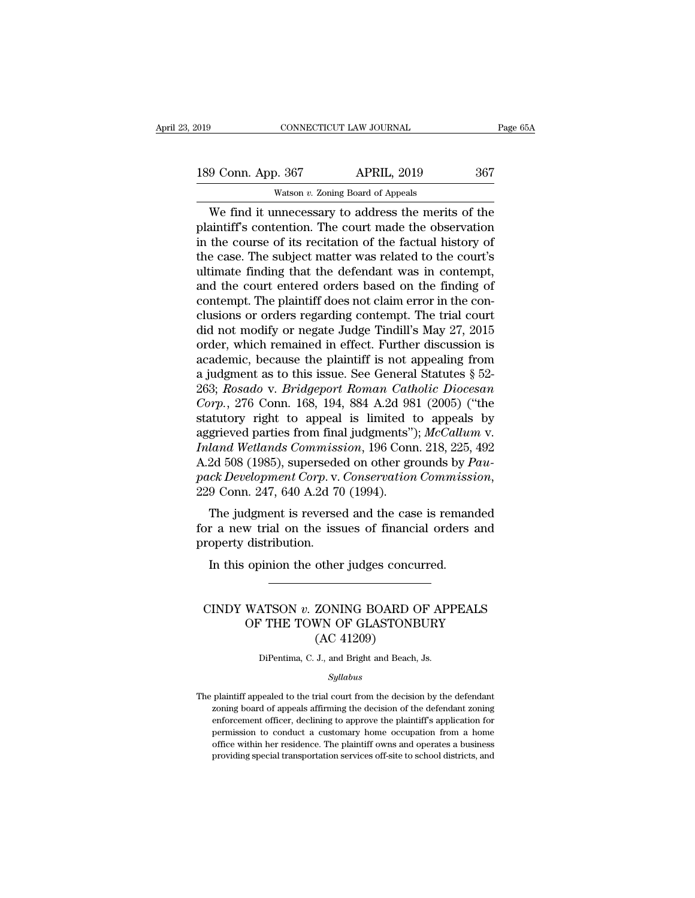| 019 |                    | CONNECTICUT LAW JOURNAL                             |     |
|-----|--------------------|-----------------------------------------------------|-----|
|     | 189 Conn. App. 367 | <b>APRIL, 2019</b>                                  | 367 |
|     |                    | Watson $v$ . Zoning Board of Appeals                |     |
|     |                    | We find it unnecessary to address the merits of the |     |

CONNECTICUT LAW JOURNAL Page 65A<br>
9 Conn. App. 367 APRIL, 2019 367<br>
Watson v. Zoning Board of Appeals<br>
We find it unnecessary to address the merits of the<br>
aintiff's contention. The court made the observation<br>
the course o 189 Conn. App. 367 APRIL, 2019 367<br>Watson v. Zoning Board of Appeals<br>We find it unnecessary to address the merits of the plaintiff's contention. The court made the observation<br>in the course of its recitation of the factual 189 Conn. App. 367 APRIL, 2019 367<br>Watson v. Zoning Board of Appeals<br>We find it unnecessary to address the merits of the<br>plaintiff's contention. The court made the observation<br>in the course of its recitation of the factua 189 Conn. App. 367 APRIL, 2019 367<br>Watson v. Zoning Board of Appeals<br>We find it unnecessary to address the merits of the<br>plaintiff's contention. The court made the observation<br>in the course of its recitation of the factual Watson v. Zoning Board of Appeals<br>
We find it unnecessary to address the merits of the<br>
plaintiff's contention. The court made the observation<br>
in the course of its recitation of the factual history of<br>
the case. The subj Watson v. Zoning Board of Appeals<br>We find it unnecessary to address the merits of the<br>plaintiff's contention. The court made the observation<br>in the course of its recitation of the factual history of<br>the case. The subject We find it unnecessary to address the merits of the plaintiff's contention. The court made the observation in the course of its recitation of the factual history of the case. The subject matter was related to the court's u plaintiff's contention. The court made the observation<br>in the course of its recitation of the factual history of<br>the case. The subject matter was related to the court's<br>ultimate finding that the defendant was in contempt,<br> in the course of its recitation of the factual history of<br>the case. The subject matter was related to the court's<br>ultimate finding that the defendant was in contempt,<br>and the court entered orders based on the finding of<br>co the case. The subject matter was related to the court's<br>ultimate finding that the defendant was in contempt,<br>and the court entered orders based on the finding of<br>contempt. The plaintiff does not claim error in the con-<br>cl ultimate finding that the defendant was in contempt,<br>and the court entered orders based on the finding of<br>contempt. The plaintiff does not claim error in the con-<br>clusions or orders regarding contempt. The trial court<br>did and the court entered orders based on the finding of<br>contempt. The plaintiff does not claim error in the con-<br>clusions or orders regarding contempt. The trial court<br>did not modify or negate Judge Tindill's May 27, 2015<br>or contempt. The plaintiff does not claim error in the conclusions or orders regarding contempt. The trial court<br>did not modify or negate Judge Tindill's May 27, 2015<br>order, which remained in effect. Further discussion is<br>aca clusions or orders regarding contempt. The trial court<br>did not modify or negate Judge Tindill's May 27, 2015<br>order, which remained in effect. Further discussion is<br>academic, because the plaintiff is not appealing from<br>a ju did not modify or negate Judge Tindill's May 27, 2015<br>order, which remained in effect. Further discussion is<br>academic, because the plaintiff is not appealing from<br>a judgment as to this issue. See General Statutes § 52-<br>263 order, which remained in effect. Further discussion is<br>academic, because the plaintiff is not appealing from<br>a judgment as to this issue. See General Statutes § 52-<br>263; *Rosado* v. *Bridgeport Roman Catholic Diocesan*<br>*Co* academic, because the plaintiff is not appealing from<br>a judgment as to this issue. See General Statutes § 52-<br>263; *Rosado* v. *Bridgeport Roman Catholic Diocesan*<br>*Corp.*, 276 Conn. 168, 194, 884 A.2d 981 (2005) ("the<br>sta a judgment as to this issue. See General Statutes § 52-<br>263; *Rosado* v. *Bridgeport Roman Catholic Diocesan*<br>*Corp.*, 276 Conn. 168, 194, 884 A.2d 981 (2005) ("the<br>statutory right to appeal is limited to appeals by<br>aggrie 263; *Rosado* v. *Bridgeport Roman Catholic Diocesan*<br>*Corp.*, 276 Conn. 168, 194, 884 A.2d 981 (2005) ("the<br>statutory right to appeal is limited to appeals by<br>aggrieved parties from final judgments"); *McCallum* v.<br>*Inlan* Exercise of the independent is indeed to appear by<br>grieved parties from final judgments"); McCallum v.<br>land Wetlands Commission, 196 Conn. 218, 225, 492<br>2d 508 (1985), superseded on other grounds by Pau-<br>ck Development Cor aggrieved parties from final judgments *f*, *mccatam v*.<br> *Inland Wetlands Commission*, 196 Conn. 218, 225, 492<br>
A.2d 508 (1985), superseded on other grounds by Pau-<br>
pack Development Corp. v. Conservation Commission,<br>
2 mana wealth commiss<br>A.2d 508 (1985), supersede<br>pack Development Corp. v.<br>229 Conn. 247, 640 A.2d 70<br>The judgment is reverse<br>for a new trial on the iss<br>property distribution.<br>In this opinion the other

In this opinion Corp. v. Conservation Commission Conn. 247, 640 A.2d 70 (1994).<br>The judgment is reversed and the case is remand the value of financial orders operty distribution.<br>In this opinion the other judges concurred. The judgment is reversed and the case is remainded<br>or a new trial on the issues of financial orders and<br>roperty distribution.<br>In this opinion the other judges concurred.<br>CINDY WATSON *v.* ZONING BOARD OF APPEALS<br>OF THE TOW

## We that on the issues of miancial orders and<br>distribution.<br>opinion the other judges concurred.<br>WATSON v. ZONING BOARD OF APPEALS<br>OF THE TOWN OF GLASTONBURY<br>(AC 41209) other judges concu<br>
ZONING BOARD C<br>
WN OF GLASTONB<br>
(AC 41209)<br>
J., and Bright and Beach, CINDY WATSON  $v$ . ZONING BOARD OF APPEALS<br>OF THE TOWN OF GLASTONBURY<br>(AC 41209)<br>DiPentima, C. J., and Bright and Beach, Js.

## *Syllabus*

 $(AC 41209)$ <br>DiPentima, C. J., and Bright and Beach, Js.<br> $Syllabus$ <br>The plaintiff appealed to the trial court from the decision by the defendant<br>zoning board of appeals affirming the decision of the defendant zoning DiPentima, C. J., and Bright and Beach, Js.<br>Syllabus<br>plaintiff appealed to the trial court from the decision by the defendant<br>zoning board of appeals affirming the decision of the defendant zoning<br>enforcement officer, decl DiPentima, C. J., and Bright and Beach, Js.<br>
Syllabus<br>
plaintiff appealed to the trial court from the decision by the defendant<br>
zoning board of appeals affirming the decision of the defendant zoning<br>
enforcement officer, *Syllabus*<br>plaintiff appealed to the trial court from the decision by the defendant<br>zoning board of appeals affirming the decision of the defendant zoning<br>enforcement officer, declining to approve the plaintiff's applicati Sylabus<br>plaintiff appealed to the trial court from the decision by the defendant<br>zoning board of appeals affirming the decision of the defendant zoning<br>enforcement officer, declining to approve the plaintiff's application plaintiff appealed to the trial court from the decision by the defendant zoning board of appeals affirming the decision of the defendant zoning enforcement officer, declining to approve the plaintiff's application for perm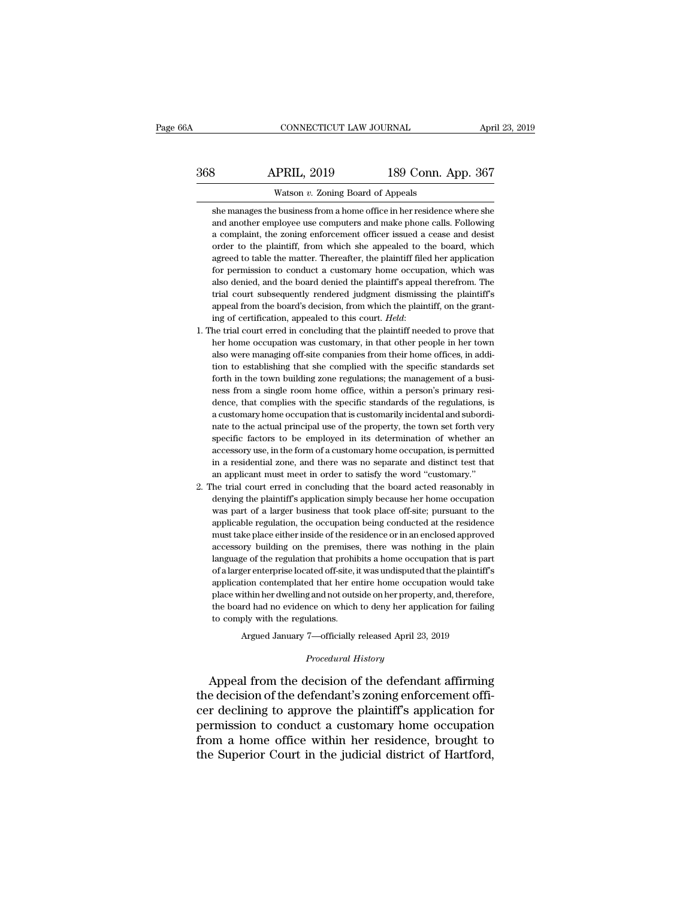## CONNECTICUT LAW JOURNAL April 23, 2019<br>368 APRIL, 2019 189 Conn. App. 367<br>Watson v. Zoning Board of Appeals CONNECTICUT LAW JOURNAL April<br>2019 189 Conn. App. 367<br>2019 189 Conn. App. 367<br>2019 189 Conn. App. 367<br>2019 189 Conn. App. 367

She manages the business from a home office in her residence where she<br>and another employee use computers and make phone calls. Following **EXECUTE:** APRIL, 2019 189 Conn. App. 367<br>Watson v. Zoning Board of Appeals<br>she manages the business from a home office in her residence where she<br>and another employee use computers and make phone calls. Following<br>a compla **EXECUTE:** APRIL, 2019 189 Conn. App. 367<br>Watson v. Zoning Board of Appeals<br>she manages the business from a home office in her residence where she<br>and another employee use computers and make phone calls. Following<br>a compla Watson  $v$ . Zoning Board of Appeals<br>she manages the business from a home office in her residence where she<br>and another employee use computers and make phone calls. Following<br>a complaint, the zoning enforcement officer iss Watson v. Zoning Board of Appeals<br>she manages the business from a home office in her residence where she<br>and another employee use computers and make phone calls. Following<br>a complaint, the zoning enforcement officer issued she manages the business from a home office in her residence where she<br>and another employee use computers and make phone calls. Following<br>a complaint, the zoning enforcement officer issued a cease and desist<br>order to the p and another employee use computers and make phone calls. Following a complaint, the zoning enforcement officer issued a cease and desist order to the plaintiff, from which she appealed to the board, which agreed to table t a complaint, the zoning enforcement officer issued a cease and desist order to the plaintiff, from which she appealed to the board, which agreed to table the matter. Thereafter, the plaintiff filed her application for perm a complaint, the zoning enforcement officer issued a cease and desist order to the plaintiff, from which she appealed to the board, which agreed to table the matter. Thereafter, the plaintiff filed her application for per agreed to table the matter. Thereafter, the plaintiff filed her application<br>for permission to conduct a customary home occupation, which was<br>also denied, and the board denied the plaintiff's appeal therefrom. The<br>trial cou also denied, and the board denied the plaintiff's appeal therefrom. The trial court subsequently rendered judgment dismissing the plaintiff's appeal from the board's decision, from which the plaintiff, on the granting of c

- trial court subsequently rendered judgment dismissing the plaintiff's<br>appeal from the board's decision, from which the plaintiff, on the grant-<br>ing of certification, appealed to this court. *Held*:<br>The trial court erred i appeal from the board's decision, from which the plaintiff, on the granting of certification, appealed to this court. *Held*:<br>he trial court erred in concluding that the plaintiff needed to prove that<br>her home occupation w ing of certification, appealed to this court. *Held*:<br>he trial court erred in concluding that the plaintiff needed to prove that<br>her home occupation was customary, in that other people in her town<br>also were managing off-si he trial court erred in concluding that the plaintiff needed to prove that her home occupation was customary, in that other people in her town also were managing off-site companies from their home offices, in addition to e her home occupation was customary, in that other people in her town<br>also were managing off-site companies from their home offices, in addi-<br>tion to establishing that she complied with the specific standards set<br>forth in th also were managing off-site companies from their home offices, in addition to establishing that she complied with the specific standards set forth in the town building zone regulations; the management of a business from a tion to establishing that she complied with the specific standards set forth in the town building zone regulations; the management of a business from a single room home office, within a person's primary residence, that com forth in the town building zone regulations; the management of a business from a single room home office, within a person's primary residence, that complies with the specific standards of the regulations, is a customary ho ness from a single room home office, within a person's primary residence, that complies with the specific standards of the regulations, is a customary home occupation that is customarily incidental and subordinate to the a dence, that complies with the specific standards of the regulations, is<br>a customary home occupation that is customarily incidental and subordi-<br>nate to the actual principal use of the property, the town set forth very<br>spec accessory use, in the form of a customary home occupation, is permitted<br>in a residential zone, and there was no separate and distinct test that<br>an applicant must meet in order to satisfy the word "customary."<br>2. The trial nate to the actual principal use of the property, the town set forth very specific factors to be employed in its determination of whether an accessory use, in the form of a customary home occupation, is permitted in a resi specific factors to be employed in its determination of whether an accessory use, in the form of a customary home occupation, is permitted in a residential zone, and there was no separate and distinct test that an applican
- accessory use, in the form of a customary home occupation, is permitted<br>in a residential zone, and there was no separate and distinct test that<br>an applicant must meet in order to satisfy the word "customary."<br>he trial cour in a residential zone, and there was no separate and distinct test that an applicant must meet in order to satisfy the word "customary."<br>he trial court erred in concluding that the board acted reasonably in denying the pla an applicant must meet in order to satisfy the word "customary."<br>he trial court erred in concluding that the board acted reasonably in<br>denying the plaintiff's application simply because her home occupation<br>was part of a la he trial court erred in concluding that the board acted reasonably in denying the plaintiff's application simply because her home occupation was part of a larger business that took place off-site; pursuant to the applicabl denying the plaintiff's application simply because her home occupation was part of a larger business that took place off-site; pursuant to the applicable regulation, the occupation being conducted at the residence must tak was part of a larger business that took place off-site; pursuant to the applicable regulation, the occupation being conducted at the residence must take place either inside of the residence or in an enclosed approved acces applicable regulation, the occupation being conducted at the residence must take place either inside of the residence or in an enclosed approved accessory building on the premises, there was nothing in the plain language o must take place either inside of the residence or in an enclosed approved accessory building on the premises, there was nothing in the plain language of the regulation that prohibits a home occupation that is part of a lar accessory building on the premises, there was nothing in the plain language of the regulation that prohibits a home occupation that is part of a larger enterprise located off-site, it was undisputed that the plaintiff's ap accessory building on the premises, there was nothing in the plain<br>language of the regulation that prohibits a home occupation that is part<br>of a larger enterprise located off-site, it was undisputed that the plaintiff's<br>ap Fer enterprise located off-site, it was undisputed that the plaintiff<br>tion contemplated that her entire home occupation would tak<br>ithin her dwelling and not outside on her property, and, therefore<br>rd had no evidence on whi place within her dwelling and not outside on her property, and, therefore,<br>the board had no evidence on which to deny her application for failing<br>to comply with the regulations.<br>Argued January 7—officially released April 2

Argued January 7—officially released April 23, 2019<br>*Procedural History*<br>Appeal from the decision of the defendant affirming the board had no evidence on which to deny her application for failing<br>to comply with the regulations.<br>Argued January 7—officially released April 23, 2019<br>*Procedural History*<br>Appeal from the decision of the defendant affi to comply with the regulations.<br>
Argued January 7—officially released April 23, 2019<br>
Procedural History<br>
Appeal from the decision of the defendant affirming<br>
the decision of the defendant's zoning enforcement offi-<br>
cer d Argued January 7—officially released April 23, 2019<br> *Procedural History*<br> **Appeal from the decision of the defendant affirming**<br>
the decision of the defendant's zoning enforcement offi-<br>
cer declining to approve the plain Frocedural History<br>Appeal from the decision of the defendant affirming<br>the decision of the defendant's zoning enforcement offi-<br>cer declining to approve the plaintiff's application for<br>permission to conduct a customary hom Appeal from the decision of the defendant affirming<br>the decision of the defendant's zoning enforcement offi-<br>cer declining to approve the plaintiff's application for<br>permission to conduct a customary home occupation<br>from a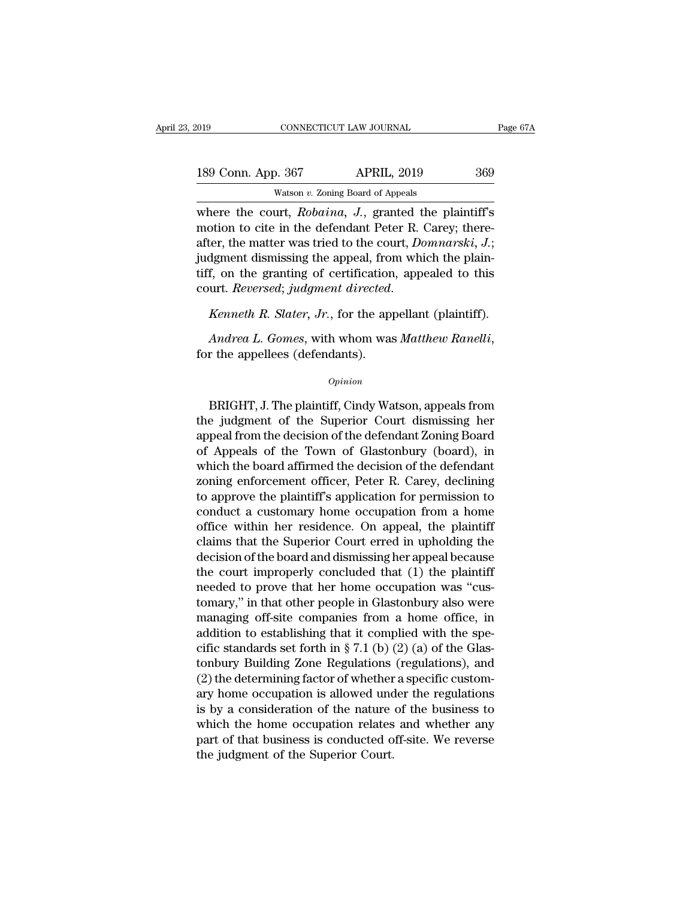| 019                | CONNECTICUT LAW JOURNAL                                                                                                                                               | Page 67A |
|--------------------|-----------------------------------------------------------------------------------------------------------------------------------------------------------------------|----------|
| 189 Conn. App. 367 | <b>APRIL, 2019</b>                                                                                                                                                    | 369      |
|                    | Watson $v$ . Zoning Board of Appeals                                                                                                                                  |          |
|                    | where the court, Robaina, J., granted the plaintiff's<br>motion to cite in the defendant Peter R. Carey; there-<br>often the motten westind to the count Demments' I. |          |

189 Conn. App. 367 APRIL, 2019 369<br>Watson v. Zoning Board of Appeals<br>where the court, *Robaina*, *J*., granted the plaintiff's<br>motion to cite in the defendant Peter R. Carey; there-<br>after, the matter was tried to the court 189 Conn. App. 367 APRIL, 2019 369<br>Watson v. Zoning Board of Appeals<br>where the court, *Robaina*, *J.*, granted the plaintiff's<br>motion to cite in the defendant Peter R. Carey; there-<br>after, the matter was tried to the court 189 Conn. App. 367 APRIL, 2019 369<br>Watson v. Zoning Board of Appeals<br>Where the court, *Robaina*, *J*., granted the plaintiff's<br>motion to cite in the defendant Peter R. Carey; there-<br>after, the matter was tried to the cour Watson v. Zoning Board of Appeals<br>where the court,  $Robaina$ ,  $J$ ., granted the plaintiff's<br>motion to cite in the defendant Peter R. Carey; there-<br>after, the matter was tried to the court,  $Dommarksi$ ,  $J$ .;<br>judgment dismissing the wasson *v. zoning Boadd of Appeas*<br>where the court, *Robaina*, *J.*, granted the plaintiff's<br>motion to cite in the defendant Peter R. Carey; there-<br>after, the matter was tried to the court, *Domnarski*, *J.*;<br>judgment di *Andrea L. Gomes, with whom was <i>Matthew Ranelli*, for the appealed to this court. *Reversed*; *judgment directed.*<br>*Kenneth R. Slater, Jr.*, for the appellant (plaintiff).<br>*Andrea L. Gomes, with whom was <i>Matthew Ranelli* 

## *Opinion*

Kenneth R. Slater, Jr., for the appellant (plaintiff).<br>
Andrea L. Gomes, with whom was Matthew Ranelli,<br>
r the appellees (defendants).<br>
Opinion<br>
BRIGHT, J. The plaintiff, Cindy Watson, appeals from<br>
e judgment of the Super Andrea L. Gomes, with whom was Matthew Ranelli,<br>for the appellees (defendants).<br> $opinion$ <br>BRIGHT, J. The plaintiff, Cindy Watson, appeals from<br>the judgment of the Superior Court dismissing her<br>appeal from the decision of the de Financia E. Comes, what when was indicate realized,<br>for the appellees (defendants).<br> $\frac{opinion}{D}$ <br>BRIGHT, J. The plaintiff, Cindy Watson, appeals from<br>the judgment of the Superior Court dismissing her<br>appeal from the decisio opinion<br>
opinion<br>
BRIGHT, J. The plaintiff, Cindy Watson, appeals from<br>
the judgment of the Superior Court dismissing her<br>
appeal from the decision of the defendant Zoning Board<br>
of Appeals of the Town of Glastonbury (boar Opinion<br>
BRIGHT, J. The plaintiff, Cindy Watson, appeals from<br>
the judgment of the Superior Court dismissing her<br>
appeal from the decision of the defendant Zoning Board<br>
of Appeals of the Town of Glastonbury (board), in<br>
w BRIGHT, J. The plaintiff, Cindy Watson, appeals from<br>the judgment of the Superior Court dismissing her<br>appeal from the decision of the defendant Zoning Board<br>of Appeals of the Town of Glastonbury (board), in<br>which the boar BRIGHT, J. The plaintiff, Cindy Watson, appeals from<br>the judgment of the Superior Court dismissing her<br>appeal from the decision of the defendant Zoning Board<br>of Appeals of the Town of Glastonbury (board), in<br>which the boar the judgment of the Superior Court dismissing her<br>appeal from the decision of the defendant Zoning Board<br>of Appeals of the Town of Glastonbury (board), in<br>which the board affirmed the decision of the defendant<br>zoning enfor appeal from the decision of the defendant Zoning Board<br>of Appeals of the Town of Glastonbury (board), in<br>which the board affirmed the decision of the defendant<br>zoning enforcement officer, Peter R. Carey, declining<br>to appro of Appeals of the Town of Glastonbury (board), in<br>which the board affirmed the decision of the defendant<br>zoning enforcement officer, Peter R. Carey, declining<br>to approve the plaintiff's application for permission to<br>conduc which the board affirmed the decision of the defendant<br>zoning enforcement officer, Peter R. Carey, declining<br>to approve the plaintiff's application for permission to<br>conduct a customary home occupation from a home<br>office w zoning enforcement officer, Peter R. Carey, declining<br>to approve the plaintiff's application for permission to<br>conduct a customary home occupation from a home<br>office within her residence. On appeal, the plaintiff<br>claims th to approve the plaintiff's application for permission to<br>conduct a customary home occupation from a home<br>office within her residence. On appeal, the plaintiff<br>claims that the Superior Court erred in upholding the<br>decision conduct a customary home occupation from a home<br>office within her residence. On appeal, the plaintiff<br>claims that the Superior Court erred in upholding the<br>decision of the board and dismissing her appeal because<br>the court office within her residence. On appeal, the plaintiff<br>claims that the Superior Court erred in upholding the<br>decision of the board and dismissing her appeal because<br>the court improperly concluded that (1) the plaintiff<br>nee claims that the Superior Court erred in upholding the<br>decision of the board and dismissing her appeal because<br>the court improperly concluded that (1) the plaintiff<br>needed to prove that her home occupation was "cus-<br>tomary decision of the board and dismissing her appeal because<br>the court improperly concluded that (1) the plaintiff<br>needed to prove that her home occupation was "cus-<br>tomary," in that other people in Glastonbury also were<br>manag the court improperly concluded that (1) the plaintiff<br>meeded to prove that her home occupation was "cus-<br>tomary," in that other people in Glastonbury also were<br>managing off-site companies from a home office, in<br>addition t needed to prove that her home occupation was "cus-<br>tomary," in that other people in Glastonbury also were<br>managing off-site companies from a home office, in<br>addition to establishing that it complied with the spe-<br>cific sta tomary," in that other people in Glastonbury also were<br>managing off-site companies from a home office, in<br>addition to establishing that it complied with the spe-<br>cific standards set forth in § 7.1 (b) (2) (a) of the Glasmanaging off-site companies from a home office, in<br>addition to establishing that it complied with the spe-<br>cific standards set forth in § 7.1 (b) (2) (a) of the Glas-<br>tonbury Building Zone Regulations (regulations), and<br>( addition to establishing that it complied with the specific standards set forth in § 7.1 (b) (2) (a) of the Glastonbury Building Zone Regulations (regulations), and (2) the determining factor of whether a specific customa cific standards set forth in § 7.1 (b) (2) (a) of the Glastonbury Building Zone Regulations (regulations), and (2) the determining factor of whether a specific customary home occupation is allowed under the regulations is tonbury Building Zone Regulations<br>(2) the determining factor of whether<br>ary home occupation is allowed und<br>is by a consideration of the nature<br>which the home occupation relates<br>part of that business is conducted of<br>the jud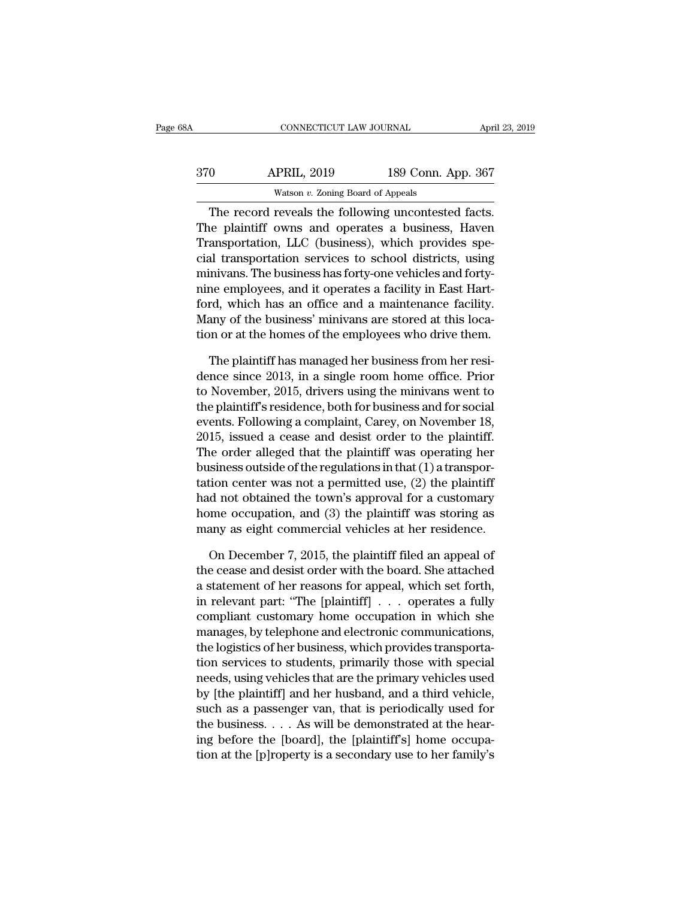| 68A | CONNECTICUT LAW JOURNAL                            |                    | April 23, 2019 |
|-----|----------------------------------------------------|--------------------|----------------|
| 370 | <b>APRIL, 2019</b>                                 | 189 Conn. App. 367 |                |
|     | Watson $v$ . Zoning Board of Appeals               |                    |                |
|     | The record reveals the following uncontested facts |                    |                |

CONNECTICUT LAW JOURNAL April 23, 2<br>
O APRIL, 2019 189 Conn. App. 367<br>
Watson v. Zoning Board of Appeals<br>
The record reveals the following uncontested facts.<br>
The record reveals the following uncontested facts.<br>
Replaintif The plaintiff owns are included interesting and the plaintiff owns and operates a business, Haven<br>The plaintiff owns and operates a business, Haven<br>Transportation, LLC (business), which provides special transportation corr  $\frac{\text{APRIL, 2019}}{\text{Watson } v. \text{ Zoning Board of Appeals}}$ <br>The record reveals the following uncontested facts.<br>The plaintiff owns and operates a business, Haven<br>Transportation, LLC (business), which provides spe-<br>cial transportation services t  $\frac{\text{APRIL, 2019}}{\text{Watson } v. \text{ Zoning Board of Appeals}}$ <br>
The record reveals the following uncontested facts.<br>
The plaintiff owns and operates a business, Haven<br>
Transportation, LLC (business), which provides special transportation services Watson v. Zoning Board of Appeals<br>The record reveals the following uncontested facts.<br>The plaintiff owns and operates a business, Haven<br>Transportation, LLC (business), which provides spe-<br>cial transportation services to sc The record reveals the following uncontested facts.<br>The plaintiff owns and operates a business, Haven<br>Transportation, LLC (business), which provides spe-<br>cial transportation services to school districts, using<br>minivans. Th The record reveals the following uncontested facts.<br>The plaintiff owns and operates a business, Haven<br>Transportation, LLC (business), which provides spe-<br>cial transportation services to school districts, using<br>minivans. Th The plaintiff owns and operates a business, Haven<br>Transportation, LLC (business), which provides spe-<br>cial transportation services to school districts, using<br>minivans. The business has forty-one vehicles and forty-<br>nine em Transportation, LLC (business), which provides special transportation services to school districts, using<br>minivans. The business has forty-one vehicles and forty-<br>nine employees, and it operates a facility in East Hart-<br>fo inivans. The business has forty-one vehicles and forty-<br>the employees, and it operates a facility in East Hart-<br>rd, which has an office and a maintenance facility.<br>any of the business' minivans are stored at this loca-<br>on nine employees, and it operates a facility in East Hartford, which has an office and a maintenance facility.<br>Many of the business' minivans are stored at this location or at the homes of the employees who drive them.<br>The p

ford, which has an office and a maintenance facility.<br>Many of the business' minivans are stored at this location or at the homes of the employees who drive them.<br>The plaintiff has managed her business from her residence si Many of the business' minivans are stored at this location or at the homes of the employees who drive them.<br>The plaintiff has managed her business from her residence since 2013, in a single room home office. Prior to Novem tion or at the homes of the employees who drive them.<br>The plaintiff has managed her business from her residence since 2013, in a single room home office. Prior<br>to November, 2015, drivers using the minivans went to<br>the plai The plaintiff has managed her business from her resi-<br>dence since 2013, in a single room home office. Prior<br>to November, 2015, drivers using the minivans went to<br>the plaintiff's residence, both for business and for social<br> The plaintiff has managed her business from her resi-<br>dence since 2013, in a single room home office. Prior<br>to November, 2015, drivers using the minivans went to<br>the plaintiff's residence, both for business and for social dence since 2013, in a single room home office. Prior<br>to November, 2015, drivers using the minivans went to<br>the plaintiff's residence, both for business and for social<br>events. Following a complaint, Carey, on November 18,<br> to November, 2015, drivers using the minivans went to<br>the plaintiff's residence, both for business and for social<br>events. Following a complaint, Carey, on November 18,<br>2015, issued a cease and desist order to the plaintif the plaintiff's residence, both for business and for social<br>events. Following a complaint, Carey, on November 18,<br>2015, issued a cease and desist order to the plaintiff.<br>The order alleged that the plaintiff was operating h events. Following a complaint, Carey, on November 18,<br>2015, issued a cease and desist order to the plaintiff.<br>The order alleged that the plaintiff was operating her<br>business outside of the regulations in that (1) a transpo 2015, issued a cease and desist order to the plaintiff.<br>The order alleged that the plaintiff was operating her<br>business outside of the regulations in that (1) a transpor-<br>tation center was not a permitted use, (2) the pla siness outside of the regulations in that  $(1)$  a transportion center was not a permitted use,  $(2)$  the plaintiff d not obtained the town's approval for a customary ome occupation, and  $(3)$  the plaintiff was storing as tation center was not a permitted use,  $(2)$  the plaintiff<br>had not obtained the town's approval for a customary<br>home occupation, and  $(3)$  the plaintiff was storing as<br>many as eight commercial vehicles at her residence.<br>O

had not obtained the town's approval for a customary<br>home occupation, and (3) the plaintiff was storing as<br>many as eight commercial vehicles at her residence.<br>On December 7, 2015, the plaintiff filed an appeal of<br>the ceas home occupation, and (3) the plaintiff was storing as<br>many as eight commercial vehicles at her residence.<br>On December 7, 2015, the plaintiff filed an appeal of<br>the cease and desist order with the board. She attached<br>a sta many as eight commercial vehicles at her residence.<br>
On December 7, 2015, the plaintiff filed an appeal of<br>
the cease and desist order with the board. She attached<br>
a statement of her reasons for appeal, which set forth,<br> On December 7, 2015, the plaintiff filed an appeal of<br>the cease and desist order with the board. She attached<br>a statement of her reasons for appeal, which set forth,<br>in relevant part: "The [plaintiff]  $\ldots$  operates a ful On December 7, 2015, the plaintiff filed an appeal of<br>the cease and desist order with the board. She attached<br>a statement of her reasons for appeal, which set forth,<br>in relevant part: "The [plaintiff]  $\ldots$  operates a ful the cease and desist order with the board. She attached<br>a statement of her reasons for appeal, which set forth,<br>in relevant part: "The [plaintiff]  $\ldots$  operates a fully<br>compliant customary home occupation in which she<br>ma a statement of her reasons for appeal, which set forth,<br>in relevant part: "The [plaintiff] . . . . operates a fully<br>compliant customary home occupation in which she<br>manages, by telephone and electronic communications,<br>the In relevant part: "The [plaintiff]  $\ldots$  operates a fully compliant customary home occupation in which she manages, by telephone and electronic communications, the logistics of her business, which provides transportation compliant customary home occupation in which she<br>manages, by telephone and electronic communications,<br>the logistics of her business, which provides transporta-<br>tion services to students, primarily those with special<br>needs, manages, by telephone and electronic communications,<br>the logistics of her business, which provides transporta-<br>tion services to students, primarily those with special<br>needs, using vehicles that are the primary vehicles use the logistics of her business, which provides transportation services to students, primarily those with special<br>needs, using vehicles that are the primary vehicles used<br>by [the plaintiff] and her husband, and a third vehic tion services to students, primarily those with special<br>needs, using vehicles that are the primary vehicles used<br>by [the plaintiff] and her husband, and a third vehicle,<br>such as a passenger van, that is periodically used f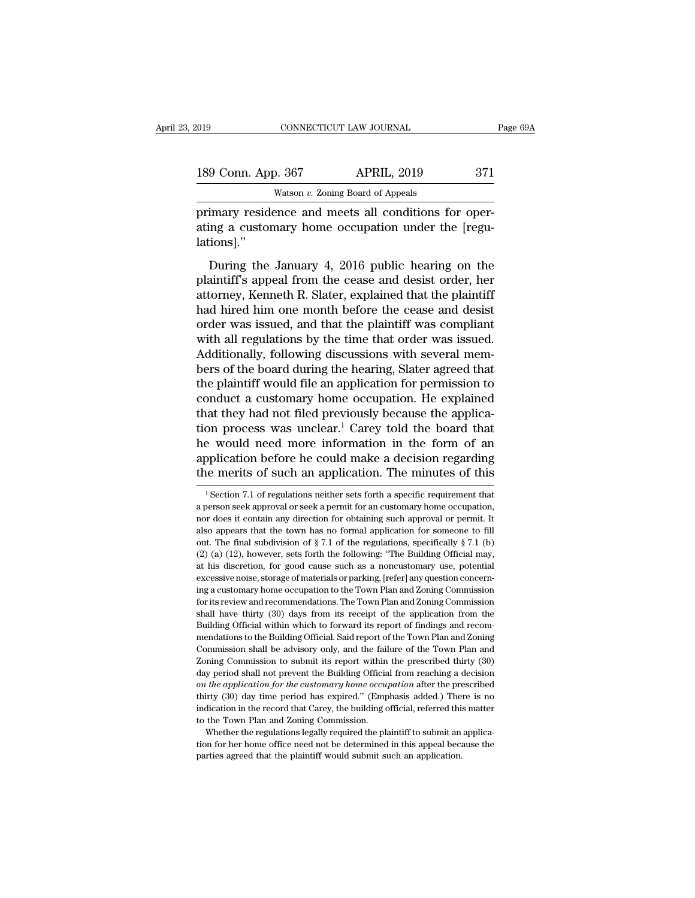| 019 |                    | CONNECTICUT LAW JOURNAL                              | Page 69A |
|-----|--------------------|------------------------------------------------------|----------|
|     | 189 Conn. App. 367 | <b>APRIL, 2019</b>                                   | 371      |
|     |                    | Watson $v$ . Zoning Board of Appeals                 |          |
|     |                    | primary residence and meets all conditions for oper- |          |

FRIL, 2019<br>
primary residence and meets all conditions for operating a customary home occupation under the [regulations]" 189 Conn. App. 367 APRIL, 2019 371<br>Watson v. Zoning Board of Appeals<br>primary residence and meets all conditions for oper-<br>ating a customary home occupation under the [regu-<br>lations]." lations].''  $\frac{9 \text{ Conn. App. } 367}{9 \text{ Watson } v. \text{ Zoning Board of Appeals}}$ <br>
imary residence and meets all conditions for oper-<br>
ing a customary home occupation under the [regu-<br>
ions]."<br>
During the January 4, 2016 public hearing on the<br>
aintiff's appeal fro

Watson  $v$ . Zoning Board of Appeals<br>
primary residence and meets all conditions for oper-<br>
ating a customary home occupation under the [regu-<br>
lations]."<br>
During the January 4, 2016 public hearing on the<br>
plaintiff's appe primary residence and meets all conditions for operating a customary home occupation under the [regulations]."<br>During the January 4, 2016 public hearing on the plaintiff's appeal from the cease and desist order, her attorn primary restactive and meets an conductors for oper<br>ating a customary home occupation under the [regu-<br>lations]."<br>During the January 4, 2016 public hearing on the<br>plaintiff's appeal from the cease and desist order, her<br>att attaing a cassonary forme occupation ander are poster<br>alations]."<br>During the January 4, 2016 public hearing on the<br>plaintiff's appeal from the cease and desist order, her<br>attorney, Kenneth R. Slater, explained that the pla During the January 4, 2016 public hearing on the<br>plaintiff's appeal from the cease and desist order, her<br>attorney, Kenneth R. Slater, explained that the plaintiff<br>had hired him one month before the cease and desist<br>order w During the January 4, 2016 public hearing on the plaintiff's appeal from the cease and desist order, her attorney, Kenneth R. Slater, explained that the plaintiff had hired him one month before the cease and desist order w plaintiff's appeal from the cease and desist order, her<br>attorney, Kenneth R. Slater, explained that the plaintiff<br>had hired him one month before the cease and desist<br>order was issued, and that the plaintiff was compliant<br>w attorney, Kenneth R. Slater, explained that the plaintiff<br>had hired him one month before the cease and desist<br>order was issued, and that the plaintiff was compliant<br>with all regulations by the time that order was issued.<br>A had hired him one month before the cease and desist<br>order was issued, and that the plaintiff was compliant<br>with all regulations by the time that order was issued.<br>Additionally, following discussions with several mem-<br>bers order was issued, and that the plaintiff was compliant<br>with all regulations by the time that order was issued.<br>Additionally, following discussions with several mem-<br>bers of the board during the hearing, Slater agreed that<br> with all regulations by the time that order was issued.<br>Additionally, following discussions with several members of the board during the hearing, Slater agreed that<br>the plaintiff would file an application for permission to Additionally, following discussions with several members of the board during the hearing, Slater agreed that<br>the plaintiff would file an application for permission to<br>conduct a customary home occupation. He explained<br>that bers of the board during the hearing, Slater agreed that<br>the plaintiff would file an application for permission to<br>conduct a customary home occupation. He explained<br>that they had not filed previously because the applica-<br>t the plaintiff would file an application for permission to<br>conduct a customary home occupation. He explained<br>that they had not filed previously because the applica-<br>tion process was unclear.<sup>1</sup> Carey told the board that<br>he on process was unclear.<sup>1</sup> Carey told the board that<br>
2 would need more information in the form of an<br>
oplication before he could make a decision regarding<br>
1 Section 7.1 of regulations neither sets forth a specific requir he would need more information in the form of an application before he could make a decision regarding the merits of such an application. The minutes of this  $\frac{1}{1}$  Section 7.1 of regulations neither sets forth a specif

application before he could make a decision regarding<br>the merits of such an application. The minutes of this<br><sup>1</sup> Section 7.1 of regulations neither sets forth a specific requirement that<br>a person seek approval or seek a pe The merits of such an application. The minutes of this<br>
<sup>1</sup> Section 7.1 of regulations neither sets forth a specific requirement that<br>
a person seek approval or seek a permit for an customary home occupation,<br>
nor does it <sup>1</sup> Section 7.1 of regulations neither sets forth a specific requirement that a person seek approval or seek a permit for an customary home occupation, nor does it contain any direction for obtaining such approval or perm <sup>1</sup> Section 7.1 of regulations neither sets forth a specific requirement that a person seek approval or seek a permit for an customary home occupation, nor does it contain any direction for obtaining such approval or perm a person seek approval or seek a permit for an customary home occupation, nor does it contain any direction for obtaining such approval or permit. It also appears that the town has no formal application for someone to fil a person seek approval or seek a permit for an customary home occupation, nor does it contain any direction for obtaining such approval or permit. It also appears that the town has no formal application for someone to fil also appears that the town has no formal application for someone to fill out. The final subdivision of  $\S 7.1$  of the regulations, specifically  $\S 7.1$  (b) (2) (a) (12), however, sets forth the following: "The Building Of and repeat and subdivision of §7.1 of the regulations, specifically §7.1 (b) (2) (a) (12), however, sets forth the following: "The Building Official may, at his discretion, for good cause such as a noncustomary use, poten (2) (a) (12), however, sets forth the following: "The Building Official may, at his discretion, for good cause such as a noncustomary use, potential excessive noise, storage of materials or parking, [refer] any question c at his discretion, for good cause such as a noncustomary use, potential excessive noise, storage of materials or parking, [refer] any question concerning a customary home occupation to the Town Plan and Zoning Commission f excessive noise, storage of materials or parking, [refer] any question concerning a customary home occupation to the Town Plan and Zoning Commission for its review and recommendations. The Town Plan and Zoning Commission s ing a customary home occupation to the Town Plan and Zoning Commission<br>for its review and recommendations. The Town Plan and Zoning Commission<br>shall have thirty (30) days from its receipt of the application from the<br>Buildi In the seview and recommendations. The Town Plan and Zoning Commission<br>shall have thirty (30) days from its receipt of the application from the<br>Building Official within which to forward its report of findings and recom-<br>me shall have thirty (30) days from its receipt of the application from the Building Official within which to forward its report of findings and recommendations to the Building Official. Said report of the Town Plan and Zonin *Building Official within which to forward its report of findings and recommendations to the Building Official. Said report of the Town Plan and Zoning Commission shall be advisory only, and the failure of the Town Plan an* mendations to the Building Official. Said report of the Town Plan and Zoning<br>Commission shall be advisory only, and the failure of the Town Plan and<br>Zoning Commission to submit its report within the prescribed thirty (30)<br> Commission shall be advisory only, and the failure of the Town Plan and Zoning Commission to submit its report within the prescribed thirty  $(30)$  day period shall not prevent the Building Official from reaching a decisio Zoning Commission to submit its report within the prescribed thirty  $(30)$  day period shall not prevent the Building Official from reaching a decision on the application for the customary home occupation after the prescri day period shall not prevent the Building Official from reaching a decision on the application for the customary home occupation after the prescribed thirty (30) day time period has expired." (Emphasis added.) There is no for the application for the customary home occupation after the prescribed thirty (30) day time period has expired." (Emphasis added.) There is no indication in the record that Carey, the building official, referred this m thirty (30) day time period has expired." (Emphasis added.) There is no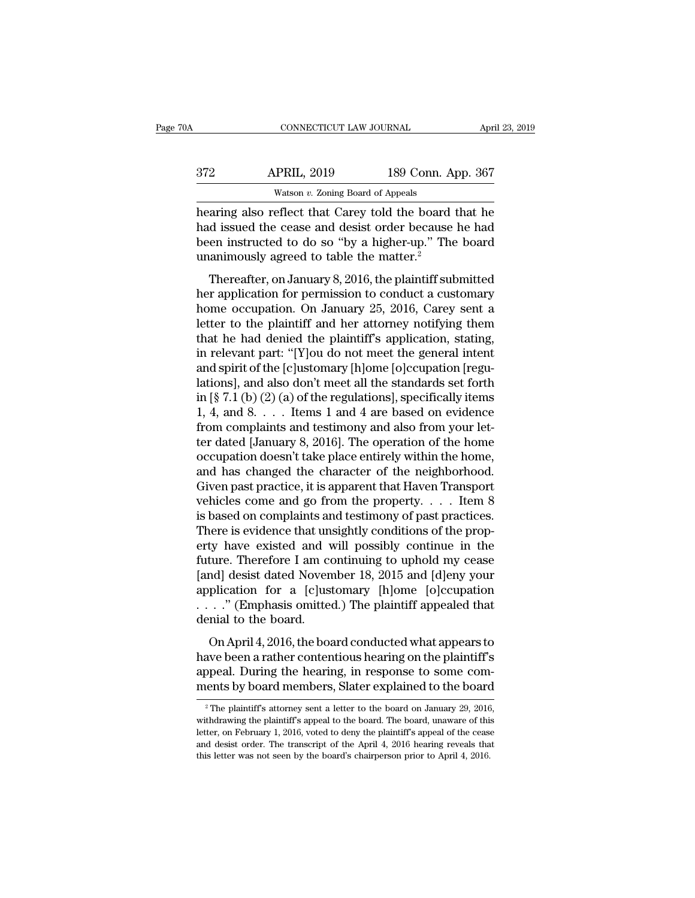| '0A | CONNECTICUT LAW JOURNAL                                |                    | April 23, 2019 |
|-----|--------------------------------------------------------|--------------------|----------------|
| 372 | <b>APRIL, 2019</b>                                     | 189 Conn. App. 367 |                |
|     | Watson $v$ . Zoning Board of Appeals                   |                    |                |
|     | hearing also reflect that Carey told the board that he |                    |                |

CONNECTICUT LAW JOURNAL April 23, 2019<br>
372 APRIL, 2019 189 Conn. App. 367<br>
Watson v. Zoning Board of Appeals<br>
hearing also reflect that Carey told the board that he<br>
had issued the cease and desist order because he had<br>
h APRIL, 2019 189 Conn. App. 367<br>Watson v. Zoning Board of Appeals<br>hearing also reflect that Carey told the board that he<br>had issued the cease and desist order because he had<br>been instructed to do so "by a higher-up." The bo  $\begin{array}{r} \text{372}\qquad \text{APRIL, 2019}\qquad \text{189 Conn. App. 367}\ \text{Maximum }v. \text{ Zoning Board of Appeals} \text{hearing also reflect that Carey told the board that he had issued the cease and desist order because he had been instructed to do so "by a higher-up." The board unanimously agreed to table the matter.<sup>2</sup> \end{array}$  $\begin{array}{r} \text{372} \text{ —} \text{ —} \text{ -} \text{Natson } v. \text{ Zoning Board of Appeals} \\ \hline \text{ \_} \text{Watson } v. \text{ Zoning Board of Appeals} \\ \text{hearing also reflect that Carey told the board had issued the cease and desist order because been instructed to do so "by a higher-up." The unanimously agreed to table the matter.<sup>2</sup> \text{ -} \text{Thereafter, on January 8, 2016, the plaintiff sub-} \end{array}$ Watson v. Zoning Board of Appeals<br>
aring also reflect that Carey told the board that he<br>
d issued the cease and desist order because he had<br>
en instructed to do so "by a higher-up." The board<br>
animously agreed to table th hearing also reflect that Carey told the board that he<br>had issued the cease and desist order because he had<br>been instructed to do so "by a higher-up." The board<br>unanimously agreed to table the matter.<sup>2</sup><br>Thereafter, on Jan

had issued the cease and desist order because he had<br>been instructed to do so "by a higher-up." The board<br>unanimously agreed to table the matter.<sup>2</sup><br>Thereafter, on January 8, 2016, the plaintiff submitted<br>her application f had issued the cease and desist order because it had<br>been instructed to do so "by a higher-up." The board<br>unanimously agreed to table the matter.<sup>2</sup><br>Thereafter, on January 8, 2016, the plaintiff submitted<br>her application f that he had denied the matter.<sup>2</sup><br>Thereafter, on January 8, 2016, the plaintiff submitted<br>her application for permission to conduct a customary<br>home occupation. On January 25, 2016, Carey sent a<br>letter to the plaintiff an Thereafter, on January 8, 2016, the plaintiff submitted<br>her application for permission to conduct a customary<br>home occupation. On January 25, 2016, Carey sent a<br>letter to the plaintiff and her attorney notifying them<br>that Thereafter, on January 8, 2016, the plaintiff submitted<br>her application for permission to conduct a customary<br>home occupation. On January 25, 2016, Carey sent a<br>letter to the plaintiff and her attorney notifying them<br>that her application for permission to conduct a customary<br>home occupation. On January 25, 2016, Carey sent a<br>letter to the plaintiff and her attorney notifying them<br>that he had denied the plaintiff's application, stating,<br>in home occupation. On January 25, 2016, Carey sent a<br>letter to the plaintiff and her attorney notifying them<br>that he had denied the plaintiff's application, stating,<br>in relevant part: "[Y]ou do not meet the general intent<br>a letter to the plaintiff and her attorney notifying them<br>that he had denied the plaintiff's application, stating,<br>in relevant part: "[Y]ou do not meet the general intent<br>and spirit of the [c]ustomary [h]ome [o]ccupation [r that he had denied the plaintiff's application, stating,<br>in relevant part: "[Y]ou do not meet the general intent<br>and spirit of the [c]ustomary [h]ome [o]ccupation [regu-<br>lations], and also don't meet all the standards set in relevant part: "[Y]ou do not meet the general intent<br>and spirit of the [c]ustomary [h]ome [o]ccupation [regu-<br>lations], and also don't meet all the standards set forth<br>in [§ 7.1 (b) (2) (a) of the regulations], specifi and spirit of the [c]ustomary [h]ome [o]ccupation [regulations], and also don't meet all the standards set forth<br>in [§ 7.1 (b) (2) (a) of the regulations], specifically items<br>1, 4, and 8.  $\dots$  . Items 1 and 4 are based on lations], and also don't meet all the standards set forth<br>in [§ 7.1 (b) (2) (a) of the regulations], specifically items<br>1, 4, and 8. . . . Items 1 and 4 are based on evidence<br>from complaints and testimony and also from yo in [§ 7.1 (b) (2) (a) of the regulations], specifically items<br>1, 4, and 8. . . . Items 1 and 4 are based on evidence<br>from complaints and testimony and also from your let-<br>ter dated [January 8, 2016]. The operation of the 1, 4, and 8. . . . . Items 1 and 4 are based on evidence<br>from complaints and testimony and also from your let-<br>ter dated [January 8, 2016]. The operation of the home<br>occupation doesn't take place entirely within the home, from complaints and testimony and also from your let-<br>ter dated [January 8, 2016]. The operation of the home<br>occupation doesn't take place entirely within the home,<br>and has changed the character of the neighborhood.<br>Given ter dated [January 8, 2016]. The operation of the home occupation doesn't take place entirely within the home, and has changed the character of the neighborhood. Given past practice, it is apparent that Haven Transport veh occupation doesn't take place entirely within the home,<br>and has changed the character of the neighborhood.<br>Given past practice, it is apparent that Haven Transport<br>vehicles come and go from the property.... Item 8<br>is base and has changed the character of the neighborhood.<br>Given past practice, it is apparent that Haven Transport<br>vehicles come and go from the property. . . . . Item 8<br>is based on complaints and testimony of past practices.<br>Th Given past practice, it is apparent that Haven Transport<br>vehicles come and go from the property. . . . Item 8<br>is based on complaints and testimony of past practices.<br>There is evidence that unsightly conditions of the prop vehicles come and go from the property. . . . Item 8<br>is based on complaints and testimony of past practices.<br>There is evidence that unsightly conditions of the prop-<br>erty have existed and will possibly continue in the<br>fut is based on complaints and testimony of past practices.<br>There is evidence that unsightly conditions of the property have existed and will possibly continue in the<br>future. Therefore I am continuing to uphold my cease<br>[and] There is evidence that unity have existed and v<br>future. Therefore I am co<br>[and] desist dated Noven<br>application for a [c]ust<br> $\dots$ ." (Emphasis omitted<br>denial to the board.<br>On April 4, 2016, the boa ture. Therefore I am continuing to uphold my cease<br>nd] desist dated November 18, 2015 and [d]eny your<br>plication for a [c]ustomary [h]ome [o]ccupation<br>..." (Emphasis omitted.) The plaintiff appealed that<br>nial to the board.<br> Fraction 1 and continuing to applied hy cease<br>
[and] desist dated November 18, 2015 and [d]eny your<br>
application for a [c]ustomary [h]ome [o]ccupation<br>  $\ldots$  ." (Emphasis omitted.) The plaintiff appealed that<br>
denial to t

pand desist dated November 10, 2019 and  $\lceil d \rceil$  desist application for a  $\lceil c \rceil$ ustomary  $\lceil d \rceil$ ome  $\lceil o \rceil$ ccupation . . . . . " (Emphasis omitted.) The plaintiff appealed that denial to the board.<br>On April 4, 201 mental board members. The plaintiff appealed that<br>denial to the board.<br>On April 4, 2016, the board conducted what appears to<br>have been a rather contentious hearing on the plaintiff's<br>appeal. During the hearing, in respons On April 4, 2016, the board conducted what appears to<br>ave been a rather contentious hearing on the plaintiff's<br>opeal. During the hearing, in response to some com-<br>ents by board members, Slater explained to the board<br><sup>2</sup> Th have been a rather contentious hearing on the plaintiff's<br>appeal. During the hearing, in response to some com-<br>ments by board members, Slater explained to the board<br><sup>2</sup> The plaintiff's attorney sent a letter to the board o

appeal. During the hearing, in response to some com-<br>ments by board members, Slater explained to the board<br> $\frac{1}{2}$ The plaintiff's attorney sent a letter to the board on January 29, 2016,<br>withdrawing the plaintiff's appe and desist order. The plaintiff's attorney sent a letter to the board on January 29, 2016, withdrawing the plaintiff's appeal to the board. The board, unaware of this letter, on February 1, 2016, voted to deny the plaintif <sup>2</sup> The plaintiff's attorney sent a letter to the board on January 29, 2016, withdrawing the plaintiff's appeal to the board. The board, unaware of this letter, on February 1, 2016, voted to deny the plaintiff's appeal of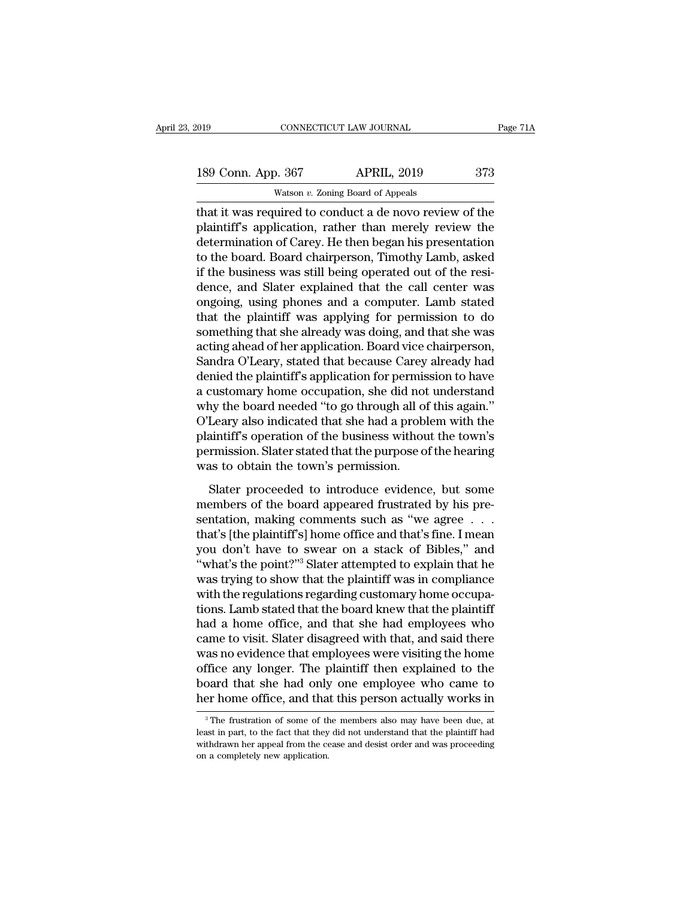That it was required to conduct a de novo review of the<br>distribution of Capacitan and the plaintiff's application, rather than merely review the<br>distribution of Capacity Hother had more bis presentation 189 Conn. App. 367 APRIL, 2019 373<br>Watson v. Zoning Board of Appeals<br>that it was required to conduct a de novo review of the<br>plaintiff's application, rather than merely review the<br>determination of Carey. He then began his 189 Conn. App. 367 APRIL, 2019 373<br>Watson v. Zoning Board of Appeals<br>that it was required to conduct a de novo review of the<br>plaintiff's application, rather than merely review the<br>determination of Carey. He then began his 189 Conn. App. 367 APRIL, 2019 373<br>
Watson v. Zoning Board of Appeals<br>
that it was required to conduct a de novo review of the<br>
plaintiff's application, rather than merely review the<br>
determination of Carey. He then began Watson v. Zoning Board of Appeals<br>
that it was required to conduct a de novo review of the<br>
plaintiff's application, rather than merely review the<br>
determination of Carey. He then began his presentation<br>
to the board. Boa was on  $v$ . Zoning Board of Appeais<br>that it was required to conduct a de novo review of the<br>plaintiff's application, rather than merely review the<br>determination of Carey. He then began his presentation<br>to the board. Board that it was required to conduct a de novo review of the plaintiff's application, rather than merely review the determination of Carey. He then began his presentation to the board. Board chairperson, Timothy Lamb, asked if plaintiff's application, rather than merely review the<br>determination of Carey. He then began his presentation<br>to the board. Board chairperson, Timothy Lamb, asked<br>if the business was still being operated out of the resi-<br>d determination of Carey. He then began his presentation<br>to the board. Board chairperson, Timothy Lamb, asked<br>if the business was still being operated out of the resi-<br>dence, and Slater explained that the call center was<br>ong to the board. Board chairperson, Timothy Lamb, asked<br>if the business was still being operated out of the resi-<br>dence, and Slater explained that the call center was<br>ongoing, using phones and a computer. Lamb stated<br>that the if the business was still being operated out of the resi-<br>dence, and Slater explained that the call center was<br>ongoing, using phones and a computer. Lamb stated<br>that the plaintiff was applying for permission to do<br>somethin dence, and Slater explained that the call center was<br>ongoing, using phones and a computer. Lamb stated<br>that the plaintiff was applying for permission to do<br>something that she already was doing, and that she was<br>acting ahea ongoing, using phones and a computer. Lamb stated<br>that the plaintiff was applying for permission to do<br>something that she already was doing, and that she was<br>acting ahead of her application. Board vice chairperson,<br>Sandra that the plaintiff was applying for permission to do<br>something that she already was doing, and that she was<br>acting ahead of her application. Board vice chairperson,<br>Sandra O'Leary, stated that because Carey already had<br>den something that she already was doing, and that she was<br>acting ahead of her application. Board vice chairperson,<br>Sandra O'Leary, stated that because Carey already had<br>denied the plaintiff's application for permission to hav acting ahead of her application. Board vice chairperson,<br>Sandra O'Leary, stated that because Carey already had<br>denied the plaintiff's application for permission to have<br>a customary home occupation, she did not understand<br>w Sandra O'Leary, stated that because Carey already had<br>denied the plaintiff's application for permission to have<br>a customary home occupation, she did not understand<br>why the board needed "to go through all of this again."<br>O' denied the plaintiff's application for permis<br>a customary home occupation, she did not<br>why the board needed "to go through all of<br>O'Leary also indicated that she had a probl<br>plaintiff's operation of the business withou<br>per From the board needed "to go through all of this again."<br>Leary also indicated that she had a problem with the<br>aintiff's operation of the business without the town's<br>rmission. Slater stated that the purpose of the hearing<br>a  $\overline{O'}$  Leary also indicated that she had a problem with the plaintiff's operation of the business without the town's permission. Slater stated that the purpose of the hearing was to obtain the town's permission.<br>Slater

Frame of the business without the town's<br>permission. Slater stated that the purpose of the hearing<br>was to obtain the town's permission.<br>Slater proceeded to introduce evidence, but some<br>members of the board appeared frustra permission. Slater stated that the purpose of the hearing<br>was to obtain the town's permission.<br>Slater proceeded to introduce evidence, but some<br>members of the board appeared frustrated by his pre-<br>sentation, making comment was to obtain the town's permission.<br>
Slater proceeded to introduce evidence, but some<br>
members of the board appeared frustrated by his pre-<br>
sentation, making comments such as "we agree . . .<br>
that's [the plaintiff's] hom Slater proceeded to introduce evidence, but some<br>
members of the board appeared frustrated by his pre-<br>
sentation, making comments such as "we agree  $\dots$ <br>
that's [the plaintiff's] home office and that's fine. I mean<br>
you Slater proceeded to introduce evidence, but some<br>members of the board appeared frustrated by his pre-<br>sentation, making comments such as "we agree  $\dots$ <br>that's [the plaintiff's] home office and that's fine. I mean<br>you don' members of the board appeared frustrated by his presentation, making comments such as "we agree . . . that's [the plaintiff's] home office and that's fine. I mean you don't have to swear on a stack of Bibles," and "what's sentation, making comments such as "we agree . . . that's [the plaintiff's] home office and that's fine. I mean<br>you don't have to swear on a stack of Bibles," and<br>"what's the point?"<sup>3</sup> Slater attempted to explain that he<br> that's [the plaintiff's] home office and that's fine. I mean<br>you don't have to swear on a stack of Bibles," and<br>"what's the point?"<sup>3</sup> Slater attempted to explain that he<br>was trying to show that the plaintiff was in compli you don't have to swear on a stack of Bibles," and<br>"what's the point?"<sup>3</sup> Slater attempted to explain that he<br>was trying to show that the plaintiff was in compliance<br>with the regulations regarding customary home occupa-<br>ti "what's the point?"<sup>3</sup> Slater attempted to explain that he<br>was trying to show that the plaintiff was in compliance<br>with the regulations regarding customary home occupa-<br>tions. Lamb stated that the board knew that the plain was trying to show that the plaintiff was in compliance<br>with the regulations regarding customary home occupa-<br>tions. Lamb stated that the board knew that the plaintiff<br>had a home office, and that she had employees who<br>came with the regulations regarding customary home occupations. Lamb stated that the board knew that the plaintiff had a home office, and that she had employees who came to visit. Slater disagreed with that, and said there was tions. Lamb stated that the board knew that the plaintiff<br>had a home office, and that she had employees who<br>came to visit. Slater disagreed with that, and said there<br>was no evidence that employees were visiting the home<br>o as no evidence that employees were visiting the home<br>ffice any longer. The plaintiff then explained to the<br>pard that she had only one employee who came to<br>er home office, and that this person actually works in<br><sup>3</sup>The frust office any longer. The plaintiff then explained to the board that she had only one employee who came to her home office, and that this person actually works in  $\frac{3}{10}$  The frustration of some of the members also may ha

board that she had only one employee who came to<br>her home office, and that this person actually works in<br><sup>3</sup>The frustration of some of the members also may have been due, at<br>least in part, to the fact that they did not und on a completely new application.<br>
The frustration of some of the fleast in part, to the fact that they withdrawn her appeal from the ce on a completely new application.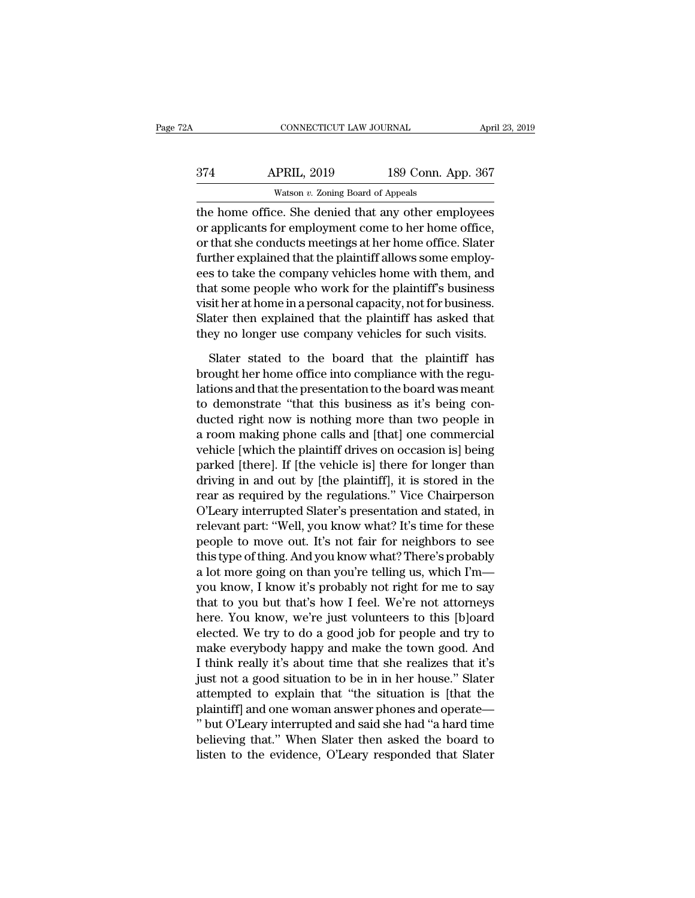| 2A  | CONNECTICUT LAW JOURNAL                              |                    | April 23, 2019 |
|-----|------------------------------------------------------|--------------------|----------------|
| 374 | <b>APRIL, 2019</b>                                   | 189 Conn. App. 367 |                |
|     | Watson $v$ . Zoning Board of Appeals                 |                    |                |
|     | the home office. She denied that any other employees |                    |                |

CONNECTICUT LAW JOURNAL April 23, 2019<br>374 APRIL, 2019 189 Conn. App. 367<br>watson v. Zoning Board of Appeals<br>the home office. She denied that any other employees<br>or applicants for employment come to her home office,<br>or that 374 APRIL, 2019 189 Conn. App. 367<br>Watson v. Zoning Board of Appeals<br>the home office. She denied that any other employees<br>or applicants for employment come to her home office,<br>or that she conducts meetings at her home offi  $\frac{\text{APRIL, 2019}}{\text{Watson } v. \text{ Zoning Board of Appeals}}$ <br>
the home office. She denied that any other employees<br>
or applicants for employment come to her home office,<br>
or that she conducts meetings at her home office. Slater<br>
further explaine  $\frac{\text{APRIL}}{\text{Watson } v. \text{ Zoning Board of Appeals}}$ <br>
the home office. She denied that any other employees<br>
or applicants for employment come to her home office,<br>
or that she conducts meetings at her home office. Slater<br>
further explained that Watson  $v$ . Zoning Board of Appeals<br>the home office. She denied that any other employees<br>or applicants for employment come to her home office,<br>or that she conducts meetings at her home office. Slater<br>further explained tha was on  $v$ . Zoning Board of Appears<br>the home office. She denied that any other employees<br>or applicants for employment come to her home office,<br>or that she conducts meetings at her home office. Slater<br>further explained tha the home office. She denied that any other employees<br>or applicants for employment come to her home office,<br>or that she conducts meetings at her home office. Slater<br>further explained that the plaintiff allows some employ-<br>e or applicants for employment come to her home office,<br>or that she conducts meetings at her home office. Slater<br>further explained that the plaintiff allows some employ-<br>ees to take the company vehicles home with them, and<br>t or that she conducts meetings at her home office. Slater<br>further explained that the plaintiff allows some employ-<br>ees to take the company vehicles home with them, and<br>that some people who work for the plaintiff's business<br> s to take the company vehicles home with them, and<br>at some people who work for the plaintiff's business<br>sit her at home in a personal capacity, not for business.<br>ater then explained that the plaintiff has asked that<br>ey no that some people who work for the plaintiff's business<br>visit her at home in a personal capacity, not for business.<br>Slater then explained that the plaintiff has asked that<br>they no longer use company vehicles for such visits

visit her at home in a personal capacity, not for business.<br>Slater then explained that the plaintiff has asked that<br>they no longer use company vehicles for such visits.<br>Slater stated to the board that the plaintiff has<br>bro Slater then explained that the plaintiff has asked that<br>they no longer use company vehicles for such visits.<br>Slater stated to the board that the plaintiff has<br>brought her home office into compliance with the regu-<br>lations they no longer use company vehicles for such visits.<br>Slater stated to the board that the plaintiff has<br>brought her home office into compliance with the regu-<br>lations and that the presentation to the board was meant<br>to demo Slater stated to the board that the plaintiff has<br>brought her home office into compliance with the regu-<br>lations and that the presentation to the board was meant<br>to demonstrate "that this business as it's being con-<br>ducted Slater stated to the board that the plaintiff has<br>brought her home office into compliance with the regu-<br>lations and that the presentation to the board was meant<br>to demonstrate "that this business as it's being con-<br>ducted brought her home office into compliance with the regulations and that the presentation to the board was meant<br>to demonstrate "that this business as it's being con-<br>ducted right now is nothing more than two people in<br>a room lations and that the presentation to the board was meant<br>to demonstrate "that this business as it's being con-<br>ducted right now is nothing more than two people in<br>a room making phone calls and [that] one commercial<br>vehicle to demonstrate "that this business as it's being con-<br>ducted right now is nothing more than two people in<br>a room making phone calls and [that] one commercial<br>vehicle [which the plaintiff drives on occasion is] being<br>parked ducted right now is nothing more than two people in<br>a room making phone calls and [that] one commercial<br>vehicle [which the plaintiff drives on occasion is] being<br>parked [there]. If [the vehicle is] there for longer than<br>dr a room making phone calls and [that] one commercial<br>vehicle [which the plaintiff drives on occasion is] being<br>parked [there]. If [the vehicle is] there for longer than<br>driving in and out by [the plaintiff], it is stored in vehicle [which the plaintiff drives on occasion is] being<br>parked [there]. If [the vehicle is] there for longer than<br>driving in and out by [the plaintiff], it is stored in the<br>rear as required by the regulations." Vice Chai parked [there]. If [the vehicle is] there for longer than<br>driving in and out by [the plaintiff], it is stored in the<br>rear as required by the regulations." Vice Chairperson<br>O'Leary interrupted Slater's presentation and stat driving in and out by [the plaintiff], it is stored in the<br>rear as required by the regulations." Vice Chairperson<br>O'Leary interrupted Slater's presentation and stated, in<br>relevant part: "Well, you know what? It's time for rear as required by the regulations." Vice Chairperson<br>O'Leary interrupted Slater's presentation and stated, in<br>relevant part: "Well, you know what? It's time for these<br>people to move out. It's not fair for neighbors to se O'Leary interrupted Slater's presentation and stated, in<br>relevant part: "Well, you know what? It's time for these<br>people to move out. It's not fair for neighbors to see<br>this type of thing. And you know what? There's probab relevant part: "Well, you know what? It's time for these<br>people to move out. It's not fair for neighbors to see<br>this type of thing. And you know what? There's probably<br>a lot more going on than you're telling us, which I'm people to move out. It's not fair for neighbors to see<br>this type of thing. And you know what? There's probably<br>a lot more going on than you're telling us, which I'm—<br>you know, I know it's probably not right for me to say<br>t this type of thing. And you know what? There's probably<br>a lot more going on than you're telling us, which I'm—<br>you know, I know it's probably not right for me to say<br>that to you but that's how I feel. We're not attorneys<br>h a lot more going on than you're telling us, which I'm—<br>you know, I know it's probably not right for me to say<br>that to you but that's how I feel. We're not attorneys<br>here. You know, we're just volunteers to this [b]oard<br>ele you know, I know it's probably not right for me to say<br>that to you but that's how I feel. We're not attorneys<br>here. You know, we're just volunteers to this [b]oard<br>elected. We try to do a good job for people and try to<br>mak that to you but that's how I feel. We're not attorneys<br>here. You know, we're just volunteers to this [b]oard<br>elected. We try to do a good job for people and try to<br>make everybody happy and make the town good. And<br>I think r here. You know, we're just volunteers to this [b]oard<br>elected. We try to do a good job for people and try to<br>make everybody happy and make the town good. And<br>I think really it's about time that she realizes that it's<br>just elected. We try to do a good job for people and try to<br>
make everybody happy and make the town good. And<br>
I think really it's about time that she realizes that it's<br>
just not a good situation to be in in her house." Slater make everybody happy and make the town good. And<br>I think really it's about time that she realizes that it's<br>just not a good situation to be in in her house." Slater<br>attempted to explain that "the situation is [that the<br>pla I think really it's about time that she realizes that it's<br>just not a good situation to be in in her house." Slater<br>attempted to explain that "the situation is [that the<br>plaintiff] and one woman answer phones and operate—<br>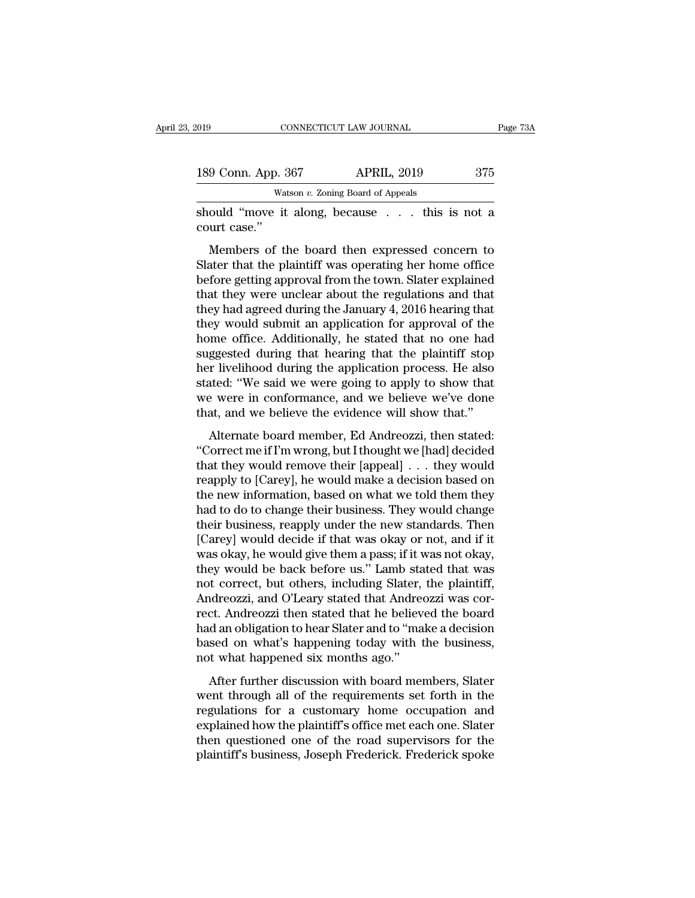| 019 |                               | CONNECTICUT LAW JOURNAL              | Page 73A      |
|-----|-------------------------------|--------------------------------------|---------------|
|     | 189 Conn. App. 367            | <b>APRIL, 2019</b>                   | 375           |
|     |                               | Watson $v$ . Zoning Board of Appeals |               |
|     | should "move it along hecause |                                      | this is not a |

Should ''move it along, because . . . this is not a<br>
should "move it along, because . . . this is not a<br>
should "move it along, because . . . this is not a<br>
should "move it along, because . . . this is not a<br>
should "move 189 Conn. App. 3<br>Washould "move it<br>court case."<br>Members of the

9 Conn. App. 367 APRIL, 2019 375<br>
Watson v. Zoning Board of Appeals<br>
ould "move it along, because . . . this is not a<br>
urt case."<br>
Members of the board then expressed concern to<br>
ater that the plaintiff was operating her 189 Conn. App. 367 APRIL, 2019 375<br>
Watson v. Zoning Board of Appeals<br>
should "move it along, because . . . this is not a<br>
court case."<br>
Members of the board then expressed concern to<br>
Slater that the plaintiff was operat Watson v. Zoning Board of Appeals<br>
should "move it along, because  $\ldots$  this is not a<br>
court case."<br>
Members of the board then expressed concern to<br>
Slater that the plaintiff was operating her home office<br>
before getting should "move it along, because . . . this is not a<br>court case."<br>Members of the board then expressed concern to<br>Slater that the plaintiff was operating her home office<br>before getting approval from the town. Slater explained Should move it along, because . . . . thus is not a<br>court case."<br>Members of the board then expressed concern to<br>Slater that the plaintiff was operating her home office<br>before getting approval from the town. Slater explaine Members of the board then expressed concern to<br>Slater that the plaintiff was operating her home office<br>before getting approval from the town. Slater explained<br>that they were unclear about the regulations and that<br>they had Members of the board then expressed concern to<br>Slater that the plaintiff was operating her home office<br>before getting approval from the town. Slater explained<br>that they were unclear about the regulations and that<br>they had Slater that the plaintiff was operating her home office<br>before getting approval from the town. Slater explained<br>that they were unclear about the regulations and that<br>they had agreed during the January 4, 2016 hearing that<br> before getting approval from the town. Slater explained<br>that they were unclear about the regulations and that<br>they had agreed during the January 4, 2016 hearing that<br>they would submit an application for approval of the<br>hom that they were unclear about the regulations and that<br>they had agreed during the January 4, 2016 hearing that<br>they would submit an application for approval of the<br>home office. Additionally, he stated that no one had<br>sugges they had agreed during the January 4, 2016 hearing that<br>they would submit an application for approval of the<br>home office. Additionally, he stated that no one had<br>suggested during that hearing that the plaintiff stop<br>her li they would submit an application for approval of the<br>home office. Additionally, he stated that no one had<br>suggested during that hearing that the plaintiff stop<br>her livelihood during the application process. He also<br>stated: Alternate board member, Ed Andreozzi, then stated:<br>
Signification process. He also<br>
ated: "We said we were going to apply to show that<br>
the were in conformance, and we believe we've done<br>
at, and we believe the evidence wi Buggested daring and fielding and the plant step<br>
her livelihood during the application process. He also<br>
stated: "We said we were going to apply to show that<br>
we were in conformance, and we believe we've done<br>
that, and w

that they would we were going to apply to show that<br>we were in conformance, and we believe we've done<br>that, and we believe the evidence will show that."<br>Alternate board member, Ed Andreozzi, then stated:<br>"Correct me if I'm realistical. The state we were going to apply to show and<br>we were in conformance, and we believe we've done<br>that, and we believe the evidence will show that."<br>Alternate board member, Ed Andreozzi, then stated:<br>"Correct me that, and we believe the evidence will show that."<br>Alternate board member, Ed Andreozzi, then stated:<br>"Correct me if I'm wrong, but I thought we [had] decided<br>that they would remove their [appeal] . . . they would<br>reapply Alternate board member, Ed Andreozzi, then stated:<br>
"Correct me if I'm wrong, but I thought we [had] decided<br>
that they would remove their [appeal] . . . they would<br>
reapply to [Carey], he would make a decision based on<br>
t Alternate board member, Ed Andreozzi, then stated:<br>
"Correct me if I'm wrong, but I thought we [had] decided<br>
that they would remove their [appeal] . . . they would<br>
reapply to [Carey], he would make a decision based on<br>
t "Correct me if I'm wrong, but I thought we [had] decided<br>that they would remove their [appeal]  $\ldots$  they would<br>reapply to [Carey], he would make a decision based on<br>the new information, based on what we told them they<br>ha that they would remove their [appeal] . . . they would<br>reapply to [Carey], he would make a decision based on<br>the new information, based on what we told them they<br>had to do to change their business. They would change<br>their reapply to [Carey], he would make a decision based on<br>the new information, based on what we told them they<br>had to do to change their business. They would change<br>their business, reapply under the new standards. Then<br>[Carey] the new information, based on what we told them they<br>had to do to change their business. They would change<br>their business, reapply under the new standards. Then<br>[Carey] would decide if that was okay or not, and if it<br>was o had to do to change their business. They would change<br>their business, reapply under the new standards. Then<br>[Carey] would decide if that was okay or not, and if it<br>was okay, he would give them a pass; if it was not okay,<br>t their business, reapply under the new standards. Then<br>[Carey] would decide if that was okay or not, and if it<br>was okay, he would give them a pass; if it was not okay,<br>they would be back before us." Lamb stated that was<br>not [Carey] would decide if that was okay or not, and if it<br>was okay, he would give them a pass; if it was not okay,<br>they would be back before us." Lamb stated that was<br>not correct, but others, including Slater, the plaintiff, was okay, he would give them a pass; if it was not okay,<br>they would be back before us." Lamb stated that was<br>not correct, but others, including Slater, the plaintiff,<br>Andreozzi, and O'Leary stated that Andreozzi was cor-<br>r they would be back before us." Lamb stand to correct, but others, including Slater, Andreozzi, and O'Leary stated that Andree rect. Andreozzi then stated that he believ had an obligation to hear Slater and to "ma based on After further discussion with board members, Slater and to "make a decision<br>and an obligation to hear Slater and to "make a decision<br>sed on what's happening today with the business,<br>t what happened six months ago."<br>After f Fractional, and 5 Leary stated that Fridreozzi was correct. Andreozzi then stated that he believed the board<br>had an obligation to hear Slater and to "make a decision<br>based on what's happening today with the business,<br>not w

regulation to hear Slater and to "make a decision<br>based on what's happening today with the business,<br>not what happened six months ago."<br>After further discussion with board members, Slater<br>went through all of the requiremen how that suppose to hear stater and to make a decision based on what's happening today with the business, not what happened six months ago."<br>After further discussion with board members, Slater went through all of the requi Existed on what is happening today with the basiness,<br>not what happened six months ago."<br>After further discussion with board members, Slater<br>went through all of the requirements set forth in the<br>regulations for a customary After further discussion with board members, Slater<br>went through all of the requirements set forth in the<br>regulations for a customary home occupation and<br>explained how the plaintiff's office met each one. Slater<br>then quest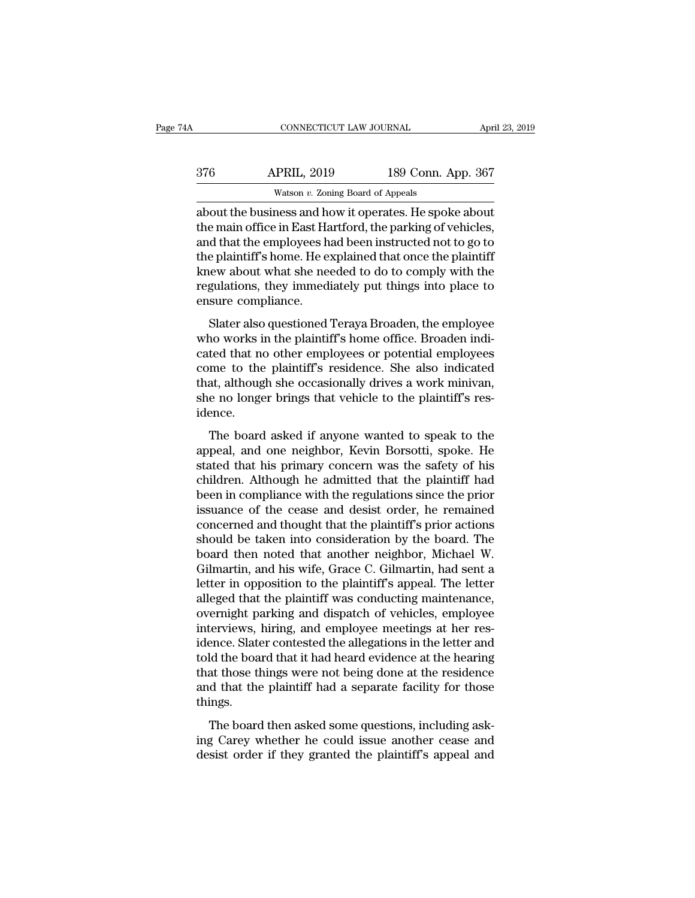| łΑ  | CONNECTICUT LAW JOURNAL                                |                    | April 23, 2019 |
|-----|--------------------------------------------------------|--------------------|----------------|
| 376 | <b>APRIL, 2019</b>                                     | 189 Conn. App. 367 |                |
|     | Watson $v$ . Zoning Board of Appeals                   |                    |                |
|     | about the business and how it operates. He spoke about |                    |                |

CONNECTICUT LAW JOURNAL April 23, 2019<br>
376 APRIL, 2019 189 Conn. App. 367<br>
Watson v. Zoning Board of Appeals<br>
about the business and how it operates. He spoke about<br>
the main office in East Hartford, the parking of vehicl 189 Conn. App. 367<br>
Matson v. Zoning Board of Appeals<br>
Matson v. Zoning Board of Appeals<br>
About the business and how it operates. He spoke about<br>
the main office in East Hartford, the parking of vehicles,<br>
and that the emp  $\frac{\text{APRIL, 2019}}{\text{Watson } v. \text{ Zoning Board of Appeals}}$ <br>about the business and how it operates. He spoke about<br>the main office in East Hartford, the parking of vehicles,<br>and that the employees had been instructed not to go to<br>the plaintiff'  $\begin{array}{r} \text{376} \text{ } \text{APRIL, 2019} \text{ } \text{189 Conn. App. 367} \ \hline \text{Watson } v. \text{ Zoning Board of Appeals} \text{} \end{array}$ <br>about the business and how it operates. He spoke about the main office in East Hartford, the parking of vehicles, and that the employee Watson v. Zoning Board of Appeals<br>about the business and how it operates. He spoke about<br>the main office in East Hartford, the parking of vehicles,<br>and that the employees had been instructed not to go to<br>the plaintiff's h watson  $v$ . Zoning Board of Appeals<br>about the business and how it operates. He spoke about<br>the main office in East Hartford, the parking of vehicles,<br>and that the employees had been instructed not to go to<br>the plaintiff's about the business and hothe main office in East Ha<br>and that the employees hother plaintiff's home. He explores<br>the plaintiff's home. He explores<br>regulations, they immediansure compliance.<br>Slater also questioned' of that the employees had been instructed not to go to<br>e plaintiff's home. He explained that once the plaintiff<br>new about what she needed to do to comply with the<br>gulations, they immediately put things into place to<br>sure c and that the employees had been instructed flot b go to<br>the plaintiff's home. He explained that once the plaintiff<br>knew about what she needed to do to comply with the<br>regulations, they immediately put things into place to<br>

Ene plantari shome: He explained that once the plantari<br>knew about what she needed to do to comply with the<br>regulations, they immediately put things into place to<br>ensure compliance.<br>Slater also questioned Teraya Broaden, t come to the plaintiff's positional complement of the plaintiff's response to ensure compliance.<br>Slater also questioned Teraya Broaden, the employee<br>who works in the plaintiff's home office. Broaden indicated<br>that no other the matter of pair and pair of pair and pair of the employee<br>that also questioned Teraya Broaden, the employee<br>who works in the plaintiff's home office. Broaden indi-<br>cated that no other employees or potential employees<br>co Slater also questioned Teraya Broaden, the employee<br>who works in the plaintiff's home office. Broaden indi-<br>cated that no other employees or potential employees<br>come to the plaintiff's residence. She also indicated<br>that, a idence. The board asked if anyone wanted to speak to the<br>paintiff's residence. She also indicated<br>at, although she occasionally drives a work minivan,<br>e no longer brings that vehicle to the plaintiff's res-<br>ence.<br>The board asked i caced that his stated employees of potential employees<br>come to the plaintiff's residence. She also indicated<br>that, although she occasionally drives a work minivan,<br>she no longer brings that vehicle to the plaintiff's res-<br>

stated that, although she occasionally drives a work minivan,<br>she no longer brings that vehicle to the plaintiff's res-<br>idence.<br>The board asked if anyone wanted to speak to the<br>appeal, and one neighbor, Kevin Borsotti, spo chai, although the occusionally divided work finally as<br>she no longer brings that vehicle to the plaintiff's res-<br>idence.<br>The board asked if anyone wanted to speak to the<br>appeal, and one neighbor, Kevin Borsotti, spoke. He below to longer sings and venter to the plantari since idence.<br>
The board asked if anyone wanted to speak to the<br>
appeal, and one neighbor, Kevin Borsotti, spoke. He<br>
stated that his primary concern was the safety of his<br> The board asked if anyone wanted to speak to the<br>appeal, and one neighbor, Kevin Borsotti, spoke. He<br>stated that his primary concern was the safety of his<br>children. Although he admitted that the plaintiff had<br>been in compl The board asked if anyone wanted to speak to the<br>appeal, and one neighbor, Kevin Borsotti, spoke. He<br>stated that his primary concern was the safety of his<br>children. Although he admitted that the plaintiff had<br>been in compl appeal, and one neighbor, Kevin Borsotti, spoke. He<br>stated that his primary concern was the safety of his<br>children. Although he admitted that the plaintiff had<br>been in compliance with the regulations since the prior<br>issuan stated that his primary concern was the safety of his children. Although he admitted that the plaintiff had been in compliance with the regulations since the prior issuance of the cease and desist order, he remained concer children. Although he admitted that the plaintiff had<br>been in compliance with the regulations since the prior<br>issuance of the cease and desist order, he remained<br>concerned and thought that the plaintiff's prior actions<br>sho been in compliance with the regulations since the prior<br>issuance of the cease and desist order, he remained<br>concerned and thought that the plaintiff's prior actions<br>should be taken into consideration by the board. The<br>boar issuance of the cease and desist order, he remained<br>concerned and thought that the plaintiff's prior actions<br>should be taken into consideration by the board. The<br>board then noted that another neighbor, Michael W.<br>Gilmartin concerned and thought that the plaintiff's prior actions<br>should be taken into consideration by the board. The<br>board then noted that another neighbor, Michael W.<br>Gilmartin, and his wife, Grace C. Gilmartin, had sent a<br>lette should be taken into consideration by the board. The<br>board then noted that another neighbor, Michael W.<br>Gilmartin, and his wife, Grace C. Gilmartin, had sent a<br>letter in opposition to the plaintiff's appeal. The letter<br>all board then noted that another neighbor, Michael W.<br>Gilmartin, and his wife, Grace C. Gilmartin, had sent a<br>letter in opposition to the plaintiff's appeal. The letter<br>alleged that the plaintiff was conducting maintenance,<br>o Gilmartin, and his wife, Grace C. Gilmartin, had sent a<br>letter in opposition to the plaintiff's appeal. The letter<br>alleged that the plaintiff was conducting maintenance,<br>overnight parking and dispatch of vehicles, employee letter in opposition to the plaintiff's appeal. The letter<br>alleged that the plaintiff was conducting maintenance,<br>overnight parking and dispatch of vehicles, employee<br>interviews, hiring, and employee meetings at her res-<br>i alleged that the plaintiff was conducting maintenance,<br>overnight parking and dispatch of vehicles, employee<br>interviews, hiring, and employee meetings at her res-<br>idence. Slater contested the allegations in the letter and<br>t things. Figure 1.1 and the board the allegations in the letter and<br>the board that it had heard evidence at the hearing<br>at those things were not being done at the residence<br>d that the plaintiff had a separate facility for those<br>ing ractice: stater contested the diregulators in the retter dual<br>told the board that it had heard evidence at the hearing<br>that those things were not being done at the residence<br>and that the plaintiff had a separate facility f deside the board and that head evidence at the nearing<br>that those things were not being done at the residence<br>and that the plaintiff had a separate facility for those<br>things.<br>The board then asked some questions, including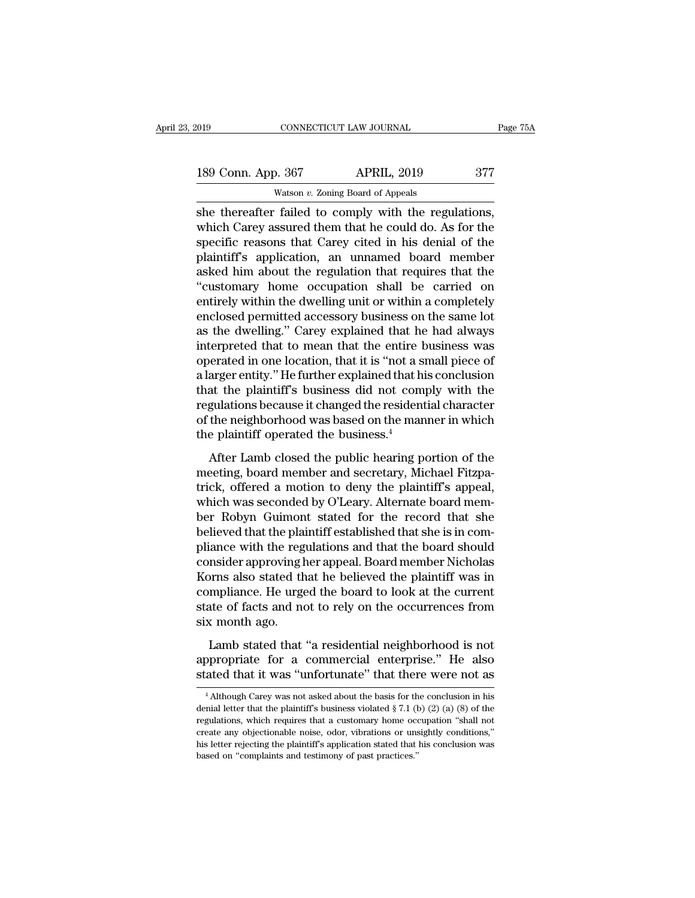| 019 |                    | CONNECTICUT LAW JOURNAL                              | Page 75A |
|-----|--------------------|------------------------------------------------------|----------|
|     | 189 Conn. App. 367 | <b>APRIL, 2019</b>                                   | 377      |
|     |                    | Watson $v$ . Zoning Board of Appeals                 |          |
|     |                    | she thereafter failed to comply with the regulations |          |

she thereafter failed to comply with the regulations,<br>she thereafter failed to comply with the regulations,<br>which Carey assured them that he could do. As for the<br>specific reasons that Carey cited in his donial of the 189 Conn. App. 367 APRIL, 2019 377<br>Watson v. Zoning Board of Appeals<br>She thereafter failed to comply with the regulations,<br>which Carey assured them that he could do. As for the<br>specific reasons that Carey cited in his deni 189 Conn. App. 367 APRIL, 2019 377<br>Watson v. Zoning Board of Appeals<br>She thereafter failed to comply with the regulations,<br>which Carey assured them that he could do. As for the<br>specific reasons that Carey cited in his den 189 Conn. App. 367 APRIL, 2019 377<br>
Watson v. Zoning Board of Appeals<br>
She thereafter failed to comply with the regulations,<br>
which Carey assured them that he could do. As for the<br>
specific reasons that Carey cited in his Watson v. Zoning Board of Appeals<br>
She thereafter failed to comply with the regulations,<br>
which Carey assured them that he could do. As for the<br>
specific reasons that Carey cited in his denial of the<br>
plaintiff's applicat watson  $v$ . Zoning Board of Appeals<br>
she thereafter failed to comply with the regulations,<br>
which Carey assured them that he could do. As for the<br>
specific reasons that Carey cited in his denial of the<br>
plaintiff's applic she thereafter failed to comply with the regulations,<br>which Carey assured them that he could do. As for the<br>specific reasons that Carey cited in his denial of the<br>plaintiff's application, an unnamed board member<br>asked him which Carey assured them that he could do. As for the specific reasons that Carey cited in his denial of the plaintiff's application, an unnamed board member asked him about the regulation that requires that the "customary specific reasons that Carey cited in his denial of the plaintiff's application, an unnamed board member asked him about the regulation that requires that the "customary home occupation shall be carried on entirely within t plaintiff's application, an unnamed board member<br>asked him about the regulation that requires that the<br>"customary home occupation shall be carried on<br>entirely within the dwelling unit or within a completely<br>enclosed permit asked him about the regulation that requires that the "customary home occupation shall be carried on<br>entirely within the dwelling unit or within a completely<br>enclosed permitted accessory business on the same lot<br>as the dwe "customary home occupation shall be carried on<br>entirely within the dwelling unit or within a completely<br>enclosed permitted accessory business on the same lot<br>as the dwelling." Carey explained that he had always<br>interpreted entirely within the dwelling unit or within a completely<br>enclosed permitted accessory business on the same lot<br>as the dwelling." Carey explained that he had always<br>interpreted that to mean that the entire business was<br>oper enclosed permitted accessory business on the same lot<br>as the dwelling." Carey explained that he had always<br>interpreted that to mean that the entire business was<br>operated in one location, that it is "not a small piece of<br>a as the dwelling." Carey explained that he had always<br>interpreted that to mean that the entire business was<br>operated in one location, that it is "not a small piece of<br>a larger entity." He further explained that his conclusi interpreted that to mean that the entire b<br>operated in one location, that it is "not a si<br>a larger entity." He further explained that hi<br>that the plaintiff's business did not com<br>regulations because it changed the resident Example is a state of the and the plaintiff's business did not comply with the gulations because it changed the residential character<br>the neighborhood was based on the manner in which<br>e plaintiff operated the business.<sup>4</sup><br> that the plaintiff's business did not comply with the regulations because it changed the residential character of the neighborhood was based on the manner in which the plaintiff operated the business.<sup>4</sup><br>After Lamb closed

that the plaintin's business and not compty what the<br>regulations because it changed the residential character<br>of the neighborhood was based on the manner in which<br>the plaintiff operated the business.<sup>4</sup><br>After Lamb closed t regalations because it enaliged are restatement of the neighborhood was based on the manner in which<br>the plaintiff operated the business.<sup>4</sup><br>After Lamb closed the public hearing portion of the<br>meeting, board member and sec be plaintiff operated the business.<sup>4</sup><br>the plaintiff operated the business.<sup>4</sup><br>After Lamb closed the public hearing portion of the<br>meeting, board member and secretary, Michael Fitzpa-<br>trick, offered a motion to deny the pl are plantari operated the standards.<br>
After Lamb closed the public hearing portion of the<br>
meeting, board member and secretary, Michael Fitzpa-<br>
trick, offered a motion to deny the plaintiff's appeal,<br>
which was seconded b After Lamb closed the public hearing portion of the<br>meeting, board member and secretary, Michael Fitzpa-<br>trick, offered a motion to deny the plaintiff's appeal,<br>which was seconded by O'Leary. Alternate board mem-<br>ber Robyn meeting, board member and secretary, Michael Fitzpatrick, offered a motion to deny the plaintiff's appeal, which was seconded by O'Leary. Alternate board member Robyn Guimont stated for the record that she believed that th trick, offered a motion to deny the plaintiff's appeal,<br>which was seconded by O'Leary. Alternate board mem-<br>ber Robyn Guimont stated for the record that she<br>believed that the plaintiff established that she is in com-<br>plian which was seconded by O'Leary. Alternate board member Robyn Guimont stated for the record that she believed that the plaintiff established that she is in compliance with the regulations and that the board should consider a ber Robyn Guimont stated for the record that she<br>believed that the plaintiff established that she is in com-<br>pliance with the regulations and that the board should<br>consider approving her appeal. Board member Nicholas<br>Korns believed that the plai<br>pliance with the reg<br>consider approving ł<br>Korns also stated th<br>compliance. He urge<br>state of facts and no<br>six month ago.<br>Lamb stated that Making a responsive and that the sound should<br>insider approving her appeal. Board member Nicholas<br>primaliance. He urged the board to look at the current<br>atte of facts and not to rely on the occurrences from<br> $\kappa$  month ago Example for a comment of helieved the plaintiff was in<br>compliance. He urged the board to look at the current<br>state of facts and not to rely on the occurrences from<br>six month ago.<br>Lamb stated that "a residential neighborhoo stated that it was different of the board to look at the current<br>state of facts and not to rely on the occurrences from<br>six month ago.<br>Lamb stated that "a residential neighborhood is not<br>appropriate for a commercial enterp

Lamb stated that "a residential neighborhood is not oppropriate for a commercial enterprise." He also ated that it was "unfortunate" that there were not as  $\frac{4}{1}$ Although Carey was not asked about the basis for the con Lamb stated that "a residential neighborhood is not appropriate for a commercial enterprise." He also stated that it was "unfortunate" that there were not as  $\frac{4}{1}$  Although Carey was not asked about the basis for the

appropriate for a commercial enterprise." He also<br>stated that it was "unfortunate" that there were not as<br> $\frac{4 \text{Although Cray was not asked about the basis for the conclusion in his}$ <br>denial letter that the plaintiff's business violated § 7.1 (b) (2) (a) (8) of the<br>regulati expected that it was "unfortunate" that there were not as<br>
<sup>4</sup> Although Carey was not asked about the basis for the conclusion in his<br>
denial letter that the plaintiff's business violated § 7.1 (b) (2) (a) (8) of the<br>
regu His letter that it was differentiate that there were not as<br>  $\frac{1}{4}$  Although Carey was not asked about the basis for the conclusion in his<br>
denial letter that the plaintiff's business violated § 7.1 (b) (2) (a) (8) of <sup>4</sup> Although Carey was not asked about the basis for the denial letter that the plaintiff's business violated  $\S$  7.1 (tegulations, which requires that a customary home occreate any objectionable noise, odor, vibrations o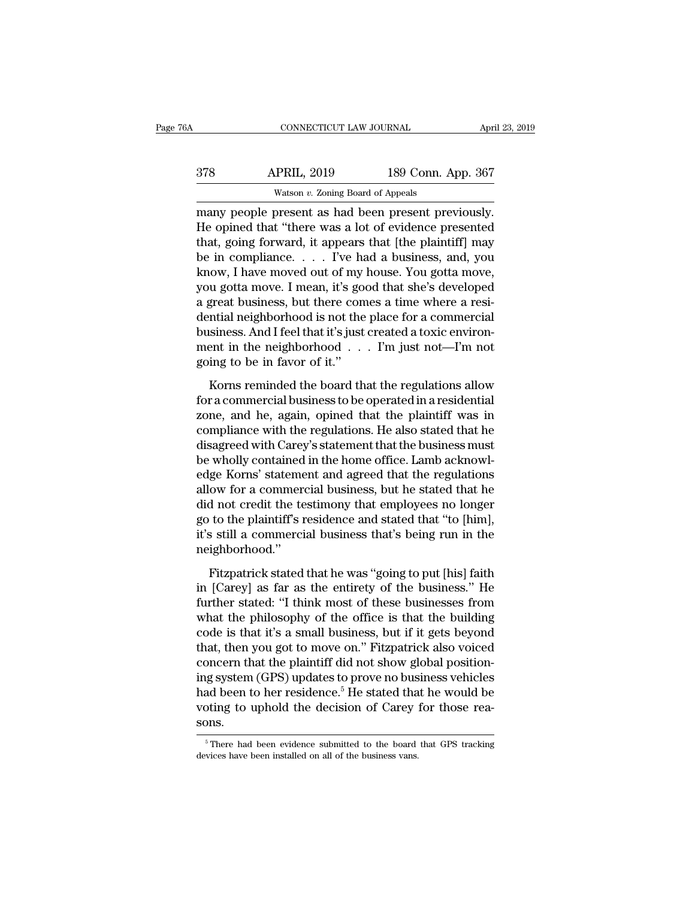| 6A  | CONNECTICUT LAW JOURNAL                            |                    | April 23, 2019 |
|-----|----------------------------------------------------|--------------------|----------------|
| 378 | <b>APRIL, 2019</b>                                 | 189 Conn. App. 367 |                |
|     | Watson $v$ . Zoning Board of Appeals               |                    |                |
|     | many people present as had been present previously |                    |                |

CONNECTICUT LAW JOURNAL April 23, 2<br>
378 APRIL, 2019 189 Conn. App. 367<br>
Watson v. Zoning Board of Appeals<br>
many people present as had been present previously.<br>
He opined that "there was a lot of evidence presented<br>
that s APRIL, 2019 189 Conn. App. 367<br>Watson v. Zoning Board of Appeals<br>many people present as had been present previously.<br>He opined that "there was a lot of evidence presented<br>that, going forward, it appears that [the plaintiff  $\begin{array}{r} \text{378} \text{ \quad} \text{APRIL, 2019} \text{ \quad} \text{189 Conn. App. 367} \ \text{Watson } v. \text{ Zoning Board of Appeals} \ \text{many people present as had been present previously.} \ \text{He opened that "there was a lot of evidence presented that, going forward, it appears that [the plaintiff] may be in compliance. . . . I've had a business, and, you know I have moved out of my house. You do not have a good.} \end{array}$  $\begin{array}{ll}\n & \text{APRIL, 2019} & \text{189 Conn. App. 367} \\
 \hline\n & \text{Watson } v. \text{ Zoning Board of Appeals} \\
 \text{many people present as had been present previously.} \\
 \text{He opened that "there was a lot of evidence presented that, going forward, it appears that [the plaintiff] may be in compliance. . . . I've had a business, and, you know, I have moved out of my house. You gotten move, you to find the new code, you get a move. I mean, it is good that she's developed.$ Watson v. Zoning Board of Appeals<br>
many people present as had been present previously.<br>
He opined that "there was a lot of evidence presented<br>
that, going forward, it appears that [the plaintiff] may<br>
be in compliance. . was on v. Zoning Board of Appeais<br>
many people present as had been present previously.<br>
He opined that "there was a lot of evidence presented<br>
that, going forward, it appears that [the plaintiff] may<br>
be in compliance.... many people present as had been present previously.<br>He opined that "there was a lot of evidence presented<br>that, going forward, it appears that [the plaintiff] may<br>be in compliance.  $\ldots$  I've had a business, and, you<br>know He opined that "there was a lot of evidence presented<br>that, going forward, it appears that [the plaintiff] may<br>be in compliance. . . . . I've had a business, and, you<br>know, I have moved out of my house. You gotta move,<br>yo that, going forward, it appears that [the plaintiff] may<br>be in compliance. . . . . I've had a business, and, you<br>know, I have moved out of my house. You gotta move,<br>you gotta move. I mean, it's good that she's developed<br>a be in compliance. . . . I've had a business, and, you<br>know, I have moved out of my house. You gotta move,<br>you gotta move. I mean, it's good that she's developed<br>a great business, but there comes a time where a resi-<br>dentia know, I have moved out of my<br>you gotta move. I mean, it's go<br>a great business, but there con<br>dential neighborhood is not the<br>business. And I feel that it's just<br>ment in the neighborhood . .<br>going to be in favor of it."<br>Kor The board interest in the regulations are the referred that the registrations between the resisting in the place for a commercial siness. And I feel that it's just created a toxic environment in the neighborhood  $\dots$  I'm for a commercial business. And I feel that it's just created a toxic environment in the neighborhood  $\ldots$  I'm just not—I'm not going to be in favor of it."<br>Korns reminded the board that the regulations allow for a commer

business. And I feel that it's just created a toxic environment in the neighborhood . . . I'm just not—I'm not<br>going to be in favor of it."<br>Korns reminded the board that the regulations allow<br>for a commercial business to b ment in the neighborhood . . . I'm just not—I'm not<br>going to be in favor of it."<br>Korns reminded the board that the regulations allow<br>for a commercial business to be operated in a residential<br>zone, and he, again, opined tha disagreed with Care of it."<br>
Soing to be in favor of it."<br>
Korns reminded the board that the regulations allow<br>
for a commercial business to be operated in a residential<br>
zone, and he, again, opined that the plaintiff was going to be in favor of it."<br>Korns reminded the board that the regulations allow<br>for a commercial business to be operated in a residential<br>zone, and he, again, opined that the plaintiff was in<br>compliance with the regulatio Korns reminded the board that the regulations allow<br>for a commercial business to be operated in a residential<br>zone, and he, again, opined that the plaintiff was in<br>compliance with the regulations. He also stated that he<br>di for a commercial business to be operated in a residential<br>zone, and he, again, opined that the plaintiff was in<br>compliance with the regulations. He also stated that he<br>disagreed with Carey's statement that the business mus zone, and he, again, opined that the plaintiff was in<br>compliance with the regulations. He also stated that he<br>disagreed with Carey's statement that the business must<br>be wholly contained in the home office. Lamb acknowl-<br>ed compliance with the regulations. He also stated that he disagreed with Carey's statement that the business must<br>be wholly contained in the home office. Lamb acknowl-<br>edge Korns' statement and agreed that the regulations<br>al disagreed with Carey's statement that the business must<br>be wholly contained in the home office. Lamb acknowl-<br>edge Korns' statement and agreed that the regulations<br>allow for a commercial business, but he stated that he<br>did neighborhood.'' Fitzpatrick stated that he was "going to the stated that he<br>d not credit the testimony that employees no longer<br>to the plaintiff's residence and stated that "to [him],<br>s still a commercial business that's being run in the<br> in the contribution of the estimate and stated that "to [him],<br>it's still a commercial business that's being run in the<br>neighborhood."<br>Fitzpatrick stated that he was "going to put [his] faith<br>in [Carey] as far as the entir

further stated: ''I think most of the office is that the business that's being run in the neighborhood.''<br>
Fitzpatrick stated that he was "going to put [his] faith<br>
in [Carey] as far as the entirety of the businesses.'' He it's still a commercial business that's being run in the<br>neighborhood."<br>Fitzpatrick stated that he was "going to put [his] faith<br>in [Carey] as far as the entirety of the business." He<br>further stated: "I think most of these collary that it's sum a continuous stand is soling fut in the meighborhood."<br>
Fitzpatrick stated that he was "going to put [his] faith<br>
in [Carey] as far as the entirety of the businesses from<br>
that the philosophy of the o Fitzpatrick stated that he was "going to put [his] faith<br>in [Carey] as far as the entirety of the business." He<br>further stated: "I think most of these businesses from<br>what the philosophy of the office is that the building<br> Fitzpatrick stated that he was "going to put [his] faith<br>in [Carey] as far as the entirety of the business." He<br>further stated: "I think most of these businesses from<br>what the philosophy of the office is that the building in [Carey] as far as the entirety of the business." He<br>further stated: "I think most of these businesses from<br>what the philosophy of the office is that the building<br>code is that it's a small business, but if it gets beyon further stated: "I think most of these businesses from<br>what the philosophy of the office is that the building<br>code is that it's a small business, but if it gets beyond<br>that, then you got to move on." Fitzpatrick also voice what the philosophy of the office is that the building<br>code is that it's a small business, but if it gets beyond<br>that, then you got to move on." Fitzpatrick also voiced<br>concern that the plaintiff did not show global positi sons. ing system (GPS) updates to prove no business vehicles<br>had been to her residence.<sup>5</sup> He stated that he would be<br>voting to uphold the decision of Carey for those rea-<br>sons.<br>Finere had been evidence submitted to the board th voting to uphold the decision of Carey for those rea-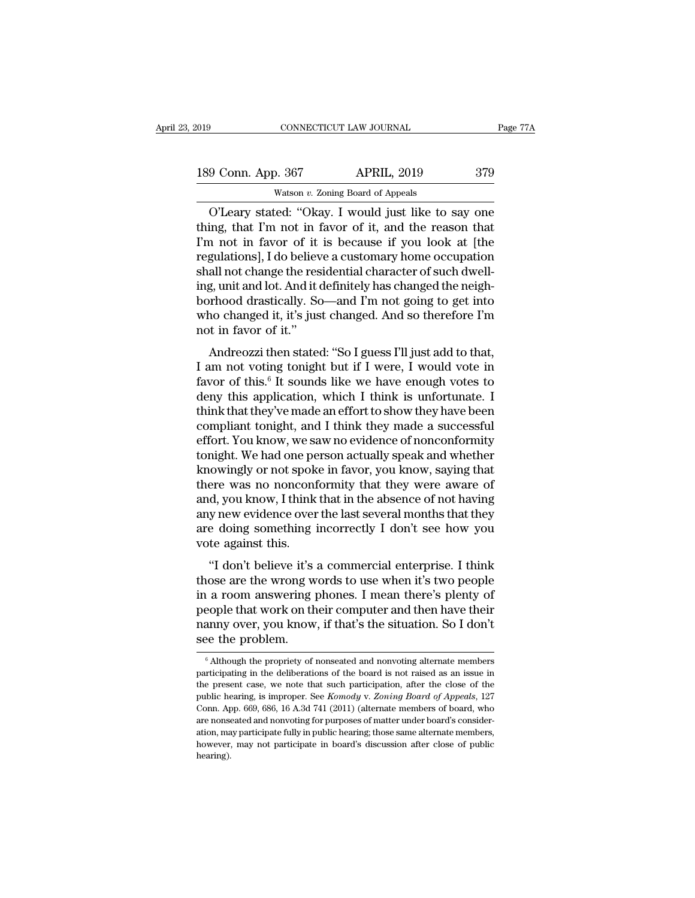| 2019               | CONNECTICUT LAW JOURNAL                                      | Page 77A |
|--------------------|--------------------------------------------------------------|----------|
| 189 Conn. App. 367 | <b>APRIL, 2019</b>                                           | 379      |
|                    | Watson $v$ . Zoning Board of Appeals                         |          |
|                    | $O^{\prime}$ eary stated: "Okay I would just like to say one |          |

CONNECTICUT LAW JOURNAL Page 77A<br>
9 Conn. App. 367 APRIL, 2019 379<br>
Watson v. Zoning Board of Appeals<br>
O'Leary stated: "Okay. I would just like to say one<br>
ing, that I'm not in favor of it, and the reason that 189 Conn. App. 367 APRIL, 2019 379<br>Watson v. Zoning Board of Appeals<br>O'Leary stated: "Okay. I would just like to say one<br>thing, that I'm not in favor of it, and the reason that<br>I'm not in favor of it is because if you look 189 Conn. App. 367 APRIL, 2019 379<br>Watson v. Zoning Board of Appeals<br>O'Leary stated: "Okay. I would just like to say one<br>thing, that I'm not in favor of it, and the reason that<br>I'm not in favor of it is because if you loo 189 Conn. App. 367 APRIL, 2019 379<br>
Watson v. Zoning Board of Appeals<br>
O'Leary stated: "Okay. I would just like to say one<br>
thing, that I'm not in favor of it, and the reason that<br>
I'm not in favor of it is because if you Watson v. Zoning Board of Appeals<br>
O'Leary stated: "Okay. I would just like to say one<br>
thing, that I'm not in favor of it, and the reason that<br>
I'm not in favor of it is because if you look at [the<br>
regulations], I do be watson *v*. Zoning Board of Appeals<br>
O'Leary stated: "Okay. I would just like to say one<br>
thing, that I'm not in favor of it, and the reason that<br>
I'm not in favor of it is because if you look at [the<br>
regulations], I do b O'Leary stated: "Okay. I would just like to say one<br>thing, that I'm not in favor of it, and the reason that<br>I'm not in favor of it is because if you look at [the<br>regulations], I do believe a customary home occupation<br>shall thing, that I'm not in favor of it, and the reason that<br>I'm not in favor of it is because if you look at [the<br>regulations], I do believe a customary home occupation<br>shall not change the residential character of such dwell-I'm not in favor of it<br>regulations], I do believ<br>shall not change the res<br>ing, unit and lot. And it do<br>borhood drastically. Sc<br>who changed it, it's jus<br>not in favor of it."<br>Andreozzi then stated all not change the residential character of such dwell-<br>g, unit and lot. And it definitely has changed the neigh-<br>rhood drastically. So—and I'm not going to get into<br>no changed it, it's just changed. And so therefore I'm<br>t shan not change the residential character of such dwen-<br>ing, unit and lot. And it definitely has changed the neigh-<br>borhood drastically. So—and I'm not going to get into<br>who changed it, it's just changed. And so therefore

mg, unt and fot. And it definitely has enarged the heigh-<br>borhood drastically. So—and I'm not going to get into<br>who changed it, it's just changed. And so therefore I'm<br>not in favor of it."<br>Andreozzi then stated: "So I gues borhood diastically. 50—and 1 in not going to get into<br>who changed it, it's just changed. And so therefore I'm<br>not in favor of it."<br>Andreozzi then stated: "So I guess I'll just add to that,<br>I am not voting tonight but if I who changed it, it's just enarged. And so dieferoid 1 in<br>not in favor of it."<br>Andreozzi then stated: "So I guess I'll just add to that,<br>I am not voting tonight but if I were, I would vote in<br>favor of this.<sup>6</sup> It sounds lik Andreozzi then stated: "So I guess I'll just add to that,<br>I am not voting tonight but if I were, I would vote in<br>favor of this.<sup>6</sup> It sounds like we have enough votes to<br>deny this application, which I think is unfortunate Andreozzi then stated: "So I guess I'll just add to that,<br>I am not voting tonight but if I were, I would vote in<br>favor of this.<sup>6</sup> It sounds like we have enough votes to<br>deny this application, which I think is unfortunate. I am not voting tonight but if I were, I would vote in<br>favor of this.<sup>6</sup> It sounds like we have enough votes to<br>deny this application, which I think is unfortunate. I<br>think that they've made an effort to show they have bee favor of this.<sup>6</sup> It sounds like we have enough votes to<br>deny this application, which I think is unfortunate. I<br>think that they've made an effort to show they have been<br>compliant tonight, and I think they made a successful deny this application, which I think is unfortunate. I<br>think that they've made an effort to show they have been<br>compliant tonight, and I think they made a successful<br>effort. You know, we saw no evidence of nonconformity<br>to think that they've made an effort to show they have been<br>compliant tonight, and I think they made a successful<br>effort. You know, we saw no evidence of nonconformity<br>tonight. We had one person actually speak and whether<br>kno compliant tonight, and I think they made a successful<br>effort. You know, we saw no evidence of nonconformity<br>tonight. We had one person actually speak and whether<br>knowingly or not spoke in favor, you know, saying that<br>there effort. You know, we saw no evidence of nonconformity<br>tonight. We had one person actually speak and whether<br>knowingly or not spoke in favor, you know, saying that<br>there was no nonconformity that they were aware of<br>and, you tonight. We had one pe<br>knowingly or not spok<br>there was no nonconf<br>and, you know, I think<br>any new evidence over<br>are doing something i<br>vote against this.<br>"I don't believe it's Figure 1 and the spoke in favor, you know, saying that<br>
ere was no nonconformity that they were aware of<br>
d, you know, I think that in the absence of not having<br>
y new evidence over the last several months that they<br>
e doi and, you know, I think that in the absence of not having<br>any new evidence over the last several months that they<br>are doing something incorrectly I don't see how you<br>vote against this.<br>"I don't believe it's a commercial ent

and, you know, I think that in the absence of not having<br>any new evidence over the last several months that they<br>are doing something incorrectly I don't see how you<br>vote against this.<br>"I don't believe it's a commercial ent any new evidence over the last several months that they<br>are doing something incorrectly I don't see how you<br>vote against this.<br>"I don't believe it's a commercial enterprise. I think<br>those are the wrong words to use when it are doing solitering incorrectly T don't see now you<br>vote against this.<br>"I don't believe it's a commercial enterprise. I think<br>those are the wrong words to use when it's two people<br>in a room answering phones. I mean there' "I don't believe it's<br>those are the wrong w<br>in a room answering people that work on the<br>nanny over, you know<br>see the problem. For a room answering phones. I mean there's plenty of<br>eople that work on their computer and then have their<br>anny over, you know, if that's the situation. So I don't<br>ee the problem.<br> $\frac{1}{6}$  Although the propriety of nons people that work on their computer and then have their<br>nanny over, you know, if that's the situation. So I don't<br>see the problem.<br><sup>6</sup> Although the propriety of nonseated and nonvoting alternate members<br>participating in the

nanny over, you know, if that's the situation. So I don't<br>see the problem.<br><sup>6</sup> Although the propriety of nonseated and nonvoting alternate members<br>participating in the deliberations of the board is not raised as an issue i public hearing, is improper. See *Komody* v. *Zoning alternate members*<br>and the properties of the board is not raised as an issue in the present case, we note that such participation, after the close of the public hearing, See the problem.<br>  $\bullet$  Although the propriety of nonseated and nonvoting alternate members<br>
participating in the deliberations of the board is not raised as an issue in<br>
the present case, we note that such participation, <sup>6</sup> Although the propriety of nonseated and nonvoting alternate members participating in the deliberations of the board is not raised as an issue in the present case, we note that such participation, after the close of th participating in the deliberations of the board is not raised as an issue in<br>the present case, we note that such participation, after the close of the<br>public hearing, is improper. See *Komody* v. Zoning Board of Appeals, 1 parametrican are we note that such participation, after the close of the public hearing, is improper. See *Komody v. Zoning Board of Appeals*, 127 Conn. App. 669, 686, 16 A.3d 741 (2011) (alternate members of board, who ar hearing).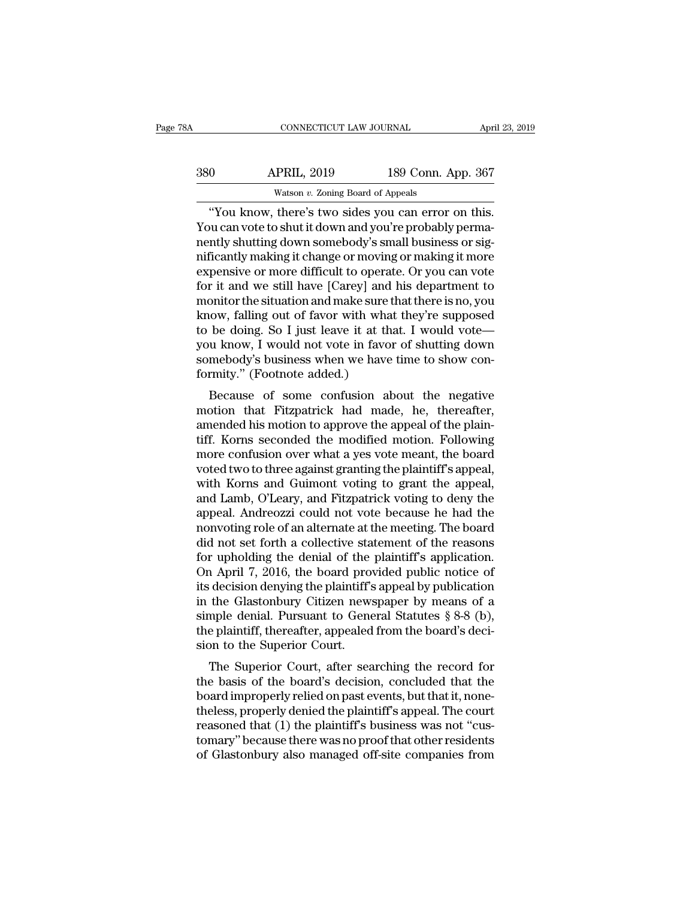| 78A | CONNECTICUT LAW JOURNAL                           |                    | April 23, 2019 |
|-----|---------------------------------------------------|--------------------|----------------|
| 380 | <b>APRIL, 2019</b>                                | 189 Conn. App. 367 |                |
|     | Watson $v$ . Zoning Board of Appeals              |                    |                |
|     | "You know there's two sides you can error on this |                    |                |

CONNECTICUT LAW JOURNAL April 23, 2<br>
O APRIL, 2019 189 Conn. App. 367<br>
Watson v. Zoning Board of Appeals<br>
"You know, there's two sides you can error on this.<br>
Nu can vote to shut it down and you're probably perma-Sam Marketter (1990)<br>
280 APRIL, 2019 189 Conn. App. 367<br>
2018 Watson v. Zoning Board of Appeals<br>
2019 Watson v. Zoning Board of Appeals<br>
2019 Conn. App. 367<br>
2019 Watson v. Zoning Board of Appeals<br>
2019 Connectly perma-<br> 380 APRIL, 2019 189 Conn. App. 367<br>Watson v. Zoning Board of Appeals<br>"You know, there's two sides you can error on this.<br>You can vote to shut it down and you're probably perma-<br>nently shutting down somebody's small busines  $\frac{\text{APRIL, 2019}}{\text{Watson } v. \text{ Zoning Board of Appeals}}$ <br>
"You know, there's two sides you can error on this.<br>
You can vote to shut it down and you're probably perma-<br>
nently shutting down somebody's small business or sig-<br>
nificantly making Watson v. Zoning Board of Appeals<br>
"You know, there's two sides you can error on this.<br>
You can vote to shut it down and you're probably perma-<br>
nently shutting down somebody's small business or sig-<br>
nificantly making it watson  $v$ . Zoning Board of Appeals<br>
"You know, there's two sides you can error on this.<br>
You can vote to shut it down and you're probably perma-<br>
nently shutting down somebody's small business or sig-<br>
nificantly making "You know, there's two sides you can error on this.<br>You can vote to shut it down and you're probably perma-<br>nently shutting down somebody's small business or sig-<br>nificantly making it change or moving or making it more<br>exp You can vote to shut it down and you're probably perma-<br>nently shutting down somebody's small business or sig-<br>nificantly making it change or moving or making it more<br>expensive or more difficult to operate. Or you can vote nently shutting down somebody's small business or significantly making it change or moving or making it more<br>expensive or more difficult to operate. Or you can vote<br>for it and we still have [Carey] and his department to<br>mo mificantly making it change or moving or making it more<br>expensive or more difficult to operate. Or you can vote<br>for it and we still have [Carey] and his department to<br>monitor the situation and make sure that there is no, y expensive or more difficult to operate. Or you can vote<br>for it and we still have [Carey] and his department to<br>monitor the situation and make sure that there is no, you<br>know, falling out of favor with what they're supposed for it and we still have [Carey] and<br>monitor the situation and make sure t<br>know, falling out of favor with wha<br>to be doing. So I just leave it at th<br>you know, I would not vote in favor<br>somebody's business when we have<br>form because of some confusion about the negative view of the negative discussion and increase of some confusion about the negative of shutting down mebody's business when we have time to show contrinty." (Footnote added.)<br>Beca KHOW, Talling Out of Tavor With What they re supposed<br>to be doing. So I just leave it at that. I would vote—<br>you know, I would not vote in favor of shutting down<br>somebody's business when we have time to show con-<br>formity."

to be doing. So I just leave it at that. I would vote—<br>you know, I would not vote in favor of shutting down<br>somebody's business when we have time to show con-<br>formity." (Footnote added.)<br>Because of some confusion about the you know, I would not vote in favor of shutting down<br>somebody's business when we have time to show con-<br>formity." (Footnote added.)<br>Because of some confusion about the negative<br>motion that Fitzpatrick had made, he, thereaf solute outly show that we have the to show conformity." (Footnote added.)<br>Because of some confusion about the negative<br>motion that Fitzpatrick had made, he, thereafter,<br>amended his motion to approve the appeal of the plain Because of some confusion about the negative<br>motion that Fitzpatrick had made, he, thereafter,<br>amended his motion to approve the appeal of the plain-<br>tiff. Korns seconded the modified motion. Following<br>more confusion over Because of some confusion about the negative<br>motion that Fitzpatrick had made, he, thereafter,<br>amended his motion to approve the appeal of the plain-<br>tiff. Korns seconded the modified motion. Following<br>more confusion over motion that Fitzpatrick had made, he, thereafter,<br>amended his motion to approve the appeal of the plain-<br>tiff. Korns seconded the modified motion. Following<br>more confusion over what a yes vote meant, the board<br>voted two to amended his motion to approve the appeal of the plain-<br>tiff. Korns seconded the modified motion. Following<br>more confusion over what a yes vote meant, the board<br>voted two to three against granting the plaintiff's appeal,<br>wi tiff. Korns seconded the modified motion. Following<br>more confusion over what a yes vote meant, the board<br>voted two to three against granting the plaintiff's appeal,<br>with Korns and Guimont voting to grant the appeal,<br>and La more confusion over what a yes vote meant, the board<br>voted two to three against granting the plaintiff's appeal,<br>with Korns and Guimont voting to grant the appeal,<br>and Lamb, O'Leary, and Fitzpatrick voting to deny the<br>appe voted two to three against granting the plaintiff's appeal,<br>with Korns and Guimont voting to grant the appeal,<br>and Lamb, O'Leary, and Fitzpatrick voting to deny the<br>appeal. Andreozzi could not vote because he had the<br>nonvo with Korns and Guimont voting to grant the appeal,<br>and Lamb, O'Leary, and Fitzpatrick voting to deny the<br>appeal. Andreozzi could not vote because he had the<br>nonvoting role of an alternate at the meeting. The board<br>did not and Lamb, O'Leary, and Fitzpatrick voting to deny the<br>appeal. Andreozzi could not vote because he had the<br>nonvoting role of an alternate at the meeting. The board<br>did not set forth a collective statement of the reasons<br>for appeal. Andreozzi could not vote because he had the<br>nonvoting role of an alternate at the meeting. The board<br>did not set forth a collective statement of the reasons<br>for upholding the denial of the plaintiff's application.<br> nonvoting role of an alternate at the meeting. The board<br>did not set forth a collective statement of the reasons<br>for upholding the denial of the plaintiff's application.<br>On April 7, 2016, the board provided public notice o did not set forth a collective statement of the reasons<br>for upholding the denial of the plaintiff's application.<br>On April 7, 2016, the board provided public notice of<br>its decision denying the plaintiff's appeal by publicat for upholding the denial of the<br>On April 7, 2016, the board pro<br>its decision denying the plaintiff's<br>in the Glastonbury Citizen news<br>simple denial. Pursuant to Gene<br>the plaintiff, thereafter, appealed<br>sion to the Superior The Superior Court, after searching the record for<br>education denying the plaintiff's appeal by publication<br>the Glastonbury Citizen newspaper by means of a<br>mple denial. Pursuant to General Statutes  $\S 8-8$  (b),<br>e plaintiff the basis of the basis of the basis of the basis of the basis of the basis of the basis of the basis of the basis of the basis of the basis of the basis of the basis of the basis of the basis of the basis of the basis of t

In the Glastonbury Citizen hewspaper by means of a<br>simple denial. Pursuant to General Statutes § 8-8 (b),<br>the plaintiff, thereafter, appealed from the board's deci-<br>sion to the Superior Court.<br>The Superior Court, after se simple denial. Tursuant to General Statutes  $\S$  0-0 (D),<br>the plaintiff, thereafter, appealed from the board's deci-<br>sion to the Superior Court.<br>The Superior Court, after searching the record for<br>the basis of the board's d reason to the Superior Court.<br>The Superior Court.<br>The Superior Court, after searching the record for<br>the basis of the board's decision, concluded that the<br>board improperly relied on past events, but that it, none-<br>theless, The Superior Court.<br>The Superior Court, after searching the record for<br>the basis of the board's decision, concluded that the<br>board improperly relied on past events, but that it, none-<br>theless, properly denied the plaintiff The Superior Court, after searching the record for<br>the basis of the board's decision, concluded that the<br>board improperly relied on past events, but that it, none-<br>theless, properly denied the plaintiff's appeal. The court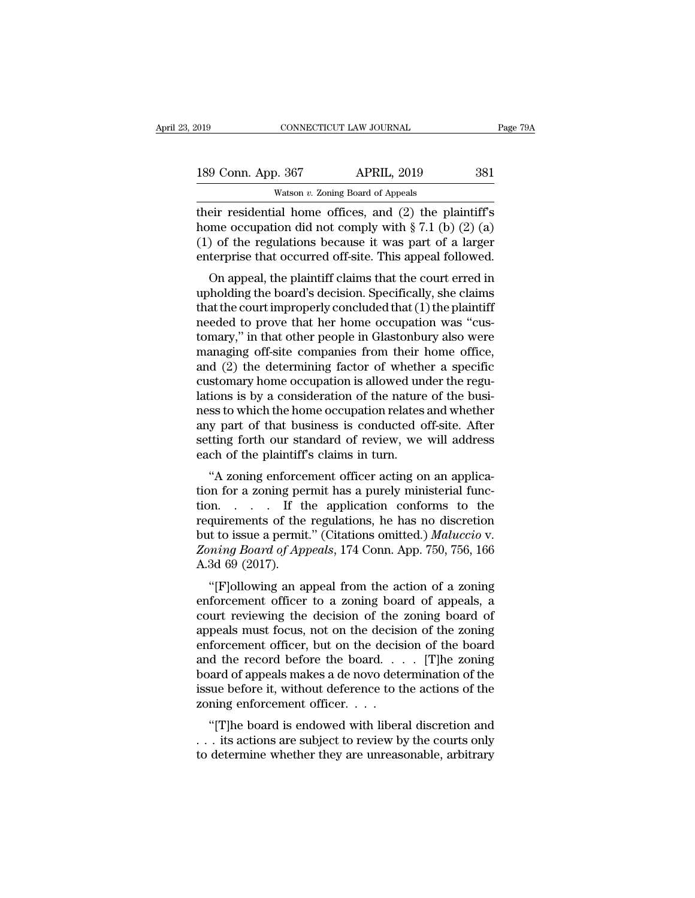| 019 |                    | CONNECTICUT LAW JOURNAL                                  | Page 79A |
|-----|--------------------|----------------------------------------------------------|----------|
|     | 189 Conn. App. 367 | <b>APRIL, 2019</b>                                       | 381      |
|     |                    | Watson $v$ . Zoning Board of Appeals                     |          |
|     |                    | their residential home offices and $(2)$ the plaintiff's |          |

Their connection of the residential home of the residential home of the residential home of the plaintiff's<br>their residential home offices, and (2) the plaintiff's<br>thome occupation did not comply with § 7.1 (b) (2) (a)<br>(1) 189 Conn. App. 367 APRIL, 2019 381<br>Watson v. Zoning Board of Appeals<br>their residential home offices, and (2) the plaintiff's<br>home occupation did not comply with § 7.1 (b) (2) (a)<br>(1) of the regulations because it was part 189 Conn. App. 367 APRIL, 2019 381<br>Watson v. Zoning Board of Appeals<br>their residential home offices, and (2) the plaintiff's<br>home occupation did not comply with § 7.1 (b) (2) (a)<br>(1) of the regulations because it was part 189 Conn. App. 367 APRIL, 2019 381<br>Watson v. Zoning Board of Appeals<br>their residential home offices, and (2) the plaintiff's<br>home occupation did not comply with  $\S 7.1$  (b) (2) (a)<br>(1) of the regulations because it was pa Watson v. Zoning Board of Appeals<br>
eir residential home offices, and (2) the plaintiff's<br>
one occupation did not comply with  $\S 7.1$  (b) (2) (a)<br>
of the regulations because it was part of a larger<br>
terprise that occurred their residential home offices, and (2) the plaintiff's<br>home occupation did not comply with § 7.1 (b) (2) (a)<br>(1) of the regulations because it was part of a larger<br>enterprise that occurred off-site. This appeal followed.

then restoendar holde offices, and  $(2)$  the plaintiff s<br>home occupation did not comply with § 7.1 (b) (2) (a)<br>(1) of the regulations because it was part of a larger<br>enterprise that occurred off-site. This appeal followed nonie occupation du not comply with  $\S$   $i$ . I (b) (2) (a) (1) of the regulations because it was part of a larger enterprise that occurred off-site. This appeal followed.<br>On appeal, the plaintiff claims that the court err (1) of the regulations because it was part of a larger<br>enterprise that occurred off-site. This appeal followed.<br>On appeal, the plaintiff claims that the court erred in<br>upholding the board's decision. Specifically, she cla enterprise that occurred on-site. This appear followed.<br>
On appeal, the plaintiff claims that the court erred in<br>
upholding the board's decision. Specifically, she claims<br>
that the court improperly concluded that (1) the p On appeal, the plaintiff claims that the court erred in<br>upholding the board's decision. Specifically, she claims<br>that the court improperly concluded that (1) the plaintiff<br>needed to prove that her home occupation was "cusupholding the board's decision. Specifically, she claims<br>that the court improperly concluded that (1) the plaintiff<br>needed to prove that her home occupation was "cus-<br>tomary," in that other people in Glastonbury also were<br> that the court improperly concluded that (1) the plaintiff<br>needed to prove that her home occupation was "cus-<br>tomary," in that other people in Glastonbury also were<br>managing off-site companies from their home office,<br>and ( needed to prove that her home occupation was "cus-<br>tomary," in that other people in Glastonbury also were<br>managing off-site companies from their home office,<br>and (2) the determining factor of whether a specific<br>customary h tomary," in that other people in Glastonbury also were<br>managing off-site companies from their home office,<br>and (2) the determining factor of whether a specific<br>customary home occupation is allowed under the regu-<br>lations i managing off-site companies from their home office,<br>and (2) the determining factor of whether a specific<br>customary home occupation is allowed under the regu-<br>lations is by a consideration of the nature of the busi-<br>ness to and (2) the determining factor of wheth<br>customary home occupation is allowed un<br>lations is by a consideration of the nature<br>ness to which the home occupation relates<br>any part of that business is conducted c<br>setting forth o Subidary home occupation is ahowed under the regu-<br>
sions is by a consideration of the nature of the busi-<br>
sis to which the home occupation relates and whether<br>
y part of that business is conducted off-site. After<br>
tting trations is by a consideration of the haddle of the business to which the home occupation relates and whether<br>any part of that business is conducted off-site. After<br>setting forth our standard of review, we will address<br>eac

the application of that business is conducted off-site. After<br>setting forth our standard of review, we will address<br>each of the plaintiff's claims in turn.<br>"A zoning enforcement officer acting on an applica-<br>tion for a zon any part of that business is conducted on-site. After<br>setting forth our standard of review, we will address<br>each of the plaintiff's claims in turn.<br>"A zoning enforcement officer acting on an applica-<br>tion for a zoning per setting forth our standard of feview, we win address<br>each of the plaintiff's claims in turn.<br>"A zoning enforcement officer acting on an applica-<br>tion for a zoning permit has a purely ministerial func-<br>tion.... If the appli each of the plantifful schains in turn.<br>
"A zoning enforcement officer acting on an application for a zoning permit has a purely ministerial function.<br>
... If the application conforms to the requirements of the regulations "A zoning enforce<br>tion for a zoning per<br>tion...... If the<br>requirements of the<br>but to issue a permit<br>Zoning Board of App<br>A.3d 69 (2017).<br>"[F]ollowing an app on..... If the application conforms to the<br>quirements of the regulations, he has no discretion<br>t to issue a permit." (Citations omitted.) *Maluccio* v.<br>*ming Board of Appeals*, 174 Conn. App. 750, 756, 166<br>3d 69 (2017).<br>" Framewold and the regulations, he has no discretion<br>but to issue a permit." (Citations omitted.) *Maluccio v.*<br>*Zoning Board of Appeals*, 174 Conn. App. 750, 756, 166<br>A.3d 69 (2017).<br>"[F]ollowing an appeal from the action

requirements of the regulations, he has no discretion<br>but to issue a permit." (Citations omitted.) *Maluccio* v.<br>Zoning Board of Appeals, 174 Conn. App. 750, 756, 166<br>A.3d 69 (2017).<br>"[F]ollowing an appeal from the action but to issue a permit. (Chations ontitied.) Matactico v.<br> *Zoning Board of Appeals*, 174 Conn. App. 750, 756, 166<br>
A.3d 69 (2017).<br>
"[F]ollowing an appeal from the action of a zoning<br>
enforcement officer to a zoning board Example board of Appears, 174 Coluit App. 750, 750, 100<br>A.3d 69 (2017).<br>"[F]ollowing an appeal from the action of a zoning<br>enforcement officer to a zoning board of appeals, a<br>court reviewing the decision of the zoning boa A.5d 09 (2017).<br>
"[F]ollowing an appeal from the action of a zoning<br>
enforcement officer to a zoning board of appeals, a<br>
court reviewing the decision of the zoning board of<br>
appeals must focus, not on the decision of the "[F]ollowing an appeal from the action of a zoning<br>enforcement officer to a zoning board of appeals, a<br>court reviewing the decision of the zoning board of<br>appeals must focus, not on the decision of the zoning<br>enforcement enforcement officer to a zoning board of appeals, a<br>court reviewing the decision of the zoning board of<br>appeals must focus, not on the decision of the zoning<br>enforcement officer, but on the decision of the board<br>and the r court reviewing the decision of the<br>appeals must focus, not on the decisi<br>enforcement officer, but on the decisi<br>and the record before the board...<br>board of appeals makes a de novo dete<br>issue before it, without deference t pears must focus, not on the decision of the zoning<br>forcement officer, but on the decision of the board<br>d the record before the board.... [T]he zoning<br>aard of appeals makes a de novo determination of the<br>sue before it, wi enforcement officer, but off the decision of the board<br>and the record before the board.... [T]he zoning<br>board of appeals makes a de novo determination of the<br>issue before it, without deference to the actions of the<br>zoning and the record before the board.  $\cdot \cdot \cdot$  [T]he zoning<br>board of appeals makes a de novo determination of the<br>issue before it, without deference to the actions of the<br>zoning enforcement officer.  $\cdot \cdot \cdot$ <br>"[T]he board is en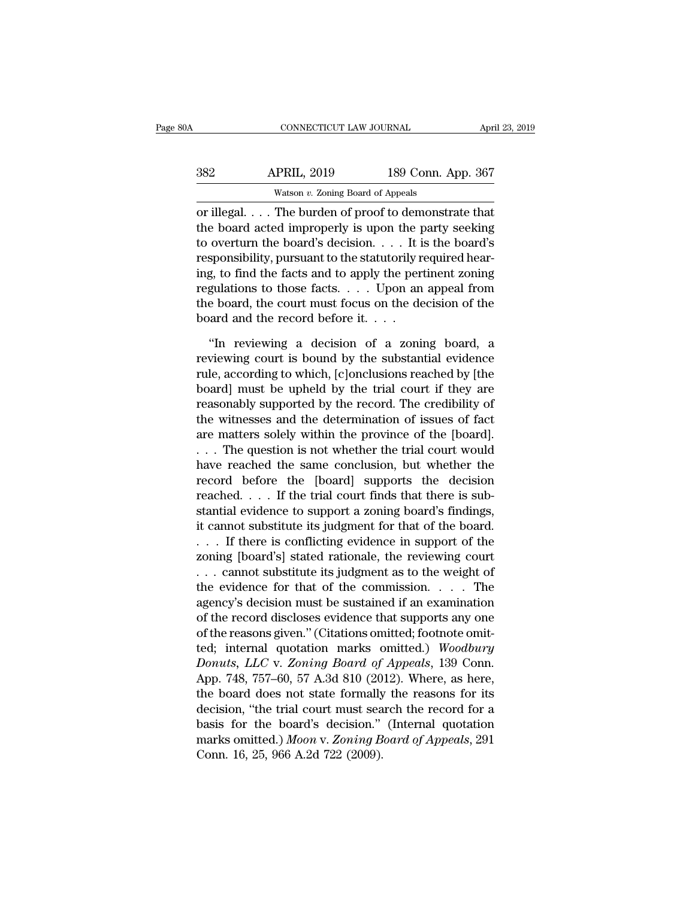| 30A        | CONNECTICUT LAW JOURNAL                 |                    | April 23, 2019 |
|------------|-----------------------------------------|--------------------|----------------|
| 382        | <b>APRIL, 2019</b>                      | 189 Conn. App. 367 |                |
|            | Watson $v$ . Zoning Board of Appeals    |                    |                |
| or illegal | The burden of proof to demonstrate that |                    |                |

CONNECTICUT LAW JOURNAL April 23, 2019<br>
382 APRIL, 2019 189 Conn. App. 367<br>
2019 189 Conn. App. 367<br>
2019 189 Conn. App. 367<br>
2019 189 Conn. App. 367<br>
2019 189 Conn. App. 367<br>
2019 189 Conn. App. 367<br>
2019 189 Conn. App. 3  $\begin{tabular}{ll} \multicolumn{1}{l}{{\bf APRIL, 2019}} & {\bf 189 Conn. App. 367}\\ \hline \multicolumn{1}{l}{\text{Watson } v. Zoning Board of Appeals} \end{tabular}$  or illegal. . . . The burden of proof to demonstrate that the board acted improperly is upon the party seeking to overturn the board's dec  $\begin{array}{r} \text{382} \text{ } \text{APRIL, 2019} \text{} \text{189 Conn. App. 367} \ \hline \text{Watson } v. \text{ Zoning Board of Appeals} \ \hline \text{or illegal.} \text{ } \text{...} \text{ The burden of proof to demonstrate that} \ \hline \text{the board acted importantly is upon the party seeking} \ \hline \text{to overturn the board's decision.} \text{...} \text{. It is the board's responsibility, pursuit to the statutorily required hearing} \ \hline \text{and the fact and to only the pertinent going.} \end{array}$  $\begin{array}{lll}\n & \text{APRIL, 2019} & \text{189 Conn. App. 367}\n\hline\n & \text{Watson } v. \text{ Zoning Board of Appeals}\n\hline\n\text{or illegal. . . . The burden of proof to demonstrate that the board acted importantly is upon the party seeking to overturn the board's decision. . . . It is the board's responsibility, pursuit to the statutorily required hearing, to find the facts and to apply the pertinent zoning, no general from the image of a class. \end{array}$ Watson v. Zoning Board of Appeals<br>
or illegal.... The burden of proof to demonstrate that<br>
the board acted improperly is upon the party seeking<br>
to overturn the board's decision.... It is the board's<br>
responsibility, purs was on  $v$ . Zoning board of appears<br>or illegal.... The burden of proof to demonstrate that<br>the board acted improperly is upon the party seeking<br>to overturn the board's decision.... It is the board's<br>responsibility, pursua or illegal. . . . The burden of proof to demonstrate that<br>the board acted improperly is upon the party seeking<br>to overturn the board's decision. . . . It is the board's<br>responsibility, pursuant to the statutorily required the board acted improperly is upon the p<br>to overturn the board's decision. . . . It is<br>responsibility, pursuant to the statutorily r<br>ing, to find the facts and to apply the perregulations to those facts. . . . Upon an<br>the sponsibility, pursuant to the statutorily required hearght<br>
gulations to those facts and to apply the pertinent zoning<br>
gulations to those facts.  $\dots$  Upon an appeal from<br>
e board, the court must focus on the decision of ing, to find the facts and to apply the pertinent zoning<br>regulations to those facts. . . . . Upon an appeal from<br>the board, the court must focus on the decision of the<br>board and the record before it. . . .<br>"In reviewing a

regulations to those facts. . . . Upon an appeal from<br>the board, the court must focus on the decision of the<br>board and the record before it. . . .<br>"In reviewing a decision of a zoning board, a<br>reviewing court is bound by the board, the court must focus on the decision of the board and the record before it.  $\dots$ <br>"In reviewing a decision of a zoning board, a reviewing court is bound by the substantial evidence rule, according to which, [c]o board and the record before it.  $\ldots$ <br>
"In reviewing a decision of a zoning board, a<br>
reviewing court is bound by the substantial evidence<br>
rule, according to which, [c]onclusions reached by [the<br>
board] must be upheld by "In reviewing a decision of a zoning board, a<br>reviewing court is bound by the substantial evidence<br>rule, according to which, [c]onclusions reached by [the<br>board] must be upheld by the trial court if they are<br>reasonably su "In reviewing a decision of a zoning board, a<br>reviewing court is bound by the substantial evidence<br>rule, according to which, [c]onclusions reached by [the<br>board] must be upheld by the trial court if they are<br>reasonably su reviewing court is bound by the substantial evidence<br>rule, according to which, [c]onclusions reached by [the<br>board] must be upheld by the trial court if they are<br>reasonably supported by the record. The credibility of<br>the w rule, according to which, [c]onclusions reached by [the<br>board] must be upheld by the trial court if they are<br>reasonably supported by the record. The credibility of<br>the witnesses and the determination of issues of fact<br>are board] must be upheld by the trial court if they are<br>reasonably supported by the record. The credibility of<br>the witnesses and the determination of issues of fact<br>are matters solely within the province of the [board].<br> $\dots$ reasonably supported by the record. The credibility of<br>the witnesses and the determination of issues of fact<br>are matters solely within the province of the [board].<br>. . . The question is not whether the trial court would<br>h the witnesses and the determination of issues of fact<br>are matters solely within the province of the [board].<br>... The question is not whether the trial court would<br>have reached the same conclusion, but whether the<br>record b are matters solely within the province of the [board].<br>
... The question is not whether the trial court would<br>
have reached the same conclusion, but whether the<br>
record before the [board] supports the decision<br>
reached.... . . . The question is not whether the trial court would<br>have reached the same conclusion, but whether the<br>record before the [board] supports the decision<br>reached. . . . If the trial court finds that there is sub-<br>stantial have reached the same conclusion, but whether the<br>record before the [board] supports the decision<br>reached.... If the trial court finds that there is sub-<br>stantial evidence to support a zoning board's findings,<br>it cannot s record before the [board] supports the decision<br>reached.... If the trial court finds that there is sub-<br>stantial evidence to support a zoning board's findings,<br>it cannot substitute its judgment for that of the board.<br>... reached. . . . . If the trial court finds that there is substantial evidence to support a zoning board's findings, it cannot substitute its judgment for that of the board. . . . If there is conflicting evidence in support stantial evidence to support a zoning board's findings,<br>it cannot substitute its judgment for that of the board.<br>. . . If there is conflicting evidence in support of the<br>zoning [board's] stated rationale, the reviewing co it cannot substitute its judgment for that of the board.<br>  $\ldots$  If there is conflicting evidence in support of the<br>
zoning [board's] stated rationale, the reviewing court<br>  $\ldots$  cannot substitute its judgment as to the we ... If there is conflicting evidence in support of the zoning [board's] stated rationale, the reviewing court ... cannot substitute its judgment as to the weight of the evidence for that of the commission.... The agency's zoning [board's] stated rationale, the reviewing court<br>  $\ldots$  cannot substitute its judgment as to the weight of<br>
the evidence for that of the commission.  $\ldots$  The<br>
agency's decision must be sustained if an examination<br> *Donuts, Carrow and Substitute its judgment as to the weight of*<br>the evidence for that of the commission. . . . . The<br>agency's decision must be sustained if an examination<br>of the record discloses evidence that supports any the evidence for that of the commission. . . . . The<br>agency's decision must be sustained if an examination<br>of the record discloses evidence that supports any one<br>of the reasons given." (Citations omitted; footnote omit-<br>t agency's decision must be sustained if an examination<br>of the record discloses evidence that supports any one<br>of the reasons given." (Citations omitted; footnote omit-<br>ted; internal quotation marks omitted.) Woodbury<br>Donuts of the record discloses evidence that supports any one<br>of the reasons given." (Citations omitted; footnote omit-<br>ted; internal quotation marks omitted.) Woodbury<br>Donuts, LLC v. Zoning Board of Appeals, 139 Conn.<br>App. 748, of the reasons given." (Citations omitted; footnote omit-<br>ted; internal quotation marks omitted.) *Woodbury*<br>Donuts, LLC v. Zoning Board of Appeals, 139 Conn.<br>App. 748, 757–60, 57 A.3d 810 (2012). Where, as here,<br>the board ted; internal quotation marks omitted.) *Woodbury*<br>Donuts, LLC v. Zoning Board of Appeals, 139 Conn.<br>App. 748, 757–60, 57 A.3d 810 (2012). Where, as here,<br>the board does not state formally the reasons for its<br>decision, "th Donuts, LLC v. Zoning Board of<br>App. 748, 757–60, 57 A.3d 810 (20<br>the board does not state formally<br>decision, "the trial court must sea<br>basis for the board's decision."<br>marks omitted.) Moon v. Zoning B<br>Conn. 16, 25, 966 A.2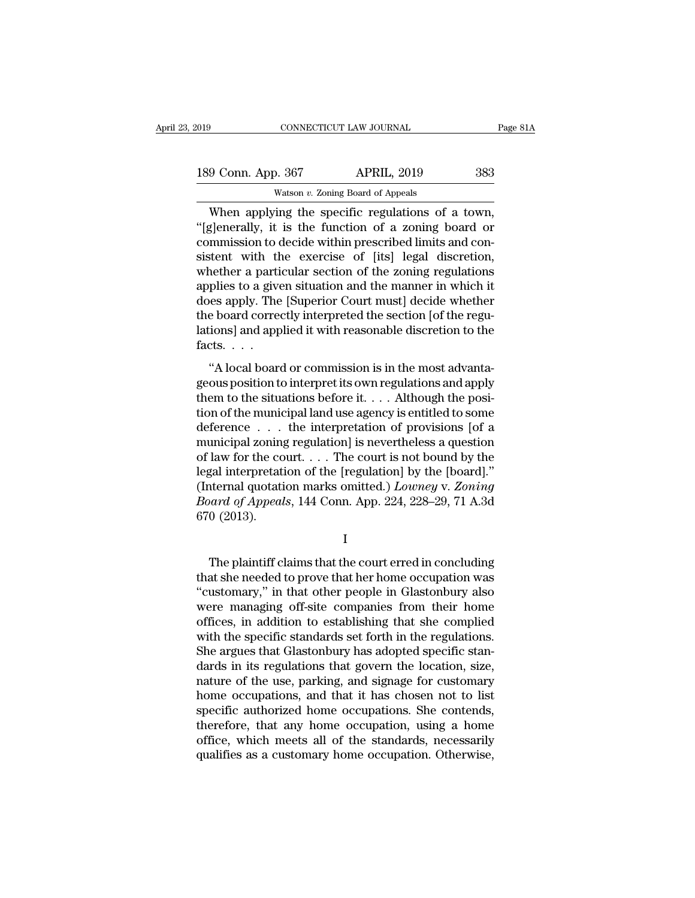| 019                | CONNECTICUT LAW JOURNAL                          | Page 81A |
|--------------------|--------------------------------------------------|----------|
| 189 Conn. App. 367 | <b>APRIL, 2019</b>                               | 383      |
|                    | Watson $v$ . Zoning Board of Appeals             |          |
|                    | When applying the specific regulations of a town |          |

 $\frac{1}{9}$  CONNECTICUT LAW JOURNAL Page 8<br>  $\frac{9}{100}$  Conn. App. 367 APRIL, 2019 383<br>
Watson v. Zoning Board of Appeals<br>
When applying the specific regulations of a town,<br>
Elenerally, it is the function of a zoning board 189 Conn. App. 367 APRIL, 2019 383<br>Watson v. Zoning Board of Appeals<br>When applying the specific regulations of a town,<br>"[g]enerally, it is the function of a zoning board or<br>commission to decide within prescribed limits and 189 Conn. App. 367 APRIL, 2019 383<br>Watson v. Zoning Board of Appeals<br>When applying the specific regulations of a town,<br>"[g]enerally, it is the function of a zoning board or<br>commission to decide within prescribed limits an 189 Conn. App. 367 APRIL, 2019 383<br>
Watson v. Zoning Board of Appeals<br>
When applying the specific regulations of a town,<br>
"[g]enerally, it is the function of a zoning board or<br>
commission to decide within prescribed limit Watson v. Zoning Board of Appeals<br>When applying the specific regulations of a town,<br>"[g]enerally, it is the function of a zoning board or<br>commission to decide within prescribed limits and con-<br>sistent with the exercise of Watson v. Zoning Board of Appeals<br>
When applying the specific regulations of a town,<br>
"[g]enerally, it is the function of a zoning board or<br>
commission to decide within prescribed limits and con-<br>
sistent with the exercis When applying the specific regulations of a town,<br>"[g]enerally, it is the function of a zoning board or<br>commission to decide within prescribed limits and con-<br>sistent with the exercise of [its] legal discretion,<br>whether a "[g]enerally, it is the function of a zoning board or commission to decide within prescribed limits and consistent with the exercise of [its] legal discretion, whether a particular section of the zoning regulations applies commission to decide within prescribed limits and consistent with the exercise of [its] legal discretion, whether a particular section of the zoning regulations applies to a given situation and the manner in which it does sistent with the<br>whether a parti<br>applies to a give<br>does apply. The<br>the board correct<br>lations] and app<br>facts. . . . .<br>"A local boare France a particular section of the zoning regulations<br>plies to a given situation and the manner in which it<br>less apply. The [Superior Court must] decide whether<br>e board correctly interpreted the section [of the regu-<br>ions] dephase to a given statution that the mathem in which is<br>does apply. The [Superior Court must] decide whether<br>the board correctly interpreted the section [of the regulations] and applied it with reasonable discretion to th

the board correctly interpreted the section [of the regulations] and applied it with reasonable discretion to the facts.<br>
"A local board or commission is in the most advantageous position to interpret its own regulations Lations] and applied it with reasonable discretion to the<br>facts.  $\dots$ <br>"A local board or commission is in the most advanta-<br>geous position to interpret its own regulations and apply<br>them to the situations before it.  $\dots$  A defacts. . . .<br>
"A local board or commission is in the most advantageous position to interpret its own regulations and apply<br>
them to the situations before it. . . . Although the posi-<br>
tion of the municipal land use agen "A local board or commission is in the most advantageous position to interpret its own regulations and apply<br>them to the situations before it.... Although the posi-<br>tion of the municipal land use agency is entitled to som "A local board or commission is in the most advantageous position to interpret its own regulations and apply<br>them to the situations before it. . . . Although the posi-<br>tion of the municipal land use agency is entitled to geous position to interpret its own regulations and apply<br>them to the situations before it. . . . Although the posi-<br>tion of the municipal land use agency is entitled to some<br>deference . . . the interpretation of provisio them to the situations before it.  $\ldots$  Although the position of the municipal land use agency is entitled to some deference  $\ldots$  the interpretation of provisions [of a municipal zoning regulation] is nevertheless a ques tion of the municipal land use agency is entitled to some deference . . . . the interpretation of provisions [of a municipal zoning regulation] is nevertheless a question of law for the court. . . . The court is not bound deference<br>municipal zoning<br>of law for the co<br>legal interpretati<br>(Internal quotati<br>Board of Appeal<br>670 (2013). gal interpretation of the [regulation] by the [board]."<br>
iternal quotation marks omitted.)  $Lower$  v.  $Zoning$ <br>  $\text{and } \text{of } \text{Appeals}, \text{ 144 } \text{Conn.}$  App. 224, 228–29, 71 A.3d<br>  $0$  (2013).<br>
I<br>
The plaintiff claims that the court erre

I

(Internal quotation marks omitted.) *Lowney* v. Zoning<br> *Board of Appeals*, 144 Conn. App. 224, 228–29, 71 A.3d<br>
670 (2013).<br>
I<br>
The plaintiff claims that the court erred in concluding<br>
that she needed to prove that her h Board of Appeals, 144 Conn. App. 224, 228–29, 71 A.3d<br>670 (2013).<br>I<br>The plaintiff claims that the court erred in concluding<br>that she needed to prove that her home occupation was<br>"customary," in that other people in Glaston  $\footnotesize$  The plaintiff claims that the court erred in concluding<br>that she needed to prove that her home occupation was<br>"customary," in that other people in Glastonbury also<br>were managing off-site companies from their home<br>o I<br>
I<br>
The plaintiff claims that the court erred in concluding<br>
that she needed to prove that her home occupation was<br>
"customary," in that other people in Glastonbury also<br>
were managing off-site companies from their home<br> The plaintiff claims that the court erred in concluding<br>that she needed to prove that her home occupation was<br>"customary," in that other people in Glastonbury also<br>were managing off-site companies from their home<br>offices, The plaintiff claims that the court erred in concluding<br>that she needed to prove that her home occupation was<br>"customary," in that other people in Glastonbury also<br>were managing off-site companies from their home<br>offices, that she needed to prove that her home occupation was<br>"customary," in that other people in Glastonbury also<br>were managing off-site companies from their home<br>offices, in addition to establishing that she complied<br>with the s "customary," in that other people in Glastonbury also<br>were managing off-site companies from their home<br>offices, in addition to establishing that she complied<br>with the specific standards set forth in the regulations.<br>She ar were managing off-site companies from their home<br>offices, in addition to establishing that she complied<br>with the specific standards set forth in the regulations.<br>She argues that Glastonbury has adopted specific stan-<br>dards offices, in addition to establishing that she complied<br>with the specific standards set forth in the regulations.<br>She argues that Glastonbury has adopted specific stan-<br>dards in its regulations that govern the location, siz with the specific standards set forth in the regulations.<br>She argues that Glastonbury has adopted specific standards in its regulations that govern the location, size,<br>nature of the use, parking, and signage for customary<br> She argues that Glastonbury has adopted specific stan-<br>dards in its regulations that govern the location, size,<br>nature of the use, parking, and signage for customary<br>home occupations, and that it has chosen not to list<br>spe dards in its regulations that govern the location, size, nature of the use, parking, and signage for customary<br>home occupations, and that it has chosen not to list<br>specific authorized home occupations. She contends,<br>theref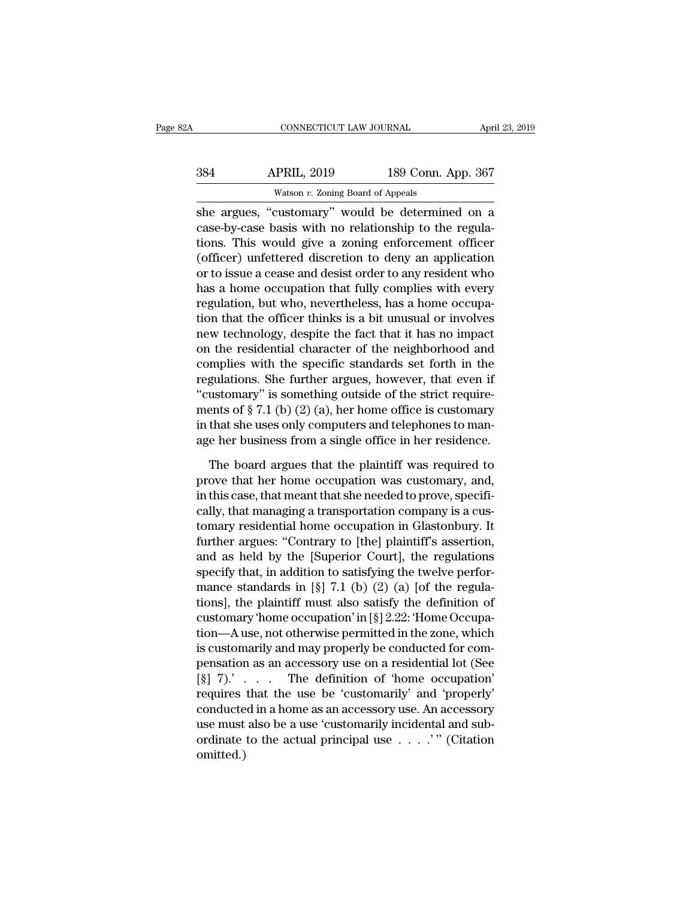| 32A | CONNECTICUT LAW JOURNAL                          |                    | April 23, 2019 |
|-----|--------------------------------------------------|--------------------|----------------|
| 384 | <b>APRIL, 2019</b>                               | 189 Conn. App. 367 |                |
|     | Watson $v$ . Zoning Board of Appeals             |                    |                |
|     | she argues, "customary" would be determined on a |                    |                |

CONNECTICUT LAW JOURNAL April 23, 2019<br>
384 APRIL, 2019 189 Conn. App. 367<br>
384 Watson v. Zoning Board of Appeals<br>
39 Conn. App. 367<br>
39 Conn. App. 367<br>
39 Conn. App. 367<br>
39 Conn. App. 367<br>
39 Conn. App. 367<br>
39 Conn. App SB4 APRIL, 2019 189 Conn. App. 367<br>Watson v. Zoning Board of Appeals<br>She argues, "customary" would be determined on a<br>case-by-case basis with no relationship to the regula-<br>tions. This would give a zoning enforcement offic  $189$  Conn. App. 367<br>Watson v. Zoning Board of Appeals<br>She argues, "customary" would be determined on a<br>case-by-case basis with no relationship to the regula-<br>tions. This would give a zoning enforcement officer<br>(officer)  $\frac{\text{APRIL, 2019}}{\text{Watson } v. \text{ Zoning Board of Appeals}}$ <br>
She argues, "customary" would be determined on a<br>
case-by-case basis with no relationship to the regula-<br>
tions. This would give a zoning enforcement officer<br>
(officer) unfettered dis Watson v. Zoning Board of Appeals<br>
she argues, "customary" would be determined on a<br>
case-by-case basis with no relationship to the regula-<br>
tions. This would give a zoning enforcement officer<br>
(officer) unfettered discre was on  $\ell$ . Zoning board of Appeas<br>
she argues, "customary" would be determined on a<br>
case-by-case basis with no relationship to the regula-<br>
tions. This would give a zoning enforcement officer<br>
(officer) unfettered disc she argues, "customary" would be determined on a<br>case-by-case basis with no relationship to the regula-<br>tions. This would give a zoning enforcement officer<br>(officer) unfettered discretion to deny an application<br>or to issue case-by-case basis with no relationship to the regulations. This would give a zoning enforcement officer (officer) unfettered discretion to deny an application or to issue a cease and desist order to any resident who has a tions. This would give a zoning enforcement officer<br>(officer) unfettered discretion to deny an application<br>or to issue a cease and desist order to any resident who<br>has a home occupation that fully complies with every<br>regul (officer) unfettered discretion to deny an application<br>or to issue a cease and desist order to any resident who<br>has a home occupation that fully complies with every<br>regulation, but who, nevertheless, has a home occupa-<br>tio or to issue a cease and desist order to any resident who<br>has a home occupation that fully complies with every<br>regulation, but who, nevertheless, has a home occupa-<br>tion that the officer thinks is a bit unusual or involves<br> has a home occupation that fully complies with every<br>regulation, but who, nevertheless, has a home occupa-<br>tion that the officer thinks is a bit unusual or involves<br>new technology, despite the fact that it has no impact<br>o regulation, but who, nevertheless, has a home occupation that the officer thinks is a bit unusual or involves<br>new technology, despite the fact that it has no impact<br>on the residential character of the neighborhood and<br>comp tion that the officer thinks is a bit unusual or involves<br>new technology, despite the fact that it has no impact<br>on the residential character of the neighborhood and<br>complies with the specific standards set forth in the<br>r new technology, despite the fact that it has no impact<br>on the residential character of the neighborhood and<br>complies with the specific standards set forth in the<br>regulations. She further argues, however, that even if<br>"cust on the residential character of the neighborhood and<br>complies with the specific standards set forth in the<br>regulations. She further argues, however, that even if<br>"customary" is something outside of the strict require-<br>men gulations. She further argues, however, that even if<br>ustomary" is something outside of the strict require-<br>ents of  $\S 7.1$  (b) (2) (a), her home office is customary<br>that she uses only computers and telephones to man-<br>e he "customary" is something outside of the strict require-<br>ments of  $\S 7.1$  (b) (2) (a), her home office is customary<br>in that she uses only computers and telephones to man-<br>age her business from a single office in her reside

ments of  $\S 7.1$  (b) (2) (a), her home office is customary<br>in that she uses only computers and telephones to man-<br>age her business from a single office in her residence.<br>The board argues that the plaintiff was required to in that she uses only computers and telephones to manage her business from a single office in her residence.<br>The board argues that the plaintiff was required to<br>prove that her home occupation was customary, and,<br>in this ca age her business from a single office in her residence.<br>The board argues that the plaintiff was required to<br>prove that her home occupation was customary, and,<br>in this case, that meant that she needed to prove, specifi-<br>cal The board argues that the plaintiff was required to<br>prove that her home occupation was customary, and,<br>in this case, that meant that she needed to prove, specifi-<br>cally, that managing a transportation company is a cus-<br>tom The board argues that the plaintiff was required to<br>prove that her home occupation was customary, and,<br>in this case, that meant that she needed to prove, specifi-<br>cally, that managing a transportation company is a cus-<br>to prove that her home occupation was customary, and,<br>in this case, that meant that she needed to prove, specifi-<br>cally, that managing a transportation company is a cus-<br>tomary residential home occupation in Glastonbury. It<br>f in this case, that meant that she needed to prove, specifically, that managing a transportation company is a customary residential home occupation in Glastonbury. It further argues: "Contrary to [the] plaintiff's assertio cally, that managing a transportation company is a cus-<br>tomary residential home occupation in Glastonbury. It<br>further argues: "Contrary to [the] plaintiff's assertion,<br>and as held by the [Superior Court], the regulations<br> tomary residential home occupation in Glastonbury. It<br>further argues: "Contrary to [the] plaintiff's assertion,<br>and as held by the [Superior Court], the regulations<br>specify that, in addition to satisfying the twelve perfor further argues: "Contrary to [the] plaintiff's assertion,<br>and as held by the [Superior Court], the regulations<br>specify that, in addition to satisfying the twelve perfor-<br>mance standards in [§] 7.1 (b) (2) (a) [of the regu and as held by the [Superior Court], the regulations<br>specify that, in addition to satisfying the twelve perfor-<br>mance standards in [§] 7.1 (b) (2) (a) [of the regula-<br>tions], the plaintiff must also satisfy the definition specify that, in addition to satisfying the twelve perfor-<br>mance standards in [§] 7.1 (b) (2) (a) [of the regula-<br>tions], the plaintiff must also satisfy the definition of<br>customary 'home occupation' in [§] 2.22: 'Home Oc mance standards in [§] 7.1 (b) (2) (a) [of the regulations], the plaintiff must also satisfy the definition of customary 'home occupation' in [§] 2.22: 'Home Occupation—A use, not otherwise permitted in the zone, which is tions], the plaintiff must also satisfy the definition of<br>customary 'home occupation' in [§] 2.22: 'Home Occupa-<br>tion—A use, not otherwise permitted in the zone, which<br>is customarily and may properly be conducted for comcustomary 'home occupation' in  $[\S] 2.22$ : 'Home Occupation—A use, not otherwise permitted in the zone, which<br>is customarily and may properly be conducted for com-<br>pensation as an accessory use on a residential lot (See<br>tion—A use, not otherwise permitted in the zone, which<br>is customarily and may properly be conducted for com-<br>pensation as an accessory use on a residential lot (See<br>[§] 7).' . . . . The definition of 'home occupation'<br>req is customarily and may properly be conducted for compensation as an accessory use on a residential lot (See  $[\S]$  7).' . . . The definition of 'home occupation' requires that the use be 'customarily' and 'properly' conduc omitted.)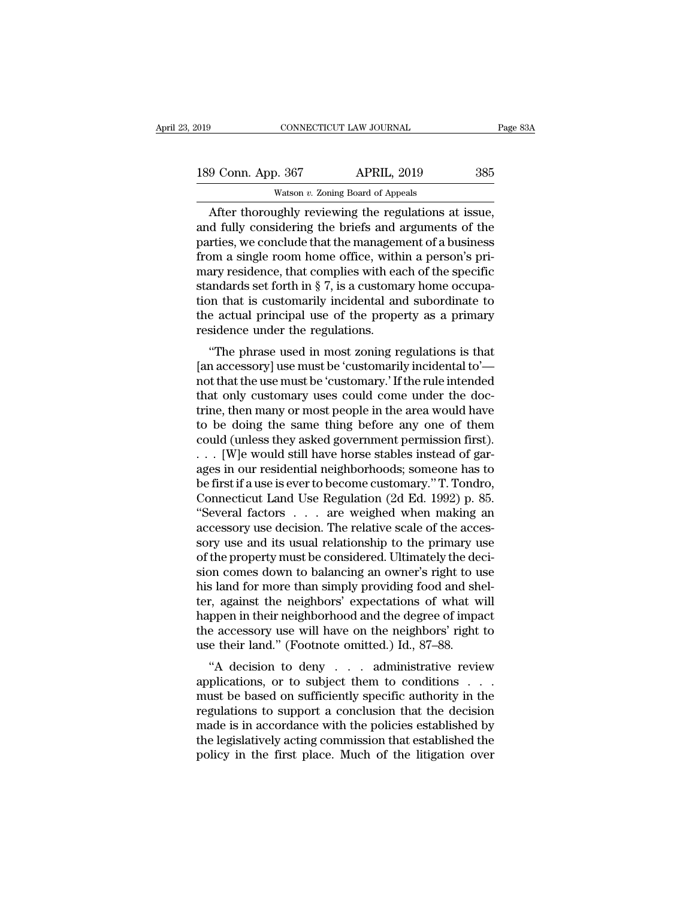| 019 |                    | CONNECTICUT LAW JOURNAL                             | Page 83A |
|-----|--------------------|-----------------------------------------------------|----------|
|     | 189 Conn. App. 367 | <b>APRIL, 2019</b>                                  | 385      |
|     |                    | Watson $v$ . Zoning Board of Appeals                |          |
|     |                    | After thoroughly reviewing the regulations at issue |          |

 $\frac{9 \text{ Conn. App. } 367}{9 \text{ Conn. App. } 367}$  APRIL, 2019  $\frac{385}{9 \text{ Watson } v.}$  Zoning Board of Appeals<br>After thoroughly reviewing the regulations at issue,<br>d fully considering the briefs and arguments of the 189 Conn. App. 367 APRIL, 2019 385<br>Watson v. Zoning Board of Appeals<br>After thoroughly reviewing the regulations at issue,<br>and fully considering the briefs and arguments of the<br>parties, we conclude that the management of a 189 Conn. App. 367 APRIL, 2019 385<br>Watson v. Zoning Board of Appeals<br>After thoroughly reviewing the regulations at issue,<br>and fully considering the briefs and arguments of the<br>parties, we conclude that the management of a 189 Conn. App. 367 APRIL, 2019 385<br>Watson v. Zoning Board of Appeals<br>After thoroughly reviewing the regulations at issue,<br>and fully considering the briefs and arguments of the<br>parties, we conclude that the management of a Watson v. Zoning Board of Appeals<br>
After thoroughly reviewing the regulations at issue,<br>
and fully considering the briefs and arguments of the<br>
parties, we conclude that the management of a business<br>
from a single room ho watson v. Zoning Board of Appeals<br>After thoroughly reviewing the regulations at issue,<br>and fully considering the briefs and arguments of the<br>parties, we conclude that the management of a business<br>from a single room home o After thoroughly reviewing the regulations at issue,<br>and fully considering the briefs and arguments of the<br>parties, we conclude that the management of a business<br>from a single room home office, within a person's pri-<br>mary and fully considering the briefs and arguments of the parties, we conclude that the management of a business from a single room home office, within a person's primary residence, that complies with each of the specific sta parties, we conclude that the managen<br>from a single room home office, with<br>mary residence, that complies with ea<br>standards set forth in § 7, is a customa<br>tion that is customarily incidental an<br>the actual principal use of t In a single from home office, whill a person's phary<br>residence, that complies with each of the specific<br>andards set forth in § 7, is a customary home occupa-<br>nn that is customarily incidental and subordinate to<br>e actual pr mary residence, that complies with each of the specific<br>standards set forth in § 7, is a customary home occupa-<br>tion that is customarily incidental and subordinate to<br>the actual principal use of the property as a primary<br>

standards set forth if y t, is a customary nome occupation that is customarily incidental and subordinate to the actual principal use of the property as a primary residence under the regulations.<br>
"The phrase used in most tion that is customarly incluental and subordinate to<br>the actual principal use of the property as a primary<br>residence under the regulations.<br>"The phrase used in most zoning regulations is that<br>[an accessory] use must be 'c the actual principal use of the property as a primary<br>residence under the regulations.<br>"The phrase used in most zoning regulations is that<br>[an accessory] use must be 'customary.' If the rule intended<br>that only customary us The phrase used in most zoning regulations is that<br>
[an accessory] use must be 'customarily incidental to'—<br>
not that the use must be 'customary.' If the rule intended<br>
that only customary uses could come under the doc-<br> "The phrase used in most zoning regulations is that<br>[an accessory] use must be 'customarily incidental to'—<br>not that the use must be 'customary.' If the rule intended<br>that only customary uses could come under the doc-<br>tri [an accessory] use must be 'customarily incidental to'—<br>not that the use must be 'customary.' If the rule intended<br>that only customary uses could come under the doc-<br>trine, then many or most people in the area would have<br> not that the use must be 'customary.' If the rule intended<br>that only customary uses could come under the doc-<br>trine, then many or most people in the area would have<br>to be doing the same thing before any one of them<br>could that only customary uses could come under the doctrine, then many or most people in the area would have<br>to be doing the same thing before any one of them<br>could (unless they asked government permission first).<br>. . . [W]e wo trine, then many or most people in the area would have<br>to be doing the same thing before any one of them<br>could (unless they asked government permission first).<br>. . . [W]e would still have horse stables instead of gar-<br>ages to be doing the same thing before any one of them<br>
could (unless they asked government permission first).<br>  $\ldots$  [W]e would still have horse stables instead of gar-<br>
ages in our residential neighborhoods; someone has to<br> could (unless they asked government permission first).<br>  $\ldots$  [W]e would still have horse stables instead of garages in our residential neighborhoods; someone has to<br>
be first if a use is ever to become customary." T. Ton . . . [W]e would still have horse stables instead of garages in our residential neighborhoods; someone has to be first if a use is ever to become customary." T. Tondro, Connecticut Land Use Regulation (2d Ed. 1992) p. 85. ages in our residential neighborhoods; someone has to<br>be first if a use is ever to become customary." T. Tondro,<br>Connecticut Land Use Regulation (2d Ed. 1992) p. 85.<br>"Several factors . . . are weighed when making an<br>access be first if a use is ever to become customary." T. Tondro,<br>Connecticut Land Use Regulation (2d Ed. 1992) p. 85.<br>"Several factors . . . . are weighed when making an<br>accessory use decision. The relative scale of the acces-<br>s Connecticut Land Use Regulation (2d Ed. 1992) p. 85.<br>
"Several factors  $\ldots$  are weighed when making an accessory use decision. The relative scale of the accessory use and its usual relationship to the primary use of the "Several factors  $\ldots$  are weighed when making an accessory use decision. The relative scale of the accessory use and its usual relationship to the primary use of the property must be considered. Ultimately the decision c accessory use decision. The relative scale of the accessory use and its usual relationship to the primary use<br>of the property must be considered. Ultimately the deci-<br>sion comes down to balancing an owner's right to use<br>hi sory use and its usual relationship to the primary use<br>of the property must be considered. Ultimately the deci-<br>sion comes down to balancing an owner's right to use<br>his land for more than simply providing food and shel-<br>te of the property must be considered. Ultimately the de<br>sion comes down to balancing an owner's right to u<br>his land for more than simply providing food and sh<br>ter, against the neighbors' expectations of what w<br>happen in thei In comes down to balancing an owner's right to use<br>
s land for more than simply providing food and shel-<br>
r, against the neighbors' expectations of what will<br>
ppen in their neighborhood and the degree of impact<br>
e accessor and for filter than shiply providing food and sher-<br>ter, against the neighbors' expectations of what will<br>happen in their neighborhood and the degree of impact<br>the accessory use will have on the neighbors' right to<br>use the

Let, against the heighbork expectations of what win<br>happen in their neighborhood and the degree of impact<br>the accessory use will have on the neighbors' right to<br>use their land." (Footnote omitted.) Id., 87–88.<br>"A decision rappen in their heighborhood and the degree of impact<br>the accessory use will have on the neighbors' right to<br>use their land." (Footnote omitted.) Id., 87–88.<br>"A decision to deny  $\dots$  administrative review<br>applications, or the accessory use win have on the heighbors right to<br>use their land." (Footnote omitted.) Id., 87–88.<br>"A decision to deny . . . administrative review<br>applications, or to subject them to conditions . . .<br>must be based on su The legislation of the first place. Much of the litigation over the first place is in accordance with the policies established by the legislatively acting commission that established the policy in the first place. Much of "A decision to deny  $\ldots$  administrative review applications, or to subject them to conditions  $\ldots$  must be based on sufficiently specific authority in the regulations to support a conclusion that the decision made is in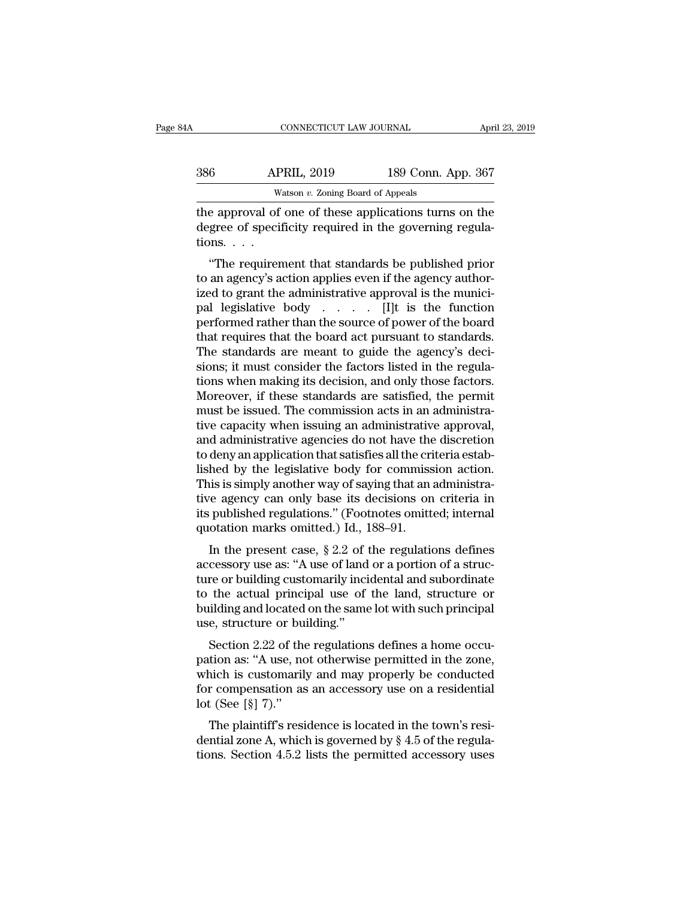| 386 | <b>APRIL, 2019</b>      | 189 Conn. App. 367 |                |
|-----|-------------------------|--------------------|----------------|
| 34A | CONNECTICUT LAW JOURNAL |                    | April 23, 2019 |

CONNECTICUT LAW JOURNAL April 23, 2019<br>
386 APRIL, 2019 189 Conn. App. 367<br>
Watson v. Zoning Board of Appeals<br>
the approval of one of these applications turns on the<br>
degree of specificity required in the governing reguladegree of specificity required in the governing regulations.<br>  $\therefore$  coming Board of Appeals<br>
the approval of one of these applications turns on the<br>
degree of specificity required in the governing regula-<br>
tions.... 386 AP<br>
Whe approval of<br>
degree of specifions.<br>
"The requirer"  $\frac{\text{APRIL, 2019}}{\text{Watson } v. \text{ Zoning Board of Appeals}}$ <br>
E approval of one of these applications turns on the gree of specificity required in the governing regulanes...<br>
"The requirement that standards be published prior an agency's action

Watson  $v$ . Zoning Board of Appeals<br>the approval of one of these applications turns on the<br>degree of specificity required in the governing regula-<br>tions....<br>"The requirement that standards be published prior<br>to an agency' the approval of one of these applications turns on the degree of specificity required in the governing regulations.<br>
"The requirement that standards be published prior to an agency's action applies even if the agency auth the approval of one of these applications turns of the<br>degree of specificity required in the governing regula-<br>tions. . . .<br>"The requirement that standards be published prior<br>to an agency's action applies even if the agenc degree of specificity required in the governing regula-<br>tions. . . .<br>"The requirement that standards be published prior<br>to an agency's action applies even if the agency author-<br>ized to grant the administrative approval is "The requirement that standards be published prior<br>to an agency's action applies even if the agency author-<br>ized to grant the administrative approval is the munici-<br>pal legislative body . . . . . . . [I]t is the function<br> "The requirement that standards be published prior<br>to an agency's action applies even if the agency author-<br>ized to grant the administrative approval is the munici-<br>pal legislative body  $\ldots$ . [I]t is the function<br>perform to an agency's action applies even if the agency authorized to grant the administrative approval is the municipal legislative body  $\ldots$ . [I]t is the function performed rather than the source of power of the board that re ized to grant the administrative approval is the munici-<br>pal-legislative body  $\ldots$ . [I]t is the function<br>performed rather than the source of power of the board<br>that requires that the board act pursuant to standards.<br>The pal legislative body . . . . . . [I]t is the function<br>performed rather than the source of power of the board<br>that requires that the board act pursuant to standards.<br>The standards are meant to guide the agency's deci-<br>sions performed rather than the source of power of the board<br>that requires that the board act pursuant to standards.<br>The standards are meant to guide the agency's deci-<br>sions; it must consider the factors listed in the regula-<br>t that requires that the board act pursuant to standards.<br>The standards are meant to guide the agency's decisions; it must consider the factors listed in the regulations when making its decision, and only those factors.<br>More The standards are meant to guide the agency's decisions; it must consider the factors listed in the regulations when making its decision, and only those factors.<br>Moreover, if these standards are satisfied, the permit must sions; it must consider the factors listed in the regulations when making its decision, and only those factors.<br>Moreover, if these standards are satisfied, the permit must be issued. The commission acts in an administrativ tions when making its decision, and only those factors.<br>Moreover, if these standards are satisfied, the permit<br>must be issued. The commission acts in an administra-<br>tive capacity when issuing an administrative approval,<br>an Moreover, if these standards are satisfied, the permit<br>must be issued. The commission acts in an administra-<br>tive capacity when issuing an administrative approval,<br>and administrative agencies do not have the discretion<br>to must be issued. The commission acts in an administrative capacity when issuing an administrative approval,<br>and administrative agencies do not have the discretion<br>to deny an application that satisfies all the criteria estab tive capacity when issuing an administrative approval,<br>and administrative agencies do not have the discretion<br>to deny an application that satisfies all the criteria estab-<br>lished by the legislative body for commission acti and administrative agencies do not have the<br>to deny an application that satisfies all the cri<br>lished by the legislative body for commiss<br>This is simply another way of saying that an<br>tive agency can only base its decisions delty an application that satisfies an the criteria establed by the legislative body for commission action.<br>
is is simply another way of saying that an administra-<br>
re agency can only base its decisions on criteria in<br>
pub This is simply another way of saying that an administrative agency can only base its decisions on criteria in its published regulations." (Footnotes omitted; internal quotation marks omitted.) Id., 188–91.<br>In the present

This is simply another way of saying that all antihilisticative agency can only base its decisions on criteria in its published regulations." (Footnotes omitted; internal quotation marks omitted.) Id., 188–91.<br>In the pres the agency can only base its decisions on cineria in<br>its published regulations." (Footnotes omitted; internal<br>quotation marks omitted.) Id., 188–91.<br>In the present case, § 2.2 of the regulations defines<br>accessory use as: " Its published regulations. (Poothotes officed, internal quotation marks omitted.) Id., 188–91.<br>In the present case,  $\S 2.2$  of the regulations defines accessory use as: "A use of land or a portion of a structure or buildi In the present case,  $\S 2.2$  of the accessory use as: "A use of land<br>ture or building customarily incited to the actual principal use of<br>building and located on the same<br>use, structure or building."<br>Section 2.22 of the re In the present case, y 2.2 of the regulations defines<br>cessory use as: "A use of land or a portion of a struc-<br>re or building customarily incidental and subordinate<br>the actual principal use of the land, structure or<br>ilding accessory use as: ''A use of failth of a portion of a structure or building customarily incidental and subordinate<br>to the actual principal use of the land, structure or<br>building and located on the same lot with such princi

the of bunding customarily incluental and subordinate<br>to the actual principal use of the land, structure or<br>building and located on the same lot with such principal<br>use, structure or building."<br>Section 2.22 of the regulati for the actual principal use of the failu, structure of<br>building and located on the same lot with such principal<br>use, structure or building."<br>Section 2.22 of the regulations defines a home occu-<br>pation as: "A use, not oth bunding and located<br>use, structure or bu<br>Section 2.22 of the<br>pation as: "A use, no<br>which is customaril<br>for compensation as<br>lot (See [§] 7)."<br>The plaintiff's resi Section 2.22 of the regulations defines a home occution as: "A use, not otherwise permitted in the zone, nich is customarily and may properly be conducted r compensation as an accessory use on a residential  $t$  (See [§] 7 bection 2.22 of the regulations defines a nome occupation as: "A use, not otherwise permitted in the zone, which is customarily and may properly be conducted for compensation as an accessory use on a residential lot (See pation as. A use, not otherwise permitted in the zone,<br>which is customarily and may properly be conducted<br>for compensation as an accessory use on a residential<br>lot (See [§] 7)."<br>The plaintiff's residence is located in the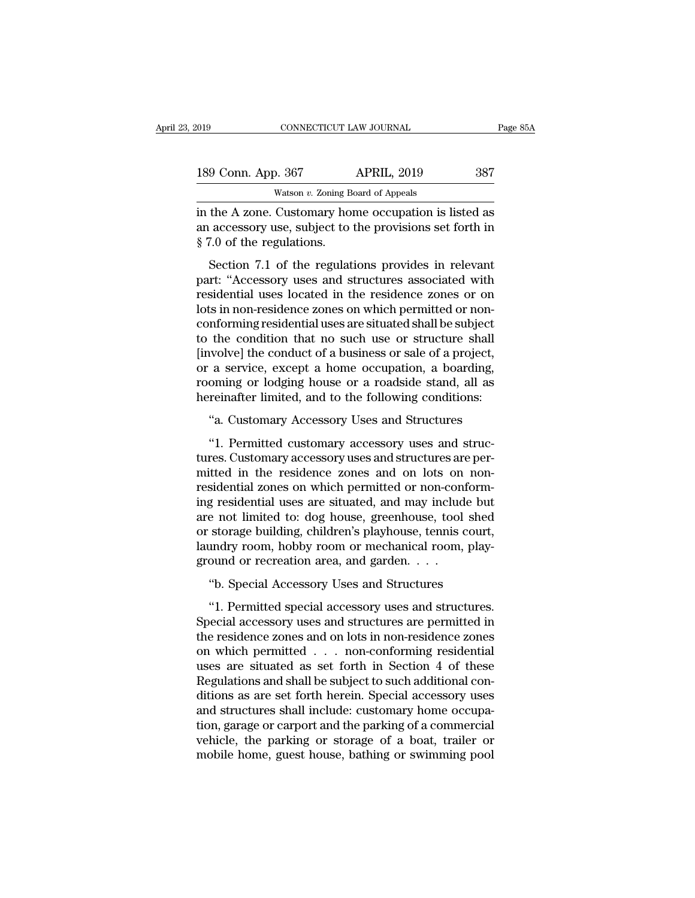| :019                      | CONNECTICUT LAW JOURNAL                                                                                           | Page 85A |
|---------------------------|-------------------------------------------------------------------------------------------------------------------|----------|
| 189 Conn. App. 367        | <b>APRIL, 2019</b>                                                                                                | 387      |
|                           | Watson $v$ . Zoning Board of Appeals                                                                              |          |
| § 7.0 of the regulations. | in the A zone. Customary home occupation is listed as<br>an accessory use, subject to the provisions set forth in |          |
|                           | Section 7.1 of the regulations provides in relevant                                                               |          |

 $\frac{9 \text{ Conn. App. } 367}{2019}$   $\frac{387}{2019}$   $\frac{387}{2019}$ <br>  $\frac{387}{2019}$   $\frac{387}{2019}$ <br>  $\frac{387}{2019}$ <br>  $\frac{387}{2019}$ <br>  $\frac{387}{2019}$ <br>  $\frac{387}{2019}$ <br>  $\frac{387}{2019}$ <br>  $\frac{387}{2019}$ <br>  $\frac{387}{2019}$ <br>  $\frac{387}{2019}$ <br>  $\frac{38$ 

Watson v. Zoning Board of Appeals<br>
in the A zone. Customary home occupation is listed as<br>
an accessory use, subject to the provisions set forth in<br>
§ 7.0 of the regulations.<br>
Section 7.1 of the regulations provides in rel in the A zone. Customary home occupation is listed as<br>an accessory use, subject to the provisions set forth in<br>§ 7.0 of the regulations.<br>Section 7.1 of the regulations provides in relevant<br>part: "Accessory uses and structu In the *K* zone. Oasonlary none occupator is fisced as<br>an accessory use, subject to the provisions set forth in<br>§ 7.0 of the regulations.<br>Section 7.1 of the regulations provides in relevant<br>part: "Accessory uses and struct  $\S$  7.0 of the regulations.<br>
Section 7.1 of the regulations provides in relevant<br>
part: "Accessory uses and structures associated with<br>
residential uses located in the residence zones or on<br>
lots in non-residence zones on s 1.0 of the regulations.<br>Section 7.1 of the regulations provides in relevant<br>part: "Accessory uses and structures associated with<br>residential uses located in the residence zones or on<br>lots in non-residence zones on which Section 7.1 of the regulations provides in relevant<br>part: "Accessory uses and structures associated with<br>residential uses located in the residence zones or on<br>lots in non-residence zones on which permitted or non-<br>conformi part: "Accessory uses and structures associated with<br>residential uses located in the residence zones or on<br>lots in non-residence zones on which permitted or non-<br>conforming residential uses are situated shall be subject<br>to residential uses located in the residence zones or on<br>lots in non-residence zones on which permitted or non-<br>conforming residential uses are situated shall be subject<br>to the condition that no such use or structure shall<br>[i lots in non-residence zones on which permitted or non-<br>conforming residential uses are situated shall be subject<br>to the condition that no such use or structure shall<br>[involve] the conduct of a business or sale of a project The condition that no such use or structure shall<br>
wolve] the conduct of a business or sale of a project,<br>
a service, except a home occupation, a boarding,<br>
oming or lodging house or a roadside stand, all as<br>
reinafter lim (wolve] the conduct of a business or sale of a project,<br>a service, except a home occupation, a boarding,<br>oming or lodging house or a roadside stand, all as<br>reinafter limited, and to the following conditions:<br>"a. Customary

or a service, except a home occupation, a boarding,<br>rooming or lodging house or a roadside stand, all as<br>hereinafter limited, and to the following conditions:<br>"a. Customary Accessory Uses and Structures<br>"1. Permitted custo rooming or lodging house or a roadside stand, all as<br>hereinafter limited, and to the following conditions:<br>"a. Customary Accessory Uses and Structures<br>"1. Permitted customary accessory uses and structures are per-<br>mitted i hereinafter limited, and to the following conditions:<br>"a. Customary Accessory Uses and Structures<br>"1. Permitted customary accessory uses and structures are permitted in the residence zones and on lots on non-<br>residential z "a. Customary Accessory Uses and Structures<br>"1. Permitted customary accessory uses and structures.<br>Customary accessory uses and structures are permitted in the residence zones and on lots on non-<br>residential zones on which are castomary accessory uses and structures<br>
"1. Permitted customary accessory uses and structures are per-<br>
mitted in the residence zones and on lots on non-<br>
residential zones on which permitted or non-conform-<br>
ing resi "1. Permitted customary accessory uses and structures. Customary accessory uses and structures are permitted in the residence zones and on lots on non-<br>residential zones on which permitted or non-conform-<br>ing residential u tures. Customary accessory uses and structures are permitted in the residence zones and on lots on non-<br>residential zones on which permitted or non-conform-<br>ing residential uses are situated, and may include but<br>are not li mitted in the residence zones and on lots on<br>residential zones on which permitted or non-cont<br>ing residential uses are situated, and may includ<br>are not limited to: dog house, greenhouse, tool<br>or storage building, children' g residential asses on which permitted of non-conform-<br>g residential uses are situated, and may include but<br>e not limited to: dog house, greenhouse, tool shed<br>storage building, children's playhouse, tennis court,<br>undry roo e not limited to: dog house, greenhouse, tool shed<br>storage building, children's playhouse, tennis court,<br>undry room, hobby room or mechanical room, play-<br>ound or recreation area, and garden. . . .<br>"b. Special Accessory Use

or storage building, children's playhouse, tennis court,<br>laundry room, hobby room or mechanical room, play-<br>ground or recreation area, and garden. . . .<br>"b. Special Accessory Uses and Structures<br>"1. Permitted special acces laundry room, hobby room or mechanical room, play-<br>ground or recreation area, and garden. . . .<br>"b. Special Accessory Uses and Structures<br>"1. Permitted special accessory uses and structures.<br>Special accessory uses and stru ground or recreation area, and garden. . . .<br>"b. Special Accessory Uses and Structures<br>"1. Permitted special accessory uses and structures.<br>Special accessory uses and structures are permitted in<br>the residence zones and on "b. Special Accessory Uses and Structures<br>
"1. Permitted special accessory uses and structures.<br>
Special accessory uses and structures are permitted in<br>
the residence zones and on lots in non-residence zones<br>
on which per "1. Permitted special accessory uses and structures.<br>Special accessory uses and structures are permitted in the residence zones and on lots in non-residence zones<br>on which permitted  $\dots$  non-conforming residential<br>uses ar "1. Permitted special accessory uses and structures.<br>Special accessory uses and structures are permitted in<br>the residence zones and on lots in non-residence zones<br>on which permitted  $\ldots$  non-conforming residential<br>uses a Special accessory uses and structures are permitted in the residence zones and on lots in non-residence zones on which permitted  $\ldots$  non-conforming residential uses are situated as set forth in Section 4 of these Regula the residence zones and on lots in non-residence zones<br>on which permitted  $\ldots$  non-conforming residential<br>uses are situated as set forth in Section 4 of these<br>Regulations and shall be subject to such additional con-<br>diti on which permitted . . . non-conforming residential<br>uses are situated as set forth in Section 4 of these<br>Regulations and shall be subject to such additional con-<br>ditions as are set forth herein. Special accessory uses<br>and uses are situated as set forth in Section 4 of these<br>Regulations and shall be subject to such additional con-<br>ditions as are set forth herein. Special accessory uses<br>and structures shall include: customary home occupa-<br>tio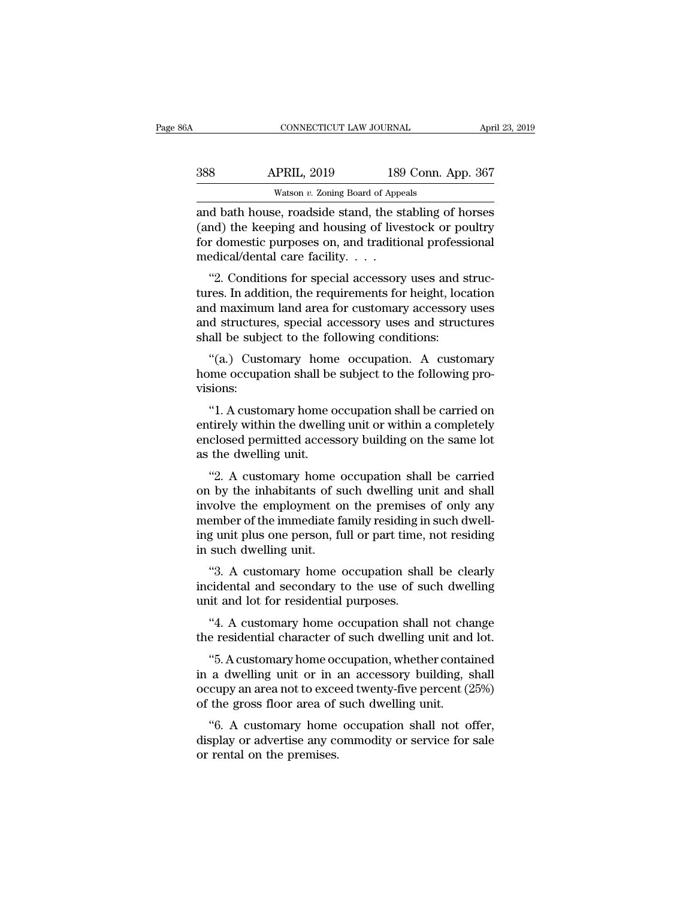| 6А  | CONNECTICUT LAW JOURNAL                              |                    | April 23, 2019 |
|-----|------------------------------------------------------|--------------------|----------------|
| 388 | <b>APRIL, 2019</b>                                   | 189 Conn. App. 367 |                |
|     | Watson $v$ . Zoning Board of Appeals                 |                    |                |
|     | and bath house roadside stand the stabling of horses |                    |                |

CONNECTICUT LAW JOURNAL April 23, 2019<br>
388 APRIL, 2019 189 Conn. App. 367<br>
Watson v. Zoning Board of Appeals<br>
and bath house, roadside stand, the stabling of horses<br>
(and) the keeping and housing of livestock or poultry<br> (and) the keeping and housing of livestock or poultry for domestic purposes on, and traditional professional modical/domal care facility For domestic purposes on, and traditional professional medical/dental care facility. . . .  $\begin{array}{r} \text{388} & \text{APRIL, 2019} & \text{189} \\ \hline \text{Watson } v. \text{ Zoning Board of Apple} \\ \text{and bath house, roadside stand, the st} \\ \text{(and) the keeping and housing of live} \\ \text{for domestic purposes on, and traditic} \\ \text{mediical/dental care facility. . . . \\ \text{``2. Conditions for special accessory} \end{array}$ Watson  $v$ . Zoning Board of Appeals<br>
d bath house, roadside stand, the stabling of horses<br>
and) the keeping and housing of livestock or poultry<br>
r domestic purposes on, and traditional professional<br>
edical/dental care fac and bath house, roadside stand, the stabling of horses<br>(and) the keeping and housing of livestock or poultry<br>for domestic purposes on, and traditional professional<br>medical/dental care facility. . . .<br>"2. Conditions for spe

and bath house, roadside stand, the stability of horses<br>
(and) the keeping and housing of livestock or poultry<br>
for domestic purposes on, and traditional professional<br>
medical/dental care facility....<br>
"2. Conditions for (and) the keeping and notasing of investock of pounty<br>for domestic purposes on, and traditional professional<br>medical/dental care facility.  $\dots$ <br>"2. Conditions for special accessory uses and struc-<br>tures. In addition, the For domestic purposes on, and traditional profession medical/dental care facility.<br>
"2. Conditions for special accessory uses and stures. In addition, the requirements for height, locand maximum land area for customary acc "2. Conditions for special accessory uses and struc-<br>res. In addition, the requirements for height, location<br>d maximum land area for customary accessory uses<br>d structures, special accessory uses and structures<br>all be subje 2. Conditions for special accessory uses and structures. In addition, the requirements for height, location and maximum land area for customary accessory uses and structures shall be subject to the following conditions: "(

visions: d structures, special accessory uses and structures<br>
all be subject to the following conditions:<br>
"(a.) Customary home occupation. A customary<br>
me occupation shall be subject to the following pro-<br>
"1. A customary home occ

shall be subject to the following conditions:<br>
"(a.) Customary home occupation. A customary<br>
home occupation shall be subject to the following pro-<br>
visions:<br>
"1. A customary home occupation shall be carried on<br>
entirely w "(a.) Customary home occupation. A customary<br>home occupation shall be subject to the following pro-<br>visions:<br>"1. A customary home occupation shall be carried on<br>entirely within the dwelling unit or within a completely<br>encl (a.) Customary home<br>home occupation shall be<br>visions:<br>"1. A customary home of<br>entirely within the dwelling<br>enclosed permitted access<br>as the dwelling unit.<br>"2. A customary home %<br>
"1. A customary home occupation shall be carried on<br>
tirely within the dwelling unit or within a completely<br>
closed permitted accessory building on the same lot<br>
the dwelling unit.<br>
"2. A customary home occupation sha "1. A customary home occupation shall be carried on<br>entirely within the dwelling unit or within a completely<br>enclosed permitted accessory building on the same lot<br>as the dwelling unit.<br>"2. A customary home occupation shall

I. A customary nome occupation shall be carried on<br>entirely within the dwelling unit or within a completely<br>enclosed permitted accessory building on the same lot<br>as the dwelling unit.<br>"2. A customary home occupation shall enthery whill the uvening that of whill a completely<br>enclosed permitted accessory building on the same lot<br>as the dwelling unit.<br>"2. A customary home occupation shall be carried<br>on by the inhabitants of such dwelling unit increased permitted accessory bunding on the same for<br>as the dwelling unit.<br>"2. A customary home occupation shall be carried<br>on by the inhabitants of such dwelling unit and shall<br>involve the employment on the premises of o <sup>2</sup>2. A customary home on by the inhabitants of sinvolve the employment of member of the immediate faing unit plus one person, for such dwelling unit.<br><sup>43</sup>. A customary home of the immediate faing unit plus one person, for 2. A customary home occupation shall be carried<br>
by the inhabitants of such dwelling unit and shall<br>
volve the employment on the premises of only any<br>
ember of the immediate family residing in such dwell-<br>
g unit plus one on by the mitabitants of such dwelling that and share<br>involve the employment on the premises of only any<br>member of the immediate family residing in such dwell-<br>ing unit plus one person, full or part time, not residing<br>in s move the employment of the premises<br>member of the immediate family residing in<br>ing unit plus one person, full or part time,<br>in such dwelling unit.<br>"3. A customary home occupation shall<br>unit and lot for residential purposes

g unit plus one person, full or part time, not residing<br>such dwelling unit.<br>"3. A customary home occupation shall be clearly<br>cidental and secondary to the use of such dwelling<br>it and lot for residential purposes.<br>"4. A cus in such dwelling unit.<br>
"3. A customary home occupation shall be clearly<br>
incidental and secondary to the use of such dwelling<br>
unit and lot for residential purposes.<br>
"4. A customary home occupation shall not change<br>
the <ul>\n<li>"3. A customary home occupation shall be clearly cidental and secondary to the use of such dwelling it and lot for residual purposes.</li>\n<li>"4. A customary home occupation shall not change e residual character of such dwelling unit and lot.</li>\n<li>"5. A customary home occupation, whether contained a dwelling unit or in an accessory building, shall curve an area not to exceed twenty five percent (25%)</li>\n</ul>

incidental and secondary to the use of such dwelling<br>unit and lot for residential purposes.<br>"4. A customary home occupation shall not change<br>the residential character of such dwelling unit and lot.<br>"5. A customary home occ unit and lot for residential purposes.<br>
"4. A customary home occupation shall not change<br>
the residential character of such dwelling unit and lot.<br>
"5. A customary home occupation, whether contained<br>
in a dwelling unit or "4. A customary home occupation shall not chathe residential character of such dwelling unit and "5. A customary home occupation, whether contain a dwelling unit or in an accessory building, soccupy an area not to exceed t e residential character of such dwelling unit and lot.<br>
"5. A customary home occupation, whether contained<br>
a dwelling unit or in an accessory building, shall<br>
cupy an area not to exceed twenty-five percent (25%)<br>
the gros "5. A customary home occupation, whether contained<br>in a dwelling unit or in an accessory building, shall<br>occupy an area not to exceed twenty-five percent  $(25\%)$ <br>of the gross floor area of such dwelling unit.<br>"6. A custom or rental on the premises.<br>
The divelling unit or in a occupy an area not to exce<br>
of the gross floor area of<br>
"6. A customary home<br>
display or advertise any corneration the premises.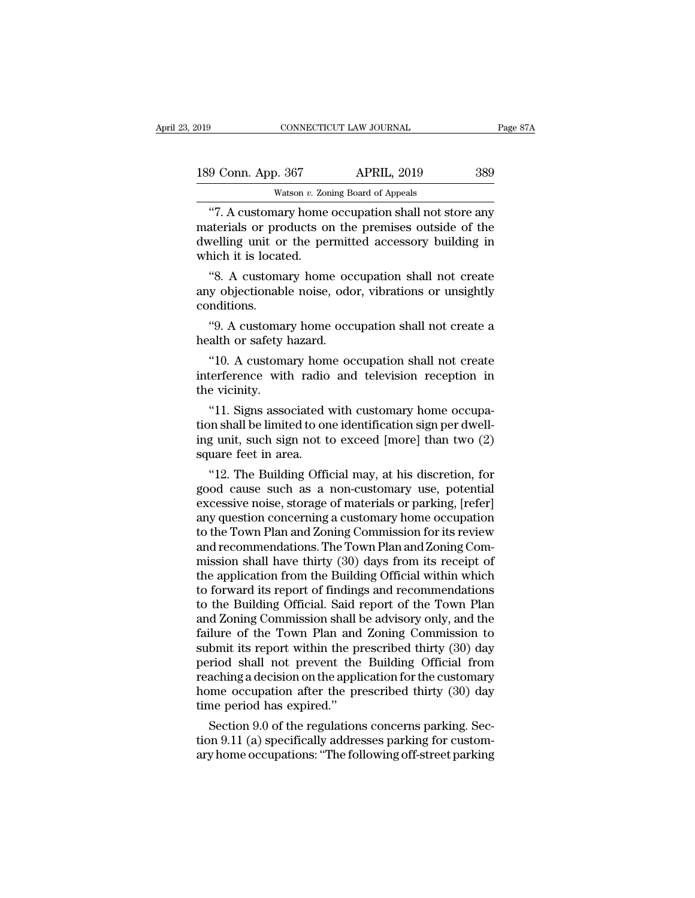| 2019               | CONNECTICUT LAW JOURNAL                             | Page 87A |
|--------------------|-----------------------------------------------------|----------|
| 189 Conn. App. 367 | <b>APRIL, 2019</b>                                  | 389      |
|                    | Watson v. Zoning Board of Appeals                   |          |
|                    | "7. A customary home occupation shall not store any |          |

CONNECTICUT LAW JOURNAL Page 87A<br>
9 Conn. App. 367 APRIL, 2019 389<br>
Watson v. Zoning Board of Appeals<br>
"7. A customary home occupation shall not store any<br>
aterials or products on the premises outside of the<br>
walling unit 189 Conn. App. 367 APRIL, 2019 389<br>Watson v. Zoning Board of Appeals<br>"7. A customary home occupation shall not store any<br>materials or products on the premises outside of the<br>dwelling unit or the permitted accessory buildin 189 Conn. App. 367 APRIL, 2019 389<br>Watson v. Zoning Board of Appeals<br>"7. A customary home occupation shall not store any<br>materials or products on the premises outside of the<br>dwelling unit or the permitted accessory buildin 189 Conn. App. 367<br>Watson v. Zor<br>"7. A customary home<br>materials or products of<br>dwelling unit or the per-<br>which it is located.<br>"8. A customary home Watson v. Zoning Board of Appeals<br>
"7. A customary home occupation shall not store any<br>
aterials or products on the premises outside of the<br>
velling unit or the permitted accessory building in<br>
inch it is located.<br>"8. A cu "7. A customary home occupation shall not store any<br>materials or products on the premises outside of the<br>dwelling unit or the permitted accessory building in<br>which it is located.<br>"8. A customary home occupation shall not c

conditions. welling unit or the permitted accessory building in<br>
ich it is located.<br>
"8. A customary home occupation shall not create<br>
y objectionable noise, odor, vibrations or unsightly<br>
"9. A customary home occupation shall not cre which it is located.<br>
"8. A customary home occorditions.<br>
any objectionable noise, odconditions.<br>
"9. A customary home occordition or safety hazard.<br>
"10. A customary home occ %. A customary home occupation shall not create<br>y objectionable noise, odor, vibrations or unsightly<br>mditions.<br>"9. A customary home occupation shall not create a<br>alth or safety hazard.<br>"10. A customary home occupation shal

any objectionable noise, odor, vibrations or unsightly<br>conditions.<br>"9. A customary home occupation shall not create a<br>health or safety hazard.<br>"10. A customary home occupation shall not create<br>interference with radio and t conditions.<br>
"9. A customar<br>
health or safety l<br>
"10. A customar<br>
interference with<br>
the vicinity.<br>
"11. Signs asso %. A customary home occupation shall not create a<br>alth or safety hazard.<br>"10. A customary home occupation shall not create<br>terference with radio and television reception in<br>e vicinity.<br>"11. Signs associated with customary

the health or safety hazard.<br>
"10. A customary home occupation shall not create<br>
interference with radio and television reception in<br>
the vicinity.<br>
"11. Signs associated with customary home occupa-<br>
tion shall be limited "10. A customary home occupation shall not create<br>interference with radio and television reception in<br>the vicinity.<br>"11. Signs associated with customary home occupa-<br>tion shall be limited to one identification sign per dw To. A customary nom<br>interference with radio<br>the vicinity.<br>"11. Signs associated v<br>tion shall be limited to on<br>ing unit, such sign not t<br>square feet in area.<br>"12. The Building Offic e vicinity.<br>
"11. Signs associated with customary home occupa-<br>
"11. Signs associated with customary home occupa-<br>
g unit, such sign not to exceed [more] than two (2)<br>
uare feet in area.<br>
"12. The Building Official may, at "11. Signs associated with customary home occupation shall be limited to one identification sign per dwell-<br>ing unit, such sign not to exceed [more] than two  $(2)$ <br>square feet in area.<br>"12. The Building Official may, at h

"11. Signs associated with customary nome occupation shall be limited to one identification sign per dwell-<br>ing unit, such sign not to exceed [more] than two (2)<br>square feet in area.<br>"12. The Building Official may, at his tion snall be imitted to one identification sign per dwell-<br>ing unit, such sign not to exceed [more] than two (2)<br>square feet in area.<br>"12. The Building Official may, at his discretion, for<br>good cause such as a non-customa ing unit, such sign not to exceed [more] than two (2)<br>square feet in area.<br>"12. The Building Official may, at his discretion, for<br>good cause such as a non-customary use, potential<br>excessive noise, storage of materials or p square feet in area.<br>
"12. The Building Official may, at his discretion, for<br>
good cause such as a non-customary use, potential<br>
excessive noise, storage of materials or parking, [refer]<br>
any question concerning a customar "12. The Building Official may, at his discretion, for<br>good cause such as a non-customary use, potential<br>excessive noise, storage of materials or parking, [refer]<br>any question concerning a customary home occupation<br>to the good cause such as a non-customary use, potential<br>excessive noise, storage of materials or parking, [refer]<br>any question concerning a customary home occupation<br>to the Town Plan and Zoning Commission for its review<br>and reco excessive noise, storage of materials or parking, [refer]<br>any question concerning a customary home occupation<br>to the Town Plan and Zoning Commission for its review<br>and recommendations. The Town Plan and Zoning Com-<br>mission any question concerning a customary home occupation<br>to the Town Plan and Zoning Commission for its review<br>and recommendations. The Town Plan and Zoning Com-<br>mission shall have thirty (30) days from its receipt of<br>the appli to the Town Plan and Zoning Commission for its review<br>and recommendations. The Town Plan and Zoning Com-<br>mission shall have thirty (30) days from its receipt of<br>the application from the Building Official within which<br>to fo and recommendations. The Town Plan and Zoning Commission shall have thirty (30) days from its receipt of<br>the application from the Building Official within which<br>to forward its report of findings and recommendations<br>to the mission shall have thirty (30) days from its receipt of<br>the application from the Building Official within which<br>to forward its report of findings and recommendations<br>to the Building Official. Said report of the Town Plan<br>a the application from the Building Official within which<br>to forward its report of findings and recommendations<br>to the Building Official. Said report of the Town Plan<br>and Zoning Commission shall be advisory only, and the<br>fai to forward its report of findings and recommendations<br>to the Building Official. Said report of the Town Plan<br>and Zoning Commission shall be advisory only, and the<br>failure of the Town Plan and Zoning Commission to<br>submit it to the Building Official. Said report of the Town Plan<br>and Zoning Commission shall be advisory only, and the<br>failure of the Town Plan and Zoning Commission to<br>submit its report within the prescribed thirty (30) day<br>period and Zoning Commission shall I<br>failure of the Town Plan and<br>submit its report within the pi<br>period shall not prevent the<br>reaching a decision on the appli<br>home occupation after the pr<br>time period has expired."<br>Section 9.0 of luit of the Town Plan and Zoning Commission to<br>bmit its report within the prescribed thirty (30) day<br>riod shall not prevent the Building Official from<br>aching a decision on the application for the customary<br>me occupation af submit its report within the prescribed thirty  $(30)$  day<br>period shall not prevent the Building Official from<br>reaching a decision on the application for the customary<br>home occupation after the prescribed thirty  $(30)$  day period shall not prevent the Building Official from<br>reaching a decision on the application for the customary<br>home occupation after the prescribed thirty (30) day<br>time period has expired."<br>Section 9.0 of the regulations con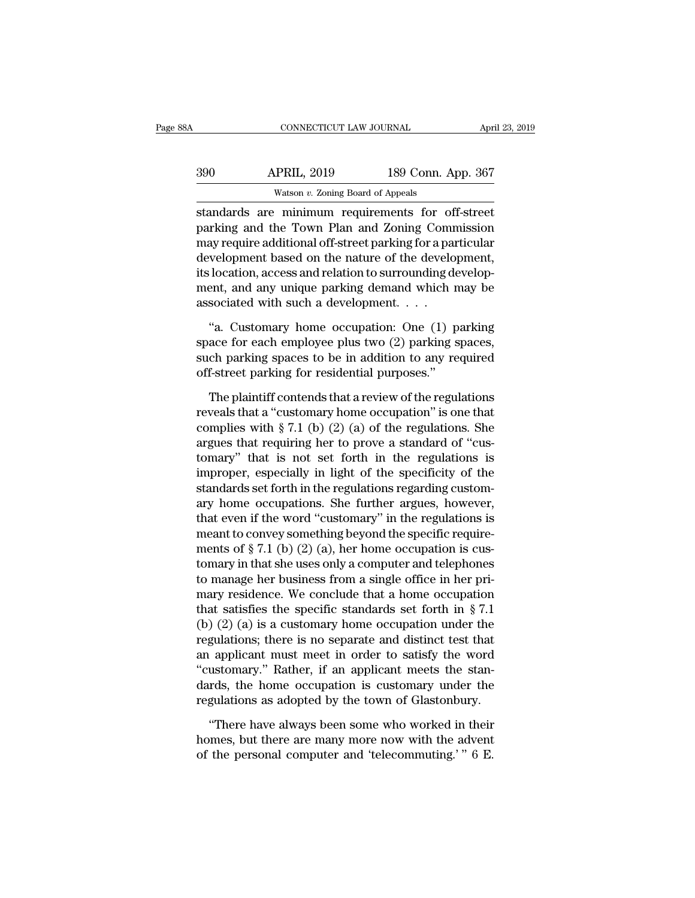| 8A  | CONNECTICUT LAW JOURNAL                           |                    | April 23, 2019 |
|-----|---------------------------------------------------|--------------------|----------------|
| 390 | <b>APRIL, 2019</b>                                | 189 Conn. App. 367 |                |
|     | Watson $v$ . Zoning Board of Appeals              |                    |                |
|     | standards are minimum requirements for off-street |                    |                |

STREET CONNECTICUT LAW JOURNAL April 23, 2019<br>
STREET APRIL, 2019 189 Conn. App. 367<br>
Vatson v. Zoning Board of Appeals<br>
Standards are minimum requirements for off-street<br>
parking and the Town Plan and Zoning Commission<br>
m and Supplementary Marking and the Town Plan and Zoning for a particular<br>discrete parking and the Town Plan and Zoning Commission<br>may require additional off-street parking for a particular<br>development based on the nature of  $\frac{\text{APRIL, 2019}}{\text{Watson } v. \text{ Zoning Board of Appeals}}$ <br>
standards are minimum requirements for off-street parking and the Town Plan and Zoning Commission<br>
may require additional off-street parking for a particular<br>
development based on the  $\begin{array}{r} \text{390} \text{ } \text{APRIL, 2019} \text{ } \text{189 Conn. App. 367} \ \text{Watson } v. \text{ Zoning Board of Appeals} \end{array}$ <br>
standards are minimum requirements for off-street<br>
parking and the Town Plan and Zoning Commission<br>
may require additional off-street parking Watson v. Zoning Board of Appeals<br>
standards are minimum requirements for off-street<br>
parking and the Town Plan and Zoning Commission<br>
may require additional off-street parking for a particular<br>
development based on the na masson v. zoning board of Appeass<br>standards are minimum requirements for off-street<br>parking and the Town Plan and Zoning Commission<br>may require additional off-street parking for a particular<br>development based on the natur standards are minimum requirements for of<br>parking and the Town Plan and Zoning Comr<br>may require additional off-street parking for a paradevelopment based on the nature of the develo<br>its location, access and relation to sur ay require additional off-street parking for a particular<br>
velopment based on the nature of the development,<br>
location, access and relation to surrounding develop-<br>
ent, and any unique parking demand which may be<br>
sociated development based on the nature of the development,<br>its location, access and relation to surrounding develop-<br>ment, and any unique parking demand which may be<br>associated with such a development. . . .<br>"a. Customary home oc

its location, access and relation to surrounding development, and any unique parking demand which may be associated with such a development. . . .<br>"a. Customary home occupation: One (1) parking space for each employee plus ment, and any unique parking demand which may be<br>associated with such a development....<br>"a. Customary home occupation: One  $(1)$  parking<br>space for each employee plus two  $(2)$  parking spaces,<br>such parking spaces to be in "a. Customary home occupation: One (1) parking<br>ace for each employee plus two (2) parking spaces,<br>ch parking spaces to be in addition to any required<br>f-street parking for residential purposes."<br>The plaintiff contends that "a. Customary home occupation: One (1) parking<br>space for each employee plus two (2) parking spaces,<br>such parking spaces to be in addition to any required<br>off-street parking for residential purposes."<br>The plaintiff contend

space for each employee plus two  $(2)$  parking spaces,<br>such parking spaces to be in addition to any required<br>off-street parking for residential purposes."<br>The plaintiff contends that a review of the regulations<br>reveals th such parking spaces to be in addition to any required<br>off-street parking for residential purposes."<br>The plaintiff contends that a review of the regulations<br>reveals that a "customary home occupation" is one that<br>complies w off-street parking for residential purposes."<br>The plaintiff contends that a review of the regulations<br>reveals that a "customary home occupation" is one that<br>complies with § 7.1 (b) (2) (a) of the regulations. She<br>argues t The plaintiff contends that a review of the regulations<br>reveals that a "customary home occupation" is one that<br>complies with § 7.1 (b) (2) (a) of the regulations. She<br>argues that requiring her to prove a standard of "cus-The plaintiff contends that a review of the regulations<br>reveals that a "customary home occupation" is one that<br>complies with § 7.1 (b) (2) (a) of the regulations. She<br>argues that requiring her to prove a standard of "cusreveals that a "customary home occupation" is one that<br>complies with § 7.1 (b) (2) (a) of the regulations. She<br>argues that requiring her to prove a standard of "cus-<br>tomary" that is not set forth in the regulations is<br>imp complies with § 7.1 (b) (2) (a) of the regulations. She<br>argues that requiring her to prove a standard of "cus-<br>tomary" that is not set forth in the regulations is<br>improper, especially in light of the specificity of the<br>st argues that requiring her to prove a standard of "cus-<br>tomary" that is not set forth in the regulations is<br>improper, especially in light of the specificity of the<br>standards set forth in the regulations regarding custom-<br>a tomary" that is not set forth in the regulations is<br>improper, especially in light of the specificity of the<br>standards set forth in the regulations regarding custom-<br>ary home occupations. She further argues, however,<br>that improper, especially in light of the specificity of the<br>standards set forth in the regulations regarding custom-<br>ary home occupations. She further argues, however,<br>that even if the word "customary" in the regulations is<br>me standards set forth in the regulations regarding customary home occupations. She further argues, however, that even if the word "customary" in the regulations is meant to convey something beyond the specific requirements ary home occupations. She further argues, however,<br>that even if the word "customary" in the regulations is<br>meant to convey something beyond the specific require-<br>ments of § 7.1 (b) (2) (a), her home occupation is cus-<br>tom that even if the word "customary" in the regulations is<br>meant to convey something beyond the specific require-<br>ments of § 7.1 (b) (2) (a), her home occupation is cus-<br>tomary in that she uses only a computer and telephones meant to convey something beyond the specific require-<br>ments of § 7.1 (b) (2) (a), her home occupation is cus-<br>tomary in that she uses only a computer and telephones<br>to manage her business from a single office in her priments of § 7.1 (b) (2) (a), her home occupation is cus-<br>tomary in that she uses only a computer and telephones<br>to manage her business from a single office in her pri-<br>mary residence. We conclude that a home occupation<br>tha to manage her business from a single office in her pri-<br>nary residence. We conclude that a home occupation<br>that satisfies the specific standards set forth in § 7.1<br>(b) (2) (a) is a customary home occupation under the<br>regu to manage her business from a single office in her pri-<br>mary residence. We conclude that a home occupation<br>that satisfies the specific standards set forth in  $\S 7.1$ <br>(b) (2) (a) is a customary home occupation under the<br>re mary residence. We conclude that a home occupation<br>that satisfies the specific standards set forth in § 7.1<br>(b) (2) (a) is a customary home occupation under the<br>regulations; there is no separate and distinct test that<br>an that satisfies the specific standards set forth in § 7.1 (b) (2) (a) is a customary home occupation under the regulations; there is no separate and distinct test that an applicant must meet in order to satisfy the word "c gulations; there is no separate and distinct test that<br>
applicant must meet in order to satisfy the word<br>
ustomary." Rather, if an applicant meets the stan-<br>
rds, the home occupation is customary under the<br>
gulations as a an applicant must meet in order to satisfy the word<br>"customary." Rather, if an applicant meets the stan-<br>dards, the home occupation is customary under the<br>regulations as adopted by the town of Glastonbury.<br>"There have alwa

"There have always been some who worked in their homes, but there are many more now with the advent of the personal computer and 'telecommuting.'  $" 6 E$ .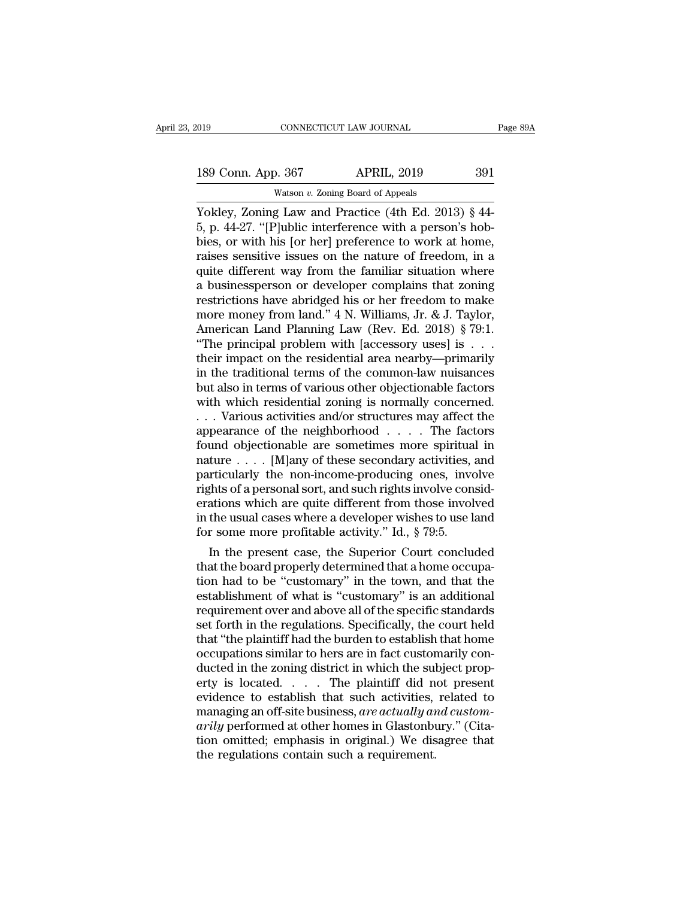189 Conn. App. 367 APRIL, 2019 391<br>Watson v. Zoning Board of Appeals

Watson *v.* Zoning Board of Appeals CONNECTICUT LAW JOURNAL Page 8:<br>
189 Conn. App. 367 APRIL, 2019 391<br>
Watson v. Zoning Board of Appeals<br>
Yokley, Zoning Law and Practice (4th Ed. 2013) § 44-<br>
5, p. 44-27. "[P]ublic interference with a person's hob-<br>
bios o 189 Conn. App. 367 APRIL, 2019 391<br>Watson v. Zoning Board of Appeals<br>Yokley, Zoning Law and Practice (4th Ed. 2013) § 44-<br>5, p. 44-27. "[P]ublic interference with a person's hob-<br>bies, or with his [or her] preference to wo 189 Conn. App. 367 APRIL, 2019 391<br>Watson v. Zoning Board of Appeals<br>Yokley, Zoning Law and Practice (4th Ed. 2013) § 44-<br>5, p. 44-27. "[P]ublic interference with a person's hob-<br>bies, or with his [or her] preference to w 189 Conn. App. 367 APRIL, 2019 391<br>Watson v. Zoning Board of Appeals<br>Yokley, Zoning Law and Practice (4th Ed. 2013) § 44-<br>5, p. 44-27. "[P]ublic interference with a person's hob-<br>bies, or with his [or her] preference to w Watson v. Zoning Board of Appeals<br>
Vokley, Zoning Law and Practice (4th Ed. 2013) § 44-<br>
5, p. 44-27. "[P]ublic interference with a person's hob-<br>
bies, or with his [or her] preference to work at home,<br>
raises sensitive i Watson v. Zoning Board of Appeals<br>
Yokley, Zoning Law and Practice (4th Ed. 2013) § 44-<br>
5, p. 44-27. "[P]ublic interference with a person's hob-<br>
bies, or with his [or her] preference to work at home,<br>
raises sensitive i Yokley, Zoning Law and Practice (4th Ed. 2013) § 44-<br>5, p. 44-27. "[P]ublic interference with a person's hob-<br>bies, or with his [or her] preference to work at home,<br>raises sensitive issues on the nature of freedom, in a<br>q 5, p. 44-27. "[P]ublic interference with a person's hob-<br>bies, or with his [or her] preference to work at home,<br>raises sensitive issues on the nature of freedom, in a<br>quite different way from the familiar situation where<br>a bies, or with his [or her] preference to work at home,<br>raises sensitive issues on the nature of freedom, in a<br>quite different way from the familiar situation where<br>a businessperson or developer complains that zoning<br>restri raises sensitive issues on the nature of freedom, in a<br>quite different way from the familiar situation where<br>a businessperson or developer complains that zoning<br>restrictions have abridged his or her freedom to make<br>more mo quite different way from the familiar situation where<br>a businessperson or developer complains that zoning<br>restrictions have abridged his or her freedom to make<br>more money from land." 4 N. Williams, Jr. & J. Taylor,<br>America a businessperson or developer complains that zoning<br>restrictions have abridged his or her freedom to make<br>more money from land." 4 N. Williams, Jr. & J. Taylor,<br>American Land Planning Law (Rev. Ed. 2018) § 79:1.<br>"The princ restrictions have abridged his or her freedom to make<br>more money from land." 4 N. Williams, Jr. & J. Taylor,<br>American Land Planning Law (Rev. Ed. 2018) § 79:1.<br>"The principal problem with [accessory uses] is . . .<br>their im more money from land." 4 N. Williams, Jr. & J. Taylor,<br>American Land Planning Law (Rev. Ed. 2018) § 79:1.<br>"The principal problem with [accessory uses] is . . .<br>their impact on the residential area nearby—primarily<br>in the t American Land Planning Law (Rev. Ed. 2018) § 79:1.<br>
"The principal problem with [accessory uses] is . . .<br>
their impact on the residential area nearby—primarily<br>
in the traditional terms of the common-law nuisances<br>
but a "The principal problem with [accessory uses] is . . .<br>their impact on the residential area nearby—primarily<br>in the traditional terms of the common-law nuisances<br>but also in terms of various other objectionable factors<br>wit their impact on the residential area nearby—primarily<br>in the traditional terms of the common-law nuisances<br>but also in terms of various other objectionable factors<br>with which residential zoning is normally concerned.<br> $\dots$ in the traditional terms of the common-law nuisances<br>but also in terms of various other objectionable factors<br>with which residential zoning is normally concerned.<br>. . . Various activities and/or structures may affect the<br> but also in terms of various other objectionable factors<br>with which residential zoning is normally concerned.<br>... Various activities and/or structures may affect the<br>appearance of the neighborhood .... The factors<br>found ob with which residential zoning is normally concerned.<br>
... Various activities and/or structures may affect the<br>
appearance of the neighborhood .... The factors<br>
found objectionable are sometimes more spiritual in<br>
nature . ... Various activities and/or structures may affect the<br>appearance of the neighborhood .... The factors<br>found objectionable are sometimes more spiritual in<br>nature .... [M]any of these secondary activities, and<br>particularl appearance of the neighborhood  $\dots$ . The factors<br>found objectionable are sometimes more spiritual in<br>nature  $\dots$  [M]any of these secondary activities, and<br>particularly the non-income-producing ones, involve<br>rights of a pe found objectionable are sometimes more spiritual<br>nature . . . . [M]any of these secondary activities, a<br>particularly the non-income-producing ones, inverghts of a personal sort, and such rights involve con-<br>erations which In the present case, the Superior Court concluded the board properly the present case, involve considering that is involved the usual cases where a developer wishes to use land r some more profitable activity." Id., § 79:5 particularly the non-income-producing ones, involve<br>rights of a personal sort, and such rights involve consid-<br>erations which are quite different from those involved<br>in the usual cases where a developer wishes to use land<br>

rights or a personal sort, and such rights involve considerations which are quite different from those involved<br>in the usual cases where a developer wishes to use land<br>for some more profitable activity." Id., § 79:5.<br>In th erations which are quite different from those involved<br>in the usual cases where a developer wishes to use land<br>for some more profitable activity." Id., § 79:5.<br>In the present case, the Superior Court concluded<br>that the boa In the usual cases where a developer wishes to use land<br>for some more profitable activity." Id., § 79:5.<br>In the present case, the Superior Court concluded<br>that the board properly determined that a home occupa-<br>tion had to for some more profitable activity." Id., § 79:5.<br>In the present case, the Superior Court concluded<br>that the board properly determined that a home occupation<br>had to be "customary" in the town, and that the<br>establishment of In the present case, the Superior Court concluded<br>that the board properly determined that a home occupation had to be "customary" in the town, and that the<br>establishment of what is "customary" is an additional<br>requirement that the board properly determined that a home occupation had to be "customary" in the town, and that the establishment of what is "customary" is an additional requirement over and above all of the specific standards set f tion had to be "customary" in the town, and that the establishment of what is "customary" is an additional requirement over and above all of the specific standards set forth in the regulations. Specifically, the court held establishment of what is "customary" is an additional<br>requirement over and above all of the specific standards<br>set forth in the regulations. Specifically, the court held<br>that "the plaintiff had the burden to establish that requirement over and above all of the specific standards<br>set forth in the regulations. Specifically, the court held<br>that "the plaintiff had the burden to establish that home<br>occupations similar to hers are in fact customar set forth in the regulations. Specifically, the court held<br>that "the plaintiff had the burden to establish that home<br>occupations similar to hers are in fact customarily con-<br>ducted in the zoning district in which the subje that "the plaintiff had the burden to establish that home<br>occupations similar to hers are in fact customarily con-<br>ducted in the zoning district in which the subject prop-<br>erty is located. . . . . The plaintiff did not pre occupations similar to hers are in fact customarily con-<br>ducted in the zoning district in which the subject prop-<br>erty is located. . . . . The plaintiff did not present<br>evidence to establish that such activities, related ducted in the zoning district in which the sulerty is located. . . . . The plaintiff did nevidence to establish that such activities, managing an off-site business, *are actually at arily* performed at other homes in Glas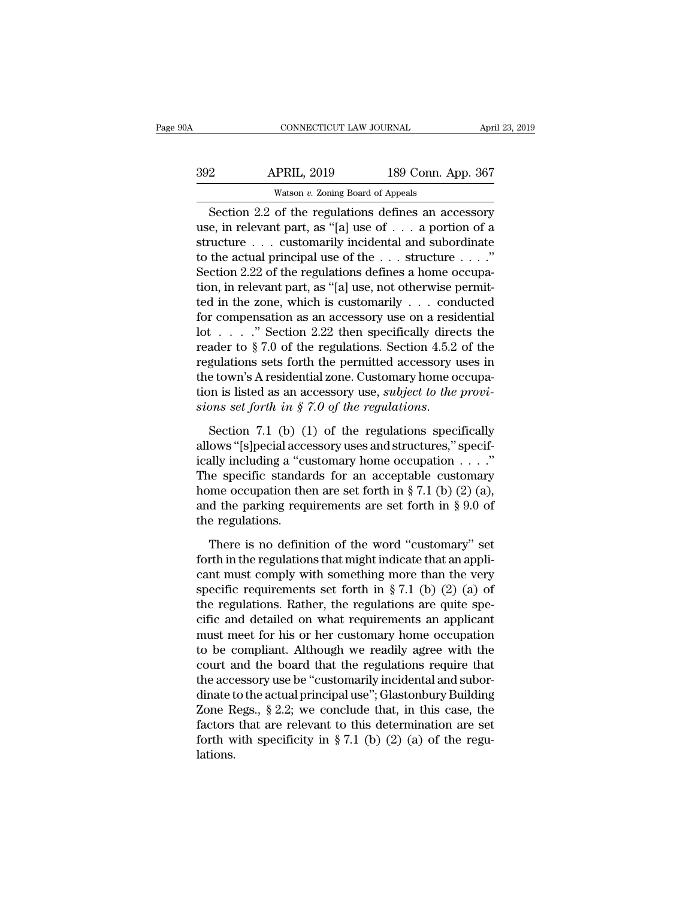| )0A | CONNECTICUT LAW JOURNAL                               |                    | April 23, 2019 |
|-----|-------------------------------------------------------|--------------------|----------------|
| 392 | <b>APRIL, 2019</b>                                    | 189 Conn. App. 367 |                |
|     | Watson $v$ . Zoning Board of Appeals                  |                    |                |
|     | Section $2.2$ of the regulations defines an accessory |                    |                |

CONNECTICUT LAW JOURNAL April 23, 2019<br>
2 APRIL, 2019 189 Conn. App. 367<br>
Watson v. Zoning Board of Appeals<br>
Section 2.2 of the regulations defines an accessory<br>
e, in relevant part, as "[a] use of . . . a portion of a Market Barnett, 2019 and 189 Conn. App. 367<br>
Watson v. Zoning Board of Appeals<br>
Section 2.2 of the regulations defines an accessory<br>
use, in relevant part, as "[a] use of . . . a portion of a<br>
structure . . . customarily i  $\begin{array}{r} \text{392} \text{  \quad} \text{  APRIL, 2019} \text{  } \text{ } \text{189 Conn. App. 367} \ \text{Watson } v. \text{ Zoning Board of Appeals} \ \text{Section 2.2 of the regulations defines an accessory use, in relevant part, as "[a] use of . . . a portion of a structure . . . customarily incidental and subordinate to the actual principal use of the . . . structure . . . " Section 2.22 of the regulations defines a home ocean.} \end{array}$  $\begin{array}{ll}\n & \text{APRIL, 2019} & \text{189 Conn. App. 367} \\
 \hline\n & \text{Watson } v. \text{ Zoning Board of Apeals} \\
 \hline\n \text{Section 2.2 of the regulations defines an accessory} \\
 \text{use, in relevant part, as "[a] use of . . . a portion of a structure . . . customarily incidental and subordinate} \\
 \text{to the actual principal use of the . . . structure . . ."} \\
 \text{Section 2.22 of the regulations defines a home occupation in relevant part, as "[a] use, not otherwise permit} \n\end{array}$ Watson v. Zoning Board of Appeals<br>
Section 2.2 of the regulations defines an accessory<br>
use, in relevant part, as "[a] use of  $\ldots$  a portion of a<br>
structure  $\ldots$  customarily incidental and subordinate<br>
to the actual pri **Example 19 Example 19 Example 19 Example 19 Example 19 Example 19 Example 19 Example 19 Example 19 Example 19 Example 19 Example 19 Example 19 Example 19 Example 19 Example 19 Example 19 Example 19 Example 19 Example 19** Section 2.2 of the regulations defines an accessory<br>use, in relevant part, as "[a] use of . . . a portion of a<br>structure . . . customarily incidental and subordinate<br>to the actual principal use of the . . . structure . . use, in relevant part, as "[a] use of . . . a portion of a<br>structure . . . customarily incidental and subordinate<br>to the actual principal use of the . . . structure . . . ."<br>Section 2.22 of the regulations defines a home structure . . . customarily incidental and subordinate<br>to the actual principal use of the . . . structure . . . ."<br>Section 2.22 of the regulations defines a home occupa-<br>tion, in relevant part, as "[a] use, not otherwise to the actual principal use of the  $\ldots$  structure  $\ldots$ ."<br>Section 2.22 of the regulations defines a home occupation, in relevant part, as "[a] use, not otherwise permitted in the zone, which is customarily  $\ldots$  conducte Section 2.22 of the regulations defines a home occupation, in relevant part, as "[a] use, not otherwise permitted in the zone, which is customarily . . . conducted for compensation as an accessory use on a residential lot tion, in relevant part, as "[a] use, not otherwise permit-<br>ted in the zone, which is customarily . . . conducted<br>for compensation as an accessory use on a residential<br>lot . . . . ." Section 2.22 then specifically directs ted in the zone, which is customarily . . . conducted<br>for compensation as an accessory use on a residential<br>lot . . . . ." Section 2.22 then specifically directs the<br>reader to  $\S 7.0$  of the regulations. Section 4.5.2 of for compensation as an accessory use on a residential<br>
lot . . . . " Section 2.22 then specifically directs the<br>
reader to § 7.0 of the regulations. Section 4.5.2 of the<br>
regulations sets forth the permitted accessory use regulations sets forth the permitted accessory uses in<br>the town's A residential zone. Customary home occupa-<br>tion is listed as an accessory use, *subject to the provi-*<br>sions set forth in § 7.0 of the regulations.<br>Section

the town's A residential zone. Customary home occupation is listed as an accessory use, *subject to the provisions set forth in*  $\hat{S}$  7.0 of the *regulations*.<br>Section 7.1 (b) (1) of the regulations specifically allows tion is listed as an accessory use, *subject to the provisions set forth in* § 7.0 of the regulations.<br>Section 7.1 (b) (1) of the regulations specifically<br>allows "[s]pecial accessory uses and structures," specif-<br>ically i sions set forth in § 7.0 of the regulations.<br>Section 7.1 (b) (1) of the regulations specifically<br>allows "[s]pecial accessory uses and structures," specif-<br>ically including a "customary home occupation  $\dots$ ."<br>The specific Section 7.1 (b) (1) of the regulations specifically<br>allows "[s]pecial accessory uses and structures," specif-<br>ically including a "customary home occupation  $\dots$ ."<br>The specific standards for an acceptable customary<br>home oc Section 7.1 (b) (1<br>allows "[s]pecial acce<br>ically including a "cu<br>The specific standar<br>home occupation the<br>and the parking requ<br>the regulations.<br>There is no defini ally including a "customary home occupation  $\dots$ "<br>
i.e specific standards for an acceptable customary<br>
me occupation then are set forth in § 7.1 (b) (2) (a),<br>
d the parking requirements are set forth in § 9.0 of<br>
e regula The specific standards for an acceptable customary<br>home occupation then are set forth in § 7.1 (b) (2) (a),<br>and the parking requirements are set forth in § 9.0 of<br>the regulations.<br>There is no definition of the word "custo

home occupation then are set forth in § 7.1 (b) (2) (a),<br>and the parking requirements are set forth in § 9.0 of<br>the regulations.<br>There is no definition of the word "customary" set<br>forth in the regulations that might indic and the parking requirements are set forth in § 9.0 of<br>the regulations.<br>There is no definition of the word "customary" set<br>forth in the regulations that might indicate that an appli-<br>cant must comply with something more t the regulations.<br>There is no definition of the word "customary" set<br>forth in the regulations that might indicate that an appli-<br>cant must comply with something more than the very<br>specific requirements set forth in § 7.1 ( There is no definition of the word "customary" set<br>forth in the regulations that might indicate that an appli-<br>cant must comply with something more than the very<br>specific requirements set forth in § 7.1 (b) (2) (a) of<br>the There is no definition of the word "customary" set<br>forth in the regulations that might indicate that an appli-<br>cant must comply with something more than the very<br>specific requirements set forth in § 7.1 (b) (2) (a) of<br>the forth in the regulations that might indicate that an applicant must comply with something more than the very<br>specific requirements set forth in  $\S 7.1$  (b) (2) (a) of<br>the regulations. Rather, the regulations are quite spe cant must comply with something more than the very<br>specific requirements set forth in § 7.1 (b) (2) (a) of<br>the regulations. Rather, the regulations are quite spe-<br>cific and detailed on what requirements an applicant<br>must specific requirements set forth in § 7.1 (b) (2) (a) of<br>the regulations. Rather, the regulations are quite spe-<br>cific and detailed on what requirements an applicant<br>must meet for his or her customary home occupation<br>to be the regulations. Rather, the regulations are quite specific and detailed on what requirements an applicant<br>must meet for his or her customary home occupation<br>to be compliant. Although we readily agree with the<br>court and th cific and detailed on what requirements an applicant<br>must meet for his or her customary home occupation<br>to be compliant. Although we readily agree with the<br>court and the board that the regulations require that<br>the accesso must meet for his or her customary home occupation<br>to be compliant. Although we readily agree with the<br>court and the board that the regulations require that<br>the accessory use be "customarily incidental and subor-<br>dinate t to be compliant. Although we readily agree with the court and the board that the regulations require that the accessory use be "customarily incidental and subordinate to the actual principal use"; Glastonbury Building Zon lations.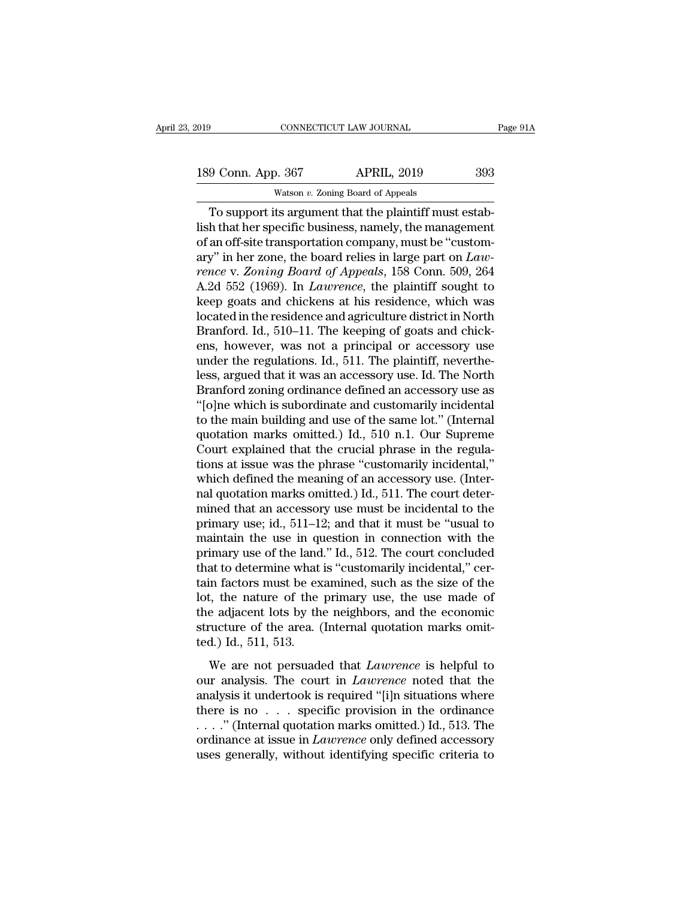189 Conn. App. 367 APRIL, 2019 393<br>Watson v. Zoning Board of Appeals CONNECTICUT LAW JOURNAL<br>
2019<br>
2019 – Matson *v. Zoning Board of Appeals*<br>
2019 – Matson *v. Zoning Board of Appeals*<br>
2019 – And *v. Zoning Hoard of Appeals* 

CONNECTICUT LAW JOURNAL<br>
9 Conn. App. 367 APRIL, 2019 393<br>
Watson v. Zoning Board of Appeals<br>
To support its argument that the plaintiff must estab-<br>
h that her specific business, namely, the management<br>
an off site transp 189 Conn. App. 367 APRIL, 2019 393<br>Watson v. Zoning Board of Appeals<br>To support its argument that the plaintiff must establish that her specific business, namely, the management<br>of an off-site transportation company, must 189 Conn. App. 367 APRIL, 2019 393<br>Watson v. Zoning Board of Appeals<br>To support its argument that the plaintiff must estab-<br>lish that her specific business, namely, the management<br>of an off-site transportation company, mus 189 Conn. App. 367 APRIL, 2019 393<br>
Watson *v*. Zoning Board of Appeals<br>
To support its argument that the plaintiff must establish that her specific business, namely, the management<br>
of an off-site transportation company, *vation v. Zoning Board of Appeals*<br> *rence* v. *Zoning Board of Appeals*<br> *To support its argument that the plaintiff must establish that her specific business, namely, the management<br>
of an off-site transportation compan* watson *v*. Zoning Board of Appeais<br>
To support its argument that the plaintiff must estab-<br>
lish that her specific business, namely, the management<br>
of an off-site transportation company, must be "custom-<br>
ary" in her zon To support its argument that the plaintiff must establish that her specific business, namely, the management<br>of an off-site transportation company, must be "custom-<br>ary" in her zone, the board relies in large part on  $Law$ <br> lish that her specific business, namely, the management<br>of an off-site transportation company, must be "custom-<br>ary" in her zone, the board relies in large part on *Law-<br>rence* v. *Zoning Board of Appeals*, 158 Conn. 509, of an off-site transportation company, must be "customary" in her zone, the board relies in large part on *Lawrence* v. *Zoning Board of Appeals*, 158 Conn. 509, 264 A.2d 552 (1969). In *Lawrence*, the plaintiff sought to ary" in her zone, the board relies in large part on *Law-*<br>rence v. Zoning Board of Appeals, 158 Conn. 509, 264<br>A.2d 552 (1969). In *Lawrence*, the plaintiff sought to<br>keep goats and chickens at his residence, which was<br>lo rence v. Zoning Board of Appeals, 158 Conn. 509, 264<br>A.2d 552 (1969). In *Lawrence*, the plaintiff sought to<br>keep goats and chickens at his residence, which was<br>located in the residence and agriculture district in North<br>Br A.2d 552 (1969). In *Lawrence*, the plaintiff sought to<br>keep goats and chickens at his residence, which was<br>located in the residence and agriculture district in North<br>Branford. Id., 510–11. The keeping of goats and chick-<br> keep goats and chickens at his residence, which was<br>located in the residence and agriculture district in North<br>Branford. Id., 510–11. The keeping of goats and chick-<br>ens, however, was not a principal or accessory use<br>under located in the residence and agriculture district in North<br>Branford. Id., 510–11. The keeping of goats and chick-<br>ens, however, was not a principal or accessory use<br>under the regulations. Id., 511. The plaintiff, neverthe-Branford. Id., 510–11. The keeping of goats and chick-<br>ens, however, was not a principal or accessory use<br>under the regulations. Id., 511. The plaintiff, neverthe-<br>less, argued that it was an accessory use. Id. The North<br>B ens, however, was not a principal or accessory use<br>under the regulations. Id., 511. The plaintiff, neverthe-<br>less, argued that it was an accessory use. Id. The North<br>Branford zoning ordinance defined an accessory use as<br>"[ under the regulations. Id., 511. The plaintiff, neverthe-<br>less, argued that it was an accessory use. Id. The North<br>Branford zoning ordinance defined an accessory use as<br>"[o]ne which is subordinate and customarily incidenta less, argued that it was an accessory use. Id. The North<br>Branford zoning ordinance defined an accessory use as<br>"[o]ne which is subordinate and customarily incidental<br>to the main building and use of the same lot." (Internal Branford zoning ordinance defined an accessory use as<br>"[o]ne which is subordinate and customarily incidental<br>to the main building and use of the same lot." (Internal<br>quotation marks omitted.) Id., 510 n.1. Our Supreme<br>Cour "[o]ne which is subordinate and customarily incidental<br>to the main building and use of the same lot." (Internal<br>quotation marks omitted.) Id., 510 n.1. Our Supreme<br>Court explained that the crucial phrase in the regula-<br>ti to the main building and use of the same lot." (Internal quotation marks omitted.) Id., 510 n.1. Our Supreme Court explained that the crucial phrase in the regulations at issue was the phrase "customarily incidental," whi quotation marks omitted.) Id., 510 n.1. Our Supreme<br>Court explained that the crucial phrase in the regula-<br>tions at issue was the phrase "customarily incidental,"<br>which defined the meaning of an accessory use. (Inter-<br>nal Court explained that the crucial phrase in the regulations at issue was the phrase "customarily incidental," which defined the meaning of an accessory use. (Internal quotation marks omitted.) Id., 511. The court determine tions at issue was the phrase "customarily incidental,"<br>which defined the meaning of an accessory use. (Inter-<br>nal quotation marks omitted.) Id., 511. The court deter-<br>mined that an accessory use must be incidental to the<br> which defined the meaning of an accessory use. (Inter-<br>nal quotation marks omitted.) Id., 511. The court deter-<br>mined that an accessory use must be incidental to the<br>primary use; id., 511–12; and that it must be "usual to<br> nal quotation marks omitted.) Id., 511. The court deter-<br>mined that an accessory use must be incidental to the<br>primary use; id., 511–12; and that it must be "usual to<br>maintain the use in question in connection with the<br>pri mined that an accessory use must be incidental to the<br>primary use; id., 511–12; and that it must be "usual to<br>maintain the use in question in connection with the<br>primary use of the land." Id., 512. The court concluded<br>that primary use; id., 511–12; and that it must be "usual to<br>maintain the use in question in connection with the<br>primary use of the land." Id., 512. The court concluded<br>that to determine what is "customarily incidental," cer-<br>t maintain the use in question in connection with the<br>primary use of the land." Id., 512. The court concluded<br>that to determine what is "customarily incidental," cer-<br>tain factors must be examined, such as the size of the<br>lo primary use of the land<br>that to determine what<br>tain factors must be ex<br>lot, the nature of the<br>the adjacent lots by th<br>structure of the area. (<br>ted.) Id., 511, 513.<br>We are not persuade in factors must be examined, such as the size of the<br>t, the nature of the primary use, the use made of<br>e adjacent lots by the neighbors, and the economic<br>ructure of the area. (Internal quotation marks omit-<br>d.) Id., 511, 5 diated the nature of the primary use, the use made of<br>the adjacent lots by the neighbors, and the economic<br>structure of the area. (Internal quotation marks omit-<br>ted.) Id., 511, 513.<br>We are not persuaded that *Lawrence* is

and the adjacent lots by the neighbors, and the economic<br>structure of the area. (Internal quotation marks omit-<br>ted.) Id., 511, 513.<br>We are not persuaded that *Lawrence* is helpful to<br>our analysis. The court in *Lawrence* structure of the area. (Internal quotation marks omitted.) Id., 511, 513.<br>We are not persuaded that *Lawrence* is helpful to<br>our analysis. The court in *Lawrence* noted that the<br>analysis it undertook is required "[i]n sit ted.) Id., 511, 513.<br>We are not persuaded that *Lawrence* is helpful to<br>our analysis. The court in *Lawrence* noted that the<br>analysis it undertook is required "[i]n situations where<br>there is no . . . specific provision in We are not persuaded that *Lawrence* is helpful to<br>our analysis. The court in *Lawrence* noted that the<br>analysis it undertook is required "[i]n situations where<br>there is no . . . specific provision in the ordinance<br>..." (I We are not persuaded that *Lawrence* is helpful to<br>our analysis. The court in *Lawrence* noted that the<br>analysis it undertook is required "[i]n situations where<br>there is no . . . specific provision in the ordinance<br> $\dots$ ."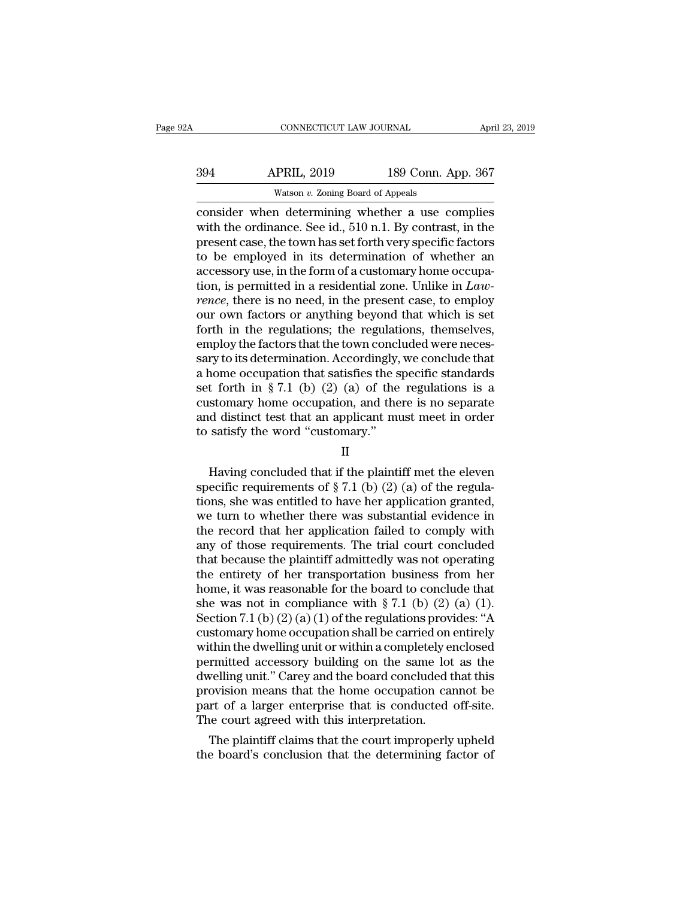|                    | April 23, 2019                                                                                                                            |
|--------------------|-------------------------------------------------------------------------------------------------------------------------------------------|
| <b>APRIL, 2019</b> |                                                                                                                                           |
|                    |                                                                                                                                           |
|                    | CONNECTICUT LAW JOURNAL<br>189 Conn. App. 367<br>Watson $v$ . Zoning Board of Appeals<br>consider when determining whether a use complies |

CONNECTICUT LAW JOURNAL April 23, 2019<br>
394 APRIL, 2019 189 Conn. App. 367<br>
Watson v. Zoning Board of Appeals<br>
consider when determining whether a use complies<br>
with the ordinance. See id., 510 n.1. By contrast, in the Market Stephen (189 Conn. App. 367<br>
Watson v. Zoning Board of Appeals<br>
Consider when determining whether a use complies<br>
with the ordinance. See id., 510 n.1. By contrast, in the<br>
present case, the town has set forth very  $\frac{\text{APRIL, 2019}}{\text{Watson } v. \text{ Zoning Board of Appeals}}$ <br>
consider when determining whether a use complies<br>
with the ordinance. See id., 510 n.1. By contrast, in the<br>
present case, the town has set forth very specific factors<br>
to be employed  $\frac{394}{N_{\text{atson } v. 2019}}$  189 Conn. App. 367<br>  $\frac{367}{N_{\text{atson } v. 2019}}$ <br>  $\frac{189 \text{ Conn. App. } 367}{N_{\text{atron } v. 2019}}$ <br>  $\frac{367}{N_{\text{atron } v. 2019}}$ <br>  $\frac{367}{N_{\text{atron } v. 2019}}$ <br>  $\frac{367}{N_{\text{atron } v. 2019}}$ <br>  $\frac{367}{N_{\text{atron } v. 2019}}$ <br> Watson v. Zoning Board of Appeals<br>
consider when determining whether a use complies<br>
with the ordinance. See id., 510 n.1. By contrast, in the<br>
present case, the town has set forth very specific factors<br>
to be employed in watson *v*. Zoning Board of Appeals<br>
consider when determining whether a use complies<br>
with the ordinance. See id., 510 n.1. By contrast, in the<br>
present case, the town has set forth very specific factors<br>
to be employed i consider when determining whether a use complies<br>with the ordinance. See id., 510 n.1. By contrast, in the<br>present case, the town has set forth very specific factors<br>to be employed in its determination of whether an<br>access with the ordinance. See id., 510 n.1. By contrast, in the present case, the town has set forth very specific factors to be employed in its determination of whether an accessory use, in the form of a customary home occupat present case, the town has set forth very specific factors<br>to be employed in its determination of whether an<br>accessory use, in the form of a customary home occupa-<br>tion, is permitted in a residential zone. Unlike in *Law-<br>* to be employed in its determination of whether an accessory use, in the form of a customary home occupation, is permitted in a residential zone. Unlike in *Lawrence*, there is no need, in the present case, to employ our ow accessory use, in the form of a customary home occupation, is permitted in a residential zone. Unlike in *Lawrence*, there is no need, in the present case, to employ our own factors or anything beyond that which is set fo tion, is permitted in a residential zone. Unlike in *Lawrence*, there is no need, in the present case, to employ<br>our own factors or anything beyond that which is set<br>forth in the regulations; the regulations, themselves,<br> rence, there is no need, in the present case, to employ<br>our own factors or anything beyond that which is set<br>forth in the regulations; the regulations, themselves,<br>employ the factors that the town concluded were neces-<br>sar our own factors or anything beyond that which is set<br>forth in the regulations; the regulations, themselves,<br>employ the factors that the town concluded were neces-<br>sary to its determination. Accordingly, we conclude that<br>a forth in the regulations; the regulations, themselves,<br>employ the factors that the town concluded were neces-<br>sary to its determination. Accordingly, we conclude that<br>a home occupation that satisfies the specific standard employ the factors that the town concl<br>sary to its determination. Accordingly,<br>a home occupation that satisfies the s<br>set forth in § 7.1 (b) (2) (a) of the<br>customary home occupation, and the<br>and distinct test that an appl t forth in § 7.1 (b) (2) (a) of the regulations is a<br>stomary home occupation, and there is no separate<br>d distinct test that an applicant must meet in order<br>satisfy the word "customary."<br>II<br>Having concluded that if the pla

# II

customary home occupation, and there is no separate<br>and distinct test that an applicant must meet in order<br>to satisfy the word "customary."<br> $II$ <br>Having concluded that if the plaintiff met the eleven<br>specific requirements o and distinct test that an applicant must meet in order<br>to satisfy the word "customary."<br> $II$ <br>Having concluded that if the plaintiff met the eleven<br>specific requirements of § 7.1 (b) (2) (a) of the regula-<br>tions, she was en to satisfy the word "customary."<br>
II<br>
Having concluded that if the plaintiff met the eleven<br>
specific requirements of  $\S 7.1$  (b) (2) (a) of the regula-<br>
tions, she was entitled to have her application granted,<br>
we turn t  $\text{II}$ <br>Having concluded that if the plaintiff met the eleven<br>specific requirements of § 7.1 (b) (2) (a) of the regula-<br>tions, she was entitled to have her application granted,<br>we turn to whether there was substantial evi Having concluded that if the plaintiff met the eleven<br>specific requirements of  $\S 7.1$  (b) (2) (a) of the regula-<br>tions, she was entitled to have her application granted,<br>we turn to whether there was substantial evidence Having concluded that if the plaintiff met the eleven<br>specific requirements of  $\S 7.1$  (b) (2) (a) of the regula-<br>tions, she was entitled to have her application granted,<br>we turn to whether there was substantial evidence specific requirements of § 7.1 (b) (2) (a) of the regulations, she was entitled to have her application granted, we turn to whether there was substantial evidence in the record that her application failed to comply with a tions, she was entitled to have her application granted,<br>we turn to whether there was substantial evidence in<br>the record that her application failed to comply with<br>any of those requirements. The trial court concluded<br>that we turn to whether there was substantial evidence in<br>the record that her application failed to comply with<br>any of those requirements. The trial court concluded<br>that because the plaintiff admittedly was not operating<br>the e the record that her application failed to comply with<br>any of those requirements. The trial court concluded<br>that because the plaintiff admittedly was not operating<br>the entirety of her transportation business from her<br>home, any of those requirements. The trial court concluded<br>that because the plaintiff admittedly was not operating<br>the entirety of her transportation business from her<br>home, it was reasonable for the board to conclude that<br>she that because the plaintiff admittedly was not operating<br>the entirety of her transportation business from her<br>home, it was reasonable for the board to conclude that<br>she was not in compliance with § 7.1 (b) (2) (a) (1).<br>Sec the entirety of her transportation business from her<br>home, it was reasonable for the board to conclude that<br>she was not in compliance with § 7.1 (b) (2) (a) (1).<br>Section 7.1 (b) (2) (a) (1) of the regulations provides: "A home, it was reasonable for the board to conclude that<br>she was not in compliance with  $\S 7.1$  (b) (2) (a) (1).<br>Section 7.1 (b) (2) (a) (1) of the regulations provides: "A<br>customary home occupation shall be carried on enti she was not in compliance with  $\S 7.1$  (b) (2) (a) (1).<br>Section 7.1 (b) (2) (a) (1) of the regulations provides: "A<br>customary home occupation shall be carried on entirely<br>within the dwelling unit or within a completely en Section 7.1 (b)  $(2)$  (a)  $(1)$  of the regulations provides: "A customary home occupation shall be carried on entirely within the dwelling unit or within a completely enclosed permitted accessory building on the same lot customary home occupation shall be carried on within the dwelling unit or within a completely enpermitted accessory building on the same lot dwelling unit." Carey and the board concluded t provision means that the home occ thin the aveling unit or within a completely enclosed<br>rmitted accessory building on the same lot as the<br>velling unit." Carey and the board concluded that this<br>ovision means that the home occupation cannot be<br>rt of a larger permitted accessory building on the same lot as the<br>dwelling unit." Carey and the board concluded that this<br>provision means that the home occupation cannot be<br>part of a larger enterprise that is conducted off-site.<br>The cou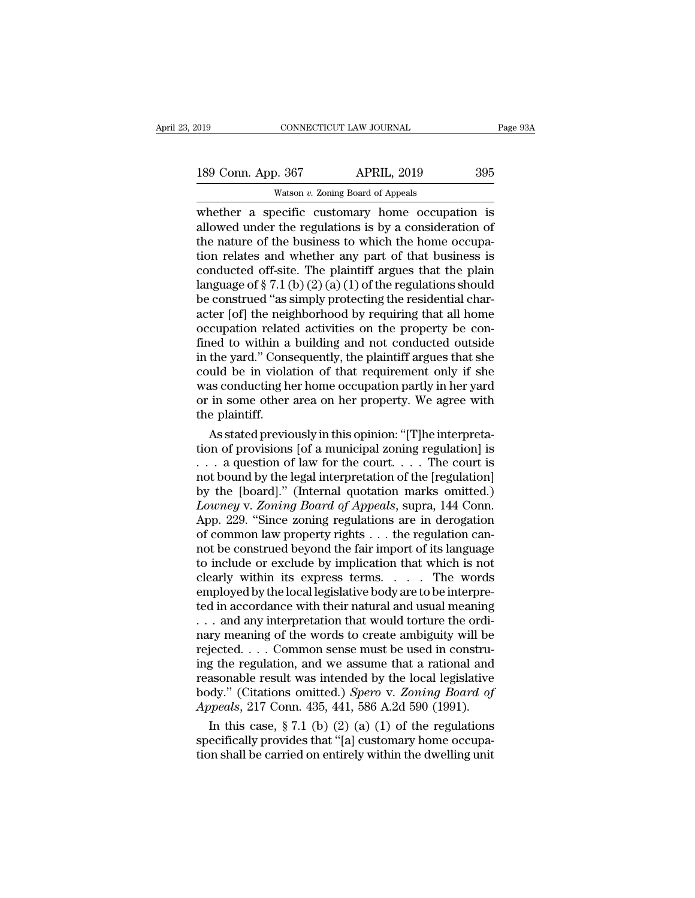| 019                | CONNECTICUT LAW JOURNAL                         | Page 93A |
|--------------------|-------------------------------------------------|----------|
| 189 Conn. App. 367 | <b>APRIL, 2019</b>                              | 395      |
|                    | Watson $v$ . Zoning Board of Appeals            |          |
|                    | whether a specific customary home occupation is |          |

CONNECTICUT LAW JOURNAL Page 93A<br>
189 Conn. App. 367 APRIL, 2019 395<br>
Watson v. Zoning Board of Appeals<br>
whether a specific customary home occupation is<br>
allowed under the regulations is by a consideration of<br>
the nature o 189 Conn. App. 367 APRIL, 2019 395<br>Watson v. Zoning Board of Appeals<br>whether a specific customary home occupation is<br>allowed under the regulations is by a consideration of<br>the nature of the business to which the home occu 189 Conn. App. 367 APRIL, 2019 395<br>Watson v. Zoning Board of Appeals<br>whether a specific customary home occupation is<br>allowed under the regulations is by a consideration of<br>the nature of the business to which the home occu 189 Conn. App. 367 APRIL, 2019 395<br>
Watson *v*. Zoning Board of Appeals<br>
whether a specific customary home occupation is<br>
allowed under the regulations is by a consideration of<br>
the nature of the business to which the hom **Example 12.12 Following Board of Appeals**<br>
Watson *v*. Zoning Board of Appeals<br>
whether a specific customary home occupation is<br>
allowed under the regulations is by a consideration of<br>
the nature of the business to which Watson v. Zoning Board of Appeals<br>whether a specific customary home occupation is<br>allowed under the regulations is by a consideration of<br>the nature of the business to which the home occupa-<br>tion relates and whether any pa whether a specific customary home occupation is<br>allowed under the regulations is by a consideration of<br>the nature of the business to which the home occupa-<br>tion relates and whether any part of that business is<br>conducted o allowed under the regulations is by a consideration of<br>the nature of the business to which the home occupa-<br>tion relates and whether any part of that business is<br>conducted off-site. The plaintiff argues that the plain<br>lan the nature of the business to which the home occupation relates and whether any part of that business is conducted off-site. The plaintiff argues that the plain language of  $\S 7.1$  (b) (2) (a) (1) of the regulations shoul tion relates and whether any part of that business is<br>conducted off-site. The plaintiff argues that the plain<br>language of  $\S 7.1$  (b) (2) (a) (1) of the regulations should<br>be construed "as simply protecting the residentia conducted off-site. The plaintiff argues that the plain<br>language of § 7.1 (b) (2) (a) (1) of the regulations should<br>be construed "as simply protecting the residential char-<br>acter [of] the neighborhood by requiring that al language of  $\S 7.1$  (b) (2) (a) (1) of the regulations should<br>be construed "as simply protecting the residential char-<br>acter [of] the neighborhood by requiring that all home<br>occupation related activities on the property b be construed "as simply protecting the residential character [of] the neighborhood by requiring that all home occupation related activities on the property be confined to within a building and not conducted outside in the acter [of] the neighborhood by requiring that all home occupation related activities on the property be confined to within a building and not conducted outside in the yard." Consequently, the plaintiff argues that she coul occupation relate<br>fined to within a<br>in the yard." Cons<br>could be in viola<br>was conducting h<br>or in some other<br>the plaintiff.<br>As stated previo ned to within a building and not conducted outside<br>the yard." Consequently, the plaintiff argues that she<br>wild be in violation of that requirement only if she<br>as conducting her home occupation partly in her yard<br>in some ot in the yard." Consequently, the plaintiff argues that she<br>could be in violation of that requirement only if she<br>was conducting her home occupation partly in her yard<br>or in some other area on her property. We agree with<br>th

could be in violation of that requirement only if she<br>was conducting her home occupation partly in her yard<br>or in some other area on her property. We agree with<br>the plaintiff.<br>As stated previously in this opinion: "[T]he was conducting her home occupation partly in her yard<br>or in some other area on her property. We agree with<br>the plaintiff.<br>As stated previously in this opinion: "[T]he interpreta-<br>tion of provisions [of a municipal zoning or in some other area on her property. We agree with<br>the plaintiff.<br>As stated previously in this opinion: "[T]he interpreta-<br>tion of provisions [of a municipal zoning regulation] is<br> $\dots$  a question of law for the court. *Lowner Appeals in this opinion: "[T]he interpretation of provisions [of a municipal zoning regulation] is*<br>  $\ldots$  a question of law for the court.  $\ldots$  The court is<br>
not bound by the legal interpretation of the [regulati As stated previously in this opinion: "[T]he interpretation of provisions [of a municipal zoning regulation] is . . . . a question of law for the court. . . . . The court is not bound by the legal interpretation of the [r tion of provisions [of a municipal zoning regulation] is<br>
. . . a question of law for the court. . . . The court is<br>
not bound by the legal interpretation of the [regulation]<br>
by the [board]." (Internal quotation marks om ... a question of law for the court.... The court is<br>not bound by the legal interpretation of the [regulation]<br>by the [board]." (Internal quotation marks omitted.)<br>*Lowney* v. Zoning Board of Appeals, supra, 144 Conn.<br>App not bound by the legal interpretation of the [regulation]<br>by the [board]." (Internal quotation marks omitted.)<br>Lowney v. Zoning Board of Appeals, supra, 144 Conn.<br>App. 229. "Since zoning regulations are in derogation<br>of co by the [board]." (Internal quotation marks omitted.)<br> *Lowney* v. Zoning Board of Appeals, supra, 144 Conn.<br>
App. 229. "Since zoning regulations are in derogation<br>
of common law property rights . . . the regulation can-<br> Lowney v. Zoning Board of Appeals, supra, 144 Conn.<br>App. 229. "Since zoning regulations are in derogation<br>of common law property rights . . . the regulation can-<br>not be construed beyond the fair import of its language<br>to App. 229. "Since zoning regulations are in derogation<br>of common law property rights . . . the regulation can-<br>not be construed beyond the fair import of its language<br>to include or exclude by implication that which is not<br> of common law property rights . . . the regulation cannot be construed beyond the fair import of its language<br>to include or exclude by implication that which is not<br>clearly within its express terms. . . . . The words<br>emplo not be construed beyond the fair import of its language<br>to include or exclude by implication that which is not<br>clearly within its express terms. . . . . The words<br>employed by the local legislative body are to be interpre-<br> to include or exclude by implication that which is not clearly within its express terms. . . . . The words employed by the local legislative body are to be interpreted in accordance with their natural and usual meaning . clearly within its express terms. . . . . The words<br>employed by the local legislative body are to be interpre-<br>ted in accordance with their natural and usual meaning<br>. . . and any interpretation that would torture the ord employed by the local legislative body are to be interpreted in accordance with their natural and usual meaning<br>
... and any interpretation that would torture the ordi-<br>
nary meaning of the words to create ambiguity will ted in accordance with their natural and usual meaning<br>
... and any interpretation that would torture the ordi-<br>
nary meaning of the words to create ambiguity will be<br>
rejected.... Common sense must be used in constru-<br>
in ... and any interpretation that would torture the ordinary meaning of the words to create ambiguity will be rejected.... Common sense must be used in construing the regulation, and we assume that a rational and reasonable In this case, see The words to create ambiguity will be<br>iected.... Common sense must be used in constru-<br>g the regulation, and we assume that a rational and<br>asonable result was intended by the local legislative<br>dy." (Cita rejected.... Common sense must be used in constru-<br>ing the regulation, and we assume that a rational and<br>reasonable result was intended by the local legislative<br>body." (Citations omitted.) *Spero* v. Zoning Board of<br>Appea ing the regulation, and we assume that a rational and<br>reasonable result was intended by the local legislative<br>body." (Citations omitted.) Spero v. Zoning Board of<br>Appeals, 217 Conn. 435, 441, 586 A.2d 590 (1991).<br>In this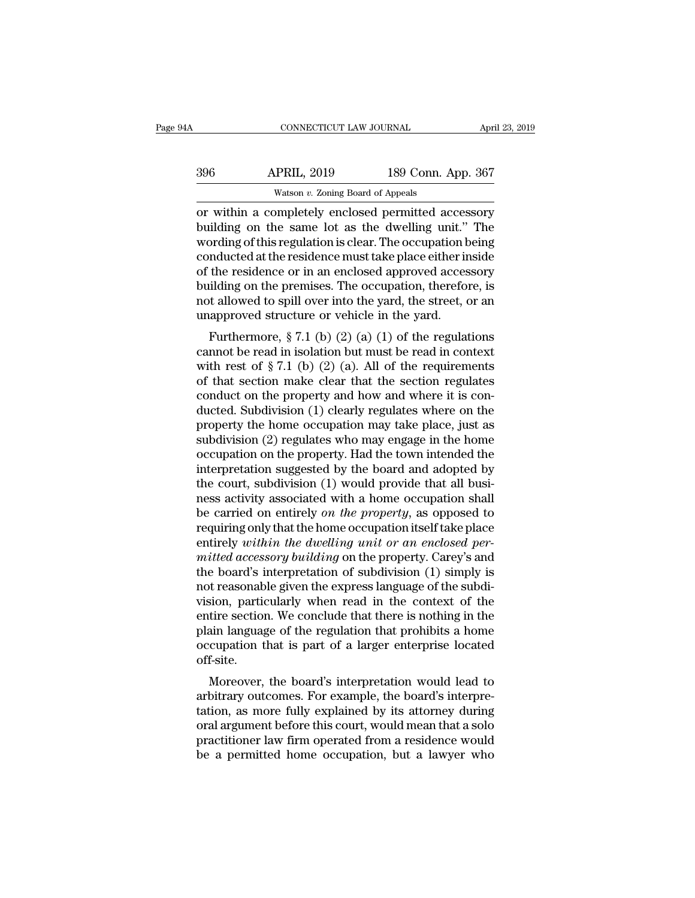| 14A | CONNECTICUT LAW JOURNAL                                                                                                                                                |                    | April 23, 2019 |
|-----|------------------------------------------------------------------------------------------------------------------------------------------------------------------------|--------------------|----------------|
| 396 | <b>APRIL, 2019</b>                                                                                                                                                     | 189 Conn. App. 367 |                |
|     | Watson $v$ . Zoning Board of Appeals                                                                                                                                   |                    |                |
|     | or within a completely enclosed permitted accessory<br>building on the same lot as the dwelling unit." The<br>wording of this requision is clear. The occupation being |                    |                |

Building on the same lot as the dwelling unit." The<br>words of the same lot as the dwelling unit." The<br>wording on the same lot as the dwelling unit." The<br>wording of this regulation is clear. The occupation being<br>conducted at  $\frac{\text{APRIL, 2019}}{\text{Watson } v. \text{ Zoning Board of Appeals}}$ <br>
or within a completely enclosed permitted accessory<br>
building on the same lot as the dwelling unit." The<br>
wording of this regulation is clear. The occupation being<br>
conducted at the r  $\frac{\text{APRIL, 2019}}{\text{Watson } v. \text{ Zoning Board of Appeals}}$ <br>
or within a completely enclosed permitted accessory<br>
building on the same lot as the dwelling unit." The<br>
wording of this regulation is clear. The occupation being<br>
conducted at the Watson v. Zoning Board of Appeals<br>
or within a completely enclosed permitted accessory<br>
building on the same lot as the dwelling unit." The<br>
wording of this regulation is clear. The occupation being<br>
conducted at the resi watson  $v$ . Zoning Board of Appeals<br>
or within a completely enclosed permitted accessory<br>
building on the same lot as the dwelling unit." The<br>
wording of this regulation is clear. The occupation being<br>
conducted at the re or within a completely enclosed permitted accessory<br>building on the same lot as the dwelling unit." The<br>wording of this regulation is clear. The occupation being<br>conducted at the residence must take place either inside<br>of building on the same lot as the dwelling unit."<br>wording of this regulation is clear. The occupation b<br>conducted at the residence must take place either in<br>of the residence or in an enclosed approved acces<br>building on the p From got this regulation is clear. The occupation being<br>mducted at the residence must take place either inside<br>the residence or in an enclosed approved accessory<br>ilding on the premises. The occupation, therefore, is<br>t all conducted at the residence must take place entier inside<br>of the residence or in an enclosed approved accessory<br>building on the premises. The occupation, therefore, is<br>not allowed to spill over into the yard, the street, o

or the restaence of in an enclosed approved accessory<br>building on the premises. The occupation, therefore, is<br>not allowed to spill over into the yard, the street, or an<br>unapproved structure or vehicle in the yard.<br>Further bunding on the premises. The occupation, therefore, is<br>not allowed to spill over into the yard, the street, or an<br>unapproved structure or vehicle in the yard.<br>Furthermore, § 7.1 (b) (2) (a) (1) of the regulations<br>cannot b Furthermore,  $\S 7.1$  (b) (2) (a) (1) of the regulations<br>cannot be read in isolation but must be read in context<br>with rest of  $\S 7.1$  (b) (2) (a). All of the requirements<br>of that section make clear that the section regulat Furthermore, § 7.1 (b) (2) (a) (1) of the regulations<br>cannot be read in isolation but must be read in context<br>with rest of § 7.1 (b) (2) (a). All of the requirements<br>of that section make clear that the section regulates<br>c Furthermore, § 7.1 (b) (2) (a) (1) of the regulations<br>cannot be read in isolation but must be read in context<br>with rest of § 7.1 (b) (2) (a). All of the requirements<br>of that section make clear that the section regulates<br>c cannot be read in isolation but must be read in context<br>with rest of  $\S 7.1$  (b) (2) (a). All of the requirements<br>of that section make clear that the section regulates<br>conduct on the property and how and where it is con-<br> with rest of § 7.1 (b) (2) (a). All of the requirements<br>of that section make clear that the section regulates<br>conduct on the property and how and where it is con-<br>ducted. Subdivision (1) clearly regulates where on the<br>pro of that section make clear that the section regulates<br>conduct on the property and how and where it is con-<br>ducted. Subdivision (1) clearly regulates where on the<br>property the home occupation may take place, just as<br>subdivi conduct on the property and how and where it is con-<br>ducted. Subdivision (1) clearly regulates where on the<br>property the home occupation may take place, just as<br>subdivision (2) regulates who may engage in the home<br>occupati ducted. Subdivision (1) clearly regulates where on the<br>property the home occupation may take place, just as<br>subdivision (2) regulates who may engage in the home<br>occupation on the property. Had the town intended the<br>interpr property the home occupation may take place, just as<br>subdivision (2) regulates who may engage in the home<br>occupation on the property. Had the town intended the<br>interpretation suggested by the board and adopted by<br>the court subdivision (2) regulates who may engage in the home<br>occupation on the property. Had the town intended the<br>interpretation suggested by the board and adopted by<br>the court, subdivision (1) would provide that all busi-<br>ness occupation on the property. Had the town intended the<br>interpretation suggested by the board and adopted by<br>the court, subdivision (1) would provide that all busi-<br>ness activity associated with a home occupation shall<br>be ca interpretation suggested by the board and adopted by<br>the court, subdivision (1) would provide that all busi-<br>ness activity associated with a home occupation shall<br>be carried on entirely *on the property*, as opposed to<br>req the court, subdivision (1) would provide that all busi-<br>ness activity associated with a home occupation shall<br>be carried on entirely *on the property*, as opposed to<br>requiring only that the home occupation itself take plac ness activity associated with a home occupation shall<br>be carried on entirely *on the property*, as opposed to<br>requiring only that the home occupation itself take place<br>entirely *within the dwelling unit or an enclosed per*be carried on entirely *on the property*, as opposed to<br>requiring only that the home occupation itself take place<br>entirely *within the dwelling unit or an enclosed per-*<br>mitted accessory *building* on the property. Carey's requiring only that the home occupation itself take place<br>entirely *within the dwelling unit or an enclosed per-*<br>mitted accessory building on the property. Carey's and<br>the board's interpretation of subdivision (1) simply entirely within the dwelling unit or an enclosed per-<br>mitted accessory building on the property. Carey's and<br>the board's interpretation of subdivision (1) simply is<br>not reasonable given the express language of the subdi-<br>v mitted accessory building on the property. Carey's and<br>the board's interpretation of subdivision (1) simply is<br>not reasonable given the express language of the subdi-<br>vision, particularly when read in the context of the<br>en off-site. of reasonable given the express language of the subulsion, particularly when read in the context of the tire section. We conclude that there is nothing in the ain language of the regulation that prohibits a home cupation t vision, particularly when read in the context of the<br>entire section. We conclude that there is nothing in the<br>plain language of the regulation that prohibits a home<br>occupation that is part of a larger enterprise located<br>of

Finite section. We conclude that there is nothing in the<br>plain language of the regulation that prohibits a home<br>occupation that is part of a larger enterprise located<br>off-site.<br>Moreover, the board's interpretation would le plant language of the regulation that profibits a none<br>occupation that is part of a larger enterprise located<br>off-site.<br>Moreover, the board's interpretation would lead to<br>arbitrary outcomes. For example, the board's interp between that is part of a larger enterprise located<br>off-site.<br>Moreover, the board's interpretation would lead to<br>arbitrary outcomes. For example, the board's interpre-<br>tation, as more fully explained by its attorney during but-site.<br>Moreover, the board's interpretation would lead to<br>arbitrary outcomes. For example, the board's interpre-<br>tation, as more fully explained by its attorney during<br>oral argument before this court, would mean that a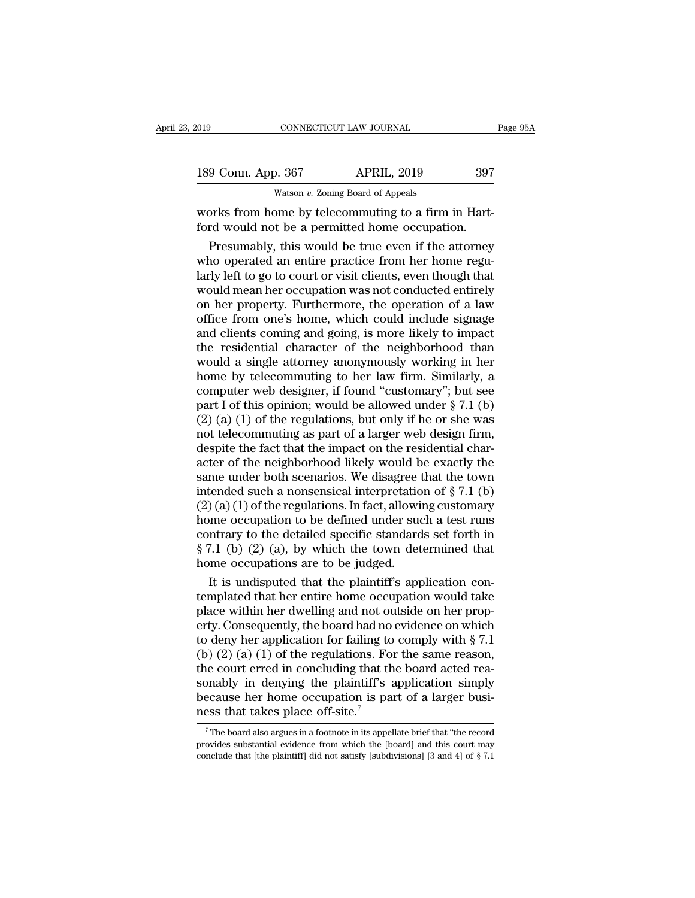| 2019               | CONNECTICUT LAW JOURNAL                                                                                                                                                    | Page 95A |
|--------------------|----------------------------------------------------------------------------------------------------------------------------------------------------------------------------|----------|
|                    |                                                                                                                                                                            |          |
| 189 Conn. App. 367 | <b>APRIL, 2019</b>                                                                                                                                                         | 397      |
|                    | Watson $v$ . Zoning Board of Appeals                                                                                                                                       |          |
|                    | works from home by telecommuting to a firm in Hart-<br>ford would not be a permitted home occupation.                                                                      |          |
|                    | Presumably, this would be true even if the attorney<br>who operated an entire practice from her home regu-<br>larly loft to go to court or visit clients, avon though that |          |

189 Conn. App. 367 APRIL, 2019 397<br>
Watson v. Zoning Board of Appeals<br>
Works from home by telecommuting to a firm in Hart-<br>
ford would not be a permitted home occupation.<br>
Presumably, this would be true even if the attorne Watson  $v$ . Zoning Board of Appeals<br>
works from home by telecommuting to a firm in Hart-<br>
ford would not be a permitted home occupation.<br>
Presumably, this would be true even if the attorney<br>
who operated an entire practic works from home by telecommuting to a firm in Hart-<br>ford would not be a permitted home occupation.<br>Presumably, this would be true even if the attorney<br>who operated an entire practice from her home regu-<br>larly left to go to works from home by telecommuting to a firm in Hart-<br>ford would not be a permitted home occupation.<br>Presumably, this would be true even if the attorney<br>who operated an entire practice from her home regu-<br>larly left to go to ford would not be a permitted home occupation.<br>
Presumably, this would be true even if the attorney<br>
who operated an entire practice from her home regu-<br>
larly left to go to court or visit clients, even though that<br>
would Presumably, this would be true even if the attorney<br>who operated an entire practice from her home regu-<br>larly left to go to court or visit clients, even though that<br>would mean her occupation was not conducted entirely<br>on h who operated an entire practice from her home regularly left to go to court or visit clients, even though that<br>would mean her occupation was not conducted entirely<br>on her property. Furthermore, the operation of a law<br>offic larly left to go to court or visit clients, even though that<br>would mean her occupation was not conducted entirely<br>on her property. Furthermore, the operation of a law<br>office from one's home, which could include signage<br>and would mean her occupation was not conducted entirely<br>on her property. Furthermore, the operation of a law<br>office from one's home, which could include signage<br>and clients coming and going, is more likely to impact<br>the resid on her property. Furthermore, the operation of a law<br>office from one's home, which could include signage<br>and clients coming and going, is more likely to impact<br>the residential character of the neighborhood than<br>would a si office from one's home, which could include signage<br>and clients coming and going, is more likely to impact<br>the residential character of the neighborhood than<br>would a single attorney anonymously working in her<br>home by tele and clients coming and going, is more likely to impact<br>the residential character of the neighborhood than<br>would a single attorney anonymously working in her<br>home by telecommuting to her law firm. Similarly, a<br>computer web the residential character of the neighborhood than<br>would a single attorney anonymously working in her<br>home by telecommuting to her law firm. Similarly, a<br>computer web designer, if found "customary"; but see<br>part I of this would a single attorney anonymously working in her<br>home by telecommuting to her law firm. Similarly, a<br>computer web designer, if found "customary"; but see<br>part I of this opinion; would be allowed under  $\S 7.1$  (b)<br>(2) (a home by telecommuting to her law firm. Similarly, a<br>computer web designer, if found "customary"; but see<br>part I of this opinion; would be allowed under  $\S 7.1$  (b)<br>(2) (a) (1) of the regulations, but only if he or she was computer web designer, if found "customary"; but see<br>part I of this opinion; would be allowed under § 7.1 (b)<br>(2) (a) (1) of the regulations, but only if he or she was<br>not telecommuting as part of a larger web design firm part I of this opinion; would be allowed under § 7.1 (b) (2) (a) (1) of the regulations, but only if he or she was<br>not telecommuting as part of a larger web design firm,<br>despite the fact that the impact on the residential (2) (a) (1) of the regulations, but only if he or she was<br>not telecommuting as part of a larger web design firm,<br>despite the fact that the impact on the residential char-<br>acter of the neighborhood likely would be exactly not telecommuting as part of a larger web design firm,<br>despite the fact that the impact on the residential char-<br>acter of the neighborhood likely would be exactly the<br>same under both scenarios. We disagree that the town<br>i despite the fact that the impact on the residential char-<br>acter of the neighborhood likely would be exactly the<br>same under both scenarios. We disagree that the town<br>intended such a nonsensical interpretation of § 7.1 (b)<br> acter of the neighborhood likely would be exactly the<br>same under both scenarios. We disagree that the town<br>intended such a nonsensical interpretation of § 7.1 (b)<br> $(2)$  (a) (1) of the regulations. In fact, allowing custom same under both scenarios. We disagree tintended such a nonsensical interpretatio  $(2)(a)(1)$  of the regulations. In fact, allowish home occupation to be defined under succontrary to the detailed specific standard  $\S 7.1$  ( Eended such a nonsensical interpretation of  $\S 7.1$  (b) (a) (1) of the regulations. In fact, allowing customary<br>me occupation to be defined under such a test runs<br>ntrary to the detailed specific standards set forth in<br>7.1 (2) (a) (1) of the regulations. In fact, allowing customary<br>home occupation to be defined under such a test runs<br>contrary to the detailed specific standards set forth in<br> $\S 7.1$  (b) (2) (a), by which the town determined t

home occupation to be defined under such a test runs<br>contrary to the detailed specific standards set forth in<br> $\S 7.1$  (b) (2) (a), by which the town determined that<br>home occupations are to be judged.<br>It is undisputed that contrary to the detailed specific standards set forth in  $\S 7.1$  (b) (2) (a), by which the town determined that<br>home occupations are to be judged.<br>It is undisputed that the plaintiff's application con-<br>templated that her  $\S$  7.1 (b) (2) (a), by which the town determined that<br>home occupations are to be judged.<br>It is undisputed that the plaintiff's application con-<br>templated that her entire home occupation would take<br>place within her dwelli home occupations are to be judged.<br>
It is undisputed that the plaintiff's application con-<br>
templated that her entire home occupation would take<br>
place within her dwelling and not outside on her prop-<br>
erty. Consequently, It is undisputed that the plaintiff's application con-<br>templated that her entire home occupation would take<br>place within her dwelling and not outside on her prop-<br>erty. Consequently, the board had no evidence on which<br>to templated that her entire home occupation would take<br>place within her dwelling and not outside on her prop-<br>erty. Consequently, the board had no evidence on which<br>to deny her application for failing to comply with § 7.1<br>( place within her dwelling and not outside on her property. Consequently, the board had no evidence on which to deny her application for failing to comply with  $\S$  7.1 (b) (2) (a) (1) of the regulations. For the same reaso erty. Consequently, the board had no<br>to deny her application for failing to<br>(b) (2) (a) (1) of the regulations. For<br>the court erred in concluding that th<br>sonably in denying the plaintiff's a<br>because her home occupation is ie court erred in concluding that the board acted rea-<br>pnably in denying the plaintiff's application simply<br>ecause her home occupation is part of a larger busi-<br>ess that takes place off-site.<sup>7</sup><br><sup>7</sup>The board also argues in sonably in denying the plaintiff's application simply<br>because her home occupation is part of a larger busi-<br>ness that takes place off-site.<sup>7</sup><br> $\frac{7}{1}$ The board also argues in a footnote in its appellate brief that "the

because her home occupation is part of a larger business that takes place off-site.<sup>7</sup><br> $\frac{1}{\pi}$ The board also argues in a footnote in its appellate brief that "the record provides substantial evidence from which the [bo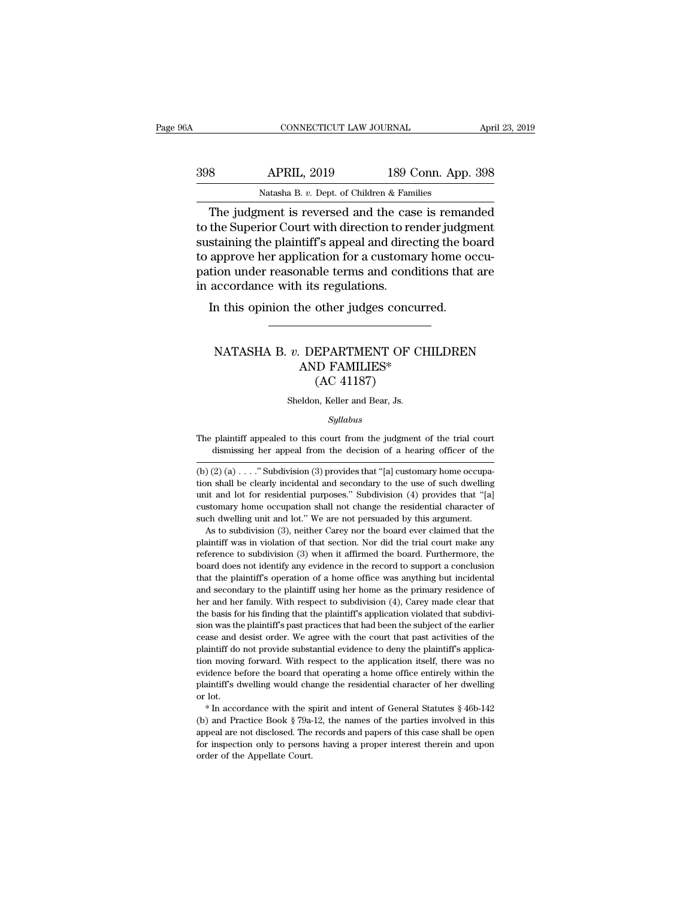| A   | CONNECTICUT LAW JOURNAL                                                                                      |                                                            | April 23, 2019 |
|-----|--------------------------------------------------------------------------------------------------------------|------------------------------------------------------------|----------------|
| 398 | <b>APRIL, 2019</b>                                                                                           | 189 Conn. App. 398                                         |                |
|     | Natasha B. v. Dept. of Children & Families                                                                   |                                                            |                |
|     | The judgment is reversed and the case is remanded<br>to the Superior Court with direction to render judgment | quate ining the plaintiff's appeal and directing the board |                |

189 SMB APRIL, 2019 189 Conn. App. 398<br>
Natasha B. v. Dept. of Children & Families<br>
The judgment is reversed and the case is remanded<br>
to the Superior Court with direction to render judgment<br>
sustaining the plaintiff's app  $\begin{array}{r} \text{SPRIL, 2019} \\ \text{Natasha B. } v. \text{ Dept. of Children & Families} \\ \hline \end{array}$ <br>
The judgment is reversed and the case is remanded to the Superior Court with direction to render judgment sustaining the plaintiff's appeal and directing the board  $\frac{398}{\text{Natasha B. } v. \text{ Dept. of Children & Families}}$ <br>The judgment is reversed and the case is remanded to the Superior Court with direction to render judgment sustaining the plaintiff's appeal and directing the board to approve her applicati Natasha B. v. Dept. of Children & Families<br>The judgment is reversed and the case is remanded<br>to the Superior Court with direction to render judgment<br>sustaining the plaintiff's appeal and directing the board<br>to approve her Natasha B. v. Dept. of Children & Fam<br>
The judgment is reversed and the cas<br>
to the Superior Court with direction to re<br>
sustaining the plaintiff's appeal and directo<br>
to approve her application for a customa<br>
pation under The judginent is reversed and the case is remain<br>the Superior Court with direction to render judger<br>staining the plaintiff's appeal and directing the bo<br>approve her application for a customary home oo<br>tion under reasonable pppove her application for a customary home occu-<br>ion under reasonable terms and conditions that are<br>accordance with its regulations.<br>n this opinion the other judges concurred.<br>NATASHA B. *v.* DEPARTMENT OF CHILDREN<br>AND FA

# rable terms and condition<br>a its regulations.<br>he other judges concurred<br>DEPARTMENT OF CHIL<br>AND FAMILIES\*<br>(AC 41187) other judges concu<br>
CEPARTMENT OF C<br>
EPARTMENT OF C<br>
(AC 41187)<br>
<sub>n, Keller and Bear, Js.</sub> NATASHA B.  $v$ . DEPARTMENT OF CHILDREN<br>AND FAMILIES\*<br>(AC 41187)<br>Sheldon, Keller and Bear, Js.

# *Syllabus*

 $(AC 41187)$ <br>Sheldon, Keller and Bear, Js.<br>Syllabus<br>The plaintiff appealed to this court from the judgment of the trial court<br>dismissing her appeal from the decision of a hearing officer of the  $(AC 41101)$ <br>Sheldon, Keller and Bear, Js.<br>Syllabus<br>plaintiff appealed to this court from the judgment of the trial court<br>dismissing her appeal from the decision of a hearing officer of the<br> $(2)(6)$  ........................

unit and lot for residential purposes." Subdivision (4) provides that "[a] customary home occupation shall not change the residential character of such dwelling unit and lot." We are not persuaded by this argument. As to s customary home occupation shall not change the residential character of such dwelling unit and lot." We are not persuaded by this argument. As to subdivision (3), neither Carey nor the board ever claimed that the plaintif customary home occupation shall not change the residential character of such dwelling unit and lot." We are not persuaded by this argument. As to subdivision (3), neither Carey nor the board ever claimed that the plaintiff As to subdivision (3), neither Carey nor the board ever claimed that the plaintiff was in violation of that section. Nor did the trial court make any reference to subdivision (3) when it affirmed the board. Furthermore, t herefore to subdivision (3) when it affirmed the trial court make any preference to subdivision (3) when it affirmed the board. Furthermore, the board does not identify any evidence in the record to support a conclusion th reference to subdivision (3) when it affirmed the board. Furthermore, the board does not identify any evidence in the record to support a conclusion that the plaintiff's operation of a home office was anything but incident shoard does not identify any evidence in the record to support a conclusion that the plaintiff's operation of a home office was anything but incidental and secondary to the plaintiff using her home as the primary residenc between the plaintiff's operation of a home office was anything but incidental and secondary to the plaintiff using her home as the primary residence of her and her family. With respect to subdivision  $(4)$ , Carey made cl and secondary to the plaintiff' using her home as the primary residence of her and her family. With respect to subdivision (4), Carey made clear that the basis for his finding that the plaintiff's application violated that the moving forward. With respect to subdivision (4), Carey made clear that the basis for his finding that the plaintiff's application violated that subdivision was the plaintiff's past practices that had been the subject o the basis for his finding that the plaintiff's application violated that subdivision was the plaintiff's past practices that had been the subject of the earlier cease and desist order. We agree with the court that past act sion was the plaintiff's past practices that had been the subject of the earlier cease and desist order. We agree with the court that past activities of the plaintiff do not provide substantial evidence to deny the plainti cease and desist order. We agree with the court that past activities of the plaintiff do not provide substantial evidence to deny the plaintiff's application moving forward. With respect to the application itself, there w plaintiff do not provide substantial evidence to deny the plaintiff's application moving forward. With respect to the application itself, there was no evidence before the board that operating a home office entirely within

able with the records and that records and paper of the evidence before the board that operating a home office entirely within the plaintiff's dwelling would change the residential character of her dwelling or lot.<br>
\* In plaintiff's dwelling would change the residential character of her dwelling<br>or lot.<br>\* In accordance with the spirit and intent of General Statutes § 46b-142<br>(b) and Practice Book § 79a-12, the names of the parties involve  $*$  In accordance with the spirit and intent of General Statutes  $§$  46b-142 (b) and Practice Book  $§$  79a-12, the names of the parties involved in this appeal are not disclosed. The records and papers of this case shall

 $Syllabus$ <br>The plaintiff appealed to this court from the judgment of the trial court<br>dismissing her appeal from the decision of a hearing officer of the<br>(b) (2) (a) . . . ." Subdivision (3) provides that "[a] customary home oc  $Syllabus$ <br>The plaintiff appealed to this court from the judgment of the trial court<br>dismissing her appeal from the decision of a hearing officer of the<br>(b) (2) (a) . . . ." Subdivision (3) provides that "[a] customary home oc The plaintiff appealed to this court from the judgment of the trial court<br>dismissing her appeal from the decision of a hearing officer of the<br> $(b)$ (2)(a)...." Subdivision (3) provides that "[a] customary home occupa-<br>tion The plantiful appeared to this court from the judgment of the trial court<br>dismissing her appeal from the decision of a hearing officer of the<br> $(b)$  (2) (a) . . . ." Subdivision (3) provides that "[a] customary home occupadistinuishing the appear front the decision of a hearing officer of the (b) (2) (a) . . . ." Subdivision (3) provides that "[a] customary home occupation shall be clearly incidental and secondary to the use of such dwelli  $(2)(a) \ldots$ ." Subdivision (3) provides that "[a] customary home occupation shall be clearly incidental and secondary to the use of such dwelling it and lot for residential purposes." Subdivision (4) provides that "[a] stom be dearly incidental and secondary to the use of such dwelling<br>unit and lot for residential purposes." Subdivision (4) provides that "[a]<br>customary home occupation shall not change the residential character of<br>such dwelli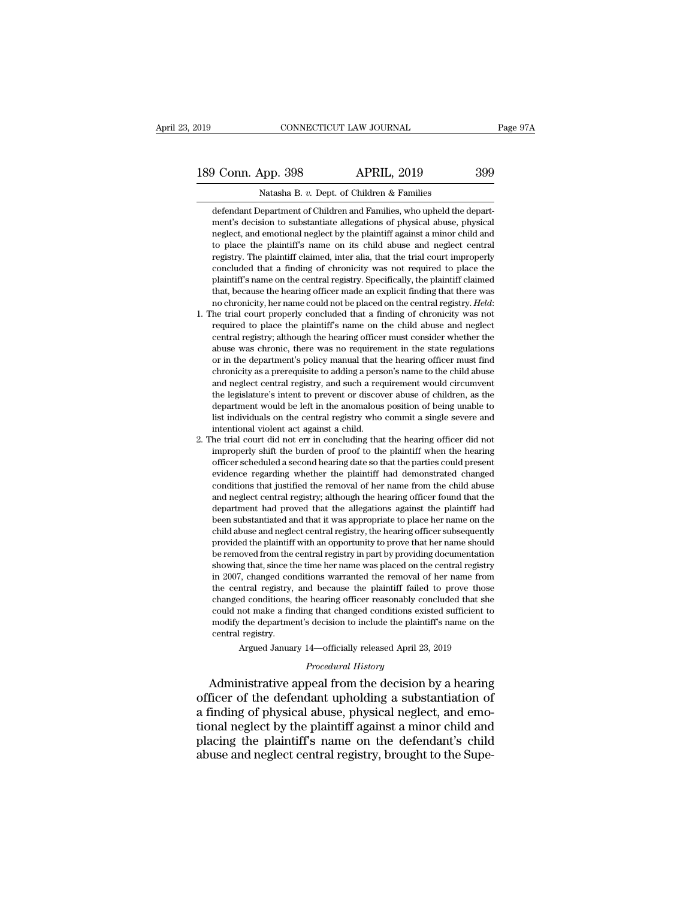Natasha B. *v.* Dept. of Children & Families defendant Department of Children and Families<br>defendant Department of Children and Families, who upheld the depart-<br>ment's decision to substantiate allegations of physical abuse, physical<br>defendant Depart-9 Conn. App. 398 APRIL, 2019 399<br>Natasha B. v. Dept. of Children & Families<br>defendant Department of Children and Families, who upheld the department's decision to substantiate allegations of physical abuse, physical<br>neglec 9 Conn. App. 398 APRIL, 2019 399<br>
Natasha B. v. Dept. of Children & Families<br>
defendant Department of Children and Families, who upheld the department's decision to substantiate allegations of physical abuse, physical<br>
neg Natasha B. v. Dept. of Children & Families<br>defendant Department of Children and Families, who upheld the depart-<br>ment's decision to substantiate allegations of physical abuse, physical<br>neglect, and emotional neglect by the Natasha B. v. Dept. of Children & Families<br>defendant Department of Children and Families, who upheld the depart-<br>ment's decision to substantiate allegations of physical abuse, physical<br>neglect, and emotional neglect by the defendant Department of Children and Families, who upheld the department's decision to substantiate allegations of physical abuse, physical neglect, and emotional neglect by the plaintiff against a minor child and to place definal repartment of childrent and rantines, who upheld the department's decision to substantiate allegations of physical abuse, physical neglect, and emotional neglect by the plaintiff against a minor child and to place thent is decision to substantiate anegations of physical abuse, physical reglect, and emotional neglect by the plaintiff against a minor child and to place the plaintiff's name on its child abuse and neglect central regist notice the plaintiff's name on its child abuse and neglect central registry. The plaintiff's name on its child abuse and neglect central registry. The plaintiff's name on the central registry. Specifically, the plaintiff c registry. The plaintiff calmed, their ana, that the trial court improperty<br>concluded that a finding of chronicity was not required to place the<br>plaintiff's name on the central registry. Specifically, the plaintiff claimed<br>

- concluded that a linding of chronichy was not redured to place the plaintiff's name on the central registry. Specifically, the plaintiff claimed that, because the hearing officer made an explicit finding that there was no plantim s halle on the central registry. Specifically, the plantim claimed<br>that, because the hearing officer made an explicit finding that there was<br>no chronicity, her name could not be placed on the central registry. *Hel* that, because the nearing officer made an expired imding that there was no chronicity, her name could not be placed on the central registry. Held:<br>he trial court properly concluded that a finding of chronicity was not requ no chronicity, her name collection to be placed on the central registry. *Heta*:<br>he trial court properly concluded that a finding of chronicity was not<br>required to place the plaintiff's name on the child abuse and neglect<br> ree trial court properly concluded trial a rinding of chronicity was not required to place the plaintiff's name on the child abuse and neglect central registry; although the hearing officer must consider whether the abuse tequired to place the plantin's halle on the child abuse and hegiect central registry; although the hearing officer must consider whether the abuse was chronic, there was no requirement in the state regulations or in the d dential registry, antiough the nearing officer must consider whether the abuse was chronic, there was no requirement in the state regulations or in the department's policy manual that the hearing officer must find chronici abuse was chronic, there was no requirement in the state regulations<br>or in the department's policy manual that the hearing officer must find<br>chronicity as a prerequisite to adding a person's name to the child abuse<br>and neg or in the department's policy manual that the hearing officer must find<br>chronicity as a prerequisite to adding a person's name to the child abuse<br>and neglect central registry, and such a requirement would circumvent<br>the le enforcing as a prerequisite to adding a person's name to the child abuse<br>and neglect central registry, and such a requirement would circumvent<br>the legislature's intent to prevent or discover abuse of children, as the<br>depar and neglect central registry, and such a requirement would circumvent<br>the legislature's intent to prevent or discover abuse of children, as the<br>department would be left in the anomalous position of being unable to<br>list ind
- the registature s ment to prevent or discover abuse of children, as the department would be left in the anomalous position of being unable to list individuals on the central registry who commit a single severe and intentio department would be left in the anomialous position of being unable to<br>list individuals on the central registry who commit a single severe and<br>intentional violent act against a child.<br>he trial court did not err in concludi inst individuals on the central registry who continut a single severe and<br>intentional violent act against a child.<br>he trial court did not err in concluding that the hearing officer did not<br>improperly shift the burden of pr mentional violent act against a child.<br>
he trial court did not err in concluding that the hearing officer did not<br>
improperly shift the burden of proof to the plaintiff when the hearing<br>
officer scheduled a second hearing department and not err in concluding that the hearing officer and not improperly shift the burden of proof to the plaintiff when the hearing officer scheduled a second hearing date so that the parties could present evidenc miproperly simt the burden of proof to the plantiff when the hearing<br>officer scheduled a second hearing date so that the parties could present<br>evidence regarding whether the plaintiff had demonstrated changed<br>conditions th omcer scheduled a second hearing date so that the parties could present evidence regarding whether the plaintiff had demonstrated changed conditions that justified the removal of her name from the child abuse and neglect c evidence regarding whether the plaintiff had demonstrated changed<br>conditions that justified the removal of her name from the child abuse<br>and neglect central registry; although the hearing officer found that the<br>department conduons that justified the Felloval of her haife from the child abuse<br>and neglect central registry; although the hearing officer found that the<br>department had proved that the allegations against the plaintiff had<br>been sub and neglect central registry; although the hearing omcer round that the department had proved that the allegations against the plaintiff had been substantiated and that it was appropriate to place her name on the child abu department had proved that the anegations against the plantificant been substantiated and that it was appropriate to place her name on the child abuse and neglect central registry, the hearing officer subsequently provided been substantiated and that it was appropriate to piace ner name on the child abuse and neglect central registry, the hearing officer subsequently provided the plaintiff with an opportunity to prove that her name should be changed the plaintiff with an opportunity to prove that her name should<br>be removed from the central registry in part by providing documentation<br>showing that, since the time her name was placed on the central registry<br>in 20 provided the plaintiff with an opportunity to prove that her hame should<br>be removed from the central registry in part by providing documentation<br>showing that, since the time her name was placed on the central registry<br>in 2 be removed front the central registry in part by providing documentation<br>showing that, since the time her name was placed on the central registry<br>in 2007, changed conditions warranted the removal of her name from<br>the centr showing that, since the<br>in 2007, changed cor<br>the central registry,<br>changed conditions,<br>could not make a fin<br>modify the departme<br>central registry.<br>Argued Januar  $\beta$ , can<br>strain registry, and because the plaintiff failed to prove those<br>d conditions, the hearing officer reasonably concluded that she<br>not make a finding that changed conditions existed sufficient to<br>the department's % could not make a finding that changed conditions existed sufficient to<br>modify the department's decision to include the plaintiff's name on the<br>central registry.<br>Argued January 14—officially released April 23, 2019<br>*Proce* the central registry, and because the plantin raned to prove those<br>changed conditions, the hearing officer reasonably concluded that she<br>could not make a finding that changed conditions existed sufficient to<br>modify the dep

could not make a finding that changed conditions existed sufficient to<br>modify the department's decision to include the plaintiff's name on the<br>central registry.<br>Argued January 14—officially released April 23, 2019<br>*Procedu* modify the department's decision to include the plaintiff's name on the<br>central registry.<br>Argued January 14—officially released April 23, 2019<br>*Procedural History*<br>Administrative appeal from the decision by a hearing<br>offic central registry.<br>
Argued January 14—officially released April 23, 2019<br>
Procedural History<br>
Administrative appeal from the decision by a hearing<br>
officer of the defendant upholding a substantiation of<br>
a finding of physic Argued January 14—officially released April 23, 2019<br> *Procedural History*<br> **Administrative appeal from the decision by a hearing**<br>
officer of the defendant upholding a substantiation of<br>
a finding of physical abuse, physi *Procedural History*<br>Administrative appeal from the decision by a hearing<br>officer of the defendant upholding a substantiation of<br>a finding of physical abuse, physical neglect, and emo-<br>tional neglect by the plaintiff again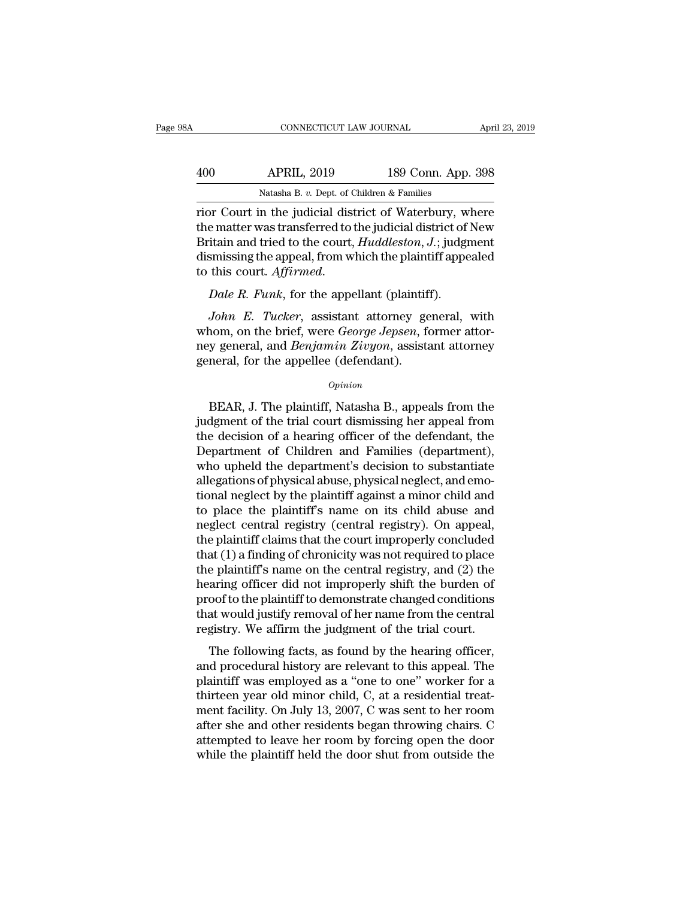| ۱A  | CONNECTICUT LAW JOURNAL                                |                    | April 23, 2019 |
|-----|--------------------------------------------------------|--------------------|----------------|
| 400 | <b>APRIL, 2019</b>                                     | 189 Conn. App. 398 |                |
|     | Natasha B. v. Dept. of Children & Families             |                    |                |
|     | rior Court in the judicial district of Waterbury where |                    |                |

CONNECTICUT LAW JOURNAL April 23, 2019<br>
400 APRIL, 2019 189 Conn. App. 398<br>
Natasha B. v. Dept. of Children & Families<br>
Tior Court in the judicial district of Waterbury, where<br>
the matter was transferred to the judicial di APRIL, 2019 189 Conn. App. 398<br>
Natasha B. v. Dept. of Children & Families<br>
Tior Court in the judicial district of Waterbury, where<br>
the matter was transferred to the judicial district of New<br>
Britain and tried to the cour APRIL, 2019 189 Conn. App. 398<br>
Natasha B. v. Dept. of Children & Families<br>
rior Court in the judicial district of Waterbury, where<br>
the matter was transferred to the judicial district of New<br>
Britain and tried to the cour 400 APRIL, 2019 189 Conn. App. 398<br>
Natasha B. v. Dept. of Children & Families<br>
rior Court in the judicial district of Waterbury, where<br>
the matter was transferred to the judicial district of New<br>
Britain and tried to the Natasha B. *v.* Dept. of Children & Families<br>rior Court in the judicial district of Waterbury, w<br>the matter was transferred to the judicial district of<br>Britain and tried to the court, *Huddleston*, *J*.; judgi<br>dismissing t *John E. Tucker, assistant attorney general, without the plaintiff appeals*<br>*John E. Tucker, assistant attorney general, with any one R. Funk, for the appellant (plaintiff).*<br>*John E. Tucker, assistant attorney general, wi* 

Britain and tried to the court, *Huddleston*, *J*.; judgment<br>dismissing the appeal, from which the plaintiff appealed<br>to this court. *Affirmed*.<br>*Dale R. Funk*, for the appellant (plaintiff).<br>*John E. Tucker*, assistant at dismissing the appeal, from which the plaintiff appealed<br>to this court. *Affirmed.*<br>Dale R. Funk, for the appellant (plaintiff).<br>John E. Tucker, assistant attorney general, with<br>whom, on the brief, were *George Jepsen*, fo to this court. *Affirmed*.<br> *Dale R. Funk*, for the appellant (plaintif<br> *John E. Tucker*, assistant attorney ge<br>
whom, on the brief, were *George Jepsen*, for<br>
ney general, and *Benjamin Zivyon*, assista<br>
general, for the John E. Tucker, assistant attorney general, with<br>nom, on the brief, were *George Jepsen*, former attor-<br>y general, and *Benjamin Zivyon*, assistant attorney<br>neral, for the appellee (defendant).<br> $o_{pinion}$ <br>BEAR, J. The plainti

# *Opinion*

whom, on the brief, were *George Jepsen*, former attor-<br>ney general, and *Benjamin Zivyon*, assistant attorney<br>general, for the appellee (defendant).<br> $o_{pinion}$ <br>BEAR, J. The plaintiff, Natasha B., appeals from the<br>judgment of the decision of a heart of the decision to enhance the decision of a hearing officer of the defendant, the decision of a hearing officer of the defendant, the Department of Children and Families (department), who unhold th general, for the appellee (defendant).<br>  $Opinion$ <br>
BEAR, J. The plaintiff, Natasha B., appeals from the<br>
judgment of the trial court dismissing her appeal from<br>
the decision of a hearing officer of the defendant, the<br>
Departmen opinion<br>
BEAR, J. The plaintiff, Natasha B., appeals from the<br>
judgment of the trial court dismissing her appeal from<br>
the decision of a hearing officer of the defendant, the<br>
Department of Children and Families (departmen BEAR, J. The plaintiff, Natasha B., appeals from the judgment of the trial court dismissing her appeal from the decision of a hearing officer of the defendant, the Department of Children and Families (department), who uphe BEAR, J. The plaintiff, Natasha B., appeals from the<br>judgment of the trial court dismissing her appeal from<br>the decision of a hearing officer of the defendant, the<br>Department of Children and Families (department),<br>who uphe judgment of the trial court dismissing her appeal from<br>the decision of a hearing officer of the defendant, the<br>Department of Children and Families (department),<br>who upheld the department's decision to substantiate<br>allegati the decision of a hearing officer of the defendant, the Department of Children and Families (department), who upheld the department's decision to substantiate allegations of physical abuse, physical neglect, and emotional Department of Children and Families (department),<br>who upheld the department's decision to substantiate<br>allegations of physical abuse, physical neglect, and emo-<br>tional neglect by the plaintiff against a minor child and<br>to who upheld the department's decision to substantiate<br>allegations of physical abuse, physical neglect, and emo-<br>tional neglect by the plaintiff against a minor child and<br>to place the plaintiff's name on its child abuse and<br> allegations of physical abuse, physical neglect, and emotional neglect by the plaintiff against a minor child and<br>to place the plaintiff's name on its child abuse and<br>neglect central registry (central registry). On appeal, tional neglect by the plaintiff against a minor child and<br>to place the plaintiff's name on its child abuse and<br>neglect central registry (central registry). On appeal,<br>the plaintiff claims that the court improperly conclude to place the plaintiff's name on its child abuse and<br>neglect central registry (central registry). On appeal,<br>the plaintiff claims that the court improperly concluded<br>that (1) a finding of chronicity was not required to pla neglect central registry (central registry). On appeal,<br>the plaintiff claims that the court improperly concluded<br>that (1) a finding of chronicity was not required to place<br>the plaintiff's name on the central registry, and the plaintiff claims that the court improperly concluded<br>that (1) a finding of chronicity was not required to place<br>the plaintiff's name on the central registry, and (2) the<br>hearing officer did not improperly shift the bur the plaintiff's name on the central registry, and (2) the<br>aring officer did not improperly shift the burden of<br>oof to the plaintiff to demonstrate changed conditions<br>at would justify removal of her name from the central<br>gi and procedural history are relevant of the burden of<br>proof to the plaintiff to demonstrate changed conditions<br>that would justify removal of her name from the central<br>registry. We affirm the judgment of the trial court.<br>The

proof to the plaintiff to demonstrate changed conditions<br>that would justify removal of her name from the central<br>registry. We affirm the judgment of the trial court.<br>The following facts, as found by the hearing officer,<br>an that would justify removal of her name from the central<br>registry. We affirm the judgment of the trial court.<br>The following facts, as found by the hearing officer,<br>and procedural history are relevant to this appeal. The<br>pla registry. We affirm the judgment of the trial court.<br>The following facts, as found by the hearing officer,<br>and procedural history are relevant to this appeal. The<br>plaintiff was employed as a "one to one" worker for a<br>thirt registry. We all that the judgment of the that court.<br>The following facts, as found by the hearing officer,<br>and procedural history are relevant to this appeal. The<br>plaintiff was employed as a "one to one" worker for a<br>thir The following facts, as found by the hearing officer,<br>and procedural history are relevant to this appeal. The<br>plaintiff was employed as a "one to one" worker for a<br>thirteen year old minor child, C, at a residential treat-<br> and procedural history are relevant to this appeal. The plaintiff was employed as a "one to one" worker for a thirteen year old minor child, C, at a residential treatment facility. On July 13, 2007, C was sent to her room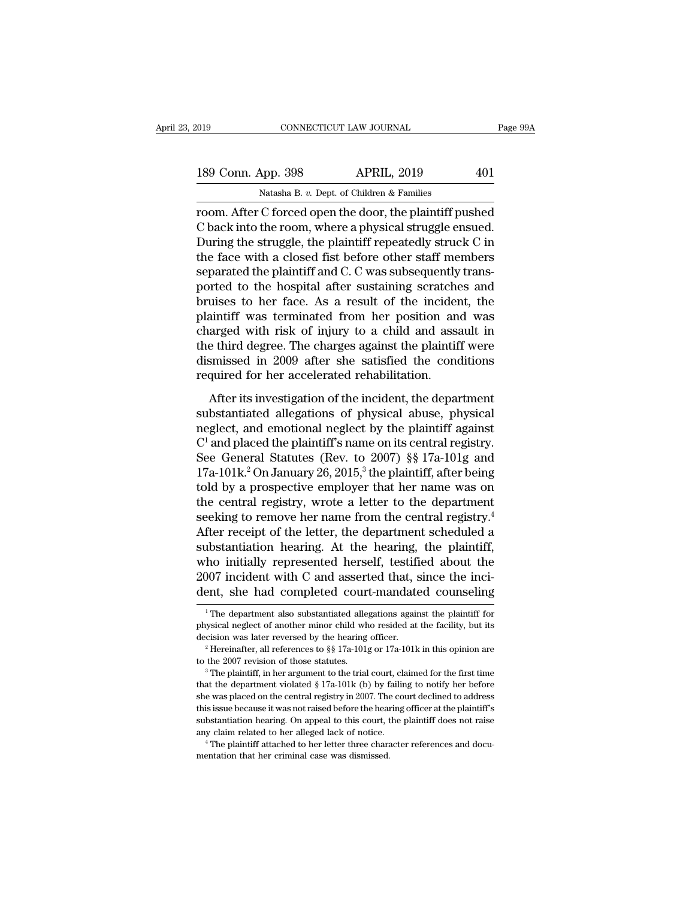| 019                | CONNECTICUT LAW JOURNAL                                | Page 99A |
|--------------------|--------------------------------------------------------|----------|
| 189 Conn. App. 398 | <b>APRIL, 2019</b>                                     | 401      |
|                    | Natasha B. v. Dept. of Children & Families             |          |
|                    | room After C forced open the door the plaintiff pushed |          |

room. App. 398 APRIL, 2019 Page 99A<br>
Natasha B. v. Dept. of Children & Families<br>
Toom. After C forced open the door, the plaintiff pushed<br>
C back into the room, where a physical struggle ensued.<br>
During the struggle the pl 189 Conn. App. 398 APRIL, 2019 401<br>
Natasha B. v. Dept. of Children & Families<br>
Troom. After C forced open the door, the plaintiff pushed<br>
C back into the room, where a physical struggle ensued.<br>
During the struggle, the p 189 Conn. App. 398 APRIL, 2019 401<br>
Natasha B. v. Dept. of Children & Families<br>
room. After C forced open the door, the plaintiff pushed<br>
C back into the room, where a physical struggle ensued.<br>
During the struggle, the p 189 Conn. App. 398 APRIL, 2019 401<br>
Natasha B. v. Dept. of Children & Families<br>
room. After C forced open the door, the plaintiff pushed<br>
C back into the room, where a physical struggle ensued.<br>
During the struggle, the pl Natasha B. *v.* Dept. of Children & Families<br>
room. After C forced open the door, the plaintiff pushed<br>
C back into the room, where a physical struggle ensued.<br>
During the struggle, the plaintiff repeatedly struck C in<br>
th Natasha B. v. Dept. of Children & Families<br>
room. After C forced open the door, the plaintiff pushed<br>
C back into the room, where a physical struggle ensued.<br>
During the struggle, the plaintiff repeatedly struck C in<br>
the room. After C forced open the door, the plaintiff pushed<br>C back into the room, where a physical struggle ensued.<br>During the struggle, the plaintiff repeatedly struck C in<br>the face with a closed fist before other staff memb C back into the room, where a physical struggle ensued.<br>During the struggle, the plaintiff repeatedly struck C in<br>the face with a closed fist before other staff members<br>separated the plaintiff and C. C was subsequently tra During the struggle, the plaintiff repeatedly struck C in<br>the face with a closed fist before other staff members<br>separated the plaintiff and C. C was subsequently trans-<br>ported to the hospital after sustaining scratches an the face with a closed fist before other staff members<br>separated the plaintiff and C. C was subsequently trans-<br>ported to the hospital after sustaining scratches and<br>bruises to her face. As a result of the incident, the<br>pl separated the plaintiff and C. C was subsequently transported to the hospital after sustaining scratches and bruises to her face. As a result of the incident, the plaintiff was terminated from her position and was charged ported to the hospital after sustaining scratche<br>bruises to her face. As a result of the incider<br>plaintiff was terminated from her position an<br>charged with risk of injury to a child and asss<br>the third degree. The charges a Mass is not rate. The a restate of the incident, the<br>aintiff was terminated from her position and was<br>arged with risk of injury to a child and assault in<br>e third degree. The charges against the plaintiff were<br>smissed in 20 charged with risk of injury to a child and assault in<br>the third degree. The charges against the plaintiff were<br>dismissed in 2009 after she satisfied the conditions<br>required for her accelerated rehabilitation.<br>After its in

the third degree. The charges against the plaintiff were<br>dismissed in 2009 after she satisfied the conditions<br>required for her accelerated rehabilitation.<br>After its investigation of the incident, the department<br>substantia  $C<sup>1</sup>$  and placed the plaintiff's name on its central registry. is and acgree. The enarges against the plant in the sismissed in 2009 after she satisfied the conditions<br>equired for her accelerated rehabilitation.<br>After its investigation of the incident, the department<br>ubstantiated all required for her accelerated rehabilitation.<br>
After its investigation of the incident, the department<br>
substantiated allegations of physical abuse, physical<br>
neglect, and emotional neglect by the plaintiff against<br>  $C^1$  After its investigation of the incident, the department<br>substantiated allegations of physical abuse, physical<br>neglect, and emotional neglect by the plaintiff against<br> $C^1$  and placed the plaintiff's name on its central re After its investigation of the incident, the department<br>substantiated allegations of physical abuse, physical<br>neglect, and emotional neglect by the plaintiff against<br> $C^1$  and placed the plaintiff's name on its central re substantiated allegations of physical abuse, physical<br>neglect, and emotional neglect by the plaintiff against<br> $C^1$  and placed the plaintiff's name on its central registry.<br>See General Statutes (Rev. to 2007) §§ 17a-101g neglect, and emotional neglect by the plaintiff against  $C^1$  and placed the plaintiff's name on its central registry.<br>See General Statutes (Rev. to 2007) §§ 17a-101g and<br>17a-101k.<sup>2</sup> On January 26, 2015,<sup>3</sup> the plaintiff C<sup>1</sup> and placed the plaintiff's name on its central registry.<br>See General Statutes (Rev. to 2007) §§ 17a-101g and<br>17a-101k.<sup>2</sup> On January 26, 2015,<sup>3</sup> the plaintiff, after being<br>told by a prospective employer that her nam See General Statutes (Rev. to 2007) §§ 17a-101g and 17a-101k.<sup>2</sup> On January 26, 2015,<sup>3</sup> the plaintiff, after being told by a prospective employer that her name was on the central registry, wrote a letter to the departmen 17a-101k.<sup>2</sup> On January 26, 2015,<sup>3</sup> the plaintiff, after being<br>told by a prospective employer that her name was on<br>the central registry, wrote a letter to the department<br>seeking to remove her name from the central regist told by a prospective employer that her name was on<br>the central registry, wrote a letter to the department<br>seeking to remove her name from the central registry.<sup>4</sup><br>After receipt of the letter, the department scheduled a<br>su the central registry, wrote a letter to the department<br>seeking to remove her name from the central registry.<sup>4</sup><br>After receipt of the letter, the department scheduled a<br>substantiation hearing. At the hearing, the plaintiff, substantiation hearing. At the hearing, the plaintiff, who initially represented herself, testified about the 2007 incident with C and asserted that, since the incident, she had completed court-mandated counseling  $\frac{1}{1$ 

dent, she had completed court-mandated counseling<br>
The department also substantiated allegations against the plaintiff for<br>
physical neglect of another minor child who resided at the facility, but its<br>
decision was later r 2007 incident with C and asserted that, since the incident, she had completed court-mandated counseling  $\frac{1}{1}$  The department also substantiated allegations against the plaintiff for physical neglect of another minor c The 2007 revision of those statutes.<br>
<sup>1</sup> The department also substantiated allegations against the plaintiff for<br>
physical neglect of another minor child who resided at the facility, but its<br>
decision was later reversed

physical neglect of another minor child who resided at the facility, but its<br>decision was later reversed by the hearing officer.<br><sup>2</sup> Hereinafter, all references to §§ 17a-101g or 17a-101k in this opinion are<br>to the 2007 r From the central registry in 2007. The court declined to address and the central registry in 2007 revision of those statutes.<br>
<sup>2</sup> Hereinafter, all references to §§ 17a-101g or 17a-101k in this opinion are to the 2007 rev <sup>2</sup> Hereinafter, all references to §§ 17a-101g or 17a-101k in this opinion are to the 2007 revision of those statutes.<br><sup>3</sup> The plaintiff, in her argument to the trial court, claimed for the first time that the department to the 2007 revision of those statutes.<br>
<sup>3</sup> The plaintiff, in her argument to the trial court, claimed for the first time<br>
that the department violated  $\S 17a-101k$  (b) by failing to notify her before<br>
she was placed on <sup>3</sup> The plaintiff, in her argument to the trial court, claimed for the first time that the department violated  $\S 17a-101k$  (b) by failing to notify her before she was placed on the central registry in 2007. The court dec she was placed on the central registry in 2007. The court declined to address this issue because it was not raised before the hearing officer at the plaintiff's substantiation hearing. On appeal to this court, the plaintif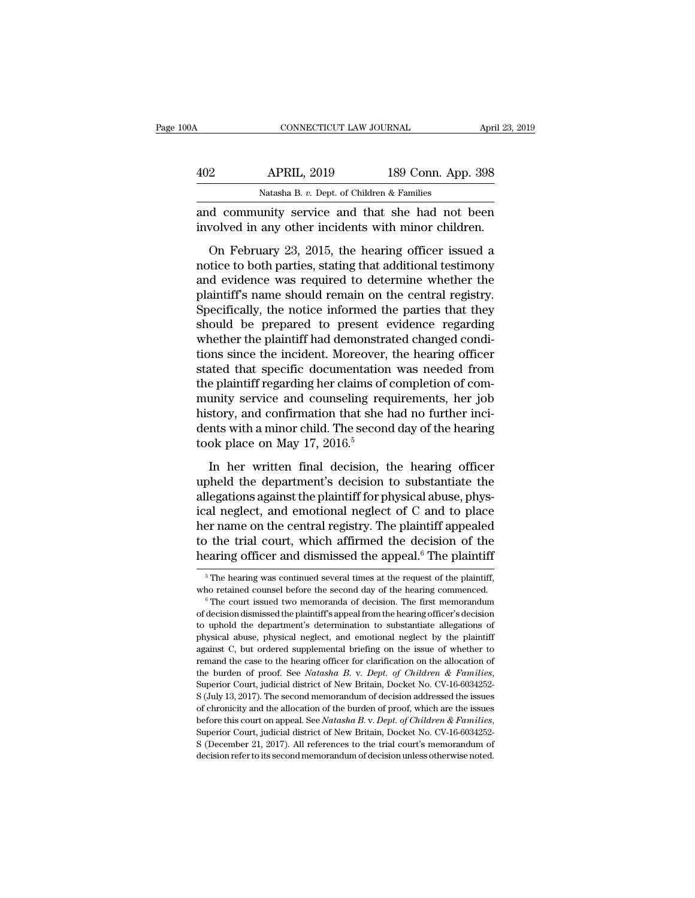| 100A | CONNECTICUT LAW JOURNAL                                                                                 |                    | April 23, 2019 |
|------|---------------------------------------------------------------------------------------------------------|--------------------|----------------|
| 402  | <b>APRIL, 2019</b>                                                                                      | 189 Conn. App. 398 |                |
|      | Natasha B. v. Dept. of Children & Families                                                              |                    |                |
|      | and community service and that she had not been<br>involved in any other incidents with minor children. |                    |                |
|      | On February 23, 2015, the hearing officer issued a                                                      |                    |                |

APRIL, 2019 189 Conn. App. 398<br>
Natasha B. v. Dept. of Children & Families<br>
d community service and that she had not been<br>
volved in any other incidents with minor children.<br>
On February 23, 2015, the hearing officer issue  $\frac{102}{189 \text{ Com. App. 398}}$ <br>
Natasha B. v. Dept. of Children & Families<br>
and community service and that she had not been<br>
involved in any other incidents with minor children.<br>
On February 23, 2015, the hearing officer issued Natasha B. v. Dept. of Children & Families<br>and community service and that she had not been<br>involved in any other incidents with minor children.<br>On February 23, 2015, the hearing officer issued a<br>notice to both parties, st and community service and that she had not been<br>involved in any other incidents with minor children.<br>On February 23, 2015, the hearing officer issued a<br>notice to both parties, stating that additional testimony<br>and evidence involved in any other incidents with minor children.<br>
On February 23, 2015, the hearing officer issued a<br>
notice to both parties, stating that additional testimony<br>
and evidence was required to determine whether the<br>
plain on February 23, 2015, the hearing officer issued a<br>notice to both parties, stating that additional testimony<br>and evidence was required to determine whether the<br>plaintiff's name should remain on the central registry.<br>Specif On February 23, 2015, the hearing officer issued a<br>notice to both parties, stating that additional testimony<br>and evidence was required to determine whether the<br>plaintiff's name should remain on the central registry.<br>Specif notice to both parties, stating that additional testimony<br>and evidence was required to determine whether the<br>plaintiff's name should remain on the central registry.<br>Specifically, the notice informed the parties that they<br>s and evidence was required to determine whether the<br>plaintiff's name should remain on the central registry.<br>Specifically, the notice informed the parties that they<br>should be prepared to present evidence regarding<br>whether th plaintiff's name should remain on the central registry.<br>Specifically, the notice informed the parties that they<br>should be prepared to present evidence regarding<br>whether the plaintiff had demonstrated changed condi-<br>tions s Specifically, the notice informed the parties that they<br>should be prepared to present evidence regarding<br>whether the plaintiff had demonstrated changed condi-<br>tions since the incident. Moreover, the hearing officer<br>stated should be prepared to present evidence regarding<br>whether the plaintiff had demonstrated changed condi-<br>tions since the incident. Moreover, the hearing officer<br>stated that specific documentation was needed from<br>the plainti whether the plaintiff had demonstrated changed condi-<br>tions since the incident. Moreover, the hearing officer<br>stated that specific documentation was needed from<br>the plaintiff regarding her claims of completion of com-<br>muni tions since the incident. Moreover,<br>stated that specific documentatior<br>the plaintiff regarding her claims of<br>munity service and counseling rec<br>history, and confirmation that she l<br>dents with a minor child. The secon<br>took p Example in the product mass in the test of test<br>epiantiff regarding her claims of completion of com-<br>unity service and counseling requirements, her job<br>story, and confirmation that she had no further inci-<br>nts with a minor munity service and counseling requirements, her job<br>history, and confirmation that she had no further inci-<br>dents with a minor child. The second day of the hearing<br>took place on May 17, 2016.<sup>5</sup><br>In her written final decisi

France and controlled positive the plane<br>history, and confirmation that she had no further incidents with a minor child. The second day of the hearing<br>took place on May 17, 2016.<sup>5</sup><br>In her written final decision, the hear dents with a minor child. The second day of the hearing<br>dents with a minor child. The second day of the hearing<br>took place on May 17, 2016.<sup>5</sup><br>In her written final decision, the hearing officer<br>upheld the department's dec took place on May 17, 2016.<sup>5</sup><br>In her written final decision, the hearing officer<br>upheld the department's decision to substantiate the<br>allegations against the plaintiff for physical abuse, phys-<br>ical neglect, and emotiona In her written final decision, the hearing officer<br>upheld the department's decision to substantiate the<br>allegations against the plaintiff for physical abuse, phys-<br>ical neglect, and emotional neglect of C and to place<br>her In her written final decision, the hearing officer<br>upheld the department's decision to substantiate the<br>allegations against the plaintiff for physical abuse, phys-<br>ical neglect, and emotional neglect of C and to place<br>her ical neglect, and emotional neglect of C and to place<br>her name on the central registry. The plaintiff appealed<br>to the trial court, which affirmed the decision of the<br>hearing officer and dismissed the appeal.<sup>6</sup> The plaint her name on the central registry. The plaintiff appealed<br>to the trial court, which affirmed the decision of the<br>hearing officer and dismissed the appeal.<sup>6</sup> The plaintiff<br><sup>5</sup> The hearing was continued several times at the

hearing officer and dismissed the appeal.<sup>6</sup> The plaintiff<br>
<sup>5</sup> The hearing was continued several times at the request of the plaintiff,<br>
who retained counsel before the second day of the hearing commenced.<br>
<sup>6</sup> The court The mainting of the distributed and distributed are appear. The plaintiff,<br>
<sup>5</sup> The hearing was continued several times at the request of the plaintiff,<br>
<sup>6</sup> The court issued two memoranda of decision. The first memorandum  $\,$ <sup>5</sup> The hearing was continued several times at the request of the plaintiff, who retained counsel before the second day of the hearing commenced.  $\,$ <sup>6</sup> The court issued two memoranda of decision. The first memorandu who retained counsel before the second day of the hearing commenced.<br>  $\degree$  The court issued two memoranda of decision. The first memorandum<br>
of decision dismissed the plaintiff's appeal from the hearing officer's decision <sup>6</sup> The court issued two memoranda of decision. The first memorandum of decision dismissed the plaintiff's appeal from the hearing officer's decision to uphold the department's determination to substantiate allegations of of decision dismissed the plaintiff's appeal from the hearing officer's decision<br>to uphold the department's determination to substantiate allegations of<br>physical abuse, physical neglect, and emotional neglect by the plaint by physical abuse, physical neglect, and emotional neglect by the plaintiff against C, but ordered supplemental briefing on the issue of whether to remand the case to the hearing officer for clarification on the allocation against C, but ordered supplemental briefing on the issue of whether to remand the case to the hearing officer for clarification on the allocation of the burden of proof. See *Natasha B.* v. *Dept. of Children & Families* before the hard on appeal. See *Natasha B. v. Dept. of Children & Families*, Superior Court, judicial district of New Britain, Docket No. CV-16-6034252-S (July 13, 2017). The second memorandum of decision addressed the iss Superior Court, judicial district of New Britain, Docket No. CV-16-6034252-<br>S (July 13, 2017). The second memorandum of decision addressed the issues<br>of chronicity and the allocation of the burden of proof, which are the S (July 13, 2017). The second memorandum of decision addressed the issues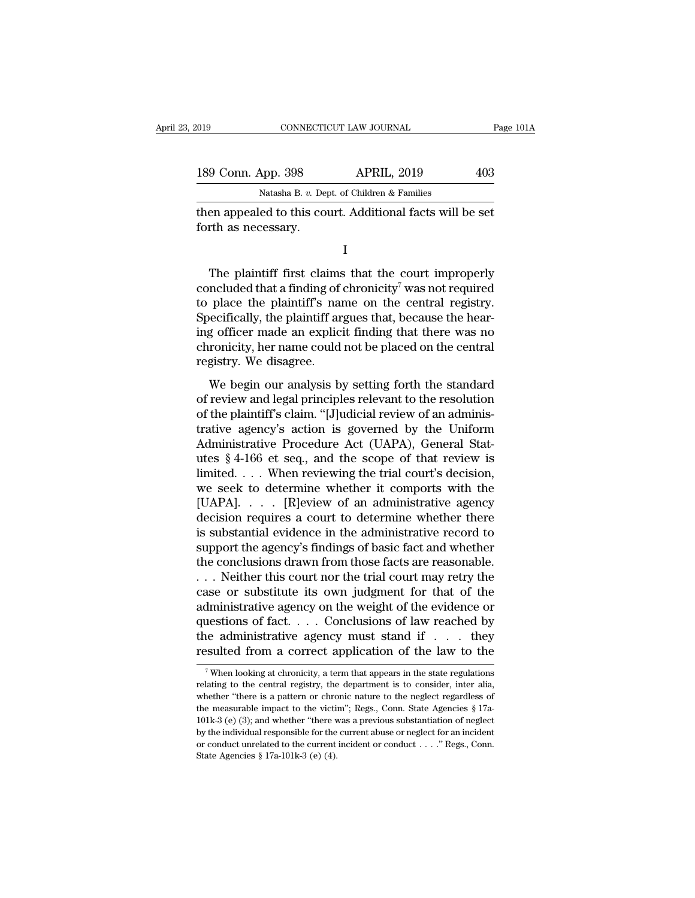| 019                 | CONNECTICUT LAW JOURNAL                                   | Page 101A |
|---------------------|-----------------------------------------------------------|-----------|
| 189 Conn. App. 398  | <b>APRIL, 2019</b>                                        | 403       |
|                     | Natasha B. v. Dept. of Children & Families                |           |
| forth as necessary. | then appealed to this court. Additional facts will be set |           |
|                     |                                                           |           |

Natasha B. v. Dept. of Children & Families<br>
en appealed to this court. Additional facts will be set<br>
rth as necessary.<br>
I<br>
The plaintiff first claims that the court improperly<br>
ncluded that a finding of chronicity<sup>7</sup> was Experience of children a frammer and then appealed to this court. Additional facts will be set<br>forth as necessary.<br>I<br>The plaintiff first claims that the court improperly<br>concluded that a finding of chronicity<sup>7</sup> was not re then appealed to this court. Additional facts will be set<br>forth as necessary.<br>I<br>The plaintiff first claims that the court improperly<br>concluded that a finding of chronicity<sup>7</sup> was not required<br>to place the plaintiff's name  $\footnotesize$  I<br>The plaintiff first claims that the court improperly<br>concluded that a finding of chronicity<sup>7</sup> was not required<br>to place the plaintiff's name on the central registry.<br>Specifically, the plaintiff argues that, beca I<br>
I<br>
The plaintiff first claims that the court improperly<br>
concluded that a finding of chronicity<sup>7</sup> was not required<br>
to place the plaintiff's name on the central registry.<br>
Specifically, the plaintiff argues that, becau The plaintiff first claims that the court improperly concluded that a finding of chronicity<sup>7</sup> was not required to place the plaintiff's name on the central registry. Specifically, the plaintiff argues that, because the h The plaintiff first claims<br>concluded that a finding of<br>to place the plaintiff's nai<br>Specifically, the plaintiff ar<br>ing officer made an explic<br>chronicity, her name could<br>registry. We disagree.<br>We begin our analysis b place the plaintiff's name on the central registry.<br>
becifically, the plaintiff argues that, because the hear-<br>
g officer made an explicit finding that there was no<br>
ronicity, her name could not be placed on the central<br>
g to place the plaintin's hante on the central registry.<br>Specifically, the plaintiff argues that, because the hear-<br>ing officer made an explicit finding that there was no<br>chronicity, her name could not be placed on the centr

officer made an explicit finding that there was no chronicity, her name could not be placed on the central registry. We disagree.<br>We begin our analysis by setting forth the standard of review and legal principles relevant trative, her name could not be placed on the central<br>registry. We disagree.<br>We begin our analysis by setting forth the standard<br>of review and legal principles relevant to the resolution<br>of the plaintiff's claim. "[J]udicia registry. We disagree.<br>We begin our analysis by setting forth the standard<br>of review and legal principles relevant to the resolution<br>of the plaintiff's claim. "[J]udicial review of an adminis-<br>trative agency's action is go We begin our analysis by setting forth the standard<br>of review and legal principles relevant to the resolution<br>of the plaintiff's claim. "[J]udicial review of an adminis-<br>trative agency's action is governed by the Uniform<br> We begin our analysis by setting forth the standard<br>of review and legal principles relevant to the resolution<br>of the plaintiff's claim. "[J]udicial review of an adminis-<br>trative agency's action is governed by the Uniform<br>A of review and legal principles relevant to the resolution<br>of the plaintiff's claim. "[J]udicial review of an adminis-<br>trative agency's action is governed by the Uniform<br>Administrative Procedure Act (UAPA), General Stat-<br>ut of the plaintiff's claim. "[J]udicial review of an administrative agency's action is governed by the Uniform<br>Administrative Procedure Act (UAPA), General Stat-<br>utes § 4-166 et seq., and the scope of that review is<br>limited. trative agency's action is governed by the Uniform<br>Administrative Procedure Act (UAPA), General Stat-<br>utes  $§$  4-166 et seq., and the scope of that review is<br>limited. . . . When reviewing the trial court's decision,<br>we se Administrative Procedure Act (UAPA), General Stat-<br>utes § 4-166 et seq., and the scope of that review is<br>limited.... When reviewing the trial court's decision,<br>we seek to determine whether it comports with the<br>[UAPA].... utes  $\S$  4-166 et seq., and the scope of that review is<br>limited.... When reviewing the trial court's decision,<br>we seek to determine whether it comports with the<br>[UAPA].... [R]eview of an administrative agency<br>decision req limited. . . . When reviewing the trial court's decision,<br>we seek to determine whether it comports with the<br>[UAPA]. . . . [R]eview of an administrative agency<br>decision requires a court to determine whether there<br>is substa we seek to determine whether it comports with the<br>[UAPA]. . . . [R]eview of an administrative agency<br>decision requires a court to determine whether there<br>is substantial evidence in the administrative record to<br>support the [UAPA]. . . . . [R]eview of an administrative agency<br>decision requires a court to determine whether there<br>is substantial evidence in the administrative record to<br>support the agency's findings of basic fact and whether<br>the decision requires a court to determine whether there<br>is substantial evidence in the administrative record to<br>support the agency's findings of basic fact and whether<br>the conclusions drawn from those facts are reasonable.<br>.. is substantial evidence in the administrative record to<br>support the agency's findings of basic fact and whether<br>the conclusions drawn from those facts are reasonable.<br>. . . Neither this court nor the trial court may retry support the agency's findings of basic fact and whether<br>the conclusions drawn from those facts are reasonable.<br>... Neither this court nor the trial court may retry the<br>case or substitute its own judgment for that of the<br>ad the conclusions drawn from those facts are reasonable.<br>
... Neither this court nor the trial court may retry the<br>
case or substitute its own judgment for that of the<br>
administrative agency on the weight of the evidence or ministrative agency on the weight of the evidence or<br>intestions of fact.... Conclusions of law reached by<br>the administrative agency must stand if ... they<br>sulted from a correct application of the law to the<br> $\frac{7}{7}$  When questions of fact. . . . Conclusions of law reached by<br>the administrative agency must stand if . . . they<br>resulted from a correct application of the law to the<br> $\frac{1}{7}$  When looking at chronicity, a term that appears in

the administrative agency must stand if . . . they resulted from a correct application of the law to the  $\frac{1}{\sqrt{N}}$  when looking at chronicity, a term that appears in the state regulations relating to the central regist resulted from a correct application of the law to the  $\frac{1}{\sqrt{2}}$  when looking at chronicity, a term that appears in the state regulations relating to the central registry, the department is to consider, inter alia, whet <sup>7</sup> When looking at chronicity, a term that appears in the state regulations relating to the central registry, the department is to consider, inter alia, whether "there is a pattern or chronic nature to the neglect regard <sup>7</sup> When looking at chronicity, a term that appears in the state regulations relating to the central registry, the department is to consider, inter alia, whether "there is a pattern or chronic nature to the neglect regard relating to the central registry, the department is to consider, inter alia, whether "there is a pattern or chronic nature to the neglect regardless of the measurable impact to the victim"; Regs., Conn. State Agencies § 1 State  $\alpha$  "there is a pattern or chromother "there is a pattern or chromothe measurable impact to the viction 101k-3 (e) (3); and whether "there v<br>by the individual responsible for the or conduct unrelated to the current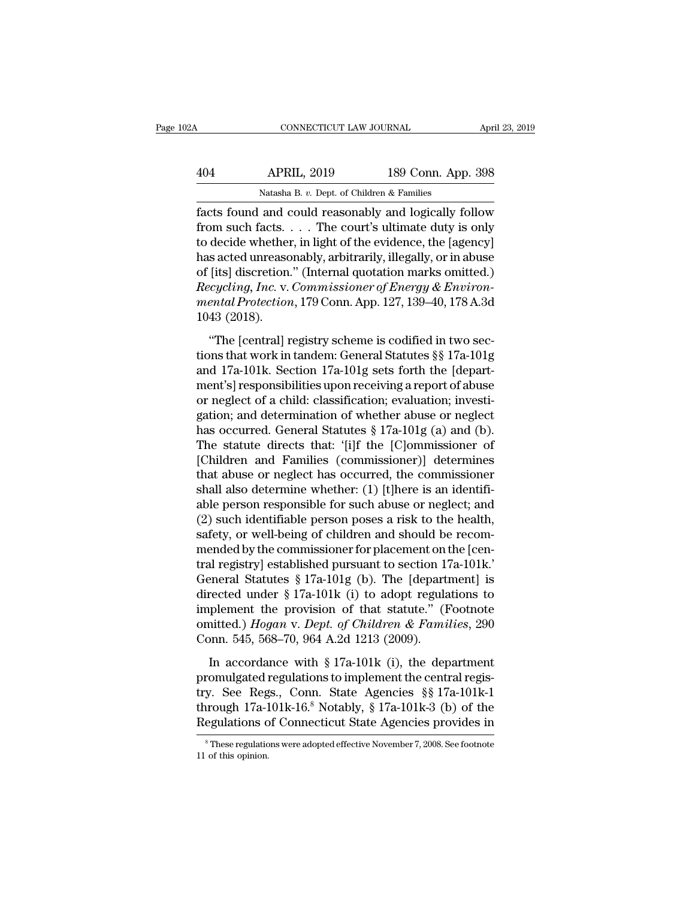| April 23, 2019                                        | CONNECTICUT LAW JOURNAL                    |     |
|-------------------------------------------------------|--------------------------------------------|-----|
| 189 Conn. App. 398                                    | <b>APRIL, 2019</b>                         | 404 |
|                                                       | Natasha B. v. Dept. of Children & Families |     |
| facts found and could reasonably and logically follow |                                            |     |

Facts found and could reasonably and logically follow<br>
the decide whether in light of the curt's ultimate duty is only<br>
the decide whether in light of the cuidence, the logonary<br>
the decide whether in light of the cuidence APRIL, 2019 189 Conn. App. 398<br>
Natasha B. v. Dept. of Children & Families<br>
facts found and could reasonably and logically follow<br>
from such facts. . . . The court's ultimate duty is only<br>
to decide whether, in light of th AD 404 APRIL, 2019 189 Conn. App. 398<br>
Natasha B. v. Dept. of Children & Families<br>
facts found and could reasonably and logically follow<br>
from such facts. . . . The court's ultimate duty is only<br>
to decide whether, in ligh APRIL, 2019 189 Conn. App. 398<br>
Natasha B. v. Dept. of Children & Families<br>
facts found and could reasonably and logically follow<br>
from such facts. . . . The court's ultimate duty is only<br>
to decide whether, in light of t Natasha B. v. Dept. of Children & Families<br>
facts found and could reasonably and logically follow<br>
from such facts. . . . The court's ultimate duty is only<br>
to decide whether, in light of the evidence, the [agency]<br>
has a <sup>Natasha B. *v.* Dept. of Chudren & Families<br>facts found and could reasonably and logically follow<br>from such facts. . . . . The court's ultimate duty is only<br>to decide whether, in light of the evidence, the [agency]<br>has ac</sup> facts found and could reasonably and logically follow<br>from such facts. . . . The court's ultimate duty is only<br>to decide whether, in light of the evidence, the [agency]<br>has acted unreasonably, arbitrarily, illegally, or in from such facts.<br>to decide whether<br>has acted unreasc<br>of [its] discretion.<br>*Recycling, Inc.* v.<br>*mental Protectior*<br>1043 (2018).<br>"The [central] r s acted unreasonably, arbitrarily, illegally, or in abuse<br>
[its] discretion." (Internal quotation marks omitted.)<br> *ccycling, Inc.* v. *Commissioner of Energy & Environ-*<br> *ental Protection*, 179 Conn. App. 127, 139–40, 17 that work in tandem: (Internal quotation marks omitted.)<br>
Recycling, Inc. v. Commissioner of Energy & Environ-<br>
mental Protection, 179 Conn. App. 127, 139–40, 178 A.3d<br>
1043 (2018).<br>
"The [central] registry scheme is codi

and *Recycling, Inc.* v. Commissioner of Energy & Environ-<br>
mental Protection, 179 Conn. App. 127, 139–40, 178 A.3d<br>
1043 (2018).<br>
"The [central] registry scheme is codified in two sections that work in tandem: General Sta mental Protection, 179 Conn. App. 127, 139–40, 178 A.3d<br>
1043 (2018).<br>
"The [central] registry scheme is codified in two sec-<br>
tions that work in tandem: General Statutes §§ 17a-101g<br>
and 17a-101k. Section 17a-101g sets f 1043 (2018).<br>
"The [central] registry scheme is codified in two sections that work in tandem: General Statutes §§ 17a-101g<br>
and 17a-101k. Section 17a-101g sets forth the [depart-<br>
ment's] responsibilities upon receiving a "The [central] registry scheme is codified in two sections that work in tandem: General Statutes  $\S$  17a-101g<br>and 17a-101k. Section 17a-101g sets forth the [depart-<br>ment's] responsibilities upon receiving a report of abus "The [central] registry scheme is codified in two sections that work in tandem: General Statutes §§ 17a-101g<br>and 17a-101k. Section 17a-101g sets forth the [depart-<br>ment's] responsibilities upon receiving a report of abuse tions that work in tandem: General Statutes §§ 17a-101g<br>and 17a-101k. Section 17a-101g sets forth the [depart-<br>ment's] responsibilities upon receiving a report of abuse<br>or neglect of a child: classification; evaluation; in and 17a-101k. Section 17a-101g sets forth the [depart-<br>ment's] responsibilities upon receiving a report of abuse<br>or neglect of a child: classification; evaluation; investi-<br>gation; and determination of whether abuse or neg ment's] responsibilities upon receiving a report of abuse<br>or neglect of a child: classification; evaluation; investi-<br>gation; and determination of whether abuse or neglect<br>has occurred. General Statutes § 17a-101g (a) and or neglect of a child: classification; evaluation; investigation; and determination of whether abuse or neglect<br>has occurred. General Statutes § 17a-101g (a) and (b).<br>The statute directs that: '[i]f the [C]ommissioner of<br> gation; and determination of whether abuse or neglect<br>has occurred. General Statutes § 17a-101g (a) and (b).<br>The statute directs that: '[i]f the [C]ommissioner of<br>[Children and Families (commissioner)] determines<br>that abus has occurred. General Statutes § 17a-101g (a) and (b).<br>The statute directs that: '[i]f the [C]ommissioner of<br>[Children and Families (commissioner)] determines<br>that abuse or neglect has occurred, the commissioner<br>shall also The statute directs that: '(i)f the [C]ommissioner of<br>[Children and Families (commissioner)] determines<br>that abuse or neglect has occurred, the commissioner<br>shall also determine whether: (1) [t]here is an identifi-<br>able p [Children and Families (commissioner)] determines<br>that abuse or neglect has occurred, the commissioner<br>shall also determine whether: (1) [t]here is an identifi-<br>able person responsible for such abuse or neglect; and<br>(2) s that abuse or neglect has occurred, the commissioner<br>shall also determine whether: (1) [t]here is an identifi-<br>able person responsible for such abuse or neglect; and<br>(2) such identifiable person poses a risk to the health shall also determine whether: (1) [t]here is an identifi-<br>able person responsible for such abuse or neglect; and<br>(2) such identifiable person poses a risk to the health,<br>safety, or well-being of children and should be rec able person responsible for such abuse or neglect; and<br>(2) such identifiable person poses a risk to the health,<br>safety, or well-being of children and should be recom-<br>mended by the commissioner for placement on the [cen-<br> (2) such identifiable person poses a risk to the health,<br>safety, or well-being of children and should be recom-<br>mended by the commissioner for placement on the [cen-<br>tral registry] established pursuant to section 17a-101k safety, or well-being of children and should be recommended by the commissioner for placement on the [central registry] established pursuant to section 17a-101k.'<br>General Statutes § 17a-101g (b). The [department] is<br>direct mended by the commissioner for placement on tral registry] established pursuant to section 1'<br>General Statutes § 17a-101g (b). The [depart<br>directed under § 17a-101k (i) to adopt regula<br>implement the provision of that stat In a statutes § 17a-101g (b). The [department] is<br>rected under § 17a-101k (i) to adopt regulations to<br>plement the provision of that statute." (Footnote<br>nitted.) *Hogan* v. *Dept. of Children & Families*, 290<br>ponn. 545, 56 directed under § 17a-101k (i) to adopt regulations to<br>implement the provision of that statute." (Footnote<br>omitted.) *Hogan v. Dept. of Children & Families*, 290<br>Conn. 545, 568–70, 964 A.2d 1213 (2009).<br>In accordance with

implement the provision of that statute." (Footnote<br>omitted.) *Hogan* v. Dept. of Children & Families, 290<br>Conn. 545, 568–70, 964 A.2d 1213 (2009).<br>In accordance with § 17a-101k (i), the department<br>promulgated regulations through 17a-101k-16.8 Notably, § 17a-101k-3 (b) of the Regulations of Children & Families, 290<br>In accordance with § 17a-101k (i), the department<br>promulgated regulations to implement the central regis-<br>try. See Regs., Conn. Conn. 545, 568–70, 964 A.2d 1213 (2009).<br>
In accordance with § 17a-101k (i), the department<br>
promulgated regulations to implement the central regis-<br>
try. See Regs., Conn. State Agencies §§ 17a-101k-1<br>
through 17a-101k-16 promulgated regulations to implement the central registry. See Regs., Conn. State Agencies  $\S$  17a-101k-1<br>through 17a-101k-16.<sup>8</sup> Notably,  $\S$  17a-101k-3 (b) of the<br>Regulations of Connecticut State Agencies provides in<br> $\$ Regulations of Connecticut State Agencies provides in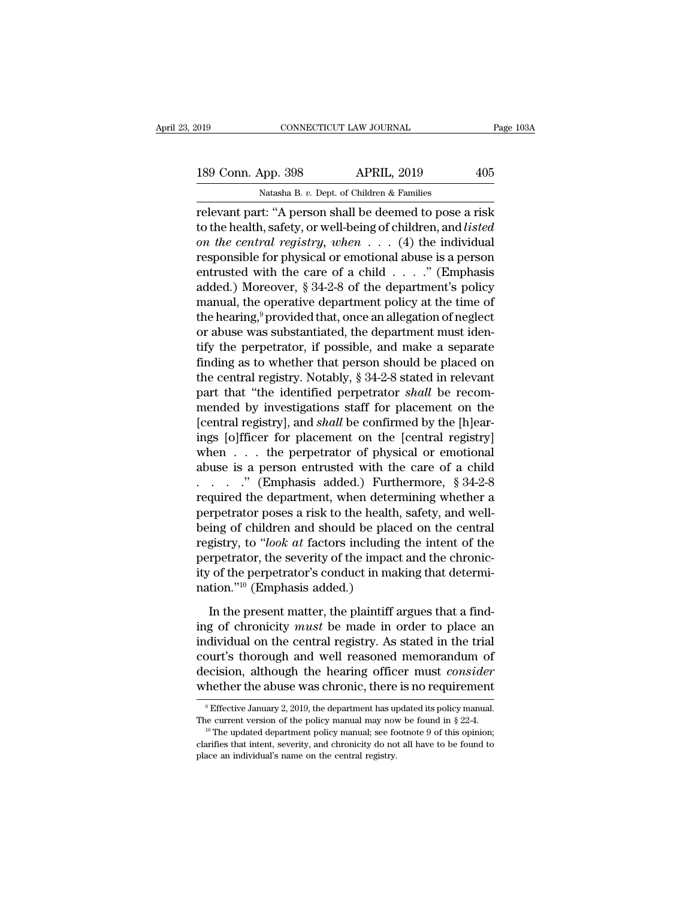189 Conn. App. 398 APRIL, 2019 2015<br>Natasha B. v. Dept. of Children & Families

CONNECTICUT LAW JOURNAL<br>
189 Conn. App. 398 APRIL, 2019 405<br>
Natasha B. *v.* Dept. of Children & Families<br>
Televant part: "A person shall be deemed to pose a risk relevant part: ''A person shall be deemed to pose a risk<br>
relevant part: ''A person shall be deemed to pose a risk<br>
to the health, safety, or well-being of children, and *listed*<br>
can the control registry when (4) the indi 189 Conn. App. 398 APRIL, 2019 405<br>
Natasha B. v. Dept. of Children & Families<br>
relevant part: "A person shall be deemed to pose a risk<br>
to the health, safety, or well-being of children, and *listed*<br>
on the central regist 189 Conn. App. 398 *on APRIL, 2019 APRIL*<br> *Natasha B. v. Dept. of Children & Families*<br> **on the central registry, or well-being of children, and listed**<br> *on the central registry, when* . . . . (4) the individual<br>
res 189 Conn. App. 398 APRIL, 2019 405<br>
Natasha B. v. Dept. of Children & Families<br>
relevant part: "A person shall be deemed to pose a risk<br>
to the health, safety, or well-being of children, and *listed*<br>
on the central regis Natasha B. v. Dept. of Children & Families<br>
relevant part: "A person shall be deemed to pose a risk<br>
to the health, safety, or well-being of children, and *listed*<br>
on the central registry, when . . . (4) the individual<br> **Example 12** For the control of the health, safety, or well-being of children, and *listed*<br>on the central registry, when  $\ldots$  (4) the individual<br>responsible for physical or emotional abuse is a person<br>entrusted with the relevant part: "A person shall be deemed to pose a risk<br>to the health, safety, or well-being of children, and *listed*<br>on the central registry, when  $\dots$  (4) the individual<br>responsible for physical or emotional abuse is a to the health, safety, or well-being of children, and *listed*<br>on the central registry, when . . . (4) the individual<br>responsible for physical or emotional abuse is a person<br>entrusted with the care of a child . . . . ." ( on the central registry, when  $\dots$  (4) the individual responsible for physical or emotional abuse is a person entrusted with the care of a child  $\dots$ ." (Emphasis added.) Moreover, § 34-2-8 of the department's policy manua responsible for physical or emotional abuse is a person<br>entrusted with the care of a child . . . ." (Emphasis<br>added.) Moreover, § 34-2-8 of the department's policy<br>manual, the operative department policy at the time of<br>th entrusted with the care of a child . . . . ." (Emphasis<br>added.) Moreover, § 34-2-8 of the department's policy<br>manual, the operative department policy at the time of<br>the hearing,<sup>9</sup> provided that, once an allegation of neg added.) Moreover, § 34-2-8 of the department's policy<br>manual, the operative department policy at the time of<br>the hearing,<sup>9</sup> provided that, once an allegation of neglect<br>or abuse was substantiated, the department must iden the hearing,<sup>9</sup> provided that, once an allegation of neglect<br>or abuse was substantiated, the department must iden-<br>tify the perpetrator, if possible, and make a separate<br>finding as to whether that person should be placed o the hearing,<sup>9</sup> provided that, once an allegation of neglect<br>or abuse was substantiated, the department must iden-<br>tify the perpetrator, if possible, and make a separate<br>finding as to whether that person should be placed or abuse was substantiated, the department must identify the perpetrator, if possible, and make a separate finding as to whether that person should be placed on the central registry. Notably, § 34-2-8 stated in relevant pa tify the perpetrator, if possible, and make a separate<br>finding as to whether that person should be placed on<br>the central registry. Notably, § 34-2-8 stated in relevant<br>part that "the identified perpetrator *shall* be reco finding as to whether that person should be placed on<br>the central registry. Notably, § 34-2-8 stated in relevant<br>part that "the identified perpetrator *shall* be recom-<br>mended by investigations staff for placement on the<br> the central registry. Notably, § 34-2-8 stated in relevant<br>part that "the identified perpetrator *shall* be recom-<br>mended by investigations staff for placement on the<br>[central registry], and *shall* be confirmed by the [h part that "the identified perpetrator *shall* be recom-<br>mended by investigations staff for placement on the<br>[central registry], and *shall* be confirmed by the [h]ear-<br>ings [o]fficer for placement on the [central registry mended by investigations staff for placement on the [central registry], and *shall* be confirmed by the [h]earings [o]fficer for placement on the [central registry] when  $\dots$  the perpetrator of physical or emotional abuse ings [o]fficer for placement on the [central registry] when . . . the perpetrator of physical or emotional abuse is a person entrusted with the care of a child . . . . . " (Emphasis added.) Furthermore, § 34-2-8 required ings [o]fficer for placement on the [central registry]<br>when . . . the perpetrator of physical or emotional<br>abuse is a person entrusted with the care of a child<br>. . . . . . " (Emphasis added.) Furthermore, § 34-2-8<br>require when . . . the perpetrator of physical or emotional<br>abuse is a person entrusted with the care of a child<br>. . . . . . " (Emphasis added.) Furthermore, § 34-2-8<br>required the department, when determining whether a<br>perpetrato abuse is a person entrusted with the care of a child<br>
. . . . . " (Emphasis added.) Furthermore, § 34-2-8<br>
required the department, when determining whether a<br>
perpetrator poses a risk to the health, safety, and well-<br>
be ity of the perpetrator's conduct in making that determirequired the department, when deter<br>perpetrator poses a risk to the health<br>being of children and should be plac<br>registry, to "*look at* factors including<br>perpetrator, the severity of the impac<br>ity of the perpetrator's cond ing of children and should be placed on the central<br>gistry, to "*look at* factors including the intent of the<br>repetrator, the severity of the impact and the chronic-<br>of the perpetrator's conduct in making that determi-<br>ti registry, to "*look at* factors including the intent of the<br>perpetrator, the severity of the impact and the chronic-<br>ity of the perpetrator's conduct in making that determi-<br>nation."<sup>10</sup> (Emphasis added.)<br>In the present ma

perpetrator, the severity of the impact and the chronic-<br>ity of the perpetrator's conduct in making that determi-<br>nation."<sup>10</sup> (Emphasis added.)<br>In the present matter, the plaintiff argues that a find-<br>ing of chronicity Fractive of the perpetrator's conduct in making that determination."<sup>10</sup> (Emphasis added.)<br>In the present matter, the plaintiff argues that a find-<br>ing of chronicity *must* be made in order to place an<br>individual on the c nation."<sup>10</sup> (Emphasis added.)<br>In the present matter, the plaintiff argues that a find-<br>ing of chronicity *must* be made in order to place an<br>individual on the central registry. As stated in the trial<br>court's thorough and In the present matter, the plaintiff argues that a find-<br>ing of chronicity *must* be made in order to place an<br>individual on the central registry. As stated in the trial<br>court's thorough and well reasoned memorandum of<br>de duvidual on the central registry. As stated in the trial<br>burt's thorough and well reasoned memorandum of<br>ecision, although the hearing officer must *consider*<br>hether the abuse was chronic, there is no requirement<br> $\frac{9}{2}$ court's thorough and well reasoned memorandum of decision, although the hearing officer must *consider* whether the abuse was chronic, there is no requirement  $\frac{9}{2}$  Effective January 2, 2019, the department has update

whether the abuse was chronic, there is no requirement<br>  $\degree$  Effective January 2, 2019, the department has updated its policy manual.<br>
The current version of the policy manual may now be found in § 22-4.<br>  $\degree$  The updated <sup>9</sup> Effective January 2, 2019, the department has updated its policy manual. The current version of the policy manual may now be found in § 22-4.<br><sup>10</sup> The updated department policy manual; see footnote 9 of this opinion;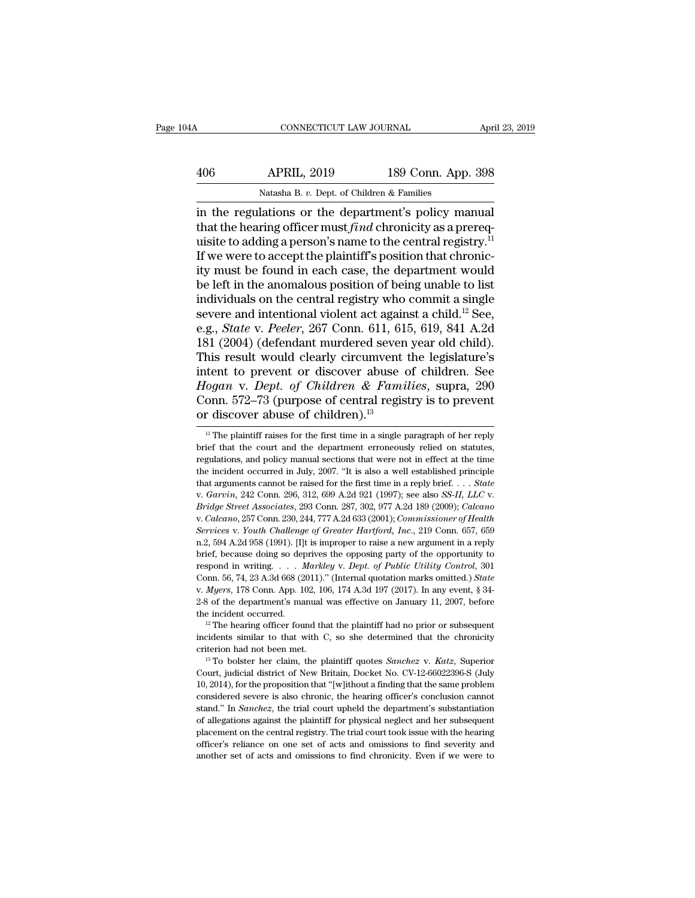| A   | CONNECTICUT LAW JOURNAL                                          |                    | April 23, 2019 |  |
|-----|------------------------------------------------------------------|--------------------|----------------|--|
|     |                                                                  |                    |                |  |
| 406 | <b>APRIL, 2019</b><br>Natasha B. v. Dept. of Children & Families | 189 Conn. App. 398 |                |  |

CONNECTICUT LAW JOURNAL April 23, 20<br>
406 APRIL, 2019 189 Conn. App. 398<br>
Natasha B. v. Dept. of Children & Families<br>
in the regulations or the department's policy manual<br>
that the hearing officer must *find* chronicity a 406 APRIL, 2019 189 Conn. App. 398<br>Natasha B. *v.* Dept. of Children & Families<br>in the regulations or the department's policy manual<br>that the hearing officer must *find* chronicity as a prereq-<br>uisite to adding a person's 406 APRIL, 2019 189 Conn. App. 398<br>
Natasha B. v. Dept. of Children & Families<br>
in the regulations or the department's policy manual<br>
that the hearing officer must *find* chronicity as a prerequisite to adding a person's APRIL, 2019 189 Conn. App. 398<br>
Natasha B. v. Dept. of Children & Families<br>
in the regulations or the department's policy manual<br>
that the hearing officer must *find* chronicity as a prerequisite to adding a person's name Natasha B. v. Dept. of Children & Families<br>in the regulations or the department's policy manual<br>that the hearing officer must *find* chronicity as a prereq-<br>uisite to adding a person's name to the central registry.<sup>11</sup><br>If Natasha B. v. Dept. of Children & Families<br>in the regulations or the department's policy manual<br>that the hearing officer must *find* chronicity as a prereq-<br>uisite to adding a person's name to the central registry.<sup>11</sup><br>If in the regulations or the department's policy manual<br>that the hearing officer must *find* chronicity as a prerequisite to adding a person's name to the central registry.<sup>11</sup><br>If we were to accept the plaintiff's position t that the hearing officer must *find* chronicity as a prerequisite to adding a person's name to the central registry.<sup>11</sup><br>If we were to accept the plaintiff's position that chronicity must be found in each case, the depart uisite to adding a person's name to the central registry.<sup>I1</sup><br>If we were to accept the plaintiff's position that chronic-<br>ity must be found in each case, the department would<br>be left in the anomalous position of being unab If we were to accept the plaintiff's position that chronicity must be found in each case, the department would<br>be left in the anomalous position of being unable to list<br>individuals on the central registry who commit a sin ity must be found in each case, the department would<br>be left in the anomalous position of being unable to list<br>individuals on the central registry who commit a single<br>severe and intentional violent act against a child.<sup>12</sup> be left in the anomalous position of being unable to list<br>individuals on the central registry who commit a single<br>severe and intentional violent act against a child.<sup>12</sup> See,<br>e.g., *State* v. *Peeler*, 267 Conn. 611, 615, individuals on the central registry who commit a single<br>severe and intentional violent act against a child.<sup>12</sup> See,<br>e.g., *State* v. *Peeler*, 267 Conn. 611, 615, 619, 841 A.2d<br>181 (2004) (defendant murdered seven year ol severe and intentional violent act against a child.<sup>12</sup> See,<br>e.g., *State* v. *Peeler*, 267 Conn. 611, 615, 619, 841 A.2d<br>181 (2004) (defendant murdered seven year old child).<br>This result would clearly circumvent the legis e.g., *State* v. *Peeler*, 267 Conn. 611, 61<br>181 (2004) (defendant murdered seven<br>This result would clearly circumvent<br>intent to prevent or discover abuse of<br>*Hogan* v. *Dept. of Children* & Fami<br>Conn. 572–73 (purpose of c tent to prevent or discover abuse of children. See<br>fogan v. Dept. of Children & Families, supra, 290<br>onn. 572–73 (purpose of central registry is to prevent<br>r discover abuse of children).<sup>13</sup><br><sup>11</sup> The plaintiff raises for *Hogan v. Dept. of Children & Families,* supra, 290 Conn. 572–73 (purpose of central registry is to prevent or discover abuse of children).<sup>13</sup><br> $\frac{11}{11}$  The plaintiff raises for the first time in a single paragraph of

Conn. 572–73 (purpose of central registry is to prevent<br>or discover abuse of children).<sup>13</sup><br> $\frac{1}{1}$  The plaintiff raises for the first time in a single paragraph of her reply<br>brief that the court and the department erro <sup>11</sup> The plaintiff raises for the first time in a single paragraph of her reply brief that the court and the department erroneously relied on statutes, regulations, and policy manual sections that were not in effect at th If the plaintiff raises for the first time in a single paragraph of her reply<br>
<sup>11</sup> The plaintiff raises for the first time in a single paragraph of her reply<br>
brief that the court and the department erroneously relied on regulations, and policy manual sections that were not in effect at the time<br>the incident occurred in July, 2007. "It is also a well established principle<br>that arguments cannot be raised for the first time in a reply brief. *Services* v. *Youth Challenge of Greater Hartford, Inc.*, 219 Conn. 657, 659 n.2, 594 A.2d 958 (1991). [I]t is improper to raise a new argument in a reply orier. . . . *State* v. *Garvin*, 242 Conn. 296, 312, 699 A.2d 921 that arguments cannot be raised for the first time in a reply brief. . . . *State* v. *Garvin*, 242 Conn. 296, 312, 699 A.2d 921 (1997); see also *SS-II*, *LLC* v. *Bridge Street Associates*, 293 Conn. 287, 302, 977 A.2d v. Garvin, 242 Conn. 296, 312, 699 A.2d 921 (1997); see also SS-II, LLC v.<br>Bridge Street Associates, 293 Conn. 287, 302, 977 A.2d 189 (2009); Calcano<br>v. Calcano, 257 Conn. 230, 244, 777 A.2d 633 (2001); Commissioner of Hea *Bridge Street Associates, 293 Conn. 287, 302, 977 A.2d 189 (2009); Calcano*<br>*v. Calcano, 257 Conn. 230, 244, 777 A.2d 633 (2001); Commissioner of Health*<br>*Services v. Youth Challenge of Greater Hartford, Inc., 219 Conn. 6* Colcano, 257 Conn. 230, 244, 777 A.2d 633 (2001); *Commissioner of Health* Services v. *Youth Challenge of Greater Hartford, Inc.*, 219 Conn. 657, 659 n.2, 594 A.2d 958 (1991). [I]t is improper to raise a new argument in a n.2, 594 A.2d 958 (1991). [I]t is improper to raise a new argument in a reply<br>brief, because doing so deprives the opposing party of the opportunity to<br>respond in writing. . . . Markley v. Dept. of Public Utility Control, the incident occurred.<br>
12 The hearing so deprives the opposing party of the opportunity to<br>
respond in writing. . . . Markley v. Dept. of Public Utility Control, 301<br>
Conn. 56, 74, 23 A.3d 668 (2011)." (Internal quotatio From 56, 74, 23 A.3d 668 (2011)." (Internal quotation marks omitted.) State<br>Conn. 56, 74, 23 A.3d 668 (2011)." (Internal quotation marks omitted.) State<br>v. Myers, 178 Conn. App. 102, 106, 174 A.3d 197 (2017). In any event v. *Myers*, 178 Conn. App. 102, 106, 174 A.3d 197 (2017). In any event, § 34-<br>2-8 of the department's manual was effective on January 11, 2007, before<br>the incident occurred.<br><sup>12</sup> The hearing officer found that the plaintif

The incident occurred.<br>
<sup>12</sup> The hearing officer found that the plaintiff had no prior or subsequent<br>
incidents similar to that with C, so she determined that the chronicity<br>
criterion had not been met.<br>
<sup>13</sup> To bolster he <sup>12</sup> The hearing officer found that the plaintiff had no prior or subsequent incidents similar to that with C, so she determined that the chronicity criterion had not been met.<br><sup>13</sup> To bolster her claim, the plaintiff quo incidents similar to that with C, so she determined that the chronicity<br>criterion had not been met.<br><sup>13</sup> To bolster her claim, the plaintiff quotes *Sanchez* v. *Katz*, Superior<br>Court, judicial district of New Britain, Do criterion had not been met.<br>
<sup>13</sup> To bolster her claim, the plaintiff quotes *Sanchez* v. *Katz*, Superior Court, judicial district of New Britain, Docket No. CV-12-66022396-S (July 10, 2014), for the proposition that "[w] <sup>13</sup> To bolster her claim, the plaintiff quotes *Sanchez* v. *Katz*, Superior Court, judicial district of New Britain, Docket No. CV-12-66022396-S (July 10, 2014), for the proposition that "[w]ithout a finding that the sa Court, judicial district of New Britain, Docket No. CV-12-66022396-S (July 10, 2014), for the proposition that "[w]ithout a finding that the same problem considered severe is also chronic, the hearing officer's conclusion 10, 2014), for the proposition that "[w]ithout a finding that the same problem considered severe is also chronic, the hearing officer's conclusion cannot stand." In *Sanchez*, the trial court upheld the department's subst 10, 2014), for the proposition that "[w]ithout a finding that the same problem considered severe is also chronic, the hearing officer's conclusion cannot stand." In *Sanchez*, the trial court upheld the department's subst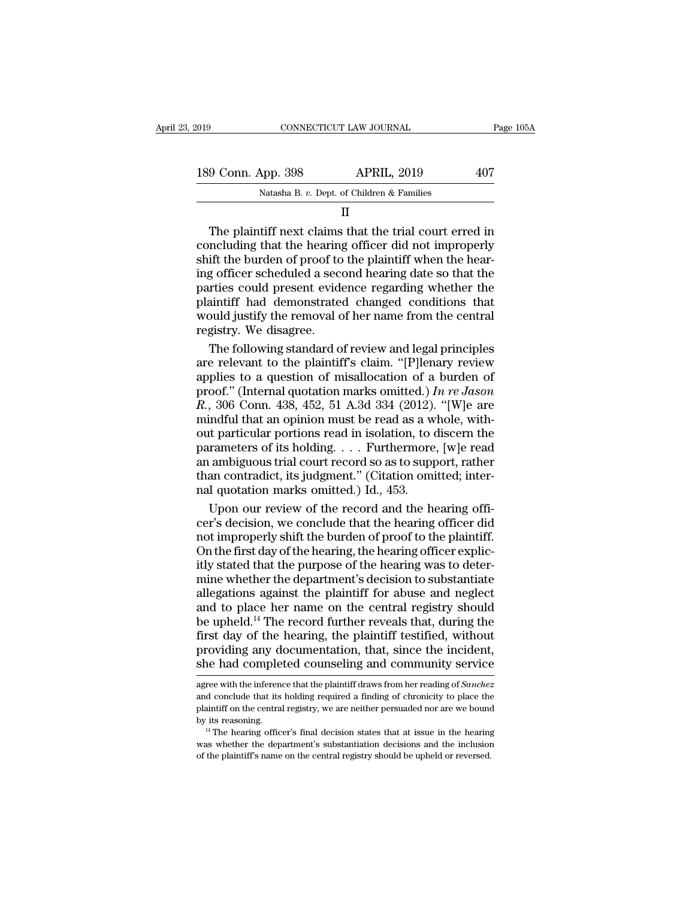| 2019 |                    | CONNECTICUT LAW JOURNAL                                                                                                                                                        | Page 105A |
|------|--------------------|--------------------------------------------------------------------------------------------------------------------------------------------------------------------------------|-----------|
|      |                    |                                                                                                                                                                                |           |
|      | 189 Conn. App. 398 | <b>APRIL, 2019</b>                                                                                                                                                             | 407       |
|      |                    | Natasha B. v. Dept. of Children & Families                                                                                                                                     |           |
|      |                    | н                                                                                                                                                                              |           |
|      |                    | The plaintiff next claims that the trial court erred in<br>concluding that the hearing officer did not improperly<br>shift the burden of proof to the plaintiff when the hear- |           |

189 Conn. App. 398 APRIL, 2019 407<br>
Natasha B. v. Dept. of Children & Families<br>
II<br>
The plaintiff next claims that the trial court erred in<br>
concluding that the hearing officer did not improperly<br>
shift the burden of proo 189 Conn. App. 398 APRIL, 2019 407<br>
Natasha B. v. Dept. of Children & Families<br>
II<br>
The plaintiff next claims that the trial court erred in<br>
concluding that the hearing officer did not improperly<br>
shift the burden of proo Natasha B. v. Dept. of Children & Families<br>
II<br>
The plaintiff next claims that the trial court erred in<br>
concluding that the hearing officer did not improperly<br>
shift the burden of proof to the plaintiff when the hear-<br>
in Fractional properties could present a random the central counter of proof to the plaintiff when the hearing officer scheduled a second hearing date so that the parties could present evidence regarding whether the plaintif II<br>In the plaintiff next claims that the trial court erred in<br>concluding that the hearing officer did not improperly<br>shift the burden of proof to the plaintiff when the hear-<br>ing officer scheduled a second hearing date so The plaintiff next claims that the trial court erred in concluding that the hearing officer did not improperly shift the burden of proof to the plaintiff when the hearing officer scheduled a second hearing date so that the concluding that the hearing<br>shift the burden of proof to<br>ing officer scheduled a secc<br>parties could present evide<br>plaintiff had demonstrate<br>would justify the removal c<br>registry. We disagree.<br>The following standard o ift the burden of proof to the plaintiff when the hear-<br>g officer scheduled a second hearing date so that the<br>rties could present evidence regarding whether the<br>aintiff had demonstrated changed conditions that<br>pulled justi ing officer scheduled a second hearing date so that the<br>parties could present evidence regarding whether the<br>plaintiff had demonstrated changed conditions that<br>would justify the removal of her name from the central<br>registr

parties could present evidence regarding whether the<br>plaintiff had demonstrated changed conditions that<br>would justify the removal of her name from the central<br>registry. We disagree.<br>The following standard of review and le plaintiff had demonstrated changed conditions that<br>would justify the removal of her name from the central<br>registry. We disagree.<br>The following standard of review and legal principles<br>are relevant to the plaintiff's claim. would justify the removal of her name from the central<br>registry. We disagree.<br>The following standard of review and legal principles<br>are relevant to the plaintiff's claim. "[P]lenary review<br>applies to a question of misalloc registry. We disagree.<br>
The following standard of review and legal principles<br>
are relevant to the plaintiff's claim. "[P]lenary review<br>
applies to a question of misallocation of a burden of<br>
proof." (Internal quotation m The following standard of review and legal principles<br>are relevant to the plaintiff's claim. "[P]lenary review<br>applies to a question of misallocation of a burden of<br>proof." (Internal quotation marks omitted.) In re Jason<br> are relevant to the plaintiff's claim. "[P]lenary review<br>applies to a question of misallocation of a burden of<br>proof." (Internal quotation marks omitted.) In re Jason<br>R., 306 Conn. 438, 452, 51 A.3d 334 (2012). "[W]e are<br> applies to a question of misallocation of a burden of<br>proof." (Internal quotation marks omitted.) In re Jason<br>R., 306 Conn. 438, 452, 51 A.3d 334 (2012). "[W]e are<br>mindful that an opinion must be read as a whole, with-<br>ou proof." (Internal quotation marks omitted.) In re Jason R., 306 Conn. 438, 452, 51 A.3d 334 (2012). "[W]e are mindful that an opinion must be read as a whole, without particular portions read in isolation, to discern the  $R$ , 306 Conn. 438, 452, 51 A.3d 334 (2012).<br>
mindful that an opinion must be read as a w<br>
out particular portions read in isolation, to to<br>
parameters of its holding. . . . Furthermore<br>
an ambiguous trial court record so indful that an opinion must be read as a whole, with<br>the particular portions read in isolation, to discern the<br>rameters of its holding. . . . Furthermore, [w]e read<br>ambiguous trial court record so as to support, rather<br>an out particular portions read in isolation, to discern the<br>parameters of its holding. . . . Furthermore, [w]e read<br>an ambiguous trial court record so as to support, rather<br>than contradict, its judgment." (Citation omitted;

parameters of its holding. . . . Furthermore, [w]e read<br>an ambiguous trial court record so as to support, rather<br>than contradict, its judgment." (Citation omitted; inter-<br>nal quotation marks omitted.) Id., 453.<br>Upon our re an ambiguous trial court record so as to support, rather<br>than contradict, its judgment." (Citation omitted; inter-<br>nal quotation marks omitted.) Id., 453.<br>Upon our review of the record and the hearing officer<br>different day than contradict, its judgment." (Citation omitted; inter-<br>nal quotation marks omitted.) Id., 453.<br>Upon our review of the record and the hearing officer's<br>decision, we conclude that the hearing officer did<br>not improperly sh nal quotation marks omitted.) Id., 453.<br>Upon our review of the record and the hearing officer's decision, we conclude that the hearing officer did<br>not improperly shift the burden of proof to the plaintiff.<br>On the first day Upon our review of the record and the hearing officer's decision, we conclude that the hearing officer did<br>not improperly shift the burden of proof to the plaintiff.<br>On the first day of the hearing, the hearing officer exp cer's decision, we conclude that the hearing officer did<br>not improperly shift the burden of proof to the plaintiff.<br>On the first day of the hearing, the hearing officer explic-<br>itly stated that the purpose of the hearing w not improperly shift the burden of proof to the plaintiff.<br>On the first day of the hearing, the hearing officer explicitly stated that the purpose of the hearing was to deter-<br>mine whether the department's decision to subs On the first day of the hearing, the hearing officer explicitly stated that the purpose of the hearing was to determine whether the department's decision to substantiate allegations against the plaintiff for abuse and negl itly stated that the purpose of the hearing was to deter-<br>mine whether the department's decision to substantiate<br>allegations against the plaintiff for abuse and neglect<br>and to place her name on the central registry should<br> mine whether the department's decision to substantiate<br>allegations against the plaintiff for abuse and neglect<br>and to place her name on the central registry should<br>be upheld.<sup>14</sup> The record further reveals that, during the be upheld.<sup>14</sup> The record further reveals that, during the first day of the hearing, the plaintiff testified, without providing any documentation, that, since the incident, she had completed counseling and community servic first day of the hearing, the plaintiff testified, without<br>providing any documentation, that, since the incident,<br>she had completed counseling and community service<br>agree with the inference that the plaintiff draws from he

providing any documentation, that, since the incident,<br>she had completed counseling and community service<br>agree with the inference that the plaintiff draws from her reading of *Sanchez*<br>and conclude that its holding requir by its reasoning any documentation, that, since the interdent,<br>she had completed counseling and community service<br>agree with the inference that the plaintiff draws from her reading of *Sanchez*<br>and conclude that its holdin agree with the inference that the plaintiff draws from her reading of *Sanchez* and conclude that its holding required a finding of chronicity to place the plaintiff on the central registry, we are neither persuaded nor a agree with the inference that the plaintiff draws from her reading of *Sanchez* and conclude that its holding required a finding of chronicity to place the plaintiff on the central registry, we are neither persuaded nor a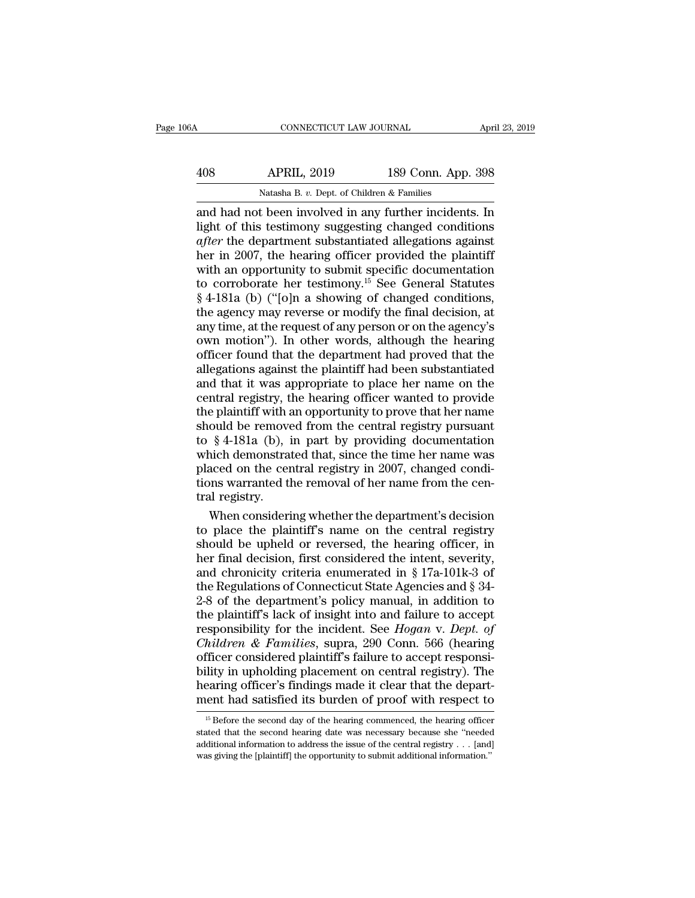| A   | CONNECTICUT LAW JOURNAL                                |                    | April 23, 2019 |
|-----|--------------------------------------------------------|--------------------|----------------|
| 408 | <b>APRIL, 2019</b>                                     | 189 Conn. App. 398 |                |
|     | Natasha B. v. Dept. of Children & Families             |                    |                |
|     | and had not been involved in any further incidents. In |                    |                |

CONNECTICUT LAW JOURNAL April 23, 2019<br>
408 APRIL, 2019 189 Conn. App. 398<br>
Natasha B. v. Dept. of Children & Families<br>
and had not been involved in any further incidents. In<br>
light of this testimony suggesting changed con APRIL, 2019 189 Conn. App. 398<br>
Natasha B. v. Dept. of Children & Families<br>
and had not been involved in any further incidents. In<br>
light of this testimony suggesting changed conditions<br>
after the department substantiated *APRIL, 2019* 189 Conn. App. 398<br> *APRIL, 2019* 189 Conn. App. 398<br> *and had not been involved in any further incidents. In*<br> *Light of this testimony suggesting changed conditions*<br> *after the department substantiated all* APRIL, 2019 189 Conn. App. 398<br>
Natasha B. v. Dept. of Children & Families<br>
and had not been involved in any further incidents. In<br>
light of this testimony suggesting changed conditions<br>
after the department substantiated Natasha B. v. Dept. of Children & Families<br>and had not been involved in any further incidents. In<br>light of this testimony suggesting changed conditions<br>after the department substantiated allegations against<br>her in 2007, t Natasha B. v. Dept. of Children & Families<br>
and had not been involved in any further incidents. In<br>
light of this testimony suggesting changed conditions<br> *after* the department substantiated allegations against<br>
her in 2 and had not been involved in any further incidents. In<br>light of this testimony suggesting changed conditions<br>after the department substantiated allegations against<br>her in 2007, the hearing officer provided the plaintiff<br>wi light of this testimony suggesting changed conditions<br> *after* the department substantiated allegations against<br>
her in 2007, the hearing officer provided the plaintiff<br>
with an opportunity to submit specific documentatio after the department substantiated allegations against<br>her in 2007, the hearing officer provided the plaintiff<br>with an opportunity to submit specific documentation<br>to corroborate her testimony.<sup>15</sup> See General Statutes<br>§ 4 her in 2007, the hearing officer provided the plaintiff<br>with an opportunity to submit specific documentation<br>to corroborate her testimony.<sup>15</sup> See General Statutes<br>§ 4-181a (b) ("[o]n a showing of changed conditions,<br>the a with an opportunity to submit specific documentation<br>to corroborate her testimony.<sup>15</sup> See General Statutes<br>§ 4-181a (b) ("[o]n a showing of changed conditions,<br>the agency may reverse or modify the final decision, at<br>any t to corroborate her testimony.<sup>15</sup> See General Statutes  $§$  4-181a (b) ("[o]n a showing of changed conditions, the agency may reverse or modify the final decision, at any time, at the request of any person or on the agency § 4-181a (b) ("[o]n a showing of changed conditions,<br>the agency may reverse or modify the final decision, at<br>any time, at the request of any person or on the agency's<br>own motion"). In other words, although the hearing<br>offi the agency may reverse or modify the final decision, at<br>any time, at the request of any person or on the agency's<br>own motion"). In other words, although the hearing<br>officer found that the department had proved that the<br>all any time, at the request of any person or on the agency's<br>own motion"). In other words, although the hearing<br>officer found that the department had proved that the<br>allegations against the plaintiff had been substantiated<br>an own motion"). In other words, although the hearing<br>officer found that the department had proved that the<br>allegations against the plaintiff had been substantiated<br>and that it was appropriate to place her name on the<br>centra officer found that the department had proved that the allegations against the plaintiff had been substantiated and that it was appropriate to place her name on the central registry, the hearing officer wanted to provide t allegations against the plaintiff had been substantiated<br>and that it was appropriate to place her name on the<br>central registry, the hearing officer wanted to provide<br>the plaintiff with an opportunity to prove that her name and that it was appropriate to place her name on the central registry, the hearing officer wanted to provide the plaintiff with an opportunity to prove that her name should be removed from the central registry pursuant to central registry, the hearing officer wanted to provide<br>the plaintiff with an opportunity to prove that her name<br>should be removed from the central registry pursuant<br>to § 4-181a (b), in part by providing documentation<br>whic the plaintiff with a<br>should be remove<br>to § 4-181a (b), i<br>which demonstra<br>placed on the cer<br>tions warranted that<br>ral registry.<br>When consideri ould be removed from the central registry pursuant<br>  $\S$  4-181a (b), in part by providing documentation<br>
nich demonstrated that, since the time her name was<br>
aced on the central registry in 2007, changed condi-<br>
nms warran to § 4-181a (b), in part by providing documentation<br>which demonstrated that, since the time her name was<br>placed on the central registry in 2007, changed condi-<br>tions warranted the removal of her name from the cen-<br>tral reg

which demonstrated that, since the time her name was<br>placed on the central registry in 2007, changed condi-<br>tions warranted the removal of her name from the cen-<br>tral registry.<br>When considering whether the department's de placed on the central registry in 2007, changed condi-<br>tions warranted the removal of her name from the cen-<br>tral registry.<br>When considering whether the department's decision<br>to place the plaintiff's name on the central re tions warranted the removal of her name from the central registry.<br>When considering whether the department's decision<br>to place the plaintiff's name on the central registry<br>should be upheld or reversed, the hearing officer tral registry.<br>When considering whether the department's decision<br>to place the plaintiff's name on the central registry<br>should be upheld or reversed, the hearing officer, in<br>her final decision, first considered the intent, When considering whether the department's decision<br>to place the plaintiff's name on the central registry<br>should be upheld or reversed, the hearing officer, in<br>her final decision, first considered the intent, severity,<br>and to place the plaintiff's name on the central registry<br>should be upheld or reversed, the hearing officer, in<br>her final decision, first considered the intent, severity,<br>and chronicity criteria enumerated in § 17a-101k-3 of<br> should be upheld or reversed, the hearing officer, in<br>her final decision, first considered the intent, severity,<br>and chronicity criteria enumerated in § 17a-101k-3 of<br>the Regulations of Connecticut State Agencies and § 34 For final decision, first considered the intent, severity,<br>her final decision, first considered the intent, severity,<br>and chronicity criteria enumerated in § 17a-101k-3 of<br>the Regulations of Connecticut State Agencies and and chronicity criteria enumerated in § 17a-101k-3 of<br>the Regulations of Connecticut State Agencies and § 34-<br>2-8 of the department's policy manual, in addition to<br>the plaintiff's lack of insight into and failure to accep the Regulations of Connecticut State Agencies and § 34-<br>2-8 of the department's policy manual, in addition to<br>the plaintiff's lack of insight into and failure to accept<br>responsibility for the incident. See *Hogan v. Dept.* 2-8 of the department's policy manual, in addition to the plaintiff's lack of insight into and failure to accept responsibility for the incident. See  $Hogan$  v. Dept. of Children & Families, supra, 290 Conn. 566 (hearing off the plaintiff's lack of insight into and failure to accept<br>responsibility for the incident. See *Hogan v. Dept. of*<br>*Children & Families*, supra, 290 Conn. 566 (hearing<br>officer considered plaintiff's failure to accept res fficer considered plaintiff's failure to accept responsi-<br>lity in upholding placement on central registry). The<br>earing officer's findings made it clear that the depart-<br>ent had satisfied its burden of proof with respect to bility in upholding placement on central registry). The hearing officer's findings made it clear that the department had satisfied its burden of proof with respect to  $\frac{15}{15}$  Before the second day of the hearing comme ment had satisfied its burden of proof with respect to

hearing officer's findings made it clear that the depart-<br>ment had satisfied its burden of proof with respect to<br> $\frac{15}{15}$  Before the second day of the hearing commenced, the hearing officer<br>stated that the second heari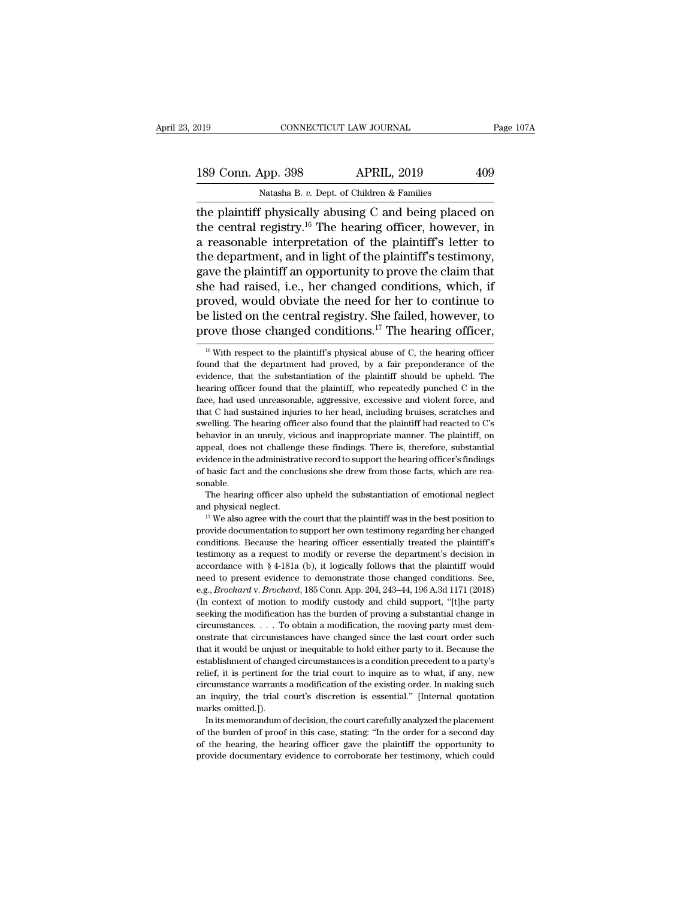# 189 Conn. App. 398 APRIL, 2019 2019<br>Natasha B. v. Dept. of Children & Families

CONNECTICUT LAW JOURNAL<br>
189 Conn. App. 398 APRIL, 2019 409<br>
Natasha B. *v.* Dept. of Children & Families<br>
the plaintiff physically abusing C and being placed on The plaintiff physically abusing C and being placed on<br>
the central registry.<sup>16</sup> The hearing officer, however, in<br>
the central registry.<sup>16</sup> The hearing officer, however, in<br>
the reasonable interpretation of the plaintiff 189 Conn. App. 398 APRIL, 2019 409<br>
Natasha B. v. Dept. of Children & Families<br>
the plaintiff physically abusing C and being placed on<br>
the central registry.<sup>16</sup> The hearing officer, however, in<br>
a reasonable interpretatio 189 Conn. App. 398 APRIL, 2019 409<br>
Natasha B. v. Dept. of Children & Families<br>
the plaintiff physically abusing C and being placed on<br>
the central registry.<sup>16</sup> The hearing officer, however, in<br>
a reasonable interpretati 189 Conn. App. 398 APRIL, 2019 409<br>
Natasha B. v. Dept. of Children & Families<br>
the plaintiff physically abusing C and being placed on<br>
the central registry.<sup>16</sup> The hearing officer, however, in<br>
a reasonable interpretati Natasha B. v. Dept. of Children & Families<br>the plaintiff physically abusing C and being placed on<br>the central registry.<sup>16</sup> The hearing officer, however, in<br>a reasonable interpretation of the plaintiff's letter to<br>the dep Natasha B.  $v$ . Dept. of Children & Families<br>the plaintiff physically abusing C and being placed on<br>the central registry.<sup>16</sup> The hearing officer, however, in<br>a reasonable interpretation of the plaintiff's letter to<br>the d the plaintiff physically abusing C and being placed on<br>the central registry.<sup>16</sup> The hearing officer, however, in<br>a reasonable interpretation of the plaintiff's letter to<br>the department, and in light of the plaintiff's te the central registry.<sup>16</sup> The hearing officer, however, in<br>a reasonable interpretation of the plaintiff's letter to<br>the department, and in light of the plaintiff's testimony,<br>gave the plaintiff an opportunity to prove the a reasonable interpretation of the plaintiff's letter to<br>the department, and in light of the plaintiff's testimony,<br>gave the plaintiff an opportunity to prove the claim that<br>she had raised, i.e., her changed conditions, w 16 Muslem respectively. The plantiff's physical abuse of C, the hearing officer to those changed conditions.<sup>17</sup> The hearing officer, to rove those changed conditions.<sup>17</sup> The hearing officer,  $\frac{16}{16}$  With respect to proved, would obviate the need for her to continue to<br>be listed on the central registry. She failed, however, to<br>prove those changed conditions.<sup>17</sup> The hearing officer,<br> $\frac{16}{16}$  With respect to the plaintiff's physica

be listed on the central registry. She failed, however, to prove those changed conditions.<sup>17</sup> The hearing officer,  $\frac{16}{16}$  With respect to the plaintiff's physical abuse of C, the hearing officer found that the depar prove those changed conditions.<sup>17</sup> The hearing officer,<br><sup>16</sup> With respect to the plaintiff's physical abuse of C, the hearing officer<br>found that the department had proved, by a fair preponderance of the<br>evidence, that th Frove triose charged conditions. The hearing officer,<br><sup>16</sup> With respect to the plaintiff's physical abuse of C, the hearing officer<br>found that the department had proved, by a fair preponderance of the<br>evidence, that the s <sup>16</sup> With respect to the plaintiff's physical abuse of C, the hearing officer found that the department had proved, by a fair preponderance of the evidence, that the substantiation of the plaintiff should be upheld. The h found that the department had proved, by a fair preponderance of the evidence, that the substantiation of the plaintiff should be upheld. The hearing officer found that the plaintiff, who repeatedly punched C in the face, evidence, that the substantiation of the plaintiff should be upheld. The hearing officer found that the plaintiff, who repeatedly punched C in the face, had used unreasonable, aggressive, excessive and violent force, and t bearing officer found that the plaintiff, who repeatedly punched C in the face, had used unreasonable, aggressive, excessive and violent force, and that C had sustained injuries to her head, including bruises, scratches an reaction, and used unreasonable, aggressive, excessive and violent force, and that C had sustained injuries to her head, including bruises, scratches and swelling. The hearing officer also found that the plaintiff had reac face, had used unreasonable, aggressive, excessive and violent force, and that C had sustained injuries to her head, including bruises, scratches and swelling. The hearing officer also found that the plaintiff had reacted sonable. Example The hearing officer also upheld the substantiation of emotional neglect also upped, does not challenge these findings. There is, therefore, substantial idence in the administrative record to support the hearing off appeal, does not challenge these findings. There is, therefore, substantial evidence in the administrative record to support the hearing officer's findings of basic fact and the conclusions she drew from those facts, whic

of basic fact and the conclusions she drew from those facts, which are reasonable.<br>The hearing officer also upheld the substantiation of emotional neglect and physical neglect.<br>I<sup>T</sup> We also agree with the court that the pl sonable.<br>
The hearing officer also upheld the substantiation of emotional neglect<br>
and physical neglect.<br>
<sup>17</sup> We also agree with the court that the plaintiff was in the best position to<br>
provide documentation to support The hearing officer also upheld the substantiation of emotional neglect and physical neglect.<br>
<sup>17</sup> We also agree with the court that the plaintiff was in the best position to provide documentation to support her own test and physical neglect.<br>
<sup>17</sup> We also agree with the court that the plaintiff was in the best position to<br>
provide documentation to support her own testimony regarding her changed<br>
conditions. Because the hearing officer es <sup>17</sup> We also agree with the court that the plaintiff was in the best position to provide documentation to support her own testimony regarding her changed conditions. Because the hearing officer essentially treated the pla provide documentation to support her own testimony regarding her changed conditions. Because the hearing officer essentially treated the plaintiff's testimony as a request to modify or reverse the department's decision in Frontitions. Because the hearing officer essentially treated the plaintiff's testimony as a request to modify or reverse the department's decision in accordance with  $\S 4$ -181a (b), it logically follows that the plaintiff bestimmary as a request to modify or reverse the department's decision in accordance with § 4-181a (b), it logically follows that the plaintiff would need to present evidence to demonstrate those changed conditions. See, testimony as a request to modify or reverse the department's decision in accordance with § 4-181a (b), it logically follows that the plaintiff would need to present evidence to demonstrate those changed conditions. See, e need to present evidence to demonstrate those changed conditions. See, e.g., *Brochard* v. *Brochard*, 185 Conn. App. 204, 243-44, 196 A.3d 1171 (2018) (In context of motion to modify custody and child support, "[t]he part the e.g., *Brochard v. Brochard*, 185 Conn. App. 204, 243–44, 196 A.3d 1171 (2018) (In context of motion to modify custody and child support, "[t]he party seeking the modification has the burden of proving a substantial ch establishment of changed circumstances is a condition proving a substantial change in circumstances.  $\ldots$  To obtain a modification, the moving party must demonstrate that circumstances have changed since the last court o seeking the modification has the burden of proving a substantial change in circumstances. . . . To obtain a modification, the moving party must demonstrate that circumstances have changed since the last court order such th circumstances . . . To obtain a modification, the moving party must demonstrate that circumstances have changed since the last court order such that it would be unjust or inequitable to hold either party to it. Because the onstrate that circumstances have changed since the last court order such that it would be unjust or inequitable to hold either party to it. Because the establishment of changed circumstances is a condition precedent to a p that it would be unjust<br>that it would be unjust<br>establishment of changelief, it is pertinent for<br>circumstance warrants<br>an inquiry, the trial contains omitted.]).<br>In its memorandum of In the memorandum of changed circumstances is a condition precedent to a party's lief, it is pertinent for the trial court to inquire as to what, if any, new ccumstance warrants a modification of the existing order. In mak relief, it is pertinent for the trial court to inquire as to what, if any, new circumstance warrants a modification of the existing order. In making such an inquiry, the trial court's discretion is essential." [Internal qu

circumstance warrants a modification of the existing order. In making such an inquiry, the trial court's discretion is essential." [Internal quotation marks omitted.]).<br>In its memorandum of decision, the court carefully a circumstance warrants a modification of the existing order. In making such<br>an inquiry, the trial court's discretion is essential." [Internal quotation<br>marks omitted.]).<br>In its memorandum of decision, the court carefully an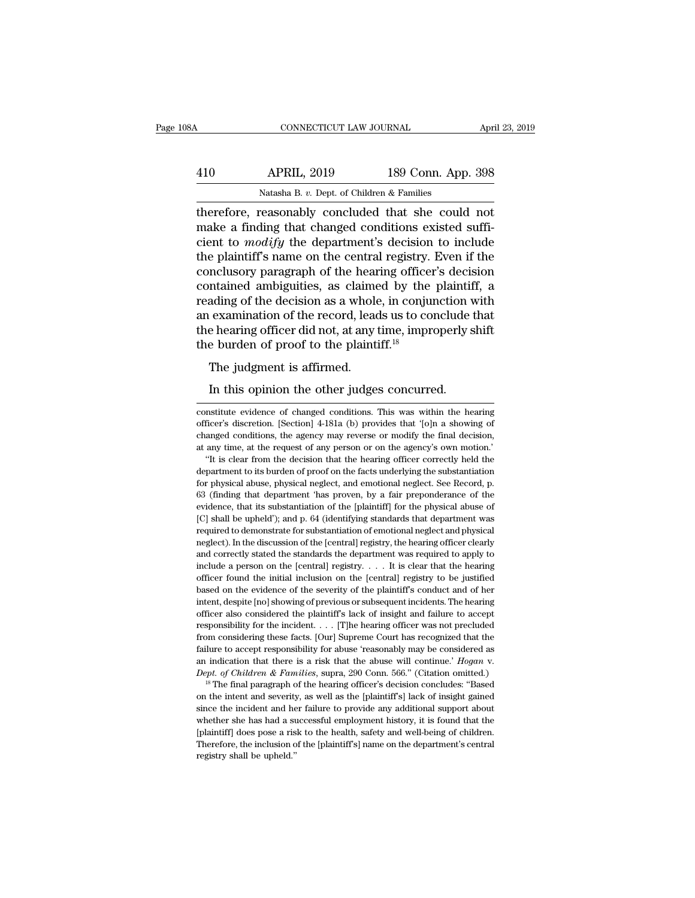| 08A | CONNECTICUT LAW JOURNAL                                                                                                                                             |                    | April 23, 2019 |
|-----|---------------------------------------------------------------------------------------------------------------------------------------------------------------------|--------------------|----------------|
| 410 | <b>APRIL, 2019</b>                                                                                                                                                  | 189 Conn. App. 398 |                |
|     | Natasha B. v. Dept. of Children & Families                                                                                                                          |                    |                |
|     | therefore, reasonably concluded that she could not<br>make a finding that changed conditions existed suffi-<br>giont to modify the department's degision to include |                    |                |

410 APRIL, 2019 189 Conn. App. 398<br>Natasha B. v. Dept. of Children & Families<br>therefore, reasonably concluded that she could not<br>make a finding that changed conditions existed suffi-<br>cient to *modify* the department's dec APRIL, 2019 189 Conn. App. 398<br>
Natasha B. v. Dept. of Children & Families<br>
therefore, reasonably concluded that she could not<br>
make a finding that changed conditions existed suffi-<br>
cient to *modify* the department's deci  $\frac{\text{APRIL, 2019}}{\text{Natasha B. } v. \text{ Dept. of Children & Families}}$ <br>
therefore, reasonably concluded that she could not make a finding that changed conditions existed sufficient to *modify* the department's decision to include the plaintiff's name Natasha B. v. Dept. of Children & Families<br>therefore, reasonably concluded that she could not<br>make a finding that changed conditions existed suffi-<br>cient to *modify* the department's decision to include<br>the plaintiff's nam Natasha B. v. Dept. of Children & Families<br>therefore, reasonably concluded that she could not<br>make a finding that changed conditions existed suffi-<br>cient to *modify* the department's decision to include<br>the plaintiff's na therefore, reasonably concluded that she could not<br>make a finding that changed conditions existed suffi-<br>cient to *modify* the department's decision to include<br>the plaintiff's name on the central registry. Even if the<br>conc make a finding that changed conditions existed sufficient to *modify* the department's decision to include the plaintiff's name on the central registry. Even if the conclusory paragraph of the hearing officer's decision c cient to *modify* the department's decision to include<br>the plaintiff's name on the central registry. Even if the<br>conclusory paragraph of the hearing officer's decision<br>contained ambiguities, as claimed by the plaintiff, a the plaintiff's name on the central registry.<br>conclusory paragraph of the hearing office:<br>contained ambiguities, as claimed by the<br>reading of the decision as a whole, in conju<br>an examination of the record, leads us to co<br>t Incrusory paragraph of the hear<br>Intained ambiguities, as claime<br>ading of the decision as a whole<br>examination of the record, lead<br>e hearing officer did not, at any t<br>e burden of proof to the plainti<br>The judgment is affirmed ading of the decision as a whole, in conjunction v<br>examination of the record, leads us to conclude the hearing officer did not, at any time, improperly s<br>e burden of proof to the plaintiff.<sup>18</sup><br>The judgment is affirmed.<br>In

The judgment is affirmed.<br>
In this opinion the other judges concurred.<br>
constitute evidence of changed conditions. This was within the hearing<br>
officer's discretion. [Section] 4-181a (b) provides that '[o]n a showing of The judgment is affirmed.<br>In this opinion the other judges concurred.<br>constitute evidence of changed conditions. This was within the hearing<br>officer's discretion. [Section] 4-181a (b) provides that '[o]n a showing of<br>chang In this opinion the other judges concurred.<br>
constitute evidence of changed conditions. This was within the hearing<br>
officer's discretion. [Section] 4-181a (b) provides that '[o]n a showing of<br>
changed conditions, the agen In this opinion the other judges concurred.<br>
constitute evidence of changed conditions. This was within the hearing<br>
officer's discretion. [Section] 4-181a (b) provides that '[o]n a showing of<br>
changed conditions, the agen It is clear from the decision. This was within the hearing<br>
ficer's discretion. [Section] 4-181a (b) provides that '[o]n a showing of<br>
anged conditions, the agency may reverse or modify the final decision,<br>
any time, at th constitute evidence of changed conditions. This was within the hearing officer's discretion. [Section] 4-181a (b) provides that '[o]n a showing of changed conditions, the agency may reverse or modify the final decision, at

officer's discretion. [Section] 4-181a (b) provides that '[o]n a showing of changed conditions, the agency may reverse or modify the final decision, at any time, at the request of any person or on the agency's own motion.' changed conditions, the agency may reverse or modify the final decision, at any time, at the request of any person or on the agency's own motion.<br>
"It is clear from the decision that the hearing officer correctly held the evidence, that is substantiation of the figure is substantiation.<br>
"It is clear from the decision that the hearing officer correctly held the department to its burden of proof on the facts underlying the substantiation for <sup>2</sup> The shall be upheld be upheld be upheld the using officer correctly held the department to its burden of proof on the facts underlying the substantiation for physical abuse, physical neglect, and emotional neglect. See department to its burden of proof on the facts underlying the substantiation<br>for physical abuse, physical neglect, and emotional neglect. See Record, p.<br>63 (finding that department 'has proven, by a fair preponderance of t For physical abuse, physical neglect, and emotional neglect. See Record, p.<br>63 (finding that department 'has proven, by a fair preponderance of the<br>evidence, that its substantiation of the [plaintiff] for the physical abus <sup>63</sup> (finding that department 'has proven, by a fair preponderance of the evidence, that its substantiation of the [plaintiff] for the physical abuse of [C] shall be upheld'); and p. 64 (identifying standards that departm evidence, that its substantiation of the [plaintiff] for the physical abuse of [C] shall be upheld'); and p. 64 (identifying standards that department was required to demonstrate for substantiation of emotional neglect and Figure 1 and the upheld'); and p. 64 (identifying standards that department was required to demonstrate for substantiation of emotional neglect and physical neglect). In the discussion of the [central] registry, the heari beyond the demonstrate for substantiation of emotional neglect and physical neglect). In the discussion of the [central] registry, the hearing officer clearly and correctly stated the standards the department was required interior of the discussion of the [central] registry, the hearing officer clearly and correctly stated the standards the department was required to apply to include a person on the [central] registry.  $\dots$  It is clear tha respectively stated the standards the department was required to apply to include a person on the [central] registry. . . . It is clear that the hearing officer found the initial inclusion on the [central] registry to be include a person on the [central] registry. . . . It is clear that the hearing officer found the initial inclusion on the [central] registry to be justified based on the evidence of the severity of the plaintiff's conduct from considering the initial inclusion on the [central] registry to be justified based on the evidence of the severity of the plaintiff's conduct and of her intent, despite [no] showing of previous or subsequent incidents. officer found the initial inclusion on the [central] registry to be justified based on the evidence of the severity of the plaintiff's conduct and of her intent, despite [no] showing of previous or subsequent incidents. T an indication that there is a risk that the abuse will continue the abuse will continue to accept responsibility for the incident. . . . [T]he hearing officer was not precluded from considering these facts. [Our] Supreme C sponsibility for the incident. . . . [T]he hearing officer was not precluded on considering these facts. [Our] Supreme Court has recognized that the lilure to accept responsibility for abuse 'reasonably may be considered From considering these facts. [Our] Supreme Court has recognized that the failure to accept responsibility for abuse 'reasonably may be considered as an indication that there is a risk that the abuse will continue.' *Hoga* 

failure to accept responsibility for abuse 'reasonably may be considered as an indication that there is a risk that the abuse will continue.' *Hogan v. Dept. of Children & Families*, suppra, 290 Conn. 566." (Citation omit an indication that there is a risk that the abuse will continue.' *Hogan v.*<br>Dept. of Children & Families, supra, 290 Conn. 566." (Citation omitted.)<br><sup>18</sup> The final paragraph of the hearing officer's decision concludes: "B *Dept. of Children & Families*, supra, 290 Conn. 566." (Citation omitted.)<br><sup>18</sup> The final paragraph of the hearing officer's decision concludes: "Based<br>on the intent and severity, as well as the [plaintiff's] lack of insig If the final paragraph of the hearing officer's decision concludes: "Based<br>on the intent and severity, as well as the [plaintiff's] lack of insight gained<br>since the incident and her failure to provide any additional suppo registry and produce the incident and severity<br>since the incident and he<br>whether she has had a st<br>[plaintiff] does pose a ris<br>Therefore, the inclusion of<br>registry shall be upheld."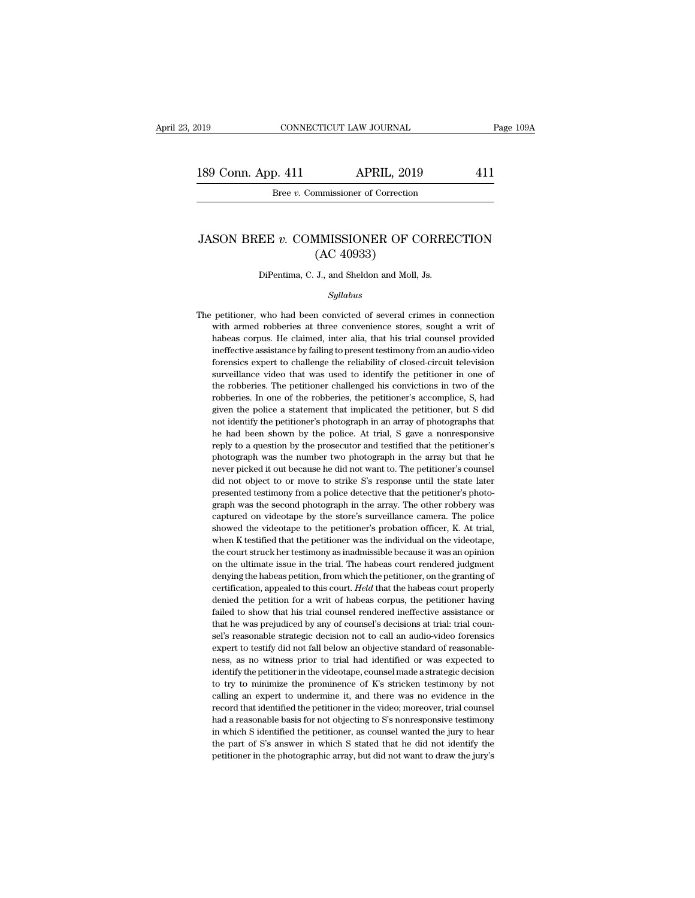189 Conn. App. 411 APRIL, 2019 411<br>Bree v. Commissioner of Correction CONNECTICUT LAW JOURNAL<br>p. 411 APRIL, 2019<br>Bree *v.* Commissioner of Correction

# 189 Conn. App. 411 APRIL, 2019 411<br>Bree *v*. Commissioner of Correction<br>JASON BREE *v*. COMMISSIONER OF CORRECTION<br>(AC 40933) APRIL, 2019<br>
mmissioner of Correction<br>
MMISSIONER OF C<br>
(AC 40933)<br>
J., and Sheldon and Moll, JASON BREE  $v$ . COMMISSIONER OF CORRECTION<br>(AC 40933)<br>DiPentima, C. J., and Sheldon and Moll, Js.

## *Syllabus*

 $(AC 40933)$ <br>DiPentima, C. J., and Sheldon and Moll, Js.<br> $Syllabus$ <br>The petitioner, who had been convicted of several crimes in connection<br>with armed robberies at three convenience stores, sought a writ of DiPentima, C. J., and Sheldon and Moll, Js.<br>Syllabus<br>petitioner, who had been convicted of several crimes in connection<br>with armed robberies at three convenience stores, sought a writ of<br>habeas corpus. He claimed, inter al DiPentima, C. J., and Sheldon and Moll, Js.<br>
Syllabus<br>
petitioner, who had been convicted of several crimes in connection<br>
with armed robberies at three convenience stores, sought a writ of<br>
habeas corpus. He claimed, inte *Syllabus*<br>
petitioner, who had been convicted of several crimes in connection<br>
with armed robberies at three convenience stores, sought a writ of<br>
habeas corpus. He claimed, inter alia, that his trial counsel provided<br>
in *Sylaous*<br>petitioner, who had been convicted of several crimes in connection<br>with armed robberies at three convenience stores, sought a writ of<br>habeas corpus. He claimed, inter alia, that his trial counsel provided<br>ineffec petitioner, who had been convicted of several crimes in connection with armed robberies at three convenience stores, sought a writ of habeas corpus. He claimed, inter alia, that his trial counsel provided ineffective assis petition and robberies at three convenience stores, sought a writ of habeas corpus. He claimed, inter alia, that his trial counsel provided ineffective assistance by failing to present testimony from an audio-video forensi robber assistance by failing to present testimony from an audio-video ineffective assistance by failing to present testimony from an audio-video forensics expert to challenge the reliability of closed-circuit television su ineffective assistance by failing to present testimony from an audio-video forensics expert to challenge the reliability of closed-circuit television surveillance video that was used to identify the petitioner in one of th forensics expert to challenge the reliability of closed-circuit television surveillance video that was used to identify the petitioner in one of the robberies. The petitioner challenged his convictions in two of the robber surveillance video that was used to identify the petitioner in one of the robberies. The petitioner challenged his convictions in two of the robberies. In one of the robberies, the petitioner's accomplice, S, had given the by the robberies. The petitioner challenged his convictions in two of the robberies. In one of the robberies, the petitioner's accomplice, S, had given the police a statement that implicated the petitioner, but S did not i robberies. In one of the robberies, the petitioner's accomplice, S, had given the police a statement that implicated the petitioner, but S did not identify the petitioner's photograph in an array of photographs that he had never the police a statement that implicated the petitioner, but S did not identify the petitioner's photograph in an array of photographs that he had been shown by the police. At trial, S gave a nonresponsive reply to a q and the petitioner's photograph in an array of photographs that he had been shown by the police. At trial, S gave a nonresponsive reply to a question by the prosecutor and testified that the petitioner's photograph was the not identify the petitioner's photograph in an array of photographs that<br>he had been shown by the police. At trial, S gave a nonresponsive<br>reply to a question by the prosecutor and testified that the petitioner's<br>photogra reply to a question by the prosecutor and testified that the petitioner's photograph was the number two photograph in the array but that he never picked it out because he did not want to. The petitioner's counsel did not o repty of a quote a pumber two photograph in the array but that he photograph was the number two photograph in the array but that he never picked it out because he did not want to. The petitioner's counsel did not object to never picked it out because he did not want to. The petitioner's counsel<br>did not object to or move to strike S's response until the state later<br>presented testimony from a police detective that the petitioner's photo-<br>graph did not object to or move to strike S's response until the state later<br>presented testimony from a police detective that the petitioner's photo-<br>graph was the second photograph in the array. The other robbery was<br>captured o presented testimony from a police detective that the petitioner's photograph was the second photograph in the array. The other robbery was captured on videotape by the store's surveillance camera. The police showed the vid graph was the second photograph in the array. The other robbery was captured on videotape by the store's surveillance camera. The police showed the videotape to the petitioner's probation officer, K. At trial, when K testi captured on videotape by the store's surveillance camera. The police showed the videotape to the petitioner's probation officer, K. At trial, when K testified that the petitioner was the individual on the videotape, the c showed the videotape to the petitioner's probation officer, K. At trial, when K testified that the petitioner was the individual on the videotape, the court struck her testimony as inadmissible because it was an opinion on when K testified that the petitioner was the individual on the videotape, the court struck her testimony as inadmissible because it was an opinion on the ultimate issue in the trial. The habeas court rendered judgment deny the court struck her testimony as inadmissible because it was an opinion<br>on the ultimate issue in the trial. The habeas court rendered judgment<br>denying the habeas petition, from which the petitioner, on the granting of<br>cer on the ultimate issue in the trial. The habeas court rendered judgment denying the habeas petition, from which the petitioner, on the granting of certification, appealed to this court. *Held* that the habeas court properly denying the habeas petition, from which the petitioner, on the granting of certification, appealed to this court. *Held* that the habeas court properly denied the petition for a writ of habeas corpus, the petitioner having certification, appealed to this court. Held that the habeas court properly denied the petition for a writ of habeas corpus, the petitioner having failed to show that his trial counsel rendered ineffective assistance or tha denied the petition for a writ of habeas corpus, the petitioner having failed to show that his trial counsel rendered ineffective assistance or that he was prejudiced by any of counsel's decisions at trial: trial counsel's failed to show that his trial counsel rendered ineffective assistance or that he was prejudiced by any of counsel's decisions at trial: trial counsel's reasonable strategic decision not to call an audio-video forensics exp that he was prejudiced by any of counsel's decisions at trial: trial counsel's reasonable strategic decision not to call an audio-video forensics expert to testify did not fall below an objective standard of reasonable-<br>ne sel's reasonable strategic decision not to call an audio-video forensics<br>expert to testify did not fall below an objective standard of reasonable-<br>ness, as no witness prior to trial had identified or was expected to<br>identi expert to testify did not fall below an objective standard of reasonable-<br>ness, as no witness prior to trial had identified or was expected to<br>identify the petitioner in the videotape, counsel made a strategic decision<br>to had a reasonable basis for not objecting to S's nonresponsive testimony of notice identify the petitioner in the videotape, counsel made a strategic decision to try to minimize the prominence of K's stricken testimony by n identify the petitioner in the videotape, counsel made a strategic decision<br>to try to minimize the prominence of K's stricken testimony by not<br>calling an expert to undermine it, and there was no evidence in the<br>record that to try to minimize the prominence of K's stricken testimony by not calling an expert to undermine it, and there was no evidence in the record that identified the petitioner in the video; moreover, trial counsel had a reaso to try to minimize the prominence of K's stricken testimony by not calling an expert to undermine it, and there was no evidence in the record that identified the petitioner in the video; moreover, trial counsel had a reas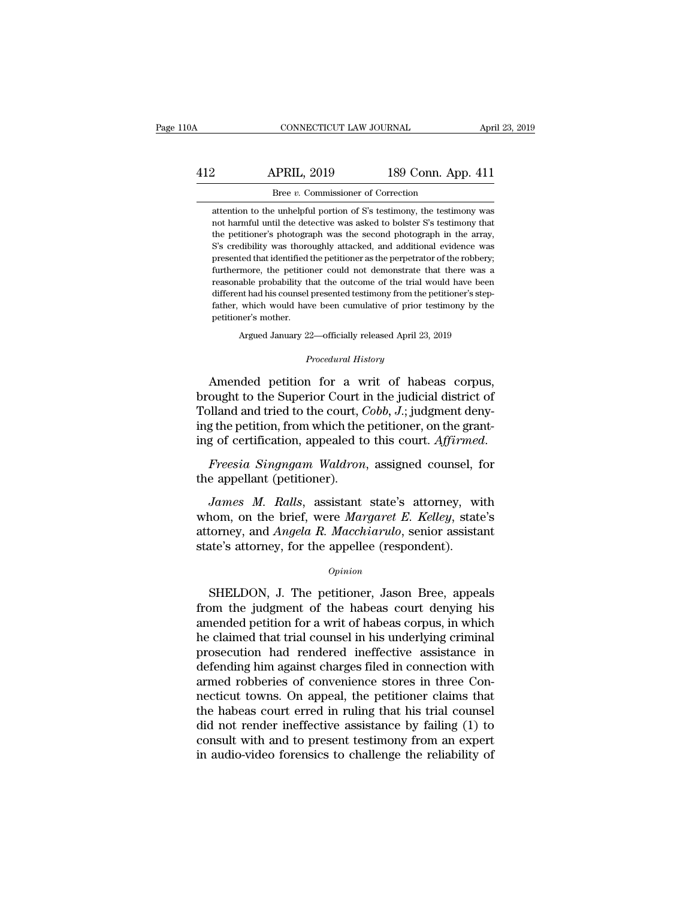# CONNECTICUT LAW JOURNAL April 23, 2019<br>412 APRIL, 2019 189 Conn. App. 411<br>Bree v. Commissioner of Correction CONNECTICUT LAW JOURNAL<br>PRIL, 2019 189 Conn. App<br>Bree *v.* Commissioner of Correction<br>e unhelpful portion of S's testimony, the testime

Example 189 Conn. App. 411<br>
23 Conn. App. 411<br>
24 Connussioner of Correction<br>
24 Connussioner of Correction<br>
24 Connussioner of S's testimony, the testimony was<br>
24 The detective was asked to bolster S's testimony that 2 **APRIL, 2019** 189 Conn. App. 411<br>Bree v. Commissioner of Correction<br>attention to the unhelpful portion of S's testimony, the testimony was<br>not harmful until the detective was asked to bolster S's testimony that<br>the petit 2 APRIL, 2019 189 Conn. App. 411<br>Bree v. Commissioner of Correction<br>attention to the unhelpful portion of S's testimony, the testimony was<br>not harmful until the detective was asked to bolster S's testimony that<br>the petitio Statemann Bree v. Commissioner of Correction<br>Statemann attention to the unhelpful portion of S's testimony, the testimony was<br>not harmful until the detective was asked to bolster S's testimony that<br>the petitioner's photogr Bree  $v$ . Commissioner of Correction<br>attention to the unhelpful portion of S's testimony, the testimony was<br>not harmful until the detective was asked to bolster S's testimony that<br>the petitioner's photograph was the secon attention to the unhelpful portion of S's testimony, the testimony was not harmful until the detective was asked to bolster S's testimony that the petitioner's photograph was the second photograph in the array, S's credibi not harmful until the detective was asked to bolster S's testimony that the petitioner's photograph was the second photograph in the array, S's credibility was thoroughly attacked, and additional evidence was presented tha the petitioner's photograph was the second photograph in the array, she second photograph in the array, S's credibility was thoroughly attacked, and additional evidence was presented that identified the petitioner as the p father, which was thoroughly attacked, and additional evidence was<br>presented that identified the petitioner as the perpetrator of the robbery;<br>furthermore, the petitioner could not demonstrate that there was a<br>reasonable p persented that identified<br>presented that identified<br>furthermore, the petition<br>reasonable probability the<br>different had his counsel<br>father, which would have<br>petitioner's mother.<br>Argued January 22 reasonable probability that the outcome of the trial would have been different had his counsel presented testimony from the petitioner's step-<br>father, which would have been cumulative of prior testimony by the petitioner' father, which would have been cumulative of prior testimony by the petitioner's mother.<br> *Procedural History*<br> *Procedural History*<br> *Procedural History*<br> **Amended petition for a writ of habeas corpus,** 

different had his counsel presented testimony from the petitioner's step-<br>father, which would have been cumulative of prior testimony by the<br>petitioner's mother.<br>Argued January 22—officially released April 23, 2019<br>*Proced* father, which would have been cumulative of prior testimony by the<br>petitioner's mother.<br>Argued January 22—officially released April 23, 2019<br>*Procedural History*<br>Amended petition for a writ of habeas corpus,<br>brought to the From Marqued January 22—officially released April 23, 2019<br>*Procedural History*<br>Amended petition for a writ of habeas corpus,<br>brought to the Superior Court in the judicial district of<br>Tolland and tried to the court, *Cobb* Argued January 22—officially released April 23, 2019<br> *Procedural History*<br> **Amended petition for a writ of habeas corpus,**<br>
brought to the Superior Court in the judicial district of<br>
Tolland and tried to the court, *Cobb* Frocedural History<br>
incomplexity of the Superior Court in the judicial district of<br>
Tolland and tried to the court, *Cobb*, *J*.; judgment deny-<br>
ing the petition, from which the petitioner, on the grant-<br>
ing of certifica Find the Superior Formation<br>Brought to the Superior Court in<br>Tolland and tried to the court, C<br>ing the petition, from which the<br>ing of certification, appealed to<br>Freesia Singngam Waldron<br>the appellant (petitioner).<br>James M *James M. Ralls*, assistant state's attorney and the betting of certification, appealed to this court. Affirmed.<br>Freesia Singngam Waldron, assigned counsel, for<br>e appellant (petitioner).<br>James M. Ralls, assistant state's a

ing the petition, from which the petitioner, on the grant-<br>ing of certification, appealed to this court. *Affirmed.*<br>Freesia Singngam Waldron, assigned counsel, for<br>the appellant (petitioner).<br>James M. Ralls, assistant sta ing of certification, appealed to this court. *Affirmed.*<br>Freesia Singngam Waldron, assigned counsel, for<br>the appellant (petitioner).<br>James M. Ralls, assistant state's attorney, with<br>whom, on the brief, were Margaret E. Ke Freesia Singngam Waldron, assigned counsel, 1<br>the appellant (petitioner).<br>James M. Ralls, assistant state's attorney, wi<br>whom, on the brief, were Margaret E. Kelley, state<br>attorney, and Angela R. Macchiarulo, senior assist *James M. Ralls,* assistant state's attorney, with<br>nom, on the brief, were *Margaret E. Kelley*, state's<br>torney, and *Angela R. Macchiarulo*, senior assistant<br>the's attorney, for the appellee (respondent).<br>*Opinion*<br>SHELDO

## *Opinion*

whom, on the brief, were *Margaret E. Kelley*, state's<br>attorney, and *Angela R. Macchiarulo*, senior assistant<br>state's attorney, for the appellee (respondent).<br> $o_{pinion}$ <br>SHELDON, J. The petitioner, Jason Bree, appeals<br>from attorney, and *Angela R. Macchiarulo*, senior assistant<br>state's attorney, for the appellee (respondent).<br>Opinion<br>SHELDON, J. The petitioner, Jason Bree, appeals<br>from the judgment of the habeas court denying his<br>amended pet state's attorney, for the appellee (respondent).<br>  $\phi_{pinion}$ <br>
SHELDON, J. The petitioner, Jason Bree, appeals<br>
from the judgment of the habeas court denying his<br>
amended petition for a writ of habeas corpus, in which<br>
the cl **SHELDON, J. The petitioner, Jason Bree, appeals<br>from the judgment of the habeas court denying his<br>amended petition for a writ of habeas corpus, in which<br>he claimed that trial counsel in his underlying criminal<br>prosecution**  $\sigma_{\rm{photon}}$ <br>SHELDON, J. The petitioner, Jason Bree, appeals<br>from the judgment of the habeas court denying his<br>amended petition for a writ of habeas corpus, in which<br>he claimed that trial counsel in his underlying criminal SHELDON, J. The petitioner, Jason Bree, appeals<br>from the judgment of the habeas court denying his<br>amended petition for a writ of habeas corpus, in which<br>he claimed that trial counsel in his underlying criminal<br>prosecution from the judgment of the habeas court denying his<br>amended petition for a writ of habeas corpus, in which<br>he claimed that trial counsel in his underlying criminal<br>prosecution had rendered ineffective assistance in<br>defending amended petition for a writ of habeas corpus, in which<br>he claimed that trial counsel in his underlying criminal<br>prosecution had rendered ineffective assistance in<br>defending him against charges filed in connection with<br>arme he claimed that trial counsel in his underlying criminal<br>prosecution had rendered ineffective assistance in<br>defending him against charges filed in connection with<br>armed robberies of convenience stores in three Con-<br>necticu prosecution had rendered ineffective assistance in<br>defending him against charges filed in connection with<br>armed robberies of convenience stores in three Con-<br>necticut towns. On appeal, the petitioner claims that<br>the habeas defending him against charges filed in connection with armed robberies of convenience stores in three Connecticut towns. On appeal, the petitioner claims that the habeas court erred in ruling that his trial counsel did not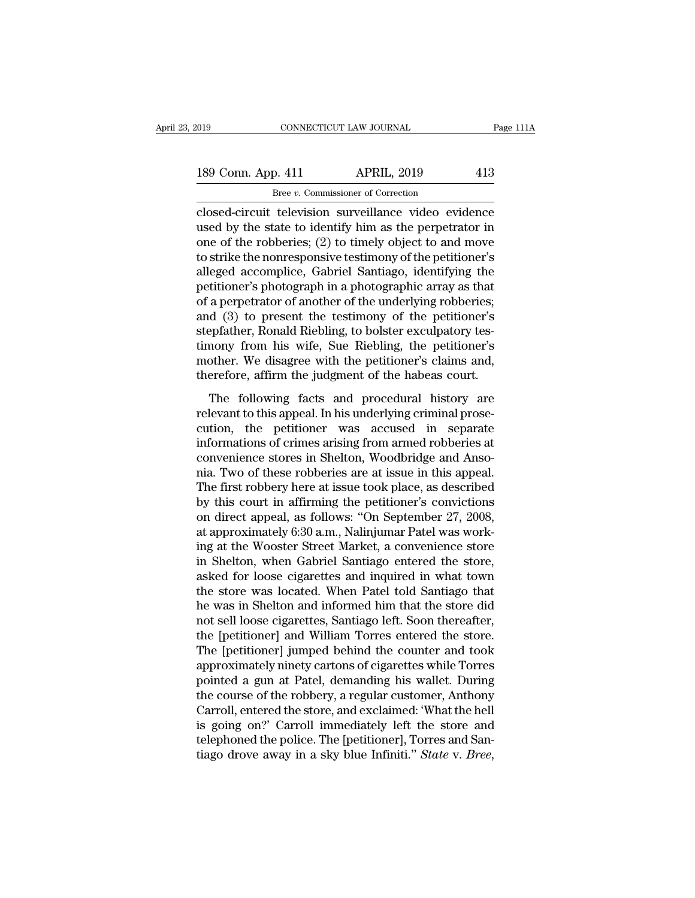# 189 Conn. App. 411 APRIL, 2019 413<br>
There v. Commissioner of Correction Bree *v.* Commissioner of Correction

connectricut television surveillance video evidence<br>
and the video evidence<br>
closed-circuit television surveillance video evidence<br>
used by the state to identify him as the perpetrator in<br>
one of the rebberies: (2) to time 189 Conn. App. 411 APRIL, 2019 413<br>
Bree v. Commissioner of Correction<br>
closed-circuit television surveillance video evidence<br>
used by the state to identify him as the perpetrator in<br>
one of the robberies; (2) to timely ob 189 Conn. App. 411 APRIL, 2019 413<br>
Bree *v*. Commissioner of Correction<br>
closed-circuit television surveillance video evidence<br>
used by the state to identify him as the perpetrator in<br>
one of the robberies; (2) to timely 189 Conn. App. 411 APRIL, 2019 413<br>  $\frac{\text{Bree } v. \text{ Commissioner of Correction}}{\text{closed-circuit television surveillance video evidence}}$ <br>
used by the state to identify him as the perpetrator in<br>
one of the robberies; (2) to timely object to and move<br>
to strike the nonresponsive testimony o Bree v. Commissioner of Correction<br>
closed-circuit television surveillance video evidence<br>
used by the state to identify him as the perpetrator in<br>
one of the robberies; (2) to timely object to and move<br>
to strike the non Example *v*. Commissioner of Correction<br>closed-circuit television surveillance video evidence<br>used by the state to identify him as the perpetrator in<br>one of the robberies; (2) to timely object to and move<br>to strike the no closed-circuit television surveillance video evidence<br>used by the state to identify him as the perpetrator in<br>one of the robberies; (2) to timely object to and move<br>to strike the nonresponsive testimony of the petitioner's used by the state to identify him as the perpetrator in<br>one of the robberies; (2) to timely object to and move<br>to strike the nonresponsive testimony of the petitioner's<br>alleged accomplice, Gabriel Santiago, identifying the one of the robberies; (2) to timely object to and move<br>to strike the nonresponsive testimony of the petitioner's<br>alleged accomplice, Gabriel Santiago, identifying the<br>petitioner's photograph in a photographic array as that to strike the nonresponsive testimony of the petitioner's<br>alleged accomplice, Gabriel Santiago, identifying the<br>petitioner's photograph in a photographic array as that<br>of a perpetrator of another of the underlying robberie alleged accomplice, Gabriel Santiago, identifying the<br>petitioner's photograph in a photographic array as that<br>of a perpetrator of another of the underlying robberies;<br>and (3) to present the testimony of the petitioner's<br>st petitioner's photograph in a photographic array as that<br>of a perpetrator of another of the underlying robberies;<br>and (3) to present the testimony of the petitioner's<br>stepfather, Ronald Riebling, to bolster exculpatory tesa perpertual of another of an analysing researchs,<br>d (3) to present the testimony of the petitioner's<br>epfather, Ronald Riebling, to bolster exculpatory tes-<br>nony from his wife, Sue Riebling, the petitioner's<br>other. We disa example of the sessional conductions of the perfection of the perfection of the perfection of the perfection of the perfection of the perfection and, therefore, affirm the judgment of the habeas court.<br>The following facts

Exeptrance, to hard the band, to be solved chempatory to timeony from his wife, Sue Riebling, the petitioner's mother. We disagree with the petitioner's claims and, therefore, affirm the judgment of the habeas court.<br>The f informations of the material model is more than the performand model in the formation and, therefore, affirm the judgment of the habeas court.<br>The following facts and procedural history are relevant to this appeal. In his modical. We disagree what the perficience is entired,<br>therefore, affirm the judgment of the habeas court.<br>The following facts and procedural history are<br>relevant to this appeal. In his underlying criminal prose-<br>cution, th The following facts and procedural history are<br>relevant to this appeal. In his underlying criminal prose-<br>cution, the petitioner was accused in separate<br>informations of crimes arising from armed robberies at<br>convenience st The following facts and procedural history are<br>relevant to this appeal. In his underlying criminal prose-<br>cution, the petitioner was accused in separate<br>informations of crimes arising from armed robberies at<br>convenience st relevant to this appeal. In his underlying criminal prosecution, the petitioner was accused in separate informations of crimes arising from armed robberies at convenience stores in Shelton, Woodbridge and Ansonia. Two of cution, the petitioner was accused in separate<br>informations of crimes arising from armed robberies at<br>convenience stores in Shelton, Woodbridge and Anso-<br>nia. Two of these robberies are at issue in this appeal.<br>The first r informations of crimes arising from armed robberies at convenience stores in Shelton, Woodbridge and Ansonia. Two of these robberies are at issue in this appeal. The first robbery here at issue took place, as described by convenience stores in Shelton, Woodbridge and Anso-<br>nia. Two of these robberies are at issue in this appeal.<br>The first robbery here at issue took place, as described<br>by this court in affirming the petitioner's convictions<br> nia. Two of these robberies are at issue in this appeal.<br>The first robbery here at issue took place, as described<br>by this court in affirming the petitioner's convictions<br>on direct appeal, as follows: "On September 27, 2008 The first robbery here at issue took place, as described<br>by this court in affirming the petitioner's convictions<br>on direct appeal, as follows: "On September 27, 2008,<br>at approximately 6:30 a.m., Nalinjumar Patel was work-<br> by this court in affirming the petitioner's convictions<br>on direct appeal, as follows: "On September 27, 2008,<br>at approximately 6:30 a.m., Nalinjumar Patel was work-<br>ing at the Wooster Street Market, a convenience store<br>in on direct appeal, as follows: "On September 27, 2008,<br>at approximately 6:30 a.m., Nalinjumar Patel was work-<br>ing at the Wooster Street Market, a convenience store<br>in Shelton, when Gabriel Santiago entered the store,<br>asked at approximately 6:30 a.m., Nalinjumar Patel was working at the Wooster Street Market, a convenience store in Shelton, when Gabriel Santiago entered the store, asked for loose cigarettes and inquired in what town the store ing at the Wooster Street Market, a convenience store<br>in Shelton, when Gabriel Santiago entered the store,<br>asked for loose cigarettes and inquired in what town<br>the store was located. When Patel told Santiago that<br>he was in in Shelton, when Gabriel Santiago entered the store,<br>asked for loose cigarettes and inquired in what town<br>the store was located. When Patel told Santiago that<br>he was in Shelton and informed him that the store did<br>not sell asked for loose cigarettes and inquired in what town<br>the store was located. When Patel told Santiago that<br>he was in Shelton and informed him that the store did<br>not sell loose cigarettes, Santiago left. Soon thereafter,<br>the the store was located. When Patel told Santiago that<br>he was in Shelton and informed him that the store did<br>not sell loose cigarettes, Santiago left. Soon thereafter,<br>the [petitioner] and William Torres entered the store.<br>T he was in Shelton and informed him that the store did<br>not sell loose cigarettes, Santiago left. Soon thereafter,<br>the [petitioner] and William Torres entered the store.<br>The [petitioner] jumped behind the counter and took<br>ap not sell loose cigarettes, Santiago left. Soon thereafter,<br>the [petitioner] and William Torres entered the store.<br>The [petitioner] jumped behind the counter and took<br>approximately ninety cartons of cigarettes while Torres<br> the [petitioner] and William Torres entered the store.<br>The [petitioner] jumped behind the counter and took<br>approximately ninety cartons of cigarettes while Torres<br>pointed a gun at Patel, demanding his wallet. During<br>the co The [petitioner] jumped behind the counter and took<br>approximately ninety cartons of cigarettes while Torres<br>pointed a gun at Patel, demanding his wallet. During<br>the course of the robbery, a regular customer, Anthony<br>Carrol approximately ninety cartons of cigarettes while Torres<br>pointed a gun at Patel, demanding his wallet. During<br>the course of the robbery, a regular customer, Anthony<br>Carroll, entered the store, and exclaimed: 'What the hell<br>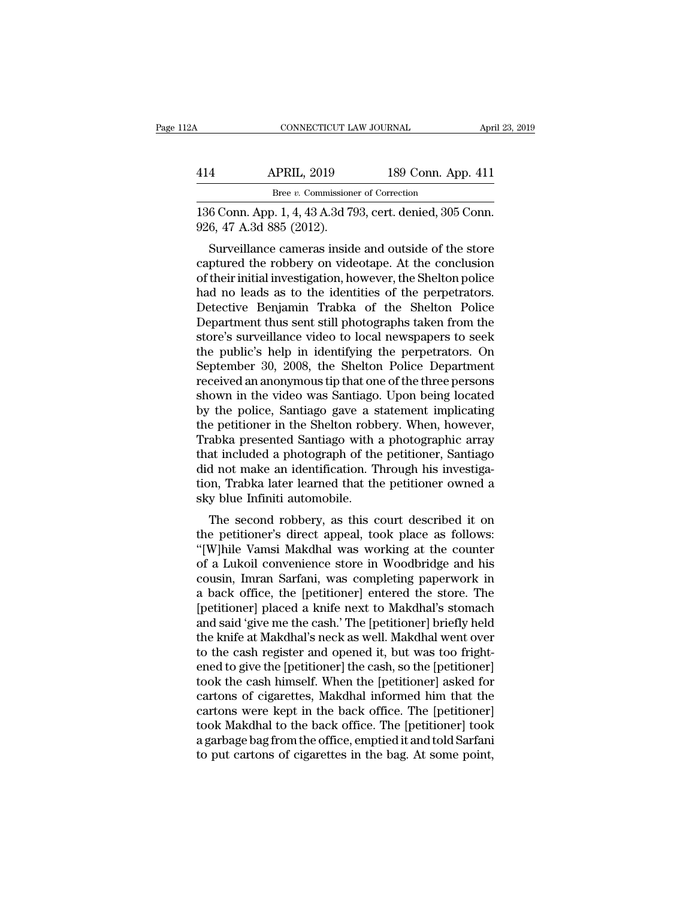| 2Α  | CONNECTICUT LAW JOURNAL                                                               |                    | April 23, 2019 |
|-----|---------------------------------------------------------------------------------------|--------------------|----------------|
| 414 | <b>APRIL, 2019</b>                                                                    | 189 Conn. App. 411 |                |
|     | Bree v. Commissioner of Correction                                                    |                    |                |
|     | 136 Conn. App. 1, 4, 43 A.3d 793, cert. denied, 305 Conn.<br>926, 47 A.3d 885 (2012). |                    |                |
|     | Surveillance cameras inside and outside of the store                                  |                    |                |

 $\frac{\text{APRIL, 2019}}{\text{Bree } v. \text{ Commissioner of Correction}}$ <br>  $\frac{6 \text{ Conn. App. 1, 4, 43 A.3d 793, cert. denied, 305 Conn.}}{6, 47 A.3d 885 (2012).}$ <br>
Surveillance cameras inside and outside of the store<br>
ptured the robbery on videotape. At the conclusion<br>
their initial i 414 APRIL, 2019 189 Conn. App. 411<br>Bree v. Commissioner of Correction<br>136 Conn. App. 1, 4, 43 A.3d 793, cert. denied, 305 Conn.<br>926, 47 A.3d 885 (2012).<br>Surveillance cameras inside and outside of the store<br>captured the ro Bree *v.* Commissioner of Correction<br>
136 Conn. App. 1, 4, 43 A.3d 793, cert. denied, 305 Conn.<br>
926, 47 A.3d 885 (2012).<br>
Surveillance cameras inside and outside of the store<br>
captured the robbery on videotape. At the co 136 Conn. App. 1, 4, 43 A.3d 793, cert. denied, 305 Conn.<br>926, 47 A.3d 885 (2012).<br>Surveillance cameras inside and outside of the store<br>captured the robbery on videotape. At the conclusion<br>of their initial investigation, h 150 Collit. App. 1, 4, 45 A.5d 795, Cert. defined, 505 Collit.<br>926, 47 A.3d 885 (2012).<br>Surveillance cameras inside and outside of the store<br>captured the robbery on videotape. At the conclusion<br>of their initial investigati  $\sigma$  sectors of  $\tau$  and  $\sigma$  and  $\sigma$  and  $\sigma$  and  $\sigma$  and  $\sigma$  and  $\sigma$  and  $\sigma$  and  $\sigma$  and  $\sigma$  and  $\sigma$  and  $\sigma$  and  $\sigma$  and  $\sigma$  and  $\sigma$  leads as to the identities of the perpetrators.<br>Detective Benjamin Trabka Surveillance cameras inside and outside of the store<br>captured the robbery on videotape. At the conclusion<br>of their initial investigation, however, the Shelton police<br>had no leads as to the identities of the perpetrators.<br>D captured the robbery on videotape. At the conclusion<br>of their initial investigation, however, the Shelton police<br>had no leads as to the identities of the perpetrators.<br>Detective Benjamin Trabka of the Shelton Police<br>Depart of their initial investigation, however, the Shelton police<br>had no leads as to the identities of the perpetrators.<br>Detective Benjamin Trabka of the Shelton Police<br>Department thus sent still photographs taken from the<br>store had no leads as to the identities of the perpetrators.<br>Detective Benjamin Trabka of the Shelton Police<br>Department thus sent still photographs taken from the<br>store's surveillance video to local newspapers to seek<br>the public Detective Benjamin Trabka of the Shelton Police<br>Department thus sent still photographs taken from the<br>store's surveillance video to local newspapers to seek<br>the public's help in identifying the perpetrators. On<br>September 3 Department thus sent still photographs taken from the<br>store's surveillance video to local newspapers to seek<br>the public's help in identifying the perpetrators. On<br>September 30, 2008, the Shelton Police Department<br>received store's surveillance video to local newspapers to seek<br>the public's help in identifying the perpetrators. On<br>September 30, 2008, the Shelton Police Department<br>received an anonymous tip that one of the three persons<br>shown i the public's help in identifying the perpetrators. On<br>September 30, 2008, the Shelton Police Department<br>received an anonymous tip that one of the three persons<br>shown in the video was Santiago. Upon being located<br>by the pol September 30, 2008, the Shelton Police Department<br>received an anonymous tip that one of the three persons<br>shown in the video was Santiago. Upon being located<br>by the police, Santiago gave a statement implicating<br>the petitio received an anonymous tip that one of the three persons<br>shown in the video was Santiago. Upon being located<br>by the police, Santiago gave a statement implicating<br>the petitioner in the Shelton robbery. When, however,<br>Trabka shown in the video was Santiago. Upon being located<br>by the police, Santiago gave a statement implicating<br>the petitioner in the Shelton robbery. When, however,<br>Trabka presented Santiago with a photographic array<br>that includ by the police, Santiago gave a s<br>the petitioner in the Shelton robb<br>Trabka presented Santiago with :<br>that included a photograph of the<br>did not make an identification. T<br>tion, Trabka later learned that th<br>sky blue Infiniti Experiment in the shelton robbery, when, however,<br>abka presented Santiago with a photographic array<br>at included a photograph of the petitioner, Santiago<br>d not make an identification. Through his investiga-<br>n, Trabka later Trabka presented santrago with a photographic array<br>that included a photograph of the petitioner, Santiago<br>did not make an identification. Through his investiga-<br>tion, Trabka later learned that the petitioner owned a<br>sky b

that included a photograph of the petrioner, santiago<br>
did not make an identification. Through his investiga-<br>
tion, Trabka later learned that the petitioner owned a<br>
sky blue Infiniti automobile.<br>
The second robbery, as t did not hiake an identification. Through his investiga-<br>tion, Trabka later learned that the petitioner owned a<br>sky blue Infiniti automobile.<br>The second robbery, as this court described it on<br>the petitioner's direct appeal, cont, Trabka later learned that the petitioner owned a<br>sky blue Infiniti automobile.<br>The second robbery, as this court described it on<br>the petitioner's direct appeal, took place as follows:<br>"[W]hile Vamsi Makdhal was worki sky bue minuti automobie.<br>
The second robbery, as this court described it on<br>
the petitioner's direct appeal, took place as follows:<br>
"[W]hile Vamsi Makdhal was working at the counter<br>
of a Lukoil convenience store in Wood The second robbery, as this court described it on<br>the petitioner's direct appeal, took place as follows:<br>"[W]hile Vamsi Makdhal was working at the counter<br>of a Lukoil convenience store in Woodbridge and his<br>cousin, Imran S the petitioner's direct appeal, took place as follows:<br>"[W]hile Vamsi Makdhal was working at the counter<br>of a Lukoil convenience store in Woodbridge and his<br>cousin, Imran Sarfani, was completing paperwork in<br>a back office, "[W]hile Vamsi Makdhal was working at the counter<br>of a Lukoil convenience store in Woodbridge and his<br>cousin, Imran Sarfani, was completing paperwork in<br>a back office, the [petitioner] entered the store. The<br>[petitioner] p of a Lukoil convenience store in Woodbridge and his<br>cousin, Imran Sarfani, was completing paperwork in<br>a back office, the [petitioner] entered the store. The<br>[petitioner] placed a knife next to Makdhal's stomach<br>and said ' cousin, Imran Sarfani, was completing paperwork in<br>a back office, the [petitioner] entered the store. The<br>[petitioner] placed a knife next to Makdhal's stomach<br>and said 'give me the cash.' The [petitioner] briefly held<br>the a back office, the [petitioner] entered the store. The<br>[petitioner] placed a knife next to Makdhal's stomach<br>and said 'give me the cash.' The [petitioner] briefly held<br>the knife at Makdhal's neck as well. Makdhal went over [petitioner] placed a knife next to Makdhal's stomach<br>and said 'give me the cash.' The [petitioner] briefly held<br>the knife at Makdhal's neck as well. Makdhal went over<br>to the cash register and opened it, but was too fright and said 'give me the cash.' The [petitioner] briefly held<br>the knife at Makdhal's neck as well. Makdhal went over<br>to the cash register and opened it, but was too fright-<br>ened to give the [petitioner] the cash, so the [peti the knife at Makdhal's neck as well. Makdhal went over<br>to the cash register and opened it, but was too fright-<br>ened to give the [petitioner] the cash, so the [petitioner]<br>took the cash himself. When the [petitioner] asked to the cash register and opened it, but was too frightened to give the [petitioner] the cash, so the [petitioner] took the cash himself. When the [petitioner] asked for cartons of cigarettes, Makdhal informed him that the ened to give the [petitioner] the cash, so the [petitioner] took the cash himself. When the [petitioner] asked for cartons of cigarettes, Makdhal informed him that the cartons were kept in the back office. The [petitioner]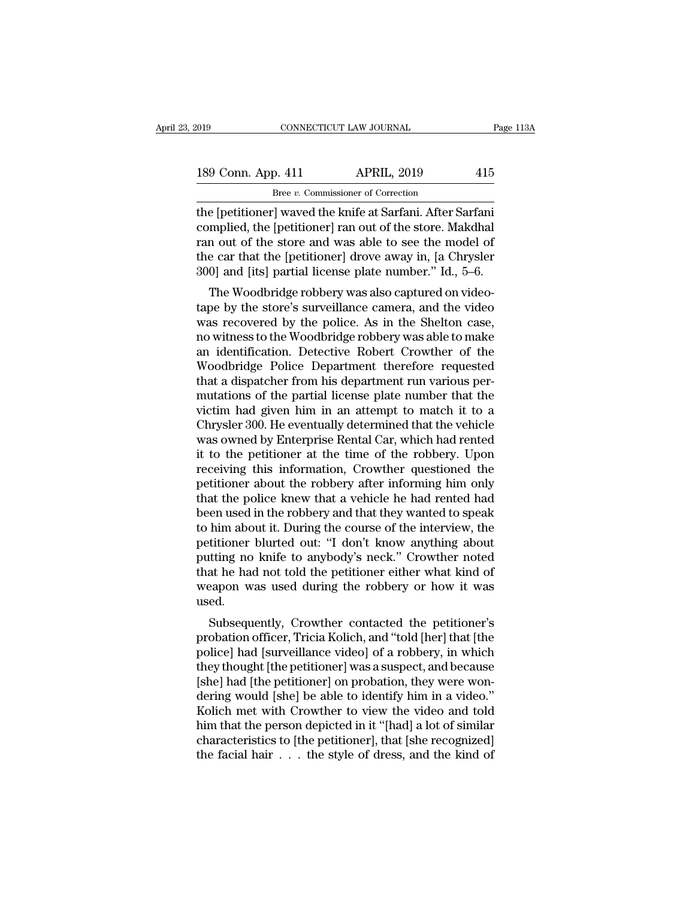| 2019 |                    | CONNECTICUT LAW JOURNAL                                   | Page 113A |
|------|--------------------|-----------------------------------------------------------|-----------|
|      | 189 Conn. App. 411 | <b>APRIL, 2019</b>                                        | 415       |
|      |                    | Bree v. Commissioner of Correction                        |           |
|      |                    | the Inetitionerl waved the knife at Sarfani After Sarfani |           |

The Equation CONNECTICUT LAW JOURNAL Page 11:<br>
189 Conn. App. 411 APRIL, 2019 415<br>
Bree v. Commissioner of Correction<br>
the [petitioner] waved the knife at Sarfani. After Sarfani<br>
complied, the [petitioner] ran out of the s 189 Conn. App. 411 APRIL, 2019 415<br>Bree v. Commissioner of Correction<br>the [petitioner] waved the knife at Sarfani. After Sarfani<br>complied, the [petitioner] ran out of the store. Makdhal<br>ran out of the store and was able to 189 Conn. App. 411 APRIL, 2019 415<br>
Bree v. Commissioner of Correction<br>
the [petitioner] waved the knife at Sarfani. After Sarfani<br>
complied, the [petitioner] ran out of the store. Makdhal<br>
ran out of the store and was ab 189 Conn. App. 411 APRIL, 2019 415<br>
Bree v. Commissioner of Correction<br>
the [petitioner] waved the knife at Sarfani. After Sarfani<br>
complied, the [petitioner] ran out of the store. Makdhal<br>
ran out of the store and was ab Bree *v*. Commissioner of Correction<br>the [petitioner] waved the knife at Sarfani. After Sarfani<br>complied, the [petitioner] ran out of the store. Makdhal<br>ran out of the store and was able to see the model of<br>the car that t e [petitioner] waved the knife at Sarfani. After Sarfani<br>mplied, the [petitioner] ran out of the store. Makdhal<br>n out of the store and was able to see the model of<br>e car that the [petitioner] drove away in, [a Chrysler<br>0] the [petholer] waved the kille at Sariani. After Sariani<br>complied, the [petitioner] ran out of the store. Makdhal<br>ran out of the store and was able to see the model of<br>the car that the [petitioner] drove away in, [a Chrysl

complied, the [petholier] ran out of the store. Maxuliar<br>ran out of the store and was able to see the model of<br>the car that the [petitioner] drove away in, [a Chrysler<br>300] and [its] partial license plate number." Id., 5–6 ran out of the store and was able to see the moder of<br>the car that the [petitioner] drove away in, [a Chrysler<br>300] and [its] partial license plate number." Id., 5–6.<br>The Woodbridge robbery was also captured on video-<br>tape an identification. Detective Robert Crowther of the Woodbridge Police Department and the video was recovered by the police. As in the Shelton case, no witness to the Woodbridge robbery was able to make an identification. D Sooj and [its] partial ncense plate number. Tu., 5–0.<br>The Woodbridge robbery was also captured on video-<br>tape by the store's surveillance camera, and the video<br>was recovered by the police. As in the Shelton case,<br>no witnes The Woodbridge robbery was also captured on video-<br>tape by the store's surveillance camera, and the video<br>was recovered by the police. As in the Shelton case,<br>no witness to the Woodbridge robbery was able to make<br>an identi tape by the store's surveillance camera, and the video<br>was recovered by the police. As in the Shelton case,<br>mo witness to the Woodbridge robbery was able to make<br>an identification. Detective Robert Crowther of the<br>Woodbrid was recovered by the police. As in the Shelton case,<br>no witness to the Woodbridge robbery was able to make<br>an identification. Detective Robert Crowther of the<br>Woodbridge Police Department therefore requested<br>that a dispatc no witness to the Woodbridge robbery was able to make<br>an identification. Detective Robert Crowther of the<br>Woodbridge Police Department therefore requested<br>that a dispatcher from his department run various per-<br>mutations of an identification. Detective Robert Crowther of the<br>Woodbridge Police Department therefore requested<br>that a dispatcher from his department run various per-<br>mutations of the partial license plate number that the<br>victim had Woodbridge Police Department therefore requested<br>that a dispatcher from his department run various per-<br>mutations of the partial license plate number that the<br>victim had given him in an attempt to match it to a<br>Chrysler 30 that a dispatcher from his department run various permutations of the partial license plate number that the victim had given him in an attempt to match it to a Chrysler 300. He eventually determined that the vehicle was ow mutations of the partial license plate number that the victim had given him in an attempt to match it to a Chrysler 300. He eventually determined that the vehicle was owned by Enterprise Rental Car, which had rented it to victim had given him in an attempt to match it to a<br>Chrysler 300. He eventually determined that the vehicle<br>was owned by Enterprise Rental Car, which had rented<br>it to the petitioner at the time of the robbery. Upon<br>receivi Chrysler 300. He eventually determined that the vehicle<br>was owned by Enterprise Rental Car, which had rented<br>it to the petitioner at the time of the robbery. Upon<br>receiving this information, Crowther questioned the<br>petitio was owned by Enterprise Rental Car, which had rented<br>it to the petitioner at the time of the robbery. Upon<br>receiving this information, Crowther questioned the<br>petitioner about the robbery after informing him only<br>that the it to the petitioner at the time of the robbery. Upon<br>receiving this information, Crowther questioned the<br>petitioner about the robbery after informing him only<br>that the police knew that a vehicle he had rented had<br>been use receiving this information, Crowther questioned the<br>petitioner about the robbery after informing him only<br>that the police knew that a vehicle he had rented had<br>been used in the robbery and that they wanted to speak<br>to him petitioner about the robbery after informing him only<br>that the police knew that a vehicle he had rented had<br>been used in the robbery and that they wanted to speak<br>to him about it. During the course of the interview, the<br>pe that the police knew that a vehicle he had rented had<br>been used in the robbery and that they wanted to speak<br>to him about it. During the course of the interview, the<br>petitioner blurted out: "I don't know anything about<br>put used. Film about it. During the course of the interview, the<br>titioner blurted out: "I don't know anything about<br>titing no knife to anybody's neck." Crowther noted<br>at he had not told the petitioner either what kind of<br>eapon was u petitioner blutted out. The dot know anything about<br>putting no knife to anybody's neck." Crowther noted<br>that he had not told the petitioner either what kind of<br>weapon was used during the robbery or how it was<br>used.<br>Subsequ

putting no kille to anybody's neck. Crowther noted<br>that he had not told the petitioner either what kind of<br>weapon was used during the robbery or how it was<br>used.<br>Subsequently, Crowther contacted the petitioner's<br>probation that he had not told the petitioner entier what kind of<br>weapon was used during the robbery or how it was<br>used.<br>Subsequently, Crowther contacted the petitioner's<br>probation officer, Tricia Kolich, and "told [her] that [the<br>p weapon was used during the robbery or now it was<br>used.<br>Subsequently, Crowther contacted the petitioner's<br>probation officer, Tricia Kolich, and "told [her] that [the<br>police] had [surveillance video] of a robbery, in which<br>t Subsequently, Crowther contacted the petitioner's<br>probation officer, Tricia Kolich, and "told [her] that [the<br>police] had [surveillance video] of a robbery, in which<br>they thought [the petitioner] was a suspect, and because Subsequently, Crowther contacted the petitioner's<br>probation officer, Tricia Kolich, and "told [her] that [the<br>police] had [surveillance video] of a robbery, in which<br>they thought [the petitioner] was a suspect, and because probation officer, Tricia Kolich, and "told [her] that [the<br>police] had [surveillance video] of a robbery, in which<br>they thought [the petitioner] was a suspect, and because<br>[she] had [the petitioner] on probation, they wer police] had [surveillance video] of a robbery, in which<br>they thought [the petitioner] was a suspect, and because<br>[she] had [the petitioner] on probation, they were won-<br>dering would [she] be able to identify him in a video they thought [the petitioner] was a suspect, and because<br>[she] had [the petitioner] on probation, they were won-<br>dering would [she] be able to identify him in a video."<br>Kolich met with Crowther to view the video and told<br>h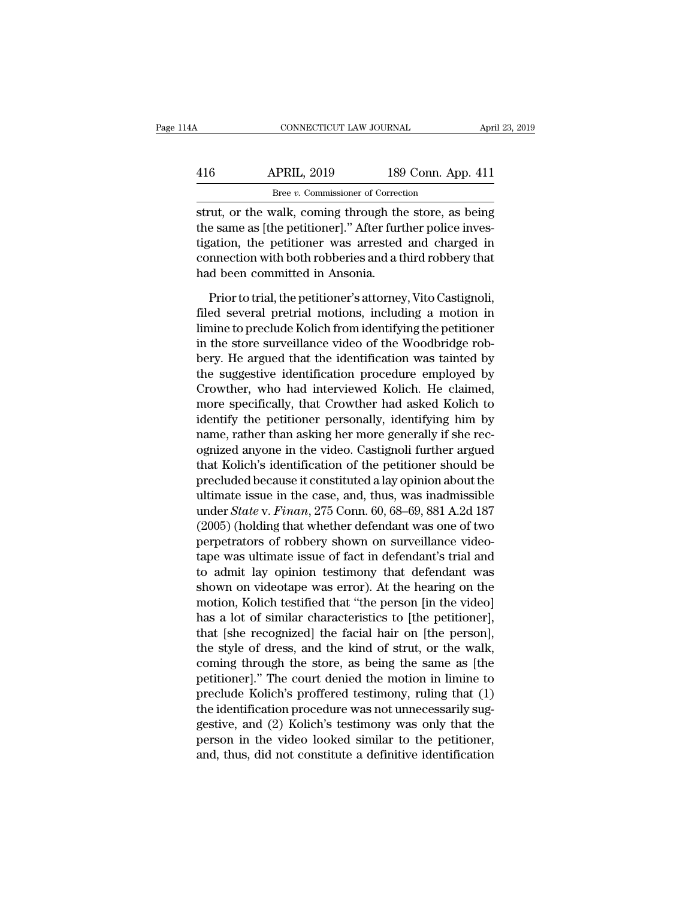| l4A | CONNECTICUT LAW JOURNAL            |                    | April 23, 2019 |
|-----|------------------------------------|--------------------|----------------|
| 416 | <b>APRIL, 2019</b>                 | 189 Conn. App. 411 |                |
|     | Bree v. Commissioner of Correction |                    |                |

STRUE CONNECTICUT LAW JOURNAL April 23, 2019<br>
APRIL, 2019 189 Conn. App. 411<br>
Bree v. Commissioner of Correction<br>
Strut, or the walk, coming through the store, as being<br>
the same as [the petitioner]." After further police 416 APRIL, 2019 189 Conn. App. 411<br>Bree v. Commissioner of Correction<br>strut, or the walk, coming through the store, as being<br>the same as [the petitioner]." After further police inves-<br>tigation, the petitioner was arrested  $\begin{array}{c|c} \text{APRIL, 2019} & \text{189 Conn. App. 411} \\ \hline \text{Bree } v. \text{ Commissioner of Correction} \\ \text{strut, or the walk, coming through the store, as being} \\ \text{the same as [the pertinent]." After further police investigation, the pertinent was arrested and charged in connection with both robberies and a third robberg that had been committed in Amonic.} \end{array}$ 416 APRIL, 2019 189 Conn. App. 411<br>Bree v. Commissioner of Correction<br>strut, or the walk, coming through the store, as being<br>the same as [the petitioner]." After further police inves-<br>tigation, the petitioner was arrested Bree *v*. Commissioner of Correct Strut, or the walk, coming through the same as [the petitioner]." After furt tigation, the petitioner was arrested connection with both robberies and a thad been committed in Ansonia. Prio rut, or the walk, coming through the store, as being<br>e same as [the petitioner]." After further police inves-<br>gation, the petitioner was arrested and charged in<br>nmection with both robberies and a third robbery that<br>d been the same as [the petitioner]." After further police inves-<br>tigation, the petitioner was arrested and charged in<br>connection with both robberies and a third robbery that<br>had been committed in Ansonia.<br>Prior to trial, the pet

tigation, the petitioner was arrested and charged in<br>connection with both robberies and a third robbery that<br>had been committed in Ansonia.<br>Prior to trial, the petitioner's attorney, Vito Castignoli,<br>filed several pretrial connection with both robberies and a third robbery that<br>had been committed in Ansonia.<br>Prior to trial, the petitioner's attorney, Vito Castignoli,<br>filed several pretrial motions, including a motion in<br>limine to preclude Ko had been committed in Ansonia.<br>
Prior to trial, the petitioner's attorney, Vito Castignoli,<br>
filed several pretrial motions, including a motion in<br>
limine to preclude Kolich from identifying the petitioner<br>
in the store su Prior to trial, the petitioner's attorney, Vito Castignoli,<br>filed several pretrial motions, including a motion in<br>limine to preclude Kolich from identifying the petitioner<br>in the store surveillance video of the Woodbridge Prior to trial, the petitioner's attorney, Vito Castignoli,<br>filed several pretrial motions, including a motion in<br>limine to preclude Kolich from identifying the petitioner<br>in the store surveillance video of the Woodbridge filed several pretrial motions, including a motion in<br>limine to preclude Kolich from identifying the petitioner<br>in the store surveillance video of the Woodbridge rob-<br>bery. He argued that the identification was tainted by<br> limine to preclude Kolich from identifying the petitioner<br>in the store surveillance video of the Woodbridge rob-<br>bery. He argued that the identification was tainted by<br>the suggestive identification procedure employed by<br>Cr in the store surveillance video of the Woodbridge rob-<br>bery. He argued that the identification was tainted by<br>the suggestive identification procedure employed by<br>Crowther, who had interviewed Kolich. He claimed,<br>more speci bery. He argued that the identification was tainted by<br>the suggestive identification procedure employed by<br>Crowther, who had interviewed Kolich. He claimed,<br>more specifically, that Crowther had asked Kolich to<br>identify the the suggestive identification procedure employed by<br>Crowther, who had interviewed Kolich. He claimed,<br>more specifically, that Crowther had asked Kolich to<br>identify the petitioner personally, identifying him by<br>name, rather Crowther, who had interviewed Kolich. He claimed,<br>more specifically, that Crowther had asked Kolich to<br>identify the petitioner personally, identifying him by<br>name, rather than asking her more generally if she rec-<br>ognized more specifically, that Crowther had asked Kolich to<br>identify the petitioner personally, identifying him by<br>name, rather than asking her more generally if she rec-<br>ognized anyone in the video. Castignoli further argued<br>th identify the petitioner personally, identifying him by<br>name, rather than asking her more generally if she rec-<br>ognized anyone in the video. Castignoli further argued<br>that Kolich's identification of the petitioner should be name, rather than asking her more generally if she rec-<br>ognized anyone in the video. Castignoli further argued<br>that Kolich's identification of the petitioner should be<br>precluded because it constituted a lay opinion about t ognized anyone in the video. Castignoli further argued<br>that Kolich's identification of the petitioner should be<br>precluded because it constituted a lay opinion about the<br>ultimate issue in the case, and, thus, was inadmissib that Kolich's identification of the petitioner should be<br>precluded because it constituted a lay opinion about the<br>ultimate issue in the case, and, thus, was inadmissible<br>under *State* v. *Finan*, 275 Conn. 60, 68–69, 881 precluded because it constituted a lay opinion about the<br>ultimate issue in the case, and, thus, was inadmissible<br>under *State* v. *Finan*, 275 Conn. 60, 68–69, 881 A.2d 187<br>(2005) (holding that whether defendant was one of ultimate issue in the case, and, thus, was inadmissible<br>under *State* v. *Finan*, 275 Conn. 60, 68–69, 881 A.2d 187<br>(2005) (holding that whether defendant was one of two<br>perpetrators of robbery shown on surveillance videounder *State* v. *Finan*, 275 Conn. 60, 68–69, 881 A.2d 187<br>(2005) (holding that whether defendant was one of two<br>perpetrators of robbery shown on surveillance video-<br>tape was ultimate issue of fact in defendant's trial an  $(2005)$  (holding that whether defendant was one of two<br>perpetrators of robbery shown on surveillance video-<br>tape was ultimate issue of fact in defendant's trial and<br>to admit lay opinion testimony that defendant was<br>shown perpetrators of robbery shown on surveillance video-<br>tape was ultimate issue of fact in defendant's trial and<br>to admit lay opinion testimony that defendant was<br>shown on videotape was error). At the hearing on the<br>motion, K tape was ultimate issue of fact in defendant's trial and<br>to admit lay opinion testimony that defendant was<br>shown on videotape was error). At the hearing on the<br>motion, Kolich testified that "the person [in the video]<br>has a to admit lay opinion testimony that defendant was<br>shown on videotape was error). At the hearing on the<br>motion, Kolich testified that "the person [in the video]<br>has a lot of similar characteristics to [the petitioner],<br>that shown on videotape was error). At the hearing on the<br>motion, Kolich testified that "the person [in the video]<br>has a lot of similar characteristics to [the petitioner],<br>that [she recognized] the facial hair on [the person], motion, Kolich testified that "the person [in the video]<br>has a lot of similar characteristics to [the petitioner],<br>that [she recognized] the facial hair on [the person],<br>the style of dress, and the kind of strut, or the wa has a lot of similar characteristics to [the petitioner],<br>that [she recognized] the facial hair on [the person],<br>the style of dress, and the kind of strut, or the walk,<br>coming through the store, as being the same as [the<br>p that [she recognized] the facial hair on [the person],<br>the style of dress, and the kind of strut, or the walk,<br>coming through the store, as being the same as [the<br>petitioner]." The court denied the motion in limine to<br>prec the style of dress, and the kind of strut, or the walk,<br>coming through the store, as being the same as [the<br>petitioner]." The court denied the motion in limine to<br>preclude Kolich's proffered testimony, ruling that (1)<br>the coming through the store, as being the same as [the petitioner]." The court denied the motion in limine to preclude Kolich's proffered testimony, ruling that (1) the identification procedure was not unnecessarily suggestiv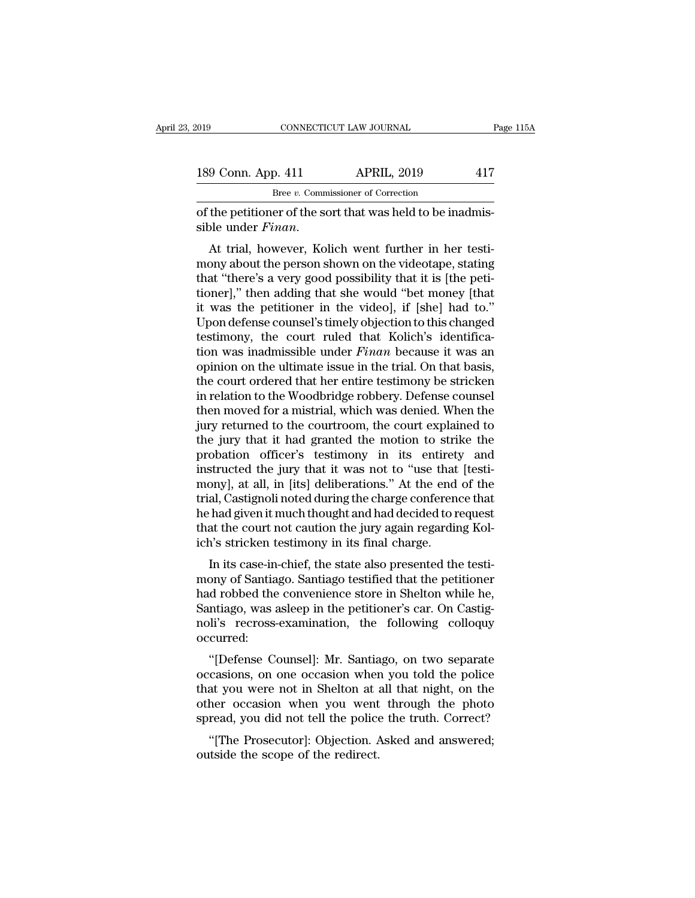| 2019               | CONNECTICUT LAW JOURNAL                                    | Page 115A |
|--------------------|------------------------------------------------------------|-----------|
| 189 Conn. App. 411 | <b>APRIL, 2019</b>                                         | 417       |
|                    | Bree v. Commissioner of Correction                         |           |
|                    | of the petitioner of the sort that was held to be inadmis- |           |

CONNECTICUT LAW JOURNAL<br>
189 Conn. App. 411 APRIL, 2019 417<br>
Bree v. Commissioner of Correction<br>
of the petitioner of the sort that was held to be inadmis-<br>
sible under *Finan*.

189 Conn. App. 411 APRIL, 2019 417<br>
<sup>Bree v</sup>. Commissioner of Correction<br>
of the petitioner of the sort that was held to be inadmis-<br>
sible under *Finan*.<br>
At trial, however, Kolich went further in her testi-<br>
mony about t 189 Conn. App. 411 APRIL, 2019 417<br>  $Bree \ v$ . Commissioner of Correction<br>
of the petitioner of the sort that was held to be inadmis-<br>
sible under *Finan*.<br>
At trial, however, Kolich went further in her testi-<br>
mony about th Bree  $v$ . Commissioner of Correction<br>
of the petitioner of the sort that was held to be inadmis-<br>
sible under *Finan*.<br>
At trial, however, Kolich went further in her testi-<br>
mony about the person shown on the videotape, s of the petitioner of the sort that was held to be inadmissible under *Finan*.<br>At trial, however, Kolich went further in her testimony about the person shown on the videotape, stating that "there's a very good possibility t is the petitioner of the soft that was held to be mathis-<br>sible under *Finan*.<br>At trial, however, Kolich went further in her testi-<br>mony about the person shown on the videotape, stating<br>that "there's a very good possibilit Sible under *Funan*.<br>At trial, however, Kolich went further in her testi-<br>mony about the person shown on the videotape, stating<br>that "there's a very good possibility that it is [the peti-<br>tioner]," then adding that she wo At trial, however, Kolich went further in her testi-<br>mony about the person shown on the videotape, stating<br>that "there's a very good possibility that it is [the peti-<br>tioner]," then adding that she would "bet money [that<br>i mony about the person shown on the videotape, stating<br>that "there's a very good possibility that it is [the peti-<br>tioner]," then adding that she would "bet money [that<br>it was the petitioner in the video], if [she] had to." that "there's a very good possibility that it is [the petitioner]," then adding that she would "bet money [that it was the petitioner in the video], if [she] had to."<br>Upon defense counsel's timely objection to this changed tioner]," then adding that she would "bet money [that<br>it was the petitioner in the video], if [she] had to."<br>Upon defense counsel's timely objection to this changed<br>testimony, the court ruled that Kolich's identifica-<br>tion it was the petitioner in the video], if [she] had to."<br>Upon defense counsel's timely objection to this changed<br>testimony, the court ruled that Kolich's identifica-<br>tion was inadmissible under *Finan* because it was an<br>opin Upon defense counsel's timely objection to this changed<br>testimony, the court ruled that Kolich's identifica-<br>tion was inadmissible under *Finan* because it was an<br>opinion on the ultimate issue in the trial. On that basis,<br> testimony, the court ruled that Kolich's identification was inadmissible under *Finan* because it was an opinion on the ultimate issue in the trial. On that basis, the court ordered that her entire testimony be stricken in tion was inadmissible under *Finan* because it was an opinion on the ultimate issue in the trial. On that basis, the court ordered that her entire testimony be stricken in relation to the Woodbridge robbery. Defense counse opinion on the ultimate issue in the trial. On that basis,<br>the court ordered that her entire testimony be stricken<br>in relation to the Woodbridge robbery. Defense counsel<br>then moved for a mistrial, which was denied. When th the court ordered that her entire testimony be stricken<br>in relation to the Woodbridge robbery. Defense counsel<br>then moved for a mistrial, which was denied. When the<br>jury returned to the courtroom, the court explained to<br>th in relation to the Woodbridge robbery. Defense counsel<br>then moved for a mistrial, which was denied. When the<br>jury returned to the courtroom, the court explained to<br>the jury that it had granted the motion to strike the<br>prob then moved for a mistrial, which was denied. When the<br>jury returned to the courtroom, the court explained to<br>the jury that it had granted the motion to strike the<br>probation officer's testimony in its entirety and<br>instructe jury returned to the courtroom, the court explained to<br>the jury that it had granted the motion to strike the<br>probation officer's testimony in its entirety and<br>instructed the jury that it was not to "use that [testi-<br>mony], the jury that it had granted the motion to strike the probation officer's testimony in its entirety and instructed the jury that it was not to "use that [testimony], at all, in [its] deliberations." At the end of the trial probation officer's testimony in its entirety<br>instructed the jury that it was not to "use that<br>mony], at all, in [its] deliberations." At the end<br>trial, Castignoli noted during the charge conference<br>he had given it much th Burded the Jury that it was not to the that [testi-<br>bony], at all, in [its] deliberations." At the end of the<br>al, Castignoli noted during the charge conference that<br>had given it much thought and had decided to request<br>at t mony], at air, in [its] demoerations. At the end of the<br>trial, Castignoli noted during the charge conference that<br>he had given it much thought and had decided to request<br>that the court not caution the jury again regarding

Final, Casughon hoted during the charge conference that<br>he had given it much thought and had decided to request<br>that the court not caution the jury again regarding Kol-<br>ich's stricken testimony in its final charge.<br>In its The had given it much thought and had decided to request<br>that the court not caution the jury again regarding Kol-<br>ich's stricken testimony in its final charge.<br>In its case-in-chief, the state also presented the testi-<br>mony not the burnt of cautof the jury again regarding Ron-<br>ich's stricken testimony in its final charge.<br>In its case-in-chief, the state also presented the testi-<br>mony of Santiago. Santiago testified that the petitioner<br>had rob occurred: In its case-in-clier, the state also presented the test-<br>
ony of Santiago. Santiago testified that the petitioner<br>
d robbed the convenience store in Shelton while he,<br>
ntiago, was asleep in the petitioner's car. On Castigmony or santrago. Santrago estimed that the petrioner<br>had robbed the convenience store in Shelton while he,<br>Santiago, was asleep in the petitioner's car. On Castig-<br>noli's recross-examination, the following colloquy<br>occurr

that you were not in Shelton while he,<br>Santiago, was asleep in the petitioner's car. On Castig-<br>noli's recross-examination, the following colloquy<br>occurred:<br>"[Defense Counsel]: Mr. Santiago, on two separate<br>occasions, on o Santiago, was asleep in the petrioner s car. On Casugnoli's recross-examination, the following colloquy occurred:<br>
"[Defense Counsel]: Mr. Santiago, on two separate occasions, on one occasion when you told the police that spread, working technomic occurred:<br>
"[Defense Counsel]: Mr. Santiago, on two separate<br>
occasions, on one occasion when you told the police<br>
that you were not in Shelton at all that night, on the<br>
other occasion when you w "[Defense Counsel]: Mr. Santiago, on two separate casions, on one occasion when you told the police at you were not in Shelton at all that night, on the her occasion when you went through the photo read, you did not tell t perense Counser<sub>1</sub>. M. Santia<br>occasions, on one occasion wher<br>that you were not in Shelton at a<br>other occasion when you went<br>spread, you did not tell the police<br>"[The Prosecutor]: Objection. *A*<br>outside the scope of the re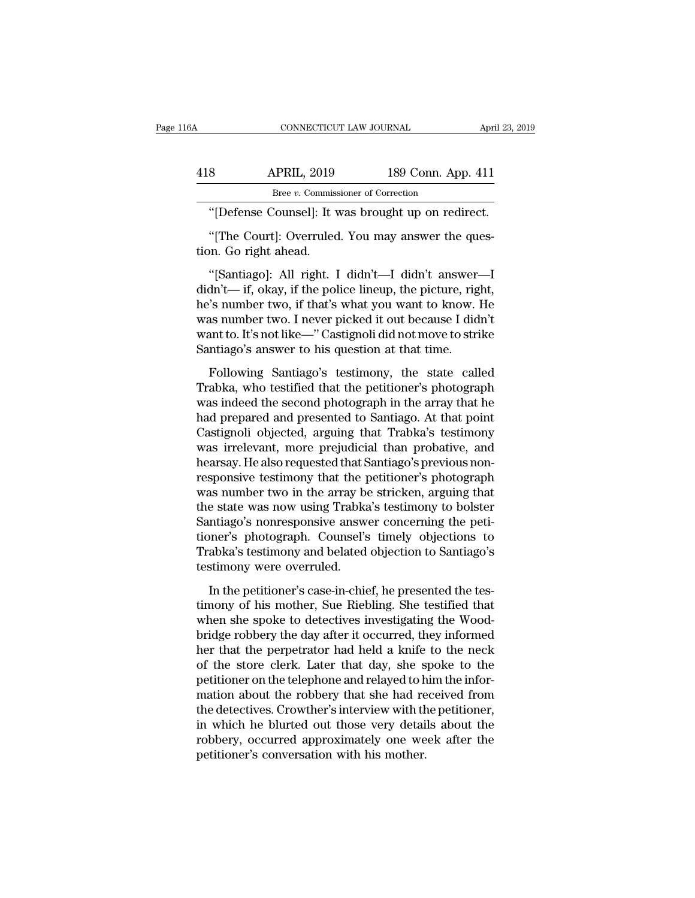| 6A  | CONNECTICUT LAW JOURNAL                                                   |                    | April 23, 2019 |
|-----|---------------------------------------------------------------------------|--------------------|----------------|
|     |                                                                           |                    |                |
| 418 | <b>APRIL, 2019</b><br>Bree v. Commissioner of Correction                  | 189 Conn. App. 411 |                |
|     | "[Defense Counsel]: It was brought up on redirect.                        |                    |                |
|     | "The Court]: Overruled. You may answer the ques-<br>tion. Go right ahead. |                    |                |
|     | "[Santiago]: All right. I didn't—I didn't answer—I                        |                    |                |

Bree v. Commissioner of Correction<br>
"[Defense Counsel]: It was brought up on redirect.<br>
"[The Court]: Overruled. You may answer the ques-<br>
"[Santiago]: All right. I didn't—I didn't answer—I<br>
dn't— if, okay, if the police l "[Defense Counsel]: It was brought up on redirect.<br>"[The Court]: Overruled. You may answer the question. Go right ahead.<br>"[Santiago]: All right. I didn't—I didn't answer—I<br>didn't— if, okay, if the police lineup, the pictur "[Defense Counsel]: It was brought up on redirect.<br>"[The Court]: Overruled. You may answer the ques-<br>tion. Go right ahead.<br>"[Santiago]: All right. I didn't—I didn't answer—I<br>didn't— if, okay, if the police lineup, the pict "[The Court]: Overruled. You may answer the question. Go right ahead.<br>"[Santiago]: All right. I didn't—I didn't answer—I<br>didn't— if, okay, if the police lineup, the picture, right,<br>he's number two, if that's what you want tion. Go right ahead.<br>
"[Santiago]: All right. I didn't—I didn't answer—I<br>
didn't— if, okay, if the police lineup, the picture, right,<br>
he's number two, if that's what you want to know. He<br>
was number two. I never picked i tion. Go right ahead.<br>
"[Santiago]: All right. I didn't—I didn't answer—I<br>
didn't— if, okay, if the police lineup, the picture, right,<br>
he's number two, if that's what you want to know. He<br>
was number two. I never picked Following Santiago's testimony, the picture, right,<br>  $\ddot{F}$  is number two, if that's what you want to know. He<br>
as number two. I never picked it out because I didn't<br>
ant to. It's not like—" Castignoli did not move to s Trabake, who if that's what you want to know. He<br>was number two, if that's what you want to know. He<br>was number two. I never picked it out because I didn't<br>want to. It's not like—"Castignoli did not move to strike<br>Santiago

was number two, I also stand you had to find the arriversing was number two. I never picked it out because I didn't<br>want to. It's not like—" Castignoli did not move to strike<br>Santiago's answer to his question at that time. had prepared and present out of the state of the strike<br>Santiago's answer to his question at that time.<br>Following Santiago's testimony, the state called<br>Trabka, who testified that the petitioner's photograph<br>was indeed the Santiago's answer to his question at that time.<br>Following Santiago's testimony, the state called<br>Trabka, who testified that the petitioner's photograph<br>was indeed the second photograph in the array that he<br>had prepared and Following Santiago's testimony, the state called<br>Trabka, who testified that the petitioner's photograph<br>was indeed the second photograph in the array that he<br>had prepared and presented to Santiago. At that point<br>Castignoli Following Santiago's testimony, the state called<br>Trabka, who testified that the petitioner's photograph<br>was indeed the second photograph in the array that he<br>had prepared and presented to Santiago. At that point<br>Castignoli Trabka, who testified that the petitioner's photograph<br>was indeed the second photograph in the array that he<br>had prepared and presented to Santiago. At that point<br>Castignoli objected, arguing that Trabka's testimony<br>was ir was indeed the second photograph in the array that he<br>had prepared and presented to Santiago. At that point<br>Castignoli objected, arguing that Trabka's testimony<br>was irrelevant, more prejudicial than probative, and<br>hearsay. had prepared and presented to Santiago. At that point<br>Castignoli objected, arguing that Trabka's testimony<br>was irrelevant, more prejudicial than probative, and<br>hearsay. He also requested that Santiago's previous non-<br>respo Castignoli objected, arguing that Trabka's testimony<br>was irrelevant, more prejudicial than probative, and<br>hearsay. He also requested that Santiago's previous non-<br>responsive testimony that the petitioner's photograph<br>was n was irrelevant, more prejudicial than probative, and<br>hearsay. He also requested that Santiago's previous non-<br>responsive testimony that the petitioner's photograph<br>was number two in the array be stricken, arguing that<br>the hearsay. He also requested that Santiago's previous non-<br>responsive testimony that the petitioner's photograph<br>was number two in the array be stricken, arguing that<br>the state was now using Trabka's testimony to bolster<br>San responsive testimony that the p<br>was number two in the array be<br>the state was now using Trabka<br>Santiago's nonresponsive answer<br>tioner's photograph. Counsel's<br>Trabka's testimony and belated<br>testimony were overruled.<br>In the p In the state was now using Trabka's testimony to bolster<br>
e state was now using Trabka's testimony to bolster<br>
ner's photograph. Counsel's timely objections to<br>
abka's testimony and belated objection to Santiago's<br>
stimony Entriago's nonresponsive answer concerning the petitioner's photograph. Counsel's timely objections to<br>Trabka's testimony and belated objection to Santiago's<br>testimony were overruled.<br>In the petitioner's case-in-chief, he

when she spoke to detectives investigating the Wood-Trabka's testimony and belated objection to Santiago's<br>
testimony were overruled.<br>
In the petitioner's case-in-chief, he presented the tes-<br>
timony of his mother, Sue Riebling. She testified that<br>
when she spoke to detecti her that the perpetrator is seen to samily and the set of the set of the set of the perpetrator of his mother, Sue Riebling. She testified that when she spoke to detectives investigating the Woodbridge robbery the day afte In the petitioner's case-in-chief, he presented the tes-<br>timony of his mother, Sue Riebling. She testified that<br>when she spoke to detectives investigating the Wood-<br>bridge robbery the day after it occurred, they informed<br>h In the petitioner's case-in-chief, he presented the tes-<br>timony of his mother, Sue Riebling. She testified that<br>when she spoke to detectives investigating the Wood-<br>bridge robbery the day after it occurred, they informed<br>h timony of his mother, Sue Riebling. She testified that<br>when she spoke to detectives investigating the Wood-<br>bridge robbery the day after it occurred, they informed<br>her that the perpetrator had held a knife to the neck<br>of t when she spoke to detectives investigating the Woodbridge robbery the day after it occurred, they informed<br>her that the perpetrator had held a knife to the neck<br>of the store clerk. Later that day, she spoke to the<br>petition bridge robbery the day after it occurred, they informed<br>her that the perpetrator had held a knife to the neck<br>of the store clerk. Later that day, she spoke to the<br>petitioner on the telephone and relayed to him the infor-<br>m her that the perpetrator had held a knife to the neck<br>of the store clerk. Later that day, she spoke to the<br>petitioner on the telephone and relayed to him the infor-<br>mation about the robbery that she had received from<br>the d of the store clerk. Later that day, she s<br>petitioner on the telephone and relayed to h<br>mation about the robbery that she had re<br>the detectives. Crowther's interview with th<br>in which he blurted out those very detai<br>robbery,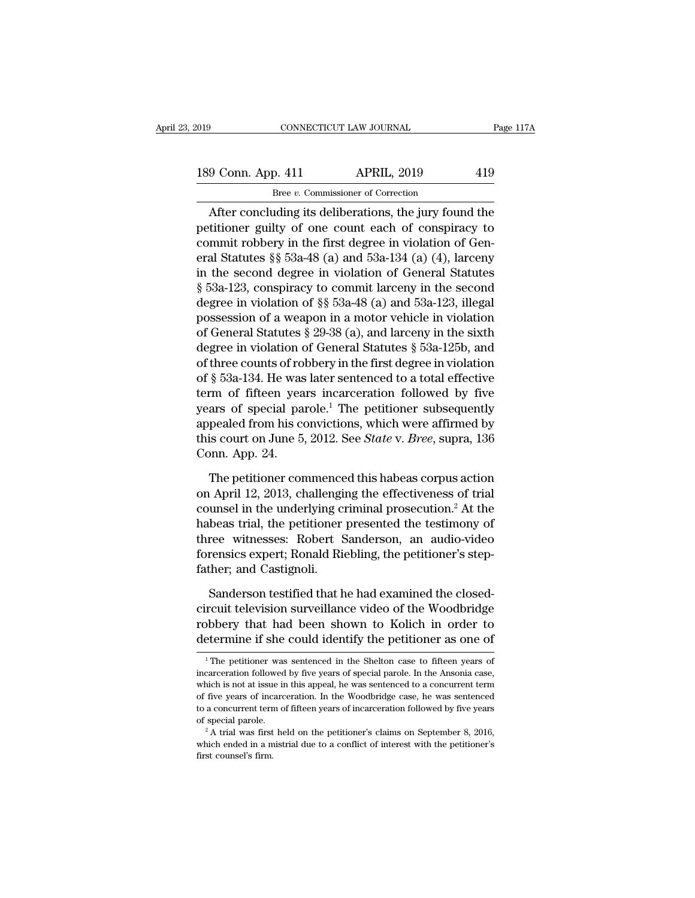# 189 Conn. App. 411 APRIL, 2019 419<br>Bree v. Commissioner of Correction Bree *v.* Commissioner of Correction

 $\begin{array}{|l|l|} \hline \text{13} & \text{14} & \text{15} & \text{16} \ \hline \text{14} & \text{15} & \text{16} & \text{17} \ \hline \text{15} & \text{16} & \text{17} & \text{18} & \text{19} \ \hline \text{16} & \text{17} & \text{18} & \text{19} & \text{19} \ \hline \text{17} & \text{18} & \text{19} & \text{19} & \text{19} \ \hline \text{28} & \text{19} & \text{19} & \text{19} & \text$ 189 Conn. App. 411 APRIL, 2019 419<br>Bree v. Commissioner of Correction<br>After concluding its deliberations, the jury found the<br>petitioner guilty of one count each of conspiracy to<br>commit robbery in the first degree in viola 189 Conn. App. 411 APRIL, 2019 419<br>Bree v. Commissioner of Correction<br>After concluding its deliberations, the jury found the<br>petitioner guilty of one count each of conspiracy to<br>commit robbery in the first degree in viola 189 Conn. App. 411 APRIL, 2019 419<br>
Bree v. Commissioner of Correction<br>
After concluding its deliberations, the jury found the<br>
petitioner guilty of one count each of conspiracy to<br>
commit robbery in the first degree in v Example v. Commissioner of Correction<br>
After concluding its deliberations, the jury found the<br>
petitioner guilty of one count each of conspiracy to<br>
commit robbery in the first degree in violation of General<br>
Statutes § 5 See v. Commissioner of Corection<br>
After concluding its deliberations, the jury found the<br>
petitioner guilty of one count each of conspiracy to<br>
commit robbery in the first degree in violation of Gen-<br>
eral Statutes §§ 53a After concluding its deliberations, the jury found the<br>petitioner guilty of one count each of conspiracy to<br>commit robbery in the first degree in violation of Gen-<br>eral Statutes §§ 53a-48 (a) and 53a-134 (a) (4), larceny<br> petitioner guilty of one count each of conspiracy to<br>commit robbery in the first degree in violation of Gen-<br>eral Statutes §§ 53a-48 (a) and 53a-134 (a) (4), larceny<br>in the second degree in violation of General Statutes<br>§ commit robbery in the first degree in violation of General Statutes § 53a-48 (a) and 53a-134 (a) (4), larceny<br>in the second degree in violation of General Statutes<br>§ 53a-123, conspiracy to commit larceny in the second<br>degr eral Statutes §§ 53a-48 (a) and 53a-134 (a) (4), larceny<br>in the second degree in violation of General Statutes<br>§ 53a-123, conspiracy to commit larceny in the second<br>degree in violation of §§ 53a-48 (a) and 53a-123, illega in the second degree in violation of General Statutes<br>
§ 53a-123, conspiracy to commit larceny in the second<br>
degree in violation of §§ 53a-48 (a) and 53a-123, illegal<br>
possession of a weapon in a motor vehicle in violati § 53a-123, conspiracy to commit larceny in the second<br>degree in violation of §§ 53a-48 (a) and 53a-123, illegal<br>possession of a weapon in a motor vehicle in violation<br>of General Statutes § 29-38 (a), and larceny in the si degree in violation of §§ 53a-48 (a) and 53a-123, illegal<br>possession of a weapon in a motor vehicle in violation<br>of General Statutes § 29-38 (a), and larceny in the sixth<br>degree in violation of General Statutes § 53a-125b possession of a weapon in a motor vehicle in violation<br>of General Statutes § 29-38 (a), and larceny in the sixth<br>degree in violation of General Statutes § 53a-125b, and<br>of three counts of robbery in the first degree in vi of General Statutes § 29-38 (a), and larceny in the sixth<br>degree in violation of General Statutes § 53a-125b, and<br>of three counts of robbery in the first degree in violation<br>of § 53a-134. He was later sentenced to a total degree in violation of General Statutes § 53a-125b, and<br>of three counts of robbery in the first degree in violation<br>of § 53a-134. He was later sentenced to a total effective<br>term of fifteen years incarceration followed by of three counts of ro<br>of § 53a-134. He was<br>term of fifteen yea<br>years of special pa<br>appealed from his co<br>this court on June 5,<br>Conn. App. 24.<br>The petitioner cor rm of fifteen years incarceration followed by five<br>ars of special parole.<sup>1</sup> The petitioner subsequently<br>pealed from his convictions, which were affirmed by<br>is court on June 5, 2012. See *State* v. *Bree*, supra, 136<br>pnn. years of special parole.<sup>1</sup> The petitioner subsequently<br>appealed from his convictions, which were affirmed by<br>this court on June 5, 2012. See *State* v. *Bree*, supra, 136<br>Conn. App. 24.<br>The petitioner commenced this habea

appealed from his convictions, which were affirmed by<br>this court on June 5, 2012. See *State* v. *Bree*, supra, 136<br>Conn. App. 24.<br>The petitioner commenced this habeas corpus action<br>on April 12, 2013, challenging the effe this court on June 5, 2012. See *State* v. *Bree*, supra, 136<br>Conn. App. 24.<br>The petitioner commenced this habeas corpus action<br>on April 12, 2013, challenging the effectiveness of trial<br>counsel in the underlying criminal p Conn. App. 24.<br>The petitioner commenced this habeas corpus action<br>on April 12, 2013, challenging the effectiveness of trial<br>counsel in the underlying criminal prosecution.<sup>2</sup> At the<br>habeas trial, the petitioner presented t The petitioner commenced this habeas corpus action<br>on April 12, 2013, challenging the effectiveness of trial<br>counsel in the underlying criminal prosecution.<sup>2</sup> At the<br>habeas trial, the petitioner presented the testimony of The petitioner commence<br>on April 12, 2013, challengii<br>counsel in the underlying cr<br>habeas trial, the petitioner<br>three witnesses: Robert S<br>forensics expert; Ronald Rie<br>father; and Castignoli.<br>Sanderson testified that h unsel in the underlying criminal prosecution.<sup>2</sup> At the beas trial, the petitioner presented the testimony of ree witnesses: Robert Sanderson, an audio-video rensics expert; Ronald Riebling, the petitioner's step-<br>ther; an habeas trial, the petitioner presented the testimony of<br>three witnesses: Robert Sanderson, an audio-video<br>forensics expert; Ronald Riebling, the petitioner's step-<br>father; and Castignoli.<br>Sanderson testified that he had ex

three witnesses: Robert Sanderson, an audio-video<br>forensics expert; Ronald Riebling, the petitioner's step-<br>father; and Castignoli.<br>Sanderson testified that he had examined the closed-<br>circuit television surveillance video forensics expert; Ronald Riebling, the petitioner's step-<br>father; and Castignoli.<br>Sanderson testified that he had examined the closed-<br>circuit television surveillance video of the Woodbridge<br>robbery that had been shown to Sanderson testified that he had examined the closed-<br>circuit television surveillance video of the Woodbridge<br>robbery that had been shown to Kolich in order to<br>determine if she could identify the petitioner as one of<br> $\frac{1$ robbery that had been shown to Kolich in order to

robbery that had been shown to Kolich in order to<br>determine if she could identify the petitioner as one of<br> $\frac{1}{1}$  The petitioner was sentenced in the Shelton case to fifteen years of<br>incarceration followed by five year determine if she could identify the petitioner as one of<br>
<sup>1</sup>The petitioner was sentenced in the Shelton case to fifteen years of<br>
incarceration followed by five years of special parole. In the Ansonia case,<br>
which is not incarceration followed by five years of special parole. In the Ansonia case, which is not at issue in this appeal, he was sentenced to a concurrent term of fitteen years of incarceration followed by five years of special <sup>1</sup> The petitioner was sentenced in the Shelton case to fifteen years of incarceration followed by five years of special parole. In the Ansonia case, which is not at issue in this appeal, he was sentenced to a concurrent which is not at issue in this appeal, he was sentenced to a concurrent term of five years of incarceration. In the Woodbridge case, he was sentenced to a concurrent term of fifteen years of incarceration followed by five of five years of incarceration. In the Woodbridge case, he was sentenced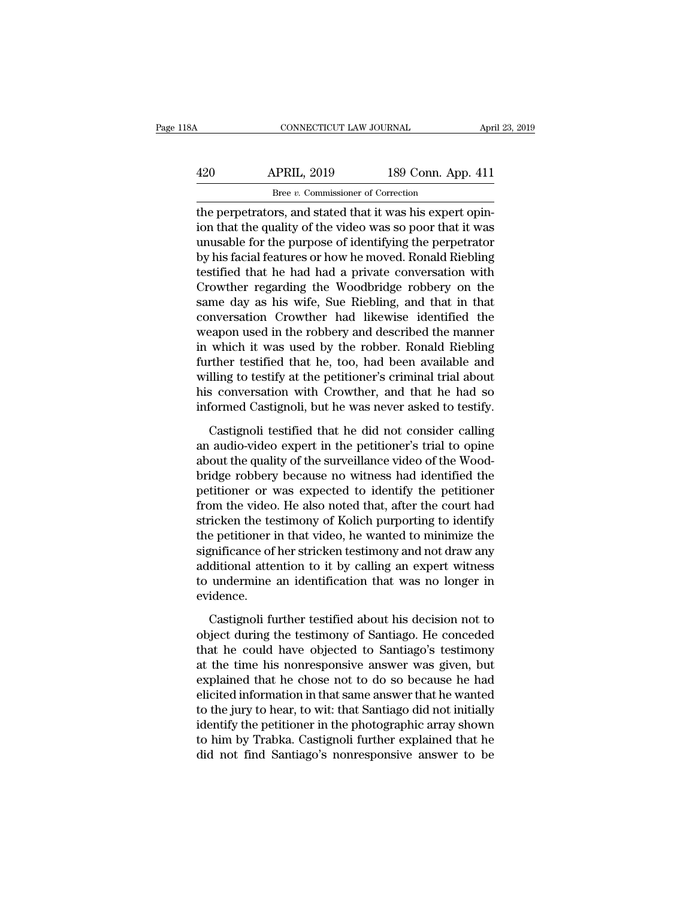| 18A | CONNECTICUT LAW JOURNAL                                 |                    | April 23, 2019 |
|-----|---------------------------------------------------------|--------------------|----------------|
| 420 | <b>APRIL, 2019</b>                                      | 189 Conn. App. 411 |                |
|     | Bree v. Commissioner of Correction                      |                    |                |
|     | the nemetrators and stated that it was his expert opin- |                    |                |

CONNECTICUT LAW JOURNAL Apr<br>
420 APRIL, 2019 189 Conn. App. 411<br>
<sup>Bree v</sup>. Commissioner of Correction<br>
the perpetrators, and stated that it was his expert opin-<br>
ion that the quality of the video was so poor that it was 420 APRIL, 2019 189 Conn. App. 411<br>
<sup>Bree v. Commissioner of Correction</sup><br>
the perpetrators, and stated that it was his expert opin-<br>
ion that the quality of the video was so poor that it was<br>
unusable for the purpose of id  $\frac{\text{APRIL}}{\text{Bree } v. \text{ Commissioner of Correction}}$ <br>
Exection<br>
the perpetrators, and stated that it was his expert opin-<br>
ion that the quality of the video was so poor that it was<br>
unusable for the purpose of identifying the perpetrator<br>
by his  $\begin{array}{ll}\n 420 & \text{APRIL, } 2019 & \text{189 Conn. App. 411} \\
 \hline\n \text{Bree } v. \text{ Commissioner of Correction} \\
 \text{the perpetrators, and stated that it was his expert opinion that the quality of the video was so poor that it was unusable for the purpose of identifying the perpetrator by his facial features or how he moved. Ronald Riebling testified that he had had a private conversation with$  $T$ Bree  $v$ . Commissioner of Correction<br>the perpetrators, and stated that it was his expert opin-<br>ion that the quality of the video was so poor that it was<br>unusable for the purpose of identifying the perpetrator<br>by his facia  $\frac{B}{R}$  are  $v$ . Commissioner of Correction<br>the perpetrators, and stated that it was his expert opin-<br>ion that the quality of the video was so poor that it was<br>unusable for the purpose of identifying the perpetrator<br>by the perpetrators, and stated that it was his expert opin-<br>ion that the quality of the video was so poor that it was<br>unusable for the purpose of identifying the perpetrator<br>by his facial features or how he moved. Ronald Rie ion that the quality of the video was so poor that it was<br>unusable for the purpose of identifying the perpetrator<br>by his facial features or how he moved. Ronald Riebling<br>testified that he had had a private conversation wit unusable for the purpose of identifying the perpetrator<br>by his facial features or how he moved. Ronald Riebling<br>testified that he had had a private conversation with<br>Crowther regarding the Woodbridge robbery on the<br>same da by his facial features or how he moved. Ronald Riebling<br>testified that he had had a private conversation with<br>Crowther regarding the Woodbridge robbery on the<br>same day as his wife, Sue Riebling, and that in that<br>conversati testified that he had had a private conversation with<br>Crowther regarding the Woodbridge robbery on the<br>same day as his wife, Sue Riebling, and that in that<br>conversation Crowther had likewise identified the<br>weapon used in t Crowther regarding the Woodbridge robbery on the<br>same day as his wife, Sue Riebling, and that in that<br>conversation Crowther had likewise identified the<br>weapon used in the robbery and described the manner<br>in which it was us same day as his wife, Sue Riebling, and that in that<br>conversation Crowther had likewise identified the<br>weapon used in the robbery and described the manner<br>in which it was used by the robber. Ronald Riebling<br>further testifi conversation Crowther had likewise identified the<br>weapon used in the robbery and described the manner<br>in which it was used by the robber. Ronald Riebling<br>further testified that he, too, had been available and<br>willing to te which it was used by the robber. Ronald Riebling<br>ther testified that he, too, had been available and<br>lling to testify at the petitioner's criminal trial about<br>s conversation with Crowther, and that he had so<br>formed Castign further testified that he, too, had been available and<br>willing to testify at the petitioner's criminal trial about<br>his conversation with Crowther, and that he had so<br>informed Castignoli, but he was never asked to testify.<br>

willing to testify at the petitioner's criminal trial about<br>his conversation with Crowther, and that he had so<br>informed Castignoli, but he was never asked to testify.<br>Castignoli testified that he did not consider calling<br>a his conversation with Crowther, and that he had so<br>informed Castignoli, but he was never asked to testify.<br>Castignoli testified that he did not consider calling<br>an audio-video expert in the petitioner's trial to opine<br>abou informed Castignoli, but he was never asked to testify.<br>Castignoli testified that he did not consider calling<br>an audio-video expert in the petitioner's trial to opine<br>about the quality of the surveillance video of the Wood Castignoli testified that he did not consider calling<br>an audio-video expert in the petitioner's trial to opine<br>about the quality of the surveillance video of the Wood-<br>bridge robbery because no witness had identified the<br>p Castignoli testified that he did not consider calling<br>an audio-video expert in the petitioner's trial to opine<br>about the quality of the surveillance video of the Wood-<br>bridge robbery because no witness had identified the<br>p an audio-video expert in the petitioner's trial to opine<br>about the quality of the surveillance video of the Wood-<br>bridge robbery because no witness had identified the<br>petitioner or was expected to identify the petitioner<br>f about the quality of the surveillance video of the Woodbridge robbery because no witness had identified the petitioner or was expected to identify the petitioner from the video. He also noted that, after the court had stri bridge robbery because no witness had identified the<br>petitioner or was expected to identify the petitioner<br>from the video. He also noted that, after the court had<br>stricken the testimony of Kolich purporting to identify<br>the petitioner or was expected to identify the petitioner<br>from the video. He also noted that, after the court had<br>stricken the testimony of Kolich purporting to identify<br>the petitioner in that video, he wanted to minimize the<br> evidence. e petitioner in that video, he wanted to minimize the<br>gnificance of her stricken testimony and not draw any<br>ditional attention to it by calling an expert witness<br>undermine an identification that was no longer in<br>idence.<br>Ca significance of her stricken testimony and not draw any<br>additional attention to it by calling an expert witness<br>to undermine an identification that was no longer in<br>evidence.<br>Castignoli further testified about his decision

additional attention to it by calling an expert witness<br>to undermine an identification that was no longer in<br>evidence.<br>Castignoli further testified about his decision not to<br>object during the testimony of Santiago. He conc to undermine an identification that was no longer in<br>evidence.<br>Castignoli further testified about his decision not to<br>object during the testimony of Santiago. He conceded<br>that he could have objected to Santiago's testimony evidence.<br>
Castignoli further testified about his decision not to<br>
object during the testimony of Santiago. He conceded<br>
that he could have objected to Santiago's testimony<br>
at the time his nonresponsive answer was given, Castignoli further testified about his decision not to<br>object during the testimony of Santiago. He conceded<br>that he could have objected to Santiago's testimony<br>at the time his nonresponsive answer was given, but<br>explained Castignoli further testified about his decision not to<br>object during the testimony of Santiago. He conceded<br>that he could have objected to Santiago's testimony<br>at the time his nonresponsive answer was given, but<br>explained object during the testimony of Santiago. He conceded<br>that he could have objected to Santiago's testimony<br>at the time his nonresponsive answer was given, but<br>explained that he chose not to do so because he had<br>elicited info that he could have objected to Santiago's testimony<br>at the time his nonresponsive answer was given, but<br>explained that he chose not to do so because he had<br>elicited information in that same answer that he wanted<br>to the jur at the time his nonresponsive answer was given, but<br>explained that he chose not to do so because he had<br>elicited information in that same answer that he wanted<br>to the jury to hear, to wit: that Santiago did not initially<br>i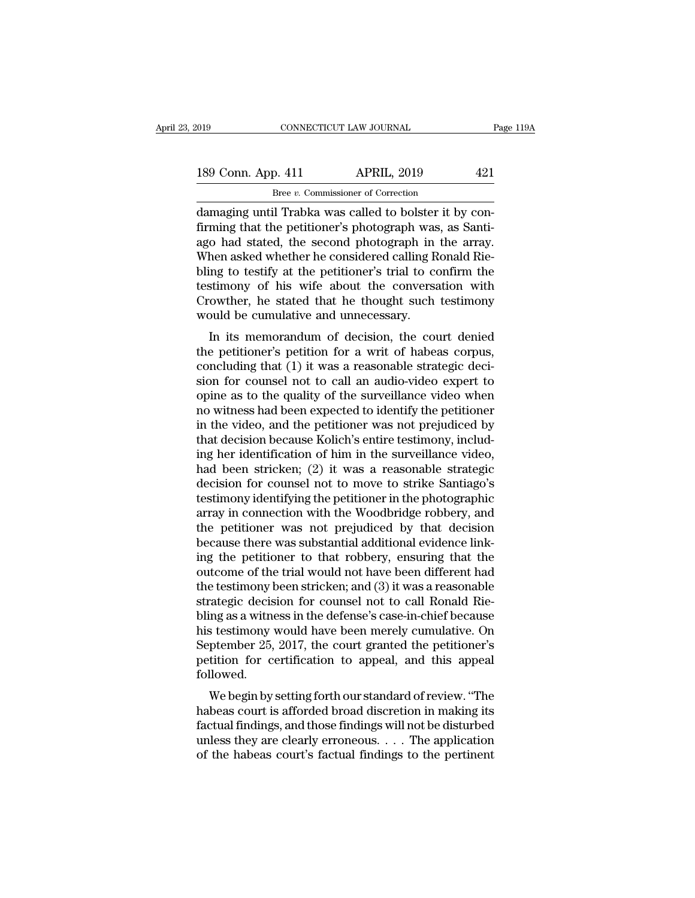CONNECTICUT LAW JOURNAL<br>
189 Conn. App. 411 APRIL, 2019 421<br>
189 Conn. App. 411 APRIL, 2019 421<br>
189 Conn. App. 411 APRIL, 2019 421<br>
189 Gamaging until Trabka was called to bolster it by con-<br>
1990 had stated the second ph 189 Conn. App. 411 APRIL, 2019 421<br>
Bree v. Commissioner of Correction<br>
damaging until Trabka was called to bolster it by confirming that the petitioner's photograph was, as Santi-<br>
ago had stated, the second photograph in 189 Conn. App. 411 APRIL, 2019 421<br>  $\frac{\text{Bree } v. \text{ Commissioner of Correction}}{\text{damaging until Trabka was called to bolster it by confirming that the performance's photograph was, as Santiago had stated, the second photograph in the array. When asked whether he considered calling Ronald Riebling to testify at the notification?$ 189 Conn. App. 411 APRIL, 2019 421<br>
Bree *v*. Commissioner of Correction<br>
damaging until Trabka was called to bolster it by confirming that the petitioner's photograph was, as Santi-<br>
ago had stated, the second photograph Bree v. Commissioner of Correction<br>damaging until Trabka was called to bolster it by confirming that the petitioner's photograph was, as Santi-<br>ago had stated, the second photograph in the array.<br>When asked whether he con testimony of his wife about the conversation with damaging until Trabka was called to bolster it by confirming that the petitioner's photograph was, as Santi-<br>ago had stated, the second photograph in the array.<br>When asked whether he considered calling Ronald Rie-<br>bling to firming that the petitioner's photograph was<br>ago had stated, the second photograph in<br>When asked whether he considered calling R<br>bling to testify at the petitioner's trial to co<br>testimony of his wife about the conversa<br>Cro In its memoral protograph in the array.<br>
Hen asked whether he considered calling Ronald Rie-<br>
ing to testify at the petitioner's trial to confirm the<br>
stimony of his wife about the conversation with<br>
cowther, he stated tha When asked whether he considered calling hondid herebling to testify at the petitioner's trial to confirm the testimony of his wife about the conversation with Crowther, he stated that he thought such testimony would be cu

bing to testify at the pethodier's trial to commit the<br>testimony of his wife about the conversation with<br>Crowther, he stated that he thought such testimony<br>would be cumulative and unnecessary.<br>In its memorandum of decision Euristiniony of fils whe about the conversation with<br>Crowther, he stated that he thought such testimony<br>would be cumulative and unnecessary.<br>In its memorandum of decision, the court denied<br>the petitioner's petition for a w Frowther, he stated that he thought such testhholy<br>would be cumulative and unnecessary.<br>In its memorandum of decision, the court denied<br>the petitioner's petition for a writ of habeas corpus,<br>concluding that (1) it was a re In its memorandum of decision, the court denied<br>the petitioner's petition for a writ of habeas corpus,<br>concluding that (1) it was a reasonable strategic deci-<br>sion for counsel not to call an audio-video expert to<br>opine as In its memorandum of decision, the court denied<br>the petitioner's petition for a writ of habeas corpus,<br>concluding that (1) it was a reasonable strategic deci-<br>sion for counsel not to call an audio-video expert to<br>opine as the petitioner's petition for a writ of habeas corpus,<br>concluding that (1) it was a reasonable strategic deci-<br>sion for counsel not to call an audio-video expert to<br>opine as to the quality of the surveillance video when<br>n concluding that (1) it was a reasonable strategic decision for counsel not to call an audio-video expert to opine as to the quality of the surveillance video when no witness had been expected to identify the petitioner in sion for counsel not to call an audio-video expert to<br>opine as to the quality of the surveillance video when<br>no witness had been expected to identify the petitioner<br>in the video, and the petitioner was not prejudiced by<br>th opine as to the quality of the surveillance video when<br>no witness had been expected to identify the petitioner<br>in the video, and the petitioner was not prejudiced by<br>that decision because Kolich's entire testimony, includno witness had been expected to identify the petitioner<br>in the video, and the petitioner was not prejudiced by<br>that decision because Kolich's entire testimony, includ-<br>ing her identification of him in the surveillance vide in the video, and the petitioner was not prejudiced by<br>that decision because Kolich's entire testimony, includ-<br>ing her identification of him in the surveillance video,<br>had been stricken; (2) it was a reasonable strategic<br> that decision because Kolich's entire testimony, includ-<br>ing her identification of him in the surveillance video,<br>had been stricken; (2) it was a reasonable strategic<br>decision for counsel not to move to strike Santiago's<br>t ing her identification of him in the surveillance video,<br>had been stricken; (2) it was a reasonable strategic<br>decision for counsel not to move to strike Santiago's<br>testimony identifying the petitioner in the photographic<br>a had been stricken; (2) it was a reasonable strategic<br>decision for counsel not to move to strike Santiago's<br>testimony identifying the petitioner in the photographic<br>array in connection with the Woodbridge robbery, and<br>the decision for counsel not to move to strike Santiago's<br>testimony identifying the petitioner in the photographic<br>array in connection with the Woodbridge robbery, and<br>the petitioner was not prejudiced by that decision<br>because testimony identifying the petitioner in the photographic<br>array in connection with the Woodbridge robbery, and<br>the petitioner was not prejudiced by that decision<br>because there was substantial additional evidence link-<br>ing t array in connection with the Woodbridge robbery, and<br>the petitioner was not prejudiced by that decision<br>because there was substantial additional evidence link-<br>ing the petitioner to that robbery, ensuring that the<br>outcome the petitioner was not prejudiced by that decision<br>because there was substantial additional evidence link-<br>ing the petitioner to that robbery, ensuring that the<br>outcome of the trial would not have been different had<br>the te because there was substantial additional evidence link-<br>ing the petitioner to that robbery, ensuring that the<br>outcome of the trial would not have been different had<br>the testimony been stricken; and (3) it was a reasonable<br> ing the petitioner to that robbery, ensuring that the<br>outcome of the trial would not have been different had<br>the testimony been stricken; and (3) it was a reasonable<br>strategic decision for counsel not to call Ronald Rie-<br>b outcome of the trial would not have been different had<br>the testimony been stricken; and (3) it was a reasonable<br>strategic decision for counsel not to call Ronald Rie-<br>bling as a witness in the defense's case-in-chief becau followed. alegic decision for counser not to can Konald Kieling<br>as a witness in the defense's case-in-chief because<br>s testimony would have been merely cumulative. On<br>ptember 25, 2017, the court granted the petitioner's<br>tition for ce bing as a whitess in the deferise s case-in-criter because<br>his testimony would have been merely cumulative. On<br>September 25, 2017, the court granted the petitioner's<br>petition for certification to appeal, and this appeal<br>fo

factual findings, and those findings to the pertinent<br>of the period followed.<br>We begin by setting forth our standard of review. "The<br>habeas court is afforded broad discretion in making its<br>factual findings, and those findi beptember 25, 2017, the court granted the petholical spectrum of the set of the set of the segin by setting forth our standard of review. "The habeas court is afforded broad discretion in making its factual findings, and petition for certification to appear, and this appear<br>followed.<br>We begin by setting forth our standard of review. "The<br>habeas court is afforded broad discretion in making its<br>factual findings, and those findings will not b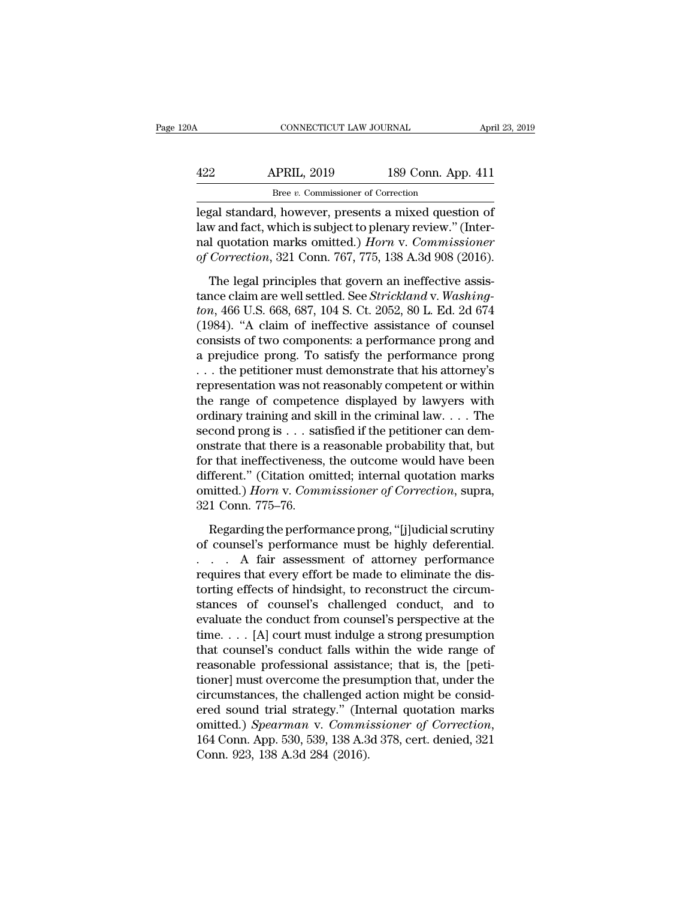| 20A | CONNECTICUT LAW JOURNAL                             |                    | April 23, 2019 |
|-----|-----------------------------------------------------|--------------------|----------------|
| 422 | <b>APRIL, 2019</b>                                  | 189 Conn. App. 411 |                |
|     | Bree v. Commissioner of Correction                  |                    |                |
|     | legal standard however presents a mixed question of |                    |                |

CONNECTICUT LAW JOURNAL April 23, 2019<br>
APRIL, 2019 189 Conn. App. 411<br>
Bree v. Commissioner of Correction<br>
Legal standard, however, presents a mixed question of<br>
law and fact, which is subject to plenary review." (Inter-189 Conn. App. 411<br>
<sup>Bree v</sup>. Commissioner of Correction<br>
legal standard, however, presents a mixed question of<br>
law and fact, which is subject to plenary review.'' (Inter-<br>
nal quotation marks omitted.) *Horn* v. Commissi APRIL, 2019 189 Conn. App. 411<br>
<u>Bree v. Commissioner of Correction</u><br>
legal standard, however, presents a mixed question of<br>
law and fact, which is subject to plenary review." (Inter-<br>
nal quotation marks omitted.) *Horn APRIL, 2019* 189 Conn. App. 411<br> *Bree v. Commissioner of Correction*<br>
legal standard, however, presents a mixed question of<br>
law and fact, which is subject to plenary review." (Inter-<br>
nal quotation marks omitted.) *Horn* Bree *v*. Commissioner of Correction<br>gal standard, however, presents a mixed question of<br>w and fact, which is subject to plenary review." (Inter-<br>I quotation marks omitted.) *Horn* v. Commissioner<br>Correction, 321 Conn. 76 legal standard, however, presents a mixed question of law and fact, which is subject to plenary review." (Internal quotation marks omitted.) *Horn v. Commissioner* of Correction, 321 Conn. 767, 775, 138 A.3d 908 (2016). Th

regar standard, nowever, presence a numea queesting a<br>
law and fact, which is subject to plenary review." (Inter-<br>
nal quotation marks omitted.) *Horn* v. Commissioner<br>
of Correction, 321 Conn. 767, 775, 138 A.3d 908 (2016 rand quotation marks omitted.) *Horn* v. Commissioner<br>of Correction, 321 Conn. 767, 775, 138 A.3d 908 (2016).<br>The legal principles that govern an ineffective assis-<br>tance claim are well settled. See *Strickland* v. *Washin* for Correction, 321 Conn. 767, 775, 138 A.3d 908 (2016).<br>The legal principles that govern an ineffective assistance claim are well settled. See *Strickland* v. Washing-<br>ton, 466 U.S. 668, 687, 104 S. Ct. 2052, 80 L. Ed. 2 The legal principles that govern an ineffective assis-<br>tance claim are well settled. See *Strickland* v. *Washing-*<br>ton, 466 U.S. 668, 687, 104 S. Ct. 2052, 80 L. Ed. 2d 674<br>(1984). "A claim of ineffective assistance of c The legal principles that govern an ineffective assis-<br>tance claim are well settled. See *Strickland* v. *Washing-*<br>ton, 466 U.S. 668, 687, 104 S. Ct. 2052, 80 L. Ed. 2d 674<br>(1984). "A claim of ineffective assistance of co tance claim are well settled. See *Strickland* v. Washing-<br>ton, 466 U.S. 668, 687, 104 S. Ct. 2052, 80 L. Ed. 2d 674<br>(1984). "A claim of ineffective assistance of counsel<br>consists of two components: a performance prong an ton, 466 U.S. 668, 687, 104 S. Ct. 2052, 80 L. Ed. 2d 674<br>(1984). "A claim of ineffective assistance of counsel<br>consists of two components: a performance prong and<br>a prejudice prong. To satisfy the performance prong<br> $\dots$  (1984). "A claim of ineffective assistance of counsel<br>consists of two components: a performance prong and<br>a prejudice prong. To satisfy the performance prong<br>... the petitioner must demonstrate that his attorney's<br>represe consists of two components: a performance prong and<br>a prejudice prong. To satisfy the performance prong<br>... the petitioner must demonstrate that his attorney's<br>representation was not reasonably competent or within<br>the ran a prejudice prong. To satisfy the performance prong<br>
. . . the petitioner must demonstrate that his attorney's<br>
representation was not reasonably competent or within<br>
the range of competence displayed by lawyers with<br>
ordi ... the petitioner must demonstrate that his attorney's<br>representation was not reasonably competent or within<br>the range of competence displayed by lawyers with<br>ordinary training and skill in the criminal law.... The<br>secon representation was not reasonably competent or within<br>the range of competence displayed by lawyers with<br>ordinary training and skill in the criminal law. . . . The<br>second prong is . . . satisfied if the petitioner can demthe range of competence displayed by lawyers with<br>ordinary training and skill in the criminal law. . . . The<br>second prong is . . . satisfied if the petitioner can dem-<br>onstrate that there is a reasonable probability that, ordinary training and sl<br>second prong is . . . sat<br>onstrate that there is a<br>for that ineffectiveness,<br>different." (Citation om<br>omitted.) *Horn* v. Com<br>321 Conn. 775–76.<br>Regarding the perform strate that there is a reasonable probability that, but<br>r that ineffectiveness, the outcome would have been<br>fferent." (Citation omitted; internal quotation marks<br>nitted.) *Horn* v. Commissioner of Correction, supra,<br>1 Conn for that ineffectiveness, the outcome would have been<br>different." (Citation omitted; internal quotation marks<br>omitted.) *Horn* v. Commissioner of Correction, supra,<br>321 Conn. 775–76.<br>Regarding the performance prong, "[j]ud

different." (Citation omitted; internal quotation marks<br>
omitted.) *Horn* v. *Commissioner of Correction*, supra,<br>
321 Conn. 775–76.<br>
Regarding the performance prong, "[j]udicial scrutiny<br>
of counsel's performance must be omitted.) Horn v. Commissioner of Correction, supra,<br>321 Conn. 775–76.<br>Regarding the performance prong, "[j]udicial scrutiny<br>of counsel's performance must be highly deferential.<br>... A fair assessment of attorney performanc 321 Conn. 775–76.<br>Regarding the performance prong, "[j]udicial scrutiny<br>of counsel's performance must be highly deferential.<br> $\ldots$  A fair assessment of attorney performance<br>requires that every effort be made to eliminate Regarding the performance prong, "[j]udicial scrutiny<br>of counsel's performance must be highly deferential.<br> $\ldots$  A fair assessment of attorney performance<br>requires that every effort be made to eliminate the dis-<br>torting e Regarding the performance prong, "[j]udicial scrutiny<br>of counsel's performance must be highly deferential.<br>... A fair assessment of attorney performance<br>requires that every effort be made to eliminate the dis-<br>torting eff of counsel's performance must be highly deferential.<br>
. . . . A fair assessment of attorney performance<br>
requires that every effort be made to eliminate the dis-<br>
torting effects of hindsight, to reconstruct the circum-<br>
s . . . . A fair assessment of attorney performance<br>requires that every effort be made to eliminate the dis-<br>torting effects of hindsight, to reconstruct the circum-<br>stances of counsel's challenged conduct, and to<br>evaluate requires that every effort be made to eliminate the distorting effects of hindsight, to reconstruct the circumstances of counsel's challenged conduct, and to evaluate the conduct from counsel's perspective at the time. . . torting effects of hindsight, to reconstruct the circum-<br>stances of counsel's challenged conduct, and to<br>evaluate the conduct from counsel's perspective at the<br>time.... [A] court must indulge a strong presumption<br>that coun stances of counsel's challenged conduct, and to<br>evaluate the conduct from counsel's perspective at the<br>time.... [A] court must indulge a strong presumption<br>that counsel's conduct falls within the wide range of<br>reasonable evaluate the conduct from counsel's perspective at the<br>time.... [A] court must indulge a strong presumption<br>that counsel's conduct falls within the wide range of<br>reasonable professional assistance; that is, the [peti-<br>tio time. . . . [A] court must indulge a strong presumption<br>that counsel's conduct falls within the wide range of<br>reasonable professional assistance; that is, the [peti-<br>tioner] must overcome the presumption that, under the<br>ci reasonable professional assista<br>tioner] must overcome the presu<br>circumstances, the challenged a<br>ered sound trial strategy." (Int<br>omitted.) *Spearman* v. *Commi*<br>164 Conn. App. 530, 539, 138 A.3<br>Conn. 923, 138 A.3d 284 (201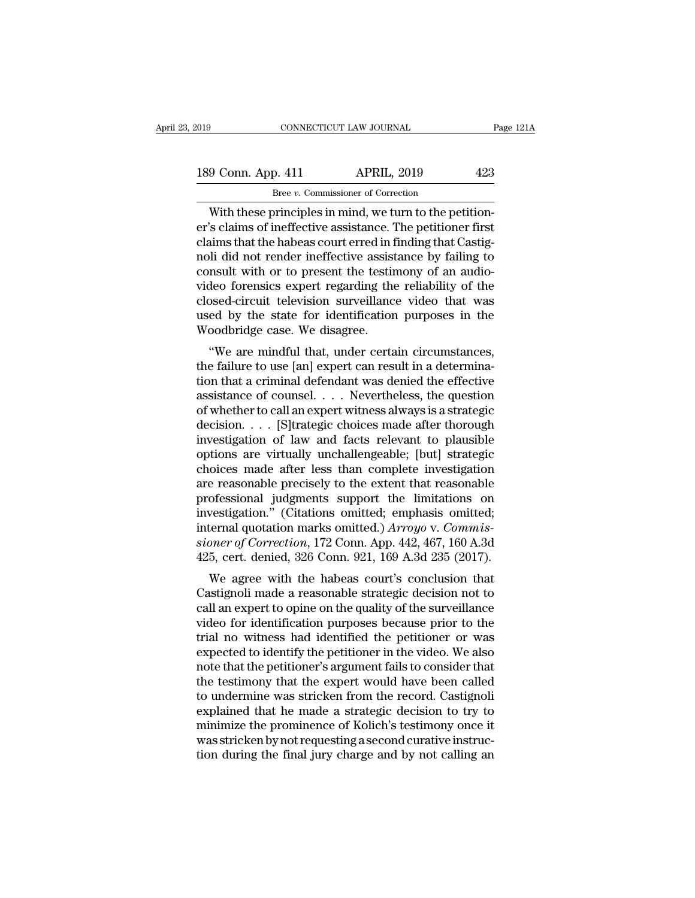# 189 Conn. App. 411 APRIL, 2019 23<br>Bree v. Commissioner of Correction Bree *v.* Commissioner of Correction

CONNECTICUT LAW JOURNAL<br>
9 Conn. App. 411 APRIL, 2019 423<br>
Bree v. Commissioner of Correction<br>
With these principles in mind, we turn to the petition-<br>
Socialing of ineffective assistance. The petitioner first<br>
Socialing t 189 Conn. App. 411 APRIL, 2019 423<br>
Bree v. Commissioner of Correction<br>
With these principles in mind, we turn to the petition-<br>
er's claims of ineffective assistance. The petitioner first<br>
claims that the habeas court err 189 Conn. App. 411 APRIL, 2019 423<br>
Bree v. Commissioner of Correction<br>
With these principles in mind, we turn to the petition-<br>
er's claims of ineffective assistance. The petitioner first<br>
claims that the habeas court er 189 Conn. App. 411 APRIL, 2019 423<br>  $Bree \, v$ . Commissioner of Correction<br>
With these principles in mind, we turn to the petition-<br>
er's claims of ineffective assistance. The petitioner first<br>
claims that the habeas court e Example the testimon of Correction<br>
With these principles in mind, we turn to the petition-<br>
er's claims of ineffective assistance. The petitioner first<br>
claims that the habeas court erred in finding that Castig-<br>
noli di Bree v. Commissioner of Correction<br>
With these principles in mind, we turn to the petition-<br>
er's claims of ineffective assistance. The petitioner first<br>
claims that the habeas court erred in finding that Castig-<br>
noli di With these principles in mind, we turn to the petition-<br>er's claims of ineffective assistance. The petitioner first<br>claims that the habeas court erred in finding that Castig-<br>noli did not render ineffective assistance by f er's claims of ineffective assistance. The petitioner first<br>claims that the habeas court erred in finding that Castig-<br>noli did not render ineffective assistance by failing to<br>consult with or to present the testimony of an claims that the habeas court erred in f<br>noli did not render ineffective assist<br>consult with or to present the testir<br>video forensics expert regarding the<br>closed-circuit television surveillanc<br>used by the state for identifi In that not renter inenective assistance by rannig to<br>
msult with or to present the testimony of an audio-<br>
deo forensics expert regarding the reliability of the<br>
bosed-circuit television surveillance video that was<br>
ed by to is an additional virtual of the present the test<br>into y of an addition since wideo forensies expert regarding the reliability of the<br>closed-circuit television surveillance video that was<br>used by the state for identifica

video forensics expert regarding the renability of the<br>closed-circuit television surveillance video that was<br>used by the state for identification purposes in the<br>Woodbridge case. We disagree.<br>"We are mindful that, under ce closed-cricuit television surventance video that was<br>used by the state for identification purposes in the<br>Woodbridge case. We disagree.<br>"We are mindful that, under certain circumstances,<br>the failure to use [an] expert can Woodbridge case. We disagree.<br>
"We are mindful that, under certain circumstances,<br>
the failure to use [an] expert can result in a determina-<br>
tion that a criminal defendant was denied the effective<br>
assistance of counsel. woodbruge case. we usagree.<br>
"We are mindful that, under certain circumstances,<br>
the failure to use [an] expert can result in a determina-<br>
tion that a criminal defendant was denied the effective<br>
assistance of counsel. . "We are mindful that, under certain circumstances,<br>the failure to use [an] expert can result in a determina-<br>tion that a criminal defendant was denied the effective<br>assistance of counsel. . . . Nevertheless, the question<br> the failure to use [an] expert can result in a determination that a criminal defendant was denied the effective<br>assistance of counsel. . . . Nevertheless, the question<br>of whether to call an expert witness always is a strat tion that a criminal defendant was denied the effective<br>assistance of counsel. . . . Nevertheless, the question<br>of whether to call an expert witness always is a strategic<br>decision. . . . [S]trategic choices made after tho assistance of counsel. . . . Nevertheless, the question<br>of whether to call an expert witness always is a strategic<br>decision. . . . [S]trategic choices made after thorough<br>investigation of law and facts relevant to plausibl of whether to call an expert witness always is a strategic<br>decision. . . . [S]trategic choices made after thorough<br>investigation of law and facts relevant to plausible<br>options are virtually unchallengeable; [but] strategi decision.... [S]trategic choices made after thorough<br>investigation of law and facts relevant to plausible<br>options are virtually unchallengeable; [but] strategic<br>choices made after less than complete investigation<br>are reas investigation of law and facts relevant to plausible<br>options are virtually unchallengeable; [but] strategic<br>choices made after less than complete investigation<br>are reasonable precisely to the extent that reasonable<br>profess options are virtually unchallengeable; [but] strategic<br>choices made after less than complete investigation<br>are reasonable precisely to the extent that reasonable<br>professional judgments support the limitations on<br>investigat choices made after less than complete investigation<br>are reasonable precisely to the extent that reasonable<br>professional judgments support the limitations on<br>investigation." (Citations omitted; emphasis omitted;<br>internal qu ofessional judgments support the limitations on<br>vestigation." (Citations omitted; emphasis omitted;<br>ternal quotation marks omitted.)  $Arrow$  v. Commis-<br>pner of Correction, 172 Conn. App. 442, 467, 160 A.3d<br>5, cert. denied, 32 professional judgments support the infinitions on<br>investigation." (Citations omitted; emphasis omitted;<br>internal quotation marks omitted.) Arroyo v. Commis-<br>sioner of Correction, 172 Conn. App. 442, 467, 160 A.3d<br>425, cert

internal quotation marks omitted, emphasis omitted,<br>internal quotation marks omitted.) *Arroyo* v. *Commis-<br>sioner of Correction*, 172 Conn. App. 442, 467, 160 A.3d<br>425, cert. denied, 326 Conn. 921, 169 A.3d 235 (2017).<br>We meeriar quotation marks onlited.) Arrogo v. Commissioner of Correction, 172 Conn. App. 442, 467, 160 A.3d<br>425, cert. denied, 326 Conn. 921, 169 A.3d 235 (2017).<br>We agree with the habeas court's conclusion that<br>Castignoli m stoner of Correction, 172 Collit. App. 442, 407, 100 A.5d<br>425, cert. denied, 326 Conn. 921, 169 A.3d 235 (2017).<br>We agree with the habeas court's conclusion that<br>Castignoli made a reasonable strategic decision not to<br>call Fease to identify the habeas court's conclusion that<br>Castignoli made a reasonable strategic decision not to<br>call an expert to opine on the quality of the surveillance<br>video for identification purposes because prior to the We agree with the habeas court's conclusion that<br>Castignoli made a reasonable strategic decision not to<br>call an expert to opine on the quality of the surveillance<br>video for identification purposes because prior to the<br>tria Castignoli made a reasonable strategic decision not to<br>call an expert to opine on the quality of the surveillance<br>video for identification purposes because prior to the<br>trial no witness had identified the petitioner or was call an expert to opine on the quality of the surveillance<br>video for identification purposes because prior to the<br>trial no witness had identified the petitioner or was<br>expected to identify the petitioner in the video. We a video for identification purposes because prior to the<br>trial no witness had identified the petitioner or was<br>expected to identify the petitioner in the video. We also<br>note that the petitioner's argument fails to consider t trial no witness had identified the petitioner or was<br>expected to identify the petitioner in the video. We also<br>note that the petitioner's argument fails to consider that<br>the testimony that the expert would have been calle expected to identify the petitioner in the video. We also<br>note that the petitioner's argument fails to consider that<br>the testimony that the expert would have been called<br>to undermine was stricken from the record. Castignol note that the petitioner's argument fails to consider that<br>the testimony that the expert would have been called<br>to undermine was stricken from the record. Castignoli<br>explained that he made a strategic decision to try to<br>mi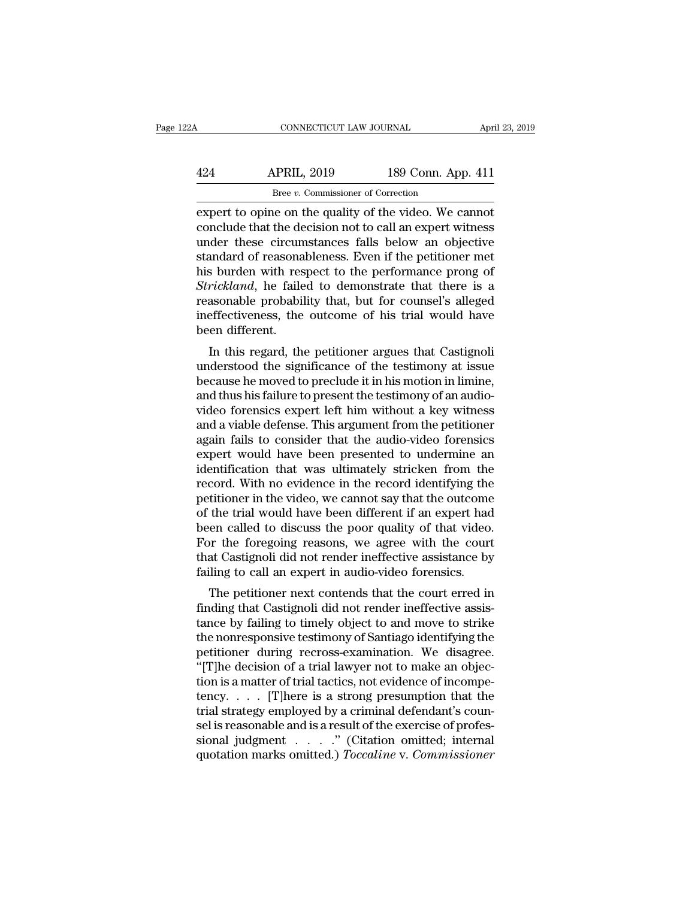| 22A | CONNECTICUT LAW JOURNAL                                |                    | April 23, 2019 |
|-----|--------------------------------------------------------|--------------------|----------------|
| 424 | <b>APRIL, 2019</b>                                     | 189 Conn. App. 411 |                |
|     | Bree v. Commissioner of Correction                     |                    |                |
|     | expert to opine on the quality of the video. We cannot |                    |                |

EXECUTE CONNECTICUT LAW JOURNAL April 23, 2019<br>
APRIL, 2019 189 Conn. App. 411<br>
Bree v. Commissioner of Correction<br>
Expert to opine on the quality of the video. We cannot<br>
conclude that the decision not to call an expert w 424 APRIL, 2019 189 Conn. App. 411<br>Bree v. Commissioner of Correction<br>expert to opine on the quality of the video. We cannot<br>conclude that the decision not to call an expert witness<br>under these circumstances falls below an  $\frac{424}{\text{Bree } v. \text{ Commissioner of Correction}}$ <br>Bree v. Commissioner of Correction<br>expert to opine on the quality of the video. We cannot<br>conclude that the decision not to call an expert witness<br>under these circumstances falls below an object  $\begin{tabular}{l l l l} \multicolumn{1}{l}{{\bf 189 Conn. App. 411}}\\ \hline \multicolumn{1}{l}{\bf 189 Form. App. 411}\\ \hline \multicolumn{1}{l}{\bf 189 Form. App. 411}\\ \hline \multicolumn{1}{l}{\bf 189 Chern. App. 411}\\ \hline \multicolumn{1}{l}{\bf 189 Chern. App. 411}\\ \hline \multicolumn{1}{l}{\bf 189 Comp. 411}\\ \hline \multicolumn{1}{l}{\bf 189 Comp. 411}\\ \hline \multicolumn{1}{l}{\bf 189 Comp. 411}\\$  $\frac{B}{B}$  Bree *v*. Commissioner of Correction<br>expert to opine on the quality of the video. We cannot<br>conclude that the decision not to call an expert witness<br>under these circumstances falls below an objective<br>standard of *Stree v.* Commissioner of Correction<br>
expert to opine on the quality of the video. We cannot<br>
conclude that the decision not to call an expert witness<br>
under these circumstances falls below an objective<br>
standard of reaso expert to opine on the quality of the video. We cannot<br>conclude that the decision not to call an expert witness<br>under these circumstances falls below an objective<br>standard of reasonableness. Even if the petitioner met<br>his conclude that the decision not to call an expert witness<br>under these circumstances falls below an objective<br>standard of reasonableness. Even if the petitioner met<br>his burden with respect to the performance prong of<br>*Strick* under these circun<br>standard of reasona<br>his burden with res<br>Strickland, he faile<br>reasonable probabil<br>ineffectiveness, the<br>been different.<br>In this regard, the In this regard, the performance prong of<br> *rickland*, he failed to demonstrate that there is a<br>
asonable probability that, but for counsel's alleged<br>
effectiveness, the outcome of his trial would have<br>
en different.<br>
In th Ins builder with respect to the performance prong of<br>
Strickland, he failed to demonstrate that there is a<br>
reasonable probability that, but for counsel's alleged<br>
ineffectiveness, the outcome of his trial would have<br>
been

Because he moved to demonstrate that there is a<br>reasonable probability that, but for counsel's alleged<br>ineffectiveness, the outcome of his trial would have<br>been different.<br>In this regard, the petitioner argues that Castign reasonable probability that, but for counsers an<br>egeu ineffectiveness, the outcome of his trial would have<br>been different.<br>In this regard, the petitioner argues that Castignoli<br>understood the significance of the testimony menetiveness, the outcome of fits that would have<br>been different.<br>In this regard, the petitioner argues that Castignoli<br>understood the significance of the testimony at issue<br>because he moved to preclude it in his motion in In this regard, the petitioner argues that Castignoli<br>understood the significance of the testimony at issue<br>because he moved to preclude it in his motion in limine,<br>and thus his failure to present the testimony of an audio In this regard, the petitioner argues that Castignoli<br>understood the significance of the testimony at issue<br>because he moved to preclude it in his motion in limine,<br>and thus his failure to present the testimony of an audio understood the significance of the testimony at issue<br>because he moved to preclude it in his motion in limine,<br>and thus his failure to present the testimony of an audio-<br>video forensics expert left him without a key witnes because he moved to preclude it in his motion in limine,<br>and thus his failure to present the testimony of an audio-<br>video forensics expert left him without a key witness<br>and a viable defense. This argument from the petitio and thus his failure to present the testimony of an audio-<br>video forensics expert left him without a key witness<br>and a viable defense. This argument from the petitioner<br>again fails to consider that the audio-video forensic video forensics expert left him without a key witness<br>and a viable defense. This argument from the petitioner<br>again fails to consider that the audio-video forensics<br>expert would have been presented to undermine an<br>identifi and a viable defense. This argument from the petitioner<br>again fails to consider that the audio-video forensics<br>expert would have been presented to undermine an<br>identification that was ultimately stricken from the<br>record. W again fails to consider that the audio-video forensics<br>expert would have been presented to undermine an<br>identification that was ultimately stricken from the<br>record. With no evidence in the record identifying the<br>petitioner expert would have been presented to undermine an identification that was ultimately stricken from the record. With no evidence in the record identifying the petitioner in the video, we cannot say that the outcome of the tr identification that was ultimately stricken from the<br>record. With no evidence in the record identifying the<br>petitioner in the video, we cannot say that the outcome<br>of the trial would have been different if an expert had<br>be record. With no evidence in the record identifying the petitioner in the video, we cannot say that the outcome of the trial would have been different if an expert had been called to discuss the poor quality of that video. throner in the video, we cannot say that the outcome<br>the trial would have been different if an expert had<br>en called to discuss the poor quality of that video.<br>or the foregoing reasons, we agree with the court<br>at Castignoli of the that would have been unferent if an expert had<br>been called to discuss the poor quality of that video.<br>For the foregoing reasons, we agree with the court<br>that Castignoli did not render ineffective assistance by<br>faili

been caned to uscuss the poor quanty of that video.<br>For the foregoing reasons, we agree with the court<br>that Castignoli did not render ineffective assistance by<br>failing to call an expert in audio-video forensics.<br>The petiti For the foregoing reasons, we agree while that Castignoli did not render ineffective assistance by failing to call an expert in audio-video forensics.<br>The petitioner next contends that the court erred in finding that Casti railing to call an expert in audio-video forensics.<br>The petitioner next contends that the court erred in<br>finding that Castignoli did not render ineffective assis-<br>tance by failing to timely object to and move to strike<br>the The petitioner next contends that the court erred in finding that Castignoli did not render ineffective assistance by failing to timely object to and move to strike the nonresponsive testimony of Santiago identifying the p The petitioner next contends that the court erred in finding that Castignoli did not render ineffective assistance by failing to timely object to and move to strike the nonresponsive testimony of Santiago identifying the finding that Castignoli did not render ineffective assistance by failing to timely object to and move to strike<br>the nonresponsive testimony of Santiago identifying the<br>petitioner during recross-examination. We disagree.<br>" tance by failing to timely object to and move to strike<br>the nonresponsive testimony of Santiago identifying the<br>petitioner during recross-examination. We disagree.<br>"[T]he decision of a trial lawyer not to make an objec-<br>t the nonresponsive testimony of Santiago identifying the<br>petitioner during recross-examination. We disagree.<br>"[T]he decision of a trial lawyer not to make an objec-<br>tion is a matter of trial tactics, not evidence of incomp petitioner during recross-examination. We disagree.<br>"[T]he decision of a trial lawyer not to make an objection is a matter of trial tactics, not evidence of incompetency. . . . . [T]here is a strong presumption that the tr "[T]he decision of a trial lawyer not to make an objection is a matter of trial tactics, not evidence of incompetency. . . . [T]here is a strong presumption that the trial strategy employed by a criminal defendant's couns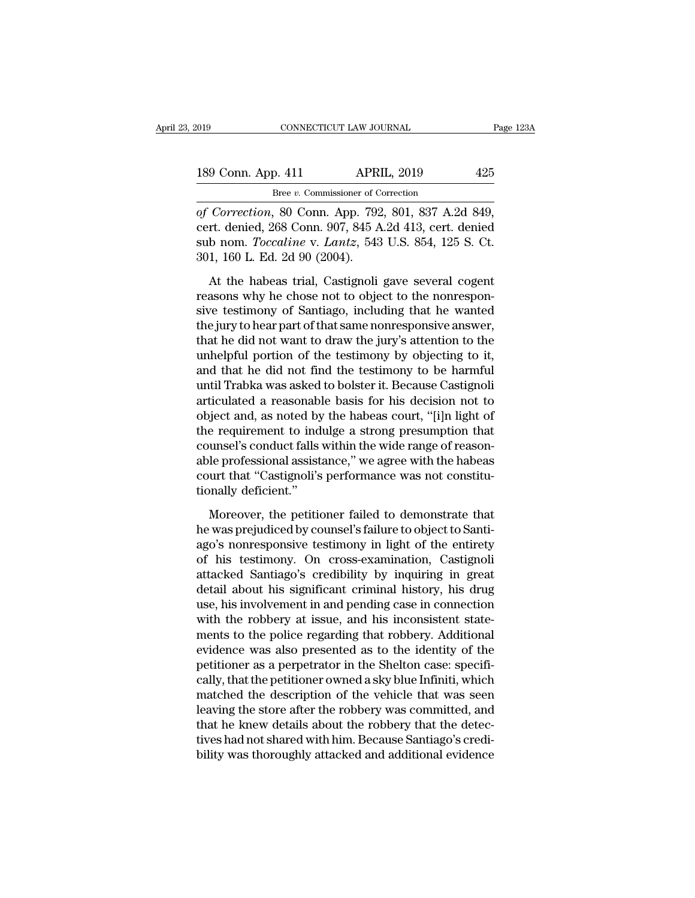| 2019 |                    | CONNECTICUT LAW JOURNAL                        | Page 123A |
|------|--------------------|------------------------------------------------|-----------|
|      | 189 Conn. App. 411 | <b>APRIL, 2019</b>                             | 425       |
|      |                    | Bree v. Commissioner of Correction             |           |
|      |                    | of Correction 80 Conn App 792 801 837 A 2d 849 |           |

**CONNECTICUT LAW JOURNAL** Page 12<br> **189 Conn. App. 411 APRIL, 2019** 425<br> **Execution**, 80 Conn. App. 792, 801, 837 A.2d 849,<br> **Correction**, 80 Conn. App. 792, 801, 837 A.2d 849,<br> **Cert. denied, 268 Conn. 907, 845 A.2d 413** 189 Conn. App. 411 APRIL, 2019 425<br>
Bree v. Commissioner of Correction<br>
of Correction, 80 Conn. App. 792, 801, 837 A.2d 849,<br>
cert. denied, 268 Conn. 907, 845 A.2d 413, cert. denied<br>
sub nom. *Toccaline* v. *Lantz*, 543 U. 189 Conn. App. 411 APRIL, 2019 425<br>
<u>Bree v. Commissioner of Correction</u><br>
of Correction, 80 Conn. App. 792, 801, 837 A.2d 849,<br>
cert. denied, 268 Conn. 907, 845 A.2d 413, cert. denied<br>
sub nom. *Toccaline* v. *Lantz*, 543 189 Conn. App. 411 APR<br>
Bree v. Commissioner of C<br>
of Correction, 80 Conn. App. 792<br>
cert. denied, 268 Conn. 907, 845 A<br>
sub nom. Toccaline v. Lantz, 543<br>
301, 160 L. Ed. 2d 90 (2004).<br>
At the habeas trial, Castignoli Bree v. Commissioner of Correction<br>
Correction, 80 Conn. App. 792, 801, 837 A.2d 849,<br>
rt. denied, 268 Conn. 907, 845 A.2d 413, cert. denied<br>
b nom. *Toccaline* v. *Lantz*, 543 U.S. 854, 125 S. Ct.<br>
1, 160 L. Ed. 2d 90 (2 of Correction, 80 Conn. App. 792, 801, 837 A.2d 849,<br>cert. denied, 268 Conn. 907, 845 A.2d 413, cert. denied<br>sub nom. Toccaline v. Lantz, 543 U.S. 854, 125 S. Ct.<br>301, 160 L. Ed. 2d 90 (2004).<br>At the habeas trial, Castigno

sign of Santiago, 1998 Conn. 1747. 1997, 845 A.2d 413, cert. denied<br>sub nom. *Toccaline* v. *Lantz*, 543 U.S. 854, 125 S. Ct.<br>301, 160 L. Ed. 2d 90 (2004).<br>At the habeas trial, Castignoli gave several cogent<br>reasons why h sub nom. *Toccaline* v. *Lantz*, 543 U.S. 854, 125 S. Ct.<br>301, 160 L. Ed. 2d 90 (2004).<br>At the habeas trial, Castignoli gave several cogent<br>reasons why he chose not to object to the nonrespon-<br>sive testimony of Santiago, i 301, 160 L. Ed. 2d 90 (2004).<br>
At the habeas trial, Castignoli gave several cogent<br>
reasons why he chose not to object to the nonrespon-<br>
sive testimony of Santiago, including that he wanted<br>
the jury to hear part of that At the habeas trial, Castignoli gave several cogent<br>reasons why he chose not to object to the nonrespon-<br>sive testimony of Santiago, including that he wanted<br>the jury to hear part of that same nonresponsive answer,<br>that he At the habeas trial, Castignoli gave several cogent<br>reasons why he chose not to object to the nonrespon-<br>sive testimony of Santiago, including that he wanted<br>the jury to hear part of that same nonresponsive answer,<br>that he reasons why he chose not to object to the nonresponsive testimony of Santiago, including that he wanted the jury to hear part of that same nonresponsive answer, that he did not want to draw the jury's attention to the unhe sive testimony of Santiago, including that he wanted<br>the jury to hear part of that same nonresponsive answer,<br>that he did not want to draw the jury's attention to the<br>unhelpful portion of the testimony by objecting to it,<br> the jury to hear part of that same nonresponsive answer,<br>that he did not want to draw the jury's attention to the<br>unhelpful portion of the testimony by objecting to it,<br>and that he did not find the testimony to be harmful<br> that he did not want to draw the jury's attention to the<br>unhelpful portion of the testimony by objecting to it,<br>and that he did not find the testimony to be harmful<br>until Trabka was asked to bolster it. Because Castignoli<br> unhelpful portion of the testimony by objecting to it,<br>and that he did not find the testimony to be harmful<br>until Trabka was asked to bolster it. Because Castignoli<br>articulated a reasonable basis for his decision not to<br>ob and that he did not find the testimony to be harmful<br>until Trabka was asked to bolster it. Because Castignoli<br>articulated a reasonable basis for his decision not to<br>object and, as noted by the habeas court, "[i]n light of<br> until Trabka was asked to bolster it. Because Castignoli<br>articulated a reasonable basis for his decision not to<br>object and, as noted by the habeas court, "[i]n light of<br>the requirement to indulge a strong presumption that<br> articulated a reasonable<br>object and, as noted by<br>the requirement to ind<br>counsel's conduct falls<br>able professional assist<br>court that "Castignoli's<br>tionally deficient."<br>Moreover, the petitic e requirement to indulge a strong presumption that<br>unsel's conduct falls within the wide range of reason-<br>le professional assistance," we agree with the habeas<br>urt that "Castignoli's performance was not constitu-<br>mally def counsel's conduct falls within the wide range of reason-<br>able professional assistance," we agree with the habeas<br>court that "Castignoli's performance was not constitu-<br>tionally deficient."<br>Moreover, the petitioner failed t

able professional assistance," we agree with the habeas<br>court that "Castignoli's performance was not constitu-<br>tionally deficient."<br>Moreover, the petitioner failed to demonstrate that<br>the was prejudiced by counsel's failur of that "Castignoli's performance was not constitutionally deficient."<br>
Moreover, the petitioner failed to demonstrate that<br>
he was prejudiced by counsel's failure to object to Santi-<br>
ago's nonresponsive testimony in ligh tionally deficient."<br>
Moreover, the petitioner failed to demonstrate that<br>
he was prejudiced by counsel's failure to object to Santi-<br>
ago's nonresponsive testimony in light of the entirety<br>
of his testimony. On cross-exam Moreover, the petitioner failed to demonstrate that<br>he was prejudiced by counsel's failure to object to Santi-<br>ago's nonresponsive testimony in light of the entirety<br>of his testimony. On cross-examination, Castignoli<br>attac Moreover, the petitioner failed to demonstrate that<br>he was prejudiced by counsel's failure to object to Santi-<br>ago's nonresponsive testimony in light of the entirety<br>of his testimony. On cross-examination, Castignoli<br>attac he was prejudiced by counsel's failure to object to Santi-<br>ago's nonresponsive testimony in light of the entirety<br>of his testimony. On cross-examination, Castignoli<br>attacked Santiago's credibility by inquiring in great<br>det ago's nonresponsive testimony in light of the entirety<br>of his testimony. On cross-examination, Castignoli<br>attacked Santiago's credibility by inquiring in great<br>detail about his significant criminal history, his drug<br>use, h of his testimony. On cross-examination, Castignoli<br>attacked Santiago's credibility by inquiring in great<br>detail about his significant criminal history, his drug<br>use, his involvement in and pending case in connection<br>with t attacked Santiago's credibility by inquiring in great<br>detail about his significant criminal history, his drug<br>use, his involvement in and pending case in connection<br>with the robbery at issue, and his inconsistent state-<br>me detail about his significant criminal history, his drug<br>use, his involvement in and pending case in connection<br>with the robbery at issue, and his inconsistent state-<br>ments to the police regarding that robbery. Additional<br>e use, his involvement in and pending case in connection<br>with the robbery at issue, and his inconsistent state-<br>ments to the police regarding that robbery. Additional<br>evidence was also presented as to the identity of the<br>pet with the robbery at issue, and his inconsistent statements to the police regarding that robbery. Additional evidence was also presented as to the identity of the petitioner as a perpetrator in the Shelton case: specificall ments to the police regarding that robbery. Additional<br>evidence was also presented as to the identity of the<br>petitioner as a perpetrator in the Shelton case: specifi-<br>cally, that the petitioner owned a sky blue Infiniti, w evidence was also presented as to the identity of the petitioner as a perpetrator in the Shelton case: specifically, that the petitioner owned a sky blue Infiniti, which matched the description of the vehicle that was seen petitioner as a perpetrator in the Shelton case: specifically, that the petitioner owned a sky blue Infiniti, which matched the description of the vehicle that was seen leaving the store after the robbery was committed, an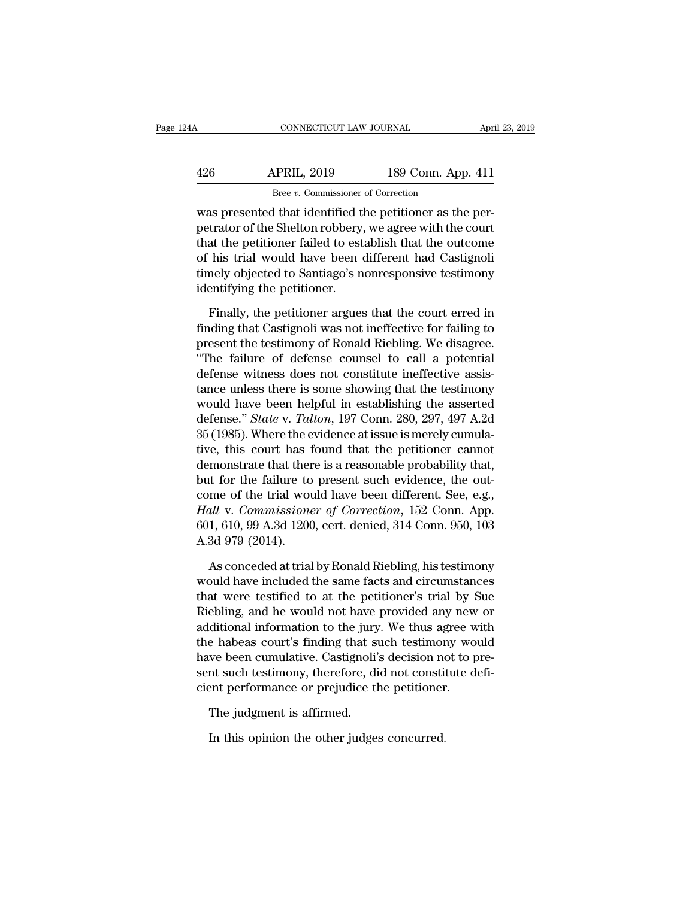| 24 A | CONNECTICUT LAW JOURNAL                                                                                                                                                          |                    | April 23, 2019 |
|------|----------------------------------------------------------------------------------------------------------------------------------------------------------------------------------|--------------------|----------------|
|      |                                                                                                                                                                                  |                    |                |
| 426  | <b>APRIL, 2019</b>                                                                                                                                                               | 189 Conn. App. 411 |                |
|      | Bree v. Commissioner of Correction                                                                                                                                               |                    |                |
|      | was presented that identified the petitioner as the per-<br>petrator of the Shelton robbery, we agree with the court<br>that the patitionar failed to establish that the outcome |                    |                |

 $\begin{array}{ll}\n 426 & \text{APRIL, } 2019 & \text{189 Conn. App. 411} \\
 \hline\n \text{Bree } v. \text{ Commissioner of Correction} \\
 \hline\n \text{was presented that identified the performance as the per-  
petrator of the Shelton robberg, we agree with the court\n \text{that the performance of his trial, would have been different had Costimali}\n \end{array}$  $\frac{426}{\text{Bree } v. \text{ Commissioner of Correction}}$ <br>
Bree  $v. \text{ Commissioner of Correction}$ <br>
was presented that identified the petitioner as the per-<br>
petrator of the Shelton robbery, we agree with the court<br>
that the petitioner failed to establish that the outcome<br>
o  $\frac{\text{APRIL, 2019}}{\text{Bree } v. \text{ Commissioner of Correction}}$ <br>was presented that identified the petitioner as the per-<br>petrator of the Shelton robbery, we agree with the court<br>that the petitioner failed to establish that the outcome<br>of his trial wou Bree  $v$ . Commissioner of Correction<br>was presented that identified the petitioner as the per-<br>petrator of the Shelton robbery, we agree with the court<br>that the petitioner failed to establish that the outcome<br>of his trial  $\frac{1}{2}$  are  $\frac{1}{2}$ . Commissioner<br>was presented that identified time<br>trator of the Shelton robbery,<br>that the petitioner failed to est<br>of his trial would have been<br>timely objected to Santiago's n<br>identifying the petiti trator of the Shelton robbery, we agree with the court<br>at the petitioner failed to establish that the outcome<br>his trial would have been different had Castignoli<br>mely objected to Santiago's nonresponsive testimony<br>entifying find the petitioner failed to establish that the outcome<br>of his trial would have been different had Castignoli<br>timely objected to Santiago's nonresponsive testimony<br>identifying the petitioner.<br>Finally, the petitioner argue

of his trial would have been different had Castignoli<br>timely objected to Santiago's nonresponsive testimony<br>identifying the petitioner.<br>Finally, the petitioner argues that the court erred in<br>finding that Castignoli was not timely objected to Santiago's nonresponsive testimony<br>
identifying the petitioner.<br>
Finally, the petitioner argues that the court erred in<br>
finding that Castignoli was not ineffective for failing to<br>
present the testimony identifying the petitioner.<br>
Finally, the petitioner argues that the court erred in<br>
finding that Castignoli was not ineffective for failing to<br>
present the testimony of Ronald Riebling. We disagree.<br>
"The failure of defen Finally, the petitioner argues that the court erred in<br>finding that Castignoli was not ineffective for failing to<br>present the testimony of Ronald Riebling. We disagree.<br>"The failure of defense counsel to call a potential<br> Finally, the petitioner argues that the court erred in<br>finding that Castignoli was not ineffective for failing to<br>present the testimony of Ronald Riebling. We disagree.<br>"The failure of defense counsel to call a potential<br> finding that Castignoli was not ineffective for failing to<br>present the testimony of Ronald Riebling. We disagree.<br>"The failure of defense counsel to call a potential<br>defense witness does not constitute ineffective assis-<br>t present the testimony of Ronald Riebling. We disagree.<br>
"The failure of defense counsel to call a potential<br>
defense witness does not constitute ineffective assis-<br>
tance unless there is some showing that the testimony<br>
wo "The failure of defense counsel to call a potential<br>defense witness does not constitute ineffective assis-<br>tance unless there is some showing that the testimony<br>would have been helpful in establishing the asserted<br>defense defense witness does not constitute ineffective assis-<br>tance unless there is some showing that the testimony<br>would have been helpful in establishing the asserted<br>defense." *State* v. *Talton*, 197 Conn. 280, 297, 497 A.2d<br> tance unless there is some showing that the testimony<br>would have been helpful in establishing the asserted<br>defense." *State v. Talton*, 197 Conn. 280, 297, 497 A.2d<br>35 (1985). Where the evidence at issue is merely cumulawould have been helpful in establishing the asserted<br>defense." *State v. Talton*, 197 Conn. 280, 297, 497 A.2d<br>35 (1985). Where the evidence at issue is merely cumula-<br>tive, this court has found that the petitioner cannot defense." *State v. Talton*, 197 Conn. 280, 297, 497 A.2d<br>35 (1985). Where the evidence at issue is merely cumula-<br>tive, this court has found that the petitioner cannot<br>demonstrate that there is a reasonable probability th 35 (1985). Where the evidence at issue is merely cumulative, this court has found that the petitioner cannot demonstrate that there is a reasonable probability that, but for the failure to present such evidence, the outcom tive, this court has 1<br>demonstrate that ther<br>but for the failure to<br>come of the trial woo<br>*Hall* v. *Commissione*<br>601, 610, 99 A.3d 1200<br>A.3d 979 (2014).<br>As conceded at trial to the failure to present such evidence, the out-<br>me of the trial would have been different. See, e.g.,<br>*all* v. *Commissioner of Correction*, 152 Conn. App.<br>1, 610, 99 A.3d 1200, cert. denied, 314 Conn. 950, 103<br>3d 979 (2 come of the trial would have been different. See, e.g.,<br> *Hall* v. *Commissioner of Correction*, 152 Conn. App.<br>
601, 610, 99 A.3d 1200, cert. denied, 314 Conn. 950, 103<br>
A.3d 979 (2014).<br>
As conceded at trial by Ronald Ri

Hall v. Commissioner of Correction, 152 Conn. App.<br>601, 610, 99 A.3d 1200, cert. denied, 314 Conn. 950, 103<br>A.3d 979 (2014).<br>As conceded at trial by Ronald Riebling, his testimony<br>would have included the same facts and cir 601, 610, 99 A.3d 1200, cert. denied, 314 Conn. 950, 103<br>A.3d 979 (2014).<br>As conceded at trial by Ronald Riebling, his testimony<br>would have included the same facts and circumstances<br>that were testified to at the petitioner A.3d 979 (2014).<br>
As conceded at trial by Ronald Riebling, his testimony<br>
would have included the same facts and circumstances<br>
that were testified to at the petitioner's trial by Sue<br>
Riebling, and he would not have provi As conceded at trial by Ronald Riebling, his testimony<br>would have included the same facts and circumstances<br>that were testified to at the petitioner's trial by Sue<br>Riebling, and he would not have provided any new or<br>additi As conceded at trial by Ronald Riebling, his testimony<br>would have included the same facts and circumstances<br>that were testified to at the petitioner's trial by Sue<br>Riebling, and he would not have provided any new or<br>additi would have included the same facts and circumstances<br>that were testified to at the petitioner's trial by Sue<br>Riebling, and he would not have provided any new or<br>additional information to the jury. We thus agree with<br>the ha that were testified to at the petitioner's trial by S.<br>Riebling, and he would not have provided any new<br>additional information to the jury. We thus agree w<br>the habeas court's finding that such testimony wo<br>have been cumula ditional information to the jury<br>e habeas court's finding that si<br>we been cumulative. Castignoli'<br>nt such testimony, therefore, di<br>ent performance or prejudice tl<br>The judgment is affirmed.<br>In this opinion the other judge: In this opinion the other judges concurred.<br>In this opinion the stimulative. Castignoli's decision not such testimony, therefore, did not constitent performance or prejudice the petitioner<br>The judgment is affirmed.<br>In this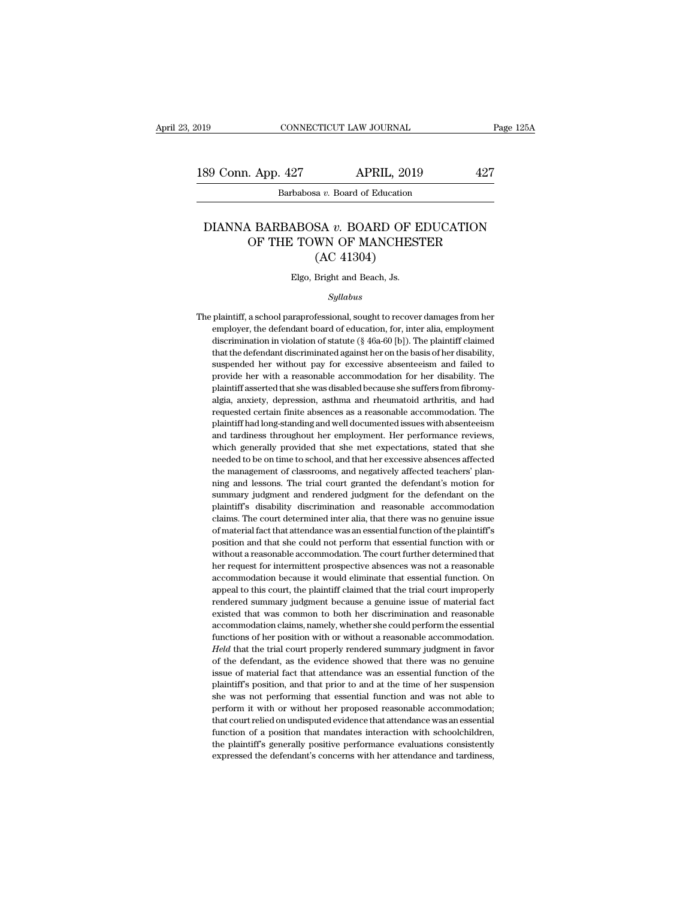## 89 Conn. App. 427<br>
Barbabosa *v.* Board of Education<br>
DIANNA BARBABOSA *v.* BOARD OF EDUCATION<br>
OF THE TOWN OF MANCHESTER  $\begin{tabular}{ c c c} \multicolumn{1}{c}{{\bf Apply & APRIL, 2019} & \multicolumn{1}{c}{427}\\ \hline {\multicolumn{1}{c}{{\bf Barbabosa}\ v.~Board of Education} \\ \multicolumn{1}{c}{\bf N}\ BARBABOSA\ v.~BOARD OF EDUCATION \\ \multicolumn{1}{c}{\bf OF THE TOWN OF MANCHESTER} \\ (AC 41304) \\ \end{tabular}$ APRIL, 2019<br>
EVA v. Board of Education<br>
SA v. BOARD OF E<br>
WN OF MANCHES<br>
(AC 41304)<br>
Bright and Beach, Js. DIANNA BARBABOSA  $v$ . BOARD OF EDUCATION<br>OF THE TOWN OF MANCHESTER<br>(AC 41304)<br>Elgo, Bright and Beach, Js.

## *Syllabus*

 $\rm (AC~41304)$ <br>Elgo, Bright and Beach, Js.<br> $\it Syllabus$ <br>The plaintiff, a school paraprofessional, sought to recover damages from her<br>employer, the defendant board of education, for, inter alia, employment Elgo, Bright and Beach, Js.<br>Syllabus<br>plaintiff, a school paraprofessional, sought to recover damages from her<br>employer, the defendant board of education, for, inter alia, employment<br>discrimination in violation of statute (  $\label{eq:22} \begin{array}{l} \text{Elgo, Bright and Beach, Js.}\\ \text{5} \end{array}$  plaintiff, a school paraprofessional, sought to recover damages from her employer, the defendant board of education, for, inter alia, employment discrimination in violation of sta  $Syllabus$ <br>plaintiff, a school paraprofessional, sought to recover damages from her<br>employer, the defendant board of education, for, inter alia, employment<br>discrimination in violation of statute (§ 46a-60 [b]). The plaintiff  $Sylabus$ <br>plaintiff, a school paraprofessional, sought to recover damages from her<br>employer, the defendant board of education, for, inter alia, employment<br>discrimination in violation of statute (§ 46a-60 [b]). The plaintiff plaintiff, a school paraprofessional, sought to recover damages from her employer, the defendant board of education, for, inter alia, employment discrimination in violation of statute (§ 46a-60 [b]). The plaintiff claimed employer, the defendant board of education, for, inter alia, employment discrimination in violation of statute ( $\S$  46a-60 [b]). The plaintiff claimed that the defendant discriminated against her on the basis of her disab discrimination in violation of statute (§ 46a-60 [b]). The plaintiff claimed that the defendant discriminated against her on the basis of her disability, suspended her without pay for excessive absenteeism and failed to p that the defendant discriminated against her on the basis of her disability, suspended her without pay for excessive absenteeism and failed to provide her with a reasonable accommodation for her disability. The plaintiff a suspended her without pay for excessive absenteeism and failed to provide her with a reasonable accommodation for her disability. The plaintiff asserted that she was disabled because she suffers from fibromy-<br>algia, anxiet provide her with a reasonable accommodation for her disability. The plaintiff asserted that she was disabled because she suffers from fibromy-<br>algia, anxiety, depression, asthma and rheumatoid arthritis, and had<br>requested plaintiff asserted that she was disabled because she suffers from fibromy-<br>algia, anxiety, depression, asthma and rheumatoid arthritis, and had<br>requested certain finite absences as a reasonable accommodation. The<br>plaintiff algia, anxiety, depression, asthma and rheumatoid arthritis, and had requested certain finite absences as a reasonable accommodation. The plaintiff had long-standing and well documented issues with absenteeism and tardines requested certain finite absences as a reasonable accommodation. The plaintiff had long-standing and well documented issues with absenteeism and tardiness throughout her employment. Her performance reviews, which generally Plaintiff had long-standing and well documented issues with absenteeism<br>and tardiness throughout her employment. Her performance reviews,<br>which generally provided that she met expectations, stated that she<br>needed to be on paraditarions submand rendered in the membersum and tardiness throughout her employment. Her performance reviews, which generally provided that she meeted to be on time to school, and that her excessive absences affected t which generally provided that she met expectations, stated that she<br>meeded to be on time to school, and that her excessive absences affected<br>the management of classrooms, and negatively affected teachers' plan-<br>ning and le meeded to be on time to school, and that her excessive absences affected the management of classrooms, and negatively affected teachers' planning and lessons. The trial court granted the defendant's motion for summary judg the management of classrooms, and negatively affected teachers' plan-<br>the management of classrooms, and negatively affected teachers' plan-<br>ning and lessons. The trial court granted the defendant's motion for<br>summary judgm ning and lessons. The trial court granted the defendant's motion for summary judgment and rendered judgment for the defendant on the plaintiff's disability discrimination and reasonable accommodation claims. The court dete summary judgment and rendered judgment for the defendant on the plaintiff's disability discrimination and reasonable accommodation claims. The court determined inter alia, that there was no genuine issue of material fact t plaintiff's disability discrimination and reasonable accommodation claims. The court determined inter alia, that there was no genuine issue of material fact that attendance was an essential function of the plaintiff's posi plains. The court determined inter alia, that there was no genuine issue of material fact that attendance was an essential function of the plaintiff's position and that she could not perform that essential function with or and the material fact that attendance was an essential function of the plaintiff's position and that she could not perform that essential function with or without a reasonable accommodation. The court further determined th position and that she could not perform that essential function with or without a reasonable accommodation. The court further determined that her request for intermittent prospective absences was not a reasonable accommoda positional areasonable accommodation. The court further determined that her request for intermittent prospective absences was not a reasonable accommodation because it would eliminate that essential function. On appeal to A reflect the request for intermittent prospective absences was not a reasonable accommodation because it would eliminate that essential function. On appeal to this court, the plaintiff claimed that the trial court imprope functions of a reasonable in with our accommodation because it would eliminate that essential function. On appeal to this court, the plaintiff claimed that the trial court improperly rendered summary judgment because a gen appeal to this court, the plaintiff claimed that the trial court improperly rendered summary judgment because a genuine issue of material fact existed that was common to both her discrimination and reasonable accommodation rendered summary judgment because a genuine issue of material fact<br>existed that was common to both her discrimination and reasonable<br>accommodation claims, namely, whether she could perform the essential<br>functions of her po existed that was common to both her discrimination and reasonable accommodation claims, namely, whether she could perform the essential functions of her position with or without a reasonable accommodation.<br>Held that the tr accommodation claims, namely, whether she could perform the essential functions of her position with or without a reasonable accommodation. Held that the trial court properly rendered summary judgment in favor of the defen functions of her position with or without a reasonable accommodation.<br>Field that the trial court properly rendered summary judgment in favor<br>of the defendant, as the evidence showed that there was no genuine<br>issue of mater Held that the trial court properly rendered summary judgment in favor of the defendant, as the evidence showed that there was no genuine issue of material fact that attendance was an essential function of the plaintiff's of the defendant, as the evidence showed that there was no genuine issue of material fact that attendance was an essential function of the plaintiff's position, and that prior to and at the time of her suspension she was n plaintiff's position, and that prior to and at the time of her suspension she was not performing that essential function and was not able to perform it with or without her proposed reasonable accommodation; that court reli plaintiff's position, and that prior to and at the time of her suspension<br>she was not performing that essential function and was not able to<br>perform it with or without her proposed reasonable accommodation;<br>that court reli she was not performing that essential function and was not able to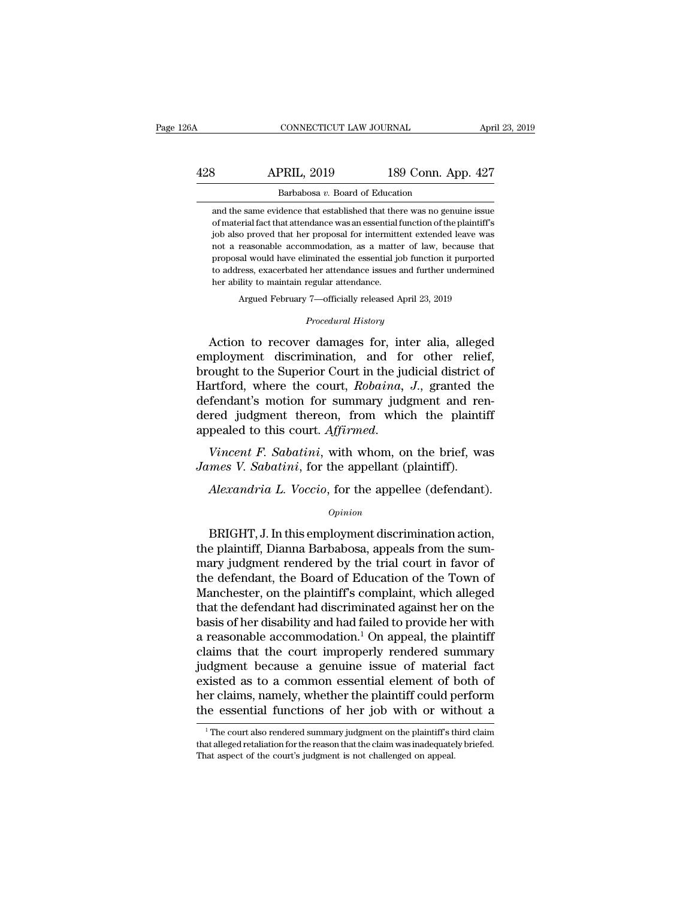## CONNECTICUT LAW JOURNAL April 23, 2019<br>428 APRIL, 2019 189 Conn. App. 427<br>Barbabosa v. Board of Education CONNECTICUT LAW JOURNAL April<br>Barbabosa *v.* Board of Education<br>and the same evidence that established that there was no genuine issue APRIL, 2019 189 Conn. App. 427<br>Barbabosa v. Board of Education<br>and the same evidence that established that there was no genuine issue<br>of material fact that attendance was an essential function of the plaintiff's

**Softary 189 Conn. App. 427**<br> **Expresses 2:** Board of Education<br>
and the same evidence that established that there was no genuine issue<br>
of material fact that attendance was an essential function of the plaintiff's<br>
job al **job also proved that here** was no genuine issue and the same evidence that established that there was no genuine issue of material fact that attendance was an essential function of the plaintiff's job also proved that he Barbabosa v. Board of Education<br>and the same evidence that established that there was no genuine issue<br>of material fact that attendance was an essential function of the plaintiff's<br>job also proved that her proposal for int Barbabosa  $v$ . Board of Education<br>and the same evidence that established that there was no genuine issue<br>of material fact that attendance was an essential function of the plaintiff's<br>job also proved that her proposal for and the same evidence that established that there was no genuine issue<br>of material fact that attendance was an essential function of the plaintiff's<br>job also proved that her proposal for intermittent extended leave was<br>not ability of material fact that attendance was an essential f<br>ightals above that attendance was an essential f<br>ightals above that her proposal for intermitted<br>not a reasonable accommodation, as a matten<br>proposal would have e not a reasonable accommodation, as a matter of law, because that proposal would have eliminated the essential job function it purported to address, exacerbated her attendance issues and further undermined her ability to m From a reasonable accommodation, as a matter of haw, because that<br>proposal would have eliminated the essential job function it purported<br>to address, exacerbated her attendance issues and further undermined<br>her ability to m

Argued February 7—officially released April 23, 2019<br>*Procedural History*<br>Action to recover damages for, inter alia, alleged to address, exacerbated her attendance issues and further undermined<br>her ability to maintain regular attendance.<br>Argued February 7—officially released April 23, 2019<br>*Procedural History*<br>Action to recover damages for, inte her ability to maintain regular attendance.<br>
Argued February 7—officially released April 23, 2019<br>
Procedural History<br>
Action to recover damages for, inter alia, alleged<br>
employment discrimination, and for other relief,<br>
b Argued February 7—officially released April 23, 2019<br> *Procedural History*<br>
Action to recover damages for, inter alia, alleged<br>
employment discrimination, and for other relief,<br>
brought to the Superior Court in the judicia *Procedural History*<br>Action to recover damages for, inter alia, alleged<br>employment discrimination, and for other relief,<br>brought to the Superior Court in the judicial district of<br>Hartford, where the court, *Robaina*, *J.*, Froceaara History<br>Action to recover damages for, inter alia, alleged<br>employment discrimination, and for other relief,<br>brought to the Superior Court in the judicial district of<br>Hartford, where the court, *Robaina*, *J.*, gr Action to recover damages for, inter alia, alleged<br>employment discrimination, and for other relief,<br>brought to the Superior Court in the judicial district of<br>Hartford, where the court, *Robaina*, *J.*, granted the<br>defendan *James V. Sabatini*, for the appellant (plaintiff).<br>*James V. Sabatini*, *J.*, granted the defendant's motion for summary judgment and readered judgment thereon, from which the plaintiff appealed to this court. *Affirmed. Alexandria L. Voccio*, from which the plaintiff<br>pealed to this court. *Affirmed.*<br>*Vincent F. Sabatini*, with whom, on the brief, was<br>*mes V. Sabatini*, for the appellant (plaintiff).<br>*Alexandria L. Voccio*, for the appel

## *Opinion*

Vincent F. Sabatini, with whom, on the brief, was<br>mes V. Sabatini, for the appellant (plaintiff).<br>Alexandria L. Voccio, for the appellee (defendant).<br>opinion<br>BRIGHT, J. In this employment discrimination action,<br>e plaintiff Finder F. Sabatini, whit wholl, on the brief, was<br>James V. Sabatini, for the appellant (plaintiff).<br>Alexandria L. Voccio, for the appellee (defendant).<br>Opinion<br>BRIGHT, J. In this employment discrimination action,<br>the plain Mexandria L. Voccio, for the appellee (defendant).<br>
Opinion<br>
BRIGHT, J. In this employment discrimination action,<br>
the plaintiff, Dianna Barbabosa, appeals from the sum-<br>
mary judgment rendered by the trial court in favor Alexandria L. Voccio, for the appellee (defendant).<br>
opinion<br>
BRIGHT, J. In this employment discrimination action,<br>
the plaintiff, Dianna Barbabosa, appeals from the sum-<br>
mary judgment rendered by the trial court in favor Opinion<br>
Opinion<br>
BRIGHT, J. In this employment discrimination action,<br>
the plaintiff, Dianna Barbabosa, appeals from the sum-<br>
mary judgment rendered by the trial court in favor of<br>
the defendant, the Board of Education o BRIGHT, J. In this employment discrimination action,<br>the plaintiff, Dianna Barbabosa, appeals from the sum-<br>mary judgment rendered by the trial court in favor of<br>the defendant, the Board of Education of the Town of<br>Manche BRIGHT, J. In this employment discrimination action,<br>the plaintiff, Dianna Barbabosa, appeals from the sum-<br>mary judgment rendered by the trial court in favor of<br>the defendant, the Board of Education of the Town of<br>Manche the plaintiff, Dianna Barbabosa, appeals from the sum-<br>mary judgment rendered by the trial court in favor of<br>the defendant, the Board of Education of the Town of<br>Manchester, on the plaintiff's complaint, which alleged<br>that mary judgment rendered by the trial court in favor of<br>the defendant, the Board of Education of the Town of<br>Manchester, on the plaintiff's complaint, which alleged<br>that the defendant had discriminated against her on the<br>bas the defendant, the Board of Education of the Town of<br>Manchester, on the plaintiff's complaint, which alleged<br>that the defendant had discriminated against her on the<br>basis of her disability and had failed to provide her wit Manchester, on the plaintiff's complaint, which alleged<br>that the defendant had discriminated against her on the<br>basis of her disability and had failed to provide her with<br>a reasonable accommodation.<sup>1</sup> On appeal, the plain that the defendant had discriminated against her on the<br>basis of her disability and had failed to provide her with<br>a reasonable accommodation.<sup>1</sup> On appeal, the plaintiff<br>claims that the court improperly rendered summary<br>j basis of her disability and had failed to provide her with<br>a reasonable accommodation.<sup>1</sup> On appeal, the plaintiff<br>claims that the court improperly rendered summary<br>judgment because a genuine issue of material fact<br>existe dgment because a genuine issue of material fact<br>xisted as to a common essential element of both of<br>er claims, namely, whether the plaintiff could perform<br>ne essential functions of her job with or without a<br><sup>1</sup>The court als existed as to a common essential element of both of<br>her claims, namely, whether the plaintiff could perform<br>the essential functions of her job with or without a<br><sup>1</sup>The court also rendered summary judgment on the plaintiff'

her claims, namely, whether the plaintiff could p<br>the essential functions of her job with or with<br><sup>1</sup>The court also rendered summary judgment on the plaintiff's tithat alleged retaliation for the reason that the claim was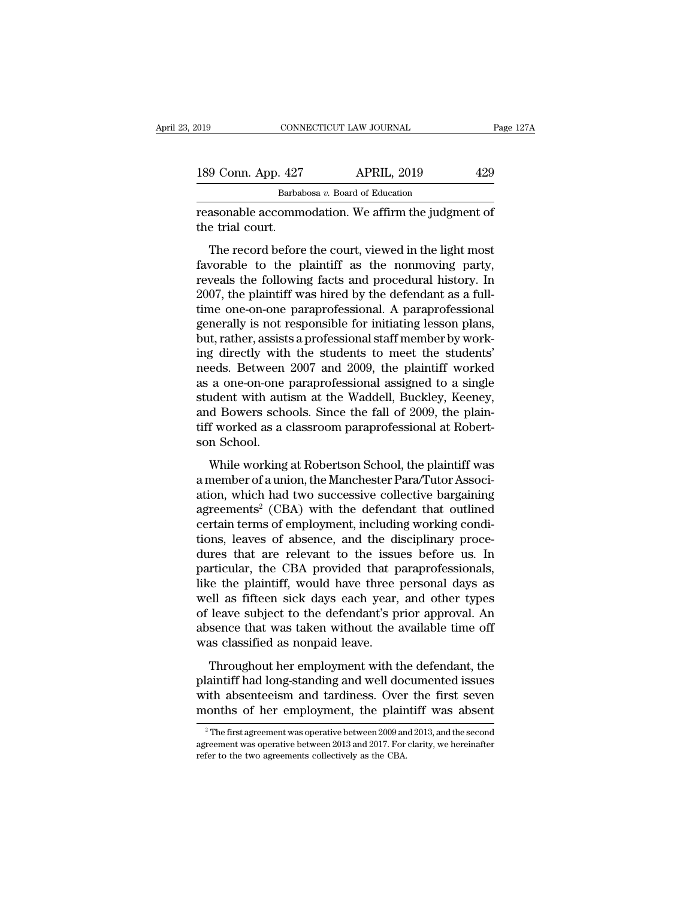| :019               | CONNECTICUT LAW JOURNAL                                                                                                                                               | Page 127A |
|--------------------|-----------------------------------------------------------------------------------------------------------------------------------------------------------------------|-----------|
|                    |                                                                                                                                                                       |           |
| 189 Conn. App. 427 | <b>APRIL, 2019</b>                                                                                                                                                    | 429       |
|                    | Barbabosa v. Board of Education                                                                                                                                       |           |
| the trial court.   | reasonable accommodation. We affirm the judgment of                                                                                                                   |           |
|                    | The record before the court, viewed in the light most<br>favorable to the plaintiff as the nonmoving party,<br>rovoals the following facts and procedural history. In |           |

Favorable accommodation. We affirm the judgment of<br>reasonable accommodation. We affirm the judgment of<br>the trial court.<br>The record before the court, viewed in the light most<br>favorable to the plaintiff as the nonmoving par Barbabosa v. Board of Education<br>
reasonable accommodation. We affirm the judgment of<br>
the trial court.<br>
The record before the court, viewed in the light most<br>
favorable to the plaintiff as the nonmoving party,<br>
reveals th reasonable accommodation. We affirm the judgment of<br>the trial court.<br>The record before the court, viewed in the light most<br>favorable to the plaintiff as the nonmoving party,<br>reveals the following facts and procedural histo the trial court.<br>
The record before the court, viewed in the light most<br>
favorable to the plaintiff as the nonmoving party,<br>
reveals the following facts and procedural history. In<br>
2007, the plaintiff was hired by the defe The record before the court, viewed in the light most<br>favorable to the plaintiff as the nonmoving party,<br>reveals the following facts and procedural history. In<br>2007, the plaintiff was hired by the defendant as a full-<br>time The record before the court, viewed in the light most<br>favorable to the plaintiff as the nonmoving party,<br>reveals the following facts and procedural history. In<br>2007, the plaintiff was hired by the defendant as a full-<br>time favorable to the plaintiff as the nonmoving party,<br>reveals the following facts and procedural history. In<br>2007, the plaintiff was hired by the defendant as a full-<br>time one-on-one paraprofessional. A paraprofessional<br>gener reveals the following facts and procedural history. In 2007, the plaintiff was hired by the defendant as a full-<br>time one-on-one paraprofessional. A paraprofessional generally is not responsible for initiating lesson plans 2007, the plaintiff was hired by the defendant as a full-<br>time one-on-one paraprofessional. A paraprofessional<br>generally is not responsible for initiating lesson plans,<br>but, rather, assists a professional staff member by w time one-on-one paraprofessional. A paraprofessional generally is not responsible for initiating lesson plans, but, rather, assists a professional staff member by working directly with the students to meet the students' ne generally is not responsible for initiating lesson plans,<br>but, rather, assists a professional staff member by work-<br>ing directly with the students to meet the students'<br>needs. Between 2007 and 2009, the plaintiff worked<br>as but, rather, assists a professional staff member by working directly with the students to meet the students'<br>needs. Between 2007 and 2009, the plaintiff worked<br>as a one-on-one paraprofessional assigned to a single<br>student ing directly with<br>needs. Between<br>as a one-on-one<br>student with aut<br>and Bowers scho<br>tiff worked as a c<br>son School.<br>While working a one-on-one paraprofessional assigned to a single<br>dent with autism at the Waddell, Buckley, Keeney,<br>d Bowers schools. Since the fall of 2009, the plain-<br>f worked as a classroom paraprofessional at Robert-<br>n School.<br>While as a one on one paraprocessional assigned to a single<br>student with autism at the Waddell, Buckley, Keeney,<br>and Bowers schools. Since the fall of 2009, the plain-<br>tiff worked as a classroom paraprofessional at Robert-<br>son

ation, which had two successive collective plain-<br>tiff worked as a classroom paraprofessional at Robert-<br>son School.<br>While working at Robertson School, the plaintiff was<br>a member of a union, the Manchester Para/Tutor Asso and Bowers sensors since are fail of 2000, are paint<br>tiff worked as a classroom paraprofessional at Robert-<br>son School.<br>While working at Robertson School, the plaintiff was<br>a member of a union, the Manchester Para/Tutor As Example working at Robertson School, the plaintiff was<br>a member of a union, the Manchester Para/Tutor Associ-<br>ation, which had two successive collective bargaining<br>agreements<sup>2</sup> (CBA) with the defendant that outlined<br>certa While working at Robertson School, the plaintiff was<br>a member of a union, the Manchester Para/Tutor Associ-<br>ation, which had two successive collective bargaining<br>agreements<sup>2</sup> (CBA) with the defendant that outlined<br>certai While working at Robertson School, the plaintiff was<br>a member of a union, the Manchester Para/Tutor Associ-<br>ation, which had two successive collective bargaining<br>agreements<sup>2</sup> (CBA) with the defendant that outlined<br>certain a member of a union, the Manchester Para/Tutor Association, which had two successive collective bargaining<br>agreements<sup>2</sup> (CBA) with the defendant that outlined<br>certain terms of employment, including working condi-<br>tions, l ation, which had two successive collective bargaining<br>agreements<sup>2</sup> (CBA) with the defendant that outlined<br>certain terms of employment, including working condi-<br>tions, leaves of absence, and the disciplinary proce-<br>dures t agreements<sup>2</sup> (CBA) with the defendant that outlined<br>certain terms of employment, including working condi-<br>tions, leaves of absence, and the disciplinary proce-<br>dures that are relevant to the issues before us. In<br>particula certain terms of employment, including working condi-<br>tions, leaves of absence, and the disciplinary proce-<br>dures that are relevant to the issues before us. In<br>particular, the CBA provided that paraprofessionals,<br>like the tions, leaves of absence, and the disciplinary proce-<br>dures that are relevant to the issues before us. In<br>particular, the CBA provided that paraprofessionals,<br>like the plaintiff, would have three personal days as<br>well as f dures that are relevant to the issu<br>particular, the CBA provided that p<br>like the plaintiff, would have three<br>well as fifteen sick days each year,<br>of leave subject to the defendant's pi<br>absence that was taken without the a<br> The plaintiff, would have three personal days as<br>ell as fifteen sick days each year, and other types<br>leave subject to the defendant's prior approval. An<br>sence that was taken without the available time off<br>as classified as me are plaintiff, would have alree personal anys as<br>well as fifteen sick days each year, and other types<br>of leave subject to the defendant's prior approval. An<br>absence that was taken without the available time off<br>was clas

wen as meeth sick anys each yea, and oater types<br>of leave subject to the defendant's prior approval. An<br>absence that was taken without the available time off<br>was classified as nonpaid leave.<br>Throughout her employment with absence that was taken without the available time off was classified as nonpaid leave.<br>Throughout her employment with the defendant, the plaintiff had long-standing and well documented issues with absenteeism and tardines Throughout her employment with the detendant, the laintiff had long-standing and well documented issues<br>ith absenteeism and tardiness. Over the first seven<br>onths of her employment, the plaintiff was absent<br> $\frac{1}{2}$  The f plaintiff had long-standing and well documented issues<br>with absenteeism and tardiness. Over the first seven<br>months of her employment, the plaintiff was absent<br><sup>2</sup>The first agreement was operative between 2009 and 2013, and

with absenteeism and tardiness. Over<br>months of her employment, the plain<br> $\frac{1}{2}$ The first agreement was operative between 2009 an<br>agreement was operative between 2013 and 2017. For<br>refer to the two agreements collective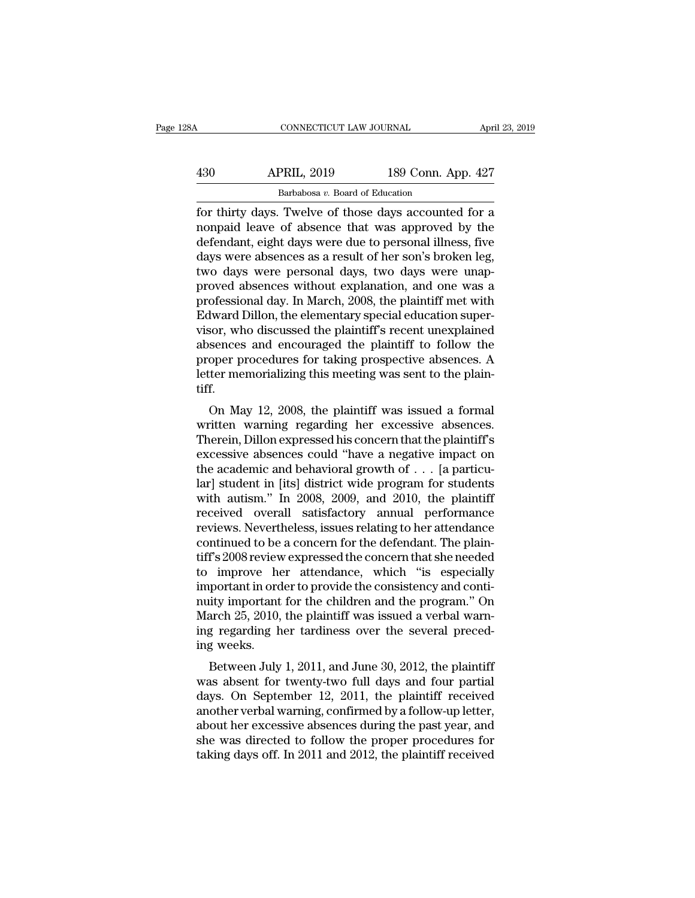| 28A | CONNECTICUT LAW JOURNAL                               |                    | April 23, 2019 |
|-----|-------------------------------------------------------|--------------------|----------------|
| 430 | <b>APRIL, 2019</b>                                    | 189 Conn. App. 427 |                |
|     | Barbabosa v. Board of Education                       |                    |                |
|     | for thirty days. Twelve of those days accounted for a |                    |                |

For thirty days. Twelve of those days accounted for a<br>discrete of those days accounted for a<br>nonpaid leave of absence that was approved by the<br>defendent eight days were due to personal illness five APRIL, 2019 189 Conn. App. 427<br>Barbabosa v. Board of Education<br>for thirty days. Twelve of those days accounted for a<br>nonpaid leave of absence that was approved by the<br>defendant, eight days were due to personal illness, fiv  $\frac{\text{APRIL, 2019}}{\text{Barbabosa } v. \text{ Board of Education}}$ <br>  $\frac{\text{Barbabosa } v. \text{ Board of Education}}{\text{for thirty days. Twelve of those days accounted for a nonpaid leave of absence that was approved by the defendant, eight days were due to personal illness, five days were absences as a result of her son's broken leg, two days were performed days, two days were unan.}$  $\frac{\text{APRIL, 2019}}{\text{Barbabosa } v. \text{ Board of Education}}$ <br>
for thirty days. Twelve of those days accounted for a<br>
nonpaid leave of absence that was approved by the<br>
defendant, eight days were due to personal illness, five<br>
days were absences as Barbabosa v. Board of Education<br>
for thirty days. Twelve of those days accounted for a<br>
nonpaid leave of absence that was approved by the<br>
defendant, eight days were due to personal illness, five<br>
days were absences as a Barbabosa v. Board of Education<br>
for thirty days. Twelve of those days accounted for a<br>
nonpaid leave of absence that was approved by the<br>
defendant, eight days were due to personal illness, five<br>
days were absences as a r for thirty days. Twelve of those days accounted for a<br>nonpaid leave of absence that was approved by the<br>defendant, eight days were due to personal illness, five<br>days were absences as a result of her son's broken leg,<br>two d nonpaid leave of absence that was approved by the<br>defendant, eight days were due to personal illness, five<br>days were absences as a result of her son's broken leg,<br>two days were personal days, two days were unap-<br>proved abs defendant, eight days were due to personal illness, five<br>days were absences as a result of her son's broken leg,<br>two days were personal days, two days were unap-<br>proved absences without explanation, and one was a<br>professio days were absences as a result of her son's broken leg,<br>two days were personal days, two days were unap-<br>proved absences without explanation, and one was a<br>professional day. In March, 2008, the plaintiff met with<br>Edward Di two days were personal days, two days were unap-<br>proved absences without explanation, and one was a<br>professional day. In March, 2008, the plaintiff met with<br>Edward Dillon, the elementary special education super-<br>visor, who proved absences without explanation, and one was a<br>professional day. In March, 2008, the plaintiff met with<br>Edward Dillon, the elementary special education super-<br>visor, who discussed the plaintiff's recent unexplained<br>abs tiff. Example 1. Who discussed the plaintiff's recent unexplained<br>sences and encouraged the plaintiff to follow the<br>oper procedures for taking prospective absences. A<br>ter memorializing this meeting was sent to the plain-<br>f.<br>On M visor, who uscussed the plaintiff is recent thexplained<br>absences and encouraged the plaintiff to follow the<br>proper procedures for taking prospective absences. A<br>letter memorializing this meeting was sent to the plain-<br>tiff

absences and encouraged the plaintiff to follow the<br>proper procedures for taking prospective absences. A<br>letter memorializing this meeting was sent to the plaint-<br>tiff.<br>On May 12, 2008, the plaintiff was issued a formal<br>wr proper procedures for taxing prospective absences. A<br>letter memorializing this meeting was sent to the plain-<br>tiff.<br>On May 12, 2008, the plaintiff was issued a formal<br>written warning regarding her excessive absences.<br>Ther Fetter memorializing this ineeting was sent to the plain-<br>tiff.<br>On May 12, 2008, the plaintiff was issued a formal<br>written warning regarding her excessive absences.<br>Therein, Dillon expressed his concern that the plaintiff' In the US of May 12, 2008, the plaintiff was issued a formal written warning regarding her excessive absences.<br>Therein, Dillon expressed his concern that the plaintiff's excessive absences could "have a negative impact on On May 12, 2008, the plaintiff was issued a formal<br>written warning regarding her excessive absences.<br>Therein, Dillon expressed his concern that the plaintiff's<br>excessive absences could "have a negative impact on<br>the acade written warning regarding her excessive absences.<br>Therein, Dillon expressed his concern that the plaintiff's<br>excessive absences could "have a negative impact on<br>the academic and behavioral growth of  $\ldots$  [a particu-<br>lar] Therein, Dillon expressed his concern that the plaintiff's<br>excessive absences could "have a negative impact on<br>the academic and behavioral growth of  $\ldots$  [a particu-<br>lar] student in [its] district wide program for studen excessive absences could "have a negative impact on<br>the academic and behavioral growth of  $\ldots$  [a particu-<br>lar] student in [its] district wide program for students<br>with autism." In 2008, 2009, and 2010, the plaintiff<br>rec the academic and behavioral growth of  $\ldots$  [a particular] student in [its] district wide program for students<br>with autism." In 2008, 2009, and 2010, the plaintiff<br>received overall satisfactory annual performance<br>reviews. lar] student in [its] district wide program for students<br>with autism." In 2008, 2009, and 2010, the plaintiff<br>received overall satisfactory annual performance<br>reviews. Nevertheless, issues relating to her attendance<br>contin with autism." In 2008, 2009, and 2010, the plaintiff<br>received overall satisfactory annual performance<br>reviews. Nevertheless, issues relating to her attendance<br>continued to be a concern for the defendant. The plain-<br>tiff's received overall satisfactory annual performance<br>reviews. Nevertheless, issues relating to her attendance<br>continued to be a concern for the defendant. The plain-<br>tiff's 2008 review expressed the concern that she needed<br>to reviews. Nevertheless, issues relating to her attendance<br>continued to be a concern for the defendant. The plain-<br>tiff's 2008 review expressed the concern that she needed<br>to improve her attendance, which "is especially<br>impo continued to be a concern for the defendant. The plaintiff's 2008 review expressed the concern that she needed to improve her attendance, which "is especially important in order to provide the consistency and continuity im tiff's 2008 review<br>to improve he<br>important in ord<br>nuity important<br>March 25, 2010,<br>ing regarding h<br>ing weeks.<br>Between July miprove her attendance, which is especially<br>portant in order to provide the consistency and conti-<br>ity important for the children and the program." On<br>arch 25, 2010, the plaintiff was issued a verbal warn-<br>g regarding her miportant in order to provide the consistency and conti-<br>muity important for the children and the program." On<br>March 25, 2010, the plaintiff was issued a verbal warn-<br>ing regarding her tardiness over the several preced-<br>in

harch 25, 2010, the plaintiff was issued a verbal warning regarding her tardiness over the several preceding weeks.<br>Between July 1, 2011, and June 30, 2012, the plaintiff was absent for twenty-two full days and four partia march 25, 2010, the plantin was issued a verbal warning<br>ing regarding her tardiness over the several preced-<br>ing weeks.<br>Between July 1, 2011, and June 30, 2012, the plaintiff<br>was absent for twenty-two full days and four pa ing regarding her tardiness over the several preced-<br>ing weeks.<br>Between July 1, 2011, and June 30, 2012, the plaintiff<br>was absent for twenty-two full days and four partial<br>days. On September 12, 2011, the plaintiff receive she weeks.<br>Between July 1, 2011, and June 30, 2012, the plaintiff<br>was absent for twenty-two full days and four partial<br>days. On September 12, 2011, the plaintiff received<br>another verbal warning, confirmed by a follow-up le Between July 1, 2011, and June 30, 2012, the plaintiff was absent for twenty-two full days and four partial days. On September 12, 2011, the plaintiff received another verbal warning, confirmed by a follow-up letter, about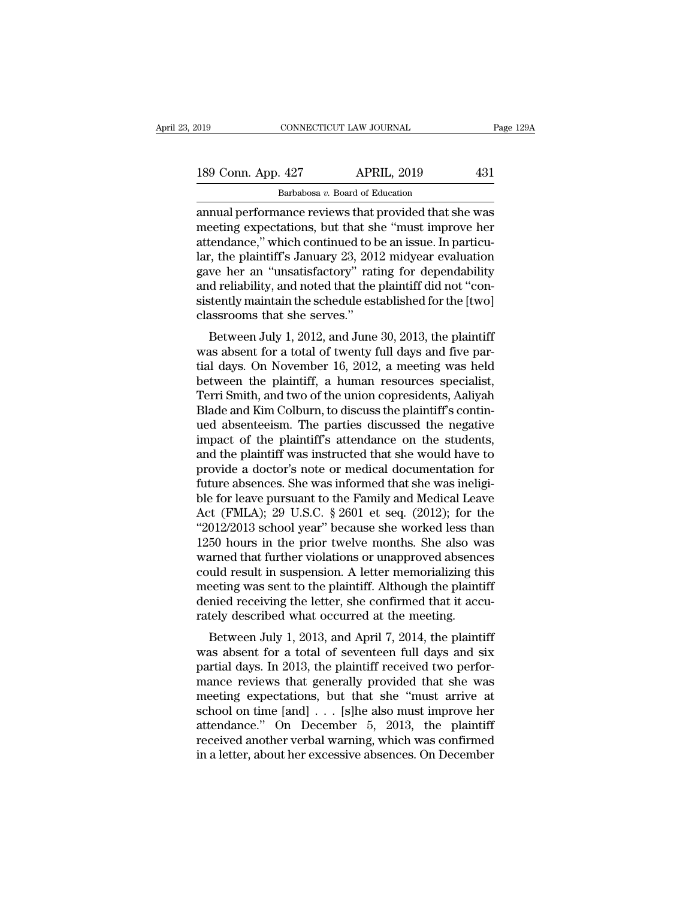| 019 |                    | CONNECTICUT LAW JOURNAL                               | Page 129A |
|-----|--------------------|-------------------------------------------------------|-----------|
|     | 189 Conn. App. 427 | <b>APRIL, 2019</b>                                    | 431       |
|     |                    | Barbabosa v. Board of Education                       |           |
|     |                    | annual performance reviews that provided that she was |           |

connectricut LAW JOURNAL Page 129A<br>
189 Conn. App. 427 APRIL, 2019 431<br>
Barbabosa v. Board of Education<br>
annual performance reviews that provided that she was<br>
meeting expectations, but that she "must improve her<br>
attodone 189 Conn. App. 427 APRIL, 2019 431<br>Barbabosa v. Board of Education<br>annual performance reviews that provided that she was<br>meeting expectations, but that she "must improve her<br>attendance," which continued to be an issue. In 189 Conn. App. 427 APRIL, 2019 431<br>Barbabosa v. Board of Education<br>annual performance reviews that provided that she was<br>meeting expectations, but that she "must improve her<br>attendance," which continued to be an issue. In 189 Conn. App. 427 APRIL, 2019 431<br>
Barbabosa v. Board of Education<br>
annual performance reviews that provided that she was<br>
meeting expectations, but that she "must improve her<br>
attendance," which continued to be an issue Barbabosa v. Board of Education<br>annual performance reviews that provided that she was<br>meeting expectations, but that she "must improve her<br>attendance," which continued to be an issue. In particu-<br>lar, the plaintiff's Janu Barbabosa  $v$ . Board of Education<br>annual performance reviews that provided that she was<br>meeting expectations, but that she "must improve her<br>attendance," which continued to be an issue. In particu-<br>lar, the plaintiff's Ja annual performance reviews that provided that she was<br>meeting expectations, but that she "must improve her<br>attendance," which continued to be an issue. In particu-<br>lar, the plaintiff's January 23, 2012 midyear evaluation<br>g meeting expectations, but that sheattendance," which continued to be lar, the plaintiff's January 23, 201 gave her an "unsatisfactory" rat and reliability, and noted that the sistently maintain the schedule est classrooms rentance, which continued to be an issue. In particu-<br>
r, the plaintiff's January 23, 2012 midyear evaluation<br>
we her an "unsatisfactory" rating for dependability<br>
d reliability, and noted that the plaintiff did not "conaat, the plantiff s January 25, 2012 indigeal evaluation<br>gave her an "unsatisfactory" rating for dependability<br>and reliability, and noted that the plaintiff did not "con-<br>sistently maintain the schedule established for the

gave her an "unsatistactory" rating for dependability<br>and reliability, and noted that the plaintiff did not "con-<br>sistently maintain the schedule established for the [two]<br>classrooms that she serves."<br>Between July 1, 2012, and renability, and noted that the plaintiff did not consistently maintain the schedule established for the [two] classrooms that she serves."<br>Between July 1, 2012, and June 30, 2013, the plaintiff was absent for a total o sistently maintain the schedule established for the [two]<br>classrooms that she serves."<br>Between July 1, 2012, and June 30, 2013, the plaintiff<br>was absent for a total of twenty full days and five par-<br>tial days. On November Classibolis that site serves.<br>Between July 1, 2012, and June 30, 2013, the plaintiff<br>was absent for a total of twenty full days and five par-<br>tial days. On November 16, 2012, a meeting was held<br>between the plaintiff, a hum Between July 1, 2012, and June 30, 2013, the plaintiff<br>was absent for a total of twenty full days and five par-<br>tial days. On November 16, 2012, a meeting was held<br>between the plaintiff, a human resources specialist,<br>Terri was absent for a total of twenty full days and five partial days. On November 16, 2012, a meeting was held<br>between the plaintiff, a human resources specialist,<br>Terri Smith, and two of the union copresidents, Aaliyah<br>Blade tial days. On November 16, 2012, a meeting was held<br>between the plaintiff, a human resources specialist,<br>Terri Smith, and two of the union copresidents, Aaliyah<br>Blade and Kim Colburn, to discuss the plaintiff's contin-<br>ued between the plaintiff, a human resources specialist,<br>Terri Smith, and two of the union copresidents, Aaliyah<br>Blade and Kim Colburn, to discuss the plaintiff's contin-<br>ued absenteeism. The parties discussed the negative<br>imp Terri Smith, and two of the union copresidents, Aaliyah Blade and Kim Colburn, to discuss the plaintiff's continued absenteeism. The parties discussed the negative impact of the plaintiff's attendance on the students, and Blade and Kim Colburn, to discuss the plaintiff's continued absenteeism. The parties discussed the negative<br>impact of the plaintiff's attendance on the students,<br>and the plaintiff was instructed that she would have to<br>prov ued absenteeism. The parties discussed the negative<br>impact of the plaintiff's attendance on the students,<br>and the plaintiff was instructed that she would have to<br>provide a doctor's note or medical documentation for<br>future impact of the plaintiff's attendance on the students,<br>and the plaintiff was instructed that she would have to<br>provide a doctor's note or medical documentation for<br>future absences. She was informed that she was ineligi-<br>ble and the plaintiff was instructed that she would have to<br>provide a doctor's note or medical documentation for<br>future absences. She was informed that she was ineligi-<br>ble for leave pursuant to the Family and Medical Leave<br>A provide a doctor's note or medical documentation for<br>future absences. She was informed that she was ineligi-<br>ble for leave pursuant to the Family and Medical Leave<br>Act (FMLA); 29 U.S.C. § 2601 et seq. (2012); for the<br>"2012 future absences. She was informed that she was ineligible for leave pursuant to the Family and Medical Leave<br>Act (FMLA); 29 U.S.C. § 2601 et seq. (2012); for the<br>"2012/2013 school year" because she worked less than<br>1250 ho ble for leave pursuant to the Family and Medical Leave<br>Act (FMLA); 29 U.S.C. § 2601 et seq. (2012); for the<br>"2012/2013 school year" because she worked less than<br>1250 hours in the prior twelve months. She also was<br>warned th Act (FMLA); 29 U.S.C.  $\S$  2601 et seq. (2012); for the "2012/2013 school year" because she worked less than 1250 hours in the prior twelve months. She also was warned that further violations or unapproved absences could r " $2012/2013$  school year" because she worked less tha<br>1250 hours in the prior twelve months. She also wared that further violations or unapproved absence<br>could result in suspension. A letter memorializing the<br>meeting was Between July 1, 2013, and April 7, 2014, the plaintiff<br>weight and solve also was<br>betting was sent to the plaintiff. Although the plaintiff<br>mied receiving the letter, she confirmed that it accu-<br>tely described what occurred warned that further violations of unapproved absentes<br>could result in suspension. A letter memorializing this<br>meeting was sent to the plaintiff. Although the plaintiff<br>denied receiving the letter, she confirmed that it acc

partial days. In suspension. A fetter inenformalizing this<br>meeting was sent to the plaintiff. Although the plaintiff<br>denied receiving the letter, she confirmed that it accu-<br>rately described what occurred at the meeting.<br>B meeting was sent to the planntin. Anthough the planntin<br>denied receiving the letter, she confirmed that it accu-<br>rately described what occurred at the meeting.<br>Between July 1, 2013, and April 7, 2014, the plaintiff<br>was abs defined receiving the letter, she committed that it accurately described what occurred at the meeting.<br>Between July 1, 2013, and April 7, 2014, the plaintiff was absent for a total of seventeen full days and six partial d rately described what occurred at the meeting.<br>Between July 1, 2013, and April 7, 2014, the plaintiff<br>was absent for a total of seventeen full days and six<br>partial days. In 2013, the plaintiff received two perfor-<br>mance re Between July 1, 2013, and April 7, 2014, the plaintiff<br>was absent for a total of seventeen full days and six<br>partial days. In 2013, the plaintiff received two perfor-<br>mance reviews that generally provided that she was<br>mee was absent for a total of seventeen full days and six<br>partial days. In 2013, the plaintiff received two perfor-<br>mance reviews that generally provided that she was<br>meeting expectations, but that she "must arrive at<br>school partial days. In 2013, the plaintiff received two performance reviews that generally provided that she was meeting expectations, but that she "must arrive at school on time [and]  $\ldots$  [s]he also must improve her attendan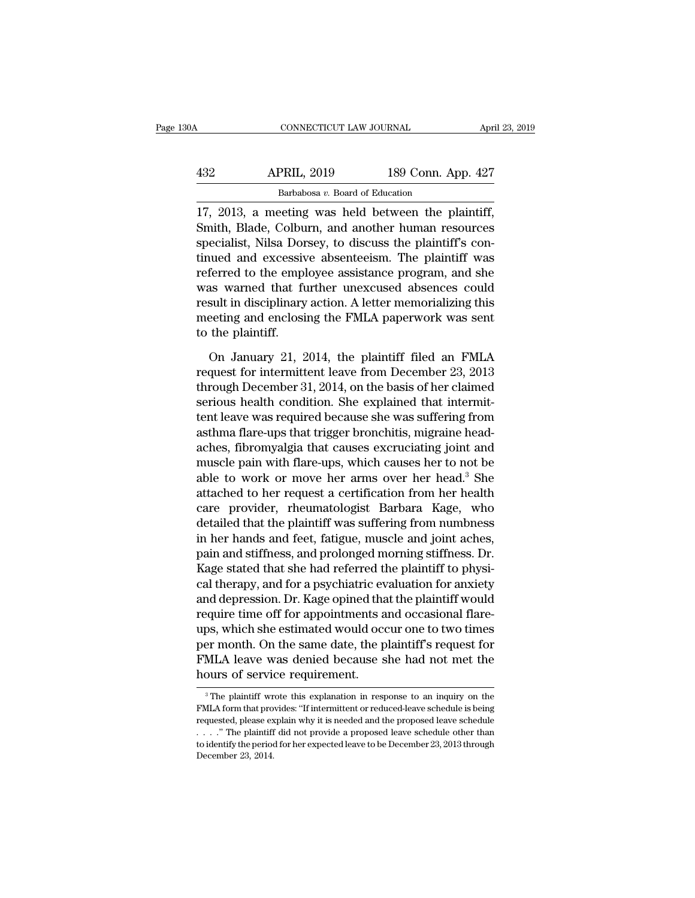| April 23, 2019                                                                                            |
|-----------------------------------------------------------------------------------------------------------|
|                                                                                                           |
| 189 Conn. App. 427                                                                                        |
|                                                                                                           |
| 17, 2013, a meeting was held between the plaintiff,<br>Smith, Blade, Colburn, and another human resources |

APRIL, 2019 189 Conn. App. 427<br>Barbabosa v. Board of Education<br>17, 2013, a meeting was held between the plaintiff,<br>Smith, Blade, Colburn, and another human resources<br>specialist, Nilsa Dorsey, to discuss the plaintiff's con  $\frac{\text{APRIL}}{\text{Barbabosa } v. \text{ Board of Education}}$ <br>
Barbabosa v. Board of Education<br>
17, 2013, a meeting was held between the plaintiff,<br>
Smith, Blade, Colburn, and another human resources<br>
specialist, Nilsa Dorsey, to discuss the plaintiff's  $\frac{\text{APRIL, 2019}}{\text{Barbabosa } v. \text{ Board of Education}}$ <br>17, 2013, a meeting was held between the plaintiff,<br>Smith, Blade, Colburn, and another human resources<br>specialist, Nilsa Dorsey, to discuss the plaintiff's con-<br>tinued and excessive abse Barbabosa v. Board of Education<br>17, 2013, a meeting was held between the plaintiff,<br>Smith, Blade, Colburn, and another human resources<br>specialist, Nilsa Dorsey, to discuss the plaintiff's con-<br>tinued and excessive absente  $\frac{\text{Barabosa } v \cdot \text{board of Education}}{17, 2013, \text{ a meeting was held between the plaintiff, Smith, Black, Colburn, and another human resources specialist, Nilsa Dorsey, to discuss the plaintiff's continued and excessive absence is consistent. The plaintiff was referred to the employee assistance program, and she was warned that further unexcused absences could result in disciplinary action. A letter memorializing this meeting and enclosing the EMLA, approximately was cont.$ 17, 2013, a meeting was held between the plaintiff,<br>Smith, Blade, Colburn, and another human resources<br>specialist, Nilsa Dorsey, to discuss the plaintiff's con-<br>tinued and excessive absenteeism. The plaintiff was<br>referred Smith, Blade, Colburn, and another human resources<br>specialist, Nilsa Dorsey, to discuss the plaintiff's con-<br>tinued and excessive absenteeism. The plaintiff was<br>referred to the employee assistance program, and she<br>was warn specialist, Nilsa Dor<br>tinued and excessiv<br>referred to the empl<br>was warned that fi<br>result in disciplinary<br>meeting and enclosi<br>to the plaintiff.<br>On January 21, 2 ferred to the employee assistance program, and she<br>as warned that further unexcused absences could<br>sult in disciplinary action. A letter memorializing this<br>eeting and enclosing the FMLA paperwork was sent<br>the plaintiff.<br>On was warned that further unexcused absences could<br>result in disciplinary action. A letter memorializing this<br>meeting and enclosing the FMLA paperwork was sent<br>to the plaintiff.<br>On January 21, 2014, the plaintiff filed an FM

result in disciplinary action. A letter memorializing this<br>meeting and enclosing the FMLA paperwork was sent<br>to the plaintiff.<br>On January 21, 2014, the plaintiff filed an FMLA<br>request for intermittent leave from December 2 meeting and enclosing the FMLA paperwork was sent<br>to the plaintiff.<br>On January 21, 2014, the plaintiff filed an FMLA<br>request for intermittent leave from December 23, 2013<br>through December 31, 2014, on the basis of her clai to the plaintiff.<br>
On January 21, 2014, the plaintiff filed an FMLA<br>
request for intermittent leave from December 23, 2013<br>
through December 31, 2014, on the basis of her claimed<br>
serious health condition. She explained th On January 21, 2014, the plaintiff filed an FMLA<br>request for intermittent leave from December 23, 2013<br>through December 31, 2014, on the basis of her claimed<br>serious health condition. She explained that intermit-<br>tent leav On January 21, 2014, the plaintiff filed an FMLA<br>request for intermittent leave from December 23, 2013<br>through December 31, 2014, on the basis of her claimed<br>serious health condition. She explained that intermit-<br>tent lea request for intermittent leave from December 23, 2013<br>through December 31, 2014, on the basis of her claimed<br>serious health condition. She explained that intermit-<br>tent leave was required because she was suffering from<br>ast through December 31, 2014, on the basis of her claimed<br>serious health condition. She explained that intermit-<br>tent leave was required because she was suffering from<br>asthma flare-ups that trigger bronchitis, migraine head-<br> serious health condition. She explained that intermit-<br>tent leave was required because she was suffering from<br>asthma flare-ups that trigger bronchitis, migraine head-<br>aches, fibromyalgia that causes excruciating joint and<br> tent leave was required because she was suffering from<br>asthma flare-ups that trigger bronchitis, migraine head-<br>aches, fibromyalgia that causes excruciating joint and<br>muscle pain with flare-ups, which causes her to not be<br> asthma flare-ups that trigger bronchitis, migraine head-<br>aches, fibromyalgia that causes excruciating joint and<br>muscle pain with flare-ups, which causes her to not be<br>able to work or move her arms over her head.<sup>3</sup> She<br>att aches, fibromyalgia that causes excruciating joint and<br>muscle pain with flare-ups, which causes her to not be<br>able to work or move her arms over her head.<sup>3</sup> She<br>attached to her request a certification from her health<br>care muscle pain with flare-ups, which causes her to not be<br>able to work or move her arms over her head.<sup>3</sup> She<br>attached to her request a certification from her health<br>care provider, rheumatologist Barbara Kage, who<br>detailed th able to work or move her arms over her head.<sup>3</sup> She<br>attached to her request a certification from her health<br>care provider, rheumatologist Barbara Kage, who<br>detailed that the plaintiff was suffering from numbness<br>in her han attached to her request a certification from her health<br>care provider, rheumatologist Barbara Kage, who<br>detailed that the plaintiff was suffering from numbness<br>in her hands and feet, fatigue, muscle and joint aches,<br>pain a care provider, rheumatologist Barbara Kage, who<br>detailed that the plaintiff was suffering from numbness<br>in her hands and feet, fatigue, muscle and joint aches,<br>pain and stiffness, and prolonged morning stiffness. Dr.<br>Kage detailed that the plaintiff was suffering from numbness<br>in her hands and feet, fatigue, muscle and joint aches,<br>pain and stiffness, and prolonged morning stiffness. Dr.<br>Kage stated that she had referred the plaintiff to ph in her hands and feet, fatigue, muscle and joint aches,<br>pain and stiffness, and prolonged morning stiffness. Dr.<br>Kage stated that she had referred the plaintiff to physi-<br>cal therapy, and for a psychiatric evaluation for a pain and stiffness, and prolonged morning stiffness. Dr.<br>Kage stated that she had referred the plaintiff to physical therapy, and for a psychiatric evaluation for anxiety<br>and depression. Dr. Kage opined that the plaintiff Kage stated that she had referred the plaintiff to physical therapy, and for a psychiatric evaluation for anxiety and depression. Dr. Kage opined that the plaintiff would require time off for appointments and occasional fl cal therapy, and for a psychiatric evand depression. Dr. Kage opined that<br>require time off for appointments a<br>ups, which she estimated would occ<br>per month. On the same date, the p<br>FMLA leave was denied because s<br>hours of s ups, which she estimated would occur one to two times<br>per month. On the same date, the plaintiff's request for<br>FMLA leave was denied because she had not met the<br>hours of service requirement.<br><sup>3</sup>The plaintiff wrote this exp per month. On the same date, the plaintiff's request for FMLA leave was denied because she had not met the hours of service requirement.<br><sup>3</sup> The plaintiff wrote this explanation in response to an inquiry on the FMLA form t

FMLA leave was denied because she had not met the<br>hours of service requirement.<br> $\frac{1}{2}$ <br> $\frac{1}{2}$  The plaintiff wrote this explanation in response to an inquiry on the<br>FMLA form that provides: "If intermittent or reduce . . . .'' The plaintiff did not provide a proposed leave schedule other than Thours Of Service Fequilibetic.<br>
<sup>3</sup> The plaintiff wrote this explanation in response to an inquiry on the FMLA form that provides: "If intermittent or reduced-leave schedule is being requested, please explain why it is ne <sup>3</sup> The plaintiff wr<br>FMLA form that pro<br>requested, please ex<br> $\ldots$  ." The plaintiff<br>to identify the period<br>December 23, 2014.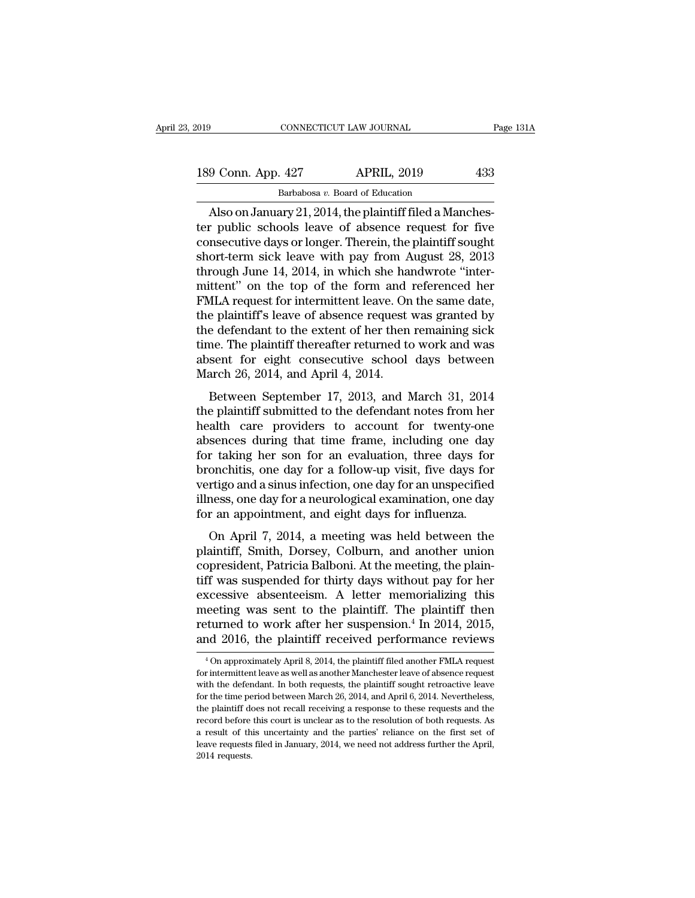| 019 |                    | CONNECTICUT LAW JOURNAL                                 | Page 131A |
|-----|--------------------|---------------------------------------------------------|-----------|
|     | 189 Conn. App. 427 | <b>APRIL, 2019</b>                                      | 433       |
|     |                    | Barbabosa v. Board of Education                         |           |
|     |                    | Also on January 21-2014, the plaintiff filed a Manches- |           |

CONNECTICUT LAW JOURNAL<br>
9 Conn. App. 427 APRIL, 2019 433<br>
Barbabosa v. Board of Education<br>
Also on January 21, 2014, the plaintiff filed a Manches-<br>
r public schools leave of absence request for five 189 Conn. App. 427 APRIL, 2019 433<br>Barbabosa v. Board of Education<br>Also on January 21, 2014, the plaintiff filed a Manches-<br>ter public schools leave of absence request for five<br>consecutive days or longer. Therein, the pla 189 Conn. App. 427 APRIL, 2019 433<br>Barbabosa v. Board of Education<br>Also on January 21, 2014, the plaintiff filed a Manches-<br>ter public schools leave of absence request for five<br>consecutive days or longer. Therein, the pla 189 Conn. App. 427 APRIL, 2019 433<br>Barbabosa v. Board of Education<br>Also on January 21, 2014, the plaintiff filed a Manches-<br>ter public schools leave of absence request for five<br>consecutive days or longer. Therein, the pla Barbabosa v. Board of Education<br>Also on January 21, 2014, the plaintiff filed a Manches-<br>ter public schools leave of absence request for five<br>consecutive days or longer. Therein, the plaintiff sought<br>short-term sick leave Barbabosa v. Board of Education<br>Also on January 21, 2014, the plaintiff filed a Manches-<br>ter public schools leave of absence request for five<br>consecutive days or longer. Therein, the plaintiff sought<br>short-term sick leave Also on January 21, 2014, the plaintiff filed a Manchester public schools leave of absence request for five consecutive days or longer. Therein, the plaintiff sought short-term sick leave with pay from August 28, 2013 thr ter public schools leave of absence request for five<br>consecutive days or longer. Therein, the plaintiff sought<br>short-term sick leave with pay from August 28, 2013<br>through June 14, 2014, in which she handwrote "inter-<br>mitte consecutive days or longer. Therein, the plaintiff sought<br>short-term sick leave with pay from August 28, 2013<br>through June 14, 2014, in which she handwrote "inter-<br>mittent" on the top of the form and referenced her<br>FMLA re short-term sick leave with pay from August 28, 2013<br>through June 14, 2014, in which she handwrote "inter-<br>mittent" on the top of the form and referenced her<br>FMLA request for intermittent leave. On the same date,<br>the plaint through June 14, 2014, in which she handwrote "inter-<br>mittent" on the top of the form and referenced her<br>FMLA request for intermittent leave. On the same date,<br>the plaintiff's leave of absence request was granted by<br>the de mittent" on the top of the form and<br>FMLA request for intermittent leave. On<br>the plaintiff's leave of absence request<br>the defendant to the extent of her then<br>time. The plaintiff thereafter returned to<br>absent for eight conse Figures Formation Fraction Control and Saint date,<br>e plaintiff's leave of absence request was granted by<br>e defendant to the extent of her then remaining sick<br>me. The plaintiff thereafter returned to work and was<br>sent for e the defendant to the extent of her then remaining sick<br>time. The plaintiff thereafter returned to work and was<br>absent for eight consecutive school days between<br>March 26, 2014, and April 4, 2014.<br>Between September 17, 2013,

time. The plaintiff thereafter returned to work and was<br>absent for eight consecutive school days between<br>March 26, 2014, and April 4, 2014.<br>Between September 17, 2013, and March 31, 2014<br>the plaintiff submitted to the defe Fine: The plantificant defeater returned to work and was<br>absent for eight consecutive school days between<br>March 26, 2014, and April 4, 2014.<br>Between September 17, 2013, and March 31, 2014<br>the plaintiff submitted to the def for taking her son for an evaluation.<br>
March 26, 2014, and April 4, 2014.<br>
Between September 17, 2013, and March 31, 2014<br>
the plaintiff submitted to the defendant notes from her<br>
health care providers to account for twent broad a formula and the set of a follow-up visit, five days for the plaintiff submitted to the defendant notes from her health care providers to account for twenty-one absences during that time frame, including one day for Between September 17, 2013, and March 31, 2014<br>the plaintiff submitted to the defendant notes from her<br>health care providers to account for twenty-one<br>absences during that time frame, including one day<br>for taking her son f the plaintiff submitted to the defendant notes from her<br>health care providers to account for twenty-one<br>absences during that time frame, including one day<br>for taking her son for an evaluation, three days for<br>bronchitis, on health care providers to account for twenty-one<br>absences during that time frame, including one day<br>for taking her son for an evaluation, three days for<br>bronchitis, one day for a follow-up visit, five days for<br>vertigo and a sences during that three frame, including one day<br>
r taking her son for an evaluation, three days for<br>
onchitis, one day for a follow-up visit, five days for<br>
rtigo and a sinus infection, one day for an unspecified<br>
ness, for taking iter son for an evaluation, three tays for<br>bronchitis, one day for a follow-up visit, five days for<br>vertigo and a sinus infection, one day for an unspecified<br>illness, one day for a neurological examination, one

concentris, one day for a follow-up visit, five days for<br>vertigo and a sinus infection, one day for an unspecified<br>illness, one day for a neurological examination, one day<br>for an appointment, and eight days for influenza. the illness, one day for a neurological examination, one day<br>for an appointment, and eight days for influenza.<br>On April 7, 2014, a meeting was held between the<br>plaintiff, Smith, Dorsey, Colburn, and another union<br>copreside for an appointment, and eight days for influenza.<br>
On April 7, 2014, a meeting was held between the<br>
plaintiff, Smith, Dorsey, Colburn, and another union<br>
copresident, Patricia Balboni. At the meeting, the plain-<br>
tiff was on April 7, 2014, a meeting was held between the<br>plaintiff, Smith, Dorsey, Colburn, and another union<br>copresident, Patricia Balboni. At the meeting, the plain-<br>tiff was suspended for thirty days without pay for her<br>excess On April 7, 2014, a meeting was held between the<br>plaintiff, Smith, Dorsey, Colburn, and another union<br>copresident, Patricia Balboni. At the meeting, the plain-<br>tiff was suspended for thirty days without pay for her<br>excessi plaintiff, Smith, Dorsey, Colburn, and another union<br>copresident, Patricia Balboni. At the meeting, the plain-<br>tiff was suspended for thirty days without pay for her<br>excessive absenteeism. A letter memorializing this<br>meeti reasure absenteeism. A letter memorializing this eeting was sent to the plaintiff. The plaintiff then sturned to work after her suspension.<sup>4</sup> In 2014, 2015, and 2016, the plaintiff received performance reviews  $\frac{4}{100}$ meeting was sent to the plaintiff. The plaintiff then<br>returned to work after her suspension.<sup>4</sup> In 2014, 2015,<br>and 2016, the plaintiff received performance reviews<br><sup>4</sup> On approximately April 8, 2014, the plaintiff filed an

returned to work after her suspension.<sup>4</sup> In 2014, 2015, and 2016, the plaintiff received performance reviews  $\overline{ }$ <sup>4</sup>On approximately April 8, 2014, the plaintiff filed another FMLA request for intermittent leave as we and 2016, the plaintiff received performance reviews<br>
<sup>4</sup> On approximately April 8, 2014, the plaintiff filed another FMLA request<br>
for intermittent leave as well as another Manchester leave of absence request<br>
with the de <sup>4</sup> On approximately April 8, 2014, the plaintiff filed another FMLA request<br>for intermittent leave as well as another Manchester leave of absence request<br>with the defendant. In both requests, the plaintiff sought retroac <sup>4</sup> On approximately April 8, 2014, the plaintiff filed another FMLA request for intermittent leave as well as another Manchester leave of absence request with the defendant. In both requests, the plaintiff sought retroac For intermittent leave as well as another Manchester leave of absence request<br>with the defendant. In both requests, the plaintiff sought retroactive leave<br>for the time period between March 26, 2014, and April 6, 2014. Neve with the defendant. In both requests, the plaintiff sought retroactive leave for the time period between March 26, 2014, and April 6, 2014. Nevertheless, the plaintiff does not recall receiving a response to these request for the time period between March 26, 2014, and April 6, 2014. Nevertheless,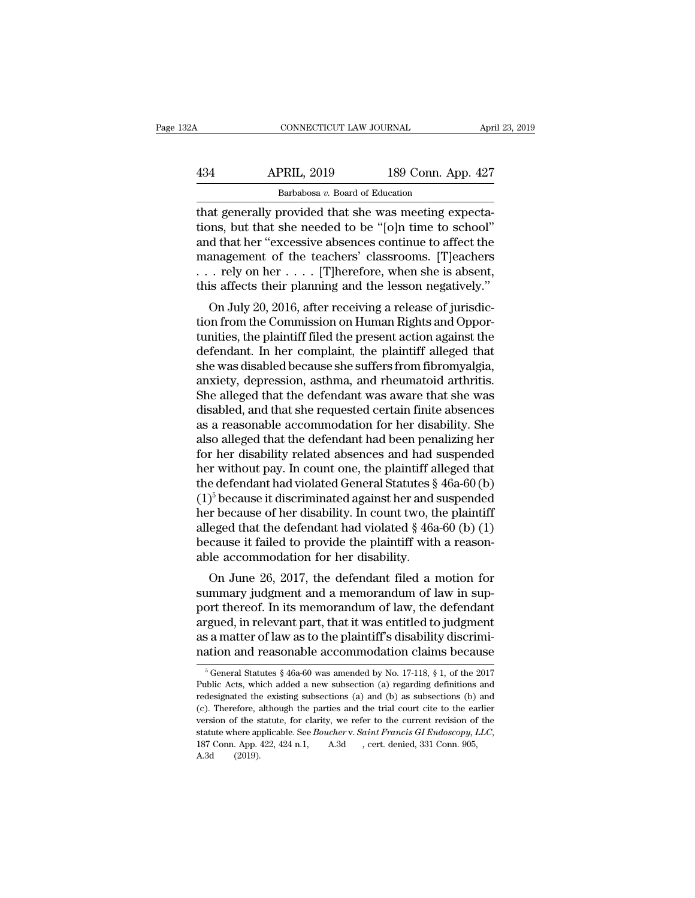|                    |                    | April 23, 2019                                             |
|--------------------|--------------------|------------------------------------------------------------|
| <b>APRIL, 2019</b> | 189 Conn. App. 427 |                                                            |
|                    |                    |                                                            |
|                    |                    | CONNECTICUT LAW JOURNAL<br>Barbabosa v. Board of Education |

CONNECTICUT LAW JOURNAL APT<br>
434 APRIL, 2019 189 Conn. App. 427<br>
<sup>Barbabosa v.</sup> Board of Education<br>
that generally provided that she was meeting expecta-<br>
tions, but that she needed to be "[0]n time to school"<br>
and that he 434 APRIL, 2019 189 Conn. App. 427<br>Barbabosa v. Board of Education<br>that generally provided that she was meeting expecta-<br>tions, but that she needed to be "[o]n time to school"<br>and that her "excessive absences continue to a  $\frac{\text{APRIL, 2019}}{\text{Barbabosa } v. \text{ Board of Education}}$ <br>
that generally provided that she was meeting expectations, but that she needed to be "[0]n time to school"<br>
and that her "excessive absences continue to affect the<br>
management of the te APRIL, 2019 189 Conn. App. 427<br>Barbabosa v. Board of Education<br>that generally provided that she was meeting expecta-<br>tions, but that she needed to be "[0]n time to school"<br>and that her "excessive absences continue to affe Barbabosa v. Board of Education<br>that generally provided that she was meeting expecta-<br>tions, but that she needed to be "[0]n time to school"<br>and that her "excessive absences continue to affect the<br>management of the teacher Barbabosa v. Board of Education<br>that generally provided that she was meeting expecta-<br>tions, but that she needed to be "[0]n time to school"<br>and that her "excessive absences continue to affect the<br>management of the teache at generally provided that site was ineeting expecta-<br>ons, but that she needed to be "[0]n time to school"<br>d that her "excessive absences continue to affect the<br>anagement of the teachers' classrooms. [T]eachers<br>. rely on h tions, but that she heeded to be [o]h three to school<br>and that her "excessive absences continue to affect the<br>management of the teachers' classrooms. [T]eachers<br> $\ldots$  rely on her  $\ldots$  . [T]herefore, when she is absent,<br>t

and that her excessive absences continue to ariect the<br>management of the teachers' classrooms. [T]eachers<br>... rely on her .... [T]herefore, when she is absent,<br>this affects their planning and the lesson negatively."<br>On Ju management of the teachers' classrooms. [1] eachers<br>  $\ldots$  rely on her  $\ldots$  . [T] herefore, when she is absent,<br>
this affects their planning and the lesson negatively."<br>
On July 20, 2016, after receiving a release of jur she was disabled because she suffers all<br>and the lesson negatively."<br>On July 20, 2016, after receiving a release of jurisdic-<br>tion from the Commission on Human Rights and Oppor-<br>tunities, the plaintiff filed the present a any and the lesson hegatively.<br>
On July 20, 2016, after receiving a release of jurisdiction from the Commission on Human Rights and Opportunities, the plaintiff filed the present action against the defendant. In her compla On July 20, 2016, after receiving a release of jurisdiction from the Commission on Human Rights and Opportunities, the plaintiff filed the present action against the defendant. In her complaint, the plaintiff alleged that tion from the Commission on Human Rights and Opportunities, the plaintiff filed the present action against the defendant. In her complaint, the plaintiff alleged that she was disabled because she suffers from fibromyalgia, tunities, the plaintiff filed the present action against the<br>defendant. In her complaint, the plaintiff alleged that<br>she was disabled because she suffers from fibromyalgia,<br>anxiety, depression, asthma, and rheumatoid arthr defendant. In her complaint, the plaintiff alleged that<br>she was disabled because she suffers from fibromyalgia,<br>anxiety, depression, asthma, and rheumatoid arthritis.<br>She alleged that the defendant was aware that she was<br>d she was disabled because she suffers from fibromyalgia,<br>anxiety, depression, asthma, and rheumatoid arthritis.<br>She alleged that the defendant was aware that she was<br>disabled, and that she requested certain finite absences<br> anxiety, depression, asthma, and rheumatoid arthritis.<br>She alleged that the defendant was aware that she was<br>disabled, and that she requested certain finite absences<br>as a reasonable accommodation for her disability. She<br>a She alleged that the defendant was aware that she was<br>disabled, and that she requested certain finite absences<br>as a reasonable accommodation for her disability. She<br>also alleged that the defendant had been penalizing her<br> disabled, and that she requested certain finite absences<br>as a reasonable accommodation for her disability. She<br>also alleged that the defendant had been penalizing her<br>for her disability related absences and had suspended<br> as a reasonable accommodation for her disability. She<br>also alleged that the defendant had been penalizing her<br>for her disability related absences and had suspended<br>her without pay. In count one, the plaintiff alleged that also alleged that the defendant had been penalizing her<br>for her disability related absences and had suspended<br>her without pay. In count one, the plaintiff alleged that<br>the defendant had violated General Statutes § 46a-60 for her disability related absences and had suspended<br>her without pay. In count one, the plaintiff alleged that<br>the defendant had violated General Statutes § 46a-60 (b)<br>(1)<sup>5</sup> because it discriminated against her and susp her without pay. In count one, the plaintiff a<br>the defendant had violated General Statutes  $\S$ <br>(1)<sup>5</sup> because it discriminated against her and :<br>her because of her disability. In count two, the<br>alleged that the defendant be detendant had violated defieral statutes  $\S$  40a-00 (b)<br>  $\S$  because it discriminated against her and suspended<br>
r because of her disability. In count two, the plaintiff<br>
eged that the defendant had violated  $\S$  46a-60 (1) because it unscriminated against her and suspended<br>her because of her disability. In count two, the plaintiff<br>alleged that the defendant had violated  $\S$  46a-60 (b) (1)<br>because it failed to provide the plaintiff with

ref because of her usability. In count two, the plaintiff<br>alleged that the defendant had violated § 46a-60 (b) (1)<br>because it failed to provide the plaintiff with a reason-<br>able accommodation for her disability.<br>On June 26 aneged that the defendant had violated  $\frac{1}{8}$  40a-00 (b) (1)<br>because it failed to provide the plaintiff with a reason-<br>able accommodation for her disability.<br>On June 26, 2017, the defendant filed a motion for<br>summary j because it railed to provide the plaintiff with a reason-<br>able accommodation for her disability.<br>On June 26, 2017, the defendant filed a motion for<br>summary judgment and a memorandum of law in sup-<br>port thereof. In its memo on June 26, 2017, the defendant filed a motion for summary judgment and a memorandum of law in support thereof. In its memorandum of law, the defendant argued, in relevant part, that it was entitled to judgment as a matte fort thereof. In its memorandum of law, the defendant gued, in relevant part, that it was entitled to judgment is a matter of law as to the plaintiff's disability discrimiation and reasonable accommodation claims because argued, in relevant part, that it was entitled to judgment<br>as a matter of law as to the plaintiff's disability discrimi-<br>nation and reasonable accommodation claims because<br> $\frac{1}{6}$  General Statutes § 46a-60 was amended b

as a matter of law as to the plaintiff's disability discrimination and reasonable accommodation claims because<br> $\frac{1}{6}$  General Statutes § 46a-60 was amended by No. 17-118, § 1, of the 2017<br>Public Acts, which added a new mation and reasonable accommodation claims because<br>  $\frac{1}{6}$  General Statutes § 46a-60 was amended by No. 17-118, § 1, of the 2017<br>
Public Acts, which added a new subsection (a) regarding definitions and<br>
redesignated th Fraction and reasonable accommodation claims because<br>  $\frac{1}{2}$  feneral Statutes § 46a-60 was amended by No. 17-118, § 1, of the 2017<br>
Public Acts, which added a new subsection (a) regarding definitions and<br>
redesignated <sup>5</sup> General Statutes § 46a-60 was amended by No. 17-118, § 1, of the 2017 Public Acts, which added a new subsection (a) regarding definitions and redesignated the existing subsections (a) and (b) as subsections (b) and (c redesignated the existing subsections (a) and (b) as subsections (b) and (c). Therefore, although the parties and the trial court cite to the earlier version of the statute, for clarity, we refer to the current revision o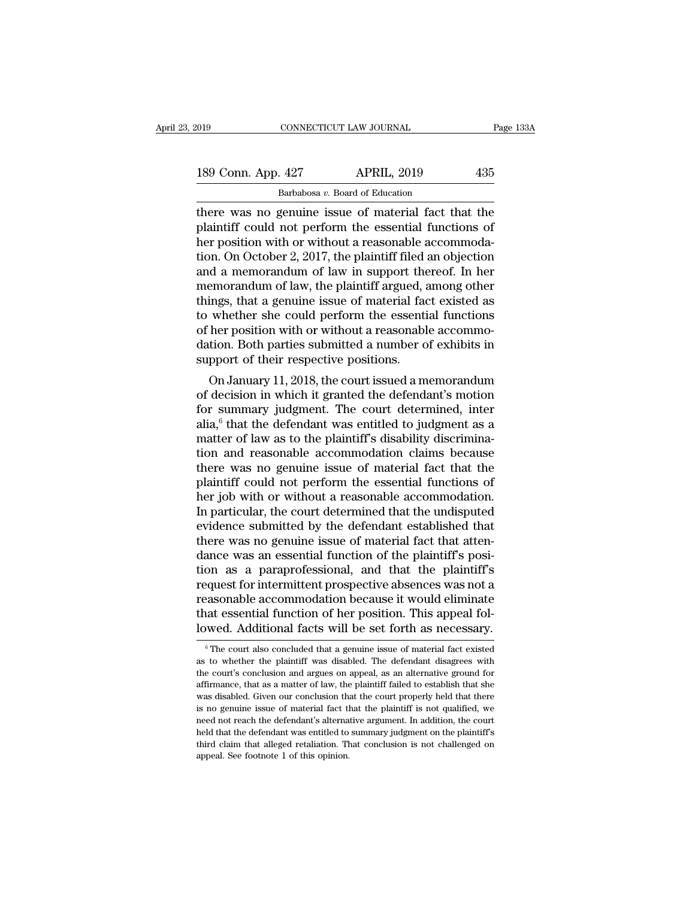| 019 |                    | CONNECTICUT LAW JOURNAL                              | Page 133A |
|-----|--------------------|------------------------------------------------------|-----------|
|     | 189 Conn. App. 427 | <b>APRIL, 2019</b>                                   | 435       |
|     |                    | Barbabosa v. Board of Education                      |           |
|     |                    | there was no genuine issue of material fact that the |           |

there was no genuine issue of material fact that the<br>plaintiff could not perform the essential functions of<br>there was no genuine issue of material fact that the<br>plaintiff could not perform the essential functions of<br>there 189 Conn. App. 427 APRIL, 2019 435<br>Barbabosa v. Board of Education<br>there was no genuine issue of material fact that the<br>plaintiff could not perform the essential functions of<br>her position with or without a reasonable acco 189 Conn. App. 427 APRIL, 2019 435<br>Barbabosa v. Board of Education<br>there was no genuine issue of material fact that the<br>plaintiff could not perform the essential functions of<br>her position with or without a reasonable acco 189 Conn. App. 427 APRIL, 2019 435<br>Barbabosa v. Board of Education<br>there was no genuine issue of material fact that the<br>plaintiff could not perform the essential functions of<br>her position with or without a reasonable acco Barbabosa v. Board of Education<br>there was no genuine issue of material fact that the<br>plaintiff could not perform the essential functions of<br>her position with or without a reasonable accommoda-<br>tion. On October 2, 2017, th Barbabosa v. Board of Education<br>there was no genuine issue of material fact that the<br>plaintiff could not perform the essential functions of<br>her position with or without a reasonable accommoda-<br>tion. On October 2, 2017, the there was no genuine issue of material fact that the plaintiff could not perform the essential functions of her position with or without a reasonable accommodation. On October 2, 2017, the plaintiff filed an objection and plaintiff could not perform the essential functions of<br>her position with or without a reasonable accommoda-<br>tion. On October 2, 2017, the plaintiff filed an objection<br>and a memorandum of law in support thereof. In her<br>memo her position with or without a reasonable accommodation. On October 2, 2017, the plaintiff filed an objection and a memorandum of law in support thereof. In her memorandum of law, the plaintiff argued, among other things, tion. On October 2, 2017, the plaintiff filed an objection<br>and a memorandum of law in support thereof. In her<br>memorandum of law, the plaintiff argued, among other<br>things, that a genuine issue of material fact existed as<br>to and a memorandum of law in support the<br>memorandum of law, the plaintiff argued, a<br>things, that a genuine issue of material fac<br>to whether she could perform the essenti<br>of her position with or without a reasonabl<br>dation. Bo Enformation of law, the plantiful argued, altong other<br>ings, that a genuine issue of material fact existed as<br>whether she could perform the essential functions<br>her position with or without a reasonable accommo-<br>tion. Both things, that a genturie issue of material fact existed as<br>to whether she could perform the essential functions<br>of her position with or without a reasonable accommo-<br>dation. Both parties submitted a number of exhibits in<br>s

for summary in the value of the plaintiff's disability discrimination.<br>
The court of their respective positions.<br>
On January 11, 2018, the court issued a memorandum<br>
of decision in which it granted the defendant's motion<br> of the position with or without a reasonable accommodation. Both parties submitted a number of exhibits in support of their respective positions.<br>On January 11, 2018, the court issued a memorandum of decision in which it g matter of their respective positions.<br>
On January 11, 2018, the court issued a memorandum<br>
of decision in which it granted the defendant's motion<br>
for summary judgment. The court determined, inter<br>
alia,<sup>6</sup> that the defend support of their respective positions.<br>
On January 11, 2018, the court issued a memorandum<br>
of decision in which it granted the defendant's motion<br>
for summary judgment. The court determined, inter<br>
alia,<sup>6</sup> that the defe On January 11, 2018, the court issued a memorandum<br>of decision in which it granted the defendant's motion<br>for summary judgment. The court determined, inter<br>alia,<sup>6</sup> that the defendant was entitled to judgment as a<br>matter of decision in which it granted the defendant's motion<br>for summary judgment. The court determined, inter<br>alia,<sup>6</sup> that the defendant was entitled to judgment as a<br>matter of law as to the plaintiff's disability discrimina-<br> for summary judgment. The court determined, inter<br>alia,<sup>6</sup> that the defendant was entitled to judgment as a<br>matter of law as to the plaintiff's disability discrimina-<br>tion and reasonable accommodation claims because<br>there alia,<sup>6</sup> that the defendant was entitled to judgment as a<br>matter of law as to the plaintiff's disability discrimina-<br>tion and reasonable accommodation claims because<br>there was no genuine issue of material fact that the<br>pla matter of law as to the plaintiff's disability discrimination and reasonable accommodation claims because<br>there was no genuine issue of material fact that the<br>plaintiff could not perform the essential functions of<br>her job tion and reasonable accommodation claims because<br>there was no genuine issue of material fact that the<br>plaintiff could not perform the essential functions of<br>her job with or without a reasonable accommodation.<br>In particular there was no genuine issue of material fact that the plaintiff could not perform the essential functions of her job with or without a reasonable accommodation. In particular, the court determined that the undisputed eviden plaintiff could not perform the essential functions of<br>her job with or without a reasonable accommodation.<br>In particular, the court determined that the undisputed<br>evidence submitted by the defendant established that<br>there her job with or without a reasonable accommodation.<br>In particular, the court determined that the undisputed<br>evidence submitted by the defendant established that<br>there was no genuine issue of material fact that atten-<br>dance In particular, the court determined that the undisputed<br>evidence submitted by the defendant established that<br>there was no genuine issue of material fact that atten-<br>dance was an essential function of the plaintiff's<br>posi-<br> evidence submitted by the defendant established that<br>there was no genuine issue of material fact that atten-<br>dance was an essential function of the plaintiff's posi-<br>tion as a paraprofessional, and that the plaintiff's<br>req there was no genuine issue of material fact that atten-<br>dance was an essential function of the plaintiff's posi-<br>tion as a paraprofessional, and that the plaintiff's<br>request for intermittent prospective absences was not a<br> equest for intermittent prospective absences was not a casonable accommodation because it would eliminate at essential function of her position. This appeal folwed. Additional facts will be set forth as necessary.<br><sup>6</sup>The c reasonable accommodation because it would eliminate<br>that essential function of her position. This appeal fol-<br>lowed. Additional facts will be set forth as necessary.<br><sup>6</sup> The court also concluded that a genuine issue of mat

that essential function of her position. This appeal fol-<br>lowed. Additional facts will be set forth as necessary.<br><sup>©</sup>The court also concluded that a genuine issue of material fact existed<br>as to whether the plaintiff was di affair essential raticeron of her position. This appear for<br>lowed. Additional facts will be set forth as necessary.<br><sup>6</sup> The court also concluded that a genuine issue of material fact existed<br>as to whether the plaintiff was IOWEL. AUCILIONAL TACUS WILL DE SELTOTT AS HECESSATY.<br>
<sup>6</sup> The court also concluded that a genuine issue of material fact existed as to whether the plaintiff was disabled. The defendant disagrees with the court's conclusio <sup>6</sup> The court also concluded that a genuine issue of material fact existed as to whether the plaintiff was disabled. The defendant disagrees with the court's conclusion and argues on appeal, as an alternative ground for a as to whether the plaintiff was disabled. The defendant disagrees with the court's conclusion and argues on appeal, as an alternative ground for affirmance, that as a matter of law, the plaintiff failed to establish that s the court's conclusion and argues on appeal, as an alternative ground for affirmance, that as a matter of law, the plaintiff failed to establish that she was disabled. Given our conclusion that the court properly held that affirmance, that as a matter of law, the plaintiff failed to establish that she was disabled. Given our conclusion that the court properly held that there is no genuine issue of material fact that the plaintiff is not qual was disabled. Given our conclusion that the court properly held that there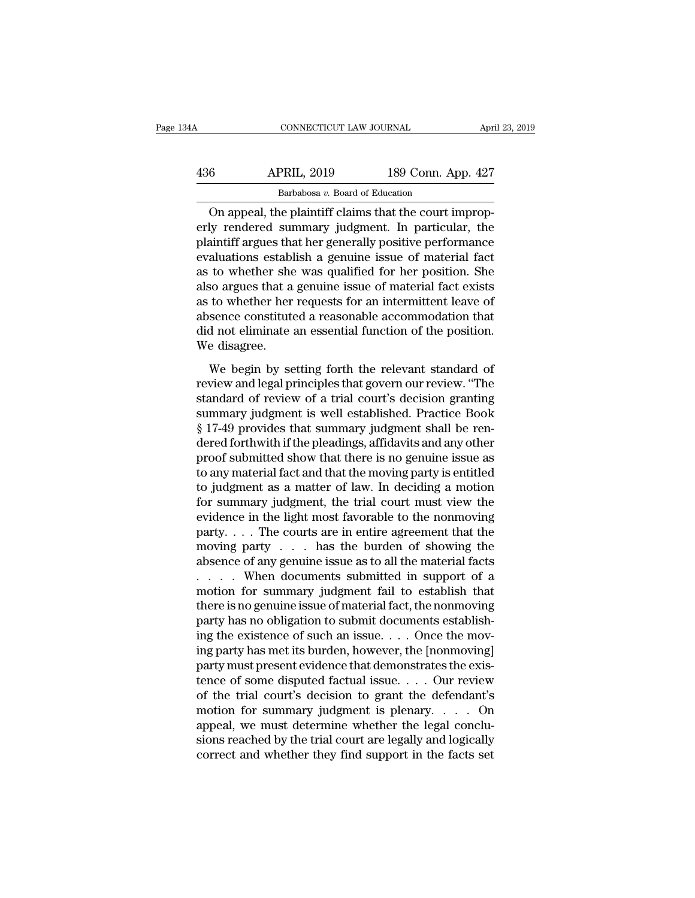| 34A | CONNECTICUT LAW JOURNAL                               |                    | April 23, 2019 |
|-----|-------------------------------------------------------|--------------------|----------------|
| 436 | <b>APRIL, 2019</b>                                    | 189 Conn. App. 427 |                |
|     | Barbabosa v. Board of Education                       |                    |                |
|     | On anneal the plaintiff claims that the court improp- |                    |                |

CONNECTICUT LAW JOURNAL<br>
6 APRIL, 2019 189 Conn. App. 427<br>
Barbabosa v. Board of Education<br>
On appeal, the plaintiff claims that the court improp-<br>
ly rendered summary judgment. In particular, the APRIL, 2019 189 Conn. App. 427<br>Barbabosa v. Board of Education<br>On appeal, the plaintiff claims that the court improperly rendered summary judgment. In particular, the plaintiff argues that her generally positive performanc  $\frac{\text{APRIL, 2019}}{\text{Barbabosa } v. \text{ Board of Education}}$ <br>On appeal, the plaintiff claims that the court improperly rendered summary judgment. In particular, the plaintiff argues that her generally positive performance evaluations establish a g  $\begin{array}{r} \text{APRIL, 2019} \text{189 Conn. App. 427} \\ \hline \text{Barbabosa } v. \text{ Board of Education} \end{array}$ <br>On appeal, the plaintiff claims that the court improperly rendered summary judgment. In particular, the plaintiff argues that her generally positive performa Barbabosa v. Board of Education<br>
On appeal, the plaintiff claims that the court improp-<br>
erly rendered summary judgment. In particular, the<br>
plaintiff argues that her generally positive performance<br>
evaluations establish a Barbabosa v. Board of Education<br>On appeal, the plaintiff claims that the court improp-<br>erly rendered summary judgment. In particular, the<br>plaintiff argues that her generally positive performance<br>evaluations establish a gen On appeal, the plaintiff claims that the court improperly rendered summary judgment. In particular, the plaintiff argues that her generally positive performance evaluations establish a genuine issue of material fact as to erly rendered summary judgment. In particular, the<br>plaintiff argues that her generally positive performance<br>evaluations establish a genuine issue of material fact<br>as to whether she was qualified for her position. She<br>also plaintiff argues that her generally positive performance<br>evaluations establish a genuine issue of material fact<br>as to whether she was qualified for her position. She<br>also argues that a genuine issue of material fact exists evaluations estables<br>as to whether she<br>also argues that a<br>as to whether her<br>absence constitute<br>did not eliminate<br>We disagree.<br>We begin by se For the was qualified for the position. She<br>so argues that a genuine issue of material fact exists<br>to whether her requests for an intermittent leave of<br>sence constituted a reasonable accommodation that<br>d not eliminate an e review and the presenting and the product of material and composed as to whether her requests for an intermittent leave of absence constituted a reasonable accommodation that did not eliminate an essential function of the

standard of review and seasonable accommodation that<br>did not eliminate an essential function of the position.<br>We disagree.<br>We begin by setting forth the relevant standard of<br>review and legal principles that govern our revi subseried constrained a realisonable accommodation and<br>did not eliminate an essential function of the position.<br>We disagree.<br>We begin by setting forth the relevant standard of<br>review and legal principles that govern our re We disagree.<br>
We begin by setting forth the relevant standard of<br>
review and legal principles that govern our review. "The<br>
standard of review of a trial court's decision granting<br>
summary judgment is well established. Pra We begin by setting forth the relevant standard of<br>review and legal principles that govern our review. "The<br>standard of review of a trial court's decision granting<br>summary judgment is well established. Practice Book<br>§ 17-4 We begin by setting forth the relevant standard of<br>review and legal principles that govern our review. "The<br>standard of review of a trial court's decision granting<br>summary judgment is well established. Practice Book<br>§ 17-4 review and legal principles that govern our review. "The<br>standard of review of a trial court's decision granting<br>summary judgment is well established. Practice Book<br>§ 17-49 provides that summary judgment shall be ren-<br>dere standard of review of a trial court's decision granting<br>summary judgment is well established. Practice Book<br>§ 17-49 provides that summary judgment shall be ren-<br>dered forthwith if the pleadings, affidavits and any other<br>pr summary judgment is well established. Practice Book<br>§ 17-49 provides that summary judgment shall be ren-<br>dered forthwith if the pleadings, affidavits and any other<br>proof submitted show that there is no genuine issue as<br>to § 17-49 provides that summary judgment shall be rendered forthwith if the pleadings, affidavits and any other<br>proof submitted show that there is no genuine issue as<br>to any material fact and that the moving party is entitl dered forthwith if the pleadings, affidavits and any other<br>proof submitted show that there is no genuine issue as<br>to any material fact and that the moving party is entitled<br>to judgment as a matter of law. In deciding a mot proof submitted show that there is no genuine issue as<br>to any material fact and that the moving party is entitled<br>to judgment as a matter of law. In deciding a motion<br>for summary judgment, the trial court must view the<br>ev to any material fact and that the moving party is entitled<br>to judgment as a matter of law. In deciding a motion<br>for summary judgment, the trial court must view the<br>evidence in the light most favorable to the nonmoving<br>par to judgment as a matter of law. In deciding a motion<br>for summary judgment, the trial court must view the<br>evidence in the light most favorable to the nonmoving<br>party.... The courts are in entire agreement that the<br>moving p for summary judgment, the trial court must view the evidence in the light most favorable to the nonmoving<br>party....The courts are in entire agreement that the<br>moving party ... has the burden of showing the<br>absence of any evidence in the light most favorable to the nonmoving<br>party.... The courts are in entire agreement that the<br>moving party .... has the burden of showing the<br>absence of any genuine issue as to all the material facts<br>.... Wh party.  $\dots$  The courts are in entire agreement that the moving party  $\dots$  has the burden of showing the absence of any genuine issue as to all the material facts  $\dots$ . When documents submitted in support of a motion for s moving party  $\ldots$  has the burden of showing the absence of any genuine issue as to all the material facts  $\ldots$ . When documents submitted in support of a motion for summary judgment fail to establish that there is no gen absence of any genuine issue as to all the material facts<br>  $\ldots$  When documents submitted in support of a<br>
motion for summary judgment fail to establish that<br>
there is no genuine issue of material fact, the nonmoving<br>
par .... When documents submitted in support of a<br>motion for summary judgment fail to establish that<br>there is no genuine issue of material fact, the nonmoving<br>party has no obligation to submit documents establish-<br>ing the exi motion for summary judgment fail to establish that<br>there is no genuine issue of material fact, the nonmoving<br>party has no obligation to submit documents establish-<br>ing the existence of such an issue. . . . Once the mov-<br>in there is no genuine issue of material fact, the nonmoving<br>party has no obligation to submit documents establish-<br>ing the existence of such an issue. . . . Once the mov-<br>ing party has met its burden, however, the [nonmovin party has no obligation to submit documents establishing the existence of such an issue. . . . Once the moving party has met its burden, however, the [nonmoving] party must present evidence that demonstrates the existence ing the existence of such an issue. . . . Once the moving party has met its burden, however, the [nonmoving] party must present evidence that demonstrates the existence of some disputed factual issue. . . . Our review of ing party has met its burden, however, the [nonmoving]<br>party must present evidence that demonstrates the exis-<br>tence of some disputed factual issue. . . . Our review<br>of the trial court's decision to grant the defendant's<br>m party must present evidence that demonstrates the existence of some disputed factual issue. . . . Our review of the trial court's decision to grant the defendant's motion for summary judgment is plenary. . . . On appeal,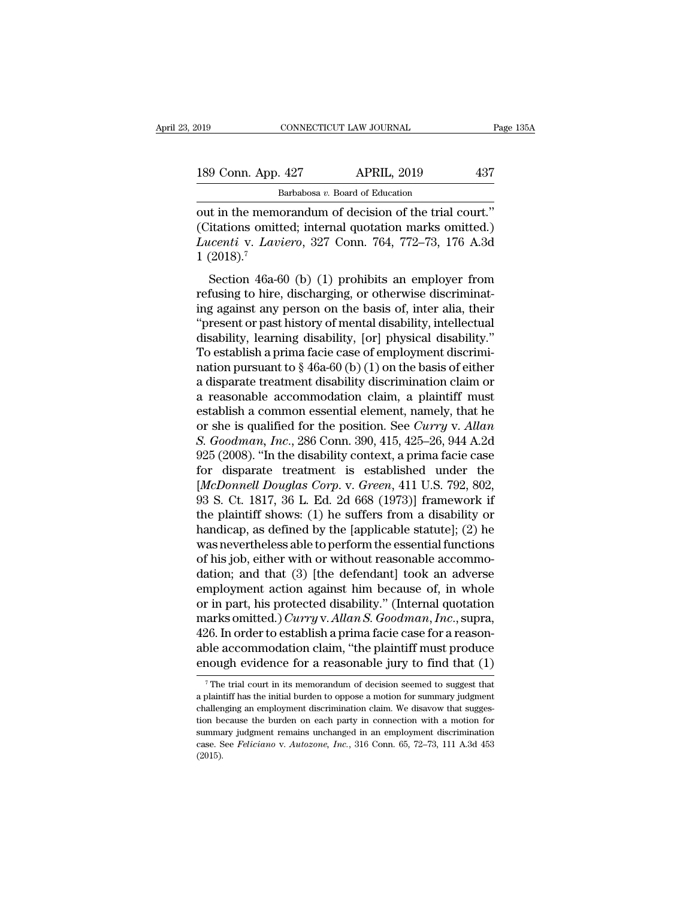| 019 |                    | CONNECTICUT LAW JOURNAL                                | Page 135A |
|-----|--------------------|--------------------------------------------------------|-----------|
|     | 189 Conn. App. 427 | <b>APRIL, 2019</b>                                     | 437       |
|     |                    | Barbabosa v. Board of Education                        |           |
|     |                    | out in the memorandum of decision of the trial court " |           |

CONNECTICUT LAW JOURNAL Page 1<br>
189 Conn. App. 427 APRIL, 2019 437<br>
Barbabosa v. Board of Education<br>
out in the memorandum of decision of the trial court.''<br>
(Citations omitted; internal quotation marks omitted.)<br>
Lucenti 189 Conn. App. 427 APRIL, 2019 437<br>Barbabosa v. Board of Education<br>out in the memorandum of decision of the trial court."<br>(Citations omitted; internal quotation marks omitted.)<br>Lucenti v. Laviero, 327 Conn. 764, 772–73, 17 *Lucentive Conn. App. 427 Lucentia APRIL, 2019 Lucentia Lucentive v. Load of Education*<br> *Lucentive v. Laviero, 327 Conn. 764, 772–73, 176 A.3d L*(2018).<sup>7</sup> 189 Conn. App.<br>
I<br>
out in the memo<br>
(Citations omitt<br>
Lucenti v. Lav.<br>
1 (2018).<sup>7</sup><br>
Section 46a-6 Barbabosa  $v$ . Board of Education<br>
it in the memorandum of decision of the trial court."<br>
itations omitted; internal quotation marks omitted.)<br> *icenti* v. *Laviero*, 327 Conn. 764, 772–73, 176 A.3d<br>
(2018).<sup>7</sup><br>
Section 4 out in the memorandum of decision of the trial court."<br>(Citations omitted; internal quotation marks omitted.)<br>Lucenti v. Laviero, 327 Conn. 764, 772–73, 176 A.3d<br>1 (2018).<sup>7</sup><br>Section 46a-60 (b) (1) prohibits an employer fr

out in the included in ordersion of the trial court.<br>
(Citations omitted; internal quotation marks omitted.)<br>
Lucenti v. Laviero, 327 Conn. 764, 772–73, 176 A.3d<br>
1 (2018).<sup>7</sup><br>
Section 46a-60 (b) (1) prohibits an employer Lucenti v. Laviero, 327 Conn. 764, 772–73, 176 A.3d<br>
1 (2018).<sup>7</sup><br>
Section 46a-60 (b) (1) prohibits an employer from<br>
refusing to hire, discharging, or otherwise discriminating<br>
against any person on the basis of, inter a Batenti V. Bateno, 521 Conni. 104, 112-15, 110 A.5d<br>1 (2018).<sup>7</sup><br>Section 46a-60 (b) (1) prohibits an employer from<br>refusing to hire, discharging, or otherwise discriminat-<br>ing against any person on the basis of, inter ali Section 46a-60 (b) (1) prohibits an employer from<br>refusing to hire, discharging, or otherwise discriminat-<br>ing against any person on the basis of, inter alia, their<br>"present or past history of mental disability, intellect Section 46a-60 (b) (1) prohibits an employer from<br>refusing to hire, discharging, or otherwise discriminat-<br>ing against any person on the basis of, inter alia, their<br>"present or past history of mental disability, intellect refusing to hire, discharging, or otherwise discriminating against any person on the basis of, inter alia, their "present or past history of mental disability, intellectual disability, learning disability, [or] physical di ing against any person on the basis of, inter alia, their<br>
"present or past history of mental disability, intellectual<br>
disability, learning disability, [or] physical disability."<br>
To establish a prima facie case of emplo "present or past history of mental disability, intellectual<br>disability, learning disability, [or] physical disability."<br>To establish a prima facie case of employment discrimi-<br>nation pursuant to § 46a-60 (b) (1) on the ba disability, learning disability, [or] physical disability."<br>To establish a prima facie case of employment discrimi-<br>nation pursuant to § 46a-60 (b) (1) on the basis of either<br>a disparate treatment disability discrimination To establish a prima facie case of employment discrimination pursuant to § 46a-60 (b) (1) on the basis of either<br>a disparate treatment disability discrimination claim or<br>a reasonable accommodation claim, a plaintiff must<br>e nation pursuant to § 46a-60 (b) (1) on the basis of either<br>a disparate treatment disability discrimination claim or<br>a reasonable accommodation claim, a plaintiff must<br>establish a common essential element, namely, that he<br> a disparate treatment disability discrimination claim or<br>a reasonable accommodation claim, a plaintiff must<br>establish a common essential element, namely, that he<br>or she is qualified for the position. See *Curry v. Allan*<br> a reasonable accommodation claim, a plaintiff must<br>establish a common essential element, namely, that he<br>or she is qualified for the position. See *Curry* v. *Allan*<br>*S. Goodman, Inc.*, 286 Conn. 390, 415, 425–26, 944 A.2d establish a common essential element, namely, that he<br>or she is qualified for the position. See *Curry* v. Allan<br>S. Goodman, Inc., 286 Conn. 390, 415, 425–26, 944 A.2d<br>925 (2008). "In the disability context, a prima facie or she is qualified for the position. See *Curry v. Allan* S. Goodman, Inc., 286 Conn. 390, 415, 425–26, 944 A.2d<br>925 (2008). "In the disability context, a prima facie case<br>for disparate treatment is established under the<br> S. Goodman, Inc., 286 Conn. 390, 415, 425–26, 944 A.2d<br>925 (2008). "In the disability context, a prima facie case<br>for disparate treatment is established under the<br>[*McDonnell Douglas Corp.* v. *Green*, 411 U.S. 792, 802,<br>9 925 (2008). "In the disability context, a prima facie case<br>for disparate treatment is established under the<br>[*McDonnell Douglas Corp.* v. *Green*, 411 U.S. 792, 802,<br>93 S. Ct. 1817, 36 L. Ed. 2d 668 (1973)] framework if<br>t for disparate treatment is established under the [*McDonnell Douglas Corp.* v. *Green*, 411 U.S. 792, 802, 93 S. Ct. 1817, 36 L. Ed. 2d 668 (1973)] framework if the plaintiff shows: (1) he suffers from a disability or han [*McDonnell Douglas Corp.* v. *Green*, 411 U.S. 792, 802, 93 S. Ct. 1817, 36 L. Ed. 2d 668 (1973)] framework if the plaintiff shows: (1) he suffers from a disability or handicap, as defined by the [applicable statute]; (2) 93 S. Ct. 1817, 36 L. Ed. 2d 668 (1973)] framework if<br>the plaintiff shows: (1) he suffers from a disability or<br>handicap, as defined by the [applicable statute]; (2) he<br>was nevertheless able to perform the essential functi the plaintiff shows: (1) he suffers from a disability or handicap, as defined by the [applicable statute]; (2) he was nevertheless able to perform the essential functions of his job, either with or without reasonable acco handicap, as defined by the [applicable statute]; (2) he<br>was nevertheless able to perform the essential functions<br>of his job, either with or without reasonable accommo-<br>dation; and that (3) [the defendant] took an adverse<br> was nevertheless able to perform the essential functions<br>of his job, either with or without reasonable accommo-<br>dation; and that (3) [the defendant] took an adverse<br>employment action against him because of, in whole<br>or in of his job, either with or without reasonable accommodation; and that (3) [the defendant] took an adverse employment action against him because of, in whole or in part, his protected disability." (Internal quotation marks dation; and that (3) [the defendant] took an adverse<br>employment action against him because of, in whole<br>or in part, his protected disability." (Internal quotation<br>marks omitted.) *Curry* v. Allan S. Goodman, Inc., supra,<br> aarks omutted.) *Curry v. Allan S. Goodman, Inc.*, supra, 26. In order to establish a prima facie case for a reason-<br>ole accommodation claim, "the plaintiff must produce nough evidence for a reasonable jury to find that 426. In order to establish a prima facie case for a reasonable accommodation claim, "the plaintiff must produce enough evidence for a reasonable jury to find that  $(1)$ <sup>7</sup> The trial court in its memorandum of decision see

able accommodation claim, "the plaintiff must produce<br>enough evidence for a reasonable jury to find that  $(1)$ <br> $\frac{1}{\sqrt{2}}$  The trial court in its memorandum of decision seemed to suggest that<br>a plaintiff has the initial **enough evidence for a reasonable jury to find that (1)**<br>The trial court in its memorandum of decision seemed to suggest that<br>a plaintiff has the initial burden to oppose a motion for summary judgment<br>challenging an emplo The trial court in its memorandum of decision seemed to suggest that a plaintiff has the initial burden to oppose a motion for summary judgment challenging an employment discrimination claim. We disavow that suggestion be The trial court in its memorandum of decision seemed to suggest that a plaintiff has the initial burden to oppose a motion for summary judgment challenging an employment discrimination claim. We disavow that suggestion be (2015).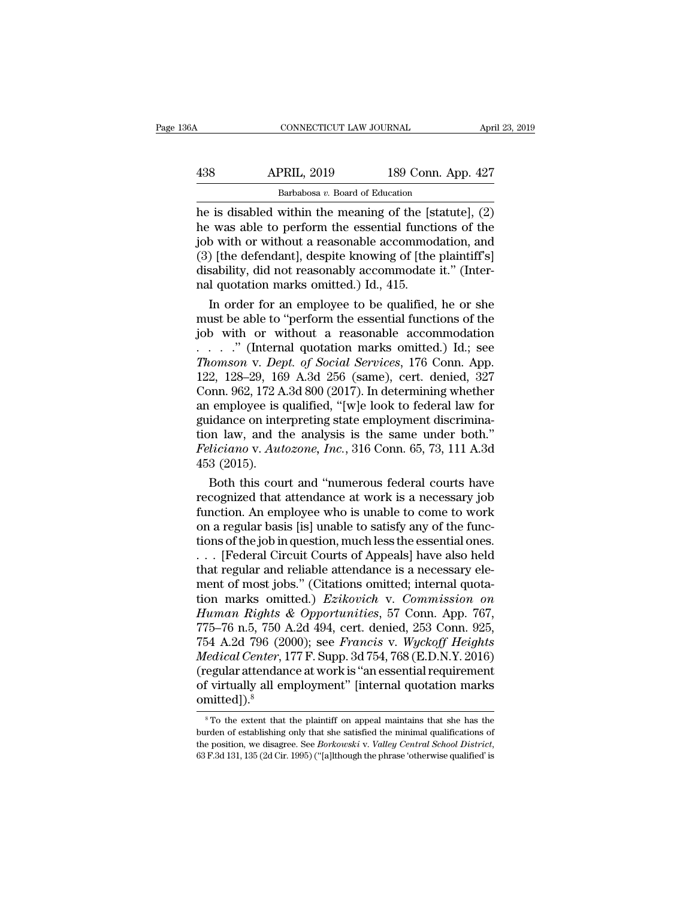| 36A | CONNECTICUT LAW JOURNAL                                  |                    | April 23, 2019 |
|-----|----------------------------------------------------------|--------------------|----------------|
| 438 | <b>APRIL, 2019</b>                                       | 189 Conn. App. 427 |                |
|     | Barbabosa v. Board of Education                          |                    |                |
|     | he is disabled within the meaning of the [statute] $(2)$ |                    |                |

CONNECTICUT LAW JOURNAL April 23, 2019<br>
438 APRIL, 2019 189 Conn. App. 427<br>
Barbabosa v. Board of Education<br>
he is disabled within the meaning of the [statute], (2)<br>
he was able to perform the essential functions of the<br>
i APRIL, 2019 189 Conn. App. 427<br>Barbabosa v. Board of Education<br>he is disabled within the meaning of the [statute], (2)<br>he was able to perform the essential functions of the<br>job with or without a reasonable accommodation, a  $\begin{array}{c|c} \text{APRIL, 2019} & \text{189 Conn. App. 427} \ \hline \text{Barbabosa } v. \text{ Board of Education} \ \hline \text{he is disabled within the meaning of the [statute], (2)} \ \text{he was able to perform the essential functions of the job with or without a reasonable accommodation, and (3) [the defendant], despite knowing of [the plaintiff's] disability did not reasonably accommodate it". (Inter \begin{array}{ll}\n & \text{APRIL, 2019} & \text{189 Conn. App. 427} \\
 \hline\n & \text{Barbabosa } v. \text{ Board of Education} \\
 \hline\n \end{array}$ he is disabled within the meaning of the [statute], (2)<br>
he was able to perform the essential functions of the<br>
job with or without a reasonable ac Barbabosa v. Board of Education<br>
he is disabled within the meaning of the [statute], (2)<br>
he was able to perform the essential functions of the<br>
job with or without a reasonable accommodation, and<br>
(3) [the defendant], de Barbabosa  $v$ . Board of Education<br>he is disabled within the meaning of the [s]<br>he was able to perform the essential functi<br>job with or without a reasonable accommod<br>(3) [the defendant], despite knowing of [the<br>disability, In standard within the meaning of the [statute],  $(2)$ <br>
It was able to perform the essential functions of the<br>
b with or without a reasonable accommodation, and<br>  $[the definedant]$ , despite knowing of [the plaintiff's]<br>
sability, di he was able to perform the essential functions of the<br>job with or without a reasonable accommodation, and<br>(3) [the defendant], despite knowing of [the plaintiff's]<br>disability, did not reasonably accommodate it." (Inter-<br>n

job with or without a reasonable accommodation, and<br>
(3) [the defendant], despite knowing of [the plaintiff's]<br>
disability, did not reasonably accommodate it." (Inter-<br>
nal quotation marks omitted.) Id., 415.<br>
In order fo (3) [the defendant], despite knowing of [the plaintiff's]<br>disability, did not reasonably accommodate it." (Inter-<br>nal quotation marks omitted.) Id., 415.<br>In order for an employee to be qualified, he or she<br>must be able to disability, did not reasonably accommodate it." (Inter-<br>
nal quotation marks omitted.) Id., 415.<br>
In order for an employee to be qualified, he or she<br>
must be able to "perform the essential functions of the<br>
job with or wi nal quotation marks omitted.) Id., 415.<br>
In order for an employee to be qualified, he or she<br>
must be able to "perform the essential functions of the<br>
job with or without a reasonable accommodation<br>  $\ldots$  ." (Internal quo In order for an employee to be qualified, he or she<br>must be able to "perform the essential functions of the<br>job with or without a reasonable accommodation<br> $\ldots$  ." (Internal quotation marks omitted.) Id.; see<br>*Thomson v.* must be able to "perform the essential functions of the<br>job with or without a reasonable accommodation<br>......" (Internal quotation marks omitted.) Id.; see<br>Thomson v. Dept. of Social Services, 176 Conn. App.<br>122, 128–29, job with or without a reasonable accommodation<br>  $\ldots$   $\ldots$  " (Internal quotation marks omitted.) Id.; see<br> *Thomson v. Dept. of Social Services*, 176 Conn. App.<br>
122, 128–29, 169 A.3d 256 (same), cert. denied, 327<br>
Conn. ....." (Internal quotation marks omitted.) Id.; see<br>Thomson v. Dept. of Social Services, 176 Conn. App.<br>122, 128–29, 169 A.3d 256 (same), cert. denied, 327<br>Conn. 962, 172 A.3d 800 (2017). In determining whether<br>an employee *Thomson v. Dept. of Social Services,* 176 Conn. App.<br>122, 128–29, 169 A.3d 256 (same), cert. denied, 327<br>Conn. 962, 172 A.3d 800 (2017). In determining whether<br>an employee is qualified, "[w]e look to federal law for<br>guida 122, 128–29, 16<br>Conn. 962, 172 A<br>an employee is  $\alpha$ <br>guidance on inte<br>guidance on inte<br>feliciano v. Aut<br>453 (2015).<br>Both this cou both this court and "numerous federal law for<br>idance on interpreting state employment discrimina-<br>in law, and the analysis is the same under both."<br>*liciano* v. *Autozone*, *Inc.*, 316 Conn. 65, 73, 111 A.3d<br>3 (2015).<br>Bot an employee is qualified, "[w]e look to federal law for<br>guidance on interpreting state employment discrimina-<br>tion law, and the analysis is the same under both."<br> $Feliciano v. Autozone, Inc., 316 Conn. 65, 73, 111 A.3d$ <br> $453 (2015).$ <br>Both this c

guidance on interpreting state employment discrimination law, and the analysis is the same under both."<br>Feliciano v. Autozone, Inc., 316 Conn. 65, 73, 111 A.3d<br>453 (2015).<br>Both this court and "numerous federal courts have<br> tion law, and the analysis is the same under both."<br> *Feliciano* v. *Autozone*, *Inc.*, 316 Conn. 65, 73, 111 A.3d<br>
453 (2015).<br>
Both this court and "numerous federal courts have<br>
recognized that attendance at work is a n *Feliciano* v. *Autozone*, *Inc.*, 316 Conn. 65, 73, 111 A.3d<br>453 (2015).<br>Both this court and "numerous federal courts have<br>recognized that attendance at work is a necessary job<br>function. An employee who is unable to come 453 (2015).<br>
Both this court and "numerous federal courts have<br>
recognized that attendance at work is a necessary job<br>
function. An employee who is unable to come to work<br>
on a regular basis [is] unable to satisfy any of t Both this court and "numerous federal courts have<br>recognized that attendance at work is a necessary job<br>function. An employee who is unable to come to work<br>on a regular basis [is] unable to satisfy any of the func-<br>tions recognized that attendance at work is a necessary job<br>function. An employee who is unable to come to work<br>on a regular basis [is] unable to satisfy any of the func-<br>tions of the job in question, much less the essential on function. An employee who is unable to come to work<br>on a regular basis [is] unable to satisfy any of the func-<br>tions of the job in question, much less the essential ones.<br>. . . [Federal Circuit Courts of Appeals] have also on a regular basis [is] unable to satisfy any of the functions of the job in question, much less the essential ones.<br>
... [Federal Circuit Courts of Appeals] have also held<br>
that regular and reliable attendance is a necess tions of the job in question, much less the essential ones.<br>
. . . [Federal Circuit Courts of Appeals] have also held<br>
that regular and reliable attendance is a necessary ele-<br>
ment of most jobs." (Citations omitted; inter ... [Federal Circuit Courts of Appeals] have also held<br>that regular and reliable attendance is a necessary ele-<br>ment of most jobs." (Citations omitted; internal quota-<br>tion marks omitted.) *Ezikovich* v. *Commission on*<br>*H Medical Centerral and reliable attendance is a necessary element of most jobs." (Citations omitted; internal quotation marks omitted.) <i>Ezikovich v. Commission on Human Rights & Opportunities*, 57 Conn. App. 767, 775–76 n ment of most jobs." (Citations omitted; internal quotation marks omitted.) *Ezikovich* v. Commission on<br>Human Rights & Opportunities, 57 Conn. App. 767,<br>775–76 n.5, 750 A.2d 494, cert. denied, 253 Conn. 925,<br>754 A.2d 796 ( tion marks omitted.) *Ezikovich* v. Commission on<br>Human Rights & Opportunities, 57 Conn. App. 767,<br>775–76 n.5, 750 A.2d 494, cert. denied, 253 Conn. 925,<br>754 A.2d 796 (2000); see *Francis* v. Wyckoff Heights<br>Medical Center omitted]).<sup>8</sup> Fedical Center, 177 F. Supp. 3d 754, 768 (E.D.N.Y. 2016)<br>
egular attendance at work is "an essential requirement<br>
f virtually all employment" [internal quotation marks<br>
mitted]).<sup>8</sup><br>
<sup>8</sup>To the extent that the plaintiff on (regular attendance at work is "an essential requirement<br>of virtually all employment" [internal quotation marks<br>omitted]).<sup>8</sup><br> $^8$ To the extent that the plaintiff on appeal maintains that she has the<br>burden of establishin

of virtually all employment" [internal quotation marks<br>
we omitted]).<sup>8</sup><br>
<sup>8</sup>To the extent that the plaintiff on appeal maintains that she has the<br>
burden of establishing only that she satisfied the minimal qualifications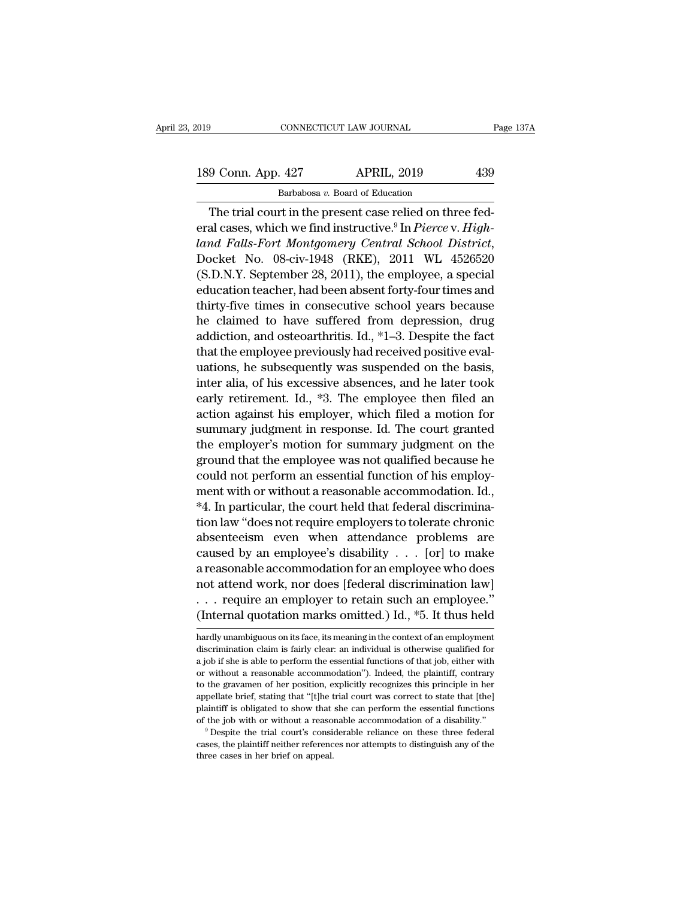189 Conn. App. 427 APRIL, 2019 239<br>Barbabosa v. Board of Education CONNECTICUT LAW JOURNAL<br>- 427 APRIL, 2019<br>Barbabosa *v.* Board of Education<br>rt in the present case relied on thr

CONNECTICUT LAW JOURNAL<br>
9 Conn. App. 427 APRIL, 2019 439<br>
Barbabosa v. Board of Education<br>
The trial court in the present case relied on three fed-<br>
al cases, which we find instructive.<sup>9</sup> In *Pierce* v. *High*eral cases, which we find instructive.<sup>9</sup> In *Pierce* v. *High-*<br>
Factor we find instructive.<sup>9</sup> In *Pierce* v. *High-*<br> *High-land Falls-Fort Montgomery Central School District*,<br>
Pecket Ne. 09 six 1049, (PKF), 2011, NL 4 *land Falls-Fort Montgomery Central School District,* Docket No. 08-civ-1948 (RKE), 2011 WL 4526520 (S.D.N.Y. September 28, 2011), the employee, a special calucation toocher helphone chemical school Distriction of the empl Barbabosa v. Board of Education<br>
The trial court in the present case relied on three fed-<br>
eral cases, which we find instructive.<sup>9</sup> In *Pierce* v. *Highland Falls-Fort Montgomery Central School District*,<br>
Docket No. 08-The trial court in the present case relied on three federal cases, which we find instructive.<sup>9</sup> In *Pierce v. Highland Falls-Fort Montgomery Central School District*, Docket No. 08-civ-1948 (RKE), 2011 WL 4526520 (S.D.N.Y The trial court in the present case relied on three red-<br>eral cases, which we find instructive.<sup>9</sup> In *Pierce v. High-*<br>land *Falls-Fort Montgomery Central School District*,<br>Docket No. 08-civ-1948 (RKE), 2011 WL 4526520<br>(S eral cases, which we find instructive." In *Pierce* v. *Highland Falls-Fort Montgomery Central School District*,<br>Docket No. 08-civ-1948 (RKE), 2011 WL 4526520<br>(S.D.N.Y. September 28, 2011), the employee, a special<br>educatio dana Falls-Fort Montgomery Central School District,<br>Docket No. 08-civ-1948 (RKE), 2011 WL 4526520<br>(S.D.N.Y. September 28, 2011), the employee, a special<br>education teacher, had been absent forty-four times and<br>thirty-five t Docket No. 08-cIV-1948 (KKE), 2011 WL 4526520<br>(S.D.N.Y. September 28, 2011), the employee, a special<br>education teacher, had been absent forty-four times and<br>thirty-five times in consecutive school years because<br>he claimed (S.D.N.Y. September 28, 2011), the employee, a special education teacher, had been absent forty-four times and thirty-five times in consecutive school years because he claimed to have suffered from depression, drug addict education teacher, nad been absent forty-four times and<br>thirty-five times in consecutive school years because<br>he claimed to have suffered from depression, drug<br>addiction, and osteoarthritis. Id., \*1–3. Despite the fact<br>tha thirty-five times in consecutive school years because<br>he claimed to have suffered from depression, drug<br>addiction, and osteoarthritis. Id., \*1–3. Despite the fact<br>that the employee previously had received positive eval-<br>ua ne claimed to have surfered from depression, drug<br>addiction, and osteoarthritis. Id., \*1–3. Despite the fact<br>that the employee previously had received positive eval-<br>uations, he subsequently was suspended on the basis,<br>int addiction, and osteoarthritis. Id., \*1–3. Despite the fact<br>that the employee previously had received positive eval-<br>uations, he subsequently was suspended on the basis,<br>inter alia, of his excessive absences, and he later t that the employee previously had received positive evaluations, he subsequently was suspended on the basis, inter alia, of his excessive absences, and he later took early retirement. Id., \*3. The employee then filed an act uations, ne subsequently was suspended on the basis,<br>inter alia, of his excessive absences, and he later took<br>early retirement. Id., \*3. The employee then filed an<br>action against his employer, which filed a motion for<br>summ inter ana, or his excessive absences, and he later took<br>early retirement. Id., \*3. The employee then filed an<br>action against his employer, which filed a motion for<br>summary judgment in response. Id. The court granted<br>the em early retirement. Id., ~3. The employee then filed and<br>action against his employer, which filed a motion for<br>summary judgment in response. Id. The court granted<br>the employer's motion for summary judgment on the<br>ground that action against his employer, which filed a motion for<br>summary judgment in response. Id. The court granted<br>the employer's motion for summary judgment on the<br>ground that the employee was not qualified because he<br>could not pe summary judgment in response. Id. The court granted<br>the employer's motion for summary judgment on the<br>ground that the employee was not qualified because he<br>could not perform an essential function of his employ-<br>ment with o the employer's motion for summary judgment on the<br>ground that the employee was not qualified because he<br>could not perform an essential function of his employ-<br>ment with or without a reasonable accommodation. Id.,<br>\*4. In p ground that the employee was not qualified because he<br>could not perform an essential function of his employ-<br>ment with or without a reasonable accommodation. Id.,<br>\*4. In particular, the court held that federal discrimina-<br> could not perform an essential function of his employment with or without a reasonable accommodation. Id.,  $*4$ . In particular, the court held that federal discrimination law "does not require employers to tolerate chroni ment with or without a reasonable accommodation. Id.,<br>
\*4. In particular, the court held that federal discrimina-<br>
tion law "does not require employers to tolerate chronic<br>
absenteeism even when attendance problems are<br>
c A. In particular, the court held that rederal discrimination law "does not require employers to tolerate chronic absenteeism even when attendance problems are caused by an employee's disability . . . [or] to make a reasona tion law "does not require employers to tolerate chronic<br>absenteeism even when attendance problems are<br>caused by an employee's disability . . . [or] to make<br>a reasonable accommodation for an employee who does<br>not attend w a reasonable accommodation for an employee who does<br>not attend work, nor does [federal discrimination law]<br>... require an employer to retain such an employee."<br>(Internal quotation marks omitted.) Id., \*5. It thus held<br>har not attend work, nor does [federal discrimination law]<br>
. . . require an employer to retain such an employee."<br>
(Internal quotation marks omitted.) Id., \*5. It thus held<br>
hardly unambiguous on its face, its meaning in the

<sup>...</sup> require an employer to retain such an employee."<br>(Internal quotation marks omitted.) Id.,  $*5$ . It thus held<br>hardly unambiguous on its face, its meaning in the context of an employment<br>discrimination claim is fairly c (Internal quotation marks omitted.) Id., \*5. It thus held<br>hardly unambiguous on its face, its meaning in the context of an employment<br>discrimination claim is fairly clear: an individual is otherwise qualified for<br>a job if THE THE GRAVID THE GRAVID THE GRAVID TO THE GRAVID THE POSITION IN A BAT AND MEDIA and the context of an employment discrimination claim is fairly clear: an individual is otherwise qualified for a job if she is able to per hardly unambiguous on its face, its meaning in the context of an employment discrimination claim is fairly clear: an individual is otherwise qualified for a job if she is able to perform the essential functions of that job discrimination claim is fairly clear: an individual is otherwise qualified for a job if she is able to perform the essential functions of that job, either with or without a reasonable accommodation"). Indeed, the plaintif a job if she is able to perform the essential functions of that job, either with or without a reasonable accommodation"). Indeed, the plaintiff, contrary to the gravamen of her position, explicitly recognizes this principl cases, the provided in the position, explicitly recognizes this principle in her appellate brief, stating that "[t]he trial court was correct to state that [the] plaintiff is obligated to show that she can perform the esse appellate brief, stating that "[t]he trial court was correct to state that [the] plaintiff is obligated to show that she can perform the essential functions of the job with or without a reasonable accommodation of a disab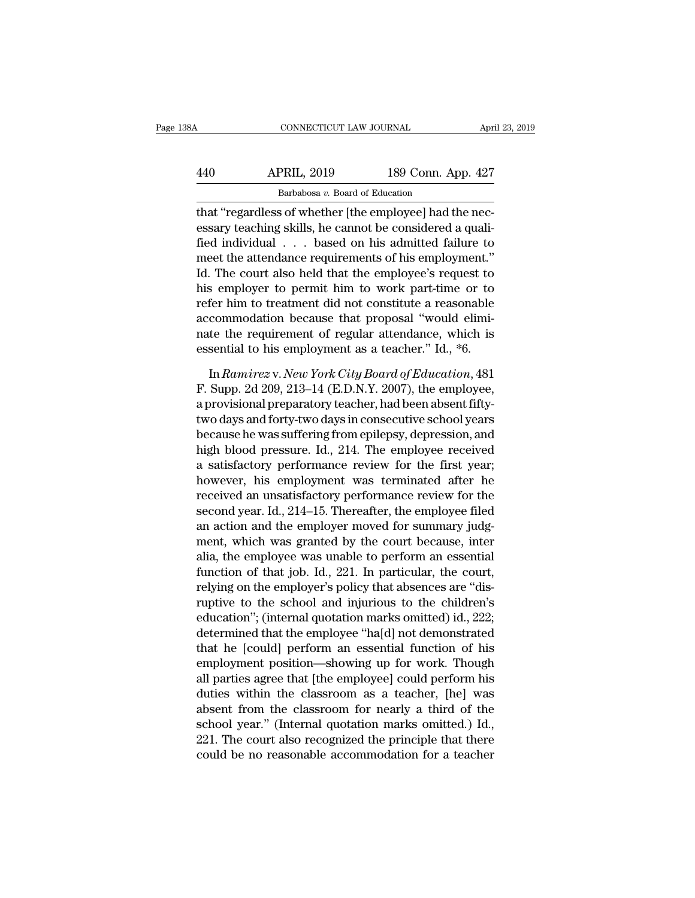| 38A | CONNECTICUT LAW JOURNAL                                 |                    | April 23, 2019 |
|-----|---------------------------------------------------------|--------------------|----------------|
| 440 | <b>APRIL, 2019</b>                                      | 189 Conn. App. 427 |                |
|     | Barbabosa v. Board of Education                         |                    |                |
|     | that "regardless of whether [the employee] had the nec- |                    |                |

CONNECTICUT LAW JOURNAL APT<br>
440 APRIL, 2019 189 Conn. App. 427<br>
<sup>Barbabosa v. Board of Education</sup><br>
that "regardless of whether [the employee] had the nec-<br>
essary teaching skills, he cannot be considered a quali-<br>
fied in APRIL, 2019 189 Conn. App. 427<br>Barbabosa v. Board of Education<br>that "regardless of whether [the employee] had the nec-<br>essary teaching skills, he cannot be considered a quali-<br>fied individual . . . based on his admitted fa  $\begin{array}{r} \text{APRIL, 2019} \end{array}$  189 Conn. App. 427<br>  $\begin{array}{r} \text{Barbabosa } v. \text{ Board of Education} \end{array}$ <br>
that "regardless of whether [the employee] had the necessary teaching skills, he cannot be considered a qualified individual . . . based on  $\frac{\text{APRIL, 2019}}{\text{Barbabosa } v. \text{ Board of Education}}$ <br>
that "regardless of whether [the employee] had the necessary teaching skills, he cannot be considered a quali-<br>
fied individual . . . based on his admitted failure to<br>
meet the attendan Barbabosa  $v$ . Board of Education<br>
that "regardless of whether [the employee] had the nec-<br>
essary teaching skills, he cannot be considered a quali-<br>
fied individual  $\ldots$  based on his admitted failure to<br>
meet the attend Bababosa *i*: boatd of Education<br>that "regardless of whether [the employee] had the nec-<br>essary teaching skills, he cannot be considered a quali-<br>fied individual . . . based on his admitted failure to<br>meet the attendance r that "regardless of whether [the employee] had the necessary teaching skills, he cannot be considered a qualified individual  $\ldots$  based on his admitted failure to meet the attendance requirements of his employment."<br>Id. essary teaching skills, he cannot be considered a quali-<br>fied individual  $\ldots$  based on his admitted failure to<br>meet the attendance requirements of his employment."<br>Id. The court also held that the employee's request to<br>h fied individual . . . based on his admitted failure to<br>meet the attendance requirements of his employment."<br>Id. The court also held that the employee's request to<br>his employer to permit him to work part-time or to<br>refer hi meet the attendance requirements of his employment."<br>Id. The court also held that the employee's request to<br>his employer to permit him to work part-time or to<br>refer him to treatment did not constitute a reasonable<br>accommo In a employer to permit him to work part-time or to<br>fer him to treatment did not constitute a reasonable<br>commodation because that proposal "would elimi-<br>te the requirement of regular attendance, which is<br>sential to his emp refer him to treatment did not constitute a reasonable<br>accommodation because that proposal "would elimi-<br>nate the requirement of regular attendance, which is<br>essential to his employment as a teacher." Id., \*6.<br>In Ramirez v

accommodation because that proposal "would eliminate the requirement of regular attendance, which is<br>essential to his employment as a teacher." Id., \*6.<br>In Ramirez v. New York City Board of Education, 481<br>F. Supp. 2d 209, nate the requirement of regular attendance, which is<br>essential to his employment as a teacher." Id., \*6.<br>In *Ramirez* v. *New York City Board of Education*, 481<br>F. Supp. 2d 209, 213–14 (E.D.N.Y. 2007), the employee,<br>a prov essential to his employment as a teacher." Id., \*6.<br>
In *Ramirez* v. *New York City Board of Education*, 481<br>
F. Supp. 2d 209, 213–14 (E.D.N.Y. 2007), the employee,<br>
a provisional preparatory teacher, had been absent fifty In Ramirez v. New York City Board of Education, 481<br>F. Supp. 2d 209, 213–14 (E.D.N.Y. 2007), the employee,<br>a provisional preparatory teacher, had been absent fifty-<br>two days and forty-two days in consecutive school years<br>b In Ramirez v. New York City Board of Education, 481<br>F. Supp. 2d 209, 213–14 (E.D.N.Y. 2007), the employee,<br>a provisional preparatory teacher, had been absent fifty-<br>two days and forty-two days in consecutive school years<br> F. Supp. 2d 209, 213–14 (E.D.N.Y. 2007), the employee,<br>a provisional preparatory teacher, had been absent fifty-<br>two days and forty-two days in consecutive school years<br>because he was suffering from epilepsy, depression, a a provisional preparatory teacher, had been absent fifty-<br>two days and forty-two days in consecutive school years<br>because he was suffering from epilepsy, depression, and<br>high blood pressure. Id., 214. The employee received two days and forty-two days in consecutive school years<br>because he was suffering from epilepsy, depression, and<br>high blood pressure. Id., 214. The employee received<br>a satisfactory performance review for the first year;<br>how because he was suffering from epilepsy, depression, and<br>high blood pressure. Id., 214. The employee received<br>a satisfactory performance review for the first year;<br>however, his employment was terminated after he<br>received an high blood pressure. Id., 214. The employee received<br>a satisfactory performance review for the first year;<br>however, his employment was terminated after he<br>received an unsatisfactory performance review for the<br>second year. a satisfactory performance review for the first year;<br>however, his employment was terminated after he<br>received an unsatisfactory performance review for the<br>second year. Id., 214–15. Thereafter, the employee filed<br>an action however, his employment was terminated after he<br>received an unsatisfactory performance review for the<br>second year. Id., 214–15. Thereafter, the employee filed<br>an action and the employer moved for summary judg-<br>ment, which received an unsatisfactory performance review for the<br>second year. Id., 214–15. Thereafter, the employee filed<br>an action and the employer moved for summary judg-<br>ment, which was granted by the court because, inter<br>alia, th second year. Id., 214–15. Thereafter, the employee filed<br>an action and the employer moved for summary judg-<br>ment, which was granted by the court because, inter<br>alia, the employee was unable to perform an essential<br>function an action and the employer moved for summary judgment, which was granted by the court because, inter<br>alia, the employee was unable to perform an essential<br>function of that job. Id., 221. In particular, the court,<br>relying o ment, which was granted by the court because, inter<br>alia, the employee was unable to perform an essential<br>function of that job. Id., 221. In particular, the court,<br>relying on the employer's policy that absences are "dis-<br>r alia, the employee was unable to perform an essential<br>function of that job. Id., 221. In particular, the court,<br>relying on the employer's policy that absences are "dis-<br>ruptive to the school and injurious to the children's function of that job. Id., 221. In particular, the court,<br>relying on the employer's policy that absences are "dis-<br>ruptive to the school and injurious to the children's<br>education"; (internal quotation marks omitted) id., 2 relying on the employer's policy that absences are "dis-<br>ruptive to the school and injurious to the children's<br>education"; (internal quotation marks omitted) id., 222;<br>determined that the employee "ha[d] not demonstrated<br>t ruptive to the school and injurious to the children's<br>education"; (internal quotation marks omitted) id., 222;<br>determined that the employee "ha[d] not demonstrated<br>that he [could] perform an essential function of his<br>emplo education"; (internal quotation marks omitted) id., 222;<br>determined that the employee "ha[d] not demonstrated<br>that he [could] perform an essential function of his<br>employment position—showing up for work. Though<br>all parties determined that the employee "ha[d] not demonstrated<br>that he [could] perform an essential function of his<br>employment position—showing up for work. Though<br>all parties agree that [the employee] could perform his<br>duties withi that he [could] perform an essential function of his<br>employment position—showing up for work. Though<br>all parties agree that [the employee] could perform his<br>duties within the classroom as a teacher, [he] was<br>absent from th employment position—showing up for work. Though<br>all parties agree that [the employee] could perform his<br>duties within the classroom as a teacher, [he] was<br>absent from the classroom for nearly a third of the<br>school year." (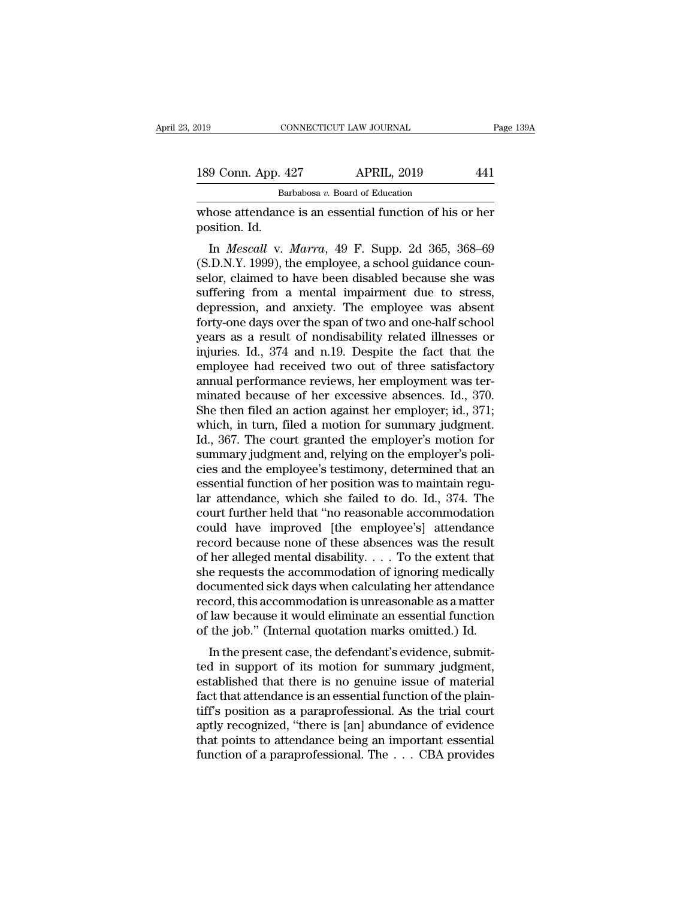| 019                                                                      | CONNECTICUT LAW JOURNAL         |                                                         |     | Page 139A |
|--------------------------------------------------------------------------|---------------------------------|---------------------------------------------------------|-----|-----------|
| 189 Conn. App. 427                                                       |                                 | <b>APRIL, 2019</b>                                      | 441 |           |
|                                                                          | Barbabosa v. Board of Education |                                                         |     |           |
| whose attendance is an essential function of his or her<br>position. Id. |                                 |                                                         |     |           |
|                                                                          |                                 | In <i>Mescall v. Marra</i> , 49 F. Supp. 2d 365, 368–69 |     |           |

9 Conn. App. 427 APRIL, 2019 441<br>
Barbabosa *v*. Board of Education<br>
nose attendance is an essential function of his or her<br>
sition. Id.<br>
In *Mescall* v. *Marra*, 49 F. Supp. 2d 365, 368–69<br>
D.N.Y. 1999), the employee, a s 189 Conn. App. 427 APRIL, 2019 441<br>
Barbabosa v. Board of Education<br>
whose attendance is an essential function of his or her<br>
position. Id.<br>
In *Mescall* v. *Marra*, 49 F. Supp. 2d 365, 368–69<br>
(S.D.N.Y. 1999), the employ Barbabosa v. Board of Education<br>
whose attendance is an essential function of his or her<br>
position. Id.<br>
In *Mescall* v. *Marra*, 49 F. Supp. 2d 365, 368–69<br>
(S.D.N.Y. 1999), the employee, a school guidance counselor, cla whose attendance is an essential function of his or her<br>position. Id.<br>In *Mescall* v. *Marra*, 49 F. Supp. 2d 365, 368–69<br>(S.D.N.Y. 1999), the employee, a school guidance coun-<br>selor, claimed to have been disabled because whose attenuance is an essential function of fils of her<br>position. Id.<br>In *Mescall* v. *Marra*, 49 F. Supp. 2d 365, 368–69<br>(S.D.N.Y. 1999), the employee, a school guidance coun-<br>selor, claimed to have been disabled because position. id.<br>
In *Mescall* v. *Marra*, 49 F. Supp. 2d 365, 368–69<br>
(S.D.N.Y. 1999), the employee, a school guidance counselor, claimed to have been disabled because she was<br>
suffering from a mental impairment due to stres In *Mescall v. Marra*, 49 F. Supp. 2d 365, 368–69 (S.D.N.Y. 1999), the employee, a school guidance counselor, claimed to have been disabled because she was suffering from a mental impairment due to stress, depression, and (S.D.N.Y. 1999), the employee, a school guidance counselor, claimed to have been disabled because she was suffering from a mental impairment due to stress, depression, and anxiety. The employee was absent forty-one days ov selor, claimed to have been disabled because she was<br>suffering from a mental impairment due to stress,<br>depression, and anxiety. The employee was absent<br>forty-one days over the span of two and one-half school<br>years as a res suffering from a mental impairment due to stress,<br>depression, and anxiety. The employee was absent<br>forty-one days over the span of two and one-half school<br>years as a result of nondisability related illnesses or<br>injuries. I depression, and anxiety. The employee was absent<br>forty-one days over the span of two and one-half school<br>years as a result of nondisability related illnesses or<br>injuries. Id., 374 and n.19. Despite the fact that the<br>employ forty-one days over the span of two and one-half school<br>years as a result of nondisability related illnesses or<br>injuries. Id., 374 and n.19. Despite the fact that the<br>employee had received two out of three satisfactory<br>ann years as a result of nondisability related illnesses or<br>injuries. Id., 374 and n.19. Despite the fact that the<br>employee had received two out of three satisfactory<br>annual performance reviews, her employment was ter-<br>minated injuries. Id., 374 and n.19. Despite the fact that the<br>employee had received two out of three satisfactory<br>annual performance reviews, her employment was ter-<br>minated because of her excessive absences. Id., 370.<br>She then f employee had received two out of three satisfactory<br>annual performance reviews, her employment was ter-<br>minated because of her excessive absences. Id., 370.<br>She then filed an action against her employer; id., 371;<br>which, i annual performance reviews, her employment was ter-<br>minated because of her excessive absences. Id., 370.<br>She then filed an action against her employer; id., 371;<br>which, in turn, filed a motion for summary judgment.<br>Id., 36 minated because of her excessive absences. Id., 370.<br>She then filed an action against her employer; id., 371;<br>which, in turn, filed a motion for summary judgment.<br>Id., 367. The court granted the employer's motion for<br>summa She then filed an action against her employer; id., 371;<br>which, in turn, filed a motion for summary judgment.<br>Id., 367. The court granted the employer's motion for<br>summary judgment and, relying on the employer's poli-<br>cies which, in turn, filed a motion for summary judgment.<br>Id., 367. The court granted the employer's motion for<br>summary judgment and, relying on the employer's poli-<br>cies and the employee's testimony, determined that an<br>essenti Id., 367. The court granted the employer's motion for<br>summary judgment and, relying on the employer's poli-<br>cies and the employee's testimony, determined that an<br>essential function of her position was to maintain regu-<br>lar summary judgment and, relying on the employer's policies and the employee's testimony, determined that an essential function of her position was to maintain regular attendance, which she failed to do. Id., 374. The court f cies and the employee's testimony, determined that an essential function of her position was to maintain regular attendance, which she failed to do. Id., 374. The court further held that "no reasonable accommodation could essential function of her position was to maintain regular attendance, which she failed to do. Id., 374. The court further held that "no reasonable accommodation could have improved [the employee's] attendance record becau lar attendance, which she failed to do. Id., 374. The<br>court further held that "no reasonable accommodation<br>could have improved [the employee's] attendance<br>record because none of these absences was the result<br>of her allege court further held that "no reasonable accommodation<br>could have improved [the employee's] attendance<br>record because none of these absences was the result<br>of her alleged mental disability. . . . To the extent that<br>she requ could have improved [the employee's] attendance<br>record because none of these absences was the result<br>of her alleged mental disability. . . . To the extent that<br>she requests the accommodation of ignoring medically<br>document record because none of these absences was the result<br>of her alleged mental disability. . . . To the extent that<br>she requests the accommodation of ignoring medically<br>documented sick days when calculating her attendance<br>rec In the antique and disability. The present case, the accommodation of ignoring medically cumented sick days when calculating her attendance cord, this accommodation is unreasonable as a matter law because it would eliminat she requests the accommodation of ignoring medically<br>documented sick days when calculating her attendance<br>record, this accommodation is unreasonable as a matter<br>of law because it would eliminate an essential function<br>of th

documented sick days when calculating her attendance<br>record, this accommodation is unreasonable as a matter<br>of law because it would eliminate an essential function<br>of the job." (Internal quotation marks omitted.) Id.<br>In th fecord, this accommodation is unreasonable as a matter<br>of law because it would eliminate an essential function<br>of the job." (Internal quotation marks omitted.) Id.<br>In the present case, the defendant's evidence, submit-<br>ted of the job." (Internal quotation marks omitted.) Id.<br>
In the present case, the defendant's evidence, submit-<br>
ted in support of its motion for summary judgment,<br>
established that there is no genuine issue of material<br>
fact of the job. (Internal quotation marks omitted.) id.<br>
In the present case, the defendant's evidence, submit-<br>
ted in support of its motion for summary judgment,<br>
established that there is no genuine issue of material<br>
fact In the present case, the defendant's evidence, submit-<br>ted in support of its motion for summary judgment,<br>established that there is no genuine issue of material<br>fact that attendance is an essential function of the plain-<br> full in support of its motion for summary judgment, established that there is no genuine issue of material fact that attendance is an essential function of the plaintiff's position as a paraprofessional. As the trial court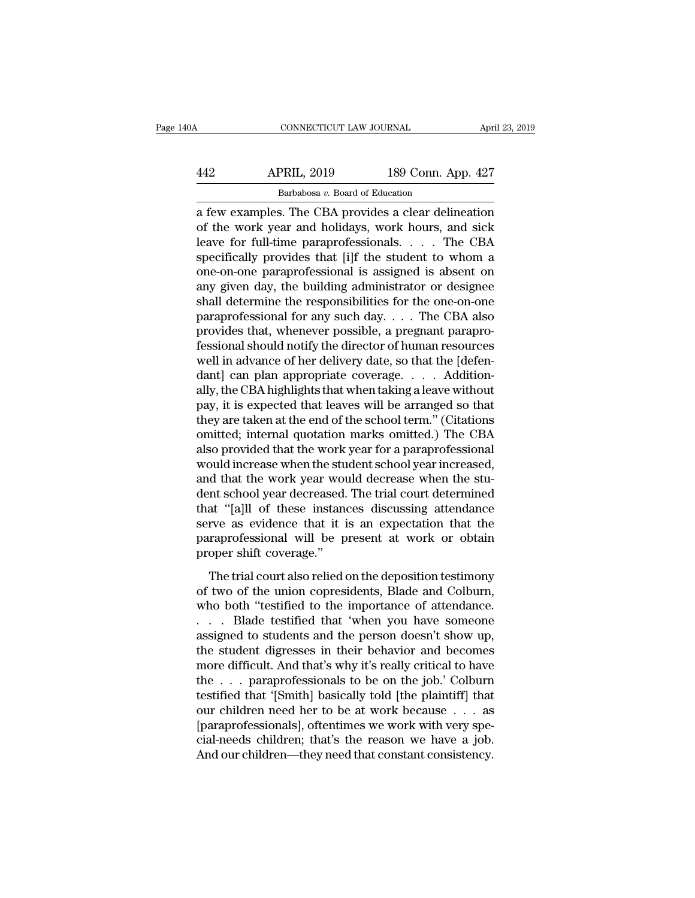| 40A | CONNECTICUT LAW JOURNAL                              |                    | April 23, 2019 |
|-----|------------------------------------------------------|--------------------|----------------|
| 442 | <b>APRIL, 2019</b>                                   | 189 Conn. App. 427 |                |
|     | Barbabosa v. Board of Education                      |                    |                |
|     | a few examples. The CBA provides a clear delineation |                    |                |

CONNECTICUT LAW JOURNAL April 23, 2019<br>
APRIL, 2019 189 Conn. App. 427<br>
Barbabosa v. Board of Education<br>
a few examples. The CBA provides a clear delineation<br>
of the work year and holidays, work hours, and sick<br>
logyo for APRIL, 2019 189 Conn. App. 427<br>Barbabosa v. Board of Education<br>a few examples. The CBA provides a clear delineation<br>of the work year and holidays, work hours, and sick<br>leave for full-time paraprofessionals. . . . The CBA<br>s APRIL, 2019 189 Conn. App. 427<br>
Barbabosa v. Board of Education<br>
a few examples. The CBA provides a clear delineation<br>
of the work year and holidays, work hours, and sick<br>
leave for full-time paraprofessionals. . . . The APRIL, 2019 189 Conn. App. 427<br>Barbabosa v. Board of Education<br>a few examples. The CBA provides a clear delineation<br>of the work year and holidays, work hours, and sick<br>leave for full-time paraprofessionals. . . . The CBA<br> Barbabosa v. Board of Education<br>
a few examples. The CBA provides a clear delineation<br>
of the work year and holidays, work hours, and sick<br>
leave for full-time paraprofessionals. . . . The CBA<br>
specifically provides that [ Barbabosa v. Board of Education<br>
a few examples. The CBA provides a clear delineation<br>
of the work year and holidays, work hours, and sick<br>
leave for full-time paraprofessionals. . . . The CBA<br>
specifically provides that a few examples. The CBA provides a clear delineation<br>of the work year and holidays, work hours, and sick<br>leave for full-time paraprofessionals. . . . The CBA<br>specifically provides that [i]f the student to whom a<br>one-on-one of the work year and holidays, work hours, and sick<br>leave for full-time paraprofessionals. . . . The CBA<br>specifically provides that [i]f the student to whom a<br>one-on-one paraprofessional is assigned is absent on<br>any given leave for full-time paraprofessionals. . . . The CBA<br>specifically provides that [i]f the student to whom a<br>one-on-one paraprofessional is assigned is absent on<br>any given day, the building administrator or designee<br>shall d specifically provides that [i]f the student to whom a<br>one-on-one paraprofessional is assigned is absent on<br>any given day, the building administrator or designee<br>shall determine the responsibilities for the one-on-one<br>parap one-on-one paraprofessional is assigned is absent on<br>any given day, the building administrator or designee<br>shall determine the responsibilities for the one-on-one<br>paraprofessional for any such day.... The CBA also<br>provides any given day, the building administrator or designee<br>shall determine the responsibilities for the one-on-one<br>paraprofessional for any such day. . . . The CBA also<br>provides that, whenever possible, a pregnant parapro-<br>fes shall determine the responsibilities for the one-on-one<br>paraprofessional for any such day. . . . The CBA also<br>provides that, whenever possible, a pregnant parapro-<br>fessional should notify the director of human resources<br>w paraprofessional for any such day. . . . The CBA also<br>provides that, whenever possible, a pregnant parapro-<br>fessional should notify the director of human resources<br>well in advance of her delivery date, so that the [defenprovides that, whenever possible, a pregnant paraprofessional should notify the director of human resources<br>well in advance of her delivery date, so that the [defen-<br>dant] can plan appropriate coverage. . . . Addition-<br>all fessional should notify the director of human resources<br>well in advance of her delivery date, so that the [defen-<br>dant] can plan appropriate coverage. . . . . Addition-<br>ally, the CBA highlights that when taking a leave wit well in advance of her delivery date, so that the [defen-<br>dant] can plan appropriate coverage. . . . . Addition-<br>ally, the CBA highlights that when taking a leave without<br>pay, it is expected that leaves will be arranged so dant] can plan appropriate coverage. . . . . Additionally, the CBA highlights that when taking a leave without pay, it is expected that leaves will be arranged so that they are taken at the end of the school term." (Citati ally, the CBA highlights that when taking a leave without<br>pay, it is expected that leaves will be arranged so that<br>they are taken at the end of the school term." (Citations<br>omitted; internal quotation marks omitted.) The C pay, it is expected that leaves will be arranged so that<br>they are taken at the end of the school term." (Citations<br>omitted; internal quotation marks omitted.) The CBA<br>also provided that the work year for a paraprofessional they are taken at the end of the school term." (Citations<br>
omitted; internal quotation marks omitted.) The CBA<br>
also provided that the work year for a paraprofessional<br>
would increase when the student school year increased omitted; internal quotation marks omitted.) The CBA<br>also provided that the work year for a paraprofessional<br>would increase when the student school year increased,<br>and that the work year would decrease when the stu-<br>dent sc also provided that the work year for a paraprofessional<br>would increase when the student school year increased,<br>and that the work year would decrease when the stu-<br>dent school year decreased. The trial court determined<br>that would increase when the stu<br>and that the work year wou<br>dent school year decreased.<br>that "[a]ll of these instand<br>serve as evidence that it i<br>paraprofessional will be p<br>proper shift coverage."<br>The trial court also relied o The trial court school year work year work decrease when the standard stand school year decreased. The trial court determined at "[a]] of these instances discussing attendance rve as evidence that it is an expectation that dent sensor year decreased. The did codif determined<br>that "[a]ll of these instances discussing attendance<br>serve as evidence that it is an expectation that the<br>paraprofessional will be present at work or obtain<br>proper shift

Example 19 and the interest included and the paraprofessional will be present at work or obtain<br>proper shift coverage."<br>The trial court also relied on the deposition testimony<br>of two of the union copresidents, Blade and Co paraprofessional will be present at work or obtain<br>proper shift coverage."<br>The trial court also relied on the deposition testimony<br>of two of the union copresidents, Blade and Colburn,<br>who both "testified to the importance protessional with severage."<br>
The trial court also relied on the deposition testimony<br>
of two of the union copresidents, Blade and Colburn,<br>
who both "testified to the importance of attendance.<br>
... Blade testified that 'w The trial court also relied on the deposition testimony<br>of two of the union copresidents, Blade and Colburn,<br>who both "testified to the importance of attendance.<br> $\ldots$  Blade testified that 'when you have someone<br>assigned The trial court also relied on the deposition testimony<br>of two of the union copresidents, Blade and Colburn,<br>who both "testified to the importance of attendance.<br>. . . . Blade testified that 'when you have someone<br>assigned of two of the union copresidents, Blade and Colburn,<br>who both "testified to the importance of attendance.<br>... Blade testified that 'when you have someone<br>assigned to students and the person doesn't show up,<br>the student dig who both "testified to the importance of attendance.<br>
. . . Blade testified that 'when you have someone<br>
assigned to students and the person doesn't show up,<br>
the student digresses in their behavior and becomes<br>
more diff . . . Blade testified that 'when you have someone<br>assigned to students and the person doesn't show up,<br>the student digresses in their behavior and becomes<br>more difficult. And that's why it's really critical to have<br>the . . assigned to students and the person doesn't show up,<br>the student digresses in their behavior and becomes<br>more difficult. And that's why it's really critical to have<br>the  $\dots$  paraprofessionals to be on the job.' Colburn<br>te the student digresses in their behavior and becomes<br>more difficult. And that's why it's really critical to have<br>the . . . paraprofessionals to be on the job.' Colburn<br>testified that '[Smith] basically told [the plaintiff] more difficult. And that's why it's really critical to have<br>the . . . paraprofessionals to be on the job.' Colburn<br>testified that '[Smith] basically told [the plaintiff] that<br>our children need her to be at work because . .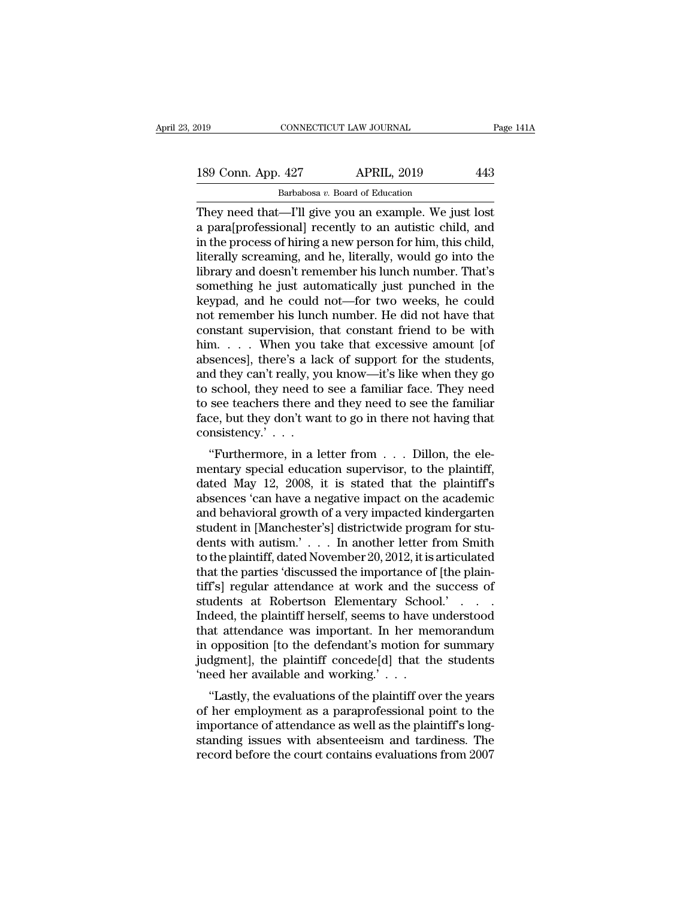189 Conn. App. 427 APRIL, 2019 443<br>Barbabosa v. Board of Education Barbabosa *v.* Board of Education

They need that —I'll give you an example. We just lost in the process of hiring a new person for him this child in the process of hiring a new person for him this child 189 Conn. App. 427 APRIL, 2019 443<br>Barbabosa v. Board of Education<br>They need that—I'll give you an example. We just lost<br>a para[professional] recently to an autistic child, and<br>in the process of hiring a new person for hi 189 Conn. App. 427 APRIL, 2019 443<br>
Barbabosa v. Board of Education<br>
They need that—I'll give you an example. We just lost<br>
a para[professional] recently to an autistic child, and<br>
in the process of hiring a new person fo 189 Conn. App. 427 APRIL, 2019 443<br>
Barbabosa v. Board of Education<br>
They need that—I'll give you an example. We just lost<br>
a para[professional] recently to an autistic child, and<br>
in the process of hiring a new person fo Barbabosa v. Board of Education<br>They need that—I'll give you an example. We just lost<br>a para[professional] recently to an autistic child, and<br>in the process of hiring a new person for him, this child,<br>literally screaming, Barbabosa v. Board of Education<br>They need that—I'll give you an example. We just lost<br>a para[professional] recently to an autistic child, and<br>in the process of hiring a new person for him, this child,<br>literally screaming, They need that—I'll give you an example. We just lost<br>a para[professional] recently to an autistic child, and<br>in the process of hiring a new person for him, this child,<br>literally screaming, and he, literally, would go into a para[professional] recently to an autistic child, and<br>in the process of hiring a new person for him, this child,<br>literally screaming, and he, literally, would go into the<br>library and doesn't remember his lunch number. Th in the process of hiring a new person for him, this child,<br>literally screaming, and he, literally, would go into the<br>library and doesn't remember his lunch number. That's<br>something he just automatically just punched in the literally screaming, and he, literally, would go into the<br>library and doesn't remember his lunch number. That's<br>something he just automatically just punched in the<br>keypad, and he could not—for two weeks, he could<br>not remem library and doesn't remember his lunch number. That's<br>something he just automatically just punched in the<br>keypad, and he could not—for two weeks, he could<br>not remember his lunch number. He did not have that<br>constant superv something he just automatically just punched in the<br>keypad, and he could not—for two weeks, he could<br>not remember his lunch number. He did not have that<br>constant supervision, that constant friend to be with<br>him.... When yo keypad, and he could not—for two weeks, he could<br>not remember his lunch number. He did not have that<br>constant supervision, that constant friend to be with<br>him. . . . When you take that excessive amount [of<br>absences], there not remember his lunch number. He did not have that<br>constant supervision, that constant friend to be with<br>him.... When you take that excessive amount [of<br>absences], there's a lack of support for the students,<br>and they can' constant supervision, that constant friend to be with him. . . . When you take that excessive amount [of absences], there's a lack of support for the students, and they can't really, you know—it's like when they go to sch consistency.' . . . Sences], there s a fack of support for the students,<br>
d they can't really, you know—it's like when they go<br>
school, they need to see a familiar face. They need<br>
see teachers there and they need to see the familiar<br>
ce, bu and they can't really, you know—it's like when they go<br>to school, they need to see a familiar face. They need<br>to see teachers there and they need to see the familiar<br>face, but they don't want to go in there not having that

to school, they heed to see a familiar face. They heed<br>to see teachers there and they need to see the familiar<br>face, but they don't want to go in there not having that<br>consistency.'...<br>"Furthermore, in a letter from ... D to see teachers there and they heed to see the randhard face, but they don't want to go in there not having that consistency.'...<br>
"Furthermore, in a letter from ... Dillon, the elementary special education supervisor, to race, but they don't want to go in there not having that<br>consistency.'...<br>"Furthermore, in a letter from ... Dillon, the ele-<br>mentary special education supervisor, to the plaintiff,<br>dated May 12, 2008, it is stated that th "Furthermore, in a letter from  $\ldots$  Dillon, the elementary special education supervisor, to the plaintiff, dated May 12, 2008, it is stated that the plaintiff's absences 'can have a negative impact on the academic and be "Furthermore, in a letter from . . . Dillon, the elementary special education supervisor, to the plaintiff, dated May 12, 2008, it is stated that the plaintiff's absences 'can have a negative impact on the academic and be mentary special education supervisor, to the plaintiff,<br>dated May 12, 2008, it is stated that the plaintiff's<br>absences 'can have a negative impact on the academic<br>and behavioral growth of a very impacted kindergarten<br>stude dated May 12, 2008, it is stated that the plaintiff's<br>absences 'can have a negative impact on the academic<br>and behavioral growth of a very impacted kindergarten<br>student in [Manchester's] districtwide program for stu-<br>dents absences 'can have a negative impact on the academic<br>and behavioral growth of a very impacted kindergarten<br>student in [Manchester's] districtwide program for stu-<br>dents with autism.' . . . In another letter from Smith<br>to t and behavioral growth of a very impacted kindergarten<br>student in [Manchester's] districtwide program for stu-<br>dents with autism.' . . . In another letter from Smith<br>to the plaintiff, dated November 20, 2012, it is articula student in [Manchester's] districtwide program for students with autism.' . . . . In another letter from Smith<br>to the plaintiff, dated November 20, 2012, it is articulated<br>that the parties 'discussed the importance of [the dents with autism.' . . . In another letter from Smith<br>to the plaintiff, dated November 20, 2012, it is articulated<br>that the parties 'discussed the importance of [the plain-<br>tiff's] regular attendance at work and the succe to the plaintiff, dated November 20, 2012, it is articulated<br>that the parties 'discussed the importance of [the plain-<br>tiff's] regular attendance at work and the success of<br>students at Robertson Elementary School.'...<br>Inde that the parties 'discussed the importance of [the plain-<br>tiff's] regular attendance at work and the success of<br>students at Robertson Elementary School.' . . . .<br>Indeed, the plaintiff herself, seems to have understood<br>that tiff's] regular attendance at work and the<br>students at Robertson Elementary Schoo<br>Indeed, the plaintiff herself, seems to have u<br>that attendance was important. In her me<br>in opposition [to the defendant's motion fo<br>judgment the plaintiff herself, seems to have understood<br>at attendance was important. In her memorandum<br>opposition [to the defendant's motion for summary<br>dgment], the plaintiff concede[d] that the students<br>eed her available and wor maleed, the plantificies in seems to have understood<br>that attendance was important. In her memorandum<br>in opposition [to the defendant's motion for summary<br>judgment], the plaintiff concede[d] that the students<br>'need her ava

that attendance was important. In the memorial<br>in opposition [to the defendant's motion for summary<br>judgment], the plaintiff concede[d] that the students<br>"Lastly, the evaluations of the plaintiff over the years<br>of her emp In opposition [to the defendant s motion for summary<br>judgment], the plaintiff concede[d] that the students<br>"Lastly, the evaluations of the plaintiff over the years<br>of her employment as a paraprofessional point to the<br>impo record before the court contains evaluations of the plaintiff over the years<br>of her available and working.'  $\dots$ <br>"Lastly, the evaluations of the plaintiff over the years<br>of her employment as a paraprofessional point to th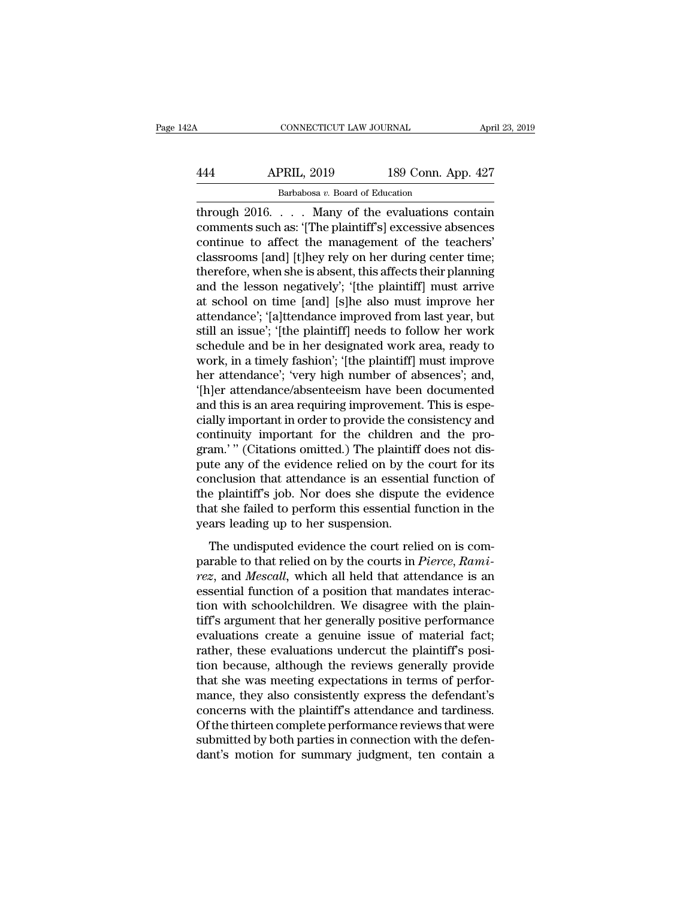# CONNECTICUT LAW JOURNAL April 23, 2019<br>444 APRIL, 2019 189 Conn. App. 427<br>Barbabosa v. Board of Education CONNECTICUT LAW JOURNAL<br>PRIL, 2019 189 Conn. Ap<br>Barbabosa *v.* Board of Education<br>Many of the evaluations of

CONNECTICUT LAW JOURNAL April 23, 2019<br>
444 APRIL, 2019 189 Conn. App. 427<br>
Barbabosa v. Board of Education<br>
through 2016. . . . Many of the evaluations contain<br>
comments such as: '[The plaintiff's] excessive absences APRIL, 2019 189 Conn. App. 427<br>
Barbabosa v. Board of Education<br>
through 2016.... Many of the evaluations contain<br>
comments such as: '[The plaintiff's] excessive absences<br>
continue to affect the management of the teachers'  $\begin{array}{c|c} \text{APRIL, 2019} & \text{189 Conn. App. 427} \ \hline \text{Barbabosa } v. \text{ Board of Education} \ \text{through 2016.} \quad . \quad . \quad \text{Many of the evaluations contain} \ \text{comments such as: '[The plaintiff's] excessive absences} \ \text{continue to affect the management of the teachers' classrooms [and] [t]hey rely on her during center time; \ \text{thoroforo, when cho is about this effect their planning} \end{array}$  $\begin{array}{ll}\n & \text{APRIL, 2019} & \text{189 Conn. App. 427}\n \hline\n & \text{Barbabosa } v. \text{ Board of Education} \\
 \text{through 2016.} \ldots \text{. Many of the evaluations contain}\n \text{comments such as: '[The plaintiff's] excessive absences}\n \text{continue to affect the management of the teachers'}\n \text{classrooms [and] [t]hey rely on her during center time;}\n \text{therefore, when she is absent, this affects their planning}\n \text{and the loss on postively': 'the a plaintiff! must arrive\n \end{array}$ Barbabosa v. Board of Education<br>through 2016.... Many of the evaluations contain<br>comments such as: '[The plaintiff's] excessive absences<br>continue to affect the management of the teachers'<br>classrooms [and] [t]hey rely on he Barbabosa v. Board of Education<br>through 2016.... Many of the evaluations contain<br>comments such as: '[The plaintiff's] excessive absences<br>continue to affect the management of the teachers'<br>classrooms [and] [t]hey rely on h through 2016. . . . Many of the evaluations contain<br>comments such as: '[The plaintiff's] excessive absences<br>continue to affect the management of the teachers'<br>classrooms [and] [t]hey rely on her during center time;<br>therefo comments such as: '[The plaintiff's] excessive absences<br>continue to affect the management of the teachers'<br>classrooms [and] [t]hey rely on her during center time;<br>therefore, when she is absent, this affects their planning<br> continue to affect the management of the teachers'<br>classrooms [and] [t]hey rely on her during center time;<br>therefore, when she is absent, this affects their planning<br>and the lesson negatively'; '[the plaintiff] must arrive classrooms [and] [t]hey rely on her during center time;<br>therefore, when she is absent, this affects their planning<br>and the lesson negatively'; '[the plaintiff] must arrive<br>at school on time [and] [s]he also must improve he therefore, when she is absent, this affects their planning<br>and the lesson negatively'; '[the plaintiff] must arrive<br>at school on time [and] [s]he also must improve her<br>attendance'; '[a]ttendance improved from last year, bu and the lesson negatively'; '(the plaintiff] must arrive<br>at school on time [and] [s]he also must improve her<br>attendance'; '[a]ttendance improved from last year, but<br>still an issue'; '[the plaintiff] needs to follow her wor at school on time [and] [s]he also must improve her<br>attendance'; '[a]ttendance improved from last year, but<br>still an issue'; '[the plaintiff] needs to follow her work<br>schedule and be in her designated work area, ready to<br>w attendance'; '{a]ttendance improved from last year, but<br>still an issue'; '{the plaintiff] needs to follow her work<br>schedule and be in her designated work area, ready to<br>work, in a timely fashion'; '{the plaintiff] must imp still an issue'; '[the plaintiff] needs to follow her work<br>schedule and be in her designated work area, ready to<br>work, in a timely fashion'; '[the plaintiff] must improve<br>her attendance'; 'very high number of absences'; an schedule and be in her designated work area, ready to<br>work, in a timely fashion'; '[the plaintiff] must improve<br>her attendance'; 'very high number of absences'; and,<br>'[h]er attendance/absenteeism have been documented<br>and t work, in a timely fashion'; '[the plaintiff] must improve<br>her attendance'; 'very high number of absences'; and,<br>'[h]er attendance/absenteeism have been documented<br>and this is an area requiring improvement. This is espe-<br>ci her attendance'; 'very high number of absences'; and,<br>'[h]er attendance/absenteeism have been documented<br>and this is an area requiring improvement. This is espe-<br>cially important in order to provide the consistency and<br>con '[h]er attendance/absenteeism have been documented<br>and this is an area requiring improvement. This is espe-<br>cially important in order to provide the consistency and<br>continuity important for the children and the pro-<br>gram.' and this is an area requiring improvement. This is especially important in order to provide the consistency and continuity important for the children and the program.'" (Citations omitted.) The plaintiff does not dispute a cially important in order to provide the consistency and<br>continuity important for the children and the pro-<br>gram.'" (Citations omitted.) The plaintiff does not dis-<br>pute any of the evidence relied on by the court for its<br>c continuity important for the children<br>gram.'" (Citations omitted.) The plaintiff<br>pute any of the evidence relied on by the<br>conclusion that attendance is an essentit<br>the plaintiff's job. Nor does she dispute<br>that she failed The plant is also the evidence relied on by the court for its<br>nellsion that attendance is an essential function of<br>e plaintiff's job. Nor does she dispute the evidence<br>at she failed to perform this essential function in t parable to that attendance is an essential function of the plaintiff's job. Nor does she dispute the evidence that she failed to perform this essential function in the years leading up to her suspension.<br>The undisputed evi

*resolutation* and determined is an essential random of the plaintiff's job. Nor does she dispute the evidence that she failed to perform this essential function in the years leading up to her suspension.<br>The undisputed ev that she failed to perform this essential function in the<br>years leading up to her suspension.<br>The undisputed evidence the court relied on is com-<br>parable to that relied on by the courts in *Pierce*, Rami-<br>rez, and Mescall, The undisputed evidence the court relied on is comparable to that relied on by the courts in *Pierce*, Rami-<br>parable to that relied on by the courts in *Pierce*, Rami-<br>rez, and *Mescall*, which all held that attendance is The undisputed evidence the court relied on is comparable to that relied on by the courts in *Pierce*, Rami-<br>rez, and *Mescall*, which all held that attendance is an<br>essential function of a position that mandates interac-The undisputed evidence the court relied on is comparable to that relied on by the courts in *Pierce*, Rami-<br>rez, and Mescall, which all held that attendance is an<br>essential function of a position that mandates interac-<br>ti parable to that relied on by the courts in *Pierce*, Rami-<br>rez, and Mescall, which all held that attendance is an<br>essential function of a position that mandates interac-<br>tion with schoolchildren. We disagree with the plain rez, and *Mescall*, which all held that attendance is an essential function of a position that mandates interaction with schoolchildren. We disagree with the plaintiff's argument that her generally positive performance eva essential function of a position that mandates interaction with schoolchildren. We disagree with the plaintiff's argument that her generally positive performance evaluations create a genuine issue of material fact; rather, tion with schoolchildren. We disagree with the plain-<br>tiff's argument that her generally positive performance<br>evaluations create a genuine issue of material fact;<br>rather, these evaluations undercut the plaintiff's posi-<br>ti tiff's argument that her generally positive performance<br>evaluations create a genuine issue of material fact;<br>rather, these evaluations undercut the plaintiff's posi-<br>tion because, although the reviews generally provide<br>tha evaluations create a genuine issue of material fact;<br>rather, these evaluations undercut the plaintiff's posi-<br>tion because, although the reviews generally provide<br>that she was meeting expectations in terms of perfor-<br>mance rather, these evaluations undercut the plaintiff's position because, although the reviews generally provide that she was meeting expectations in terms of performance, they also consistently express the defendant's concerns tion because, although the reviews generally provide<br>that she was meeting expectations in terms of perfor-<br>mance, they also consistently express the defendant's<br>concerns with the plaintiff's attendance and tardiness.<br>Of th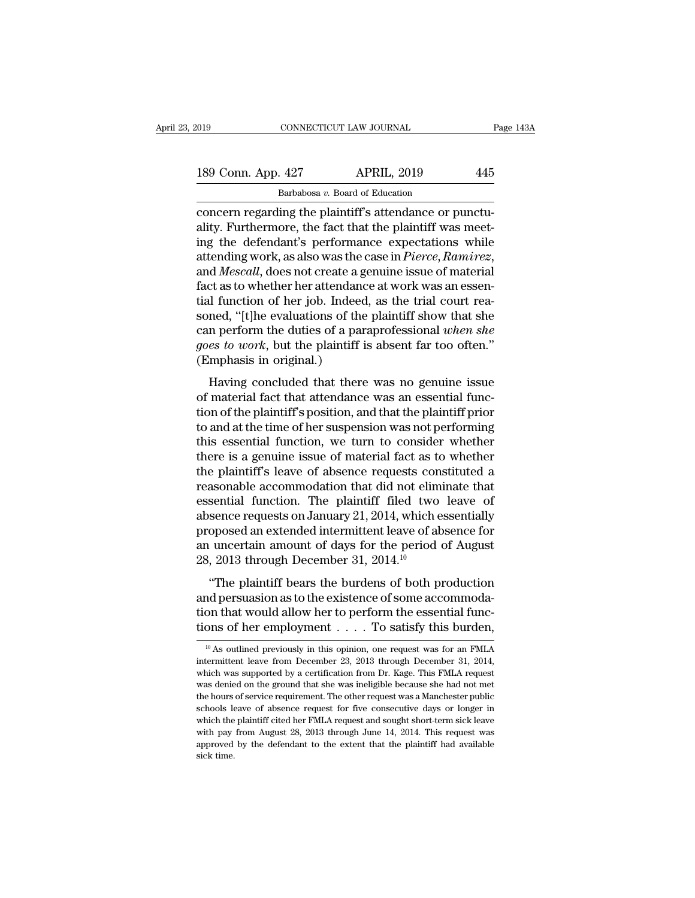| 019 |                    | CONNECTICUT LAW JOURNAL                                 | Page 143A |
|-----|--------------------|---------------------------------------------------------|-----------|
|     | 189 Conn. App. 427 | <b>APRIL, 2019</b>                                      | 445       |
|     |                    | Barbabosa v. Board of Education                         |           |
|     |                    | concern regarding the plaintiff's attendance or punctu- |           |

convecticut LAW JOURNAL<br>
189 Conn. App. 427 APRIL, 2019 445<br>
Barbabosa v. Board of Education<br>
concern regarding the plaintiff's attendance or punctu-<br>
ality. Furthermore, the fact that the plaintiff was meet-<br>
ing the defe 189 Conn. App. 427 APRIL, 2019 445<br>Barbabosa v. Board of Education<br>Concern regarding the plaintiff's attendance or punctu-<br>ality. Furthermore, the fact that the plaintiff was meet-<br>ing the defendant's performance expectat 189 Conn. App. 427 APRIL, 2019 445<br>
Barbabosa v. Board of Education<br>
concern regarding the plaintiff's attendance or punctu-<br>
ality. Furthermore, the fact that the plaintiff was meet-<br>
ing the defendant's performance expe 189 Conn. App. 427 APRIL, 2019 445<br> **Barbabosa** v. Board of Education<br>
concern regarding the plaintiff's attendance or punctu-<br>
ality. Furthermore, the fact that the plaintiff was meet-<br>
ing the defendant's performance ex Barbabosa  $v$ . Board of Education<br>concern regarding the plaintiff's attendance or punctu-<br>ality. Furthermore, the fact that the plaintiff was meet-<br>ing the defendant's performance expectations while<br>attending work, as als concern regarding the plaintiff's attendance or punctuality. Furthermore, the fact that the plaintiff was meet-<br>ing the defendant's performance expectations while<br>attending work, as also was the case in *Pierce*, Ramirez,<br> ality. Furthermore, the fact that the plaintiff was meeting the defendant's performance expectations while attending work, as also was the case in *Pierce*, Ramirez, and *Mescall*, does not create a genuine issue of materi ing the defendant's performance expectations while<br>attending work, as also was the case in *Pierce*, Ramirez,<br>and Mescall, does not create a genuine issue of material<br>fact as to whether her attendance at work was an essenattending work, as also was the case in *Pierce, Ramirez*, and *Mescall*, does not create a genuine issue of material fact as to whether her attendance at work was an essential function of her job. Indeed, as the trial cou and *Mescall*, does not create a g<br>fact as to whether her attendance<br>tial function of her job. Indeed<br>soned, "[t]he evaluations of the<br>can perform the duties of a par<br>goes to work, but the plaintiff i<br>(Emphasis in original If function of her job. Indeed, as the trial court rea-<br>ned, "[t]he evaluations of the plaintiff show that she<br>n perform the duties of a paraprofessional *when she*<br>es to work, but the plaintiff is absent far too often."<br> and rate for or her jost mater, as the that evant reads<br>soned, "[t]he evaluations of the plaintiff show that she<br>can perform the duties of a paraprofessional *when she<br>goes to work*, but the plaintiff is absent far too of

From the duties of a paraprofessional *when she*<br>goes to work, but the plaintiff is absent far too often."<br>(Emphasis in original.)<br>Having concluded that there was no genuine issue<br>of material fact that attendance was an e the vertex of a paraportessional when the<br>goes to work, but the plaintiff is absent far too often."<br>(Emphasis in original.)<br>Having concluded that there was no genuine issue<br>of material fact that attendance was an essential (Emphasis in original.)<br>
Having concluded that there was no genuine issue<br>
of material fact that attendance was an essential func-<br>
tion of the plaintiff's position, and that the plaintiff prior<br>
to and at the time of her Having concluded that there was no genuine issue<br>of material fact that attendance was an essential func-<br>tion of the plaintiff's position, and that the plaintiff prior<br>to and at the time of her suspension was not performin Having concluded that there was no genuine issue<br>of material fact that attendance was an essential func-<br>tion of the plaintiff's position, and that the plaintiff prior<br>to and at the time of her suspension was not performin of material fact that attendance was an essential function of the plaintiff's position, and that the plaintiff prior<br>to and at the time of her suspension was not performing<br>this essential function, we turn to consider whet tion of the plaintiff's position, and that the plaintiff prior<br>to and at the time of her suspension was not performing<br>this essential function, we turn to consider whether<br>there is a genuine issue of material fact as to wh to and at the time of her suspension was not performing<br>this essential function, we turn to consider whether<br>there is a genuine issue of material fact as to whether<br>the plaintiff's leave of absence requests constituted a<br>r this essential function, we turn to consider whether<br>there is a genuine issue of material fact as to whether<br>the plaintiff's leave of absence requests constituted a<br>reasonable accommodation that did not eliminate that<br>ess there is a genuine issue of material fact as to whether<br>the plaintiff's leave of absence requests constituted a<br>reasonable accommodation that did not eliminate that<br>essential function. The plaintiff filed two leave of<br>abse the plaintiff's leave of absence requests con<br>reasonable accommodation that did not elim<br>essential function. The plaintiff filed two<br>absence requests on January 21, 2014, which e<br>proposed an extended intermittent leave of Sential function. The plaintiff filed two leave of<br>sence requests on January 21, 2014, which essentially<br>oposed an extended intermittent leave of absence for<br>uncertain amount of days for the period of August<br>, 2013 through absence requests on January 21, 2014, which essentially<br>proposed an extended intermittent leave of absence for<br>an uncertain amount of days for the period of August<br>28, 2013 through December 31, 2014.<sup>10</sup><br>"The plaintiff be

proposed an extended intermittent leave of absence for<br>an uncertain amount of days for the period of August<br>28, 2013 through December 31, 2014.<sup>10</sup><br>"The plaintiff bears the burdens of both production<br>and persuasion as to an uncertain amount of days for the period of August 28, 2013 through December 31, 2014.<sup>10</sup><br>
"The plaintiff bears the burdens of both production<br>
and persuasion as to the existence of some accommodation<br>
that would allow "The plaintiff bears the burdens of both production<br>nd persuasion as to the existence of some accommoda-<br>on that would allow her to perform the essential func-<br>ons of her employment . . . . To satisfy this burden,<br> $\frac{10}{$ and persuasion as to the existence of some accommodation that would allow her to perform the essential functions of her employment . . . . To satisfy this burden,  $\frac{10 \text{ As outlined previously in this opinion, one request was for an FMLA}$  intermittent leave from Decembe

tion that would allow her to perform the essential functions of her employment . . . . To satisfy this burden,<br> $\frac{10}{10}$  As outlined previously in this opinion, one request was for an FMLA intermittent leave from Decemb The ground that she was denied on the ground that she was for an FMLA intermittent leave from December 23, 2013 through December 31, 2014, which was supported by a certification from Dr. Kage. This FMLA request was denied The hours of the entiproyment  $\cdots$  is to satisfy this buttleft,<br>it is a continued previously in this opinion, one request was for an FMLA<br>intermittent leave from December 23, 2013 through December 31, 2014,<br>which was sup  $^{10}$  As outlined previously in this opinion, one request was for an FMLA intermittent leave from December 23, 2013 through December 31, 2014, which was supported by a certification from Dr. Kage. This FMLA request was d intermittent leave from December 23, 2013 through December 31, 2014, which was supported by a certification from Dr. Kage. This FMLA request was denied on the ground that she was ineligible because she had not met the hour intermittent leave from December 23, 2013 through December 31, 2014, which was supported by a certification from Dr. Kage. This FMLA request was denied on the ground that she was ineligible because she had not met the hou was denied on the ground that she was ineligible because she had not met<br>the hours of service requirement. The other request was a Manchester public<br>schools leave of absence request for five consecutive days or longer in<br>w the hours of service requirement. The other request was a Manchester public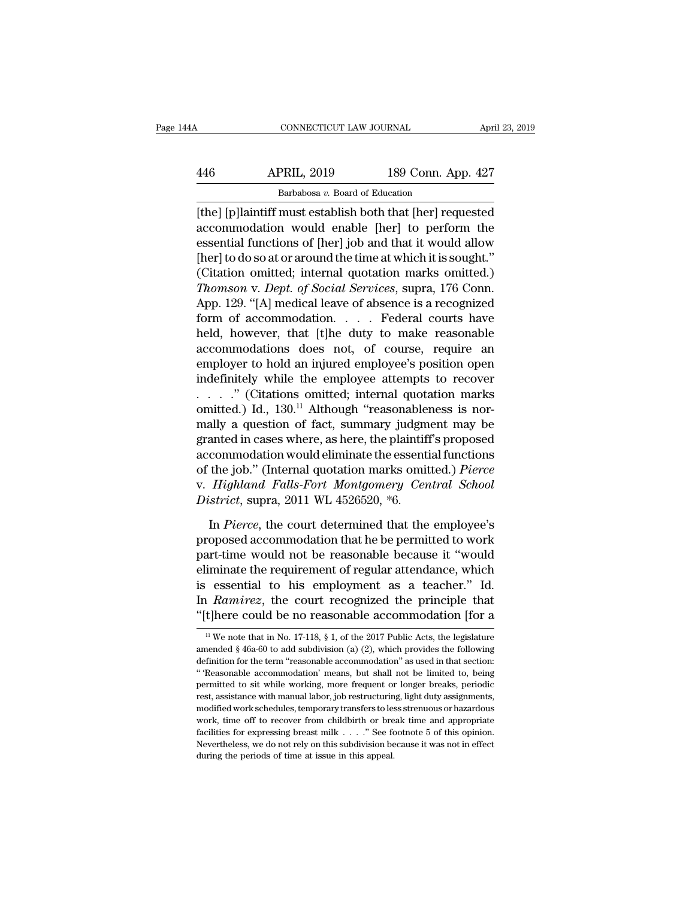# CONNECTICUT LAW JOURNAL April 23, 2019<br>446 APRIL, 2019 189 Conn. App. 427<br>Barbabosa v. Board of Education CONNECTICUT LAW JOURNAL April<br>446 APRIL, 2019 189 Conn. App. 427<br>Barbabosa *v.* Board of Education<br>[the] [p]laintiff must establish both that [her] requested

CONNECTICUT LAW JOURNAL April 23, 2019<br>
446 APRIL, 2019 189 Conn. App. 427<br>
Barbabosa v. Board of Education<br>
[the] [p]laintiff must establish both that [her] requested<br>
accommodation would enable [her] to perform the<br>
acco  $\begin{array}{ll}\n & \text{APRIL, 2019} & \text{189 Conn. App. 427}\n \hline\n & \text{Barbabosa } v. \text{ Board of Education}\n \end{array}\n \begin{array}{ll}\n & \text{Barbabosa } v. \text{ Board of Education}\n \end{array}\n \begin{array}{ll}\n & \text{the} \text{[p]} \text{laintiff must establish both that [her] requested}\n \end{array}\n \begin{array}{ll}\n & \text{a constant of } v. \text{ For example, the model of the system is given by}\n & \text{the} \text{diam of the system of the system is given by}\n & \text{the} \text{diam of the system is given by}\n &$ APRIL, 2019 189 Conn. App. 427<br>
Barbabosa v. Board of Education<br>
[the] [p] laintiff must establish both that [her] requested<br>
accommodation would enable [her] to perform the<br>
essential functions of [her] job and that it w  $\frac{\text{APRIL, 2019}}{\text{Barbabosa } v. \text{ Board of Education}}$ <br>
[the] [p]laintiff must establish both that [her] requested<br>
accommodation would enable [her] to perform the<br>
essential functions of [her] job and that it would allow<br>
[her] to do so at Barbabosa v. Board of Education<br>
[the] [p]laintiff must establish both that [her] requested<br>
accommodation would enable [her] to perform the<br>
essential functions of [her] job and that it would allow<br>
[her] to do so at or *The Sanabosa v. Board of Edducation*<br> *The I* [p] laintiff must establish both that [her] requested<br>
accommodation would enable [her] to perform the<br>
essential functions of [her] job and that it would allow<br> *Thomson* v. [the] [p]laintiff must establish both that [her] requested<br>accommodation would enable [her] to perform the<br>essential functions of [her] job and that it would allow<br>[her] to do so at or around the time at which it is sought accommodation would enable [her] to perform the<br>essential functions of [her] job and that it would allow<br>[her] to do so at or around the time at which it is sought."<br>(Citation omitted; internal quotation marks omitted.)<br>*T* essential functions of [her] job and that it would allow<br>[her] to do so at or around the time at which it is sought."<br>(Citation omitted; internal quotation marks omitted.)<br>*Thomson v. Dept. of Social Services*, supra, 176 [her] to do so at or around the time at which it is sought."<br>
(Citation omitted; internal quotation marks omitted.)<br> *Thomson v. Dept. of Social Services*, supra, 176 Conn.<br>
App. 129. "[A] medical leave of absence is a re (Citation omitted; internal quotation marks omitted.)<br>
Thomson v. Dept. of Social Services, supra, 176 Conn.<br>
App. 129. "[A] medical leave of absence is a recognized<br>
form of accommodation.... Federal courts have<br>
held, h Thomson v. Dept. of Social Services, supra, 176 Conn.<br>App. 129. "[A] medical leave of absence is a recognized<br>form of accommodation. . . . . Federal courts have<br>held, however, that [t]he duty to make reasonable<br>accommodat App. 129. "[A] medical leave of absence is a recognized<br>form of accommodation. . . . . Federal courts have<br>held, however, that [t]he duty to make reasonable<br>accommodations does not, of course, require an<br>employer to hold form of accommodation. . . . . Federal courts have<br>held, however, that [t]he duty to make reasonable<br>accommodations does not, of course, require an<br>employer to hold an injured employee's position open<br>indefinitely while th held, however, that [t]he duty to make reasonable<br>accommodations does not, of course, require an<br>employer to hold an injured employee's position open<br>indefinitely while the employee attempts to recover<br> $\dots$ ." (Citations o accommodations does not, of course, require an<br>employer to hold an injured employee's position open<br>indefinitely while the employee attempts to recover<br> $\dots$ ." (Citations omitted; internal quotation marks<br>omitted.) Id., 13 employer to hold an injured employee's position open<br>indefinitely while the employee attempts to recover<br>....." (Citations omitted; internal quotation marks<br>omitted.) Id., 130.<sup>11</sup> Although "reasonableness is nor-<br>mally a indefinitely while the employee attempts to recover<br>
. . . . . " (Citations omitted; internal quotation marks<br>
omitted.) Id., 130.<sup>11</sup> Although "reasonableness is nor-<br>
mally a question of fact, summary judgment may be<br>
gr . . . . . " (Citations omitted; internal quotation marks<br>omitted.) Id., 130.<sup>11</sup> Although "reasonableness is nor-<br>mally a question of fact, summary judgment may be<br>granted in cases where, as here, the plaintiff's proposed<br> omitted.) Id., 130.<sup>11</sup> Although "reasonables<br>mally a question of fact, summary judgm<br>granted in cases where, as here, the plaintif<br>accommodation would eliminate the essenti<br>of the job." (Internal quotation marks omit<br>v. anted in cases where, as here, the plaintiff's proposed<br>commodation would eliminate the essential functions<br>the job." (Internal quotation marks omitted.) *Pierce*<br>*Highland Falls-Fort Montgomery Central School*<br>*strict*, s accommodation would eliminate the essential functions<br>of the job." (Internal quotation marks omitted.) *Pierce*<br>v. *Highland Falls-Fort Montgomery Central School*<br>*District*, supra, 2011 WL 4526520, \*6.<br>In *Pierce*, the co

of the job." (Internal quotation marks omitted.) *Pierce*<br>v. *Highland Falls-Fort Montgomery Central School*<br>*District*, supra, 2011 WL 4526520, \*6.<br>In *Pierce*, the court determined that the employee's<br>proposed accommodat v. *Highland Falls-Fort Montgomery Central School*<br>District, supra, 2011 WL 4526520, \*6.<br>In *Pierce*, the court determined that the employee's<br>proposed accommodation that he be permitted to work<br>part-time would not be reas District, supra, 2011 WL 4526520, \*6.<br>
In *Pierce*, the court determined that the employee's<br>
proposed accommodation that he be permitted to work<br>
part-time would not be reasonable because it "would<br>
eliminate the requirem In *Pierce*, the court determined that the employee's<br>proposed accommodation that he be permitted to work<br>part-time would not be reasonable because it "would<br>eliminate the requirement of regular attendance, which<br>is essent In *Pierce*, the court determined that the employee's<br>proposed accommodation that he be permitted to work<br>part-time would not be reasonable because it "would<br>eliminate the requirement of regular attendance, which<br>is essen eliminate the requirement of regular attendance, which<br>is essential to his employment as a teacher." Id.<br>In *Ramirez*, the court recognized the principle that<br>"[t]here could be no reasonable accommodation [for a<br> $\frac{11}{10$ is essential to his employment as a teacher." Id.<br>In *Ramirez*, the court recognized the principle that<br>"[t]here could be no reasonable accommodation [for a<br> $\frac{11}{10}$  We note that in No. 17-118, § 1, of the 2017 Public

In *Ramirez*, the court recognized the principle that "[t]here could be no reasonable accommodation [for a  $\frac{11}{10}$  We note that in No. 17-118, § 1, of the 2017 Public Acts, the legislature amended § 46a-60 to add subd "[t]here could be no reasonable accommodation [for a<br>
<sup>11</sup> We note that in No. 17-118, § 1, of the 2017 Public Acts, the legislature<br>
amended § 46a-60 to add subdivision (a) (2), which provides the following<br>
definition f Figure COULT DE TO TEASONADIE ACCONDITIOUALION [101 A<br>
<sup>11</sup> We note that in No. 17-118, § 1, of the 2017 Public Acts, the legislature<br>
amended § 46a-60 to add subdivision (a) (2), which provides the following<br>
definition <sup>11</sup> We note that in No. 17-118, § 1, of the 2017 Public Acts, the legislature amended § 46a-60 to add subdivision (a) (2), which provides the following definition for the term "reasonable accommodation" as used in that s amended § 46a-60 to add subdivision (a) (2), which provides the following definition for the term "reasonable accommodation" as used in that section: "Reasonable accommodation" means, but shall not be limited to, being pe definition for the term "reasonable accommodation" as used in that section:<br>"(Reasonable accommodation) means, but shall not be limited to, being<br>permitted to sit while working, more frequent or longer breaks, periodic<br>res " Reasonable accommodation' means, but shall not be limited to, being permitted to sit while working, more frequent or longer breaks, periodic rest, assistance with manual labor, job restructuring, light duty assignments, permitted to sit while working, more frequent or longer breaks, periodic rest, assistance with manual labor, job restructuring, light duty assignments,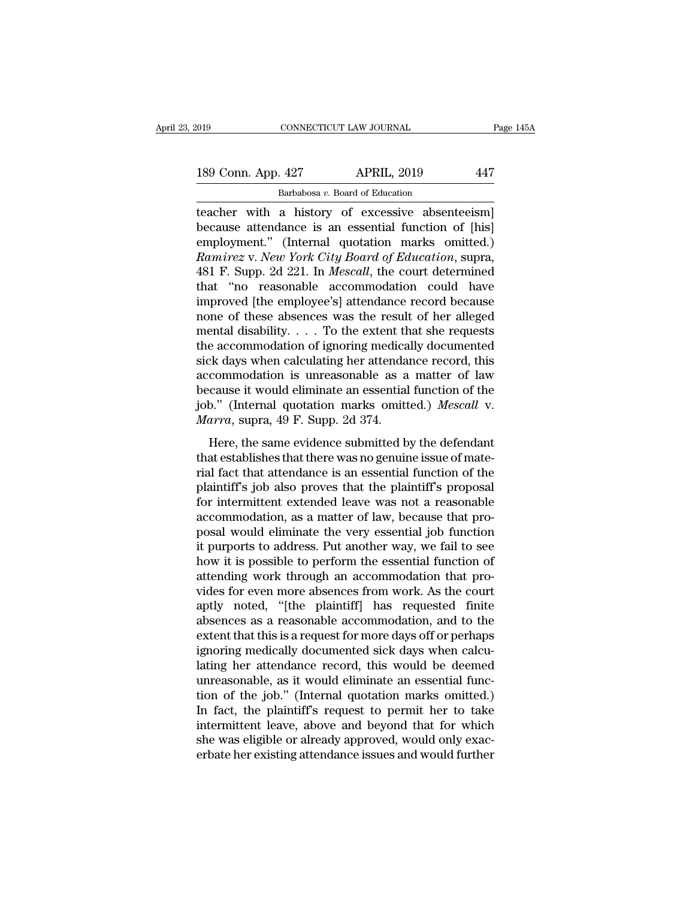189 Conn. App. 427 APRIL, 2019 447<br>Barbabosa v. Board of Education

CONNECTICUT LAW JOURNAL<br>
. 427 APRIL, 2019<br>
Barbabosa *v*. Board of Education<br>
a history of excessive absent The CONNECTICUT LAW JOURNAL Page 145<br>
189 Conn. App. 427 APRIL, 2019 447<br>
Barbabosa v. Board of Education<br>
teacher with a history of excessive absenteeism<br>
because attendance is an essential function of [his]<br>
employment" 189 Conn. App. 427 APRIL, 2019 447<br>Barbabosa v. Board of Education<br>teacher with a history of excessive absenteeism]<br>because attendance is an essential function of [his]<br>employment." (Internal quotation marks omitted.) 189 Conn. App. 427 APRIL, 2019 447<br>
Barbabosa v. Board of Education<br>
teacher with a history of excessive absenteeism]<br>
because attendance is an essential function of [his]<br>
employment." (Internal quotation marks omitted.) *Ramirez* 189 Conn. App. 427 *APRIL, 2019* 447<br> *Rarbabosa v. Board of Education*<br> *Racher* with a history of excessive absenteeism<br> *Recause attendance is an essential function of [his]*<br> *Ramirez* v. *New York City Board* Barbabosa *v.* Board of Education<br>
teacher with a history of excessive absenteeism]<br>
because attendance is an essential function of [his]<br>
employment." (Internal quotation marks omitted.)<br> *Ramirez* v. *New York City Board* Barbabosa v. Board of Education<br>
teacher with a history of excessive absenteeism]<br>
because attendance is an essential function of [his]<br>
employment." (Internal quotation marks omitted.)<br> *Ramirez* v. *New York City Board* teacher with a history of excessive absenteeism]<br>because attendance is an essential function of [his]<br>employment." (Internal quotation marks omitted.)<br>*Ramirez* v. *New York City Board of Education*, supra,<br>481 F. Supp. 2d because attendance is an essential function of [his]<br>employment." (Internal quotation marks omitted.)<br>*Ramirez* v. *New York City Board of Education*, supra,<br>481 F. Supp. 2d 221. In *Mescall*, the court determined<br>that "no employment." (Internal quotation marks omitted.)<br> *Ramirez* v. *New York City Board of Education*, supra,<br>
481 F. Supp. 2d 221. In *Mescall*, the court determined<br>
that "no reasonable accommodation could have<br>
improved [th Ramirez v. New York City Board of Education, supra,<br>481 F. Supp. 2d 221. In Mescall, the court determined<br>that "no reasonable accommodation could have<br>improved [the employee's] attendance record because<br>none of these absen 481 F. Supp. 2d 221. In *Mescall*, the court determined<br>that "no reasonable accommodation could have<br>improved [the employee's] attendance record because<br>none of these absences was the result of her alleged<br>mental disabili that "no reasonable accommodation could have<br>improved [the employee's] attendance record because<br>none of these absences was the result of her alleged<br>mental disability.... To the extent that she requests<br>the accommodation improved [the employee's] attendance record because<br>none of these absences was the result of her alleged<br>mental disability. . . . To the extent that she requests<br>the accommodation of ignoring medically documented<br>sick day none of these absences was the result of her alleged<br>mental disability.... To the extent that she requests<br>the accommodation of ignoring medically documented<br>sick days when calculating her attendance record, this<br>accommod mental disability. . . . To the extent the accommodation of ignoring medica<br>sick days when calculating her attenda<br>accommodation is unreasonable as a<br>because it would eliminate an essential<br>job." (Internal quotation marks Ex days when calculating her attendance record, this<br>commodation is unreasonable as a matter of law<br>cause it would eliminate an essential function of the<br>b." (Internal quotation marks omitted.) *Mescall* v.<br> $\pi r \alpha$ , supra Example 2013 when calculating for acchiating from the accommodation is unreasonable as a matter of law<br>because it would eliminate an essential function of the<br>job." (Internal quotation marks omitted.) *Mescall* v.<br>*Marra*,

recommodation is unceasonable as a matter of naw<br>because it would eliminate an essential function of the<br>job." (Internal quotation marks omitted.) Mescall v.<br>Marra, supra, 49 F. Supp. 2d 374.<br>Here, the same evidence submit job." (Internal quotation marks omitted.) *Mescall* v.<br>*Marra*, supra, 49 F. Supp. 2d 374.<br>Here, the same evidence submitted by the defendant<br>that establishes that there was no genuine issue of mate-<br>rial fact that attend *Marra*, supra, 49 F. Supp. 2d 374.<br>
Here, the same evidence submitted by the defendant<br>
that establishes that there was no genuine issue of mate-<br>
rial fact that attendance is an essential function of the<br>
plaintiff's jo Here, the same evidence submitted by the defendant<br>that establishes that there was no genuine issue of mate-<br>rial fact that attendance is an essential function of the<br>plaintiff's job also proves that the plaintiff's propo Here, the same evidence submitted by the defendant<br>that establishes that there was no genuine issue of mate-<br>rial fact that attendance is an essential function of the<br>plaintiff's job also proves that the plaintiff's propos that establishes that there was no genuine issue of mate-<br>rial fact that attendance is an essential function of the<br>plaintiff's job also proves that the plaintiff's proposal<br>for intermittent extended leave was not a reason rial fact that attendance is an essential function of the plaintiff's job also proves that the plaintiff's proposal<br>for intermittent extended leave was not a reasonable<br>accommodation, as a matter of law, because that pro-<br> plaintiff's job also proves that the plaintiff's proposal<br>for intermittent extended leave was not a reasonable<br>accommodation, as a matter of law, because that pro-<br>posal would eliminate the very essential job function<br>it p for intermittent extended leave was not a reasonable<br>accommodation, as a matter of law, because that pro-<br>posal would eliminate the very essential job function<br>it purports to address. Put another way, we fail to see<br>how it accommodation, as a matter of law, because that pro-<br>posal would eliminate the very essential job function<br>it purports to address. Put another way, we fail to see<br>how it is possible to perform the essential function of<br>att posal would eliminate the very essential job function<br>it purports to address. Put another way, we fail to see<br>how it is possible to perform the essential function of<br>attending work through an accommodation that pro-<br>vides it purports to address. Put another way, we fail to see<br>how it is possible to perform the essential function of<br>attending work through an accommodation that pro-<br>vides for even more absences from work. As the court<br>aptly n how it is possible to perform the essential function of attending work through an accommodation that provides for even more absences from work. As the court aptly noted, "[the plaintiff] has requested finite absences as a attending work through an accommodation that provides for even more absences from work. As the court<br>aptly noted, "[the plaintiff] has requested finite<br>absences as a reasonable accommodation, and to the<br>extent that this is vides for even more absences from work. As the court<br>aptly noted, "[the plaintiff] has requested finite<br>absences as a reasonable accommodation, and to the<br>extent that this is a request for more days off or perhaps<br>ignoring aptly noted, "[the plaintiff] has requested finite<br>absences as a reasonable accommodation, and to the<br>extent that this is a request for more days off or perhaps<br>ignoring medically documented sick days when calcu-<br>lating he absences as a reasonable accommodation, and to the<br>extent that this is a request for more days off or perhaps<br>ignoring medically documented sick days when calcu-<br>lating her attendance record, this would be deemed<br>unreasona extent that this is a request for more days off or perhaps<br>ignoring medically documented sick days when calcu-<br>lating her attendance record, this would be deemed<br>unreasonable, as it would eliminate an essential func-<br>tion ignoring medically documented sick days when calculating her attendance record, this would be deemed unreasonable, as it would eliminate an essential function of the job." (Internal quotation marks omitted.) In fact, the p lating her attendance record, this would be deemed<br>unreasonable, as it would eliminate an essential func-<br>tion of the job." (Internal quotation marks omitted.)<br>In fact, the plaintiff's request to permit her to take<br>intermi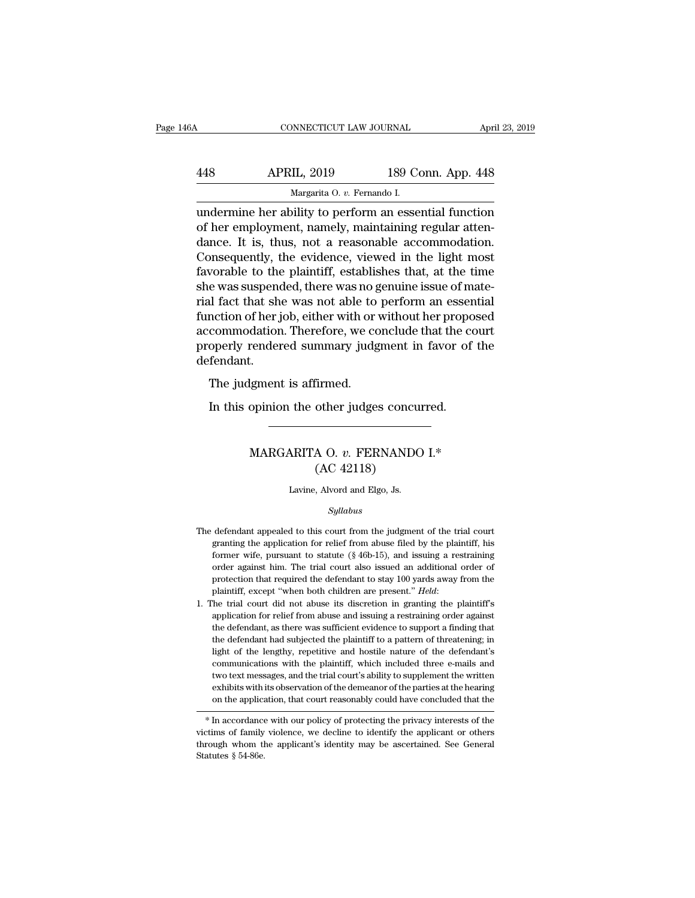| l6A | CONNECTICUT LAW JOURNAL                                                                                                                                            |                    | April 23, 2019 |
|-----|--------------------------------------------------------------------------------------------------------------------------------------------------------------------|--------------------|----------------|
|     |                                                                                                                                                                    |                    |                |
| 448 | <b>APRIL, 2019</b>                                                                                                                                                 | 189 Conn. App. 448 |                |
|     | Margarita O. v. Fernando I.                                                                                                                                        |                    |                |
|     | undermine her ability to perform an essential function<br>of her employment, namely, maintaining regular atten-<br>dance It is thus not a reasonable accommodation |                    |                |

APRIL, 2019 189 Conn. App. 448<br>
Margarita 0. v. Fernando I.<br>
undermine her ability to perform an essential function<br>
of her employment, namely, maintaining regular atten-<br>
dance. It is, thus, not a reasonable accommodation APRIL, 2019 189 Conn. App. 448<br>
Margarita O. v. Fernando I.<br>
undermine her ability to perform an essential function<br>
of her employment, namely, maintaining regular atten-<br>
dance. It is, thus, not a reasonable accommodation  $\begin{array}{r} \text{APRIL, 2019} \text{189 Conn. App. 448} \\ \hline \text{Margarita 0. } v. \text{ Fernando I.} \end{array}$ <br>
undermine her ability to perform an essential function<br>
of her employment, namely, maintaining regular atten-<br>
dance. It is, thus, not a reasonable accomm Margarita O. v. Fernando I.<br>
undermine her ability to perform an essential function<br>
of her employment, namely, maintaining regular atten-<br>
dance. It is, thus, not a reasonable accommodation.<br>
Consequently, the evidence, v undermine her ability to perform an essential function<br>of her employment, namely, maintaining regular atten-<br>dance. It is, thus, not a reasonable accommodation.<br>Consequently, the evidence, viewed in the light most<br>favorabl undermine her ability to perform an essential function<br>of her employment, namely, maintaining regular atten-<br>dance. It is, thus, not a reasonable accommodation.<br>Consequently, the evidence, viewed in the light most<br>favorabl of her employment, namely, maintaining regular atten-<br>dance. It is, thus, not a reasonable accommodation.<br>Consequently, the evidence, viewed in the light most<br>favorable to the plaintiff, establishes that, at the time<br>she w dance. It is, thus, not a reasonable accommodation.<br>Consequently, the evidence, viewed in the light most<br>favorable to the plaintiff, establishes that, at the time<br>she was suspended, there was no genuine issue of mate-<br>rial Consequently, the evidence, viewed in the light most<br>favorable to the plaintiff, establishes that, at the time<br>she was suspended, there was no genuine issue of mate-<br>rial fact that she was not able to perform an essential<br> defendant. If fact that she was not able to<br>al fact that she was not able to<br>nction of her job, either with or<br>commodation. Therefore, we co<br>operly rendered summary judg<br>fendant.<br>The judgment is affirmed.<br>In this opinion the other ju nction of her job, either with or without her propo<br>commodation. Therefore, we conclude that the co<br>operly rendered summary judgment in favor of<br>fendant.<br>The judgment is affirmed.<br>In this opinion the other judges concurred

## Margaret is affirmed.<br>
opinion the other judges concurred.<br>
MARGARITA O. *v*. FERNANDO I.\*<br>
(AC 42118) firmed.<br>
other judges concu<br>
A O. v. FERNAND(<br>
(AC 42118)<br>
, Alvord and Elgo, Js. MARGARITA O.  $v$ . FERNANDO I.\*<br>(AC 42118)<br>Lavine, Alvord and Elgo, Js.

## *Syllabus*

- $(AC 42118)$ <br>Lavine, Alvord and Elgo, Js.<br> $Syllabus$ <br>The defendant appealed to this court from the judgment of the trial court granting the application for relief from abuse filed by the plaintiff, his Lavine, Alvord and Elgo, Js.<br>
Syllabus<br>
defendant appealed to this court from the judgment of the trial court<br>
granting the application for relief from abuse filed by the plaintiff, his<br>
former wife, pursuant to statute (§ Lavine, Alvord and Elgo, Js.<br>
Syllabus<br>
defendant appealed to this court from the judgment of the trial court<br>
granting the application for relief from abuse filed by the plaintiff, his<br>
former wife, pursuant to statute (§  $Syllabus$ <br>defendant appealed to this court from the judgment of the trial court<br>granting the application for relief from abuse filed by the plaintiff, his<br>former wife, pursuant to statute  $(\frac{8}{16} - 15)$ , and issuing a restr symmus<br>defendant appealed to this court from the judgment of the trial court<br>granting the application for relief from abuse filed by the plaintiff, his<br>former wife, pursuant to statute (§ 46b-15), and issuing a restraining The defendant appealed to this court from the judgment of the trial court granting the application for relief from abuse filed by the plaintiff, his former wife, pursuant to statute  $(\S 46b-15)$ , and issuing a restraining former wife, pursuant to statute (§ 46b-15), and issuing a restraining order against him. The trial court also issued an additional order of protection that required the defendant to stay 100 yards away from the plaintiff
- order against him. The trial court also issued an additional order of protection that required the defendant to stay 100 yards away from the plaintiff, except "when both children are present." *Held*: The trial court did n protection that required the defendant to stay 100 yards away from the plaintiff, except "when both children are present." *Held*:<br>The trial court did not abuse its discretion in granting the plaintiff's application for re plaintiff, except "when both children are present." *Held*:<br>The trial court did not abuse its discretion in granting the plaintiff's<br>application for relief from abuse and issuing a restraining order against<br>the defendant, The trial court did not abuse its discretion in granting the plaintiff's application for relief from abuse and issuing a restraining order against the defendant, as there was sufficient evidence to support a finding that t application for relief from abuse and issuing a restraining order against the defendant, as there was sufficient evidence to support a finding that the defendant had subjected the plaintiff to a pattern of threatening; in the defendant, as there was sufficient evidence to support a finding that the defendant had subjected the plaintiff to a pattern of threatening; in light of the lengthy, repetitive and hostile nature of the defendant's com the defendant had subjected the plaintiff to a pattern of threatening; in light of the lengthy, repetitive and hostile nature of the defendant's communications with the plaintiff, which included three e-mails and two text fight of the lengthy, repettive and hostile hadded three e-mails and<br>communications with the plaintiff, which included three e-mails and<br>two text messages, and the trial court's ability to supplement the written<br>exhibits w communications with the piantini, winch included three e-mails and<br>two text messages, and the trial court's ability to supplement the written<br>exhibits with its observation of the demeanor of the parties at the hearing<br>on t

two text messages, and the trial court's ability to supplement the written<br>exhibits with its observation of the demeanor of the parties at the hearing<br>on the application, that court reasonably could have concluded that the exitions with<br>
on the applica<br>
\* In accordance<br>
victims of family<br>
through whom the<br>
Statutes § 54-86e.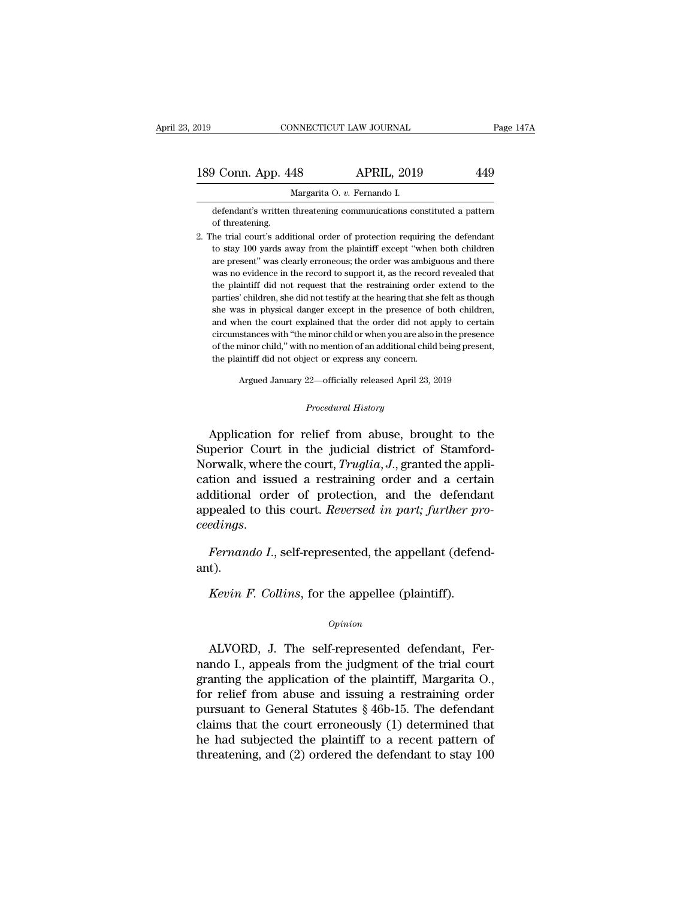| 2019               | CONNECTICUT LAW JOURNAL                                                                                                                             | Page 147A |
|--------------------|-----------------------------------------------------------------------------------------------------------------------------------------------------|-----------|
| 189 Conn. App. 448 | <b>APRIL, 2019</b>                                                                                                                                  | 449       |
|                    | Margarita O. v. Fernando I.                                                                                                                         |           |
| of threatening.    | defendant's written threatening communications constituted a pattern<br>2. The trial court's additional order of protection requiring the defendant |           |

2. The trial court's additional order of protection requiring the defendant to stay 100 yards away from the plaintiff except "when both children" Margarita O. v. Fernando I.<br>defendant's written threatening communications constituted a pattern<br>of threatening.<br>he trial court's additional order of protection requiring the defendant<br>to stay 100 yards away from the plain margarita O. *v.* Fernando I.<br>defendant's written threatening communications constituted a pattern<br>of threatening.<br>he trial court's additional order of protection requiring the defendant<br>to stay 100 yards away from the pla defendant's written threatening communications constituted a pattern<br>of threatening.<br>he trial court's additional order of protection requiring the defendant<br>to stay 100 yards away from the plaintiff except "when both child of threatening.<br>
he trial court's additional order of protection requiring the defendant<br>
to stay 100 yards away from the plaintiff except "when both children<br>
are present" was clearly erroneous; the order was ambiguous an he trial court's additional order of protection requiring the defendant<br>to stay 100 yards away from the plaintiff except "when both children<br>are present" was clearly erroneous; the order was ambiguous and there<br>was no evid to stay 100 yards away from the plaintiff except "when both children<br>are present" was clearly erroneous; the order was ambiguous and there<br>was no evidence in the record to support it, as the record revealed that<br>the plaint are present" was clearly erroneous; the order was ambiguous and there was no evidence in the record to support it, as the record revealed that the plaintiff did not request that the restraining order extend to the parties' was no evidence in the record to support it, as the record revealed that<br>the plaintiff did not request that the restraining order extend to the<br>parties' children, she did not testify at the hearing that she felt as though<br> was no evidence in the record to support it, as the record revealed that<br>the plaintiff did not request that the restraining order extend to the<br>parties' children, she did not testify at the hearing that she felt as though<br> parties' children, she did not testify at the hearing that she felt as though circumstances with "the minor child or when you are also in the presence

Argued January 22—officially released April 23, 2019<br>*Procedural History*<br>Application for relief from abuse, brought to the of the minor child," with no mention of an additional child being present,<br>the plaintiff did not object or express any concern.<br>Argued January 22—officially released April 23, 2019<br>*Procedural History*<br>Application for reli the plaintiff did not object or express any concern.<br>
Argued January 22—officially released April 23, 2019<br>
Procedural History<br>
Application for relief from abuse, brought to the<br>
Superior Court in the judicial district of Argued January 22—officially released April 23, 2019<br>
Procedural History<br>
Application for relief from abuse, brought to the<br>
Superior Court in the judicial district of Stamford-<br>
Norwalk, where the court, *Truglia*, *J*., *Procedural History*<br>Application for relief from abuse, brought to the<br>Superior Court in the judicial district of Stamford-<br>Norwalk, where the court, *Truglia*, *J*., granted the appli-<br>cation and issued a restraining orde *Procedural History*<br>Application for relief from abuse, brought to the<br>Superior Court in the judicial district of Stamford-<br>Norwalk, where the court, *Truglia*, *J*., granted the appli-<br>cation and issued a restraining orde Application for relief from abuse, brought to the<br>Superior Court in the judicial district of Stamford-<br>Norwalk, where the court, *Truglia*, *J*., granted the appli-<br>cation and issued a restraining order and a certain<br>addit *Norwalk, where the court, Truglia, J., granted the application and issued a restraining order and a certain additional order of protection, and the defendant appealed to this court. <i>Reversed in part; further proceedings.* pealed to this court. *Reversed in part; further pr*<br>*Rernando I.*, self-represented, the appellant (defen<br>t).<br>*Kevin F. Collins*, for the appellee (plaintiff).

ant).

## *Opinion*

Fernando 1., sch-represented, the appellant (defendant).<br> *Kevin F. Collins*, for the appellee (plaintiff).<br> *Opinion*<br>
ALVORD, J. The self-represented defendant, Fer-<br>
ndo I., appeals from the judgment of the trial court Kevin F. Collins, for the appellee (plaintiff).<br>
opinion<br>
ALVORD, J. The self-represented defendant, Fer-<br>
nando I., appeals from the judgment of the trial court<br>
granting the application of the plaintiff, Margarita O.,<br>
f Kevin F. Collins, for the appellee (plaintiff).<br>
Opinion<br>
ALVORD, J. The self-represented defendant, Fernando I., appeals from the judgment of the trial court<br>
granting the application of the plaintiff, Margarita O.,<br>
for opinion<br>
for all Common Common Common Common Common Common Common Common Common Common Common Common Common Common Common Common Common Common Common Common Common Common Common Common Common Common Common Common Common Co *Opinion*<br>
ALVORD, J. The self-represented defendant, Fernando I., appeals from the judgment of the trial court<br>
granting the application of the plaintiff, Margarita O.,<br>
for relief from abuse and issuing a restraining or ALVORD, J. The self-represented defendant, Fernando I., appeals from the judgment of the trial court granting the application of the plaintiff, Margarita O., for relief from abuse and issuing a restraining order pursuant ALVORD, J. The self-represented defendant, Fernando I., appeals from the judgment of the trial court granting the application of the plaintiff, Margarita O., for relief from abuse and issuing a restraining order pursuant nando I., appeals from the judgment of the trial court<br>granting the application of the plaintiff, Margarita O.,<br>for relief from abuse and issuing a restraining order<br>pursuant to General Statutes § 46b-15. The defendant<br>cla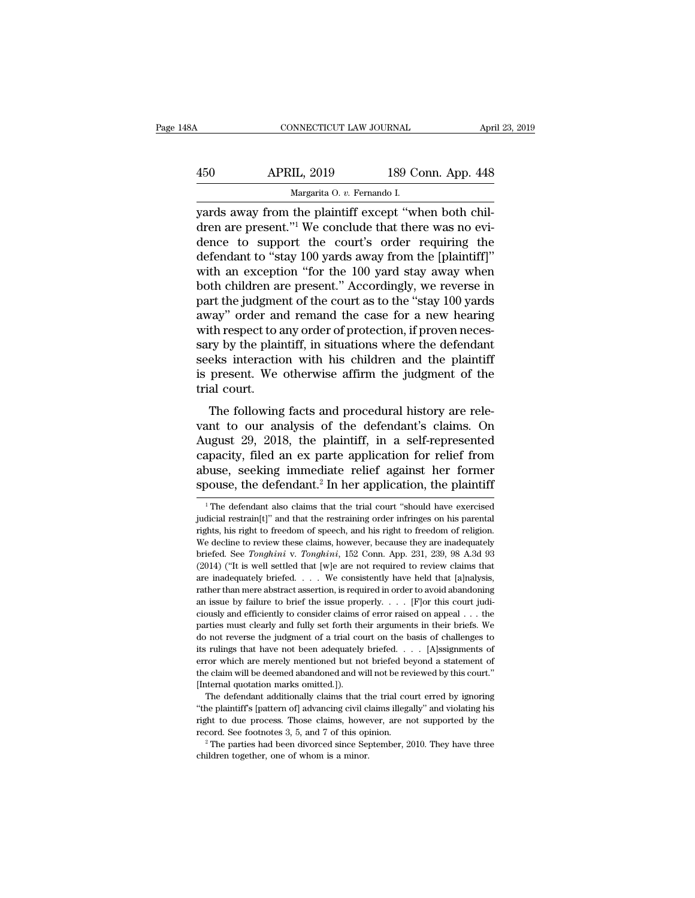| 48A | CONNECTICUT LAW JOURNAL                               |                    | April 23, 2019 |
|-----|-------------------------------------------------------|--------------------|----------------|
| 450 | <b>APRIL, 2019</b>                                    | 189 Conn. App. 448 |                |
|     | Margarita O. v. Fernando I.                           |                    |                |
|     | vards away from the plaintiff except "when both chil- |                    |                |

CONNECTICUT LAW JOURNAL APT<br>
450 APRIL, 2019 189 Conn. App. 448<br>
Margarita O. v. Fernando I.<br>
189 Conn. App. 448<br>
189 Conn. App. 448<br>
189 Conn. App. 448<br>
189 Conn. App. 448<br>
189 Conn. App. 448<br>
189 Conn. App. 448<br>
189 Conn 450 APRIL, 2019 189 Conn. App. 448<br>Margarita 0. v. Fernando I.<br>Arendo I.<br>Juan are present.''<sup>1</sup> We conclude that there was no evi-<br>dence to support the court's order requiring the<br>defendant to "stay 100 yards away from the  $\frac{\text{APRIL, 2019}}{\text{Margarita 0. } v. \text{ Fernando I.}}$ <br>
yards away from the plaintiff except "when both children are present."<sup>1</sup> We conclude that there was no evidence to support the court's order requiring the defendant to "stay 100 yard  $\frac{\text{APRIL, 2019}}{\text{Margarita 0. } v. \text{ Fernando I.}}$ <br>
yards away from the plaintiff except "when both children are present."<sup>1</sup> We conclude that there was no evidence to support the court's order requiring the defendant to "stay 100 yard Margarita 0. *v.* Fernando I.<br>
yards away from the plaintiff except "when both chil-<br>
dren are present."<sup>1</sup> We conclude that there was no evi-<br>
dence to support the court's order requiring the<br>
defendant to "stay 100 yard Marganta O.  $v$ . Fernando I.<br>
yards away from the plaintiff except "when both chil-<br>
dren are present."<sup>1</sup> We conclude that there was no evi-<br>
defendant to "stay 100 yards away from the [plaintiff]"<br>
with an exception "fo yards away from the plaintiff except "when both children are present."<sup>1</sup> We conclude that there was no evidence to support the court's order requiring the defendant to "stay 100 yards away from the [plaintiff]" with an ex dren are present."<sup>1</sup> We conclude that there was no evi-<br>dence to support the court's order requiring the<br>defendant to "stay 100 yards away from the [plaintiff]"<br>with an exception "for the 100 yard stay away when<br>both chil dence to support the court's order requiring the<br>defendant to "stay 100 yards away from the [plaintiff]"<br>with an exception "for the 100 yard stay away when<br>both children are present." Accordingly, we reverse in<br>part the ju defendant to "stay 100 yards away from the [plaintiff]"<br>with an exception "for the 100 yard stay away when<br>both children are present." Accordingly, we reverse in<br>part the judgment of the court as to the "stay 100 yards<br>awa with an exception "for the 100 yard stay away when<br>both children are present." Accordingly, we reverse in<br>part the judgment of the court as to the "stay 100 yards<br>away" order and remand the case for a new hearing<br>with resp both children are present." Accordingly, we reverse in<br>part the judgment of the court as to the "stay 100 yards<br>away" order and remand the case for a new hearing<br>with respect to any order of protection, if proven neces-<br>sa part the judgme<br>away" order an<br>with respect to a<br>sary by the plain<br>seeks interactic<br>is present. We<br>trial court.<br>The following May offer and remaind the case for a new nearing<br>th respect to any order of protection, if proven neces-<br>ry by the plaintiff, in situations where the defendant<br>eks interaction with his children and the plaintiff<br>present. what respect to any order or protection, in proven necessary by the plaintiff, in situations where the defendant<br>seeks interaction with his children and the plaintiff<br>is present. We otherwise affirm the judgment of the<br>tri

Sary by the plantin, in situations where the detendant<br>seeks interaction with his children and the plaintiff<br>is present. We otherwise affirm the judgment of the<br>trial court.<br>The following facts and procedural history are r is present. We otherwise affirm the judgment of the<br>trial court.<br>The following facts and procedural history are rele-<br>vant to our analysis of the defendant's claims. On<br>August 29, 2018, the plaintiff, in a self-represente abuse of the following facts and procedural history are relevant to our analysis of the defendant's claims. On August 29, 2018, the plaintiff, in a self-represented capacity, filed an ex parte application for relief from a The following facts and procedural history are relevant to our analysis of the defendant's claims. On August 29, 2018, the plaintiff, in a self-represented capacity, filed an ex parte application for relief from abuse, see August 29, 2018, the plaintiff, in a self-represented capacity, filed an ex parte application for relief from abuse, seeking immediate relief against her former spouse, the defendant.<sup>2</sup> In her application, the plaintiff capacity, filed an ex parte application for relief from<br>abuse, seeking immediate relief against her former<br>spouse, the defendant.<sup>2</sup> In her application, the plaintiff<br> $\frac{1}{1}$  The defendant also claims that the trial cou

abuse, seeking immediate relief against her former spouse, the defendant.<sup>2</sup> In her application, the plaintiff  $\frac{1}{1}$  The defendant also claims that the trial court "should have exercised judicial restraint[t]" and tha spouse, the defendant.<sup>2</sup> In her application, the plaintiff  $\overline{ }$ <br><sup>1</sup> The defendant also claims that the trial court "should have exercised judicial restraint[1]" and that the restraining order infringes on his parental briefed. See *Tonghini* v. *Tomghini*, 152 Conn. App. 231, 239, 98 A.3d 93 (2014) ("It is well settled that [we are not required to review these claims, however, because they are inadequately briefed. See *Tonghini* v. *To* <sup>1</sup> The defendant also claims that the trial court "should have exercised judicial restrain(t]" and that the restraining order infringes on his parental rights, his right to freedom of speech, and his right to freedom of judicial restrain[1]" and that the restraining order infringes on his parental rights, his right to freedom of speech, and his right to freedom of religion. We decline to review these claims, however, because they are ina rights, his right to freedom of speech, and his right to freedom of religion.<br>We decline to review these claims, however, because they are inadequately briefed. See *Tonghini* v. *Tonghini*, 152 Conn. App. 231, 239, 98 A. We decline to review these claims, however, because they are inadequately briefed. See *Tonghini* v. *Tonghini*, 152 Conn. App. 231, 239, 98 A.3d 93 (2014) ("It is well settled that [w]e are not required to review claims briefed. See *Tonghini* v. *Tonghini*, 152 Conn. App. 231, 239, 98 A.3d 93 (2014) ("It is well settled that [w]e are not required to review claims that are inadequately briefed. . . . We consistently have held that [a]nal (2014) ("It is well settled that [w]e are not required to review claims that are inadequately briefed. . . . We consistently have held that [a]nalysis, rather than mere abstract assertion, is required in order to avoid ab are inadequately briefed.  $\ldots$  We consistently have held that [a]nalysis, rather than mere abstract assertion, is required in order to avoid abandoning an issue by failure to brief the issue properly.  $\ldots$  [F]or this co Frather than mere abstract assertion, is required in order to avoid abandoning<br>an issue by failure to brief the issue properly. . . . [F] or this court judi-<br>ciously and efficiently to consider claims of error raised on a Framework are merely the issue properly. The fourth is court judiciously and efficiently to consider claims of error raised on appeal  $\ldots$  the parties must clearly and fully set forth their arguments in their briefs. We ciously and efficiently to consider claims of error raised on appeal  $\ldots$  the parties must clearly and fully set forth their arguments in their briefs. We do not reverse the judgment of a trial court on the basis of chal parties must clearly and fully set forth the<br>do not reverse the judgment of a trial countis rulings that have not been adequately<br>error which are merely mentioned but not<br>the claim will be deemed abandoned and we<br>[Internal The defendant additionally claims that the trial court on the basis of challenges to rulings that have not been adequately briefed. . . . . [A]ssignments of or which are merely mentioned but not briefed beyond a statement The plaintiff's that have not been adequately briefed. . . . [A]ssignments of error which are merely mentioned but not briefed beyond a statement of the claim will be deemed abandoned and will not be reviewed by this court

For which are merely mentioned but not briefed beyond a statement of the claim will be deemed abandoned and will not be reviewed by this court."<br>[Internal quotation marks omitted.]).<br>The defendant additionally claims that the claim will be deemed abandoned and will not be reviewed by this court."<br>[Internal quotation marks omitted.]).<br>The defendant additionally claims that the trial court erred by ignoring<br>"the plaintiff's [pattern of] advan [Internal quotation marks omitted.]).<br>The defendant additionally claims that the trial court erred by ignoring<br>"the plaintiff's [pattern of] advancing civil claims illegally" and violating his<br>right to due process. Those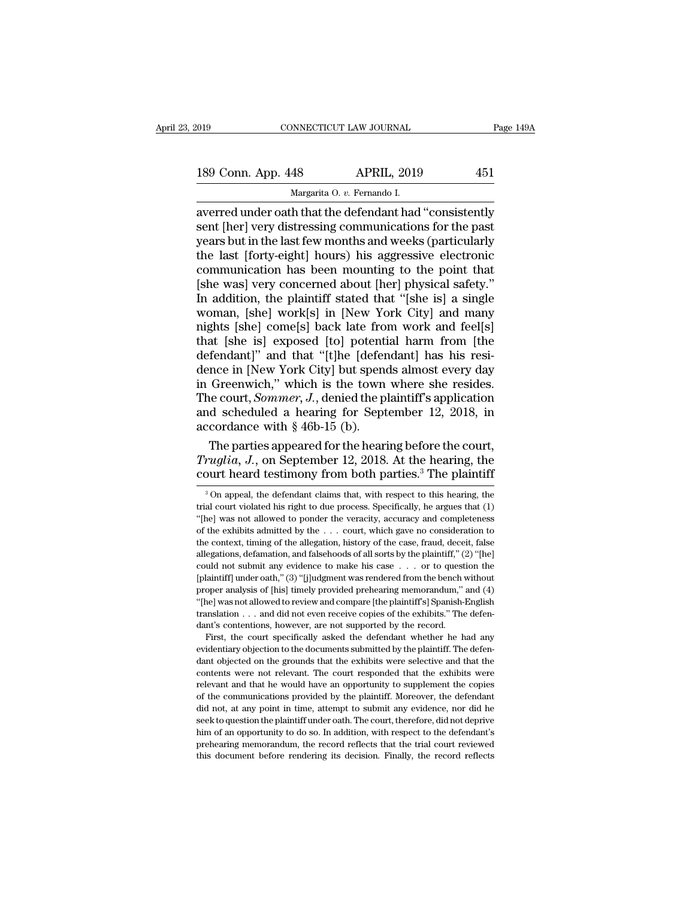| 2019               | CONNECTICUT LAW JOURNAL                                 | Page 149A |
|--------------------|---------------------------------------------------------|-----------|
| 189 Conn. App. 448 | <b>APRIL, 2019</b>                                      | 451       |
|                    | Margarita O. v. Fernando I.                             |           |
|                    | averred under oath that the defendant had "consistently |           |

connectricut LAW JOURNAL Page 149A<br>
189 Conn. App. 448 APRIL, 2019 451<br>
Margarita O. v. Fernando I.<br>
averred under oath that the defendant had "consistently<br>
sent [her] very distressing communications for the past<br>
vears b 189 Conn. App. 448 APRIL, 2019 451<br>Margarita 0. v. Fernando I.<br>averred under oath that the defendant had "consistently<br>sent [her] very distressing communications for the past<br>years but in the last few months and weeks (par 189 Conn. App. 448 APRIL, 2019 451<br>
Margarita 0. v. Fernando I.<br>
averred under oath that the defendant had "consistently<br>
sent [her] very distressing communications for the past<br>
years but in the last few months and weeks 189 Conn. App. 448 APRIL, 2019 451<br>
Margarita 0. v. Fernando I.<br>
averred under oath that the defendant had "consistently<br>
sent [her] very distressing communications for the past<br>
years but in the last few months and weeks Margarita O. v. Fernando I.<br>
Margarita O. v. Fernando I.<br>
averred under oath that the defendant had "consistently<br>
sent [her] very distressing communications for the past<br>
years but in the last few months and weeks (partic Margarita O. v. Fernando I.<br>
averred under oath that the defendant had "consistently<br>
sent [her] very distressing communications for the past<br>
years but in the last few months and weeks (particularly<br>
the last [forty-eight averred under oath that the defendant had "consistently<br>sent [her] very distressing communications for the past<br>years but in the last few months and weeks (particularly<br>the last [forty-eight] hours) his aggressive electron sent [her] very distressing communications for the past<br>years but in the last few months and weeks (particularly<br>the last [forty-eight] hours) his aggressive electronic<br>communication has been mounting to the point that<br>[sh years but in the last few months and weeks (particularly<br>the last [forty-eight] hours) his aggressive electronic<br>communication has been mounting to the point that<br>[she was] very concerned about [her] physical safety."<br>In a the last [forty-eight] hours) his aggressive electronic<br>communication has been mounting to the point that<br>[she was] very concerned about [her] physical safety."<br>In addition, the plaintiff stated that "[she is] a single<br>wom communication has been mounting to the point that<br>
[she was] very concerned about [her] physical safety."<br>
In addition, the plaintiff stated that "[she is] a single<br>
woman, [she] work[s] in [New York City] and many<br>
nights [she was] very concerned about [her] physical safety."<br>In addition, the plaintiff stated that "[she is] a single<br>woman, [she] work[s] in [New York City] and many<br>nights [she] come[s] back late from work and feel[s]<br>that [s In addition, the plaintiff stated that "[she is] a single<br>woman, [she] work[s] in [New York City] and many<br>nights [she] come[s] back late from work and feel[s]<br>that [she is] exposed [to] potential harm from [the<br>defendant woman, [she] work[s] in [New York City] and many<br>nights [she] come[s] back late from work and feel[s]<br>that [she is] exposed [to] potential harm from [the<br>defendant]" and that "[t]he [defendant] has his resi-<br>dence in [New mights [she] come[s] back late from work and feel[s]<br>that [she is] exposed [to] potential harm from [the<br>defendant]" and that "[t]he [defendant] has his resi-<br>dence in [New York City] but spends almost every day<br>in Greenw that [she is] exposed [to] potenti<br>defendant]" and that "[t]he [defer<br>dence in [New York City] but spend<br>in Greenwich," which is the town<br>The court, *Sommer*, *J*., denied the pl<br>and scheduled a hearing for Sept<br>accordance fendant]" and that "[t]he [defendant] has his resi-<br>nce in [New York City] but spends almost every day<br>Greenwich," which is the town where she resides.<br>le court, *Sommer*, *J*., denied the plaintiff's application<br>d schedu dence in [New York City] but spends almost every day<br>in Greenwich," which is the town where she resides.<br>The court, *Sommer*, *J*., denied the plaintiff's application<br>and scheduled a hearing for September 12, 2018, in<br>acco in Greenwich," which is the town where she resides.<br>The court, *Sommer*, *J*., denied the plaintiff's application<br>and scheduled a hearing for September 12, 2018, in<br>accordance with § 46b-15 (b).<br>The parties appeared for t

The parties appeared for the hearing before the court,<br> *ruglia*, *J*., on September 12, 2018. At the hearing, the<br>
purt heard testimony from both parties.<sup>3</sup> The plaintiff<br>
<sup>3</sup>On appeal, the defendant claims that, with r The parties appeared for the hearing before the court, *Truglia*, *J*., on September 12, 2018. At the hearing, the court heard testimony from both parties.<sup>3</sup> The plaintiff  $\frac{3}{100}$  appeal, the defendant claims that, w

"The was not allowed to review and compare [the plaintiff's] Spanish-English translation  $\ldots$  and did not even receive copies of the exhibits." The defendant's contentions, however, are not supported by the record. First translation  $\ldots$  and did not even receive copies of the exhibits." The defendant's contentions, however, are not supported by the record.<br>First, the court specifically asked the defendant whether he had any evidentiary o dant's contentions, however, are not supported by the record.<br>First, the court specifically asked the defendant whether he had any<br>evidentiary objection to the documents submitted by the plaintiff. The defen-<br>dant objected First, the court specifically asked the defendant whether he had any evidentiary objection to the documents submitted by the plaintiff. The defendant objected on the grounds that the exhibits were selective and that the co evidentiary objection to the documents submitted by the plaintiff. The defi-<br>evidentiary objection to the documents submitted by the plaintiff. The defi-<br>dant objected on the grounds that the exhibits were selective and th standard vertice of one of the grounds that the exhibits were selective and that the contents were not relevant. The court responded that the exhibits were relevant and that he would have an opportunity to supplement the c dant objected on the grounds that the exhibits were selective and that the contents were not relevant. The court responded that the exhibits were relevant and that he would have an opportunity to supplement the copies of t relevant and that he would have an opportunity to supplement the copies of the communications provided by the plaintiff. Moreover, the defendant did not, at any point in time, attempt to submit any evidence, nor did he see of the communications provided by the plaintiff. Moreover, the defendant

Truglia, J., on September 12, 2018. At the hearing, the court heard testimony from both parties.<sup>3</sup> The plaintiff  $\frac{3}{100}$  appeal, the defendant claims that, with respect to this hearing, the trial court violated his r Fragona, 9., on September 12, 2010. The the electring, the court heard testimony from both parties.<sup>3</sup> The plaintiff  $\frac{3}{100}$  appeal, the defendant claims that, with respect to this hearing, the trial court violated hi COUTT HEATG LESTINIONY ITOIN DOLT PATTIES. THE PIAINITITY TO APPROVED THAT AND APPROVED THE COUNT ON THE COUNT ON THE ALLET THE ALLET THE COUNT WAS not allowed to ponder the veracity, accuracy and completeness of the exhi <sup>3</sup> On appeal, the defendant claims that, with respect to this hearing, the trial court violated his right to due process. Specifically, he argues that (1) "[he] was not allowed to ponder the veracity, accuracy and comple trial court violated his right to due process. Specifically, he argues that (1) "[he] was not allowed to ponder the veracity, accuracy and completeness of the exhibits admitted by the . . . court, which gave no considerat "[he] was not allowed to ponder the veracity, accuracy and completeness of the exhibits admitted by the . . . court, which gave no consideration to the context, timing of the allegation, history of the case, fraud, deceit of the exhibits admitted by the  $\ldots$  court, which gave no consideration to the context, timing of the allegation, history of the case, fraud, deceit, false allegations, defamation, and falsehoods of all sorts by the plai the context, timing of the allegation, history of the case, fraud, deceit, false allegations, defamation, and falsehoods of all sorts by the plaintiff," (2) "[he] could not submit any evidence to make his case  $\ldots$  or to allegations, defamation, and false<br>hoods of all sorts by the plaintiff," (2) "[he] could not submit any evidence to make his case . . . or to question the [plaintiff] under oath," (3) "[j]udgment was rendered from the ben could not submit any evidence to make his case . . . or to question the all antiff] under oath," (3) "[j]udgment was rendered from the bench without laintiff] under oath," (3) "[j]udgment was rendered from the bench without oper analysis of [his] timely provided prehearing memorandum," and (4) evidentiary analysis of [his] timely provided prehearing memorandum," and (4) "[he] was not allowed to review and compare [the plaintiff's] Spanish-English translation  $\ldots$  and did not even receive copies of the exhibits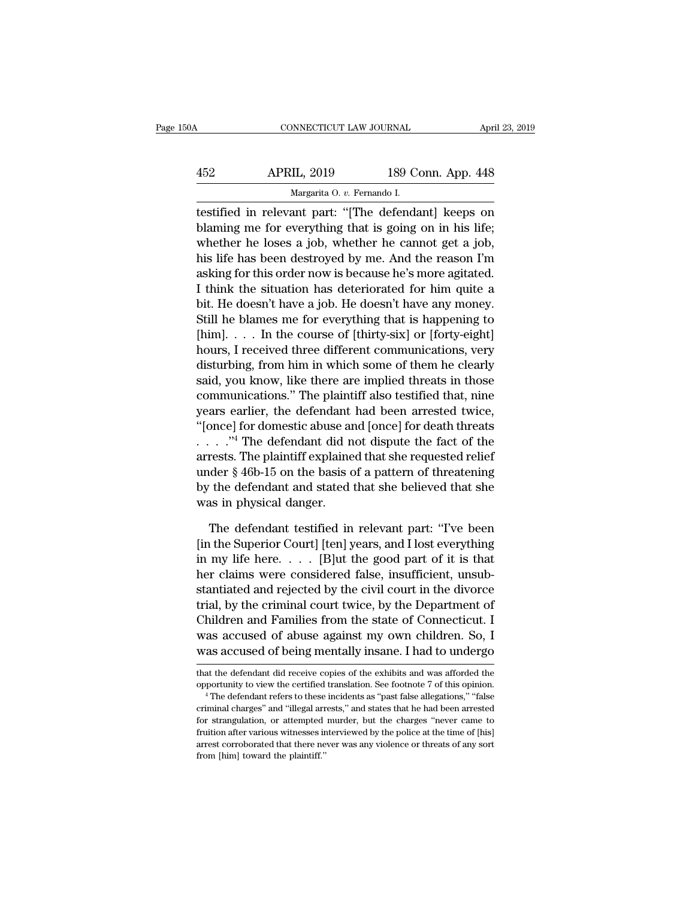| 50A | CONNECTICUT LAW JOURNAL                              |                    | April 23, 2019 |
|-----|------------------------------------------------------|--------------------|----------------|
| 452 | <b>APRIL, 2019</b>                                   | 189 Conn. App. 448 |                |
|     | Margarita O. v. Fernando I.                          |                    |                |
|     | testified in relevant part: "The defendantl keeps on |                    |                |

CONNECTICUT LAW JOURNAL April 23, 2019<br>
452 APRIL, 2019 189 Conn. App. 448<br>
Margarita 0. v. Fernando I.<br>
1651 Testified in relevant part: "[The defendant] keeps on<br>
blaming me for everything that is going on in his life;<br> APRIL, 2019 189 Conn. App. 448<br>Margarita 0. v. Fernando I.<br>Testified in relevant part: "[The defendant] keeps on<br>blaming me for everything that is going on in his life;<br>whether he loses a job, whether he cannot get a job,<br> APRIL, 2019 189 Conn. App. 448<br>
Margarita O. v. Fernando I.<br>
testified in relevant part: "[The defendant] keeps on<br>
blaming me for everything that is going on in his life;<br>
whether he loses a job, whether he cannot get a j  $\frac{\text{APRIL, 2019}}{\text{Margarita 0. } v. \text{ Fernando I.}}$ <br>
testified in relevant part: "[The defendant] keeps on<br>
blaming me for everything that is going on in his life;<br>
whether he loses a job, whether he cannot get a job,<br>
his life has been Margarita O. v. Fernando I.<br>
testified in relevant part: "[The defendant] keeps on<br>
blaming me for everything that is going on in his life;<br>
whether he loses a job, whether he cannot get a job,<br>
his life has been destroyed I the situation of the situation of the situation in the situation of the situation of blaming me for everything that is going on in his life; whether he loses a job, whether he cannot get a job, his life has been destroye testified in relevant part: "[The defendant] keeps on<br>blaming me for everything that is going on in his life;<br>whether he loses a job, whether he cannot get a job,<br>his life has been destroyed by me. And the reason I'm<br>askin blaming me for everything that is going on in his life;<br>whether he loses a job, whether he cannot get a job,<br>his life has been destroyed by me. And the reason I'm<br>asking for this order now is because he's more agitated.<br>I whether he loses a job, whether he cannot get a job,<br>his life has been destroyed by me. And the reason I'm<br>asking for this order now is because he's more agitated.<br>I think the situation has deteriorated for him quite a<br>bit his life has been destroyed by me. And the reason I'm<br>asking for this order now is because he's more agitated.<br>I think the situation has deteriorated for him quite a<br>bit. He doesn't have a job. He doesn't have any money.<br>S asking for this order now is because he's more agitated.<br>I think the situation has deteriorated for him quite a<br>bit. He doesn't have a job. He doesn't have any money.<br>Still he blames me for everything that is happening to<br> I think the situation has deteriorated for him quite a<br>bit. He doesn't have a job. He doesn't have any money.<br>Still he blames me for everything that is happening to<br>[him]. . . . In the course of [thirty-six] or [forty-eigh bit. He doesn't have a job. He doesn't have any money.<br>Still he blames me for everything that is happening to<br>[him]. . . . In the course of [thirty-six] or [forty-eight]<br>hours, I received three different communications, ve Still he blames me for everything that is happening to<br>
[him]. . . . In the course of [thirty-six] or [forty-eight]<br>
hours, I received three different communications, very<br>
disturbing, from him in which some of them he cl [him]. . . . In the course of [thirty-six] or [forty-eight]<br>hours, I received three different communications, very<br>disturbing, from him in which some of them he clearly<br>said, you know, like there are implied threats in th hours, I received three different communications, very<br>disturbing, from him in which some of them he clearly<br>said, you know, like there are implied threats in those<br>communications." The plaintiff also testified that, nine disturbing, from him in which some of them he clearly<br>said, you know, like there are implied threats in those<br>communications." The plaintiff also testified that, nine<br>years earlier, the defendant had been arrested twice,<br> said, you know, like there are implied threats in those<br>communications." The plaintiff also testified that, nine<br>years earlier, the defendant had been arrested twice,<br>"[once] for domestic abuse and [once] for death threat communications." The plaintiff also testified that, nine<br>years earlier, the defendant had been arrested twice,<br>"[once] for domestic abuse and [once] for death threats<br> $\ldots$ ."<sup>4</sup> The defendant did not dispute the fact of t years earlier, the defendant<br>
"[once] for domestic abuse are:<br>  $\therefore$   $\therefore$  "4 The defendant did n<br>
arrests. The plaintiff explaine<br>
under § 46b-15 on the basis of<br>
by the defendant and stated<br>
was in physical danger.<br>
The . ."4 The defendant did not dispute the fact of the<br>rests. The plaintiff explained that she requested relief<br>der § 46b-15 on the basis of a pattern of threatening<br>the defendant and stated that she believed that she<br>as in arrests. The plaintiff explained that she requested relief<br>under § 46b-15 on the basis of a pattern of threatening<br>by the defendant and stated that she believed that she<br>was in physical danger.<br>The defendant testified in r

under § 46b-15 on the basis of a pattern of threatening<br>by the defendant and stated that she believed that she<br>was in physical danger.<br>The defendant testified in relevant part: "I've been<br>[in the Superior Court] [ten] yea by the defendant and stated that she believed that she<br>was in physical danger.<br>The defendant testified in relevant part: "I've been<br>[in the Superior Court] [ten] years, and I lost everything<br>in my life here..... [B]ut the was in physical danger.<br>
The defendant testified in relevant part: "I've been<br>
[in the Superior Court] [ten] years, and I lost everything<br>
in my life here. . . . . [B]ut the good part of it is that<br>
her claims were consid The defendant testified in relevant part: "I've been<br>[in the Superior Court] [ten] years, and I lost everything<br>in my life here.  $\dots$  [B]ut the good part of it is that<br>her claims were considered false, insufficient, unsub The defendant testified in relevant part: "I've been<br>[in the Superior Court] [ten] years, and I lost everything<br>in my life here.  $\dots$  [B]ut the good part of it is that<br>her claims were considered false, insufficient, unsub [in the Superior Court] [ten] years, and I lost everything<br>in my life here.  $\dots$  [B]ut the good part of it is that<br>her claims were considered false, insufficient, unsub-<br>stantiated and rejected by the civil court in the d in my life here.  $\dots$  [B]ut the good part of it is that<br>her claims were considered false, insufficient, unsub-<br>stantiated and rejected by the civil court in the divorce<br>trial, by the criminal court twice, by the Departmen trial, by the criminal court twice, by the Department of<br>Children and Families from the state of Connecticut. I<br>was accused of abuse against my own children. So, I<br>was accused of being mentally insane. I had to undergo<br>tha Children and Families from the state of Connecticut. I<br>was accused of abuse against my own children. So, I<br>was accused of being mentally insane. I had to undergo<br>that the defendant did receive copies of the exhibits and wa

was accused of being mentally insane. I had to undergo<br>
that the defendant did receive copies of the exhibits and was afforded the<br>
opportunity to view the certified translation. See footnote 7 of this opinion.<br>
"The defen was accused of being internally filsafie. I flad to undergo<br>that the defendant did receive copies of the exhibits and was afforded the<br>opportunity to view the certified translation. See footnote 7 of this opinion.<br>"The def that the defendant did receive copies of the exhibits and was afforded the opportunity to view the certified translation. See footnote 7 of this opinion.  $\cdot$  The defendant refers to these incidents as "past false allegat arrest corroborated that there never was any violence or threats of any sortion.<br>
<sup>4</sup> The defendant refers to these incidents as "past false allegations," "false<br>
criminal charges" and "illegal arrests," and states that he <sup>4</sup> The defendant refers to these<br><sup>4</sup> The defendant refers to these<br>criminal charges" and "illegal arr<br>for strangulation, or attempted<br>fruition after various witnesses in<br>arrest corroborated that there ne<br>from [him] toward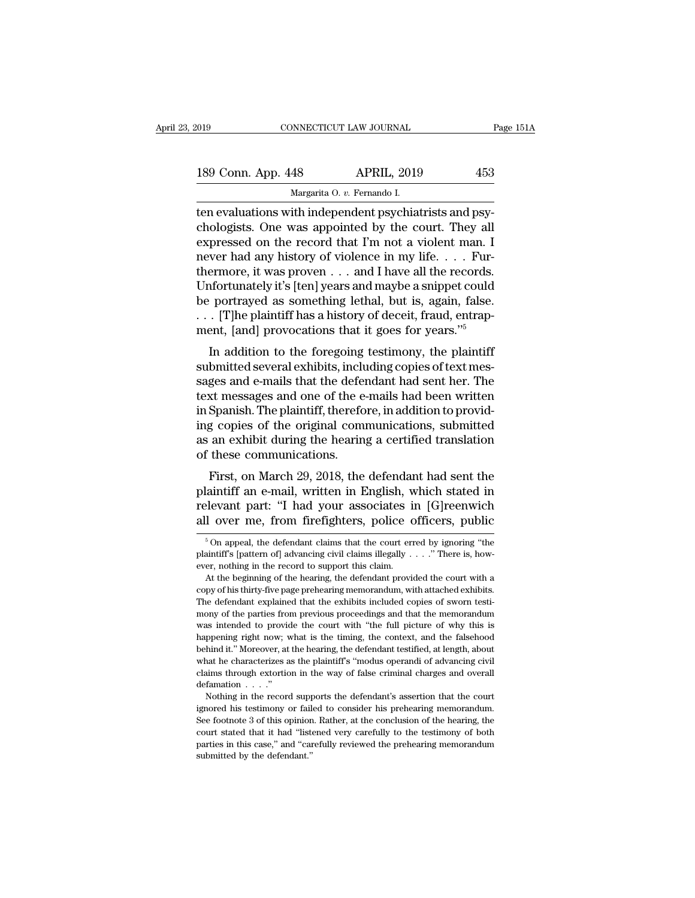| 2019               | CONNECTICUT LAW JOURNAL                                 |                    | Page 151A |
|--------------------|---------------------------------------------------------|--------------------|-----------|
| 189 Conn. App. 448 |                                                         | <b>APRIL, 2019</b> | 453       |
|                    | Margarita O. v. Fernando I.                             |                    |           |
|                    | ten evaluations with independent psychiatrists and psy- |                    |           |

The CONNECTICUT LAW JOURNAL<br>
189 Conn. App. 448 APRIL, 2019 453<br>
189 Margarita O. v. Fernando I.<br>
199 Margarita O. v. Fernando I.<br>
199 Margarita O. v. Fernando I.<br>
199 Chologists. One was appointed by the court. They all 189 Conn. App. 448 APRIL, 2019 453<br>Margarita 0. v. Fernando I.<br>Then evaluations with independent psychiatrists and psychologists. One was appointed by the court. They all<br>expressed on the record that I'm not a violent man. 189 Conn. App. 448 APRIL, 2019 453<br>
Margarita O. v. Fernando I.<br>
ten evaluations with independent psychiatrists and psychologists. One was appointed by the court. They all<br>
expressed on the record that I'm not a violent m 189 Conn. App. 448 APRIL, 2019 453<br>
Margarita O. v. Fernando I.<br>
ten evaluations with independent psychiatrists and psychologists. One was appointed by the court. They all<br>
expressed on the record that I'm not a violent ma Margarita O. v. Fernando I.<br>
ten evaluations with independent psychiatrists and psychologists. One was appointed by the court. They all<br>
expressed on the record that I'm not a violent man. I<br>
never had any history of viole Marganta O. v. Fernando I.<br>
ten evaluations with independent psychiatrists and psychologists. One was appointed by the court. They all<br>
expressed on the record that I'm not a violent man. I<br>
never had any history of viole ten evaluations with independent psychiatrists and psychologists. One was appointed by the court. They all expressed on the record that I'm not a violent man. I<br>never had any history of violence in my life. . . . Furtherm chologists. One was appointed by the court. They all expressed on the record that I'm not a violent man. I never had any history of violence in my life. . . . Furthermore, it was proven . . . and I have all the records. U expressed on the record that I'm not a violent man. I<br>never had any history of violence in my life.... Fur-<br>thermore, it was proven ... and I have all the records.<br>Unfortunately it's [ten] years and maybe a snippet could<br> Wer had any history of violence in hiy life.  $\ldots$  Pul-<br>ermore, it was proven  $\ldots$  and I have all the records.<br>ifortunately it's [ten] years and maybe a snippet could<br>portrayed as something lethal, but is, again, false.<br> Unfortunately it's [ten] years and maybe a snippet could<br>be portrayed as something lethal, but is, again, false.<br> $\dots$  [T]he plaintiff has a history of deceit, fraud, entrap-<br>ment, [and] provocations that it goes for years

be portrayed as something lethal, but is, again, false.<br>
... [T]he plaintiff has a history of deceit, fraud, entrap-<br>
ment, [and] provocations that it goes for years."<sup>5</sup><br>
In addition to the foregoing testimony, the plaint be portrayed as something retrial, but is, again, raise.<br>  $\ldots$  [T]he plaintiff has a history of deceit, fraud, entrapment, [and] provocations that it goes for years."<sup>5</sup><br>
In addition to the foregoing testimony, the plain  $\ldots$  [1] the plaintiff has a filstory of decent, fraud, entrap-<br>ment, [and] provocations that it goes for years."<sup>5</sup><br>In addition to the foregoing testimony, the plaintiff<br>submitted several exhibits, including copies of t In addition to the foregoing testimony, the plaintiff<br>submitted several exhibits, including copies of text mes-<br>sages and e-mails that the defendant had sent her. The<br>text messages and one of the e-mails had been written<br>i In addition to the foregoing testimony, the plaintiff<br>submitted several exhibits, including copies of text mes-<br>sages and e-mails that the defendant had sent her. The<br>text messages and one of the e-mails had been written<br>i submitted several exhibits, inclust sages and e-mails that the deferent<br>text messages and one of the e<br>in Spanish. The plaintiff, therefore<br>ing copies of the original com<br>as an exhibit during the hearin<br>of these communicat ges and e-mans that the defendant had sent her. The<br>st messages and one of the e-mails had been written<br>Spanish. The plaintiff, therefore, in addition to provid-<br>g copies of the original communications, submitted<br>an exhibi rext messages and one of the e-mails had been written<br>in Spanish. The plaintiff, therefore, in addition to provid-<br>ing copies of the original communications, submitted<br>as an exhibit during the hearing a certified translati

relevants. The plannin, interefore, in addition to providing copies of the original communications, submitted as an exhibit during the hearing a certified translation of these communications.<br>First, on March 29, 2018, the ing copies of the original communications, submitted<br>as an exhibit during the hearing a certified translation<br>of these communications.<br>First, on March 29, 2018, the defendant had sent the<br>plaintiff an e-mail, written in En First, on March 29, 2018, the defendant had sent the plaintiff an e-mail, written in English, which stated in relevant part: "I had your associates in [G]reenwich all over me, from firefighters, police officers, public  $\$ plaintiff an e-mail, written in English, which stated in relevant part: "I had your associates in [G]reenwich all over me, from firefighters, police officers, public  $\frac{5}{100}$  appeal, the defendant claims that the court

relevant part: "I had your associates i<br>all over me, from firefighters, police of<br> $\frac{1}{100}$  fon appeal, the defendant claims that the court en<br>plaintiff's [pattern of] advancing civil claims illegally .<br>ever, nothing in The beginning of the hearing of the hearing memorandum, with attacked exhibits.<br>By on appeal, the defendant claims that the court erred by ignoring "the aintiff's [pattern of] advancing civil claims illegally . . . . " Th

The same over the strong internal memorial over the space of  $\frac{1}{2}$  on appeal, the defendant claims that the court erred by ignoring "the plaintiff's [pattern of] advancing civil claims illegally  $\ldots$ ." There is, howe <sup>5</sup> On appeal, the defendant claims that the court erred by ignoring "the plaintiff's [pattern of] advancing civil claims illegally  $\ldots$ ." There is, however, nothing in the record to support this claim. At the beginning monthly parties from previous proceedings and that the memorandum and the parties from provided the court with a copy of his thirty-five page prehearing memorandum, with attached exhibits. The defendant explained that the parameter of provided to support this claim.<br>
At the beginning of the hearing, the defendant provided the court with a<br>
copy of his thirty-five page prehearing memorandum, with attached exhibits.<br>
The defendant explained t At the beginning of the hearing, the defendant provided the court with a copy of his thirty-five page prehearing memorandum, with attached exhibits. The defendant explained that the exhibits included copies of sworn testim copy of his thirty-five page prehearing memorandum, with attached exhibits.<br>The defendant explained that the exhibits included copies of sworn testimony of the parties from previous proceedings and that the memorandum<br>was The defendant explained that the exhibits included copies of sworn testi-<br>mony of the parties from previous proceedings and that the memorandum<br>was intended to provide the court with "the full picture of why this is<br>happen mony of the parties from previous proceedings and that the memorandum was intended to provide the court with "the full picture of why this is happening right now; what is the timing, the context, and the falsehood behind i was intended to provid<br>happening right now; v<br>behind it." Moreover, at<br>what he characterizes a<br>claims through extortio<br>defamation . . . ."<br>Nothing in the record pening right now; what is the timing, the context, and the falsehood hind it." Moreover, at the hearing, the defendant testified, at length, about aat he characterizes as the plaintiff's "modus operandi of advancing civil in the behind it." Moreover, at the hearing, the defendant testified, at length, about what he characterizes as the plaintiff's "modus operandi of advancing civil claims through extorion in the way of false criminal charge

See footnote 3 of this opinion. Rather, at the conclusion of advancing civil<br>defamation  $\ldots$ ."<br>Nothing in the record supports the defendant's assertion that the court<br>ignored his testimony or failed to consider his prehe claims through extortion in the way of false criminal charges and overall defamation  $\ldots$ ."<br>Nothing in the record supports the defendant's assertion that the court<br>ignored his testimony or failed to consider his preheari defamation  $\ldots$ ."<br>Nothing in the record supports the defendant's assertion that the court<br>ignored his testimony or failed to consider his prehearing memorandum.<br>See footnote 3 of this opinion. Rather, at the conclusion o defamation  $\ldots$ ."<br>Nothing in the record supports the defendant's assertion that the court<br>ignored his testimony or failed to consider his prehearing memorandum.<br>See footnote 3 of this opinion. Rather, at the conclusion o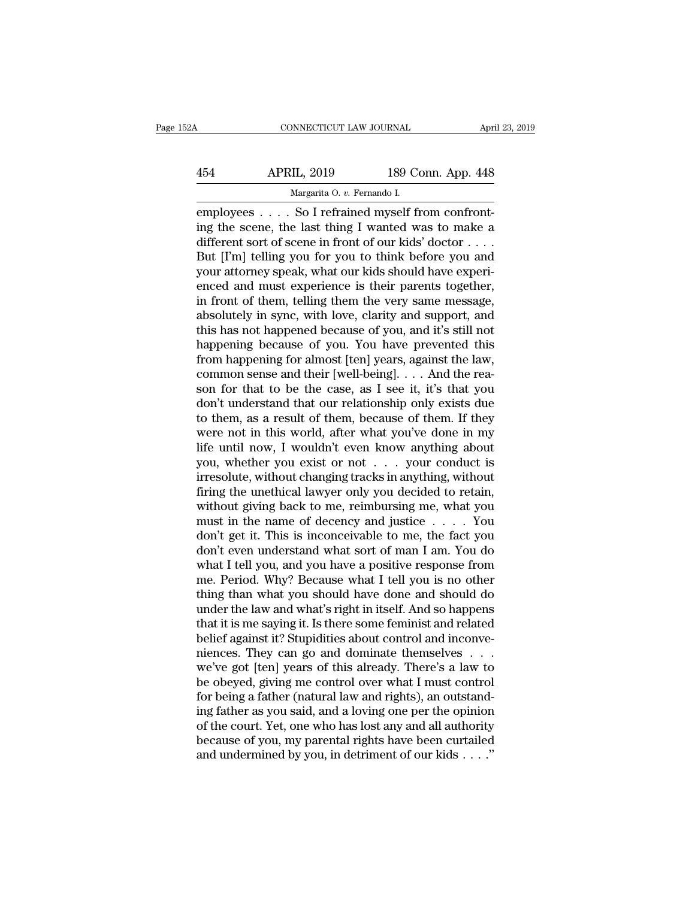| 52A       | CONNECTICUT LAW JOURNAL              |                    | April 23, 2019 |
|-----------|--------------------------------------|--------------------|----------------|
| 454       | <b>APRIL, 2019</b>                   | 189 Conn. App. 448 |                |
|           | Margarita O. v. Fernando I.          |                    |                |
| employees | So I refrained myself from confront- |                    |                |

CONNECTICUT LAW JOURNAL APT<br>
454 APRIL, 2019 189 Conn. App. 448<br>
Margarita O. v. Fernando I.<br>
employees . . . . So I refrained myself from confront-<br>
ing the scene, the last thing I wanted was to make a<br>
different sert of 454 APRIL, 2019 189 Conn. App. 448<br>Margarita 0. v. Fernando I.<br>employees . . . . So I refrained myself from confront-<br>ing the scene, the last thing I wanted was to make a<br>different sort of scene in front of our kids' docto APRIL, 2019 189 Conn. App. 448<br>
Margarita O. v. Fernando I.<br>
employees . . . . So I refrained myself from confront-<br>
ing the scene, the last thing I wanted was to make a<br>
different sort of scene in front of our kids' docto  $\begin{array}{ll}\n & \text{APRIL, 2019} & \text{189 Conn. App. 448}\n\hline\n & \text{Margarita 0. } v. \text{ Fernando I.}\n\end{array}$ employees . . . . So I refrained myself from confronting the scene, the last thing I wanted was to make a different sort of scene in front of our kid APRIL, 2019 189 Conn. App. 448<br>
Margarita 0.  $v$ . Fernando I.<br>
employees . . . . So I refrained myself from confront-<br>
ing the scene, the last thing I wanted was to make a<br>
different sort of scene in front of our kids' do Marganta 0.  $v$ . Fernando I.<br>
employees . . . . So I refrained myself from confront-<br>
ing the scene, the last thing I wanted was to make a<br>
different sort of scene in front of our kids' doctor . . . .<br>
But [I'm] telling y employees  $\ldots$  . So I refrained myself from confront-<br>ing the scene, the last thing I wanted was to make a<br>different sort of scene in front of our kids' doctor  $\ldots$ .<br>But [I'm] telling you for you to think before you and ing the scene, the last thing I wanted was to make a<br>different sort of scene in front of our kids' doctor  $\dots$ .<br>But [I'm] telling you for you to think before you and<br>your attorney speak, what our kids should have experi-<br> different sort of scene in front of our kids' doctor . . . .<br>But [I'm] telling you for you to think before you and<br>your attorney speak, what our kids should have experi-<br>enced and must experience is their parents together, But [I'm] telling you for you to think before you and<br>your attorney speak, what our kids should have experi-<br>enced and must experience is their parents together,<br>in front of them, telling them the very same message,<br>absolu your attorney speak, what our kids should have experienced and must experience is their parents together,<br>in front of them, telling them the very same message,<br>absolutely in sync, with love, clarity and support, and<br>this h enced and must experience is their parents together,<br>in front of them, telling them the very same message,<br>absolutely in sync, with love, clarity and support, and<br>this has not happened because of you, and it's still not<br>h in front of them, telling them the very same message,<br>absolutely in sync, with love, clarity and support, and<br>this has not happened because of you, and it's still not<br>happening because of you. You have prevented this<br>from absolutely in sync, with love, clarity and support, and<br>this has not happened because of you, and it's still not<br>happening because of you. You have prevented this<br>from happening for almost [ten] years, against the law,<br>com this has not happened because of you, and it's still not<br>happening because of you. You have prevented this<br>from happening for almost [ten] years, against the law,<br>common sense and their [well-being]. . . . And the rea-<br>son happening because of you. You have prevented this<br>from happening for almost [ten] years, against the law,<br>common sense and their [well-being]. . . . And the rea-<br>son for that to be the case, as I see it, it's that you<br>don' from happening for almost [ten] years, against the law,<br>common sense and their [well-being]. . . . And the rea-<br>son for that to be the case, as I see it, it's that you<br>don't understand that our relationship only exists du common sense and their [well-being]. . . . And the reason for that to be the case, as I see it, it's that you don't understand that our relationship only exists due to them, as a result of them, because of them. If they w son for that to be the case, as I see it, it's that you don't understand that our relationship only exists due<br>to them, as a result of them, because of them. If they<br>were not in this world, after what you've done in my<br>li don't understand that our relationship only exists due<br>to them, as a result of them, because of them. If they<br>were not in this world, after what you've done in my<br>life until now, I wouldn't even know anything about<br>you, wh to them, as a result of them, because of them. If they<br>were not in this world, after what you've done in my<br>life until now, I wouldn't even know anything about<br>you, whether you exist or not . . . your conduct is<br>irresolut were not in this world, after what you've done in my<br>life until now, I wouldn't even know anything about<br>you, whether you exist or not . . . your conduct is<br>irresolute, without changing tracks in anything, without<br>firing life until now, I wouldn't even know anything about<br>you, whether you exist or not . . . your conduct is<br>irresolute, without changing tracks in anything, without<br>firing the unethical lawyer only you decided to retain,<br>witho you, whether you exist or not  $\ldots$  your conduct is<br>irresolute, without changing tracks in anything, without<br>firing the unethical lawyer only you decided to retain,<br>without giving back to me, reimbursing me, what you<br>must irresolute, without changing tracks in anything, without<br>firing the unethical lawyer only you decided to retain,<br>without giving back to me, reimbursing me, what you<br>must in the name of decency and justice . . . . You<br>don't firing the unethical lawyer only you decided to retain,<br>without giving back to me, reimbursing me, what you<br>must in the name of decency and justice  $\ldots$ . You<br>don't get it. This is inconceivable to me, the fact you<br>don't without giving back to me, reimbursing me, what you<br>must in the name of decency and justice  $\ldots$ . You<br>don't get it. This is inconceivable to me, the fact you<br>don't even understand what sort of man I am. You do<br>what I tel must in the name of decency and justice  $\ldots$  . You<br>don't get it. This is inconceivable to me, the fact you<br>don't even understand what sort of man I am. You do<br>what I tell you, and you have a positive response from<br>me. Pe don't get it. This is inconceivable to me, the fact you<br>don't even understand what sort of man I am. You do<br>what I tell you, and you have a positive response from<br>me. Period. Why? Because what I tell you is no other<br>thing don't even understand what sort of man I am. You do<br>what I tell you, and you have a positive response from<br>me. Period. Why? Because what I tell you is no other<br>thing than what you should have done and should do<br>under the l what I tell you, and you have a positive response from<br>me. Period. Why? Because what I tell you is no other<br>thing than what you should have done and should do<br>under the law and what's right in itself. And so happens<br>that i me. Period. Why? Because what I tell you is no other<br>thing than what you should have done and should do<br>under the law and what's right in itself. And so happens<br>that it is me saying it. Is there some feminist and related<br>b thing than what you should have done and should do<br>under the law and what's right in itself. And so happens<br>that it is me saying it. Is there some feminist and related<br>belief against it? Stupidities about control and incon under the law and what's right in itself. And so happens<br>that it is me saying it. Is there some feminist and related<br>belief against it? Stupidities about control and inconve-<br>niences. They can go and dominate themselves . that it is me saying it. Is there some feminist and related<br>belief against it? Stupidities about control and inconve-<br>niences. They can go and dominate themselves . . .<br>we've got [ten] years of this already. There's a law belief against it? Stupidities about control and inconve-<br>niences. They can go and dominate themselves . . . .<br>we've got [ten] years of this already. There's a law to<br>be obeyed, giving me control over what I must control<br>f niences. They can go and dominate themselves . . . we've got [ten] years of this already. There's a law to be obeyed, giving me control over what I must control for being a father (natural law and rights), an outstanding f we've got [ten] years of this already. There's a law to<br>be obeyed, giving me control over what I must control<br>for being a father (natural law and rights), an outstand-<br>ing father as you said, and a loving one per the opini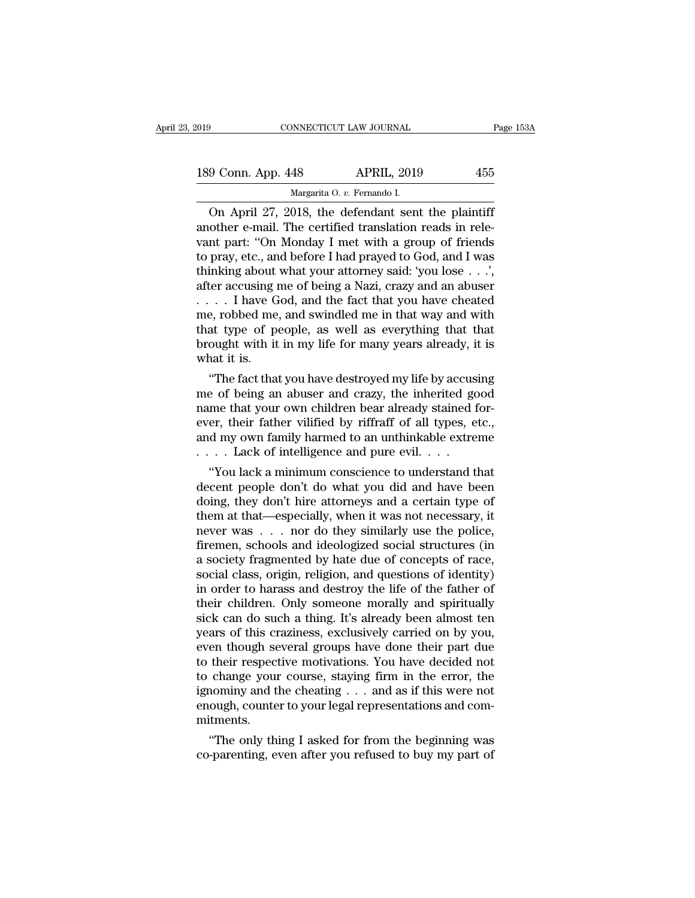| 019                | CONNECTICUT LAW JOURNAL                           | Page 153A |
|--------------------|---------------------------------------------------|-----------|
| 189 Conn. App. 448 | <b>APRIL, 2019</b>                                | 455       |
|                    | Margarita O. v. Fernando I.                       |           |
|                    | On April 27 2018 the defendant sent the plaintiff |           |

CONNECTICUT LAW JOURNAL Page 1532<br>
9 Conn. App. 448 APRIL, 2019 455<br>
Margarita 0. v. Fernando I.<br>
On April 27, 2018, the defendant sent the plaintiff<br>
other e-mail. The certified translation reads in rele-<br>
nt part : "On M 189 Conn. App. 448 APRIL, 2019 455<br>
Margarita 0. v. Fernando I.<br>
On April 27, 2018, the defendant sent the plaintiff<br>
another e-mail. The certified translation reads in rele-<br>
vant part: "On Monday I met with a group of fr 189 Conn. App. 448 APRIL, 2019 455<br>
Margarita 0.  $v$ . Fernando I.<br>
On April 27, 2018, the defendant sent the plaintiff<br>
another e-mail. The certified translation reads in rele-<br>
vant part: "On Monday I met with a group of 189 Conn. App. 448 APRIL, 2019 455<br>
Margarita O. v. Fernando I.<br>
On April 27, 2018, the defendant sent the plaintiff<br>
another e-mail. The certified translation reads in rele-<br>
vant part: "On Monday I met with a group of f Margarita O. v. Fernando I.<br>
On April 27, 2018, the defendant sent the plaintiff<br>
another e-mail. The certified translation reads in rele-<br>
vant part: "On Monday I met with a group of friends<br>
to pray, etc., and before I h Margarita O. v. Fernando I.<br>
On April 27, 2018, the defendant sent the plaintiff<br>
another e-mail. The certified translation reads in rele-<br>
vant part: "On Monday I met with a group of friends<br>
to pray, etc., and before I On April 27, 2018, the defendant sent the plaintiff<br>another e-mail. The certified translation reads in rele-<br>vant part: "On Monday I met with a group of friends<br>to pray, etc., and before I had prayed to God, and I was<br>thi another e-mail. The certified translation reads in relevant part: "On Monday I met with a group of friends<br>to pray, etc., and before I had prayed to God, and I was<br>thinking about what your attorney said: 'you lose  $\ldots$ ', vant part: "On Monday I met with a group of friends<br>to pray, etc., and before I had prayed to God, and I was<br>thinking about what your attorney said: 'you lose . . .',<br>after accusing me of being a Nazi, crazy and an abuser to pray, etc., and before I had prayed to God, and I was<br>thinking about what your attorney said: 'you lose . . .',<br>after accusing me of being a Nazi, crazy and an abuser<br>. . . . I have God, and the fact that you have chea thinking about<br>after accusing  $1$ <br> $\ldots$  . I have G<br>me, robbed me<br>that type of po<br>brought with it<br>what it is.<br>"The fact tha the factual means of being a Nazi, crazy and an abuser<br>
. . I have God, and the fact that you have cheated<br>
e, robbed me, and swindled me in that way and with<br>
at type of people, as well as everything that that<br>
ought with  $\ldots$  is a composite that you have cheated me, robbed me, and swindled me in that way and with that type of people, as well as everything that that brought with it in my life for many years already, it is what it is.<br>
"Th

me, robbed me, and swindled me in that way and with<br>that type of people, as well as everything that that<br>brought with it in my life for many years already, it is<br>what it is.<br>"The fact that you have destroyed my life by acc that type or people, as well as everything that that<br>brought with it in my life for many years already, it is<br>what it is.<br>"The fact that you have destroyed my life by accusing<br>me of being an abuser and crazy, the inherited brought with it in my life for many years aready, it is<br>what it is.<br>"The fact that you have destroyed my life by accusing<br>me of being an abuser and crazy, the inherited good<br>name that your own children bear already staine what it is.<br>
"The fact that you have destroyed my life by accus<br>
me of being an abuser and crazy, the inherited go<br>
name that your own children bear already stained f<br>
ever, their father vilified by riffraff of all types, The ract that you have destroyed my life by accusing<br>
e of being an abuser and crazy, the inherited good<br>
me that your own children bear already stained for-<br>
er, their father vilified by riffraff of all types, etc.,<br>
d m me or being an abuser and crazy, the innerited good<br>name that your own children bear already stained for-<br>ever, their father vilified by riffraff of all types, etc.,<br>and my own family harmed to an unthinkable extreme<br> $\dots$ 

mame that your own children bear already stained for-<br>ever, their father vilified by riffraff of all types, etc.,<br>and my own family harmed to an unthinkable extreme<br> $\ldots$  Lack of intelligence and pure evil.  $\ldots$ <br>"You lac ever, their lather villined by rifirant of all types, etc.,<br>and my own family harmed to an unthinkable extreme<br> $\ldots$  Lack of intelligence and pure evil.  $\ldots$ <br>"You lack a minimum conscience to understand that<br>decent peopl and my own ramily narmed to an untimixable extreme<br>  $\ldots$  . Lack of intelligence and pure evil.  $\ldots$ <br>
"You lack a minimum conscience to understand that<br>
decent people don't do what you did and have been<br>
doing, they don' firemen, schools and ideologized social structures (in "You lack a minimum conscience to understand that<br>decent people don't do what you did and have been<br>doing, they don't hire attorneys and a certain type of<br>them at that—especially, when it was not necessary, it<br>never was decent people don't do what you did and have been<br>doing, they don't hire attorneys and a certain type of<br>them at that—especially, when it was not necessary, it<br>never was . . . nor do they similarly use the police,<br>firemen, doing, they don't hire attorneys and a certain type of<br>them at that—especially, when it was not necessary, it<br>never was . . . nor do they similarly use the police,<br>firemen, schools and ideologized social structures (in<br>a s them at that—especially, when it was not necessary, it<br>never was  $\dots$  nor do they similarly use the police,<br>firemen, schools and ideologized social structures (in<br>a society fragmented by hate due of concepts of race,<br>soci never was . . . . nor do they similarly use the police,<br>firemen, schools and ideologized social structures (in<br>a society fragmented by hate due of concepts of race,<br>social class, origin, religion, and questions of identity firemen, schools and ideologized social structures (in<br>a society fragmented by hate due of concepts of race,<br>social class, origin, religion, and questions of identity)<br>in order to harass and destroy the life of the father a society fragmented by hate due of concepts of race,<br>social class, origin, religion, and questions of identity)<br>in order to harass and destroy the life of the father of<br>their children. Only someone morally and spiritually social class, origin, religion, and questions of identity)<br>in order to harass and destroy the life of the father of<br>their children. Only someone morally and spiritually<br>sick can do such a thing. It's already been almost te in order to harass and destroy the life of the father of<br>their children. Only someone morally and spiritually<br>sick can do such a thing. It's already been almost ten<br>years of this craziness, exclusively carried on by you,<br>e their children. Only someone morally and spiritually<br>sick can do such a thing. It's already been almost ten<br>years of this craziness, exclusively carried on by you,<br>even though several groups have done their part due<br>to the sick can do such a thing. It's already been almost ten<br>years of this craziness, exclusively carried on by you,<br>even though several groups have done their part due<br>to their respective motivations. You have decided not<br>to ch mitments. en the compare their respective motivations. You have decided not change your course, staying firm in the error, the nominy and the cheating . . . and as if this were not ough, counter to your legal representations and com to their respective motivations. You have decided not<br>to change your course, staying firm in the error, the<br>ignominy and the cheating . . . and as if this were not<br>enough, counter to your legal representations and com-<br>mit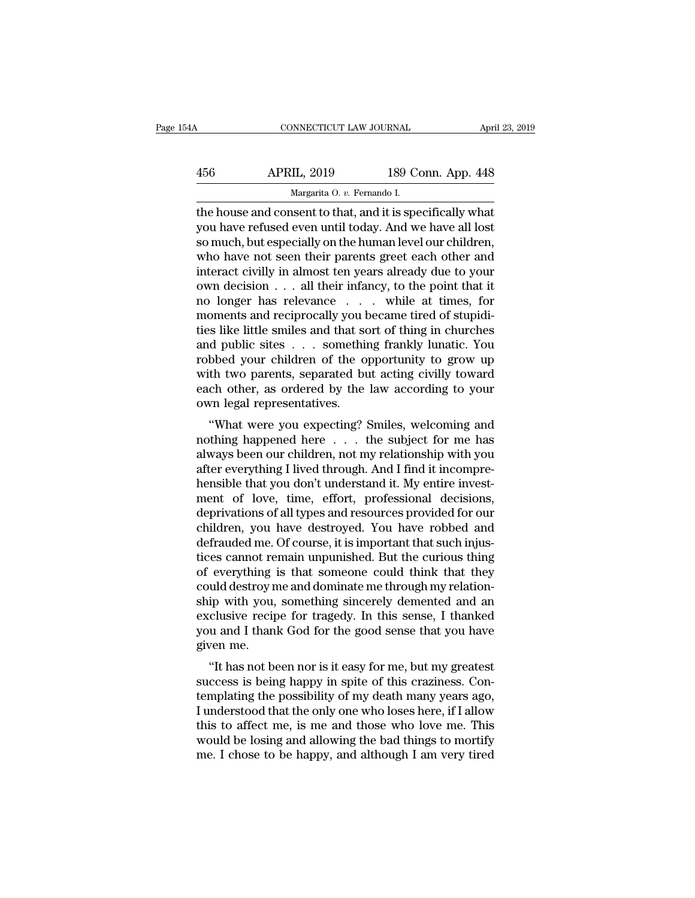| 54A | CONNECTICUT LAW JOURNAL                                   |                    | April 23, 2019 |
|-----|-----------------------------------------------------------|--------------------|----------------|
| 456 | <b>APRIL, 2019</b>                                        | 189 Conn. App. 448 |                |
|     | Margarita O. v. Fernando I.                               |                    |                |
|     | the house and consent to that and it is specifically what |                    |                |

CONNECTICUT LAW JOURNAL April 23, 2019<br>
APRIL, 2019 189 Conn. App. 448<br>
Margarita O. v. Fernando I.<br>
The house and consent to that, and it is specifically what<br>
you have refused even until today. And we have all lost<br>
so m 456 APRIL, 2019 189 Conn. App. 448<br>Margarita 0. v. Fernando I.<br>the house and consent to that, and it is specifically what<br>you have refused even until today. And we have all lost<br>so much, but especially on the human level o  $\begin{array}{r} \text{APRIL, 2019} \end{array}$  189 Conn. App. 448<br>
Margarita 0. v. Fernando I.<br>
the house and consent to that, and it is specifically what<br>
you have refused even until today. And we have all lost<br>
so much, but especially on  $\frac{\text{APRIL, 2019}}{\text{Margarita 0. } v. \text{ Fernando I.}}$ <br>
the house and consent to that, and it is specifically what<br>
you have refused even until today. And we have all lost<br>
so much, but especially on the human level our children,<br>
who have Margarita O. v. Fernando I.<br>
the house and consent to that, and it is specifically what<br>
you have refused even until today. And we have all lost<br>
so much, but especially on the human level our children,<br>
who have not seen Margarita O. v. Fernando I.<br>
the house and consent to that, and it is specifically what<br>
you have refused even until today. And we have all lost<br>
so much, but especially on the human level our children,<br>
who have not seen the house and consent to that, and it is specifically what<br>you have refused even until today. And we have all lost<br>so much, but especially on the human level our children,<br>who have not seen their parents greet each other a you have refused even until today. And we have all lost<br>so much, but especially on the human level our children,<br>who have not seen their parents greet each other and<br>interact civilly in almost ten years already due to your so much, but especially on the human level our children,<br>who have not seen their parents greet each other and<br>interact civilly in almost ten years already due to your<br>own decision . . . all their infancy, to the point that who have not seen their parents greet each other and<br>interact civilly in almost ten years already due to your<br>own decision . . . all their infancy, to the point that it<br>no longer has relevance . . . . while at times, for<br> interact civilly in almost ten years already due to your<br>own decision . . . all their infancy, to the point that it<br>no longer has relevance . . . . while at times, for<br>moments and reciprocally you became tired of stupidiown decision . . . all their infancy, to the point that it<br>no longer has relevance . . . . while at times, for<br>moments and reciprocally you became tired of stupidi-<br>ties like little smiles and that sort of thing in churche no longer has relevance . . . while at times, for<br>moments and reciprocally you became tired of stupidi-<br>ties like little smiles and that sort of thing in churches<br>and public sites . . . something frankly lunatic. You<br>robbe moments and reciprocally you **t**<br>ties like little smiles and that so<br>and public sites . . . somethin<br>robbed your children of the o<br>with two parents, separated bu<br>each other, as ordered by the<br>own legal representatives.<br>"Wh S inte inte sinies and that sort of thing in churcles<br>
d public sites . . . something frankly lunatic. You<br>
bbed your children of the opportunity to grow up<br>
th two parents, separated but acting civilly toward<br>
ch other, a and public sites . . . Solitering Hankry funalic. Tou<br>robbed your children of the opportunity to grow up<br>with two parents, separated but acting civilly toward<br>each other, as ordered by the law according to your<br>own legal r

Fobbed your children of the opportunity to grow up<br>with two parents, separated but acting civilly toward<br>each other, as ordered by the law according to your<br>own legal representatives.<br>"What were you expecting? Smiles, welc with two parents, separated but acting civily toward<br>each other, as ordered by the law according to your<br>own legal representatives.<br>"What were you expecting? Smiles, welcoming and<br>nothing happened here . . . the subject fo each other, as ordered by the law according to your<br>own legal representatives.<br>"What were you expecting? Smiles, welcoming and<br>nothing happened here . . . the subject for me has<br>always been our children, not my relationshi what were you expecting? Smiles, welcoming and<br>mothing happened here . . . the subject for me has<br>always been our children, not my relationship with you<br>after everything I lived through. And I find it incompre-<br>hensible th "What were you expecting? Smiles, welcoming and<br>nothing happened here  $\ldots$  the subject for me has<br>always been our children, not my relationship with you<br>after everything I lived through. And I find it incompre-<br>hensible nothing happened here . . . the subject for me has<br>always been our children, not my relationship with you<br>after everything I lived through. And I find it incompre-<br>hensible that you don't understand it. My entire invest-<br>m always been our children, not my relationship with you<br>after everything I lived through. And I find it incompre-<br>hensible that you don't understand it. My entire invest-<br>ment of love, time, effort, professional decisions,<br> after everything I lived through. And I find it incomprehensible that you don't understand it. My entire investment of love, time, effort, professional decisions, deprivations of all types and resources provided for our ch hensible that you don't understand it. My entire invest-<br>ment of love, time, effort, professional decisions,<br>deprivations of all types and resources provided for our<br>children, you have destroyed. You have robbed and<br>defrau ment of love, time, effort, professional decisions,<br>deprivations of all types and resources provided for our<br>children, you have destroyed. You have robbed and<br>defrauded me. Of course, it is important that such injus-<br>tices deprivations of all types and resources provided for our children, you, have destroyed. You, have robbed and defrauded me. Of course, it is important that such injustices cannot remain unpunished. But the curious thing of children, you have destroyed. You have robbed and<br>defrauded me. Of course, it is important that such injus-<br>tices cannot remain unpunished. But the curious thing<br>of everything is that someone could think that they<br>could de defrauded me. Of course, it is important that such injustices cannot remain unpunished. But the curious thing<br>of everything is that someone could think that they<br>could destroy me and dominate me through my relation-<br>ship w tices cannot re<br>of everything<br>could destroy n<br>ship with you,<br>exclusive recip<br>you and I than<br>given me.<br>"It has not be Everything is that someone could think that they<br>
uld destroy me and dominate me through my relation-<br>
ip with you, something sincerely demented and an<br>
clusive recipe for tragedy. In this sense, I thanked<br>
u and I thank G ship with you, something sincerely demented and an exclusive recipe for tragedy. In this sense, I thanked you and I thank God for the good sense that you have given me.<br>"It has not been nor is it easy for me, but my greate

ship with you, something sincerely demented and an<br>exclusive recipe for tragedy. In this sense, I thanked<br>you and I thank God for the good sense that you have<br>given me.<br>"It has not been nor is it easy for me, but my greate Exclusive Fecipe for tragedy. In this sense, I thanked<br>you and I thank God for the good sense that you have<br>given me.<br>"It has not been nor is it easy for me, but my greatest<br>success is being happy in spite of this crazines you and I thank God for the good sense that you have<br>given me.<br>"It has not been nor is it easy for me, but my greatest<br>success is being happy in spite of this craziness. Con-<br>templating the possibility of my death many yea "It has not been nor is it easy for me, but my greatest<br>success is being happy in spite of this craziness. Con-<br>templating the possibility of my death many years ago,<br>I understood that the only one who loses here, if I all "It has not been nor is it easy for me, but my greatest success is being happy in spite of this craziness. Contemplating the possibility of my death many years ago, I understood that the only one who loses here, if I allo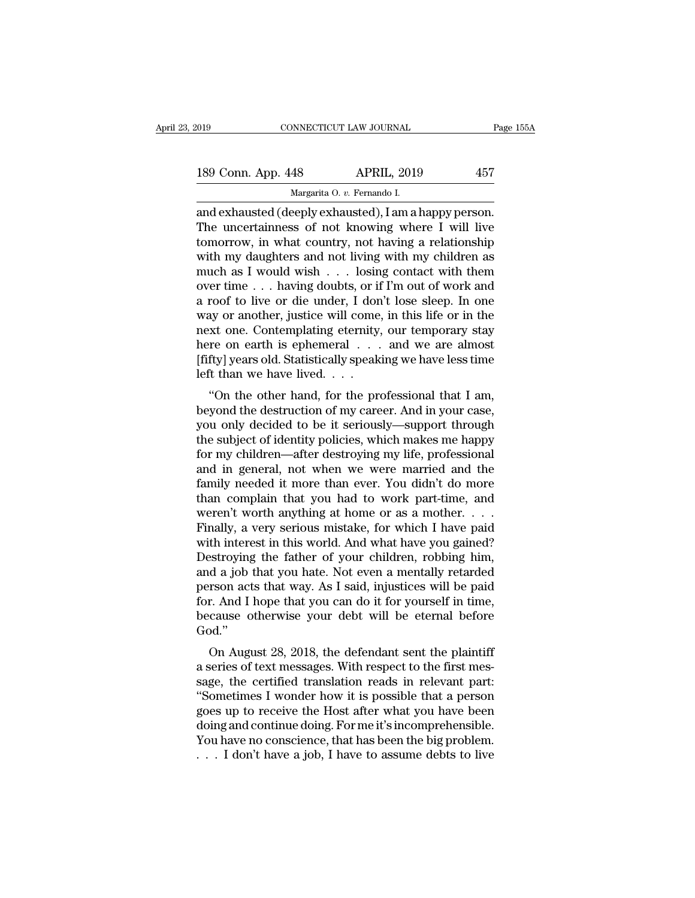| 019 |                    | CONNECTICUT LAW JOURNAL                              | Page 155A |
|-----|--------------------|------------------------------------------------------|-----------|
|     | 189 Conn. App. 448 | <b>APRIL, 2019</b>                                   | 457       |
|     |                    | Margarita O. v. Fernando I.                          |           |
|     |                    | and exhausted (deenly exhausted). Lam a hanny nerson |           |

connectricut LAW JOURNAL Page 18<br>
189 Conn. App. 448 APRIL, 2019 457<br>
Margarita 0. v. Fernando I.<br>
and exhausted (deeply exhausted), I am a happy person.<br>
The uncertainness of not knowing where I will live<br>
tomorrow in wha 189 Conn. App. 448 APRIL, 2019 457<br>Margarita 0. v. Fernando I.<br>and exhausted (deeply exhausted), I am a happy person.<br>The uncertainness of not knowing where I will live<br>tomorrow, in what country, not having a relationship<br> 189 Conn. App. 448 APRIL, 2019 457<br>
Margarita O. v. Fernando I.<br>
and exhausted (deeply exhausted), I am a happy person.<br>
The uncertainness of not knowing where I will live<br>
tomorrow, in what country, not having a relations 189 Conn. App. 448 APRIL, 2019 457<br>
Margarita O. v. Fernando I.<br>
and exhausted (deeply exhausted), I am a happy person.<br>
The uncertainness of not knowing where I will live<br>
tomorrow, in what country, not having a relation Margarita 0. v. Fernando I.<br>
and exhausted (deeply exhausted), I am a happy person.<br>
The uncertainness of not knowing where I will live<br>
tomorrow, in what country, not having a relationship<br>
with my daughters and not livi Marganta O. v. Fernando I.<br>
and exhausted (deeply exhausted), I am a happy person.<br>
The uncertainness of not knowing where I will live<br>
tomorrow, in what country, not having a relationship<br>
with my daughters and not livin and exhausted (deeply exhausted), I am a happy person.<br>The uncertainness of not knowing where I will live<br>tomorrow, in what country, not having a relationship<br>with my daughters and not living with my children as<br>much as I The uncertainness of not knowing where I will live<br>tomorrow, in what country, not having a relationship<br>with my daughters and not living with my children as<br>much as I would wish  $\ldots$  losing contact with them<br>over time  $\$ tomorrow, in what country, not having a relationship<br>with my daughters and not living with my children as<br>much as I would wish . . . losing contact with them<br>over time . . . having doubts, or if I'm out of work and<br>a roof with my daughters and not living with my children as<br>much as I would wish . . . losing contact with them<br>over time . . . having doubts, or if I'm out of work and<br>a roof to live or die under, I don't lose sleep. In one<br>way much as I would wish . . . losing contact with them<br>over time . . . having doubts, or if I'm out of work and<br>a roof to live or die under, I don't lose sleep. In one<br>way or another, justice will come, in this life or in th over time . . . having doubts, or if<br>a roof to live or die under, I don<br>way or another, justice will come<br>next one. Contemplating eternity,<br>here on earth is ephemeral . . .<br>[fifty] years old. Statistically speak<br>left than From the of the under, fush these seep. In one<br>ay or another, justice will come, in this life or in the<br>xt one. Contemplating eternity, our temporary stay<br>re on earth is ephemeral  $\dots$  and we are almost<br>fty] years old. St way or another, justice will collie, in this life of in the<br>next one. Contemplating eternity, our temporary stay<br>here on earth is ephemeral . . . and we are almost<br>[fifty] years old. Statistically speaking we have less tim

Thext one. Contemplaing eternity, our temporary stay<br>here on earth is ephemeral  $\ldots$  and we are almost<br>[fifty] years old. Statistically speaking we have less time<br>left than we have lived.  $\ldots$ <br>"On the other hand, for th Firsty J years old. Statistically speaking we have less time<br>left than we have lived. . . .<br>"On the other hand, for the professional that I am,<br>beyond the destruction of my career. And in your case,<br>you only decided to be [Inty] years old. Statistically speaking we have less time<br>left than we have lived....<br>"On the other hand, for the professional that I am,<br>beyond the destruction of my career. And in your case,<br>you only decided to be it s "On the other hand, for the professional that I am,<br>beyond the destruction of my career. And in your case,<br>you only decided to be it seriously—support through<br>the subject of identity policies, which makes me happy<br>for my c "On the other hand, for the professional that I am,<br>beyond the destruction of my career. And in your case,<br>you only decided to be it seriously—support through<br>the subject of identity policies, which makes me happy<br>for my c beyond the destruction of my career. And in your case,<br>you only decided to be it seriously—support through<br>the subject of identity policies, which makes me happy<br>for my children—after destroying my life, professional<br>and i you only decided to be it seriously—support through<br>the subject of identity policies, which makes me happy<br>for my children—after destroying my life, professional<br>and in general, not when we were married and the<br>family need the subject of identity policies, which makes me happy<br>for my children—after destroying my life, professional<br>and in general, not when we were married and the<br>family needed it more than ever. You didn't do more<br>than compla for my children—after destroying my life, professional<br>and in general, not when we were married and the<br>family needed it more than ever. You didn't do more<br>than complain that you had to work part-time, and<br>weren't worth an and in general, not when we were married and the<br>family needed it more than ever. You didn't do more<br>than complain that you had to work part-time, and<br>weren't worth anything at home or as a mother. . . .<br>Finally, a very s family needed it more than ever. You didn't do more<br>than complain that you had to work part-time, and<br>weren't worth anything at home or as a mother. . . .<br>Finally, a very serious mistake, for which I have paid<br>with intere than complain that you had to work part-time, and<br>weren't worth anything at home or as a mother. . . .<br>Finally, a very serious mistake, for which I have paid<br>with interest in this world. And what have you gained?<br>Destroyi for. And I hope that you can do it for yourself in time, Finally, a very serious mistake, for which I have paid<br>with interest in this world. And what have you gained?<br>Destroying the father of your children, robbing him,<br>and a job that you hate. Not even a mentally retarded<br>perso God.'' Exiroying the rather of your children, fobbing finit,<br>d a job that you hate. Not even a mentally retarded<br>rson acts that way. As I said, injustices will be paid<br>r. And I hope that you can do it for yourself in time,<br>cause and a job that you hate. Not even a memany retarded<br>person acts that way. As I said, injustices will be paid<br>for. And I hope that you can do it for yourself in time,<br>because otherwise your debt will be eternal before<br>God."

person acts that way. As I said, hijustices will be paid<br>for. And I hope that you can do it for yourself in time,<br>because otherwise your debt will be eternal before<br>God."<br>On August 28, 2018, the defendant sent the plaintif For Sand Thope that you can do it for yourself in time,<br>because otherwise your debt will be eternal before<br>God."<br>On August 28, 2018, the defendant sent the plaintiff<br>a series of text messages. With respect to the first mes because otherwise your debt will be eternal before<br>God."<br>On August 28, 2018, the defendant sent the plaintiff<br>a series of text messages. With respect to the first mes-<br>sage, the certified translation reads in relevant part Ood.<br>
On August 28, 2018, the defendant sent the plaintiff<br>
a series of text messages. With respect to the first mes-<br>
sage, the certified translation reads in relevant part:<br>
"Sometimes I wonder how it is possible that a On August 28, 2018, the defendant sent the plaintiff<br>a series of text messages. With respect to the first mes-<br>sage, the certified translation reads in relevant part:<br>"Sometimes I wonder how it is possible that a person<br>go a series of text messages. With respect to the first message, the certified translation reads in relevant part:<br>"Sometimes I wonder how it is possible that a person<br>goes up to receive the Host after what you have been<br>doin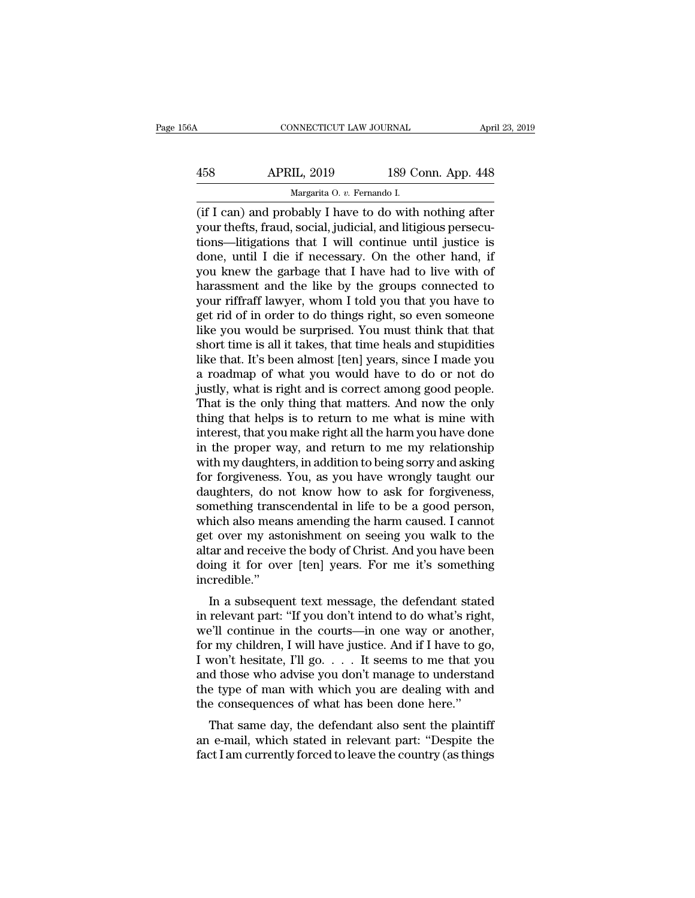| 56A | CONNECTICUT LAW JOURNAL                                |                    | April 23, 2019 |
|-----|--------------------------------------------------------|--------------------|----------------|
| 458 | <b>APRIL, 2019</b>                                     | 189 Conn. App. 448 |                |
|     | Margarita O. v. Fernando I.                            |                    |                |
|     | (if Lean) and probably I have to do with nothing after |                    |                |

CONNECTICUT LAW JOURNAL April 23, 2019<br>
458 APRIL, 2019 189 Conn. App. 448<br>
Margarita 0. v. Fernando I.<br>
(if I can) and probably I have to do with nothing after<br>
your thefts, fraud, social, judicial, and litigious persecu-458 APRIL, 2019 189 Conn. App. 448<br>Margarita 0. v. Fernando I.<br>(if I can) and probably I have to do with nothing after<br>your thefts, fraud, social, judicial, and litigious persecu-<br>tions—litigations that I will continue unt  $\begin{array}{c|c} \text{APRIL, 2019} & \text{189 Conn. App. 448} \\ \hline \text{Margarita 0. } v. \text{ Fernando I.} \\ \hline \text{(if I can) and probably I have to do with nothing after your thefts, fraud, social, judicial, and litigious perceutions—litigations that I will continue until justice is done, until I die if necessary. On the other hand, if you know the garbage that I have had to live with of the carbae.} \end{array}$  $\frac{\text{APRIL, 2019}}{\text{Margarita 0. } v. \text{ Fernando I.}}$ <br>
(if I can) and probably I have to do with nothing after<br>
your thefts, fraud, social, judicial, and litigious persecu-<br>
tions—litigations that I will continue until justice is<br>
done, u Margarita 0. *v.* Fernando I.<br>
(if I can) and probably I have to do with nothing after<br>
your thefts, fraud, social, judicial, and litigious persecu-<br>
tions—litigations that I will continue until justice is<br>
done, until I Marganta O. v. Fernando I.<br>
(if I can) and probably I have to do with nothing after<br>
your thefts, fraud, social, judicial, and litigious persecu-<br>
tions—litigations that I will continue until justice is<br>
done, until I die (if I can) and probably I have to do with nothing after<br>your thefts, fraud, social, judicial, and litigious persecu-<br>tions—litigations that I will continue until justice is<br>done, until I die if necessary. On the other hand your thefts, fraud, social, judicial, and litigious persecutions—litigations that I will continue until justice is done, until I die if necessary. On the other hand, if you knew the garbage that I have had to live with of tions—litigations that I will continue until justice is<br>done, until I die if necessary. On the other hand, if<br>you knew the garbage that I have had to live with of<br>harassment and the like by the groups connected to<br>your rif done, until I die if necessary. On the other hand, if<br>you knew the garbage that I have had to live with of<br>harassment and the like by the groups connected to<br>your riffraff lawyer, whom I told you that you have to<br>get rid o you knew the garbage that I have had to live with of harassment and the like by the groups connected to your riffraff lawyer, whom I told you that you have to get rid of in order to do things right, so even someone like yo harassment and the like by the groups connected to<br>your riffraff lawyer, whom I told you that you have to<br>get rid of in order to do things right, so even someone<br>like you would be surprised. You must think that that<br>short your riffraff lawyer, whom I told you that you have to<br>get rid of in order to do things right, so even someone<br>like you would be surprised. You must think that that<br>short time is all it takes, that time heals and stupiditi get rid of in order to do things right, so even someone<br>like you would be surprised. You must think that that<br>short time is all it takes, that time heals and stupidities<br>like that. It's been almost [ten] years, since I mad like you would be surprised. You must think that that<br>short time is all it takes, that time heals and stupidities<br>like that. It's been almost [ten] years, since I made you<br>a roadmap of what you would have to do or not do<br>j short time is all it takes, that time heals and stupidities<br>like that. It's been almost [ten] years, since I made you<br>a roadmap of what you would have to do or not do<br>justly, what is right and is correct among good people. like that. It's been almost [ten] years, since I made you<br>a roadmap of what you would have to do or not do<br>justly, what is right and is correct among good people.<br>That is the only thing that matters. And now the only<br>thing a roadmap of what you would have to do or not do<br>justly, what is right and is correct among good people.<br>That is the only thing that matters. And now the only<br>thing that helps is to return to me what is mine with<br>interest, justly, what is right and is correct among good people.<br>That is the only thing that matters. And now the only<br>thing that helps is to return to me what is mine with<br>interest, that you make right all the harm you have done<br>i That is the only thing that matters. And now the only<br>thing that helps is to return to me what is mine with<br>interest, that you make right all the harm you have done<br>in the proper way, and return to me my relationship<br>with thing that helps is to return to me what is mine with<br>interest, that you make right all the harm you have done<br>in the proper way, and return to me my relationship<br>with my daughters, in addition to being sorry and asking<br>fo interest, that you make right all the harm you have done<br>in the proper way, and return to me my relationship<br>with my daughters, in addition to being sorry and asking<br>for forgiveness. You, as you have wrongly taught our<br>dau in the proper way, and return to me my relationship<br>with my daughters, in addition to being sorry and asking<br>for forgiveness. You, as you have wrongly taught our<br>daughters, do not know how to ask for forgiveness,<br>something with my daughters, in addition to being sorry and asking<br>for forgiveness. You, as you have wrongly taught our<br>daughters, do not know how to ask for forgiveness,<br>something transcendental in life to be a good person,<br>which a for forgiveness. You, as you have wrongly taught our daughters, do not know how to ask for forgiveness, something transcendental in life to be a good person, which also means amending the harm caused. I cannot get over my incredible.'' In a subsequent text message, the defendant stated<br>relative message, the defendant state message, the defendant stated<br>relative."<br>In a subsequent text message, the defendant stated<br>relevant part: "If you don't intend to do which also hiears amending the narm caused. I cannot<br>get over my astonishment on seeing you walk to the<br>altar and receive the body of Christ. And you have been<br>doing it for over [ten] years. For me it's something<br>incredibl

get over hy astonishment on seeing you wank to the<br>altar and receive the body of Christ. And you have been<br>doing it for over [ten] years. For me it's something<br>incredible."<br>In a subsequent text message, the defendant state and and receive the body of Christ. And you have been<br>doing it for over [ten] years. For me it's something<br>incredible."<br>In a subsequent text message, the defendant stated<br>in relevant part: "If you don't intend to do what's Incredible."<br>
In a subsequent text message, the defendant stated<br>
in relevant part: "If you don't intend to do what's right,<br>
we'll continue in the courts—in one way or another,<br>
for my children, I will have justice. And i In a subsequent text message, the defendant stated<br>in relevant part: "If you don't intend to do what's right,<br>we'll continue in the courts—in one way or another,<br>for my children, I will have justice. And if I have to go,<br> In a subsequent text message, the defendant stated<br>in relevant part: "If you don't intend to do what's right,<br>we'll continue in the courts—in one way or another,<br>for my children, I will have justice. And if I have to go,<br> in relevant part: "If you don't intend to do what's rightwe'll continue in the courts—in one way or anothe for my children, I will have justice. And if I have to get I won't hesitate, I'll go.  $\dots$  It seems to me that yo First continue in the courts—in one way or another,<br>
r my children, I will have justice. And if I have to go,<br>
won't hesitate, I'll go.  $\dots$  I seems to me that you<br>
d those who advise you don't manage to understand<br>
e typ For my children, I will have justice. And if I have to go, I won't hesitate, I'll go.  $\dots$  It seems to me that you and those who advise you don't manage to understand the type of man with which you are dealing with and th From the<br>state, Figothermic state in the dial you and those who advise you don't manage to understand<br>the type of man with which you are dealing with and<br>the consequences of what has been done here."<br>That same day, the de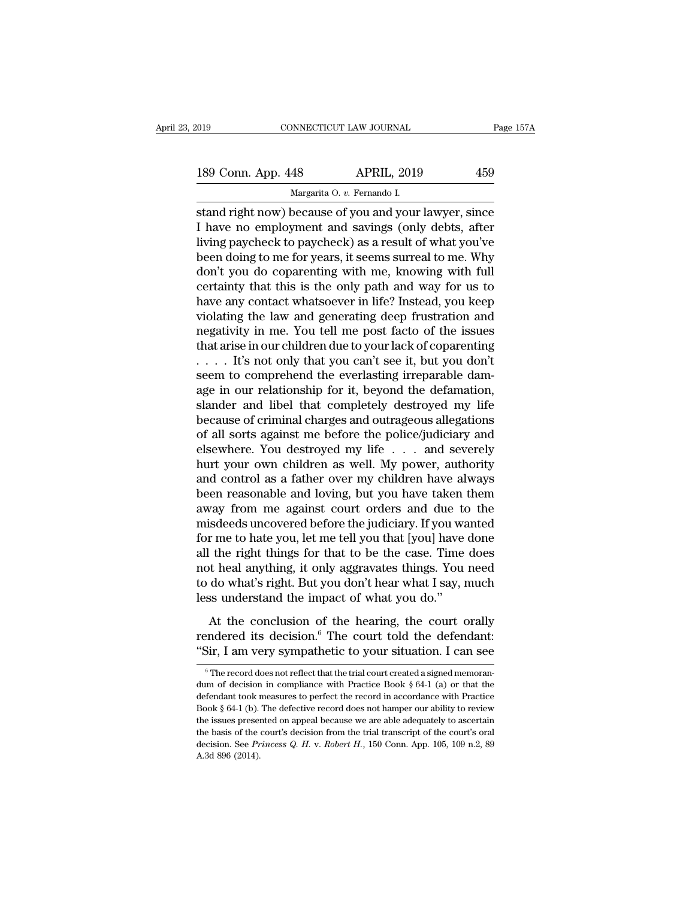| 2019               | CONNECTICUT LAW JOURNAL     | Page 157A |
|--------------------|-----------------------------|-----------|
| 189 Conn. App. 448 | <b>APRIL, 2019</b>          | 459       |
|                    | Margarita O. v. Fernando I. |           |

Figure 157A<br>
Stand right now) because of you and your lawyer, since<br>
I have no employment and savings (only debts, after<br>
living paychook to paychook) as a result of what you've 189 Conn. App. 448 APRIL, 2019 459<br>Margarita 0. v. Fernando I.<br>Stand right now) because of you and your lawyer, since<br>I have no employment and savings (only debts, after<br>living paycheck to paycheck) as a result of what you 189 Conn. App. 448 APRIL, 2019 459<br>
Margarita 0. v. Fernando I.<br>
stand right now) because of you and your lawyer, since<br>
I have no employment and savings (only debts, after<br>
living paycheck to paycheck) as a result of what 189 Conn. App. 448 APRIL, 2019 459<br>
Margarita O. v. Fernando I.<br>
stand right now) because of you and your lawyer, since<br>
I have no employment and savings (only debts, after<br>
living paycheck to paycheck) as a result of what Margarita 0. v. Fernando I.<br>
stand right now) because of you and your lawyer, since<br>
I have no employment and savings (only debts, after<br>
living paycheck to paycheck) as a result of what you've<br>
been doing to me for years, marganta 0.  $v$ . Fernando I.<br>
stand right now) because of you and your lawyer, since<br>
I have no employment and savings (only debts, after<br>
living paycheck to paycheck) as a result of what you've<br>
been doing to me for year stand right now) because of you and your lawyer, since<br>I have no employment and savings (only debts, after<br>living paycheck to paycheck) as a result of what you've<br>been doing to me for years, it seems surreal to me. Why<br>don I have no employment and savings (only debts, after<br>living paycheck to paycheck) as a result of what you've<br>been doing to me for years, it seems surreal to me. Why<br>don't you do coparenting with me, knowing with full<br>certai living paycheck to paycheck) as a result of what you've<br>been doing to me for years, it seems surreal to me. Why<br>don't you do coparenting with me, knowing with full<br>certainty that this is the only path and way for us to<br>hav been doing to me for years, it seems surreal to me. Why<br>don't you do coparenting with me, knowing with full<br>certainty that this is the only path and way for us to<br>have any contact whatsoever in life? Instead, you keep<br>viol don't you do coparenting with me, knowing with full certainty that this is the only path and way for us to have any contact whatsoever in life? Instead, you keep violating the law and generating deep frustration and negati certainty that this is the only path and way for us to<br>have any contact whatsoever in life? Instead, you keep<br>violating the law and generating deep frustration and<br>negativity in me. You tell me post facto of the issues<br>th have any contact whatsoever in life? Instead, you keep<br>violating the law and generating deep frustration and<br>negativity in me. You tell me post facto of the issues<br>that arise in our children due to your lack of coparentin violating the law and generating deep frustration and<br>negativity in me. You tell me post facto of the issues<br>that arise in our children due to your lack of coparenting<br> $\dots$  if's not only that you can't see it, but you don megativity in me. You tell me post facto of the issues<br>that arise in our children due to your lack of coparenting<br> $\dots$  it's not only that you can't see it, but you don't<br>seem to comprehend the everlasting irreparable damthat arise in our children due to your lack of coparenting<br>
. . . . . It's not only that you can't see it, but you don't<br>
seem to comprehend the everlasting irreparable dam-<br>
age in our relationship for it, beyond the def .... It's not only that you can't see it, but you don't<br>seem to comprehend the everlasting irreparable dam-<br>age in our relationship for it, beyond the defamation,<br>slander and libel that completely destroyed my life<br>because seem to comprehend the everlasting irreparable dam-<br>age in our relationship for it, beyond the defamation,<br>slander and libel that completely destroyed my life<br>because of criminal charges and outrageous allegations<br>of all s age in our relationship for it, beyond the defamation,<br>slander and libel that completely destroyed my life<br>because of criminal charges and outrageous allegations<br>of all sorts against me before the police/judiciary and<br>else slander and libel that completely destroyed my life<br>because of criminal charges and outrageous allegations<br>of all sorts against me before the police/judiciary and<br>elsewhere. You destroyed my life . . . and severely<br>hurt yo because of criminal charges and outrageous allegations<br>of all sorts against me before the police/judiciary and<br>elsewhere. You destroyed my life . . . and severely<br>hurt your own children as well. My power, authority<br>and con of all sorts against me before the police/judiciary and<br>elsewhere. You destroyed my life . . . and severely<br>hurt your own children as well. My power, authority<br>and control as a father over my children have always<br>been reas elsewhere. You destroyed my life . . . . and severely<br>hurt your own children as well. My power, authority<br>and control as a father over my children have always<br>been reasonable and loving, but you have taken them<br>away from m hurt your own children as well. My power, authority<br>and control as a father over my children have always<br>been reasonable and loving, but you have taken them<br>away from me against court orders and due to the<br>misdeeds uncover and control as a father over my children have always<br>been reasonable and loving, but you have taken them<br>away from me against court orders and due to the<br>misdeeds uncovered before the judiciary. If you wanted<br>for me to hat been reasonable and loving, but you have taken them<br>away from me against court orders and due to the<br>misdeeds uncovered before the judiciary. If you wanted<br>for me to hate you, let me tell you that [you] have done<br>all the r away from me against court orders and due to<br>misdeeds uncovered before the judiciary. If you was<br>for me to hate you, let me tell you that [you] have<br>all the right things for that to be the case. Time<br>not heal anything, it r me to hate you, let me tell you that [you] have done<br>the right things for that to be the case. Time does<br>the right things for that to be the case. Time does<br>do what's right. But you don't hear what I say, much<br>ss unders rendered its decision.<sup>6</sup> The court of the case. Time does<br>not heal anything, it only aggravates things. You need<br>to do what's right. But you don't hear what I say, much<br>less understand the impact of what you do."<br>At the c an are right analystic tract to be the case. The access<br>
not heal anything, it only aggravates things. You need<br>
to do what's right. But you don't hear what I say, much<br>
less understand the impact of what you do."<br>
At the

At the conclusion of the hearing, the court orally<br>endered its decision.<sup>6</sup> The court told the defendant:<br>Sir, I am very sympathetic to your situation. I can see<br><sup>6</sup>The record does not reflect that the trial court created At the conclusion of the hearing, the court orally<br>rendered its decision.<sup>6</sup> The court told the defendant:<br>"Sir, I am very sympathetic to your situation. I can see<br> $\frac{1}{6}$  The record does not reflect that the trial cour

rendered its decision.<sup>6</sup> The court told the defendant:<br>
"Sir, I am very sympathetic to your situation. I can see<br>  $\frac{1}{\sqrt{2}}$  The record does not reflect that the trial court created a signed memorandum of decision in c Book § 64-1 (b). The defective record does not hamper our ability to review of  $\overline{t}$  is the issues presented on appeal because we are able adequately to ascertain the befendant took measures to perfect the record in accordance with Practice Book § 64-1 (b). The defective record does not hamper <sup>6</sup> The record does not reflect that the trial court created a signed memorandum of decision in compliance with Practice Book § 64-1 (a) or that the defendant took measures to perfect the record in accordance with Practic dum of decision in compliance with Practice Book § 64-1 (a) or that the defendant took measures to perfect the record in accordance with Practice Book § 64-1 (b). The defective record does not hamper our ability to review dum of decision in compliance with Practice Book § 64-1 (a) or that the defendant took measures to perfect the record in accordance with Practice Book § 64-1 (b). The defective record does not hamper our ability to review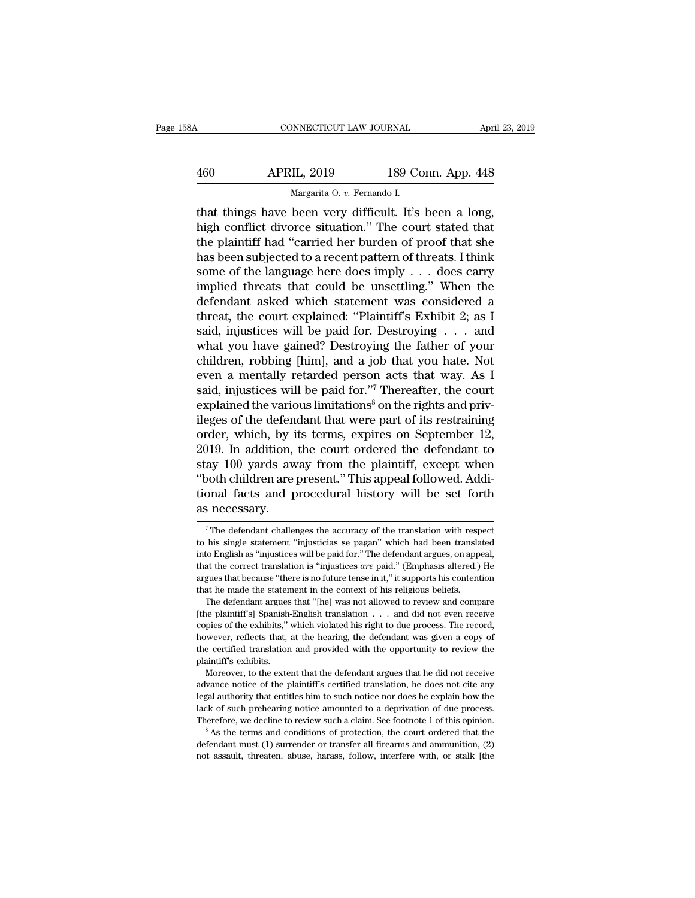| 58A | CONNECTICUT LAW JOURNAL                                |                    | April 23, 2019 |
|-----|--------------------------------------------------------|--------------------|----------------|
| 460 | <b>APRIL, 2019</b>                                     | 189 Conn. App. 448 |                |
|     | Margarita O. v. Fernando I.                            |                    |                |
|     | that things have heen very difficult. It's heen a long |                    |                |

CONNECTICUT LAW JOURNAL April 23, 2<br>
460 APRIL, 2019 189 Conn. App. 448<br>
Margarita 0. v. Fernando I.<br>
that things have been very difficult. It's been a long,<br>
high conflict divorce situation." The court stated that<br>
the pl APRIL, 2019 189 Conn. App. 448<br>
Margarita 0. v. Fernando I.<br>
that things have been very difficult. It's been a long,<br>
high conflict divorce situation.'' The court stated that<br>
the plaintiff had "carried her burden of proof APRIL, 2019 189 Conn. App. 448<br>
Margarita O. v. Fernando I.<br>
that things have been very difficult. It's been a long,<br>
high conflict divorce situation." The court stated that<br>
the plaintiff had "carried her burden of proof  $\begin{array}{ll}\n & \text{APRIL, 2019} & \text{189 Conn. App. 448} \\
 \hline\n & \text{Margarita 0. } v. \text{ Fernando I.} \\
 \text{that things have been very difficult. It's been a long, high conflict diverse situation." The court stated that the plaintiff had "carried her burden of proof that she has been subjected to a recent pattern of threats. I think some of the language here does imply . . . does carry implied threats that could be using." When the$ Margarita O. v. Fernando I.<br>
that things have been very difficult. It's been a long,<br>
high conflict divorce situation." The court stated that<br>
the plaintiff had "carried her burden of proof that she<br>
has been subjected to Margarita O. v. Fernando I.<br>
that things have been very difficult. It's been a long,<br>
high conflict divorce situation." The court stated that<br>
the plaintiff had "carried her burden of proof that she<br>
has been subjected to that things have been very difficult. It's been a long,<br>high conflict divorce situation." The court stated that<br>the plaintiff had "carried her burden of proof that she<br>has been subjected to a recent pattern of threats. I high conflict divorce situation." The court stated that<br>the plaintiff had "carried her burden of proof that she<br>has been subjected to a recent pattern of threats. I think<br>some of the language here does imply  $\dots$  does car the plaintiff had "carried her burden of proof that she<br>has been subjected to a recent pattern of threats. I think<br>some of the language here does imply  $\dots$  does carry<br>implied threats that could be unsettling." When the<br>d has been subjected to a recent pattern of threats. I think<br>some of the language here does imply  $\ldots$  does carry<br>implied threats that could be unsettling." When the<br>defendant asked which statement was considered a<br>threat, some of the language here does imply . . . does carry<br>implied threats that could be unsettling." When the<br>defendant asked which statement was considered a<br>threat, the court explained: "Plaintiff's Exhibit 2; as I<br>said, in implied threats that could be unsettling." When the defendant asked which statement was considered a threat, the court explained: "Plaintiff's Exhibit 2; as I said, injustices will be paid for. Destroying  $\dots$  and what yo defendant asked which statement was considered a<br>threat, the court explained: "Plaintiff's Exhibit 2; as I<br>said, injustices will be paid for. Destroying . . . and<br>what you have gained? Destroying the father of your<br>childre threat, the court explained: "Plaintiff's Exhibit 2; as I said, injustices will be paid for. Destroying  $\ldots$  and what you have gained? Destroying the father of your children, robbing [him], and a job that you hate. Not e said, injustices will be paid for. Destroying . . . and<br>what you have gained? Destroying the father of your<br>children, robbing [him], and a job that you hate. Not<br>even a mentally retarded person acts that way. As I<br>said, i what you have gained? Destroying the father of your children, robbing [him], and a job that you hate. Not even a mentally retarded person acts that way. As I said, injustices will be paid for."<sup>7</sup> Thereafter, the court exp children, robbing [him], and a job that you hate. Not<br>even a mentally retarded person acts that way. As I<br>said, injustices will be paid for."<sup>7</sup> Thereafter, the court<br>explained the various limitations<sup>8</sup> on the rights and even a mentally retarded person acts that way. As I<br>said, injustices will be paid for."<sup>7</sup> Thereafter, the court<br>explained the various limitations<sup>8</sup> on the rights and priv-<br>ileges of the defendant that were part of its re explained the various limitations<sup>8</sup> on the rights and privileges of the defendant that were part of its restraining order, which, by its terms, expires on September 12, 2019. In addition, the court ordered the defendant t explained the various limitations<sup>8</sup> on the rights and privileges of the defendant that were part of its restraining order, which, by its terms, expires on September 12, 2019. In addition, the court ordered the defendant t ileges of the defen<br>order, which, by i<br>2019. In addition,<br>stay 100 yards aw<br>"both children are<br>tional facts and p<br>as necessary.<br>"The defendant challer ay 100 yards away from the plaintiff, except when<br>both children are present." This appeal followed. Addi-<br>onal facts and procedural history will be set forth<br>is necessary.<br><sup>7</sup>The defendant challenges the accuracy of the tr "both children are present." This appeal followed. Additional facts and procedural history will be set forth as necessary.<br>The defendant challenges the accuracy of the translation with respect to his single statement "inju

by the certified translation and provided with the opportunity to review the plaintiff's exhibits.<br>
Moreover, to the extent that the defendant argues that he did not receive advance notice of the plaintiff's certified tran the certified translation and provided with the opportunity to review the plaintiff's exhibits.<br>Moreover, to the extent that the defendant argues that he did not receive advance notice of the plaintiff's certified translat plaintiff's exhibits.<br>
Moreover, to the extent that the defendant argues that he did not receive<br>
advance notice of the plaintiff's certified translation, he does not cite any<br>
legal authority that entitles him to such not advance notice of the plaintiff's certified translation, he does not cite any legal authority that entitles him to such notice nor does he explain how the lack of such prehearing notice amounted to a deprivation of due pr legal authority that entitles him to such notice nor does he explain how the

tional facts and procedural history will be set forth<br>as necessary.<br> $\frac{1}{\pi}$  The defendant challenges the accuracy of the translation with respect<br>to his single statement "injusticias se pagan" which had been translated That the correct translation is the correct translation is the correct to his single statement "injusticias se pagan" which had been translated into English as "injustices will be paid for." The defendant argues, on appeal The defendant challenges the accuracy of the translation with respect to his single statement "injusticias se pagan" which had been translated into English as "injustices will be paid for." The defendant argues, on appeal The defendant challenges the accuracy of the translation with respect to his single statement "injusticias se pagan" which had been translation to English as "injustices will be paid for." The defendant argues, on app tha The defendant argues that "[he] was not allowed to review and compare plaintiff's] Spanish-English translated to English as "injustices will be paid for." The defendant argues, on appeal, at the correct translation is "in [the plaintiff's] Spanish-English translation . . . and did not even receive

that the correct translation is "injustices *are* paid." (Emphasis altered.) He argues that because "there is no future tense in it," it supports his contention that he made the statement in the context of his religious b argues that because "there is no future tense in it," it supports his contention that he made the statement in the context of his religious beliefs. The defendant argues that "[he] was not allowed to review and compare [t that he made the statement in the context of his religious beliefs.<br>The defendant argues that "[he] was not allowed to review and compare [the plaintiff's] Spanish-English translation  $\ldots$  and did not even receive copies The defendant argues<br>The defendant argues<br>(the plaintiff's] Spanish.<br>copies of the exhibits,"<br>however, reflects that,<br>the certified translation<br>plaintiff's exhibits.<br>Moreover, to the exte need paintiff's] Spanish-English translation . . . and did not even receive pies of the exhibits," which violated his right to due process. The record, wever, reflects that, at the hearing, the defendant was given a copy o copies of the exhibits," which violated his right to due process. The record, however, reflects that, at the hearing, the defendant was given a copy of the certified translation and provided with the opportunity to review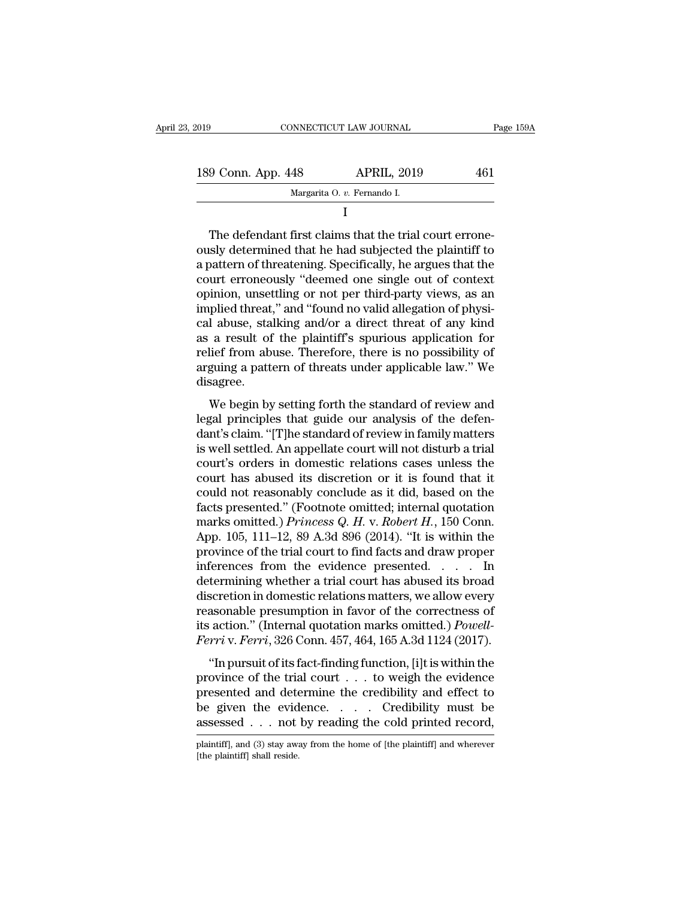| 2019               | CONNECTICUT LAW JOURNAL     |                                                                                                                                                                                | Page 159A |
|--------------------|-----------------------------|--------------------------------------------------------------------------------------------------------------------------------------------------------------------------------|-----------|
|                    |                             |                                                                                                                                                                                |           |
| 189 Conn. App. 448 |                             | <b>APRIL, 2019</b>                                                                                                                                                             | 461       |
|                    | Margarita O. v. Fernando I. |                                                                                                                                                                                |           |
|                    |                             |                                                                                                                                                                                |           |
|                    |                             | The defendant first claims that the trial court errone-<br>ously determined that he had subjected the plaintiff to<br>a pattern of threatening Specifically he argues that the |           |

189 Conn. App. 448 APRIL, 2019 461<br>
Margarita O. v. Fernando I.<br>
I<br>
The defendant first claims that the trial court errone-<br>
ously determined that he had subjected the plaintiff to<br>
a pattern of threatening. Specifically, 189 Conn. App. 448 APRIL, 2019 461<br>
Margarita O.  $v$ . Fernando I.<br>
The defendant first claims that the trial court errone-<br>
ously determined that he had subjected the plaintiff to<br>
a pattern of threatening. Specifically, Margarita O.  $v$ . Fernando I.<br>
I<br>
The defendant first claims that the trial court errone-<br>
ously determined that he had subjected the plaintiff to<br>
a pattern of threatening. Specifically, he argues that the<br>
court erroneo I<br>
The defendant first claims that the trial court errone-<br>
ously determined that he had subjected the plaintiff to<br>
a pattern of threatening. Specifically, he argues that the<br>
court erroneously "deemed one single out of c The defendant first claims that the trial court errone-<br>
ously determined that he had subjected the plaintiff to<br>
a pattern of threatening. Specifically, he argues that the<br>
court erroneously "deemed one single out of cont The defendant first claims that the trial court errone-<br>ously determined that he had subjected the plaintiff to<br>a pattern of threatening. Specifically, he argues that the<br>court erroneously "deemed one single out of context ously determined that he had subjected the plaintiff to<br>a pattern of threatening. Specifically, he argues that the<br>court erroneously "deemed one single out of context<br>opinion, unsettling or not per third-party views, as an a pattern of threatening. Specifically, he argues that the court erroneously "deemed one single out of context opinion, unsettling or not per third-party views, as an implied threat," and "found no valid allegation of phys court erroneously "deemed one single out of context<br>opinion, unsettling or not per third-party views, as an<br>implied threat," and "found no valid allegation of physi-<br>cal abuse, stalking and/or a direct threat of any kind<br>a disagree. phed threat, and found no vand anegation of physi-<br>
1 abuse, stalking and/or a direct threat of any kind<br>
a result of the plaintiff's spurious application for<br>
lief from abuse. Therefore, there is no possibility of<br>
guing cal abuse, stalking and/or a direct threat of any kind<br>as a result of the plaintiff's spurious application for<br>relief from abuse. Therefore, there is no possibility of<br>arguing a pattern of threats under applicable law." We

as a result of the plaintin's spurious application for<br>relief from abuse. Therefore, there is no possibility of<br>arguing a pattern of threats under applicable law." We<br>disagree.<br>We begin by setting forth the standard of rev Fraction abuse. Therefore, there is no possibility of<br>arguing a pattern of threats under applicable law." We<br>disagree.<br>We begin by setting forth the standard of review and<br>legal principles that guide our analysis of the de disagree.<br>
We begin by setting forth the standard of review and<br>
legal principles that guide our analysis of the defen-<br>
dant's claim. "[T]he standard of review in family matters<br>
is well settled. An appellate court will n We begin by setting forth the standard of review and<br>legal principles that guide our analysis of the defen-<br>dant's claim. "[T]he standard of review in family matters<br>is well settled. An appellate court will not disturb a t We begin by setting forth the standard of review and<br>legal principles that guide our analysis of the defen-<br>dant's claim. "[T]he standard of review in family matters<br>is well settled. An appellate court will not disturb a legal principles that guide our analysis of the defen-<br>dant's claim. "[T]he standard of review in family matters<br>is well settled. An appellate court will not disturb a trial<br>court's orders in domestic relations cases unle dant's claim. "[T]he standard of review in family matters<br>is well settled. An appellate court will not disturb a trial<br>court's orders in domestic relations cases unless the<br>court has abused its discretion or it is found th is well settled. An appellate court will not disturb a trial<br>court's orders in domestic relations cases unless the<br>court has abused its discretion or it is found that it<br>could not reasonably conclude as it did, based on th court's orders in domestic relations cases unless the<br>court has abused its discretion or it is found that it<br>could not reasonably conclude as it did, based on the<br>facts presented." (Footnote omitted; internal quotation<br>ma court has abused its discretion or it is found that it<br>could not reasonably conclude as it did, based on the<br>facts presented." (Footnote omitted; internal quotation<br>marks omitted.) *Princess Q. H. v. Robert H.*, 150 Conn. could not reasonably conclude as it did, based on the<br>facts presented." (Footnote omitted; internal quotation<br>marks omitted.) *Princess Q. H.* v. *Robert H.*, 150 Conn.<br>App. 105, 111–12, 89 A.3d 896 (2014). "It is within facts presented." (Footnote omitted; internal quotation<br>marks omitted.) *Princess Q. H. v. Robert H.*, 150 Conn.<br>App. 105, 111–12, 89 A.3d 896 (2014). "It is within the<br>province of the trial court to find facts and draw p marks omitted.) *Princess Q. H. v. Robert H.*, 150 Conn.<br>App. 105, 111–12, 89 A.3d 896 (2014). "It is within the<br>province of the trial court to find facts and draw proper<br>inferences from the evidence presented. . . . . In App. 105, 111–12, 89 A.3d 896 (2014). "It is within the province of the trial court to find facts and draw proper inferences from the evidence presented. . . . . In determining whether a trial court has abused its broad di province of the trial court to find facts and draw proper<br>inferences from the evidence presented. . . . . In<br>determining whether a trial court has abused its broad<br>discretion in domestic relations matters, we allow every<br>r termining whether a trial court has abused its broad<br>scretion in domestic relations matters, we allow every<br>assonable presumption in favor of the correctness of<br>action." (Internal quotation marks omitted.) *Powell-*<br>rriv. discretion in domestic relations matters, we allow every<br>reasonable presumption in favor of the correctness of<br>its action." (Internal quotation marks omitted.) *Powell-<br>Ferri* v. *Ferri*, 326 Conn. 457, 464, 165 A.3d 1124

reasonable presumption in favor of the correctness of<br>its action." (Internal quotation marks omitted.) *Powell-<br>Ferri* v. *Ferri*, 326 Conn. 457, 464, 165 A.3d 1124 (2017).<br>"In pursuit of its fact-finding function, [i]t i be given the and action marks omitted.) Powell-<br>Ferri v. Ferri, 326 Conn. 457, 464, 165 A.3d 1124 (2017).<br>"In pursuit of its fact-finding function, [i]t is within the<br>province of the trial court . . . to weigh the evidence Ferri v. Ferri, 326 Conn. 457, 464, 165 A.3d 1124 (2017).<br>
"In pursuit of its fact-finding function, [i]t is within the<br>
province of the trial court . . . to weigh the evidence<br>
presented and determine the credibility and province of the trial court  $\dots$  to weigh the evidence presented and determine the credibility and effect to be given the evidence.  $\dots$  Credibility must be assessed  $\dots$  not by reading the cold printed record, plaintiff] assessed  $\ldots$  not by reading the cold printed record,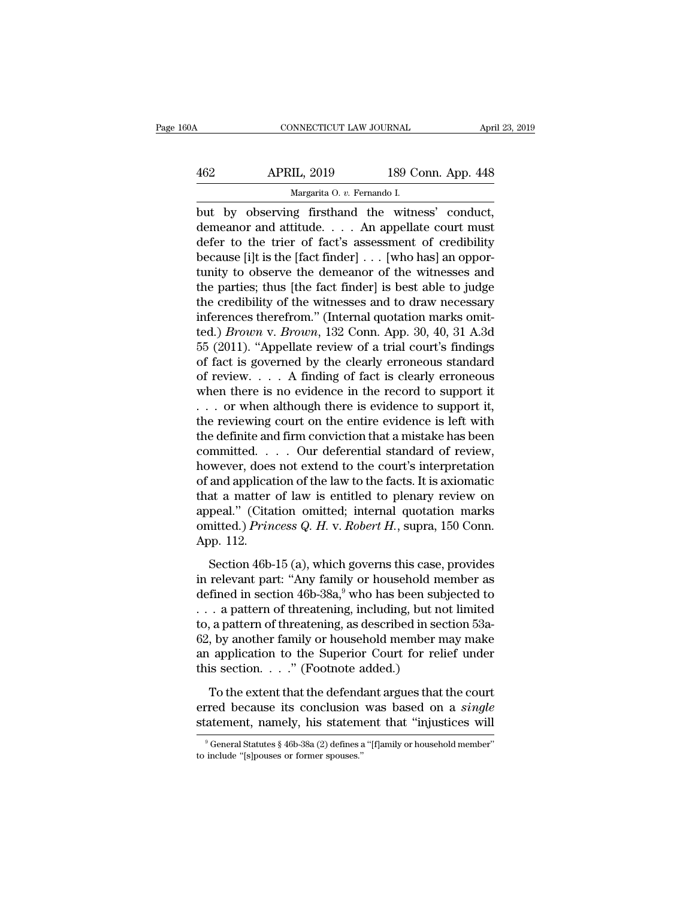| 160A | CONNECTICUT LAW JOURNAL                         |                    | April 23, 2019 |
|------|-------------------------------------------------|--------------------|----------------|
| 462  | <b>APRIL, 2019</b>                              | 189 Conn. App. 448 |                |
|      | Margarita O. v. Fernando I.                     |                    |                |
|      | but by observing firsthand the witness' conduct |                    |                |

CONNECTICUT LAW JOURNAL April 23, 2<br>
APRIL, 2019 189 Conn. App. 448<br>
Margarita 0. v. Fernando I.<br>
but by observing firsthand the witness' conduct,<br>
demeanor and attitude.... An appellate court must<br>
defer to the trier of f 462 APRIL, 2019 189 Conn. App. 448<br>Margarita 0. v. Fernando I.<br>but by observing firsthand the witness' conduct,<br>demeanor and attitude. . . . An appellate court must<br>defer to the trier of fact's assessment of credibility<br>ho APRIL, 2019 189 Conn. App. 448<br>
Margarita O. v. Fernando I.<br>
but by observing firsthand the witness' conduct,<br>
demeanor and attitude. . . . An appellate court must<br>
defer to the trier of fact's assessment of credibility<br>
b  $\begin{array}{ll}\n & \text{APRIL, 2019} & \text{189 Conn. App. 448}\n \hline\n & \text{Margarita 0. } v. \text{ Fernando I.}\n \end{array}\n \text{but by observing firsthand the witness' conduct, demeanor and attitude. . . . An appellate court must defer to the trier of fact's assessment of credibility because [i]t is the [fact finder] . . . [who has] an opportunity to observe the demeanor of the witnesses and the parties: thus [the fact finder] is best able to judge the data.$ Margarita O. v. Fernando I.<br>
but by observing firsthand the witness' conduct,<br>
demeanor and attitude. . . . An appellate court must<br>
defer to the trier of fact's assessment of credibility<br>
because [i]t is the [fact finder margania 0.  $v$ . Fernando I.<br>
but by observing firsthand the witness' conduct,<br>
demeanor and attitude. . . . An appellate court must<br>
defer to the trier of fact's assessment of credibility<br>
because [i]t is the [fact finde but by observing firsthand the witness' conduct,<br>demeanor and attitude.... An appellate court must<br>defer to the trier of fact's assessment of credibility<br>because [i]t is the [fact finder] ... [who has] an oppor-<br>tunity to demeanor and attitude. . . . An appellate court must<br>defer to the trier of fact's assessment of credibility<br>because [i]t is the [fact finder] . . . [who has] an oppor-<br>tunity to observe the demeanor of the witnesses and<br>t defer to the trier of fact's assessment of credibility<br>because [i]t is the [fact finder] . . . [who has] an oppor-<br>tunity to observe the demeanor of the witnesses and<br>the parties; thus [the fact finder] is best able to jud because [i]t is the [fact finder] . . . [who has] an opportunity to observe the demeanor of the witnesses and<br>the parties; thus [the fact finder] is best able to judge<br>the credibility of the witnesses and to draw necessar tunity to observe the demeanor of the witnesses and<br>the parties; thus [the fact finder] is best able to judge<br>the credibility of the witnesses and to draw necessary<br>inferences therefrom." (Internal quotation marks omit-<br>t the parties; thus [the fact finder] is best able to judge<br>the credibility of the witnesses and to draw necessary<br>inferences therefrom." (Internal quotation marks omit-<br>ted.) *Brown* v. *Brown*, 132 Conn. App. 30, 40, 31 A the credibility of the witnesses and to draw necessary<br>inferences therefrom." (Internal quotation marks omit-<br>ted.) *Brown* v. *Brown*, 132 Conn. App. 30, 40, 31 A.3d<br>55 (2011). "Appellate review of a trial court's findin inferences therefrom." (Internal quotation marks omit-<br>ted.) *Brown* v. *Brown*, 132 Conn. App. 30, 40, 31 A.3d<br>55 (2011). "Appellate review of a trial court's findings<br>of fact is governed by the clearly erroneous standar ted.) *Brown* v. *Brown*, 132 Conn. App. 30, 40, 31 A.3d<br>55 (2011). "Appellate review of a trial court's findings<br>of fact is governed by the clearly erroneous standard<br>of review. . . . A finding of fact is clearly erroneo 55 (2011). "Appellate review of a trial court's findings<br>of fact is governed by the clearly erroneous standard<br>of review.... A finding of fact is clearly erroneous<br>when there is no evidence in the record to support it<br>... of fact is governed by the clearly erroneous standard<br>of review. . . . A finding of fact is clearly erroneous<br>when there is no evidence in the record to support it<br>. . . or when although there is evidence to support it,<br>t of review. . . . A finding of fact is clearly erroneous<br>when there is no evidence in the record to support it<br>. . . or when although there is evidence to support it,<br>the reviewing court on the entire evidence is left with when there is no evidence in the record to support it . . . or when although there is evidence to support it, the reviewing court on the entire evidence is left with the definite and firm conviction that a mistake has bee ... or when although there is evidence to support it,<br>the reviewing court on the entire evidence is left with<br>the definite and firm conviction that a mistake has been<br>committed.... Our deferential standard of review,<br>howe the reviewing court on the entire evidence is left with<br>the definite and firm conviction that a mistake has been<br>committed. . . . Our deferential standard of review,<br>however, does not extend to the court's interpretation<br> the definite and firm conviction that a mistake has been<br>committed. . . . Our deferential standard of review,<br>however, does not extend to the court's interpretation<br>of and application of the law to the facts. It is axiomat committed.<br>however, does<br>of and applicat<br>that a matter<br>appeal." (Cita<br>omitted.) Prin<br>App. 112.<br>Section 46band application of the law to the facts. It is axiomatic<br>at a matter of law is entitled to plenary review on<br>peal." (Citation omitted; internal quotation marks<br>nitted.) *Princess Q. H. v. Robert H.*, supra, 150 Conn.<br>pp. that a matter of law is entitled to plenary review on<br>appeal." (Citation omitted; internal quotation marks<br>omitted.) *Princess Q. H. v. Robert H.*, supra, 150 Conn.<br>App. 112.<br>Section 46b-15 (a), which governs this case, p

appeal." (Citation omitted; internal quotation marks<br>omitted.) *Princess Q. H. v. Robert H.*, supra, 150 Conn.<br>App. 112.<br>Section 46b-15 (a), which governs this case, provides<br>in relevant part: "Any family or household mem omitted.) Princess Q. H. v. Robert H., supra, 150 Conn.<br>App. 112.<br>Section 46b-15 (a), which governs this case, provides<br>in relevant part: "Any family or household member as<br>defined in section 46b-38a,<sup>9</sup> who has been subj omitted.) *Princess Q. H. v. Robert H.*, supra, 150 Conn.<br>App. 112.<br>Section 46b-15 (a), which governs this case, provides<br>in relevant part: "Any family or household member as<br>defined in section 46b-38a,<sup>9</sup> who has been su Section 46b-15 (a), which governs this case, provides<br>in relevant part: "Any family or household member as<br>defined in section 46b-38a,<sup>9</sup> who has been subjected to<br> $\ldots$  a pattern of threatening, including, but not limite Section 46b-15 (a), which governs this case, provides<br>in relevant part: "Any family or household member as<br>defined in section 46b-38a,<sup>9</sup> who has been subjected to<br> $\dots$  a pattern of threatening, including, but not limited in relevant part: "Any family or household m<br>defined in section 46b-38a,<sup>9</sup> who has been sub<br> $\ldots$  a pattern of threatening, including, but no<br>to, a pattern of threatening, as described in see<br>62, by another family or hou The anternal that the defendant argues in substituted a pattern of threatening, including, but not limited<br>a pattern of threatening, as described in section 53a-<br>by another family or household member may make<br>application erred because its conclusion was based on a *single*<br>statement of threatening, as described in section 53a-<br>62, by another family or household member may make<br>an application to the Superior Court for relief under<br>this sect 62, by another family or household member may make<br>an application to the Superior Court for relief under<br>this section. . . ." (Footnote added.)<br>To the extent that the defendant argues that the court<br>erred because its conc

To the extent that the defendant argues that the court<br>red because its conclusion was based on a *single*<br>atement, namely, his statement that "injustices will<br> $\frac{9}{9}$  General Statutes § 46b-38a (2) defines a "[f]amily o To the extent that the defend<br>erred because its conclusion<br>statement, namely, his statem<br> $\frac{1}{\sqrt{2}}$ <br>former spouses.''<br>to include "[s]pouses or former spouses.''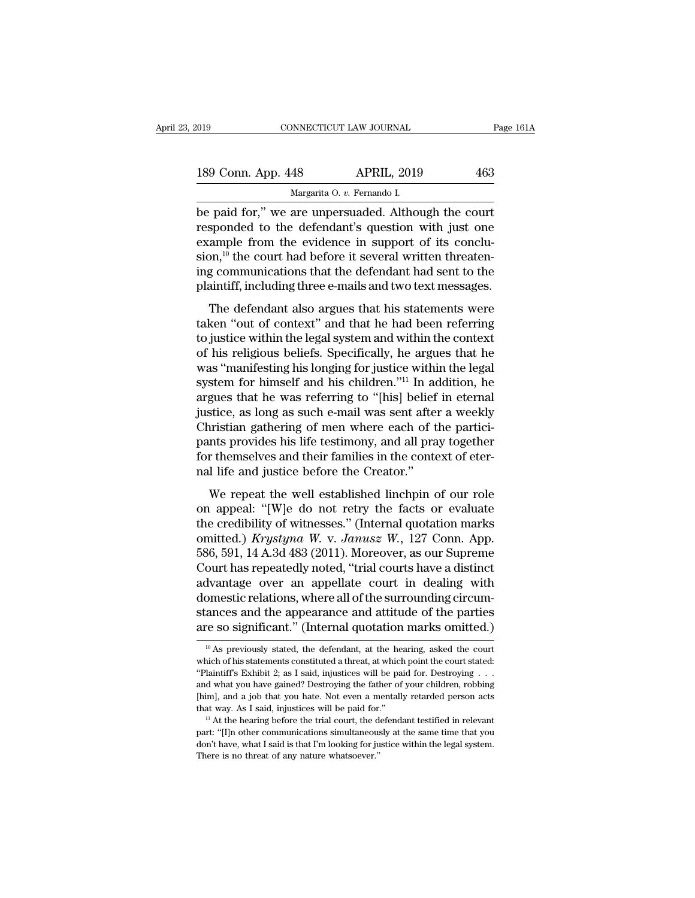| 2019               | CONNECTICUT LAW JOURNAL                              | Page 161A |
|--------------------|------------------------------------------------------|-----------|
|                    |                                                      |           |
| 189 Conn. App. 448 | <b>APRIL, 2019</b>                                   | 463       |
|                    | Margarita O. v. Fernando I.                          |           |
|                    | be paid for," we are unpersuaded. Although the court |           |

Fage 161/<br>
189 Conn. App. 448 APRIL, 2019 463<br>
Margarita 0. v. Fernando I.<br>
be paid for,'' we are unpersuaded. Although the court<br>
responded to the defendant's question with just one<br>
example from the evidence in support o 189 Conn. App. 448 APRIL, 2019 463<br>Margarita 0. v. Fernando I.<br>De paid for," we are unpersuaded. Although the court<br>responded to the defendant's question with just one<br>example from the evidence in support of its conclu-<br>si 189 Conn. App. 448 APRIL, 2019 463<br>
Margarita O. v. Fernando I.<br>
be paid for," we are unpersuaded. Although the court<br>
responded to the defendant's question with just one<br>
example from the evidence in support of its concl 189 Conn. App. 448 APRIL, 2019 463<br>
Margarita O. v. Fernando I.<br>
be paid for," we are unpersuaded. Although the court<br>
responded to the defendant's question with just one<br>
example from the evidence in support of its concl Margarita O. v. Fernando I.<br>
be paid for," we are unpersuaded. Although the court<br>
responded to the defendant's question with just one<br>
example from the evidence in support of its conclu-<br>
sion,<sup>10</sup> the court had before it Margarita O.  $v$ . Fernando I.<br>be paid for," we are unpersuaded. Although the court<br>responded to the defendant's question with just one<br>example from the evidence in support of its conclu-<br>sion,<sup>10</sup> the court had before it Fall for, we are unpersuated. Although the court<br>sponded to the defendant's question with just one<br>ample from the evidence in support of its conclu-<br>on,<sup>10</sup> the court had before it several written threaten-<br>g communicatio responded to the detendant s question with just one example from the evidence in support of its conclusion,<sup>10</sup> the court had before it several written threatening communications that the defendant had sent to the plainti

Example Hom the evidence in support of its conclusion,  $^{10}$  the court had before it several written threatening communications that the defendant had sent to the plaintiff, including three e-mails and two text messages. ing communications that the defendant had sent to the<br>plaintiff, including three e-mails and two text messages.<br>The defendant also argues that his statements were<br>taken "out of context" and that he had been referring<br>to ju mg commandations that the determine had sent to the<br>plaintiff, including three e-mails and two text messages.<br>The defendant also argues that his statements were<br>taken "out of context" and that he had been referring<br>to just Frament, including ance c manistant two text incisages.<br>The defendant also argues that his statements were<br>taken "out of context" and that he had been referring<br>to justice within the legal system and within the context<br>of The defendant also argues that his statements were<br>taken "out of context" and that he had been referring<br>to justice within the legal system and within the context<br>of his religious beliefs. Specifically, he argues that he<br>w taken "out of context" and that he had been referring<br>to justice within the legal system and within the context<br>of his religious beliefs. Specifically, he argues that he<br>was "manifesting his longing for justice within the to justice within the legal system and within the context<br>of his religious beliefs. Specifically, he argues that he<br>was "manifesting his longing for justice within the legal<br>system for himself and his children."<sup>11</sup> In add of his religious beliefs. Specifically, he argues that he<br>was "manifesting his longing for justice within the legal<br>system for himself and his children."<sup>11</sup> In addition, he<br>argues that he was referring to "[his] belief in was "manifesting his longing for justice within the legal<br>system for himself and his children."<sup>11</sup> In addition, he<br>argues that he was referring to "[his] belief in eternal<br>justice, as long as such e-mail was sent after a system for himself and his children."<sup>11</sup> In adequase that he was referring to "[his] belief justice, as long as such e-mail was sent after Christian gathering of men where each of t pants provides his life testimony, and stice, as long as such e-mail was sent after a weekly<br>pristian gathering of men where each of the partici-<br>nts provides his life testimony, and all pray together<br>r themselves and their families in the context of eter-<br>l l Christian gathering of men where each of the partici-<br>pants provides his life testimony, and all pray together<br>for themselves and their families in the context of eter-<br>nal life and justice before the Creator."<br>We repeat

pants provides his life testimony, and all pray together<br>for themselves and their families in the context of eter-<br>nal life and justice before the Creator."<br>We repeat the well established linchpin of our role<br>on appeal: " pants provides its the testimoly, and an pray together<br>for themselves and their families in the context of eter-<br>nal life and justice before the Creator."<br>We repeat the well established linchpin of our role<br>on appeal: "[W] For dienserves and then rannines in the context of etcr-<br>
ral life and justice before the Creator."<br>
We repeat the well established linchpin of our role<br>
on appeal: "[W]e do not retry the facts or evaluate<br>
the credibilit We repeat the well established linchpin of our role<br>on appeal: "[W]e do not retry the facts or evaluate<br>the credibility of witnesses." (Internal quotation marks<br>omitted.) *Krystyna W. v. Janusz W.*, 127 Conn. App.<br>586, 59 We repeat the well established linchpin of our role<br>on appeal: "[W]e do not retry the facts or evaluate<br>the credibility of witnesses." (Internal quotation marks<br>omitted.) *Krystyna W. v. Janusz W.*, 127 Conn. App.<br>586, 59 on appeal: "[W]e do not retry the facts or evaluate<br>the credibility of witnesses." (Internal quotation marks<br>omitted.) *Krystyna W. v. Janusz W.*, 127 Conn. App.<br>586, 591, 14 A.3d 483 (2011). Moreover, as our Supreme<br>Cour the credibility of witnesses." (Internal quotation marks<br>omitted.) Krystyna W. v. Janusz W., 127 Conn. App.<br>586, 591, 14 A.3d 483 (2011). Moreover, as our Supreme<br>Court has repeatedly noted, "trial courts have a distinct<br>a omitted.) *Krystyna W. v. Janusz W.*, 127 Conn. App. 586, 591, 14 A.3d 483 (2011). Moreover, as our Supreme Court has repeatedly noted, "trial courts have a distinct advantage over an appellate court in dealing with domes domestic relations, where all of the surrounding circum-<br>stances and the appearance and attitude of the parties<br>are so significant." (Internal quotation marks omitted.)<br> $\frac{10}{10}$  As previously stated, the defendant, at domestic relations, where all of the surrounding circum-<br>stances and the appearance and attitude of the parties<br>are so significant." (Internal quotation marks omitted.)<br> $\frac{10}{10}$  As previously stated, the defendant, at

stances and the appearance and attitude of the parties are so significant." (Internal quotation marks omitted.)<br>
<sup>10</sup> As previously stated, the defendant, at the hearing, asked the court which of his statements constitute are so significant." (Internal quotation marks omitted.)<br>
<sup>10</sup> As previously stated, the defendant, at the hearing, asked the court<br>
which of his statements constituted a threat, at which point the court stated:<br>
"Plainti <sup>10</sup> As previously stated, the defendant, at the hearing, asked the court hich of his statements constituted a threat, at which point the court stated: Plaintiff's Exhibit 2; as I said, injustices will be paid for. Destro <sup>10</sup> As previously stated, the defendant, at the hearing, asked the court which of his statements constituted a threat, at which point the court stated: "Plaintiff's Exhibit 2; as I said, injustices will be paid for. Dest "Plaintiff's Exhibit 2; as I said, injustices will be paid for. Destroying . . . and what you have gained? Destroying the father of your children, robbing [him], and a job that you hate. Not even a mentally retarded perso that way. As I said, injustices will be paid for."

and what you have gained? Destroying the father of your children, robbing [him], and a job that you hate. Not even a mentally retarded person acts that way. As I said, injustices will be paid for."<br>  $\,$   $\,$   $\,$   $\,$   $\$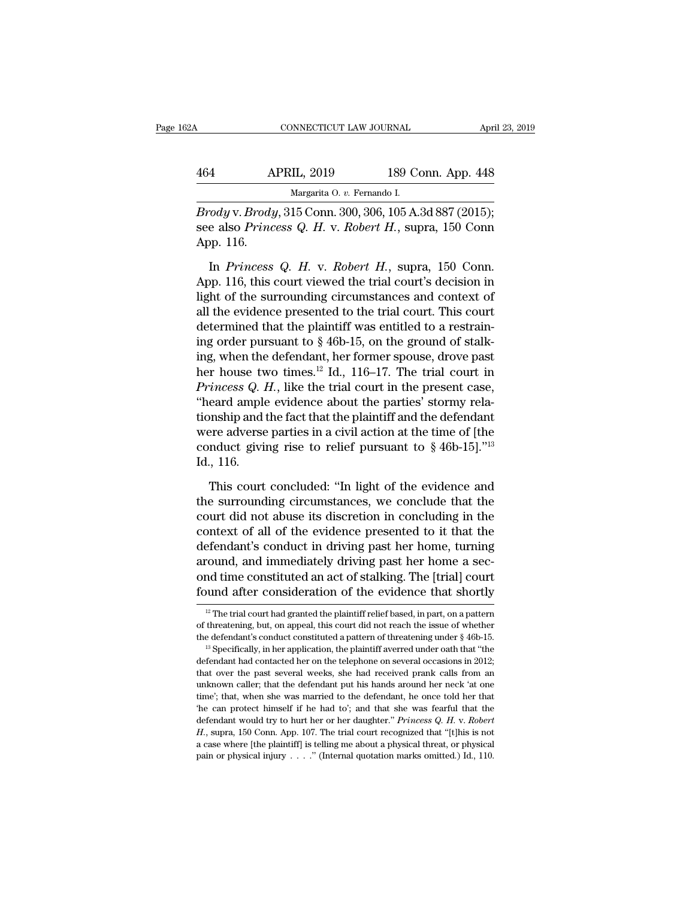| 32A | CONNECTICUT LAW JOURNAL                                   |                    | April 23, 2019 |
|-----|-----------------------------------------------------------|--------------------|----------------|
| 464 | <b>APRIL, 2019</b>                                        | 189 Conn. App. 448 |                |
|     | Margarita O. v. Fernando I.                               |                    |                |
|     | <i>Brodux Brody</i> 315 Conn 300 306 105 A 3d 887 (2015): |                    |                |

CONNECTICUT LAW JOURNAL April 23, 2<br> **APRIL, 2019** 189 Conn. App. 448<br>
Margarita 0. v. Fernando I.<br> *Brody* v. *Brody*, 315 Conn. 300, 306, 105 A.3d 887 (2015);<br>
see also *Princess Q. H. v. Robert H.*, supra, 150 Conn September 189 Conn. App. 448<br>
Margarita 0. *v.* Fernando I.<br> *Brody* v. *Brody*, 315 Conn. 300, 306, 105 A.3d 887 (2015);<br>
see also *Princess Q. H. v. Robert H.*, supra, 150 Conn<br>
App. 116. 464 A<br>Brody v. Brody<br>see also Princ<br>App. 116.<br>In Princess APRIL, 2019 189 Conn. App. 448<br>
Margarita O. v. Fernando I.<br> *Pody v. Brody*, 315 Conn. 300, 306, 105 A.3d 887 (2015);<br>
e also *Princess Q. H. v. Robert H.*, supra, 150 Conn.<br>
pp. 116.<br>
In *Princess Q. H. v. Robert H.*, su

Margarita 0. v. Fernando I.<br> *Brody* v. *Brody*, 315 Conn. 300, 306, 105 A.3d 887 (2015);<br>
see also *Princess Q. H. v. Robert H.*, supra, 150 Conn.<br>
App. 116.<br>
In *Princess Q. H. v. Robert H.*, supra, 150 Conn.<br>
App. 116, *Brody* v. *Brody*, 315 Conn. 300, 306, 105 A.3d 887 (2015);<br>see also *Princess Q. H. v. Robert H.*, supra, 150 Conn<br>App. 116.<br>In *Princess Q. H. v. Robert H.*, supra, 150 Conn.<br>App. 116, this court viewed the trial court' see also *Princess Q. H. v. Robert H.*, supra, 150 Conn<br>App. 116.<br>In *Princess Q. H. v. Robert H.*, supra, 150 Conn.<br>App. 116, this court viewed the trial court's decision in<br>light of the surrounding circumstances and con App. 116.<br>In *Princess Q. H. v. Robert H.*, supra, 150 Conn.<br>App. 116, this court viewed the trial court's decision in<br>light of the surrounding circumstances and context of<br>all the evidence presented to the trial court. T In *Princess Q. H. v. Robert H.*, supra, 150 Conn.<br>App. 116, this court viewed the trial court's decision in<br>light of the surrounding circumstances and context of<br>all the evidence presented to the trial court. This court<br> In *Princess Q. H. v. Robert H.*, supra, 150 Conn.<br>App. 116, this court viewed the trial court's decision in<br>light of the surrounding circumstances and context of<br>all the evidence presented to the trial court. This court<br> App. 116, this court viewed the trial court's decision in<br>light of the surrounding circumstances and context of<br>all the evidence presented to the trial court. This court<br>determined that the plaintiff was entitled to a res light of the surrounding circumstances and context of<br>all the evidence presented to the trial court. This court<br>determined that the plaintiff was entitled to a restrain-<br>ing order pursuant to  $\S 46b-15$ , on the ground of all the evidence presented to the trial court. This court<br>determined that the plaintiff was entitled to a restraining order pursuant to  $\S$  46b-15, on the ground of stalking, when the defendant, her former spouse, drove p determined that the plaintiff was entitled to a restraining order pursuant to  $\S$  46b-15, on the ground of stalking, when the defendant, her former spouse, drove past her house two times.<sup>12</sup> Id., 116–17. The trial court ing order pursuant to § 46b-15, on the ground of stalking, when the defendant, her former spouse, drove past<br>her house two times.<sup>12</sup> Id., 116–17. The trial court in<br>*Princess Q. H.*, like the trial court in the present c ing, when the defendant, her former spouse, drove past<br>her house two times.<sup>12</sup> Id., 116–17. The trial court in<br>*Princess Q. H.*, like the trial court in the present case,<br>"heard ample evidence about the parties' stormy r % conduct giving rise to relief pursuant to  $\frac{6}{3}$  46b-15]."<sup>13</sup><br>Id., 116.<br>This court concluded: "In light of the evidence and eard ample evidence about the parties' stormy rela-<br>onship and the fact that the plaintiff and the defendant<br>ere adverse parties in a civil action at the time of [the<br>nduct giving rise to relief pursuant to  $\S 46b-15$ ]."<sup></sup> tionship and the fact that the plaintiff and the defendant<br>were adverse parties in a civil action at the time of [the<br>conduct giving rise to relief pursuant to  $\S$  46b-15]."<sup>13</sup><br>Id., 116.<br>This court concluded: "In light o

were adverse parties in a civil action at the time of [the conduct giving rise to relief pursuant to  $\S 46b-15$ ]."<sup>13</sup><br>Id., 116.<br>This court concluded: "In light of the evidence and<br>the surrounding circumstances, we conclu conduct giving rise to relief pursuant to  $\S 46b-15$ ]."<sup>13</sup><br>Id., 116.<br>This court concluded: "In light of the evidence and<br>the surrounding circumstances, we conclude that the<br>court did not abuse its discretion in concludin Id., 116.<br>This court concluded: "In light of the evidence and<br>the surrounding circumstances, we conclude that the<br>court did not abuse its discretion in concluding in the<br>context of all of the evidence presented to it that This court concluded: "In light of the evidence and<br>the surrounding circumstances, we conclude that the<br>court did not abuse its discretion in concluding in the<br>context of all of the evidence presented to it that the<br>defend This court concluded: "In light of the evidence and<br>the surrounding circumstances, we conclude that the<br>court did not abuse its discretion in concluding in the<br>context of all of the evidence presented to it that the<br>defend the surrounding circumstances, we conclude that the court did not abuse its discretion in concluding in the context of all of the evidence presented to it that the defendant's conduct in driving past her home, turning aro defendant's conduct in driving past her home, turning<br>around, and immediately driving past her home a sec-<br>ond time constituted an act of stalking. The [trial] court<br>found after consideration of the evidence that shortly<br>

found after consideration of the evidence that shortly<br>
<sup>12</sup> The trial court had granted the plaintiff relief based, in part, on a pattern<br>
of threatening, but, on appeal, this court did not reach the issue of whether<br>
th ond time constituted an act of stalking. The [trial] court found after consideration of the evidence that shortly  $\frac{12}{1}$  The trial court had granted the plaintiff relief based, in part, on a pattern of threatening, bu

<sup>&</sup>lt;sup>12</sup> The trial court had granted the plaintiff relief based, in part, on a pattern<br>of threatening, but, on appeal, this court did not reach the issue of whether<br>the defendant's conduct constituted a pattern of threatening <sup>12</sup> The trial court had granted the plaintiff relief based, in part, on a pattern of threatening, but, on appeal, this court did not reach the issue of whether the defendant's conduct constituted a pattern of threatening of threatening, but, on appeal, this court did not reach the issue of whether the defendant's conduct constituted a pattern of threatening under  $\S$  46b-15.<br><sup>13</sup> Specifically, in her application, the plaintiff averred und the defendant's conduct constituted a pattern of threatening under  $\S$  46b-15.<br><sup>13</sup> Specifically, in her application, the plaintiff averred under oath that "the defendant had contacted her on the telephone on several occa <sup>13</sup> Specifically, in her application, the plaintiff averred under oath that "the defendant had contacted her on the telephone on several occasions in 2012; that over the past several weeks, she had received prank calls f defendant had contacted her on the telephone on several occasions in 2012;<br>that over the past several weeks, she had received prank calls from an<br>unknown caller; that the defendant put his hands around her neck 'at one<br>tim that over the past several weeks, she had received prank calls from an unknown caller; that the defendant put his hands around her neck 'at one time'; that, when she was married to the defendant, he once told her that 'he unknown caller; that the defendant put his hands around her neck 'at one time'; that, when she was married to the defendant, he once told her that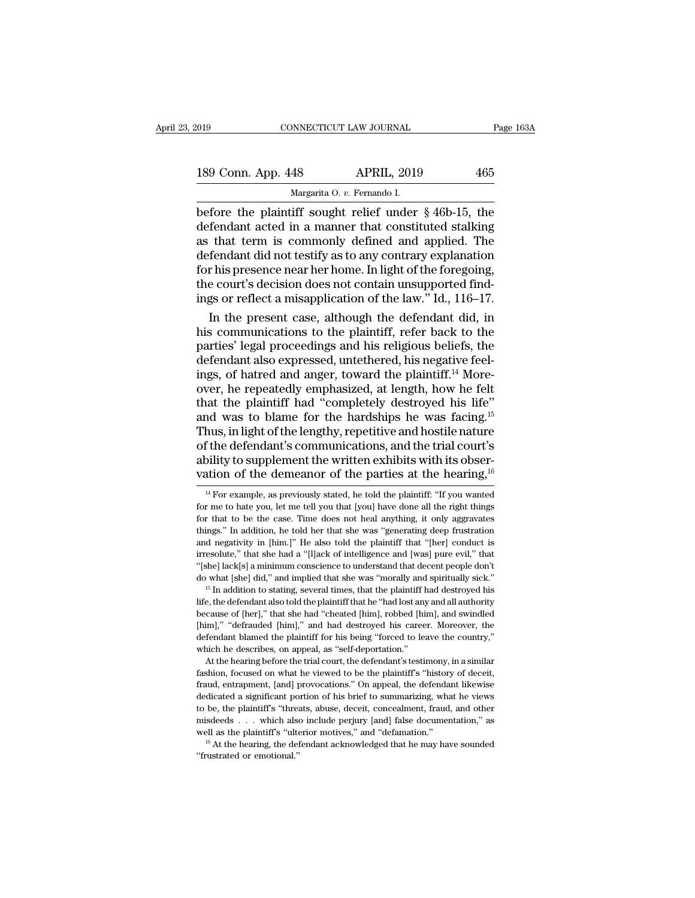| 2019               | CONNECTICUT LAW JOURNAL     |                                                        | Page 163A |
|--------------------|-----------------------------|--------------------------------------------------------|-----------|
| 189 Conn. App. 448 |                             | <b>APRIL, 2019</b>                                     | 465       |
|                    | Margarita O. v. Fernando I. |                                                        |           |
|                    |                             | hefore the plaintiff sought relief under 8.46b-15, the |           |

Fage 163A<br>
189 Conn. App. 448 APRIL, 2019 465<br>
Margarita 0. v. Fernando I.<br>
before the plaintiff sought relief under § 46b-15, the<br>
defendant acted in a manner that constituted stalking<br>
as that term is commonly defined an 189 Conn. App. 448 APRIL, 2019 465<br>Margarita 0. v. Fernando I.<br>Defore the plaintiff sought relief under § 46b-15, the<br>defendant acted in a manner that constituted stalking<br>as that term is commonly defined and applied. The<br> 189 Conn. App. 448 APRIL, 2019 465<br>
Margarita 0. v. Fernando I.<br>
before the plaintiff sought relief under  $\S$  46b-15, the<br>
defendant acted in a manner that constituted stalking<br>
as that term is commonly defined and applie 189 Conn. App. 448 APRIL, 2019 465<br>
Margarita O. v. Fernando I.<br>
before the plaintiff sought relief under  $\S$  46b-15, the<br>
defendant acted in a manner that constituted stalking<br>
as that term is commonly defined and applie Margarita 0. v. Fernando I.<br>
before the plaintiff sought relief under § 46b-15, the<br>
defendant acted in a manner that constituted stalking<br>
as that term is commonly defined and applied. The<br>
defendant did not testify as t Margarita O.  $v$ . Fernando I.<br>
before the plaintiff sought relief under § 46b-15, the<br>
defendant acted in a manner that constituted stalking<br>
as that term is commonly defined and applied. The<br>
defendant did not testify as before the plaintiff sought relief under § 46b-15, the defendant acted in a manner that constituted stalking as that term is commonly defined and applied. The defendant did not testify as to any contrary explanation for hi fendant acted in a manner that constituted stalking<br>that term is commonly defined and applied. The<br>fendant did not testify as to any contrary explanation<br>r his presence near her home. In light of the foregoing,<br>e court's d as that term is commonly defined and applied. The<br>defendant did not testify as to any contrary explanation<br>for his presence near her home. In light of the foregoing,<br>the court's decision does not contain unsupported find-<br>

defendant did not testify as to any contrary explanation<br>for his presence near her home. In light of the foregoing,<br>the court's decision does not contain unsupported find-<br>ings or reflect a misapplication of the law." Id., for his presence near her home. In light of the foregoing,<br>the court's decision does not contain unsupported find-<br>ings or reflect a misapplication of the law." Id., 116–17.<br>In the present case, although the defendant did the court's decision does not contain unsupported findings or reflect a misapplication of the law." Id., 116–17.<br>In the present case, although the defendant did, in<br>his communications to the plaintiff, refer back to the<br>pa ings or reflect a misapplication of the law." Id., 116–17.<br>In the present case, although the defendant did, in<br>his communications to the plaintiff, refer back to the<br>parties' legal proceedings and his religious beliefs, t In the present case, although the defendant did, in<br>his communications to the plaintiff, refer back to the<br>parties' legal proceedings and his religious beliefs, the<br>defendant also expressed, untethered, his negative feel-<br> his communications to the plaintiff, refer back to the parties' legal proceedings and his religious beliefs, the defendant also expressed, untethered, his negative feelings, of hatred and anger, toward the plaintiff.<sup>14</sup> M parties' legal proceedings and his religious beliefs, the<br>defendant also expressed, untethered, his negative feel-<br>ings, of hatred and anger, toward the plaintiff.<sup>14</sup> More-<br>over, he repeatedly emphasized, at length, how h defendant also expressed, untethered, his negative feelings, of hatred and anger, toward the plaintiff.<sup>14</sup> More-<br>over, he repeatedly emphasized, at length, how he felt<br>that the plaintiff had "completely destroyed his lif ings, of hatred and anger, toward the plaintiff.<sup>14</sup> More-<br>over, he repeatedly emphasized, at length, how he felt<br>that the plaintiff had "completely destroyed his life"<br>and was to blame for the hardships he was facing.<sup>15</sup> over, he repeatedly emphasized, at length, how he felt<br>that the plaintiff had "completely destroyed his life"<br>and was to blame for the hardships he was facing.<sup>15</sup><br>Thus, in light of the lengthy, repetitive and hostile natu hus, in light of the lengthy, repetitive and hostile nature<br>f the defendant's communications, and the trial court's<br>bility to supplement the written exhibits with its obser-<br>ation of the demeanor of the parties at the hear of the defendant's communications, and the trial court's<br>ability to supplement the written exhibits with its obser-<br>vation of the demeanor of the parties at the hearing,  $^{16}$ <br> $^{14}$  For example, as previously stated, he

First Units, that she had a "[1]ack of intelligence and [was] pure evil," that it is<br>hereafted in the had a "[1]ack of intelligence and [was] pure evil," that<br>"[she] lack[s] a minimum conscience to understand that decent "[she] lack[s] a minimum conscience to understand that decent people don't do what [she] did," and implied that she was "morally and spiritually sick."<br><sup>15</sup> In addition to stating, several times, that the plaintiff had de let what [she] did," and implied that she was "morally and spiritually sick."<br>
<sup>15</sup> In addition to stating, several times, that the plaintiff had destroyed his<br>
life, the defendant also told the plaintiff that he "had lost <sup>15</sup> In addition to stating, several times, that the plaintiff life, the defendant also told the plaintiff that he "had lost any because of [her]," that she had "cheated [him], robbed [hi [him]," "defrauded [him]," and had e, the defendant also told the plaintiff that he "had lost any and all authority cause of [her]," that she had "cheated [him], robbed [him], and swindled im]," "defrauded [him]," and had destroyed his career. Moreover, the because of [her]," that she had "cheated [him], robbed [him], and swindled [him]," "defrauded [him]," and had destroyed his career. Moreover, the defendant blamed the plaintiff for his being "forced to leave the country,"

[him]," "defrauded [him]," and had destroyed his career. Moreover, the defendant blamed the plaintiff for his being "forced to leave the country," which he describes, on appeal, as "self-deportation." At the hearing before Final, our but a significant blamed the plaintiff for his being "forced to leave the country,"<br>which he describes, on appeal, as "self-deportation."<br>At the hearing before the trial court, the defendant's testimony, in a si which he describes, on appeal, as "self-deportation."<br>At the hearing before the trial court, the defendant's testimony, in a similar<br>fashion, focused on what he viewed to be the plaintiff's "history of deceit,<br>fraud, entra At the hearing before the trial court, the defendant's testimony, in a similar fashion, focused on what he viewed to be the plaintiff's "history of deceit, fraud, entrapment, [and] provocations." On appeal, the defendant l Fashion, focused on what he viewed to be the plaintiff's "history of deceit, fraud, entrapment, [and] provocations." On appeal, the defendant likewise dedicated a significant portion of his brief to summarizing, what he v fraud, entrapment, [and] provocations." On appeal, the defendant likewise dedicated a significant portion of his brief to summarizing, what he views to be, the plaintiff's "threats, abuse, deceit, concealment, fraud, and

ability to supplement the written exhibits with its observation of the demeanor of the parties at the hearing,  $^{16}$ <br> $^{14}$  For example, as previously stated, he told the plaintiff: "If you wanted for me to hate you, let vation of the demeanor of the parties at the hearing,  $^{16}$   $^{14}$  For example, as previously stated, he told the plaintiff: "If you wanted for me to hate you, let me tell you that [you] have done all the right things fo vation of the definement of the parties at the hearing,<br><sup>14</sup> For example, as previously stated, he told the plaintiff: "If you wanted<br>for me to hate you, let me tell you that [you] have done all the right things<br>for that <sup>14</sup> For example, as previously stated, he told the plaintiff: "If you wanted for me to hate you, let me tell you that [you] have done all the right things for that to be the case. Time does not heal anything, it only agg for me to hate you, let me tell you that [you] have done all the right things for that to be the case. Time does not heal anything, it only aggravates things." In addition, he told her that she was "generating deep frustr for that to be the case. Time does not heal anything, it only aggravates things." In addition, he told her that she was "generating deep frustration and negativity in [him.]" He also told the plaintiff that "[her] conduct and negativity in [him.]" He also told the plaintiff that "[her] conduct is irresolute," that she had a "[l]ack of intelligence and [was] pure evil," that "[she] lack[s] a minimum conscience to understand that decent peopl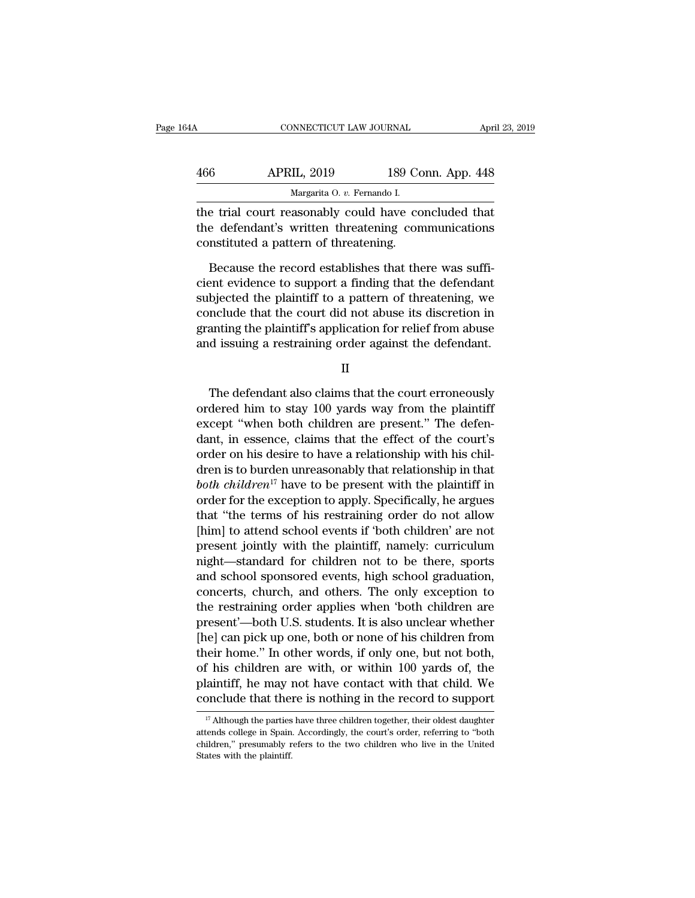| 34 A | CONNECTICUT LAW JOURNAL                                                                                                                           |                    | April 23, 2019 |
|------|---------------------------------------------------------------------------------------------------------------------------------------------------|--------------------|----------------|
| 466  | <b>APRIL, 2019</b>                                                                                                                                | 189 Conn. App. 448 |                |
|      | Margarita O. v. Fernando I.                                                                                                                       |                    |                |
|      | the trial court reasonably could have concluded that<br>the defendant's written threatening communications<br>constituted a nottom of threatening |                    |                |

APRIL, 2019 189 Conn. App. 448<br>Margarita 0. v. Fernando I.<br>The trial court reasonably could have concluded that<br>the defendant's written threatening communications<br>constituted a pattern of threatening. 466 APRIL, 2019 189 Co<br>
Margarita O. v. Fernando I.<br>
the trial court reasonably could have co<br>
the defendant's written threatening com<br>
constituted a pattern of threatening.<br>
Because the record establishes that the Because the record establishes that there was suffi-<br>Because the record establishes that there was suffi-<br>Because the record establishes that there was suffi-<br>and evidence to support a finding that the defendant<br>biography

Margarita 0. *v.* Fernando I.<br>
the trial court reasonably could have concluded that<br>
the defendant's written threatening communications<br>
constituted a pattern of threatening.<br>
Because the record establishes that there was the trial court reasonably could have concluded that<br>the defendant's written threatening communications<br>constituted a pattern of threatening.<br>Because the record establishes that there was suffi-<br>cient evidence to support a the defendant's written threatening communications<br>constituted a pattern of threatening.<br>Because the record establishes that there was suffi-<br>cient evidence to support a finding that the defendant<br>subjected the plaintiff t constituted a pattern of threatening.<br>Because the record establishes that there was sufficient evidence to support a finding that the defendant<br>subjected the plaintiff to a pattern of threatening, we<br>conclude that the cour Because the record establishes that there was sufficient evidence to support a finding that the defendant subjected the plaintiff to a pattern of threatening, we conclude that the court did not abuse its discretion in gran bjected the plaintiff to a pattern of threatening, we<br>nclude that the court did not abuse its discretion in<br>anting the plaintiff's application for relief from abuse<br>d issuing a restraining order against the defendant.<br>II<br>T

II

concrude that the court did not abuse its uscretion in<br>granting the plaintiff's application for relief from abuse<br>and issuing a restraining order against the defendant.<br>II<br>The defendant also claims that the court erroneous granting the plantin's application for reflect from abuse<br>and issuing a restraining order against the defendant.<br>II<br>The defendant also claims that the court erroneously<br>ordered him to stay 100 yards way from the plaintiff<br> II<br>II<br>In the defendant also claims that the court erroneously<br>ordered him to stay 100 yards way from the plaintiff<br>except "when both children are present." The defen-<br>dant, in essence, claims that the effect of the court's II<br>The defendant also claims that the court erroneously<br>ordered him to stay 100 yards way from the plaintiff<br>except "when both children are present." The defen-<br>dant, in essence, claims that the effect of the court's<br>order The defendant also claims that the court erroneously<br>ordered him to stay 100 yards way from the plaintiff<br>except "when both children are present." The defen-<br>dant, in essence, claims that the effect of the court's<br>order o The defendant also claims that the court erroneously<br>ordered him to stay 100 yards way from the plaintiff<br>except "when both children are present." The defen-<br>dant, in essence, claims that the effect of the court's<br>order on ordered him to stay 100 yards way from the plaintiff<br>except "when both children are present." The defen-<br>dant, in essence, claims that the effect of the court's<br>order on his desire to have a relationship with his chil-<br>dr except "when both children are present." The defen-<br>dant, in essence, claims that the effect of the court's<br>order on his desire to have a relationship with his chil-<br>dren is to burden unreasonably that relationship in tha dant, in essence, claims that the effect of the court's<br>order on his desire to have a relationship with his chil-<br>dren is to burden unreasonably that relationship in that<br>both children<sup>17</sup> have to be present with the plain order on his desire to have a relationship with his chil-<br>dren is to burden unreasonably that relationship in that<br>both children<sup>17</sup> have to be present with the plaintiff in<br>order for the exception to apply. Specifically, dren is to burden unreasonably that relationship in that<br>both children<sup>17</sup> have to be present with the plaintiff in<br>order for the exception to apply. Specifically, he argues<br>that "the terms of his restraining order do not both children<sup>11</sup> have to be present with the plaintiff in<br>order for the exception to apply. Specifically, he argues<br>that "the terms of his restraining order do not allow<br>[him] to attend school events if 'both children' ar order for the exception to apply. Specifically, he argues<br>that "the terms of his restraining order do not allow<br>[him] to attend school events if 'both children' are not<br>present jointly with the plaintiff, namely: curriculu that "the terms of his restraining order do not allow<br>[him] to attend school events if 'both children' are not<br>present jointly with the plaintiff, namely: curriculum<br>night—standard for children not to be there, sports<br>and [him] to attend school events if 'both children' are not<br>present jointly with the plaintiff, namely: curriculum<br>night—standard for children not to be there, sports<br>and school sponsored events, high school graduation,<br>conce present jointly with the plaintiff, namely: curriculum<br>night—standard for children not to be there, sports<br>and school sponsored events, high school graduation,<br>concerts, church, and others. The only exception to<br>the restra might—standard for children not to be there, sports<br>and school sponsored events, high school graduation,<br>concerts, church, and others. The only exception to<br>the restraining order applies when 'both children are<br>present'—bo and school sponsored events, high school graduation,<br>concerts, church, and others. The only exception to<br>the restraining order applies when 'both children are<br>present'—both U.S. students. It is also unclear whether<br>[he] ca concerts, church, and others. The only exception to<br>the restraining order applies when 'both children are<br>present'—both U.S. students. It is also unclear whether<br>[he] can pick up one, both or none of his children from<br>thei the restraining order applies when 'both children are<br>present'—both U.S. students. It is also unclear whether<br>[he] can pick up one, both or none of his children from<br>their home." In other words, if only one, but not both, their home." In other words, if only one, but not both, of his children are with, or within 100 yards of, the plaintiff, he may not have contact with that child. We conclude that there is nothing in the record to support of his children are with, or within 100 yards of, the plaintiff, he may not have contact with that child. We conclude that there is nothing in the record to support  $\frac{17}{4}$  Although the parties have three children toge

plaintiff, he may not have contact with that child. We conclude that there is nothing in the record to support  $\frac{17}{17}$  Although the parties have three children together, their oldest daughter attends college in Spain. Fraction Conclude that the parties attends college in Spain children," presumably restants with the plaintiff.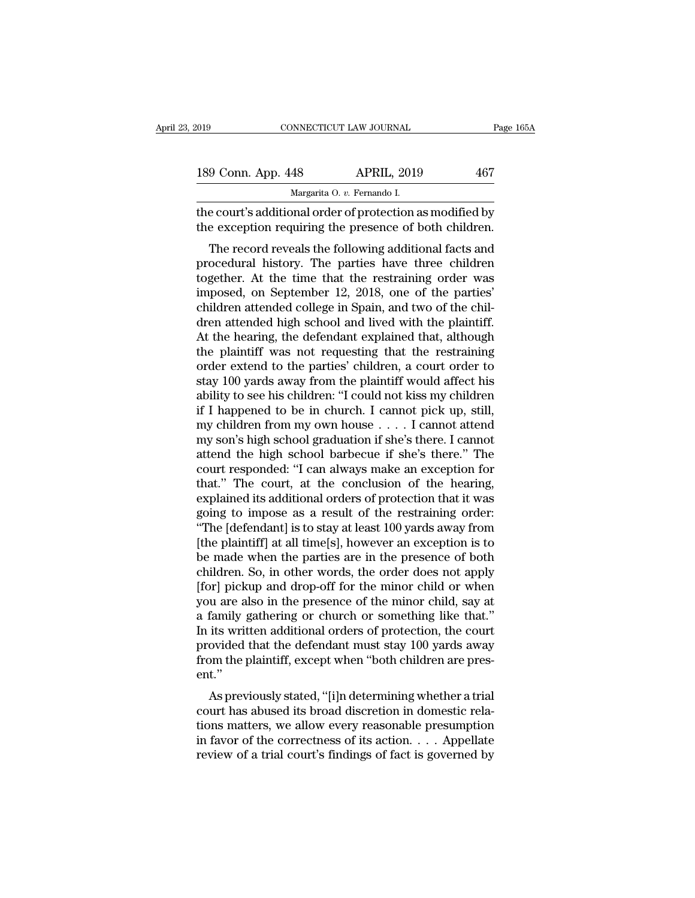| 019                | CONNECTICUT LAW JOURNAL                                                                                                                                              | Page 165A |
|--------------------|----------------------------------------------------------------------------------------------------------------------------------------------------------------------|-----------|
|                    |                                                                                                                                                                      |           |
| 189 Conn. App. 448 | <b>APRIL, 2019</b>                                                                                                                                                   | 467       |
|                    | Margarita O. v. Fernando I.                                                                                                                                          |           |
|                    | the court's additional order of protection as modified by<br>the exception requiring the presence of both children.                                                  |           |
|                    | The record reveals the following additional facts and<br>procedural history. The parties have three children<br>together. At the time that the restraining erder was |           |

189 Conn. App. 448 APRIL, 2019 467<br>
Margarita 0.  $v$ . Fernando I.<br>
the court's additional order of protection as modified by<br>
the exception requiring the presence of both children.<br>
The record reveals the following additi Margarita O.  $v$ . Fernando I.<br>
the court's additional order of protection as modified by<br>
the exception requiring the presence of both children.<br>
The record reveals the following additional facts and<br>
procedural history. the court's additional order of protection as modified by<br>the exception requiring the presence of both children.<br>The record reveals the following additional facts and<br>procedural history. The parties have three children<br>tog the exception requiring the presence of both children.<br>The record reveals the following additional facts and<br>procedural history. The parties have three children<br>together. At the time that the restraining order was<br>imposed, The record reveals the following additional facts and<br>procedural history. The parties have three children<br>together. At the time that the restraining order was<br>imposed, on September 12, 2018, one of the parties'<br>children at The record reveals the following additional facts and<br>procedural history. The parties have three children<br>together. At the time that the restraining order was<br>imposed, on September 12, 2018, one of the parties'<br>children at procedural history. The parties have three children<br>together. At the time that the restraining order was<br>imposed, on September 12, 2018, one of the parties'<br>children attended college in Spain, and two of the chil-<br>dren att together. At the time that the restraining order was<br>imposed, on September 12, 2018, one of the parties'<br>children attended college in Spain, and two of the chil-<br>dren attended high school and lived with the plaintiff.<br>At t imposed, on September 12, 2018, one of the parties'<br>children attended college in Spain, and two of the chil-<br>dren attended high school and lived with the plaintiff.<br>At the hearing, the defendant explained that, although<br>th children attended college in Spain, and two of the children attended high school and lived with the plaintiff.<br>At the hearing, the defendant explained that, although<br>the plaintiff was not requesting that the restraining<br>or dren attended high school and lived with the plaintiff.<br>At the hearing, the defendant explained that, although<br>the plaintiff was not requesting that the restraining<br>order extend to the parties' children, a court order to<br>s At the hearing, the defendant explained that, although<br>the plaintiff was not requesting that the restraining<br>order extend to the parties' children, a court order to<br>stay 100 yards away from the plaintiff would affect his<br>a the plaintiff was not requesting that the restraining<br>order extend to the parties' children, a court order to<br>stay 100 yards away from the plaintiff would affect his<br>ability to see his children: "I could not kiss my childr order extend to the parties' children, a court order to<br>stay 100 yards away from the plaintiff would affect his<br>ability to see his children: "I could not kiss my children<br>if I happened to be in church. I cannot pick up, st stay 100 yards away from the plaintiff would affect his<br>ability to see his children: "I could not kiss my children<br>if I happened to be in church. I cannot pick up, still,<br>my children from my own house  $\ldots$ . I cannot atte ability to see his children: "I could not kiss my children<br>
if I happened to be in church. I cannot pick up, still,<br>
my children from my own house  $\ldots$ . I cannot attend<br>
my son's high school graduation if she's there. I if I happened to be in church. I cannot pick up, still,<br>my children from my own house  $\ldots$ . I cannot attend<br>my son's high school graduation if she's there. I cannot<br>attend the high school barbecue if she's there." The<br>co my children from my own house  $\dots$  I cannot attend<br>my son's high school graduation if she's there. I cannot<br>attend the high school barbecue if she's there." The<br>court responded: "I can always make an exception for<br>that." my son's high school graduation if she's there. I cannot<br>attend the high school barbecue if she's there." The<br>court responded: "I can always make an exception for<br>that." The court, at the conclusion of the hearing,<br>explain attend the high school barbecue if she's there." The<br>court responded: "I can always make an exception for<br>that." The court, at the conclusion of the hearing,<br>explained its additional orders of protection that it was<br>going court responded: "I can always make an exception for<br>that." The court, at the conclusion of the hearing,<br>explained its additional orders of protection that it was<br>going to impose as a result of the restraining order:<br>"The that." The court, at the conclusion of the hearing,<br>explained its additional orders of protection that it was<br>going to impose as a result of the restraining order:<br>"The [defendant] is to stay at least 100 yards away from<br>[ explained its additional orders of protection that it was<br>going to impose as a result of the restraining order:<br>"The [defendant] is to stay at least 100 yards away from<br>[the plaintiff] at all time[s], however an exception going to impose as a result of the restraining order:<br>"The [defendant] is to stay at least 100 yards away from<br>[the plaintiff] at all time[s], however an exception is to<br>be made when the parties are in the presence of both "The [defendant] is to stay at least 100 yards away from<br>[the plaintiff] at all time[s], however an exception is to<br>be made when the parties are in the presence of both<br>children. So, in other words, the order does not app [the plaintiff] at all time[s], however an exception is to<br>be made when the parties are in the presence of both<br>children. So, in other words, the order does not apply<br>[for] pickup and drop-off for the minor child or when<br>y be made when the parties are in the presence of both<br>children. So, in other words, the order does not apply<br>[for] pickup and drop-off for the minor child or when<br>you are also in the presence of the minor child, say at<br>a fa children. So, in other words, the order does not apply<br>[for] pickup and drop-off for the minor child or when<br>you are also in the presence of the minor child, say at<br>a family gathering or church or something like that."<br>In ent.'' as a family gathering or church or something like that."<br>
its written additional orders of protection, the court<br>
ovided that the defendant must stay 100 yards away<br>
om the plaintiff, except when "both children are pres-<br> a ranny gamering or church or someting like that.<br>In its written additional orders of protection, the court<br>provided that the defendant must stay 100 yards away<br>from the plaintiff, except when "both children are pres-<br>ent.

In its written additional orders of protection, the court<br>provided that the defendant must stay 100 yards away<br>from the plaintiff, except when "both children are pres-<br>ent."<br>As previously stated, "[i]n determining whether provided that the defendant must stay Too yards away<br>from the plaintiff, except when "both children are pres-<br>ent."<br>As previously stated, "[i]n determining whether a trial<br>court has abused its broad discretion in domestic review of a trial court's findings of fact is governed by<br>review of a trial court has abused its broad discretion in domestic rela-<br>tions matters, we allow every reasonable presumption<br>in favor of the correctness of its ac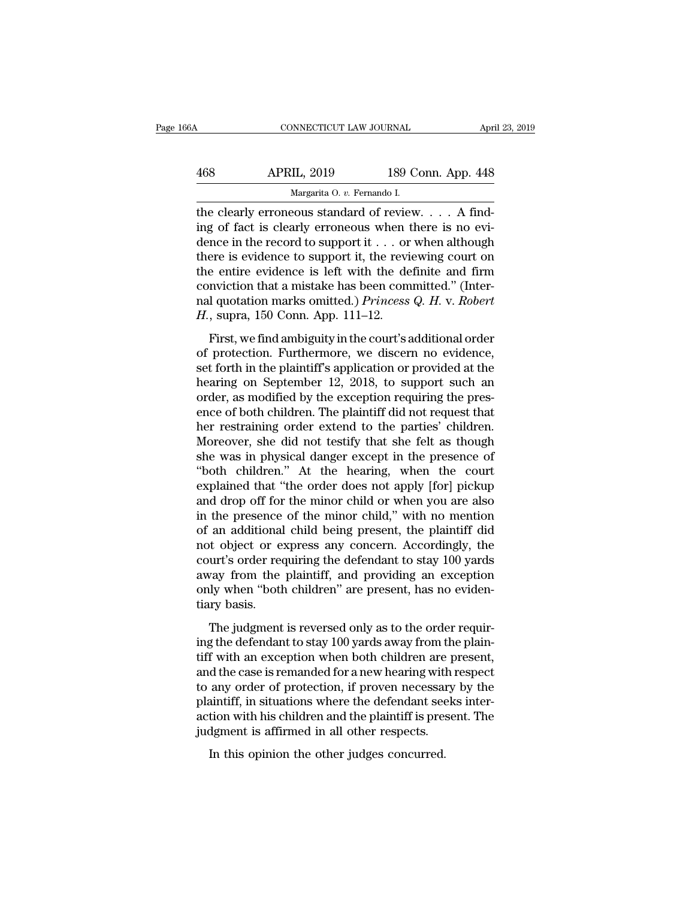| 66A | CONNECTICUT LAW JOURNAL                                                                                                                                                    |                    | April 23, 2019 |
|-----|----------------------------------------------------------------------------------------------------------------------------------------------------------------------------|--------------------|----------------|
| 468 | <b>APRIL, 2019</b>                                                                                                                                                         | 189 Conn. App. 448 |                |
|     | Margarita O. v. Fernando I.                                                                                                                                                |                    |                |
|     | the clearly erroneous standard of review. $\ldots$ A find-<br>ing of fact is clearly erroneous when there is no evi-<br>dongo in the regard to support it or when although |                    |                |

468 APRIL, 2019 189 Conn. App. 448<br>
Margarita 0. v. Fernando I.<br>
the clearly erroneous standard of review. . . . A find-<br>
ing of fact is clearly erroneous when there is no evi-<br>
dence in the record to support it . . . or w APRIL, 2019 189 Conn. App. 448<br>
Margarita O. v. Fernando I.<br>
the clearly erroneous standard of review. . . . A find-<br>
ing of fact is clearly erroneous when there is no evi-<br>
dence in the record to support it . . . or when  $\begin{array}{c|c} \text{APRIL, 2019} & \text{189 Conn. App. 448} \\ \hline \text{Margarita 0. } v. \text{ Fernando I.} \\ \text{the clearly erroneous standard of review. . . . A finding of fact is clearly erroneous when there is no evidence in the record to support it . . . or when although there is evidence to support it, the reviewing court on the entire evidence is left with the definite and firm computation that a mistake has been committed? (Intro.) \end{array}$ Margarita 0. v. Fernando I.<br>
the clearly erroneous standard of review. . . . A find-<br>
ing of fact is clearly erroneous when there is no evi-<br>
dence in the record to support it . . . or when although<br>
there is evidence to Margarita O. v. Fernando I.<br>
the clearly erroneous standard of review.... A find-<br>
ing of fact is clearly erroneous when there is no evi-<br>
dence in the record to support it ... or when although<br>
there is evidence to suppo the clearly erroneous standard of review. . . . A find-<br>ing of fact is clearly erroneous when there is no evi-<br>dence in the record to support it . . . or when although<br>there is evidence to support it, the reviewing court ing of fact is clearly erroneous when there is no evidence in the record to support it . . . or when although there is evidence to support it, the reviewing court on the entire evidence is left with the definite and firm First, we find ambiguity in the court's additional order protection. Furthermore, we discern a protection ambiguity in the court's additional order protection. Furthermore, we discern no evidence, the forth in the plainti the entire evidence is support it, the reviewing court of<br>the entire evidence is left with the definite and firm<br>conviction that a mistake has been committed." (Inter-<br>nal quotation marks omitted.) *Princess Q. H. v. Robe* 

set for the character is fart what the definite and find<br>conviction that a mistake has been committed." (Inter-<br>nal quotation marks omitted.) *Princess Q. H. v. Robert*<br> $H$ , supra, 150 Conn. App. 111–12.<br>First, we find am resolved and a missake has been commuted. (Internal quotation marks omitted.) *Princess Q. H. v. Robert*  $H$ , supra, 150 Conn. App. 111–12.<br>First, we find ambiguity in the court's additional order of protection. Furthermo *H*., supra, 150 Conn. App. 111–12.<br>*H.*, supra, 150 Conn. App. 111–12.<br>First, we find ambiguity in the court's additional order<br>of protection. Furthermore, we discern no evidence,<br>set forth in the plaintiff's application First, we find ambiguity in the court's additional order<br>of protection. Furthermore, we discern no evidence,<br>set forth in the plaintiff's application or provided at the<br>hearing on September 12, 2018, to support such an<br>ord First, we find ambiguity in the court's additional order<br>of protection. Furthermore, we discern no evidence,<br>set forth in the plaintiff's application or provided at the<br>hearing on September 12, 2018, to support such an<br>ord of protection. Furthermore, we discern no evidence,<br>set forth in the plaintiff's application or provided at the<br>hearing on September 12, 2018, to support such an<br>order, as modified by the exception requiring the pres-<br>ence set forth in the plaintiff's application or provided at the<br>hearing on September 12, 2018, to support such an<br>order, as modified by the exception requiring the pres-<br>ence of both children. The plaintiff did not request tha hearing on September 12, 2018, to support such an order, as modified by the exception requiring the presence of both children. The plaintiff did not request that her restraining order extend to the parties' children. Moreo order, as modified by the exception requiring the presence of both children. The plaintiff did not request that<br>her restraining order extend to the parties' children.<br>Moreover, she did not testify that she felt as though<br>s ence of both children. The plaintiff did not request that<br>her restraining order extend to the parties' children.<br>Moreover, she did not testify that she felt as though<br>she was in physical danger except in the presence of<br>"b her restraining order extend to the parties' children.<br>Moreover, she did not testify that she felt as though<br>she was in physical danger except in the presence of<br>"both children." At the hearing, when the court<br>explained th Moreover, she did not testify that she felt as though<br>she was in physical danger except in the presence of<br>"both children." At the hearing, when the court<br>explained that "the order does not apply [for] pickup<br>and drop off she was in physical danger except in the presence of<br>"both children." At the hearing, when the court<br>explained that "the order does not apply [for] pickup<br>and drop off for the minor child or when you are also<br>in the presen "both children." At the hearing, when the court<br>explained that "the order does not apply [for] pickup<br>and drop off for the minor child or when you are also<br>in the presence of the minor child," with no mention<br>of an additio explained that "the order does not apply [for] pickup<br>and drop off for the minor child or when you are also<br>in the presence of the minor child," with no mention<br>of an additional child being present, the plaintiff did<br>not o and drop off for the minor child or when you are also<br>in the presence of the minor child," with no mention<br>of an additional child being present, the plaintiff did<br>not object or express any concern. Accordingly, the<br>court's in the presence<br>of an additional<br>not object or e<br>court's order ree<br>away from the<br>only when "both<br>tiary basis.<br>The judgment and dialentical claim seing present, are plantern and<br>t object or express any concern. Accordingly, the<br>urt's order requiring the defendant to stay 100 yards<br>vay from the plaintiff, and providing an exception<br>ly when "both For expect of express any concern. Hecordingly, are<br>court's order requiring the defendant to stay 100 yards<br>away from the plaintiff, and providing an exception<br>only when "both children" are present, has no eviden-<br>tiary ba

the plant of the plaintiff, and providing an exception<br>only when "both children" are present, has no eviden-<br>tiary basis.<br>The judgment is reversed only as to the order requir-<br>ing the defendant to stay 100 yards away from and the plant..., and providing an exception<br>only when "both children" are present, has no eviden-<br>tiary basis.<br>The judgment is reversed only as to the order requir-<br>ing the defendant to stay 100 yards away from the plaintiary basis.<br>The judgment is reversed only as to the order requiring the defendant to stay 100 yards away from the plain-<br>tiff with an exception when both children are present,<br>and the case is remanded for a new hearing wi The judgment is reversed only as to the order requiring the defendant to stay 100 yards away from the plaintiff with an exception when both children are present, and the case is remanded for a new hearing with respect to a The judgment is reversed only as to the order requiring the defendant to stay 100 yards away from the plaintiff with an exception when both children are present, and the case is remanded for a new hearing with respect to a ing the defendant to stay 100 yards away from the tiff with an exception when both children are p and the case is remanded for a new hearing with to any order of protection, if proven necessary plaintiff, in situations whe If what all exception when both emitted are<br>d the case is remanded for a new hearing with<br>any order of protection, if proven necessar<br>aintiff, in situations where the defendant see<br>tion with his children and the plaintiff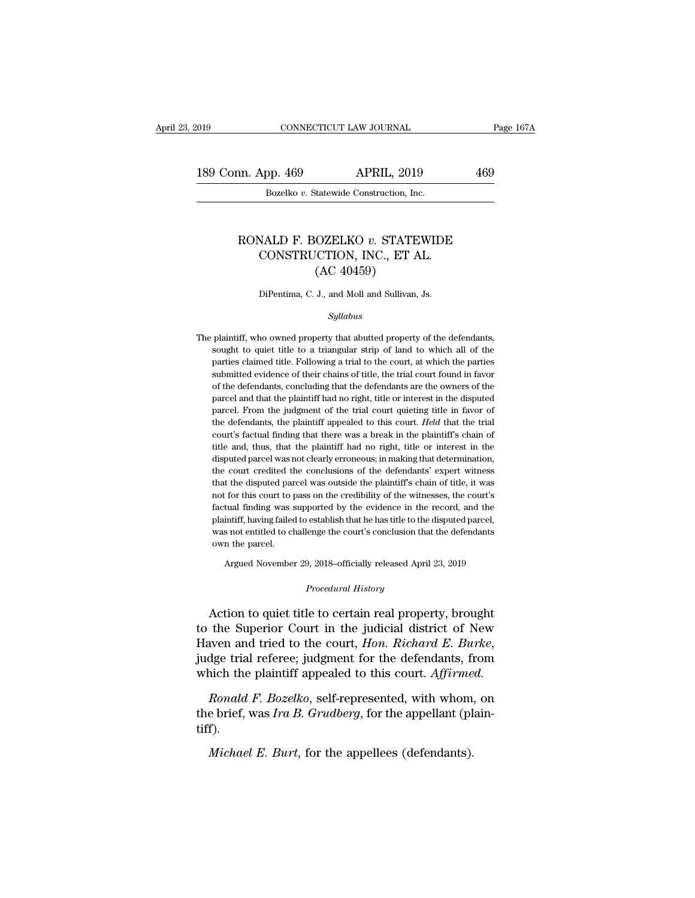189 Conn. App. 469 APRIL, 2019 269<br>Bozelko v. Statewide Construction, Inc. CONNECTICUT LAW JOURNAL<br>Dp. 469 APRIL, 2019<br>Bozelko *v.* Statewide Construction, Inc.

## n. App. 469 APRIL, 2019 469<br>Bozelko *v.* Statewide Construction, Inc.<br>RONALD F. BOZELKO *v.* STATEWIDE CONSTRUCTION, INC., ET AL. App. 469 APRIL, 2019<br>
Bozelko v. Statewide Construction, Inc.<br>
NALD F. BOZELKO v. STATEWIDE<br>
CONSTRUCTION, INC., ET AL.<br>
(AC 40459) Example 2018<br>
Statewide Construction, Inc.<br>
COZELKO v. STATE<br>
CCTION, INC., ET A<br>
(AC 40459)<br>
J., and Moll and Sullivan, RONALD F. BOZELKO  $v$ . STATEWIDE<br>CONSTRUCTION, INC., ET AL.<br>(AC 40459)<br>DiPentima, C. J., and Moll and Sullivan, Js.

## *Syllabus*

(AC 40459)<br>DiPentima, C. J., and Moll and Sullivan, Js.<br>Syllabus<br>The plaintiff, who owned property that abutted property of the defendants,<br>sought to quiet title to a triangular strip of land to which all of the DiPentima, C. J., and Moll and Sullivan, Js.<br>
Syllabus<br>
plaintiff, who owned property that abutted property of the defendants,<br>
sought to quiet title to a triangular strip of land to which all of the<br>
parties claimed title parties claimed title. Following a trial to the court, at which all of the parties claimed title to a triangular strip of land to which all of the parties claimed title. Following a trial to the court, at which the parties Syllabus<br>plaintiff, who owned property that abutted property of the defendants,<br>sought to quiet title to a triangular strip of land to which all of the<br>parties claimed title. Following a trial to the court, at which the pa by plaintiff, who owned property that abutted property of the defendants, sought to quiet title to a triangular strip of land to which all of the parties claimed title. Following a trial to the court, at which the parties plaintiff, who owned property that abutted property of the defendants, sought to quiet title to a triangular strip of land to which all of the parties claimed title. Following a trial to the court, at which the parties sub sought to quiet title to a triangular strip of land to which all of the parties claimed title. Following a trial to the court, at which the parties submitted evidence of their chains of title, the trial court found in fav parties claimed title. Following a trial to the court, at which the parties submitted evidence of their chains of title, the trial court found in favor of the defendants, concluding that the defendants are the owners of th submitted evidence of their chains of title, the trial court found in favor<br>of the defendants, concluding that the defendants are the owners of the<br>parcel and that the plaintiff had no right, title or interest in the dispu of the defendants, concluding that the defendants are the owners of the parcel and that the plaintiff had no right, title or interest in the disputed parcel. From the judgment of the trial court quieting title in favor of parcel and that the plaintiff had no right, title or interest in the disputed parcel. From the judgment of the trial court quieting title in favor of the defendants, the plaintiff appealed to this court. *Held* that the tr parcel. From the judgment of the trial court quieting title in favor of the defendants, the plaintiff appealed to this court. *Held* that the trial court's factual finding that there was a break in the plaintiff's chain of the defendants, the plaintiff appealed to this court. *Held* that the trial court's factual finding that there was a break in the plaintiff's chain of title and, thus, that the plaintiff had no right, title or interest in court's factual finding that there was a break in the plaintiff's chain of<br>title and, thus, that the plaintiff had no right, title or interest in the<br>disputed parcel was not clearly erroneous; in making that determination, title and, thus, that the plaintiff had no right, title or interest in the disputed parcel was not clearly erroneous; in making that determination, the court credited the conclusions of the defendants' expert witness that disputed parcel was not clearly erroneous; in making that determination,<br>the court credited the conclusions of the defendants' expert witness<br>that the disputed parcel was outside the plaintiff's chain of title, it was<br>not the court credited the conclusions of the defendants' expert witness<br>that the disputed parcel was outside the plaintiff's chain of title, it was<br>not for this court to pass on the credibility of the witnesses, the court's<br>f that the disputed parcel was outside the plaintiff's chain of title, it was not for this court to pass on the credibility of the witnesses, the court's factual finding was supported by the evidence in the record, and the p For this court to pass on the credibility of the witnesses, the court s<br>tual finding was supported by the evidence in the record, and the<br>intiff, having failed to establish that he has title to the disputed parcel,<br>s not e

Argued November 29, 2018–officially released April 23, 2019<br>*Procedural History*<br>Action to quiet title to certain real property, brought plantiff, having rated to establish that he has title to the disputed parcel,<br>was not entitled to challenge the court's conclusion that the defendants<br>own the parcel.<br>Argued November 29, 2018–officially released April 23, the Superior Court in the judicial district of New<br>
Haven and tried to the court in the judicial district of New<br>
Haven and tried to the court, *Hon. Richard E. Burke*,<br>
index trial references independent for the defendant Argued November 29, 2018–officially released April 23, 2019<br> *Procedural History*<br>
Action to quiet title to certain real property, brought<br>
to the Superior Court in the judicial district of New<br>
Haven and tried to the cour *Procedural History*<br>Action to quiet title to certain real property, brought<br>to the Superior Court in the judicial district of New<br>Haven and tried to the court, *Hon. Richard E. Burke*,<br>judge trial referee; judgment for th Action to quiet title to certain real property, brought<br>the Superior Court in the judicial district of New<br>aven and tried to the court, *Hon. Richard E. Burke*,<br>dge trial referee; judgment for the defendants, from<br>ich the to the Superior Court in the judicial district of New Haven and tried to the court, *Hon. Richard E. Burke*, judge trial referee; judgment for the defendants, from which the plaintiff appealed to this court. *Affirmed. R* 

tiff). rich the plaintiff appealed to this court. *Affirme*<br>*Ronald F. Bozelko*, self-represented, with whom,<br>e brief, was *Ira B. Grudberg*, for the appellant (pl<br>*f*).<br>*Michael E. Burt*, for the appellees (defendants).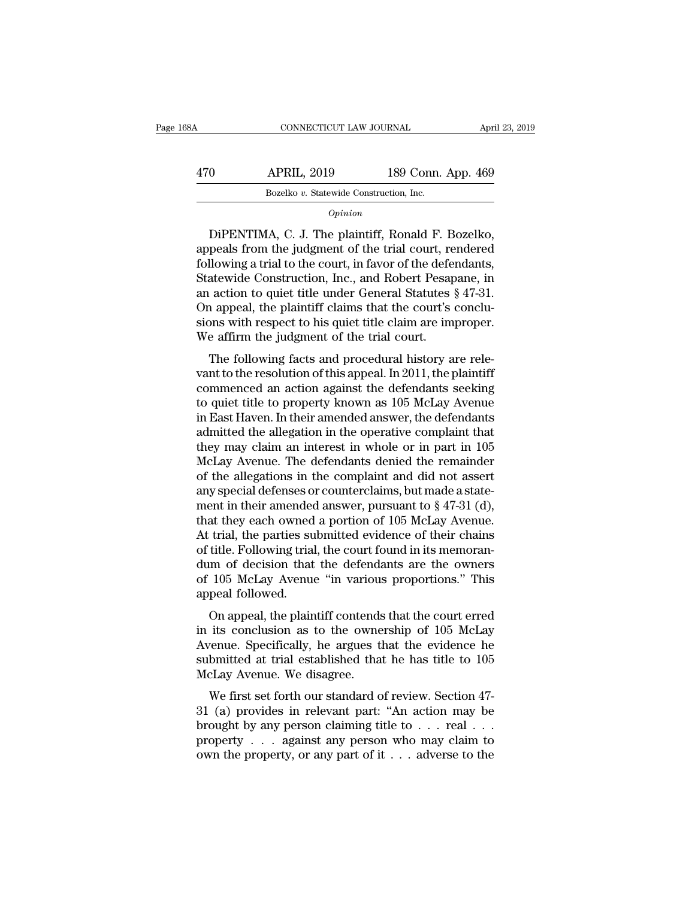| 168A | CONNECTICUT LAW JOURNAL                 |                    | April 23, 2019 |
|------|-----------------------------------------|--------------------|----------------|
| 470  | <b>APRIL, 2019</b>                      | 189 Conn. App. 469 |                |
|      | Bozelko v. Statewide Construction, Inc. |                    |                |
|      | Ominion                                 |                    |                |

## *Opinion*

O APRIL, 2019 189 Conn. App. 469<br>Bozelko v. Statewide Construction, Inc.<br>Opinion<br>DiPENTIMA, C. J. The plaintiff, Ronald F. Bozelko,<br>peals from the judgment of the trial court, rendered<br>llowing a trial to the court in favor 470 APRIL, 2019 189 Conn. App. 469<br>Bozelko v. Statewide Construction, Inc.<br>Opinion<br>DiPENTIMA, C. J. The plaintiff, Ronald F. Bozelko,<br>appeals from the judgment of the trial court, rendered<br>following a trial to the court, i Following a trial to the construction, inc.<br>
Bozelko v. Statewide Construction, Inc.<br>
Opinion<br>
DiPENTIMA, C. J. The plaintiff, Ronald F. Bozelko,<br>
appeals from the judgment of the trial court, rendered<br>
following a trial Bozelko v. Statewide Construction, Inc.<br>
Opinion<br>
DiPENTIMA, C. J. The plaintiff, Ronald F. Bozelko,<br>
appeals from the judgment of the trial court, rendered<br>
following a trial to the court, in favor of the defendants,<br>
Sta  $o$ <sub>pinion</sub><br>DiPENTIMA, C. J. The plaintiff, Ronald F. Bozelko,<br>appeals from the judgment of the trial court, rendered<br>following a trial to the court, in favor of the defendants,<br>Statewide Construction, Inc., and Robert Pe Optimon<br>DiPENTIMA, C. J. The plaintiff, Ronald F. Bozelko,<br>appeals from the judgment of the trial court, rendered<br>following a trial to the court, in favor of the defendants,<br>Statewide Construction, Inc., and Robert Pesapan DiPENTIMA, C. J. The plaintiff, Ronald F. Bozelko,<br>appeals from the judgment of the trial court, rendered<br>following a trial to the court, in favor of the defendants,<br>Statewide Construction, Inc., and Robert Pesapane, in<br>an appeals from the judgment of the trial court, refollowing a trial to the court, in favor of the deferent statewide Construction, Inc., and Robert Pesag an action to quiet title under General Statutes On appeal, the plainti nowing a that to the court, in favor of the defendants,<br>atewide Construction, Inc., and Robert Pesapane, in<br>action to quiet title under General Statutes § 47-31.<br>a appeal, the plaintiff claims that the court's conclu-<br>ons state while Construction, Inc., and Robert 1 esapatie, in<br>an action to quiet title under General Statutes § 47-31.<br>On appeal, the plaintiff claims that the court's conclu-<br>sions with respect to his quiet title claim are im

an action to quiet the under General statutes  $\S$  47-51.<br>On appeal, the plaintiff claims that the court's conclusions with respect to his quiet title claim are improper.<br>We affirm the judgment of the trial court.<br>The foll on appear, the plantific trains that the courts conclusions with respect to his quiet title claim are improper.<br>We affirm the judgment of the trial court.<br>The following facts and procedural history are rele-<br>vant to the re sions with respect to his quet the claim are improper.<br>We affirm the judgment of the trial court.<br>The following facts and procedural history are rele-<br>vant to the resolution of this appeal. In 2011, the plaintiff<br>commenced We amint the judgment of the trial court.<br>The following facts and procedural history are relevant to the resolution of this appeal. In 2011, the plaintiff<br>commenced an action against the defendants seeking<br>to quiet title t The following facts and procedural history are relevant to the resolution of this appeal. In 2011, the plaintiff<br>commenced an action against the defendants seeking<br>to quiet title to property known as 105 McLay Avenue<br>in Ea vant to the resolution of this appeal. In 2011, the plaintiff<br>commenced an action against the defendants seeking<br>to quiet title to property known as 105 McLay Avenue<br>in East Haven. In their amended answer, the defendants<br>a commenced an action against the defendants seeking<br>to quiet title to property known as 105 McLay Avenue<br>in East Haven. In their amended answer, the defendants<br>admitted the allegation in the operative complaint that<br>they ma to quiet title to property known as 105 McLay Avenue<br>in East Haven. In their amended answer, the defendants<br>admitted the allegation in the operative complaint that<br>they may claim an interest in whole or in part in 105<br>McL in East Haven. In their amended answer, the defendants<br>admitted the allegation in the operative complaint that<br>they may claim an interest in whole or in part in 105<br>McLay Avenue. The defendants denied the remainder<br>of the admitted the allegation in the operative complaint that<br>they may claim an interest in whole or in part in 105<br>McLay Avenue. The defendants denied the remainder<br>of the allegations in the complaint and did not assert<br>any spe they may claim an interest in whole or in part in 105<br>McLay Avenue. The defendants denied the remainder<br>of the allegations in the complaint and did not assert<br>any special defenses or counterclaims, but made a state-<br>ment i McLay Avenue. The defendants denied the remainder<br>of the allegations in the complaint and did not assert<br>any special defenses or counterclaims, but made a state-<br>ment in their amended answer, pursuant to § 47-31 (d),<br>that of the allegations in the complaint and did not assert<br>any special defenses or counterclaims, but made a state-<br>ment in their amended answer, pursuant to § 47-31 (d),<br>that they each owned a portion of 105 McLay Avenue.<br>At any special defenses or counterclaims, but made a statement in their amended answer, pursuant to § 47-31 (d), that they each owned a portion of 105 McLay Avenue.<br>At trial, the parties submitted evidence of their chains of ment in their amended answer, pursuant to  $\S$  47-31 (d),<br>that they each owned a portion of 105 McLay Avenue.<br>At trial, the parties submitted evidence of their chains<br>of title. Following trial, the court found in its memor at they each owned a portion of 105 McLay Avenue.<br>
trial, the parties submitted evidence of their chains<br>
title. Following trial, the court found in its memoran-<br>
m of decision that the defendants are the owners<br>
105 McLay At trial, the parties subfinited evidence of their chains<br>of title. Following trial, the court found in its memoran-<br>dum of decision that the defendants are the owners<br>of 105 McLay Avenue "in various proportions." This<br>app

of the Following trial, the court found in its interloran-<br>dum of decision that the defendants are the owners<br>of 105 McLay Avenue "in various proportions." This<br>appeal followed.<br>On appeal, the plaintiff contends that the c submitted at the detendants are the owners<br>of 105 McLay Avenue "in various proportions." This<br>appeal followed.<br>On appeal, the plaintiff contends that the court erred<br>in its conclusion as to the ownership of 105 McLay<br>Avenu or 105 McLay Avenue. In various<br>appeal followed.<br>On appeal, the plaintiff contends<br>in its conclusion as to the owne<br>Avenue. Specifically, he argues t<br>submitted at trial established tha<br>McLay Avenue. We disagree.<br>We first s On appeal, the plaintiff contends that the court erred<br>its conclusion as to the ownership of 105 McLay<br>venue. Specifically, he argues that the evidence he<br>bmitted at trial established that he has title to 105<br>cLay Avenue. on appear, the plantific contends that the court effect<br>in its conclusion as to the ownership of 105 McLay<br>Avenue. Specifically, he argues that the evidence he<br>submitted at trial established that he has title to 105<br>McLay

In as conclusion as to the ownership of 105 McLay<br>Avenue. Specifically, he argues that the evidence he<br>submitted at trial established that he has title to 105<br>McLay Avenue. We disagree.<br>We first set forth our standard of Experiment Specifically, the argues that the evidence he submitted at trial established that he has title to  $105$  McLay Avenue. We disagree.<br>We first set forth our standard of review. Section 47-31 (a) provides in releva submitted at trial established that he has title to 105<br>McLay Avenue. We disagree.<br>We first set forth our standard of review. Section 47-<br>31 (a) provides in relevant part: "An action may be<br>brought by any person claiming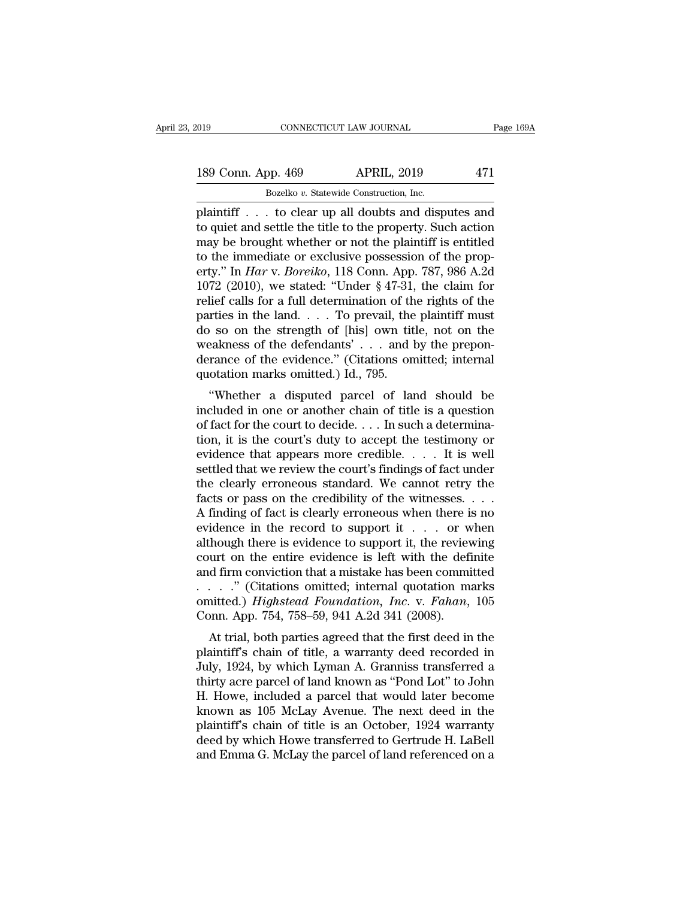# 189 Conn. App. 469 APRIL, 2019 471<br>Bozelko v. Statewide Construction, Inc. Eq. 2019 CONNECTICUT LAW JOURNAL<br>
Bozelko *v.* Statewide Construction, Inc.<br>
plaintiff . . . to clear up all doubts and disputes and

plaintiff . . . to clear up all doubts and disputes and 189 Conn. App. 469 APRIL, 2019 471<br>Bozelko v. Statewide Construction, Inc.<br>plaintiff . . . to clear up all doubts and disputes and<br>to quiet and settle the title to the property. Such action<br>may be brought whether or not th 189 Conn. App. 469 APRIL, 2019 471<br>Bozelko v. Statewide Construction, Inc.<br>plaintiff . . . to clear up all doubts and disputes and<br>to quiet and settle the title to the property. Such action<br>may be brought whether or not t 189 Conn. App. 469 APRIL, 2019 471<br>
Bozelko v. Statewide Construction, Inc.<br>
plaintiff . . . to clear up all doubts and disputes and<br>
to quiet and settle the title to the property. Such action<br>
may be brought whether or n Bozelko *v.* Statewide Construction, Inc.<br>
plaintiff . . . to clear up all doubts and disputes and<br>
to quiet and settle the title to the property. Such action<br>
may be brought whether or not the plaintiff is entitled<br>
to th Bozelko v. Statewide Construction, Inc.<br>
plaintiff . . . to clear up all doubts and disputes and<br>
to quiet and settle the title to the property. Such action<br>
may be brought whether or not the plaintiff is entitled<br>
to the plaintiff . . . to clear up all doubts and disputes and<br>to quiet and settle the title to the property. Such action<br>may be brought whether or not the plaintiff is entitled<br>to the immediate or exclusive possession of the pr to quiet and settle the title to the property. Such action<br>may be brought whether or not the plaintiff is entitled<br>to the immediate or exclusive possession of the prop-<br>erty." In *Har* v. *Boreiko*, 118 Conn. App. 787, 98 may be brought whether or not the plaintiff is entitled<br>to the immediate or exclusive possession of the prop-<br>erty." In *Har* v. *Boreiko*, 118 Conn. App. 787, 986 A.2d<br>1072 (2010), we stated: "Under § 47-31, the claim fo to the immediate or exclusive possession of the property." In *Har* v. *Boreiko*, 118 Conn. App. 787, 986 A.2d 1072 (2010), we stated: "Under § 47-31, the claim for relief calls for a full determination of the rights of t erty." In *Har* v. *Boreiko*, 118 Conn. App. 787, 986 A.2d 1072 (2010), we stated: "Under § 47-31, the claim for relief calls for a full determination of the rights of the parties in the land. . . . To prevail, the plaint 1072 (2010), we stated: "Under  $\S$  47-31, relief calls for a full determination of th parties in the land. . . . To prevail, the do so on the strength of [his] own tit weakness of the defendants' . . . and l derance of th The cans for a fun determination of the rights of the<br>
rities in the land.... To prevail, the plaintiff must<br>
b so on the strength of [his] own title, not on the<br>
eakness of the defendants'... and by the prepon-<br>
rance of parties in the fand:  $\cdot \cdot \cdot$  10 prevail, the plantification of the weakness of the defendants'  $\cdot \cdot \cdot$  and by the preponderance of the evidence." (Citations omitted; internal quotation marks omitted.) Id., 795.<br>
"Whethe

do so on the strength of  $\mu$  [fils] own the, not on the weakness of the defendants'... and by the preponderance of the evidence." (Citations omitted; internal quotation marks omitted.) Id., 795.<br>
"Whether a disputed parc weakness of the defendants  $\cdot$   $\cdot$  and by the preponderance of the evidence." (Citations omitted; internal quotation marks omitted.) Id., 795.<br>
"Whether a disputed parcel of land should be included in one or another cha derance of the evidence. (Chatrons officient, internal quotation marks omitted.) Id., 795.<br>
"Whether a disputed parcel of land should be included in one or another chain of title is a question<br>
of fact for the court to dec quotation marks omitted.) Id., 195.<br>
"Whether a disputed parcel of land should be<br>
included in one or another chain of title is a question<br>
of fact for the court to decide.... In such a determina-<br>
tion, it is the court's "Whether a disputed parcel of land should be<br>included in one or another chain of title is a question<br>of fact for the court to decide. . . . In such a determina-<br>tion, it is the court's duty to accept the testimony or<br>evid included in one or another chain of title is a question<br>of fact for the court to decide. . . . In such a determina-<br>tion, it is the court's duty to accept the testimony or<br>evidence that appears more credible. . . . . It i of fact for the court to decide. . . . In such a determination, it is the court's duty to accept the testimony or evidence that appears more credible. . . . It is well settled that we review the court's findings of fact u tion, it is the court's duty to accept the testimony or<br>evidence that appears more credible. . . . It is well<br>settled that we review the court's findings of fact under<br>the clearly erroneous standard. We cannot retry the<br>f evidence that appears more credible. . . . . It is well<br>settled that we review the court's findings of fact under<br>the clearly erroneous standard. We cannot retry the<br>facts or pass on the credibility of the witnesses. . . settled that we review the court's findings of fact under<br>the clearly erroneous standard. We cannot retry the<br>facts or pass on the credibility of the witnesses. . . . .<br>A finding of fact is clearly erroneous when there is the clearly erroneous standard. We cannot retry the<br>facts or pass on the credibility of the witnesses. . . .<br>A finding of fact is clearly erroneous when there is no<br>evidence in the record to support it . . . . or when<br>alt facts or pass on the credibility of the witnesses. . . . .<br>A finding of fact is clearly erroneous when there is no<br>evidence in the record to support it . . . or when<br>although there is evidence to support it, the reviewing A finding of fact is clearly erroneous when there is no<br>evidence in the record to support it . . . or when<br>although there is evidence to support it, the reviewing<br>court on the entire evidence is left with the definite<br>and evidence in the record to support it . . . or w<br>although there is evidence to support it, the reviev<br>court on the entire evidence is left with the defi<br>and firm conviction that a mistake has been commi<br>. . . . . " (Citati Mough there is evidence to support it, the reviewing<br>urt on the entire evidence is left with the definite<br>d firm conviction that a mistake has been committed<br>..." (Citations omitted; internal quotation marks<br>interd.) *Hig* court on the entire evidence is fert with the definite<br>and firm conviction that a mistake has been committed<br>...." (Citations omitted; internal quotation marks<br>omitted.) *Highstead Foundation*, *Inc.* v. *Fahan*, 105<br>Conn

and first conviction that a filistake flas been committed<br>  $\ldots$   $\ldots$  " (Citations omitted; internal quotation marks<br>
comitted.) *Highstead Foundation, Inc.* v. *Fahan*, 105<br>
Conn. App. 754, 758–59, 941 A.2d 341 (2008).<br> omitted.) *Highstead Foundation, Inc.* v. *Fahan*, 105<br>Conn. App. 754, 758–59, 941 A.2d 341 (2008).<br>At trial, both parties agreed that the first deed in the<br>plaintiff's chain of title, a warranty deed recorded in<br>July, 19 Sonnted.) *Hypsteda Foundation*, *Hc.* v. *Fanan*, 105<br>Conn. App. 754, 758–59, 941 A.2d 341 (2008).<br>At trial, both parties agreed that the first deed in the<br>plaintiff's chain of title, a warranty deed recorded in<br>July, 192 Conn. App. 754, 756–55, 541 A.2d 541 (2006).<br>
At trial, both parties agreed that the first deed in the<br>
plaintiff's chain of title, a warranty deed recorded in<br>
July, 1924, by which Lyman A. Granniss transferred a<br>
thirty At trial, both parties agreed that the first deed in the plaintiff's chain of title, a warranty deed recorded in July, 1924, by which Lyman A. Granniss transferred a thirty acre parcel of land known as "Pond Lot" to John H plaintiff's chain of title, a warranty deed recorded in<br>July, 1924, by which Lyman A. Granniss transferred a<br>thirty acre parcel of land known as "Pond Lot" to John<br>H. Howe, included a parcel that would later become<br>known a July, 1924, by which Lyman A. Granniss transferred a<br>thirty acre parcel of land known as "Pond Lot" to John<br>H. Howe, included a parcel that would later become<br>known as 105 McLay Avenue. The next deed in the<br>plaintiff's cha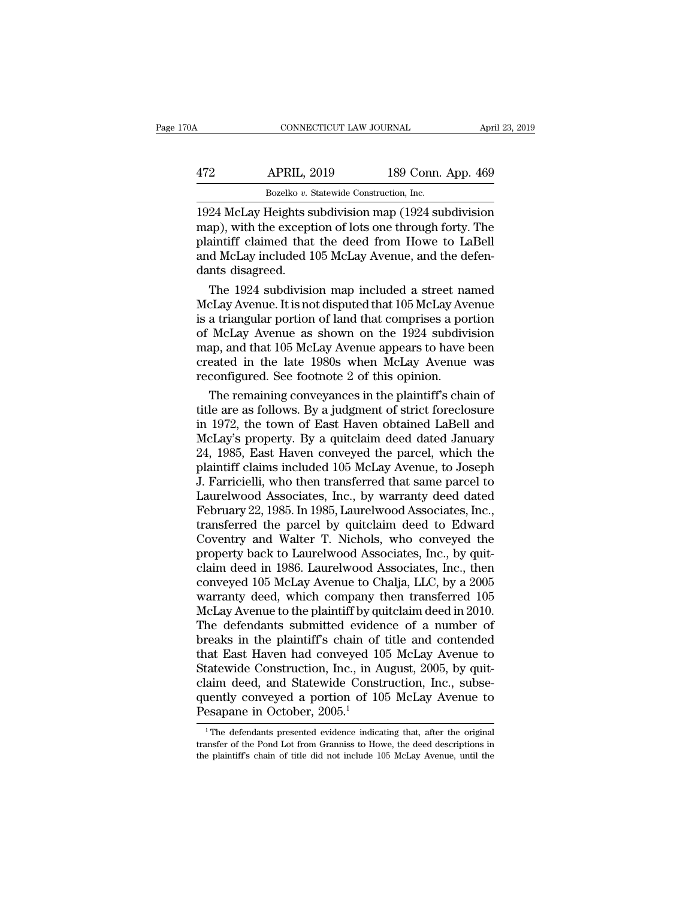| 70A | CONNECTICUT LAW JOURNAL                              |                    | April 23, 2019 |
|-----|------------------------------------------------------|--------------------|----------------|
| 472 | <b>APRIL, 2019</b>                                   | 189 Conn. App. 469 |                |
|     | Bozelko v. Statewide Construction, Inc.              |                    |                |
|     | 1924 McLay Heights subdivision man (1924 subdivision |                    |                |

CONNECTICUT LAW JOURNAL April 23, 2019<br>
1924 McLay Heights subdivision map (1924 subdivision<br>
map), with the exception of lots one through forty. The<br>
plaintiff claimed that the dood from Howe to LaBell Mapp. 469<br>
Mapp. 2019 189 Conn. App. 469<br>
Bozelko v. Statewide Construction, Inc.<br>
1924 McLay Heights subdivision map (1924 subdivision<br>
map), with the exception of lots one through forty. The<br>
plaintiff claimed that the d  $\frac{\text{APRIL, 2019}}{\text{Bozelko } v. \text{ Statewide Construction, Inc.}}$ <br>Bozelko v. Statewide Construction, Inc.<br>1924 McLay Heights subdivision map (1924 subdivision<br>map), with the exception of lots one through forty. The<br>plaintiff claimed that the deed fro APRIL, 2019 189 Conn. App. 469<br>Bozelko v. Statewide Construction, Inc.<br>1924 McLay Heights subdivision map (1924 subdivision<br>map), with the exception of lots one through forty. The<br>plaintiff claimed that the deed from Howe Bozelko v. s<br>Bozelko v. s<br>1924 McLay Heights s<br>map), with the except<br>plaintiff claimed that<br>and McLay included 1<br>dants disagreed.<br>The 1924 subdivision  $\overline{24}$  McLay Heights subdivision map (1924 subdivision<br>ap), with the exception of lots one through forty. The<br>aintiff claimed that the deed from Howe to LaBell<br>d McLay included 105 McLay Avenue, and the defen-<br>nts disa 1924 McLay Heights subdivision map (1924 subdivision<br>map), with the exception of lots one through forty. The<br>plaintiff claimed that the deed from Howe to LaBell<br>and McLay included 105 McLay Avenue, and the defen-<br>dants di

map), with the exception of lots one through forty. The<br>plaintiff claimed that the deed from Howe to LaBell<br>and McLay included 105 McLay Avenue, and the defen-<br>dants disagreed.<br>The 1924 subdivision map included a street na plaintiff claimed that the deed from Howe to LaBell<br>and McLay included 105 McLay Avenue, and the defen-<br>dants disagreed.<br>The 1924 subdivision map included a street named<br>McLay Avenue. It is not disputed that 105 McLay Aven and McLay included 105 McLay Avenue, and the defen-<br>dants disagreed.<br>The 1924 subdivision map included a street named<br>McLay Avenue. It is not disputed that 105 McLay Avenue<br>is a triangular portion of land that comprises a dants disagreed.<br>
The 1924 subdivision map included a street named<br>
McLay Avenue. It is not disputed that 105 McLay Avenue<br>
is a triangular portion of land that comprises a portion<br>
of McLay Avenue as shown on the 1924 sub The 1924 subdivision map included a street na<br>McLay Avenue. It is not disputed that 105 McLay Avenue is a triangular portion of land that comprises a poi<br>of McLay Avenue as shown on the 1924 subdivi<br>map, and that 105 McLay clay Avenue. It is not disputed that 105 McLay Avenue<br>a triangular portion of land that comprises a portion<br>McLay Avenue as shown on the 1924 subdivision<br>ap, and that 105 McLay Avenue appears to have been<br>eated in the late is a triangular portion of land that comprises a portion<br>of McLay Avenue as shown on the 1924 subdivision<br>map, and that 105 McLay Avenue appears to have been<br>created in the late 1980s when McLay Avenue was<br>reconfigured. Se

of McLay Avenue as shown on the 1924 subdivision<br>map, and that 105 McLay Avenue appears to have been<br>created in the late 1980s when McLay Avenue was<br>reconfigured. See footnote 2 of this opinion.<br>The remaining conveyances i map, and that 105 McLay Avenue appears to have been<br>created in the late 1980s when McLay Avenue was<br>reconfigured. See footnote 2 of this opinion.<br>The remaining conveyances in the plaintiff's chain of<br>title are as follows. created in the late 1980s when McLay Avenue was<br>reconfigured. See footnote 2 of this opinion.<br>The remaining conveyances in the plaintiff's chain of<br>title are as follows. By a judgment of strict foreclosure<br>in 1972, the tow reconfigured. See footnote 2 of this opinion.<br>
The remaining conveyances in the plaintiff's chain of<br>
title are as follows. By a judgment of strict foreclosure<br>
in 1972, the town of East Haven obtained LaBell and<br>
McLay's The remaining conveyances in the plaintiff's chain of<br>title are as follows. By a judgment of strict foreclosure<br>in 1972, the town of East Haven obtained LaBell and<br>McLay's property. By a quitclaim deed dated January<br>24, 19 title are as follows. By a judgment of strict foreclosure<br>in 1972, the town of East Haven obtained LaBell and<br>McLay's property. By a quitclaim deed dated January<br>24, 1985, East Haven conveyed the parcel, which the<br>plaintif in 1972, the town of East Haven obtained LaBell and<br>McLay's property. By a quitclaim deed dated January<br>24, 1985, East Haven conveyed the parcel, which the<br>plaintiff claims included 105 McLay Avenue, to Joseph<br>J. Farriciel McLay's property. By a quitclaim deed dated January<br>24, 1985, East Haven conveyed the parcel, which the<br>plaintiff claims included 105 McLay Avenue, to Joseph<br>J. Farricielli, who then transferred that same parcel to<br>Laurelw 24, 1985, East Haven conveyed the parcel, which the<br>plaintiff claims included 105 McLay Avenue, to Joseph<br>J. Farricielli, who then transferred that same parcel to<br>Laurelwood Associates, Inc., by warranty deed dated<br>Februar plaintiff claims included 105 McLay Avenue, to Joseph<br>J. Farricielli, who then transferred that same parcel to<br>Laurelwood Associates, Inc., by warranty deed dated<br>February 22, 1985. In 1985, Laurelwood Associates, Inc.,<br>tr J. Farricielli, who then transferred that same parcel to<br>Laurelwood Associates, Inc., by warranty deed dated<br>February 22, 1985. In 1985, Laurelwood Associates, Inc.,<br>transferred the parcel by quitclaim deed to Edward<br>Coven Laurelwood Associates, Inc., by warranty deed dated<br>February 22, 1985. In 1985, Laurelwood Associates, Inc.,<br>transferred the parcel by quitclaim deed to Edward<br>Coventry and Walter T. Nichols, who conveyed the<br>property back February 22, 1985. In 1985, Laurelwood Associates, Inc.,<br>transferred the parcel by quitclaim deed to Edward<br>Coventry and Walter T. Nichols, who conveyed the<br>property back to Laurelwood Associates, Inc., by quit-<br>claim deed transferred the parcel by quitclaim deed to Edward<br>Coventry and Walter T. Nichols, who conveyed the<br>property back to Laurelwood Associates, Inc., by quit-<br>claim deed in 1986. Laurelwood Associates, Inc., then<br>conveyed 105 Coventry and Walter T. Nichols, who conveyed the<br>property back to Laurelwood Associates, Inc., by quit-<br>claim deed in 1986. Laurelwood Associates, Inc., then<br>conveyed 105 McLay Avenue to Chalja, LLC, by a 2005<br>warranty dee property back to Laurelwood Associates, Inc., by quit-<br>claim deed in 1986. Laurelwood Associates, Inc., then<br>conveyed 105 McLay Avenue to Chalja, LLC, by a 2005<br>warranty deed, which company then transferred 105<br>McLay Avenu claim deed in 1986. Laurelwood Associates, Inc., then<br>conveyed 105 McLay Avenue to Chalja, LLC, by a 2005<br>warranty deed, which company then transferred 105<br>McLay Avenue to the plaintiff by quitclaim deed in 2010.<br>The defen conveyed 105 McLay Avenue to Chalja, LLC, by a 2005<br>warranty deed, which company then transferred 105<br>McLay Avenue to the plaintiff by quitclaim deed in 2010.<br>The defendants submitted evidence of a number of<br>breaks in the warranty deed, which company then transferred 105<br>McLay Avenue to the plaintiff by quitclaim deed in 2010.<br>The defendants submitted evidence of a number of<br>breaks in the plaintiff's chain of title and contended<br>that East H McLay Avenue to the plaintiff by quitclaim deed in 2010.<br>The defendants submitted evidence of a number of breaks in the plaintiff's chain of title and contended that East Haven had conveyed 105 McLay Avenue to Statewide C The defendants submitted evider<br>breaks in the plaintiff's chain of<br>that East Haven had conveyed 10<br>Statewide Construction, Inc., in A<br>claim deed, and Statewide Const<br>quently conveyed a portion of 10<br>Pesapane in October, 20 tatewide Construction, Inc., in August, 2005, by quit-<br>aim deed, and Statewide Construction, Inc., subse-<br>uently conveyed a portion of 105 McLay Avenue to<br>esapane in October, 2005.<sup>1</sup><br><sup>1</sup>The defendants presented evidence i claim deed, and Statewide Construction, Inc., subsequently conveyed a portion of 105 McLay Avenue to<br>Pesapane in October, 2005.<sup>1</sup><br><sup>1</sup>The defendants presented evidence indicating that, after the original<br>transfer of the Po

quently conveyed a portion of  $105$  McLay Avenue to<br>Pesapane in October,  $2005$ .<sup>1</sup><br><sup>1</sup>The defendants presented evidence indicating that, after the original<br>transfer of the Pond Lot from Granniss to Howe, the deed descrip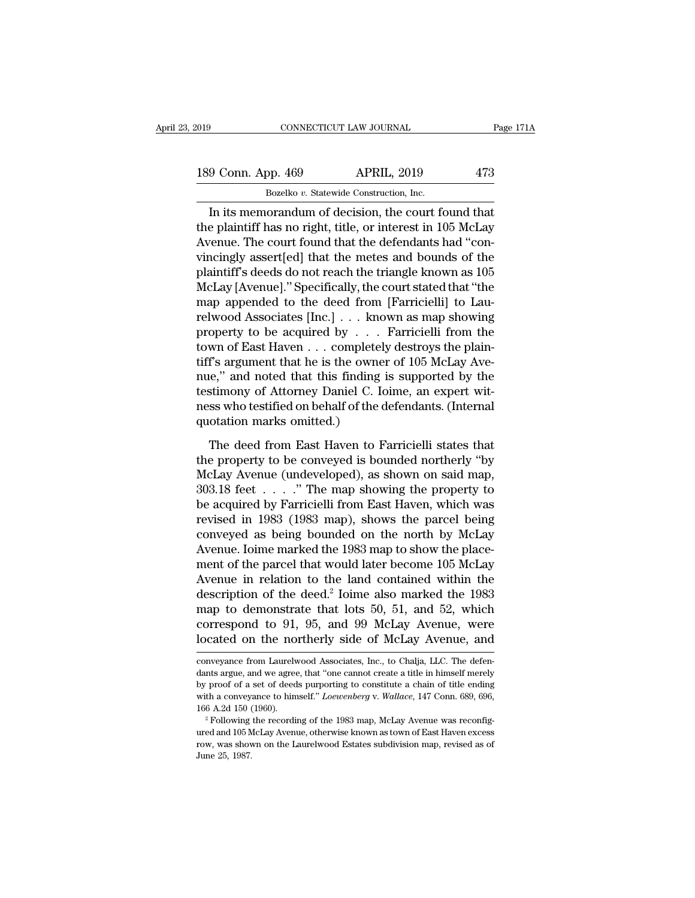| 019 |                    | CONNECTICUT LAW JOURNAL                            | Page 171A |
|-----|--------------------|----------------------------------------------------|-----------|
|     | 189 Conn. App. 469 | <b>APRIL, 2019</b>                                 | 473       |
|     |                    | Bozelko v. Statewide Construction, Inc.            |           |
|     |                    | In its memorandum of decision the court found that |           |

Fage 171/<br>
19 Conn. App. 469 APRIL, 2019 473<br>
Bozelko v. Statewide Construction, Inc.<br>
In its memorandum of decision, the court found that<br>
e plaintiff has no right, title, or interest in 105 McLay 189 Conn. App. 469 APRIL, 2019 473<br>Bozelko v. Statewide Construction, Inc.<br>In its memorandum of decision, the court found that<br>the plaintiff has no right, title, or interest in 105 McLay<br>Avenue. The court found that the de 189 Conn. App. 469 APRIL, 2019 473<br>Bozelko v. Statewide Construction, Inc.<br>In its memorandum of decision, the court found that<br>the plaintiff has no right, title, or interest in 105 McLay<br>Avenue. The court found that the d 189 Conn. App. 469 APRIL, 2019 473<br>Bozelko v. Statewide Construction, Inc.<br>In its memorandum of decision, the court found that<br>the plaintiff has no right, title, or interest in 105 McLay<br>Avenue. The court found that the d Bozelko v. Statewide Construction, Inc.<br>
In its memorandum of decision, the court found that<br>
the plaintiff has no right, title, or interest in 105 McLay<br>
Avenue. The court found that the defendants had "con-<br>
vincingly a Bozeiko v. statewide Construction, inc.<br>
In its memorandum of decision, the court found that<br>
the plaintiff has no right, title, or interest in 105 McLay<br>
Avenue. The court found that the defendants had "con-<br>
vincingly as In its memorandum of decision, the court found that<br>the plaintiff has no right, title, or interest in 105 McLay<br>Avenue. The court found that the defendants had "con-<br>vincingly assert[ed] that the metes and bounds of the<br>p the plaintiff has no right, title, or interest in 105 McLay<br>Avenue. The court found that the defendants had "con-<br>vincingly assert[ed] that the metes and bounds of the<br>plaintiff's deeds do not reach the triangle known as 1 Avenue. The court found that the defendants had "convincingly assert[ed] that the metes and bounds of the plaintiff's deeds do not reach the triangle known as  $105$  McLay [Avenue]." Specifically, the court stated that "th vincingly assert[ed] that the metes and bounds of the plaintiff's deeds do not reach the triangle known as 105 McLay [Avenue]." Specifically, the court stated that "the map appended to the deed from [Farricielli] to Laurel plaintiff's deeds do not reach the triangle known as 105<br>McLay [Avenue]." Specifically, the court stated that "the<br>map appended to the deed from [Farricielli] to Lau-<br>relwood Associates [Inc.] . . . known as map showing<br>pr McLay [Avenue]." Specifically, the court stated that "the<br>map appended to the deed from [Farricielli] to Lau-<br>relwood Associates [Inc.] . . . known as map showing<br>property to be acquired by . . . Farricielli from the<br>town map appended to the deed from [Farricielli] to Lau-<br>relwood Associates [Inc.]  $\dots$  known as map showing<br>property to be acquired by  $\dots$  Farricielli from the<br>town of East Haven  $\dots$  completely destroys the plain-<br>tiff's ar relwood Associates [Inc.] . . . known as map showing<br>property to be acquired by . . . Farricielli from the<br>town of East Haven . . . completely destroys the plain-<br>tiff's argument that he is the owner of 105 McLay Ave-<br>nue, property to be acquired by . . . .<br>town of East Haven . . . completel<br>tiff's argument that he is the owne<br>nue," and noted that this finding<br>testimony of Attorney Daniel C. Io<br>ness who testified on behalf of the q<br>quotation The deed from East Haven to Farricielli states that<br>the dee," and noted that this finding is supported by the<br>stimony of Attorney Daniel C. Ioime, an expert wit-<br>ss who testified on behalf of the defendants. (Internal<br>ota The properties and noted that this finding is supported by the<br>testimony of Attorney Daniel C. Ioime, an expert wit-<br>ness who testified on behalf of the defendants. (Internal<br>quotation marks omitted.)<br>The deed from East Ha

Maximony of Attorney Daniel C. Ioime, an expert wit-<br>ness who testified on behalf of the defendants. (Internal<br>quotation marks omitted.)<br>The deed from East Haven to Farricielli states that<br>the property to be conveyed is b becominary of findering behinds of the defendants. (Internal<br>ness who testified on behalf of the defendants. (Internal<br>quotation marks omitted.)<br>The deed from East Haven to Farricielli states that<br>the property to be conve quotation marks omitted.)<br>
The deed from East Haven to Farricielli states that<br>
the property to be conveyed is bounded northerly "by<br>
McLay Avenue (undeveloped), as shown on said map,<br>
303.18 feet . . . . ." The map showi The deed from East Haven to Farricielli states that<br>the property to be conveyed is bounded northerly "by<br>McLay Avenue (undeveloped), as shown on said map,<br>303.18 feet . . . . ." The map showing the property to<br>be acquired The deed from East Haven to Farricielli states that<br>the property to be conveyed is bounded northerly "by<br>McLay Avenue (undeveloped), as shown on said map,<br> $303.18$  feet . . . . . " The map showing the property to<br>be acqui the property to be conveyed is bounded northerly "by McLay Avenue (undeveloped), as shown on said map,  $303.18$  feet  $\ldots$ ." The map showing the property to be acquired by Farricielli from East Haven, which was revised in McLay Avenue (undeveloped), as shown on said map,<br>303.18 feet . . . . ." The map showing the property to<br>be acquired by Farricielli from East Haven, which was<br>revised in 1983 (1983 map), shows the parcel being<br>conveyed as 303.18 feet . . . . ." The map showing the property to<br>be acquired by Farricielli from East Haven, which was<br>revised in 1983 (1983 map), shows the parcel being<br>conveyed as being bounded on the north by McLay<br>Avenue. Ioime be acquired by Farricielli from East Haven, which was<br>revised in 1983 (1983 map), shows the parcel being<br>conveyed as being bounded on the north by McLay<br>Avenue. Ioime marked the 1983 map to show the place-<br>ment of the parc revised in 1983 (1983 map), shows the parcel being<br>conveyed as being bounded on the north by McLay<br>Avenue. Ioime marked the 1983 map to show the place-<br>ment of the parcel that would later become 105 McLay<br>Avenue in relatio conveyed as being bounded on the north by McLay<br>Avenue. Ioime marked the 1983 map to show the place-<br>ment of the parcel that would later become 105 McLay<br>Avenue in relation to the land contained within the<br>description of t Avenue. Ioime marked the 1983 map to show the place-<br>ment of the parcel that would later become 105 McLay<br>Avenue in relation to the land contained within the<br>description of the deed.<sup>2</sup> Ioime also marked the 1983<br>map to de description of the deed.<sup>2</sup> Ioime also marked the 1983 map to demonstrate that lots 50, 51, and 52, which correspond to 91, 95, and 99 McLay Avenue, were located on the northerly side of McLay Avenue, and conveyance from L map to demonstrate that lots 50, 51, and 52, which<br>correspond to 91, 95, and 99 McLay Avenue, were<br>located on the northerly side of McLay Avenue, and<br>conveyance from Laurelwood Associates, Inc., to Chalja, LLC. The defen-<br>

correspond to 91, 95, and 99 McLay Avenue, were<br>located on the northerly side of McLay Avenue, and<br>conveyance from Laurelwood Associates, Inc., to Chalja, LLC. The defen-<br>dants argue, and we agree, that "one cannot create located on the northerly side of McLay Avenue, and<br>
conveyance from Laurelwood Associates, Inc., to Chalja, LLC. The defen-<br>
dants argue, and we agree, that "one cannot create a title in himself merely<br>
by proof of a set o 166 A.2d 150 (1960). The recording of the 1983 map, McLay Avenue, and conveyance from Laurelwood Associates, Inc., to Chalja, LLC. The defendants argue, and we agree, that "one cannot create a title in himself merely by pr dants argue, and we agree, that "one cannot create a title in himself merely by proof of a set of deeds purporting to constitute a chain of title ending with a conveyance to himself." *Loewenberg* v. *Wallace*, 147 Conn. by proof of a set of deeds purporting to constitute a chain of title ending with a conveyance to himself." Loewenberg v. Wallace, 147 Conn. 689, 696,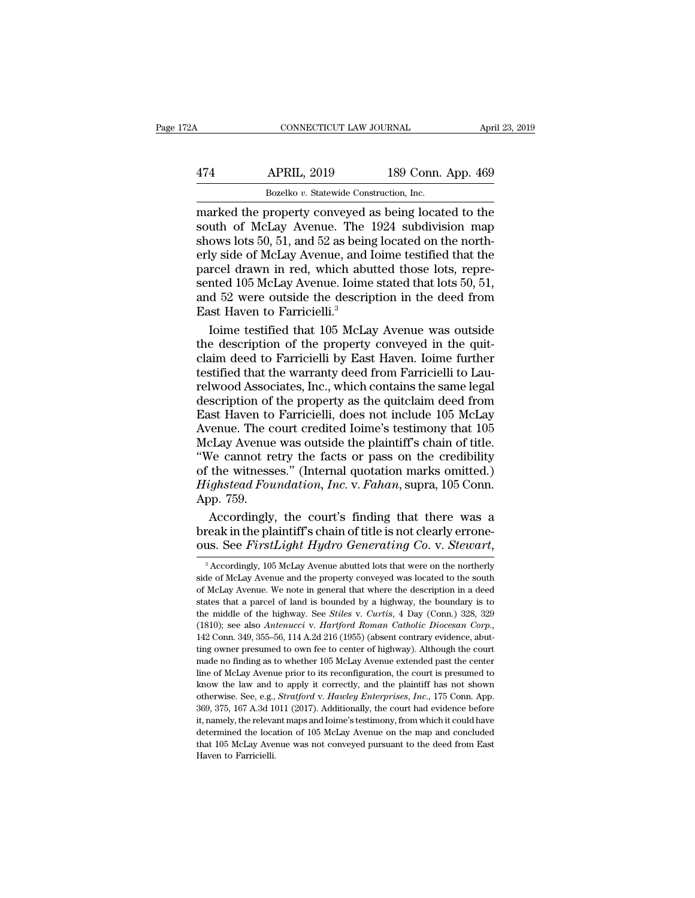# CONNECTICUT LAW JOURNAL April 23, 2019<br>474 APRIL, 2019 189 Conn. App. 469<br>Bozelko v. Statewide Construction, Inc. CONNECTICUT LAW JOURNAL April<br>474 APRIL, 2019 189 Conn. App. 469<br>Bozelko *v.* Statewide Construction, Inc.<br>marked the property conveyed as being located to the

CONNECTICUT LAW JOURNAL April 23, 2019<br>
474 APRIL, 2019 189 Conn. App. 469<br>
Bozelko v. Statewide Construction, Inc.<br>
marked the property conveyed as being located to the<br>
south of McLay Avenue. The 1924 subdivision map<br>
sh APRIL, 2019 189 Conn. App. 469<br>Bozelko v. Statewide Construction, Inc.<br>marked the property conveyed as being located to the<br>south of McLay Avenue. The 1924 subdivision map<br>shows lots 50, 51, and 52 as being located on the  $\frac{474}{\text{Bozelko } v. \text{ Statewide Construction, Inc.}}$ <br>Bozelko v. Statewide Construction, Inc.<br>marked the property conveyed as being located to the<br>south of McLay Avenue. The 1924 subdivision map<br>shows lots 50, 51, and 52 as being located on the n APRIL, 2019 189 Conn. App. 469<br>Bozelko v. Statewide Construction, Inc.<br>marked the property conveyed as being located to the<br>south of McLay Avenue. The 1924 subdivision map<br>shows lots 50, 51, and 52 as being located on the Bozelko v. Statewide Construction, Inc.<br>Bozelko v. Statewide Construction, Inc.<br>marked the property conveyed as being located to the<br>south of McLay Avenue. The 1924 subdivision map<br>shows lots 50, 51, and 52 as being locat Bozelko v. Statewide Construction, Inc.<br>
marked the property conveyed as being located to the<br>
south of McLay Avenue. The 1924 subdivision map<br>
shows lots 50, 51, and 52 as being located on the north-<br>
erly side of McLay A marked the property conveyed as being located to the<br>south of McLay Avenue. The 1924 subdivision map<br>shows lots 50, 51, and 52 as being located on the north-<br>erly side of McLay Avenue, and Ioime testified that the<br>parcel d south of McLay Avenue. The<br>shows lots 50, 51, and 52 as bein<br>erly side of McLay Avenue, and l<br>parcel drawn in red, which abu<br>sented 105 McLay Avenue. Ioime<br>and 52 were outside the descrip<br>East Haven to Farricielli.<sup>3</sup><br>loim

ows lots 50, 51, and 52 as being located on the north-<br>ly side of McLay Avenue, and Ioime testified that the<br>rcel drawn in red, which abutted those lots, repre-<br>nted 105 McLay Avenue. Ioime stated that lots 50, 51,<br>d 52 we erly side of McLay Avenue, and Ioime testified that the<br>parcel drawn in red, which abutted those lots, repre-<br>sented 105 McLay Avenue. Ioime stated that lots 50, 51,<br>and 52 were outside the description in the deed from<br>Eas parcel drawn in red, which abutted those lots, represented 105 McLay Avenue. Ioime stated that lots 50, 51, and 52 were outside the description in the deed from East Haven to Farricielli.<sup>3</sup><br>Loime testified that 105 McLay sented 105 McLay Avenue. Ioime stated that lots 50, 51,<br>and 52 were outside the description in the deed from<br>East Haven to Farricielli.<sup>3</sup><br>Ioime testified that 105 McLay Avenue was outside<br>the description of the property c and 52 were outside the description in the deed from<br>East Haven to Farricielli.<sup>3</sup><br>Ioime testified that 105 McLay Avenue was outside<br>the description of the property conveyed in the quit-<br>claim deed to Farricielli by East H East Haven to Farricielli.<sup>3</sup><br>Ioime testified that 105 McLay Avenue was outside<br>the description of the property conveyed in the quit-<br>claim deed to Farricielli by East Haven. Ioime further<br>testified that the warranty deed Ioime testified that 105 McLay Avenue was outside<br>the description of the property conveyed in the quit-<br>claim deed to Farricielli by East Haven. Ioime further<br>testified that the warranty deed from Farricielli to Lau-<br>relwo the description of the property conveyed in the quit-<br>claim deed to Farricielli by East Haven. Ioime further<br>testified that the warranty deed from Farricielli to Lau-<br>relwood Associates, Inc., which contains the same legal

claim deed to Farricielli by East Haven. Ioime further<br>testified that the warranty deed from Farricielli to Lau-<br>relwood Associates, Inc., which contains the same legal<br>description of the property as the quitclaim deed fro testified that the warranty deed from Farricielli to Laurelwood Associates, Inc., which contains the same legal<br>description of the property as the quitclaim deed from<br>East Haven to Farricielli, does not include 105 McLay<br> relwood Associates, Inc., which contains the same legal<br>description of the property as the quitclaim deed from<br>East Haven to Farricielli, does not include 105 McLay<br>Avenue. The court credited Ioime's testimony that 105<br>McL *Hermodarissociates, High, Which contains are same regardescription of the property as the quitclaim deed from*<br>*East Haven to Farricielli, does not include 105 McLay*<br>*Avenue . The court credited Ioime's testimony that 10* East Haven to<br>Avenue. The c<br>McLay Avenue<br>"We cannot re<br>of the witness<br>Highstead Fou<br>App. 759.<br>Accordingly Frame The court credited Ioime's testimony that 105<br>
ELay Avenue was outside the plaintiff's chain of title.<br>
We cannot retry the facts or pass on the credibility<br>
the witnesses." (Internal quotation marks omitted.)<br> *igh* McLay Avenue was outside the plaintiff's chain of title.<br>
"We cannot retry the facts or pass on the credibility<br>
of the witnesses." (Internal quotation marks omitted.)<br>
Highstead Foundation, Inc. v. Fahan, supra, 105 Conn. "We cannot retry the facts or pass on the credibility<br>of the witnesses." (Internal quotation marks omitted.)<br>*Highstead Foundation, Inc.* v. *Fahan*, supra, 105 Conn.<br>App. 759.<br>Accordingly, the court's finding that there w

pp. (59.<br>Accordingly, the court's finding that there was a<br>reak in the plaintiff's chain of title is not clearly errone-<br>us. See *FirstLight Hydro Generating Co*. v. *Stewart*,<br><sup>3</sup> Accordingly, 105 McLay Avenue abutted lot Accordingly, the court's finding that there was a<br>break in the plaintiff's chain of title is not clearly errone-<br>ous. See *FirstLight Hydro Generating Co*. v. *Stewart*,<br> $\frac{1}{3}$  Accordingly, 105 McLay Avenue abutted lot

break in the plaintiff's chain of title is not clearly errone-<br>ous. See *FirstLight Hydro Generating Co. v. Stewart*,<br> $^3$  Accordingly, 105 McLay Avenue abutted lots that were on the northerly<br>side of McLay Avenue and the ous. See FirstLight Hydro Generating Co. v. Stewart,<br>
<sup>3</sup> Accordingly, 105 McLay Avenue abutted lots that were on the northerly<br>
side of McLay Avenue and the property conveyed was located to the south<br>
of McLay Avenue. We ous. See *FUSLDIJHU FIJUTO* Generating Co. V. Stewart,<br><sup>3</sup> Accordingly, 105 McLay Avenue abutted lots that were on the northerly<br>side of McLay Avenue and the property conveyed was located to the south<br>of McLay Avenue. We n <sup>3</sup> Accordingly, 105 McLay Avenue abutted lots that were on the northerly side of McLay Avenue and the property conveyed was located to the south of McLay Avenue. We note in general that where the description in a deed st of McLay Avenue. We note in general that where the description in a deed<br>states that a parcel of land is bounded by a highway, the boundary is to<br>the middle of the highway. See *Stiles v. Curtis*, 4 Day (Conn.) 328, 329<br>(1 states that a parcel of land is bounded by a highway, the boundary is to the middle of the highway. See *Stiles v. Curtis*, 4 Day (Conn.) 328, 329 (1810); see also *Antenucci v. Hartford Roman Catholic Diocesan Corp.*, 142 the middle of the highway. See *Stiles v. Curtis*, 4 Day (Conn.) 328, 329 (1810); see also *Antenucci v. Hartford Roman Catholic Diocesan Corp.*, 142 Conn. 349, 355–56, 114 A.2d 216 (1955) (absent contrary evidence, abutti (1810); see also *Antenucci* v. *Hartford Roman Catholic Diocesan Corp.*, 142 Conn. 349, 355–56, 114 A.2d 216 (1955) (absent contrary evidence, abutting owner presumed to own fee to center of highway). Although the court 142 Conn. 349, 355–56, 114 A.2d 216 (1955) (absent contrary evidence, abut-<br>142 Conn. 349, 355–56, 114 A.2d 216 (1955) (absent contrary evidence, abut-<br>ting owner presumed to own fee to center of highway). Although the cou <sup>21</sup> a comercies of the court and to own fee to center of highway). Although the court made no finding as to whether 105 McLay Avenue extended past the center line of McLay Avenue prior to its reconfiguration, the court is it, mande no finding as to whether 105 McLay Avenue extended past the center line of McLay Avenue prior to its reconfiguration, the court is presumed to know the law and to apply it correctly, and the plaintiff has not sh line of McLay Avenue prior to its reconfiguration, the court is presumed to know the law and to apply it correctly, and the plaintiff has not shown otherwise. See, e.g., *Stratford* v. *Hauley Enterprises*, *Inc.*, 175 Con line of McLay Avenue prior to its reconfiguration, the court is presumed to know the law and to apply it correctly, and the plaintiff has not shown otherwise. See, e.g., *Stratford v. Hawley Enterprises, Inc.*, 175 Conn. otherwise. See, e.g., Stratford v. Hawley Enterprises, Inc., 175 Conn. App.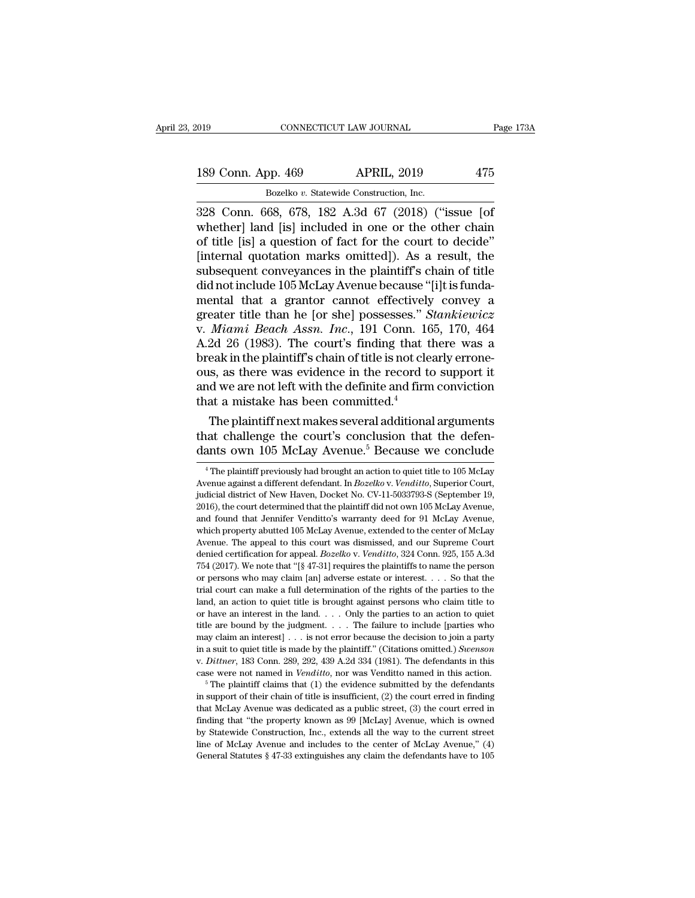# 189 Conn. App. 469 APRIL, 2019 475<br>Bozelko v. Statewide Construction, Inc. Bozelko *v.* Statewide Construction, Inc.

328 Conn. 668, 678, 182 A.3d 67 (2018)<br>
328 Conn. 668, 678, 182 A.3d 67 (2018) ("issue [of whether] land [is] included in one or the other chain<br>
325 Conn. 668, 678, 182 A.3d 67 (2018) ("issue [of whether] land [is] includ 189 Conn. App. 469 APRIL, 2019 475<br>Bozelko v. Statewide Construction, Inc.<br>328 Conn. 668, 678, 182 A.3d 67 (2018) ("issue [of whether] land [is] included in one or the other chain<br>of title [is] a question of fact for the c 189 Conn. App. 469 APRIL, 2019 475<br>Bozelko v. Statewide Construction, Inc.<br>328 Conn. 668, 678, 182 A.3d 67 (2018) ("issue [of whether] land [is] included in one or the other chain<br>of title [is] a question of fact for the 189 Conn. App. 469 APRIL, 2019 475<br>Bozelko v. Statewide Construction, Inc.<br>328 Conn. 668, 678, 182 A.3d 67 (2018) ("issue [of<br>whether] land [is] included in one or the other chain<br>of title [is] a question of fact for the subsequent construction, Inc.<br>Bozelko v. Statewide Construction, Inc.<br>328 Conn. 668, 678, 182 A.3d 67 (2018) ("issue [of<br>whether] land [is] included in one or the other chain<br>of title [is] a question of fact for the court Bozelko v. Statewide Construction, Inc.<br>
328 Conn. 668, 678, 182 A.3d 67 (2018) ("issue [of<br>
whether] land [is] included in one or the other chain<br>
of title [is] a question of fact for the court to decide"<br>
[internal quot 328 Conn. 668, 678, 182 A.3d 67 (2018) ("issue [of whether] land [is] included in one or the other chain of title [is] a question of fact for the court to decide" [internal quotation marks omitted]). As a result, the subs whether] land [is] included in one or the other chain<br>of title [is] a question of fact for the court to decide"<br>[internal quotation marks omitted]). As a result, the<br>subsequent conveyances in the plaintiff's chain of title of title [is] a question of fact for the court to decide"<br>[internal quotation marks omitted]). As a result, the<br>subsequent conveyances in the plaintiff's chain of title<br>did not include 105 McLay Avenue because "[i]t is fun [internal quotation marks omitted]). As a result, the<br>subsequent conveyances in the plaintiff's chain of title<br>did not include 105 McLay Avenue because "[i]t is funda-<br>mental that a grantor cannot effectively convey a<br>grea subsequent conveyances in the plaintiff's chain of title<br>did not include 105 McLay Avenue because "[i]t is funda-<br>mental that a grantor cannot effectively convey a<br>greater title than he [or she] possesses." *Stankiewicz*<br>v did not include 105 McLay Avenue because "[i]t is funda-<br>mental that a grantor cannot effectively convey a<br>greater title than he [or she] possesses." *Stankiewicz*<br>v. *Miami Beach Assn. Inc.*, 191 Conn. 165, 170, 464<br>A.2d mental that a grantor cannot effectively convey a<br>greater title than he [or she] possesses." *Stankiewicz*<br>v. *Miami Beach Assn. Inc.*, 191 Conn. 165, 170, 464<br>A.2d 26 (1983). The court's finding that there was a<br>break in greater title than he [or she] possesses."  $S$ <br>v. *Miami Beach Assn. Inc.*, 191 Conn. 16<br>A.2d 26 (1983). The court's finding that t<br>break in the plaintiff's chain of title is not cle<br>ous, as there was evidence in the reco *Miami Beach Assn. Inc.*, 191 Conn. 165, 170, 464<br>2d 26 (1983). The court's finding that there was a<br>eak in the plaintiff's chain of title is not clearly errone-<br>is, as there was evidence in the record to support it<br>d we A.2d 26 (1983). The court's maint that there was a<br>break in the plaintiff's chain of title is not clearly errone-<br>ous, as there was evidence in the record to support it<br>and we are not left with the definite and firm convi break in the plaintiff schain of title is not clearly errone-<br>ous, as there was evidence in the record to support it<br>and we are not left with the definite and firm conviction<br>that a mistake has been committed.<sup>4</sup><br>The plai

The plaintiff next makes several additional arguments<br>aat challenge the court's conclusion that the defen-<br>ants own 105 McLay Avenue.<sup>5</sup> Because we conclude<br><sup>4</sup> The plaintiff previously had brought an action to quiet titl The plaintiff next makes several additional arguments<br>that challenge the court's conclusion that the defen-<br>dants own 105 McLay Avenue.<sup>5</sup> Because we conclude<br><sup>4</sup> The plaintiff previously had brought an action to quiet tit

that challenge the court's conclusion that the defendants own 105 McLay Avenue.<sup>5</sup> Because we conclude<br><sup>4</sup> The plaintiff previously had brought an action to quiet title to 105 McLay<br>Avenue against a different defendant. In dants own 105 McLay Avenue.<sup>5</sup> Because we conclude<br>
<sup>4</sup> The plaintiff previously had brought an action to quiet title to 105 McLay<br>
Avenue against a different defendant. In *Bozelko* v. *Venditto*, Superior Court,<br>
judici <sup>4</sup> The plaintiff previously had brought an action to quiet title to 105 McLay Avenue against a different defendant. In *Bozelko* v. *Venditto*, Superior Court, judicial district of New Haven, Docket No. CV-11-5033793-S ( <sup>4</sup> The plaintiff previously had brought an action to quiet title to 105 McLay Avenue against a different defendant. In *Bozelko* v. Venditio, Superior Court, judicial district of New Haven, Docket No. CV-11-5033793-S (Se Avenue against a different defendant. In *Bozelko* v. Venditto, Superior Court, judicial district of New Haven, Docket No. CV-11-5033793-S (September 19, 2016), the court determined that the plaintiff did not own 105 McLay judicial district of New Haven, Docket No. CV-11-5033793-S (September 19, 2016), the court determined that the plaintiff did not own 105 McLay Avenue, and found that Jennifer Venditto's warranty deed for 91 McLay Avenue, w 2016), the court determined that the plaintiff did not own 105 McLay Avenue, and found that Jennifer Venditto's warranty deed for 91 McLay Avenue, which property abutted 105 McLay Avenue, extended to the center of McLay A and found that Jennifer Venditto's warranty deed for 91 McLay Avenue, which property abutted 105 McLay Avenue, extended to the center of McLay Avenue. The appeal to this court was dismissed, and our Supreme Court denied c which property abutted 105 McLay Avenue, extended to the center of McLay Avenue. The appeal to this court was dismissed, and our Supreme Court denied certification for appeal. *Bozelko* v. *Venditto*, 324 Conn. 925, 155 A Avenue. The appeal to this court was dismissed, and our Supreme Court<br>denied certification for appeal. *Bozelko* v. *Venditto*, 324 Conn. 925, 155 A.3d<br>754 (2017). We note that "[§ 47-31] requires the plaintiffs to name t denied certification for appeal. *Bozelko* v. *Venditto*, 324 Conn. 925, 155 A.3d 754 (2017). We note that "[§ 47-31] requires the plaintiffs to name the person or persons who may claim [an] adverse estate or interest. . 754 (2017). We note that "[§ 47-31] requires the plaintiffs to name the person or persons who may claim [an] adverse estate or interest. . . . So that the trial court can make a full determination of the rights of the par or persons who may claim [an] adverse estate or interest.... So that the trial court can make a full determination of the rights of the parties to the land, an action to quiet title is brought against persons who claim ti in a suit of the parties to the parties to the rights of the parties to the trial court can make a full determination of the rights of the parties to the parties to the or have an interest in the land.... Only the parties trial court can make a full determination of the rights of the parties to the land, an action to quiet title is brought against persons who claim title to or have an interest in the land. . . . Only the parties to an acti for have an interest in the land. . . . . Only the parties to an action to quiet title are bound by the judgment. . . . The failure to include [parties who may claim an interest] . . . is not error because the decision to may claim an interest] . . . is not error because the decision to join a party in a suit to quiet title is made by the plaintiff." (Citations omitted.) *Swenson* v. *Dittner*, 183 Conn. 289, 292, 439 A.2d 334 (1981). The

that McLay Avenue was dedicated as a public street, (3) the court erred in finding that McLay Avenue was dedicated as a public street, (3) the court erred in finding that McLay Avenue was dedicated as a public street, (3) w. *Dittner*, 183 Conn. 289, 292, 439 A.2d 334 (1981). The defendants in this case were not named in *Venditto*, nor was Venditto named in this action.<br><sup>5</sup> The plaintiff claims that (1) the evidence submitted by the defen by Statewide Construction, Inc., extends all the way to the current street in paper and in Venditto, nor was Venditto named in this action.<br>
<sup>5</sup> The plaintiff claims that (1) the evidence submitted by the defendants<br>
in s <sup>5</sup> The plaintiff claims that (1) the evidence submitted by the defendants in support of their chain of title is insufficient, (2) the court erred in finding that McLay Avenue was dedicated as a public street, (3) the cou in support of their chain of title is insufficient, (2) the court erred in finding that McLay Avenue was dedicated as a public street, (3) the court erred in finding that "the property known as 99 [McLay] Avenue, which is